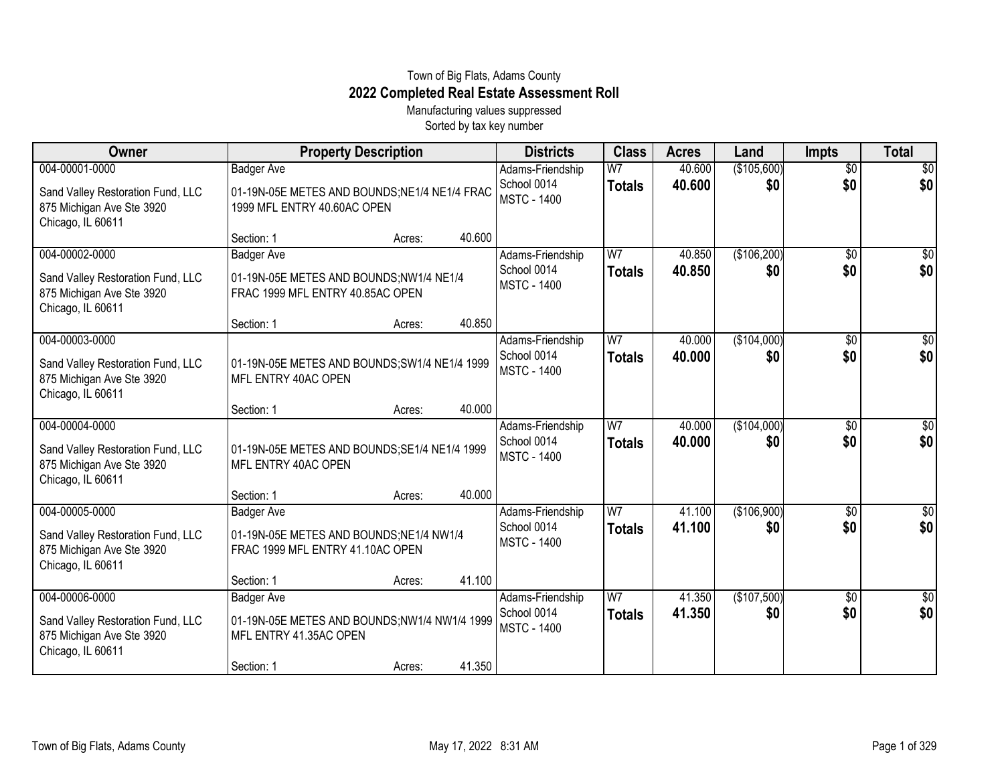## Town of Big Flats, Adams County **2022 Completed Real Estate Assessment Roll**

Manufacturing values suppressed Sorted by tax key number

| Owner                                                                                                 |                                                                                                         | <b>Property Description</b> |        | <b>Districts</b>                                      | <b>Class</b>                    | <b>Acres</b>     | Land               | Impts                  | <b>Total</b>          |
|-------------------------------------------------------------------------------------------------------|---------------------------------------------------------------------------------------------------------|-----------------------------|--------|-------------------------------------------------------|---------------------------------|------------------|--------------------|------------------------|-----------------------|
| 004-00001-0000<br>Sand Valley Restoration Fund, LLC<br>875 Michigan Ave Ste 3920<br>Chicago, IL 60611 | <b>Badger Ave</b><br>01-19N-05E METES AND BOUNDS;NE1/4 NE1/4 FRAC<br>1999 MFL ENTRY 40.60AC OPEN        |                             |        | Adams-Friendship<br>School 0014<br><b>MSTC - 1400</b> | $\overline{W}$<br><b>Totals</b> | 40.600<br>40.600 | (\$105,600)<br>\$0 | $\overline{30}$<br>\$0 | $\sqrt{30}$<br>\$0    |
|                                                                                                       | Section: 1                                                                                              | Acres:                      | 40.600 |                                                       |                                 |                  |                    |                        |                       |
| 004-00002-0000<br>Sand Valley Restoration Fund, LLC<br>875 Michigan Ave Ste 3920<br>Chicago, IL 60611 | <b>Badger Ave</b><br>01-19N-05E METES AND BOUNDS;NW1/4 NE1/4<br>FRAC 1999 MFL ENTRY 40.85AC OPEN        |                             |        | Adams-Friendship<br>School 0014<br><b>MSTC - 1400</b> | W <sub>7</sub><br><b>Totals</b> | 40.850<br>40.850 | (\$106,200)<br>\$0 | $\overline{30}$<br>\$0 | $\frac{1}{20}$<br>\$0 |
|                                                                                                       | Section: 1                                                                                              | Acres:                      | 40.850 |                                                       |                                 |                  |                    |                        |                       |
| 004-00003-0000<br>Sand Valley Restoration Fund, LLC<br>875 Michigan Ave Ste 3920<br>Chicago, IL 60611 | 01-19N-05E METES AND BOUNDS; SW1/4 NE1/4 1999<br>MFL ENTRY 40AC OPEN                                    |                             |        | Adams-Friendship<br>School 0014<br><b>MSTC - 1400</b> | W <sub>7</sub><br><b>Totals</b> | 40.000<br>40,000 | (\$104,000)<br>\$0 | \$0<br>\$0             | \$0<br>\$0            |
|                                                                                                       | Section: 1                                                                                              | Acres:                      | 40.000 |                                                       |                                 |                  |                    |                        |                       |
| 004-00004-0000<br>Sand Valley Restoration Fund, LLC<br>875 Michigan Ave Ste 3920<br>Chicago, IL 60611 | 01-19N-05E METES AND BOUNDS; SE1/4 NE1/4 1999<br>MFL ENTRY 40AC OPEN                                    |                             |        | Adams-Friendship<br>School 0014<br><b>MSTC - 1400</b> | W <sub>7</sub><br><b>Totals</b> | 40.000<br>40.000 | (\$104,000)<br>\$0 | \$0<br>\$0             | $\sqrt{50}$<br>\$0    |
|                                                                                                       | Section: 1                                                                                              | Acres:                      | 40.000 |                                                       |                                 |                  |                    |                        |                       |
| 004-00005-0000<br>Sand Valley Restoration Fund, LLC<br>875 Michigan Ave Ste 3920<br>Chicago, IL 60611 | Badger Ave<br>01-19N-05E METES AND BOUNDS;NE1/4 NW1/4<br>FRAC 1999 MFL ENTRY 41.10AC OPEN<br>Section: 1 | Acres:                      | 41.100 | Adams-Friendship<br>School 0014<br><b>MSTC - 1400</b> | W <sub>7</sub><br><b>Totals</b> | 41.100<br>41.100 | (\$106,900)<br>\$0 | \$0<br>\$0             | $\sqrt{50}$<br>\$0    |
| 004-00006-0000                                                                                        | <b>Badger Ave</b>                                                                                       |                             |        | Adams-Friendship                                      | W7                              | 41.350           | (\$107,500)        | \$0                    | $\overline{50}$       |
| Sand Valley Restoration Fund, LLC<br>875 Michigan Ave Ste 3920<br>Chicago, IL 60611                   | 01-19N-05E METES AND BOUNDS; NW1/4 NW1/4 1999<br>MFL ENTRY 41.35AC OPEN                                 |                             |        | School 0014<br><b>MSTC - 1400</b>                     | <b>Totals</b>                   | 41.350           | \$0                | \$0                    | \$0                   |
|                                                                                                       | Section: 1                                                                                              | Acres:                      | 41.350 |                                                       |                                 |                  |                    |                        |                       |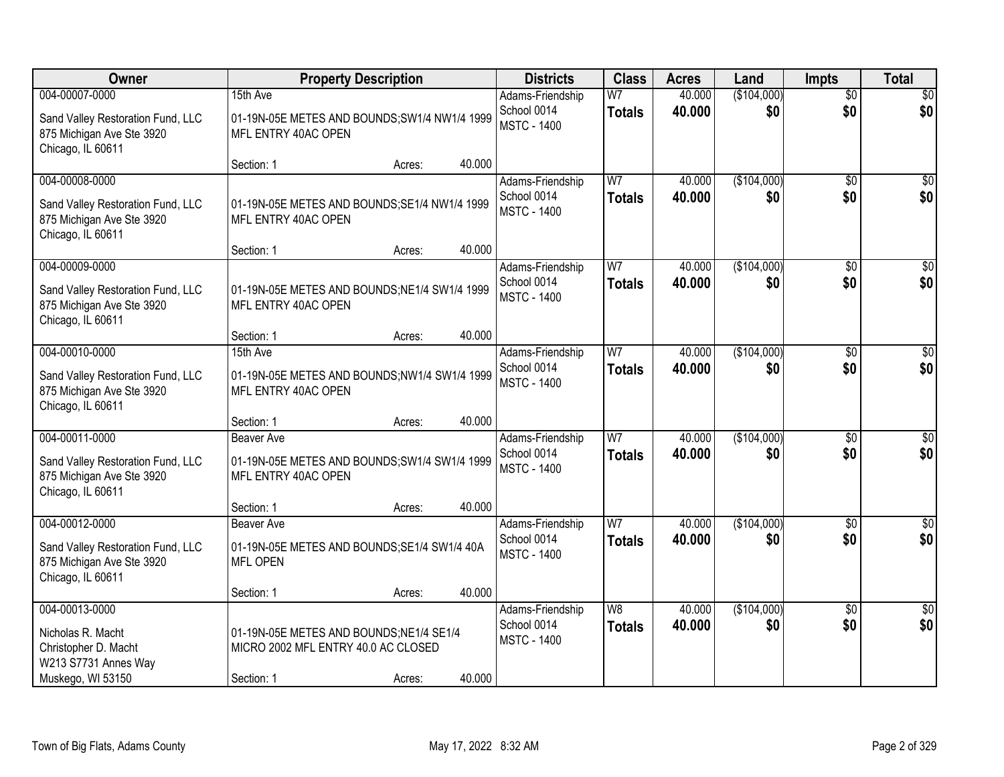| Owner                                                                                                 | <b>Property Description</b>                                                    |                  | <b>Districts</b>                                      | <b>Class</b>                    | <b>Acres</b>     | Land               | <b>Impts</b>    | <b>Total</b>           |
|-------------------------------------------------------------------------------------------------------|--------------------------------------------------------------------------------|------------------|-------------------------------------------------------|---------------------------------|------------------|--------------------|-----------------|------------------------|
| 004-00007-0000                                                                                        | 15th Ave                                                                       |                  | Adams-Friendship                                      | W <sub>7</sub>                  | 40.000           | (\$104,000)        | \$0             | \$0                    |
| Sand Valley Restoration Fund, LLC<br>875 Michigan Ave Ste 3920<br>Chicago, IL 60611                   | 01-19N-05E METES AND BOUNDS; SW1/4 NW1/4 1999<br>MFL ENTRY 40AC OPEN           |                  | School 0014<br><b>MSTC - 1400</b>                     | <b>Totals</b>                   | 40.000           | \$0                | \$0             | \$0                    |
|                                                                                                       | Section: 1                                                                     | 40.000<br>Acres: |                                                       |                                 |                  |                    |                 |                        |
| 004-00008-0000<br>Sand Valley Restoration Fund, LLC<br>875 Michigan Ave Ste 3920<br>Chicago, IL 60611 | 01-19N-05E METES AND BOUNDS; SE1/4 NW1/4 1999<br>MFL ENTRY 40AC OPEN           |                  | Adams-Friendship<br>School 0014<br><b>MSTC - 1400</b> | W7<br><b>Totals</b>             | 40.000<br>40,000 | (\$104,000)<br>\$0 | \$0<br>\$0      | \$0<br>\$0             |
|                                                                                                       | Section: 1                                                                     | 40.000<br>Acres: |                                                       |                                 |                  |                    |                 |                        |
| 004-00009-0000<br>Sand Valley Restoration Fund, LLC<br>875 Michigan Ave Ste 3920<br>Chicago, IL 60611 | 01-19N-05E METES AND BOUNDS; NE1/4 SW1/4 1999<br>MFL ENTRY 40AC OPEN           |                  | Adams-Friendship<br>School 0014<br><b>MSTC - 1400</b> | W <sub>7</sub><br><b>Totals</b> | 40.000<br>40.000 | (\$104,000)<br>\$0 | \$0<br>\$0      | $\overline{50}$<br>\$0 |
|                                                                                                       | Section: 1                                                                     | 40.000<br>Acres: |                                                       |                                 |                  |                    |                 |                        |
| 004-00010-0000                                                                                        | 15th Ave                                                                       |                  | Adams-Friendship                                      | W7                              | 40.000           | (\$104,000)        | $\sqrt[6]{3}$   | \$0                    |
| Sand Valley Restoration Fund, LLC<br>875 Michigan Ave Ste 3920<br>Chicago, IL 60611                   | 01-19N-05E METES AND BOUNDS; NW1/4 SW1/4 1999<br>MFL ENTRY 40AC OPEN           |                  | School 0014<br><b>MSTC - 1400</b>                     | <b>Totals</b>                   | 40,000           | \$0                | \$0             | \$0                    |
|                                                                                                       | Section: 1                                                                     | 40.000<br>Acres: |                                                       |                                 |                  |                    |                 |                        |
| 004-00011-0000                                                                                        | <b>Beaver Ave</b>                                                              |                  | Adams-Friendship                                      | W <sub>7</sub>                  | 40.000           | (\$104,000)        | $\overline{30}$ | $\overline{50}$        |
| Sand Valley Restoration Fund, LLC<br>875 Michigan Ave Ste 3920<br>Chicago, IL 60611                   | 01-19N-05E METES AND BOUNDS; SW1/4 SW1/4 1999<br>MFL ENTRY 40AC OPEN           |                  | School 0014<br><b>MSTC - 1400</b>                     | <b>Totals</b>                   | 40.000           | \$0                | \$0             | \$0                    |
|                                                                                                       | Section: 1                                                                     | 40.000<br>Acres: |                                                       |                                 |                  |                    |                 |                        |
| 004-00012-0000                                                                                        | <b>Beaver Ave</b>                                                              |                  | Adams-Friendship                                      | W <sub>7</sub>                  | 40.000           | (\$104,000)        | $\overline{30}$ | $\overline{\$0}$       |
| Sand Valley Restoration Fund, LLC<br>875 Michigan Ave Ste 3920<br>Chicago, IL 60611                   | 01-19N-05E METES AND BOUNDS;SE1/4 SW1/4 40A<br><b>MFL OPEN</b>                 |                  | School 0014<br><b>MSTC - 1400</b>                     | <b>Totals</b>                   | 40,000           | \$0                | \$0             | \$0                    |
|                                                                                                       | Section: 1                                                                     | 40.000<br>Acres: |                                                       |                                 |                  |                    |                 |                        |
| 004-00013-0000                                                                                        |                                                                                |                  | Adams-Friendship                                      | W8                              | 40.000           | (\$104,000)        | $\overline{50}$ | $\overline{50}$        |
| Nicholas R. Macht<br>Christopher D. Macht<br>W213 S7731 Annes Way                                     | 01-19N-05E METES AND BOUNDS;NE1/4 SE1/4<br>MICRO 2002 MFL ENTRY 40.0 AC CLOSED |                  | School 0014<br><b>MSTC - 1400</b>                     | <b>Totals</b>                   | 40.000           | \$0                | \$0             | \$0                    |
| Muskego, WI 53150                                                                                     | Section: 1                                                                     | 40.000<br>Acres: |                                                       |                                 |                  |                    |                 |                        |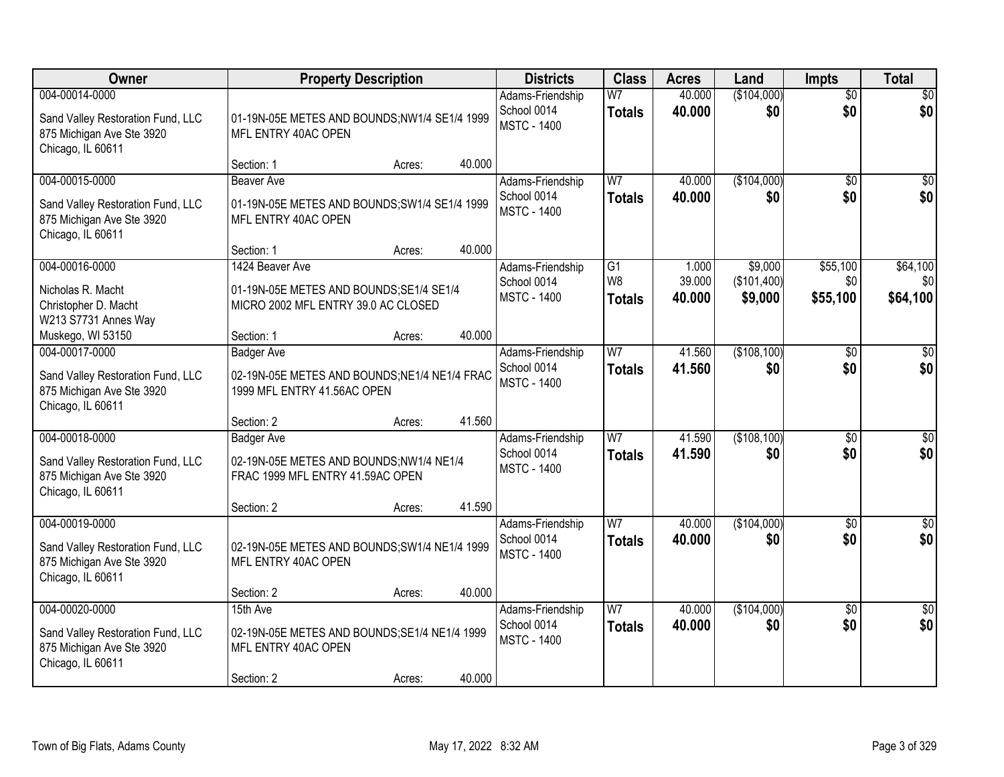| Owner                                                                                                 |                                                                                                    | <b>Property Description</b> |        | <b>Districts</b>                                      | <b>Class</b>                           | <b>Acres</b>              | Land                              | <b>Impts</b>                | <b>Total</b>                |
|-------------------------------------------------------------------------------------------------------|----------------------------------------------------------------------------------------------------|-----------------------------|--------|-------------------------------------------------------|----------------------------------------|---------------------------|-----------------------------------|-----------------------------|-----------------------------|
| 004-00014-0000<br>Sand Valley Restoration Fund, LLC<br>875 Michigan Ave Ste 3920<br>Chicago, IL 60611 | 01-19N-05E METES AND BOUNDS;NW1/4 SE1/4 1999<br>MFL ENTRY 40AC OPEN                                |                             |        | Adams-Friendship<br>School 0014<br><b>MSTC - 1400</b> | W <sub>7</sub><br><b>Totals</b>        | 40.000<br>40.000          | (\$104,000)<br>\$0                | $\overline{50}$<br>\$0      | \$0<br>\$0                  |
|                                                                                                       | Section: 1                                                                                         | Acres:                      | 40.000 |                                                       |                                        |                           |                                   |                             |                             |
| 004-00015-0000<br>Sand Valley Restoration Fund, LLC<br>875 Michigan Ave Ste 3920<br>Chicago, IL 60611 | Beaver Ave<br>01-19N-05E METES AND BOUNDS; SW1/4 SE1/4 1999<br>MFL ENTRY 40AC OPEN                 |                             |        | Adams-Friendship<br>School 0014<br><b>MSTC - 1400</b> | W <sub>7</sub><br><b>Totals</b>        | 40.000<br>40.000          | (\$104,000)<br>\$0                | \$0<br>\$0                  | \$0<br>\$0                  |
|                                                                                                       | Section: 1                                                                                         | Acres:                      | 40.000 |                                                       |                                        |                           |                                   |                             |                             |
| 004-00016-0000<br>Nicholas R. Macht<br>Christopher D. Macht<br>W213 S7731 Annes Way                   | 1424 Beaver Ave<br>01-19N-05E METES AND BOUNDS; SE1/4 SE1/4<br>MICRO 2002 MFL ENTRY 39.0 AC CLOSED |                             |        | Adams-Friendship<br>School 0014<br><b>MSTC - 1400</b> | $\overline{G1}$<br>W8<br><b>Totals</b> | 1.000<br>39.000<br>40.000 | \$9,000<br>(\$101,400)<br>\$9,000 | \$55,100<br>\$0<br>\$55,100 | \$64,100<br>\$0<br>\$64,100 |
| Muskego, WI 53150                                                                                     | Section: 1                                                                                         | Acres:                      | 40.000 |                                                       |                                        |                           |                                   |                             |                             |
| 004-00017-0000<br>Sand Valley Restoration Fund, LLC<br>875 Michigan Ave Ste 3920<br>Chicago, IL 60611 | <b>Badger Ave</b><br>02-19N-05E METES AND BOUNDS;NE1/4 NE1/4 FRAC<br>1999 MFL ENTRY 41.56AC OPEN   |                             |        | Adams-Friendship<br>School 0014<br><b>MSTC - 1400</b> | W <sub>7</sub><br><b>Totals</b>        | 41.560<br>41.560          | (\$108,100)<br>\$0                | \$0<br>\$0                  | \$0<br>\$0                  |
|                                                                                                       | Section: 2                                                                                         | Acres:                      | 41.560 |                                                       |                                        |                           |                                   |                             |                             |
| 004-00018-0000<br>Sand Valley Restoration Fund, LLC<br>875 Michigan Ave Ste 3920<br>Chicago, IL 60611 | <b>Badger Ave</b><br>02-19N-05E METES AND BOUNDS;NW1/4 NE1/4<br>FRAC 1999 MFL ENTRY 41.59AC OPEN   |                             |        | Adams-Friendship<br>School 0014<br><b>MSTC - 1400</b> | $\overline{W}$<br><b>Totals</b>        | 41.590<br>41.590          | (\$108,100)<br>\$0                | \$0<br>\$0                  | $\overline{50}$<br>\$0      |
|                                                                                                       | Section: 2                                                                                         | Acres:                      | 41.590 |                                                       |                                        |                           |                                   |                             |                             |
| 004-00019-0000<br>Sand Valley Restoration Fund, LLC<br>875 Michigan Ave Ste 3920<br>Chicago, IL 60611 | 02-19N-05E METES AND BOUNDS; SW1/4 NE1/4 1999<br>MFL ENTRY 40AC OPEN                               |                             |        | Adams-Friendship<br>School 0014<br><b>MSTC - 1400</b> | W <sub>7</sub><br><b>Totals</b>        | 40.000<br>40.000          | (\$104,000)<br>\$0                | \$0<br>\$0                  | \$0<br>\$0                  |
|                                                                                                       | Section: 2                                                                                         | Acres:                      | 40.000 |                                                       |                                        |                           |                                   |                             |                             |
| 004-00020-0000<br>Sand Valley Restoration Fund, LLC<br>875 Michigan Ave Ste 3920<br>Chicago, IL 60611 | 15th Ave<br>02-19N-05E METES AND BOUNDS;SE1/4 NE1/4 1999<br>MFL ENTRY 40AC OPEN<br>Section: 2      | Acres:                      | 40.000 | Adams-Friendship<br>School 0014<br><b>MSTC - 1400</b> | W <sub>7</sub><br><b>Totals</b>        | 40.000<br>40.000          | (\$104,000)<br>\$0                | $\overline{30}$<br>\$0      | $\overline{30}$<br>\$0      |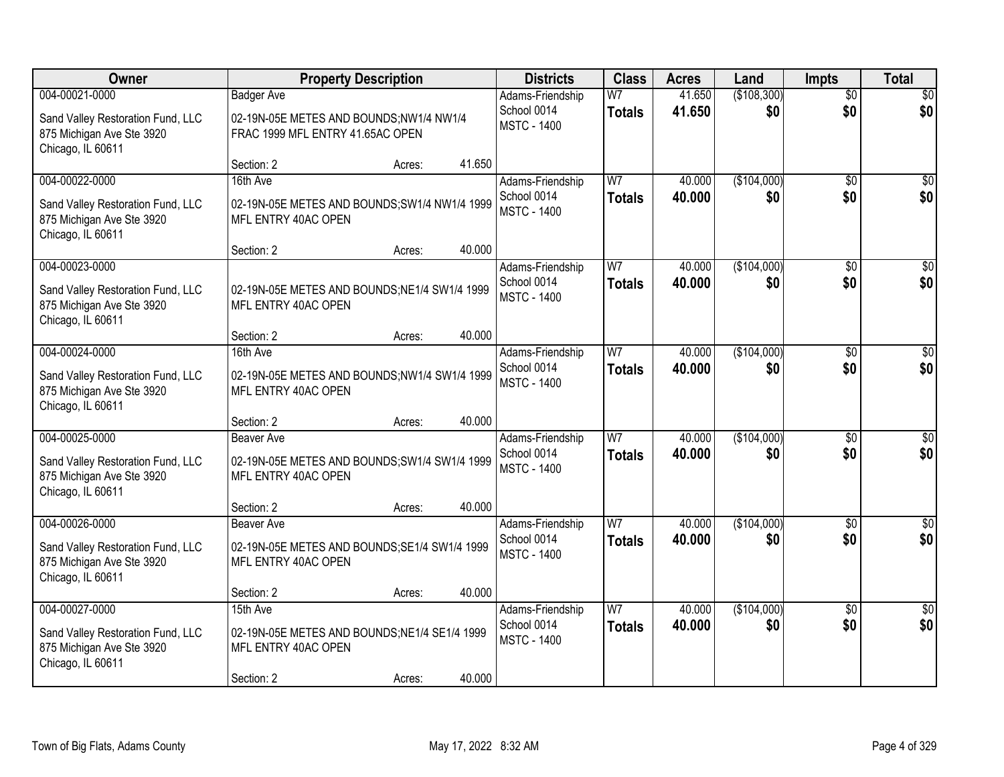| <b>Owner</b>                                                                        | <b>Property Description</b>                                                 |        |        | <b>Districts</b>                  | <b>Class</b>   | <b>Acres</b> | Land        | <b>Impts</b>    | <b>Total</b>     |
|-------------------------------------------------------------------------------------|-----------------------------------------------------------------------------|--------|--------|-----------------------------------|----------------|--------------|-------------|-----------------|------------------|
| 004-00021-0000                                                                      | <b>Badger Ave</b>                                                           |        |        | Adams-Friendship                  | W <sub>7</sub> | 41.650       | (\$108,300) | $\overline{50}$ | \$0              |
| Sand Valley Restoration Fund, LLC<br>875 Michigan Ave Ste 3920<br>Chicago, IL 60611 | 02-19N-05E METES AND BOUNDS;NW1/4 NW1/4<br>FRAC 1999 MFL ENTRY 41.65AC OPEN |        |        | School 0014<br><b>MSTC - 1400</b> | <b>Totals</b>  | 41.650       | \$0         | \$0             | \$0              |
|                                                                                     | Section: 2                                                                  | Acres: | 41.650 |                                   |                |              |             |                 |                  |
| 004-00022-0000                                                                      | 16th Ave                                                                    |        |        | Adams-Friendship                  | W7             | 40.000       | (\$104,000) | \$0             | \$0              |
| Sand Valley Restoration Fund, LLC<br>875 Michigan Ave Ste 3920<br>Chicago, IL 60611 | 02-19N-05E METES AND BOUNDS; SW1/4 NW1/4 1999<br>MFL ENTRY 40AC OPEN        |        |        | School 0014<br><b>MSTC - 1400</b> | <b>Totals</b>  | 40.000       | \$0         | \$0             | \$0              |
|                                                                                     | Section: 2                                                                  | Acres: | 40.000 |                                   |                |              |             |                 |                  |
| 004-00023-0000                                                                      |                                                                             |        |        | Adams-Friendship                  | W7             | 40.000       | (\$104,000) | \$0             | $\overline{50}$  |
| Sand Valley Restoration Fund, LLC<br>875 Michigan Ave Ste 3920<br>Chicago, IL 60611 | 02-19N-05E METES AND BOUNDS;NE1/4 SW1/4 1999<br>MFL ENTRY 40AC OPEN         |        |        | School 0014<br><b>MSTC - 1400</b> | <b>Totals</b>  | 40.000       | \$0         | \$0             | \$0              |
|                                                                                     | Section: 2                                                                  | Acres: | 40.000 |                                   |                |              |             |                 |                  |
| 004-00024-0000                                                                      | 16th Ave                                                                    |        |        | Adams-Friendship                  | W <sub>7</sub> | 40.000       | (\$104,000) | $\sqrt{6}$      | $\sqrt{50}$      |
| Sand Valley Restoration Fund, LLC<br>875 Michigan Ave Ste 3920<br>Chicago, IL 60611 | 02-19N-05E METES AND BOUNDS;NW1/4 SW1/4 1999<br>MFL ENTRY 40AC OPEN         |        |        | School 0014<br><b>MSTC - 1400</b> | <b>Totals</b>  | 40.000       | \$0         | \$0             | \$0              |
|                                                                                     | Section: 2                                                                  | Acres: | 40.000 |                                   |                |              |             |                 |                  |
| 004-00025-0000                                                                      | <b>Beaver Ave</b>                                                           |        |        | Adams-Friendship                  | W <sub>7</sub> | 40.000       | (\$104,000) | \$0             | $\sqrt{50}$      |
| Sand Valley Restoration Fund, LLC<br>875 Michigan Ave Ste 3920<br>Chicago, IL 60611 | 02-19N-05E METES AND BOUNDS;SW1/4 SW1/4 1999<br>MFL ENTRY 40AC OPEN         |        |        | School 0014<br><b>MSTC - 1400</b> | <b>Totals</b>  | 40.000       | \$0         | \$0             | \$0              |
|                                                                                     | Section: 2                                                                  | Acres: | 40.000 |                                   |                |              |             |                 |                  |
| 004-00026-0000                                                                      | <b>Beaver Ave</b>                                                           |        |        | Adams-Friendship                  | W <sub>7</sub> | 40.000       | (\$104,000) | \$0             | $\overline{\$0}$ |
| Sand Valley Restoration Fund, LLC<br>875 Michigan Ave Ste 3920<br>Chicago, IL 60611 | 02-19N-05E METES AND BOUNDS;SE1/4 SW1/4 1999<br>MFL ENTRY 40AC OPEN         |        |        | School 0014<br><b>MSTC - 1400</b> | <b>Totals</b>  | 40,000       | \$0         | \$0             | \$0              |
|                                                                                     | Section: 2                                                                  | Acres: | 40.000 |                                   |                |              |             |                 |                  |
| 004-00027-0000                                                                      | 15th Ave                                                                    |        |        | Adams-Friendship                  | W7             | 40.000       | (\$104,000) | $\overline{30}$ | \$0              |
| Sand Valley Restoration Fund, LLC<br>875 Michigan Ave Ste 3920<br>Chicago, IL 60611 | 02-19N-05E METES AND BOUNDS;NE1/4 SE1/4 1999<br>MFL ENTRY 40AC OPEN         |        |        | School 0014<br><b>MSTC - 1400</b> | <b>Totals</b>  | 40.000       | \$0         | \$0             | \$0              |
|                                                                                     | Section: 2                                                                  | Acres: | 40.000 |                                   |                |              |             |                 |                  |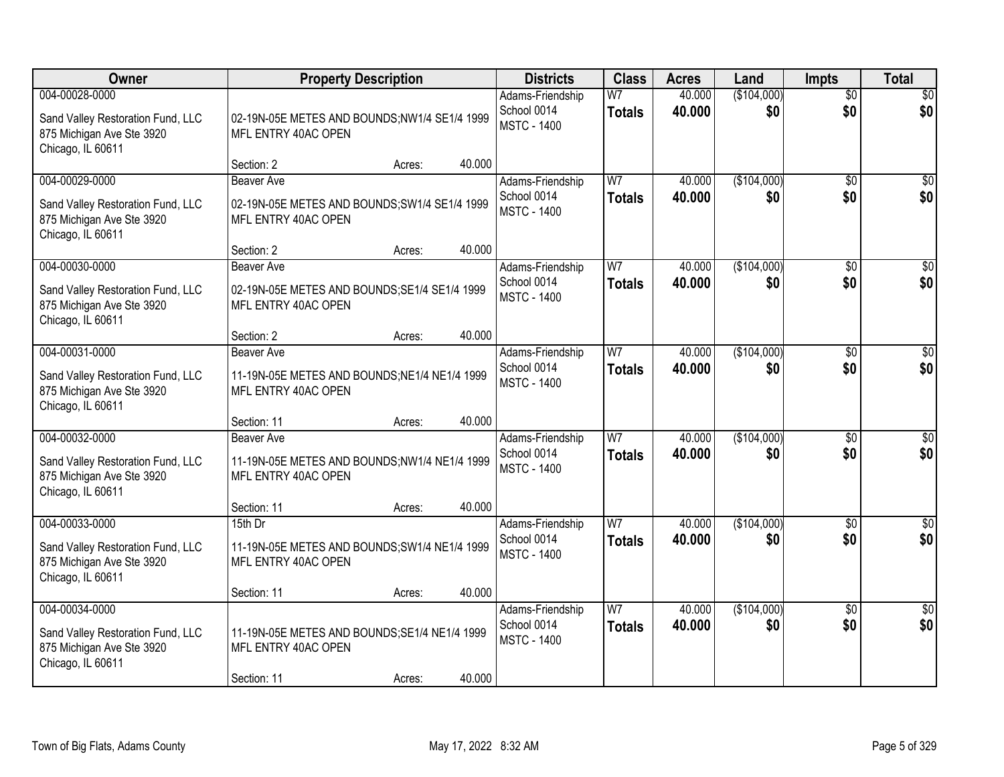| Owner                                                                                                 | <b>Property Description</b>                                                                      |        |        | <b>Districts</b>                                      | <b>Class</b>                    | <b>Acres</b>     | Land               | <b>Impts</b>           | <b>Total</b>            |
|-------------------------------------------------------------------------------------------------------|--------------------------------------------------------------------------------------------------|--------|--------|-------------------------------------------------------|---------------------------------|------------------|--------------------|------------------------|-------------------------|
| 004-00028-0000<br>Sand Valley Restoration Fund, LLC<br>875 Michigan Ave Ste 3920<br>Chicago, IL 60611 | 02-19N-05E METES AND BOUNDS;NW1/4 SE1/4 1999<br>MFL ENTRY 40AC OPEN                              |        |        | Adams-Friendship<br>School 0014<br><b>MSTC - 1400</b> | W <sub>7</sub><br><b>Totals</b> | 40.000<br>40.000 | (\$104,000)<br>\$0 | $\overline{50}$<br>\$0 | \$0<br>\$0              |
|                                                                                                       | Section: 2                                                                                       | Acres: | 40.000 |                                                       |                                 |                  |                    |                        |                         |
| 004-00029-0000<br>Sand Valley Restoration Fund, LLC<br>875 Michigan Ave Ste 3920<br>Chicago, IL 60611 | <b>Beaver Ave</b><br>02-19N-05E METES AND BOUNDS; SW1/4 SE1/4 1999<br>MFL ENTRY 40AC OPEN        |        |        | Adams-Friendship<br>School 0014<br><b>MSTC - 1400</b> | W <sub>7</sub><br><b>Totals</b> | 40.000<br>40.000 | (\$104,000)<br>\$0 | \$0<br>\$0             | \$0<br>\$0              |
| 004-00030-0000                                                                                        | Section: 2<br><b>Beaver Ave</b>                                                                  | Acres: | 40.000 |                                                       | W <sub>7</sub>                  | 40.000           | (\$104,000)        |                        | $\overline{30}$         |
| Sand Valley Restoration Fund, LLC<br>875 Michigan Ave Ste 3920<br>Chicago, IL 60611                   | 02-19N-05E METES AND BOUNDS; SE1/4 SE1/4 1999<br>MFL ENTRY 40AC OPEN                             |        |        | Adams-Friendship<br>School 0014<br><b>MSTC - 1400</b> | <b>Totals</b>                   | 40.000           | \$0                | $\sqrt[6]{}$<br>\$0    | \$0                     |
|                                                                                                       | Section: 2                                                                                       | Acres: | 40.000 |                                                       |                                 |                  |                    |                        |                         |
| 004-00031-0000<br>Sand Valley Restoration Fund, LLC<br>875 Michigan Ave Ste 3920<br>Chicago, IL 60611 | <b>Beaver Ave</b><br>11-19N-05E METES AND BOUNDS; NE1/4 NE1/4 1999<br>MFL ENTRY 40AC OPEN        |        |        | Adams-Friendship<br>School 0014<br><b>MSTC - 1400</b> | W <sub>7</sub><br><b>Totals</b> | 40.000<br>40.000 | (\$104,000)<br>\$0 | $\sqrt[6]{3}$<br>\$0   | $\sqrt{50}$<br>\$0      |
|                                                                                                       | Section: 11                                                                                      | Acres: | 40.000 |                                                       |                                 |                  |                    |                        |                         |
| 004-00032-0000<br>Sand Valley Restoration Fund, LLC<br>875 Michigan Ave Ste 3920<br>Chicago, IL 60611 | Beaver Ave<br>11-19N-05E METES AND BOUNDS;NW1/4 NE1/4 1999<br>MFL ENTRY 40AC OPEN                |        |        | Adams-Friendship<br>School 0014<br><b>MSTC - 1400</b> | $\overline{W}$<br><b>Totals</b> | 40.000<br>40.000 | (\$104,000)<br>\$0 | \$0<br>\$0             | \$0<br>\$0              |
|                                                                                                       | Section: 11                                                                                      | Acres: | 40.000 |                                                       |                                 |                  |                    |                        |                         |
| 004-00033-0000<br>Sand Valley Restoration Fund, LLC<br>875 Michigan Ave Ste 3920<br>Chicago, IL 60611 | $15th$ Dr<br>11-19N-05E METES AND BOUNDS; SW1/4 NE1/4 1999<br>MFL ENTRY 40AC OPEN<br>Section: 11 | Acres: | 40.000 | Adams-Friendship<br>School 0014<br><b>MSTC - 1400</b> | $\overline{W}$<br><b>Totals</b> | 40.000<br>40.000 | (\$104,000)<br>\$0 | $\overline{$0}$<br>\$0 | $\overline{\$0}$<br>\$0 |
| 004-00034-0000                                                                                        |                                                                                                  |        |        | Adams-Friendship                                      | W <sub>7</sub>                  | 40.000           | (\$104,000)        | $\overline{30}$        | $\overline{30}$         |
| Sand Valley Restoration Fund, LLC<br>875 Michigan Ave Ste 3920<br>Chicago, IL 60611                   | 11-19N-05E METES AND BOUNDS; SE1/4 NE1/4 1999<br>MFL ENTRY 40AC OPEN                             |        |        | School 0014<br><b>MSTC - 1400</b>                     | <b>Totals</b>                   | 40.000           | \$0                | \$0                    | \$0                     |
|                                                                                                       | Section: 11                                                                                      | Acres: | 40.000 |                                                       |                                 |                  |                    |                        |                         |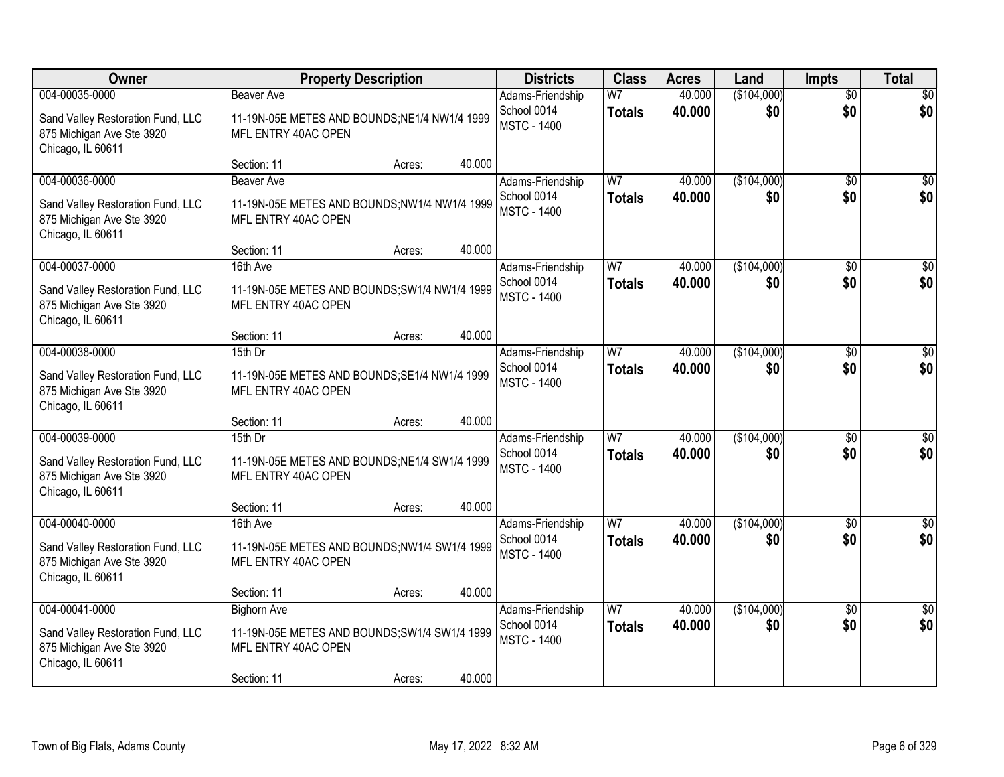| Owner                                                                                                 |                                                                                                           | <b>Property Description</b> |        | <b>Districts</b>                                      | <b>Class</b>                    | <b>Acres</b>     | Land               | <b>Impts</b>           | <b>Total</b>           |
|-------------------------------------------------------------------------------------------------------|-----------------------------------------------------------------------------------------------------------|-----------------------------|--------|-------------------------------------------------------|---------------------------------|------------------|--------------------|------------------------|------------------------|
| 004-00035-0000<br>Sand Valley Restoration Fund, LLC<br>875 Michigan Ave Ste 3920<br>Chicago, IL 60611 | <b>Beaver Ave</b><br>11-19N-05E METES AND BOUNDS; NE1/4 NW1/4 1999<br>MFL ENTRY 40AC OPEN                 |                             |        | Adams-Friendship<br>School 0014<br><b>MSTC - 1400</b> | W <sub>7</sub><br><b>Totals</b> | 40.000<br>40.000 | (\$104,000)<br>\$0 | $\overline{50}$<br>\$0 | \$0<br>\$0             |
|                                                                                                       | Section: 11                                                                                               | Acres:                      | 40.000 |                                                       |                                 |                  |                    |                        |                        |
| 004-00036-0000<br>Sand Valley Restoration Fund, LLC<br>875 Michigan Ave Ste 3920<br>Chicago, IL 60611 | Beaver Ave<br>11-19N-05E METES AND BOUNDS; NW1/4 NW1/4 1999<br>MFL ENTRY 40AC OPEN                        |                             |        | Adams-Friendship<br>School 0014<br><b>MSTC - 1400</b> | W <sub>7</sub><br><b>Totals</b> | 40.000<br>40.000 | (\$104,000)<br>\$0 | \$0<br>\$0             | \$0<br>\$0             |
|                                                                                                       | Section: 11                                                                                               | Acres:                      | 40.000 |                                                       |                                 |                  |                    |                        |                        |
| 004-00037-0000<br>Sand Valley Restoration Fund, LLC<br>875 Michigan Ave Ste 3920<br>Chicago, IL 60611 | 16th Ave<br>11-19N-05E METES AND BOUNDS; SW1/4 NW1/4 1999<br>MFL ENTRY 40AC OPEN                          |                             |        | Adams-Friendship<br>School 0014<br><b>MSTC - 1400</b> | W <sub>7</sub><br><b>Totals</b> | 40.000<br>40.000 | (\$104,000)<br>\$0 | \$0<br>\$0             | $\overline{30}$<br>\$0 |
|                                                                                                       | Section: 11                                                                                               | Acres:                      | 40.000 |                                                       |                                 |                  |                    |                        |                        |
| 004-00038-0000<br>Sand Valley Restoration Fund, LLC<br>875 Michigan Ave Ste 3920<br>Chicago, IL 60611 | 15th Dr<br>11-19N-05E METES AND BOUNDS; SE1/4 NW1/4 1999<br>MFL ENTRY 40AC OPEN                           |                             |        | Adams-Friendship<br>School 0014<br><b>MSTC - 1400</b> | W <sub>7</sub><br><b>Totals</b> | 40.000<br>40.000 | (\$104,000)<br>\$0 | $\sqrt[6]{3}$<br>\$0   | \$0<br>\$0             |
|                                                                                                       | Section: 11                                                                                               | Acres:                      | 40.000 |                                                       |                                 |                  |                    |                        |                        |
| 004-00039-0000<br>Sand Valley Restoration Fund, LLC<br>875 Michigan Ave Ste 3920<br>Chicago, IL 60611 | 15th Dr<br>11-19N-05E METES AND BOUNDS; NE1/4 SW1/4 1999<br>MFL ENTRY 40AC OPEN                           |                             |        | Adams-Friendship<br>School 0014<br><b>MSTC - 1400</b> | W7<br><b>Totals</b>             | 40.000<br>40.000 | (\$104,000)<br>\$0 | $\overline{50}$<br>\$0 | $\overline{50}$<br>\$0 |
|                                                                                                       | Section: 11                                                                                               | Acres:                      | 40.000 |                                                       |                                 |                  |                    |                        |                        |
| 004-00040-0000<br>Sand Valley Restoration Fund, LLC<br>875 Michigan Ave Ste 3920<br>Chicago, IL 60611 | 16th Ave<br>11-19N-05E METES AND BOUNDS;NW1/4 SW1/4 1999<br>MFL ENTRY 40AC OPEN                           |                             |        | Adams-Friendship<br>School 0014<br><b>MSTC - 1400</b> | W <sub>7</sub><br><b>Totals</b> | 40.000<br>40.000 | (\$104,000)<br>\$0 | \$0<br>\$0             | \$0<br>\$0             |
|                                                                                                       | Section: 11                                                                                               | Acres:                      | 40.000 |                                                       |                                 |                  |                    |                        |                        |
| 004-00041-0000<br>Sand Valley Restoration Fund, LLC<br>875 Michigan Ave Ste 3920<br>Chicago, IL 60611 | <b>Bighorn Ave</b><br>11-19N-05E METES AND BOUNDS; SW1/4 SW1/4 1999<br>MFL ENTRY 40AC OPEN<br>Section: 11 | Acres:                      | 40.000 | Adams-Friendship<br>School 0014<br><b>MSTC - 1400</b> | W <sub>7</sub><br><b>Totals</b> | 40.000<br>40.000 | (\$104,000)<br>\$0 | $\overline{30}$<br>\$0 | $\overline{30}$<br>\$0 |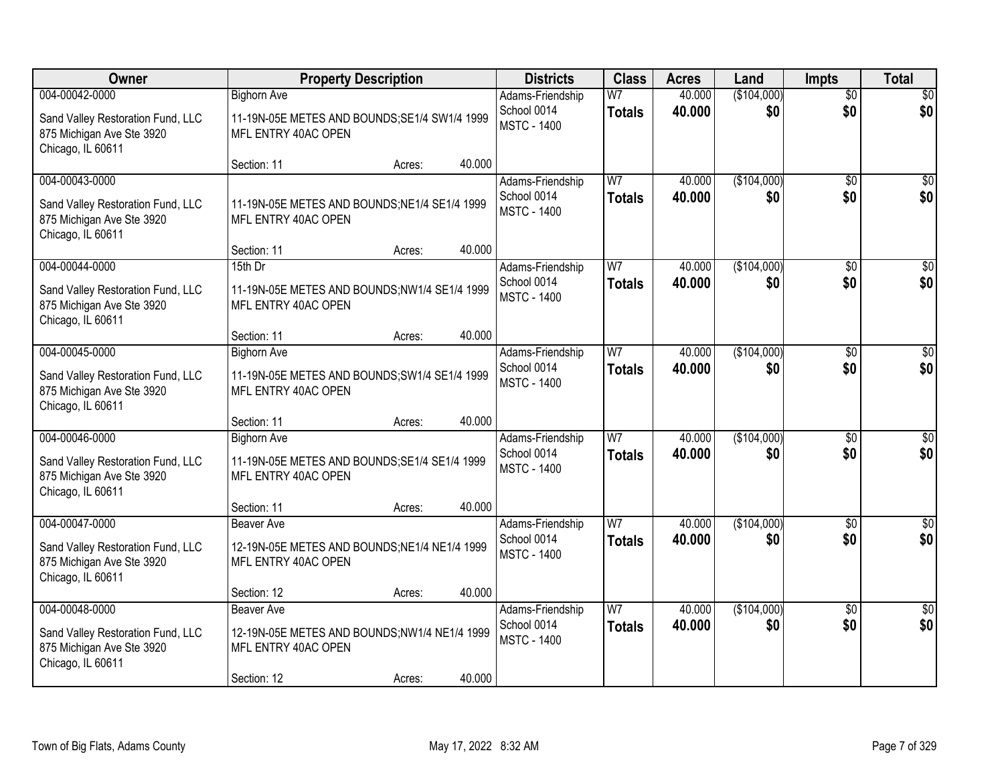| Owner                                                                                                 | <b>Property Description</b>                                                                                       |        | <b>Districts</b>                                      | <b>Class</b>                    | <b>Acres</b>     | Land               | <b>Impts</b>           | <b>Total</b>            |
|-------------------------------------------------------------------------------------------------------|-------------------------------------------------------------------------------------------------------------------|--------|-------------------------------------------------------|---------------------------------|------------------|--------------------|------------------------|-------------------------|
| 004-00042-0000                                                                                        | <b>Bighorn Ave</b>                                                                                                |        | Adams-Friendship                                      | W <sub>7</sub>                  | 40.000           | (\$104,000)        | $\overline{50}$        | \$0                     |
| Sand Valley Restoration Fund, LLC<br>875 Michigan Ave Ste 3920<br>Chicago, IL 60611                   | 11-19N-05E METES AND BOUNDS; SE1/4 SW1/4 1999<br>MFL ENTRY 40AC OPEN                                              |        | School 0014<br><b>MSTC - 1400</b>                     | <b>Totals</b>                   | 40.000           | \$0                | \$0                    | \$0                     |
|                                                                                                       | Section: 11<br>Acres:                                                                                             | 40.000 |                                                       |                                 |                  |                    |                        |                         |
| 004-00043-0000<br>Sand Valley Restoration Fund, LLC<br>875 Michigan Ave Ste 3920<br>Chicago, IL 60611 | 11-19N-05E METES AND BOUNDS; NE1/4 SE1/4 1999<br>MFL ENTRY 40AC OPEN                                              |        | Adams-Friendship<br>School 0014<br><b>MSTC - 1400</b> | W7<br><b>Totals</b>             | 40.000<br>40.000 | (\$104,000)<br>\$0 | \$0<br>\$0             | \$0<br>\$0              |
|                                                                                                       | Section: 11<br>Acres:                                                                                             | 40.000 |                                                       |                                 |                  |                    |                        |                         |
| 004-00044-0000<br>Sand Valley Restoration Fund, LLC<br>875 Michigan Ave Ste 3920<br>Chicago, IL 60611 | 15th Dr<br>11-19N-05E METES AND BOUNDS;NW1/4 SE1/4 1999<br>MFL ENTRY 40AC OPEN                                    |        | Adams-Friendship<br>School 0014<br><b>MSTC - 1400</b> | W7<br><b>Totals</b>             | 40.000<br>40.000 | (\$104,000)<br>\$0 | \$0<br>\$0             | $\overline{50}$<br>\$0  |
|                                                                                                       | Section: 11<br>Acres:                                                                                             | 40.000 |                                                       |                                 |                  |                    |                        |                         |
| 004-00045-0000<br>Sand Valley Restoration Fund, LLC<br>875 Michigan Ave Ste 3920<br>Chicago, IL 60611 | <b>Bighorn Ave</b><br>11-19N-05E METES AND BOUNDS; SW1/4 SE1/4 1999<br>MFL ENTRY 40AC OPEN                        |        | Adams-Friendship<br>School 0014<br><b>MSTC - 1400</b> | W <sub>7</sub><br><b>Totals</b> | 40.000<br>40.000 | (\$104,000)<br>\$0 | $\sqrt{6}$<br>\$0      | $\sqrt{50}$<br>\$0      |
|                                                                                                       | Section: 11<br>Acres:                                                                                             | 40.000 |                                                       |                                 |                  |                    |                        |                         |
| 004-00046-0000<br>Sand Valley Restoration Fund, LLC<br>875 Michigan Ave Ste 3920<br>Chicago, IL 60611 | <b>Bighorn Ave</b><br>11-19N-05E METES AND BOUNDS; SE1/4 SE1/4 1999<br>MFL ENTRY 40AC OPEN                        |        | Adams-Friendship<br>School 0014<br><b>MSTC - 1400</b> | W <sub>7</sub><br><b>Totals</b> | 40.000<br>40.000 | (\$104,000)<br>\$0 | \$0<br>\$0             | $\sqrt{50}$<br>\$0      |
|                                                                                                       | Section: 11<br>Acres:                                                                                             | 40.000 |                                                       |                                 |                  |                    |                        |                         |
| 004-00047-0000<br>Sand Valley Restoration Fund, LLC<br>875 Michigan Ave Ste 3920<br>Chicago, IL 60611 | <b>Beaver Ave</b><br>12-19N-05E METES AND BOUNDS; NE1/4 NE1/4 1999<br>MFL ENTRY 40AC OPEN                         |        | Adams-Friendship<br>School 0014<br><b>MSTC - 1400</b> | W <sub>7</sub><br><b>Totals</b> | 40.000<br>40.000 | (\$104,000)<br>\$0 | \$0<br>\$0             | $\overline{\$0}$<br>\$0 |
|                                                                                                       | Section: 12<br>Acres:                                                                                             | 40.000 |                                                       |                                 |                  |                    |                        |                         |
| 004-00048-0000<br>Sand Valley Restoration Fund, LLC<br>875 Michigan Ave Ste 3920<br>Chicago, IL 60611 | <b>Beaver Ave</b><br>12-19N-05E METES AND BOUNDS;NW1/4 NE1/4 1999<br>MFL ENTRY 40AC OPEN<br>Section: 12<br>Acres: | 40.000 | Adams-Friendship<br>School 0014<br><b>MSTC - 1400</b> | W7<br><b>Totals</b>             | 40.000<br>40.000 | (\$104,000)<br>\$0 | $\overline{30}$<br>\$0 | \$0<br>\$0              |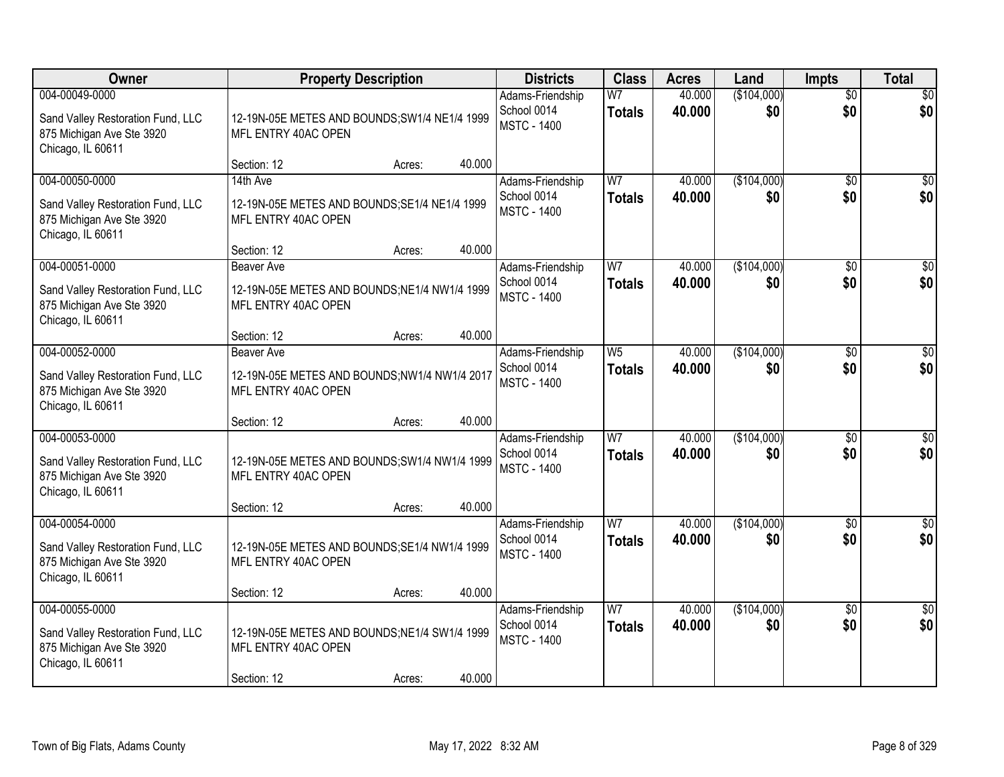| Owner                                                                                                 |                                                                                          | <b>Property Description</b> |        | <b>Districts</b>                                      | <b>Class</b>                    | <b>Acres</b>     | Land               | <b>Impts</b>           | <b>Total</b>            |
|-------------------------------------------------------------------------------------------------------|------------------------------------------------------------------------------------------|-----------------------------|--------|-------------------------------------------------------|---------------------------------|------------------|--------------------|------------------------|-------------------------|
| 004-00049-0000<br>Sand Valley Restoration Fund, LLC<br>875 Michigan Ave Ste 3920<br>Chicago, IL 60611 | 12-19N-05E METES AND BOUNDS; SW1/4 NE1/4 1999<br>MFL ENTRY 40AC OPEN                     |                             |        | Adams-Friendship<br>School 0014<br><b>MSTC - 1400</b> | W <sub>7</sub><br><b>Totals</b> | 40.000<br>40.000 | (\$104,000)<br>\$0 | $\overline{50}$<br>\$0 | \$0<br>\$0              |
|                                                                                                       | Section: 12                                                                              | Acres:                      | 40.000 |                                                       |                                 |                  |                    |                        |                         |
| 004-00050-0000<br>Sand Valley Restoration Fund, LLC<br>875 Michigan Ave Ste 3920<br>Chicago, IL 60611 | 14th Ave<br>12-19N-05E METES AND BOUNDS; SE1/4 NE1/4 1999<br>MFL ENTRY 40AC OPEN         |                             |        | Adams-Friendship<br>School 0014<br><b>MSTC - 1400</b> | W <sub>7</sub><br><b>Totals</b> | 40.000<br>40.000 | (\$104,000)<br>\$0 | \$0<br>\$0             | \$0<br>\$0              |
| 004-00051-0000                                                                                        | Section: 12<br><b>Beaver Ave</b>                                                         | Acres:                      | 40.000 |                                                       | W <sub>7</sub>                  | 40.000           | (\$104,000)        |                        | $\overline{30}$         |
| Sand Valley Restoration Fund, LLC<br>875 Michigan Ave Ste 3920<br>Chicago, IL 60611                   | 12-19N-05E METES AND BOUNDS; NE1/4 NW1/4 1999<br>MFL ENTRY 40AC OPEN                     |                             |        | Adams-Friendship<br>School 0014<br><b>MSTC - 1400</b> | <b>Totals</b>                   | 40.000           | \$0                | $\sqrt[6]{}$<br>\$0    | \$0                     |
|                                                                                                       | Section: 12                                                                              | Acres:                      | 40.000 |                                                       |                                 |                  |                    |                        |                         |
| 004-00052-0000<br>Sand Valley Restoration Fund, LLC<br>875 Michigan Ave Ste 3920<br>Chicago, IL 60611 | <b>Beaver Ave</b><br>12-19N-05E METES AND BOUNDS;NW1/4 NW1/4 2017<br>MFL ENTRY 40AC OPEN |                             |        | Adams-Friendship<br>School 0014<br><b>MSTC - 1400</b> | W <sub>5</sub><br><b>Totals</b> | 40.000<br>40.000 | (\$104,000)<br>\$0 | $\sqrt[6]{3}$<br>\$0   | $\sqrt{50}$<br>\$0      |
|                                                                                                       | Section: 12                                                                              | Acres:                      | 40.000 |                                                       |                                 |                  |                    |                        |                         |
| 004-00053-0000<br>Sand Valley Restoration Fund, LLC<br>875 Michigan Ave Ste 3920<br>Chicago, IL 60611 | 12-19N-05E METES AND BOUNDS; SW1/4 NW1/4 1999<br>MFL ENTRY 40AC OPEN                     |                             |        | Adams-Friendship<br>School 0014<br><b>MSTC - 1400</b> | $\overline{W}$<br><b>Totals</b> | 40.000<br>40.000 | (\$104,000)<br>\$0 | \$0<br>\$0             | \$0<br>\$0              |
|                                                                                                       | Section: 12                                                                              | Acres:                      | 40.000 |                                                       |                                 |                  |                    |                        |                         |
| 004-00054-0000<br>Sand Valley Restoration Fund, LLC<br>875 Michigan Ave Ste 3920<br>Chicago, IL 60611 | 12-19N-05E METES AND BOUNDS; SE1/4 NW1/4 1999<br>MFL ENTRY 40AC OPEN                     |                             |        | Adams-Friendship<br>School 0014<br><b>MSTC - 1400</b> | $\overline{W}$<br><b>Totals</b> | 40.000<br>40.000 | (\$104,000)<br>\$0 | $\overline{$0}$<br>\$0 | $\overline{\$0}$<br>\$0 |
|                                                                                                       | Section: 12                                                                              | Acres:                      | 40.000 |                                                       |                                 |                  |                    |                        |                         |
| 004-00055-0000<br>Sand Valley Restoration Fund, LLC<br>875 Michigan Ave Ste 3920<br>Chicago, IL 60611 | 12-19N-05E METES AND BOUNDS; NE1/4 SW1/4 1999<br>MFL ENTRY 40AC OPEN<br>Section: 12      | Acres:                      | 40.000 | Adams-Friendship<br>School 0014<br><b>MSTC - 1400</b> | W <sub>7</sub><br><b>Totals</b> | 40.000<br>40.000 | (\$104,000)<br>\$0 | $\overline{30}$<br>\$0 | $\overline{50}$<br>\$0  |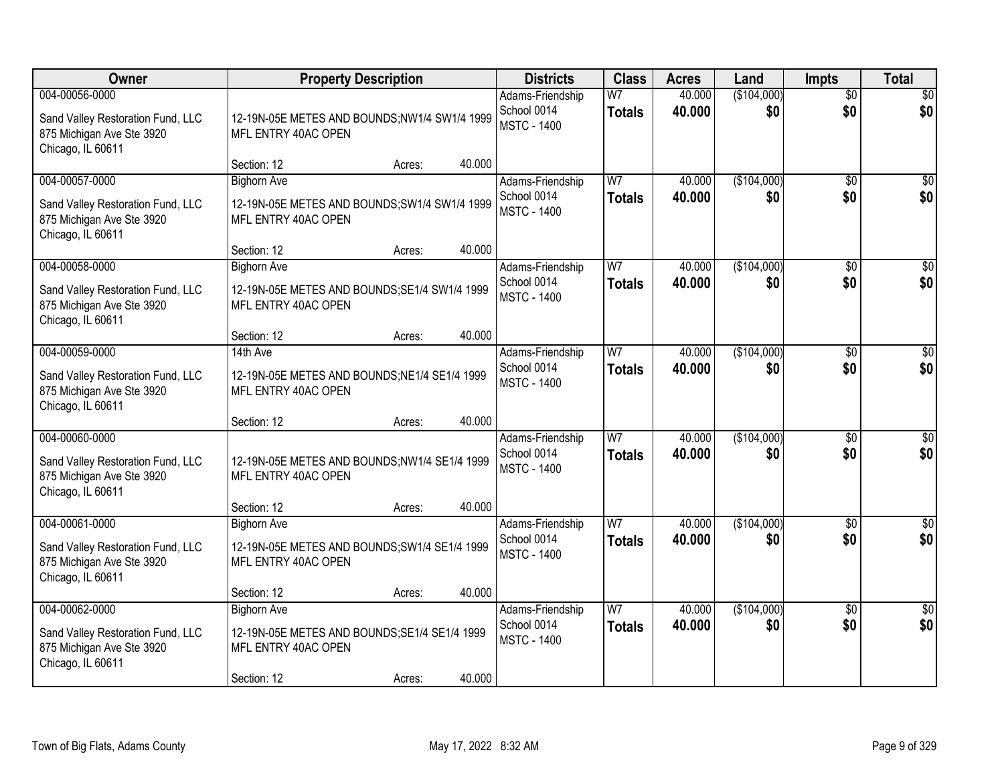| Owner                                                                                                 |                                                                                                           | <b>Property Description</b> |        | <b>Districts</b>                                      | <b>Class</b>                    | <b>Acres</b>     | Land               | <b>Impts</b>           | <b>Total</b>           |
|-------------------------------------------------------------------------------------------------------|-----------------------------------------------------------------------------------------------------------|-----------------------------|--------|-------------------------------------------------------|---------------------------------|------------------|--------------------|------------------------|------------------------|
| 004-00056-0000<br>Sand Valley Restoration Fund, LLC<br>875 Michigan Ave Ste 3920<br>Chicago, IL 60611 | 12-19N-05E METES AND BOUNDS;NW1/4 SW1/4 1999<br>MFL ENTRY 40AC OPEN                                       |                             |        | Adams-Friendship<br>School 0014<br><b>MSTC - 1400</b> | W <sub>7</sub><br><b>Totals</b> | 40.000<br>40.000 | (\$104,000)<br>\$0 | $\overline{50}$<br>\$0 | \$0<br>\$0             |
|                                                                                                       | Section: 12                                                                                               | Acres:                      | 40.000 |                                                       |                                 |                  |                    |                        |                        |
| 004-00057-0000<br>Sand Valley Restoration Fund, LLC<br>875 Michigan Ave Ste 3920<br>Chicago, IL 60611 | <b>Bighorn Ave</b><br>12-19N-05E METES AND BOUNDS; SW1/4 SW1/4 1999<br>MFL ENTRY 40AC OPEN                |                             |        | Adams-Friendship<br>School 0014<br><b>MSTC - 1400</b> | W <sub>7</sub><br><b>Totals</b> | 40.000<br>40.000 | (\$104,000)<br>\$0 | \$0<br>\$0             | \$0<br>\$0             |
| 004-00058-0000                                                                                        | Section: 12                                                                                               | Acres:                      | 40.000 |                                                       | W <sub>7</sub>                  | 40.000           |                    |                        |                        |
| Sand Valley Restoration Fund, LLC<br>875 Michigan Ave Ste 3920<br>Chicago, IL 60611                   | <b>Bighorn Ave</b><br>12-19N-05E METES AND BOUNDS; SE1/4 SW1/4 1999<br>MFL ENTRY 40AC OPEN                |                             |        | Adams-Friendship<br>School 0014<br><b>MSTC - 1400</b> | <b>Totals</b>                   | 40.000           | (\$104,000)<br>\$0 | \$0<br>\$0             | $\overline{50}$<br>\$0 |
|                                                                                                       | Section: 12                                                                                               | Acres:                      | 40.000 |                                                       |                                 |                  |                    |                        |                        |
| 004-00059-0000<br>Sand Valley Restoration Fund, LLC<br>875 Michigan Ave Ste 3920<br>Chicago, IL 60611 | 14th Ave<br>12-19N-05E METES AND BOUNDS; NE1/4 SE1/4 1999<br>MFL ENTRY 40AC OPEN                          |                             |        | Adams-Friendship<br>School 0014<br><b>MSTC - 1400</b> | W <sub>7</sub><br><b>Totals</b> | 40.000<br>40.000 | (\$104,000)<br>\$0 | $\sqrt[6]{3}$<br>\$0   | \$0<br>\$0             |
|                                                                                                       | Section: 12                                                                                               | Acres:                      | 40.000 |                                                       |                                 |                  |                    |                        |                        |
| 004-00060-0000<br>Sand Valley Restoration Fund, LLC<br>875 Michigan Ave Ste 3920<br>Chicago, IL 60611 | 12-19N-05E METES AND BOUNDS;NW1/4 SE1/4 1999<br>MFL ENTRY 40AC OPEN                                       |                             |        | Adams-Friendship<br>School 0014<br><b>MSTC - 1400</b> | $\overline{W}$<br><b>Totals</b> | 40.000<br>40.000 | (\$104,000)<br>\$0 | \$0<br>\$0             | $\overline{50}$<br>\$0 |
|                                                                                                       | Section: 12                                                                                               | Acres:                      | 40.000 |                                                       |                                 |                  |                    |                        |                        |
| 004-00061-0000<br>Sand Valley Restoration Fund, LLC<br>875 Michigan Ave Ste 3920<br>Chicago, IL 60611 | <b>Bighorn Ave</b><br>12-19N-05E METES AND BOUNDS; SW1/4 SE1/4 1999<br>MFL ENTRY 40AC OPEN                |                             |        | Adams-Friendship<br>School 0014<br><b>MSTC - 1400</b> | W <sub>7</sub><br><b>Totals</b> | 40.000<br>40.000 | (\$104,000)<br>\$0 | \$0<br>\$0             | \$0<br>\$0             |
|                                                                                                       | Section: 12                                                                                               | Acres:                      | 40.000 |                                                       |                                 |                  |                    |                        |                        |
| 004-00062-0000<br>Sand Valley Restoration Fund, LLC<br>875 Michigan Ave Ste 3920<br>Chicago, IL 60611 | <b>Bighorn Ave</b><br>12-19N-05E METES AND BOUNDS; SE1/4 SE1/4 1999<br>MFL ENTRY 40AC OPEN<br>Section: 12 | Acres:                      | 40.000 | Adams-Friendship<br>School 0014<br><b>MSTC - 1400</b> | W <sub>7</sub><br><b>Totals</b> | 40.000<br>40.000 | (\$104,000)<br>\$0 | $\overline{30}$<br>\$0 | \$0<br>\$0             |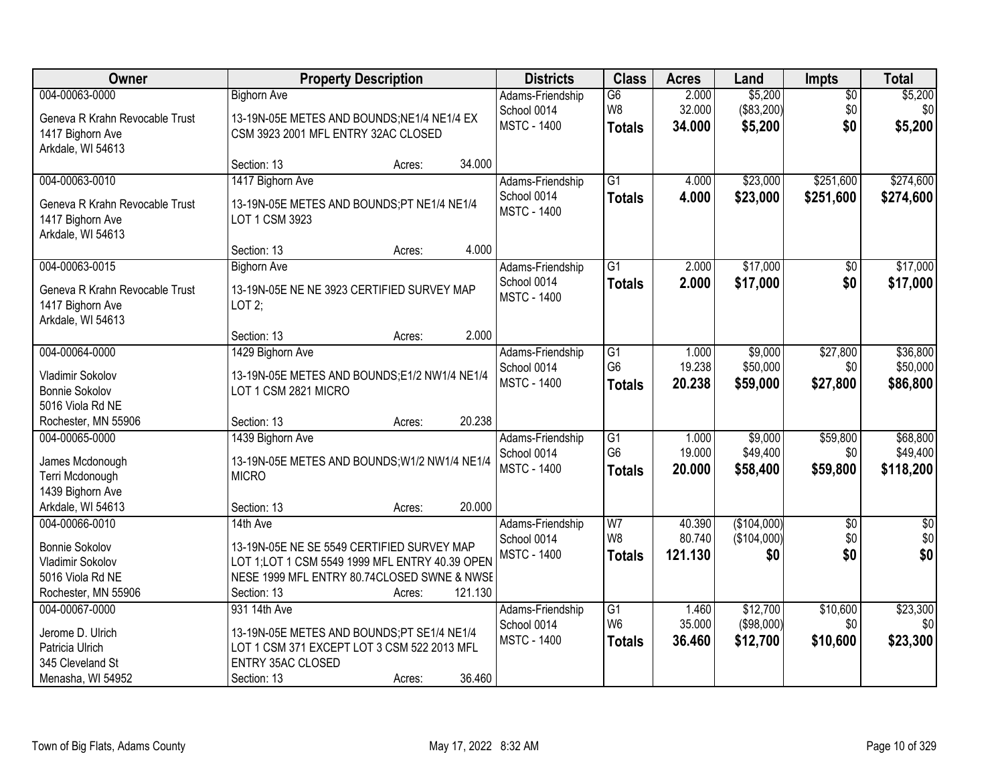| Owner                                              |                                                                                   | <b>Property Description</b> |         | <b>Districts</b>                  | <b>Class</b>        | <b>Acres</b>     | Land                  | <b>Impts</b>    | <b>Total</b>   |
|----------------------------------------------------|-----------------------------------------------------------------------------------|-----------------------------|---------|-----------------------------------|---------------------|------------------|-----------------------|-----------------|----------------|
| 004-00063-0000                                     | <b>Bighorn Ave</b>                                                                |                             |         | Adams-Friendship                  | $\overline{G6}$     | 2.000            | \$5,200               | $\overline{50}$ | \$5,200        |
| Geneva R Krahn Revocable Trust<br>1417 Bighorn Ave | 13-19N-05E METES AND BOUNDS;NE1/4 NE1/4 EX<br>CSM 3923 2001 MFL ENTRY 32AC CLOSED |                             |         | School 0014<br><b>MSTC - 1400</b> | W8<br><b>Totals</b> | 32.000<br>34.000 | (\$83,200)<br>\$5,200 | \$0<br>\$0      | \$0<br>\$5,200 |
| Arkdale, WI 54613                                  |                                                                                   |                             |         |                                   |                     |                  |                       |                 |                |
|                                                    | Section: 13                                                                       | Acres:                      | 34.000  |                                   |                     |                  |                       |                 |                |
| 004-00063-0010                                     | 1417 Bighorn Ave                                                                  |                             |         | Adams-Friendship                  | $\overline{G1}$     | 4.000            | \$23,000              | \$251,600       | \$274,600      |
| Geneva R Krahn Revocable Trust                     | 13-19N-05E METES AND BOUNDS;PT NE1/4 NE1/4                                        |                             |         | School 0014<br><b>MSTC - 1400</b> | <b>Totals</b>       | 4.000            | \$23,000              | \$251,600       | \$274,600      |
| 1417 Bighorn Ave<br>Arkdale, WI 54613              | LOT 1 CSM 3923                                                                    |                             |         |                                   |                     |                  |                       |                 |                |
|                                                    | Section: 13                                                                       | Acres:                      | 4.000   |                                   |                     |                  |                       |                 |                |
| 004-00063-0015                                     | <b>Bighorn Ave</b>                                                                |                             |         | Adams-Friendship                  | $\overline{G1}$     | 2.000            | \$17,000              | \$0             | \$17,000       |
| Geneva R Krahn Revocable Trust                     | 13-19N-05E NE NE 3923 CERTIFIED SURVEY MAP                                        |                             |         | School 0014                       | <b>Totals</b>       | 2.000            | \$17,000              | \$0             | \$17,000       |
| 1417 Bighorn Ave                                   | LOT2;                                                                             |                             |         | <b>MSTC - 1400</b>                |                     |                  |                       |                 |                |
| Arkdale, WI 54613                                  |                                                                                   |                             |         |                                   |                     |                  |                       |                 |                |
|                                                    | Section: 13                                                                       | Acres:                      | 2.000   |                                   |                     |                  |                       |                 |                |
| 004-00064-0000                                     | 1429 Bighorn Ave                                                                  |                             |         | Adams-Friendship                  | $\overline{G1}$     | 1.000            | \$9,000               | \$27,800        | \$36,800       |
| Vladimir Sokolov                                   | 13-19N-05E METES AND BOUNDS;E1/2 NW1/4 NE1/4                                      |                             |         | School 0014<br><b>MSTC - 1400</b> | G <sub>6</sub>      | 19.238<br>20.238 | \$50,000<br>\$59,000  | \$0<br>\$27,800 | \$50,000       |
| <b>Bonnie Sokolov</b>                              | LOT 1 CSM 2821 MICRO                                                              |                             |         |                                   | <b>Totals</b>       |                  |                       |                 | \$86,800       |
| 5016 Viola Rd NE                                   |                                                                                   |                             |         |                                   |                     |                  |                       |                 |                |
| Rochester, MN 55906                                | Section: 13                                                                       | Acres:                      | 20.238  |                                   |                     |                  |                       |                 |                |
| 004-00065-0000                                     | 1439 Bighorn Ave                                                                  |                             |         | Adams-Friendship                  | $\overline{G1}$     | 1.000            | \$9,000               | \$59,800        | \$68,800       |
| James Mcdonough                                    | 13-19N-05E METES AND BOUNDS; W1/2 NW1/4 NE1/4                                     |                             |         | School 0014                       | G <sub>6</sub>      | 19.000           | \$49,400              | \$0             | \$49,400       |
| Terri Mcdonough                                    | <b>MICRO</b>                                                                      |                             |         | <b>MSTC - 1400</b>                | <b>Totals</b>       | 20.000           | \$58,400              | \$59,800        | \$118,200      |
| 1439 Bighorn Ave                                   |                                                                                   |                             |         |                                   |                     |                  |                       |                 |                |
| Arkdale, WI 54613                                  | Section: 13                                                                       | Acres:                      | 20.000  |                                   |                     |                  |                       |                 |                |
| 004-00066-0010                                     | 14th Ave                                                                          |                             |         | Adams-Friendship                  | W7                  | 40.390           | (\$104,000)           | $\sqrt{6}$      | \$0            |
| <b>Bonnie Sokolov</b>                              | 13-19N-05E NE SE 5549 CERTIFIED SURVEY MAP                                        |                             |         | School 0014                       | W <sub>8</sub>      | 80.740           | (\$104,000)           | \$0             | \$0            |
| Vladimir Sokolov                                   | LOT 1; LOT 1 CSM 5549 1999 MFL ENTRY 40.39 OPEN                                   |                             |         | <b>MSTC - 1400</b>                | <b>Totals</b>       | 121.130          | \$0                   | \$0             | \$0            |
| 5016 Viola Rd NE                                   | NESE 1999 MFL ENTRY 80.74CLOSED SWNE & NWSE                                       |                             |         |                                   |                     |                  |                       |                 |                |
| Rochester, MN 55906                                | Section: 13                                                                       | Acres:                      | 121.130 |                                   |                     |                  |                       |                 |                |
| 004-00067-0000                                     | 931 14th Ave                                                                      |                             |         | Adams-Friendship                  | G1                  | 1.460            | \$12,700              | \$10,600        | \$23,300       |
| Jerome D. Ulrich                                   | 13-19N-05E METES AND BOUNDS;PT SE1/4 NE1/4                                        |                             |         | School 0014                       | W <sub>6</sub>      | 35.000           | (\$98,000)            | \$0             | \$0            |
| Patricia Ulrich                                    | LOT 1 CSM 371 EXCEPT LOT 3 CSM 522 2013 MFL                                       |                             |         | <b>MSTC - 1400</b>                | <b>Totals</b>       | 36.460           | \$12,700              | \$10,600        | \$23,300       |
| 345 Cleveland St                                   | <b>ENTRY 35AC CLOSED</b>                                                          |                             |         |                                   |                     |                  |                       |                 |                |
| Menasha, WI 54952                                  | Section: 13                                                                       | Acres:                      | 36.460  |                                   |                     |                  |                       |                 |                |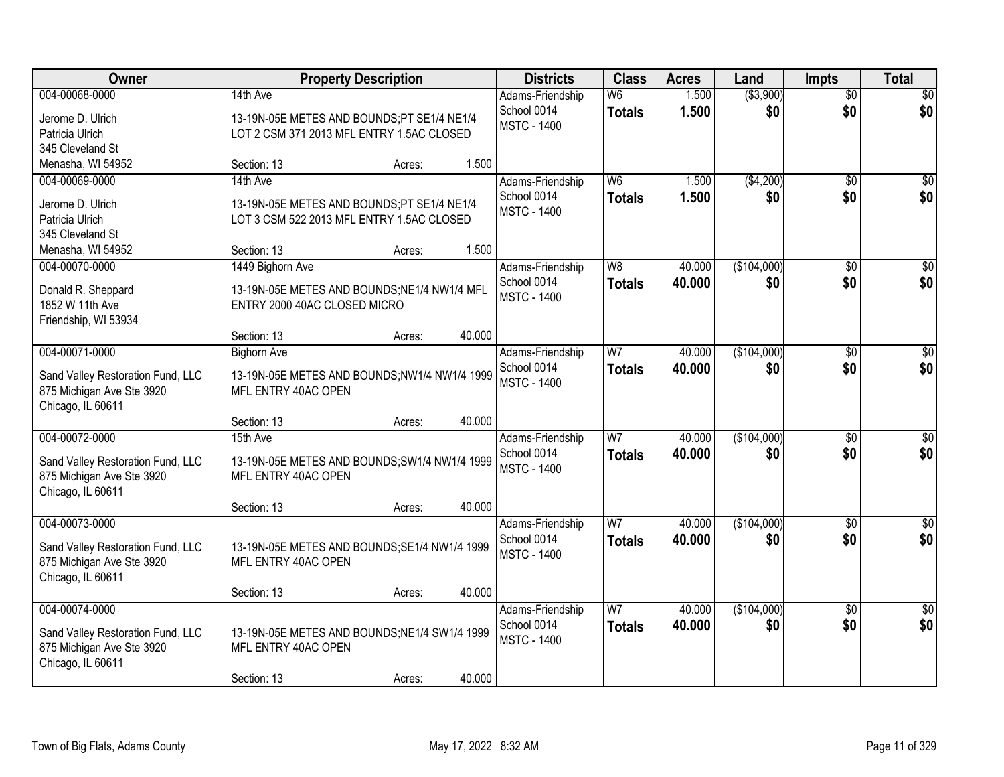| Owner                                                          |                                                                      | <b>Property Description</b> |        | <b>Districts</b>   | <b>Class</b>   | <b>Acres</b> | Land        | <b>Impts</b>    | <b>Total</b>     |
|----------------------------------------------------------------|----------------------------------------------------------------------|-----------------------------|--------|--------------------|----------------|--------------|-------------|-----------------|------------------|
| 004-00068-0000                                                 | 14th Ave                                                             |                             |        | Adams-Friendship   | W <sub>6</sub> | 1.500        | ( \$3,900)  | $\overline{50}$ | \$0              |
| Jerome D. Ulrich                                               | 13-19N-05E METES AND BOUNDS;PT SE1/4 NE1/4                           |                             |        | School 0014        | <b>Totals</b>  | 1.500        | \$0         | \$0             | \$0              |
| Patricia Ulrich                                                | LOT 2 CSM 371 2013 MFL ENTRY 1.5AC CLOSED                            |                             |        | <b>MSTC - 1400</b> |                |              |             |                 |                  |
| 345 Cleveland St                                               |                                                                      |                             |        |                    |                |              |             |                 |                  |
| Menasha, WI 54952                                              | Section: 13                                                          | Acres:                      | 1.500  |                    |                |              |             |                 |                  |
| 004-00069-0000                                                 | 14th Ave                                                             |                             |        | Adams-Friendship   | W <sub>6</sub> | 1.500        | (\$4,200)   | \$0             | \$0              |
| Jerome D. Ulrich                                               | 13-19N-05E METES AND BOUNDS;PT SE1/4 NE1/4                           |                             |        | School 0014        | <b>Totals</b>  | 1.500        | \$0         | \$0             | \$0              |
| Patricia Ulrich                                                | LOT 3 CSM 522 2013 MFL ENTRY 1.5AC CLOSED                            |                             |        | <b>MSTC - 1400</b> |                |              |             |                 |                  |
| 345 Cleveland St                                               |                                                                      |                             |        |                    |                |              |             |                 |                  |
| Menasha, WI 54952                                              | Section: 13                                                          | Acres:                      | 1.500  |                    |                |              |             |                 |                  |
| 004-00070-0000                                                 | 1449 Bighorn Ave                                                     |                             |        | Adams-Friendship   | W <sub>8</sub> | 40.000       | (\$104,000) | \$0             | $\overline{50}$  |
| Donald R. Sheppard                                             | 13-19N-05E METES AND BOUNDS;NE1/4 NW1/4 MFL                          |                             |        | School 0014        | <b>Totals</b>  | 40.000       | \$0         | \$0             | \$0              |
| 1852 W 11th Ave                                                | ENTRY 2000 40AC CLOSED MICRO                                         |                             |        | <b>MSTC - 1400</b> |                |              |             |                 |                  |
| Friendship, WI 53934                                           |                                                                      |                             |        |                    |                |              |             |                 |                  |
|                                                                | Section: 13                                                          | Acres:                      | 40.000 |                    |                |              |             |                 |                  |
| 004-00071-0000                                                 | <b>Bighorn Ave</b>                                                   |                             |        | Adams-Friendship   | W <sub>7</sub> | 40.000       | (\$104,000) | $\sqrt[6]{3}$   | $\sqrt{50}$      |
| Sand Valley Restoration Fund, LLC                              | 13-19N-05E METES AND BOUNDS;NW1/4 NW1/4 1999                         |                             |        | School 0014        | <b>Totals</b>  | 40.000       | \$0         | \$0             | \$0              |
| 875 Michigan Ave Ste 3920                                      | MFL ENTRY 40AC OPEN                                                  |                             |        | <b>MSTC - 1400</b> |                |              |             |                 |                  |
| Chicago, IL 60611                                              |                                                                      |                             |        |                    |                |              |             |                 |                  |
|                                                                | Section: 13                                                          | Acres:                      | 40.000 |                    |                |              |             |                 |                  |
| 004-00072-0000                                                 | 15th Ave                                                             |                             |        | Adams-Friendship   | W <sub>7</sub> | 40.000       | (\$104,000) | \$0             | $\sqrt{50}$      |
|                                                                |                                                                      |                             |        | School 0014        | <b>Totals</b>  | 40.000       | \$0         | \$0             | \$0              |
| Sand Valley Restoration Fund, LLC<br>875 Michigan Ave Ste 3920 | 13-19N-05E METES AND BOUNDS; SW1/4 NW1/4 1999<br>MFL ENTRY 40AC OPEN |                             |        | <b>MSTC - 1400</b> |                |              |             |                 |                  |
| Chicago, IL 60611                                              |                                                                      |                             |        |                    |                |              |             |                 |                  |
|                                                                | Section: 13                                                          | Acres:                      | 40.000 |                    |                |              |             |                 |                  |
| 004-00073-0000                                                 |                                                                      |                             |        | Adams-Friendship   | $\overline{W}$ | 40.000       | (\$104,000) | \$0             | $\overline{\$0}$ |
|                                                                |                                                                      |                             |        | School 0014        | <b>Totals</b>  | 40.000       | \$0         | \$0             | \$0              |
| Sand Valley Restoration Fund, LLC<br>875 Michigan Ave Ste 3920 | 13-19N-05E METES AND BOUNDS; SE1/4 NW1/4 1999<br>MFL ENTRY 40AC OPEN |                             |        | <b>MSTC - 1400</b> |                |              |             |                 |                  |
| Chicago, IL 60611                                              |                                                                      |                             |        |                    |                |              |             |                 |                  |
|                                                                | Section: 13                                                          | Acres:                      | 40.000 |                    |                |              |             |                 |                  |
| 004-00074-0000                                                 |                                                                      |                             |        | Adams-Friendship   | W <sub>7</sub> | 40.000       | (\$104,000) | $\overline{30}$ | \$0              |
|                                                                |                                                                      |                             |        | School 0014        | <b>Totals</b>  | 40.000       | \$0         | \$0             | \$0              |
| Sand Valley Restoration Fund, LLC                              | 13-19N-05E METES AND BOUNDS; NE1/4 SW1/4 1999<br>MFL ENTRY 40AC OPEN |                             |        | <b>MSTC - 1400</b> |                |              |             |                 |                  |
| 875 Michigan Ave Ste 3920<br>Chicago, IL 60611                 |                                                                      |                             |        |                    |                |              |             |                 |                  |
|                                                                | Section: 13                                                          | Acres:                      | 40.000 |                    |                |              |             |                 |                  |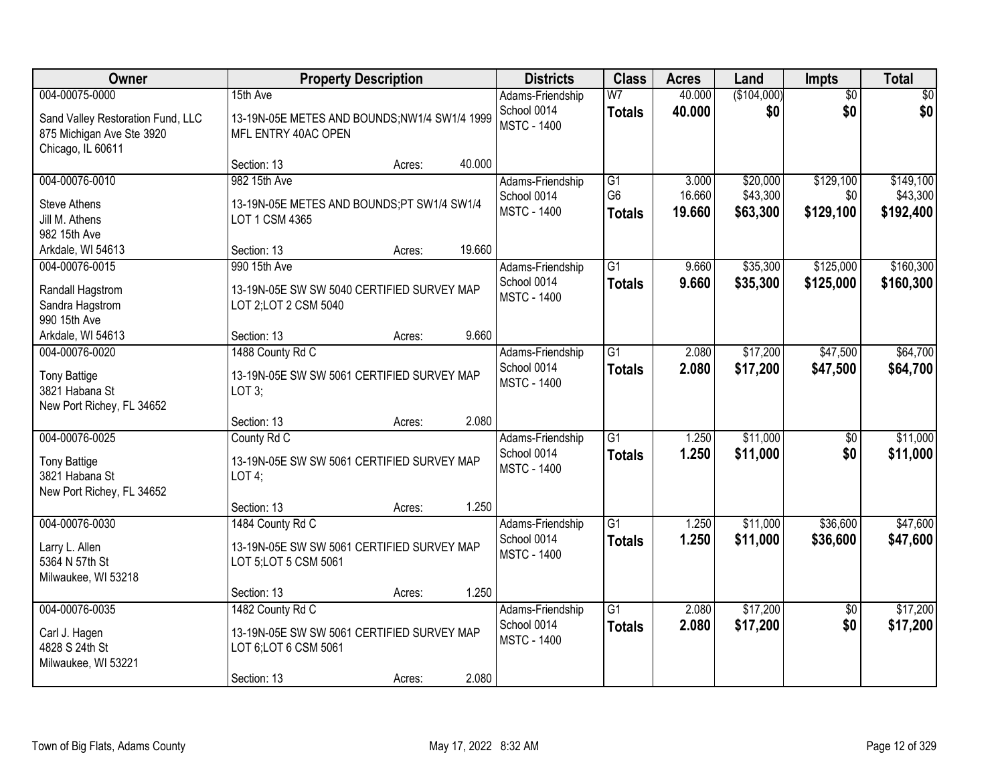| Owner                                                                                                     |                                                                                                                       | <b>Property Description</b> |                | <b>Districts</b>                                      | <b>Class</b>                                       | <b>Acres</b>              | Land                             | Impts                         | <b>Total</b>                       |
|-----------------------------------------------------------------------------------------------------------|-----------------------------------------------------------------------------------------------------------------------|-----------------------------|----------------|-------------------------------------------------------|----------------------------------------------------|---------------------------|----------------------------------|-------------------------------|------------------------------------|
| 004-00075-0000<br>Sand Valley Restoration Fund, LLC<br>875 Michigan Ave Ste 3920<br>Chicago, IL 60611     | 15th Ave<br>13-19N-05E METES AND BOUNDS; NW1/4 SW1/4 1999<br>MFL ENTRY 40AC OPEN                                      |                             |                | Adams-Friendship<br>School 0014<br><b>MSTC - 1400</b> | W <sub>7</sub><br><b>Totals</b>                    | 40.000<br>40.000          | (\$104,000)<br>\$0               | $\overline{50}$<br>\$0        | \$0<br>\$0                         |
|                                                                                                           | Section: 13                                                                                                           | Acres:                      | 40.000         |                                                       |                                                    |                           |                                  |                               |                                    |
| 004-00076-0010<br><b>Steve Athens</b><br>Jill M. Athens                                                   | 982 15th Ave<br>13-19N-05E METES AND BOUNDS;PT SW1/4 SW1/4<br>LOT 1 CSM 4365                                          |                             |                | Adams-Friendship<br>School 0014<br><b>MSTC - 1400</b> | $\overline{G1}$<br>G <sub>6</sub><br><b>Totals</b> | 3.000<br>16.660<br>19.660 | \$20,000<br>\$43,300<br>\$63,300 | \$129,100<br>\$0<br>\$129,100 | \$149,100<br>\$43,300<br>\$192,400 |
| 982 15th Ave<br>Arkdale, WI 54613                                                                         | Section: 13                                                                                                           | Acres:                      | 19.660         |                                                       |                                                    |                           |                                  |                               |                                    |
| 004-00076-0015<br>Randall Hagstrom<br>Sandra Hagstrom<br>990 15th Ave                                     | 990 15th Ave<br>13-19N-05E SW SW 5040 CERTIFIED SURVEY MAP<br>LOT 2; LOT 2 CSM 5040                                   |                             | 9.660          | Adams-Friendship<br>School 0014<br><b>MSTC - 1400</b> | $\overline{G1}$<br><b>Totals</b>                   | 9.660<br>9.660            | \$35,300<br>\$35,300             | \$125,000<br>\$125,000        | \$160,300<br>\$160,300             |
| Arkdale, WI 54613<br>004-00076-0020<br><b>Tony Battige</b><br>3821 Habana St<br>New Port Richey, FL 34652 | Section: 13<br>1488 County Rd C<br>13-19N-05E SW SW 5061 CERTIFIED SURVEY MAP<br>LOT 3;                               | Acres:                      |                | Adams-Friendship<br>School 0014<br><b>MSTC - 1400</b> | G1<br><b>Totals</b>                                | 2.080<br>2.080            | \$17,200<br>\$17,200             | \$47,500<br>\$47,500          | \$64,700<br>\$64,700               |
| 004-00076-0025<br><b>Tony Battige</b><br>3821 Habana St<br>New Port Richey, FL 34652                      | Section: 13<br>County Rd C<br>13-19N-05E SW SW 5061 CERTIFIED SURVEY MAP<br>LOT4;                                     | Acres:                      | 2.080<br>1.250 | Adams-Friendship<br>School 0014<br><b>MSTC - 1400</b> | $\overline{G1}$<br><b>Totals</b>                   | 1.250<br>1.250            | \$11,000<br>\$11,000             | $\overline{50}$<br>\$0        | \$11,000<br>\$11,000               |
| 004-00076-0030<br>Larry L. Allen<br>5364 N 57th St<br>Milwaukee, WI 53218                                 | Section: 13<br>1484 County Rd C<br>13-19N-05E SW SW 5061 CERTIFIED SURVEY MAP<br>LOT 5; LOT 5 CSM 5061<br>Section: 13 | Acres:<br>Acres:            | 1.250          | Adams-Friendship<br>School 0014<br><b>MSTC - 1400</b> | $\overline{G1}$<br><b>Totals</b>                   | 1.250<br>1.250            | \$11,000<br>\$11,000             | \$36,600<br>\$36,600          | \$47,600<br>\$47,600               |
| 004-00076-0035<br>Carl J. Hagen<br>4828 S 24th St<br>Milwaukee, WI 53221                                  | 1482 County Rd C<br>13-19N-05E SW SW 5061 CERTIFIED SURVEY MAP<br>LOT 6; LOT 6 CSM 5061<br>Section: 13                | Acres:                      | 2.080          | Adams-Friendship<br>School 0014<br><b>MSTC - 1400</b> | $\overline{G1}$<br><b>Totals</b>                   | 2.080<br>2.080            | \$17,200<br>\$17,200             | $\overline{50}$<br>\$0        | \$17,200<br>\$17,200               |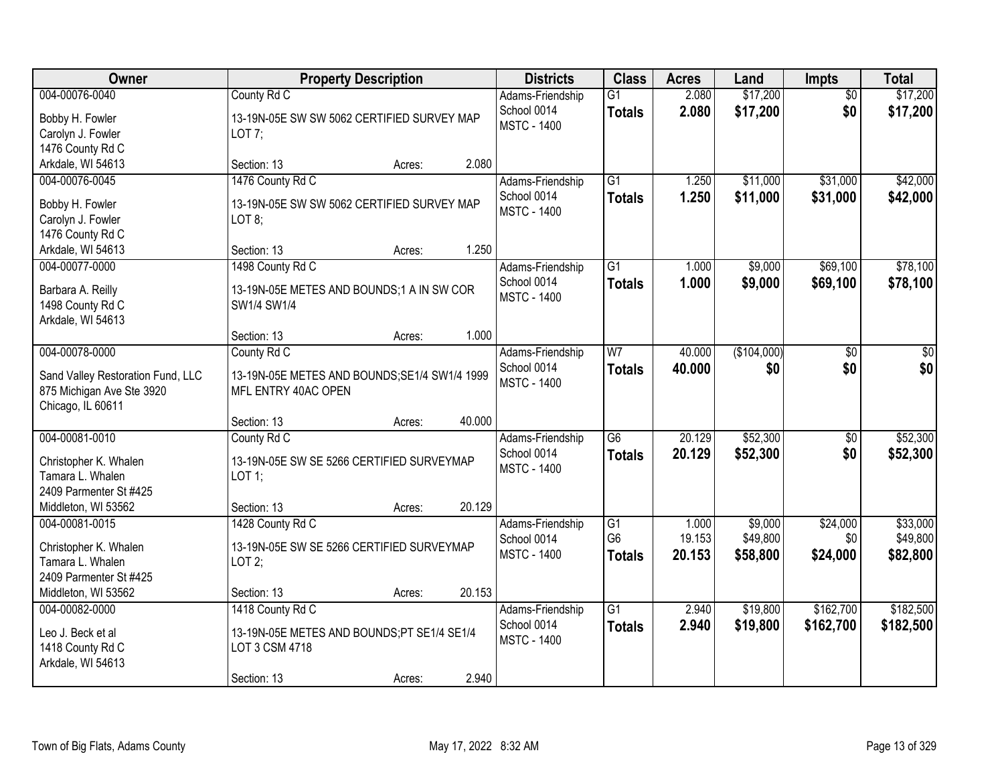| Owner                                                                                                 | <b>Property Description</b>                                                                                        | <b>Districts</b>                                      | <b>Class</b>                                       | <b>Acres</b>              | Land                            | <b>Impts</b>                | <b>Total</b>                     |
|-------------------------------------------------------------------------------------------------------|--------------------------------------------------------------------------------------------------------------------|-------------------------------------------------------|----------------------------------------------------|---------------------------|---------------------------------|-----------------------------|----------------------------------|
| 004-00076-0040<br>Bobby H. Fowler<br>Carolyn J. Fowler<br>1476 County Rd C                            | County Rd C<br>13-19N-05E SW SW 5062 CERTIFIED SURVEY MAP<br>LOT $7$ ;                                             | Adams-Friendship<br>School 0014<br><b>MSTC - 1400</b> | $\overline{G1}$<br><b>Totals</b>                   | 2.080<br>2.080            | \$17,200<br>\$17,200            | $\overline{50}$<br>\$0      | \$17,200<br>\$17,200             |
| Arkdale, WI 54613                                                                                     | 2.080<br>Section: 13<br>Acres:                                                                                     |                                                       |                                                    |                           |                                 |                             |                                  |
| 004-00076-0045<br>Bobby H. Fowler<br>Carolyn J. Fowler<br>1476 County Rd C                            | 1476 County Rd C<br>13-19N-05E SW SW 5062 CERTIFIED SURVEY MAP<br>LOT 8;                                           | Adams-Friendship<br>School 0014<br><b>MSTC - 1400</b> | $\overline{G1}$<br><b>Totals</b>                   | 1.250<br>1.250            | \$11,000<br>\$11,000            | \$31,000<br>\$31,000        | \$42,000<br>\$42,000             |
| Arkdale, WI 54613                                                                                     | 1.250<br>Section: 13<br>Acres:                                                                                     |                                                       |                                                    |                           |                                 |                             |                                  |
| 004-00077-0000<br>Barbara A. Reilly<br>1498 County Rd C<br>Arkdale, WI 54613                          | 1498 County Rd C<br>13-19N-05E METES AND BOUNDS;1 A IN SW COR<br>SW1/4 SW1/4                                       | Adams-Friendship<br>School 0014<br><b>MSTC - 1400</b> | $\overline{G1}$<br><b>Totals</b>                   | 1.000<br>1.000            | \$9,000<br>\$9,000              | \$69,100<br>\$69,100        | \$78,100<br>\$78,100             |
|                                                                                                       | 1.000<br>Section: 13<br>Acres:                                                                                     |                                                       |                                                    |                           |                                 |                             |                                  |
| 004-00078-0000<br>Sand Valley Restoration Fund, LLC<br>875 Michigan Ave Ste 3920<br>Chicago, IL 60611 | County Rd C<br>13-19N-05E METES AND BOUNDS; SE1/4 SW1/4 1999<br>MFL ENTRY 40AC OPEN                                | Adams-Friendship<br>School 0014<br><b>MSTC - 1400</b> | W <sub>7</sub><br><b>Totals</b>                    | 40.000<br>40.000          | (\$104,000)<br>\$0              | \$0<br>\$0                  | \$0<br>\$0                       |
|                                                                                                       | 40.000<br>Section: 13<br>Acres:                                                                                    |                                                       |                                                    |                           |                                 |                             |                                  |
| 004-00081-0010<br>Christopher K. Whalen<br>Tamara L. Whalen<br>2409 Parmenter St #425                 | County Rd C<br>13-19N-05E SW SE 5266 CERTIFIED SURVEYMAP<br>$LOT$ 1;                                               | Adams-Friendship<br>School 0014<br><b>MSTC - 1400</b> | $\overline{G6}$<br><b>Totals</b>                   | 20.129<br>20.129          | \$52,300<br>\$52,300            | \$0<br>\$0                  | \$52,300<br>\$52,300             |
| Middleton, WI 53562                                                                                   | 20.129<br>Section: 13<br>Acres:                                                                                    |                                                       |                                                    |                           |                                 |                             |                                  |
| 004-00081-0015<br>Christopher K. Whalen<br>Tamara L. Whalen<br>2409 Parmenter St #425                 | 1428 County Rd C<br>13-19N-05E SW SE 5266 CERTIFIED SURVEYMAP<br>LOT2;                                             | Adams-Friendship<br>School 0014<br><b>MSTC - 1400</b> | $\overline{G1}$<br>G <sub>6</sub><br><b>Totals</b> | 1.000<br>19.153<br>20.153 | \$9,000<br>\$49,800<br>\$58,800 | \$24,000<br>\$0<br>\$24,000 | \$33,000<br>\$49,800<br>\$82,800 |
| Middleton, WI 53562<br>004-00082-0000                                                                 | 20.153<br>Section: 13<br>Acres:                                                                                    |                                                       | $\overline{G1}$                                    | 2.940                     | \$19,800                        | \$162,700                   | \$182,500                        |
| Leo J. Beck et al<br>1418 County Rd C<br>Arkdale, WI 54613                                            | 1418 County Rd C<br>13-19N-05E METES AND BOUNDS;PT SE1/4 SE1/4<br>LOT 3 CSM 4718<br>2.940<br>Section: 13<br>Acres: | Adams-Friendship<br>School 0014<br><b>MSTC - 1400</b> | <b>Totals</b>                                      | 2.940                     | \$19,800                        | \$162,700                   | \$182,500                        |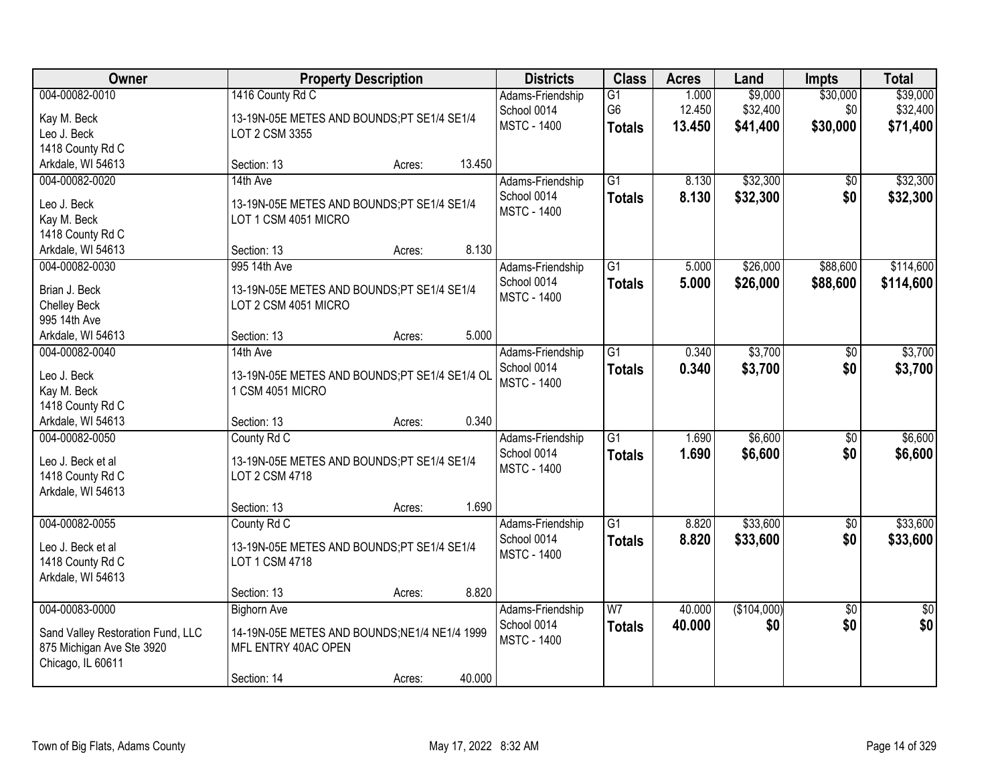| Owner                             |                                               | <b>Property Description</b> |        | <b>Districts</b>                  | <b>Class</b>    | <b>Acres</b> | Land        | <b>Impts</b>    | <b>Total</b>    |
|-----------------------------------|-----------------------------------------------|-----------------------------|--------|-----------------------------------|-----------------|--------------|-------------|-----------------|-----------------|
| 004-00082-0010                    | 1416 County Rd C                              |                             |        | Adams-Friendship                  | $\overline{G1}$ | 1.000        | \$9,000     | \$30,000        | \$39,000        |
| Kay M. Beck                       | 13-19N-05E METES AND BOUNDS;PT SE1/4 SE1/4    |                             |        | School 0014                       | G <sub>6</sub>  | 12.450       | \$32,400    | \$0             | \$32,400        |
| Leo J. Beck                       | LOT 2 CSM 3355                                |                             |        | <b>MSTC - 1400</b>                | <b>Totals</b>   | 13.450       | \$41,400    | \$30,000        | \$71,400        |
| 1418 County Rd C                  |                                               |                             |        |                                   |                 |              |             |                 |                 |
| Arkdale, WI 54613                 | Section: 13                                   | Acres:                      | 13.450 |                                   |                 |              |             |                 |                 |
| 004-00082-0020                    | 14th Ave                                      |                             |        | Adams-Friendship                  | $\overline{G1}$ | 8.130        | \$32,300    | \$0             | \$32,300        |
| Leo J. Beck                       | 13-19N-05E METES AND BOUNDS;PT SE1/4 SE1/4    |                             |        | School 0014                       | <b>Totals</b>   | 8.130        | \$32,300    | \$0             | \$32,300        |
| Kay M. Beck                       | LOT 1 CSM 4051 MICRO                          |                             |        | <b>MSTC - 1400</b>                |                 |              |             |                 |                 |
| 1418 County Rd C                  |                                               |                             |        |                                   |                 |              |             |                 |                 |
| Arkdale, WI 54613                 | Section: 13                                   | Acres:                      | 8.130  |                                   |                 |              |             |                 |                 |
| 004-00082-0030                    | 995 14th Ave                                  |                             |        | Adams-Friendship                  | G1              | 5.000        | \$26,000    | \$88,600        | \$114,600       |
|                                   |                                               |                             |        | School 0014                       | <b>Totals</b>   | 5.000        | \$26,000    | \$88,600        | \$114,600       |
| Brian J. Beck                     | 13-19N-05E METES AND BOUNDS;PT SE1/4 SE1/4    |                             |        | <b>MSTC - 1400</b>                |                 |              |             |                 |                 |
| <b>Chelley Beck</b>               | LOT 2 CSM 4051 MICRO                          |                             |        |                                   |                 |              |             |                 |                 |
| 995 14th Ave                      |                                               |                             |        |                                   |                 |              |             |                 |                 |
| Arkdale, WI 54613                 | Section: 13                                   | Acres:                      | 5.000  |                                   |                 |              |             |                 |                 |
| 004-00082-0040                    | 14th Ave                                      |                             |        | Adams-Friendship                  | $\overline{G1}$ | 0.340        | \$3,700     | \$0             | \$3,700         |
| Leo J. Beck                       | 13-19N-05E METES AND BOUNDS;PT SE1/4 SE1/4 OL |                             |        | School 0014                       | <b>Totals</b>   | 0.340        | \$3,700     | \$0             | \$3,700         |
| Kay M. Beck                       | 1 CSM 4051 MICRO                              |                             |        | <b>MSTC - 1400</b>                |                 |              |             |                 |                 |
| 1418 County Rd C                  |                                               |                             |        |                                   |                 |              |             |                 |                 |
| Arkdale, WI 54613                 | Section: 13                                   | Acres:                      | 0.340  |                                   |                 |              |             |                 |                 |
| 004-00082-0050                    | County Rd C                                   |                             |        | Adams-Friendship                  | $\overline{G1}$ | 1.690        | \$6,600     | $\overline{50}$ | \$6,600         |
| Leo J. Beck et al                 | 13-19N-05E METES AND BOUNDS;PT SE1/4 SE1/4    |                             |        | School 0014                       | <b>Totals</b>   | 1.690        | \$6,600     | \$0             | \$6,600         |
| 1418 County Rd C                  | LOT 2 CSM 4718                                |                             |        | <b>MSTC - 1400</b>                |                 |              |             |                 |                 |
| Arkdale, WI 54613                 |                                               |                             |        |                                   |                 |              |             |                 |                 |
|                                   | Section: 13                                   | Acres:                      | 1.690  |                                   |                 |              |             |                 |                 |
| 004-00082-0055                    | County Rd C                                   |                             |        | Adams-Friendship                  | $\overline{G1}$ | 8.820        | \$33,600    | $\overline{60}$ | \$33,600        |
|                                   |                                               |                             |        | School 0014                       | <b>Totals</b>   | 8.820        | \$33,600    | \$0             | \$33,600        |
| Leo J. Beck et al                 | 13-19N-05E METES AND BOUNDS;PT SE1/4 SE1/4    |                             |        | <b>MSTC - 1400</b>                |                 |              |             |                 |                 |
| 1418 County Rd C                  | LOT 1 CSM 4718                                |                             |        |                                   |                 |              |             |                 |                 |
| Arkdale, WI 54613                 |                                               |                             | 8.820  |                                   |                 |              |             |                 |                 |
|                                   | Section: 13                                   | Acres:                      |        |                                   |                 |              |             |                 |                 |
| 004-00083-0000                    | <b>Bighorn Ave</b>                            |                             |        | Adams-Friendship                  | $\overline{W}$  | 40.000       | (\$104,000) | $\overline{50}$ | $\overline{50}$ |
| Sand Valley Restoration Fund, LLC | 14-19N-05E METES AND BOUNDS; NE1/4 NE1/4 1999 |                             |        | School 0014<br><b>MSTC - 1400</b> | <b>Totals</b>   | 40.000       | \$0         | \$0             | \$0             |
| 875 Michigan Ave Ste 3920         | MFL ENTRY 40AC OPEN                           |                             |        |                                   |                 |              |             |                 |                 |
| Chicago, IL 60611                 |                                               |                             |        |                                   |                 |              |             |                 |                 |
|                                   | Section: 14                                   | Acres:                      | 40.000 |                                   |                 |              |             |                 |                 |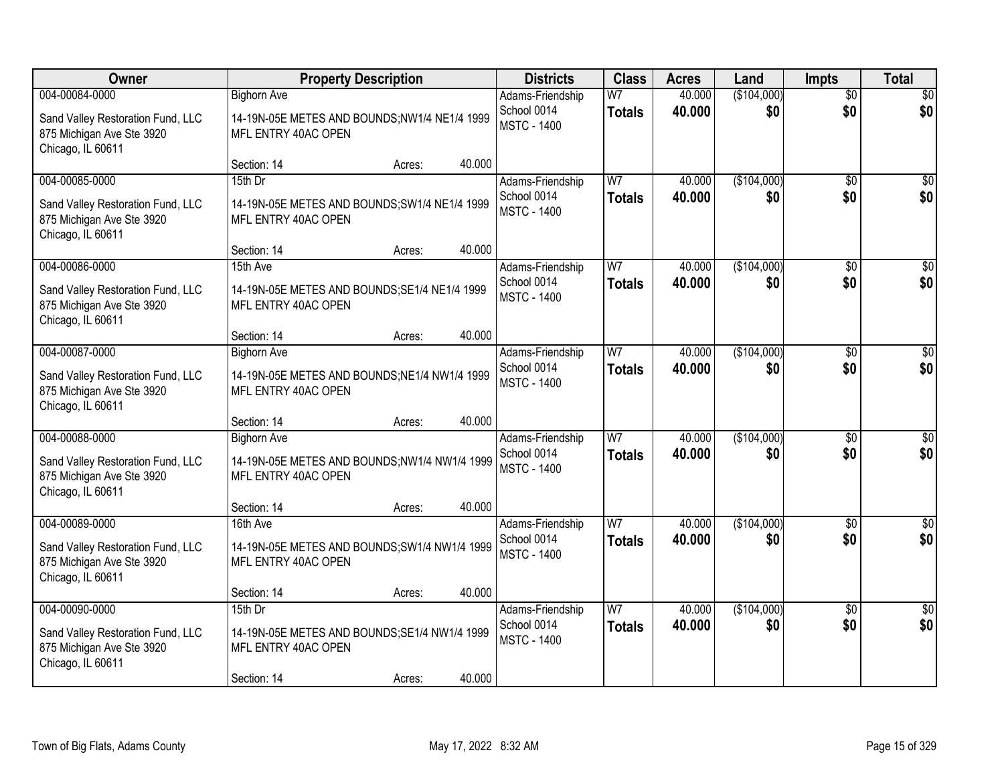| <b>Owner</b>                                                                        |                                                                      | <b>Property Description</b> |        | <b>Districts</b>                  | <b>Class</b>   | <b>Acres</b>     | Land               | <b>Impts</b>    | <b>Total</b>     |
|-------------------------------------------------------------------------------------|----------------------------------------------------------------------|-----------------------------|--------|-----------------------------------|----------------|------------------|--------------------|-----------------|------------------|
| 004-00084-0000                                                                      | <b>Bighorn Ave</b>                                                   |                             |        | Adams-Friendship                  | W <sub>7</sub> | 40.000           | (\$104,000)        | $\overline{50}$ | \$0              |
| Sand Valley Restoration Fund, LLC<br>875 Michigan Ave Ste 3920<br>Chicago, IL 60611 | 14-19N-05E METES AND BOUNDS;NW1/4 NE1/4 1999<br>MFL ENTRY 40AC OPEN  |                             |        | School 0014<br><b>MSTC - 1400</b> | <b>Totals</b>  | 40.000           | \$0                | \$0             | \$0              |
|                                                                                     | Section: 14                                                          | Acres:                      | 40.000 |                                   |                |                  |                    |                 |                  |
| 004-00085-0000                                                                      | 15th Dr                                                              |                             |        | Adams-Friendship<br>School 0014   | W7             | 40.000<br>40.000 | (\$104,000)<br>\$0 | \$0<br>\$0      | \$0<br>\$0       |
| Sand Valley Restoration Fund, LLC<br>875 Michigan Ave Ste 3920<br>Chicago, IL 60611 | 14-19N-05E METES AND BOUNDS; SW1/4 NE1/4 1999<br>MFL ENTRY 40AC OPEN |                             |        | <b>MSTC - 1400</b>                | <b>Totals</b>  |                  |                    |                 |                  |
|                                                                                     | Section: 14                                                          | Acres:                      | 40.000 |                                   |                |                  |                    |                 |                  |
| 004-00086-0000                                                                      | 15th Ave                                                             |                             |        | Adams-Friendship                  | W7             | 40.000           | (\$104,000)        | \$0             | $\overline{50}$  |
| Sand Valley Restoration Fund, LLC<br>875 Michigan Ave Ste 3920<br>Chicago, IL 60611 | 14-19N-05E METES AND BOUNDS; SE1/4 NE1/4 1999<br>MFL ENTRY 40AC OPEN |                             |        | School 0014<br><b>MSTC - 1400</b> | <b>Totals</b>  | 40.000           | \$0                | \$0             | \$0              |
|                                                                                     | Section: 14                                                          | Acres:                      | 40.000 |                                   |                |                  |                    |                 |                  |
| 004-00087-0000                                                                      | <b>Bighorn Ave</b>                                                   |                             |        | Adams-Friendship                  | W <sub>7</sub> | 40.000           | (\$104,000)        | $\sqrt{6}$      | $\sqrt{50}$      |
| Sand Valley Restoration Fund, LLC<br>875 Michigan Ave Ste 3920<br>Chicago, IL 60611 | 14-19N-05E METES AND BOUNDS; NE1/4 NW1/4 1999<br>MFL ENTRY 40AC OPEN |                             |        | School 0014<br><b>MSTC - 1400</b> | <b>Totals</b>  | 40.000           | \$0                | \$0             | \$0              |
|                                                                                     | Section: 14                                                          | Acres:                      | 40.000 |                                   |                |                  |                    |                 |                  |
| 004-00088-0000                                                                      | <b>Bighorn Ave</b>                                                   |                             |        | Adams-Friendship                  | W <sub>7</sub> | 40.000           | (\$104,000)        | \$0             | $\sqrt{50}$      |
| Sand Valley Restoration Fund, LLC<br>875 Michigan Ave Ste 3920<br>Chicago, IL 60611 | 14-19N-05E METES AND BOUNDS;NW1/4 NW1/4 1999<br>MFL ENTRY 40AC OPEN  |                             |        | School 0014<br><b>MSTC - 1400</b> | <b>Totals</b>  | 40.000           | \$0                | \$0             | \$0              |
|                                                                                     | Section: 14                                                          | Acres:                      | 40.000 |                                   |                |                  |                    |                 |                  |
| 004-00089-0000                                                                      | 16th Ave                                                             |                             |        | Adams-Friendship                  | W <sub>7</sub> | 40.000           | (\$104,000)        | \$0             | $\overline{\$0}$ |
| Sand Valley Restoration Fund, LLC<br>875 Michigan Ave Ste 3920<br>Chicago, IL 60611 | 14-19N-05E METES AND BOUNDS; SW1/4 NW1/4 1999<br>MFL ENTRY 40AC OPEN |                             |        | School 0014<br><b>MSTC - 1400</b> | <b>Totals</b>  | 40,000           | \$0                | \$0             | \$0              |
|                                                                                     | Section: 14                                                          | Acres:                      | 40.000 |                                   |                |                  |                    |                 |                  |
| 004-00090-0000                                                                      | 15th Dr                                                              |                             |        | Adams-Friendship                  | W7             | 40.000           | (\$104,000)        | $\overline{30}$ | \$0              |
| Sand Valley Restoration Fund, LLC<br>875 Michigan Ave Ste 3920<br>Chicago, IL 60611 | 14-19N-05E METES AND BOUNDS; SE1/4 NW1/4 1999<br>MFL ENTRY 40AC OPEN |                             |        | School 0014<br><b>MSTC - 1400</b> | <b>Totals</b>  | 40.000           | \$0                | \$0             | \$0              |
|                                                                                     | Section: 14                                                          | Acres:                      | 40.000 |                                   |                |                  |                    |                 |                  |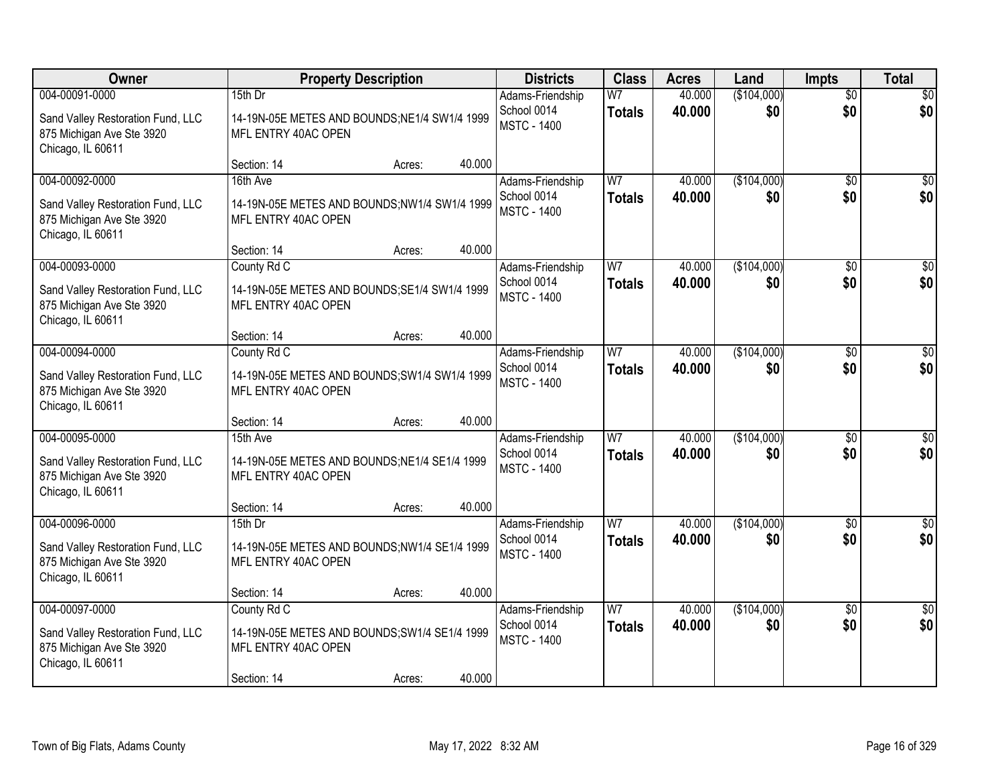| <b>Owner</b>                                                                                          |                                                                                                    | <b>Property Description</b> |        | <b>Districts</b>                                      | <b>Class</b>                    | <b>Acres</b>     | Land               | <b>Impts</b>           | <b>Total</b>           |
|-------------------------------------------------------------------------------------------------------|----------------------------------------------------------------------------------------------------|-----------------------------|--------|-------------------------------------------------------|---------------------------------|------------------|--------------------|------------------------|------------------------|
| 004-00091-0000<br>Sand Valley Restoration Fund, LLC<br>875 Michigan Ave Ste 3920<br>Chicago, IL 60611 | 15th Dr<br>14-19N-05E METES AND BOUNDS; NE1/4 SW1/4 1999<br>MFL ENTRY 40AC OPEN                    |                             |        | Adams-Friendship<br>School 0014<br><b>MSTC - 1400</b> | W <sub>7</sub><br><b>Totals</b> | 40.000<br>40.000 | (\$104,000)<br>\$0 | $\overline{50}$<br>\$0 | \$0<br>\$0             |
|                                                                                                       | Section: 14                                                                                        | Acres:                      | 40.000 |                                                       |                                 |                  |                    |                        |                        |
| 004-00092-0000<br>Sand Valley Restoration Fund, LLC<br>875 Michigan Ave Ste 3920<br>Chicago, IL 60611 | 16th Ave<br>14-19N-05E METES AND BOUNDS; NW1/4 SW1/4 1999<br>MFL ENTRY 40AC OPEN                   |                             |        | Adams-Friendship<br>School 0014<br><b>MSTC - 1400</b> | W <sub>7</sub><br><b>Totals</b> | 40.000<br>40.000 | (\$104,000)<br>\$0 | \$0<br>\$0             | \$0<br>\$0             |
|                                                                                                       | Section: 14                                                                                        | Acres:                      | 40.000 |                                                       |                                 |                  |                    |                        |                        |
| 004-00093-0000<br>Sand Valley Restoration Fund, LLC<br>875 Michigan Ave Ste 3920<br>Chicago, IL 60611 | County Rd C<br>14-19N-05E METES AND BOUNDS; SE1/4 SW1/4 1999<br>MFL ENTRY 40AC OPEN                |                             |        | Adams-Friendship<br>School 0014<br><b>MSTC - 1400</b> | W <sub>7</sub><br><b>Totals</b> | 40.000<br>40.000 | (\$104,000)<br>\$0 | \$0<br>\$0             | $\overline{30}$<br>\$0 |
|                                                                                                       | Section: 14                                                                                        | Acres:                      | 40.000 |                                                       |                                 |                  |                    |                        |                        |
| 004-00094-0000<br>Sand Valley Restoration Fund, LLC<br>875 Michigan Ave Ste 3920<br>Chicago, IL 60611 | County Rd C<br>14-19N-05E METES AND BOUNDS; SW1/4 SW1/4 1999<br>MFL ENTRY 40AC OPEN                |                             |        | Adams-Friendship<br>School 0014<br><b>MSTC - 1400</b> | W <sub>7</sub><br><b>Totals</b> | 40.000<br>40.000 | (\$104,000)<br>\$0 | $\sqrt[6]{3}$<br>\$0   | \$0<br>\$0             |
|                                                                                                       | Section: 14                                                                                        | Acres:                      | 40.000 |                                                       |                                 |                  |                    |                        |                        |
| 004-00095-0000<br>Sand Valley Restoration Fund, LLC<br>875 Michigan Ave Ste 3920<br>Chicago, IL 60611 | 15th Ave<br>14-19N-05E METES AND BOUNDS; NE1/4 SE1/4 1999<br>MFL ENTRY 40AC OPEN                   |                             |        | Adams-Friendship<br>School 0014<br><b>MSTC - 1400</b> | W7<br><b>Totals</b>             | 40.000<br>40.000 | (\$104,000)<br>\$0 | $\overline{50}$<br>\$0 | $\overline{50}$<br>\$0 |
|                                                                                                       | Section: 14                                                                                        | Acres:                      | 40.000 |                                                       |                                 |                  |                    |                        |                        |
| 004-00096-0000<br>Sand Valley Restoration Fund, LLC<br>875 Michigan Ave Ste 3920<br>Chicago, IL 60611 | 15th Dr<br>14-19N-05E METES AND BOUNDS;NW1/4 SE1/4 1999<br>MFL ENTRY 40AC OPEN                     |                             |        | Adams-Friendship<br>School 0014<br><b>MSTC - 1400</b> | W <sub>7</sub><br><b>Totals</b> | 40.000<br>40.000 | (\$104,000)<br>\$0 | \$0<br>\$0             | \$0<br>\$0             |
|                                                                                                       | Section: 14                                                                                        | Acres:                      | 40.000 |                                                       |                                 |                  |                    |                        |                        |
| 004-00097-0000<br>Sand Valley Restoration Fund, LLC<br>875 Michigan Ave Ste 3920<br>Chicago, IL 60611 | County Rd C<br>14-19N-05E METES AND BOUNDS; SW1/4 SE1/4 1999<br>MFL ENTRY 40AC OPEN<br>Section: 14 | Acres:                      | 40.000 | Adams-Friendship<br>School 0014<br><b>MSTC - 1400</b> | W <sub>7</sub><br><b>Totals</b> | 40.000<br>40.000 | (\$104,000)<br>\$0 | $\overline{30}$<br>\$0 | $\overline{50}$<br>\$0 |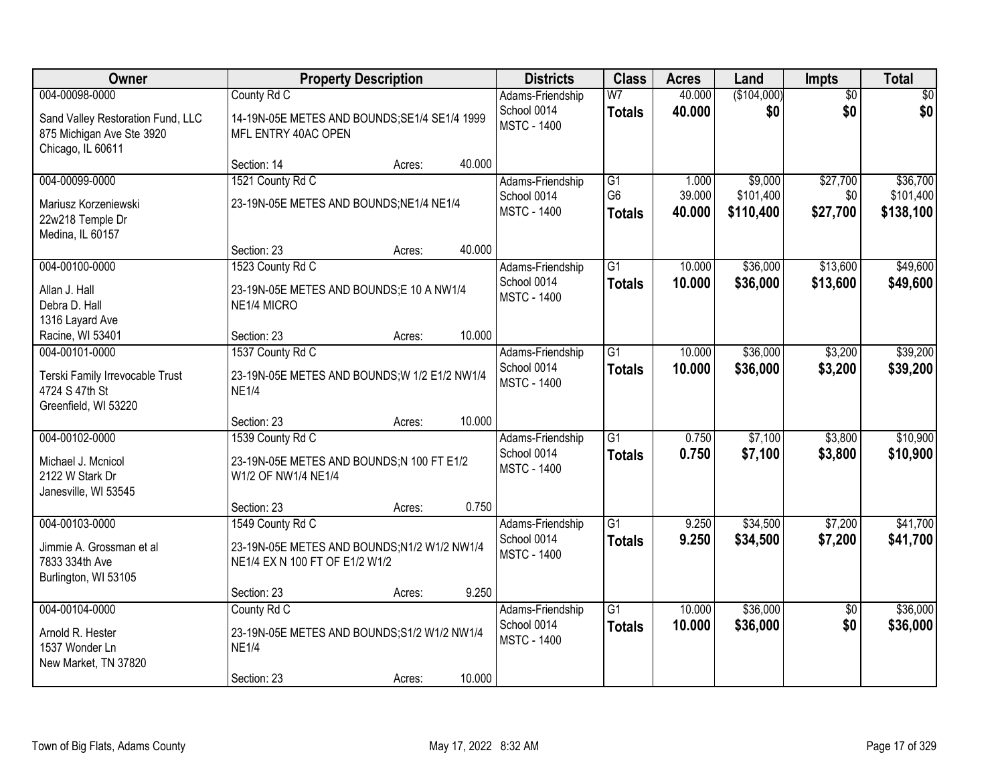| <b>Owner</b>                                                                                          |                                                                                                   | <b>Property Description</b> |        | <b>Districts</b>                                      | <b>Class</b>                          | <b>Acres</b>              | Land                              | Impts                       | <b>Total</b>                       |
|-------------------------------------------------------------------------------------------------------|---------------------------------------------------------------------------------------------------|-----------------------------|--------|-------------------------------------------------------|---------------------------------------|---------------------------|-----------------------------------|-----------------------------|------------------------------------|
| 004-00098-0000<br>Sand Valley Restoration Fund, LLC<br>875 Michigan Ave Ste 3920<br>Chicago, IL 60611 | County Rd C<br>14-19N-05E METES AND BOUNDS; SE1/4 SE1/4 1999<br>MFL ENTRY 40AC OPEN               |                             |        | Adams-Friendship<br>School 0014<br><b>MSTC - 1400</b> | W <sub>7</sub><br><b>Totals</b>       | 40.000<br>40.000          | (\$104,000)<br>\$0                | $\overline{50}$<br>\$0      | \$0<br>\$0                         |
|                                                                                                       | Section: 14                                                                                       | Acres:                      | 40.000 |                                                       |                                       |                           |                                   |                             |                                    |
| 004-00099-0000<br>Mariusz Korzeniewski<br>22w218 Temple Dr<br>Medina, IL 60157                        | 1521 County Rd C<br>23-19N-05E METES AND BOUNDS; NE1/4 NE1/4                                      |                             |        | Adams-Friendship<br>School 0014<br><b>MSTC - 1400</b> | G1<br>G <sub>6</sub><br><b>Totals</b> | 1.000<br>39.000<br>40.000 | \$9,000<br>\$101,400<br>\$110,400 | \$27,700<br>\$0<br>\$27,700 | \$36,700<br>\$101,400<br>\$138,100 |
|                                                                                                       | Section: 23                                                                                       | Acres:                      | 40.000 |                                                       |                                       |                           |                                   |                             |                                    |
| 004-00100-0000<br>Allan J. Hall<br>Debra D. Hall<br>1316 Layard Ave                                   | 1523 County Rd C<br>23-19N-05E METES AND BOUNDS;E 10 A NW1/4<br>NE1/4 MICRO                       |                             |        | Adams-Friendship<br>School 0014<br><b>MSTC - 1400</b> | $\overline{G1}$<br><b>Totals</b>      | 10.000<br>10.000          | \$36,000<br>\$36,000              | \$13,600<br>\$13,600        | \$49,600<br>\$49,600               |
| Racine, WI 53401                                                                                      | Section: 23                                                                                       | Acres:                      | 10.000 |                                                       |                                       |                           |                                   |                             |                                    |
| 004-00101-0000<br>Terski Family Irrevocable Trust<br>4724 S 47th St<br>Greenfield, WI 53220           | 1537 County Rd C<br>23-19N-05E METES AND BOUNDS; W 1/2 E1/2 NW1/4<br><b>NE1/4</b>                 |                             |        | Adams-Friendship<br>School 0014<br><b>MSTC - 1400</b> | $\overline{G1}$<br><b>Totals</b>      | 10.000<br>10.000          | \$36,000<br>\$36,000              | \$3,200<br>\$3,200          | \$39,200<br>\$39,200               |
|                                                                                                       | Section: 23                                                                                       | Acres:                      | 10.000 |                                                       |                                       |                           |                                   |                             |                                    |
| 004-00102-0000<br>Michael J. Mcnicol<br>2122 W Stark Dr<br>Janesville, WI 53545                       | 1539 County Rd C<br>23-19N-05E METES AND BOUNDS;N 100 FT E1/2<br>W1/2 OF NW1/4 NE1/4              |                             |        | Adams-Friendship<br>School 0014<br><b>MSTC - 1400</b> | $\overline{G1}$<br><b>Totals</b>      | 0.750<br>0.750            | \$7,100<br>\$7,100                | \$3,800<br>\$3,800          | \$10,900<br>\$10,900               |
|                                                                                                       | Section: 23                                                                                       | Acres:                      | 0.750  |                                                       |                                       |                           |                                   |                             |                                    |
| 004-00103-0000<br>Jimmie A. Grossman et al<br>7833 334th Ave<br>Burlington, WI 53105                  | 1549 County Rd C<br>23-19N-05E METES AND BOUNDS;N1/2 W1/2 NW1/4<br>NE1/4 EX N 100 FT OF E1/2 W1/2 |                             |        | Adams-Friendship<br>School 0014<br><b>MSTC - 1400</b> | G1<br><b>Totals</b>                   | 9.250<br>9.250            | \$34,500<br>\$34,500              | \$7,200<br>\$7,200          | \$41,700<br>\$41,700               |
|                                                                                                       | Section: 23                                                                                       | Acres:                      | 9.250  |                                                       |                                       |                           |                                   |                             |                                    |
| 004-00104-0000<br>Arnold R. Hester<br>1537 Wonder Ln<br>New Market, TN 37820                          | County Rd C<br>23-19N-05E METES AND BOUNDS; S1/2 W1/2 NW1/4<br><b>NE1/4</b><br>Section: 23        | Acres:                      | 10.000 | Adams-Friendship<br>School 0014<br><b>MSTC - 1400</b> | $\overline{G1}$<br><b>Totals</b>      | 10.000<br>10.000          | \$36,000<br>\$36,000              | $\overline{50}$<br>\$0      | \$36,000<br>\$36,000               |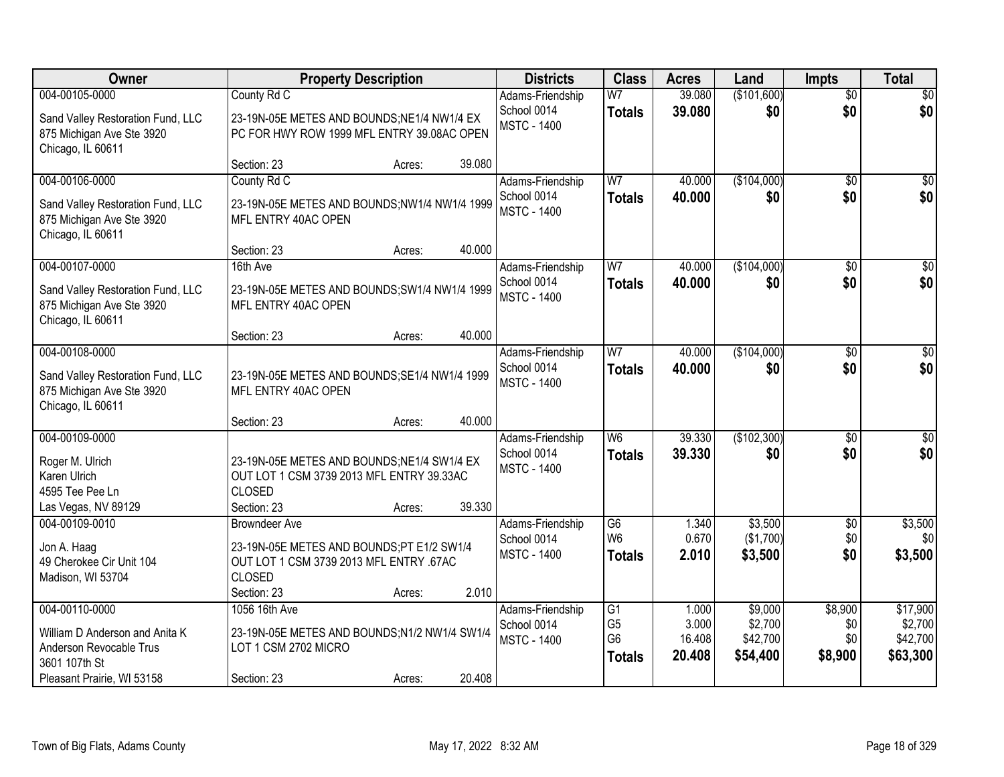| Owner                                                                               |                                                                                          | <b>Property Description</b> |        | <b>Districts</b>                  | <b>Class</b>    | <b>Acres</b> | Land        | <b>Impts</b>    | <b>Total</b>     |
|-------------------------------------------------------------------------------------|------------------------------------------------------------------------------------------|-----------------------------|--------|-----------------------------------|-----------------|--------------|-------------|-----------------|------------------|
| 004-00105-0000                                                                      | County Rd C                                                                              |                             |        | Adams-Friendship                  | W <sub>7</sub>  | 39.080       | (\$101,600) | $\overline{50}$ | \$0              |
| Sand Valley Restoration Fund, LLC<br>875 Michigan Ave Ste 3920<br>Chicago, IL 60611 | 23-19N-05E METES AND BOUNDS;NE1/4 NW1/4 EX<br>PC FOR HWY ROW 1999 MFL ENTRY 39.08AC OPEN |                             |        | School 0014<br><b>MSTC - 1400</b> | <b>Totals</b>   | 39.080       | \$0         | \$0             | \$0              |
|                                                                                     | Section: 23                                                                              | Acres:                      | 39.080 |                                   |                 |              |             |                 |                  |
| 004-00106-0000                                                                      | County Rd C                                                                              |                             |        | Adams-Friendship                  | W <sub>7</sub>  | 40.000       | (\$104,000) | \$0             | \$0              |
| Sand Valley Restoration Fund, LLC<br>875 Michigan Ave Ste 3920<br>Chicago, IL 60611 | 23-19N-05E METES AND BOUNDS;NW1/4 NW1/4 1999<br>MFL ENTRY 40AC OPEN                      |                             |        | School 0014<br><b>MSTC - 1400</b> | <b>Totals</b>   | 40.000       | \$0         | \$0             | \$0              |
|                                                                                     | Section: 23                                                                              | Acres:                      | 40.000 |                                   |                 |              |             |                 |                  |
| 004-00107-0000                                                                      | 16th Ave                                                                                 |                             |        | Adams-Friendship                  | W <sub>7</sub>  | 40.000       | (\$104,000) | \$0             | $\overline{\$0}$ |
| Sand Valley Restoration Fund, LLC<br>875 Michigan Ave Ste 3920<br>Chicago, IL 60611 | 23-19N-05E METES AND BOUNDS; SW1/4 NW1/4 1999<br>MFL ENTRY 40AC OPEN                     |                             |        | School 0014<br><b>MSTC - 1400</b> | <b>Totals</b>   | 40.000       | \$0         | \$0             | \$0              |
|                                                                                     | Section: 23                                                                              | Acres:                      | 40.000 |                                   |                 |              |             |                 |                  |
| 004-00108-0000                                                                      |                                                                                          |                             |        | Adams-Friendship                  | W7              | 40.000       | (\$104,000) | $\sqrt[6]{3}$   | $\sqrt{50}$      |
| Sand Valley Restoration Fund, LLC<br>875 Michigan Ave Ste 3920<br>Chicago, IL 60611 | 23-19N-05E METES AND BOUNDS; SE1/4 NW1/4 1999<br>MFL ENTRY 40AC OPEN                     |                             |        | School 0014<br><b>MSTC - 1400</b> | <b>Totals</b>   | 40.000       | \$0         | \$0             | \$0              |
|                                                                                     | Section: 23                                                                              | Acres:                      | 40.000 |                                   |                 |              |             |                 |                  |
| 004-00109-0000                                                                      |                                                                                          |                             |        | Adams-Friendship                  | W <sub>6</sub>  | 39.330       | (\$102,300) | $\overline{50}$ | $\overline{50}$  |
| Roger M. Ulrich                                                                     | 23-19N-05E METES AND BOUNDS;NE1/4 SW1/4 EX                                               |                             |        | School 0014                       | <b>Totals</b>   | 39,330       | \$0         | \$0             | \$0              |
| Karen Ulrich                                                                        | OUT LOT 1 CSM 3739 2013 MFL ENTRY 39.33AC                                                |                             |        | <b>MSTC - 1400</b>                |                 |              |             |                 |                  |
| 4595 Tee Pee Ln                                                                     | <b>CLOSED</b>                                                                            |                             |        |                                   |                 |              |             |                 |                  |
| Las Vegas, NV 89129                                                                 | Section: 23                                                                              | Acres:                      | 39.330 |                                   |                 |              |             |                 |                  |
| 004-00109-0010                                                                      | <b>Browndeer Ave</b>                                                                     |                             |        | Adams-Friendship                  | G6              | 1.340        | \$3,500     | $\sqrt{6}$      | \$3,500          |
| Jon A. Haag                                                                         | 23-19N-05E METES AND BOUNDS;PT E1/2 SW1/4                                                |                             |        | School 0014                       | W <sub>6</sub>  | 0.670        | (\$1,700)   | \$0             | \$0 <sub>1</sub> |
| 49 Cherokee Cir Unit 104                                                            | OUT LOT 1 CSM 3739 2013 MFL ENTRY .67AC                                                  |                             |        | <b>MSTC - 1400</b>                | <b>Totals</b>   | 2.010        | \$3,500     | \$0             | \$3,500          |
| Madison, WI 53704                                                                   | <b>CLOSED</b>                                                                            |                             |        |                                   |                 |              |             |                 |                  |
|                                                                                     | Section: 23                                                                              | Acres:                      | 2.010  |                                   |                 |              |             |                 |                  |
| 004-00110-0000                                                                      | 1056 16th Ave                                                                            |                             |        | Adams-Friendship                  | $\overline{G1}$ | 1.000        | \$9,000     | \$8,900         | \$17,900         |
| William D Anderson and Anita K                                                      | 23-19N-05E METES AND BOUNDS;N1/2 NW1/4 SW1/4                                             |                             |        | School 0014                       | G <sub>5</sub>  | 3.000        | \$2,700     | \$0             | \$2,700          |
| Anderson Revocable Trus                                                             | LOT 1 CSM 2702 MICRO                                                                     |                             |        | <b>MSTC - 1400</b>                | G <sub>6</sub>  | 16.408       | \$42,700    | \$0             | \$42,700         |
| 3601 107th St                                                                       |                                                                                          |                             |        |                                   | <b>Totals</b>   | 20.408       | \$54,400    | \$8,900         | \$63,300         |
| Pleasant Prairie, WI 53158                                                          | Section: 23                                                                              | Acres:                      | 20.408 |                                   |                 |              |             |                 |                  |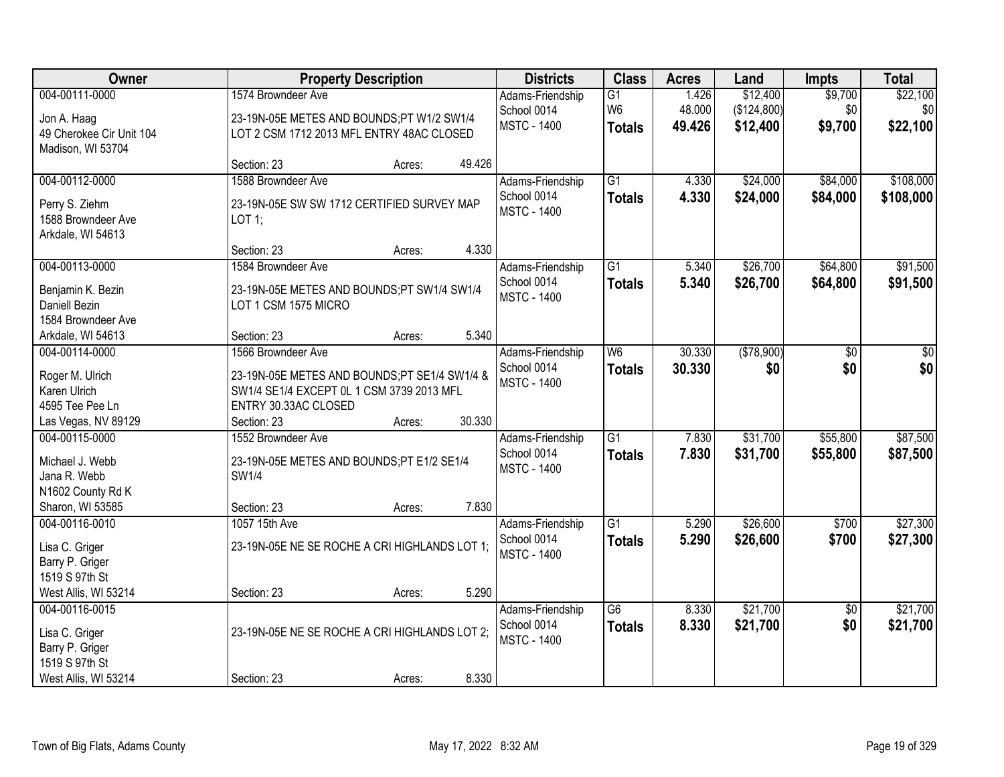| Owner                                 | <b>Property Description</b>                                                               | <b>Districts</b>   | <b>Class</b>    | <b>Acres</b> | Land        | <b>Impts</b>    | <b>Total</b> |
|---------------------------------------|-------------------------------------------------------------------------------------------|--------------------|-----------------|--------------|-------------|-----------------|--------------|
| 004-00111-0000                        | 1574 Browndeer Ave                                                                        | Adams-Friendship   | G1              | 1.426        | \$12,400    | \$9,700         | \$22,100     |
| Jon A. Haag                           | 23-19N-05E METES AND BOUNDS;PT W1/2 SW1/4                                                 | School 0014        | W <sub>6</sub>  | 48.000       | (\$124,800) | \$0             | \$0          |
| 49 Cherokee Cir Unit 104              | LOT 2 CSM 1712 2013 MFL ENTRY 48AC CLOSED                                                 | <b>MSTC - 1400</b> | <b>Totals</b>   | 49.426       | \$12,400    | \$9,700         | \$22,100     |
| Madison, WI 53704                     |                                                                                           |                    |                 |              |             |                 |              |
|                                       | 49.426<br>Section: 23<br>Acres:                                                           |                    |                 |              |             |                 |              |
| 004-00112-0000                        | 1588 Browndeer Ave                                                                        | Adams-Friendship   | $\overline{G1}$ | 4.330        | \$24,000    | \$84,000        | \$108,000    |
| Perry S. Ziehm                        | 23-19N-05E SW SW 1712 CERTIFIED SURVEY MAP                                                | School 0014        | <b>Totals</b>   | 4.330        | \$24,000    | \$84,000        | \$108,000    |
| 1588 Browndeer Ave                    | LOT 1;                                                                                    | <b>MSTC - 1400</b> |                 |              |             |                 |              |
| Arkdale, WI 54613                     |                                                                                           |                    |                 |              |             |                 |              |
|                                       | 4.330<br>Section: 23<br>Acres:                                                            |                    |                 |              |             |                 |              |
| 004-00113-0000                        | 1584 Browndeer Ave                                                                        | Adams-Friendship   | G1              | 5.340        | \$26,700    | \$64,800        | \$91,500     |
| Benjamin K. Bezin                     | 23-19N-05E METES AND BOUNDS;PT SW1/4 SW1/4                                                | School 0014        | <b>Totals</b>   | 5.340        | \$26,700    | \$64,800        | \$91,500     |
| Daniell Bezin                         | LOT 1 CSM 1575 MICRO                                                                      | <b>MSTC - 1400</b> |                 |              |             |                 |              |
| 1584 Browndeer Ave                    |                                                                                           |                    |                 |              |             |                 |              |
| Arkdale, WI 54613                     | 5.340<br>Section: 23<br>Acres:                                                            |                    |                 |              |             |                 |              |
| 004-00114-0000                        | 1566 Browndeer Ave                                                                        | Adams-Friendship   | W <sub>6</sub>  | 30.330       | (\$78,900)  | \$0             | \$0          |
|                                       |                                                                                           | School 0014        | <b>Totals</b>   | 30.330       | \$0         | \$0             | \$0          |
| Roger M. Ulrich<br>Karen Ulrich       | 23-19N-05E METES AND BOUNDS;PT SE1/4 SW1/4 &<br>SW1/4 SE1/4 EXCEPT 0L 1 CSM 3739 2013 MFL | <b>MSTC - 1400</b> |                 |              |             |                 |              |
| 4595 Tee Pee Ln                       | ENTRY 30.33AC CLOSED                                                                      |                    |                 |              |             |                 |              |
| Las Vegas, NV 89129                   | 30.330<br>Section: 23<br>Acres:                                                           |                    |                 |              |             |                 |              |
| 004-00115-0000                        | 1552 Browndeer Ave                                                                        | Adams-Friendship   | $\overline{G1}$ | 7.830        | \$31,700    | \$55,800        | \$87,500     |
|                                       |                                                                                           | School 0014        | <b>Totals</b>   | 7.830        | \$31,700    | \$55,800        | \$87,500     |
| Michael J. Webb                       | 23-19N-05E METES AND BOUNDS;PT E1/2 SE1/4                                                 | <b>MSTC - 1400</b> |                 |              |             |                 |              |
| Jana R. Webb                          | <b>SW1/4</b>                                                                              |                    |                 |              |             |                 |              |
| N1602 County Rd K<br>Sharon, WI 53585 | 7.830<br>Section: 23                                                                      |                    |                 |              |             |                 |              |
| 004-00116-0010                        | Acres:<br>1057 15th Ave                                                                   | Adams-Friendship   | $\overline{G1}$ | 5.290        | \$26,600    | \$700           | \$27,300     |
|                                       |                                                                                           | School 0014        |                 | 5.290        | \$26,600    | \$700           | \$27,300     |
| Lisa C. Griger                        | 23-19N-05E NE SE ROCHE A CRI HIGHLANDS LOT 1;                                             | <b>MSTC - 1400</b> | <b>Totals</b>   |              |             |                 |              |
| Barry P. Griger                       |                                                                                           |                    |                 |              |             |                 |              |
| 1519 S 97th St                        |                                                                                           |                    |                 |              |             |                 |              |
| West Allis, WI 53214                  | 5.290<br>Section: 23<br>Acres:                                                            |                    |                 |              |             |                 |              |
| 004-00116-0015                        |                                                                                           | Adams-Friendship   | $\overline{G6}$ | 8.330        | \$21,700    | $\overline{50}$ | \$21,700     |
| Lisa C. Griger                        | 23-19N-05E NE SE ROCHE A CRI HIGHLANDS LOT 2;                                             | School 0014        | <b>Totals</b>   | 8.330        | \$21,700    | \$0             | \$21,700     |
| Barry P. Griger                       |                                                                                           | <b>MSTC - 1400</b> |                 |              |             |                 |              |
| 1519 S 97th St                        |                                                                                           |                    |                 |              |             |                 |              |
| West Allis, WI 53214                  | 8.330<br>Section: 23<br>Acres:                                                            |                    |                 |              |             |                 |              |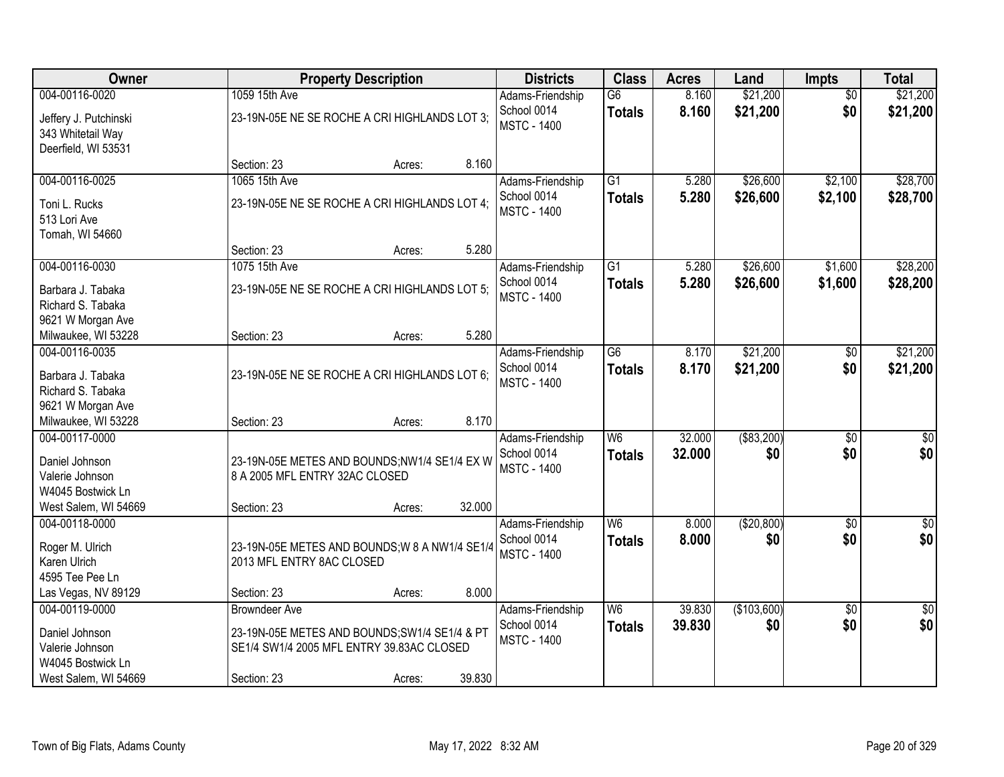| Owner                                    |                                                                | <b>Property Description</b> |        | <b>Districts</b>                | <b>Class</b>                     | <b>Acres</b>   | Land                 | <b>Impts</b>           | <b>Total</b>         |
|------------------------------------------|----------------------------------------------------------------|-----------------------------|--------|---------------------------------|----------------------------------|----------------|----------------------|------------------------|----------------------|
| 004-00116-0020<br>Jeffery J. Putchinski  | 1059 15th Ave<br>23-19N-05E NE SE ROCHE A CRI HIGHLANDS LOT 3; |                             |        | Adams-Friendship<br>School 0014 | $\overline{G6}$<br><b>Totals</b> | 8.160<br>8.160 | \$21,200<br>\$21,200 | $\overline{30}$<br>\$0 | \$21,200<br>\$21,200 |
| 343 Whitetail Way<br>Deerfield, WI 53531 |                                                                |                             |        | <b>MSTC - 1400</b>              |                                  |                |                      |                        |                      |
|                                          | Section: 23                                                    | Acres:                      | 8.160  |                                 |                                  |                |                      |                        |                      |
| 004-00116-0025                           | 1065 15th Ave                                                  |                             |        | Adams-Friendship                | $\overline{G1}$                  | 5.280          | \$26,600             | \$2,100                | \$28,700             |
| Toni L. Rucks                            | 23-19N-05E NE SE ROCHE A CRI HIGHLANDS LOT 4;                  |                             |        | School 0014                     | <b>Totals</b>                    | 5.280          | \$26,600             | \$2,100                | \$28,700             |
| 513 Lori Ave                             |                                                                |                             |        | <b>MSTC - 1400</b>              |                                  |                |                      |                        |                      |
| Tomah, WI 54660                          |                                                                |                             |        |                                 |                                  |                |                      |                        |                      |
|                                          | Section: 23                                                    | Acres:                      | 5.280  |                                 |                                  |                |                      |                        |                      |
| 004-00116-0030                           | 1075 15th Ave                                                  |                             |        | Adams-Friendship                | $\overline{G1}$                  | 5.280          | \$26,600             | \$1,600                | \$28,200             |
| Barbara J. Tabaka                        | 23-19N-05E NE SE ROCHE A CRI HIGHLANDS LOT 5;                  |                             |        | School 0014                     | <b>Totals</b>                    | 5.280          | \$26,600             | \$1,600                | \$28,200             |
| Richard S. Tabaka                        |                                                                |                             |        | <b>MSTC - 1400</b>              |                                  |                |                      |                        |                      |
| 9621 W Morgan Ave                        |                                                                |                             |        |                                 |                                  |                |                      |                        |                      |
| Milwaukee, WI 53228                      | Section: 23                                                    | Acres:                      | 5.280  |                                 |                                  |                |                      |                        |                      |
| 004-00116-0035                           |                                                                |                             |        | Adams-Friendship                | $\overline{G6}$                  | 8.170          | \$21,200             | $\sqrt[6]{3}$          | \$21,200             |
|                                          |                                                                |                             |        | School 0014                     | <b>Totals</b>                    | 8.170          | \$21,200             | \$0                    | \$21,200             |
| Barbara J. Tabaka<br>Richard S. Tabaka   | 23-19N-05E NE SE ROCHE A CRI HIGHLANDS LOT 6;                  |                             |        | <b>MSTC - 1400</b>              |                                  |                |                      |                        |                      |
| 9621 W Morgan Ave                        |                                                                |                             |        |                                 |                                  |                |                      |                        |                      |
| Milwaukee, WI 53228                      | Section: 23                                                    | Acres:                      | 8.170  |                                 |                                  |                |                      |                        |                      |
| 004-00117-0000                           |                                                                |                             |        | Adams-Friendship                | W6                               | 32.000         | ( \$83,200)          | $\overline{30}$        | $\overline{30}$      |
|                                          |                                                                |                             |        | School 0014                     | <b>Totals</b>                    | 32.000         | \$0                  | \$0                    | \$0                  |
| Daniel Johnson                           | 23-19N-05E METES AND BOUNDS;NW1/4 SE1/4 EX W                   |                             |        | <b>MSTC - 1400</b>              |                                  |                |                      |                        |                      |
| Valerie Johnson                          | 8 A 2005 MFL ENTRY 32AC CLOSED                                 |                             |        |                                 |                                  |                |                      |                        |                      |
| W4045 Bostwick Ln                        |                                                                |                             | 32.000 |                                 |                                  |                |                      |                        |                      |
| West Salem, WI 54669<br>004-00118-0000   | Section: 23                                                    | Acres:                      |        |                                 | W <sub>6</sub>                   |                |                      |                        | $\sqrt{50}$          |
|                                          |                                                                |                             |        | Adams-Friendship<br>School 0014 |                                  | 8.000<br>8.000 | (\$20,800)<br>\$0    | $\sqrt{6}$<br>\$0      | \$0                  |
| Roger M. Ulrich                          | 23-19N-05E METES AND BOUNDS; W 8 A NW1/4 SE1/4                 |                             |        | <b>MSTC - 1400</b>              | <b>Totals</b>                    |                |                      |                        |                      |
| Karen Ulrich                             | 2013 MFL ENTRY 8AC CLOSED                                      |                             |        |                                 |                                  |                |                      |                        |                      |
| 4595 Tee Pee Ln                          |                                                                |                             |        |                                 |                                  |                |                      |                        |                      |
| Las Vegas, NV 89129                      | Section: 23                                                    | Acres:                      | 8.000  |                                 |                                  |                |                      |                        |                      |
| 004-00119-0000                           | <b>Browndeer Ave</b>                                           |                             |        | Adams-Friendship                | W <sub>6</sub>                   | 39.830         | (\$103,600)          | $\overline{50}$        | $\frac{1}{2}$        |
| Daniel Johnson                           | 23-19N-05E METES AND BOUNDS; SW1/4 SE1/4 & PT                  |                             |        | School 0014                     | <b>Totals</b>                    | 39.830         | \$0                  | \$0                    | \$0                  |
| Valerie Johnson                          | SE1/4 SW1/4 2005 MFL ENTRY 39.83AC CLOSED                      |                             |        | <b>MSTC - 1400</b>              |                                  |                |                      |                        |                      |
| W4045 Bostwick Ln                        |                                                                |                             |        |                                 |                                  |                |                      |                        |                      |
| West Salem, WI 54669                     | Section: 23                                                    | Acres:                      | 39.830 |                                 |                                  |                |                      |                        |                      |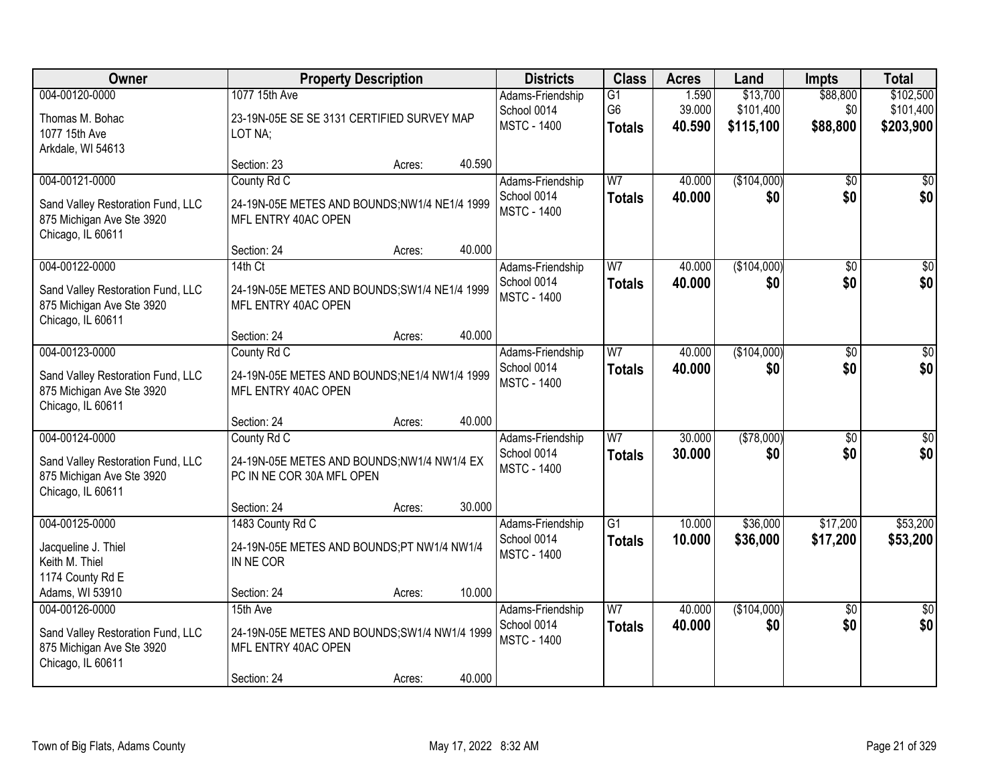| Owner                                                          |                                                                      | <b>Property Description</b> |        | <b>Districts</b>                  | <b>Class</b>    | <b>Acres</b>     | Land               | <b>Impts</b>    | <b>Total</b>    |
|----------------------------------------------------------------|----------------------------------------------------------------------|-----------------------------|--------|-----------------------------------|-----------------|------------------|--------------------|-----------------|-----------------|
| 004-00120-0000                                                 | 1077 15th Ave                                                        |                             |        | Adams-Friendship                  | $\overline{G1}$ | 1.590            | \$13,700           | \$88,800        | \$102,500       |
| Thomas M. Bohac                                                | 23-19N-05E SE SE 3131 CERTIFIED SURVEY MAP                           |                             |        | School 0014                       | G <sub>6</sub>  | 39.000           | \$101,400          | \$0             | \$101,400       |
| 1077 15th Ave                                                  | LOT NA;                                                              |                             |        | <b>MSTC - 1400</b>                | <b>Totals</b>   | 40.590           | \$115,100          | \$88,800        | \$203,900       |
| Arkdale, WI 54613                                              |                                                                      |                             |        |                                   |                 |                  |                    |                 |                 |
|                                                                | Section: 23                                                          | Acres:                      | 40.590 |                                   |                 |                  |                    |                 |                 |
| 004-00121-0000                                                 | County Rd C                                                          |                             |        | Adams-Friendship<br>School 0014   | W <sub>7</sub>  | 40.000<br>40.000 | (\$104,000)<br>\$0 | \$0<br>\$0      | \$0<br>\$0      |
| Sand Valley Restoration Fund, LLC                              | 24-19N-05E METES AND BOUNDS;NW1/4 NE1/4 1999                         |                             |        | <b>MSTC - 1400</b>                | <b>Totals</b>   |                  |                    |                 |                 |
| 875 Michigan Ave Ste 3920                                      | MFL ENTRY 40AC OPEN                                                  |                             |        |                                   |                 |                  |                    |                 |                 |
| Chicago, IL 60611                                              | Section: 24                                                          | Acres:                      | 40.000 |                                   |                 |                  |                    |                 |                 |
| 004-00122-0000                                                 | 14th Ct                                                              |                             |        | Adams-Friendship                  | $\overline{W}$  | 40.000           | (\$104,000)        | \$0             | \$0             |
|                                                                |                                                                      |                             |        | School 0014                       | <b>Totals</b>   | 40.000           | \$0                | \$0             | \$0             |
| Sand Valley Restoration Fund, LLC<br>875 Michigan Ave Ste 3920 | 24-19N-05E METES AND BOUNDS; SW1/4 NE1/4 1999<br>MFL ENTRY 40AC OPEN |                             |        | <b>MSTC - 1400</b>                |                 |                  |                    |                 |                 |
| Chicago, IL 60611                                              |                                                                      |                             |        |                                   |                 |                  |                    |                 |                 |
|                                                                | Section: 24                                                          | Acres:                      | 40.000 |                                   |                 |                  |                    |                 |                 |
| 004-00123-0000                                                 | County Rd C                                                          |                             |        | Adams-Friendship                  | W <sub>7</sub>  | 40.000           | (\$104,000)        | $\overline{50}$ | \$0             |
| Sand Valley Restoration Fund, LLC                              | 24-19N-05E METES AND BOUNDS; NE1/4 NW1/4 1999                        |                             |        | School 0014                       | <b>Totals</b>   | 40.000           | \$0                | \$0             | \$0             |
| 875 Michigan Ave Ste 3920                                      | MFL ENTRY 40AC OPEN                                                  |                             |        | <b>MSTC - 1400</b>                |                 |                  |                    |                 |                 |
| Chicago, IL 60611                                              |                                                                      |                             |        |                                   |                 |                  |                    |                 |                 |
|                                                                | Section: 24                                                          | Acres:                      | 40.000 |                                   |                 |                  |                    |                 |                 |
| 004-00124-0000                                                 | County Rd C                                                          |                             |        | Adams-Friendship                  | $\overline{W7}$ | 30.000           | (\$78,000)         | $\overline{50}$ | \$0             |
| Sand Valley Restoration Fund, LLC                              | 24-19N-05E METES AND BOUNDS;NW1/4 NW1/4 EX                           |                             |        | School 0014<br><b>MSTC - 1400</b> | <b>Totals</b>   | 30.000           | \$0                | \$0             | \$0             |
| 875 Michigan Ave Ste 3920                                      | PC IN NE COR 30A MFL OPEN                                            |                             |        |                                   |                 |                  |                    |                 |                 |
| Chicago, IL 60611                                              |                                                                      |                             |        |                                   |                 |                  |                    |                 |                 |
| 004-00125-0000                                                 | Section: 24<br>1483 County Rd C                                      | Acres:                      | 30.000 | Adams-Friendship                  | $\overline{G1}$ | 10.000           | \$36,000           | \$17,200        | \$53,200        |
|                                                                |                                                                      |                             |        | School 0014                       | <b>Totals</b>   | 10.000           | \$36,000           | \$17,200        | \$53,200        |
| Jacqueline J. Thiel                                            | 24-19N-05E METES AND BOUNDS;PT NW1/4 NW1/4                           |                             |        | <b>MSTC - 1400</b>                |                 |                  |                    |                 |                 |
| Keith M. Thiel<br>1174 County Rd E                             | IN NE COR                                                            |                             |        |                                   |                 |                  |                    |                 |                 |
| Adams, WI 53910                                                | Section: 24                                                          | Acres:                      | 10.000 |                                   |                 |                  |                    |                 |                 |
| 004-00126-0000                                                 | 15th Ave                                                             |                             |        | Adams-Friendship                  | W <sub>7</sub>  | 40.000           | (\$104,000)        | $\overline{50}$ | $\overline{50}$ |
| Sand Valley Restoration Fund, LLC                              | 24-19N-05E METES AND BOUNDS; SW1/4 NW1/4 1999                        |                             |        | School 0014                       | <b>Totals</b>   | 40.000           | \$0                | \$0             | \$0             |
| 875 Michigan Ave Ste 3920                                      | MFL ENTRY 40AC OPEN                                                  |                             |        | <b>MSTC - 1400</b>                |                 |                  |                    |                 |                 |
| Chicago, IL 60611                                              |                                                                      |                             |        |                                   |                 |                  |                    |                 |                 |
|                                                                | Section: 24                                                          | Acres:                      | 40.000 |                                   |                 |                  |                    |                 |                 |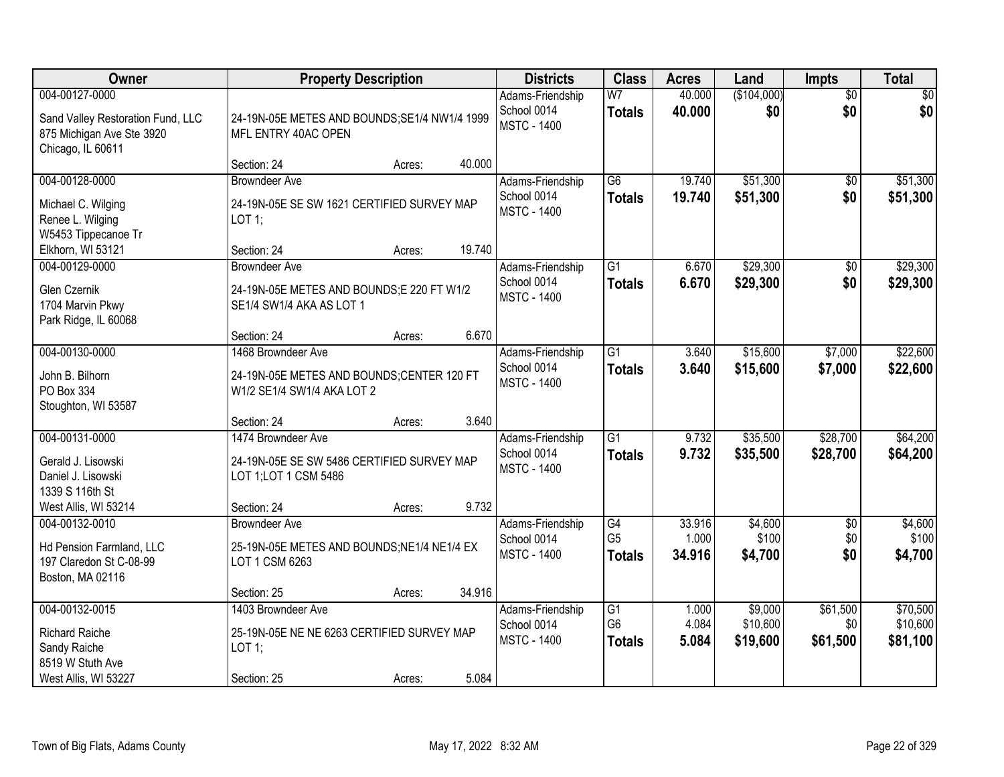| Owner                                                                                                 | <b>Property Description</b>                                                                         |        | <b>Districts</b>                                      | <b>Class</b>                                       | <b>Acres</b>              | Land                            | <b>Impts</b>                | <b>Total</b>                     |
|-------------------------------------------------------------------------------------------------------|-----------------------------------------------------------------------------------------------------|--------|-------------------------------------------------------|----------------------------------------------------|---------------------------|---------------------------------|-----------------------------|----------------------------------|
| 004-00127-0000<br>Sand Valley Restoration Fund, LLC<br>875 Michigan Ave Ste 3920<br>Chicago, IL 60611 | 24-19N-05E METES AND BOUNDS; SE1/4 NW1/4 1999<br>MFL ENTRY 40AC OPEN                                |        | Adams-Friendship<br>School 0014<br><b>MSTC - 1400</b> | W <sub>7</sub><br><b>Totals</b>                    | 40.000<br>40.000          | (\$104,000)<br>\$0              | $\overline{50}$<br>\$0      | $\overline{30}$<br>\$0           |
|                                                                                                       | Section: 24<br>Acres:                                                                               | 40.000 |                                                       |                                                    |                           |                                 |                             |                                  |
| 004-00128-0000<br>Michael C. Wilging<br>Renee L. Wilging<br>W5453 Tippecanoe Tr                       | <b>Browndeer Ave</b><br>24-19N-05E SE SW 1621 CERTIFIED SURVEY MAP<br>$LOT$ 1;                      |        | Adams-Friendship<br>School 0014<br><b>MSTC - 1400</b> | $\overline{G6}$<br><b>Totals</b>                   | 19.740<br>19.740          | \$51,300<br>\$51,300            | $\overline{50}$<br>\$0      | \$51,300<br>\$51,300             |
| Elkhorn, WI 53121                                                                                     | Section: 24<br>Acres:                                                                               | 19.740 |                                                       |                                                    |                           |                                 |                             |                                  |
| 004-00129-0000<br>Glen Czernik<br>1704 Marvin Pkwy<br>Park Ridge, IL 60068                            | <b>Browndeer Ave</b><br>24-19N-05E METES AND BOUNDS;E 220 FT W1/2<br>SE1/4 SW1/4 AKA AS LOT 1       |        | Adams-Friendship<br>School 0014<br><b>MSTC - 1400</b> | $\overline{G1}$<br><b>Totals</b>                   | 6.670<br>6.670            | \$29,300<br>\$29,300            | $\overline{50}$<br>\$0      | \$29,300<br>\$29,300             |
|                                                                                                       | Section: 24<br>Acres:                                                                               | 6.670  |                                                       |                                                    |                           |                                 |                             |                                  |
| 004-00130-0000<br>John B. Bilhorn<br>PO Box 334<br>Stoughton, WI 53587                                | 1468 Browndeer Ave<br>24-19N-05E METES AND BOUNDS;CENTER 120 FT<br>W1/2 SE1/4 SW1/4 AKA LOT 2       |        | Adams-Friendship<br>School 0014<br><b>MSTC - 1400</b> | $\overline{G1}$<br><b>Totals</b>                   | 3.640<br>3.640            | \$15,600<br>\$15,600            | \$7,000<br>\$7,000          | \$22,600<br>\$22,600             |
|                                                                                                       | Section: 24<br>Acres:                                                                               | 3.640  |                                                       |                                                    |                           |                                 |                             |                                  |
| 004-00131-0000<br>Gerald J. Lisowski<br>Daniel J. Lisowski<br>1339 S 116th St                         | 1474 Browndeer Ave<br>24-19N-05E SE SW 5486 CERTIFIED SURVEY MAP<br>LOT 1; LOT 1 CSM 5486           |        | Adams-Friendship<br>School 0014<br><b>MSTC - 1400</b> | $\overline{G1}$<br><b>Totals</b>                   | 9.732<br>9.732            | \$35,500<br>\$35,500            | \$28,700<br>\$28,700        | \$64,200<br>\$64,200             |
| West Allis, WI 53214                                                                                  | Section: 24<br>Acres:                                                                               | 9.732  |                                                       |                                                    |                           |                                 |                             |                                  |
| 004-00132-0010<br>Hd Pension Farmland, LLC<br>197 Claredon St C-08-99<br>Boston, MA 02116             | <b>Browndeer Ave</b><br>25-19N-05E METES AND BOUNDS; NE1/4 NE1/4 EX<br>LOT 1 CSM 6263               |        | Adams-Friendship<br>School 0014<br><b>MSTC - 1400</b> | G4<br>G <sub>5</sub><br><b>Totals</b>              | 33.916<br>1.000<br>34.916 | \$4,600<br>\$100<br>\$4,700     | $\sqrt{$0}$<br>\$0<br>\$0   | \$4,600<br>\$100<br>\$4,700      |
|                                                                                                       | Section: 25<br>Acres:                                                                               | 34.916 |                                                       |                                                    |                           |                                 |                             |                                  |
| 004-00132-0015<br><b>Richard Raiche</b><br>Sandy Raiche<br>8519 W Stuth Ave<br>West Allis, WI 53227   | 1403 Browndeer Ave<br>25-19N-05E NE NE 6263 CERTIFIED SURVEY MAP<br>LOT 1;<br>Section: 25<br>Acres: | 5.084  | Adams-Friendship<br>School 0014<br><b>MSTC - 1400</b> | $\overline{G1}$<br>G <sub>6</sub><br><b>Totals</b> | 1.000<br>4.084<br>5.084   | \$9,000<br>\$10,600<br>\$19,600 | \$61,500<br>\$0<br>\$61,500 | \$70,500<br>\$10,600<br>\$81,100 |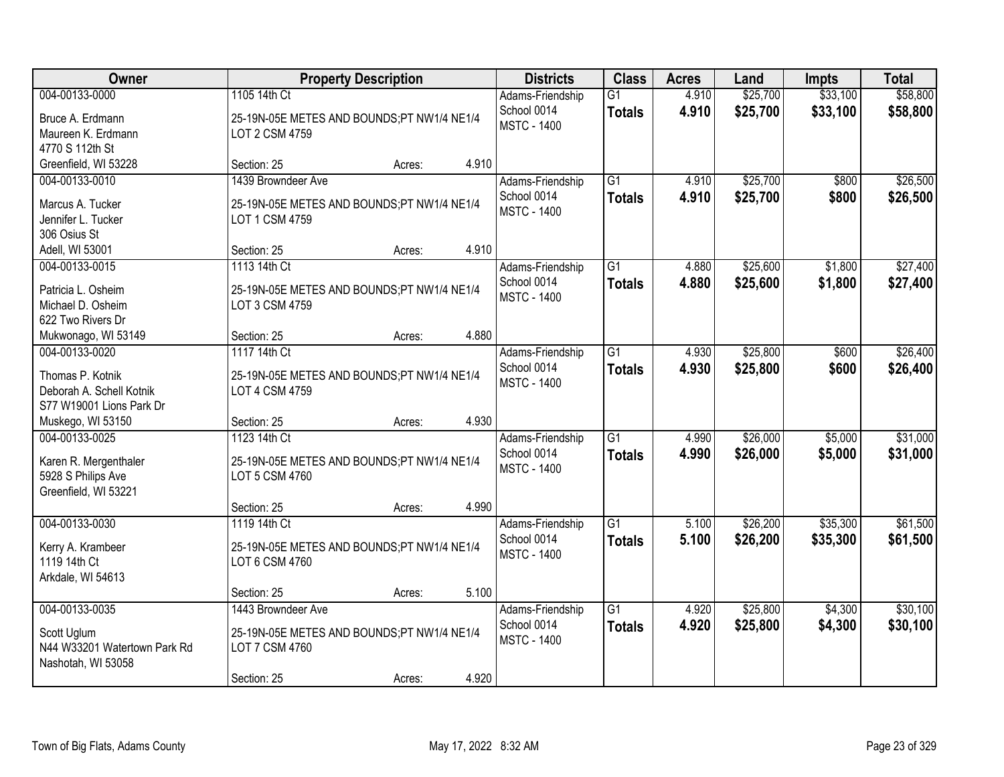| <b>Owner</b>                                                                               |                                                                                                   | <b>Property Description</b> |       | <b>Districts</b>                                      | <b>Class</b>                     | <b>Acres</b>   | Land                 | <b>Impts</b>         | <b>Total</b>         |
|--------------------------------------------------------------------------------------------|---------------------------------------------------------------------------------------------------|-----------------------------|-------|-------------------------------------------------------|----------------------------------|----------------|----------------------|----------------------|----------------------|
| 004-00133-0000<br>Bruce A. Erdmann<br>Maureen K. Erdmann<br>4770 S 112th St                | 1105 14th Ct<br>25-19N-05E METES AND BOUNDS;PT NW1/4 NE1/4<br>LOT 2 CSM 4759                      |                             |       | Adams-Friendship<br>School 0014<br><b>MSTC - 1400</b> | $\overline{G1}$<br><b>Totals</b> | 4.910<br>4.910 | \$25,700<br>\$25,700 | \$33,100<br>\$33,100 | \$58,800<br>\$58,800 |
| Greenfield, WI 53228                                                                       | Section: 25                                                                                       | Acres:                      | 4.910 |                                                       |                                  |                |                      |                      |                      |
| 004-00133-0010<br>Marcus A. Tucker<br>Jennifer L. Tucker<br>306 Osius St                   | 1439 Browndeer Ave<br>25-19N-05E METES AND BOUNDS;PT NW1/4 NE1/4<br>LOT 1 CSM 4759                |                             |       | Adams-Friendship<br>School 0014<br><b>MSTC - 1400</b> | $\overline{G1}$<br><b>Totals</b> | 4.910<br>4.910 | \$25,700<br>\$25,700 | \$800<br>\$800       | \$26,500<br>\$26,500 |
| Adell, WI 53001                                                                            | Section: 25                                                                                       | Acres:                      | 4.910 |                                                       |                                  |                |                      |                      |                      |
| 004-00133-0015<br>Patricia L. Osheim<br>Michael D. Osheim<br>622 Two Rivers Dr             | 1113 14th Ct<br>25-19N-05E METES AND BOUNDS;PT NW1/4 NE1/4<br>LOT 3 CSM 4759                      |                             |       | Adams-Friendship<br>School 0014<br><b>MSTC - 1400</b> | G1<br><b>Totals</b>              | 4.880<br>4.880 | \$25,600<br>\$25,600 | \$1,800<br>\$1,800   | \$27,400<br>\$27,400 |
| Mukwonago, WI 53149                                                                        | Section: 25                                                                                       | Acres:                      | 4.880 |                                                       |                                  |                |                      |                      |                      |
| 004-00133-0020<br>Thomas P. Kotnik<br>Deborah A. Schell Kotnik<br>S77 W19001 Lions Park Dr | 1117 14th Ct<br>25-19N-05E METES AND BOUNDS;PT NW1/4 NE1/4<br>LOT 4 CSM 4759                      |                             |       | Adams-Friendship<br>School 0014<br><b>MSTC - 1400</b> | G1<br><b>Totals</b>              | 4.930<br>4.930 | \$25,800<br>\$25,800 | \$600<br>\$600       | \$26,400<br>\$26,400 |
| Muskego, WI 53150                                                                          | Section: 25                                                                                       | Acres:                      | 4.930 |                                                       |                                  |                |                      |                      |                      |
| 004-00133-0025<br>Karen R. Mergenthaler<br>5928 S Philips Ave<br>Greenfield, WI 53221      | 1123 14th Ct<br>25-19N-05E METES AND BOUNDS;PT NW1/4 NE1/4<br>LOT 5 CSM 4760                      |                             |       | Adams-Friendship<br>School 0014<br><b>MSTC - 1400</b> | $\overline{G1}$<br><b>Totals</b> | 4.990<br>4.990 | \$26,000<br>\$26,000 | \$5,000<br>\$5,000   | \$31,000<br>\$31,000 |
|                                                                                            | Section: 25                                                                                       | Acres:                      | 4.990 |                                                       |                                  |                |                      |                      |                      |
| 004-00133-0030<br>Kerry A. Krambeer<br>1119 14th Ct<br>Arkdale, WI 54613                   | 1119 14th Ct<br>25-19N-05E METES AND BOUNDS;PT NW1/4 NE1/4<br>LOT 6 CSM 4760                      |                             |       | Adams-Friendship<br>School 0014<br><b>MSTC - 1400</b> | $\overline{G1}$<br><b>Totals</b> | 5.100<br>5.100 | \$26,200<br>\$26,200 | \$35,300<br>\$35,300 | \$61,500<br>\$61,500 |
|                                                                                            | Section: 25                                                                                       | Acres:                      | 5.100 |                                                       |                                  |                |                      |                      |                      |
| 004-00133-0035<br>Scott Uglum<br>N44 W33201 Watertown Park Rd<br>Nashotah, WI 53058        | 1443 Browndeer Ave<br>25-19N-05E METES AND BOUNDS;PT NW1/4 NE1/4<br>LOT 7 CSM 4760<br>Section: 25 | Acres:                      | 4.920 | Adams-Friendship<br>School 0014<br><b>MSTC - 1400</b> | $\overline{G1}$<br><b>Totals</b> | 4.920<br>4.920 | \$25,800<br>\$25,800 | \$4,300<br>\$4,300   | \$30,100<br>\$30,100 |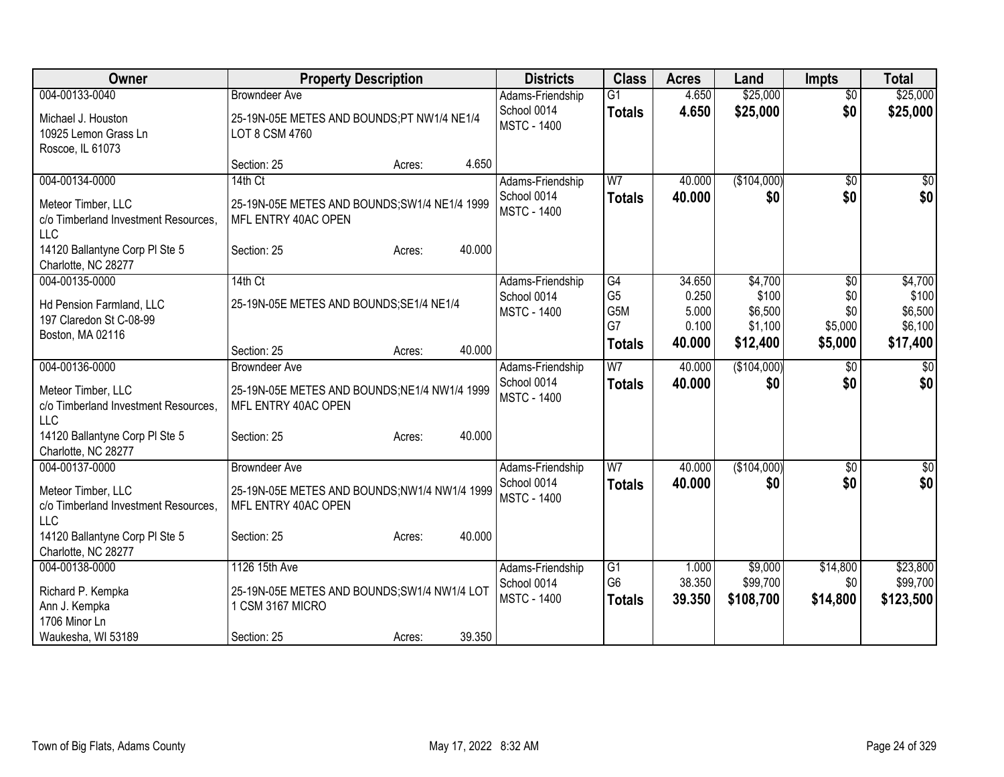| Owner                                                                                                                                        | <b>Property Description</b>                                                                                                     | <b>Districts</b>                                      | <b>Class</b>                                       | <b>Acres</b>                                | Land                                               | <b>Impts</b>                            | <b>Total</b>                                       |
|----------------------------------------------------------------------------------------------------------------------------------------------|---------------------------------------------------------------------------------------------------------------------------------|-------------------------------------------------------|----------------------------------------------------|---------------------------------------------|----------------------------------------------------|-----------------------------------------|----------------------------------------------------|
| 004-00133-0040<br>Michael J. Houston<br>10925 Lemon Grass Ln<br>Roscoe, IL 61073                                                             | <b>Browndeer Ave</b><br>25-19N-05E METES AND BOUNDS;PT NW1/4 NE1/4<br>LOT 8 CSM 4760                                            | Adams-Friendship<br>School 0014<br><b>MSTC - 1400</b> | $\overline{G1}$<br><b>Totals</b>                   | 4.650<br>4.650                              | \$25,000<br>\$25,000                               | $\overline{50}$<br>\$0                  | \$25,000<br>\$25,000                               |
|                                                                                                                                              | 4.650<br>Section: 25<br>Acres:                                                                                                  |                                                       |                                                    |                                             |                                                    |                                         |                                                    |
| 004-00134-0000<br>Meteor Timber, LLC<br>c/o Timberland Investment Resources.<br>LLC<br>14120 Ballantyne Corp PI Ste 5<br>Charlotte, NC 28277 | 14th Ct<br>25-19N-05E METES AND BOUNDS; SW1/4 NE1/4 1999<br>MFL ENTRY 40AC OPEN<br>40.000<br>Section: 25<br>Acres:              | Adams-Friendship<br>School 0014<br><b>MSTC - 1400</b> | W <sub>7</sub><br><b>Totals</b>                    | 40.000<br>40.000                            | (\$104,000)<br>\$0                                 | $\overline{50}$<br>\$0                  | \$0<br>\$0                                         |
| 004-00135-0000<br>Hd Pension Farmland, LLC<br>197 Claredon St C-08-99<br>Boston, MA 02116                                                    | 14th Ct<br>25-19N-05E METES AND BOUNDS; SE1/4 NE1/4<br>40.000<br>Section: 25<br>Acres:                                          | Adams-Friendship<br>School 0014<br><b>MSTC - 1400</b> | G4<br>G <sub>5</sub><br>G5M<br>G7<br><b>Totals</b> | 34.650<br>0.250<br>5.000<br>0.100<br>40.000 | \$4,700<br>\$100<br>\$6,500<br>\$1,100<br>\$12,400 | \$0<br>\$0<br>\$0<br>\$5,000<br>\$5,000 | \$4,700<br>\$100<br>\$6,500<br>\$6,100<br>\$17,400 |
| 004-00136-0000<br>Meteor Timber, LLC<br>c/o Timberland Investment Resources,<br>LLC<br>14120 Ballantyne Corp PI Ste 5<br>Charlotte, NC 28277 | <b>Browndeer Ave</b><br>25-19N-05E METES AND BOUNDS; NE1/4 NW1/4 1999<br>MFL ENTRY 40AC OPEN<br>40.000<br>Section: 25<br>Acres: | Adams-Friendship<br>School 0014<br><b>MSTC - 1400</b> | W <sub>7</sub><br><b>Totals</b>                    | 40.000<br>40,000                            | (\$104,000)<br>\$0                                 | \$0<br>\$0                              | \$0<br>\$0                                         |
| 004-00137-0000<br>Meteor Timber, LLC<br>c/o Timberland Investment Resources,<br>LLC<br>14120 Ballantyne Corp PI Ste 5<br>Charlotte, NC 28277 | <b>Browndeer Ave</b><br>25-19N-05E METES AND BOUNDS; NW1/4 NW1/4 1999<br>MFL ENTRY 40AC OPEN<br>40.000<br>Section: 25<br>Acres: | Adams-Friendship<br>School 0014<br><b>MSTC - 1400</b> | W <sub>7</sub><br><b>Totals</b>                    | 40.000<br>40.000                            | (\$104,000)<br>\$0                                 | \$0<br>\$0                              | $\overline{50}$<br>\$0                             |
| 004-00138-0000<br>Richard P. Kempka<br>Ann J. Kempka<br>1706 Minor Ln<br>Waukesha, WI 53189                                                  | 1126 15th Ave<br>25-19N-05E METES AND BOUNDS; SW1/4 NW1/4 LOT<br>1 CSM 3167 MICRO<br>39.350<br>Section: 25<br>Acres:            | Adams-Friendship<br>School 0014<br><b>MSTC - 1400</b> | G1<br>G <sub>6</sub><br><b>Totals</b>              | 1.000<br>38.350<br>39.350                   | \$9,000<br>\$99,700<br>\$108,700                   | \$14,800<br>\$0<br>\$14,800             | \$23,800<br>\$99,700<br>\$123,500                  |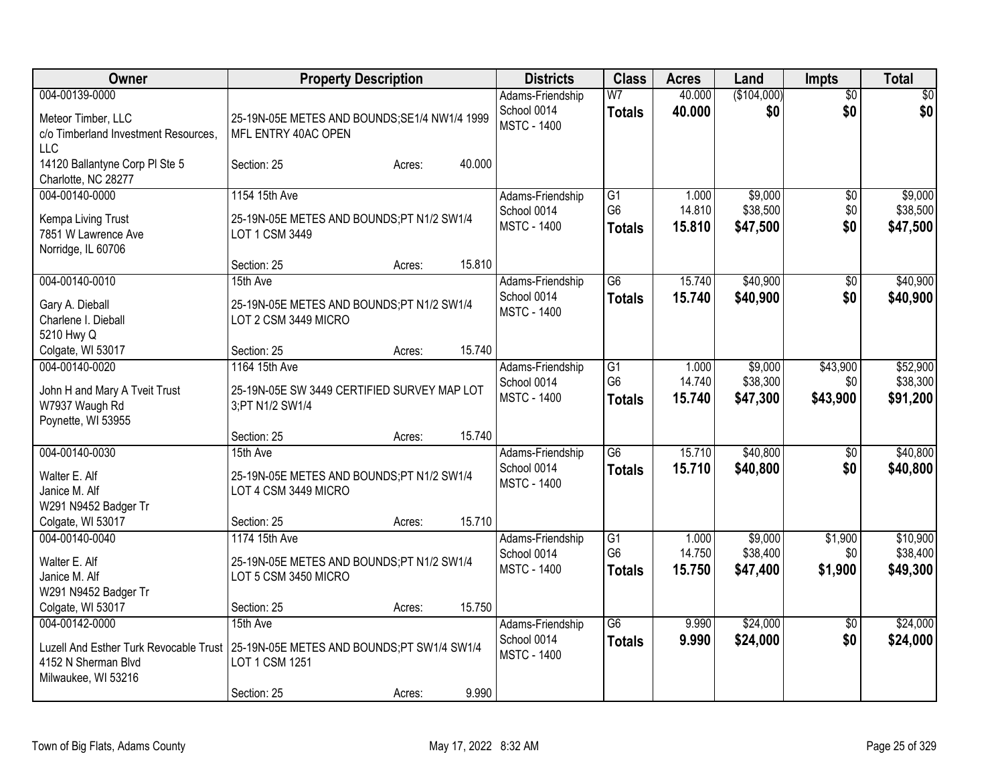| Owner                                                                                                  | <b>Property Description</b>                                                             |        |        | <b>Districts</b>                                      | <b>Class</b>                          | <b>Acres</b>              | Land                            | <b>Impts</b>                | <b>Total</b>                     |
|--------------------------------------------------------------------------------------------------------|-----------------------------------------------------------------------------------------|--------|--------|-------------------------------------------------------|---------------------------------------|---------------------------|---------------------------------|-----------------------------|----------------------------------|
| 004-00139-0000<br>Meteor Timber, LLC<br>c/o Timberland Investment Resources,<br><b>LLC</b>             | 25-19N-05E METES AND BOUNDS; SE1/4 NW1/4 1999<br>MFL ENTRY 40AC OPEN                    |        |        | Adams-Friendship<br>School 0014<br><b>MSTC - 1400</b> | W <sub>7</sub><br><b>Totals</b>       | 40.000<br>40.000          | (\$104,000)<br>\$0              | $\overline{50}$<br>\$0      | $\sqrt{50}$<br>\$0               |
| 14120 Ballantyne Corp PI Ste 5<br>Charlotte, NC 28277                                                  | Section: 25                                                                             | Acres: | 40.000 |                                                       |                                       |                           |                                 |                             |                                  |
| 004-00140-0000                                                                                         | 1154 15th Ave                                                                           |        |        | Adams-Friendship                                      | $\overline{G1}$                       | 1.000                     | \$9,000                         | $\overline{60}$             | \$9,000                          |
| Kempa Living Trust<br>7851 W Lawrence Ave<br>Norridge, IL 60706                                        | 25-19N-05E METES AND BOUNDS;PT N1/2 SW1/4<br>LOT 1 CSM 3449                             |        |        | School 0014<br><b>MSTC - 1400</b>                     | G <sub>6</sub><br><b>Totals</b>       | 14.810<br>15.810          | \$38,500<br>\$47,500            | \$0<br>\$0                  | \$38,500<br>\$47,500             |
|                                                                                                        | Section: 25                                                                             | Acres: | 15.810 |                                                       |                                       |                           |                                 |                             |                                  |
| 004-00140-0010                                                                                         | 15th Ave                                                                                |        |        | Adams-Friendship                                      | $\overline{G6}$                       | 15.740                    | \$40,900                        | $\overline{50}$             | \$40,900                         |
| Gary A. Dieball<br>Charlene I. Dieball<br>5210 Hwy Q                                                   | 25-19N-05E METES AND BOUNDS;PT N1/2 SW1/4<br>LOT 2 CSM 3449 MICRO                       |        |        | School 0014<br><b>MSTC - 1400</b>                     | <b>Totals</b>                         | 15.740                    | \$40,900                        | \$0                         | \$40,900                         |
| Colgate, WI 53017                                                                                      | Section: 25                                                                             | Acres: | 15.740 |                                                       |                                       |                           |                                 |                             |                                  |
| 004-00140-0020<br>John H and Mary A Tveit Trust<br>W7937 Waugh Rd<br>Poynette, WI 53955                | 1164 15th Ave<br>25-19N-05E SW 3449 CERTIFIED SURVEY MAP LOT<br>3;PT N1/2 SW1/4         |        |        | Adams-Friendship<br>School 0014<br><b>MSTC - 1400</b> | G1<br>G <sub>6</sub><br><b>Totals</b> | 1.000<br>14.740<br>15.740 | \$9,000<br>\$38,300<br>\$47,300 | \$43,900<br>\$0<br>\$43,900 | \$52,900<br>\$38,300<br>\$91,200 |
|                                                                                                        | Section: 25                                                                             | Acres: | 15.740 |                                                       |                                       |                           |                                 |                             |                                  |
| 004-00140-0030<br>Walter E. Alf<br>Janice M. Alf<br>W291 N9452 Badger Tr                               | 15th Ave<br>25-19N-05E METES AND BOUNDS;PT N1/2 SW1/4<br>LOT 4 CSM 3449 MICRO           |        |        | Adams-Friendship<br>School 0014<br><b>MSTC - 1400</b> | $\overline{G6}$<br><b>Totals</b>      | 15.710<br>15.710          | \$40,800<br>\$40,800            | $\sqrt{6}$<br>\$0           | \$40,800<br>\$40,800             |
| Colgate, WI 53017                                                                                      | Section: 25                                                                             | Acres: | 15.710 |                                                       |                                       |                           |                                 |                             |                                  |
| 004-00140-0040                                                                                         | 1174 15th Ave                                                                           |        |        | Adams-Friendship                                      | $\overline{G1}$                       | 1.000                     | \$9,000                         | \$1,900                     | \$10,900                         |
| Walter E. Alf<br>Janice M. Alf<br>W291 N9452 Badger Tr                                                 | 25-19N-05E METES AND BOUNDS;PT N1/2 SW1/4<br>LOT 5 CSM 3450 MICRO                       |        |        | School 0014<br><b>MSTC - 1400</b>                     | G <sub>6</sub><br><b>Totals</b>       | 14.750<br>15.750          | \$38,400<br>\$47,400            | \$0<br>\$1,900              | \$38,400<br>\$49,300             |
| Colgate, WI 53017                                                                                      | Section: 25                                                                             | Acres: | 15.750 |                                                       |                                       |                           |                                 |                             |                                  |
| 004-00142-0000<br>Luzell And Esther Turk Revocable Trust<br>4152 N Sherman Blvd<br>Milwaukee, WI 53216 | 15th Ave<br>25-19N-05E METES AND BOUNDS;PT SW1/4 SW1/4<br>LOT 1 CSM 1251<br>Section: 25 | Acres: | 9.990  | Adams-Friendship<br>School 0014<br><b>MSTC - 1400</b> | $\overline{G6}$<br><b>Totals</b>      | 9.990<br>9.990            | \$24,000<br>\$24,000            | $\overline{30}$<br>\$0      | \$24,000<br>\$24,000             |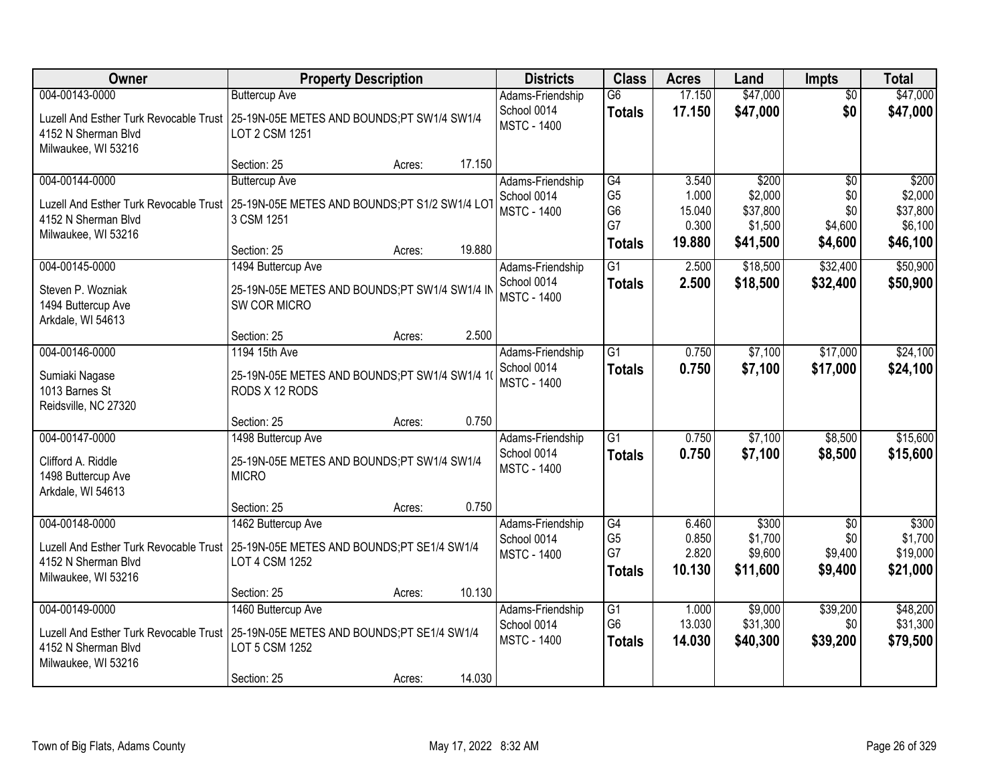| Owner                                                                           | <b>Property Description</b>                                                                                                                           |        | <b>Districts</b>                                      | <b>Class</b>                                                  | <b>Acres</b>                                | Land                                                | <b>Impts</b>                                 | <b>Total</b>                                        |
|---------------------------------------------------------------------------------|-------------------------------------------------------------------------------------------------------------------------------------------------------|--------|-------------------------------------------------------|---------------------------------------------------------------|---------------------------------------------|-----------------------------------------------------|----------------------------------------------|-----------------------------------------------------|
| 004-00143-0000<br>4152 N Sherman Blvd<br>Milwaukee, WI 53216                    | <b>Buttercup Ave</b><br>Luzell And Esther Turk Revocable Trust 25-19N-05E METES AND BOUNDS; PT SW1/4 SW1/4<br>LOT 2 CSM 1251                          |        | Adams-Friendship<br>School 0014<br><b>MSTC - 1400</b> | $\overline{G6}$<br><b>Totals</b>                              | 17.150<br>17.150                            | \$47,000<br>\$47,000                                | $\overline{50}$<br>\$0                       | \$47,000<br>\$47,000                                |
|                                                                                 | Section: 25<br>Acres:                                                                                                                                 | 17.150 |                                                       |                                                               |                                             |                                                     |                                              |                                                     |
| 004-00144-0000<br>4152 N Sherman Blvd<br>Milwaukee, WI 53216                    | <b>Buttercup Ave</b><br>Luzell And Esther Turk Revocable Trust   25-19N-05E METES AND BOUNDS;PT S1/2 SW1/4 LOT<br>3 CSM 1251<br>Section: 25<br>Acres: | 19.880 | Adams-Friendship<br>School 0014<br><b>MSTC - 1400</b> | G4<br>G <sub>5</sub><br>G <sub>6</sub><br>G7<br><b>Totals</b> | 3.540<br>1.000<br>15.040<br>0.300<br>19.880 | \$200<br>\$2,000<br>\$37,800<br>\$1,500<br>\$41,500 | \$0<br>\$0<br>\$0<br>\$4,600<br>\$4,600      | \$200<br>\$2,000<br>\$37,800<br>\$6,100<br>\$46,100 |
| 004-00145-0000                                                                  | 1494 Buttercup Ave                                                                                                                                    |        | Adams-Friendship<br>School 0014                       | $\overline{G1}$                                               | 2.500                                       | \$18,500                                            | \$32,400                                     | \$50,900                                            |
| Steven P. Wozniak<br>1494 Buttercup Ave<br>Arkdale, WI 54613                    | 25-19N-05E METES AND BOUNDS;PT SW1/4 SW1/4 IN<br>SW COR MICRO                                                                                         |        | <b>MSTC - 1400</b>                                    | <b>Totals</b>                                                 | 2.500                                       | \$18,500                                            | \$32,400                                     | \$50,900                                            |
|                                                                                 | Section: 25<br>Acres:                                                                                                                                 | 2.500  |                                                       |                                                               |                                             |                                                     |                                              |                                                     |
| 004-00146-0000<br>Sumiaki Nagase<br>1013 Barnes St<br>Reidsville, NC 27320      | 1194 15th Ave<br>25-19N-05E METES AND BOUNDS;PT SW1/4 SW1/4 1(<br>RODS X 12 RODS                                                                      |        | Adams-Friendship<br>School 0014<br><b>MSTC - 1400</b> | $\overline{G1}$<br><b>Totals</b>                              | 0.750<br>0.750                              | \$7,100<br>\$7,100                                  | \$17,000<br>\$17,000                         | \$24,100<br>\$24,100                                |
|                                                                                 | Section: 25<br>Acres:                                                                                                                                 | 0.750  |                                                       |                                                               |                                             |                                                     |                                              |                                                     |
| 004-00147-0000<br>Clifford A. Riddle<br>1498 Buttercup Ave<br>Arkdale, WI 54613 | 1498 Buttercup Ave<br>25-19N-05E METES AND BOUNDS;PT SW1/4 SW1/4<br><b>MICRO</b>                                                                      |        | Adams-Friendship<br>School 0014<br><b>MSTC - 1400</b> | $\overline{G1}$<br><b>Totals</b>                              | 0.750<br>0.750                              | \$7,100<br>\$7,100                                  | \$8,500<br>\$8,500                           | \$15,600<br>\$15,600                                |
|                                                                                 | Section: 25<br>Acres:                                                                                                                                 | 0.750  |                                                       |                                                               |                                             |                                                     |                                              |                                                     |
| 004-00148-0000<br>4152 N Sherman Blvd<br>Milwaukee, WI 53216                    | 1462 Buttercup Ave<br>Luzell And Esther Turk Revocable Trust 25-19N-05E METES AND BOUNDS; PT SE1/4 SW1/4<br>LOT 4 CSM 1252                            |        | Adams-Friendship<br>School 0014<br><b>MSTC - 1400</b> | G4<br>G <sub>5</sub><br>G7<br><b>Totals</b>                   | 6.460<br>0.850<br>2.820<br>10.130           | \$300<br>\$1,700<br>\$9,600<br>\$11,600             | $\overline{50}$<br>\$0<br>\$9,400<br>\$9,400 | \$300<br>\$1,700<br>\$19,000<br>\$21,000            |
|                                                                                 | Section: 25<br>Acres:                                                                                                                                 | 10.130 |                                                       |                                                               |                                             |                                                     | \$39,200                                     | \$48,200                                            |
| 004-00149-0000<br>4152 N Sherman Blvd<br>Milwaukee, WI 53216                    | 1460 Buttercup Ave<br>Luzell And Esther Turk Revocable Trust 25-19N-05E METES AND BOUNDS; PT SE1/4 SW1/4<br>LOT 5 CSM 1252<br>Section: 25<br>Acres:   | 14.030 | Adams-Friendship<br>School 0014<br><b>MSTC - 1400</b> | G1<br>G <sub>6</sub><br><b>Totals</b>                         | 1.000<br>13.030<br>14.030                   | \$9,000<br>\$31,300<br>\$40,300                     | \$0<br>\$39,200                              | \$31,300<br>\$79,500                                |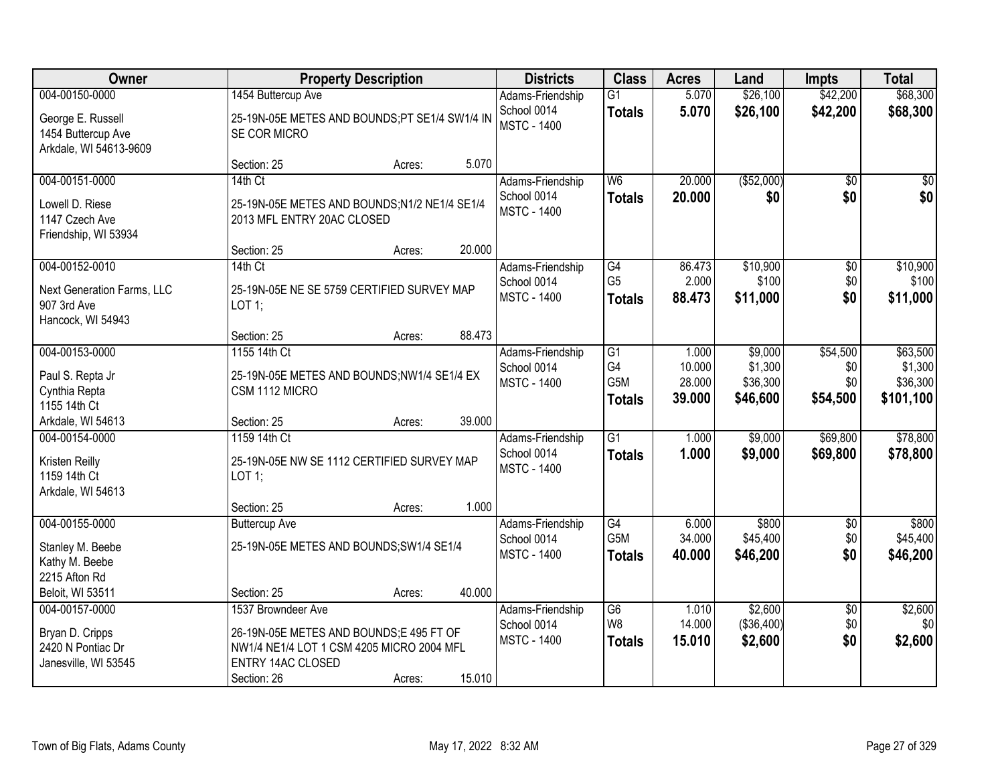| Owner                                                             |                                                                            | <b>Property Description</b> |        |                                   | <b>Class</b>                    | <b>Acres</b>     | Land                  | <b>Impts</b>           | <b>Total</b>      |
|-------------------------------------------------------------------|----------------------------------------------------------------------------|-----------------------------|--------|-----------------------------------|---------------------------------|------------------|-----------------------|------------------------|-------------------|
| 004-00150-0000                                                    | 1454 Buttercup Ave                                                         |                             |        | Adams-Friendship                  | $\overline{G1}$                 | 5.070            | \$26,100              | \$42,200               | \$68,300          |
| George E. Russell<br>1454 Buttercup Ave<br>Arkdale, WI 54613-9609 | 25-19N-05E METES AND BOUNDS;PT SE1/4 SW1/4 IN<br>SE COR MICRO              |                             |        | School 0014<br><b>MSTC - 1400</b> | <b>Totals</b>                   | 5.070            | \$26,100              | \$42,200               | \$68,300          |
|                                                                   | Section: 25                                                                | Acres:                      | 5.070  |                                   |                                 |                  |                       |                        |                   |
| 004-00151-0000                                                    | 14th Ct                                                                    |                             |        | Adams-Friendship                  | W <sub>6</sub>                  | 20.000           | ( \$52,000)           | \$0                    | \$0               |
| Lowell D. Riese<br>1147 Czech Ave<br>Friendship, WI 53934         | 25-19N-05E METES AND BOUNDS;N1/2 NE1/4 SE1/4<br>2013 MFL ENTRY 20AC CLOSED |                             |        | School 0014<br><b>MSTC - 1400</b> | <b>Totals</b>                   | 20.000           | \$0                   | \$0                    | \$0               |
|                                                                   | Section: 25                                                                | Acres:                      | 20.000 |                                   |                                 |                  |                       |                        |                   |
| 004-00152-0010                                                    | 14th Ct                                                                    |                             |        | Adams-Friendship                  | G4                              | 86.473           | \$10,900              | $\overline{60}$        | \$10,900          |
| Next Generation Farms, LLC<br>907 3rd Ave<br>Hancock, WI 54943    | 25-19N-05E NE SE 5759 CERTIFIED SURVEY MAP<br>LOT 1;                       |                             |        | School 0014<br><b>MSTC - 1400</b> | G <sub>5</sub><br><b>Totals</b> | 2.000<br>88.473  | \$100<br>\$11,000     | \$0<br>\$0             | \$100<br>\$11,000 |
|                                                                   | Section: 25                                                                | Acres:                      | 88.473 |                                   |                                 |                  |                       |                        |                   |
| 004-00153-0000                                                    | 1155 14th Ct                                                               |                             |        | Adams-Friendship                  | $\overline{G1}$                 | 1.000            | \$9,000               | \$54,500               | \$63,500          |
| Paul S. Repta Jr                                                  | 25-19N-05E METES AND BOUNDS;NW1/4 SE1/4 EX                                 |                             |        | School 0014                       | G4                              | 10.000           | \$1,300               | \$0                    | \$1,300           |
| Cynthia Repta                                                     | CSM 1112 MICRO                                                             |                             |        | <b>MSTC - 1400</b>                | G5M                             | 28.000           | \$36,300              | \$0                    | \$36,300          |
| 1155 14th Ct                                                      |                                                                            |                             |        |                                   | <b>Totals</b>                   | 39.000           | \$46,600              | \$54,500               | \$101,100         |
| Arkdale, WI 54613                                                 | Section: 25                                                                | Acres:                      | 39.000 |                                   |                                 |                  |                       |                        |                   |
| 004-00154-0000                                                    | 1159 14th Ct                                                               |                             |        | Adams-Friendship                  | $\overline{G1}$                 | 1.000            | \$9,000               | \$69,800               | \$78,800          |
| Kristen Reilly                                                    | 25-19N-05E NW SE 1112 CERTIFIED SURVEY MAP                                 |                             |        | School 0014                       | <b>Totals</b>                   | 1.000            | \$9,000               | \$69,800               | \$78,800          |
| 1159 14th Ct                                                      | LOT 1;                                                                     |                             |        | <b>MSTC - 1400</b>                |                                 |                  |                       |                        |                   |
| Arkdale, WI 54613                                                 |                                                                            |                             |        |                                   |                                 |                  |                       |                        |                   |
|                                                                   | Section: 25                                                                | Acres:                      | 1.000  |                                   |                                 |                  |                       |                        |                   |
| 004-00155-0000                                                    | <b>Buttercup Ave</b>                                                       |                             |        | Adams-Friendship                  | G4<br>G5M                       | 6.000            | \$800                 | \$0                    | \$800<br>\$45,400 |
| Stanley M. Beebe                                                  | 25-19N-05E METES AND BOUNDS; SW1/4 SE1/4                                   |                             |        | School 0014<br><b>MSTC - 1400</b> | <b>Totals</b>                   | 34.000<br>40.000 | \$45,400<br>\$46,200  | \$0<br>\$0             | \$46,200          |
| Kathy M. Beebe                                                    |                                                                            |                             |        |                                   |                                 |                  |                       |                        |                   |
| 2215 Afton Rd                                                     |                                                                            |                             |        |                                   |                                 |                  |                       |                        |                   |
| Beloit, WI 53511                                                  | Section: 25                                                                | Acres:                      | 40.000 |                                   |                                 |                  |                       |                        |                   |
| 004-00157-0000                                                    | 1537 Browndeer Ave                                                         |                             |        | Adams-Friendship<br>School 0014   | G6<br>W8                        | 1.010<br>14.000  | \$2,600<br>(\$36,400) | $\overline{60}$<br>\$0 | \$2,600<br>\$0    |
| Bryan D. Cripps                                                   | 26-19N-05E METES AND BOUNDS;E 495 FT OF                                    |                             |        | <b>MSTC - 1400</b>                | <b>Totals</b>                   | 15.010           | \$2,600               | \$0                    | \$2,600           |
| 2420 N Pontiac Dr                                                 | NW1/4 NE1/4 LOT 1 CSM 4205 MICRO 2004 MFL                                  |                             |        |                                   |                                 |                  |                       |                        |                   |
| Janesville, WI 53545                                              | <b>ENTRY 14AC CLOSED</b>                                                   |                             | 15.010 |                                   |                                 |                  |                       |                        |                   |
|                                                                   | Section: 26                                                                | Acres:                      |        |                                   |                                 |                  |                       |                        |                   |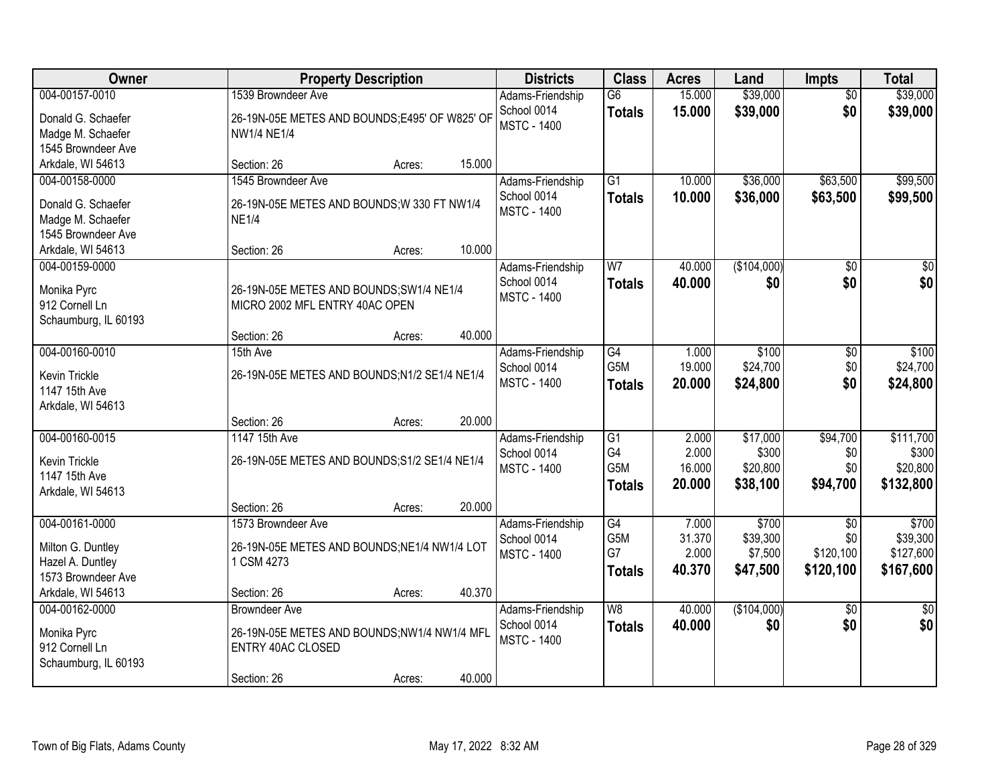| Owner                                                                           |                                                                                                                | <b>Property Description</b> |        | <b>Districts</b>                                      | <b>Class</b>                                               | <b>Acres</b>                       | Land                                      | <b>Impts</b>                                     | <b>Total</b>                                |
|---------------------------------------------------------------------------------|----------------------------------------------------------------------------------------------------------------|-----------------------------|--------|-------------------------------------------------------|------------------------------------------------------------|------------------------------------|-------------------------------------------|--------------------------------------------------|---------------------------------------------|
| 004-00157-0010<br>Donald G. Schaefer<br>Madge M. Schaefer<br>1545 Browndeer Ave | 1539 Browndeer Ave<br>26-19N-05E METES AND BOUNDS;E495' OF W825' OF<br><b>NW1/4 NE1/4</b>                      |                             |        | Adams-Friendship<br>School 0014<br><b>MSTC - 1400</b> | $\overline{G6}$<br><b>Totals</b>                           | 15.000<br>15.000                   | \$39,000<br>\$39,000                      | $\overline{50}$<br>\$0                           | \$39,000<br>\$39,000                        |
| Arkdale, WI 54613                                                               | Section: 26                                                                                                    | Acres:                      | 15.000 |                                                       |                                                            |                                    |                                           |                                                  |                                             |
| 004-00158-0000<br>Donald G. Schaefer<br>Madge M. Schaefer<br>1545 Browndeer Ave | 1545 Browndeer Ave<br>26-19N-05E METES AND BOUNDS; W 330 FT NW1/4<br><b>NE1/4</b>                              |                             | 10.000 | Adams-Friendship<br>School 0014<br><b>MSTC - 1400</b> | $\overline{G1}$<br><b>Totals</b>                           | 10.000<br>10.000                   | \$36,000<br>\$36,000                      | \$63,500<br>\$63,500                             | \$99,500<br>\$99,500                        |
| Arkdale, WI 54613<br>004-00159-0000                                             | Section: 26                                                                                                    | Acres:                      |        | Adams-Friendship                                      | W <sub>7</sub>                                             | 40.000                             | (\$104,000)                               | \$0                                              | $\overline{\$0}$                            |
| Monika Pyrc<br>912 Cornell Ln<br>Schaumburg, IL 60193                           | 26-19N-05E METES AND BOUNDS; SW1/4 NE1/4<br>MICRO 2002 MFL ENTRY 40AC OPEN<br>Section: 26                      | Acres:                      | 40.000 | School 0014<br><b>MSTC - 1400</b>                     | <b>Totals</b>                                              | 40.000                             | \$0                                       | \$0                                              | \$0                                         |
| 004-00160-0010                                                                  | 15th Ave                                                                                                       |                             |        | Adams-Friendship                                      | G4                                                         | 1.000                              | \$100                                     | \$0                                              | \$100                                       |
| Kevin Trickle<br>1147 15th Ave<br>Arkdale, WI 54613                             | 26-19N-05E METES AND BOUNDS;N1/2 SE1/4 NE1/4                                                                   |                             |        | School 0014<br><b>MSTC - 1400</b>                     | G <sub>5</sub> M<br><b>Totals</b>                          | 19.000<br>20.000                   | \$24,700<br>\$24,800                      | \$0<br>\$0                                       | \$24,700<br>\$24,800                        |
|                                                                                 | Section: 26                                                                                                    | Acres:                      | 20.000 |                                                       |                                                            |                                    |                                           |                                                  |                                             |
| 004-00160-0015<br>Kevin Trickle<br>1147 15th Ave<br>Arkdale, WI 54613           | 1147 15th Ave<br>26-19N-05E METES AND BOUNDS; S1/2 SE1/4 NE1/4                                                 |                             |        | Adams-Friendship<br>School 0014<br><b>MSTC - 1400</b> | $\overline{G1}$<br>G4<br>G <sub>5</sub> M<br><b>Totals</b> | 2.000<br>2.000<br>16.000<br>20.000 | \$17,000<br>\$300<br>\$20,800<br>\$38,100 | \$94,700<br>\$0<br>\$0<br>\$94,700               | \$111,700<br>\$300<br>\$20,800<br>\$132,800 |
|                                                                                 | Section: 26                                                                                                    | Acres:                      | 20.000 |                                                       |                                                            |                                    |                                           |                                                  |                                             |
| 004-00161-0000<br>Milton G. Duntley<br>Hazel A. Duntley<br>1573 Browndeer Ave   | 1573 Browndeer Ave<br>26-19N-05E METES AND BOUNDS;NE1/4 NW1/4 LOT<br>1 CSM 4273                                |                             |        | Adams-Friendship<br>School 0014<br><b>MSTC - 1400</b> | G4<br>G5M<br>G7<br><b>Totals</b>                           | 7.000<br>31.370<br>2.000<br>40.370 | \$700<br>\$39,300<br>\$7,500<br>\$47,500  | $\overline{50}$<br>\$0<br>\$120,100<br>\$120,100 | \$700<br>\$39,300<br>\$127,600<br>\$167,600 |
| Arkdale, WI 54613                                                               | Section: 26                                                                                                    | Acres:                      | 40.370 |                                                       |                                                            |                                    |                                           |                                                  |                                             |
| 004-00162-0000<br>Monika Pyrc<br>912 Cornell Ln<br>Schaumburg, IL 60193         | <b>Browndeer Ave</b><br>26-19N-05E METES AND BOUNDS;NW1/4 NW1/4 MFL<br><b>ENTRY 40AC CLOSED</b><br>Section: 26 | Acres:                      | 40.000 | Adams-Friendship<br>School 0014<br><b>MSTC - 1400</b> | W8<br><b>Totals</b>                                        | 40.000<br>40.000                   | (\$104,000)<br>\$0                        | $\overline{50}$<br>\$0                           | $\overline{30}$<br>\$0                      |
|                                                                                 |                                                                                                                |                             |        |                                                       |                                                            |                                    |                                           |                                                  |                                             |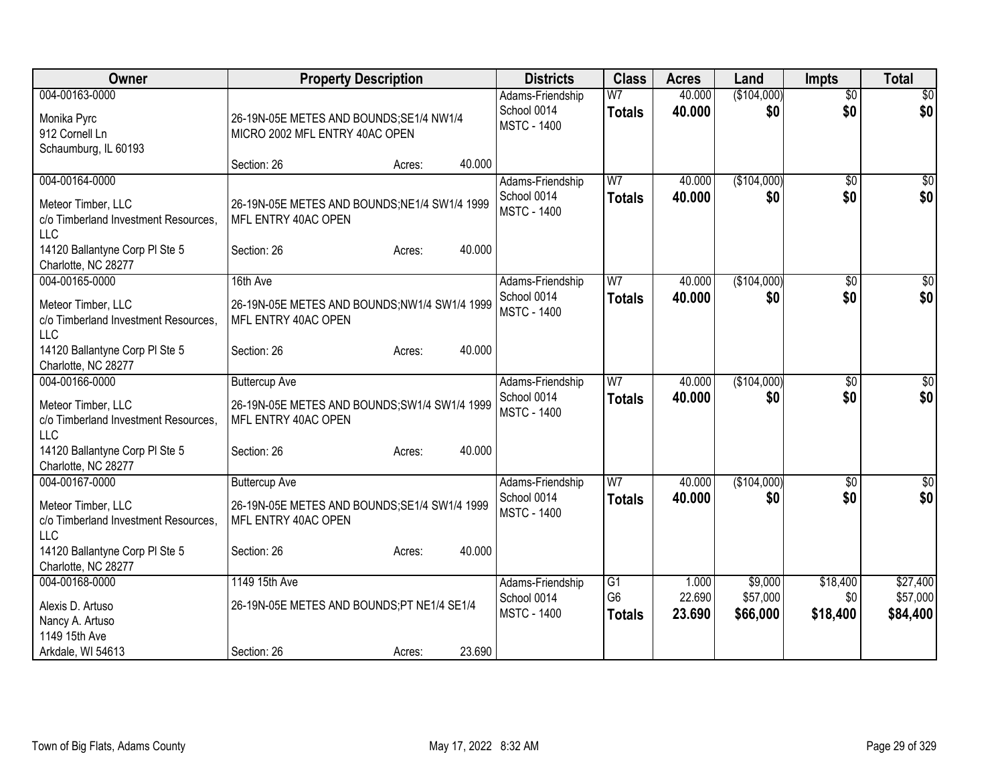| Owner                                                                                                                                               | <b>Property Description</b>                                                                                                     | <b>Districts</b>                                      | <b>Class</b>                                       | <b>Acres</b>              | Land                            | <b>Impts</b>                | <b>Total</b>                     |
|-----------------------------------------------------------------------------------------------------------------------------------------------------|---------------------------------------------------------------------------------------------------------------------------------|-------------------------------------------------------|----------------------------------------------------|---------------------------|---------------------------------|-----------------------------|----------------------------------|
| 004-00163-0000<br>Monika Pyrc<br>912 Cornell Ln<br>Schaumburg, IL 60193                                                                             | 26-19N-05E METES AND BOUNDS;SE1/4 NW1/4<br>MICRO 2002 MFL ENTRY 40AC OPEN                                                       | Adams-Friendship<br>School 0014<br><b>MSTC - 1400</b> | W <sub>7</sub><br><b>Totals</b>                    | 40.000<br>40.000          | (\$104,000)<br>\$0              | $\overline{50}$<br>\$0      | $\overline{30}$<br>\$0           |
|                                                                                                                                                     | 40.000<br>Section: 26<br>Acres:                                                                                                 |                                                       |                                                    |                           |                                 |                             |                                  |
| 004-00164-0000<br>Meteor Timber, LLC<br>c/o Timberland Investment Resources,<br>LLC<br>14120 Ballantyne Corp PI Ste 5                               | 26-19N-05E METES AND BOUNDS; NE1/4 SW1/4 1999<br>MFL ENTRY 40AC OPEN<br>40.000<br>Section: 26<br>Acres:                         | Adams-Friendship<br>School 0014<br><b>MSTC - 1400</b> | W <sub>7</sub><br><b>Totals</b>                    | 40.000<br>40.000          | (\$104,000)<br>\$0              | $\sqrt{6}$<br>\$0           | \$0<br>\$0                       |
| Charlotte, NC 28277                                                                                                                                 |                                                                                                                                 |                                                       |                                                    |                           |                                 |                             |                                  |
| 004-00165-0000<br>Meteor Timber, LLC<br>c/o Timberland Investment Resources,<br><b>LLC</b>                                                          | 16th Ave<br>26-19N-05E METES AND BOUNDS;NW1/4 SW1/4 1999<br>MFL ENTRY 40AC OPEN                                                 | Adams-Friendship<br>School 0014<br><b>MSTC - 1400</b> | W <sub>7</sub><br><b>Totals</b>                    | 40.000<br>40.000          | (\$104,000)<br>\$0              | \$0<br>\$0                  | $\overline{\$0}$<br>\$0          |
| 14120 Ballantyne Corp PI Ste 5<br>Charlotte, NC 28277                                                                                               | 40.000<br>Section: 26<br>Acres:                                                                                                 |                                                       |                                                    |                           |                                 |                             |                                  |
| 004-00166-0000<br>Meteor Timber, LLC<br>c/o Timberland Investment Resources,<br><b>LLC</b><br>14120 Ballantyne Corp PI Ste 5<br>Charlotte, NC 28277 | <b>Buttercup Ave</b><br>26-19N-05E METES AND BOUNDS; SW1/4 SW1/4 1999<br>MFL ENTRY 40AC OPEN<br>40.000<br>Section: 26<br>Acres: | Adams-Friendship<br>School 0014<br><b>MSTC - 1400</b> | W <sub>7</sub><br><b>Totals</b>                    | 40.000<br>40.000          | (\$104,000)<br>\$0              | $\overline{50}$<br>\$0      | $\sqrt{50}$<br>\$0               |
| 004-00167-0000<br>Meteor Timber, LLC<br>c/o Timberland Investment Resources,<br>LLC<br>14120 Ballantyne Corp PI Ste 5<br>Charlotte, NC 28277        | <b>Buttercup Ave</b><br>26-19N-05E METES AND BOUNDS; SE1/4 SW1/4 1999<br>MFL ENTRY 40AC OPEN<br>40.000<br>Section: 26<br>Acres: | Adams-Friendship<br>School 0014<br><b>MSTC - 1400</b> | W <sub>7</sub><br><b>Totals</b>                    | 40.000<br>40.000          | (\$104,000)<br>\$0              | \$0<br>\$0                  | $\sqrt{50}$<br>\$0               |
| 004-00168-0000<br>Alexis D. Artuso<br>Nancy A. Artuso<br>1149 15th Ave<br>Arkdale, WI 54613                                                         | 1149 15th Ave<br>26-19N-05E METES AND BOUNDS;PT NE1/4 SE1/4<br>23.690<br>Section: 26<br>Acres:                                  | Adams-Friendship<br>School 0014<br><b>MSTC - 1400</b> | $\overline{G1}$<br>G <sub>6</sub><br><b>Totals</b> | 1.000<br>22.690<br>23.690 | \$9,000<br>\$57,000<br>\$66,000 | \$18,400<br>\$0<br>\$18,400 | \$27,400<br>\$57,000<br>\$84,400 |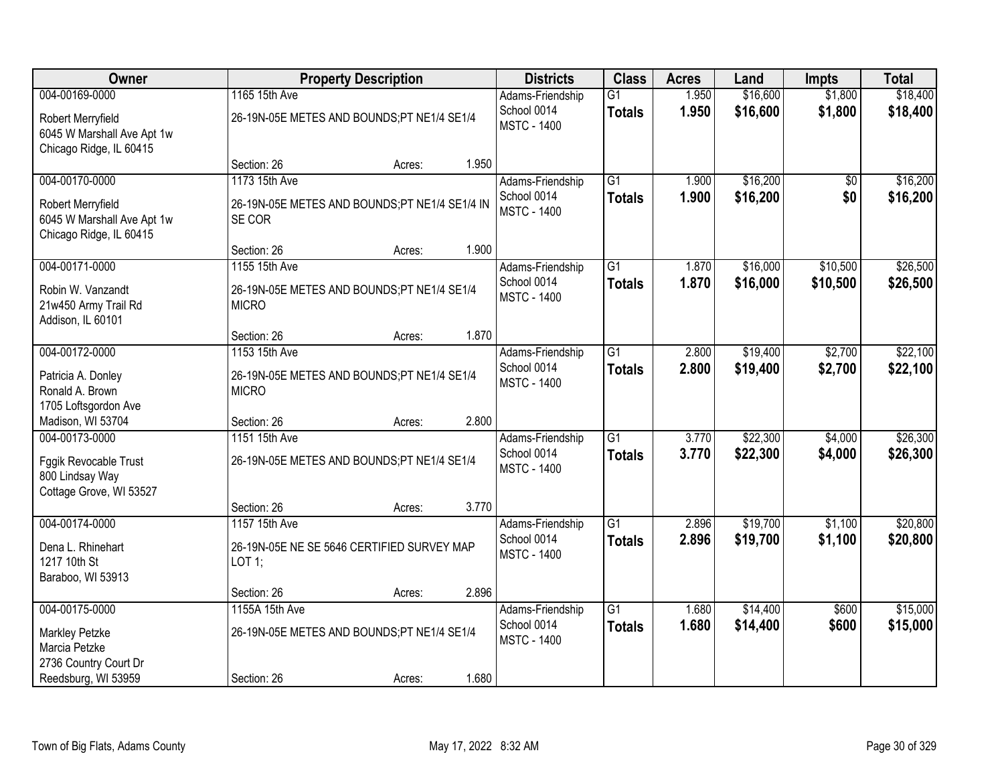| <b>Owner</b>                                                               | <b>Property Description</b>                                 |        |       | <b>Districts</b>                  | <b>Class</b>                     | <b>Acres</b>   | Land                 | <b>Impts</b>       | <b>Total</b>         |
|----------------------------------------------------------------------------|-------------------------------------------------------------|--------|-------|-----------------------------------|----------------------------------|----------------|----------------------|--------------------|----------------------|
| 004-00169-0000<br>Robert Merryfield                                        | 1165 15th Ave<br>26-19N-05E METES AND BOUNDS;PT NE1/4 SE1/4 |        |       | Adams-Friendship<br>School 0014   | $\overline{G1}$<br><b>Totals</b> | 1.950<br>1.950 | \$16,600<br>\$16,600 | \$1,800<br>\$1,800 | \$18,400<br>\$18,400 |
| 6045 W Marshall Ave Apt 1w<br>Chicago Ridge, IL 60415                      |                                                             |        |       | <b>MSTC - 1400</b>                |                                  |                |                      |                    |                      |
|                                                                            | Section: 26                                                 | Acres: | 1.950 |                                   |                                  |                |                      |                    |                      |
| 004-00170-0000                                                             | 1173 15th Ave                                               |        |       | Adams-Friendship                  | $\overline{G1}$                  | 1.900          | \$16,200             | $\overline{50}$    | \$16,200             |
| Robert Merryfield<br>6045 W Marshall Ave Apt 1w<br>Chicago Ridge, IL 60415 | 26-19N-05E METES AND BOUNDS;PT NE1/4 SE1/4 IN<br>SE COR     |        |       | School 0014<br><b>MSTC - 1400</b> | <b>Totals</b>                    | 1.900          | \$16,200             | \$0                | \$16,200             |
|                                                                            | Section: 26                                                 | Acres: | 1.900 |                                   |                                  |                |                      |                    |                      |
| 004-00171-0000                                                             | 1155 15th Ave                                               |        |       | Adams-Friendship                  | G1                               | 1.870          | \$16,000             | \$10,500           | \$26,500             |
| Robin W. Vanzandt<br>21w450 Army Trail Rd<br>Addison, IL 60101             | 26-19N-05E METES AND BOUNDS;PT NE1/4 SE1/4<br><b>MICRO</b>  |        |       | School 0014<br><b>MSTC - 1400</b> | <b>Totals</b>                    | 1.870          | \$16,000             | \$10,500           | \$26,500             |
|                                                                            | Section: 26                                                 | Acres: | 1.870 |                                   |                                  |                |                      |                    |                      |
| 004-00172-0000                                                             | 1153 15th Ave                                               |        |       | Adams-Friendship                  | G1                               | 2.800          | \$19,400             | \$2,700            | \$22,100             |
| Patricia A. Donley<br>Ronald A. Brown                                      | 26-19N-05E METES AND BOUNDS;PT NE1/4 SE1/4<br><b>MICRO</b>  |        |       | School 0014<br><b>MSTC - 1400</b> | <b>Totals</b>                    | 2.800          | \$19,400             | \$2,700            | \$22,100             |
| 1705 Loftsgordon Ave                                                       |                                                             |        |       |                                   |                                  |                |                      |                    |                      |
| Madison, WI 53704<br>004-00173-0000                                        | Section: 26<br>1151 15th Ave                                | Acres: | 2.800 |                                   | $\overline{G1}$                  | 3.770          | \$22,300             | \$4,000            | \$26,300             |
|                                                                            |                                                             |        |       | Adams-Friendship<br>School 0014   |                                  |                |                      |                    |                      |
| Fggik Revocable Trust                                                      | 26-19N-05E METES AND BOUNDS;PT NE1/4 SE1/4                  |        |       | <b>MSTC - 1400</b>                | <b>Totals</b>                    | 3.770          | \$22,300             | \$4,000            | \$26,300             |
| 800 Lindsay Way                                                            |                                                             |        |       |                                   |                                  |                |                      |                    |                      |
| Cottage Grove, WI 53527                                                    |                                                             |        |       |                                   |                                  |                |                      |                    |                      |
|                                                                            | Section: 26                                                 | Acres: | 3.770 |                                   |                                  |                |                      |                    |                      |
| 004-00174-0000                                                             | 1157 15th Ave                                               |        |       | Adams-Friendship                  | $\overline{G1}$                  | 2.896          | \$19,700             | \$1,100            | \$20,800             |
| Dena L. Rhinehart                                                          | 26-19N-05E NE SE 5646 CERTIFIED SURVEY MAP                  |        |       | School 0014<br><b>MSTC - 1400</b> | <b>Totals</b>                    | 2.896          | \$19,700             | \$1,100            | \$20,800             |
| 1217 10th St                                                               | LOT 1;                                                      |        |       |                                   |                                  |                |                      |                    |                      |
| Baraboo, WI 53913                                                          |                                                             |        |       |                                   |                                  |                |                      |                    |                      |
|                                                                            | Section: 26                                                 | Acres: | 2.896 |                                   |                                  |                |                      |                    |                      |
| 004-00175-0000                                                             | 1155A 15th Ave                                              |        |       | Adams-Friendship                  | $\overline{G1}$                  | 1.680          | \$14,400             | \$600              | \$15,000             |
| Markley Petzke                                                             | 26-19N-05E METES AND BOUNDS;PT NE1/4 SE1/4                  |        |       | School 0014                       | <b>Totals</b>                    | 1.680          | \$14,400             | \$600              | \$15,000             |
| Marcia Petzke                                                              |                                                             |        |       | <b>MSTC - 1400</b>                |                                  |                |                      |                    |                      |
| 2736 Country Court Dr                                                      |                                                             |        |       |                                   |                                  |                |                      |                    |                      |
| Reedsburg, WI 53959                                                        | Section: 26                                                 | Acres: | 1.680 |                                   |                                  |                |                      |                    |                      |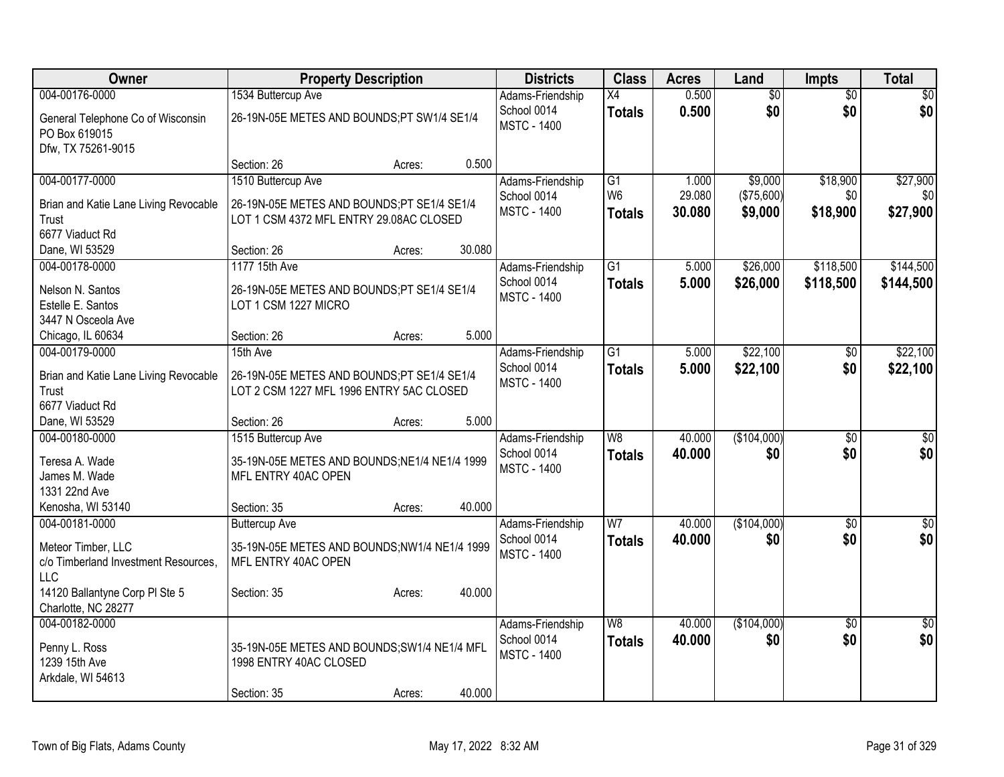| <b>Owner</b>                            | <b>Property Description</b>                   | <b>Districts</b> | <b>Class</b>       | <b>Acres</b>             | Land   | Impts           | <b>Total</b>    |                 |
|-----------------------------------------|-----------------------------------------------|------------------|--------------------|--------------------------|--------|-----------------|-----------------|-----------------|
| 004-00176-0000                          | 1534 Buttercup Ave                            |                  | Adams-Friendship   | X4                       | 0.500  | $\overline{60}$ | $\overline{50}$ | \$0             |
| General Telephone Co of Wisconsin       | 26-19N-05E METES AND BOUNDS;PT SW1/4 SE1/4    |                  | School 0014        | <b>Totals</b>            | 0.500  | \$0             | \$0             | \$0             |
| PO Box 619015                           |                                               |                  | <b>MSTC - 1400</b> |                          |        |                 |                 |                 |
| Dfw, TX 75261-9015                      |                                               |                  |                    |                          |        |                 |                 |                 |
|                                         | Section: 26<br>Acres:                         | 0.500            |                    |                          |        |                 |                 |                 |
| 004-00177-0000                          | 1510 Buttercup Ave                            |                  | Adams-Friendship   | G1                       | 1.000  | \$9,000         | \$18,900        | \$27,900        |
| Brian and Katie Lane Living Revocable   | 26-19N-05E METES AND BOUNDS;PT SE1/4 SE1/4    |                  | School 0014        | W <sub>6</sub>           | 29.080 | (\$75,600)      | \$0             | \$0             |
| Trust                                   | LOT 1 CSM 4372 MFL ENTRY 29.08AC CLOSED       |                  | <b>MSTC - 1400</b> | <b>Totals</b>            | 30.080 | \$9,000         | \$18,900        | \$27,900        |
| 6677 Viaduct Rd                         |                                               |                  |                    |                          |        |                 |                 |                 |
| Dane, WI 53529                          | Section: 26<br>Acres:                         | 30.080           |                    |                          |        |                 |                 |                 |
| 004-00178-0000                          | 1177 15th Ave                                 |                  | Adams-Friendship   | $\overline{G1}$          | 5.000  | \$26,000        | \$118,500       | \$144,500       |
|                                         |                                               |                  | School 0014        | <b>Totals</b>            | 5.000  | \$26,000        | \$118,500       | \$144,500       |
| Nelson N. Santos                        | 26-19N-05E METES AND BOUNDS;PT SE1/4 SE1/4    |                  | <b>MSTC - 1400</b> |                          |        |                 |                 |                 |
| Estelle E. Santos<br>3447 N Osceola Ave | LOT 1 CSM 1227 MICRO                          |                  |                    |                          |        |                 |                 |                 |
| Chicago, IL 60634                       | Section: 26<br>Acres:                         | 5.000            |                    |                          |        |                 |                 |                 |
| 004-00179-0000                          | 15th Ave                                      |                  | Adams-Friendship   | $\overline{G1}$          | 5.000  | \$22,100        | \$0             | \$22,100        |
|                                         |                                               |                  | School 0014        |                          | 5.000  | \$22,100        | \$0             |                 |
| Brian and Katie Lane Living Revocable   | 26-19N-05E METES AND BOUNDS;PT SE1/4 SE1/4    |                  | <b>MSTC - 1400</b> | <b>Totals</b>            |        |                 |                 | \$22,100        |
| Trust                                   | LOT 2 CSM 1227 MFL 1996 ENTRY 5AC CLOSED      |                  |                    |                          |        |                 |                 |                 |
| 6677 Viaduct Rd                         |                                               |                  |                    |                          |        |                 |                 |                 |
| Dane, WI 53529                          | Section: 26<br>Acres:                         | 5.000            |                    |                          |        |                 |                 |                 |
| 004-00180-0000                          | 1515 Buttercup Ave                            |                  | Adams-Friendship   | $\overline{W8}$          | 40.000 | (\$104,000)     | $\overline{50}$ | $\overline{50}$ |
| Teresa A. Wade                          | 35-19N-05E METES AND BOUNDS; NE1/4 NE1/4 1999 |                  | School 0014        | <b>Totals</b>            | 40.000 | \$0             | \$0             | \$0             |
| James M. Wade                           | MFL ENTRY 40AC OPEN                           |                  | <b>MSTC - 1400</b> |                          |        |                 |                 |                 |
| 1331 22nd Ave                           |                                               |                  |                    |                          |        |                 |                 |                 |
| Kenosha, WI 53140                       | Section: 35<br>Acres:                         | 40.000           |                    |                          |        |                 |                 |                 |
| 004-00181-0000                          | <b>Buttercup Ave</b>                          |                  | Adams-Friendship   | $\overline{W}$           | 40.000 | (\$104,000)     | $\overline{50}$ | $\overline{50}$ |
| Meteor Timber, LLC                      | 35-19N-05E METES AND BOUNDS;NW1/4 NE1/4 1999  |                  | School 0014        | <b>Totals</b>            | 40.000 | \$0             | \$0             | \$0             |
| c/o Timberland Investment Resources,    | MFL ENTRY 40AC OPEN                           |                  | <b>MSTC - 1400</b> |                          |        |                 |                 |                 |
| LLC                                     |                                               |                  |                    |                          |        |                 |                 |                 |
| 14120 Ballantyne Corp PI Ste 5          | Section: 35<br>Acres:                         | 40.000           |                    |                          |        |                 |                 |                 |
| Charlotte, NC 28277                     |                                               |                  |                    |                          |        |                 |                 |                 |
| 004-00182-0000                          |                                               |                  | Adams-Friendship   | $\overline{\mathsf{W8}}$ | 40.000 | (\$104,000)     | $\overline{50}$ | \$0             |
|                                         |                                               |                  | School 0014        | <b>Totals</b>            | 40.000 | \$0             | \$0             | \$0             |
| Penny L. Ross                           | 35-19N-05E METES AND BOUNDS; SW1/4 NE1/4 MFL  |                  | <b>MSTC - 1400</b> |                          |        |                 |                 |                 |
| 1239 15th Ave                           | 1998 ENTRY 40AC CLOSED                        |                  |                    |                          |        |                 |                 |                 |
| Arkdale, WI 54613                       | Section: 35                                   | 40.000           |                    |                          |        |                 |                 |                 |
|                                         | Acres:                                        |                  |                    |                          |        |                 |                 |                 |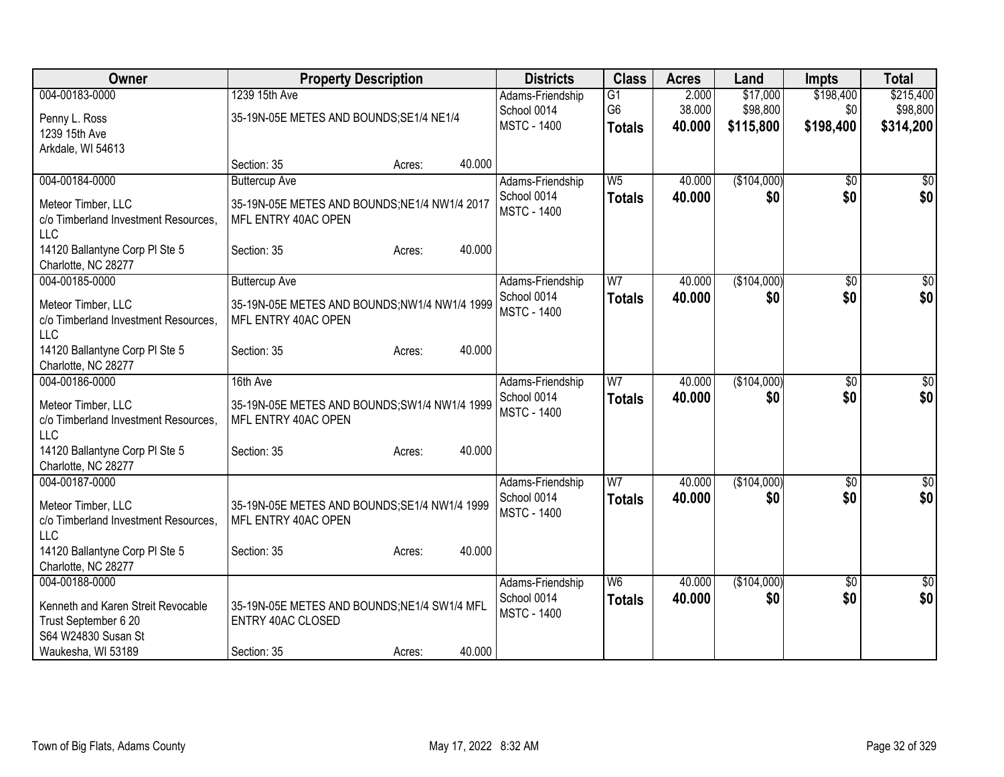| Owner                                | <b>Property Description</b>                   | <b>Districts</b>   | <b>Class</b>    | <b>Acres</b> | Land        | <b>Impts</b>    | <b>Total</b>    |
|--------------------------------------|-----------------------------------------------|--------------------|-----------------|--------------|-------------|-----------------|-----------------|
| 004-00183-0000                       | 1239 15th Ave                                 | Adams-Friendship   | $\overline{G1}$ | 2.000        | \$17,000    | \$198,400       | \$215,400       |
| Penny L. Ross                        | 35-19N-05E METES AND BOUNDS; SE1/4 NE1/4      | School 0014        | G <sub>6</sub>  | 38.000       | \$98,800    | \$0             | \$98,800        |
| 1239 15th Ave                        |                                               | <b>MSTC - 1400</b> | <b>Totals</b>   | 40.000       | \$115,800   | \$198,400       | \$314,200       |
| Arkdale, WI 54613                    |                                               |                    |                 |              |             |                 |                 |
|                                      | 40.000<br>Section: 35<br>Acres:               |                    |                 |              |             |                 |                 |
| 004-00184-0000                       | <b>Buttercup Ave</b>                          | Adams-Friendship   | W <sub>5</sub>  | 40.000       | (\$104,000) | \$0             | $\overline{50}$ |
| Meteor Timber, LLC                   | 35-19N-05E METES AND BOUNDS; NE1/4 NW1/4 2017 | School 0014        | <b>Totals</b>   | 40.000       | \$0         | \$0             | \$0             |
| c/o Timberland Investment Resources, | MFL ENTRY 40AC OPEN                           | <b>MSTC - 1400</b> |                 |              |             |                 |                 |
| LLC                                  |                                               |                    |                 |              |             |                 |                 |
| 14120 Ballantyne Corp PI Ste 5       | 40.000<br>Section: 35<br>Acres:               |                    |                 |              |             |                 |                 |
| Charlotte, NC 28277                  |                                               |                    |                 |              |             |                 |                 |
| 004-00185-0000                       | <b>Buttercup Ave</b>                          | Adams-Friendship   | W <sub>7</sub>  | 40.000       | (\$104,000) | $\overline{50}$ | $\sqrt{50}$     |
| Meteor Timber, LLC                   | 35-19N-05E METES AND BOUNDS; NW1/4 NW1/4 1999 | School 0014        | <b>Totals</b>   | 40.000       | \$0         | \$0             | \$0             |
| c/o Timberland Investment Resources, | MFL ENTRY 40AC OPEN                           | <b>MSTC - 1400</b> |                 |              |             |                 |                 |
| LLC                                  |                                               |                    |                 |              |             |                 |                 |
| 14120 Ballantyne Corp PI Ste 5       | 40.000<br>Section: 35<br>Acres:               |                    |                 |              |             |                 |                 |
| Charlotte, NC 28277                  |                                               |                    |                 |              |             |                 |                 |
| 004-00186-0000                       | 16th Ave                                      | Adams-Friendship   | $\overline{W}$  | 40.000       | (\$104,000) | $\overline{30}$ | $\sqrt{50}$     |
| Meteor Timber, LLC                   | 35-19N-05E METES AND BOUNDS; SW1/4 NW1/4 1999 | School 0014        | <b>Totals</b>   | 40.000       | \$0         | \$0             | \$0             |
| c/o Timberland Investment Resources, | MFL ENTRY 40AC OPEN                           | <b>MSTC - 1400</b> |                 |              |             |                 |                 |
| <b>LLC</b>                           |                                               |                    |                 |              |             |                 |                 |
| 14120 Ballantyne Corp PI Ste 5       | 40.000<br>Section: 35<br>Acres:               |                    |                 |              |             |                 |                 |
| Charlotte, NC 28277                  |                                               |                    |                 |              |             |                 |                 |
| 004-00187-0000                       |                                               | Adams-Friendship   | W7              | 40.000       | (\$104,000) | $\overline{50}$ | \$0             |
| Meteor Timber, LLC                   | 35-19N-05E METES AND BOUNDS; SE1/4 NW1/4 1999 | School 0014        | <b>Totals</b>   | 40.000       | \$0         | \$0             | \$0             |
| c/o Timberland Investment Resources, | MFL ENTRY 40AC OPEN                           | <b>MSTC - 1400</b> |                 |              |             |                 |                 |
| LLC                                  |                                               |                    |                 |              |             |                 |                 |
| 14120 Ballantyne Corp PI Ste 5       | 40.000<br>Section: 35<br>Acres:               |                    |                 |              |             |                 |                 |
| Charlotte, NC 28277                  |                                               |                    |                 |              |             |                 |                 |
| 004-00188-0000                       |                                               | Adams-Friendship   | W6              | 40.000       | (\$104,000) | $\overline{50}$ | $\overline{50}$ |
| Kenneth and Karen Streit Revocable   | 35-19N-05E METES AND BOUNDS; NE1/4 SW1/4 MFL  | School 0014        | <b>Totals</b>   | 40.000       | \$0         | \$0             | \$0             |
| Trust September 6 20                 | <b>ENTRY 40AC CLOSED</b>                      | <b>MSTC - 1400</b> |                 |              |             |                 |                 |
| S64 W24830 Susan St                  |                                               |                    |                 |              |             |                 |                 |
| Waukesha, WI 53189                   | 40.000<br>Section: 35<br>Acres:               |                    |                 |              |             |                 |                 |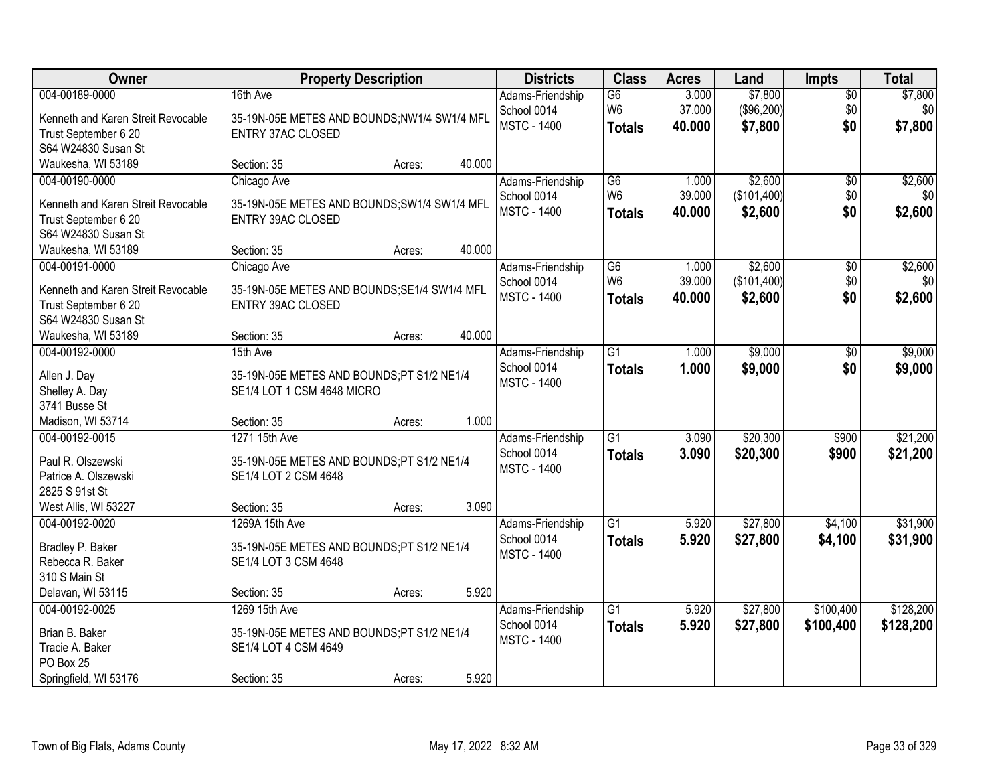| Owner                                  |                                                                         | <b>Property Description</b> |        | <b>Districts</b>                | <b>Class</b>    | <b>Acres</b> | Land        | <b>Impts</b>  | <b>Total</b> |
|----------------------------------------|-------------------------------------------------------------------------|-----------------------------|--------|---------------------------------|-----------------|--------------|-------------|---------------|--------------|
| 004-00189-0000                         | 16th Ave                                                                |                             |        | Adams-Friendship                | G6              | 3.000        | \$7,800     | $\sqrt{$0}$   | \$7,800      |
| Kenneth and Karen Streit Revocable     | 35-19N-05E METES AND BOUNDS;NW1/4 SW1/4 MFL                             |                             |        | School 0014                     | W <sub>6</sub>  | 37.000       | (\$96,200)  | \$0           | \$0          |
| Trust September 6 20                   | <b>ENTRY 37AC CLOSED</b>                                                |                             |        | <b>MSTC - 1400</b>              | <b>Totals</b>   | 40.000       | \$7,800     | \$0           | \$7,800      |
| S64 W24830 Susan St                    |                                                                         |                             |        |                                 |                 |              |             |               |              |
| Waukesha, WI 53189                     | Section: 35                                                             | Acres:                      | 40.000 |                                 |                 |              |             |               |              |
| 004-00190-0000                         | Chicago Ave                                                             |                             |        | Adams-Friendship                | G6              | 1.000        | \$2,600     | \$0           | \$2,600      |
| Kenneth and Karen Streit Revocable     | 35-19N-05E METES AND BOUNDS; SW1/4 SW1/4 MFL                            |                             |        | School 0014                     | W <sub>6</sub>  | 39.000       | (\$101,400) | \$0           | \$0          |
| Trust September 6 20                   | <b>ENTRY 39AC CLOSED</b>                                                |                             |        | <b>MSTC - 1400</b>              | <b>Totals</b>   | 40.000       | \$2,600     | \$0           | \$2,600      |
| S64 W24830 Susan St                    |                                                                         |                             |        |                                 |                 |              |             |               |              |
| Waukesha, WI 53189                     | Section: 35                                                             | Acres:                      | 40.000 |                                 |                 |              |             |               |              |
| 004-00191-0000                         | Chicago Ave                                                             |                             |        | Adams-Friendship                | G6              | 1.000        | \$2,600     | \$0           | \$2,600      |
| Kenneth and Karen Streit Revocable     | 35-19N-05E METES AND BOUNDS; SE1/4 SW1/4 MFL                            |                             |        | School 0014                     | W <sub>6</sub>  | 39.000       | (\$101,400) | \$0           | \$0          |
| Trust September 6 20                   | ENTRY 39AC CLOSED                                                       |                             |        | <b>MSTC - 1400</b>              | <b>Totals</b>   | 40.000       | \$2,600     | \$0           | \$2,600      |
| S64 W24830 Susan St                    |                                                                         |                             |        |                                 |                 |              |             |               |              |
| Waukesha, WI 53189                     | Section: 35                                                             | Acres:                      | 40.000 |                                 |                 |              |             |               |              |
| 004-00192-0000                         | 15th Ave                                                                |                             |        | Adams-Friendship                | G <sub>1</sub>  | 1.000        | \$9,000     | $\sqrt[6]{3}$ | \$9,000      |
|                                        |                                                                         |                             |        | School 0014                     | <b>Totals</b>   | 1.000        | \$9,000     | \$0           | \$9,000      |
| Allen J. Day<br>Shelley A. Day         | 35-19N-05E METES AND BOUNDS;PT S1/2 NE1/4<br>SE1/4 LOT 1 CSM 4648 MICRO |                             |        | <b>MSTC - 1400</b>              |                 |              |             |               |              |
| 3741 Busse St                          |                                                                         |                             |        |                                 |                 |              |             |               |              |
| Madison, WI 53714                      | Section: 35                                                             | Acres:                      | 1.000  |                                 |                 |              |             |               |              |
| 004-00192-0015                         | 1271 15th Ave                                                           |                             |        | Adams-Friendship                | $\overline{G1}$ | 3.090        | \$20,300    | \$900         | \$21,200     |
|                                        |                                                                         |                             |        | School 0014                     | <b>Totals</b>   | 3.090        | \$20,300    | \$900         | \$21,200     |
| Paul R. Olszewski                      | 35-19N-05E METES AND BOUNDS;PT S1/2 NE1/4                               |                             |        | <b>MSTC - 1400</b>              |                 |              |             |               |              |
| Patrice A. Olszewski                   | SE1/4 LOT 2 CSM 4648                                                    |                             |        |                                 |                 |              |             |               |              |
| 2825 S 91st St<br>West Allis, WI 53227 |                                                                         |                             | 3.090  |                                 |                 |              |             |               |              |
| 004-00192-0020                         | Section: 35<br>1269A 15th Ave                                           | Acres:                      |        |                                 | $\overline{G1}$ | 5.920        | \$27,800    | \$4,100       | \$31,900     |
|                                        |                                                                         |                             |        | Adams-Friendship<br>School 0014 | <b>Totals</b>   | 5.920        | \$27,800    | \$4,100       | \$31,900     |
| Bradley P. Baker                       | 35-19N-05E METES AND BOUNDS;PT S1/2 NE1/4                               |                             |        | <b>MSTC - 1400</b>              |                 |              |             |               |              |
| Rebecca R. Baker                       | SE1/4 LOT 3 CSM 4648                                                    |                             |        |                                 |                 |              |             |               |              |
| 310 S Main St                          |                                                                         |                             |        |                                 |                 |              |             |               |              |
| Delavan, WI 53115                      | Section: 35                                                             | Acres:                      | 5.920  |                                 |                 |              |             |               |              |
| 004-00192-0025                         | 1269 15th Ave                                                           |                             |        | Adams-Friendship                | G1              | 5.920        | \$27,800    | \$100,400     | \$128,200    |
| Brian B. Baker                         | 35-19N-05E METES AND BOUNDS;PT S1/2 NE1/4                               |                             |        | School 0014                     | <b>Totals</b>   | 5.920        | \$27,800    | \$100,400     | \$128,200    |
| Tracie A. Baker                        | SE1/4 LOT 4 CSM 4649                                                    |                             |        | <b>MSTC - 1400</b>              |                 |              |             |               |              |
| PO Box 25                              |                                                                         |                             |        |                                 |                 |              |             |               |              |
| Springfield, WI 53176                  | Section: 35                                                             | Acres:                      | 5.920  |                                 |                 |              |             |               |              |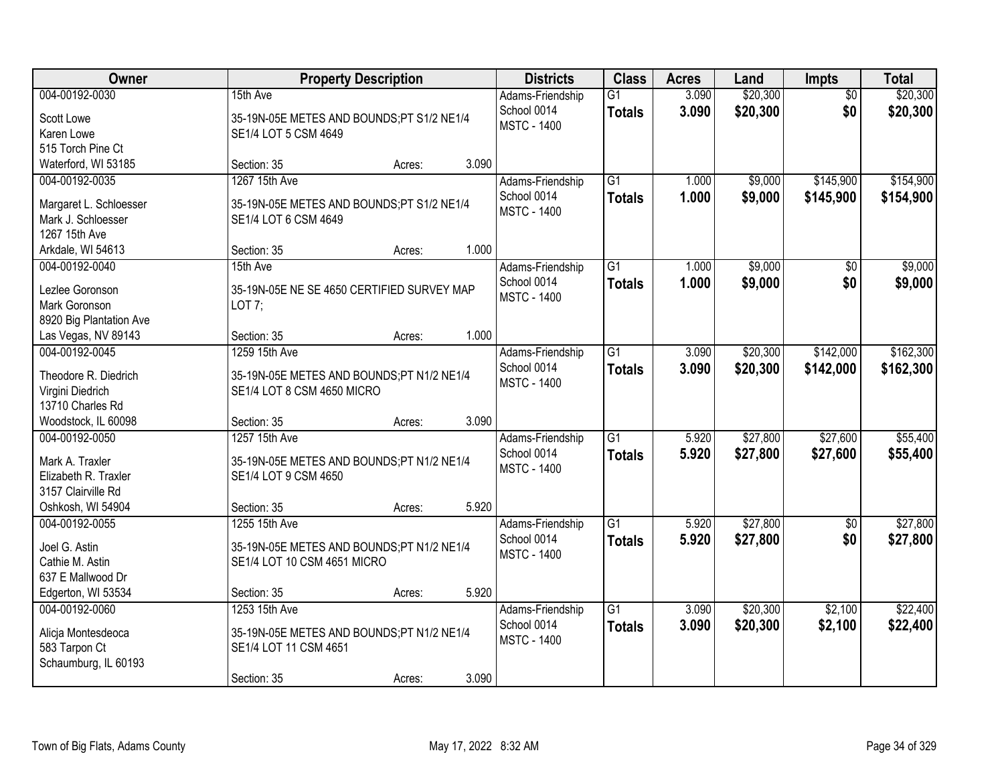| Owner                   |                                            | <b>Property Description</b> |       | <b>Districts</b>                | <b>Class</b>                     | <b>Acres</b>   | Land                 | <b>Impts</b>           | <b>Total</b>         |
|-------------------------|--------------------------------------------|-----------------------------|-------|---------------------------------|----------------------------------|----------------|----------------------|------------------------|----------------------|
| 004-00192-0030          | 15th Ave                                   |                             |       | Adams-Friendship<br>School 0014 | $\overline{G1}$<br><b>Totals</b> | 3.090<br>3.090 | \$20,300<br>\$20,300 | $\overline{50}$<br>\$0 | \$20,300<br>\$20,300 |
| Scott Lowe              | 35-19N-05E METES AND BOUNDS;PT S1/2 NE1/4  |                             |       | <b>MSTC - 1400</b>              |                                  |                |                      |                        |                      |
| Karen Lowe              | SE1/4 LOT 5 CSM 4649                       |                             |       |                                 |                                  |                |                      |                        |                      |
| 515 Torch Pine Ct       |                                            |                             |       |                                 |                                  |                |                      |                        |                      |
| Waterford, WI 53185     | Section: 35                                | Acres:                      | 3.090 |                                 |                                  |                |                      |                        |                      |
| 004-00192-0035          | 1267 15th Ave                              |                             |       | Adams-Friendship                | $\overline{G1}$                  | 1.000          | \$9,000              | \$145,900              | \$154,900            |
| Margaret L. Schloesser  | 35-19N-05E METES AND BOUNDS;PT S1/2 NE1/4  |                             |       | School 0014                     | <b>Totals</b>                    | 1.000          | \$9,000              | \$145,900              | \$154,900            |
| Mark J. Schloesser      | SE1/4 LOT 6 CSM 4649                       |                             |       | <b>MSTC - 1400</b>              |                                  |                |                      |                        |                      |
| 1267 15th Ave           |                                            |                             |       |                                 |                                  |                |                      |                        |                      |
| Arkdale, WI 54613       | Section: 35                                | Acres:                      | 1.000 |                                 |                                  |                |                      |                        |                      |
| 004-00192-0040          | 15th Ave                                   |                             |       | Adams-Friendship                | G1                               | 1.000          | \$9,000              | \$0                    | \$9,000              |
|                         |                                            |                             |       | School 0014                     | <b>Totals</b>                    | 1.000          | \$9,000              | \$0                    | \$9,000              |
| Lezlee Goronson         | 35-19N-05E NE SE 4650 CERTIFIED SURVEY MAP |                             |       | <b>MSTC - 1400</b>              |                                  |                |                      |                        |                      |
| Mark Goronson           | LOT $7$ ;                                  |                             |       |                                 |                                  |                |                      |                        |                      |
| 8920 Big Plantation Ave |                                            |                             |       |                                 |                                  |                |                      |                        |                      |
| Las Vegas, NV 89143     | Section: 35                                | Acres:                      | 1.000 |                                 |                                  |                |                      |                        |                      |
| 004-00192-0045          | 1259 15th Ave                              |                             |       | Adams-Friendship                | $\overline{G1}$                  | 3.090          | \$20,300             | \$142,000              | \$162,300            |
| Theodore R. Diedrich    | 35-19N-05E METES AND BOUNDS;PT N1/2 NE1/4  |                             |       | School 0014                     | <b>Totals</b>                    | 3.090          | \$20,300             | \$142,000              | \$162,300            |
| Virgini Diedrich        | SE1/4 LOT 8 CSM 4650 MICRO                 |                             |       | <b>MSTC - 1400</b>              |                                  |                |                      |                        |                      |
| 13710 Charles Rd        |                                            |                             |       |                                 |                                  |                |                      |                        |                      |
| Woodstock, IL 60098     | Section: 35                                | Acres:                      | 3.090 |                                 |                                  |                |                      |                        |                      |
| 004-00192-0050          | 1257 15th Ave                              |                             |       | Adams-Friendship                | $\overline{G1}$                  | 5.920          | \$27,800             | \$27,600               | \$55,400             |
|                         |                                            |                             |       | School 0014                     | <b>Totals</b>                    | 5.920          | \$27,800             | \$27,600               | \$55,400             |
| Mark A. Traxler         | 35-19N-05E METES AND BOUNDS;PT N1/2 NE1/4  |                             |       | <b>MSTC - 1400</b>              |                                  |                |                      |                        |                      |
| Elizabeth R. Traxler    | SE1/4 LOT 9 CSM 4650                       |                             |       |                                 |                                  |                |                      |                        |                      |
| 3157 Clairville Rd      |                                            |                             |       |                                 |                                  |                |                      |                        |                      |
| Oshkosh, WI 54904       | Section: 35                                | Acres:                      | 5.920 |                                 |                                  |                |                      |                        |                      |
| 004-00192-0055          | 1255 15th Ave                              |                             |       | Adams-Friendship                | $\overline{G1}$                  | 5.920          | \$27,800             | $\sqrt{6}$             | \$27,800             |
| Joel G. Astin           | 35-19N-05E METES AND BOUNDS;PT N1/2 NE1/4  |                             |       | School 0014                     | <b>Totals</b>                    | 5.920          | \$27,800             | \$0                    | \$27,800             |
| Cathie M. Astin         | SE1/4 LOT 10 CSM 4651 MICRO                |                             |       | <b>MSTC - 1400</b>              |                                  |                |                      |                        |                      |
| 637 E Mallwood Dr       |                                            |                             |       |                                 |                                  |                |                      |                        |                      |
| Edgerton, WI 53534      | Section: 35                                | Acres:                      | 5.920 |                                 |                                  |                |                      |                        |                      |
| 004-00192-0060          | 1253 15th Ave                              |                             |       | Adams-Friendship                | $\overline{G1}$                  | 3.090          | \$20,300             | \$2,100                | \$22,400             |
|                         |                                            |                             |       | School 0014                     | <b>Totals</b>                    | 3.090          | \$20,300             | \$2,100                | \$22,400             |
| Alicja Montesdeoca      | 35-19N-05E METES AND BOUNDS;PT N1/2 NE1/4  |                             |       | <b>MSTC - 1400</b>              |                                  |                |                      |                        |                      |
| 583 Tarpon Ct           | SE1/4 LOT 11 CSM 4651                      |                             |       |                                 |                                  |                |                      |                        |                      |
| Schaumburg, IL 60193    |                                            |                             |       |                                 |                                  |                |                      |                        |                      |
|                         | Section: 35                                | Acres:                      | 3.090 |                                 |                                  |                |                      |                        |                      |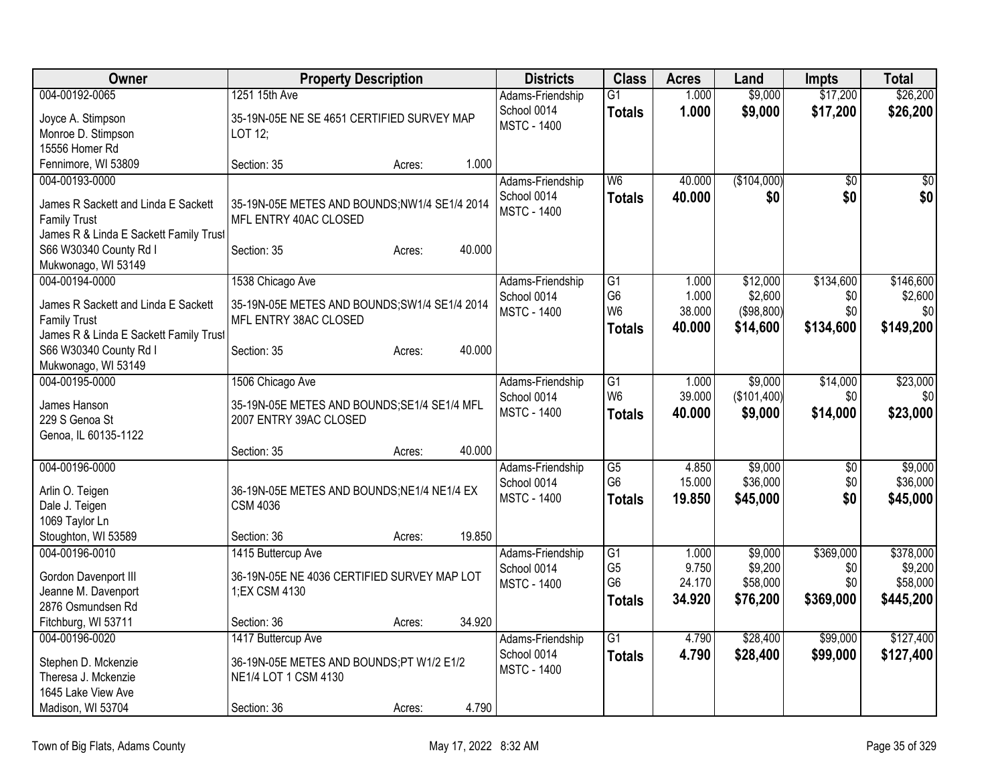| Owner                                  | <b>Property Description</b>                   |        |        | <b>Districts</b>   | <b>Class</b>                     | <b>Acres</b>    | Land                | <b>Impts</b>    | <b>Total</b>        |
|----------------------------------------|-----------------------------------------------|--------|--------|--------------------|----------------------------------|-----------------|---------------------|-----------------|---------------------|
| 004-00192-0065                         | 1251 15th Ave                                 |        |        | Adams-Friendship   | $\overline{G1}$                  | 1.000           | \$9,000             | \$17,200        | \$26,200            |
| Joyce A. Stimpson                      | 35-19N-05E NE SE 4651 CERTIFIED SURVEY MAP    |        |        | School 0014        | <b>Totals</b>                    | 1.000           | \$9,000             | \$17,200        | \$26,200            |
| Monroe D. Stimpson                     | LOT 12:                                       |        |        | <b>MSTC - 1400</b> |                                  |                 |                     |                 |                     |
| 15556 Homer Rd                         |                                               |        |        |                    |                                  |                 |                     |                 |                     |
| Fennimore, WI 53809                    | Section: 35                                   | Acres: | 1.000  |                    |                                  |                 |                     |                 |                     |
| 004-00193-0000                         |                                               |        |        | Adams-Friendship   | W <sub>6</sub>                   | 40.000          | (\$104,000)         | $\overline{50}$ | $\sqrt{50}$         |
| James R Sackett and Linda E Sackett    | 35-19N-05E METES AND BOUNDS;NW1/4 SE1/4 2014  |        |        | School 0014        | <b>Totals</b>                    | 40.000          | \$0                 | \$0             | \$0                 |
| <b>Family Trust</b>                    | MFL ENTRY 40AC CLOSED                         |        |        | <b>MSTC - 1400</b> |                                  |                 |                     |                 |                     |
| James R & Linda E Sackett Family Trust |                                               |        |        |                    |                                  |                 |                     |                 |                     |
| S66 W30340 County Rd I                 | Section: 35                                   | Acres: | 40.000 |                    |                                  |                 |                     |                 |                     |
| Mukwonago, WI 53149                    |                                               |        |        |                    |                                  |                 |                     |                 |                     |
| 004-00194-0000                         | 1538 Chicago Ave                              |        |        | Adams-Friendship   | $\overline{G1}$                  | 1.000           | \$12,000            | \$134,600       | \$146,600           |
| James R Sackett and Linda E Sackett    | 35-19N-05E METES AND BOUNDS; SW1/4 SE1/4 2014 |        |        | School 0014        | G <sub>6</sub>                   | 1.000           | \$2,600             | \$0             | \$2,600             |
| <b>Family Trust</b>                    | MFL ENTRY 38AC CLOSED                         |        |        | <b>MSTC - 1400</b> | W <sub>6</sub>                   | 38.000          | (\$98,800)          | \$0             | \$0                 |
| James R & Linda E Sackett Family Trust |                                               |        |        |                    | <b>Totals</b>                    | 40.000          | \$14,600            | \$134,600       | \$149,200           |
| S66 W30340 County Rd I                 | Section: 35                                   | Acres: | 40.000 |                    |                                  |                 |                     |                 |                     |
| Mukwonago, WI 53149                    |                                               |        |        |                    |                                  |                 |                     |                 |                     |
| 004-00195-0000                         | 1506 Chicago Ave                              |        |        | Adams-Friendship   | G1                               | 1.000           | \$9,000             | \$14,000        | \$23,000            |
|                                        |                                               |        |        | School 0014        | W <sub>6</sub>                   | 39.000          | (\$101,400)         | \$0             | \$0                 |
| James Hanson                           | 35-19N-05E METES AND BOUNDS; SE1/4 SE1/4 MFL  |        |        | <b>MSTC - 1400</b> | Totals                           | 40.000          | \$9,000             | \$14,000        | \$23,000            |
| 229 S Genoa St                         | 2007 ENTRY 39AC CLOSED                        |        |        |                    |                                  |                 |                     |                 |                     |
| Genoa, IL 60135-1122                   | Section: 35                                   |        | 40.000 |                    |                                  |                 |                     |                 |                     |
| 004-00196-0000                         |                                               | Acres: |        | Adams-Friendship   | $\overline{G5}$                  | 4.850           | \$9,000             | \$0             | \$9,000             |
|                                        |                                               |        |        | School 0014        | G <sub>6</sub>                   | 15.000          | \$36,000            | \$0             | \$36,000            |
| Arlin O. Teigen                        | 36-19N-05E METES AND BOUNDS; NE1/4 NE1/4 EX   |        |        | <b>MSTC - 1400</b> | <b>Totals</b>                    | 19.850          | \$45,000            | \$0             | \$45,000            |
| Dale J. Teigen                         | <b>CSM 4036</b>                               |        |        |                    |                                  |                 |                     |                 |                     |
| 1069 Taylor Ln                         |                                               |        |        |                    |                                  |                 |                     |                 |                     |
| Stoughton, WI 53589                    | Section: 36                                   | Acres: | 19.850 |                    |                                  |                 |                     |                 |                     |
| 004-00196-0010                         | 1415 Buttercup Ave                            |        |        | Adams-Friendship   | $\overline{G1}$                  | 1.000           | \$9,000             | \$369,000       | \$378,000           |
| Gordon Davenport III                   | 36-19N-05E NE 4036 CERTIFIED SURVEY MAP LOT   |        |        | School 0014        | G <sub>5</sub><br>G <sub>6</sub> | 9.750<br>24.170 | \$9,200<br>\$58,000 | \$0<br>\$0      | \$9,200<br>\$58,000 |
| Jeanne M. Davenport                    | 1; EX CSM 4130                                |        |        | <b>MSTC - 1400</b> |                                  |                 |                     |                 |                     |
| 2876 Osmundsen Rd                      |                                               |        |        |                    | <b>Totals</b>                    | 34.920          | \$76,200            | \$369,000       | \$445,200           |
| Fitchburg, WI 53711                    | Section: 36                                   | Acres: | 34.920 |                    |                                  |                 |                     |                 |                     |
| 004-00196-0020                         | 1417 Buttercup Ave                            |        |        | Adams-Friendship   | $\overline{G1}$                  | 4.790           | \$28,400            | \$99,000        | \$127,400           |
| Stephen D. Mckenzie                    | 36-19N-05E METES AND BOUNDS;PT W1/2 E1/2      |        |        | School 0014        | <b>Totals</b>                    | 4.790           | \$28,400            | \$99,000        | \$127,400           |
| Theresa J. Mckenzie                    | NE1/4 LOT 1 CSM 4130                          |        |        | <b>MSTC - 1400</b> |                                  |                 |                     |                 |                     |
| 1645 Lake View Ave                     |                                               |        |        |                    |                                  |                 |                     |                 |                     |
| Madison, WI 53704                      | Section: 36                                   | Acres: | 4.790  |                    |                                  |                 |                     |                 |                     |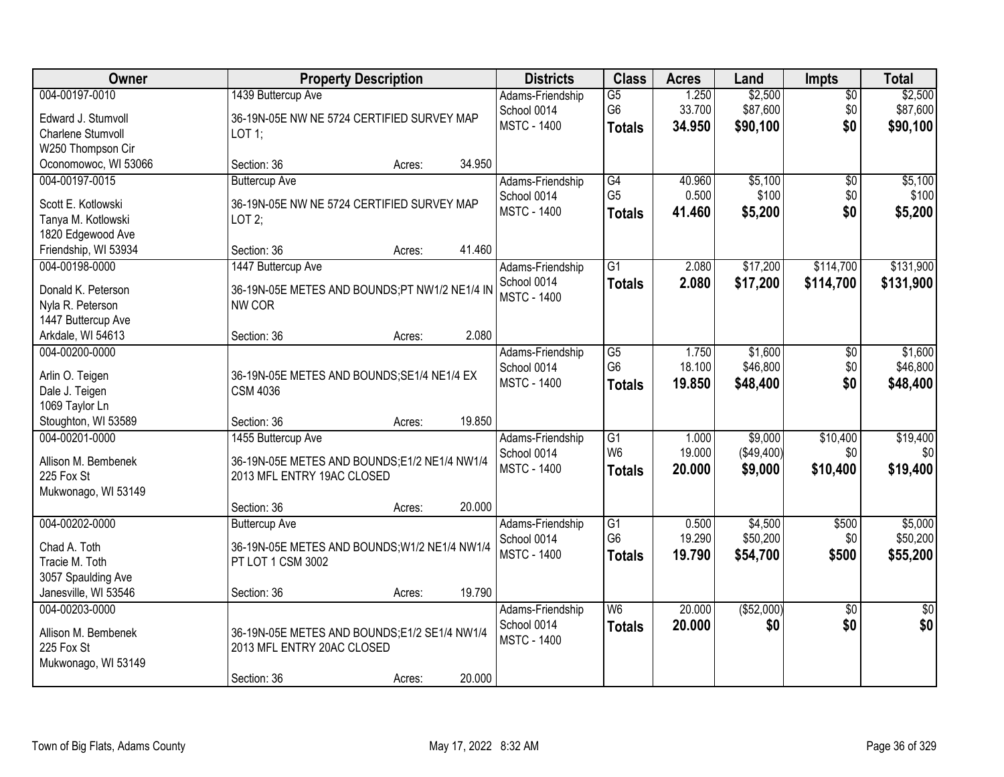| Owner                                | <b>Property Description</b>                                      |        | <b>Districts</b>                | <b>Class</b>                      | <b>Acres</b>    | Land                | Impts                  | <b>Total</b>        |
|--------------------------------------|------------------------------------------------------------------|--------|---------------------------------|-----------------------------------|-----------------|---------------------|------------------------|---------------------|
| 004-00197-0010<br>Edward J. Stumvoll | 1439 Buttercup Ave<br>36-19N-05E NW NE 5724 CERTIFIED SURVEY MAP |        | Adams-Friendship<br>School 0014 | $\overline{G5}$<br>G <sub>6</sub> | 1.250<br>33.700 | \$2,500<br>\$87,600 | $\overline{50}$<br>\$0 | \$2,500<br>\$87,600 |
| Charlene Stumvoll                    | LOT 1;                                                           |        | <b>MSTC - 1400</b>              | <b>Totals</b>                     | 34.950          | \$90,100            | \$0                    | \$90,100            |
| W250 Thompson Cir                    |                                                                  |        |                                 |                                   |                 |                     |                        |                     |
| Oconomowoc, WI 53066                 | Section: 36<br>Acres:                                            | 34.950 |                                 |                                   |                 |                     |                        |                     |
| 004-00197-0015                       | <b>Buttercup Ave</b>                                             |        | Adams-Friendship                | G4                                | 40.960          | \$5,100             | $\overline{50}$        | \$5,100             |
| Scott E. Kotlowski                   | 36-19N-05E NW NE 5724 CERTIFIED SURVEY MAP                       |        | School 0014                     | G <sub>5</sub>                    | 0.500           | \$100               | \$0                    | \$100               |
| Tanya M. Kotlowski                   | LOT2;                                                            |        | <b>MSTC - 1400</b>              | <b>Totals</b>                     | 41.460          | \$5,200             | \$0                    | \$5,200             |
| 1820 Edgewood Ave                    |                                                                  |        |                                 |                                   |                 |                     |                        |                     |
| Friendship, WI 53934                 | Section: 36<br>Acres:                                            | 41.460 |                                 |                                   |                 |                     |                        |                     |
| 004-00198-0000                       | 1447 Buttercup Ave                                               |        | Adams-Friendship                | $\overline{G1}$                   | 2.080           | \$17,200            | \$114,700              | \$131,900           |
| Donald K. Peterson                   | 36-19N-05E METES AND BOUNDS;PT NW1/2 NE1/4 IN                    |        | School 0014                     | <b>Totals</b>                     | 2.080           | \$17,200            | \$114,700              | \$131,900           |
| Nyla R. Peterson                     | NW COR                                                           |        | <b>MSTC - 1400</b>              |                                   |                 |                     |                        |                     |
| 1447 Buttercup Ave                   |                                                                  |        |                                 |                                   |                 |                     |                        |                     |
| Arkdale, WI 54613                    | Section: 36<br>Acres:                                            | 2.080  |                                 |                                   |                 |                     |                        |                     |
| 004-00200-0000                       |                                                                  |        | Adams-Friendship                | G5                                | 1.750           | \$1,600             | $\frac{1}{20}$         | \$1,600             |
| Arlin O. Teigen                      | 36-19N-05E METES AND BOUNDS; SE1/4 NE1/4 EX                      |        | School 0014                     | G <sub>6</sub>                    | 18.100          | \$46,800            | \$0                    | \$46,800            |
| Dale J. Teigen                       | <b>CSM 4036</b>                                                  |        | <b>MSTC - 1400</b>              | <b>Totals</b>                     | 19.850          | \$48,400            | \$0                    | \$48,400            |
| 1069 Taylor Ln                       |                                                                  |        |                                 |                                   |                 |                     |                        |                     |
| Stoughton, WI 53589                  | Section: 36<br>Acres:                                            | 19.850 |                                 |                                   |                 |                     |                        |                     |
| 004-00201-0000                       | 1455 Buttercup Ave                                               |        | Adams-Friendship                | $\overline{G1}$                   | 1.000           | \$9,000             | \$10,400               | \$19,400            |
| Allison M. Bembenek                  | 36-19N-05E METES AND BOUNDS;E1/2 NE1/4 NW1/4                     |        | School 0014                     | W <sub>6</sub>                    | 19.000          | (\$49,400)          | \$0                    | \$0                 |
| 225 Fox St                           | 2013 MFL ENTRY 19AC CLOSED                                       |        | <b>MSTC - 1400</b>              | <b>Totals</b>                     | 20,000          | \$9,000             | \$10,400               | \$19,400            |
| Mukwonago, WI 53149                  |                                                                  |        |                                 |                                   |                 |                     |                        |                     |
|                                      | Section: 36<br>Acres:                                            | 20.000 |                                 |                                   |                 |                     |                        |                     |
| 004-00202-0000                       | <b>Buttercup Ave</b>                                             |        | Adams-Friendship                | $\overline{G1}$                   | 0.500           | \$4,500             | \$500                  | \$5,000             |
| Chad A. Toth                         | 36-19N-05E METES AND BOUNDS; W1/2 NE1/4 NW1/4                    |        | School 0014                     | G <sub>6</sub>                    | 19.290          | \$50,200            | \$0                    | \$50,200            |
| Tracie M. Toth                       | PT LOT 1 CSM 3002                                                |        | <b>MSTC - 1400</b>              | <b>Totals</b>                     | 19.790          | \$54,700            | \$500                  | \$55,200            |
| 3057 Spaulding Ave                   |                                                                  |        |                                 |                                   |                 |                     |                        |                     |
| Janesville, WI 53546                 | Section: 36<br>Acres:                                            | 19.790 |                                 |                                   |                 |                     |                        |                     |
| 004-00203-0000                       |                                                                  |        | Adams-Friendship                | $\overline{\mathsf{W6}}$          | 20.000          | ( \$52,000)         | $\overline{30}$        | \$0                 |
| Allison M. Bembenek                  | 36-19N-05E METES AND BOUNDS;E1/2 SE1/4 NW1/4                     |        | School 0014                     | <b>Totals</b>                     | 20.000          | \$0                 | \$0                    | \$0                 |
| 225 Fox St                           | 2013 MFL ENTRY 20AC CLOSED                                       |        | <b>MSTC - 1400</b>              |                                   |                 |                     |                        |                     |
| Mukwonago, WI 53149                  |                                                                  |        |                                 |                                   |                 |                     |                        |                     |
|                                      | Section: 36<br>Acres:                                            | 20.000 |                                 |                                   |                 |                     |                        |                     |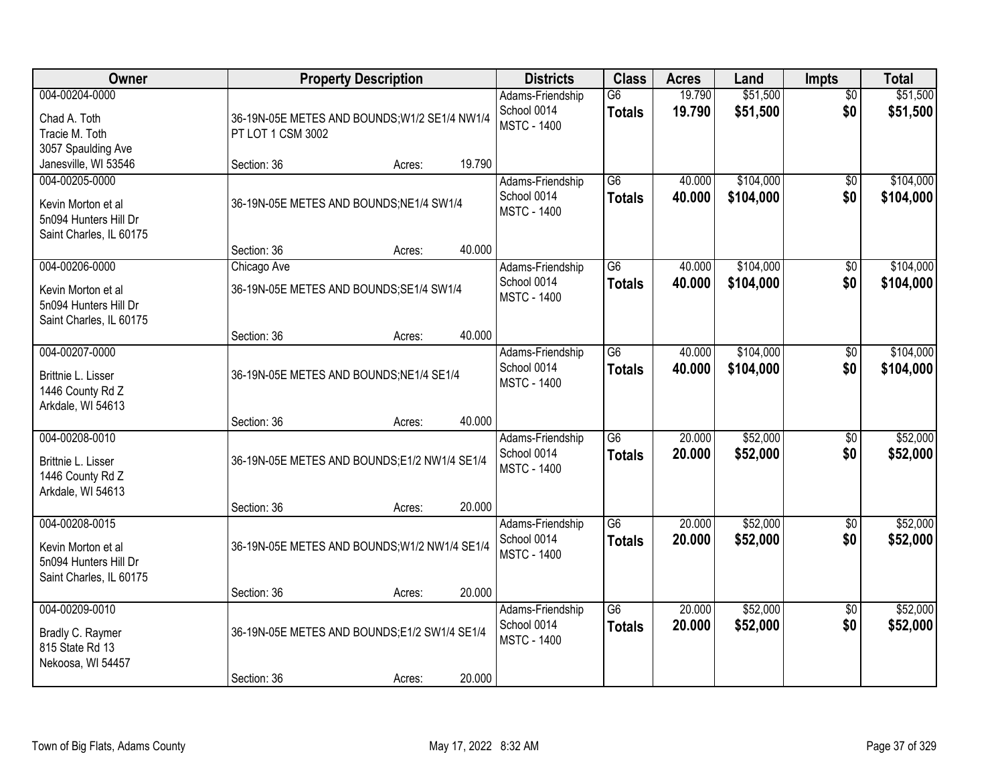| Owner                                                                                    | <b>Property Description</b>                                        |        |        | <b>Districts</b>                                      | <b>Class</b>                     | <b>Acres</b>     | Land                   | Impts                  | <b>Total</b>           |
|------------------------------------------------------------------------------------------|--------------------------------------------------------------------|--------|--------|-------------------------------------------------------|----------------------------------|------------------|------------------------|------------------------|------------------------|
| 004-00204-0000<br>Chad A. Toth<br>Tracie M. Toth<br>3057 Spaulding Ave                   | 36-19N-05E METES AND BOUNDS; W1/2 SE1/4 NW1/4<br>PT LOT 1 CSM 3002 |        |        | Adams-Friendship<br>School 0014<br><b>MSTC - 1400</b> | $\overline{G6}$<br><b>Totals</b> | 19.790<br>19.790 | \$51,500<br>\$51,500   | $\overline{50}$<br>\$0 | \$51,500<br>\$51,500   |
| Janesville, WI 53546                                                                     | Section: 36                                                        | Acres: | 19.790 |                                                       |                                  |                  |                        |                        |                        |
| 004-00205-0000<br>Kevin Morton et al<br>5n094 Hunters Hill Dr<br>Saint Charles, IL 60175 | 36-19N-05E METES AND BOUNDS; NE1/4 SW1/4<br>Section: 36            | Acres: | 40.000 | Adams-Friendship<br>School 0014<br><b>MSTC - 1400</b> | $\overline{G6}$<br><b>Totals</b> | 40.000<br>40.000 | \$104,000<br>\$104,000 | $\overline{50}$<br>\$0 | \$104,000<br>\$104,000 |
| 004-00206-0000                                                                           | Chicago Ave                                                        |        |        | Adams-Friendship                                      | G6                               | 40.000           | \$104,000              | \$0                    | \$104,000              |
| Kevin Morton et al<br>5n094 Hunters Hill Dr<br>Saint Charles, IL 60175                   | 36-19N-05E METES AND BOUNDS; SE1/4 SW1/4                           |        |        | School 0014<br><b>MSTC - 1400</b>                     | <b>Totals</b>                    | 40.000           | \$104,000              | \$0                    | \$104,000              |
|                                                                                          | Section: 36                                                        | Acres: | 40.000 |                                                       |                                  |                  |                        |                        |                        |
| 004-00207-0000<br>Brittnie L. Lisser<br>1446 County Rd Z<br>Arkdale, WI 54613            | 36-19N-05E METES AND BOUNDS; NE1/4 SE1/4                           |        |        | Adams-Friendship<br>School 0014<br><b>MSTC - 1400</b> | G <sub>6</sub><br><b>Totals</b>  | 40.000<br>40.000 | \$104,000<br>\$104,000 | \$0<br>\$0             | \$104,000<br>\$104,000 |
|                                                                                          | Section: 36                                                        | Acres: | 40.000 |                                                       |                                  |                  |                        |                        |                        |
| 004-00208-0010<br>Brittnie L. Lisser<br>1446 County Rd Z<br>Arkdale, WI 54613            | 36-19N-05E METES AND BOUNDS;E1/2 NW1/4 SE1/4<br>Section: 36        | Acres: | 20.000 | Adams-Friendship<br>School 0014<br><b>MSTC - 1400</b> | $\overline{G6}$<br><b>Totals</b> | 20.000<br>20.000 | \$52,000<br>\$52,000   | $\overline{50}$<br>\$0 | \$52,000<br>\$52,000   |
| 004-00208-0015                                                                           |                                                                    |        |        | Adams-Friendship                                      | $\overline{G6}$                  | 20.000           | \$52,000               | $\overline{50}$        | \$52,000               |
| Kevin Morton et al<br>5n094 Hunters Hill Dr<br>Saint Charles, IL 60175                   | 36-19N-05E METES AND BOUNDS; W1/2 NW1/4 SE1/4                      |        |        | School 0014<br><b>MSTC - 1400</b>                     | <b>Totals</b>                    | 20.000           | \$52,000               | \$0                    | \$52,000               |
|                                                                                          | Section: 36                                                        | Acres: | 20.000 |                                                       |                                  |                  |                        |                        |                        |
| 004-00209-0010<br>Bradly C. Raymer<br>815 State Rd 13<br>Nekoosa, WI 54457               | 36-19N-05E METES AND BOUNDS;E1/2 SW1/4 SE1/4                       |        | 20.000 | Adams-Friendship<br>School 0014<br><b>MSTC - 1400</b> | $\overline{G6}$<br><b>Totals</b> | 20,000<br>20.000 | \$52,000<br>\$52,000   | $\overline{50}$<br>\$0 | \$52,000<br>\$52,000   |
|                                                                                          | Section: 36                                                        | Acres: |        |                                                       |                                  |                  |                        |                        |                        |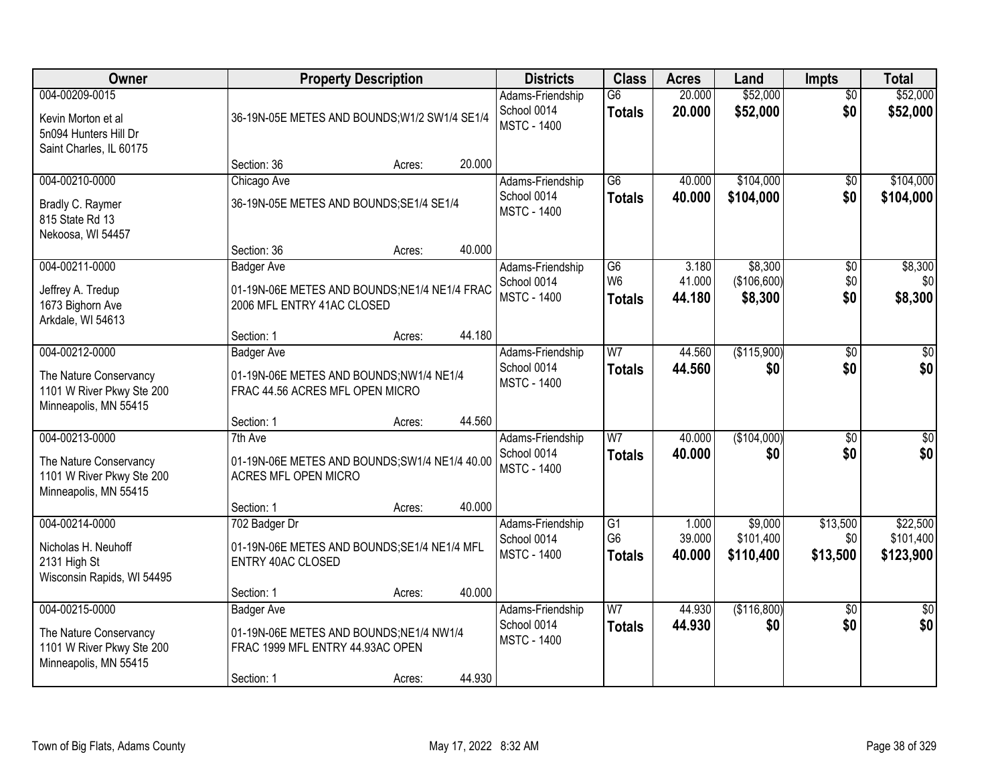| <b>Owner</b>                                                                                   |                                                                                                                | <b>Property Description</b>                                                                            |        | <b>Districts</b>                                      | <b>Class</b>                            | <b>Acres</b>              | Land                              | <b>Impts</b>                | <b>Total</b>                       |
|------------------------------------------------------------------------------------------------|----------------------------------------------------------------------------------------------------------------|--------------------------------------------------------------------------------------------------------|--------|-------------------------------------------------------|-----------------------------------------|---------------------------|-----------------------------------|-----------------------------|------------------------------------|
| 004-00209-0015<br>Kevin Morton et al<br>5n094 Hunters Hill Dr<br>Saint Charles, IL 60175       |                                                                                                                | Adams-Friendship<br>School 0014<br>36-19N-05E METES AND BOUNDS; W1/2 SW1/4 SE1/4<br><b>MSTC - 1400</b> |        |                                                       | $\overline{G6}$<br><b>Totals</b>        | 20.000<br>20.000          | \$52,000<br>\$52,000              | $\overline{50}$<br>\$0      | \$52,000<br>\$52,000               |
|                                                                                                | Section: 36                                                                                                    | Acres:                                                                                                 | 20.000 |                                                       |                                         |                           |                                   |                             |                                    |
| 004-00210-0000<br>Bradly C. Raymer<br>815 State Rd 13<br>Nekoosa, WI 54457                     | Chicago Ave<br>36-19N-05E METES AND BOUNDS; SE1/4 SE1/4                                                        |                                                                                                        |        | Adams-Friendship<br>School 0014<br><b>MSTC - 1400</b> | $\overline{G6}$<br><b>Totals</b>        | 40.000<br>40.000          | \$104,000<br>\$104,000            | $\overline{50}$<br>\$0      | \$104,000<br>\$104,000             |
|                                                                                                | Section: 36                                                                                                    | Acres:                                                                                                 | 40.000 |                                                       |                                         |                           |                                   |                             |                                    |
| 004-00211-0000<br>Jeffrey A. Tredup<br>1673 Bighorn Ave<br>Arkdale, WI 54613                   | <b>Badger Ave</b><br>01-19N-06E METES AND BOUNDS;NE1/4 NE1/4 FRAC<br>2006 MFL ENTRY 41AC CLOSED                |                                                                                                        |        | Adams-Friendship<br>School 0014<br><b>MSTC - 1400</b> | G6<br>W <sub>6</sub><br><b>Totals</b>   | 3.180<br>41.000<br>44.180 | \$8,300<br>(\$106,600)<br>\$8,300 | \$0<br>\$0<br>\$0           | \$8,300<br>\$0<br>\$8,300          |
|                                                                                                | Section: 1                                                                                                     | Acres:                                                                                                 | 44.180 |                                                       |                                         |                           |                                   |                             |                                    |
| 004-00212-0000<br>The Nature Conservancy<br>1101 W River Pkwy Ste 200<br>Minneapolis, MN 55415 | <b>Badger Ave</b><br>01-19N-06E METES AND BOUNDS;NW1/4 NE1/4<br>FRAC 44.56 ACRES MFL OPEN MICRO                |                                                                                                        |        | Adams-Friendship<br>School 0014<br><b>MSTC - 1400</b> | $\overline{\text{W7}}$<br><b>Totals</b> | 44.560<br>44.560          | (\$115,900)<br>\$0                | \$0<br>\$0                  | \$0<br>\$0                         |
|                                                                                                | Section: 1                                                                                                     | Acres:                                                                                                 | 44.560 |                                                       |                                         |                           |                                   |                             |                                    |
| 004-00213-0000<br>The Nature Conservancy<br>1101 W River Pkwy Ste 200<br>Minneapolis, MN 55415 | 7th Ave<br>01-19N-06E METES AND BOUNDS; SW1/4 NE1/4 40.00<br>ACRES MFL OPEN MICRO                              |                                                                                                        |        | Adams-Friendship<br>School 0014<br><b>MSTC - 1400</b> | $\overline{W}$<br><b>Totals</b>         | 40.000<br>40.000          | (\$104,000)<br>\$0                | $\overline{30}$<br>\$0      | $\overline{\$0}$<br>\$0            |
|                                                                                                | Section: 1                                                                                                     | Acres:                                                                                                 | 40.000 |                                                       |                                         |                           |                                   |                             |                                    |
| 004-00214-0000<br>Nicholas H. Neuhoff<br>2131 High St<br>Wisconsin Rapids, WI 54495            | 702 Badger Dr<br>01-19N-06E METES AND BOUNDS; SE1/4 NE1/4 MFL<br><b>ENTRY 40AC CLOSED</b>                      |                                                                                                        |        | Adams-Friendship<br>School 0014<br><b>MSTC - 1400</b> | G1<br>G <sub>6</sub><br><b>Totals</b>   | 1.000<br>39.000<br>40.000 | \$9,000<br>\$101,400<br>\$110,400 | \$13,500<br>\$0<br>\$13,500 | \$22,500<br>\$101,400<br>\$123,900 |
|                                                                                                | Section: 1                                                                                                     | Acres:                                                                                                 | 40.000 |                                                       |                                         |                           |                                   |                             |                                    |
| 004-00215-0000<br>The Nature Conservancy<br>1101 W River Pkwy Ste 200<br>Minneapolis, MN 55415 | <b>Badger Ave</b><br>01-19N-06E METES AND BOUNDS:NE1/4 NW1/4<br>FRAC 1999 MFL ENTRY 44.93AC OPEN<br>Section: 1 | Acres:                                                                                                 | 44.930 | Adams-Friendship<br>School 0014<br><b>MSTC - 1400</b> | $\overline{W}$<br><b>Totals</b>         | 44.930<br>44.930          | (\$116,800)<br>\$0                | $\overline{50}$<br>\$0      | $\overline{50}$<br>\$0             |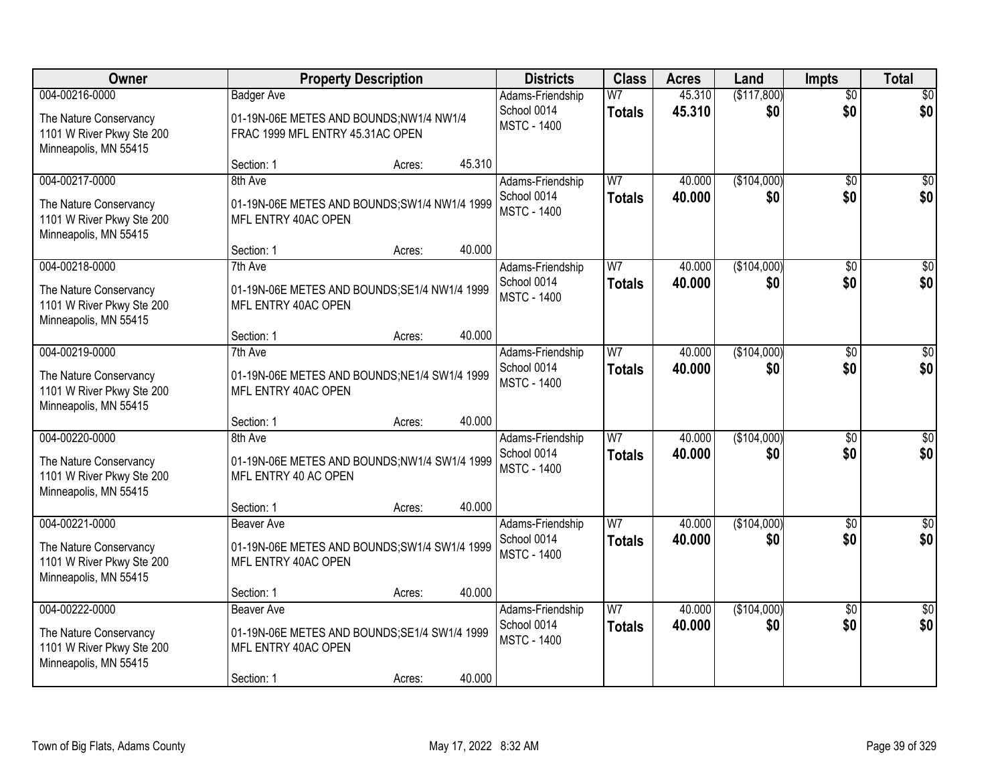| <b>Owner</b>                                                                 | <b>Property Description</b>                                           |                                                                             |        | <b>Districts</b>                                      | <b>Class</b>                    | <b>Acres</b>     | Land               | <b>Impts</b>           | <b>Total</b>     |
|------------------------------------------------------------------------------|-----------------------------------------------------------------------|-----------------------------------------------------------------------------|--------|-------------------------------------------------------|---------------------------------|------------------|--------------------|------------------------|------------------|
| 004-00216-0000<br>The Nature Conservancy<br>1101 W River Pkwy Ste 200        | <b>Badger Ave</b>                                                     | 01-19N-06E METES AND BOUNDS;NW1/4 NW1/4<br>FRAC 1999 MFL ENTRY 45.31AC OPEN |        | Adams-Friendship<br>School 0014<br><b>MSTC - 1400</b> | W <sub>7</sub><br><b>Totals</b> | 45.310<br>45.310 | (\$117,800)<br>\$0 | $\overline{50}$<br>\$0 | \$0<br>\$0       |
| Minneapolis, MN 55415                                                        | Section: 1                                                            | Acres:                                                                      | 45.310 |                                                       |                                 |                  |                    |                        |                  |
| 004-00217-0000                                                               | 8th Ave                                                               |                                                                             |        | Adams-Friendship                                      | W <sub>7</sub>                  | 40.000           | (\$104,000)        | $\overline{50}$        | \$0              |
| The Nature Conservancy<br>1101 W River Pkwy Ste 200<br>Minneapolis, MN 55415 | 01-19N-06E METES AND BOUNDS; SW1/4 NW1/4 1999<br>MFL ENTRY 40AC OPEN  |                                                                             |        | School 0014<br><b>MSTC - 1400</b>                     | <b>Totals</b>                   | 40.000           | \$0                | \$0                    | \$0              |
|                                                                              | Section: 1                                                            | Acres:                                                                      | 40.000 |                                                       |                                 |                  |                    |                        |                  |
| 004-00218-0000                                                               | 7th Ave                                                               |                                                                             |        | Adams-Friendship                                      | W <sub>7</sub>                  | 40.000           | (\$104,000)        | \$0                    | $\overline{50}$  |
| The Nature Conservancy<br>1101 W River Pkwy Ste 200<br>Minneapolis, MN 55415 | 01-19N-06E METES AND BOUNDS; SE1/4 NW1/4 1999<br>MFL ENTRY 40AC OPEN  |                                                                             |        | School 0014<br><b>MSTC - 1400</b>                     | <b>Totals</b>                   | 40.000           | \$0                | \$0                    | \$0              |
|                                                                              | Section: 1                                                            | Acres:                                                                      | 40.000 |                                                       |                                 |                  |                    |                        |                  |
| 004-00219-0000                                                               | 7th Ave                                                               |                                                                             |        | Adams-Friendship                                      | W <sub>7</sub>                  | 40.000           | (\$104,000)        | $\sqrt[6]{3}$          | $\sqrt{50}$      |
| The Nature Conservancy<br>1101 W River Pkwy Ste 200<br>Minneapolis, MN 55415 | 01-19N-06E METES AND BOUNDS;NE1/4 SW1/4 1999<br>MFL ENTRY 40AC OPEN   |                                                                             |        | School 0014<br><b>MSTC - 1400</b>                     | <b>Totals</b>                   | 40,000           | \$0                | \$0                    | \$0              |
|                                                                              | Section: 1                                                            | Acres:                                                                      | 40.000 |                                                       |                                 |                  |                    |                        |                  |
| 004-00220-0000                                                               | 8th Ave                                                               |                                                                             |        | Adams-Friendship                                      | $\overline{W}$                  | 40.000           | (\$104,000)        | $\overline{50}$        | $\overline{50}$  |
| The Nature Conservancy<br>1101 W River Pkwy Ste 200<br>Minneapolis, MN 55415 | 01-19N-06E METES AND BOUNDS; NW1/4 SW1/4 1999<br>MFL ENTRY 40 AC OPEN |                                                                             |        | School 0014<br><b>MSTC - 1400</b>                     | <b>Totals</b>                   | 40.000           | \$0                | \$0                    | \$0              |
|                                                                              | Section: 1                                                            | Acres:                                                                      | 40.000 |                                                       |                                 |                  |                    |                        |                  |
| 004-00221-0000                                                               | Beaver Ave                                                            |                                                                             |        | Adams-Friendship                                      | W <sub>7</sub>                  | 40.000           | (\$104,000)        | $\overline{50}$        | $\overline{\$0}$ |
| The Nature Conservancy<br>1101 W River Pkwy Ste 200<br>Minneapolis, MN 55415 | 01-19N-06E METES AND BOUNDS; SW1/4 SW1/4 1999<br>MFL ENTRY 40AC OPEN  |                                                                             |        | School 0014<br><b>MSTC - 1400</b>                     | <b>Totals</b>                   | 40.000           | \$0                | \$0                    | \$0              |
|                                                                              | Section: 1                                                            | Acres:                                                                      | 40.000 |                                                       |                                 |                  |                    |                        |                  |
| 004-00222-0000                                                               | Beaver Ave                                                            |                                                                             |        | Adams-Friendship                                      | $\overline{W}$                  | 40.000           | (\$104,000)        | $\overline{50}$        | $\overline{30}$  |
| The Nature Conservancy<br>1101 W River Pkwy Ste 200<br>Minneapolis, MN 55415 | 01-19N-06E METES AND BOUNDS; SE1/4 SW1/4 1999<br>MFL ENTRY 40AC OPEN  |                                                                             |        | School 0014<br><b>MSTC - 1400</b>                     | <b>Totals</b>                   | 40.000           | \$0                | \$0                    | \$0              |
|                                                                              | Section: 1                                                            | Acres:                                                                      | 40.000 |                                                       |                                 |                  |                    |                        |                  |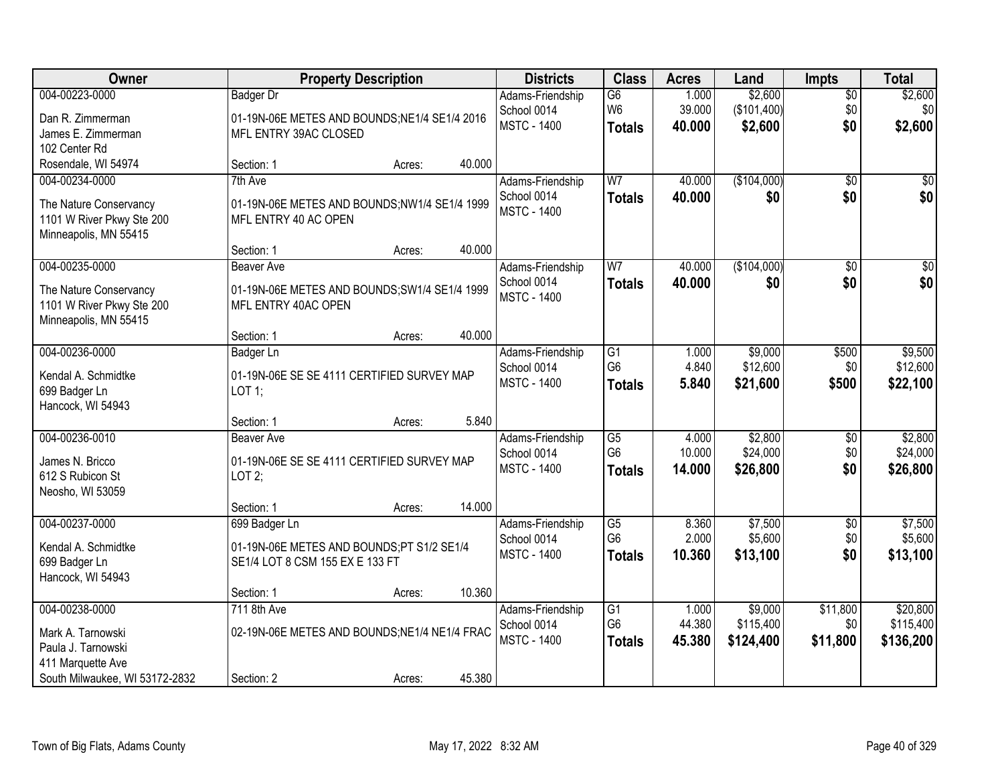| Owner                                                                        |                                                                              | <b>Property Description</b> |        | <b>Districts</b>                  | <b>Class</b>                    | <b>Acres</b>     | Land                   | <b>Impts</b>    | <b>Total</b>           |
|------------------------------------------------------------------------------|------------------------------------------------------------------------------|-----------------------------|--------|-----------------------------------|---------------------------------|------------------|------------------------|-----------------|------------------------|
| 004-00223-0000                                                               | <b>Badger Dr</b>                                                             |                             |        | Adams-Friendship                  | $\overline{G6}$                 | 1.000            | \$2,600                | \$0             | \$2,600                |
| Dan R. Zimmerman                                                             | 01-19N-06E METES AND BOUNDS; NE1/4 SE1/4 2016                                |                             |        | School 0014                       | W <sub>6</sub>                  | 39.000           | (\$101,400)            | \$0             | \$0                    |
| James E. Zimmerman                                                           | MFL ENTRY 39AC CLOSED                                                        |                             |        | <b>MSTC - 1400</b>                | <b>Totals</b>                   | 40.000           | \$2,600                | \$0             | \$2,600                |
| 102 Center Rd                                                                |                                                                              |                             |        |                                   |                                 |                  |                        |                 |                        |
| Rosendale, WI 54974                                                          | Section: 1                                                                   | Acres:                      | 40.000 |                                   |                                 |                  |                        |                 |                        |
| 004-00234-0000                                                               | 7th Ave                                                                      |                             |        | Adams-Friendship                  | W <sub>7</sub>                  | 40.000           | (\$104,000)            | $\overline{50}$ | \$0                    |
| The Nature Conservancy<br>1101 W River Pkwy Ste 200<br>Minneapolis, MN 55415 | 01-19N-06E METES AND BOUNDS;NW1/4 SE1/4 1999<br>MFL ENTRY 40 AC OPEN         |                             |        | School 0014<br><b>MSTC - 1400</b> | <b>Totals</b>                   | 40.000           | \$0                    | \$0             | \$0                    |
|                                                                              | Section: 1                                                                   | Acres:                      | 40.000 |                                   |                                 |                  |                        |                 |                        |
| 004-00235-0000                                                               | <b>Beaver Ave</b>                                                            |                             |        | Adams-Friendship                  | W <sub>7</sub>                  | 40.000           | (\$104,000)            | \$0             | \$0                    |
| The Nature Conservancy<br>1101 W River Pkwy Ste 200<br>Minneapolis, MN 55415 | 01-19N-06E METES AND BOUNDS; SW1/4 SE1/4 1999<br>MFL ENTRY 40AC OPEN         |                             |        | School 0014<br><b>MSTC - 1400</b> | <b>Totals</b>                   | 40.000           | \$0                    | \$0             | \$0                    |
|                                                                              | Section: 1                                                                   | Acres:                      | 40.000 |                                   |                                 |                  |                        |                 |                        |
| 004-00236-0000                                                               | <b>Badger Ln</b>                                                             |                             |        | Adams-Friendship                  | G1                              | 1.000            | \$9,000                | \$500           | \$9,500                |
| Kendal A. Schmidtke<br>699 Badger Ln<br>Hancock, WI 54943                    | 01-19N-06E SE SE 4111 CERTIFIED SURVEY MAP<br>$LOT$ 1;                       |                             |        | School 0014<br><b>MSTC - 1400</b> | G <sub>6</sub><br><b>Totals</b> | 4.840<br>5.840   | \$12,600<br>\$21,600   | \$0<br>\$500    | \$12,600<br>\$22,100   |
|                                                                              | Section: 1                                                                   | Acres:                      | 5.840  |                                   |                                 |                  |                        |                 |                        |
| 004-00236-0010                                                               | Beaver Ave                                                                   |                             |        | Adams-Friendship                  | $\overline{G5}$                 | 4.000            | \$2,800                | \$0             | \$2,800                |
| James N. Bricco<br>612 S Rubicon St                                          | 01-19N-06E SE SE 4111 CERTIFIED SURVEY MAP<br>LOT2;                          |                             |        | School 0014<br><b>MSTC - 1400</b> | G <sub>6</sub><br><b>Totals</b> | 10.000<br>14.000 | \$24,000<br>\$26,800   | \$0<br>\$0      | \$24,000<br>\$26,800   |
| Neosho, WI 53059                                                             |                                                                              |                             |        |                                   |                                 |                  |                        |                 |                        |
|                                                                              | Section: 1                                                                   | Acres:                      | 14.000 |                                   |                                 |                  |                        |                 |                        |
| 004-00237-0000                                                               | 699 Badger Ln                                                                |                             |        | Adams-Friendship                  | $\overline{G5}$                 | 8.360            | \$7,500                | \$0             | \$7,500                |
| Kendal A. Schmidtke<br>699 Badger Ln<br>Hancock, WI 54943                    | 01-19N-06E METES AND BOUNDS;PT S1/2 SE1/4<br>SE1/4 LOT 8 CSM 155 EX E 133 FT |                             |        | School 0014<br><b>MSTC - 1400</b> | G <sub>6</sub><br><b>Totals</b> | 2.000<br>10.360  | \$5,600<br>\$13,100    | \$0<br>\$0      | \$5,600<br>\$13,100    |
|                                                                              | Section: 1                                                                   | Acres:                      | 10.360 |                                   |                                 |                  |                        |                 |                        |
| 004-00238-0000                                                               | 711 8th Ave                                                                  |                             |        | Adams-Friendship                  | $\overline{G1}$                 | 1.000            | \$9,000                | \$11,800        | \$20,800               |
| Mark A. Tarnowski<br>Paula J. Tarnowski<br>411 Marquette Ave                 | 02-19N-06E METES AND BOUNDS;NE1/4 NE1/4 FRAC                                 |                             |        | School 0014<br><b>MSTC - 1400</b> | G <sub>6</sub><br><b>Totals</b> | 44.380<br>45.380 | \$115,400<br>\$124,400 | \$0<br>\$11,800 | \$115,400<br>\$136,200 |
| South Milwaukee, WI 53172-2832                                               | Section: 2                                                                   | Acres:                      | 45.380 |                                   |                                 |                  |                        |                 |                        |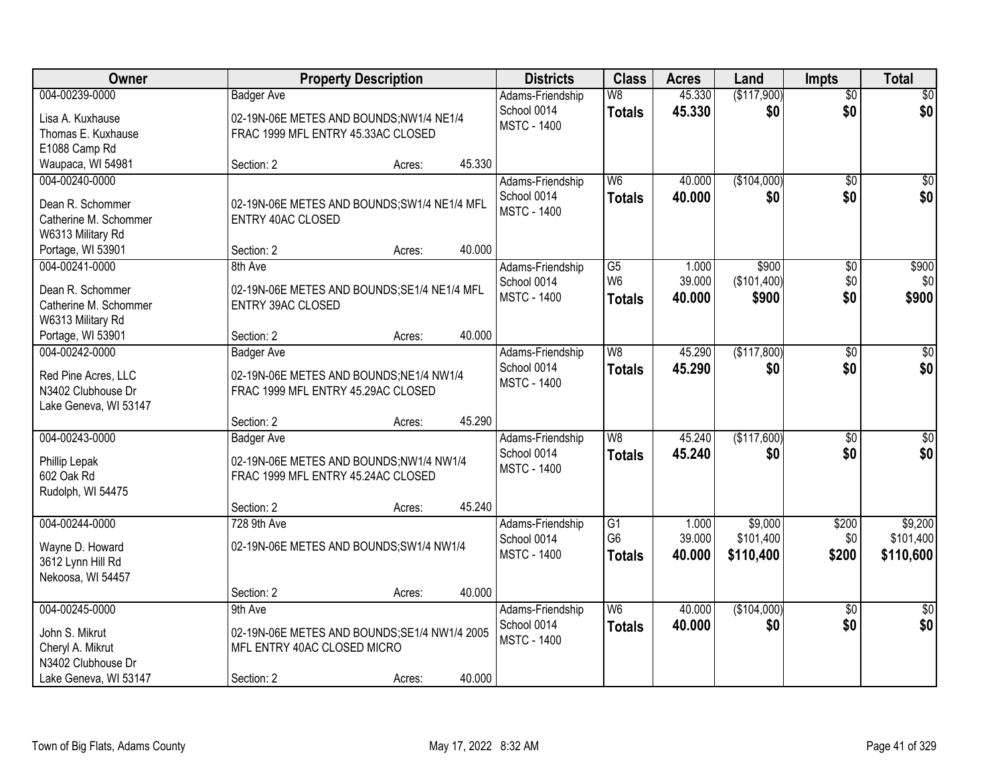| Owner                 | <b>Property Description</b>                   | <b>Districts</b>   | <b>Class</b>   | <b>Acres</b> | Land        | <b>Impts</b>    | <b>Total</b>    |
|-----------------------|-----------------------------------------------|--------------------|----------------|--------------|-------------|-----------------|-----------------|
| 004-00239-0000        | <b>Badger Ave</b>                             | Adams-Friendship   | W8             | 45.330       | (\$117,900) | $\overline{50}$ | \$0             |
| Lisa A. Kuxhause      | 02-19N-06E METES AND BOUNDS;NW1/4 NE1/4       | School 0014        | <b>Totals</b>  | 45.330       | \$0         | \$0             | \$0             |
| Thomas E. Kuxhause    | FRAC 1999 MFL ENTRY 45.33AC CLOSED            | <b>MSTC - 1400</b> |                |              |             |                 |                 |
| E1088 Camp Rd         |                                               |                    |                |              |             |                 |                 |
| Waupaca, WI 54981     | 45.330<br>Section: 2<br>Acres:                |                    |                |              |             |                 |                 |
| 004-00240-0000        |                                               | Adams-Friendship   | W <sub>6</sub> | 40.000       | (\$104,000) | $\overline{50}$ | $\sqrt{50}$     |
| Dean R. Schommer      | 02-19N-06E METES AND BOUNDS;SW1/4 NE1/4 MFL   | School 0014        | <b>Totals</b>  | 40.000       | \$0         | \$0             | \$0             |
| Catherine M. Schommer | <b>ENTRY 40AC CLOSED</b>                      | <b>MSTC - 1400</b> |                |              |             |                 |                 |
| W6313 Military Rd     |                                               |                    |                |              |             |                 |                 |
| Portage, WI 53901     | 40.000<br>Section: 2<br>Acres:                |                    |                |              |             |                 |                 |
| 004-00241-0000        | 8th Ave                                       | Adams-Friendship   | G5             | 1.000        | \$900       | \$0             | \$900           |
|                       |                                               | School 0014        | W <sub>6</sub> | 39.000       | (\$101,400) | \$0             | \$0             |
| Dean R. Schommer      | 02-19N-06E METES AND BOUNDS; SE1/4 NE1/4 MFL  | <b>MSTC - 1400</b> | <b>Totals</b>  | 40.000       | \$900       | \$0             | \$900           |
| Catherine M. Schommer | <b>ENTRY 39AC CLOSED</b>                      |                    |                |              |             |                 |                 |
| W6313 Military Rd     |                                               |                    |                |              |             |                 |                 |
| Portage, WI 53901     | 40.000<br>Section: 2<br>Acres:                |                    |                |              |             |                 |                 |
| 004-00242-0000        | <b>Badger Ave</b>                             | Adams-Friendship   | W8             | 45.290       | (\$117,800) | \$0             | $\sqrt{50}$     |
| Red Pine Acres, LLC   | 02-19N-06E METES AND BOUNDS;NE1/4 NW1/4       | School 0014        | <b>Totals</b>  | 45.290       | \$0         | \$0             | \$0             |
| N3402 Clubhouse Dr    | FRAC 1999 MFL ENTRY 45.29AC CLOSED            | <b>MSTC - 1400</b> |                |              |             |                 |                 |
| Lake Geneva, WI 53147 |                                               |                    |                |              |             |                 |                 |
|                       | 45.290<br>Section: 2<br>Acres:                |                    |                |              |             |                 |                 |
| 004-00243-0000        | <b>Badger Ave</b>                             | Adams-Friendship   | W8             | 45.240       | (\$117,600) | $\overline{50}$ | $\sqrt{50}$     |
| Phillip Lepak         | 02-19N-06E METES AND BOUNDS;NW1/4 NW1/4       | School 0014        | <b>Totals</b>  | 45.240       | \$0         | \$0             | \$0             |
| 602 Oak Rd            | FRAC 1999 MFL ENTRY 45.24AC CLOSED            | <b>MSTC - 1400</b> |                |              |             |                 |                 |
| Rudolph, WI 54475     |                                               |                    |                |              |             |                 |                 |
|                       | 45.240<br>Section: 2<br>Acres:                |                    |                |              |             |                 |                 |
| 004-00244-0000        | 728 9th Ave                                   | Adams-Friendship   | G1             | 1.000        | \$9,000     | \$200           | \$9,200         |
| Wayne D. Howard       | 02-19N-06E METES AND BOUNDS; SW1/4 NW1/4      | School 0014        | G <sub>6</sub> | 39.000       | \$101,400   | \$0             | \$101,400       |
| 3612 Lynn Hill Rd     |                                               | <b>MSTC - 1400</b> | <b>Totals</b>  | 40.000       | \$110,400   | \$200           | \$110,600       |
| Nekoosa, WI 54457     |                                               |                    |                |              |             |                 |                 |
|                       | 40.000<br>Section: 2<br>Acres:                |                    |                |              |             |                 |                 |
| 004-00245-0000        | 9th Ave                                       | Adams-Friendship   | W <sub>6</sub> | 40.000       | (\$104,000) | $\overline{50}$ | $\overline{50}$ |
|                       |                                               | School 0014        | <b>Totals</b>  | 40.000       | \$0         | \$0             | \$0             |
| John S. Mikrut        | 02-19N-06E METES AND BOUNDS; SE1/4 NW1/4 2005 | <b>MSTC - 1400</b> |                |              |             |                 |                 |
| Cheryl A. Mikrut      | MFL ENTRY 40AC CLOSED MICRO                   |                    |                |              |             |                 |                 |
| N3402 Clubhouse Dr    |                                               |                    |                |              |             |                 |                 |
| Lake Geneva, WI 53147 | 40.000<br>Section: 2<br>Acres:                |                    |                |              |             |                 |                 |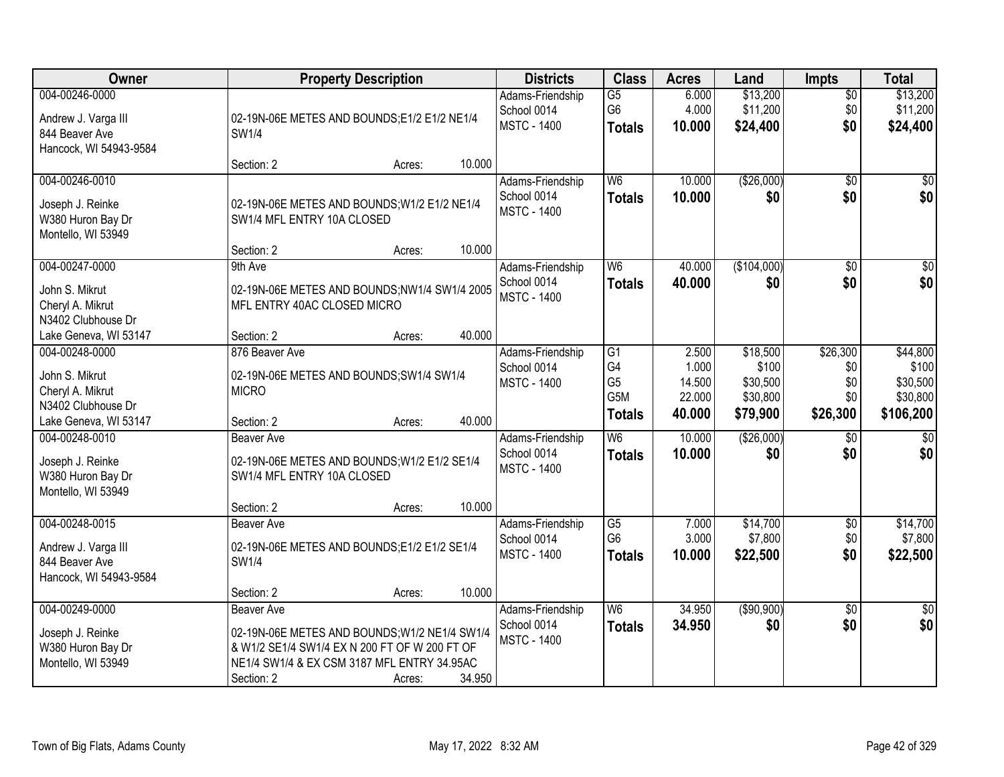| Owner                                                                             | <b>Property Description</b>                                                                                                                                                      | <b>Districts</b> | <b>Class</b>                                          | <b>Acres</b>                                       | Land                      | <b>Impts</b>                     | <b>Total</b>                  |                                  |
|-----------------------------------------------------------------------------------|----------------------------------------------------------------------------------------------------------------------------------------------------------------------------------|------------------|-------------------------------------------------------|----------------------------------------------------|---------------------------|----------------------------------|-------------------------------|----------------------------------|
| 004-00246-0000<br>Andrew J. Varga III<br>844 Beaver Ave<br>Hancock, WI 54943-9584 | 02-19N-06E METES AND BOUNDS;E1/2 E1/2 NE1/4<br><b>SW1/4</b>                                                                                                                      |                  | Adams-Friendship<br>School 0014<br><b>MSTC - 1400</b> | $\overline{G5}$<br>G <sub>6</sub><br><b>Totals</b> | 6.000<br>4.000<br>10.000  | \$13,200<br>\$11,200<br>\$24,400 | \$0<br>\$0<br>\$0             | \$13,200<br>\$11,200<br>\$24,400 |
|                                                                                   | Section: 2                                                                                                                                                                       | 10.000<br>Acres: |                                                       |                                                    |                           |                                  |                               |                                  |
| 004-00246-0010<br>Joseph J. Reinke<br>W380 Huron Bay Dr<br>Montello, WI 53949     | 02-19N-06E METES AND BOUNDS; W1/2 E1/2 NE1/4<br>SW1/4 MFL ENTRY 10A CLOSED                                                                                                       |                  | Adams-Friendship<br>School 0014<br><b>MSTC - 1400</b> | W <sub>6</sub><br><b>Totals</b>                    | 10.000<br>10.000          | (\$26,000)<br>\$0                | $\overline{50}$<br>\$0        | \$0<br>\$0                       |
| 004-00247-0000                                                                    | Section: 2<br>9th Ave                                                                                                                                                            | 10.000<br>Acres: | Adams-Friendship                                      | W <sub>6</sub>                                     | 40.000                    | (\$104,000)                      | \$0                           | $\overline{\$0}$                 |
| John S. Mikrut<br>Cheryl A. Mikrut<br>N3402 Clubhouse Dr                          | 02-19N-06E METES AND BOUNDS;NW1/4 SW1/4 2005<br>MFL ENTRY 40AC CLOSED MICRO                                                                                                      |                  | School 0014<br><b>MSTC - 1400</b>                     | <b>Totals</b>                                      | 40.000                    | \$0                              | \$0                           | \$0                              |
| Lake Geneva, WI 53147<br>004-00248-0000                                           | Section: 2<br>876 Beaver Ave                                                                                                                                                     | 40.000<br>Acres: | Adams-Friendship                                      | G1                                                 | 2.500                     | \$18,500                         | \$26,300                      | \$44,800                         |
| John S. Mikrut<br>Cheryl A. Mikrut<br>N3402 Clubhouse Dr                          | 02-19N-06E METES AND BOUNDS;SW1/4 SW1/4<br><b>MICRO</b>                                                                                                                          |                  | School 0014<br><b>MSTC - 1400</b>                     | G4<br>G <sub>5</sub><br>G5M                        | 1.000<br>14.500<br>22.000 | \$100<br>\$30,500<br>\$30,800    | \$0<br>\$0<br>\$0             | \$100<br>\$30,500<br>\$30,800    |
| Lake Geneva, WI 53147                                                             | Section: 2                                                                                                                                                                       | 40.000<br>Acres: |                                                       | <b>Totals</b>                                      | 40.000                    | \$79,900                         | \$26,300                      | \$106,200                        |
| 004-00248-0010<br>Joseph J. Reinke<br>W380 Huron Bay Dr<br>Montello, WI 53949     | <b>Beaver Ave</b><br>02-19N-06E METES AND BOUNDS; W1/2 E1/2 SE1/4<br>SW1/4 MFL ENTRY 10A CLOSED                                                                                  |                  | Adams-Friendship<br>School 0014<br><b>MSTC - 1400</b> | $\overline{W6}$<br><b>Totals</b>                   | 10.000<br>10.000          | ( \$26,000)<br>\$0               | \$0<br>\$0                    | $\sqrt{50}$<br>\$0               |
|                                                                                   | Section: 2                                                                                                                                                                       | 10.000<br>Acres: |                                                       |                                                    |                           |                                  |                               |                                  |
| 004-00248-0015<br>Andrew J. Varga III<br>844 Beaver Ave<br>Hancock, WI 54943-9584 | <b>Beaver Ave</b><br>02-19N-06E METES AND BOUNDS;E1/2 E1/2 SE1/4<br>SW1/4                                                                                                        |                  | Adams-Friendship<br>School 0014<br><b>MSTC - 1400</b> | $\overline{G5}$<br>G <sub>6</sub><br><b>Totals</b> | 7.000<br>3.000<br>10.000  | \$14,700<br>\$7,800<br>\$22,500  | $\overline{$0}$<br>\$0<br>\$0 | \$14,700<br>\$7,800<br>\$22,500  |
|                                                                                   | Section: 2                                                                                                                                                                       | 10.000<br>Acres: |                                                       |                                                    |                           |                                  |                               |                                  |
| 004-00249-0000<br>Joseph J. Reinke<br>W380 Huron Bay Dr<br>Montello, WI 53949     | <b>Beaver Ave</b><br>02-19N-06E METES AND BOUNDS; W1/2 NE1/4 SW1/4<br>& W1/2 SE1/4 SW1/4 EX N 200 FT OF W 200 FT OF<br>NE1/4 SW1/4 & EX CSM 3187 MFL ENTRY 34.95AC<br>Section: 2 | 34.950<br>Acres: | Adams-Friendship<br>School 0014<br><b>MSTC - 1400</b> | W <sub>6</sub><br><b>Totals</b>                    | 34.950<br>34.950          | (\$90,900)<br>\$0                | $\overline{30}$<br>\$0        | $\sqrt{50}$<br>\$0               |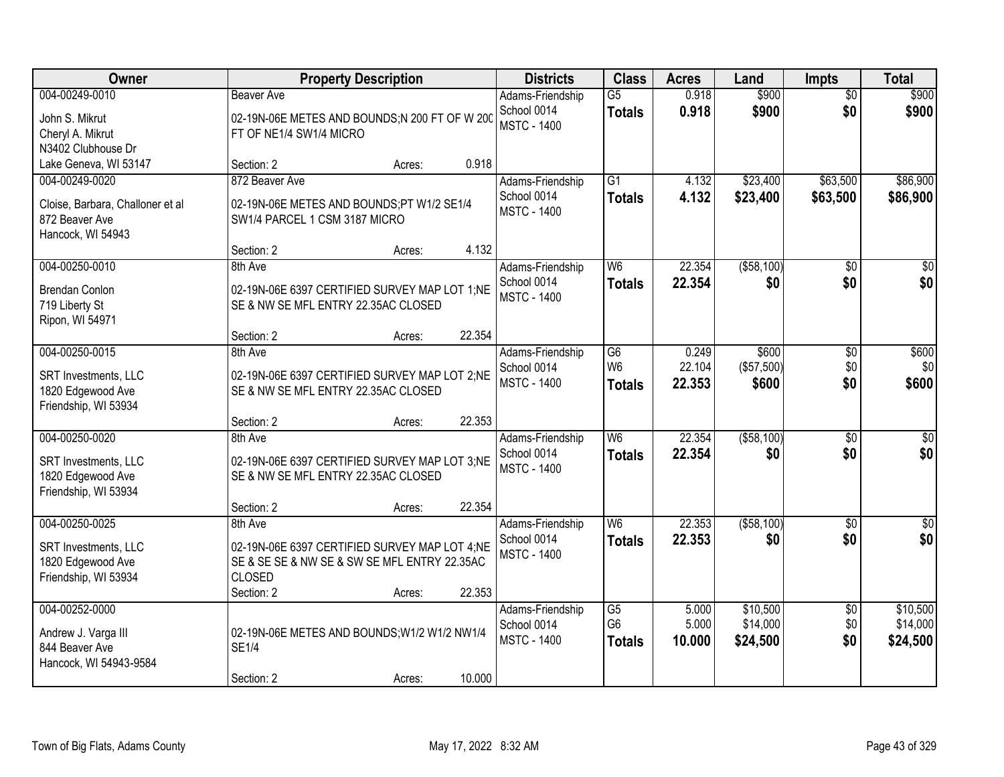| Owner                                                                                     | <b>Property Description</b>                                                                                                             |        |        | <b>Districts</b>                                      | <b>Class</b>                                       | <b>Acres</b>              | Land                             | <b>Impts</b>                  | <b>Total</b>                     |
|-------------------------------------------------------------------------------------------|-----------------------------------------------------------------------------------------------------------------------------------------|--------|--------|-------------------------------------------------------|----------------------------------------------------|---------------------------|----------------------------------|-------------------------------|----------------------------------|
| 004-00249-0010<br>John S. Mikrut<br>Cheryl A. Mikrut<br>N3402 Clubhouse Dr                | <b>Beaver Ave</b><br>02-19N-06E METES AND BOUNDS;N 200 FT OF W 200<br>FT OF NE1/4 SW1/4 MICRO                                           |        |        | Adams-Friendship<br>School 0014<br><b>MSTC - 1400</b> | $\overline{G5}$<br><b>Totals</b>                   | 0.918<br>0.918            | \$900<br>\$900                   | $\overline{50}$<br>\$0        | \$900<br>\$900                   |
| Lake Geneva, WI 53147                                                                     | Section: 2                                                                                                                              | Acres: | 0.918  |                                                       |                                                    |                           |                                  |                               |                                  |
| 004-00249-0020<br>Cloise, Barbara, Challoner et al<br>872 Beaver Ave<br>Hancock, WI 54943 | 872 Beaver Ave<br>02-19N-06E METES AND BOUNDS;PT W1/2 SE1/4<br>SW1/4 PARCEL 1 CSM 3187 MICRO                                            |        |        | Adams-Friendship<br>School 0014<br><b>MSTC - 1400</b> | $\overline{G1}$<br><b>Totals</b>                   | 4.132<br>4.132            | \$23,400<br>\$23,400             | \$63,500<br>\$63,500          | \$86,900<br>\$86,900             |
|                                                                                           | Section: 2                                                                                                                              | Acres: | 4.132  |                                                       |                                                    |                           |                                  |                               |                                  |
| 004-00250-0010<br><b>Brendan Conlon</b><br>719 Liberty St<br>Ripon, WI 54971              | 8th Ave<br>02-19N-06E 6397 CERTIFIED SURVEY MAP LOT 1;NE<br>SE & NW SE MFL ENTRY 22.35AC CLOSED                                         |        |        | Adams-Friendship<br>School 0014<br><b>MSTC - 1400</b> | W <sub>6</sub><br><b>Totals</b>                    | 22.354<br>22.354          | ( \$58, 100)<br>\$0              | \$0<br>\$0                    | $\overline{50}$<br>\$0           |
|                                                                                           | Section: 2                                                                                                                              | Acres: | 22.354 |                                                       |                                                    |                           |                                  |                               |                                  |
| 004-00250-0015<br>SRT Investments, LLC<br>1820 Edgewood Ave<br>Friendship, WI 53934       | 8th Ave<br>02-19N-06E 6397 CERTIFIED SURVEY MAP LOT 2;NE<br>SE & NW SE MFL ENTRY 22.35AC CLOSED                                         |        |        | Adams-Friendship<br>School 0014<br><b>MSTC - 1400</b> | $\overline{G6}$<br>W <sub>6</sub><br><b>Totals</b> | 0.249<br>22.104<br>22.353 | \$600<br>(\$57,500)<br>\$600     | \$0<br>\$0<br>\$0             | \$600<br>\$0<br>\$600            |
|                                                                                           | Section: 2                                                                                                                              | Acres: | 22.353 |                                                       |                                                    |                           |                                  |                               |                                  |
| 004-00250-0020<br>SRT Investments, LLC<br>1820 Edgewood Ave<br>Friendship, WI 53934       | 8th Ave<br>02-19N-06E 6397 CERTIFIED SURVEY MAP LOT 3:NE<br>SE & NW SE MFL ENTRY 22.35AC CLOSED                                         |        |        | Adams-Friendship<br>School 0014<br><b>MSTC - 1400</b> | W6<br><b>Totals</b>                                | 22.354<br>22.354          | ( \$58, 100)<br>\$0              | $\overline{30}$<br>\$0        | $\sqrt{50}$<br>\$0               |
|                                                                                           | Section: 2                                                                                                                              | Acres: | 22.354 |                                                       |                                                    |                           |                                  |                               |                                  |
| 004-00250-0025<br>SRT Investments, LLC<br>1820 Edgewood Ave<br>Friendship, WI 53934       | 8th Ave<br>02-19N-06E 6397 CERTIFIED SURVEY MAP LOT 4;NE<br>SE & SE SE & NW SE & SW SE MFL ENTRY 22.35AC<br><b>CLOSED</b><br>Section: 2 | Acres: | 22.353 | Adams-Friendship<br>School 0014<br><b>MSTC - 1400</b> | W <sub>6</sub><br><b>Totals</b>                    | 22.353<br>22.353          | ( \$58,100)<br>\$0               | $\sqrt{6}$<br>\$0             | $\overline{\$0}$<br>\$0          |
| 004-00252-0000<br>Andrew J. Varga III<br>844 Beaver Ave<br>Hancock, WI 54943-9584         | 02-19N-06E METES AND BOUNDS; W1/2 W1/2 NW1/4<br><b>SE1/4</b><br>Section: 2                                                              | Acres: | 10.000 | Adams-Friendship<br>School 0014<br><b>MSTC - 1400</b> | $\overline{G5}$<br>G <sub>6</sub><br><b>Totals</b> | 5.000<br>5.000<br>10.000  | \$10,500<br>\$14,000<br>\$24,500 | $\overline{50}$<br>\$0<br>\$0 | \$10,500<br>\$14,000<br>\$24,500 |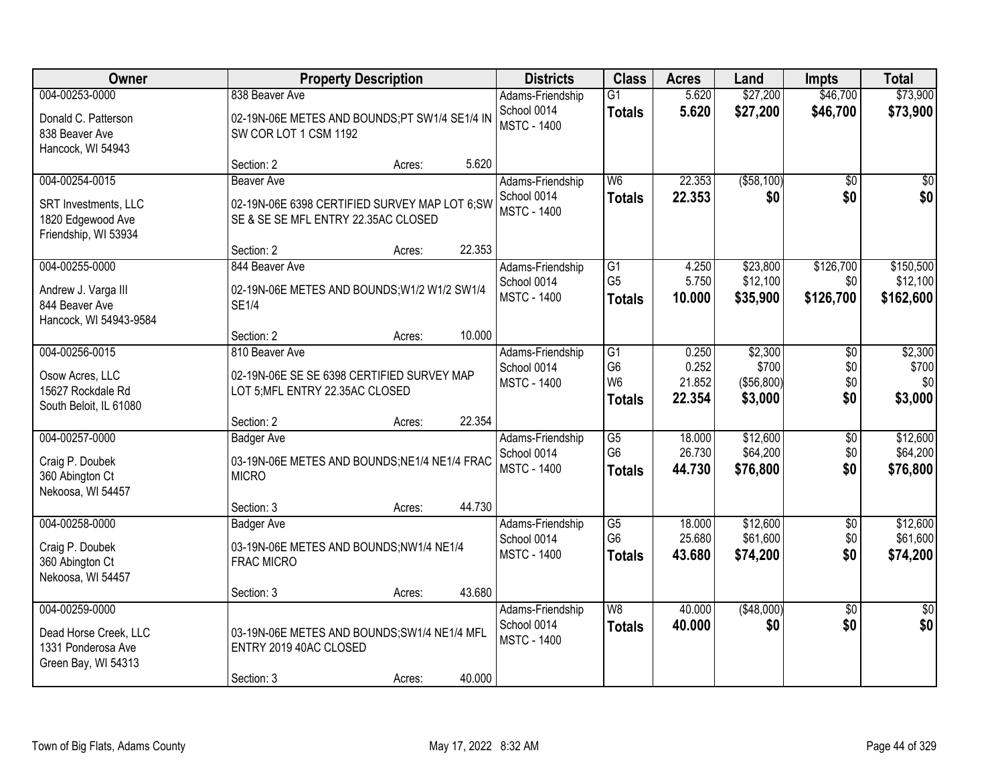| Owner                                                                                | <b>Property Description</b>                                                                                                                           | <b>Districts</b>                                      | <b>Class</b>                                            | <b>Acres</b>                       | Land                                      | <b>Impts</b>                  | <b>Total</b>                       |
|--------------------------------------------------------------------------------------|-------------------------------------------------------------------------------------------------------------------------------------------------------|-------------------------------------------------------|---------------------------------------------------------|------------------------------------|-------------------------------------------|-------------------------------|------------------------------------|
| 004-00253-0000<br>Donald C. Patterson<br>838 Beaver Ave                              | 838 Beaver Ave<br>02-19N-06E METES AND BOUNDS;PT SW1/4 SE1/4 IN<br>SW COR LOT 1 CSM 1192                                                              | Adams-Friendship<br>School 0014<br><b>MSTC - 1400</b> | $\overline{G1}$<br><b>Totals</b>                        | 5.620<br>5.620                     | \$27,200<br>\$27,200                      | \$46,700<br>\$46,700          | \$73,900<br>\$73,900               |
| Hancock, WI 54943                                                                    | 5.620<br>Section: 2<br>Acres:                                                                                                                         |                                                       |                                                         |                                    |                                           |                               |                                    |
| 004-00254-0015<br>SRT Investments, LLC<br>1820 Edgewood Ave<br>Friendship, WI 53934  | <b>Beaver Ave</b><br>02-19N-06E 6398 CERTIFIED SURVEY MAP LOT 6;SW<br>SE & SE SE MFL ENTRY 22.35AC CLOSED<br>22.353                                   | Adams-Friendship<br>School 0014<br><b>MSTC - 1400</b> | W <sub>6</sub><br><b>Totals</b>                         | 22.353<br>22.353                   | ( \$58, 100)<br>\$0                       | $\overline{50}$<br>\$0        | \$0<br>\$0                         |
| 004-00255-0000<br>Andrew J. Varga III<br>844 Beaver Ave<br>Hancock, WI 54943-9584    | Section: 2<br>Acres:<br>844 Beaver Ave<br>02-19N-06E METES AND BOUNDS; W1/2 W1/2 SW1/4<br><b>SE1/4</b><br>10.000<br>Section: 2<br>Acres:              | Adams-Friendship<br>School 0014<br><b>MSTC - 1400</b> | $\overline{G1}$<br>G <sub>5</sub><br><b>Totals</b>      | 4.250<br>5.750<br>10.000           | \$23,800<br>\$12,100<br>\$35,900          | \$126,700<br>\$0<br>\$126,700 | \$150,500<br>\$12,100<br>\$162,600 |
| 004-00256-0015<br>Osow Acres, LLC<br>15627 Rockdale Rd<br>South Beloit, IL 61080     | 810 Beaver Ave<br>02-19N-06E SE SE 6398 CERTIFIED SURVEY MAP<br>LOT 5; MFL ENTRY 22.35AC CLOSED<br>22.354<br>Section: 2<br>Acres:                     | Adams-Friendship<br>School 0014<br><b>MSTC - 1400</b> | G1<br>G <sub>6</sub><br>W <sub>6</sub><br><b>Totals</b> | 0.250<br>0.252<br>21.852<br>22.354 | \$2,300<br>\$700<br>(\$56,800)<br>\$3,000 | \$0<br>\$0<br>\$0<br>\$0      | \$2,300<br>\$700<br>\$0<br>\$3,000 |
| 004-00257-0000<br>Craig P. Doubek<br>360 Abington Ct<br>Nekoosa, WI 54457            | <b>Badger Ave</b><br>03-19N-06E METES AND BOUNDS; NE1/4 NE1/4 FRAC<br><b>MICRO</b>                                                                    | Adams-Friendship<br>School 0014<br><b>MSTC - 1400</b> | $\overline{G5}$<br>G <sub>6</sub><br><b>Totals</b>      | 18.000<br>26.730<br>44.730         | \$12,600<br>\$64,200<br>\$76,800          | $\overline{30}$<br>\$0<br>\$0 | \$12,600<br>\$64,200<br>\$76,800   |
| 004-00258-0000<br>Craig P. Doubek<br>360 Abington Ct<br>Nekoosa, WI 54457            | 44.730<br>Section: 3<br>Acres:<br><b>Badger Ave</b><br>03-19N-06E METES AND BOUNDS;NW1/4 NE1/4<br><b>FRAC MICRO</b><br>43.680<br>Section: 3<br>Acres: | Adams-Friendship<br>School 0014<br><b>MSTC - 1400</b> | G5<br>G <sub>6</sub><br><b>Totals</b>                   | 18.000<br>25.680<br>43.680         | \$12,600<br>\$61,600<br>\$74,200          | $\sqrt{$0}$<br>\$0<br>\$0     | \$12,600<br>\$61,600<br>\$74,200   |
| 004-00259-0000<br>Dead Horse Creek, LLC<br>1331 Ponderosa Ave<br>Green Bay, WI 54313 | 03-19N-06E METES AND BOUNDS;SW1/4 NE1/4 MFL<br>ENTRY 2019 40AC CLOSED<br>40.000<br>Section: 3<br>Acres:                                               | Adams-Friendship<br>School 0014<br><b>MSTC - 1400</b> | W8<br><b>Totals</b>                                     | 40.000<br>40.000                   | (\$48,000)<br>\$0                         | $\overline{50}$<br>\$0        | $\overline{50}$<br>\$0             |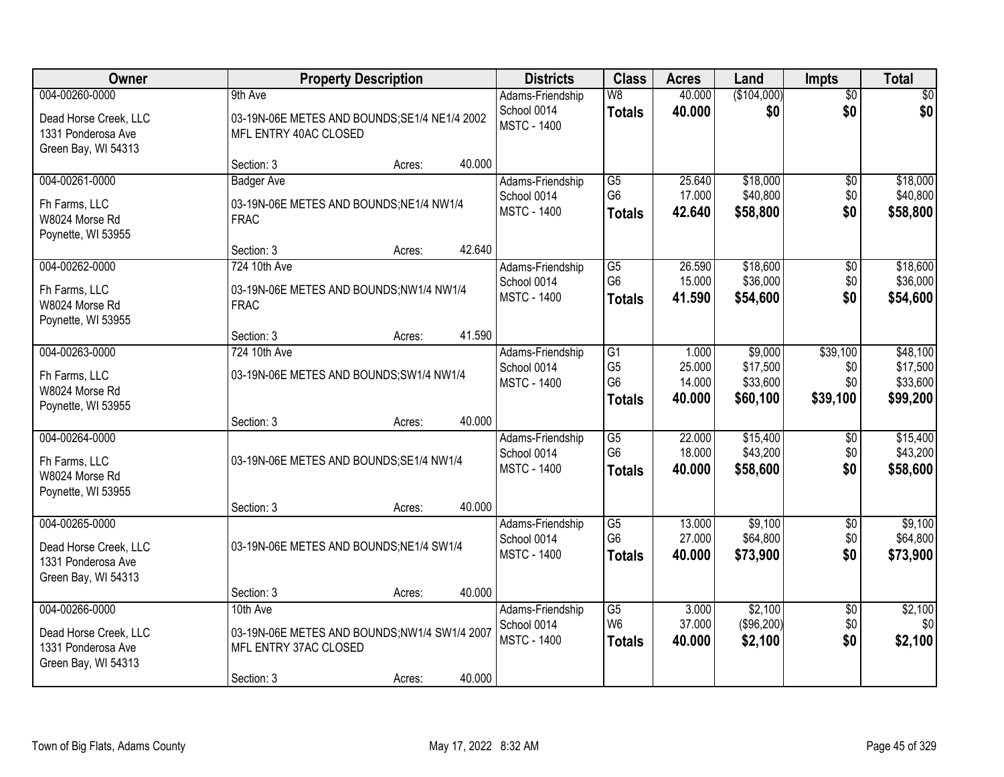| Owner                                                              | <b>Property Description</b>                                            |        |        | <b>Districts</b>                  | <b>Class</b>                      | <b>Acres</b>    | Land                | <b>Impts</b>    | <b>Total</b>         |
|--------------------------------------------------------------------|------------------------------------------------------------------------|--------|--------|-----------------------------------|-----------------------------------|-----------------|---------------------|-----------------|----------------------|
| 004-00260-0000                                                     | 9th Ave                                                                |        |        | Adams-Friendship                  | W8                                | 40.000          | (\$104,000)         | $\overline{50}$ | $\sqrt{50}$          |
| Dead Horse Creek, LLC<br>1331 Ponderosa Ave<br>Green Bay, WI 54313 | 03-19N-06E METES AND BOUNDS; SE1/4 NE1/4 2002<br>MFL ENTRY 40AC CLOSED |        |        | School 0014<br><b>MSTC - 1400</b> | <b>Totals</b>                     | 40.000          | \$0                 | \$0             | \$0                  |
|                                                                    | Section: 3                                                             | Acres: | 40.000 |                                   |                                   |                 |                     |                 |                      |
| 004-00261-0000                                                     | <b>Badger Ave</b>                                                      |        |        | Adams-Friendship                  | G5                                | 25.640          | \$18,000            | \$0             | \$18,000             |
| Fh Farms, LLC                                                      | 03-19N-06E METES AND BOUNDS;NE1/4 NW1/4                                |        |        | School 0014                       | G <sub>6</sub>                    | 17.000          | \$40,800            | \$0             | \$40,800             |
| W8024 Morse Rd                                                     | <b>FRAC</b>                                                            |        |        | <b>MSTC - 1400</b>                | <b>Totals</b>                     | 42.640          | \$58,800            | \$0             | \$58,800             |
| Poynette, WI 53955                                                 |                                                                        |        |        |                                   |                                   |                 |                     |                 |                      |
|                                                                    | Section: 3                                                             | Acres: | 42.640 |                                   |                                   |                 |                     |                 |                      |
| 004-00262-0000                                                     | 724 10th Ave                                                           |        |        | Adams-Friendship                  | G5                                | 26.590          | \$18,600            | \$0             | \$18,600             |
| Fh Farms, LLC                                                      | 03-19N-06E METES AND BOUNDS;NW1/4 NW1/4                                |        |        | School 0014<br><b>MSTC - 1400</b> | G <sub>6</sub>                    | 15.000          | \$36,000            | \$0<br>\$0      | \$36,000             |
| W8024 Morse Rd                                                     | <b>FRAC</b>                                                            |        |        |                                   | <b>Totals</b>                     | 41.590          | \$54,600            |                 | \$54,600             |
| Poynette, WI 53955                                                 |                                                                        |        |        |                                   |                                   |                 |                     |                 |                      |
|                                                                    | Section: 3                                                             | Acres: | 41.590 |                                   |                                   |                 |                     |                 |                      |
| 004-00263-0000                                                     | 724 10th Ave                                                           |        |        | Adams-Friendship<br>School 0014   | $\overline{G1}$<br>G <sub>5</sub> | 1.000<br>25.000 | \$9,000<br>\$17,500 | \$39,100<br>\$0 | \$48,100<br>\$17,500 |
| Fh Farms, LLC                                                      | 03-19N-06E METES AND BOUNDS; SW1/4 NW1/4                               |        |        | <b>MSTC - 1400</b>                | G <sub>6</sub>                    | 14.000          | \$33,600            | \$0             | \$33,600             |
| W8024 Morse Rd                                                     |                                                                        |        |        |                                   | <b>Totals</b>                     | 40.000          | \$60,100            | \$39,100        | \$99,200             |
| Poynette, WI 53955                                                 |                                                                        |        |        |                                   |                                   |                 |                     |                 |                      |
| 004-00264-0000                                                     | Section: 3                                                             | Acres: | 40.000 |                                   | $\overline{G5}$                   | 22.000          | \$15,400            | \$0             | \$15,400             |
|                                                                    |                                                                        |        |        | Adams-Friendship<br>School 0014   | G <sub>6</sub>                    | 18.000          | \$43,200            | \$0             | \$43,200             |
| Fh Farms, LLC                                                      | 03-19N-06E METES AND BOUNDS;SE1/4 NW1/4                                |        |        | <b>MSTC - 1400</b>                | <b>Totals</b>                     | 40.000          | \$58,600            | \$0             | \$58,600             |
| W8024 Morse Rd                                                     |                                                                        |        |        |                                   |                                   |                 |                     |                 |                      |
| Poynette, WI 53955                                                 | Section: 3                                                             |        | 40.000 |                                   |                                   |                 |                     |                 |                      |
| 004-00265-0000                                                     |                                                                        | Acres: |        | Adams-Friendship                  | $\overline{G5}$                   | 13.000          | \$9,100             | $\sqrt{$0}$     | \$9,100              |
|                                                                    |                                                                        |        |        | School 0014                       | G <sub>6</sub>                    | 27.000          | \$64,800            | \$0             | \$64,800             |
| Dead Horse Creek, LLC                                              | 03-19N-06E METES AND BOUNDS;NE1/4 SW1/4                                |        |        | <b>MSTC - 1400</b>                | <b>Totals</b>                     | 40.000          | \$73,900            | \$0             | \$73,900             |
| 1331 Ponderosa Ave<br>Green Bay, WI 54313                          |                                                                        |        |        |                                   |                                   |                 |                     |                 |                      |
|                                                                    | Section: 3                                                             | Acres: | 40.000 |                                   |                                   |                 |                     |                 |                      |
| 004-00266-0000                                                     | 10th Ave                                                               |        |        | Adams-Friendship                  | $\overline{G5}$                   | 3.000           | \$2,100             | $\overline{50}$ | \$2,100              |
|                                                                    |                                                                        |        |        | School 0014                       | W <sub>6</sub>                    | 37.000          | (\$96,200)          | \$0             | \$0                  |
| Dead Horse Creek, LLC<br>1331 Ponderosa Ave                        | 03-19N-06E METES AND BOUNDS;NW1/4 SW1/4 2007<br>MFL ENTRY 37AC CLOSED  |        |        | <b>MSTC - 1400</b>                | <b>Totals</b>                     | 40.000          | \$2,100             | \$0             | \$2,100              |
| Green Bay, WI 54313                                                |                                                                        |        |        |                                   |                                   |                 |                     |                 |                      |
|                                                                    | Section: 3                                                             | Acres: | 40.000 |                                   |                                   |                 |                     |                 |                      |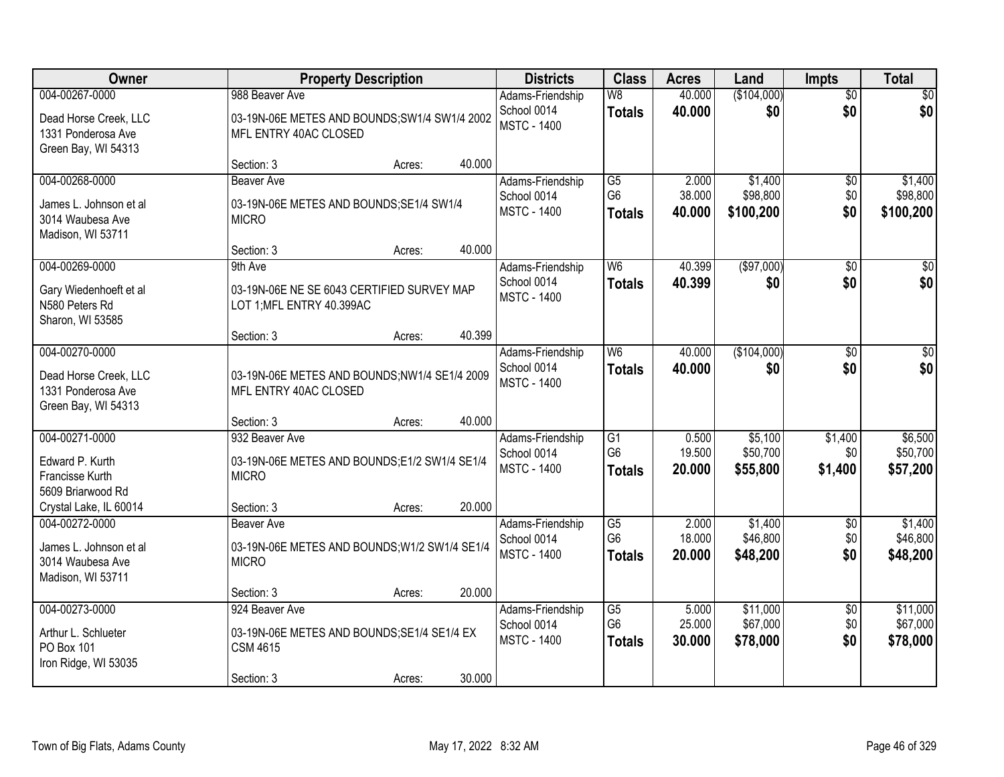| Owner                                                                                               | <b>Property Description</b>                                                                                                                            | <b>Districts</b>                                      | <b>Class</b>                                       | <b>Acres</b>              | Land                             | Impts                         | <b>Total</b>                     |
|-----------------------------------------------------------------------------------------------------|--------------------------------------------------------------------------------------------------------------------------------------------------------|-------------------------------------------------------|----------------------------------------------------|---------------------------|----------------------------------|-------------------------------|----------------------------------|
| 004-00267-0000<br>Dead Horse Creek, LLC<br>1331 Ponderosa Ave                                       | 988 Beaver Ave<br>03-19N-06E METES AND BOUNDS; SW1/4 SW1/4 2002<br>MFL ENTRY 40AC CLOSED                                                               | Adams-Friendship<br>School 0014<br><b>MSTC - 1400</b> | $\overline{\mathsf{W}8}$<br><b>Totals</b>          | 40.000<br>40.000          | (\$104,000)<br>\$0               | $\overline{50}$<br>\$0        | \$0<br>\$0                       |
| Green Bay, WI 54313                                                                                 | 40.000<br>Section: 3<br>Acres:                                                                                                                         |                                                       |                                                    |                           |                                  |                               |                                  |
| 004-00268-0000<br>James L. Johnson et al<br>3014 Waubesa Ave<br>Madison, WI 53711                   | Beaver Ave<br>03-19N-06E METES AND BOUNDS; SE1/4 SW1/4<br><b>MICRO</b>                                                                                 | Adams-Friendship<br>School 0014<br><b>MSTC - 1400</b> | G5<br>G <sub>6</sub><br><b>Totals</b>              | 2.000<br>38.000<br>40.000 | \$1,400<br>\$98,800<br>\$100,200 | \$0<br>\$0<br>\$0             | \$1,400<br>\$98,800<br>\$100,200 |
| 004-00269-0000<br>Gary Wiedenhoeft et al<br>N580 Peters Rd<br>Sharon, WI 53585                      | 40.000<br>Section: 3<br>Acres:<br>9th Ave<br>03-19N-06E NE SE 6043 CERTIFIED SURVEY MAP<br>LOT 1; MFL ENTRY 40.399AC<br>40.399<br>Section: 3<br>Acres: | Adams-Friendship<br>School 0014<br><b>MSTC - 1400</b> | W <sub>6</sub><br><b>Totals</b>                    | 40.399<br>40.399          | ( \$97,000)<br>\$0               | $\overline{50}$<br>\$0        | $\overline{50}$<br>\$0           |
| 004-00270-0000<br>Dead Horse Creek, LLC<br>1331 Ponderosa Ave<br>Green Bay, WI 54313                | 03-19N-06E METES AND BOUNDS;NW1/4 SE1/4 2009<br>MFL ENTRY 40AC CLOSED<br>40.000<br>Section: 3<br>Acres:                                                | Adams-Friendship<br>School 0014<br><b>MSTC - 1400</b> | W6<br><b>Totals</b>                                | 40.000<br>40.000          | (\$104,000)<br>\$0               | $\overline{50}$<br>\$0        | \$0<br>\$0                       |
| 004-00271-0000<br>Edward P. Kurth<br>Francisse Kurth<br>5609 Briarwood Rd<br>Crystal Lake, IL 60014 | 932 Beaver Ave<br>03-19N-06E METES AND BOUNDS;E1/2 SW1/4 SE1/4<br><b>MICRO</b><br>20.000<br>Section: 3<br>Acres:                                       | Adams-Friendship<br>School 0014<br><b>MSTC - 1400</b> | G1<br>G <sub>6</sub><br><b>Totals</b>              | 0.500<br>19.500<br>20.000 | \$5,100<br>\$50,700<br>\$55,800  | \$1,400<br>\$0<br>\$1,400     | \$6,500<br>\$50,700<br>\$57,200  |
| 004-00272-0000<br>James L. Johnson et al<br>3014 Waubesa Ave<br>Madison, WI 53711                   | <b>Beaver Ave</b><br>03-19N-06E METES AND BOUNDS; W1/2 SW1/4 SE1/4<br><b>MICRO</b><br>20.000<br>Section: 3<br>Acres:                                   | Adams-Friendship<br>School 0014<br><b>MSTC - 1400</b> | $\overline{G5}$<br>G <sub>6</sub><br><b>Totals</b> | 2.000<br>18.000<br>20.000 | \$1,400<br>\$46,800<br>\$48,200  | $\overline{50}$<br>\$0<br>\$0 | \$1,400<br>\$46,800<br>\$48,200  |
| 004-00273-0000<br>Arthur L. Schlueter<br>PO Box 101<br>Iron Ridge, WI 53035                         | 924 Beaver Ave<br>03-19N-06E METES AND BOUNDS; SE1/4 SE1/4 EX<br><b>CSM 4615</b><br>30.000<br>Section: 3<br>Acres:                                     | Adams-Friendship<br>School 0014<br><b>MSTC - 1400</b> | $\overline{G5}$<br>G <sub>6</sub><br><b>Totals</b> | 5.000<br>25.000<br>30.000 | \$11,000<br>\$67,000<br>\$78,000 | $\overline{50}$<br>\$0<br>\$0 | \$11,000<br>\$67,000<br>\$78,000 |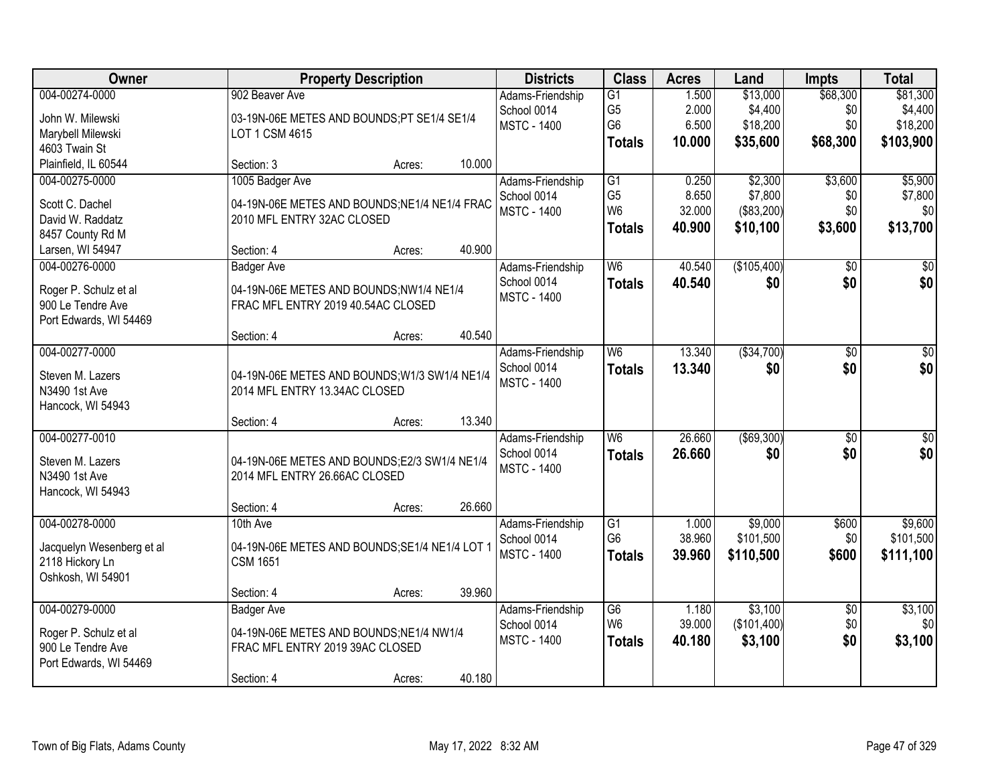| Owner                                                                                         | <b>Property Description</b>                                                                                                          | <b>Districts</b>                                      | <b>Class</b>                                                         | <b>Acres</b>                       | Land                                         | <b>Impts</b>                       | <b>Total</b>                                 |
|-----------------------------------------------------------------------------------------------|--------------------------------------------------------------------------------------------------------------------------------------|-------------------------------------------------------|----------------------------------------------------------------------|------------------------------------|----------------------------------------------|------------------------------------|----------------------------------------------|
| 004-00274-0000<br>John W. Milewski<br>Marybell Milewski<br>4603 Twain St                      | 902 Beaver Ave<br>03-19N-06E METES AND BOUNDS;PT SE1/4 SE1/4<br>LOT 1 CSM 4615                                                       | Adams-Friendship<br>School 0014<br><b>MSTC - 1400</b> | $\overline{G1}$<br>G <sub>5</sub><br>G <sub>6</sub><br><b>Totals</b> | 1.500<br>2.000<br>6.500<br>10.000  | \$13,000<br>\$4,400<br>\$18,200<br>\$35,600  | \$68,300<br>\$0<br>\$0<br>\$68,300 | \$81,300<br>\$4,400<br>\$18,200<br>\$103,900 |
| Plainfield, IL 60544                                                                          | 10.000<br>Section: 3<br>Acres:                                                                                                       |                                                       |                                                                      |                                    |                                              |                                    |                                              |
| 004-00275-0000<br>Scott C. Dachel<br>David W. Raddatz<br>8457 County Rd M<br>Larsen, WI 54947 | 1005 Badger Ave<br>04-19N-06E METES AND BOUNDS; NE1/4 NE1/4 FRAC<br>2010 MFL ENTRY 32AC CLOSED<br>40.900<br>Section: 4<br>Acres:     | Adams-Friendship<br>School 0014<br><b>MSTC - 1400</b> | G1<br>G <sub>5</sub><br>W <sub>6</sub><br><b>Totals</b>              | 0.250<br>8.650<br>32.000<br>40.900 | \$2,300<br>\$7,800<br>(\$83,200)<br>\$10,100 | \$3,600<br>\$0<br>\$0<br>\$3,600   | \$5,900<br>\$7,800<br>\$0<br>\$13,700        |
| 004-00276-0000<br>Roger P. Schulz et al<br>900 Le Tendre Ave<br>Port Edwards, WI 54469        | <b>Badger Ave</b><br>04-19N-06E METES AND BOUNDS;NW1/4 NE1/4<br>FRAC MFL ENTRY 2019 40.54AC CLOSED<br>40.540<br>Section: 4<br>Acres: | Adams-Friendship<br>School 0014<br><b>MSTC - 1400</b> | W <sub>6</sub><br><b>Totals</b>                                      | 40.540<br>40.540                   | (\$105,400)<br>\$0                           | \$0<br>\$0                         | \$0<br>\$0                                   |
| 004-00277-0000<br>Steven M. Lazers<br>N3490 1st Ave<br>Hancock, WI 54943                      | 04-19N-06E METES AND BOUNDS; W1/3 SW1/4 NE1/4<br>2014 MFL ENTRY 13.34AC CLOSED<br>13.340<br>Section: 4<br>Acres:                     | Adams-Friendship<br>School 0014<br><b>MSTC - 1400</b> | W <sub>6</sub><br><b>Totals</b>                                      | 13.340<br>13.340                   | ( \$34,700)<br>\$0                           | \$0<br>\$0                         | \$0<br>\$0                                   |
| 004-00277-0010<br>Steven M. Lazers<br>N3490 1st Ave<br>Hancock, WI 54943                      | 04-19N-06E METES AND BOUNDS;E2/3 SW1/4 NE1/4<br>2014 MFL ENTRY 26.66AC CLOSED<br>26.660<br>Section: 4<br>Acres:                      | Adams-Friendship<br>School 0014<br><b>MSTC - 1400</b> | $\overline{W6}$<br><b>Totals</b>                                     | 26.660<br>26.660                   | $($ \$69,300)<br>\$0                         | $\overline{50}$<br>\$0             | $\overline{50}$<br>\$0                       |
| 004-00278-0000<br>Jacquelyn Wesenberg et al<br>2118 Hickory Ln<br>Oshkosh, WI 54901           | 10th Ave<br>04-19N-06E METES AND BOUNDS;SE1/4 NE1/4 LOT 1<br><b>CSM 1651</b><br>39.960<br>Section: 4<br>Acres:                       | Adams-Friendship<br>School 0014<br><b>MSTC - 1400</b> | G1<br>G <sub>6</sub><br><b>Totals</b>                                | 1.000<br>38.960<br>39,960          | \$9,000<br>\$101,500<br>\$110,500            | \$600<br>\$0<br>\$600              | \$9,600<br>\$101,500<br>\$111,100            |
| 004-00279-0000<br>Roger P. Schulz et al<br>900 Le Tendre Ave<br>Port Edwards, WI 54469        | <b>Badger Ave</b><br>04-19N-06E METES AND BOUNDS:NE1/4 NW1/4<br>FRAC MFL ENTRY 2019 39AC CLOSED<br>40.180<br>Section: 4<br>Acres:    | Adams-Friendship<br>School 0014<br><b>MSTC - 1400</b> | G6<br>W <sub>6</sub><br><b>Totals</b>                                | 1.180<br>39.000<br>40.180          | \$3,100<br>(\$101,400)<br>\$3,100            | $\overline{50}$<br>\$0<br>\$0      | \$3,100<br>\$0<br>\$3,100                    |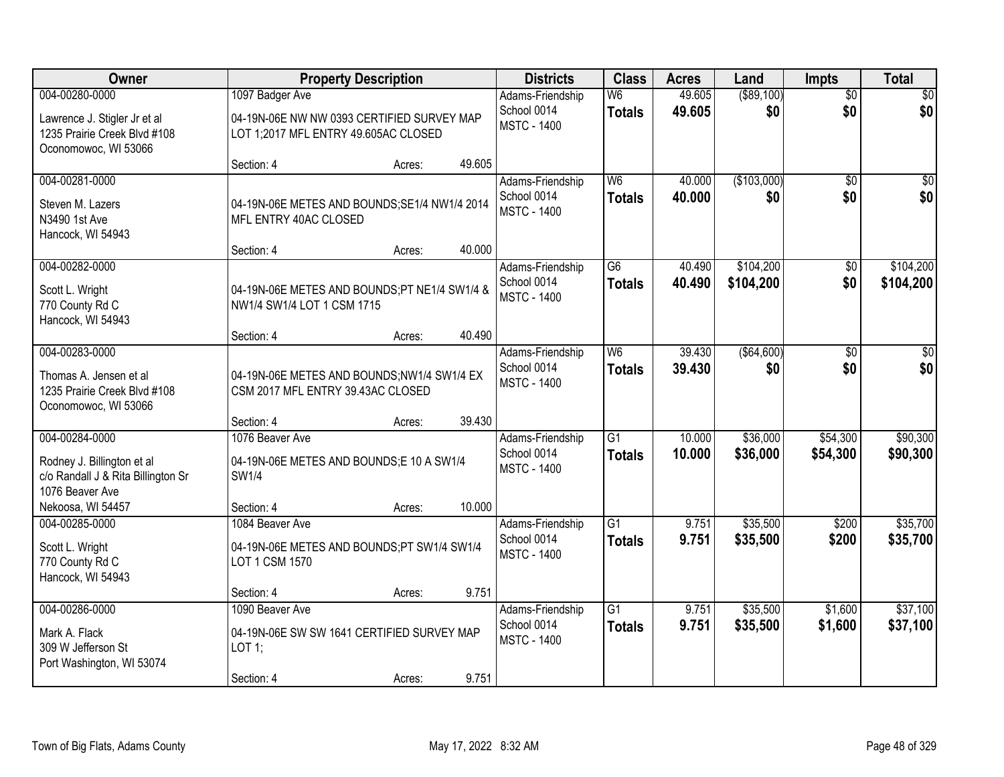| <b>Owner</b>                                                                                           | <b>Property Description</b>                                                                           |        |        | <b>Districts</b>                                      | <b>Class</b>                              | <b>Acres</b>     | Land                 | Impts                  | <b>Total</b>         |
|--------------------------------------------------------------------------------------------------------|-------------------------------------------------------------------------------------------------------|--------|--------|-------------------------------------------------------|-------------------------------------------|------------------|----------------------|------------------------|----------------------|
| 004-00280-0000<br>Lawrence J. Stigler Jr et al<br>1235 Prairie Creek Blvd #108<br>Oconomowoc, WI 53066 | 1097 Badger Ave<br>04-19N-06E NW NW 0393 CERTIFIED SURVEY MAP<br>LOT 1;2017 MFL ENTRY 49.605AC CLOSED |        |        | Adams-Friendship<br>School 0014<br><b>MSTC - 1400</b> | W6<br><b>Totals</b>                       | 49.605<br>49.605 | ( \$89, 100)<br>\$0  | $\overline{50}$<br>\$0 | \$0<br>\$0           |
|                                                                                                        | Section: 4                                                                                            | Acres: | 49.605 |                                                       |                                           |                  |                      |                        |                      |
| 004-00281-0000<br>Steven M. Lazers<br>N3490 1st Ave<br>Hancock, WI 54943                               | 04-19N-06E METES AND BOUNDS; SE1/4 NW1/4 2014<br>MFL ENTRY 40AC CLOSED                                |        | 40.000 | Adams-Friendship<br>School 0014<br><b>MSTC - 1400</b> | $\overline{\mathsf{W6}}$<br><b>Totals</b> | 40.000<br>40.000 | (\$103,000)<br>\$0   | $\overline{50}$<br>\$0 | $\sqrt{50}$<br>\$0   |
| 004-00282-0000                                                                                         | Section: 4                                                                                            | Acres: |        | Adams-Friendship                                      | G6                                        | 40.490           | \$104,200            | \$0                    | \$104,200            |
| Scott L. Wright<br>770 County Rd C<br>Hancock, WI 54943                                                | 04-19N-06E METES AND BOUNDS;PT NE1/4 SW1/4 &<br>NW1/4 SW1/4 LOT 1 CSM 1715                            |        |        | School 0014<br><b>MSTC - 1400</b>                     | <b>Totals</b>                             | 40.490           | \$104,200            | \$0                    | \$104,200            |
|                                                                                                        | Section: 4                                                                                            | Acres: | 40.490 |                                                       |                                           |                  |                      |                        |                      |
| 004-00283-0000<br>Thomas A. Jensen et al<br>1235 Prairie Creek Blvd #108<br>Oconomowoc, WI 53066       | 04-19N-06E METES AND BOUNDS;NW1/4 SW1/4 EX<br>CSM 2017 MFL ENTRY 39.43AC CLOSED                       |        |        | Adams-Friendship<br>School 0014<br><b>MSTC - 1400</b> | W <sub>6</sub><br><b>Totals</b>           | 39.430<br>39.430 | ( \$64, 600)<br>\$0  | \$0<br>\$0             | \$0<br>\$0           |
|                                                                                                        | Section: 4                                                                                            | Acres: | 39.430 |                                                       |                                           |                  |                      |                        |                      |
| 004-00284-0000<br>Rodney J. Billington et al<br>c/o Randall J & Rita Billington Sr<br>1076 Beaver Ave  | 1076 Beaver Ave<br>04-19N-06E METES AND BOUNDS;E 10 A SW1/4<br><b>SW1/4</b>                           |        |        | Adams-Friendship<br>School 0014<br><b>MSTC - 1400</b> | $\overline{G1}$<br><b>Totals</b>          | 10.000<br>10.000 | \$36,000<br>\$36,000 | \$54,300<br>\$54,300   | \$90,300<br>\$90,300 |
| Nekoosa, WI 54457                                                                                      | Section: 4                                                                                            | Acres: | 10.000 |                                                       |                                           |                  |                      |                        |                      |
| 004-00285-0000<br>Scott L. Wright<br>770 County Rd C<br>Hancock, WI 54943                              | 1084 Beaver Ave<br>04-19N-06E METES AND BOUNDS;PT SW1/4 SW1/4<br>LOT 1 CSM 1570                       |        |        | Adams-Friendship<br>School 0014<br><b>MSTC - 1400</b> | $\overline{G1}$<br><b>Totals</b>          | 9.751<br>9.751   | \$35,500<br>\$35,500 | \$200<br>\$200         | \$35,700<br>\$35,700 |
|                                                                                                        | Section: 4                                                                                            | Acres: | 9.751  |                                                       |                                           |                  |                      |                        |                      |
| 004-00286-0000<br>Mark A. Flack<br>309 W Jefferson St<br>Port Washington, WI 53074                     | 1090 Beaver Ave<br>04-19N-06E SW SW 1641 CERTIFIED SURVEY MAP<br>LOT 1;<br>Section: 4                 | Acres: | 9.751  | Adams-Friendship<br>School 0014<br><b>MSTC - 1400</b> | $\overline{G1}$<br><b>Totals</b>          | 9.751<br>9.751   | \$35,500<br>\$35,500 | \$1,600<br>\$1,600     | \$37,100<br>\$37,100 |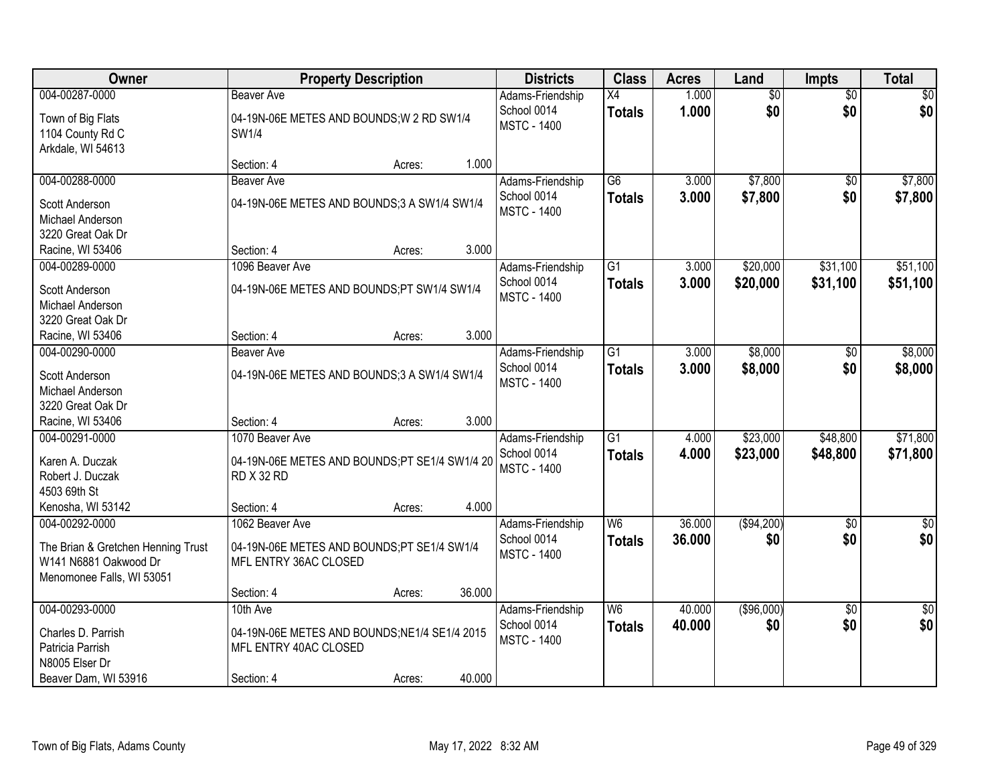| Owner                                                                                    | <b>Property Description</b>                                                           |        |        | <b>Districts</b>                                      | <b>Class</b>                     | <b>Acres</b>   | Land                 | <b>Impts</b>         | <b>Total</b>         |
|------------------------------------------------------------------------------------------|---------------------------------------------------------------------------------------|--------|--------|-------------------------------------------------------|----------------------------------|----------------|----------------------|----------------------|----------------------|
| 004-00287-0000                                                                           | <b>Beaver Ave</b>                                                                     |        |        | Adams-Friendship                                      | $\overline{X4}$                  | 1.000          | $\overline{50}$      | $\overline{50}$      | $\overline{30}$      |
| Town of Big Flats<br>1104 County Rd C<br>Arkdale, WI 54613                               | 04-19N-06E METES AND BOUNDS; W 2 RD SW1/4<br>SW1/4                                    |        |        | School 0014<br><b>MSTC - 1400</b>                     | <b>Totals</b>                    | 1.000          | \$0                  | \$0                  | \$0                  |
|                                                                                          | Section: 4                                                                            | Acres: | 1.000  |                                                       |                                  |                |                      |                      |                      |
| 004-00288-0000                                                                           | <b>Beaver Ave</b>                                                                     |        |        | Adams-Friendship                                      | $\overline{G6}$                  | 3.000          | \$7,800              | $\overline{50}$      | \$7,800              |
| Scott Anderson<br>Michael Anderson<br>3220 Great Oak Dr                                  | 04-19N-06E METES AND BOUNDS;3 A SW1/4 SW1/4                                           |        |        | School 0014<br><b>MSTC - 1400</b>                     | <b>Totals</b>                    | 3.000          | \$7,800              | \$0                  | \$7,800              |
| Racine, WI 53406                                                                         | Section: 4                                                                            | Acres: | 3.000  |                                                       |                                  |                |                      |                      |                      |
| 004-00289-0000                                                                           | 1096 Beaver Ave                                                                       |        |        | Adams-Friendship                                      | G1                               | 3.000          | \$20,000             | \$31,100             | \$51,100             |
| Scott Anderson<br>Michael Anderson<br>3220 Great Oak Dr                                  | 04-19N-06E METES AND BOUNDS;PT SW1/4 SW1/4                                            |        |        | School 0014<br><b>MSTC - 1400</b>                     | <b>Totals</b>                    | 3.000          | \$20,000             | \$31,100             | \$51,100             |
| Racine, WI 53406                                                                         | Section: 4                                                                            | Acres: | 3.000  |                                                       |                                  |                |                      |                      |                      |
| 004-00290-0000<br>Scott Anderson                                                         | Beaver Ave<br>04-19N-06E METES AND BOUNDS;3 A SW1/4 SW1/4                             |        |        | Adams-Friendship<br>School 0014                       | $\overline{G1}$<br><b>Totals</b> | 3.000<br>3.000 | \$8,000<br>\$8,000   | $\sqrt{6}$<br>\$0    | \$8,000<br>\$8,000   |
| Michael Anderson                                                                         |                                                                                       |        |        | <b>MSTC - 1400</b>                                    |                                  |                |                      |                      |                      |
| 3220 Great Oak Dr                                                                        |                                                                                       |        |        |                                                       |                                  |                |                      |                      |                      |
| Racine, WI 53406                                                                         | Section: 4                                                                            | Acres: | 3.000  |                                                       |                                  |                |                      |                      |                      |
| 004-00291-0000<br>Karen A. Duczak<br>Robert J. Duczak<br>4503 69th St                    | 1070 Beaver Ave<br>04-19N-06E METES AND BOUNDS;PT SE1/4 SW1/4 20<br><b>RD X 32 RD</b> |        |        | Adams-Friendship<br>School 0014<br><b>MSTC - 1400</b> | $\overline{G1}$<br><b>Totals</b> | 4.000<br>4.000 | \$23,000<br>\$23,000 | \$48,800<br>\$48,800 | \$71,800<br>\$71,800 |
| Kenosha, WI 53142                                                                        | Section: 4                                                                            | Acres: | 4.000  |                                                       |                                  |                |                      |                      |                      |
| 004-00292-0000                                                                           | 1062 Beaver Ave                                                                       |        |        | Adams-Friendship                                      | $\overline{W6}$                  | 36.000         | ( \$94,200)          | $\overline{60}$      | $\sqrt{50}$          |
| The Brian & Gretchen Henning Trust<br>W141 N6881 Oakwood Dr<br>Menomonee Falls, WI 53051 | 04-19N-06E METES AND BOUNDS;PT SE1/4 SW1/4<br>MFL ENTRY 36AC CLOSED                   |        |        | School 0014<br><b>MSTC - 1400</b>                     | <b>Totals</b>                    | 36.000         | \$0                  | \$0                  | \$0                  |
|                                                                                          | Section: 4                                                                            | Acres: | 36.000 |                                                       |                                  |                |                      |                      |                      |
| 004-00293-0000                                                                           | 10th Ave                                                                              |        |        | Adams-Friendship                                      | W <sub>6</sub>                   | 40.000         | (\$96,000)           | $\overline{50}$      | $\frac{1}{6}$        |
| Charles D. Parrish<br>Patricia Parrish<br>N8005 Elser Dr                                 | 04-19N-06E METES AND BOUNDS; NE1/4 SE1/4 2015<br>MFL ENTRY 40AC CLOSED                |        |        | School 0014<br><b>MSTC - 1400</b>                     | <b>Totals</b>                    | 40.000         | \$0                  | \$0                  | \$0                  |
| Beaver Dam, WI 53916                                                                     | Section: 4                                                                            | Acres: | 40.000 |                                                       |                                  |                |                      |                      |                      |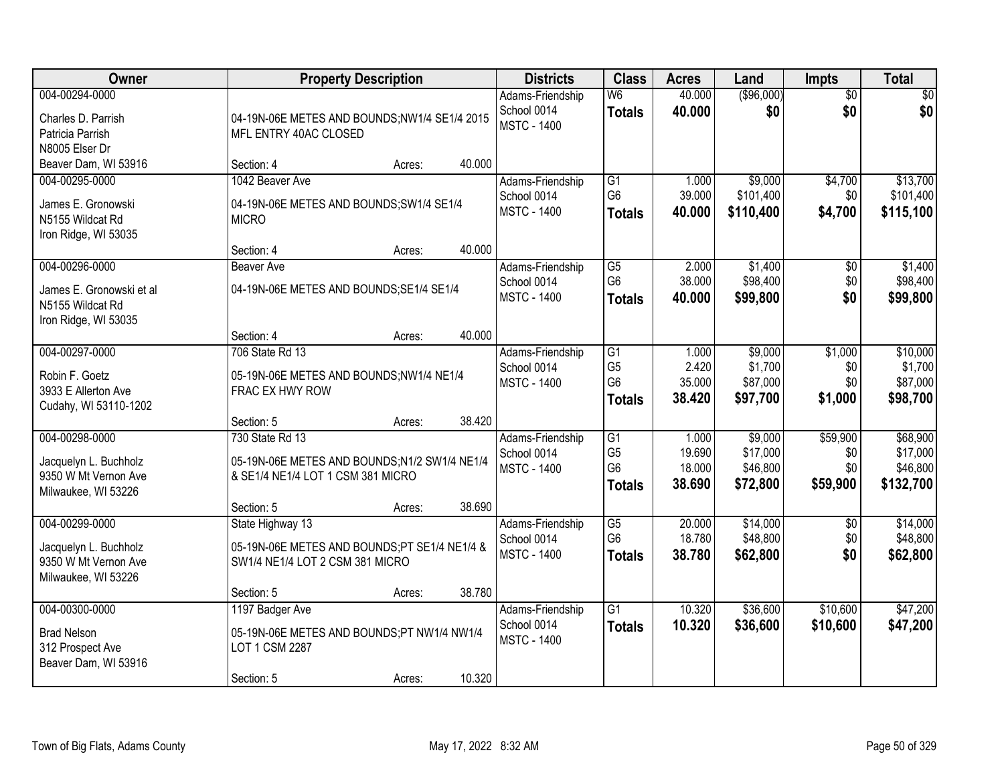| Owner                                                                                  | <b>Property Description</b>                                                                                       | <b>Districts</b>                                      | <b>Class</b>                                                         | <b>Acres</b>                        | Land                                        | Impts                              | <b>Total</b>                                  |
|----------------------------------------------------------------------------------------|-------------------------------------------------------------------------------------------------------------------|-------------------------------------------------------|----------------------------------------------------------------------|-------------------------------------|---------------------------------------------|------------------------------------|-----------------------------------------------|
| 004-00294-0000<br>Charles D. Parrish<br>Patricia Parrish<br>N8005 Elser Dr             | 04-19N-06E METES AND BOUNDS;NW1/4 SE1/4 2015<br>MFL ENTRY 40AC CLOSED                                             | Adams-Friendship<br>School 0014<br><b>MSTC - 1400</b> | $\overline{\mathsf{W6}}$<br><b>Totals</b>                            | 40.000<br>40.000                    | (\$96,000)<br>\$0                           | $\overline{50}$<br>\$0             | \$0<br>\$0                                    |
| Beaver Dam, WI 53916                                                                   | 40.000<br>Section: 4<br>Acres:                                                                                    |                                                       |                                                                      |                                     |                                             |                                    |                                               |
| 004-00295-0000<br>James E. Gronowski<br>N5155 Wildcat Rd<br>Iron Ridge, WI 53035       | 1042 Beaver Ave<br>04-19N-06E METES AND BOUNDS;SW1/4 SE1/4<br><b>MICRO</b>                                        | Adams-Friendship<br>School 0014<br><b>MSTC - 1400</b> | G1<br>G <sub>6</sub><br><b>Totals</b>                                | 1.000<br>39.000<br>40.000           | \$9,000<br>\$101,400<br>\$110,400           | \$4,700<br>\$0<br>\$4,700          | \$13,700<br>\$101,400<br>\$115,100            |
|                                                                                        | 40.000<br>Section: 4<br>Acres:                                                                                    |                                                       |                                                                      |                                     |                                             |                                    |                                               |
| 004-00296-0000<br>James E. Gronowski et al<br>N5155 Wildcat Rd<br>Iron Ridge, WI 53035 | <b>Beaver Ave</b><br>04-19N-06E METES AND BOUNDS; SE1/4 SE1/4                                                     | Adams-Friendship<br>School 0014<br><b>MSTC - 1400</b> | G5<br>G <sub>6</sub><br><b>Totals</b>                                | 2.000<br>38.000<br>40.000           | \$1,400<br>\$98,400<br>\$99,800             | \$0<br>\$0<br>\$0                  | \$1,400<br>\$98,400<br>\$99,800               |
|                                                                                        | 40.000<br>Section: 4<br>Acres:                                                                                    |                                                       |                                                                      |                                     |                                             |                                    |                                               |
| 004-00297-0000<br>Robin F. Goetz<br>3933 E Allerton Ave<br>Cudahy, WI 53110-1202       | 706 State Rd 13<br>05-19N-06E METES AND BOUNDS;NW1/4 NE1/4<br>FRAC EX HWY ROW                                     | Adams-Friendship<br>School 0014<br><b>MSTC - 1400</b> | G1<br>G <sub>5</sub><br>G <sub>6</sub><br><b>Totals</b>              | 1.000<br>2.420<br>35.000<br>38.420  | \$9,000<br>\$1,700<br>\$87,000<br>\$97,700  | \$1,000<br>\$0<br>\$0<br>\$1,000   | \$10,000<br>\$1,700<br>\$87,000<br>\$98,700   |
|                                                                                        | 38.420<br>Section: 5<br>Acres:                                                                                    |                                                       |                                                                      |                                     |                                             |                                    |                                               |
| 004-00298-0000<br>Jacquelyn L. Buchholz<br>9350 W Mt Vernon Ave<br>Milwaukee, WI 53226 | 730 State Rd 13<br>05-19N-06E METES AND BOUNDS;N1/2 SW1/4 NE1/4<br>& SE1/4 NE1/4 LOT 1 CSM 381 MICRO              | Adams-Friendship<br>School 0014<br><b>MSTC - 1400</b> | $\overline{G1}$<br>G <sub>5</sub><br>G <sub>6</sub><br><b>Totals</b> | 1.000<br>19.690<br>18.000<br>38.690 | \$9,000<br>\$17,000<br>\$46,800<br>\$72,800 | \$59,900<br>\$0<br>\$0<br>\$59,900 | \$68,900<br>\$17,000<br>\$46,800<br>\$132,700 |
| 004-00299-0000                                                                         | 38.690<br>Section: 5<br>Acres:                                                                                    |                                                       | G <sub>5</sub>                                                       | 20.000                              | \$14,000                                    | $\overline{30}$                    | \$14,000                                      |
| Jacquelyn L. Buchholz<br>9350 W Mt Vernon Ave<br>Milwaukee, WI 53226                   | State Highway 13<br>05-19N-06E METES AND BOUNDS;PT SE1/4 NE1/4 &<br>SW1/4 NE1/4 LOT 2 CSM 381 MICRO               | Adams-Friendship<br>School 0014<br><b>MSTC - 1400</b> | G <sub>6</sub><br><b>Totals</b>                                      | 18.780<br>38.780                    | \$48,800<br>\$62,800                        | \$0<br>\$0                         | \$48,800<br>\$62,800                          |
|                                                                                        | 38.780<br>Section: 5<br>Acres:                                                                                    |                                                       |                                                                      |                                     |                                             |                                    |                                               |
| 004-00300-0000<br><b>Brad Nelson</b><br>312 Prospect Ave<br>Beaver Dam, WI 53916       | 1197 Badger Ave<br>05-19N-06E METES AND BOUNDS;PT NW1/4 NW1/4<br>LOT 1 CSM 2287<br>10.320<br>Section: 5<br>Acres: | Adams-Friendship<br>School 0014<br><b>MSTC - 1400</b> | $\overline{G1}$<br><b>Totals</b>                                     | 10.320<br>10.320                    | \$36,600<br>\$36,600                        | \$10,600<br>\$10,600               | \$47,200<br>\$47,200                          |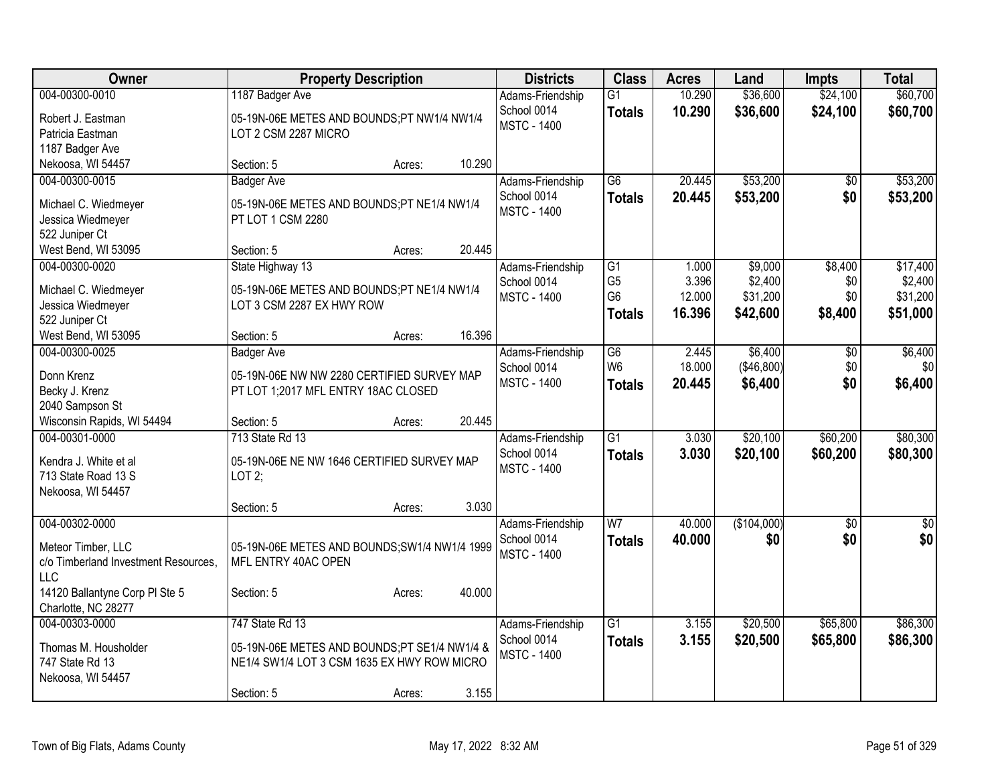| <b>Class</b><br><b>Owner</b><br><b>Property Description</b><br><b>Districts</b><br><b>Acres</b><br>Land<br><b>Impts</b>                                      | <b>Total</b>    |
|--------------------------------------------------------------------------------------------------------------------------------------------------------------|-----------------|
| 004-00300-0010<br>\$36,600<br>\$24,100<br>1187 Badger Ave<br>$\overline{G1}$<br>10.290<br>Adams-Friendship                                                   | \$60,700        |
| School 0014<br>10.290<br>\$36,600<br>\$24,100<br><b>Totals</b><br>05-19N-06E METES AND BOUNDS;PT NW1/4 NW1/4<br>Robert J. Eastman<br><b>MSTC - 1400</b>      | \$60,700        |
| Patricia Eastman<br>LOT 2 CSM 2287 MICRO                                                                                                                     |                 |
| 1187 Badger Ave                                                                                                                                              |                 |
| 10.290<br>Nekoosa, WI 54457<br>Section: 5<br>Acres:                                                                                                          |                 |
| \$53,200<br>20.445<br>004-00300-0015<br><b>Badger Ave</b><br>Adams-Friendship<br>G6<br>\$0                                                                   | \$53,200        |
| \$0<br>20.445<br>\$53,200<br>School 0014<br><b>Totals</b><br>Michael C. Wiedmeyer<br>05-19N-06E METES AND BOUNDS;PT NE1/4 NW1/4                              | \$53,200        |
| <b>MSTC - 1400</b><br>Jessica Wiedmeyer<br>PT LOT 1 CSM 2280                                                                                                 |                 |
| 522 Juniper Ct                                                                                                                                               |                 |
| 20.445<br>West Bend, WI 53095<br>Section: 5<br>Acres:                                                                                                        |                 |
| \$9,000<br>\$8,400<br>004-00300-0020<br>State Highway 13<br>G1<br>Adams-Friendship<br>1.000                                                                  | \$17,400        |
| G <sub>5</sub><br>3.396<br>\$2,400<br>School 0014<br>\$0<br>Michael C. Wiedmeyer<br>05-19N-06E METES AND BOUNDS;PT NE1/4 NW1/4                               | \$2,400         |
| G <sub>6</sub><br>12.000<br>\$31,200<br>\$0<br><b>MSTC - 1400</b><br>Jessica Wiedmeyer<br>LOT 3 CSM 2287 EX HWY ROW                                          | \$31,200        |
| 16.396<br>\$42,600<br>\$8,400<br><b>Totals</b><br>522 Juniper Ct                                                                                             | \$51,000        |
| 16.396<br>West Bend, WI 53095<br>Section: 5<br>Acres:                                                                                                        |                 |
| \$6,400<br>004-00300-0025<br>$\overline{G6}$<br>2.445<br>$\overline{60}$<br><b>Badger Ave</b><br>Adams-Friendship                                            | \$6,400         |
| W <sub>6</sub><br>18.000<br>(\$46,800)<br>\$0<br>School 0014<br>05-19N-06E NW NW 2280 CERTIFIED SURVEY MAP<br>Donn Krenz                                     | \$0             |
| \$0<br><b>MSTC - 1400</b><br>20.445<br>\$6,400<br><b>Totals</b><br>PT LOT 1;2017 MFL ENTRY 18AC CLOSED<br>Becky J. Krenz                                     | \$6,400         |
| 2040 Sampson St                                                                                                                                              |                 |
| 20.445<br>Wisconsin Rapids, WI 54494<br>Section: 5<br>Acres:                                                                                                 |                 |
| 713 State Rd 13<br>$\overline{G1}$<br>\$20,100<br>004-00301-0000<br>3.030<br>\$60,200<br>Adams-Friendship                                                    | \$80,300        |
| 3.030<br>\$20,100<br>School 0014<br>\$60,200<br><b>Totals</b>                                                                                                | \$80,300        |
| Kendra J. White et al<br>05-19N-06E NE NW 1646 CERTIFIED SURVEY MAP<br><b>MSTC - 1400</b><br>713 State Road 13 S<br>LOT2;                                    |                 |
| Nekoosa, WI 54457                                                                                                                                            |                 |
| 3.030<br>Section: 5<br>Acres:                                                                                                                                |                 |
| 004-00302-0000<br>$\overline{W}$<br>(\$104,000)<br>$\overline{50}$<br>Adams-Friendship<br>40.000                                                             | $\overline{50}$ |
| 40.000<br>\$0<br>\$0<br>School 0014<br><b>Totals</b>                                                                                                         | \$0             |
| 05-19N-06E METES AND BOUNDS; SW1/4 NW1/4 1999<br>Meteor Timber, LLC<br><b>MSTC - 1400</b><br>c/o Timberland Investment Resources,<br>MFL ENTRY 40AC OPEN     |                 |
| <b>LLC</b>                                                                                                                                                   |                 |
| 40.000<br>14120 Ballantyne Corp PI Ste 5<br>Section: 5<br>Acres:                                                                                             |                 |
| Charlotte, NC 28277                                                                                                                                          |                 |
| 747 State Rd 13<br>$\overline{G1}$<br>\$20,500<br>\$65,800<br>004-00303-0000<br>3.155<br>Adams-Friendship                                                    | \$86,300        |
| School 0014<br>3.155<br>\$20,500<br>\$65,800<br><b>Totals</b>                                                                                                | \$86,300        |
| 05-19N-06E METES AND BOUNDS;PT SE1/4 NW1/4 &<br>Thomas M. Housholder<br><b>MSTC - 1400</b><br>747 State Rd 13<br>NE1/4 SW1/4 LOT 3 CSM 1635 EX HWY ROW MICRO |                 |
| Nekoosa, WI 54457                                                                                                                                            |                 |
| 3.155<br>Section: 5<br>Acres:                                                                                                                                |                 |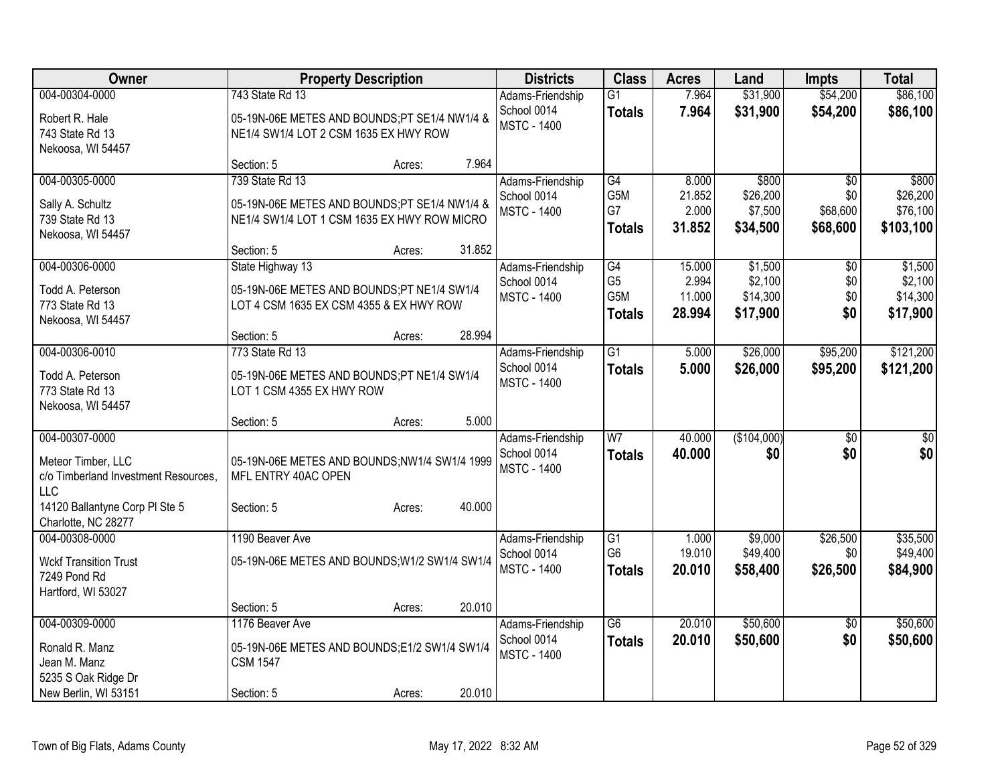| Owner                                |                                               | <b>Property Description</b> |        | <b>Districts</b>   | <b>Class</b>    | <b>Acres</b> | Land        | <b>Impts</b>    | <b>Total</b> |
|--------------------------------------|-----------------------------------------------|-----------------------------|--------|--------------------|-----------------|--------------|-------------|-----------------|--------------|
| 004-00304-0000                       | 743 State Rd 13                               |                             |        | Adams-Friendship   | $\overline{G1}$ | 7.964        | \$31,900    | \$54,200        | \$86,100     |
| Robert R. Hale                       | 05-19N-06E METES AND BOUNDS;PT SE1/4 NW1/4 &  |                             |        | School 0014        | <b>Totals</b>   | 7.964        | \$31,900    | \$54,200        | \$86,100     |
| 743 State Rd 13                      | NE1/4 SW1/4 LOT 2 CSM 1635 EX HWY ROW         |                             |        | <b>MSTC - 1400</b> |                 |              |             |                 |              |
| Nekoosa, WI 54457                    |                                               |                             |        |                    |                 |              |             |                 |              |
|                                      | Section: 5                                    | Acres:                      | 7.964  |                    |                 |              |             |                 |              |
| 004-00305-0000                       | 739 State Rd 13                               |                             |        | Adams-Friendship   | G4              | 8.000        | \$800       | $\overline{50}$ | \$800        |
| Sally A. Schultz                     | 05-19N-06E METES AND BOUNDS;PT SE1/4 NW1/4 &  |                             |        | School 0014        | G5M             | 21.852       | \$26,200    | \$0             | \$26,200     |
| 739 State Rd 13                      | NE1/4 SW1/4 LOT 1 CSM 1635 EX HWY ROW MICRO   |                             |        | <b>MSTC - 1400</b> | G7              | 2.000        | \$7,500     | \$68,600        | \$76,100     |
| Nekoosa, WI 54457                    |                                               |                             |        |                    | <b>Totals</b>   | 31.852       | \$34,500    | \$68,600        | \$103,100    |
|                                      | Section: 5                                    | Acres:                      | 31.852 |                    |                 |              |             |                 |              |
| 004-00306-0000                       | State Highway 13                              |                             |        | Adams-Friendship   | G4              | 15.000       | \$1,500     | \$0             | \$1,500      |
| Todd A. Peterson                     | 05-19N-06E METES AND BOUNDS;PT NE1/4 SW1/4    |                             |        | School 0014        | G <sub>5</sub>  | 2.994        | \$2,100     | \$0             | \$2,100      |
| 773 State Rd 13                      | LOT 4 CSM 1635 EX CSM 4355 & EX HWY ROW       |                             |        | <b>MSTC - 1400</b> | G5M             | 11.000       | \$14,300    | \$0             | \$14,300     |
| Nekoosa, WI 54457                    |                                               |                             |        |                    | <b>Totals</b>   | 28.994       | \$17,900    | \$0             | \$17,900     |
|                                      | Section: 5                                    | Acres:                      | 28.994 |                    |                 |              |             |                 |              |
| 004-00306-0010                       | 773 State Rd 13                               |                             |        | Adams-Friendship   | $\overline{G1}$ | 5.000        | \$26,000    | \$95,200        | \$121,200    |
| Todd A. Peterson                     | 05-19N-06E METES AND BOUNDS;PT NE1/4 SW1/4    |                             |        | School 0014        | <b>Totals</b>   | 5.000        | \$26,000    | \$95,200        | \$121,200    |
| 773 State Rd 13                      | LOT 1 CSM 4355 EX HWY ROW                     |                             |        | <b>MSTC - 1400</b> |                 |              |             |                 |              |
| Nekoosa, WI 54457                    |                                               |                             |        |                    |                 |              |             |                 |              |
|                                      | Section: 5                                    | Acres:                      | 5.000  |                    |                 |              |             |                 |              |
| 004-00307-0000                       |                                               |                             |        | Adams-Friendship   | $\overline{W}$  | 40.000       | (\$104,000) | \$0             | $\sqrt{50}$  |
| Meteor Timber, LLC                   | 05-19N-06E METES AND BOUNDS;NW1/4 SW1/4 1999  |                             |        | School 0014        | <b>Totals</b>   | 40.000       | \$0         | \$0             | \$0          |
| c/o Timberland Investment Resources, | MFL ENTRY 40AC OPEN                           |                             |        | <b>MSTC - 1400</b> |                 |              |             |                 |              |
| LLC                                  |                                               |                             |        |                    |                 |              |             |                 |              |
| 14120 Ballantyne Corp PI Ste 5       | Section: 5                                    | Acres:                      | 40.000 |                    |                 |              |             |                 |              |
| Charlotte, NC 28277                  |                                               |                             |        |                    |                 |              |             |                 |              |
| 004-00308-0000                       | 1190 Beaver Ave                               |                             |        | Adams-Friendship   | $\overline{G1}$ | 1.000        | \$9,000     | \$26,500        | \$35,500     |
| <b>Wckf Transition Trust</b>         | 05-19N-06E METES AND BOUNDS; W1/2 SW1/4 SW1/4 |                             |        | School 0014        | G <sub>6</sub>  | 19.010       | \$49,400    | \$0             | \$49,400     |
| 7249 Pond Rd                         |                                               |                             |        | <b>MSTC - 1400</b> | <b>Totals</b>   | 20.010       | \$58,400    | \$26,500        | \$84,900     |
| Hartford, WI 53027                   |                                               |                             |        |                    |                 |              |             |                 |              |
|                                      | Section: 5                                    | Acres:                      | 20.010 |                    |                 |              |             |                 |              |
| 004-00309-0000                       | 1176 Beaver Ave                               |                             |        | Adams-Friendship   | $\overline{G6}$ | 20.010       | \$50,600    | $\sqrt{6}$      | \$50,600     |
| Ronald R. Manz                       | 05-19N-06E METES AND BOUNDS;E1/2 SW1/4 SW1/4  |                             |        | School 0014        | <b>Totals</b>   | 20.010       | \$50,600    | \$0             | \$50,600     |
| Jean M. Manz                         | <b>CSM 1547</b>                               |                             |        | <b>MSTC - 1400</b> |                 |              |             |                 |              |
| 5235 S Oak Ridge Dr                  |                                               |                             |        |                    |                 |              |             |                 |              |
| New Berlin, WI 53151                 | Section: 5                                    | Acres:                      | 20.010 |                    |                 |              |             |                 |              |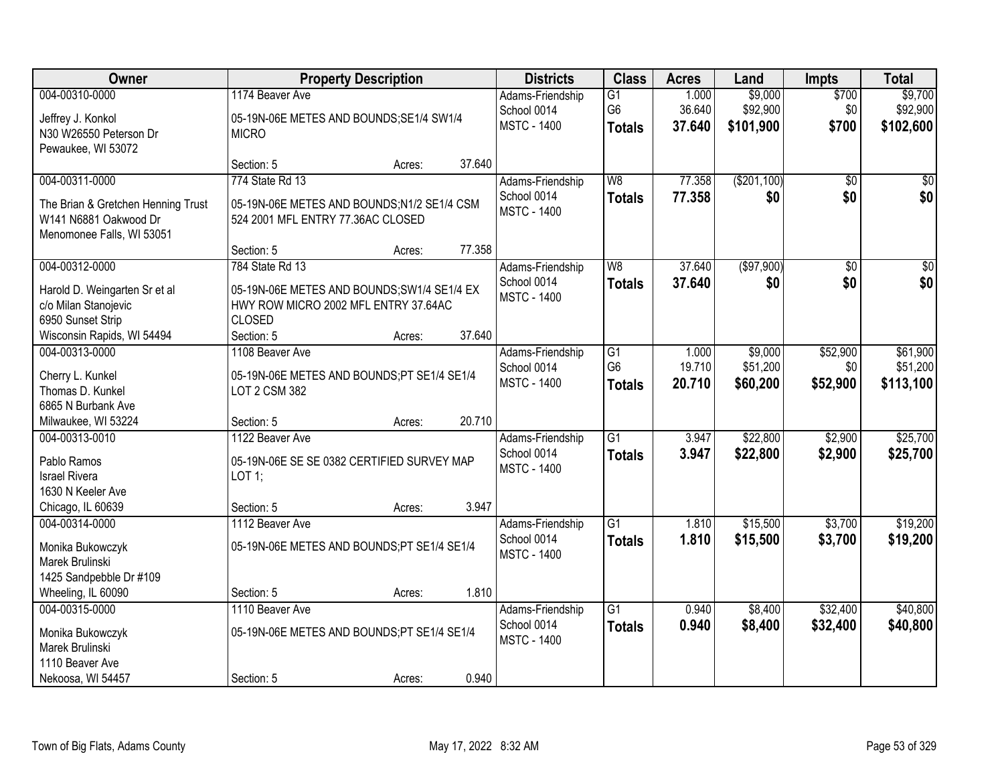| Owner                              |                                             | <b>Property Description</b> |        | <b>Districts</b>                  | <b>Class</b>                      | <b>Acres</b>    | Land                | <b>Impts</b>    | <b>Total</b>          |
|------------------------------------|---------------------------------------------|-----------------------------|--------|-----------------------------------|-----------------------------------|-----------------|---------------------|-----------------|-----------------------|
| 004-00310-0000                     | 1174 Beaver Ave                             |                             |        | Adams-Friendship                  | $\overline{G1}$                   | 1.000           | \$9,000             | \$700           | \$9,700               |
| Jeffrey J. Konkol                  | 05-19N-06E METES AND BOUNDS;SE1/4 SW1/4     |                             |        | School 0014                       | G <sub>6</sub>                    | 36.640          | \$92,900            | \$0             | \$92,900              |
| N30 W26550 Peterson Dr             | <b>MICRO</b>                                |                             |        | <b>MSTC - 1400</b>                | <b>Totals</b>                     | 37.640          | \$101,900           | \$700           | \$102,600             |
| Pewaukee, WI 53072                 |                                             |                             |        |                                   |                                   |                 |                     |                 |                       |
|                                    | Section: 5                                  | Acres:                      | 37.640 |                                   |                                   |                 |                     |                 |                       |
| 004-00311-0000                     | 774 State Rd 13                             |                             |        | Adams-Friendship                  | W8                                | 77.358          | (\$201,100)         | $\overline{50}$ | \$0                   |
| The Brian & Gretchen Henning Trust | 05-19N-06E METES AND BOUNDS;N1/2 SE1/4 CSM  |                             |        | School 0014<br><b>MSTC - 1400</b> | <b>Totals</b>                     | 77,358          | \$0                 | \$0             | \$0                   |
| W141 N6881 Oakwood Dr              | 524 2001 MFL ENTRY 77.36AC CLOSED           |                             |        |                                   |                                   |                 |                     |                 |                       |
| Menomonee Falls, WI 53051          |                                             |                             |        |                                   |                                   |                 |                     |                 |                       |
|                                    | Section: 5                                  | Acres:                      | 77.358 |                                   |                                   |                 |                     |                 |                       |
| 004-00312-0000                     | 784 State Rd 13                             |                             |        | Adams-Friendship                  | W8                                | 37.640          | ( \$97,900)         | $\overline{50}$ | $\sqrt{50}$           |
| Harold D. Weingarten Sr et al      | 05-19N-06E METES AND BOUNDS; SW1/4 SE1/4 EX |                             |        | School 0014<br><b>MSTC - 1400</b> | <b>Totals</b>                     | 37.640          | \$0                 | \$0             | \$0                   |
| c/o Milan Stanojevic               | HWY ROW MICRO 2002 MFL ENTRY 37.64AC        |                             |        |                                   |                                   |                 |                     |                 |                       |
| 6950 Sunset Strip                  | <b>CLOSED</b>                               |                             |        |                                   |                                   |                 |                     |                 |                       |
| Wisconsin Rapids, WI 54494         | Section: 5                                  | Acres:                      | 37.640 |                                   |                                   |                 |                     |                 |                       |
| 004-00313-0000                     | 1108 Beaver Ave                             |                             |        | Adams-Friendship                  | $\overline{G1}$<br>G <sub>6</sub> | 1.000<br>19.710 | \$9,000<br>\$51,200 | \$52,900        | \$61,900              |
| Cherry L. Kunkel                   | 05-19N-06E METES AND BOUNDS;PT SE1/4 SE1/4  |                             |        | School 0014<br><b>MSTC - 1400</b> |                                   | 20.710          | \$60,200            | \$0<br>\$52,900 | \$51,200<br>\$113,100 |
| Thomas D. Kunkel                   | LOT 2 CSM 382                               |                             |        |                                   | <b>Totals</b>                     |                 |                     |                 |                       |
| 6865 N Burbank Ave                 |                                             |                             |        |                                   |                                   |                 |                     |                 |                       |
| Milwaukee, WI 53224                | Section: 5                                  | Acres:                      | 20.710 |                                   |                                   |                 |                     |                 |                       |
| 004-00313-0010                     | 1122 Beaver Ave                             |                             |        | Adams-Friendship                  | $\overline{G1}$                   | 3.947           | \$22,800            | \$2,900         | \$25,700              |
| Pablo Ramos                        | 05-19N-06E SE SE 0382 CERTIFIED SURVEY MAP  |                             |        | School 0014<br><b>MSTC - 1400</b> | <b>Totals</b>                     | 3.947           | \$22,800            | \$2,900         | \$25,700              |
| <b>Israel Rivera</b>               | LOT 1;                                      |                             |        |                                   |                                   |                 |                     |                 |                       |
| 1630 N Keeler Ave                  |                                             |                             |        |                                   |                                   |                 |                     |                 |                       |
| Chicago, IL 60639                  | Section: 5                                  | Acres:                      | 3.947  |                                   |                                   |                 |                     |                 |                       |
| 004-00314-0000                     | 1112 Beaver Ave                             |                             |        | Adams-Friendship                  | $\overline{G1}$                   | 1.810           | \$15,500            | \$3,700         | \$19,200              |
| Monika Bukowczyk                   | 05-19N-06E METES AND BOUNDS;PT SE1/4 SE1/4  |                             |        | School 0014<br><b>MSTC - 1400</b> | <b>Totals</b>                     | 1.810           | \$15,500            | \$3,700         | \$19,200              |
| Marek Brulinski                    |                                             |                             |        |                                   |                                   |                 |                     |                 |                       |
| 1425 Sandpebble Dr #109            |                                             |                             |        |                                   |                                   |                 |                     |                 |                       |
| Wheeling, IL 60090                 | Section: 5                                  | Acres:                      | 1.810  |                                   |                                   |                 |                     |                 |                       |
| 004-00315-0000                     | 1110 Beaver Ave                             |                             |        | Adams-Friendship                  | $\overline{G1}$                   | 0.940           | \$8,400             | \$32,400        | \$40,800              |
| Monika Bukowczyk                   | 05-19N-06E METES AND BOUNDS;PT SE1/4 SE1/4  |                             |        | School 0014<br><b>MSTC - 1400</b> | <b>Totals</b>                     | 0.940           | \$8,400             | \$32,400        | \$40,800              |
| Marek Brulinski                    |                                             |                             |        |                                   |                                   |                 |                     |                 |                       |
| 1110 Beaver Ave                    |                                             |                             |        |                                   |                                   |                 |                     |                 |                       |
| Nekoosa, WI 54457                  | Section: 5                                  | Acres:                      | 0.940  |                                   |                                   |                 |                     |                 |                       |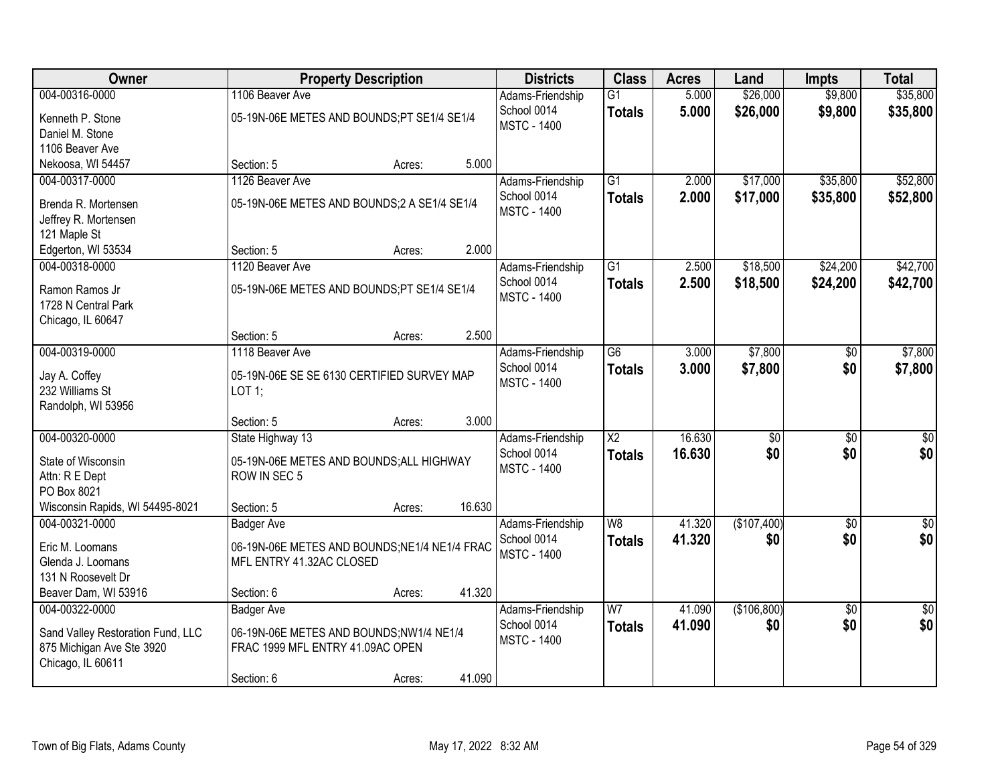| Owner                                    |                                              | <b>Property Description</b> |        | <b>Districts</b>                  | <b>Class</b>    | <b>Acres</b> | Land        | <b>Impts</b>    | <b>Total</b>     |
|------------------------------------------|----------------------------------------------|-----------------------------|--------|-----------------------------------|-----------------|--------------|-------------|-----------------|------------------|
| 004-00316-0000                           | 1106 Beaver Ave                              |                             |        | Adams-Friendship                  | $\overline{G1}$ | 5.000        | \$26,000    | \$9,800         | \$35,800         |
| Kenneth P. Stone                         | 05-19N-06E METES AND BOUNDS;PT SE1/4 SE1/4   |                             |        | School 0014                       | <b>Totals</b>   | 5.000        | \$26,000    | \$9,800         | \$35,800         |
| Daniel M. Stone                          |                                              |                             |        | <b>MSTC - 1400</b>                |                 |              |             |                 |                  |
| 1106 Beaver Ave                          |                                              |                             |        |                                   |                 |              |             |                 |                  |
| Nekoosa, WI 54457                        | Section: 5                                   | Acres:                      | 5.000  |                                   |                 |              |             |                 |                  |
| 004-00317-0000                           | 1126 Beaver Ave                              |                             |        | Adams-Friendship                  | $\overline{G1}$ | 2.000        | \$17,000    | \$35,800        | \$52,800         |
| Brenda R. Mortensen                      | 05-19N-06E METES AND BOUNDS; 2 A SE1/4 SE1/4 |                             |        | School 0014                       | <b>Totals</b>   | 2.000        | \$17,000    | \$35,800        | \$52,800         |
| Jeffrey R. Mortensen                     |                                              |                             |        | <b>MSTC - 1400</b>                |                 |              |             |                 |                  |
| 121 Maple St                             |                                              |                             |        |                                   |                 |              |             |                 |                  |
| Edgerton, WI 53534                       | Section: 5                                   | Acres:                      | 2.000  |                                   |                 |              |             |                 |                  |
| 004-00318-0000                           | 1120 Beaver Ave                              |                             |        | Adams-Friendship                  | $\overline{G1}$ | 2.500        | \$18,500    | \$24,200        | \$42,700         |
|                                          |                                              |                             |        | School 0014                       | <b>Totals</b>   | 2.500        | \$18,500    | \$24,200        | \$42,700         |
| Ramon Ramos Jr                           | 05-19N-06E METES AND BOUNDS;PT SE1/4 SE1/4   |                             |        | <b>MSTC - 1400</b>                |                 |              |             |                 |                  |
| 1728 N Central Park<br>Chicago, IL 60647 |                                              |                             |        |                                   |                 |              |             |                 |                  |
|                                          | Section: 5                                   | Acres:                      | 2.500  |                                   |                 |              |             |                 |                  |
| 004-00319-0000                           | 1118 Beaver Ave                              |                             |        | Adams-Friendship                  | $\overline{G6}$ | 3.000        | \$7,800     | \$0             | \$7,800          |
|                                          |                                              |                             |        | School 0014                       | <b>Totals</b>   | 3.000        | \$7,800     | \$0             | \$7,800          |
| Jay A. Coffey                            | 05-19N-06E SE SE 6130 CERTIFIED SURVEY MAP   |                             |        | <b>MSTC - 1400</b>                |                 |              |             |                 |                  |
| 232 Williams St                          | $LOT$ 1;                                     |                             |        |                                   |                 |              |             |                 |                  |
| Randolph, WI 53956                       | Section: 5                                   |                             | 3.000  |                                   |                 |              |             |                 |                  |
| 004-00320-0000                           | State Highway 13                             | Acres:                      |        | Adams-Friendship                  | $\overline{X2}$ | 16.630       | \$0         | $\overline{50}$ | \$0              |
|                                          |                                              |                             |        | School 0014                       |                 | 16.630       | \$0         | \$0             | \$0              |
| State of Wisconsin                       | 05-19N-06E METES AND BOUNDS; ALL HIGHWAY     |                             |        | <b>MSTC - 1400</b>                | <b>Totals</b>   |              |             |                 |                  |
| Attn: R E Dept                           | ROW IN SEC 5                                 |                             |        |                                   |                 |              |             |                 |                  |
| PO Box 8021                              |                                              |                             |        |                                   |                 |              |             |                 |                  |
| Wisconsin Rapids, WI 54495-8021          | Section: 5                                   | Acres:                      | 16.630 |                                   |                 |              |             |                 |                  |
| 004-00321-0000                           | <b>Badger Ave</b>                            |                             |        | Adams-Friendship                  | W8              | 41.320       | (\$107,400) | $\overline{50}$ | $\sqrt{50}$      |
| Eric M. Loomans                          | 06-19N-06E METES AND BOUNDS;NE1/4 NE1/4 FRAC |                             |        | School 0014<br><b>MSTC - 1400</b> | <b>Totals</b>   | 41.320       | \$0         | \$0             | \$0              |
| Glenda J. Loomans                        | MFL ENTRY 41.32AC CLOSED                     |                             |        |                                   |                 |              |             |                 |                  |
| 131 N Roosevelt Dr                       |                                              |                             |        |                                   |                 |              |             |                 |                  |
| Beaver Dam, WI 53916                     | Section: 6                                   | Acres:                      | 41.320 |                                   |                 |              |             |                 |                  |
| 004-00322-0000                           | <b>Badger Ave</b>                            |                             |        | Adams-Friendship                  | $\overline{W}$  | 41.090       | (\$106,800) | $\overline{30}$ | $\overline{\$0}$ |
| Sand Valley Restoration Fund, LLC        | 06-19N-06E METES AND BOUNDS;NW1/4 NE1/4      |                             |        | School 0014                       | <b>Totals</b>   | 41.090       | \$0         | \$0             | \$0              |
| 875 Michigan Ave Ste 3920                | FRAC 1999 MFL ENTRY 41.09AC OPEN             |                             |        | <b>MSTC - 1400</b>                |                 |              |             |                 |                  |
| Chicago, IL 60611                        |                                              |                             |        |                                   |                 |              |             |                 |                  |
|                                          | Section: 6                                   | Acres:                      | 41.090 |                                   |                 |              |             |                 |                  |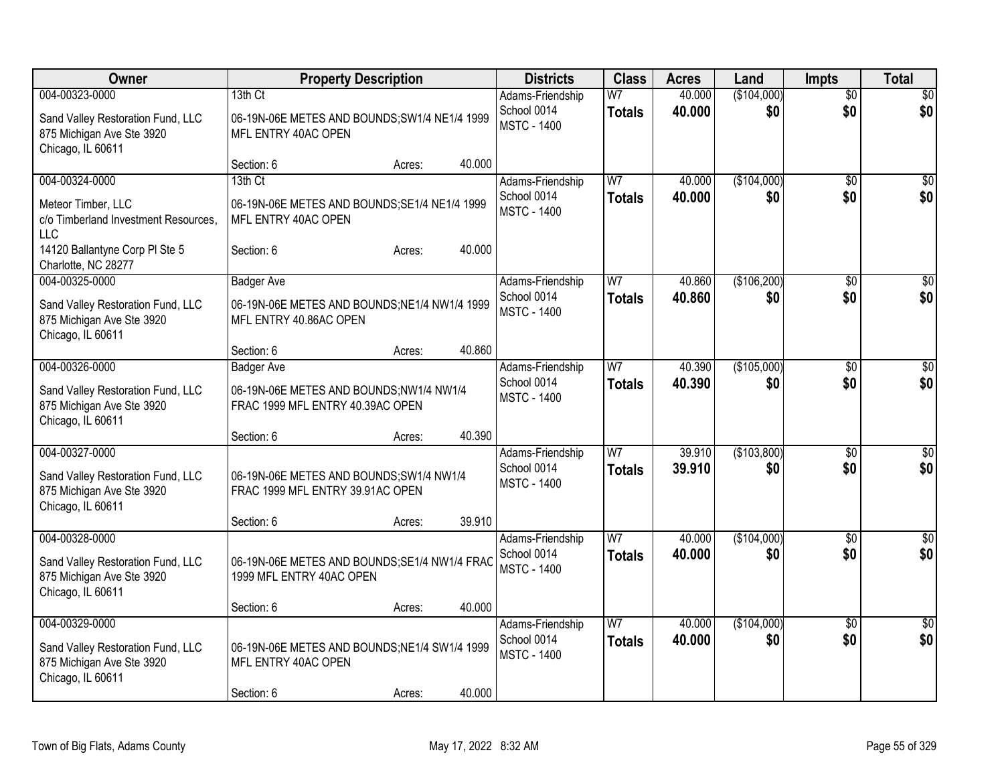| <b>Owner</b>                                                                                                                 | <b>Property Description</b>                                                                             |        | <b>Districts</b>                                      | <b>Class</b>                    | <b>Acres</b>     | Land               | <b>Impts</b>           | <b>Total</b>           |
|------------------------------------------------------------------------------------------------------------------------------|---------------------------------------------------------------------------------------------------------|--------|-------------------------------------------------------|---------------------------------|------------------|--------------------|------------------------|------------------------|
| 004-00323-0000<br>Sand Valley Restoration Fund, LLC<br>875 Michigan Ave Ste 3920<br>Chicago, IL 60611                        | 13th Ct<br>06-19N-06E METES AND BOUNDS; SW1/4 NE1/4 1999<br>MFL ENTRY 40AC OPEN                         |        | Adams-Friendship<br>School 0014<br><b>MSTC - 1400</b> | W <sub>7</sub><br><b>Totals</b> | 40.000<br>40.000 | (\$104,000)<br>\$0 | $\overline{50}$<br>\$0 | \$0<br>\$0             |
|                                                                                                                              | Section: 6<br>Acres:                                                                                    | 40.000 |                                                       |                                 |                  |                    |                        |                        |
| 004-00324-0000<br>Meteor Timber, LLC<br>c/o Timberland Investment Resources,<br><b>LLC</b><br>14120 Ballantyne Corp PI Ste 5 | 13th Ct<br>06-19N-06E METES AND BOUNDS; SE1/4 NE1/4 1999<br>MFL ENTRY 40AC OPEN<br>Section: 6<br>Acres: | 40.000 | Adams-Friendship<br>School 0014<br><b>MSTC - 1400</b> | W <sub>7</sub><br><b>Totals</b> | 40.000<br>40.000 | (\$104,000)<br>\$0 | $\sqrt{6}$<br>\$0      | \$0<br>\$0             |
| Charlotte, NC 28277                                                                                                          |                                                                                                         |        |                                                       |                                 |                  |                    |                        |                        |
| 004-00325-0000<br>Sand Valley Restoration Fund, LLC<br>875 Michigan Ave Ste 3920<br>Chicago, IL 60611                        | <b>Badger Ave</b><br>06-19N-06E METES AND BOUNDS; NE1/4 NW1/4 1999<br>MFL ENTRY 40.86AC OPEN            |        | Adams-Friendship<br>School 0014<br><b>MSTC - 1400</b> | W <sub>7</sub><br><b>Totals</b> | 40.860<br>40.860 | (\$106,200)<br>\$0 | $\sqrt{6}$<br>\$0      | \$0<br>\$0             |
|                                                                                                                              | Section: 6<br>Acres:                                                                                    | 40.860 |                                                       |                                 |                  |                    |                        |                        |
| 004-00326-0000<br>Sand Valley Restoration Fund, LLC<br>875 Michigan Ave Ste 3920<br>Chicago, IL 60611                        | <b>Badger Ave</b><br>06-19N-06E METES AND BOUNDS;NW1/4 NW1/4<br>FRAC 1999 MFL ENTRY 40.39AC OPEN        |        | Adams-Friendship<br>School 0014<br><b>MSTC - 1400</b> | W <sub>7</sub><br><b>Totals</b> | 40.390<br>40,390 | (\$105,000)<br>\$0 | \$0<br>\$0             | $\overline{30}$<br>\$0 |
|                                                                                                                              | Section: 6<br>Acres:                                                                                    | 40.390 |                                                       |                                 |                  |                    |                        |                        |
| 004-00327-0000<br>Sand Valley Restoration Fund, LLC<br>875 Michigan Ave Ste 3920<br>Chicago, IL 60611                        | 06-19N-06E METES AND BOUNDS; SW1/4 NW1/4<br>FRAC 1999 MFL ENTRY 39.91AC OPEN<br>Section: 6<br>Acres:    | 39.910 | Adams-Friendship<br>School 0014<br><b>MSTC - 1400</b> | W <sub>7</sub><br><b>Totals</b> | 39.910<br>39.910 | (\$103,800)<br>\$0 | $\sqrt{6}$<br>\$0      | \$0<br>\$0             |
| 004-00328-0000                                                                                                               |                                                                                                         |        | Adams-Friendship                                      | W <sub>7</sub>                  | 40.000           | (\$104,000)        | \$0                    | $\sqrt{30}$            |
| Sand Valley Restoration Fund, LLC<br>875 Michigan Ave Ste 3920<br>Chicago, IL 60611                                          | 06-19N-06E METES AND BOUNDS; SE1/4 NW1/4 FRAC<br>1999 MFL ENTRY 40AC OPEN                               |        | School 0014<br><b>MSTC - 1400</b>                     | <b>Totals</b>                   | 40.000           | \$0                | \$0                    | \$0                    |
|                                                                                                                              | Section: 6<br>Acres:                                                                                    | 40.000 |                                                       |                                 |                  |                    |                        |                        |
| 004-00329-0000<br>Sand Valley Restoration Fund, LLC<br>875 Michigan Ave Ste 3920<br>Chicago, IL 60611                        | 06-19N-06E METES AND BOUNDS; NE1/4 SW1/4 1999<br>MFL ENTRY 40AC OPEN<br>Section: 6                      | 40.000 | Adams-Friendship<br>School 0014<br><b>MSTC - 1400</b> | $\overline{W}$<br><b>Totals</b> | 40.000<br>40.000 | (\$104,000)<br>\$0 | $\overline{50}$<br>\$0 | $\sqrt{30}$<br>\$0     |
|                                                                                                                              | Acres:                                                                                                  |        |                                                       |                                 |                  |                    |                        |                        |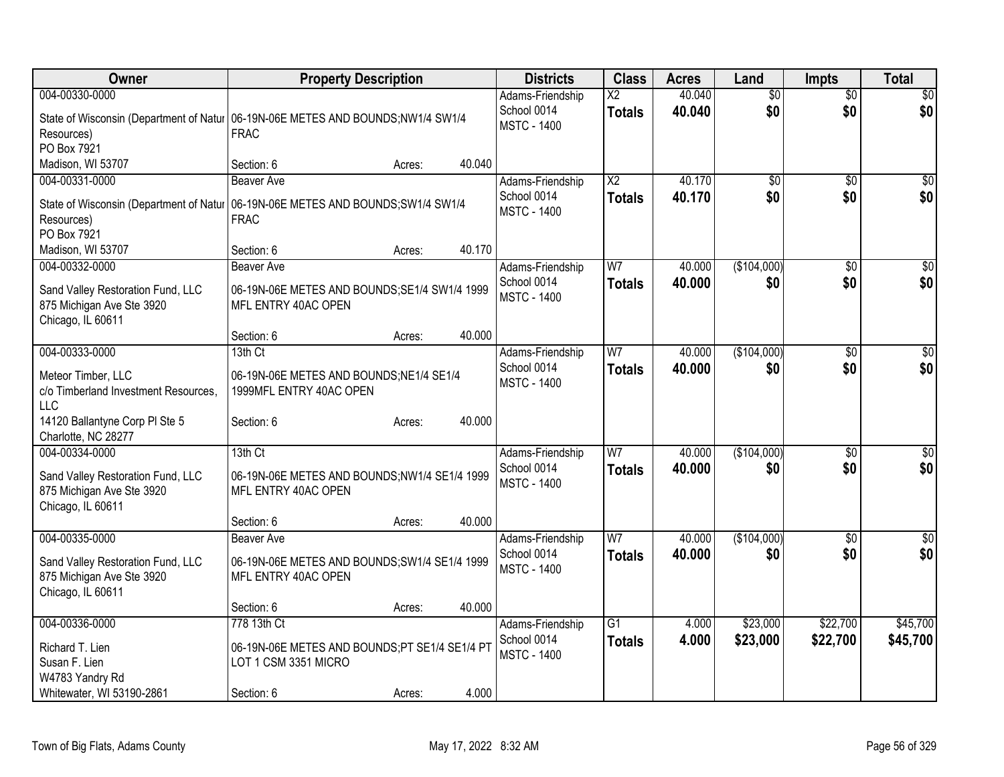| Owner                                                                                                 | <b>Property Description</b>                                                                                            | <b>Districts</b>                                      | <b>Class</b>                     | <b>Acres</b>     | Land                   | <b>Impts</b>           | <b>Total</b>           |
|-------------------------------------------------------------------------------------------------------|------------------------------------------------------------------------------------------------------------------------|-------------------------------------------------------|----------------------------------|------------------|------------------------|------------------------|------------------------|
| 004-00330-0000<br>Resources)<br>PO Box 7921                                                           | State of Wisconsin (Department of Natur   06-19N-06E METES AND BOUNDS;NW1/4 SW1/4<br><b>FRAC</b>                       | Adams-Friendship<br>School 0014<br><b>MSTC - 1400</b> | $\overline{X2}$<br><b>Totals</b> | 40.040<br>40.040 | $\overline{50}$<br>\$0 | $\overline{50}$<br>\$0 | \$0<br>\$0             |
| Madison, WI 53707                                                                                     | 40.040<br>Section: 6<br>Acres:                                                                                         |                                                       |                                  |                  |                        |                        |                        |
| 004-00331-0000<br>Resources)<br>PO Box 7921                                                           | <b>Beaver Ave</b><br>State of Wisconsin (Department of Natur   06-19N-06E METES AND BOUNDS; SW1/4 SW1/4<br><b>FRAC</b> | Adams-Friendship<br>School 0014<br><b>MSTC - 1400</b> | $\overline{X2}$<br><b>Totals</b> | 40.170<br>40.170 | \$0<br>\$0             | \$0<br>\$0             | $\overline{30}$<br>\$0 |
| Madison, WI 53707                                                                                     | 40.170<br>Section: 6<br>Acres:                                                                                         |                                                       |                                  |                  |                        |                        |                        |
| 004-00332-0000<br>Sand Valley Restoration Fund, LLC<br>875 Michigan Ave Ste 3920<br>Chicago, IL 60611 | <b>Beaver Ave</b><br>06-19N-06E METES AND BOUNDS; SE1/4 SW1/4 1999<br>MFL ENTRY 40AC OPEN                              | Adams-Friendship<br>School 0014<br><b>MSTC - 1400</b> | W <sub>7</sub><br><b>Totals</b>  | 40.000<br>40.000 | (\$104,000)<br>\$0     | \$0<br>\$0             | $\overline{50}$<br>\$0 |
|                                                                                                       | 40.000<br>Section: 6<br>Acres:                                                                                         |                                                       |                                  |                  |                        |                        |                        |
| 004-00333-0000<br>Meteor Timber, LLC<br>c/o Timberland Investment Resources,<br><b>LLC</b>            | 13th Ct<br>06-19N-06E METES AND BOUNDS;NE1/4 SE1/4<br>1999MFL ENTRY 40AC OPEN                                          | Adams-Friendship<br>School 0014<br><b>MSTC - 1400</b> | W <sub>7</sub><br><b>Totals</b>  | 40.000<br>40.000 | (\$104,000)<br>\$0     | $\overline{50}$<br>\$0 | \$0<br>\$0             |
| 14120 Ballantyne Corp PI Ste 5<br>Charlotte, NC 28277                                                 | 40.000<br>Section: 6<br>Acres:                                                                                         |                                                       |                                  |                  |                        |                        |                        |
| 004-00334-0000<br>Sand Valley Restoration Fund, LLC<br>875 Michigan Ave Ste 3920<br>Chicago, IL 60611 | 13th Ct<br>06-19N-06E METES AND BOUNDS;NW1/4 SE1/4 1999<br>MFL ENTRY 40AC OPEN                                         | Adams-Friendship<br>School 0014<br><b>MSTC - 1400</b> | W <sub>7</sub><br><b>Totals</b>  | 40.000<br>40.000 | (\$104,000)<br>\$0     | $\sqrt{6}$<br>\$0      | \$0<br>\$0             |
|                                                                                                       | 40.000<br>Section: 6<br>Acres:                                                                                         |                                                       |                                  |                  |                        |                        |                        |
| 004-00335-0000<br>Sand Valley Restoration Fund, LLC<br>875 Michigan Ave Ste 3920<br>Chicago, IL 60611 | <b>Beaver Ave</b><br>06-19N-06E METES AND BOUNDS; SW1/4 SE1/4 1999<br>MFL ENTRY 40AC OPEN                              | Adams-Friendship<br>School 0014<br><b>MSTC - 1400</b> | W <sub>7</sub><br><b>Totals</b>  | 40.000<br>40.000 | (\$104,000)<br>\$0     | $\overline{50}$<br>\$0 | $\overline{50}$<br>\$0 |
|                                                                                                       | 40.000<br>Section: 6<br>Acres:                                                                                         |                                                       |                                  |                  |                        |                        |                        |
| 004-00336-0000<br>Richard T. Lien<br>Susan F. Lien<br>W4783 Yandry Rd<br>Whitewater, WI 53190-2861    | 778 13th Ct<br>06-19N-06E METES AND BOUNDS;PT SE1/4 SE1/4 PT<br>LOT 1 CSM 3351 MICRO<br>4.000<br>Section: 6<br>Acres:  | Adams-Friendship<br>School 0014<br><b>MSTC - 1400</b> | $\overline{G1}$<br><b>Totals</b> | 4.000<br>4.000   | \$23,000<br>\$23,000   | \$22,700<br>\$22,700   | \$45,700<br>\$45,700   |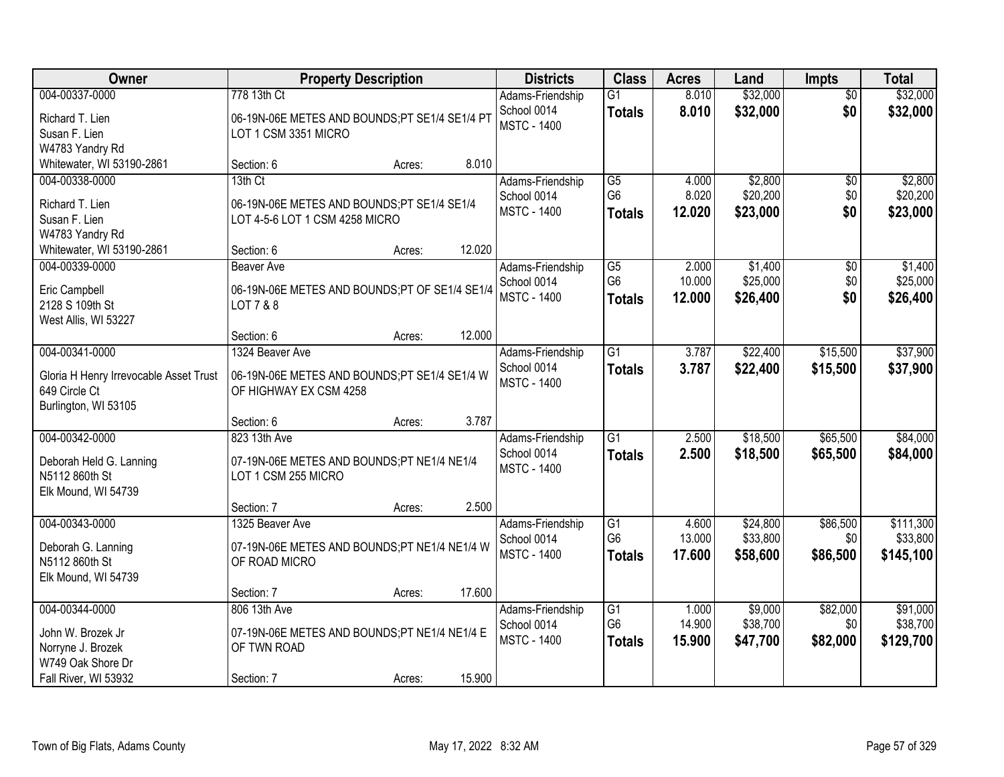| Owner                                                                                                 | <b>Property Description</b>                                                               |                  | <b>Districts</b>                                      | <b>Class</b>                                       | <b>Acres</b>              | Land                             | Impts                         | <b>Total</b>                       |
|-------------------------------------------------------------------------------------------------------|-------------------------------------------------------------------------------------------|------------------|-------------------------------------------------------|----------------------------------------------------|---------------------------|----------------------------------|-------------------------------|------------------------------------|
| 004-00337-0000<br>Richard T. Lien<br>Susan F. Lien<br>W4783 Yandry Rd                                 | 778 13th Ct<br>06-19N-06E METES AND BOUNDS;PT SE1/4 SE1/4 PT<br>LOT 1 CSM 3351 MICRO      |                  | Adams-Friendship<br>School 0014<br><b>MSTC - 1400</b> | $\overline{G1}$<br><b>Totals</b>                   | 8.010<br>8.010            | \$32,000<br>\$32,000             | $\overline{50}$<br>\$0        | \$32,000<br>\$32,000               |
| Whitewater, WI 53190-2861                                                                             | Section: 6                                                                                | 8.010<br>Acres:  |                                                       |                                                    |                           |                                  |                               |                                    |
| 004-00338-0000<br>Richard T. Lien<br>Susan F. Lien<br>W4783 Yandry Rd                                 | 13th Ct<br>06-19N-06E METES AND BOUNDS;PT SE1/4 SE1/4<br>LOT 4-5-6 LOT 1 CSM 4258 MICRO   |                  | Adams-Friendship<br>School 0014<br><b>MSTC - 1400</b> | G5<br>G <sub>6</sub><br><b>Totals</b>              | 4.000<br>8.020<br>12.020  | \$2,800<br>\$20,200<br>\$23,000  | \$0<br>\$0<br>\$0             | \$2,800<br>\$20,200<br>\$23,000    |
| Whitewater, WI 53190-2861                                                                             | Section: 6                                                                                | 12.020<br>Acres: |                                                       |                                                    |                           |                                  |                               |                                    |
| 004-00339-0000<br>Eric Campbell<br>2128 S 109th St<br>West Allis, WI 53227                            | <b>Beaver Ave</b><br>06-19N-06E METES AND BOUNDS;PT OF SE1/4 SE1/4<br>LOT 7 & 8           |                  | Adams-Friendship<br>School 0014<br><b>MSTC - 1400</b> | G5<br>G <sub>6</sub><br><b>Totals</b>              | 2.000<br>10.000<br>12.000 | \$1,400<br>\$25,000<br>\$26,400  | $\overline{50}$<br>\$0<br>\$0 | \$1,400<br>\$25,000<br>\$26,400    |
|                                                                                                       | Section: 6                                                                                | 12.000<br>Acres: |                                                       |                                                    |                           |                                  |                               |                                    |
| 004-00341-0000<br>Gloria H Henry Irrevocable Asset Trust<br>649 Circle Ct<br>Burlington, WI 53105     | 1324 Beaver Ave<br>06-19N-06E METES AND BOUNDS;PT SE1/4 SE1/4 W<br>OF HIGHWAY EX CSM 4258 |                  | Adams-Friendship<br>School 0014<br><b>MSTC - 1400</b> | $\overline{G1}$<br><b>Totals</b>                   | 3.787<br>3.787            | \$22,400<br>\$22,400             | \$15,500<br>\$15,500          | \$37,900<br>\$37,900               |
|                                                                                                       | Section: 6                                                                                | 3.787<br>Acres:  |                                                       |                                                    |                           |                                  |                               |                                    |
| 004-00342-0000<br>Deborah Held G. Lanning<br>N5112 860th St<br>Elk Mound, WI 54739                    | 823 13th Ave<br>07-19N-06E METES AND BOUNDS;PT NE1/4 NE1/4<br>LOT 1 CSM 255 MICRO         |                  | Adams-Friendship<br>School 0014<br><b>MSTC - 1400</b> | $\overline{G1}$<br><b>Totals</b>                   | 2.500<br>2.500            | \$18,500<br>\$18,500             | \$65,500<br>\$65,500          | \$84,000<br>\$84,000               |
|                                                                                                       | Section: 7                                                                                | 2.500<br>Acres:  |                                                       |                                                    |                           |                                  |                               |                                    |
| 004-00343-0000<br>Deborah G. Lanning<br>N5112 860th St<br>Elk Mound, WI 54739                         | 1325 Beaver Ave<br>07-19N-06E METES AND BOUNDS;PT NE1/4 NE1/4 W<br>OF ROAD MICRO          |                  | Adams-Friendship<br>School 0014<br><b>MSTC - 1400</b> | G1<br>G <sub>6</sub><br><b>Totals</b>              | 4.600<br>13.000<br>17.600 | \$24,800<br>\$33,800<br>\$58,600 | \$86,500<br>\$0<br>\$86,500   | \$111,300<br>\$33,800<br>\$145,100 |
|                                                                                                       | Section: 7                                                                                | 17.600<br>Acres: |                                                       |                                                    |                           |                                  |                               |                                    |
| 004-00344-0000<br>John W. Brozek Jr<br>Norryne J. Brozek<br>W749 Oak Shore Dr<br>Fall River, WI 53932 | 806 13th Ave<br>07-19N-06E METES AND BOUNDS;PT NE1/4 NE1/4 E<br>OF TWN ROAD<br>Section: 7 | 15.900<br>Acres: | Adams-Friendship<br>School 0014<br><b>MSTC - 1400</b> | $\overline{G1}$<br>G <sub>6</sub><br><b>Totals</b> | 1.000<br>14.900<br>15.900 | \$9,000<br>\$38,700<br>\$47,700  | \$82,000<br>\$0<br>\$82,000   | \$91,000<br>\$38,700<br>\$129,700  |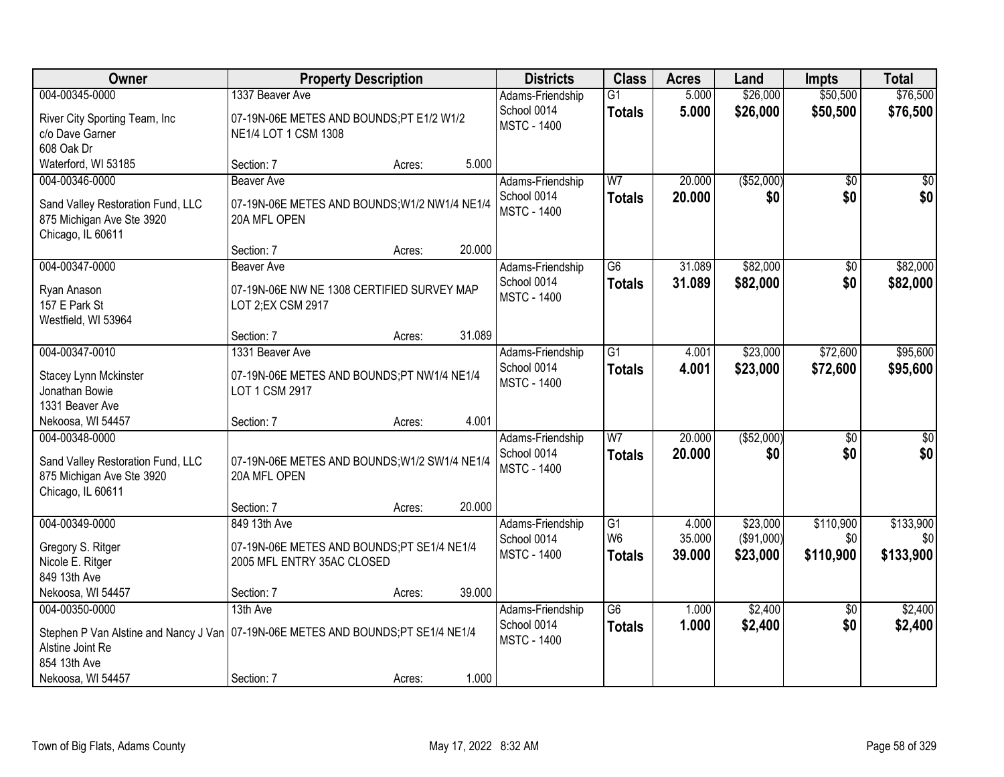| Owner                                                                                                                  |                                                                             | <b>Property Description</b> |        | <b>Districts</b>                                      | <b>Class</b>                     | <b>Acres</b>     | Land                   | <b>Impts</b>           | <b>Total</b>         |
|------------------------------------------------------------------------------------------------------------------------|-----------------------------------------------------------------------------|-----------------------------|--------|-------------------------------------------------------|----------------------------------|------------------|------------------------|------------------------|----------------------|
| 004-00345-0000<br>River City Sporting Team, Inc.                                                                       | 1337 Beaver Ave<br>07-19N-06E METES AND BOUNDS;PT E1/2 W1/2                 |                             |        | Adams-Friendship<br>School 0014<br><b>MSTC - 1400</b> | $\overline{G1}$<br><b>Totals</b> | 5.000<br>5.000   | \$26,000<br>\$26,000   | \$50,500<br>\$50,500   | \$76,500<br>\$76,500 |
| c/o Dave Garner<br>608 Oak Dr                                                                                          | NE1/4 LOT 1 CSM 1308                                                        |                             |        |                                                       |                                  |                  |                        |                        |                      |
| Waterford, WI 53185                                                                                                    | Section: 7                                                                  | Acres:                      | 5.000  |                                                       |                                  |                  |                        |                        |                      |
| 004-00346-0000<br>Sand Valley Restoration Fund, LLC<br>875 Michigan Ave Ste 3920<br>Chicago, IL 60611                  | Beaver Ave<br>07-19N-06E METES AND BOUNDS; W1/2 NW1/4 NE1/4<br>20A MFL OPEN |                             |        | Adams-Friendship<br>School 0014<br><b>MSTC - 1400</b> | W <sub>7</sub><br><b>Totals</b>  | 20.000<br>20.000 | ( \$52,000)<br>\$0     | $\overline{50}$<br>\$0 | \$0<br>\$0           |
|                                                                                                                        | Section: 7                                                                  | Acres:                      | 20.000 |                                                       |                                  |                  |                        |                        |                      |
| 004-00347-0000                                                                                                         | <b>Beaver Ave</b>                                                           |                             |        | Adams-Friendship                                      | G6                               | 31.089           | \$82,000               | \$0                    | \$82,000             |
| Ryan Anason<br>157 E Park St<br>Westfield, WI 53964                                                                    | 07-19N-06E NW NE 1308 CERTIFIED SURVEY MAP<br>LOT 2;EX CSM 2917             |                             |        | School 0014<br><b>MSTC - 1400</b>                     | <b>Totals</b>                    | 31.089           | \$82,000               | \$0                    | \$82,000             |
|                                                                                                                        | Section: 7                                                                  | Acres:                      | 31.089 |                                                       |                                  |                  |                        |                        |                      |
| 004-00347-0010                                                                                                         | 1331 Beaver Ave                                                             |                             |        | Adams-Friendship                                      | $\overline{G1}$                  | 4.001            | \$23,000               | \$72,600               | \$95,600             |
| Stacey Lynn Mckinster<br>Jonathan Bowie<br>1331 Beaver Ave                                                             | 07-19N-06E METES AND BOUNDS;PT NW1/4 NE1/4<br>LOT 1 CSM 2917                |                             |        | School 0014<br><b>MSTC - 1400</b>                     | <b>Totals</b>                    | 4.001            | \$23,000               | \$72,600               | \$95,600             |
| Nekoosa, WI 54457                                                                                                      | Section: 7                                                                  | Acres:                      | 4.001  |                                                       |                                  |                  |                        |                        |                      |
| 004-00348-0000<br>Sand Valley Restoration Fund, LLC<br>875 Michigan Ave Ste 3920                                       | 07-19N-06E METES AND BOUNDS; W1/2 SW1/4 NE1/4<br>20A MFL OPEN               |                             |        | Adams-Friendship<br>School 0014<br><b>MSTC - 1400</b> | $\overline{W}$<br><b>Totals</b>  | 20.000<br>20,000 | ( \$52,000)<br>\$0     | \$0<br>\$0             | \$0<br>\$0           |
| Chicago, IL 60611                                                                                                      |                                                                             |                             |        |                                                       |                                  |                  |                        |                        |                      |
|                                                                                                                        | Section: 7                                                                  | Acres:                      | 20.000 |                                                       |                                  |                  |                        |                        |                      |
| 004-00349-0000                                                                                                         | 849 13th Ave                                                                |                             |        | Adams-Friendship                                      | G1                               | 4.000            | \$23,000               | \$110,900              | \$133,900            |
| Gregory S. Ritger<br>Nicole E. Ritger<br>849 13th Ave                                                                  | 07-19N-06E METES AND BOUNDS;PT SE1/4 NE1/4<br>2005 MFL ENTRY 35AC CLOSED    |                             |        | School 0014<br><b>MSTC - 1400</b>                     | W <sub>6</sub><br><b>Totals</b>  | 35.000<br>39.000 | (\$91,000)<br>\$23,000 | \$0<br>\$110,900       | \$0<br>\$133,900     |
| Nekoosa, WI 54457                                                                                                      | Section: 7                                                                  | Acres:                      | 39.000 |                                                       |                                  |                  |                        |                        |                      |
| 004-00350-0000                                                                                                         | 13th Ave                                                                    |                             |        | Adams-Friendship                                      | $\overline{G6}$                  | 1.000            | \$2,400                | $\overline{50}$        | \$2,400              |
| Stephen P Van Alstine and Nancy J Van   07-19N-06E METES AND BOUNDS;PT SE1/4 NE1/4<br>Alstine Joint Re<br>854 13th Ave |                                                                             |                             |        | School 0014<br><b>MSTC - 1400</b>                     | <b>Totals</b>                    | 1.000            | \$2,400                | \$0                    | \$2,400              |
| Nekoosa, WI 54457                                                                                                      | Section: 7                                                                  | Acres:                      | 1.000  |                                                       |                                  |                  |                        |                        |                      |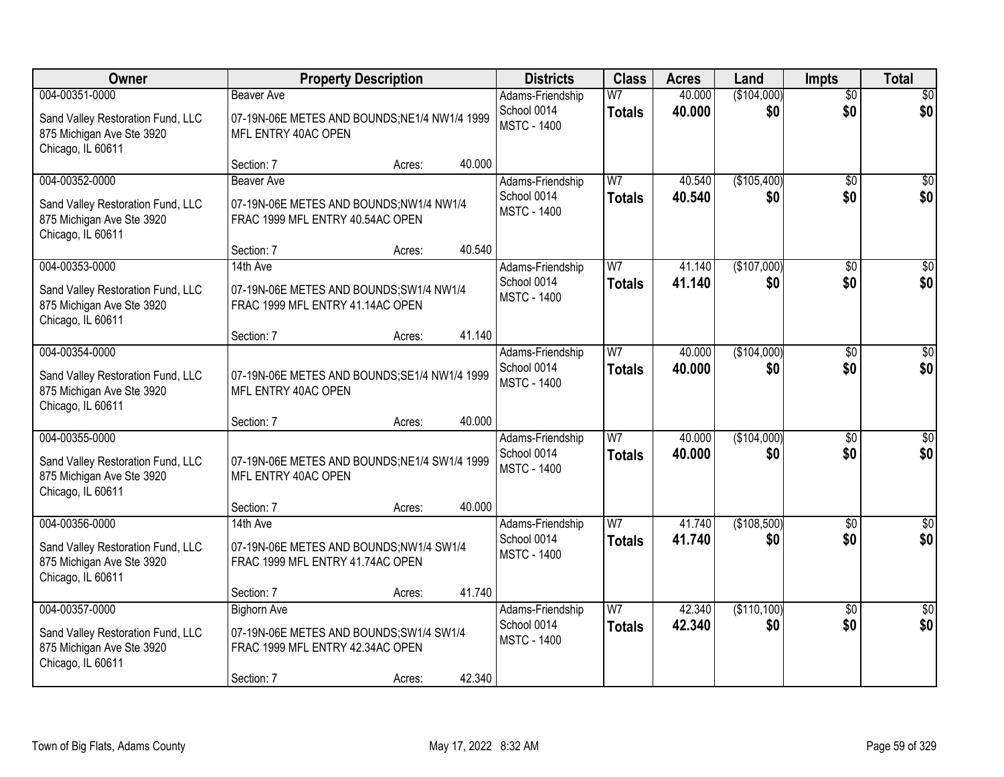| Owner                                                                                                 |                                                                                                                 | <b>Property Description</b> |        | <b>Districts</b>                                      | <b>Class</b>                    | <b>Acres</b>     | Land               | <b>Impts</b>           | <b>Total</b>           |
|-------------------------------------------------------------------------------------------------------|-----------------------------------------------------------------------------------------------------------------|-----------------------------|--------|-------------------------------------------------------|---------------------------------|------------------|--------------------|------------------------|------------------------|
| 004-00351-0000<br>Sand Valley Restoration Fund, LLC<br>875 Michigan Ave Ste 3920<br>Chicago, IL 60611 | <b>Beaver Ave</b><br>07-19N-06E METES AND BOUNDS;NE1/4 NW1/4 1999<br>MFL ENTRY 40AC OPEN                        |                             |        | Adams-Friendship<br>School 0014<br><b>MSTC - 1400</b> | W <sub>7</sub><br><b>Totals</b> | 40.000<br>40.000 | (\$104,000)<br>\$0 | $\overline{50}$<br>\$0 | \$0<br>\$0             |
|                                                                                                       | Section: 7                                                                                                      | Acres:                      | 40.000 |                                                       |                                 |                  |                    |                        |                        |
| 004-00352-0000<br>Sand Valley Restoration Fund, LLC<br>875 Michigan Ave Ste 3920<br>Chicago, IL 60611 | Beaver Ave<br>07-19N-06E METES AND BOUNDS;NW1/4 NW1/4<br>FRAC 1999 MFL ENTRY 40.54AC OPEN                       |                             |        | Adams-Friendship<br>School 0014<br><b>MSTC - 1400</b> | W <sub>7</sub><br><b>Totals</b> | 40.540<br>40.540 | (\$105,400)<br>\$0 | \$0<br>\$0             | \$0<br>\$0             |
| 004-00353-0000                                                                                        | Section: 7<br>14th Ave                                                                                          | Acres:                      | 40.540 |                                                       | W <sub>7</sub>                  | 41.140           | (\$107,000)        |                        | $\overline{30}$        |
| Sand Valley Restoration Fund, LLC<br>875 Michigan Ave Ste 3920<br>Chicago, IL 60611                   | 07-19N-06E METES AND BOUNDS; SW1/4 NW1/4<br>FRAC 1999 MFL ENTRY 41.14AC OPEN                                    |                             |        | Adams-Friendship<br>School 0014<br><b>MSTC - 1400</b> | <b>Totals</b>                   | 41.140           | \$0                | \$0<br>\$0             | \$0                    |
|                                                                                                       | Section: 7                                                                                                      | Acres:                      | 41.140 |                                                       |                                 |                  |                    |                        |                        |
| 004-00354-0000<br>Sand Valley Restoration Fund, LLC<br>875 Michigan Ave Ste 3920<br>Chicago, IL 60611 | 07-19N-06E METES AND BOUNDS;SE1/4 NW1/4 1999<br>MFL ENTRY 40AC OPEN                                             |                             |        | Adams-Friendship<br>School 0014<br><b>MSTC - 1400</b> | W <sub>7</sub><br><b>Totals</b> | 40.000<br>40.000 | (\$104,000)<br>\$0 | $\sqrt[6]{3}$<br>\$0   | $\sqrt{50}$<br>\$0     |
|                                                                                                       | Section: 7                                                                                                      | Acres:                      | 40.000 |                                                       |                                 |                  |                    |                        |                        |
| 004-00355-0000<br>Sand Valley Restoration Fund, LLC<br>875 Michigan Ave Ste 3920<br>Chicago, IL 60611 | 07-19N-06E METES AND BOUNDS;NE1/4 SW1/4 1999<br>MFL ENTRY 40AC OPEN                                             |                             |        | Adams-Friendship<br>School 0014<br><b>MSTC - 1400</b> | W7<br><b>Totals</b>             | 40.000<br>40.000 | (\$104,000)<br>\$0 | $\overline{50}$<br>\$0 | $\overline{50}$<br>\$0 |
|                                                                                                       | Section: 7                                                                                                      | Acres:                      | 40.000 |                                                       |                                 |                  |                    |                        |                        |
| 004-00356-0000<br>Sand Valley Restoration Fund, LLC<br>875 Michigan Ave Ste 3920<br>Chicago, IL 60611 | 14th Ave<br>07-19N-06E METES AND BOUNDS;NW1/4 SW1/4<br>FRAC 1999 MFL ENTRY 41.74AC OPEN                         |                             |        | Adams-Friendship<br>School 0014<br><b>MSTC - 1400</b> | W <sub>7</sub><br><b>Totals</b> | 41.740<br>41.740 | (\$108,500)<br>\$0 | \$0<br>\$0             | \$0<br>\$0             |
|                                                                                                       | Section: 7                                                                                                      | Acres:                      | 41.740 |                                                       |                                 |                  |                    |                        |                        |
| 004-00357-0000<br>Sand Valley Restoration Fund, LLC<br>875 Michigan Ave Ste 3920<br>Chicago, IL 60611 | <b>Bighorn Ave</b><br>07-19N-06E METES AND BOUNDS;SW1/4 SW1/4<br>FRAC 1999 MFL ENTRY 42.34AC OPEN<br>Section: 7 | Acres:                      | 42.340 | Adams-Friendship<br>School 0014<br><b>MSTC - 1400</b> | W <sub>7</sub><br><b>Totals</b> | 42.340<br>42.340 | (\$110,100)<br>\$0 | $\overline{30}$<br>\$0 | $\overline{50}$<br>\$0 |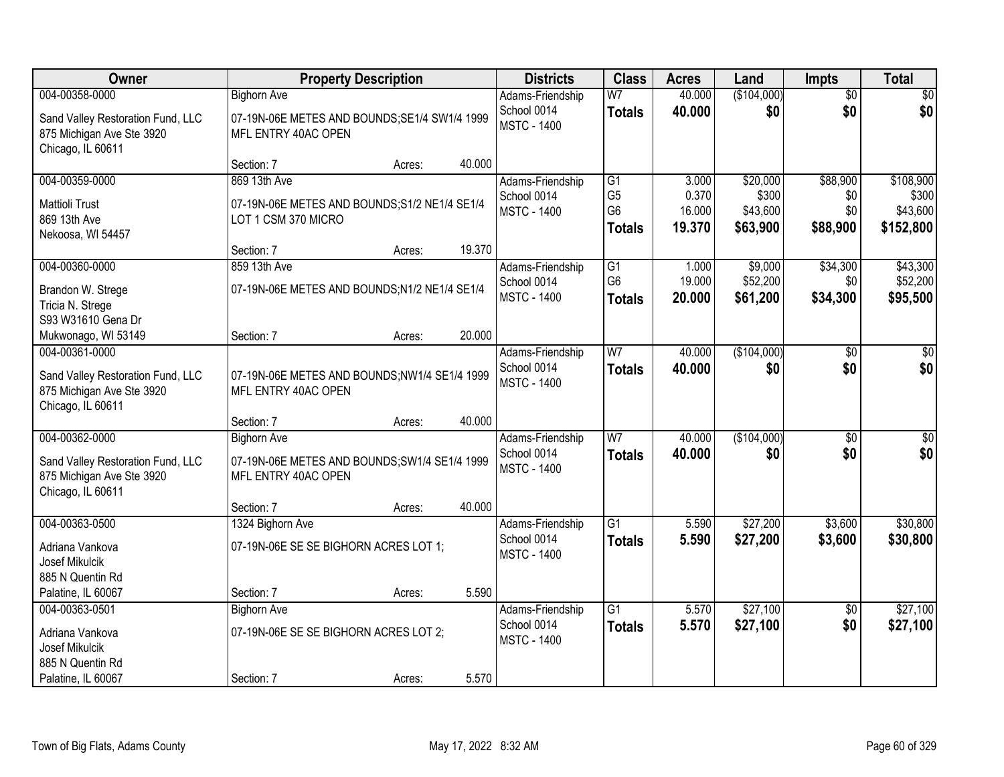| Owner                                                                               |                                                                      | <b>Property Description</b> |        | <b>Districts</b>                  | <b>Class</b>                     | <b>Acres</b>    | Land                | <b>Impts</b>    | <b>Total</b>         |
|-------------------------------------------------------------------------------------|----------------------------------------------------------------------|-----------------------------|--------|-----------------------------------|----------------------------------|-----------------|---------------------|-----------------|----------------------|
| 004-00358-0000                                                                      | <b>Bighorn Ave</b>                                                   |                             |        | Adams-Friendship                  | W <sub>7</sub>                   | 40.000          | (\$104,000)         | $\overline{50}$ | $\sqrt{50}$          |
| Sand Valley Restoration Fund, LLC<br>875 Michigan Ave Ste 3920<br>Chicago, IL 60611 | 07-19N-06E METES AND BOUNDS; SE1/4 SW1/4 1999<br>MFL ENTRY 40AC OPEN |                             |        | School 0014<br><b>MSTC - 1400</b> | <b>Totals</b>                    | 40.000          | \$0                 | \$0             | \$0                  |
|                                                                                     | Section: 7                                                           | Acres:                      | 40.000 |                                   |                                  |                 |                     |                 |                      |
| 004-00359-0000                                                                      | 869 13th Ave                                                         |                             |        | Adams-Friendship                  | G1                               | 3.000           | \$20,000            | \$88,900        | \$108,900            |
| <b>Mattioli Trust</b>                                                               | 07-19N-06E METES AND BOUNDS; S1/2 NE1/4 SE1/4                        |                             |        | School 0014                       | G <sub>5</sub><br>G <sub>6</sub> | 0.370<br>16.000 | \$300<br>\$43,600   | \$0<br>\$0      | \$300<br>\$43,600    |
| 869 13th Ave                                                                        | LOT 1 CSM 370 MICRO                                                  |                             |        | <b>MSTC - 1400</b>                | <b>Totals</b>                    | 19.370          | \$63,900            | \$88,900        | \$152,800            |
| Nekoosa, WI 54457                                                                   |                                                                      |                             |        |                                   |                                  |                 |                     |                 |                      |
|                                                                                     | Section: 7                                                           | Acres:                      | 19.370 |                                   |                                  |                 |                     |                 |                      |
| 004-00360-0000                                                                      | 859 13th Ave                                                         |                             |        | Adams-Friendship                  | G1<br>G <sub>6</sub>             | 1.000<br>19.000 | \$9,000<br>\$52,200 | \$34,300<br>\$0 | \$43,300<br>\$52,200 |
| Brandon W. Strege                                                                   | 07-19N-06E METES AND BOUNDS;N1/2 NE1/4 SE1/4                         |                             |        | School 0014<br><b>MSTC - 1400</b> | <b>Totals</b>                    | 20.000          | \$61,200            | \$34,300        | \$95,500             |
| Tricia N. Strege                                                                    |                                                                      |                             |        |                                   |                                  |                 |                     |                 |                      |
| S93 W31610 Gena Dr                                                                  |                                                                      |                             | 20.000 |                                   |                                  |                 |                     |                 |                      |
| Mukwonago, WI 53149<br>004-00361-0000                                               | Section: 7                                                           | Acres:                      |        | Adams-Friendship                  | W <sub>7</sub>                   | 40.000          | (\$104,000)         | \$0             | \$0                  |
|                                                                                     |                                                                      |                             |        | School 0014                       | <b>Totals</b>                    | 40.000          | \$0                 | \$0             | \$0                  |
| Sand Valley Restoration Fund, LLC<br>875 Michigan Ave Ste 3920                      | 07-19N-06E METES AND BOUNDS;NW1/4 SE1/4 1999<br>MFL ENTRY 40AC OPEN  |                             |        | <b>MSTC - 1400</b>                |                                  |                 |                     |                 |                      |
| Chicago, IL 60611                                                                   |                                                                      |                             |        |                                   |                                  |                 |                     |                 |                      |
|                                                                                     | Section: 7                                                           | Acres:                      | 40.000 |                                   |                                  |                 |                     |                 |                      |
| 004-00362-0000                                                                      | <b>Bighorn Ave</b>                                                   |                             |        | Adams-Friendship                  | $\overline{W}$                   | 40.000          | (\$104,000)         | $\overline{50}$ | \$0                  |
| Sand Valley Restoration Fund, LLC                                                   | 07-19N-06E METES AND BOUNDS;SW1/4 SE1/4 1999                         |                             |        | School 0014                       | <b>Totals</b>                    | 40.000          | \$0                 | \$0             | \$0                  |
| 875 Michigan Ave Ste 3920                                                           | MFL ENTRY 40AC OPEN                                                  |                             |        | <b>MSTC - 1400</b>                |                                  |                 |                     |                 |                      |
| Chicago, IL 60611                                                                   |                                                                      |                             |        |                                   |                                  |                 |                     |                 |                      |
|                                                                                     | Section: 7                                                           | Acres:                      | 40.000 |                                   |                                  |                 |                     |                 |                      |
| 004-00363-0500                                                                      | 1324 Bighorn Ave                                                     |                             |        | Adams-Friendship                  | $\overline{G1}$                  | 5.590           | \$27,200            | \$3,600         | \$30,800             |
| Adriana Vankova                                                                     | 07-19N-06E SE SE BIGHORN ACRES LOT 1;                                |                             |        | School 0014                       | <b>Totals</b>                    | 5.590           | \$27,200            | \$3,600         | \$30,800             |
| Josef Mikulcik                                                                      |                                                                      |                             |        | <b>MSTC - 1400</b>                |                                  |                 |                     |                 |                      |
| 885 N Quentin Rd                                                                    |                                                                      |                             |        |                                   |                                  |                 |                     |                 |                      |
| Palatine, IL 60067                                                                  | Section: 7                                                           | Acres:                      | 5.590  |                                   |                                  |                 |                     |                 |                      |
| 004-00363-0501                                                                      | <b>Bighorn Ave</b>                                                   |                             |        | Adams-Friendship<br>School 0014   | $\overline{G1}$                  | 5.570           | \$27,100            | $\overline{50}$ | \$27,100             |
| Adriana Vankova                                                                     | 07-19N-06E SE SE BIGHORN ACRES LOT 2;                                |                             |        | <b>MSTC - 1400</b>                | <b>Totals</b>                    | 5.570           | \$27,100            | \$0             | \$27,100             |
| Josef Mikulcik                                                                      |                                                                      |                             |        |                                   |                                  |                 |                     |                 |                      |
| 885 N Quentin Rd                                                                    |                                                                      |                             |        |                                   |                                  |                 |                     |                 |                      |
| Palatine, IL 60067                                                                  | Section: 7                                                           | Acres:                      | 5.570  |                                   |                                  |                 |                     |                 |                      |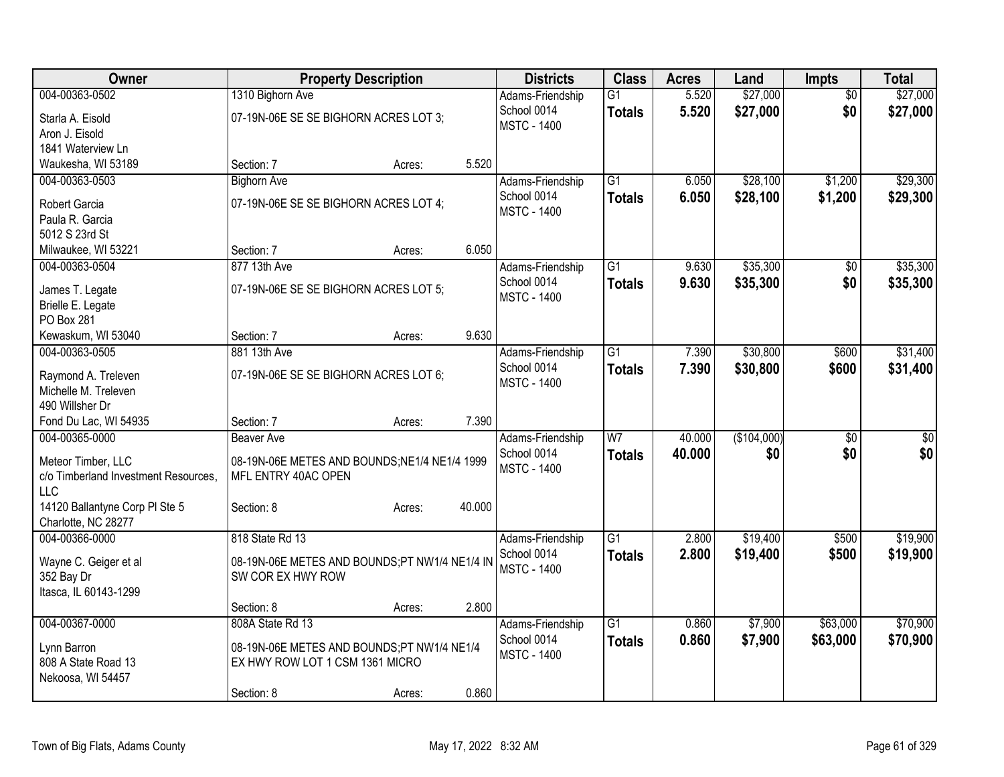| Owner                                |                                               | <b>Property Description</b> |        | <b>Districts</b>                  | <b>Class</b>    | <b>Acres</b> | Land        | <b>Impts</b>    | <b>Total</b>    |
|--------------------------------------|-----------------------------------------------|-----------------------------|--------|-----------------------------------|-----------------|--------------|-------------|-----------------|-----------------|
| 004-00363-0502                       | 1310 Bighorn Ave                              |                             |        | Adams-Friendship                  | $\overline{G1}$ | 5.520        | \$27,000    | $\overline{50}$ | \$27,000        |
| Starla A. Eisold                     | 07-19N-06E SE SE BIGHORN ACRES LOT 3;         |                             |        | School 0014                       | <b>Totals</b>   | 5.520        | \$27,000    | \$0             | \$27,000        |
| Aron J. Eisold                       |                                               |                             |        | <b>MSTC - 1400</b>                |                 |              |             |                 |                 |
| 1841 Waterview Ln                    |                                               |                             |        |                                   |                 |              |             |                 |                 |
| Waukesha, WI 53189                   | Section: 7                                    | Acres:                      | 5.520  |                                   |                 |              |             |                 |                 |
| 004-00363-0503                       | <b>Bighorn Ave</b>                            |                             |        | Adams-Friendship                  | $\overline{G1}$ | 6.050        | \$28,100    | \$1,200         | \$29,300        |
| Robert Garcia                        | 07-19N-06E SE SE BIGHORN ACRES LOT 4;         |                             |        | School 0014                       | <b>Totals</b>   | 6.050        | \$28,100    | \$1,200         | \$29,300        |
| Paula R. Garcia                      |                                               |                             |        | <b>MSTC - 1400</b>                |                 |              |             |                 |                 |
| 5012 S 23rd St                       |                                               |                             |        |                                   |                 |              |             |                 |                 |
| Milwaukee, WI 53221                  | Section: 7                                    | Acres:                      | 6.050  |                                   |                 |              |             |                 |                 |
| 004-00363-0504                       | 877 13th Ave                                  |                             |        | Adams-Friendship                  | $\overline{G1}$ | 9.630        | \$35,300    | \$0             | \$35,300        |
|                                      |                                               |                             |        | School 0014                       | <b>Totals</b>   | 9.630        | \$35,300    | \$0             | \$35,300        |
| James T. Legate                      | 07-19N-06E SE SE BIGHORN ACRES LOT 5;         |                             |        | <b>MSTC - 1400</b>                |                 |              |             |                 |                 |
| Brielle E. Legate                    |                                               |                             |        |                                   |                 |              |             |                 |                 |
| PO Box 281                           |                                               |                             | 9.630  |                                   |                 |              |             |                 |                 |
| Kewaskum, WI 53040                   | Section: 7<br>881 13th Ave                    | Acres:                      |        |                                   | $\overline{G1}$ |              | \$30,800    |                 |                 |
| 004-00363-0505                       |                                               |                             |        | Adams-Friendship                  |                 | 7.390        |             | \$600           | \$31,400        |
| Raymond A. Treleven                  | 07-19N-06E SE SE BIGHORN ACRES LOT 6;         |                             |        | School 0014<br><b>MSTC - 1400</b> | <b>Totals</b>   | 7.390        | \$30,800    | \$600           | \$31,400        |
| Michelle M. Treleven                 |                                               |                             |        |                                   |                 |              |             |                 |                 |
| 490 Willsher Dr                      |                                               |                             |        |                                   |                 |              |             |                 |                 |
| Fond Du Lac, WI 54935                | Section: 7                                    | Acres:                      | 7.390  |                                   |                 |              |             |                 |                 |
| 004-00365-0000                       | <b>Beaver Ave</b>                             |                             |        | Adams-Friendship                  | W <sub>7</sub>  | 40.000       | (\$104,000) | $\overline{50}$ | $\overline{50}$ |
| Meteor Timber, LLC                   | 08-19N-06E METES AND BOUNDS; NE1/4 NE1/4 1999 |                             |        | School 0014                       | <b>Totals</b>   | 40.000       | \$0         | \$0             | \$0             |
| c/o Timberland Investment Resources, | MFL ENTRY 40AC OPEN                           |                             |        | <b>MSTC - 1400</b>                |                 |              |             |                 |                 |
| <b>LLC</b>                           |                                               |                             |        |                                   |                 |              |             |                 |                 |
| 14120 Ballantyne Corp PI Ste 5       | Section: 8                                    | Acres:                      | 40.000 |                                   |                 |              |             |                 |                 |
| Charlotte, NC 28277                  |                                               |                             |        |                                   |                 |              |             |                 |                 |
| 004-00366-0000                       | 818 State Rd 13                               |                             |        | Adams-Friendship                  | $\overline{G1}$ | 2.800        | \$19,400    | \$500           | \$19,900        |
| Wayne C. Geiger et al                | 08-19N-06E METES AND BOUNDS;PT NW1/4 NE1/4 IN |                             |        | School 0014                       | <b>Totals</b>   | 2.800        | \$19,400    | \$500           | \$19,900        |
| 352 Bay Dr                           | SW COR EX HWY ROW                             |                             |        | <b>MSTC - 1400</b>                |                 |              |             |                 |                 |
| Itasca, IL 60143-1299                |                                               |                             |        |                                   |                 |              |             |                 |                 |
|                                      | Section: 8                                    | Acres:                      | 2.800  |                                   |                 |              |             |                 |                 |
| 004-00367-0000                       | 808A State Rd 13                              |                             |        | Adams-Friendship                  | $\overline{G1}$ | 0.860        | \$7,900     | \$63,000        | \$70,900        |
|                                      |                                               |                             |        | School 0014                       | <b>Totals</b>   | 0.860        | \$7,900     | \$63,000        | \$70,900        |
| Lynn Barron                          | 08-19N-06E METES AND BOUNDS;PT NW1/4 NE1/4    |                             |        | <b>MSTC - 1400</b>                |                 |              |             |                 |                 |
| 808 A State Road 13                  | EX HWY ROW LOT 1 CSM 1361 MICRO               |                             |        |                                   |                 |              |             |                 |                 |
| Nekoosa, WI 54457                    |                                               |                             |        |                                   |                 |              |             |                 |                 |
|                                      | Section: 8                                    | Acres:                      | 0.860  |                                   |                 |              |             |                 |                 |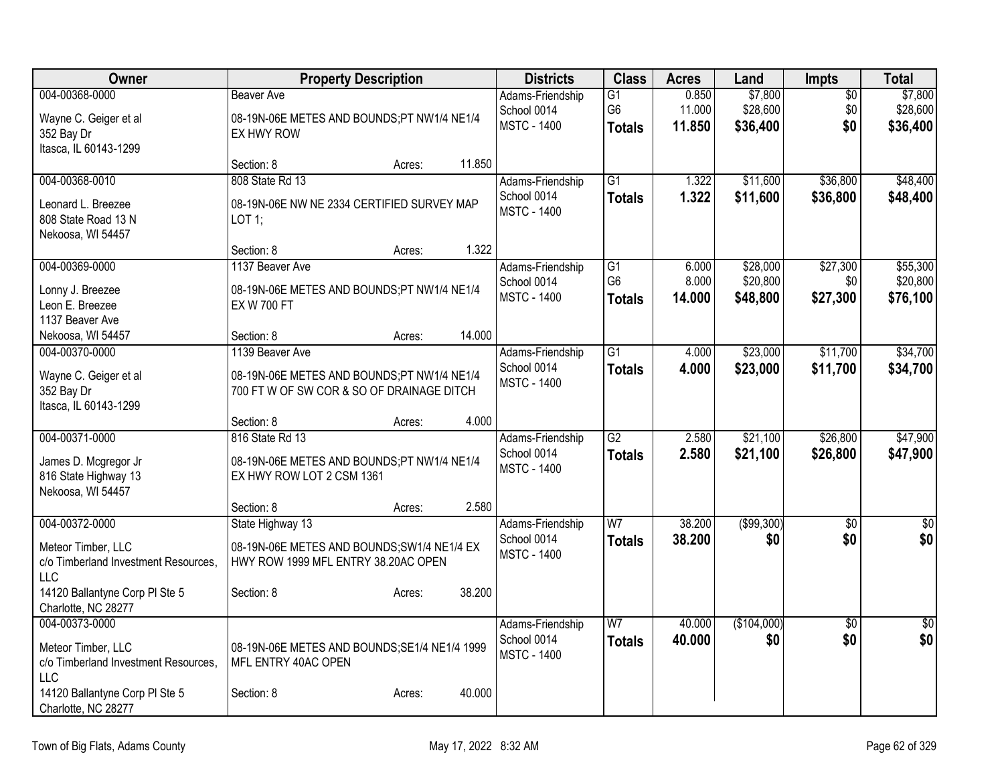| Owner                                       | <b>Property Description</b>                   | <b>Districts</b>                  | <b>Class</b>                      | <b>Acres</b>   | Land                 | <b>Impts</b>    | <b>Total</b>         |
|---------------------------------------------|-----------------------------------------------|-----------------------------------|-----------------------------------|----------------|----------------------|-----------------|----------------------|
| 004-00368-0000                              | <b>Beaver Ave</b>                             | Adams-Friendship                  | $\overline{G1}$                   | 0.850          | \$7,800              | $\overline{50}$ | \$7,800              |
| Wayne C. Geiger et al                       | 08-19N-06E METES AND BOUNDS;PT NW1/4 NE1/4    | School 0014                       | G <sub>6</sub>                    | 11.000         | \$28,600             | \$0             | \$28,600             |
| 352 Bay Dr                                  | EX HWY ROW                                    | <b>MSTC - 1400</b>                | <b>Totals</b>                     | 11.850         | \$36,400             | \$0             | \$36,400             |
| Itasca, IL 60143-1299                       |                                               |                                   |                                   |                |                      |                 |                      |
|                                             | 11.850<br>Section: 8<br>Acres:                |                                   |                                   |                |                      |                 |                      |
| 004-00368-0010                              | 808 State Rd 13                               | Adams-Friendship                  | $\overline{G1}$                   | 1.322          | \$11,600             | \$36,800        | \$48,400             |
| Leonard L. Breezee                          | 08-19N-06E NW NE 2334 CERTIFIED SURVEY MAP    | School 0014<br><b>MSTC - 1400</b> | <b>Totals</b>                     | 1.322          | \$11,600             | \$36,800        | \$48,400             |
| 808 State Road 13 N                         | $LOT$ 1:                                      |                                   |                                   |                |                      |                 |                      |
| Nekoosa, WI 54457                           |                                               |                                   |                                   |                |                      |                 |                      |
|                                             | 1.322<br>Section: 8<br>Acres:                 |                                   |                                   |                |                      |                 |                      |
| 004-00369-0000                              | 1137 Beaver Ave                               | Adams-Friendship                  | $\overline{G1}$<br>G <sub>6</sub> | 6.000<br>8.000 | \$28,000<br>\$20,800 | \$27,300<br>\$0 | \$55,300<br>\$20,800 |
| Lonny J. Breezee                            | 08-19N-06E METES AND BOUNDS;PT NW1/4 NE1/4    | School 0014<br><b>MSTC - 1400</b> | <b>Totals</b>                     | 14.000         | \$48,800             | \$27,300        | \$76,100             |
| Leon E. Breezee                             | <b>EX W 700 FT</b>                            |                                   |                                   |                |                      |                 |                      |
| 1137 Beaver Ave                             |                                               |                                   |                                   |                |                      |                 |                      |
| Nekoosa, WI 54457                           | 14.000<br>Section: 8<br>Acres:                |                                   | $\overline{G1}$                   |                |                      |                 |                      |
| 004-00370-0000                              | 1139 Beaver Ave                               | Adams-Friendship<br>School 0014   |                                   | 4.000          | \$23,000             | \$11,700        | \$34,700             |
| Wayne C. Geiger et al                       | 08-19N-06E METES AND BOUNDS;PT NW1/4 NE1/4    | <b>MSTC - 1400</b>                | <b>Totals</b>                     | 4.000          | \$23,000             | \$11,700        | \$34,700             |
| 352 Bay Dr                                  | 700 FT W OF SW COR & SO OF DRAINAGE DITCH     |                                   |                                   |                |                      |                 |                      |
| Itasca, IL 60143-1299                       | 4.000                                         |                                   |                                   |                |                      |                 |                      |
| 004-00371-0000                              | Section: 8<br>Acres:<br>816 State Rd 13       | Adams-Friendship                  | $\overline{G2}$                   | 2.580          | \$21,100             | \$26,800        | \$47,900             |
|                                             |                                               | School 0014                       | <b>Totals</b>                     | 2.580          | \$21,100             | \$26,800        | \$47,900             |
| James D. Mcgregor Jr                        | 08-19N-06E METES AND BOUNDS;PT NW1/4 NE1/4    | <b>MSTC - 1400</b>                |                                   |                |                      |                 |                      |
| 816 State Highway 13                        | EX HWY ROW LOT 2 CSM 1361                     |                                   |                                   |                |                      |                 |                      |
| Nekoosa, WI 54457                           | 2.580<br>Section: 8<br>Acres:                 |                                   |                                   |                |                      |                 |                      |
| 004-00372-0000                              | State Highway 13                              | Adams-Friendship                  | $\overline{W}$                    | 38.200         | ( \$99, 300)         | $\overline{50}$ | $\sqrt{50}$          |
|                                             |                                               | School 0014                       | <b>Totals</b>                     | 38.200         | \$0                  | \$0             | \$0                  |
| Meteor Timber, LLC                          | 08-19N-06E METES AND BOUNDS; SW1/4 NE1/4 EX   | <b>MSTC - 1400</b>                |                                   |                |                      |                 |                      |
| c/o Timberland Investment Resources,<br>LLC | HWY ROW 1999 MFL ENTRY 38.20AC OPEN           |                                   |                                   |                |                      |                 |                      |
| 14120 Ballantyne Corp PI Ste 5              | 38.200<br>Section: 8<br>Acres:                |                                   |                                   |                |                      |                 |                      |
| Charlotte, NC 28277                         |                                               |                                   |                                   |                |                      |                 |                      |
| 004-00373-0000                              |                                               | Adams-Friendship                  | W <sub>7</sub>                    | 40.000         | (\$104,000)          | $\overline{50}$ | $\sqrt{50}$          |
| Meteor Timber, LLC                          | 08-19N-06E METES AND BOUNDS; SE1/4 NE1/4 1999 | School 0014                       | <b>Totals</b>                     | 40.000         | \$0                  | \$0             | \$0                  |
| c/o Timberland Investment Resources,        | MFL ENTRY 40AC OPEN                           | <b>MSTC - 1400</b>                |                                   |                |                      |                 |                      |
| <b>LLC</b>                                  |                                               |                                   |                                   |                |                      |                 |                      |
| 14120 Ballantyne Corp PI Ste 5              | 40.000<br>Section: 8<br>Acres:                |                                   |                                   |                |                      |                 |                      |
| Charlotte, NC 28277                         |                                               |                                   |                                   |                |                      |                 |                      |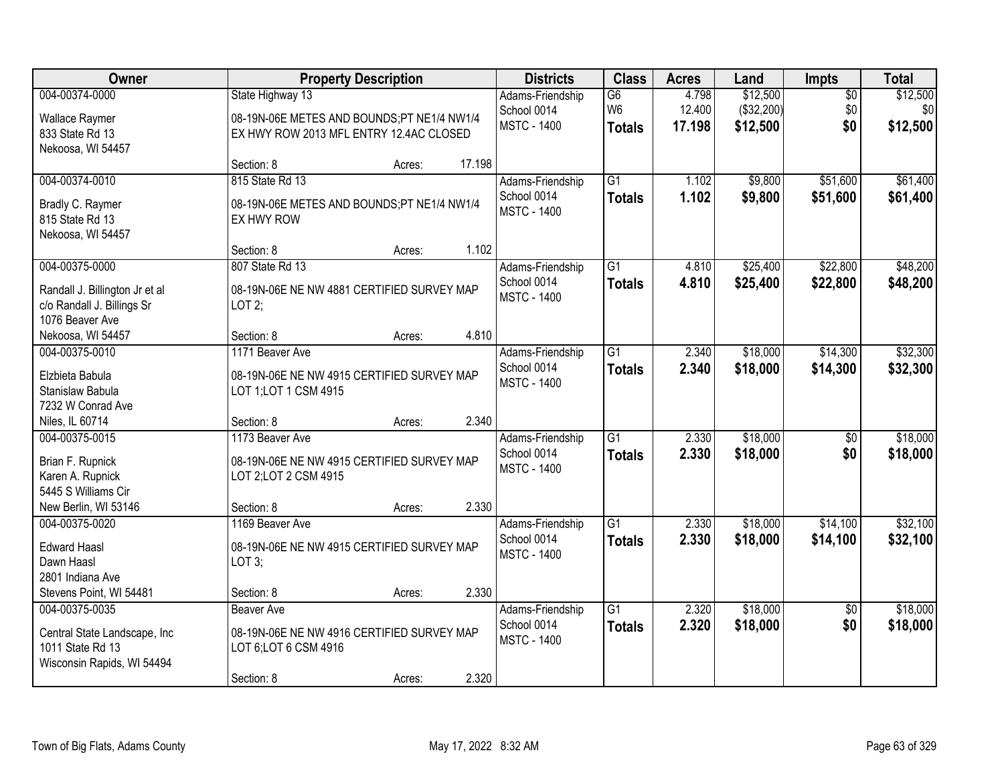| Owner                                                                                             | <b>Property Description</b>                                                                               |        |        | <b>Districts</b>                                      | <b>Class</b>                          | <b>Acres</b>              | Land                               | Impts                         | <b>Total</b>                |
|---------------------------------------------------------------------------------------------------|-----------------------------------------------------------------------------------------------------------|--------|--------|-------------------------------------------------------|---------------------------------------|---------------------------|------------------------------------|-------------------------------|-----------------------------|
| 004-00374-0000<br><b>Wallace Raymer</b><br>833 State Rd 13<br>Nekoosa, WI 54457                   | State Highway 13<br>08-19N-06E METES AND BOUNDS;PT NE1/4 NW1/4<br>EX HWY ROW 2013 MFL ENTRY 12.4AC CLOSED |        |        | Adams-Friendship<br>School 0014<br><b>MSTC - 1400</b> | G6<br>W <sub>6</sub><br><b>Totals</b> | 4.798<br>12.400<br>17.198 | \$12,500<br>(\$32,200)<br>\$12,500 | $\overline{50}$<br>\$0<br>\$0 | \$12,500<br>\$0<br>\$12,500 |
|                                                                                                   | Section: 8                                                                                                | Acres: | 17.198 |                                                       |                                       |                           |                                    |                               |                             |
| 004-00374-0010<br>Bradly C. Raymer<br>815 State Rd 13<br>Nekoosa, WI 54457                        | 815 State Rd 13<br>08-19N-06E METES AND BOUNDS;PT NE1/4 NW1/4<br>EX HWY ROW                               |        |        | Adams-Friendship<br>School 0014<br><b>MSTC - 1400</b> | $\overline{G1}$<br><b>Totals</b>      | 1.102<br>1.102            | \$9,800<br>\$9,800                 | \$51,600<br>\$51,600          | \$61,400<br>\$61,400        |
|                                                                                                   | Section: 8                                                                                                | Acres: | 1.102  |                                                       |                                       |                           |                                    |                               |                             |
| 004-00375-0000<br>Randall J. Billington Jr et al<br>c/o Randall J. Billings Sr<br>1076 Beaver Ave | 807 State Rd 13<br>08-19N-06E NE NW 4881 CERTIFIED SURVEY MAP<br>LOT $2$ ;                                |        |        | Adams-Friendship<br>School 0014<br><b>MSTC - 1400</b> | $\overline{G1}$<br><b>Totals</b>      | 4.810<br>4.810            | \$25,400<br>\$25,400               | \$22,800<br>\$22,800          | \$48,200<br>\$48,200        |
| Nekoosa, WI 54457                                                                                 | Section: 8                                                                                                | Acres: | 4.810  |                                                       |                                       |                           |                                    |                               |                             |
| 004-00375-0010<br>Elzbieta Babula<br>Stanislaw Babula<br>7232 W Conrad Ave                        | 1171 Beaver Ave<br>08-19N-06E NE NW 4915 CERTIFIED SURVEY MAP<br>LOT 1; LOT 1 CSM 4915                    |        |        | Adams-Friendship<br>School 0014<br><b>MSTC - 1400</b> | $\overline{G1}$<br><b>Totals</b>      | 2.340<br>2.340            | \$18,000<br>\$18,000               | \$14,300<br>\$14,300          | \$32,300<br>\$32,300        |
| Niles, IL 60714                                                                                   | Section: 8                                                                                                | Acres: | 2.340  |                                                       |                                       |                           |                                    |                               |                             |
| 004-00375-0015<br>Brian F. Rupnick<br>Karen A. Rupnick<br>5445 S Williams Cir                     | 1173 Beaver Ave<br>08-19N-06E NE NW 4915 CERTIFIED SURVEY MAP<br>LOT 2; LOT 2 CSM 4915                    |        |        | Adams-Friendship<br>School 0014<br><b>MSTC - 1400</b> | $\overline{G1}$<br><b>Totals</b>      | 2.330<br>2.330            | \$18,000<br>\$18,000               | $\overline{50}$<br>\$0        | \$18,000<br>\$18,000        |
| New Berlin, WI 53146                                                                              | Section: 8                                                                                                | Acres: | 2.330  |                                                       | $\overline{G1}$                       |                           |                                    |                               |                             |
| 004-00375-0020<br><b>Edward Haasl</b><br>Dawn Haasl<br>2801 Indiana Ave                           | 1169 Beaver Ave<br>08-19N-06E NE NW 4915 CERTIFIED SURVEY MAP<br>LOT 3;                                   |        |        | Adams-Friendship<br>School 0014<br><b>MSTC - 1400</b> | <b>Totals</b>                         | 2.330<br>2.330            | \$18,000<br>\$18,000               | \$14,100<br>\$14,100          | \$32,100<br>\$32,100        |
| Stevens Point, WI 54481                                                                           | Section: 8                                                                                                | Acres: | 2.330  |                                                       |                                       |                           |                                    |                               |                             |
| 004-00375-0035<br>Central State Landscape, Inc<br>1011 State Rd 13<br>Wisconsin Rapids, WI 54494  | <b>Beaver Ave</b><br>08-19N-06E NE NW 4916 CERTIFIED SURVEY MAP<br>LOT 6; LOT 6 CSM 4916<br>Section: 8    | Acres: | 2.320  | Adams-Friendship<br>School 0014<br><b>MSTC - 1400</b> | $\overline{G1}$<br><b>Totals</b>      | 2.320<br>2.320            | \$18,000<br>\$18,000               | $\overline{50}$<br>\$0        | \$18,000<br>\$18,000        |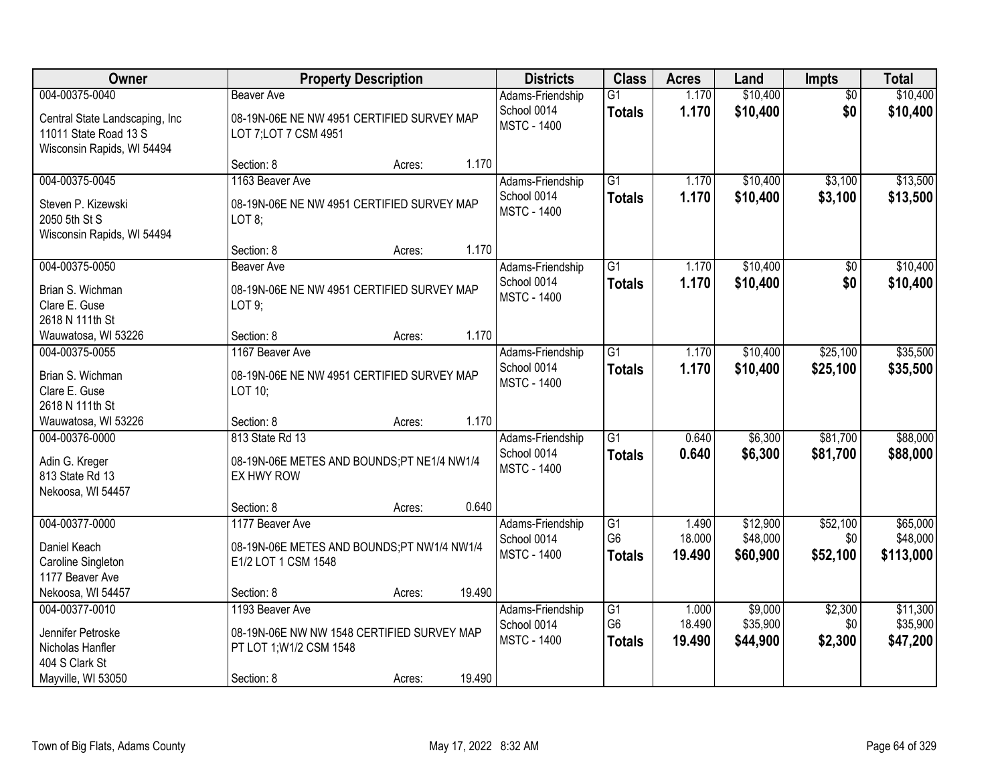| Owner                                                                                                    |                                                                                                        | <b>Property Description</b> |        | <b>Districts</b>                                      | <b>Class</b>                                       | <b>Acres</b>              | Land                             | <b>Impts</b>                | <b>Total</b>                      |
|----------------------------------------------------------------------------------------------------------|--------------------------------------------------------------------------------------------------------|-----------------------------|--------|-------------------------------------------------------|----------------------------------------------------|---------------------------|----------------------------------|-----------------------------|-----------------------------------|
| 004-00375-0040<br>Central State Landscaping, Inc.<br>11011 State Road 13 S<br>Wisconsin Rapids, WI 54494 | <b>Beaver Ave</b><br>08-19N-06E NE NW 4951 CERTIFIED SURVEY MAP<br>LOT 7; LOT 7 CSM 4951               |                             |        | Adams-Friendship<br>School 0014<br><b>MSTC - 1400</b> | $\overline{G1}$<br><b>Totals</b>                   | 1.170<br>1.170            | \$10,400<br>\$10,400             | $\overline{50}$<br>\$0      | \$10,400<br>\$10,400              |
|                                                                                                          | Section: 8                                                                                             | Acres:                      | 1.170  |                                                       |                                                    |                           |                                  |                             |                                   |
| 004-00375-0045<br>Steven P. Kizewski<br>2050 5th St S<br>Wisconsin Rapids, WI 54494                      | 1163 Beaver Ave<br>08-19N-06E NE NW 4951 CERTIFIED SURVEY MAP<br>LOT 8;                                |                             |        | Adams-Friendship<br>School 0014<br><b>MSTC - 1400</b> | $\overline{G1}$<br><b>Totals</b>                   | 1.170<br>1.170            | \$10,400<br>\$10,400             | \$3,100<br>\$3,100          | \$13,500<br>\$13,500              |
| 004-00375-0050                                                                                           | Section: 8<br><b>Beaver Ave</b>                                                                        | Acres:                      | 1.170  |                                                       | $\overline{G1}$                                    | 1.170                     | \$10,400                         |                             | \$10,400                          |
| Brian S. Wichman<br>Clare E. Guse<br>2618 N 111th St                                                     | 08-19N-06E NE NW 4951 CERTIFIED SURVEY MAP<br>$LOT9$ ;                                                 |                             |        | Adams-Friendship<br>School 0014<br><b>MSTC - 1400</b> | <b>Totals</b>                                      | 1.170                     | \$10,400                         | \$0<br>\$0                  | \$10,400                          |
| Wauwatosa, WI 53226                                                                                      | Section: 8                                                                                             | Acres:                      | 1.170  |                                                       |                                                    |                           |                                  |                             |                                   |
| 004-00375-0055<br>Brian S. Wichman<br>Clare E. Guse<br>2618 N 111th St                                   | 1167 Beaver Ave<br>08-19N-06E NE NW 4951 CERTIFIED SURVEY MAP<br>LOT 10;                               |                             |        | Adams-Friendship<br>School 0014<br><b>MSTC - 1400</b> | $\overline{G1}$<br><b>Totals</b>                   | 1.170<br>1.170            | \$10,400<br>\$10,400             | \$25,100<br>\$25,100        | \$35,500<br>\$35,500              |
| Wauwatosa, WI 53226                                                                                      | Section: 8                                                                                             | Acres:                      | 1.170  |                                                       |                                                    |                           |                                  |                             |                                   |
| 004-00376-0000<br>Adin G. Kreger<br>813 State Rd 13<br>Nekoosa, WI 54457                                 | 813 State Rd 13<br>08-19N-06E METES AND BOUNDS;PT NE1/4 NW1/4<br>EX HWY ROW                            |                             |        | Adams-Friendship<br>School 0014<br><b>MSTC - 1400</b> | $\overline{G1}$<br><b>Totals</b>                   | 0.640<br>0.640            | \$6,300<br>\$6,300               | \$81,700<br>\$81,700        | \$88,000<br>\$88,000              |
|                                                                                                          | Section: 8                                                                                             | Acres:                      | 0.640  |                                                       |                                                    |                           |                                  |                             |                                   |
| 004-00377-0000<br>Daniel Keach<br>Caroline Singleton<br>1177 Beaver Ave                                  | 1177 Beaver Ave<br>08-19N-06E METES AND BOUNDS;PT NW1/4 NW1/4<br>E1/2 LOT 1 CSM 1548                   |                             |        | Adams-Friendship<br>School 0014<br><b>MSTC - 1400</b> | $\overline{G1}$<br>G <sub>6</sub><br><b>Totals</b> | 1.490<br>18.000<br>19.490 | \$12,900<br>\$48,000<br>\$60,900 | \$52,100<br>\$0<br>\$52,100 | \$65,000<br>\$48,000<br>\$113,000 |
| Nekoosa, WI 54457                                                                                        | Section: 8                                                                                             | Acres:                      | 19.490 |                                                       |                                                    |                           |                                  |                             |                                   |
| 004-00377-0010<br>Jennifer Petroske<br>Nicholas Hanfler<br>404 S Clark St<br>Mayville, WI 53050          | 1193 Beaver Ave<br>08-19N-06E NW NW 1548 CERTIFIED SURVEY MAP<br>PT LOT 1; W1/2 CSM 1548<br>Section: 8 | Acres:                      | 19.490 | Adams-Friendship<br>School 0014<br><b>MSTC - 1400</b> | $\overline{G1}$<br>G <sub>6</sub><br><b>Totals</b> | 1.000<br>18.490<br>19.490 | \$9,000<br>\$35,900<br>\$44,900  | \$2,300<br>\$0<br>\$2,300   | \$11,300<br>\$35,900<br>\$47,200  |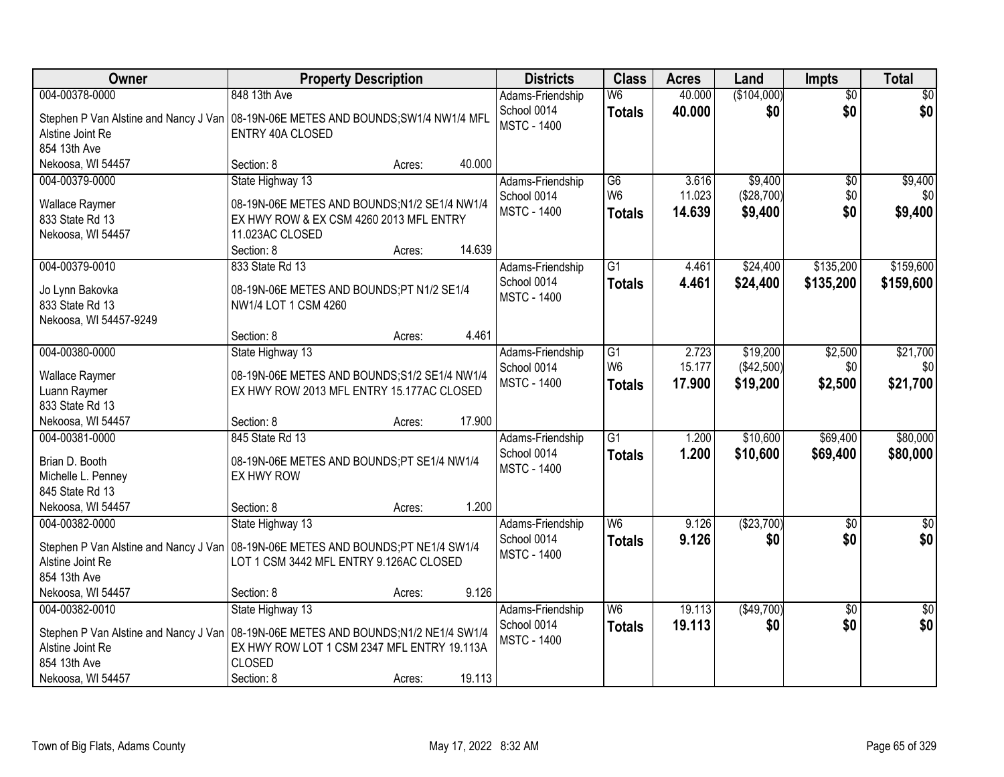| Owner                                                                              |                                               | <b>Property Description</b> |        | <b>Districts</b>                  | <b>Class</b>    | <b>Acres</b> | Land        | Impts           | <b>Total</b>    |
|------------------------------------------------------------------------------------|-----------------------------------------------|-----------------------------|--------|-----------------------------------|-----------------|--------------|-------------|-----------------|-----------------|
| 004-00378-0000                                                                     | 848 13th Ave                                  |                             |        | Adams-Friendship                  | W6              | 40.000       | (\$104,000) | $\overline{50}$ | \$0             |
| Stephen P Van Alstine and Nancy J Van 08-19N-06E METES AND BOUNDS; SW1/4 NW1/4 MFL |                                               |                             |        | School 0014                       | <b>Totals</b>   | 40.000       | \$0         | \$0             | \$0             |
| Alstine Joint Re                                                                   | ENTRY 40A CLOSED                              |                             |        | <b>MSTC - 1400</b>                |                 |              |             |                 |                 |
| 854 13th Ave                                                                       |                                               |                             |        |                                   |                 |              |             |                 |                 |
| Nekoosa, WI 54457                                                                  | Section: 8                                    | Acres:                      | 40.000 |                                   |                 |              |             |                 |                 |
| 004-00379-0000                                                                     | State Highway 13                              |                             |        | Adams-Friendship                  | $\overline{G6}$ | 3.616        | \$9,400     | $\overline{60}$ | \$9,400         |
| <b>Wallace Raymer</b>                                                              | 08-19N-06E METES AND BOUNDS;N1/2 SE1/4 NW1/4  |                             |        | School 0014                       | W <sub>6</sub>  | 11.023       | (\$28,700)  | \$0             | \$0             |
| 833 State Rd 13                                                                    | EX HWY ROW & EX CSM 4260 2013 MFL ENTRY       |                             |        | <b>MSTC - 1400</b>                | <b>Totals</b>   | 14.639       | \$9,400     | \$0             | \$9,400         |
| Nekoosa, WI 54457                                                                  | 11.023AC CLOSED                               |                             |        |                                   |                 |              |             |                 |                 |
|                                                                                    | Section: 8                                    | Acres:                      | 14.639 |                                   |                 |              |             |                 |                 |
| 004-00379-0010                                                                     | 833 State Rd 13                               |                             |        | Adams-Friendship                  | $\overline{G1}$ | 4.461        | \$24,400    | \$135,200       | \$159,600       |
|                                                                                    |                                               |                             |        | School 0014                       | <b>Totals</b>   | 4.461        | \$24,400    | \$135,200       | \$159,600       |
| Jo Lynn Bakovka                                                                    | 08-19N-06E METES AND BOUNDS;PT N1/2 SE1/4     |                             |        | <b>MSTC - 1400</b>                |                 |              |             |                 |                 |
| 833 State Rd 13<br>Nekoosa, WI 54457-9249                                          | NW1/4 LOT 1 CSM 4260                          |                             |        |                                   |                 |              |             |                 |                 |
|                                                                                    | Section: 8                                    | Acres:                      | 4.461  |                                   |                 |              |             |                 |                 |
| 004-00380-0000                                                                     | State Highway 13                              |                             |        | Adams-Friendship                  | G1              | 2.723        | \$19,200    | \$2,500         | \$21,700        |
|                                                                                    |                                               |                             |        | School 0014                       | W <sub>6</sub>  | 15.177       | (\$42,500)  | \$0             | \$0             |
| Wallace Raymer                                                                     | 08-19N-06E METES AND BOUNDS; S1/2 SE1/4 NW1/4 |                             |        | <b>MSTC - 1400</b>                | <b>Totals</b>   | 17.900       | \$19,200    | \$2,500         | \$21,700        |
| Luann Raymer                                                                       | EX HWY ROW 2013 MFL ENTRY 15.177AC CLOSED     |                             |        |                                   |                 |              |             |                 |                 |
| 833 State Rd 13                                                                    |                                               |                             |        |                                   |                 |              |             |                 |                 |
| Nekoosa, WI 54457                                                                  | Section: 8                                    | Acres:                      | 17.900 |                                   |                 |              |             |                 |                 |
| 004-00381-0000                                                                     | 845 State Rd 13                               |                             |        | Adams-Friendship                  | $\overline{G1}$ | 1.200        | \$10,600    | \$69,400        | \$80,000        |
| Brian D. Booth                                                                     | 08-19N-06E METES AND BOUNDS;PT SE1/4 NW1/4    |                             |        | School 0014<br><b>MSTC - 1400</b> | <b>Totals</b>   | 1.200        | \$10,600    | \$69,400        | \$80,000        |
| Michelle L. Penney                                                                 | EX HWY ROW                                    |                             |        |                                   |                 |              |             |                 |                 |
| 845 State Rd 13                                                                    |                                               |                             |        |                                   |                 |              |             |                 |                 |
| Nekoosa, WI 54457                                                                  | Section: 8                                    | Acres:                      | 1.200  |                                   |                 |              |             |                 |                 |
| 004-00382-0000                                                                     | State Highway 13                              |                             |        | Adams-Friendship                  | W <sub>6</sub>  | 9.126        | ( \$23,700) | $\sqrt{6}$      | $\frac{1}{6}$   |
| Stephen P Van Alstine and Nancy J Van 08-19N-06E METES AND BOUNDS; PT NE1/4 SW1/4  |                                               |                             |        | School 0014                       | <b>Totals</b>   | 9.126        | \$0         | \$0             | \$0             |
| Alstine Joint Re                                                                   | LOT 1 CSM 3442 MFL ENTRY 9.126AC CLOSED       |                             |        | <b>MSTC - 1400</b>                |                 |              |             |                 |                 |
| 854 13th Ave                                                                       |                                               |                             |        |                                   |                 |              |             |                 |                 |
| Nekoosa, WI 54457                                                                  | Section: 8                                    | Acres:                      | 9.126  |                                   |                 |              |             |                 |                 |
| 004-00382-0010                                                                     | State Highway 13                              |                             |        | Adams-Friendship                  | W <sub>6</sub>  | 19.113       | (\$49,700)  | $\overline{50}$ | $\overline{50}$ |
| Stephen P Van Alstine and Nancy J Van 08-19N-06E METES AND BOUNDS;N1/2 NE1/4 SW1/4 |                                               |                             |        | School 0014                       | <b>Totals</b>   | 19.113       | \$0         | \$0             | \$0             |
| Alstine Joint Re                                                                   | EX HWY ROW LOT 1 CSM 2347 MFL ENTRY 19.113A   |                             |        | <b>MSTC - 1400</b>                |                 |              |             |                 |                 |
| 854 13th Ave                                                                       | <b>CLOSED</b>                                 |                             |        |                                   |                 |              |             |                 |                 |
| Nekoosa, WI 54457                                                                  | Section: 8                                    | Acres:                      | 19.113 |                                   |                 |              |             |                 |                 |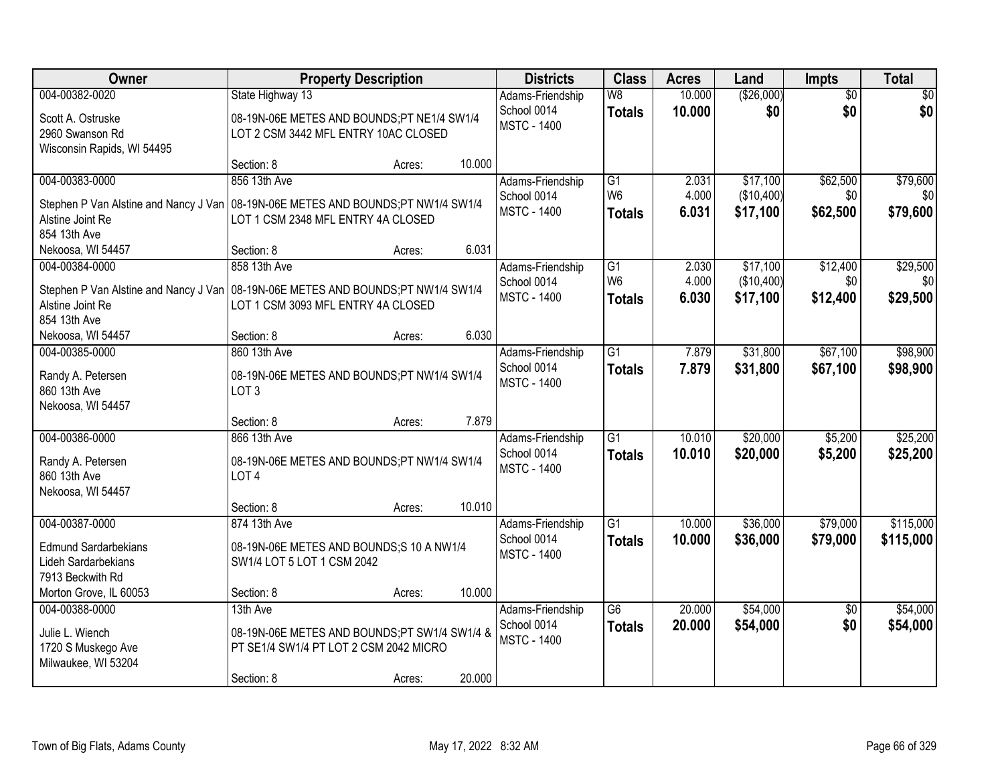| Owner                                                                               | <b>Property Description</b>                                    |                  | <b>Districts</b>                | <b>Class</b>    | <b>Acres</b>     | Land       | Impts                  | <b>Total</b>    |
|-------------------------------------------------------------------------------------|----------------------------------------------------------------|------------------|---------------------------------|-----------------|------------------|------------|------------------------|-----------------|
| 004-00382-0020                                                                      | State Highway 13                                               |                  | Adams-Friendship                | W8              | 10.000           | (\$26,000) | $\overline{50}$        | $\overline{50}$ |
| Scott A. Ostruske                                                                   | 08-19N-06E METES AND BOUNDS;PT NE1/4 SW1/4                     |                  | School 0014                     | <b>Totals</b>   | 10.000           | \$0        | \$0                    | \$0             |
| 2960 Swanson Rd                                                                     | LOT 2 CSM 3442 MFL ENTRY 10AC CLOSED                           |                  | <b>MSTC - 1400</b>              |                 |                  |            |                        |                 |
| Wisconsin Rapids, WI 54495                                                          |                                                                |                  |                                 |                 |                  |            |                        |                 |
|                                                                                     | Section: 8                                                     | 10.000<br>Acres: |                                 |                 |                  |            |                        |                 |
| 004-00383-0000                                                                      | 856 13th Ave                                                   |                  | Adams-Friendship                | G1              | 2.031            | \$17,100   | \$62,500               | \$79,600        |
| Stephen P Van Alstine and Nancy J Van                                               | 08-19N-06E METES AND BOUNDS;PT NW1/4 SW1/4                     |                  | School 0014                     | W <sub>6</sub>  | 4.000            | (\$10,400) | \$0                    | \$0             |
| Alstine Joint Re                                                                    | LOT 1 CSM 2348 MFL ENTRY 4A CLOSED                             |                  | <b>MSTC - 1400</b>              | <b>Totals</b>   | 6.031            | \$17,100   | \$62,500               | \$79,600        |
| 854 13th Ave                                                                        |                                                                |                  |                                 |                 |                  |            |                        |                 |
| Nekoosa, WI 54457                                                                   | Section: 8                                                     | 6.031<br>Acres:  |                                 |                 |                  |            |                        |                 |
| 004-00384-0000                                                                      | 858 13th Ave                                                   |                  | Adams-Friendship                | G1              | 2.030            | \$17,100   | \$12,400               | \$29,500        |
| Stephen P Van Alstine and Nancy J Van   08-19N-06E METES AND BOUNDS; PT NW1/4 SW1/4 |                                                                |                  | School 0014                     | W <sub>6</sub>  | 4.000            | (\$10,400) | \$0                    | \$0             |
| Alstine Joint Re                                                                    | LOT 1 CSM 3093 MFL ENTRY 4A CLOSED                             |                  | <b>MSTC - 1400</b>              | <b>Totals</b>   | 6.030            | \$17,100   | \$12,400               | \$29,500        |
| 854 13th Ave                                                                        |                                                                |                  |                                 |                 |                  |            |                        |                 |
| Nekoosa, WI 54457                                                                   | Section: 8                                                     | 6.030<br>Acres:  |                                 |                 |                  |            |                        |                 |
| 004-00385-0000                                                                      | 860 13th Ave                                                   |                  | Adams-Friendship                | $\overline{G1}$ | 7.879            | \$31,800   | \$67,100               | \$98,900        |
|                                                                                     |                                                                |                  | School 0014                     | <b>Totals</b>   | 7.879            | \$31,800   | \$67,100               | \$98,900        |
| Randy A. Petersen<br>860 13th Ave                                                   | 08-19N-06E METES AND BOUNDS;PT NW1/4 SW1/4<br>LOT <sub>3</sub> |                  | <b>MSTC - 1400</b>              |                 |                  |            |                        |                 |
| Nekoosa, WI 54457                                                                   |                                                                |                  |                                 |                 |                  |            |                        |                 |
|                                                                                     | Section: 8                                                     | 7.879<br>Acres:  |                                 |                 |                  |            |                        |                 |
| 004-00386-0000                                                                      | 866 13th Ave                                                   |                  | Adams-Friendship                | $\overline{G1}$ | 10.010           | \$20,000   | \$5,200                | \$25,200        |
|                                                                                     |                                                                |                  | School 0014                     | <b>Totals</b>   | 10.010           | \$20,000   | \$5,200                | \$25,200        |
| Randy A. Petersen                                                                   | 08-19N-06E METES AND BOUNDS;PT NW1/4 SW1/4                     |                  | <b>MSTC - 1400</b>              |                 |                  |            |                        |                 |
| 860 13th Ave<br>Nekoosa, WI 54457                                                   | LOT <sub>4</sub>                                               |                  |                                 |                 |                  |            |                        |                 |
|                                                                                     | Section: 8                                                     | 10.010<br>Acres: |                                 |                 |                  |            |                        |                 |
| 004-00387-0000                                                                      | 874 13th Ave                                                   |                  | Adams-Friendship                | $\overline{G1}$ | 10.000           | \$36,000   | \$79,000               | \$115,000       |
|                                                                                     |                                                                |                  | School 0014                     | <b>Totals</b>   | 10.000           | \$36,000   | \$79,000               | \$115,000       |
| <b>Edmund Sardarbekians</b>                                                         | 08-19N-06E METES AND BOUNDS;S 10 A NW1/4                       |                  | <b>MSTC - 1400</b>              |                 |                  |            |                        |                 |
| Lideh Sardarbekians                                                                 | SW1/4 LOT 5 LOT 1 CSM 2042                                     |                  |                                 |                 |                  |            |                        |                 |
| 7913 Beckwith Rd                                                                    |                                                                |                  |                                 |                 |                  |            |                        |                 |
| Morton Grove, IL 60053                                                              | Section: 8                                                     | 10.000<br>Acres: |                                 |                 |                  |            |                        |                 |
| 004-00388-0000                                                                      | 13th Ave                                                       |                  | Adams-Friendship<br>School 0014 | $\overline{G6}$ | 20.000<br>20.000 | \$54,000   | $\overline{50}$<br>\$0 | \$54,000        |
| Julie L. Wiench                                                                     | 08-19N-06E METES AND BOUNDS;PT SW1/4 SW1/4 &                   |                  | <b>MSTC - 1400</b>              | <b>Totals</b>   |                  | \$54,000   |                        | \$54,000        |
| 1720 S Muskego Ave                                                                  | PT SE1/4 SW1/4 PT LOT 2 CSM 2042 MICRO                         |                  |                                 |                 |                  |            |                        |                 |
| Milwaukee, WI 53204                                                                 |                                                                |                  |                                 |                 |                  |            |                        |                 |
|                                                                                     | Section: 8                                                     | 20.000<br>Acres: |                                 |                 |                  |            |                        |                 |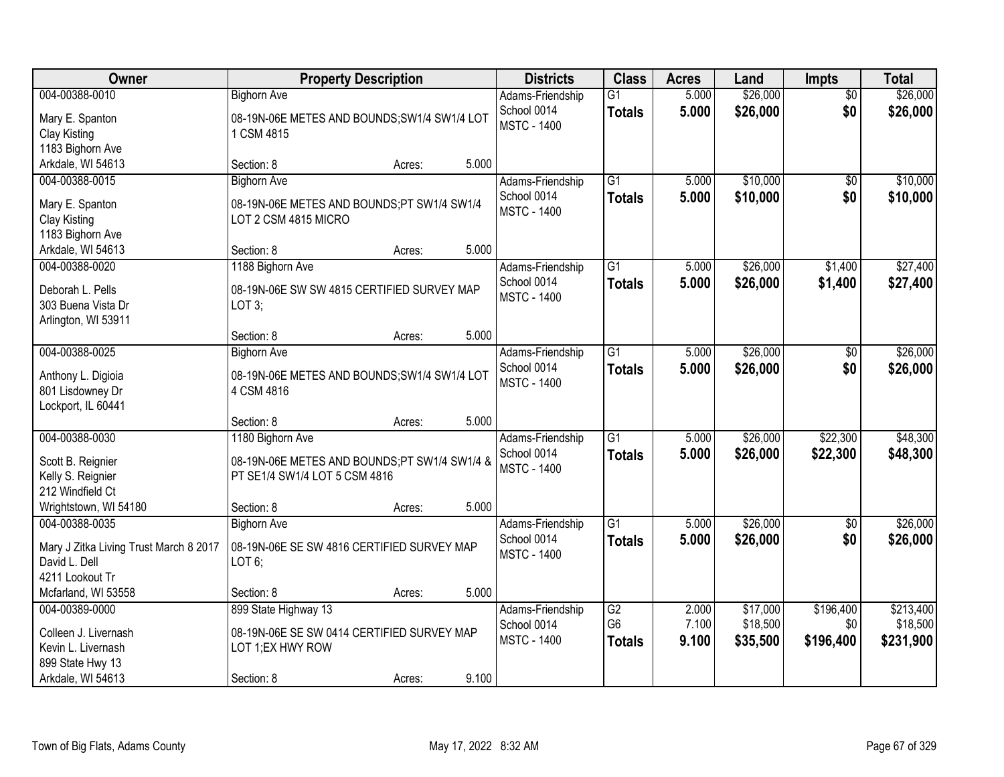| Owner                                                                                                 | <b>Property Description</b>                                                                          |        |       | <b>Districts</b>                                      | <b>Class</b>                          | <b>Acres</b>            | Land                             | <b>Impts</b>                  | <b>Total</b>                       |
|-------------------------------------------------------------------------------------------------------|------------------------------------------------------------------------------------------------------|--------|-------|-------------------------------------------------------|---------------------------------------|-------------------------|----------------------------------|-------------------------------|------------------------------------|
| 004-00388-0010<br>Mary E. Spanton<br>Clay Kisting<br>1183 Bighorn Ave                                 | <b>Bighorn Ave</b><br>08-19N-06E METES AND BOUNDS; SW1/4 SW1/4 LOT<br>1 CSM 4815                     |        |       | Adams-Friendship<br>School 0014<br><b>MSTC - 1400</b> | $\overline{G1}$<br><b>Totals</b>      | 5.000<br>5.000          | \$26,000<br>\$26,000             | $\overline{30}$<br>\$0        | \$26,000<br>\$26,000               |
| Arkdale, WI 54613                                                                                     | Section: 8                                                                                           | Acres: | 5.000 |                                                       |                                       |                         |                                  |                               |                                    |
| 004-00388-0015<br>Mary E. Spanton<br>Clay Kisting<br>1183 Bighorn Ave                                 | <b>Bighorn Ave</b><br>08-19N-06E METES AND BOUNDS;PT SW1/4 SW1/4<br>LOT 2 CSM 4815 MICRO             |        |       | Adams-Friendship<br>School 0014<br><b>MSTC - 1400</b> | $\overline{G1}$<br><b>Totals</b>      | 5.000<br>5.000          | \$10,000<br>\$10,000             | \$0<br>\$0                    | \$10,000<br>\$10,000               |
| Arkdale, WI 54613<br>004-00388-0020                                                                   | Section: 8<br>1188 Bighorn Ave                                                                       | Acres: | 5.000 | Adams-Friendship                                      | $\overline{G1}$                       | 5.000                   | \$26,000                         | \$1,400                       | \$27,400                           |
| Deborah L. Pells<br>303 Buena Vista Dr<br>Arlington, WI 53911                                         | 08-19N-06E SW SW 4815 CERTIFIED SURVEY MAP<br>LOT 3;                                                 |        |       | School 0014<br><b>MSTC - 1400</b>                     | <b>Totals</b>                         | 5.000                   | \$26,000                         | \$1,400                       | \$27,400                           |
|                                                                                                       | Section: 8                                                                                           | Acres: | 5.000 |                                                       |                                       |                         |                                  |                               |                                    |
| 004-00388-0025<br>Anthony L. Digioia<br>801 Lisdowney Dr<br>Lockport, IL 60441                        | <b>Bighorn Ave</b><br>08-19N-06E METES AND BOUNDS; SW1/4 SW1/4 LOT<br>4 CSM 4816                     |        |       | Adams-Friendship<br>School 0014<br><b>MSTC - 1400</b> | $\overline{G1}$<br><b>Totals</b>      | 5.000<br>5.000          | \$26,000<br>\$26,000             | $\sqrt[6]{}$<br>\$0           | \$26,000<br>\$26,000               |
|                                                                                                       | Section: 8                                                                                           | Acres: | 5.000 |                                                       |                                       |                         |                                  |                               |                                    |
| 004-00388-0030<br>Scott B. Reignier<br>Kelly S. Reignier<br>212 Windfield Ct                          | 1180 Bighorn Ave<br>08-19N-06E METES AND BOUNDS;PT SW1/4 SW1/4 &<br>PT SE1/4 SW1/4 LOT 5 CSM 4816    |        |       | Adams-Friendship<br>School 0014<br><b>MSTC - 1400</b> | $\overline{G1}$<br><b>Totals</b>      | 5.000<br>5.000          | \$26,000<br>\$26,000             | \$22,300<br>\$22,300          | \$48,300<br>\$48,300               |
| Wrightstown, WI 54180                                                                                 | Section: 8                                                                                           | Acres: | 5.000 |                                                       |                                       |                         |                                  |                               |                                    |
| 004-00388-0035<br>Mary J Zitka Living Trust March 8 2017<br>David L. Dell<br>4211 Lookout Tr          | <b>Bighorn Ave</b><br>08-19N-06E SE SW 4816 CERTIFIED SURVEY MAP<br>$LOT 6$ ;                        |        |       | Adams-Friendship<br>School 0014<br><b>MSTC - 1400</b> | $\overline{G1}$<br><b>Totals</b>      | 5.000<br>5.000          | \$26,000<br>\$26,000             | $\sqrt{$0}$<br>\$0            | \$26,000<br>\$26,000               |
| Mcfarland, WI 53558                                                                                   | Section: 8                                                                                           | Acres: | 5.000 |                                                       |                                       |                         |                                  |                               |                                    |
| 004-00389-0000<br>Colleen J. Livernash<br>Kevin L. Livernash<br>899 State Hwy 13<br>Arkdale, WI 54613 | 899 State Highway 13<br>08-19N-06E SE SW 0414 CERTIFIED SURVEY MAP<br>LOT 1;EX HWY ROW<br>Section: 8 | Acres: | 9.100 | Adams-Friendship<br>School 0014<br><b>MSTC - 1400</b> | G2<br>G <sub>6</sub><br><b>Totals</b> | 2.000<br>7.100<br>9.100 | \$17,000<br>\$18,500<br>\$35,500 | \$196,400<br>\$0<br>\$196,400 | \$213,400<br>\$18,500<br>\$231,900 |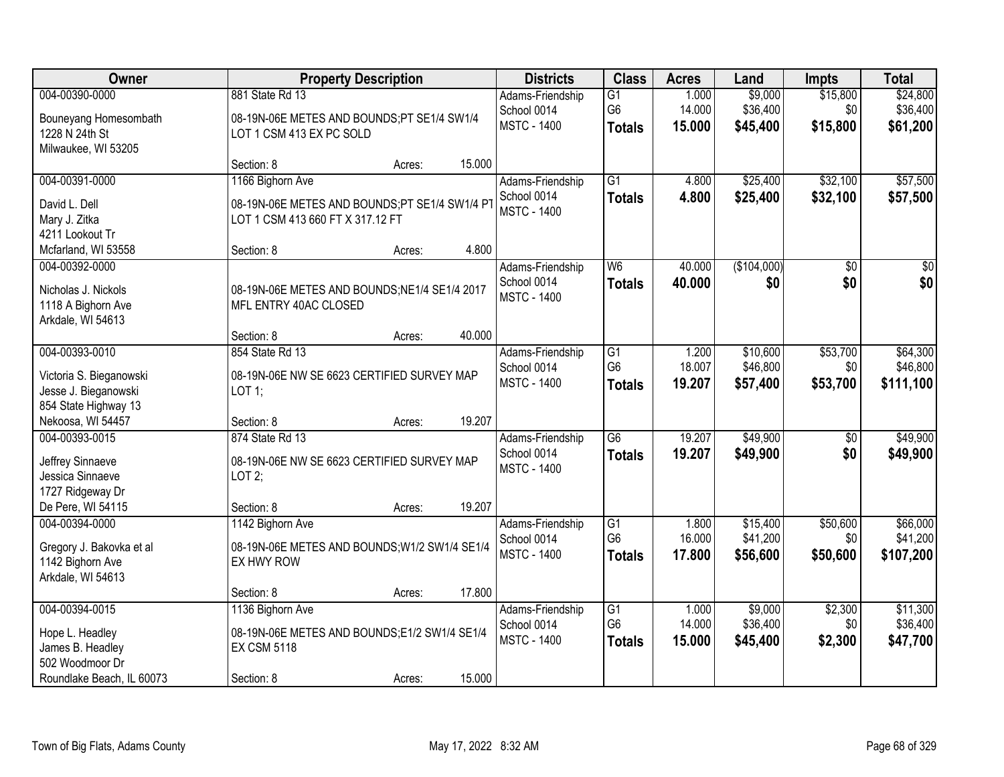| Owner                                                                                                 |                                                                                                       | <b>Property Description</b> |        | <b>Districts</b>                                      | <b>Class</b>                                       | <b>Acres</b>              | Land                             | <b>Impts</b>                | <b>Total</b>                      |
|-------------------------------------------------------------------------------------------------------|-------------------------------------------------------------------------------------------------------|-----------------------------|--------|-------------------------------------------------------|----------------------------------------------------|---------------------------|----------------------------------|-----------------------------|-----------------------------------|
| 004-00390-0000<br>Bouneyang Homesombath<br>1228 N 24th St<br>Milwaukee, WI 53205                      | 881 State Rd 13<br>08-19N-06E METES AND BOUNDS;PT SE1/4 SW1/4<br>LOT 1 CSM 413 EX PC SOLD             |                             |        | Adams-Friendship<br>School 0014<br><b>MSTC - 1400</b> | $\overline{G1}$<br>G <sub>6</sub><br><b>Totals</b> | 1.000<br>14.000<br>15.000 | \$9,000<br>\$36,400<br>\$45,400  | \$15,800<br>\$0<br>\$15,800 | \$24,800<br>\$36,400<br>\$61,200  |
|                                                                                                       | Section: 8                                                                                            | Acres:                      | 15.000 |                                                       |                                                    |                           |                                  |                             |                                   |
| 004-00391-0000<br>David L. Dell<br>Mary J. Zitka<br>4211 Lookout Tr                                   | 1166 Bighorn Ave<br>08-19N-06E METES AND BOUNDS;PT SE1/4 SW1/4 PT<br>LOT 1 CSM 413 660 FT X 317.12 FT |                             |        | Adams-Friendship<br>School 0014<br><b>MSTC - 1400</b> | $\overline{G1}$<br><b>Totals</b>                   | 4.800<br>4.800            | \$25,400<br>\$25,400             | \$32,100<br>\$32,100        | \$57,500<br>\$57,500              |
| Mcfarland, WI 53558                                                                                   | Section: 8                                                                                            | Acres:                      | 4.800  |                                                       |                                                    |                           |                                  |                             |                                   |
| 004-00392-0000<br>Nicholas J. Nickols<br>1118 A Bighorn Ave<br>Arkdale, WI 54613                      | 08-19N-06E METES AND BOUNDS; NE1/4 SE1/4 2017<br>MFL ENTRY 40AC CLOSED                                |                             |        | Adams-Friendship<br>School 0014<br><b>MSTC - 1400</b> | W6<br><b>Totals</b>                                | 40.000<br>40.000          | (\$104,000)<br>\$0               | $\overline{50}$<br>\$0      | $\overline{30}$<br>\$0            |
|                                                                                                       | Section: 8                                                                                            | Acres:                      | 40.000 |                                                       |                                                    |                           |                                  |                             |                                   |
| 004-00393-0010<br>Victoria S. Bieganowski<br>Jesse J. Bieganowski<br>854 State Highway 13             | 854 State Rd 13<br>08-19N-06E NW SE 6623 CERTIFIED SURVEY MAP<br>LOT 1;                               |                             |        | Adams-Friendship<br>School 0014<br><b>MSTC - 1400</b> | G1<br>G <sub>6</sub><br><b>Totals</b>              | 1.200<br>18.007<br>19.207 | \$10,600<br>\$46,800<br>\$57,400 | \$53,700<br>\$0<br>\$53,700 | \$64,300<br>\$46,800<br>\$111,100 |
| Nekoosa, WI 54457                                                                                     | Section: 8                                                                                            | Acres:                      | 19.207 |                                                       |                                                    |                           |                                  |                             |                                   |
| 004-00393-0015<br>Jeffrey Sinnaeve<br>Jessica Sinnaeve<br>1727 Ridgeway Dr                            | 874 State Rd 13<br>08-19N-06E NW SE 6623 CERTIFIED SURVEY MAP<br>LOT2;                                |                             |        | Adams-Friendship<br>School 0014<br><b>MSTC - 1400</b> | $\overline{G6}$<br><b>Totals</b>                   | 19.207<br>19.207          | \$49,900<br>\$49,900             | $\overline{50}$<br>\$0      | \$49,900<br>\$49,900              |
| De Pere, WI 54115                                                                                     | Section: 8                                                                                            | Acres:                      | 19.207 |                                                       |                                                    |                           |                                  |                             |                                   |
| 004-00394-0000<br>Gregory J. Bakovka et al<br>1142 Bighorn Ave<br>Arkdale, WI 54613                   | 1142 Bighorn Ave<br>08-19N-06E METES AND BOUNDS; W1/2 SW1/4 SE1/4<br>EX HWY ROW                       |                             |        | Adams-Friendship<br>School 0014<br><b>MSTC - 1400</b> | G1<br>G <sub>6</sub><br><b>Totals</b>              | 1.800<br>16.000<br>17.800 | \$15,400<br>\$41,200<br>\$56,600 | \$50,600<br>\$0<br>\$50,600 | \$66,000<br>\$41,200<br>\$107,200 |
|                                                                                                       | Section: 8                                                                                            | Acres:                      | 17.800 |                                                       |                                                    |                           |                                  |                             |                                   |
| 004-00394-0015<br>Hope L. Headley<br>James B. Headley<br>502 Woodmoor Dr<br>Roundlake Beach, IL 60073 | 1136 Bighorn Ave<br>08-19N-06E METES AND BOUNDS;E1/2 SW1/4 SE1/4<br><b>EX CSM 5118</b><br>Section: 8  | Acres:                      | 15.000 | Adams-Friendship<br>School 0014<br><b>MSTC - 1400</b> | $\overline{G1}$<br>G <sub>6</sub><br><b>Totals</b> | 1.000<br>14.000<br>15.000 | \$9,000<br>\$36,400<br>\$45,400  | \$2,300<br>\$0<br>\$2,300   | \$11,300<br>\$36,400<br>\$47,700  |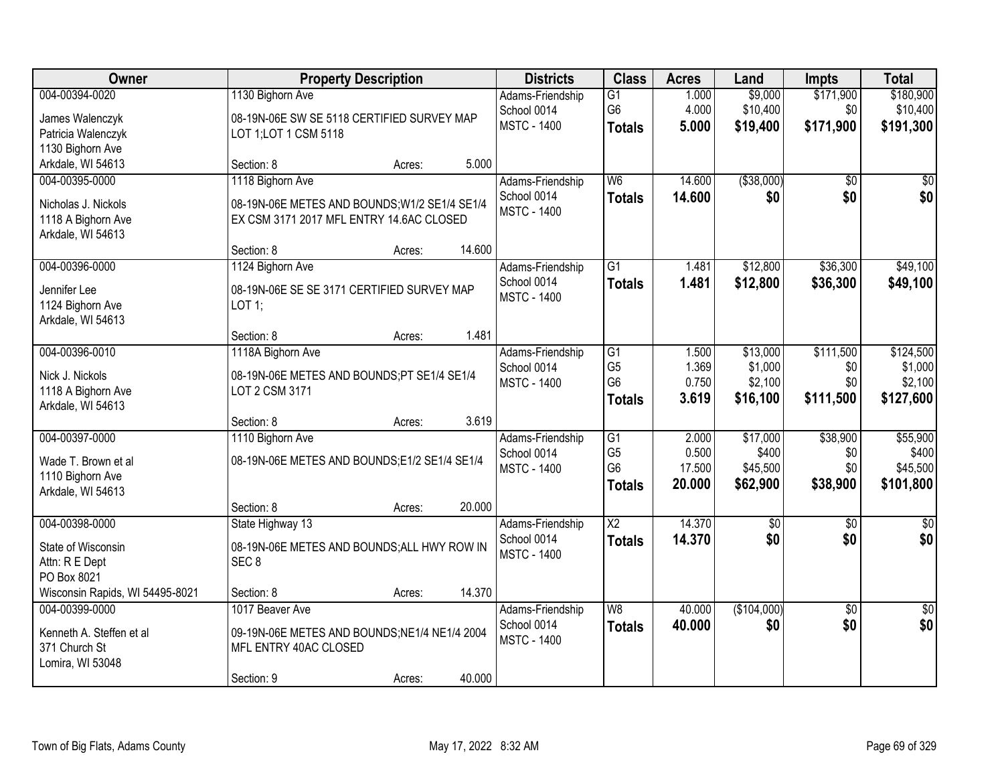| <b>Owner</b>                    |                                               | <b>Property Description</b> |        | <b>Districts</b>   | <b>Class</b>    | <b>Acres</b> | Land            | <b>Impts</b>    | <b>Total</b> |
|---------------------------------|-----------------------------------------------|-----------------------------|--------|--------------------|-----------------|--------------|-----------------|-----------------|--------------|
| 004-00394-0020                  | 1130 Bighorn Ave                              |                             |        | Adams-Friendship   | $\overline{G1}$ | 1.000        | \$9,000         | \$171,900       | \$180,900    |
| James Walenczyk                 | 08-19N-06E SW SE 5118 CERTIFIED SURVEY MAP    |                             |        | School 0014        | G <sub>6</sub>  | 4.000        | \$10,400        | \$0             | \$10,400     |
| Patricia Walenczyk              | LOT 1; LOT 1 CSM 5118                         |                             |        | <b>MSTC - 1400</b> | <b>Totals</b>   | 5.000        | \$19,400        | \$171,900       | \$191,300    |
| 1130 Bighorn Ave                |                                               |                             |        |                    |                 |              |                 |                 |              |
| Arkdale, WI 54613               | Section: 8                                    | Acres:                      | 5.000  |                    |                 |              |                 |                 |              |
| 004-00395-0000                  | 1118 Bighorn Ave                              |                             |        | Adams-Friendship   | W <sub>6</sub>  | 14.600       | ( \$38,000)     | $\overline{50}$ | \$0          |
| Nicholas J. Nickols             | 08-19N-06E METES AND BOUNDS; W1/2 SE1/4 SE1/4 |                             |        | School 0014        | <b>Totals</b>   | 14.600       | \$0             | \$0             | \$0          |
| 1118 A Bighorn Ave              | EX CSM 3171 2017 MFL ENTRY 14.6AC CLOSED      |                             |        | <b>MSTC - 1400</b> |                 |              |                 |                 |              |
| Arkdale, WI 54613               |                                               |                             |        |                    |                 |              |                 |                 |              |
|                                 | Section: 8                                    | Acres:                      | 14.600 |                    |                 |              |                 |                 |              |
| 004-00396-0000                  | 1124 Bighorn Ave                              |                             |        | Adams-Friendship   | G1              | 1.481        | \$12,800        | \$36,300        | \$49,100     |
| Jennifer Lee                    | 08-19N-06E SE SE 3171 CERTIFIED SURVEY MAP    |                             |        | School 0014        | <b>Totals</b>   | 1.481        | \$12,800        | \$36,300        | \$49,100     |
| 1124 Bighorn Ave                | LOT 1;                                        |                             |        | <b>MSTC - 1400</b> |                 |              |                 |                 |              |
| Arkdale, WI 54613               |                                               |                             |        |                    |                 |              |                 |                 |              |
|                                 | Section: 8                                    | Acres:                      | 1.481  |                    |                 |              |                 |                 |              |
| 004-00396-0010                  | 1118A Bighorn Ave                             |                             |        | Adams-Friendship   | $\overline{G1}$ | 1.500        | \$13,000        | \$111,500       | \$124,500    |
| Nick J. Nickols                 | 08-19N-06E METES AND BOUNDS;PT SE1/4 SE1/4    |                             |        | School 0014        | G <sub>5</sub>  | 1.369        | \$1,000         | \$0             | \$1,000      |
| 1118 A Bighorn Ave              | LOT 2 CSM 3171                                |                             |        | <b>MSTC - 1400</b> | G <sub>6</sub>  | 0.750        | \$2,100         | \$0             | \$2,100      |
| Arkdale, WI 54613               |                                               |                             |        |                    | <b>Totals</b>   | 3.619        | \$16,100        | \$111,500       | \$127,600    |
|                                 | Section: 8                                    | Acres:                      | 3.619  |                    |                 |              |                 |                 |              |
| 004-00397-0000                  | 1110 Bighorn Ave                              |                             |        | Adams-Friendship   | $\overline{G1}$ | 2.000        | \$17,000        | \$38,900        | \$55,900     |
| Wade T. Brown et al             | 08-19N-06E METES AND BOUNDS;E1/2 SE1/4 SE1/4  |                             |        | School 0014        | G <sub>5</sub>  | 0.500        | \$400           | \$0             | \$400        |
| 1110 Bighorn Ave                |                                               |                             |        | <b>MSTC - 1400</b> | G <sub>6</sub>  | 17.500       | \$45,500        | \$0             | \$45,500     |
| Arkdale, WI 54613               |                                               |                             |        |                    | <b>Totals</b>   | 20.000       | \$62,900        | \$38,900        | \$101,800    |
|                                 | Section: 8                                    | Acres:                      | 20.000 |                    |                 |              |                 |                 |              |
| 004-00398-0000                  | State Highway 13                              |                             |        | Adams-Friendship   | $\overline{X2}$ | 14.370       | $\overline{60}$ | $\overline{50}$ | $\sqrt{50}$  |
| State of Wisconsin              | 08-19N-06E METES AND BOUNDS; ALL HWY ROW IN   |                             |        | School 0014        | <b>Totals</b>   | 14.370       | \$0             | \$0             | \$0          |
| Attn: R E Dept                  | SEC <sub>8</sub>                              |                             |        | <b>MSTC - 1400</b> |                 |              |                 |                 |              |
| PO Box 8021                     |                                               |                             |        |                    |                 |              |                 |                 |              |
| Wisconsin Rapids, WI 54495-8021 | Section: 8                                    | Acres:                      | 14.370 |                    |                 |              |                 |                 |              |
| 004-00399-0000                  | 1017 Beaver Ave                               |                             |        | Adams-Friendship   | W8              | 40.000       | (\$104,000)     | $\overline{30}$ | \$0          |
| Kenneth A. Steffen et al        | 09-19N-06E METES AND BOUNDS; NE1/4 NE1/4 2004 |                             |        | School 0014        | <b>Totals</b>   | 40.000       | \$0             | \$0             | \$0          |
| 371 Church St                   | MFL ENTRY 40AC CLOSED                         |                             |        | <b>MSTC - 1400</b> |                 |              |                 |                 |              |
| Lomira, WI 53048                |                                               |                             |        |                    |                 |              |                 |                 |              |
|                                 | Section: 9                                    | Acres:                      | 40.000 |                    |                 |              |                 |                 |              |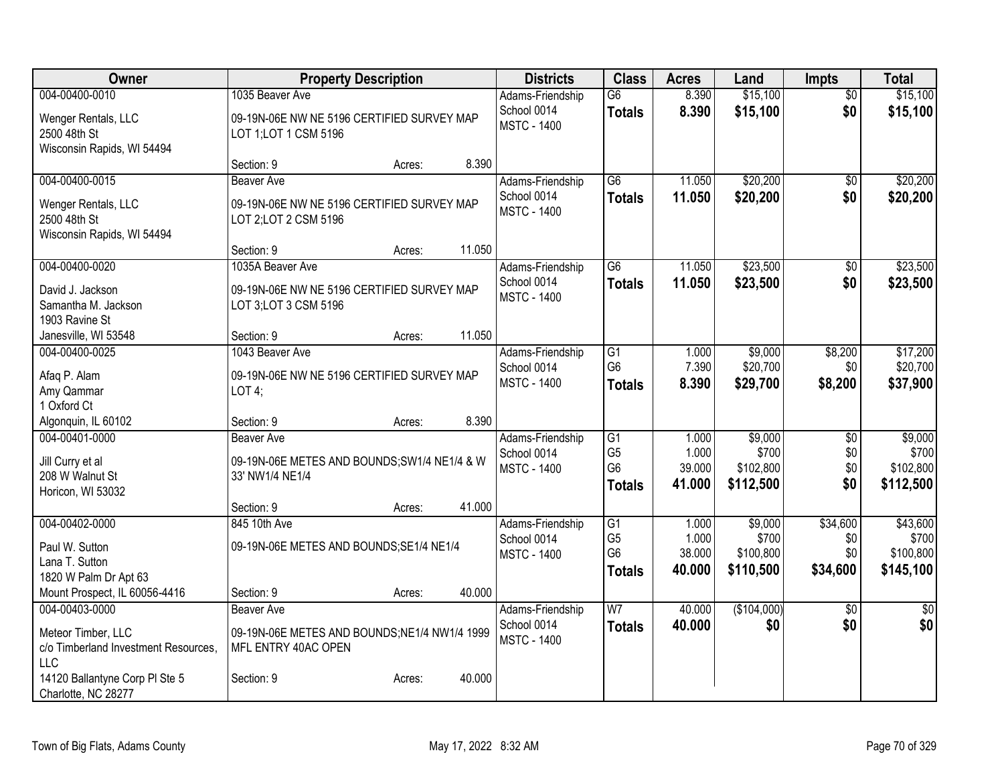| Owner                                                                                                                                               | <b>Property Description</b>                                                                                      |        | <b>Districts</b>                                      | <b>Class</b>                                                         | <b>Acres</b>                       | Land                                       | <b>Impts</b>                       | <b>Total</b>                                |
|-----------------------------------------------------------------------------------------------------------------------------------------------------|------------------------------------------------------------------------------------------------------------------|--------|-------------------------------------------------------|----------------------------------------------------------------------|------------------------------------|--------------------------------------------|------------------------------------|---------------------------------------------|
| 004-00400-0010<br>Wenger Rentals, LLC<br>2500 48th St<br>Wisconsin Rapids, WI 54494                                                                 | 1035 Beaver Ave<br>09-19N-06E NW NE 5196 CERTIFIED SURVEY MAP<br>LOT 1; LOT 1 CSM 5196                           |        | Adams-Friendship<br>School 0014<br><b>MSTC - 1400</b> | $\overline{G6}$<br><b>Totals</b>                                     | 8.390<br>8.390                     | \$15,100<br>\$15,100                       | $\overline{50}$<br>\$0             | \$15,100<br>\$15,100                        |
|                                                                                                                                                     | Section: 9<br>Acres:                                                                                             | 8.390  |                                                       |                                                                      |                                    |                                            |                                    |                                             |
| 004-00400-0015<br>Wenger Rentals, LLC<br>2500 48th St<br>Wisconsin Rapids, WI 54494                                                                 | <b>Beaver Ave</b><br>09-19N-06E NW NE 5196 CERTIFIED SURVEY MAP<br>LOT 2; LOT 2 CSM 5196                         |        | Adams-Friendship<br>School 0014<br><b>MSTC - 1400</b> | $\overline{G6}$<br><b>Totals</b>                                     | 11.050<br>11.050                   | \$20,200<br>\$20,200                       | $\overline{50}$<br>\$0             | \$20,200<br>\$20,200                        |
|                                                                                                                                                     | Section: 9<br>Acres:                                                                                             | 11.050 |                                                       |                                                                      |                                    |                                            |                                    |                                             |
| 004-00400-0020<br>David J. Jackson<br>Samantha M. Jackson<br>1903 Ravine St                                                                         | 1035A Beaver Ave<br>09-19N-06E NW NE 5196 CERTIFIED SURVEY MAP<br>LOT 3; LOT 3 CSM 5196                          | 11.050 | Adams-Friendship<br>School 0014<br><b>MSTC - 1400</b> | $\overline{G6}$<br><b>Totals</b>                                     | 11.050<br>11.050                   | \$23,500<br>\$23,500                       | \$0<br>\$0                         | \$23,500<br>\$23,500                        |
| Janesville, WI 53548<br>004-00400-0025                                                                                                              | Section: 9<br>Acres:<br>1043 Beaver Ave                                                                          |        | Adams-Friendship                                      | G1                                                                   | 1.000                              | \$9,000                                    | \$8,200                            | \$17,200                                    |
| Afaq P. Alam<br>Amy Qammar<br>1 Oxford Ct                                                                                                           | 09-19N-06E NW NE 5196 CERTIFIED SURVEY MAP<br>LOT4;                                                              |        | School 0014<br><b>MSTC - 1400</b>                     | G <sub>6</sub><br><b>Totals</b>                                      | 7.390<br>8.390                     | \$20,700<br>\$29,700                       | \$0<br>\$8,200                     | \$20,700<br>\$37,900                        |
| Algonquin, IL 60102                                                                                                                                 | Section: 9<br>Acres:                                                                                             | 8.390  |                                                       |                                                                      |                                    |                                            |                                    |                                             |
| 004-00401-0000<br>Jill Curry et al<br>208 W Walnut St<br>Horicon, WI 53032                                                                          | <b>Beaver Ave</b><br>09-19N-06E METES AND BOUNDS;SW1/4 NE1/4 & W<br>33' NW1/4 NE1/4                              |        | Adams-Friendship<br>School 0014<br><b>MSTC - 1400</b> | $\overline{G1}$<br>G <sub>5</sub><br>G <sub>6</sub><br><b>Totals</b> | 1.000<br>1.000<br>39.000<br>41.000 | \$9,000<br>\$700<br>\$102,800<br>\$112,500 | \$0<br>\$0<br>\$0<br>\$0           | \$9,000<br>\$700<br>\$102,800<br>\$112,500  |
|                                                                                                                                                     | Section: 9<br>Acres:                                                                                             | 41.000 |                                                       |                                                                      |                                    |                                            |                                    |                                             |
| 004-00402-0000<br>Paul W. Sutton<br>Lana T. Sutton<br>1820 W Palm Dr Apt 63                                                                         | 845 10th Ave<br>09-19N-06E METES AND BOUNDS; SE1/4 NE1/4                                                         |        | Adams-Friendship<br>School 0014<br><b>MSTC - 1400</b> | $\overline{G1}$<br>G <sub>5</sub><br>G <sub>6</sub><br><b>Totals</b> | 1.000<br>1.000<br>38.000<br>40.000 | \$9,000<br>\$700<br>\$100,800<br>\$110,500 | \$34,600<br>\$0<br>\$0<br>\$34,600 | \$43,600<br>\$700<br>\$100,800<br>\$145,100 |
| Mount Prospect, IL 60056-4416                                                                                                                       | Section: 9<br>Acres:                                                                                             | 40.000 |                                                       |                                                                      |                                    |                                            |                                    |                                             |
| 004-00403-0000<br>Meteor Timber, LLC<br>c/o Timberland Investment Resources,<br><b>LLC</b><br>14120 Ballantyne Corp PI Ste 5<br>Charlotte, NC 28277 | <b>Beaver Ave</b><br>09-19N-06E METES AND BOUNDS;NE1/4 NW1/4 1999<br>MFL ENTRY 40AC OPEN<br>Section: 9<br>Acres: | 40.000 | Adams-Friendship<br>School 0014<br><b>MSTC - 1400</b> | $\overline{W}$<br><b>Totals</b>                                      | 40.000<br>40.000                   | (\$104,000)<br>\$0                         | $\overline{50}$<br>\$0             | $\sqrt{50}$<br>\$0                          |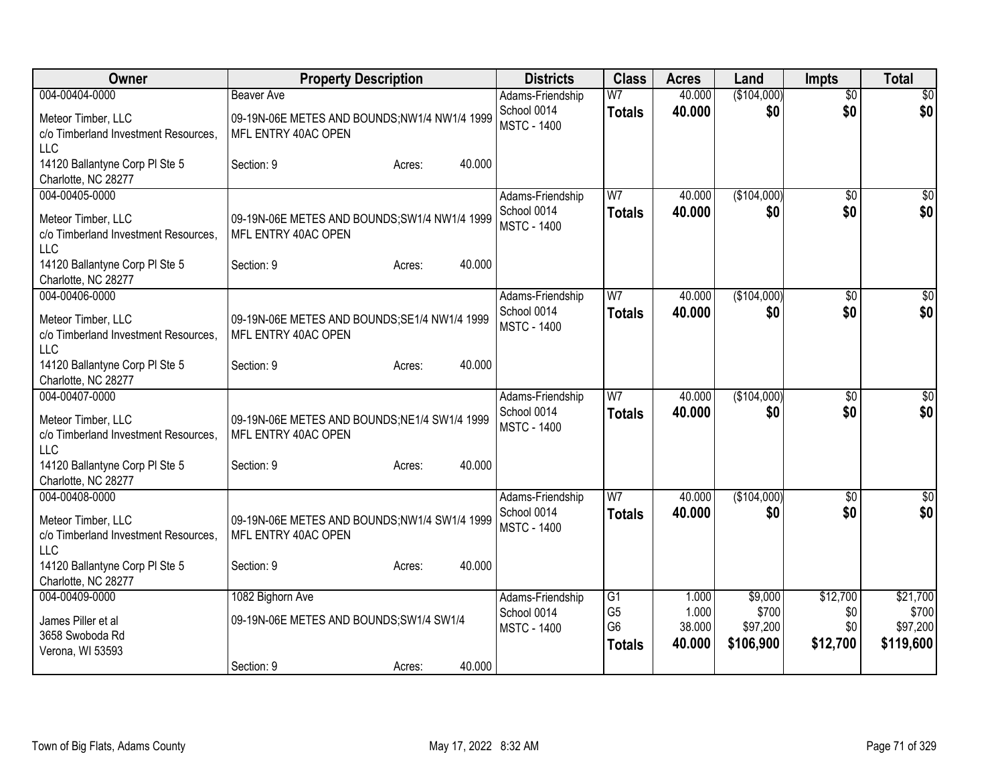| Owner                                                                                      | <b>Property Description</b>                                                              | <b>Districts</b>                                      | <b>Class</b>                                            | <b>Acres</b>                       | Land                                      | <b>Impts</b>                       | <b>Total</b>                               |
|--------------------------------------------------------------------------------------------|------------------------------------------------------------------------------------------|-------------------------------------------------------|---------------------------------------------------------|------------------------------------|-------------------------------------------|------------------------------------|--------------------------------------------|
| 004-00404-0000<br>Meteor Timber, LLC<br>c/o Timberland Investment Resources,<br><b>LLC</b> | <b>Beaver Ave</b><br>09-19N-06E METES AND BOUNDS;NW1/4 NW1/4 1999<br>MFL ENTRY 40AC OPEN | Adams-Friendship<br>School 0014<br><b>MSTC - 1400</b> | W <sub>7</sub><br><b>Totals</b>                         | 40.000<br>40.000                   | (\$104,000)<br>\$0                        | $\overline{50}$<br>\$0             | $\overline{30}$<br>\$0                     |
| 14120 Ballantyne Corp PI Ste 5<br>Charlotte, NC 28277                                      | 40.000<br>Section: 9<br>Acres:                                                           |                                                       |                                                         |                                    |                                           |                                    |                                            |
| 004-00405-0000<br>Meteor Timber, LLC<br>c/o Timberland Investment Resources,<br><b>LLC</b> | 09-19N-06E METES AND BOUNDS; SW1/4 NW1/4 1999<br>MFL ENTRY 40AC OPEN                     | Adams-Friendship<br>School 0014<br><b>MSTC - 1400</b> | W <sub>7</sub><br><b>Totals</b>                         | 40.000<br>40.000                   | (\$104,000)<br>\$0                        | $\overline{50}$<br>\$0             | \$0<br>\$0                                 |
| 14120 Ballantyne Corp PI Ste 5<br>Charlotte, NC 28277                                      | 40.000<br>Section: 9<br>Acres:                                                           |                                                       |                                                         |                                    |                                           |                                    |                                            |
| 004-00406-0000<br>Meteor Timber, LLC<br>c/o Timberland Investment Resources,<br>LLC        | 09-19N-06E METES AND BOUNDS; SE1/4 NW1/4 1999<br>MFL ENTRY 40AC OPEN                     | Adams-Friendship<br>School 0014<br><b>MSTC - 1400</b> | W7<br><b>Totals</b>                                     | 40.000<br>40.000                   | (\$104,000)<br>\$0                        | \$0<br>\$0                         | \$0<br>\$0                                 |
| 14120 Ballantyne Corp PI Ste 5<br>Charlotte, NC 28277                                      | 40.000<br>Section: 9<br>Acres:                                                           |                                                       |                                                         |                                    |                                           |                                    |                                            |
| 004-00407-0000<br>Meteor Timber, LLC<br>c/o Timberland Investment Resources,<br><b>LLC</b> | 09-19N-06E METES AND BOUNDS; NE1/4 SW1/4 1999<br>MFL ENTRY 40AC OPEN                     | Adams-Friendship<br>School 0014<br><b>MSTC - 1400</b> | W <sub>7</sub><br><b>Totals</b>                         | 40.000<br>40,000                   | (\$104,000)<br>\$0                        | \$0<br>\$0                         | \$0<br>\$0                                 |
| 14120 Ballantyne Corp PI Ste 5<br>Charlotte, NC 28277                                      | 40.000<br>Section: 9<br>Acres:                                                           |                                                       |                                                         |                                    |                                           |                                    |                                            |
| 004-00408-0000<br>Meteor Timber, LLC<br>c/o Timberland Investment Resources.<br>LLC        | 09-19N-06E METES AND BOUNDS;NW1/4 SW1/4 1999<br>MFL ENTRY 40AC OPEN                      | Adams-Friendship<br>School 0014<br><b>MSTC - 1400</b> | W <sub>7</sub><br><b>Totals</b>                         | 40.000<br>40.000                   | (\$104,000)<br>\$0                        | $\overline{50}$<br>\$0             | $\sqrt{50}$<br>\$0                         |
| 14120 Ballantyne Corp PI Ste 5<br>Charlotte, NC 28277                                      | 40.000<br>Section: 9<br>Acres:                                                           |                                                       |                                                         |                                    |                                           |                                    |                                            |
| 004-00409-0000<br>James Piller et al<br>3658 Swoboda Rd<br>Verona, WI 53593                | 1082 Bighorn Ave<br>09-19N-06E METES AND BOUNDS; SW1/4 SW1/4                             | Adams-Friendship<br>School 0014<br><b>MSTC - 1400</b> | G1<br>G <sub>5</sub><br>G <sub>6</sub><br><b>Totals</b> | 1.000<br>1.000<br>38.000<br>40.000 | \$9,000<br>\$700<br>\$97,200<br>\$106,900 | \$12,700<br>\$0<br>\$0<br>\$12,700 | \$21,700<br>\$700<br>\$97,200<br>\$119,600 |
|                                                                                            | 40.000<br>Section: 9<br>Acres:                                                           |                                                       |                                                         |                                    |                                           |                                    |                                            |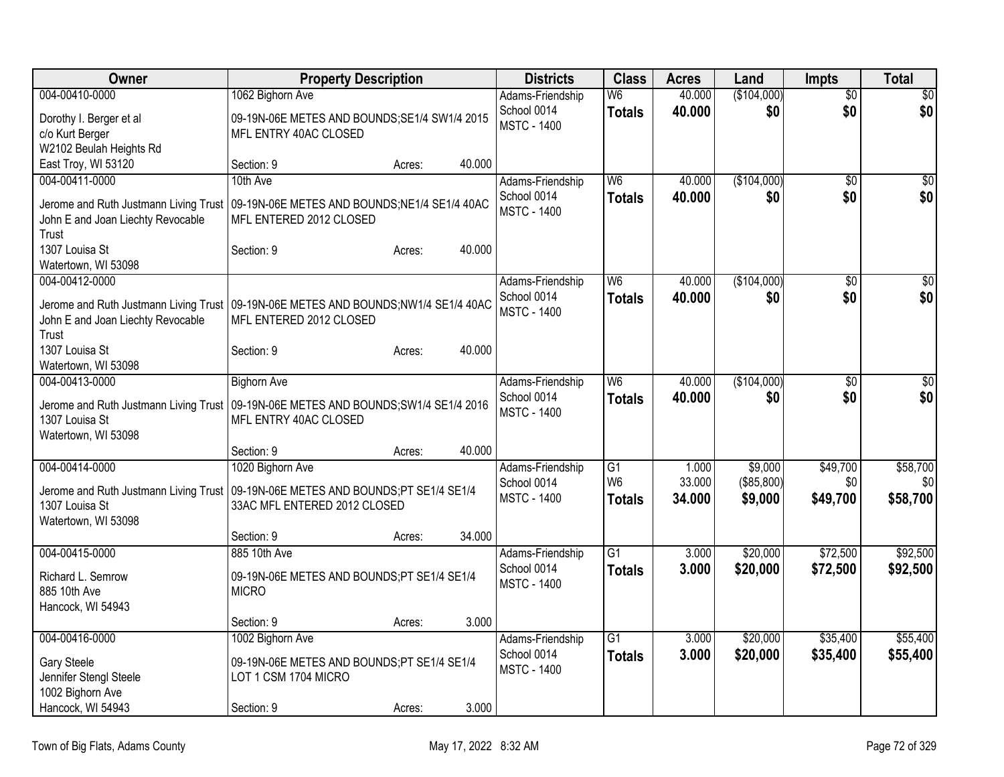| Owner                                                                                | <b>Property Description</b>                   |        |        | <b>Districts</b>                  | <b>Class</b>    | <b>Acres</b> | Land        | <b>Impts</b>    | <b>Total</b>     |
|--------------------------------------------------------------------------------------|-----------------------------------------------|--------|--------|-----------------------------------|-----------------|--------------|-------------|-----------------|------------------|
| 004-00410-0000                                                                       | 1062 Bighorn Ave                              |        |        | Adams-Friendship                  | W <sub>6</sub>  | 40.000       | (\$104,000) | $\overline{50}$ | $\overline{\$0}$ |
| Dorothy I. Berger et al                                                              | 09-19N-06E METES AND BOUNDS; SE1/4 SW1/4 2015 |        |        | School 0014<br><b>MSTC - 1400</b> | <b>Totals</b>   | 40.000       | \$0         | \$0             | \$0              |
| c/o Kurt Berger                                                                      | MFL ENTRY 40AC CLOSED                         |        |        |                                   |                 |              |             |                 |                  |
| W2102 Beulah Heights Rd                                                              |                                               |        |        |                                   |                 |              |             |                 |                  |
| East Troy, WI 53120                                                                  | Section: 9                                    | Acres: | 40.000 |                                   |                 |              |             |                 |                  |
| 004-00411-0000                                                                       | 10th Ave                                      |        |        | Adams-Friendship                  | W6              | 40.000       | (\$104,000) | \$0             | $\overline{50}$  |
| Jerome and Ruth Justmann Living Trust   09-19N-06E METES AND BOUNDS;NE1/4 SE1/4 40AC |                                               |        |        | School 0014                       | <b>Totals</b>   | 40.000       | \$0         | \$0             | \$0              |
| John E and Joan Liechty Revocable                                                    | MFL ENTERED 2012 CLOSED                       |        |        | <b>MSTC - 1400</b>                |                 |              |             |                 |                  |
| Trust                                                                                |                                               |        |        |                                   |                 |              |             |                 |                  |
| 1307 Louisa St                                                                       | Section: 9                                    | Acres: | 40.000 |                                   |                 |              |             |                 |                  |
| Watertown, WI 53098                                                                  |                                               |        |        |                                   |                 |              |             |                 |                  |
| 004-00412-0000                                                                       |                                               |        |        | Adams-Friendship                  | $\overline{W6}$ | 40.000       | (\$104,000) | $\overline{50}$ | \$0              |
| Jerome and Ruth Justmann Living Trust   09-19N-06E METES AND BOUNDS;NW1/4 SE1/4 40AC |                                               |        |        | School 0014                       | <b>Totals</b>   | 40.000       | \$0         | \$0             | \$0              |
| John E and Joan Liechty Revocable                                                    | MFL ENTERED 2012 CLOSED                       |        |        | <b>MSTC - 1400</b>                |                 |              |             |                 |                  |
| Trust                                                                                |                                               |        |        |                                   |                 |              |             |                 |                  |
| 1307 Louisa St                                                                       | Section: 9                                    | Acres: | 40.000 |                                   |                 |              |             |                 |                  |
| Watertown, WI 53098                                                                  |                                               |        |        |                                   |                 |              |             |                 |                  |
| 004-00413-0000                                                                       | <b>Bighorn Ave</b>                            |        |        | Adams-Friendship                  | W <sub>6</sub>  | 40.000       | (\$104,000) | \$0             | $\overline{50}$  |
| Jerome and Ruth Justmann Living Trust   09-19N-06E METES AND BOUNDS;SW1/4 SE1/4 2016 |                                               |        |        | School 0014                       | <b>Totals</b>   | 40.000       | \$0         | \$0             | \$0              |
| 1307 Louisa St                                                                       | MFL ENTRY 40AC CLOSED                         |        |        | <b>MSTC - 1400</b>                |                 |              |             |                 |                  |
| Watertown, WI 53098                                                                  |                                               |        |        |                                   |                 |              |             |                 |                  |
|                                                                                      | Section: 9                                    | Acres: | 40.000 |                                   |                 |              |             |                 |                  |
| 004-00414-0000                                                                       | 1020 Bighorn Ave                              |        |        | Adams-Friendship                  | G1              | 1.000        | \$9,000     | \$49,700        | \$58,700         |
| Jerome and Ruth Justmann Living Trust                                                | 09-19N-06E METES AND BOUNDS;PT SE1/4 SE1/4    |        |        | School 0014                       | W <sub>6</sub>  | 33.000       | (\$85,800)  | \$0             | \$0              |
| 1307 Louisa St                                                                       | 33AC MFL ENTERED 2012 CLOSED                  |        |        | <b>MSTC - 1400</b>                | <b>Totals</b>   | 34.000       | \$9,000     | \$49,700        | \$58,700         |
| Watertown, WI 53098                                                                  |                                               |        |        |                                   |                 |              |             |                 |                  |
|                                                                                      | Section: 9                                    | Acres: | 34.000 |                                   |                 |              |             |                 |                  |
| 004-00415-0000                                                                       | 885 10th Ave                                  |        |        | Adams-Friendship                  | $\overline{G1}$ | 3.000        | \$20,000    | \$72,500        | \$92,500         |
| Richard L. Semrow                                                                    | 09-19N-06E METES AND BOUNDS;PT SE1/4 SE1/4    |        |        | School 0014                       | <b>Totals</b>   | 3.000        | \$20,000    | \$72,500        | \$92,500         |
| 885 10th Ave                                                                         | <b>MICRO</b>                                  |        |        | <b>MSTC - 1400</b>                |                 |              |             |                 |                  |
| Hancock, WI 54943                                                                    |                                               |        |        |                                   |                 |              |             |                 |                  |
|                                                                                      | Section: 9                                    | Acres: | 3.000  |                                   |                 |              |             |                 |                  |
| 004-00416-0000                                                                       | 1002 Bighorn Ave                              |        |        | Adams-Friendship                  | $\overline{G1}$ | 3.000        | \$20,000    | \$35,400        | \$55,400         |
| Gary Steele                                                                          | 09-19N-06E METES AND BOUNDS;PT SE1/4 SE1/4    |        |        | School 0014                       | <b>Totals</b>   | 3.000        | \$20,000    | \$35,400        | \$55,400         |
| Jennifer Stengl Steele                                                               | LOT 1 CSM 1704 MICRO                          |        |        | <b>MSTC - 1400</b>                |                 |              |             |                 |                  |
| 1002 Bighorn Ave                                                                     |                                               |        |        |                                   |                 |              |             |                 |                  |
| Hancock, WI 54943                                                                    | Section: 9                                    | Acres: | 3.000  |                                   |                 |              |             |                 |                  |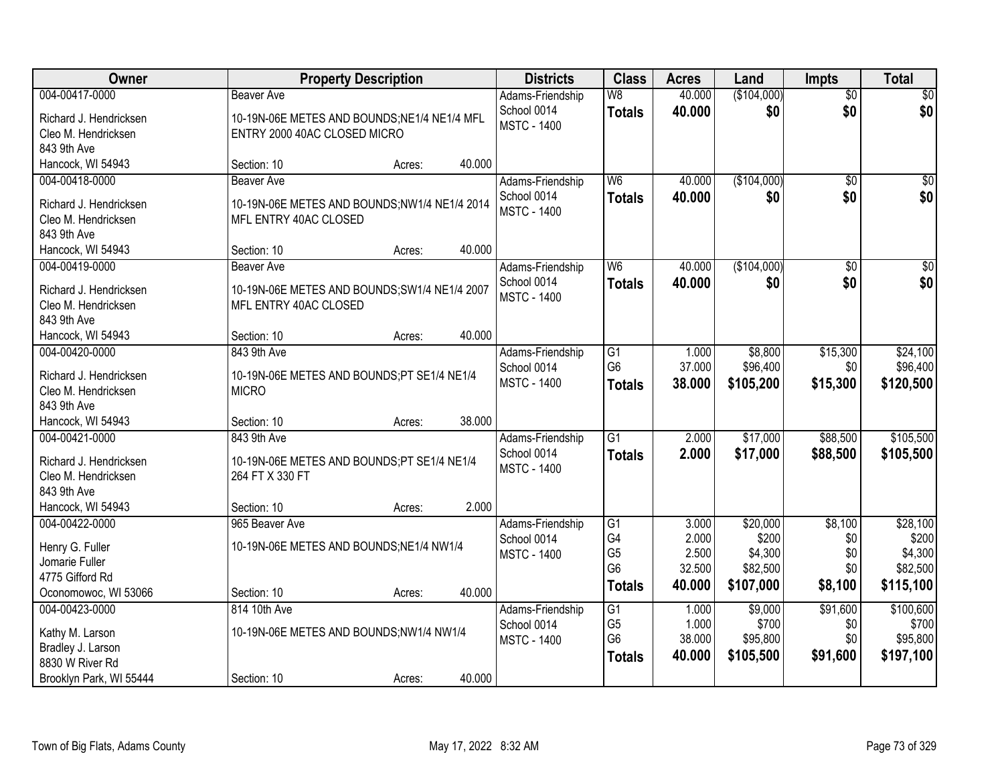| Owner                              | <b>Property Description</b>                   |        | <b>Districts</b>                | <b>Class</b>    | <b>Acres</b>   | Land              | <b>Impts</b>    | <b>Total</b>      |
|------------------------------------|-----------------------------------------------|--------|---------------------------------|-----------------|----------------|-------------------|-----------------|-------------------|
| 004-00417-0000                     | <b>Beaver Ave</b>                             |        | Adams-Friendship                | W8              | 40.000         | (\$104,000)       | $\overline{50}$ | $\sqrt{50}$       |
| Richard J. Hendricksen             | 10-19N-06E METES AND BOUNDS;NE1/4 NE1/4 MFL   |        | School 0014                     | <b>Totals</b>   | 40.000         | \$0               | \$0             | \$0               |
| Cleo M. Hendricksen                | ENTRY 2000 40AC CLOSED MICRO                  |        | <b>MSTC - 1400</b>              |                 |                |                   |                 |                   |
| 843 9th Ave                        |                                               |        |                                 |                 |                |                   |                 |                   |
| Hancock, WI 54943                  | Section: 10<br>Acres:                         | 40.000 |                                 |                 |                |                   |                 |                   |
| 004-00418-0000                     | <b>Beaver Ave</b>                             |        | Adams-Friendship                | W <sub>6</sub>  | 40.000         | (\$104,000)       | $\overline{50}$ | $\sqrt{50}$       |
| Richard J. Hendricksen             | 10-19N-06E METES AND BOUNDS;NW1/4 NE1/4 2014  |        | School 0014                     | <b>Totals</b>   | 40.000         | \$0               | \$0             | \$0               |
| Cleo M. Hendricksen                | MFL ENTRY 40AC CLOSED                         |        | <b>MSTC - 1400</b>              |                 |                |                   |                 |                   |
| 843 9th Ave                        |                                               |        |                                 |                 |                |                   |                 |                   |
| Hancock, WI 54943                  | Section: 10<br>Acres:                         | 40.000 |                                 |                 |                |                   |                 |                   |
| 004-00419-0000                     | <b>Beaver Ave</b>                             |        | Adams-Friendship                | W6              | 40.000         | (\$104,000)       | $\overline{50}$ | $\overline{\$0}$  |
| Richard J. Hendricksen             | 10-19N-06E METES AND BOUNDS; SW1/4 NE1/4 2007 |        | School 0014                     | <b>Totals</b>   | 40.000         | \$0               | \$0             | \$0               |
| Cleo M. Hendricksen                | MFL ENTRY 40AC CLOSED                         |        | <b>MSTC - 1400</b>              |                 |                |                   |                 |                   |
| 843 9th Ave                        |                                               |        |                                 |                 |                |                   |                 |                   |
| Hancock, WI 54943                  | Section: 10<br>Acres:                         | 40.000 |                                 |                 |                |                   |                 |                   |
| 004-00420-0000                     | 843 9th Ave                                   |        | Adams-Friendship                | G1              | 1.000          | \$8,800           | \$15,300        | \$24,100          |
|                                    |                                               |        | School 0014                     | G <sub>6</sub>  | 37.000         | \$96,400          | \$0             | \$96,400          |
| Richard J. Hendricksen             | 10-19N-06E METES AND BOUNDS;PT SE1/4 NE1/4    |        | <b>MSTC - 1400</b>              | <b>Totals</b>   | 38.000         | \$105,200         | \$15,300        | \$120,500         |
| Cleo M. Hendricksen<br>843 9th Ave | <b>MICRO</b>                                  |        |                                 |                 |                |                   |                 |                   |
| Hancock, WI 54943                  | Section: 10<br>Acres:                         | 38.000 |                                 |                 |                |                   |                 |                   |
| 004-00421-0000                     | 843 9th Ave                                   |        | Adams-Friendship                | $\overline{G1}$ | 2.000          | \$17,000          | \$88,500        | \$105,500         |
|                                    |                                               |        | School 0014                     | <b>Totals</b>   | 2.000          | \$17,000          | \$88,500        | \$105,500         |
| Richard J. Hendricksen             | 10-19N-06E METES AND BOUNDS;PT SE1/4 NE1/4    |        | <b>MSTC - 1400</b>              |                 |                |                   |                 |                   |
| Cleo M. Hendricksen                | 264 FT X 330 FT                               |        |                                 |                 |                |                   |                 |                   |
| 843 9th Ave                        |                                               |        |                                 |                 |                |                   |                 |                   |
| Hancock, WI 54943                  | Section: 10<br>Acres:                         | 2.000  |                                 |                 |                |                   |                 |                   |
| 004-00422-0000                     | 965 Beaver Ave                                |        | Adams-Friendship<br>School 0014 | G1<br>G4        | 3.000<br>2.000 | \$20,000<br>\$200 | \$8,100<br>\$0  | \$28,100<br>\$200 |
| Henry G. Fuller                    | 10-19N-06E METES AND BOUNDS;NE1/4 NW1/4       |        | <b>MSTC - 1400</b>              | G <sub>5</sub>  | 2.500          | \$4,300           | \$0             | \$4,300           |
| Jomarie Fuller                     |                                               |        |                                 | G <sub>6</sub>  | 32.500         | \$82,500          | \$0             | \$82,500          |
| 4775 Gifford Rd                    |                                               |        |                                 | <b>Totals</b>   | 40.000         | \$107,000         | \$8,100         | \$115,100         |
| Oconomowoc, WI 53066               | Section: 10<br>Acres:                         | 40.000 |                                 |                 |                |                   |                 |                   |
| 004-00423-0000                     | 814 10th Ave                                  |        | Adams-Friendship                | G1              | 1.000          | \$9,000           | \$91,600        | \$100,600         |
| Kathy M. Larson                    | 10-19N-06E METES AND BOUNDS;NW1/4 NW1/4       |        | School 0014                     | G <sub>5</sub>  | 1.000          | \$700             | \$0             | \$700             |
| Bradley J. Larson                  |                                               |        | <b>MSTC - 1400</b>              | G <sub>6</sub>  | 38.000         | \$95,800          | \$0             | \$95,800          |
| 8830 W River Rd                    |                                               |        |                                 | <b>Totals</b>   | 40.000         | \$105,500         | \$91,600        | \$197,100         |
| Brooklyn Park, WI 55444            | Section: 10<br>Acres:                         | 40.000 |                                 |                 |                |                   |                 |                   |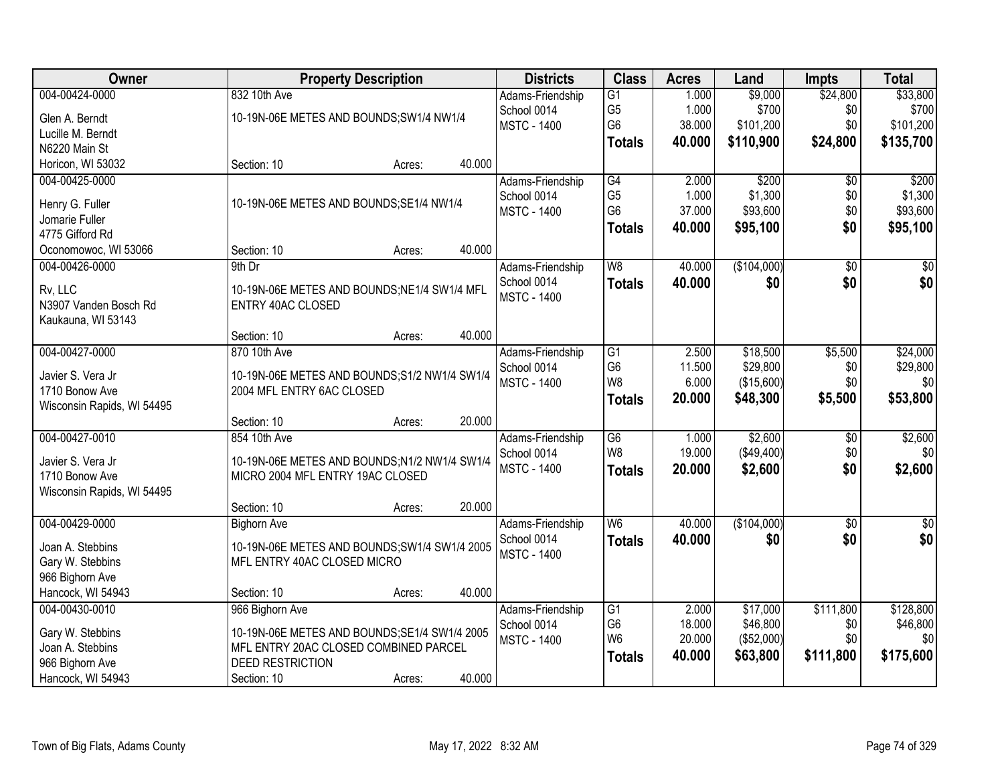| Owner                             |                                               | <b>Property Description</b> |        | <b>Districts</b>   | <b>Class</b>    | <b>Acres</b> | Land        | <b>Impts</b>    | <b>Total</b>    |
|-----------------------------------|-----------------------------------------------|-----------------------------|--------|--------------------|-----------------|--------------|-------------|-----------------|-----------------|
| 004-00424-0000                    | 832 10th Ave                                  |                             |        | Adams-Friendship   | G1              | 1.000        | \$9,000     | \$24,800        | \$33,800        |
| Glen A. Berndt                    | 10-19N-06E METES AND BOUNDS; SW1/4 NW1/4      |                             |        | School 0014        | G <sub>5</sub>  | 1.000        | \$700       | \$0             | \$700           |
| Lucille M. Berndt                 |                                               |                             |        | <b>MSTC - 1400</b> | G <sub>6</sub>  | 38.000       | \$101,200   | \$0             | \$101,200       |
| N6220 Main St                     |                                               |                             |        |                    | <b>Totals</b>   | 40.000       | \$110,900   | \$24,800        | \$135,700       |
| Horicon, WI 53032                 | Section: 10                                   | Acres:                      | 40.000 |                    |                 |              |             |                 |                 |
| 004-00425-0000                    |                                               |                             |        | Adams-Friendship   | $\overline{G4}$ | 2.000        | \$200       | $\overline{50}$ | \$200           |
|                                   |                                               |                             |        | School 0014        | G <sub>5</sub>  | 1.000        | \$1,300     | \$0             | \$1,300         |
| Henry G. Fuller                   | 10-19N-06E METES AND BOUNDS;SE1/4 NW1/4       |                             |        | <b>MSTC - 1400</b> | G <sub>6</sub>  | 37.000       | \$93,600    | \$0             | \$93,600        |
| Jomarie Fuller<br>4775 Gifford Rd |                                               |                             |        |                    | <b>Totals</b>   | 40.000       | \$95,100    | \$0             | \$95,100        |
| Oconomowoc, WI 53066              | Section: 10                                   | Acres:                      | 40.000 |                    |                 |              |             |                 |                 |
| 004-00426-0000                    | 9th Dr                                        |                             |        | Adams-Friendship   | W8              | 40.000       | (\$104,000) | $\overline{50}$ | $\overline{50}$ |
|                                   |                                               |                             |        | School 0014        |                 | 40.000       | \$0         | \$0             | \$0             |
| Rv, LLC                           | 10-19N-06E METES AND BOUNDS; NE1/4 SW1/4 MFL  |                             |        | <b>MSTC - 1400</b> | <b>Totals</b>   |              |             |                 |                 |
| N3907 Vanden Bosch Rd             | <b>ENTRY 40AC CLOSED</b>                      |                             |        |                    |                 |              |             |                 |                 |
| Kaukauna, WI 53143                |                                               |                             |        |                    |                 |              |             |                 |                 |
|                                   | Section: 10                                   | Acres:                      | 40.000 |                    |                 |              |             |                 |                 |
| 004-00427-0000                    | 870 10th Ave                                  |                             |        | Adams-Friendship   | G1              | 2.500        | \$18,500    | \$5,500         | \$24,000        |
| Javier S. Vera Jr                 | 10-19N-06E METES AND BOUNDS; S1/2 NW1/4 SW1/4 |                             |        | School 0014        | G <sub>6</sub>  | 11.500       | \$29,800    | \$0             | \$29,800        |
| 1710 Bonow Ave                    | 2004 MFL ENTRY 6AC CLOSED                     |                             |        | <b>MSTC - 1400</b> | W <sub>8</sub>  | 6.000        | (\$15,600)  | \$0             | \$0             |
| Wisconsin Rapids, WI 54495        |                                               |                             |        |                    | <b>Totals</b>   | 20.000       | \$48,300    | \$5,500         | \$53,800        |
|                                   | Section: 10                                   | Acres:                      | 20.000 |                    |                 |              |             |                 |                 |
| 004-00427-0010                    | 854 10th Ave                                  |                             |        | Adams-Friendship   | $\overline{G6}$ | 1.000        | \$2,600     | \$0             | \$2,600         |
|                                   |                                               |                             |        | School 0014        | W <sub>8</sub>  | 19.000       | (\$49,400)  | \$0             | \$0             |
| Javier S. Vera Jr                 | 10-19N-06E METES AND BOUNDS;N1/2 NW1/4 SW1/4  |                             |        | <b>MSTC - 1400</b> | <b>Totals</b>   | 20.000       | \$2,600     | \$0             | \$2,600         |
| 1710 Bonow Ave                    | MICRO 2004 MFL ENTRY 19AC CLOSED              |                             |        |                    |                 |              |             |                 |                 |
| Wisconsin Rapids, WI 54495        | Section: 10                                   |                             | 20.000 |                    |                 |              |             |                 |                 |
| 004-00429-0000                    | <b>Bighorn Ave</b>                            | Acres:                      |        | Adams-Friendship   | $\overline{W6}$ | 40.000       | (\$104,000) | $\overline{50}$ | $\overline{50}$ |
|                                   |                                               |                             |        | School 0014        |                 | 40.000       | \$0         | \$0             | \$0             |
| Joan A. Stebbins                  | 10-19N-06E METES AND BOUNDS; SW1/4 SW1/4 2005 |                             |        | <b>MSTC - 1400</b> | <b>Totals</b>   |              |             |                 |                 |
| Gary W. Stebbins                  | MFL ENTRY 40AC CLOSED MICRO                   |                             |        |                    |                 |              |             |                 |                 |
| 966 Bighorn Ave                   |                                               |                             |        |                    |                 |              |             |                 |                 |
| Hancock, WI 54943                 | Section: 10                                   | Acres:                      | 40.000 |                    |                 |              |             |                 |                 |
| 004-00430-0010                    | 966 Bighorn Ave                               |                             |        | Adams-Friendship   | $\overline{G1}$ | 2.000        | \$17,000    | \$111,800       | \$128,800       |
| Gary W. Stebbins                  | 10-19N-06E METES AND BOUNDS; SE1/4 SW1/4 2005 |                             |        | School 0014        | G <sub>6</sub>  | 18.000       | \$46,800    | \$0             | \$46,800        |
| Joan A. Stebbins                  | MFL ENTRY 20AC CLOSED COMBINED PARCEL         |                             |        | <b>MSTC - 1400</b> | W <sub>6</sub>  | 20.000       | (\$52,000)  | \$0             | \$0             |
| 966 Bighorn Ave                   | DEED RESTRICTION                              |                             |        |                    | <b>Totals</b>   | 40.000       | \$63,800    | \$111,800       | \$175,600       |
| Hancock, WI 54943                 | Section: 10                                   | Acres:                      | 40.000 |                    |                 |              |             |                 |                 |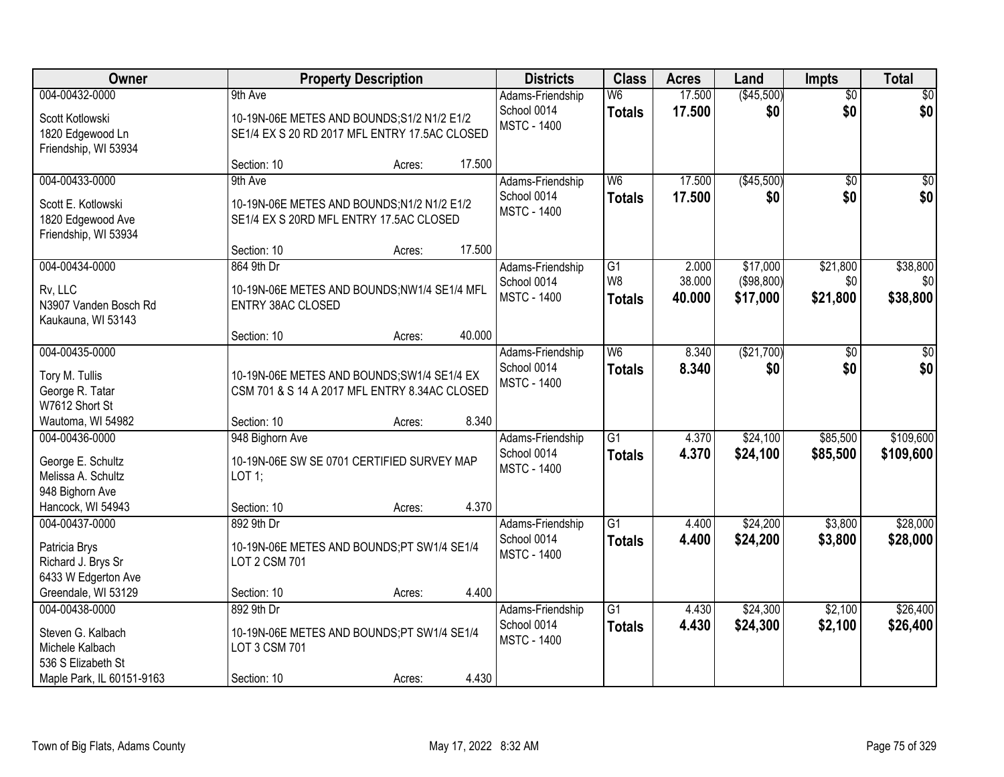| <b>Owner</b>                                                                 |                                                                                              | <b>Property Description</b> |        | <b>Districts</b>                                      | <b>Class</b>                     | <b>Acres</b>     | Land                   | <b>Impts</b>           | <b>Total</b>           |
|------------------------------------------------------------------------------|----------------------------------------------------------------------------------------------|-----------------------------|--------|-------------------------------------------------------|----------------------------------|------------------|------------------------|------------------------|------------------------|
| 004-00432-0000                                                               | 9th Ave                                                                                      |                             |        | Adams-Friendship                                      | W <sub>6</sub>                   | 17.500           | (\$45,500)             | $\overline{50}$        | \$0                    |
| Scott Kotlowski<br>1820 Edgewood Ln<br>Friendship, WI 53934                  | 10-19N-06E METES AND BOUNDS; S1/2 N1/2 E1/2<br>SE1/4 EX S 20 RD 2017 MFL ENTRY 17.5AC CLOSED |                             |        | School 0014<br><b>MSTC - 1400</b>                     | <b>Totals</b>                    | 17.500           | \$0                    | \$0                    | \$0                    |
|                                                                              | Section: 10                                                                                  | Acres:                      | 17.500 |                                                       |                                  |                  |                        |                        |                        |
| 004-00433-0000<br>Scott E. Kotlowski                                         | 9th Ave<br>10-19N-06E METES AND BOUNDS; N1/2 N1/2 E1/2                                       |                             |        | Adams-Friendship<br>School 0014<br><b>MSTC - 1400</b> | W <sub>6</sub><br><b>Totals</b>  | 17.500<br>17.500 | (\$45,500)<br>\$0      | $\overline{50}$<br>\$0 | \$0<br>\$0             |
| 1820 Edgewood Ave<br>Friendship, WI 53934                                    | SE1/4 EX S 20RD MFL ENTRY 17.5AC CLOSED<br>Section: 10                                       | Acres:                      | 17.500 |                                                       |                                  |                  |                        |                        |                        |
| 004-00434-0000                                                               | 864 9th Dr                                                                                   |                             |        | Adams-Friendship                                      | G1                               | 2.000            | \$17,000               | \$21,800               | \$38,800               |
| Rv, LLC<br>N3907 Vanden Bosch Rd<br>Kaukauna, WI 53143                       | 10-19N-06E METES AND BOUNDS;NW1/4 SE1/4 MFL<br><b>ENTRY 38AC CLOSED</b>                      |                             |        | School 0014<br><b>MSTC - 1400</b>                     | W <sub>8</sub><br><b>Totals</b>  | 38.000<br>40.000 | (\$98,800)<br>\$17,000 | \$0<br>\$21,800        | \$0<br>\$38,800        |
|                                                                              | Section: 10                                                                                  | Acres:                      | 40.000 |                                                       |                                  |                  |                        |                        |                        |
| 004-00435-0000                                                               |                                                                                              |                             |        | Adams-Friendship<br>School 0014                       | W6<br><b>Totals</b>              | 8.340<br>8.340   | (\$21,700)<br>\$0      | $\sqrt[6]{}$<br>\$0    | $\sqrt{50}$<br>\$0     |
| Tory M. Tullis<br>George R. Tatar<br>W7612 Short St                          | 10-19N-06E METES AND BOUNDS; SW1/4 SE1/4 EX<br>CSM 701 & S 14 A 2017 MFL ENTRY 8.34AC CLOSED |                             |        | <b>MSTC - 1400</b>                                    |                                  |                  |                        |                        |                        |
| Wautoma, WI 54982                                                            | Section: 10                                                                                  | Acres:                      | 8.340  |                                                       |                                  |                  |                        |                        |                        |
| 004-00436-0000<br>George E. Schultz<br>Melissa A. Schultz                    | 948 Bighorn Ave<br>10-19N-06E SW SE 0701 CERTIFIED SURVEY MAP<br>LOT 1;                      |                             |        | Adams-Friendship<br>School 0014<br><b>MSTC - 1400</b> | $\overline{G1}$<br><b>Totals</b> | 4.370<br>4.370   | \$24,100<br>\$24,100   | \$85,500<br>\$85,500   | \$109,600<br>\$109,600 |
| 948 Bighorn Ave<br>Hancock, WI 54943                                         | Section: 10                                                                                  | Acres:                      | 4.370  |                                                       |                                  |                  |                        |                        |                        |
| 004-00437-0000                                                               | 892 9th Dr                                                                                   |                             |        | Adams-Friendship                                      | $\overline{G1}$                  | 4.400            | \$24,200               | \$3,800                | \$28,000               |
| Patricia Brys<br>Richard J. Brys Sr<br>6433 W Edgerton Ave                   | 10-19N-06E METES AND BOUNDS;PT SW1/4 SE1/4<br><b>LOT 2 CSM 701</b>                           |                             |        | School 0014<br><b>MSTC - 1400</b>                     | <b>Totals</b>                    | 4.400            | \$24,200               | \$3,800                | \$28,000               |
| Greendale, WI 53129                                                          | Section: 10                                                                                  | Acres:                      | 4.400  |                                                       |                                  |                  |                        |                        |                        |
| 004-00438-0000<br>Steven G. Kalbach<br>Michele Kalbach<br>536 S Elizabeth St | 892 9th Dr<br>10-19N-06E METES AND BOUNDS;PT SW1/4 SE1/4<br>LOT 3 CSM 701                    |                             |        | Adams-Friendship<br>School 0014<br><b>MSTC - 1400</b> | $\overline{G1}$<br><b>Totals</b> | 4.430<br>4.430   | \$24,300<br>\$24,300   | \$2,100<br>\$2,100     | \$26,400<br>\$26,400   |
| Maple Park, IL 60151-9163                                                    | Section: 10                                                                                  | Acres:                      | 4.430  |                                                       |                                  |                  |                        |                        |                        |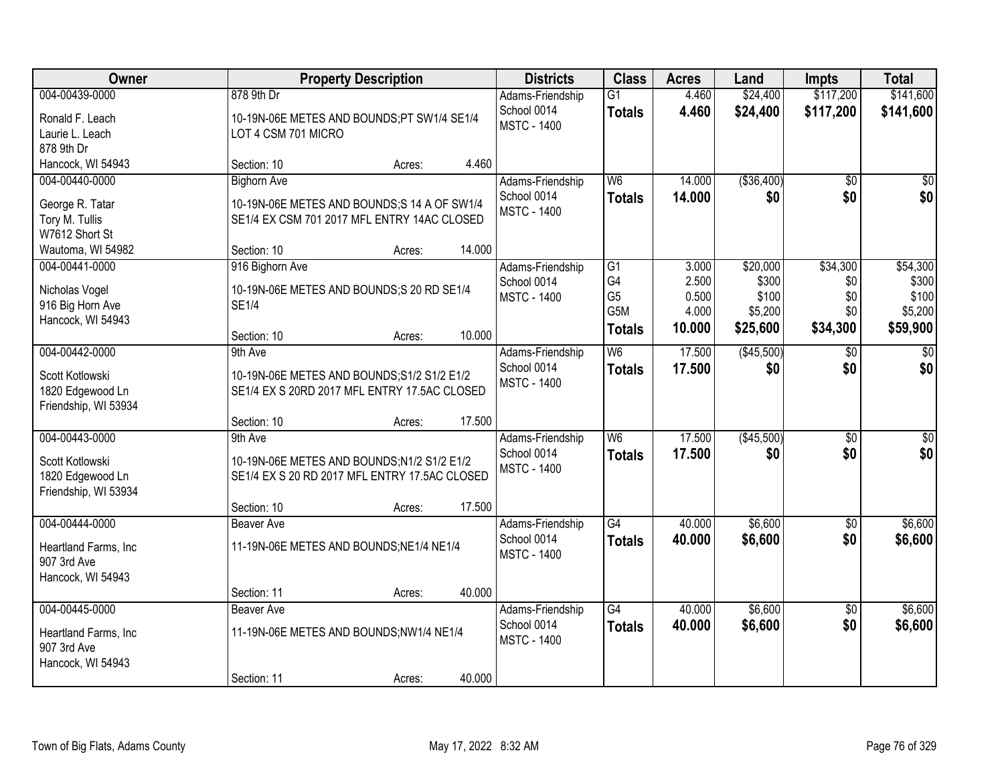| Owner                                                                                      | <b>Property Description</b>                                                                                                                         | <b>Districts</b>                                      | <b>Class</b>                                                                 | <b>Acres</b>                               | Land                                              | <b>Impts</b>                              | <b>Total</b>                                      |
|--------------------------------------------------------------------------------------------|-----------------------------------------------------------------------------------------------------------------------------------------------------|-------------------------------------------------------|------------------------------------------------------------------------------|--------------------------------------------|---------------------------------------------------|-------------------------------------------|---------------------------------------------------|
| 004-00439-0000<br>Ronald F. Leach<br>Laurie L. Leach<br>878 9th Dr                         | 878 9th Dr<br>10-19N-06E METES AND BOUNDS;PT SW1/4 SE1/4<br>LOT 4 CSM 701 MICRO                                                                     | Adams-Friendship<br>School 0014<br><b>MSTC - 1400</b> | $\overline{G1}$<br><b>Totals</b>                                             | 4.460<br>4.460                             | \$24,400<br>\$24,400                              | \$117,200<br>\$117,200                    | \$141,600<br>\$141,600                            |
| Hancock, WI 54943                                                                          | 4.460<br>Section: 10<br>Acres:                                                                                                                      |                                                       |                                                                              |                                            |                                                   |                                           |                                                   |
| 004-00440-0000<br>George R. Tatar<br>Tory M. Tullis<br>W7612 Short St<br>Wautoma, WI 54982 | <b>Bighorn Ave</b><br>10-19N-06E METES AND BOUNDS;S 14 A OF SW1/4<br>SE1/4 EX CSM 701 2017 MFL ENTRY 14AC CLOSED<br>14.000<br>Section: 10<br>Acres: | Adams-Friendship<br>School 0014<br><b>MSTC - 1400</b> | W6<br><b>Totals</b>                                                          | 14.000<br>14.000                           | ( \$36,400)<br>\$0                                | $\overline{50}$<br>\$0                    | $\overline{30}$<br>\$0                            |
| 004-00441-0000<br>Nicholas Vogel<br>916 Big Horn Ave<br>Hancock, WI 54943                  | 916 Bighorn Ave<br>10-19N-06E METES AND BOUNDS;S 20 RD SE1/4<br><b>SE1/4</b><br>10.000<br>Section: 10<br>Acres:                                     | Adams-Friendship<br>School 0014<br><b>MSTC - 1400</b> | $\overline{G1}$<br>G4<br>G <sub>5</sub><br>G <sub>5</sub> M<br><b>Totals</b> | 3.000<br>2.500<br>0.500<br>4.000<br>10.000 | \$20,000<br>\$300<br>\$100<br>\$5,200<br>\$25,600 | \$34,300<br>\$0<br>\$0<br>\$0<br>\$34,300 | \$54,300<br>\$300<br>\$100<br>\$5,200<br>\$59,900 |
| 004-00442-0000<br>Scott Kotlowski<br>1820 Edgewood Ln<br>Friendship, WI 53934              | 9th Ave<br>10-19N-06E METES AND BOUNDS; S1/2 S1/2 E1/2<br>SE1/4 EX S 20RD 2017 MFL ENTRY 17.5AC CLOSED<br>17.500<br>Section: 10<br>Acres:           | Adams-Friendship<br>School 0014<br><b>MSTC - 1400</b> | W6<br><b>Totals</b>                                                          | 17.500<br>17.500                           | (\$45,500)<br>\$0                                 | $\sqrt{6}$<br>\$0                         | $\sqrt{50}$<br>\$0                                |
| 004-00443-0000<br>Scott Kotlowski<br>1820 Edgewood Ln<br>Friendship, WI 53934              | 9th Ave<br>10-19N-06E METES AND BOUNDS; N1/2 S1/2 E1/2<br>SE1/4 EX S 20 RD 2017 MFL ENTRY 17.5AC CLOSED<br>17.500<br>Section: 10<br>Acres:          | Adams-Friendship<br>School 0014<br><b>MSTC - 1400</b> | W <sub>6</sub><br><b>Totals</b>                                              | 17.500<br>17,500                           | (\$45,500)<br>\$0                                 | \$0<br>\$0                                | $\overline{50}$<br>\$0                            |
| 004-00444-0000<br>Heartland Farms, Inc<br>907 3rd Ave<br>Hancock, WI 54943                 | <b>Beaver Ave</b><br>11-19N-06E METES AND BOUNDS; NE1/4 NE1/4<br>40.000<br>Section: 11<br>Acres:                                                    | Adams-Friendship<br>School 0014<br><b>MSTC - 1400</b> | $\overline{G4}$<br><b>Totals</b>                                             | 40.000<br>40.000                           | \$6,600<br>\$6,600                                | \$0<br>\$0                                | \$6,600<br>\$6,600                                |
| 004-00445-0000<br>Heartland Farms, Inc<br>907 3rd Ave<br>Hancock, WI 54943                 | Beaver Ave<br>11-19N-06E METES AND BOUNDS;NW1/4 NE1/4<br>40.000<br>Section: 11<br>Acres:                                                            | Adams-Friendship<br>School 0014<br><b>MSTC - 1400</b> | $\overline{G4}$<br><b>Totals</b>                                             | 40.000<br>40.000                           | \$6,600<br>\$6,600                                | $\overline{50}$<br>\$0                    | \$6,600<br>\$6,600                                |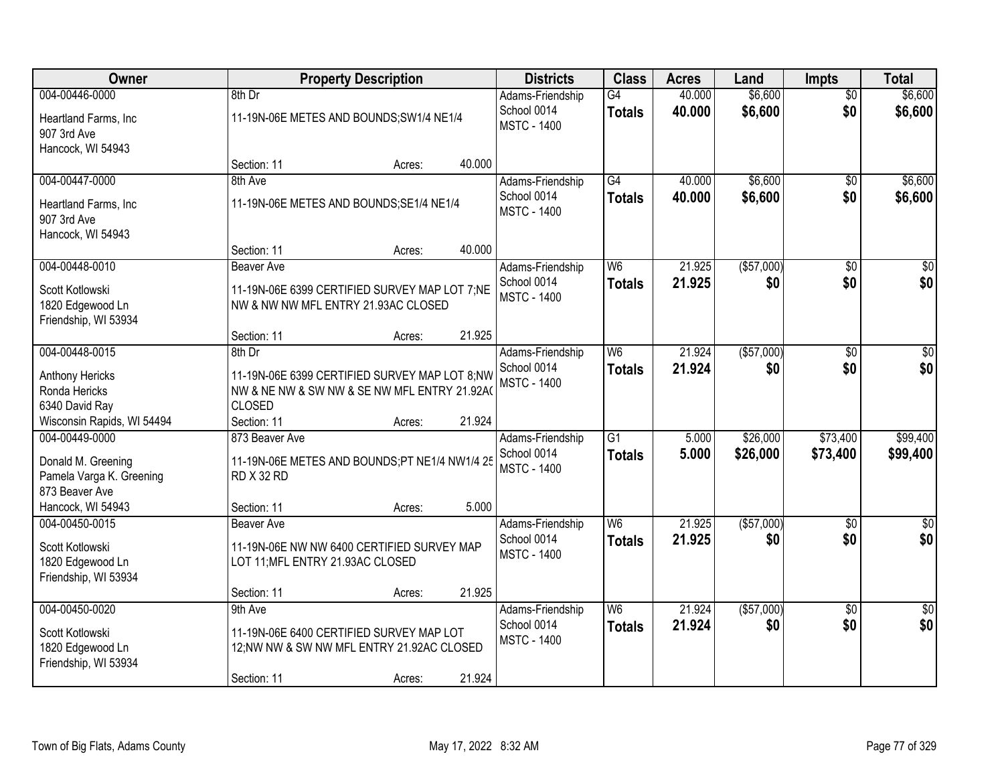| Owner                                                                              |                                                                                                                         | <b>Property Description</b> |        | <b>Districts</b>                                      | <b>Class</b>                     | <b>Acres</b>     | Land                 | <b>Impts</b>           | <b>Total</b>           |
|------------------------------------------------------------------------------------|-------------------------------------------------------------------------------------------------------------------------|-----------------------------|--------|-------------------------------------------------------|----------------------------------|------------------|----------------------|------------------------|------------------------|
| 004-00446-0000<br>Heartland Farms, Inc<br>907 3rd Ave                              | 8th Dr<br>11-19N-06E METES AND BOUNDS; SW1/4 NE1/4                                                                      |                             |        | Adams-Friendship<br>School 0014<br><b>MSTC - 1400</b> | G4<br><b>Totals</b>              | 40.000<br>40.000 | \$6,600<br>\$6,600   | $\overline{50}$<br>\$0 | \$6,600<br>\$6,600     |
| Hancock, WI 54943                                                                  | Section: 11                                                                                                             | Acres:                      | 40.000 |                                                       |                                  |                  |                      |                        |                        |
| 004-00447-0000<br>Heartland Farms, Inc<br>907 3rd Ave<br>Hancock, WI 54943         | 8th Ave<br>11-19N-06E METES AND BOUNDS; SE1/4 NE1/4                                                                     |                             |        | Adams-Friendship<br>School 0014<br><b>MSTC - 1400</b> | G4<br><b>Totals</b>              | 40.000<br>40.000 | \$6,600<br>\$6,600   | \$0<br>\$0             | \$6,600<br>\$6,600     |
|                                                                                    | Section: 11                                                                                                             | Acres:                      | 40.000 |                                                       |                                  |                  |                      |                        |                        |
| 004-00448-0010<br>Scott Kotlowski<br>1820 Edgewood Ln<br>Friendship, WI 53934      | <b>Beaver Ave</b><br>11-19N-06E 6399 CERTIFIED SURVEY MAP LOT 7;NE<br>NW & NW NW MFL ENTRY 21.93AC CLOSED               |                             |        | Adams-Friendship<br>School 0014<br><b>MSTC - 1400</b> | W <sub>6</sub><br><b>Totals</b>  | 21.925<br>21.925 | ( \$57,000)<br>\$0   | \$0<br>\$0             | $\overline{50}$<br>\$0 |
|                                                                                    | Section: 11                                                                                                             | Acres:                      | 21.925 |                                                       |                                  |                  |                      |                        |                        |
| 004-00448-0015<br>Anthony Hericks<br>Ronda Hericks<br>6340 David Ray               | 8th Dr<br>11-19N-06E 6399 CERTIFIED SURVEY MAP LOT 8;NW<br>NW & NE NW & SW NW & SE NW MFL ENTRY 21.92A<br><b>CLOSED</b> |                             |        | Adams-Friendship<br>School 0014<br><b>MSTC - 1400</b> | W6<br><b>Totals</b>              | 21.924<br>21.924 | ( \$57,000)<br>\$0   | \$0<br>\$0             | $\sqrt{50}$<br>\$0     |
| Wisconsin Rapids, WI 54494                                                         | Section: 11                                                                                                             | Acres:                      | 21.924 |                                                       |                                  |                  |                      |                        |                        |
| 004-00449-0000<br>Donald M. Greening<br>Pamela Varga K. Greening<br>873 Beaver Ave | 873 Beaver Ave<br>11-19N-06E METES AND BOUNDS;PT NE1/4 NW1/4 25<br><b>RD X 32 RD</b>                                    |                             |        | Adams-Friendship<br>School 0014<br><b>MSTC - 1400</b> | $\overline{G1}$<br><b>Totals</b> | 5.000<br>5.000   | \$26,000<br>\$26,000 | \$73,400<br>\$73,400   | \$99,400<br>\$99,400   |
| Hancock, WI 54943                                                                  | Section: 11                                                                                                             | Acres:                      | 5.000  |                                                       |                                  |                  |                      |                        |                        |
| 004-00450-0015<br>Scott Kotlowski<br>1820 Edgewood Ln<br>Friendship, WI 53934      | <b>Beaver Ave</b><br>11-19N-06E NW NW 6400 CERTIFIED SURVEY MAP<br>LOT 11; MFL ENTRY 21.93AC CLOSED                     |                             |        | Adams-Friendship<br>School 0014<br><b>MSTC - 1400</b> | W <sub>6</sub><br><b>Totals</b>  | 21.925<br>21.925 | ( \$57,000)<br>\$0   | $\overline{30}$<br>\$0 | $\sqrt{50}$<br>\$0     |
|                                                                                    | Section: 11                                                                                                             | Acres:                      | 21.925 |                                                       |                                  |                  |                      |                        |                        |
| 004-00450-0020<br>Scott Kotlowski<br>1820 Edgewood Ln<br>Friendship, WI 53934      | 9th Ave<br>11-19N-06E 6400 CERTIFIED SURVEY MAP LOT<br>12;NW NW & SW NW MFL ENTRY 21.92AC CLOSED<br>Section: 11         | Acres:                      | 21.924 | Adams-Friendship<br>School 0014<br><b>MSTC - 1400</b> | W <sub>6</sub><br><b>Totals</b>  | 21.924<br>21.924 | (\$57,000)<br>\$0    | $\overline{50}$<br>\$0 | $\sqrt{50}$<br>\$0     |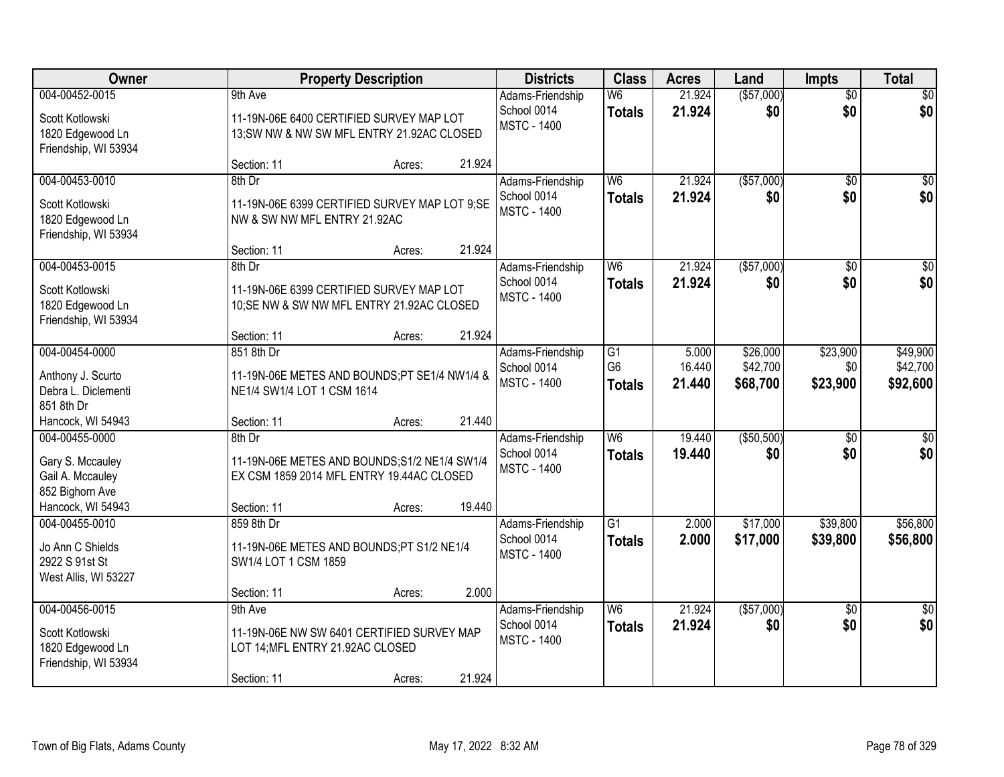| Owner                                                                        |                                                                                               | <b>Property Description</b> |        | <b>Districts</b>                                      | <b>Class</b>                                       | <b>Acres</b>              | Land                             | <b>Impts</b>                | <b>Total</b>                     |
|------------------------------------------------------------------------------|-----------------------------------------------------------------------------------------------|-----------------------------|--------|-------------------------------------------------------|----------------------------------------------------|---------------------------|----------------------------------|-----------------------------|----------------------------------|
| 004-00452-0015                                                               | 9th Ave                                                                                       |                             |        | Adams-Friendship                                      | W <sub>6</sub>                                     | 21.924                    | (\$57,000)                       | $\overline{50}$             | \$0                              |
| Scott Kotlowski<br>1820 Edgewood Ln<br>Friendship, WI 53934                  | 11-19N-06E 6400 CERTIFIED SURVEY MAP LOT<br>13; SW NW & NW SW MFL ENTRY 21.92AC CLOSED        |                             |        | School 0014<br><b>MSTC - 1400</b>                     | <b>Totals</b>                                      | 21.924                    | \$0                              | \$0                         | \$0                              |
|                                                                              | Section: 11                                                                                   | Acres:                      | 21.924 |                                                       |                                                    |                           |                                  |                             |                                  |
| 004-00453-0010                                                               | $8th$ Dr                                                                                      |                             |        | Adams-Friendship                                      | W <sub>6</sub>                                     | 21.924                    | ( \$57,000)                      | \$0                         | $\sqrt{50}$                      |
| Scott Kotlowski<br>1820 Edgewood Ln<br>Friendship, WI 53934                  | 11-19N-06E 6399 CERTIFIED SURVEY MAP LOT 9;SE<br>NW & SW NW MFL ENTRY 21.92AC                 |                             |        | School 0014<br><b>MSTC - 1400</b>                     | <b>Totals</b>                                      | 21.924                    | \$0                              | \$0                         | \$0                              |
|                                                                              | Section: 11                                                                                   | Acres:                      | 21.924 |                                                       |                                                    |                           |                                  |                             |                                  |
| 004-00453-0015                                                               | 8th Dr                                                                                        |                             |        | Adams-Friendship                                      | W <sub>6</sub>                                     | 21.924                    | ( \$57,000)                      | \$0                         | $\overline{\$0}$                 |
| Scott Kotlowski<br>1820 Edgewood Ln<br>Friendship, WI 53934                  | 11-19N-06E 6399 CERTIFIED SURVEY MAP LOT<br>10;SE NW & SW NW MFL ENTRY 21.92AC CLOSED         |                             |        | School 0014<br><b>MSTC - 1400</b>                     | <b>Totals</b>                                      | 21.924                    | \$0                              | \$0                         | \$0                              |
|                                                                              | Section: 11                                                                                   | Acres:                      | 21.924 |                                                       |                                                    |                           |                                  |                             |                                  |
| 004-00454-0000<br>Anthony J. Scurto<br>Debra L. Diclementi<br>851 8th Dr     | 851 8th Dr<br>11-19N-06E METES AND BOUNDS;PT SE1/4 NW1/4 &<br>NE1/4 SW1/4 LOT 1 CSM 1614      |                             |        | Adams-Friendship<br>School 0014<br><b>MSTC - 1400</b> | $\overline{G1}$<br>G <sub>6</sub><br><b>Totals</b> | 5.000<br>16.440<br>21.440 | \$26,000<br>\$42,700<br>\$68,700 | \$23,900<br>\$0<br>\$23,900 | \$49,900<br>\$42,700<br>\$92,600 |
| Hancock, WI 54943                                                            | Section: 11<br>8th Dr                                                                         | Acres:                      | 21.440 |                                                       | W6                                                 | 19.440                    | (\$50,500)                       |                             |                                  |
| 004-00455-0000<br>Gary S. Mccauley<br>Gail A. Mccauley<br>852 Bighorn Ave    | 11-19N-06E METES AND BOUNDS; S1/2 NE1/4 SW1/4<br>EX CSM 1859 2014 MFL ENTRY 19.44AC CLOSED    |                             |        | Adams-Friendship<br>School 0014<br><b>MSTC - 1400</b> | <b>Totals</b>                                      | 19.440                    | \$0                              | $\overline{50}$<br>\$0      | $\sqrt{50}$<br>\$0               |
| Hancock, WI 54943                                                            | Section: 11                                                                                   | Acres:                      | 19.440 |                                                       |                                                    |                           |                                  |                             |                                  |
| 004-00455-0010<br>Jo Ann C Shields<br>2922 S 91st St<br>West Allis, WI 53227 | 859 8th Dr<br>11-19N-06E METES AND BOUNDS;PT S1/2 NE1/4<br>SW1/4 LOT 1 CSM 1859               |                             | 2.000  | Adams-Friendship<br>School 0014<br><b>MSTC - 1400</b> | $\overline{G1}$<br><b>Totals</b>                   | 2.000<br>2.000            | \$17,000<br>\$17,000             | \$39,800<br>\$39,800        | \$56,800<br>\$56,800             |
| 004-00456-0015                                                               | Section: 11<br>9th Ave                                                                        | Acres:                      |        | Adams-Friendship                                      | W <sub>6</sub>                                     | 21.924                    | (\$57,000)                       | $\overline{50}$             | $\overline{50}$                  |
| Scott Kotlowski<br>1820 Edgewood Ln<br>Friendship, WI 53934                  | 11-19N-06E NW SW 6401 CERTIFIED SURVEY MAP<br>LOT 14; MFL ENTRY 21.92AC CLOSED<br>Section: 11 | Acres:                      | 21.924 | School 0014<br><b>MSTC - 1400</b>                     | <b>Totals</b>                                      | 21.924                    | \$0                              | \$0                         | \$0                              |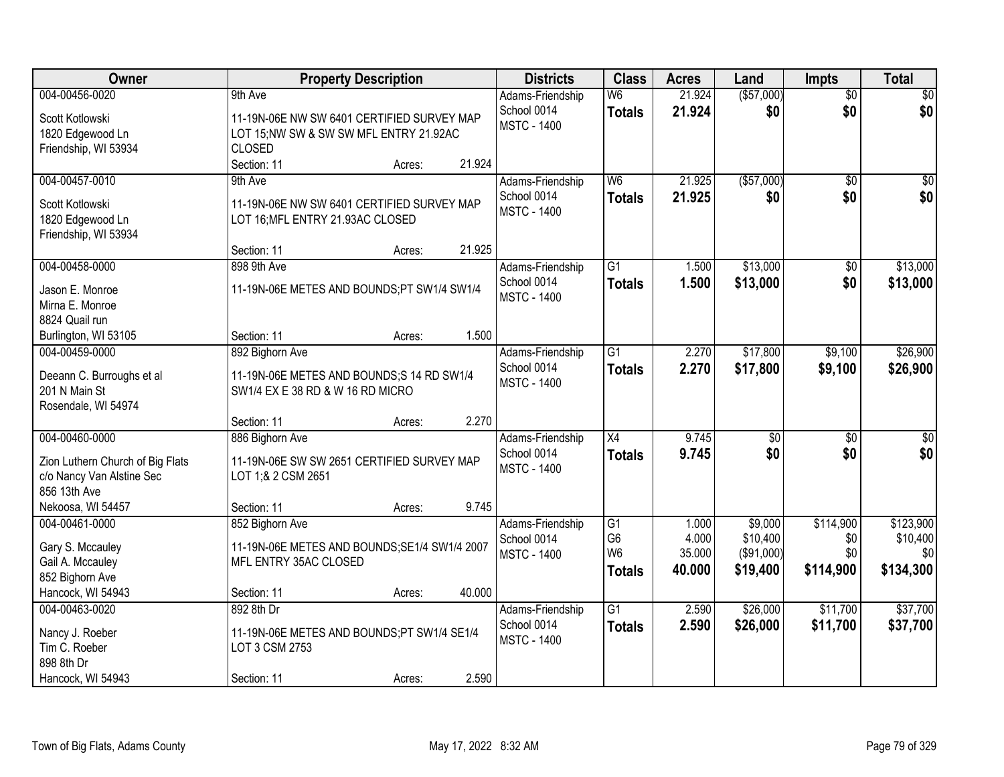| <b>Owner</b>                               | <b>Property Description</b>                                                   |        |        | <b>Districts</b>   | <b>Class</b>                     | <b>Acres</b>    | Land                   | <b>Impts</b>    | <b>Total</b>     |
|--------------------------------------------|-------------------------------------------------------------------------------|--------|--------|--------------------|----------------------------------|-----------------|------------------------|-----------------|------------------|
| 004-00456-0020                             | 9th Ave                                                                       |        |        | Adams-Friendship   | W <sub>6</sub>                   | 21.924          | ( \$57,000)            | $\overline{50}$ | \$0              |
| Scott Kotlowski                            | 11-19N-06E NW SW 6401 CERTIFIED SURVEY MAP                                    |        |        | School 0014        | <b>Totals</b>                    | 21.924          | \$0                    | \$0             | \$0              |
| 1820 Edgewood Ln                           | LOT 15;NW SW & SW SW MFL ENTRY 21.92AC                                        |        |        | <b>MSTC - 1400</b> |                                  |                 |                        |                 |                  |
| Friendship, WI 53934                       | <b>CLOSED</b>                                                                 |        |        |                    |                                  |                 |                        |                 |                  |
|                                            | Section: 11                                                                   | Acres: | 21.924 |                    |                                  |                 |                        |                 |                  |
| 004-00457-0010                             | 9th Ave                                                                       |        |        | Adams-Friendship   | W <sub>6</sub>                   | 21.925          | ( \$57,000)            | $\overline{50}$ | \$0              |
| Scott Kotlowski                            | 11-19N-06E NW SW 6401 CERTIFIED SURVEY MAP                                    |        |        | School 0014        | <b>Totals</b>                    | 21.925          | \$0                    | \$0             | \$0              |
| 1820 Edgewood Ln                           | LOT 16; MFL ENTRY 21.93AC CLOSED                                              |        |        | <b>MSTC - 1400</b> |                                  |                 |                        |                 |                  |
| Friendship, WI 53934                       |                                                                               |        |        |                    |                                  |                 |                        |                 |                  |
|                                            | Section: 11                                                                   | Acres: | 21.925 |                    |                                  |                 |                        |                 |                  |
| 004-00458-0000                             | 898 9th Ave                                                                   |        |        | Adams-Friendship   | $\overline{G1}$                  | 1.500           | \$13,000               | \$0             | \$13,000         |
| Jason E. Monroe                            | 11-19N-06E METES AND BOUNDS;PT SW1/4 SW1/4                                    |        |        | School 0014        | <b>Totals</b>                    | 1.500           | \$13,000               | \$0             | \$13,000         |
| Mirna E. Monroe                            |                                                                               |        |        | <b>MSTC - 1400</b> |                                  |                 |                        |                 |                  |
| 8824 Quail run                             |                                                                               |        |        |                    |                                  |                 |                        |                 |                  |
| Burlington, WI 53105                       | Section: 11                                                                   | Acres: | 1.500  |                    |                                  |                 |                        |                 |                  |
| 004-00459-0000                             | 892 Bighorn Ave                                                               |        |        | Adams-Friendship   | $\overline{G1}$                  | 2.270           | \$17,800               | \$9,100         | \$26,900         |
|                                            |                                                                               |        |        | School 0014        | <b>Totals</b>                    | 2.270           | \$17,800               | \$9,100         | \$26,900         |
| Deeann C. Burroughs et al<br>201 N Main St | 11-19N-06E METES AND BOUNDS;S 14 RD SW1/4<br>SW1/4 EX E 38 RD & W 16 RD MICRO |        |        | <b>MSTC - 1400</b> |                                  |                 |                        |                 |                  |
| Rosendale, WI 54974                        |                                                                               |        |        |                    |                                  |                 |                        |                 |                  |
|                                            | Section: 11                                                                   | Acres: | 2.270  |                    |                                  |                 |                        |                 |                  |
| 004-00460-0000                             | 886 Bighorn Ave                                                               |        |        | Adams-Friendship   | $\overline{X4}$                  | 9.745           | $\overline{50}$        | $\overline{50}$ | $\overline{\$0}$ |
|                                            |                                                                               |        |        | School 0014        | <b>Totals</b>                    | 9.745           | \$0                    | \$0             | \$0              |
| Zion Luthern Church of Big Flats           | 11-19N-06E SW SW 2651 CERTIFIED SURVEY MAP                                    |        |        | <b>MSTC - 1400</b> |                                  |                 |                        |                 |                  |
| c/o Nancy Van Alstine Sec                  | LOT 1;& 2 CSM 2651                                                            |        |        |                    |                                  |                 |                        |                 |                  |
| 856 13th Ave                               |                                                                               |        |        |                    |                                  |                 |                        |                 |                  |
| Nekoosa, WI 54457                          | Section: 11                                                                   | Acres: | 9.745  |                    |                                  |                 |                        |                 |                  |
| 004-00461-0000                             | 852 Bighorn Ave                                                               |        |        | Adams-Friendship   | G1                               | 1.000           | \$9,000                | \$114,900       | \$123,900        |
| Gary S. Mccauley                           | 11-19N-06E METES AND BOUNDS; SE1/4 SW1/4 2007                                 |        |        | School 0014        | G <sub>6</sub><br>W <sub>6</sub> | 4.000<br>35.000 | \$10,400<br>(\$91,000) | \$0<br>\$0      | \$10,400<br>\$0  |
| Gail A. Mccauley                           | MFL ENTRY 35AC CLOSED                                                         |        |        | <b>MSTC - 1400</b> |                                  |                 |                        |                 |                  |
| 852 Bighorn Ave                            |                                                                               |        |        |                    | <b>Totals</b>                    | 40.000          | \$19,400               | \$114,900       | \$134,300        |
| Hancock, WI 54943                          | Section: 11                                                                   | Acres: | 40.000 |                    |                                  |                 |                        |                 |                  |
| 004-00463-0020                             | 892 8th Dr                                                                    |        |        | Adams-Friendship   | $\overline{G1}$                  | 2.590           | \$26,000               | \$11,700        | \$37,700         |
| Nancy J. Roeber                            | 11-19N-06E METES AND BOUNDS;PT SW1/4 SE1/4                                    |        |        | School 0014        | <b>Totals</b>                    | 2.590           | \$26,000               | \$11,700        | \$37,700         |
| Tim C. Roeber                              | LOT 3 CSM 2753                                                                |        |        | <b>MSTC - 1400</b> |                                  |                 |                        |                 |                  |
| 898 8th Dr                                 |                                                                               |        |        |                    |                                  |                 |                        |                 |                  |
| Hancock, WI 54943                          | Section: 11                                                                   | Acres: | 2.590  |                    |                                  |                 |                        |                 |                  |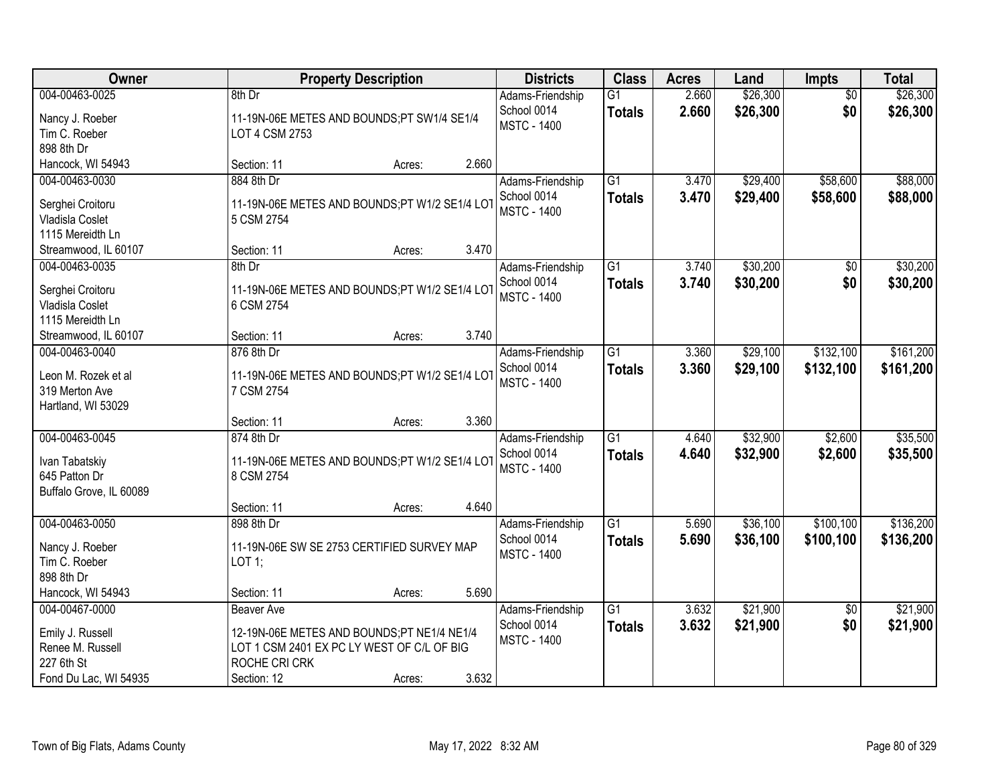| Owner                                                                                         |                                                                                                                                               | <b>Property Description</b> |       | <b>Districts</b>                                      | <b>Class</b>                     | <b>Acres</b>   | Land                 | <b>Impts</b>           | <b>Total</b>           |
|-----------------------------------------------------------------------------------------------|-----------------------------------------------------------------------------------------------------------------------------------------------|-----------------------------|-------|-------------------------------------------------------|----------------------------------|----------------|----------------------|------------------------|------------------------|
| 004-00463-0025<br>Nancy J. Roeber<br>Tim C. Roeber<br>898 8th Dr                              | 8th Dr<br>11-19N-06E METES AND BOUNDS;PT SW1/4 SE1/4<br>LOT 4 CSM 2753                                                                        |                             |       | Adams-Friendship<br>School 0014<br><b>MSTC - 1400</b> | $\overline{G1}$<br><b>Totals</b> | 2.660<br>2.660 | \$26,300<br>\$26,300 | $\overline{50}$<br>\$0 | \$26,300<br>\$26,300   |
| Hancock, WI 54943                                                                             | Section: 11                                                                                                                                   | Acres:                      | 2.660 |                                                       |                                  |                |                      |                        |                        |
| 004-00463-0030<br>Serghei Croitoru<br>Vladisla Coslet<br>1115 Mereidth Ln                     | 884 8th Dr<br>11-19N-06E METES AND BOUNDS;PT W1/2 SE1/4 LOT<br>5 CSM 2754                                                                     |                             |       | Adams-Friendship<br>School 0014<br><b>MSTC - 1400</b> | $\overline{G1}$<br><b>Totals</b> | 3.470<br>3.470 | \$29,400<br>\$29,400 | \$58,600<br>\$58,600   | \$88,000<br>\$88,000   |
| Streamwood, IL 60107                                                                          | Section: 11                                                                                                                                   | Acres:                      | 3.470 |                                                       |                                  |                |                      |                        |                        |
| 004-00463-0035<br>Serghei Croitoru<br>Vladisla Coslet<br>1115 Mereidth Ln                     | 8th Dr<br>11-19N-06E METES AND BOUNDS;PT W1/2 SE1/4 LOT<br>6 CSM 2754                                                                         |                             |       | Adams-Friendship<br>School 0014<br><b>MSTC - 1400</b> | G1<br><b>Totals</b>              | 3.740<br>3.740 | \$30,200<br>\$30,200 | $\overline{50}$<br>\$0 | \$30,200<br>\$30,200   |
| Streamwood, IL 60107                                                                          | Section: 11                                                                                                                                   | Acres:                      | 3.740 |                                                       |                                  |                |                      |                        |                        |
| 004-00463-0040<br>Leon M. Rozek et al<br>319 Merton Ave<br>Hartland, WI 53029                 | 876 8th Dr<br>11-19N-06E METES AND BOUNDS;PT W1/2 SE1/4 LOT<br>7 CSM 2754                                                                     |                             |       | Adams-Friendship<br>School 0014<br><b>MSTC - 1400</b> | $\overline{G1}$<br><b>Totals</b> | 3.360<br>3.360 | \$29,100<br>\$29,100 | \$132,100<br>\$132,100 | \$161,200<br>\$161,200 |
|                                                                                               | Section: 11                                                                                                                                   | Acres:                      | 3.360 |                                                       |                                  |                |                      |                        |                        |
| 004-00463-0045<br>Ivan Tabatskiy<br>645 Patton Dr<br>Buffalo Grove, IL 60089                  | 874 8th Dr<br>11-19N-06E METES AND BOUNDS;PT W1/2 SE1/4 LOT<br>8 CSM 2754                                                                     |                             |       | Adams-Friendship<br>School 0014<br><b>MSTC - 1400</b> | $\overline{G1}$<br><b>Totals</b> | 4.640<br>4.640 | \$32,900<br>\$32,900 | \$2,600<br>\$2,600     | \$35,500<br>\$35,500   |
|                                                                                               | Section: 11                                                                                                                                   | Acres:                      | 4.640 |                                                       |                                  |                |                      |                        |                        |
| 004-00463-0050<br>Nancy J. Roeber<br>Tim C. Roeber<br>898 8th Dr                              | 898 8th Dr<br>11-19N-06E SW SE 2753 CERTIFIED SURVEY MAP<br>LOT 1;                                                                            |                             |       | Adams-Friendship<br>School 0014<br><b>MSTC - 1400</b> | $\overline{G1}$<br><b>Totals</b> | 5.690<br>5.690 | \$36,100<br>\$36,100 | \$100,100<br>\$100,100 | \$136,200<br>\$136,200 |
| Hancock, WI 54943                                                                             | Section: 11                                                                                                                                   | Acres:                      | 5.690 |                                                       |                                  |                |                      |                        |                        |
| 004-00467-0000<br>Emily J. Russell<br>Renee M. Russell<br>227 6th St<br>Fond Du Lac, WI 54935 | <b>Beaver Ave</b><br>12-19N-06E METES AND BOUNDS;PT NE1/4 NE1/4<br>LOT 1 CSM 2401 EX PC LY WEST OF C/L OF BIG<br>ROCHE CRI CRK<br>Section: 12 | Acres:                      | 3.632 | Adams-Friendship<br>School 0014<br><b>MSTC - 1400</b> | $\overline{G1}$<br><b>Totals</b> | 3.632<br>3.632 | \$21,900<br>\$21,900 | \$0<br>\$0             | \$21,900<br>\$21,900   |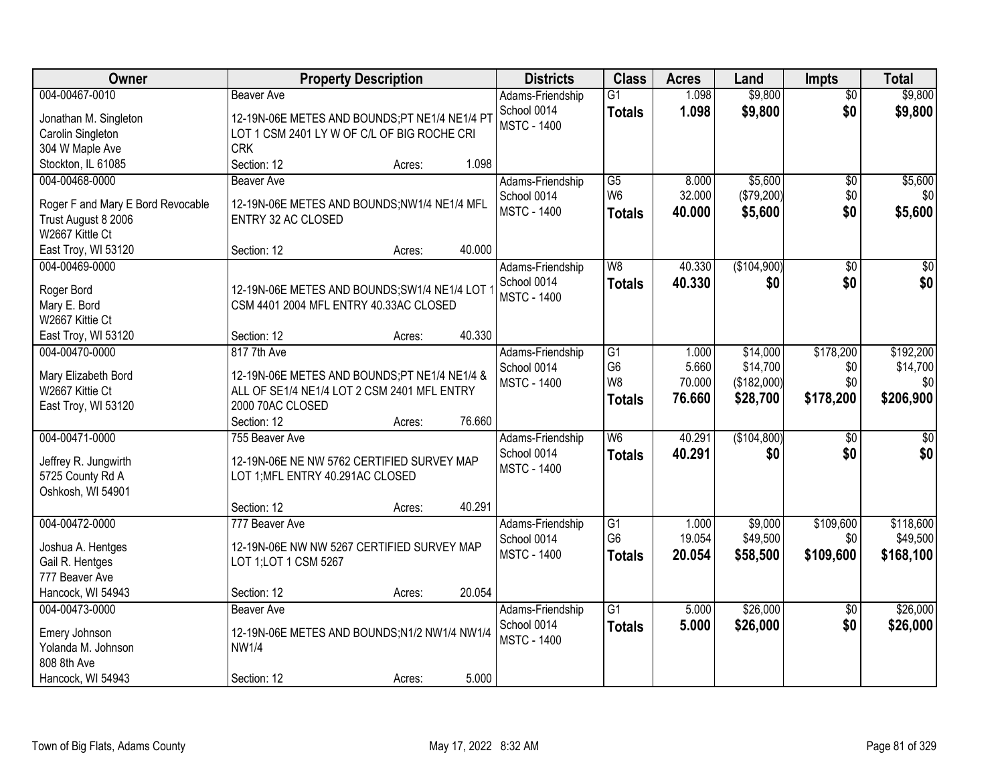| Owner                                  | <b>Property Description</b>                                                                 | <b>Districts</b>                  | <b>Class</b>    | <b>Acres</b> | Land        | <b>Impts</b>    | <b>Total</b>    |
|----------------------------------------|---------------------------------------------------------------------------------------------|-----------------------------------|-----------------|--------------|-------------|-----------------|-----------------|
| 004-00467-0010                         | <b>Beaver Ave</b>                                                                           | Adams-Friendship                  | G1              | 1.098        | \$9,800     | $\overline{50}$ | \$9,800         |
| Jonathan M. Singleton                  | 12-19N-06E METES AND BOUNDS;PT NE1/4 NE1/4 PT                                               | School 0014                       | <b>Totals</b>   | 1.098        | \$9,800     | \$0             | \$9,800         |
| Carolin Singleton                      | LOT 1 CSM 2401 LY W OF C/L OF BIG ROCHE CRI                                                 | <b>MSTC - 1400</b>                |                 |              |             |                 |                 |
| 304 W Maple Ave                        | <b>CRK</b>                                                                                  |                                   |                 |              |             |                 |                 |
| Stockton, IL 61085                     | 1.098<br>Section: 12<br>Acres:                                                              |                                   |                 |              |             |                 |                 |
| 004-00468-0000                         | Beaver Ave                                                                                  | Adams-Friendship                  | $\overline{G5}$ | 8.000        | \$5,600     | \$0             | \$5,600         |
|                                        |                                                                                             | School 0014                       | W <sub>6</sub>  | 32.000       | (\$79,200)  | \$0             | \$0             |
| Roger F and Mary E Bord Revocable      | 12-19N-06E METES AND BOUNDS;NW1/4 NE1/4 MFL                                                 | <b>MSTC - 1400</b>                | <b>Totals</b>   | 40.000       | \$5,600     | \$0             | \$5,600         |
| Trust August 8 2006                    | ENTRY 32 AC CLOSED                                                                          |                                   |                 |              |             |                 |                 |
| W2667 Kittle Ct                        | 40.000<br>Section: 12                                                                       |                                   |                 |              |             |                 |                 |
| East Troy, WI 53120<br>004-00469-0000  | Acres:                                                                                      |                                   |                 |              |             |                 |                 |
|                                        |                                                                                             | Adams-Friendship                  | W <sub>8</sub>  | 40.330       | (\$104,900) | \$0             | $\sqrt{50}$     |
| Roger Bord                             | 12-19N-06E METES AND BOUNDS;SW1/4 NE1/4 LOT                                                 | School 0014<br><b>MSTC - 1400</b> | <b>Totals</b>   | 40.330       | \$0         | \$0             | \$0             |
| Mary E. Bord                           | CSM 4401 2004 MFL ENTRY 40.33AC CLOSED                                                      |                                   |                 |              |             |                 |                 |
| W2667 Kittie Ct                        |                                                                                             |                                   |                 |              |             |                 |                 |
| East Troy, WI 53120                    | 40.330<br>Section: 12<br>Acres:                                                             |                                   |                 |              |             |                 |                 |
| 004-00470-0000                         | 817 7th Ave                                                                                 | Adams-Friendship                  | G1              | 1.000        | \$14,000    | \$178,200       | \$192,200       |
|                                        |                                                                                             | School 0014                       | G <sub>6</sub>  | 5.660        | \$14,700    | \$0             | \$14,700        |
| Mary Elizabeth Bord<br>W2667 Kittie Ct | 12-19N-06E METES AND BOUNDS;PT NE1/4 NE1/4 &<br>ALL OF SE1/4 NE1/4 LOT 2 CSM 2401 MFL ENTRY | <b>MSTC - 1400</b>                | W8              | 70.000       | (\$182,000) | \$0             | \$0             |
| East Troy, WI 53120                    | 2000 70AC CLOSED                                                                            |                                   | <b>Totals</b>   | 76.660       | \$28,700    | \$178,200       | \$206,900       |
|                                        | 76.660<br>Section: 12<br>Acres:                                                             |                                   |                 |              |             |                 |                 |
| 004-00471-0000                         | 755 Beaver Ave                                                                              | Adams-Friendship                  | W <sub>6</sub>  | 40.291       | (\$104,800) | $\overline{50}$ | $\overline{50}$ |
|                                        |                                                                                             | School 0014                       | <b>Totals</b>   | 40.291       | \$0         | \$0             | \$0             |
| Jeffrey R. Jungwirth                   | 12-19N-06E NE NW 5762 CERTIFIED SURVEY MAP                                                  | <b>MSTC - 1400</b>                |                 |              |             |                 |                 |
| 5725 County Rd A                       | LOT 1; MFL ENTRY 40.291AC CLOSED                                                            |                                   |                 |              |             |                 |                 |
| Oshkosh, WI 54901                      |                                                                                             |                                   |                 |              |             |                 |                 |
|                                        | 40.291<br>Section: 12<br>Acres:                                                             |                                   |                 |              |             |                 |                 |
| 004-00472-0000                         | 777 Beaver Ave                                                                              | Adams-Friendship                  | G1              | 1.000        | \$9,000     | \$109,600       | \$118,600       |
| Joshua A. Hentges                      | 12-19N-06E NW NW 5267 CERTIFIED SURVEY MAP                                                  | School 0014                       | G <sub>6</sub>  | 19.054       | \$49,500    | \$0             | \$49,500        |
| Gail R. Hentges                        | LOT 1;LOT 1 CSM 5267                                                                        | <b>MSTC - 1400</b>                | <b>Totals</b>   | 20.054       | \$58,500    | \$109,600       | \$168,100       |
| 777 Beaver Ave                         |                                                                                             |                                   |                 |              |             |                 |                 |
| Hancock, WI 54943                      | 20.054<br>Section: 12<br>Acres:                                                             |                                   |                 |              |             |                 |                 |
| 004-00473-0000                         | <b>Beaver Ave</b>                                                                           | Adams-Friendship                  | $\overline{G1}$ | 5.000        | \$26,000    | $\overline{30}$ | \$26,000        |
|                                        |                                                                                             | School 0014                       | <b>Totals</b>   | 5.000        | \$26,000    | \$0             | \$26,000        |
| Emery Johnson                          | 12-19N-06E METES AND BOUNDS;N1/2 NW1/4 NW1/4                                                | <b>MSTC - 1400</b>                |                 |              |             |                 |                 |
| Yolanda M. Johnson                     | <b>NW1/4</b>                                                                                |                                   |                 |              |             |                 |                 |
| 808 8th Ave                            |                                                                                             |                                   |                 |              |             |                 |                 |
| Hancock, WI 54943                      | 5.000<br>Section: 12<br>Acres:                                                              |                                   |                 |              |             |                 |                 |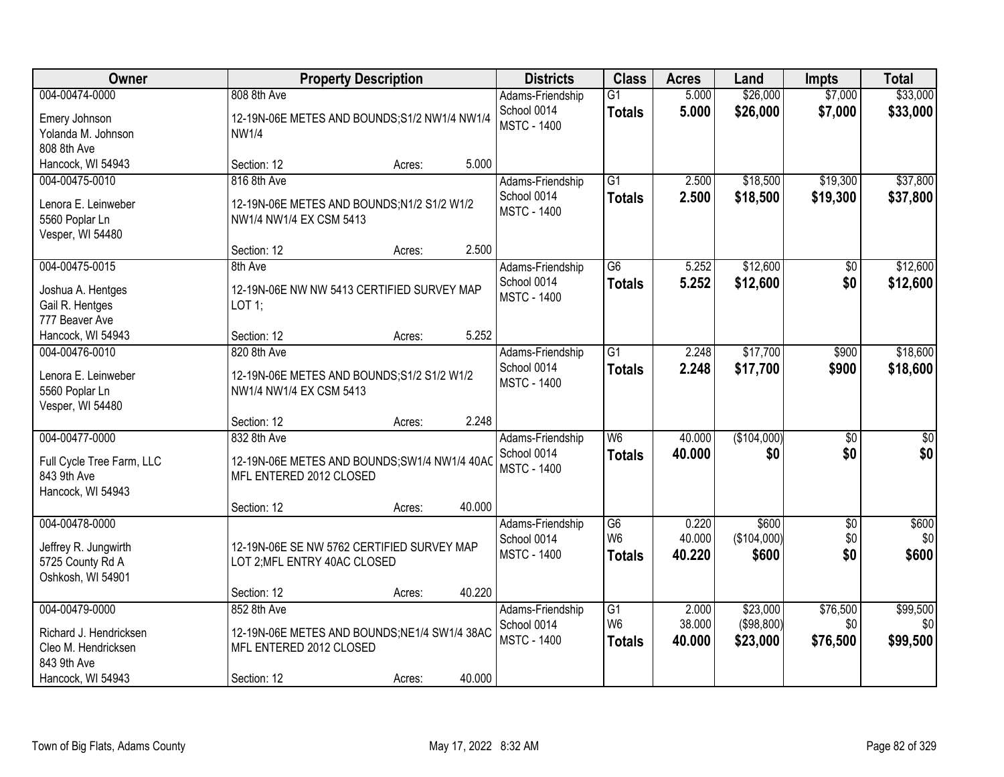| Owner                                                                                               |                                                       | <b>Property Description</b>                             |        | <b>Districts</b>                                      | <b>Class</b>                                       | <b>Acres</b>              | Land                               | <b>Impts</b>                | <b>Total</b>                |
|-----------------------------------------------------------------------------------------------------|-------------------------------------------------------|---------------------------------------------------------|--------|-------------------------------------------------------|----------------------------------------------------|---------------------------|------------------------------------|-----------------------------|-----------------------------|
| 004-00474-0000<br>Emery Johnson<br>Yolanda M. Johnson<br>808 8th Ave                                | 808 8th Ave<br><b>NW1/4</b>                           | 12-19N-06E METES AND BOUNDS;S1/2 NW1/4 NW1/4            |        | Adams-Friendship<br>School 0014<br><b>MSTC - 1400</b> | $\overline{G1}$<br><b>Totals</b>                   | 5.000<br>5.000            | \$26,000<br>\$26,000               | \$7,000<br>\$7,000          | \$33,000<br>\$33,000        |
| Hancock, WI 54943                                                                                   | Section: 12                                           | Acres:                                                  | 5.000  |                                                       |                                                    |                           |                                    |                             |                             |
| 004-00475-0010<br>Lenora E. Leinweber<br>5560 Poplar Ln<br>Vesper, WI 54480                         | 816 8th Ave<br>NW1/4 NW1/4 EX CSM 5413                | 12-19N-06E METES AND BOUNDS;N1/2 S1/2 W1/2              |        | Adams-Friendship<br>School 0014<br><b>MSTC - 1400</b> | $\overline{G1}$<br><b>Totals</b>                   | 2.500<br>2.500            | \$18,500<br>\$18,500               | \$19,300<br>\$19,300        | \$37,800<br>\$37,800        |
|                                                                                                     | Section: 12                                           | Acres:                                                  | 2.500  |                                                       |                                                    |                           |                                    |                             |                             |
| 004-00475-0015<br>Joshua A. Hentges<br>Gail R. Hentges<br>777 Beaver Ave                            | 8th Ave<br>LOT 1;                                     | 12-19N-06E NW NW 5413 CERTIFIED SURVEY MAP              |        | Adams-Friendship<br>School 0014<br><b>MSTC - 1400</b> | $\overline{G6}$<br><b>Totals</b>                   | 5.252<br>5.252            | \$12,600<br>\$12,600               | \$0<br>\$0                  | \$12,600<br>\$12,600        |
| Hancock, WI 54943                                                                                   | Section: 12                                           | Acres:                                                  | 5.252  |                                                       |                                                    |                           |                                    |                             |                             |
| 004-00476-0010<br>Lenora E. Leinweber<br>5560 Poplar Ln<br>Vesper, WI 54480                         | 820 8th Ave<br>NW1/4 NW1/4 EX CSM 5413                | 12-19N-06E METES AND BOUNDS; S1/2 S1/2 W1/2             |        | Adams-Friendship<br>School 0014<br><b>MSTC - 1400</b> | $\overline{G1}$<br><b>Totals</b>                   | 2.248<br>2.248            | \$17,700<br>\$17,700               | \$900<br>\$900              | \$18,600<br>\$18,600        |
|                                                                                                     | Section: 12                                           | Acres:                                                  | 2.248  |                                                       |                                                    |                           |                                    |                             |                             |
| 004-00477-0000<br>Full Cycle Tree Farm, LLC<br>843 9th Ave<br>Hancock, WI 54943                     | 832 8th Ave<br>MFL ENTERED 2012 CLOSED<br>Section: 12 | 12-19N-06E METES AND BOUNDS; SW1/4 NW1/4 40AC<br>Acres: | 40.000 | Adams-Friendship<br>School 0014<br><b>MSTC - 1400</b> | $\overline{W6}$<br><b>Totals</b>                   | 40.000<br>40.000          | (\$104,000)<br>\$0                 | $\overline{30}$<br>\$0      | $\overline{\$0}$<br>\$0     |
| 004-00478-0000                                                                                      |                                                       |                                                         |        | Adams-Friendship                                      | G6                                                 | 0.220                     | \$600                              | $\sqrt{$0}$                 | \$600                       |
| Jeffrey R. Jungwirth<br>5725 County Rd A<br>Oshkosh, WI 54901                                       | LOT 2; MFL ENTRY 40AC CLOSED                          | 12-19N-06E SE NW 5762 CERTIFIED SURVEY MAP              |        | School 0014<br><b>MSTC - 1400</b>                     | W <sub>6</sub><br><b>Totals</b>                    | 40.000<br>40.220          | (\$104,000)<br>\$600               | \$0<br>\$0                  | \$0<br>\$600                |
|                                                                                                     | Section: 12                                           | Acres:                                                  | 40.220 |                                                       |                                                    |                           |                                    |                             |                             |
| 004-00479-0000<br>Richard J. Hendricksen<br>Cleo M. Hendricksen<br>843 9th Ave<br>Hancock, WI 54943 | 852 8th Ave<br>MFL ENTERED 2012 CLOSED<br>Section: 12 | 12-19N-06E METES AND BOUNDS;NE1/4 SW1/4 38AC<br>Acres:  | 40.000 | Adams-Friendship<br>School 0014<br><b>MSTC - 1400</b> | $\overline{G1}$<br>W <sub>6</sub><br><b>Totals</b> | 2.000<br>38.000<br>40.000 | \$23,000<br>(\$98,800)<br>\$23,000 | \$76,500<br>\$0<br>\$76,500 | \$99,500<br>\$0<br>\$99,500 |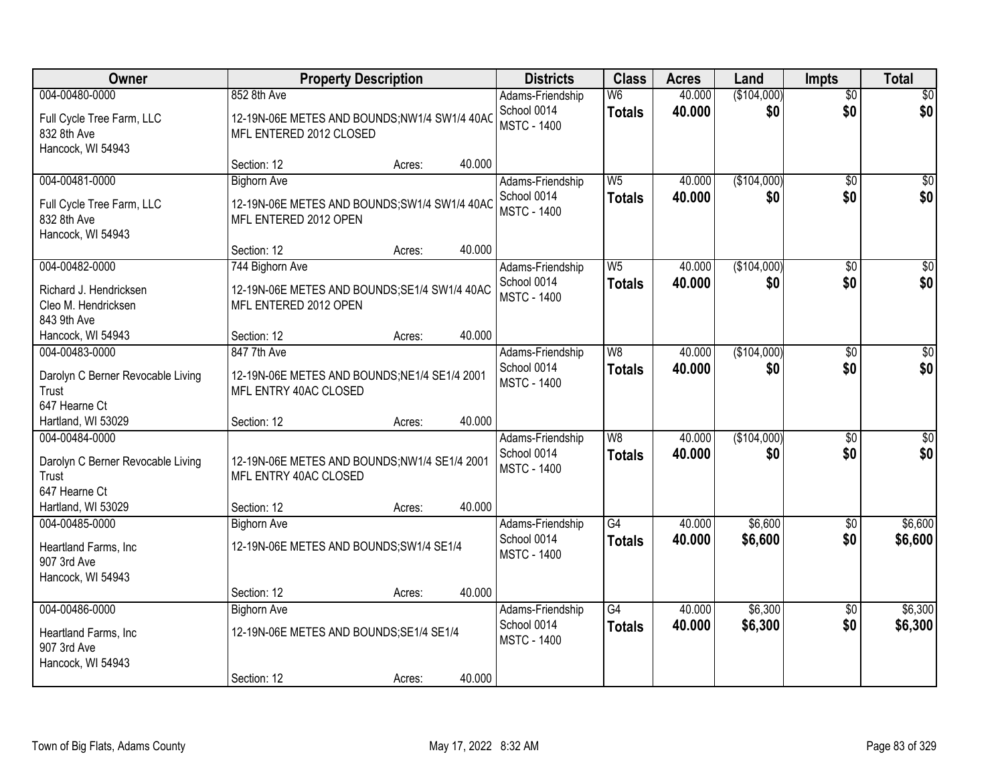| Owner                                                         |                                                                         | <b>Property Description</b> |        | <b>Districts</b>                                      | <b>Class</b>                    | <b>Acres</b>     | Land               | <b>Impts</b>    | <b>Total</b>    |
|---------------------------------------------------------------|-------------------------------------------------------------------------|-----------------------------|--------|-------------------------------------------------------|---------------------------------|------------------|--------------------|-----------------|-----------------|
| 004-00480-0000                                                | 852 8th Ave                                                             |                             |        | Adams-Friendship                                      | W <sub>6</sub>                  | 40.000           | (\$104,000)        | $\overline{50}$ | \$0             |
| Full Cycle Tree Farm, LLC<br>832 8th Ave<br>Hancock, WI 54943 | 12-19N-06E METES AND BOUNDS;NW1/4 SW1/4 40AC<br>MFL ENTERED 2012 CLOSED |                             |        | School 0014<br><b>MSTC - 1400</b>                     | <b>Totals</b>                   | 40.000           | \$0                | \$0             | \$0             |
|                                                               | Section: 12                                                             | Acres:                      | 40.000 |                                                       |                                 |                  |                    |                 |                 |
| 004-00481-0000<br>Full Cycle Tree Farm, LLC                   | <b>Bighorn Ave</b><br>12-19N-06E METES AND BOUNDS;SW1/4 SW1/4 40AC      |                             |        | Adams-Friendship<br>School 0014<br><b>MSTC - 1400</b> | W <sub>5</sub><br><b>Totals</b> | 40.000<br>40,000 | (\$104,000)<br>\$0 | \$0<br>\$0      | \$0<br>\$0      |
| 832 8th Ave<br>Hancock, WI 54943                              | MFL ENTERED 2012 OPEN                                                   |                             | 40.000 |                                                       |                                 |                  |                    |                 |                 |
| 004-00482-0000                                                | Section: 12<br>744 Bighorn Ave                                          | Acres:                      |        | Adams-Friendship                                      | W <sub>5</sub>                  | 40.000           | (\$104,000)        | \$0             | $\overline{50}$ |
| Richard J. Hendricksen<br>Cleo M. Hendricksen<br>843 9th Ave  | 12-19N-06E METES AND BOUNDS; SE1/4 SW1/4 40AC<br>MFL ENTERED 2012 OPEN  |                             |        | School 0014<br><b>MSTC - 1400</b>                     | <b>Totals</b>                   | 40.000           | \$0                | \$0             | \$0             |
| Hancock, WI 54943                                             | Section: 12                                                             | Acres:                      | 40.000 |                                                       |                                 |                  |                    |                 |                 |
| 004-00483-0000                                                | 847 7th Ave                                                             |                             |        | Adams-Friendship                                      | W <sub>8</sub>                  | 40.000           | (\$104,000)        | $\sqrt[6]{3}$   | \$0             |
| Darolyn C Berner Revocable Living<br>Trust<br>647 Hearne Ct   | 12-19N-06E METES AND BOUNDS; NE1/4 SE1/4 2001<br>MFL ENTRY 40AC CLOSED  |                             |        | School 0014<br><b>MSTC - 1400</b>                     | <b>Totals</b>                   | 40,000           | \$0                | \$0             | \$0             |
| Hartland, WI 53029                                            | Section: 12                                                             | Acres:                      | 40.000 |                                                       |                                 |                  |                    |                 |                 |
| 004-00484-0000                                                |                                                                         |                             |        | Adams-Friendship                                      | W8                              | 40.000           | (\$104,000)        | $\overline{30}$ | $\overline{50}$ |
| Darolyn C Berner Revocable Living<br>Trust                    | 12-19N-06E METES AND BOUNDS;NW1/4 SE1/4 2001<br>MFL ENTRY 40AC CLOSED   |                             |        | School 0014<br><b>MSTC - 1400</b>                     | <b>Totals</b>                   | 40.000           | \$0                | \$0             | \$0             |
| 647 Hearne Ct                                                 |                                                                         |                             |        |                                                       |                                 |                  |                    |                 |                 |
| Hartland, WI 53029                                            | Section: 12                                                             | Acres:                      | 40.000 |                                                       |                                 |                  |                    |                 |                 |
| 004-00485-0000                                                | <b>Bighorn Ave</b>                                                      |                             |        | Adams-Friendship                                      | G4                              | 40.000           | \$6,600            | \$0             | \$6,600         |
| Heartland Farms, Inc<br>907 3rd Ave                           | 12-19N-06E METES AND BOUNDS; SW1/4 SE1/4                                |                             |        | School 0014<br><b>MSTC - 1400</b>                     | <b>Totals</b>                   | 40.000           | \$6,600            | \$0             | \$6,600         |
| Hancock, WI 54943                                             |                                                                         |                             | 40.000 |                                                       |                                 |                  |                    |                 |                 |
| 004-00486-0000                                                | Section: 12<br><b>Bighorn Ave</b>                                       | Acres:                      |        | Adams-Friendship                                      | G4                              | 40.000           | \$6,300            | $\overline{50}$ | \$6,300         |
|                                                               |                                                                         |                             |        | School 0014                                           | <b>Totals</b>                   | 40.000           | \$6,300            | \$0             | \$6,300         |
| Heartland Farms, Inc                                          | 12-19N-06E METES AND BOUNDS; SE1/4 SE1/4                                |                             |        | <b>MSTC - 1400</b>                                    |                                 |                  |                    |                 |                 |
| 907 3rd Ave<br>Hancock, WI 54943                              |                                                                         |                             |        |                                                       |                                 |                  |                    |                 |                 |
|                                                               | Section: 12                                                             | Acres:                      | 40.000 |                                                       |                                 |                  |                    |                 |                 |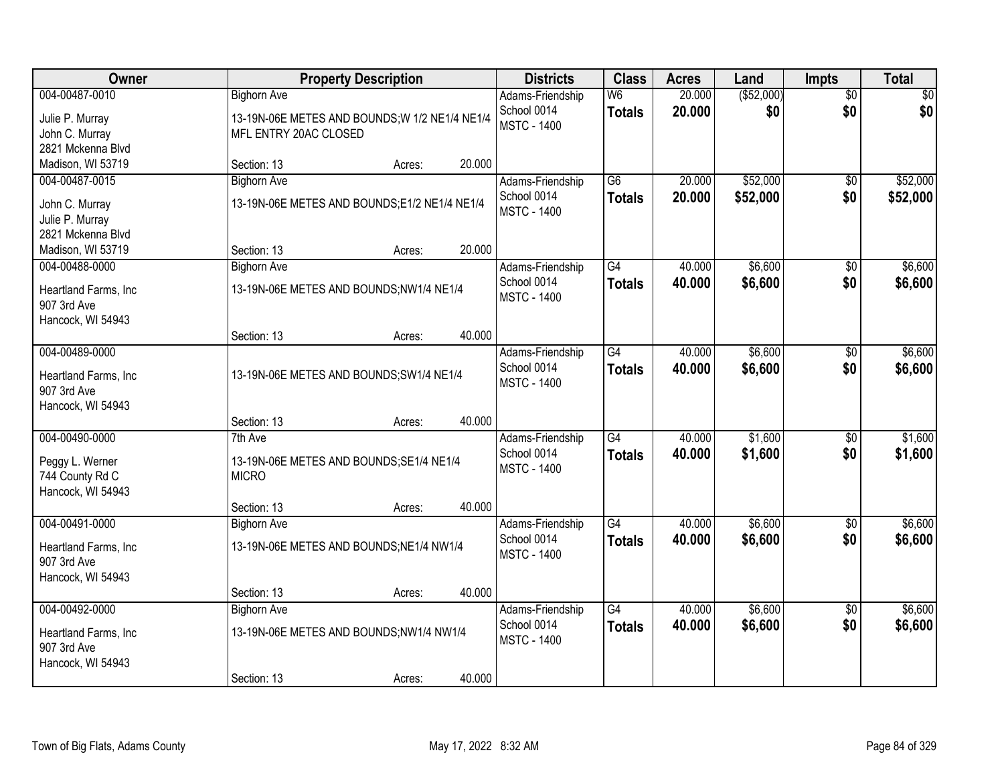| Owner                                                                       |                                                                                               | <b>Property Description</b> |        | <b>Districts</b>                                      | <b>Class</b>                     | <b>Acres</b>     | Land                 | Impts                  | <b>Total</b>         |
|-----------------------------------------------------------------------------|-----------------------------------------------------------------------------------------------|-----------------------------|--------|-------------------------------------------------------|----------------------------------|------------------|----------------------|------------------------|----------------------|
| 004-00487-0010<br>Julie P. Murray<br>John C. Murray<br>2821 Mckenna Blvd    | <b>Bighorn Ave</b><br>13-19N-06E METES AND BOUNDS; W 1/2 NE1/4 NE1/4<br>MFL ENTRY 20AC CLOSED |                             |        | Adams-Friendship<br>School 0014<br><b>MSTC - 1400</b> | W <sub>6</sub><br><b>Totals</b>  | 20.000<br>20.000 | ( \$52,000)<br>\$0   | $\overline{50}$<br>\$0 | \$0<br>\$0           |
| Madison, WI 53719                                                           | Section: 13                                                                                   | Acres:                      | 20.000 |                                                       |                                  |                  |                      |                        |                      |
| 004-00487-0015<br>John C. Murray<br>Julie P. Murray<br>2821 Mckenna Blvd    | <b>Bighorn Ave</b><br>13-19N-06E METES AND BOUNDS;E1/2 NE1/4 NE1/4                            |                             |        | Adams-Friendship<br>School 0014<br><b>MSTC - 1400</b> | $\overline{G6}$<br><b>Totals</b> | 20.000<br>20.000 | \$52,000<br>\$52,000 | $\overline{50}$<br>\$0 | \$52,000<br>\$52,000 |
| Madison, WI 53719                                                           | Section: 13                                                                                   | Acres:                      | 20.000 |                                                       |                                  |                  |                      |                        |                      |
| 004-00488-0000<br>Heartland Farms, Inc.<br>907 3rd Ave<br>Hancock, WI 54943 | <b>Bighorn Ave</b><br>13-19N-06E METES AND BOUNDS;NW1/4 NE1/4                                 |                             |        | Adams-Friendship<br>School 0014<br><b>MSTC - 1400</b> | G4<br><b>Totals</b>              | 40.000<br>40.000 | \$6,600<br>\$6,600   | \$0<br>\$0             | \$6,600<br>\$6,600   |
|                                                                             | Section: 13                                                                                   | Acres:                      | 40.000 |                                                       |                                  |                  |                      |                        |                      |
| 004-00489-0000<br>Heartland Farms, Inc<br>907 3rd Ave<br>Hancock, WI 54943  | 13-19N-06E METES AND BOUNDS; SW1/4 NE1/4                                                      |                             |        | Adams-Friendship<br>School 0014<br><b>MSTC - 1400</b> | G4<br><b>Totals</b>              | 40.000<br>40.000 | \$6,600<br>\$6,600   | \$0<br>\$0             | \$6,600<br>\$6,600   |
|                                                                             | Section: 13                                                                                   | Acres:                      | 40.000 |                                                       |                                  |                  |                      |                        |                      |
| 004-00490-0000<br>Peggy L. Werner<br>744 County Rd C<br>Hancock, WI 54943   | 7th Ave<br>13-19N-06E METES AND BOUNDS; SE1/4 NE1/4<br><b>MICRO</b>                           |                             |        | Adams-Friendship<br>School 0014<br><b>MSTC - 1400</b> | $\overline{G4}$<br><b>Totals</b> | 40.000<br>40.000 | \$1,600<br>\$1,600   | $\overline{50}$<br>\$0 | \$1,600<br>\$1,600   |
|                                                                             | Section: 13                                                                                   | Acres:                      | 40.000 |                                                       |                                  |                  |                      |                        |                      |
| 004-00491-0000<br>Heartland Farms, Inc<br>907 3rd Ave<br>Hancock, WI 54943  | <b>Bighorn Ave</b><br>13-19N-06E METES AND BOUNDS;NE1/4 NW1/4                                 |                             |        | Adams-Friendship<br>School 0014<br><b>MSTC - 1400</b> | $\overline{G4}$<br><b>Totals</b> | 40.000<br>40.000 | \$6,600<br>\$6,600   | $\overline{50}$<br>\$0 | \$6,600<br>\$6,600   |
|                                                                             | Section: 13                                                                                   | Acres:                      | 40.000 |                                                       |                                  |                  |                      |                        |                      |
| 004-00492-0000<br>Heartland Farms, Inc<br>907 3rd Ave<br>Hancock, WI 54943  | <b>Bighorn Ave</b><br>13-19N-06E METES AND BOUNDS;NW1/4 NW1/4<br>Section: 13                  | Acres:                      | 40.000 | Adams-Friendship<br>School 0014<br><b>MSTC - 1400</b> | $\overline{G4}$<br><b>Totals</b> | 40.000<br>40.000 | \$6,600<br>\$6,600   | $\overline{50}$<br>\$0 | \$6,600<br>\$6,600   |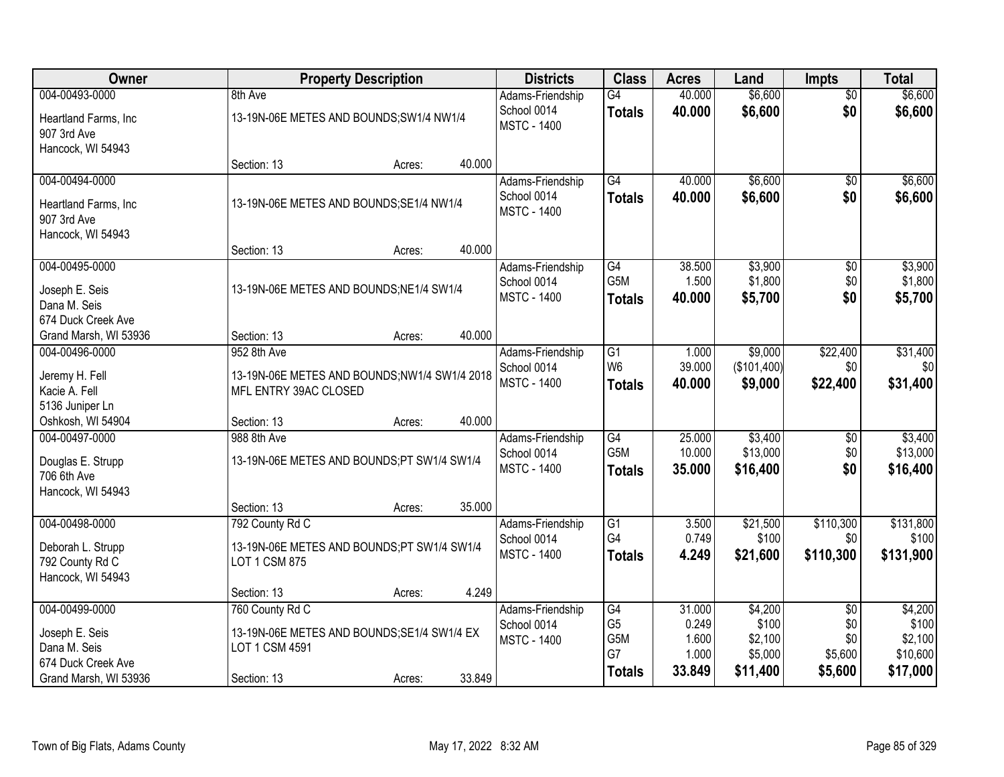| <b>Owner</b>          |                                               | <b>Property Description</b> |        | <b>Districts</b>   | <b>Class</b>     | <b>Acres</b> | Land        | <b>Impts</b>    | <b>Total</b> |
|-----------------------|-----------------------------------------------|-----------------------------|--------|--------------------|------------------|--------------|-------------|-----------------|--------------|
| 004-00493-0000        | 8th Ave                                       |                             |        | Adams-Friendship   | $\overline{G4}$  | 40.000       | \$6,600     | $\overline{50}$ | \$6,600      |
| Heartland Farms, Inc  | 13-19N-06E METES AND BOUNDS; SW1/4 NW1/4      |                             |        | School 0014        | <b>Totals</b>    | 40.000       | \$6,600     | \$0             | \$6,600      |
| 907 3rd Ave           |                                               |                             |        | <b>MSTC - 1400</b> |                  |              |             |                 |              |
| Hancock, WI 54943     |                                               |                             |        |                    |                  |              |             |                 |              |
|                       | Section: 13                                   | Acres:                      | 40.000 |                    |                  |              |             |                 |              |
| 004-00494-0000        |                                               |                             |        | Adams-Friendship   | $\overline{G4}$  | 40.000       | \$6,600     | \$0             | \$6,600      |
| Heartland Farms, Inc  | 13-19N-06E METES AND BOUNDS;SE1/4 NW1/4       |                             |        | School 0014        | <b>Totals</b>    | 40.000       | \$6,600     | \$0             | \$6,600      |
| 907 3rd Ave           |                                               |                             |        | <b>MSTC - 1400</b> |                  |              |             |                 |              |
| Hancock, WI 54943     |                                               |                             |        |                    |                  |              |             |                 |              |
|                       | Section: 13                                   | Acres:                      | 40.000 |                    |                  |              |             |                 |              |
| 004-00495-0000        |                                               |                             |        | Adams-Friendship   | G4               | 38.500       | \$3,900     | \$0             | \$3,900      |
| Joseph E. Seis        | 13-19N-06E METES AND BOUNDS;NE1/4 SW1/4       |                             |        | School 0014        | G5M              | 1.500        | \$1,800     | \$0             | \$1,800      |
| Dana M. Seis          |                                               |                             |        | <b>MSTC - 1400</b> | <b>Totals</b>    | 40.000       | \$5,700     | \$0             | \$5,700      |
| 674 Duck Creek Ave    |                                               |                             |        |                    |                  |              |             |                 |              |
| Grand Marsh, WI 53936 | Section: 13                                   | Acres:                      | 40.000 |                    |                  |              |             |                 |              |
| 004-00496-0000        | 952 8th Ave                                   |                             |        | Adams-Friendship   | $\overline{G1}$  | 1.000        | \$9,000     | \$22,400        | \$31,400     |
| Jeremy H. Fell        | 13-19N-06E METES AND BOUNDS; NW1/4 SW1/4 2018 |                             |        | School 0014        | W <sub>6</sub>   | 39.000       | (\$101,400) | \$0             | \$0          |
| Kacie A. Fell         | MFL ENTRY 39AC CLOSED                         |                             |        | <b>MSTC - 1400</b> | <b>Totals</b>    | 40.000       | \$9,000     | \$22,400        | \$31,400     |
| 5136 Juniper Ln       |                                               |                             |        |                    |                  |              |             |                 |              |
| Oshkosh, WI 54904     | Section: 13                                   | Acres:                      | 40.000 |                    |                  |              |             |                 |              |
| 004-00497-0000        | 988 8th Ave                                   |                             |        | Adams-Friendship   | G4               | 25.000       | \$3,400     | \$0             | \$3,400      |
| Douglas E. Strupp     | 13-19N-06E METES AND BOUNDS;PT SW1/4 SW1/4    |                             |        | School 0014        | G <sub>5</sub> M | 10.000       | \$13,000    | \$0             | \$13,000     |
| 706 6th Ave           |                                               |                             |        | <b>MSTC - 1400</b> | <b>Totals</b>    | 35.000       | \$16,400    | \$0             | \$16,400     |
| Hancock, WI 54943     |                                               |                             |        |                    |                  |              |             |                 |              |
|                       | Section: 13                                   | Acres:                      | 35.000 |                    |                  |              |             |                 |              |
| 004-00498-0000        | 792 County Rd C                               |                             |        | Adams-Friendship   | $\overline{G1}$  | 3.500        | \$21,500    | \$110,300       | \$131,800    |
| Deborah L. Strupp     | 13-19N-06E METES AND BOUNDS;PT SW1/4 SW1/4    |                             |        | School 0014        | G4               | 0.749        | \$100       | \$0             | \$100        |
| 792 County Rd C       | <b>LOT 1 CSM 875</b>                          |                             |        | <b>MSTC - 1400</b> | <b>Totals</b>    | 4.249        | \$21,600    | \$110,300       | \$131,900    |
| Hancock, WI 54943     |                                               |                             |        |                    |                  |              |             |                 |              |
|                       | Section: 13                                   | Acres:                      | 4.249  |                    |                  |              |             |                 |              |
| 004-00499-0000        | 760 County Rd C                               |                             |        | Adams-Friendship   | G4               | 31.000       | \$4,200     | $\overline{60}$ | \$4,200      |
| Joseph E. Seis        | 13-19N-06E METES AND BOUNDS; SE1/4 SW1/4 EX   |                             |        | School 0014        | G <sub>5</sub>   | 0.249        | \$100       | \$0             | \$100        |
| Dana M. Seis          | LOT 1 CSM 4591                                |                             |        | <b>MSTC - 1400</b> | G5M              | 1.600        | \$2,100     | \$0             | \$2,100      |
| 674 Duck Creek Ave    |                                               |                             |        |                    | G7               | 1.000        | \$5,000     | \$5,600         | \$10,600     |
| Grand Marsh, WI 53936 | Section: 13                                   | Acres:                      | 33.849 |                    | <b>Totals</b>    | 33.849       | \$11,400    | \$5,600         | \$17,000     |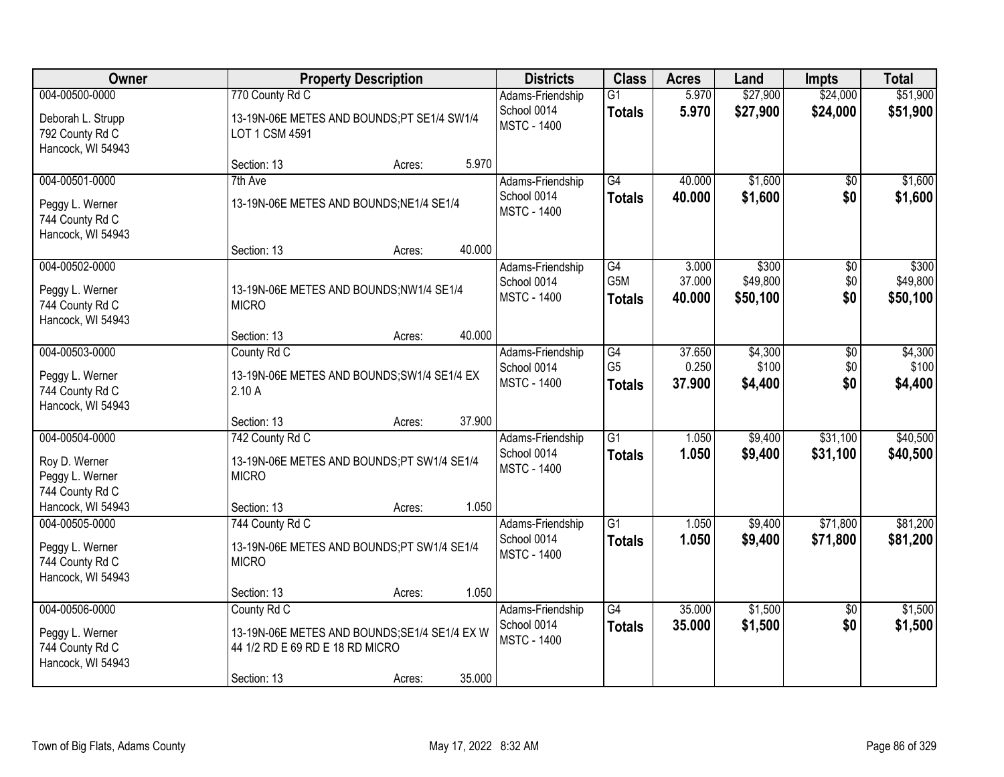| Owner                                                                       |                                                                                                               | <b>Property Description</b> |        |                                                       | <b>Class</b>                     | <b>Acres</b>              | Land                          | <b>Impts</b>           | <b>Total</b>                  |
|-----------------------------------------------------------------------------|---------------------------------------------------------------------------------------------------------------|-----------------------------|--------|-------------------------------------------------------|----------------------------------|---------------------------|-------------------------------|------------------------|-------------------------------|
| 004-00500-0000<br>Deborah L. Strupp<br>792 County Rd C<br>Hancock, WI 54943 | 770 County Rd C<br>13-19N-06E METES AND BOUNDS;PT SE1/4 SW1/4<br>LOT 1 CSM 4591                               |                             |        | Adams-Friendship<br>School 0014<br><b>MSTC - 1400</b> | $\overline{G1}$<br><b>Totals</b> | 5.970<br>5.970            | \$27,900<br>\$27,900          | \$24,000<br>\$24,000   | \$51,900<br>\$51,900          |
|                                                                             | Section: 13                                                                                                   | Acres:                      | 5.970  |                                                       |                                  |                           |                               |                        |                               |
| 004-00501-0000                                                              | 7th Ave                                                                                                       |                             |        | Adams-Friendship                                      | $\overline{G4}$                  | 40.000                    | \$1,600                       | $\overline{30}$        | \$1,600                       |
| Peggy L. Werner<br>744 County Rd C<br>Hancock, WI 54943                     | 13-19N-06E METES AND BOUNDS; NE1/4 SE1/4                                                                      |                             |        | School 0014<br><b>MSTC - 1400</b>                     | <b>Totals</b>                    | 40.000                    | \$1,600                       | \$0                    | \$1,600                       |
|                                                                             | Section: 13                                                                                                   | Acres:                      | 40.000 |                                                       |                                  |                           |                               |                        |                               |
| 004-00502-0000<br>Peggy L. Werner<br>744 County Rd C<br>Hancock, WI 54943   | 13-19N-06E METES AND BOUNDS;NW1/4 SE1/4<br><b>MICRO</b>                                                       |                             |        | Adams-Friendship<br>School 0014<br><b>MSTC - 1400</b> | G4<br>G5M<br><b>Totals</b>       | 3.000<br>37.000<br>40.000 | \$300<br>\$49,800<br>\$50,100 | \$0<br>\$0<br>\$0      | \$300<br>\$49,800<br>\$50,100 |
|                                                                             | Section: 13                                                                                                   | Acres:                      | 40.000 |                                                       |                                  |                           |                               |                        |                               |
| 004-00503-0000                                                              | County Rd C                                                                                                   |                             |        | Adams-Friendship<br>School 0014                       | G4<br>G <sub>5</sub>             | 37.650<br>0.250           | \$4,300<br>\$100              | \$0<br>\$0             | \$4,300<br>\$100              |
| Peggy L. Werner<br>744 County Rd C<br>Hancock, WI 54943                     | 13-19N-06E METES AND BOUNDS; SW1/4 SE1/4 EX<br>2.10A                                                          |                             |        | <b>MSTC - 1400</b>                                    | <b>Totals</b>                    | 37.900                    | \$4,400                       | \$0                    | \$4,400                       |
|                                                                             | Section: 13                                                                                                   | Acres:                      | 37.900 |                                                       |                                  |                           |                               |                        |                               |
| 004-00504-0000<br>Roy D. Werner<br>Peggy L. Werner<br>744 County Rd C       | 742 County Rd C<br>13-19N-06E METES AND BOUNDS;PT SW1/4 SE1/4<br><b>MICRO</b>                                 |                             |        | Adams-Friendship<br>School 0014<br><b>MSTC - 1400</b> | $\overline{G1}$<br><b>Totals</b> | 1.050<br>1.050            | \$9,400<br>\$9,400            | \$31,100<br>\$31,100   | \$40,500<br>\$40,500          |
| Hancock, WI 54943                                                           | Section: 13                                                                                                   | Acres:                      | 1.050  |                                                       |                                  |                           |                               |                        |                               |
| 004-00505-0000<br>Peggy L. Werner<br>744 County Rd C<br>Hancock, WI 54943   | 744 County Rd C<br>13-19N-06E METES AND BOUNDS;PT SW1/4 SE1/4<br><b>MICRO</b>                                 |                             |        | Adams-Friendship<br>School 0014<br><b>MSTC - 1400</b> | $\overline{G1}$<br><b>Totals</b> | 1.050<br>1.050            | \$9,400<br>\$9,400            | \$71,800<br>\$71,800   | \$81,200<br>\$81,200          |
|                                                                             | Section: 13                                                                                                   | Acres:                      | 1.050  |                                                       |                                  |                           |                               |                        |                               |
| 004-00506-0000<br>Peggy L. Werner<br>744 County Rd C<br>Hancock, WI 54943   | County Rd C<br>13-19N-06E METES AND BOUNDS;SE1/4 SE1/4 EX W<br>44 1/2 RD E 69 RD E 18 RD MICRO<br>Section: 13 | Acres:                      | 35.000 | Adams-Friendship<br>School 0014<br><b>MSTC - 1400</b> | $\overline{G4}$<br><b>Totals</b> | 35,000<br>35.000          | \$1,500<br>\$1,500            | $\overline{30}$<br>\$0 | \$1,500<br>\$1,500            |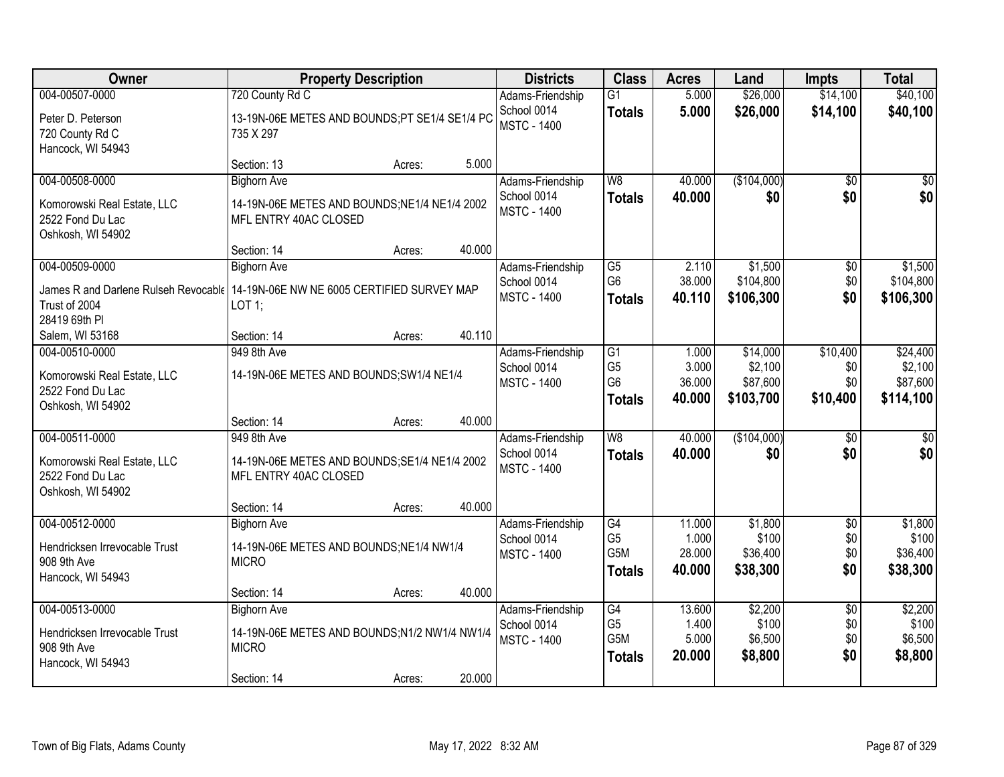| Owner                                                                             | <b>Property Description</b>                   |        |        | <b>Districts</b>                  | <b>Class</b>     | <b>Acres</b> | Land        | <b>Impts</b>    | <b>Total</b> |
|-----------------------------------------------------------------------------------|-----------------------------------------------|--------|--------|-----------------------------------|------------------|--------------|-------------|-----------------|--------------|
| 004-00507-0000                                                                    | 720 County Rd C                               |        |        | Adams-Friendship                  | $\overline{G1}$  | 5.000        | \$26,000    | \$14,100        | \$40,100     |
| Peter D. Peterson                                                                 | 13-19N-06E METES AND BOUNDS;PT SE1/4 SE1/4 PC |        |        | School 0014<br><b>MSTC - 1400</b> | <b>Totals</b>    | 5.000        | \$26,000    | \$14,100        | \$40,100     |
| 720 County Rd C                                                                   | 735 X 297                                     |        |        |                                   |                  |              |             |                 |              |
| Hancock, WI 54943                                                                 |                                               |        |        |                                   |                  |              |             |                 |              |
|                                                                                   | Section: 13                                   | Acres: | 5.000  |                                   |                  |              |             |                 |              |
| 004-00508-0000                                                                    | <b>Bighorn Ave</b>                            |        |        | Adams-Friendship                  | W8               | 40.000       | (\$104,000) | $\overline{50}$ | $\sqrt{50}$  |
| Komorowski Real Estate, LLC                                                       | 14-19N-06E METES AND BOUNDS; NE1/4 NE1/4 2002 |        |        | School 0014<br><b>MSTC - 1400</b> | <b>Totals</b>    | 40.000       | \$0         | \$0             | \$0          |
| 2522 Fond Du Lac                                                                  | MFL ENTRY 40AC CLOSED                         |        |        |                                   |                  |              |             |                 |              |
| Oshkosh, WI 54902                                                                 |                                               |        |        |                                   |                  |              |             |                 |              |
|                                                                                   | Section: 14                                   | Acres: | 40.000 |                                   |                  |              |             |                 |              |
| 004-00509-0000                                                                    | <b>Bighorn Ave</b>                            |        |        | Adams-Friendship                  | G5               | 2.110        | \$1,500     | $\sqrt[6]{30}$  | \$1,500      |
| James R and Darlene Rulseh Revocable   14-19N-06E NW NE 6005 CERTIFIED SURVEY MAP |                                               |        |        | School 0014                       | G <sub>6</sub>   | 38.000       | \$104,800   | \$0             | \$104,800    |
| Trust of 2004                                                                     | $LOT$ 1;                                      |        |        | <b>MSTC - 1400</b>                | <b>Totals</b>    | 40.110       | \$106,300   | \$0             | \$106,300    |
| 28419 69th PI                                                                     |                                               |        |        |                                   |                  |              |             |                 |              |
| Salem, WI 53168                                                                   | Section: 14                                   | Acres: | 40.110 |                                   |                  |              |             |                 |              |
| 004-00510-0000                                                                    | 949 8th Ave                                   |        |        | Adams-Friendship                  | $\overline{G1}$  | 1.000        | \$14,000    | \$10,400        | \$24,400     |
| Komorowski Real Estate, LLC                                                       | 14-19N-06E METES AND BOUNDS; SW1/4 NE1/4      |        |        | School 0014                       | G <sub>5</sub>   | 3.000        | \$2,100     | \$0             | \$2,100      |
| 2522 Fond Du Lac                                                                  |                                               |        |        | <b>MSTC - 1400</b>                | G <sub>6</sub>   | 36.000       | \$87,600    | \$0             | \$87,600     |
| Oshkosh, WI 54902                                                                 |                                               |        |        |                                   | <b>Totals</b>    | 40.000       | \$103,700   | \$10,400        | \$114,100    |
|                                                                                   | Section: 14                                   | Acres: | 40.000 |                                   |                  |              |             |                 |              |
| 004-00511-0000                                                                    | 949 8th Ave                                   |        |        | Adams-Friendship                  | $\overline{W8}$  | 40.000       | (\$104,000) | $\overline{50}$ | \$0          |
| Komorowski Real Estate, LLC                                                       | 14-19N-06E METES AND BOUNDS; SE1/4 NE1/4 2002 |        |        | School 0014                       | <b>Totals</b>    | 40.000       | \$0         | \$0             | \$0          |
| 2522 Fond Du Lac                                                                  | MFL ENTRY 40AC CLOSED                         |        |        | <b>MSTC - 1400</b>                |                  |              |             |                 |              |
| Oshkosh, WI 54902                                                                 |                                               |        |        |                                   |                  |              |             |                 |              |
|                                                                                   | Section: 14                                   | Acres: | 40.000 |                                   |                  |              |             |                 |              |
| 004-00512-0000                                                                    | <b>Bighorn Ave</b>                            |        |        | Adams-Friendship                  | $\overline{G4}$  | 11.000       | \$1,800     | $\overline{60}$ | \$1,800      |
| Hendricksen Irrevocable Trust                                                     | 14-19N-06E METES AND BOUNDS; NE1/4 NW1/4      |        |        | School 0014                       | G <sub>5</sub>   | 1.000        | \$100       | \$0             | \$100        |
| 908 9th Ave                                                                       | <b>MICRO</b>                                  |        |        | <b>MSTC - 1400</b>                | G <sub>5</sub> M | 28.000       | \$36,400    | \$0             | \$36,400     |
| Hancock, WI 54943                                                                 |                                               |        |        |                                   | <b>Totals</b>    | 40.000       | \$38,300    | \$0             | \$38,300     |
|                                                                                   | Section: 14                                   | Acres: | 40.000 |                                   |                  |              |             |                 |              |
| 004-00513-0000                                                                    | <b>Bighorn Ave</b>                            |        |        | Adams-Friendship                  | G4               | 13.600       | \$2,200     | $\overline{50}$ | \$2,200      |
| Hendricksen Irrevocable Trust                                                     | 14-19N-06E METES AND BOUNDS;N1/2 NW1/4 NW1/4  |        |        | School 0014                       | G <sub>5</sub>   | 1.400        | \$100       | \$0             | \$100        |
| 908 9th Ave                                                                       | <b>MICRO</b>                                  |        |        | <b>MSTC - 1400</b>                | G5M              | 5.000        | \$6,500     | \$0             | \$6,500      |
| Hancock, WI 54943                                                                 |                                               |        |        |                                   | <b>Totals</b>    | 20.000       | \$8,800     | \$0             | \$8,800      |
|                                                                                   | Section: 14                                   | Acres: | 20.000 |                                   |                  |              |             |                 |              |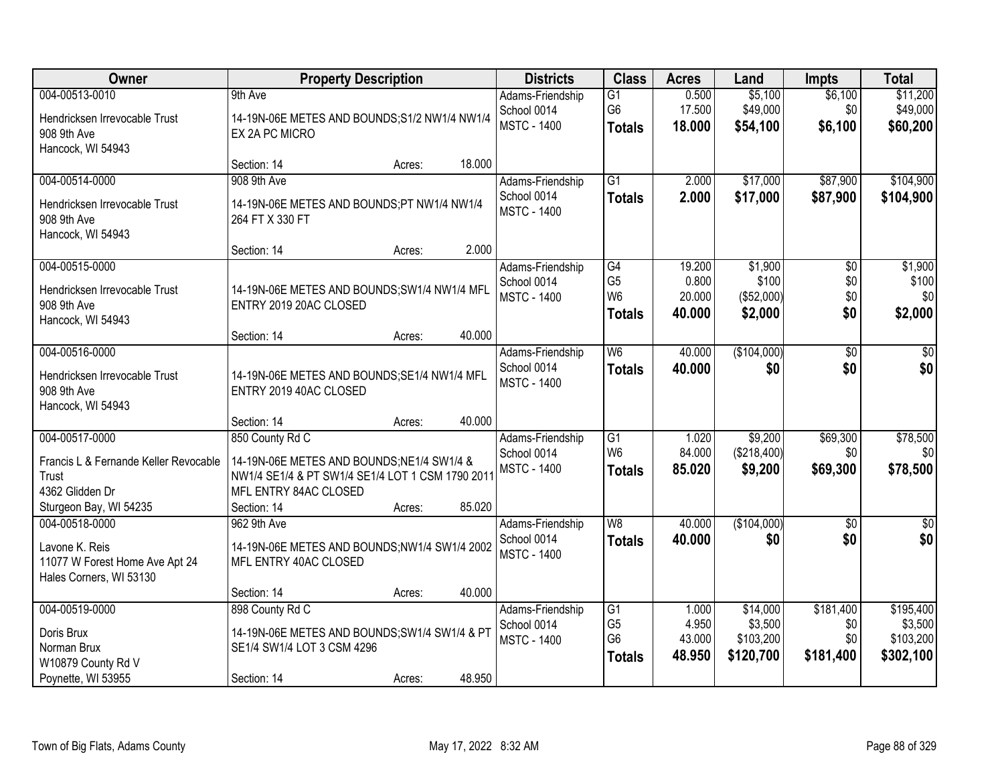| Owner                                                                                   | <b>Property Description</b>                                                                                                               |        |        | <b>Districts</b>                                      | <b>Class</b>                                                         | <b>Acres</b>                        | Land                                          | <b>Impts</b>                         | <b>Total</b>                                   |
|-----------------------------------------------------------------------------------------|-------------------------------------------------------------------------------------------------------------------------------------------|--------|--------|-------------------------------------------------------|----------------------------------------------------------------------|-------------------------------------|-----------------------------------------------|--------------------------------------|------------------------------------------------|
| 004-00513-0010<br>Hendricksen Irrevocable Trust<br>908 9th Ave<br>Hancock, WI 54943     | 9th Ave<br>14-19N-06E METES AND BOUNDS; S1/2 NW1/4 NW1/4<br>EX 2A PC MICRO                                                                |        |        | Adams-Friendship<br>School 0014<br><b>MSTC - 1400</b> | G1<br>G <sub>6</sub><br><b>Totals</b>                                | 0.500<br>17.500<br>18.000           | \$5,100<br>\$49,000<br>\$54,100               | \$6,100<br>\$0<br>\$6,100            | \$11,200<br>\$49,000<br>\$60,200               |
|                                                                                         | Section: 14                                                                                                                               | Acres: | 18.000 |                                                       |                                                                      |                                     |                                               |                                      |                                                |
| 004-00514-0000<br>Hendricksen Irrevocable Trust<br>908 9th Ave<br>Hancock, WI 54943     | 908 9th Ave<br>14-19N-06E METES AND BOUNDS;PT NW1/4 NW1/4<br>264 FT X 330 FT                                                              |        |        | Adams-Friendship<br>School 0014<br><b>MSTC - 1400</b> | $\overline{G1}$<br><b>Totals</b>                                     | 2.000<br>2.000                      | \$17,000<br>\$17,000                          | \$87,900<br>\$87,900                 | \$104,900<br>\$104,900                         |
|                                                                                         | Section: 14                                                                                                                               | Acres: | 2.000  |                                                       |                                                                      |                                     |                                               |                                      |                                                |
| 004-00515-0000<br>Hendricksen Irrevocable Trust<br>908 9th Ave<br>Hancock, WI 54943     | 14-19N-06E METES AND BOUNDS; SW1/4 NW1/4 MFL<br>ENTRY 2019 20AC CLOSED                                                                    |        |        | Adams-Friendship<br>School 0014<br><b>MSTC - 1400</b> | G4<br>G <sub>5</sub><br>W <sub>6</sub><br><b>Totals</b>              | 19.200<br>0.800<br>20.000<br>40.000 | \$1,900<br>\$100<br>(\$52,000)<br>\$2,000     | $\overline{50}$<br>\$0<br>\$0<br>\$0 | \$1,900<br>\$100<br>\$0<br>\$2,000             |
|                                                                                         | Section: 14                                                                                                                               | Acres: | 40.000 |                                                       |                                                                      |                                     |                                               |                                      |                                                |
| 004-00516-0000<br>Hendricksen Irrevocable Trust<br>908 9th Ave<br>Hancock, WI 54943     | 14-19N-06E METES AND BOUNDS; SE1/4 NW1/4 MFL<br>ENTRY 2019 40AC CLOSED                                                                    |        |        | Adams-Friendship<br>School 0014<br><b>MSTC - 1400</b> | W6<br><b>Totals</b>                                                  | 40.000<br>40.000                    | (\$104,000)<br>\$0                            | $\overline{50}$<br>\$0               | \$0<br>\$0                                     |
|                                                                                         | Section: 14                                                                                                                               | Acres: | 40.000 |                                                       |                                                                      |                                     |                                               |                                      |                                                |
| 004-00517-0000<br>Francis L & Fernande Keller Revocable<br>Trust<br>4362 Glidden Dr     | 850 County Rd C<br>14-19N-06E METES AND BOUNDS:NE1/4 SW1/4 &<br>NW1/4 SE1/4 & PT SW1/4 SE1/4 LOT 1 CSM 1790 2011<br>MFL ENTRY 84AC CLOSED |        |        | Adams-Friendship<br>School 0014<br><b>MSTC - 1400</b> | $\overline{G1}$<br>W <sub>6</sub><br><b>Totals</b>                   | 1.020<br>84.000<br>85.020           | \$9,200<br>(\$218,400)<br>\$9,200             | \$69,300<br>\$0<br>\$69,300          | \$78,500<br>\$0<br>\$78,500                    |
| Sturgeon Bay, WI 54235<br>004-00518-0000                                                | Section: 14<br>962 9th Ave                                                                                                                | Acres: | 85.020 | Adams-Friendship                                      | $\overline{\mathsf{W}8}$                                             | 40.000                              | (\$104,000)                                   | $\overline{50}$                      | \$0                                            |
| Lavone K. Reis<br>11077 W Forest Home Ave Apt 24<br>Hales Corners, WI 53130             | 14-19N-06E METES AND BOUNDS;NW1/4 SW1/4 2002<br>MFL ENTRY 40AC CLOSED                                                                     |        |        | School 0014<br><b>MSTC - 1400</b>                     | <b>Totals</b>                                                        | 40.000                              | \$0                                           | \$0                                  | \$0                                            |
|                                                                                         | Section: 14                                                                                                                               | Acres: | 40.000 |                                                       |                                                                      |                                     |                                               |                                      |                                                |
| 004-00519-0000<br>Doris Brux<br>Norman Brux<br>W10879 County Rd V<br>Poynette, WI 53955 | 898 County Rd C<br>14-19N-06E METES AND BOUNDS; SW1/4 SW1/4 & PT<br>SE1/4 SW1/4 LOT 3 CSM 4296<br>Section: 14                             | Acres: | 48.950 | Adams-Friendship<br>School 0014<br><b>MSTC - 1400</b> | $\overline{G1}$<br>G <sub>5</sub><br>G <sub>6</sub><br><b>Totals</b> | 1.000<br>4.950<br>43.000<br>48.950  | \$14,000<br>\$3,500<br>\$103,200<br>\$120,700 | \$181,400<br>\$0<br>\$0<br>\$181,400 | \$195,400<br>\$3,500<br>\$103,200<br>\$302,100 |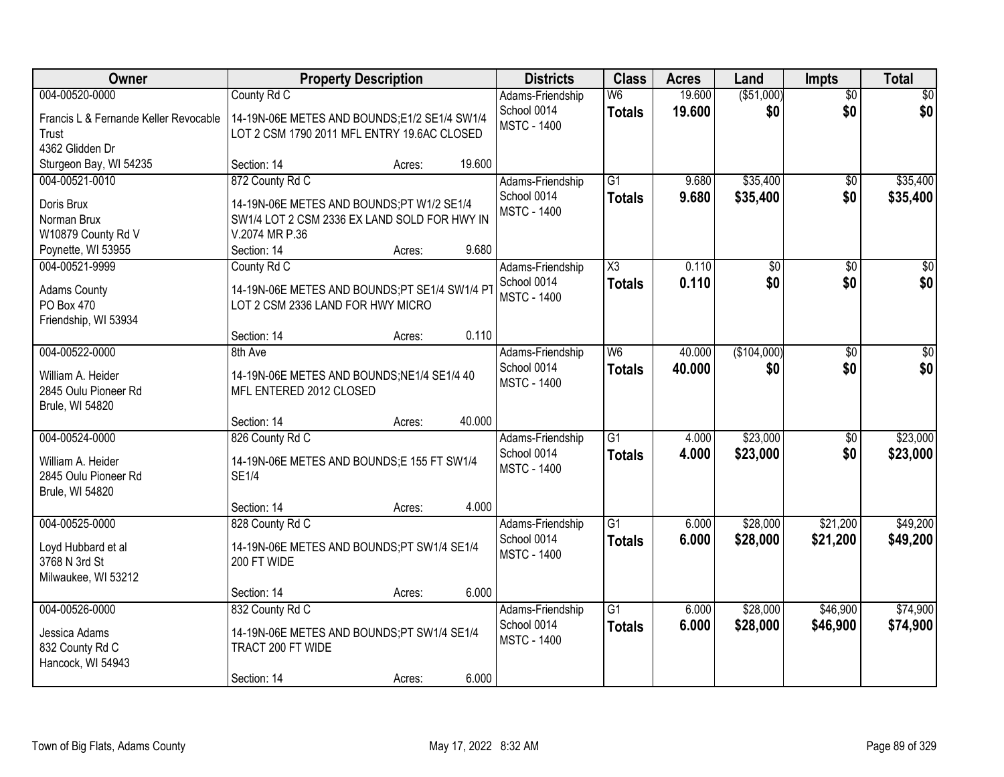| Owner                                                        |                                                                        | <b>Property Description</b> |        | <b>Districts</b>                  | <b>Class</b>                    | <b>Acres</b>     | Land               | <b>Impts</b>           | <b>Total</b>           |
|--------------------------------------------------------------|------------------------------------------------------------------------|-----------------------------|--------|-----------------------------------|---------------------------------|------------------|--------------------|------------------------|------------------------|
| 004-00520-0000<br>Francis L & Fernande Keller Revocable      | County Rd C<br>14-19N-06E METES AND BOUNDS;E1/2 SE1/4 SW1/4            |                             |        | Adams-Friendship<br>School 0014   | W <sub>6</sub><br><b>Totals</b> | 19.600<br>19.600 | ( \$51,000)<br>\$0 | $\overline{50}$<br>\$0 | $\overline{30}$<br>\$0 |
| Trust<br>4362 Glidden Dr                                     | LOT 2 CSM 1790 2011 MFL ENTRY 19.6AC CLOSED                            |                             |        | <b>MSTC - 1400</b>                |                                 |                  |                    |                        |                        |
| Sturgeon Bay, WI 54235                                       | Section: 14                                                            | Acres:                      | 19.600 |                                   |                                 |                  |                    |                        |                        |
| 004-00521-0010                                               | 872 County Rd C                                                        |                             |        | Adams-Friendship<br>School 0014   | $\overline{G1}$                 | 9.680            | \$35,400           | $\overline{50}$        | \$35,400               |
| Doris Brux                                                   | 14-19N-06E METES AND BOUNDS;PT W1/2 SE1/4                              |                             |        | <b>MSTC - 1400</b>                | <b>Totals</b>                   | 9.680            | \$35,400           | \$0                    | \$35,400               |
| Norman Brux                                                  | SW1/4 LOT 2 CSM 2336 EX LAND SOLD FOR HWY IN                           |                             |        |                                   |                                 |                  |                    |                        |                        |
| W10879 County Rd V                                           | V.2074 MR P.36                                                         |                             |        |                                   |                                 |                  |                    |                        |                        |
| Poynette, WI 53955                                           | Section: 14                                                            | Acres:                      | 9.680  |                                   |                                 |                  |                    |                        |                        |
| 004-00521-9999                                               | County Rd C                                                            |                             |        | Adams-Friendship                  | X3                              | 0.110            | \$0                | \$0                    | \$0                    |
| <b>Adams County</b>                                          | 14-19N-06E METES AND BOUNDS;PT SE1/4 SW1/4 PT                          |                             |        | School 0014                       | <b>Totals</b>                   | 0.110            | \$0                | \$0                    | \$0                    |
| PO Box 470                                                   | LOT 2 CSM 2336 LAND FOR HWY MICRO                                      |                             |        | <b>MSTC - 1400</b>                |                                 |                  |                    |                        |                        |
| Friendship, WI 53934                                         |                                                                        |                             |        |                                   |                                 |                  |                    |                        |                        |
|                                                              | Section: 14                                                            | Acres:                      | 0.110  |                                   |                                 |                  |                    |                        |                        |
| 004-00522-0000                                               | 8th Ave                                                                |                             |        | Adams-Friendship                  | W <sub>6</sub>                  | 40.000           | (\$104,000)        | \$0                    | \$0                    |
| William A. Heider<br>2845 Oulu Pioneer Rd<br>Brule, WI 54820 | 14-19N-06E METES AND BOUNDS; NE1/4 SE1/4 40<br>MFL ENTERED 2012 CLOSED |                             |        | School 0014<br><b>MSTC - 1400</b> | <b>Totals</b>                   | 40.000           | \$0                | \$0                    | \$0                    |
|                                                              | Section: 14                                                            | Acres:                      | 40.000 |                                   |                                 |                  |                    |                        |                        |
| 004-00524-0000                                               | 826 County Rd C                                                        |                             |        | Adams-Friendship                  | $\overline{G1}$                 | 4.000            | \$23,000           | $\overline{30}$        | \$23,000               |
|                                                              |                                                                        |                             |        | School 0014                       | <b>Totals</b>                   | 4.000            | \$23,000           | \$0                    | \$23,000               |
| William A. Heider                                            | 14-19N-06E METES AND BOUNDS;E 155 FT SW1/4                             |                             |        | <b>MSTC - 1400</b>                |                                 |                  |                    |                        |                        |
| 2845 Oulu Pioneer Rd                                         | <b>SE1/4</b>                                                           |                             |        |                                   |                                 |                  |                    |                        |                        |
| Brule, WI 54820                                              | Section: 14                                                            | Acres:                      | 4.000  |                                   |                                 |                  |                    |                        |                        |
| 004-00525-0000                                               | 828 County Rd C                                                        |                             |        | Adams-Friendship                  | $\overline{G1}$                 | 6.000            | \$28,000           | \$21,200               | \$49,200               |
|                                                              |                                                                        |                             |        | School 0014                       | <b>Totals</b>                   | 6.000            | \$28,000           | \$21,200               | \$49,200               |
| Loyd Hubbard et al                                           | 14-19N-06E METES AND BOUNDS;PT SW1/4 SE1/4                             |                             |        | <b>MSTC - 1400</b>                |                                 |                  |                    |                        |                        |
| 3768 N 3rd St                                                | 200 FT WIDE                                                            |                             |        |                                   |                                 |                  |                    |                        |                        |
| Milwaukee, WI 53212                                          |                                                                        |                             |        |                                   |                                 |                  |                    |                        |                        |
|                                                              | Section: 14                                                            | Acres:                      | 6.000  |                                   |                                 |                  |                    |                        |                        |
| 004-00526-0000                                               | 832 County Rd C                                                        |                             |        | Adams-Friendship                  | $\overline{G1}$                 | 6.000            | \$28,000           | \$46,900               | \$74,900               |
| Jessica Adams                                                | 14-19N-06E METES AND BOUNDS;PT SW1/4 SE1/4                             |                             |        | School 0014                       | <b>Totals</b>                   | 6.000            | \$28,000           | \$46,900               | \$74,900               |
| 832 County Rd C                                              | TRACT 200 FT WIDE                                                      |                             |        | <b>MSTC - 1400</b>                |                                 |                  |                    |                        |                        |
| Hancock, WI 54943                                            |                                                                        |                             |        |                                   |                                 |                  |                    |                        |                        |
|                                                              | Section: 14                                                            | Acres:                      | 6.000  |                                   |                                 |                  |                    |                        |                        |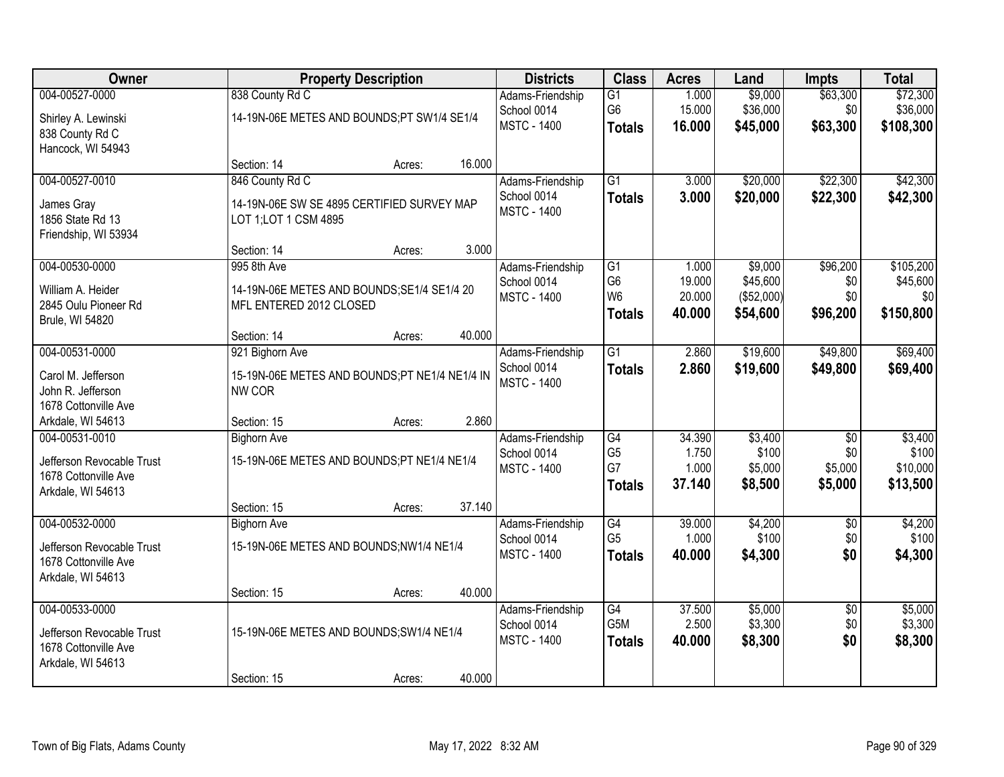| Owner                                                                                    |                                                                                        | <b>Property Description</b> |        | <b>Districts</b>                                      | <b>Class</b>                                                        | <b>Acres</b>                        | Land                                          | <b>Impts</b>                                 | <b>Total</b>                              |
|------------------------------------------------------------------------------------------|----------------------------------------------------------------------------------------|-----------------------------|--------|-------------------------------------------------------|---------------------------------------------------------------------|-------------------------------------|-----------------------------------------------|----------------------------------------------|-------------------------------------------|
| 004-00527-0000<br>Shirley A. Lewinski<br>838 County Rd C<br>Hancock, WI 54943            | 838 County Rd C<br>14-19N-06E METES AND BOUNDS;PT SW1/4 SE1/4                          |                             |        | Adams-Friendship<br>School 0014<br><b>MSTC - 1400</b> | G1<br>G <sub>6</sub><br><b>Totals</b>                               | 1.000<br>15.000<br>16.000           | \$9,000<br>\$36,000<br>\$45,000               | \$63,300<br>\$0<br>\$63,300                  | \$72,300<br>\$36,000<br>\$108,300         |
|                                                                                          | Section: 14                                                                            | Acres:                      | 16.000 |                                                       |                                                                     |                                     |                                               |                                              |                                           |
| 004-00527-0010<br>James Gray<br>1856 State Rd 13<br>Friendship, WI 53934                 | 846 County Rd C<br>14-19N-06E SW SE 4895 CERTIFIED SURVEY MAP<br>LOT 1; LOT 1 CSM 4895 |                             |        | Adams-Friendship<br>School 0014<br><b>MSTC - 1400</b> | $\overline{G1}$<br><b>Totals</b>                                    | 3.000<br>3.000                      | \$20,000<br>\$20,000                          | \$22,300<br>\$22,300                         | \$42,300<br>\$42,300                      |
|                                                                                          | Section: 14                                                                            | Acres:                      | 3.000  |                                                       |                                                                     |                                     |                                               |                                              |                                           |
| 004-00530-0000<br>William A. Heider<br>2845 Oulu Pioneer Rd<br>Brule, WI 54820           | 995 8th Ave<br>14-19N-06E METES AND BOUNDS; SE1/4 SE1/4 20<br>MFL ENTERED 2012 CLOSED  |                             |        | Adams-Friendship<br>School 0014<br><b>MSTC - 1400</b> | G <sub>1</sub><br>G <sub>6</sub><br>W <sub>6</sub><br><b>Totals</b> | 1.000<br>19.000<br>20.000<br>40.000 | \$9,000<br>\$45,600<br>(\$52,000)<br>\$54,600 | \$96,200<br>\$0<br>\$0<br>\$96,200           | \$105,200<br>\$45,600<br>\$0<br>\$150,800 |
|                                                                                          | Section: 14                                                                            | Acres:                      | 40.000 |                                                       |                                                                     |                                     |                                               |                                              |                                           |
| 004-00531-0000<br>Carol M. Jefferson<br>John R. Jefferson<br>1678 Cottonville Ave        | 921 Bighorn Ave<br>15-19N-06E METES AND BOUNDS;PT NE1/4 NE1/4 IN<br>NW COR             |                             |        | Adams-Friendship<br>School 0014<br><b>MSTC - 1400</b> | $\overline{G1}$<br><b>Totals</b>                                    | 2.860<br>2.860                      | \$19,600<br>\$19,600                          | \$49,800<br>\$49,800                         | \$69,400<br>\$69,400                      |
| Arkdale, WI 54613                                                                        | Section: 15                                                                            | Acres:                      | 2.860  |                                                       |                                                                     |                                     |                                               |                                              |                                           |
| 004-00531-0010<br>Jefferson Revocable Trust<br>1678 Cottonville Ave<br>Arkdale, WI 54613 | <b>Bighorn Ave</b><br>15-19N-06E METES AND BOUNDS;PT NE1/4 NE1/4<br>Section: 15        |                             | 37.140 | Adams-Friendship<br>School 0014<br><b>MSTC - 1400</b> | $\overline{G4}$<br>G <sub>5</sub><br>G7<br><b>Totals</b>            | 34.390<br>1.750<br>1.000<br>37.140  | \$3,400<br>\$100<br>\$5,000<br>\$8,500        | $\overline{50}$<br>\$0<br>\$5,000<br>\$5,000 | \$3,400<br>\$100<br>\$10,000<br>\$13,500  |
| 004-00532-0000                                                                           | <b>Bighorn Ave</b>                                                                     | Acres:                      |        | Adams-Friendship                                      | G4                                                                  | 39.000                              | \$4,200                                       | $\overline{50}$                              | \$4,200                                   |
| Jefferson Revocable Trust<br>1678 Cottonville Ave<br>Arkdale, WI 54613                   | 15-19N-06E METES AND BOUNDS;NW1/4 NE1/4                                                |                             |        | School 0014<br><b>MSTC - 1400</b>                     | G <sub>5</sub><br><b>Totals</b>                                     | 1.000<br>40.000                     | \$100<br>\$4,300                              | \$0<br>\$0                                   | \$100<br>\$4,300                          |
|                                                                                          | Section: 15                                                                            | Acres:                      | 40.000 |                                                       |                                                                     |                                     |                                               |                                              |                                           |
| 004-00533-0000<br>Jefferson Revocable Trust<br>1678 Cottonville Ave<br>Arkdale, WI 54613 | 15-19N-06E METES AND BOUNDS; SW1/4 NE1/4                                               |                             | 40.000 | Adams-Friendship<br>School 0014<br><b>MSTC - 1400</b> | G4<br>G5M<br><b>Totals</b>                                          | 37.500<br>2.500<br>40.000           | \$5,000<br>\$3,300<br>\$8,300                 | $\overline{50}$<br>\$0<br>\$0                | \$5,000<br>\$3,300<br>\$8,300             |
|                                                                                          | Section: 15                                                                            | Acres:                      |        |                                                       |                                                                     |                                     |                                               |                                              |                                           |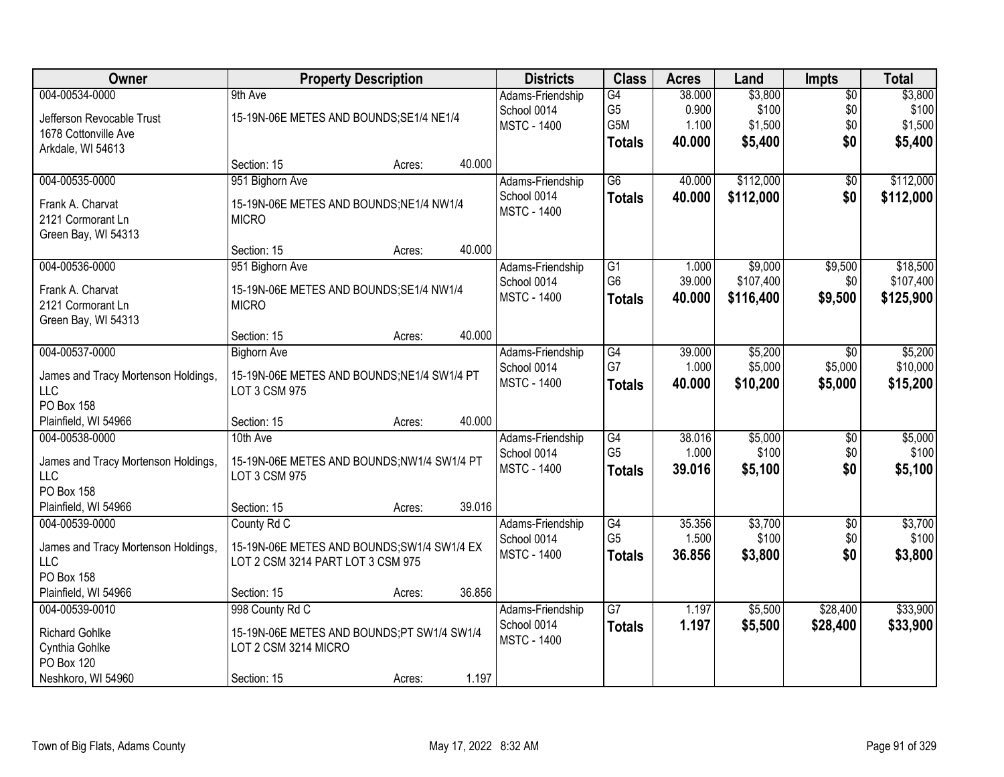| Owner                               |                                             | <b>Property Description</b> |        | <b>Districts</b>   | <b>Class</b>    | <b>Acres</b> | Land      | <b>Impts</b>    | <b>Total</b> |
|-------------------------------------|---------------------------------------------|-----------------------------|--------|--------------------|-----------------|--------------|-----------|-----------------|--------------|
| 004-00534-0000                      | 9th Ave                                     |                             |        | Adams-Friendship   | G4              | 38.000       | \$3,800   | $\overline{50}$ | \$3,800      |
| Jefferson Revocable Trust           | 15-19N-06E METES AND BOUNDS; SE1/4 NE1/4    |                             |        | School 0014        | G <sub>5</sub>  | 0.900        | \$100     | \$0             | \$100        |
| 1678 Cottonville Ave                |                                             |                             |        | <b>MSTC - 1400</b> | G5M             | 1.100        | \$1,500   | \$0             | \$1,500      |
| Arkdale, WI 54613                   |                                             |                             |        |                    | <b>Totals</b>   | 40.000       | \$5,400   | \$0             | \$5,400      |
|                                     | Section: 15                                 | Acres:                      | 40.000 |                    |                 |              |           |                 |              |
| 004-00535-0000                      | 951 Bighorn Ave                             |                             |        | Adams-Friendship   | $\overline{G6}$ | 40.000       | \$112,000 | \$0             | \$112,000    |
| Frank A. Charvat                    | 15-19N-06E METES AND BOUNDS; NE1/4 NW1/4    |                             |        | School 0014        | <b>Totals</b>   | 40.000       | \$112,000 | \$0             | \$112,000    |
| 2121 Cormorant Ln                   | <b>MICRO</b>                                |                             |        | <b>MSTC - 1400</b> |                 |              |           |                 |              |
| Green Bay, WI 54313                 |                                             |                             |        |                    |                 |              |           |                 |              |
|                                     | Section: 15                                 | Acres:                      | 40.000 |                    |                 |              |           |                 |              |
| 004-00536-0000                      | 951 Bighorn Ave                             |                             |        | Adams-Friendship   | G1              | 1.000        | \$9,000   | \$9,500         | \$18,500     |
| Frank A. Charvat                    | 15-19N-06E METES AND BOUNDS; SE1/4 NW1/4    |                             |        | School 0014        | G <sub>6</sub>  | 39.000       | \$107,400 | \$0             | \$107,400    |
| 2121 Cormorant Ln                   | <b>MICRO</b>                                |                             |        | <b>MSTC - 1400</b> | <b>Totals</b>   | 40.000       | \$116,400 | \$9,500         | \$125,900    |
| Green Bay, WI 54313                 |                                             |                             |        |                    |                 |              |           |                 |              |
|                                     | Section: 15                                 | Acres:                      | 40.000 |                    |                 |              |           |                 |              |
| 004-00537-0000                      | <b>Bighorn Ave</b>                          |                             |        | Adams-Friendship   | $\overline{G4}$ | 39.000       | \$5,200   | \$0             | \$5,200      |
| James and Tracy Mortenson Holdings, | 15-19N-06E METES AND BOUNDS;NE1/4 SW1/4 PT  |                             |        | School 0014        | G7              | 1.000        | \$5,000   | \$5,000         | \$10,000     |
| <b>LLC</b>                          | LOT 3 CSM 975                               |                             |        | <b>MSTC - 1400</b> | <b>Totals</b>   | 40.000       | \$10,200  | \$5,000         | \$15,200     |
| <b>PO Box 158</b>                   |                                             |                             |        |                    |                 |              |           |                 |              |
| Plainfield, WI 54966                | Section: 15                                 | Acres:                      | 40.000 |                    |                 |              |           |                 |              |
| 004-00538-0000                      | 10th Ave                                    |                             |        | Adams-Friendship   | G4              | 38.016       | \$5,000   | $\overline{50}$ | \$5,000      |
| James and Tracy Mortenson Holdings, | 15-19N-06E METES AND BOUNDS;NW1/4 SW1/4 PT  |                             |        | School 0014        | G <sub>5</sub>  | 1.000        | \$100     | \$0             | \$100        |
| <b>LLC</b>                          | LOT 3 CSM 975                               |                             |        | <b>MSTC - 1400</b> | <b>Totals</b>   | 39.016       | \$5,100   | \$0             | \$5,100      |
| PO Box 158                          |                                             |                             |        |                    |                 |              |           |                 |              |
| Plainfield, WI 54966                | Section: 15                                 | Acres:                      | 39.016 |                    |                 |              |           |                 |              |
| 004-00539-0000                      | County Rd C                                 |                             |        | Adams-Friendship   | G4              | 35.356       | \$3,700   | $\overline{50}$ | \$3,700      |
| James and Tracy Mortenson Holdings, | 15-19N-06E METES AND BOUNDS; SW1/4 SW1/4 EX |                             |        | School 0014        | G <sub>5</sub>  | 1.500        | \$100     | \$0             | \$100        |
| <b>LLC</b>                          | LOT 2 CSM 3214 PART LOT 3 CSM 975           |                             |        | <b>MSTC - 1400</b> | <b>Totals</b>   | 36.856       | \$3,800   | \$0             | \$3,800      |
| PO Box 158                          |                                             |                             |        |                    |                 |              |           |                 |              |
| Plainfield, WI 54966                | Section: 15                                 | Acres:                      | 36.856 |                    |                 |              |           |                 |              |
| 004-00539-0010                      | 998 County Rd C                             |                             |        | Adams-Friendship   | $\overline{G7}$ | 1.197        | \$5,500   | \$28,400        | \$33,900     |
| <b>Richard Gohlke</b>               | 15-19N-06E METES AND BOUNDS;PT SW1/4 SW1/4  |                             |        | School 0014        | <b>Totals</b>   | 1.197        | \$5,500   | \$28,400        | \$33,900     |
| Cynthia Gohlke                      | LOT 2 CSM 3214 MICRO                        |                             |        | <b>MSTC - 1400</b> |                 |              |           |                 |              |
| PO Box 120                          |                                             |                             |        |                    |                 |              |           |                 |              |
| Neshkoro, WI 54960                  | Section: 15                                 | Acres:                      | 1.197  |                    |                 |              |           |                 |              |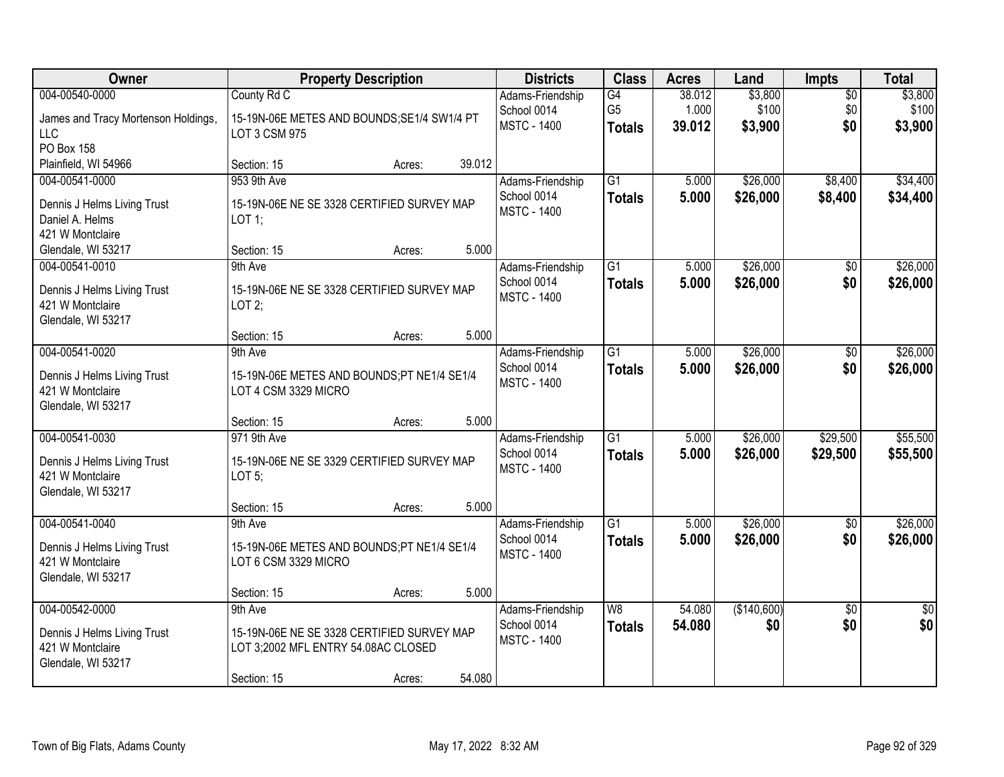| Owner                               | <b>Property Description</b>                 |                  | <b>Districts</b>                  | <b>Class</b>    | <b>Acres</b> | Land        | <b>Impts</b>    | <b>Total</b>    |
|-------------------------------------|---------------------------------------------|------------------|-----------------------------------|-----------------|--------------|-------------|-----------------|-----------------|
| 004-00540-0000                      | County Rd C                                 |                  | Adams-Friendship                  | G4              | 38.012       | \$3,800     | $\overline{50}$ | \$3,800         |
| James and Tracy Mortenson Holdings, | 15-19N-06E METES AND BOUNDS; SE1/4 SW1/4 PT |                  | School 0014<br><b>MSTC - 1400</b> | G <sub>5</sub>  | 1.000        | \$100       | \$0<br>\$0      | \$100           |
| <b>LLC</b>                          | LOT 3 CSM 975                               |                  |                                   | <b>Totals</b>   | 39.012       | \$3,900     |                 | \$3,900         |
| PO Box 158                          |                                             |                  |                                   |                 |              |             |                 |                 |
| Plainfield, WI 54966                | Section: 15                                 | 39.012<br>Acres: |                                   |                 |              |             |                 |                 |
| 004-00541-0000                      | 953 9th Ave                                 |                  | Adams-Friendship                  | $\overline{G1}$ | 5.000        | \$26,000    | \$8,400         | \$34,400        |
| Dennis J Helms Living Trust         | 15-19N-06E NE SE 3328 CERTIFIED SURVEY MAP  |                  | School 0014<br><b>MSTC - 1400</b> | <b>Totals</b>   | 5.000        | \$26,000    | \$8,400         | \$34,400        |
| Daniel A. Helms                     | $LOT$ 1;                                    |                  |                                   |                 |              |             |                 |                 |
| 421 W Montclaire                    |                                             |                  |                                   |                 |              |             |                 |                 |
| Glendale, WI 53217                  | Section: 15                                 | 5.000<br>Acres:  |                                   |                 |              |             |                 |                 |
| 004-00541-0010                      | 9th Ave                                     |                  | Adams-Friendship                  | $\overline{G1}$ | 5.000        | \$26,000    | \$0             | \$26,000        |
| Dennis J Helms Living Trust         | 15-19N-06E NE SE 3328 CERTIFIED SURVEY MAP  |                  | School 0014<br><b>MSTC - 1400</b> | <b>Totals</b>   | 5.000        | \$26,000    | \$0             | \$26,000        |
| 421 W Montclaire                    | LOT $2$ ;                                   |                  |                                   |                 |              |             |                 |                 |
| Glendale, WI 53217                  |                                             |                  |                                   |                 |              |             |                 |                 |
|                                     | Section: 15                                 | 5.000<br>Acres:  |                                   |                 |              |             |                 |                 |
| 004-00541-0020                      | 9th Ave                                     |                  | Adams-Friendship                  | G1              | 5.000        | \$26,000    | \$0             | \$26,000        |
| Dennis J Helms Living Trust         | 15-19N-06E METES AND BOUNDS;PT NE1/4 SE1/4  |                  | School 0014                       | <b>Totals</b>   | 5.000        | \$26,000    | \$0             | \$26,000        |
| 421 W Montclaire                    | LOT 4 CSM 3329 MICRO                        |                  | <b>MSTC - 1400</b>                |                 |              |             |                 |                 |
| Glendale, WI 53217                  |                                             |                  |                                   |                 |              |             |                 |                 |
|                                     | Section: 15                                 | 5.000<br>Acres:  |                                   |                 |              |             |                 |                 |
| 004-00541-0030                      | 971 9th Ave                                 |                  | Adams-Friendship                  | $\overline{G1}$ | 5.000        | \$26,000    | \$29,500        | \$55,500        |
| Dennis J Helms Living Trust         | 15-19N-06E NE SE 3329 CERTIFIED SURVEY MAP  |                  | School 0014                       | <b>Totals</b>   | 5.000        | \$26,000    | \$29,500        | \$55,500        |
| 421 W Montclaire                    | LOT $5$ ;                                   |                  | <b>MSTC - 1400</b>                |                 |              |             |                 |                 |
| Glendale, WI 53217                  |                                             |                  |                                   |                 |              |             |                 |                 |
|                                     | Section: 15                                 | 5.000<br>Acres:  |                                   |                 |              |             |                 |                 |
| 004-00541-0040                      | 9th Ave                                     |                  | Adams-Friendship                  | $\overline{G1}$ | 5.000        | \$26,000    | $\overline{50}$ | \$26,000        |
| Dennis J Helms Living Trust         | 15-19N-06E METES AND BOUNDS;PT NE1/4 SE1/4  |                  | School 0014                       | <b>Totals</b>   | 5.000        | \$26,000    | \$0             | \$26,000        |
| 421 W Montclaire                    | LOT 6 CSM 3329 MICRO                        |                  | <b>MSTC - 1400</b>                |                 |              |             |                 |                 |
| Glendale, WI 53217                  |                                             |                  |                                   |                 |              |             |                 |                 |
|                                     | Section: 15                                 | 5.000<br>Acres:  |                                   |                 |              |             |                 |                 |
| 004-00542-0000                      | 9th Ave                                     |                  | Adams-Friendship                  | W8              | 54.080       | (\$140,600) | $\overline{30}$ | $\overline{50}$ |
| Dennis J Helms Living Trust         | 15-19N-06E NE SE 3328 CERTIFIED SURVEY MAP  |                  | School 0014                       | <b>Totals</b>   | 54.080       | \$0         | \$0             | \$0             |
| 421 W Montclaire                    | LOT 3;2002 MFL ENTRY 54.08AC CLOSED         |                  | <b>MSTC - 1400</b>                |                 |              |             |                 |                 |
| Glendale, WI 53217                  |                                             |                  |                                   |                 |              |             |                 |                 |
|                                     | Section: 15                                 | 54.080<br>Acres: |                                   |                 |              |             |                 |                 |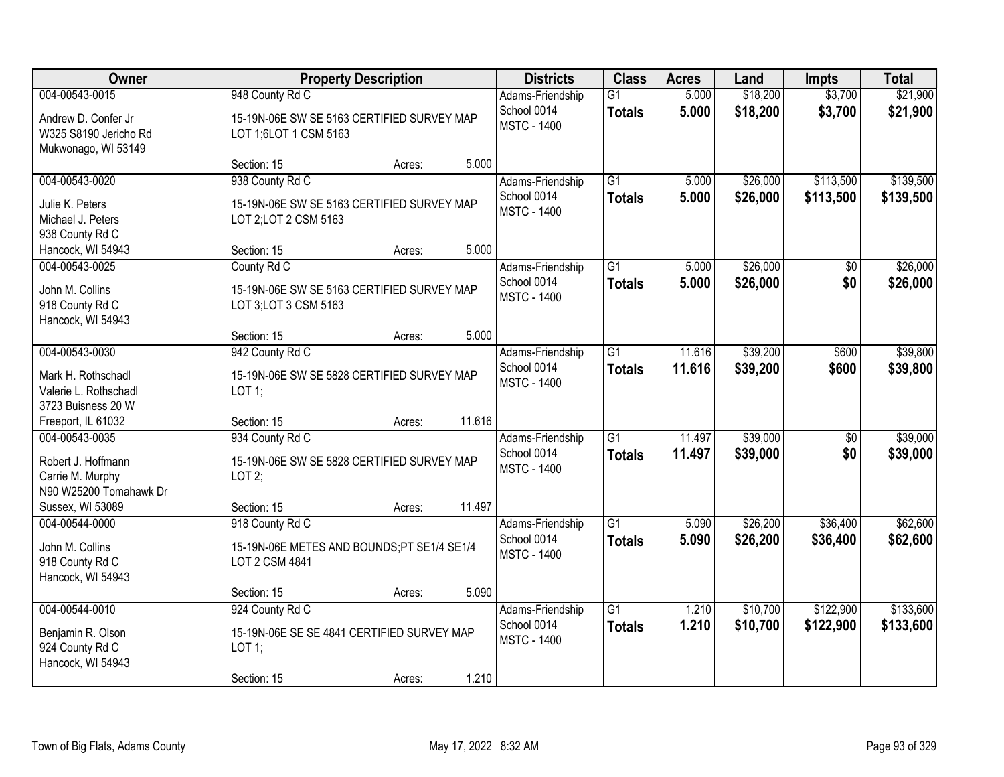| <b>Owner</b>                                                                          | <b>Property Description</b>                                                                               | <b>Districts</b>                                      | <b>Class</b>                     | <b>Acres</b>     | Land                 | <b>Impts</b>           | <b>Total</b>           |
|---------------------------------------------------------------------------------------|-----------------------------------------------------------------------------------------------------------|-------------------------------------------------------|----------------------------------|------------------|----------------------|------------------------|------------------------|
| 004-00543-0015<br>Andrew D. Confer Jr<br>W325 S8190 Jericho Rd<br>Mukwonago, WI 53149 | 948 County Rd C<br>15-19N-06E SW SE 5163 CERTIFIED SURVEY MAP<br>LOT 1;6LOT 1 CSM 5163                    | Adams-Friendship<br>School 0014<br><b>MSTC - 1400</b> | $\overline{G1}$<br><b>Totals</b> | 5.000<br>5.000   | \$18,200<br>\$18,200 | \$3,700<br>\$3,700     | \$21,900<br>\$21,900   |
|                                                                                       | 5.000<br>Section: 15<br>Acres:                                                                            |                                                       |                                  |                  |                      |                        |                        |
| 004-00543-0020<br>Julie K. Peters<br>Michael J. Peters<br>938 County Rd C             | 938 County Rd C<br>15-19N-06E SW SE 5163 CERTIFIED SURVEY MAP<br>LOT 2; LOT 2 CSM 5163                    | Adams-Friendship<br>School 0014<br><b>MSTC - 1400</b> | $\overline{G1}$<br><b>Totals</b> | 5.000<br>5.000   | \$26,000<br>\$26,000 | \$113,500<br>\$113,500 | \$139,500<br>\$139,500 |
| Hancock, WI 54943                                                                     | 5.000<br>Section: 15<br>Acres:                                                                            |                                                       |                                  |                  |                      |                        |                        |
| 004-00543-0025<br>John M. Collins<br>918 County Rd C<br>Hancock, WI 54943             | County Rd C<br>15-19N-06E SW SE 5163 CERTIFIED SURVEY MAP<br>LOT 3; LOT 3 CSM 5163                        | Adams-Friendship<br>School 0014<br><b>MSTC - 1400</b> | $\overline{G1}$<br><b>Totals</b> | 5.000<br>5.000   | \$26,000<br>\$26,000 | \$0<br>\$0             | \$26,000<br>\$26,000   |
|                                                                                       | 5.000<br>Section: 15<br>Acres:                                                                            |                                                       |                                  |                  |                      |                        |                        |
| 004-00543-0030<br>Mark H. Rothschadl<br>Valerie L. Rothschadl<br>3723 Buisness 20 W   | 942 County Rd C<br>15-19N-06E SW SE 5828 CERTIFIED SURVEY MAP<br>$LOT$ 1;                                 | Adams-Friendship<br>School 0014<br><b>MSTC - 1400</b> | G1<br><b>Totals</b>              | 11.616<br>11.616 | \$39,200<br>\$39,200 | \$600<br>\$600         | \$39,800<br>\$39,800   |
| Freeport, IL 61032                                                                    | 11.616<br>Section: 15<br>Acres:                                                                           |                                                       |                                  |                  |                      |                        |                        |
| 004-00543-0035<br>Robert J. Hoffmann<br>Carrie M. Murphy<br>N90 W25200 Tomahawk Dr    | 934 County Rd C<br>15-19N-06E SW SE 5828 CERTIFIED SURVEY MAP<br>LOT2;                                    | Adams-Friendship<br>School 0014<br><b>MSTC - 1400</b> | $\overline{G1}$<br><b>Totals</b> | 11.497<br>11.497 | \$39,000<br>\$39,000 | $\overline{50}$<br>\$0 | \$39,000<br>\$39,000   |
| Sussex, WI 53089                                                                      | 11.497<br>Section: 15<br>Acres:                                                                           |                                                       |                                  |                  |                      |                        |                        |
| 004-00544-0000<br>John M. Collins<br>918 County Rd C<br>Hancock, WI 54943             | 918 County Rd C<br>15-19N-06E METES AND BOUNDS;PT SE1/4 SE1/4<br>LOT 2 CSM 4841                           | Adams-Friendship<br>School 0014<br><b>MSTC - 1400</b> | $\overline{G1}$<br><b>Totals</b> | 5.090<br>5.090   | \$26,200<br>\$26,200 | \$36,400<br>\$36,400   | \$62,600<br>\$62,600   |
|                                                                                       | 5.090<br>Section: 15<br>Acres:                                                                            |                                                       |                                  |                  |                      |                        |                        |
| 004-00544-0010<br>Benjamin R. Olson<br>924 County Rd C<br>Hancock, WI 54943           | 924 County Rd C<br>15-19N-06E SE SE 4841 CERTIFIED SURVEY MAP<br>LOT 1;<br>1.210<br>Section: 15<br>Acres: | Adams-Friendship<br>School 0014<br><b>MSTC - 1400</b> | $\overline{G1}$<br><b>Totals</b> | 1.210<br>1.210   | \$10,700<br>\$10,700 | \$122,900<br>\$122,900 | \$133,600<br>\$133,600 |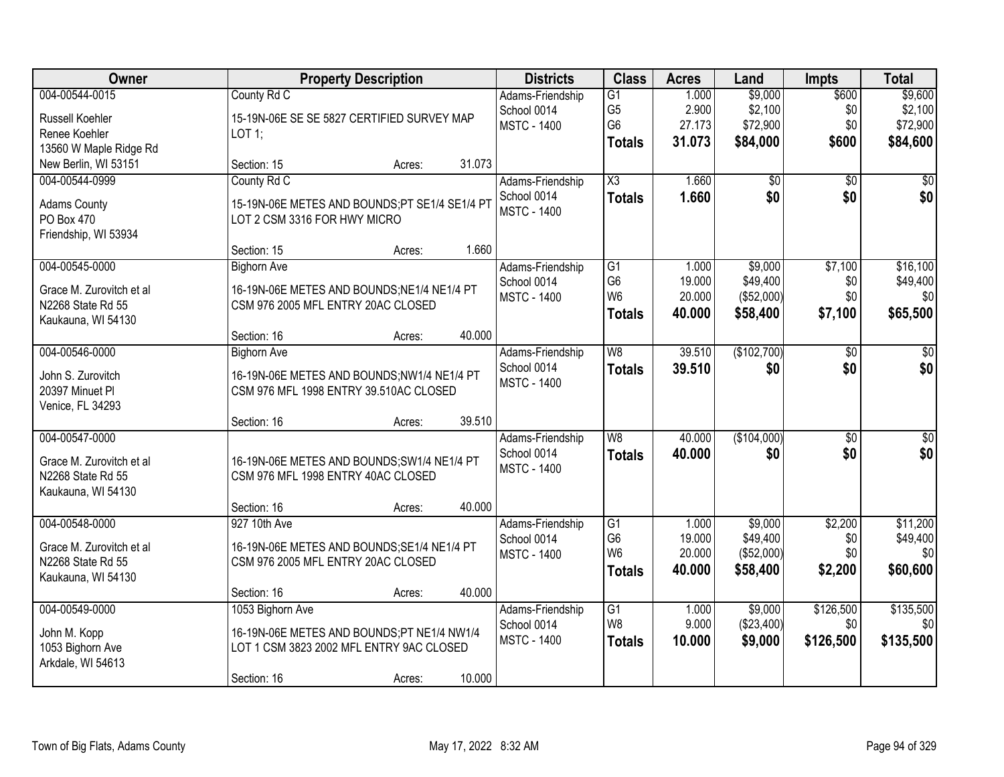| Owner                                                                                 | <b>Property Description</b>                                                                                                                   | <b>Districts</b>                                      | <b>Class</b>                                                         | <b>Acres</b>                        | Land                                          | <b>Impts</b>                        | <b>Total</b>                               |
|---------------------------------------------------------------------------------------|-----------------------------------------------------------------------------------------------------------------------------------------------|-------------------------------------------------------|----------------------------------------------------------------------|-------------------------------------|-----------------------------------------------|-------------------------------------|--------------------------------------------|
| 004-00544-0015<br><b>Russell Koehler</b><br>Renee Koehler<br>13560 W Maple Ridge Rd   | County Rd C<br>15-19N-06E SE SE 5827 CERTIFIED SURVEY MAP<br>LOT 1;                                                                           | Adams-Friendship<br>School 0014<br><b>MSTC - 1400</b> | $\overline{G1}$<br>G <sub>5</sub><br>G <sub>6</sub><br><b>Totals</b> | 1.000<br>2.900<br>27.173<br>31.073  | \$9,000<br>\$2,100<br>\$72,900<br>\$84,000    | \$600<br>\$0<br>\$0<br><b>\$600</b> | \$9,600<br>\$2,100<br>\$72,900<br>\$84,600 |
| New Berlin, WI 53151                                                                  | 31.073<br>Section: 15<br>Acres:                                                                                                               |                                                       |                                                                      |                                     |                                               |                                     |                                            |
| 004-00544-0999<br><b>Adams County</b><br>PO Box 470<br>Friendship, WI 53934           | County Rd C<br>15-19N-06E METES AND BOUNDS;PT SE1/4 SE1/4 PT<br>LOT 2 CSM 3316 FOR HWY MICRO<br>1.660<br>Section: 15<br>Acres:                | Adams-Friendship<br>School 0014<br><b>MSTC - 1400</b> | X3<br><b>Totals</b>                                                  | 1.660<br>1.660                      | \$0<br>\$0                                    | $\overline{50}$<br>\$0              | $\overline{50}$<br>\$0                     |
| 004-00545-0000                                                                        | <b>Bighorn Ave</b>                                                                                                                            | Adams-Friendship                                      | G1                                                                   | 1.000                               | \$9,000                                       | \$7,100                             | \$16,100                                   |
| Grace M. Zurovitch et al<br>N2268 State Rd 55<br>Kaukauna, WI 54130                   | 16-19N-06E METES AND BOUNDS; NE1/4 NE1/4 PT<br>CSM 976 2005 MFL ENTRY 20AC CLOSED                                                             | School 0014<br><b>MSTC - 1400</b>                     | G <sub>6</sub><br>W <sub>6</sub><br><b>Totals</b>                    | 19.000<br>20.000<br>40.000          | \$49,400<br>(\$52,000)<br>\$58,400            | \$0<br>\$0<br>\$7,100               | \$49,400<br>\$0<br>\$65,500                |
|                                                                                       | 40.000<br>Section: 16<br>Acres:                                                                                                               |                                                       |                                                                      |                                     |                                               |                                     |                                            |
| 004-00546-0000<br>John S. Zurovitch<br>20397 Minuet Pl<br>Venice, FL 34293            | <b>Bighorn Ave</b><br>16-19N-06E METES AND BOUNDS;NW1/4 NE1/4 PT<br>CSM 976 MFL 1998 ENTRY 39.510AC CLOSED                                    | Adams-Friendship<br>School 0014<br><b>MSTC - 1400</b> | W8<br><b>Totals</b>                                                  | 39.510<br>39.510                    | (\$102,700)<br>\$0                            | $\overline{50}$<br>\$0              | \$0<br>\$0                                 |
|                                                                                       | 39.510<br>Section: 16<br>Acres:                                                                                                               |                                                       |                                                                      |                                     |                                               |                                     |                                            |
| 004-00547-0000<br>Grace M. Zurovitch et al<br>N2268 State Rd 55<br>Kaukauna, WI 54130 | 16-19N-06E METES AND BOUNDS; SW1/4 NE1/4 PT<br>CSM 976 MFL 1998 ENTRY 40AC CLOSED                                                             | Adams-Friendship<br>School 0014<br><b>MSTC - 1400</b> | $\overline{W8}$<br><b>Totals</b>                                     | 40.000<br>40.000                    | (\$104,000)<br>\$0                            | $\overline{50}$<br>\$0              | \$0<br>\$0                                 |
|                                                                                       | 40.000<br>Section: 16<br>Acres:                                                                                                               |                                                       |                                                                      |                                     |                                               |                                     |                                            |
| 004-00548-0000<br>Grace M. Zurovitch et al<br>N2268 State Rd 55<br>Kaukauna, WI 54130 | 927 10th Ave<br>16-19N-06E METES AND BOUNDS; SE1/4 NE1/4 PT<br>CSM 976 2005 MFL ENTRY 20AC CLOSED                                             | Adams-Friendship<br>School 0014<br><b>MSTC - 1400</b> | G1<br>G <sub>6</sub><br>W <sub>6</sub><br><b>Totals</b>              | 1.000<br>19.000<br>20.000<br>40.000 | \$9,000<br>\$49,400<br>(\$52,000)<br>\$58,400 | \$2,200<br>\$0<br>\$0<br>\$2,200    | \$11,200<br>\$49,400<br>\$0<br>\$60,600    |
|                                                                                       | 40.000<br>Section: 16<br>Acres:                                                                                                               |                                                       |                                                                      |                                     |                                               |                                     |                                            |
| 004-00549-0000<br>John M. Kopp<br>1053 Bighorn Ave<br>Arkdale, WI 54613               | 1053 Bighorn Ave<br>16-19N-06E METES AND BOUNDS;PT NE1/4 NW1/4<br>LOT 1 CSM 3823 2002 MFL ENTRY 9AC CLOSED<br>10.000<br>Section: 16<br>Acres: | Adams-Friendship<br>School 0014<br><b>MSTC - 1400</b> | $\overline{G1}$<br>W <sub>8</sub><br><b>Totals</b>                   | 1.000<br>9.000<br>10.000            | \$9,000<br>(\$23,400)<br>\$9,000              | \$126,500<br>\$0<br>\$126,500       | \$135,500<br>\$0<br>\$135,500              |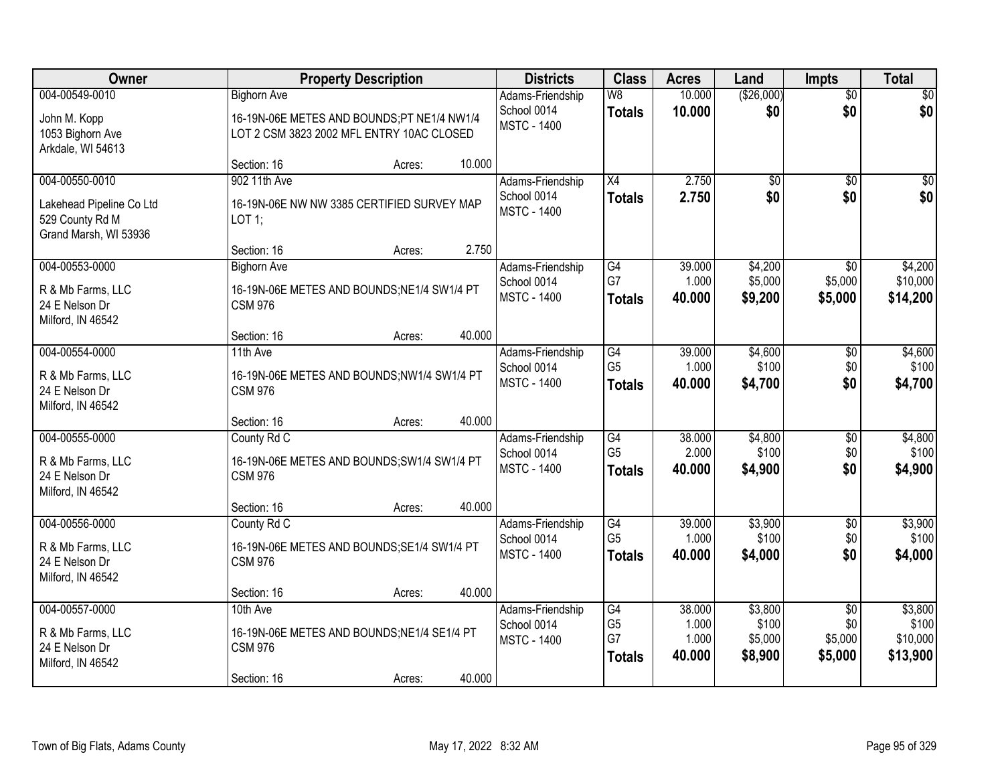| <b>Owner</b>                                                               | <b>Property Description</b>                                                                                   | <b>Districts</b>                                      | <b>Class</b>                                       | <b>Acres</b>                       | Land                                   | <b>Impts</b>                                 | <b>Total</b>                             |
|----------------------------------------------------------------------------|---------------------------------------------------------------------------------------------------------------|-------------------------------------------------------|----------------------------------------------------|------------------------------------|----------------------------------------|----------------------------------------------|------------------------------------------|
| 004-00549-0010<br>John M. Kopp<br>1053 Bighorn Ave<br>Arkdale, WI 54613    | <b>Bighorn Ave</b><br>16-19N-06E METES AND BOUNDS;PT NE1/4 NW1/4<br>LOT 2 CSM 3823 2002 MFL ENTRY 10AC CLOSED | Adams-Friendship<br>School 0014<br><b>MSTC - 1400</b> | W8<br><b>Totals</b>                                | 10.000<br>10.000                   | (\$26,000)<br>\$0                      | $\overline{50}$<br>\$0                       | $\sqrt{50}$<br>\$0                       |
| 004-00550-0010                                                             | 10.000<br>Section: 16<br>Acres:<br>902 11th Ave                                                               | Adams-Friendship                                      | $\overline{X4}$                                    | 2.750                              | $\overline{50}$                        | $\overline{50}$                              | $\sqrt{50}$                              |
| Lakehead Pipeline Co Ltd<br>529 County Rd M<br>Grand Marsh, WI 53936       | 16-19N-06E NW NW 3385 CERTIFIED SURVEY MAP<br>$LOT$ 1;                                                        | School 0014<br><b>MSTC - 1400</b>                     | <b>Totals</b>                                      | 2.750                              | \$0                                    | \$0                                          | \$0                                      |
|                                                                            | 2.750<br>Section: 16<br>Acres:                                                                                |                                                       |                                                    |                                    |                                        |                                              |                                          |
| 004-00553-0000<br>R & Mb Farms, LLC<br>24 E Nelson Dr<br>Milford, IN 46542 | <b>Bighorn Ave</b><br>16-19N-06E METES AND BOUNDS; NE1/4 SW1/4 PT<br><b>CSM 976</b>                           | Adams-Friendship<br>School 0014<br><b>MSTC - 1400</b> | $\overline{G4}$<br>G7<br><b>Totals</b>             | 39.000<br>1.000<br>40.000          | \$4,200<br>\$5,000<br>\$9,200          | $\overline{50}$<br>\$5,000<br>\$5,000        | \$4,200<br>\$10,000<br>\$14,200          |
|                                                                            | 40.000<br>Section: 16<br>Acres:                                                                               |                                                       |                                                    |                                    |                                        |                                              |                                          |
| 004-00554-0000<br>R & Mb Farms, LLC<br>24 E Nelson Dr<br>Milford, IN 46542 | 11th Ave<br>16-19N-06E METES AND BOUNDS;NW1/4 SW1/4 PT<br><b>CSM 976</b>                                      | Adams-Friendship<br>School 0014<br><b>MSTC - 1400</b> | $\overline{G4}$<br>G <sub>5</sub><br><b>Totals</b> | 39.000<br>1.000<br>40.000          | \$4,600<br>\$100<br>\$4,700            | \$0<br>\$0<br>\$0                            | \$4,600<br>\$100<br>\$4,700              |
|                                                                            | 40.000<br>Section: 16<br>Acres:                                                                               |                                                       |                                                    |                                    |                                        |                                              |                                          |
| 004-00555-0000<br>R & Mb Farms, LLC<br>24 E Nelson Dr<br>Milford, IN 46542 | County Rd C<br>16-19N-06E METES AND BOUNDS; SW1/4 SW1/4 PT<br><b>CSM 976</b>                                  | Adams-Friendship<br>School 0014<br><b>MSTC - 1400</b> | $\overline{G4}$<br>G <sub>5</sub><br><b>Totals</b> | 38.000<br>2.000<br>40.000          | \$4,800<br>\$100<br>\$4,900            | \$0<br>\$0<br>\$0                            | \$4,800<br>\$100<br>\$4,900              |
|                                                                            | 40.000<br>Section: 16<br>Acres:                                                                               |                                                       |                                                    |                                    |                                        |                                              |                                          |
| 004-00556-0000<br>R & Mb Farms, LLC<br>24 E Nelson Dr<br>Milford, IN 46542 | County Rd C<br>16-19N-06E METES AND BOUNDS; SE1/4 SW1/4 PT<br><b>CSM 976</b>                                  | Adams-Friendship<br>School 0014<br><b>MSTC - 1400</b> | G4<br>G <sub>5</sub><br><b>Totals</b>              | 39.000<br>1.000<br>40.000          | \$3,900<br>\$100<br>\$4,000            | $\overline{60}$<br>\$0<br>\$0                | \$3,900<br>\$100<br>\$4,000              |
|                                                                            | 40.000<br>Section: 16<br>Acres:                                                                               |                                                       |                                                    |                                    |                                        |                                              |                                          |
| 004-00557-0000<br>R & Mb Farms, LLC<br>24 E Nelson Dr<br>Milford, IN 46542 | 10th Ave<br>16-19N-06E METES AND BOUNDS; NE1/4 SE1/4 PT<br><b>CSM 976</b><br>40.000<br>Section: 16<br>Acres:  | Adams-Friendship<br>School 0014<br><b>MSTC - 1400</b> | G4<br>G <sub>5</sub><br>G7<br><b>Totals</b>        | 38.000<br>1.000<br>1.000<br>40.000 | \$3,800<br>\$100<br>\$5,000<br>\$8,900 | $\overline{30}$<br>\$0<br>\$5,000<br>\$5,000 | \$3,800<br>\$100<br>\$10,000<br>\$13,900 |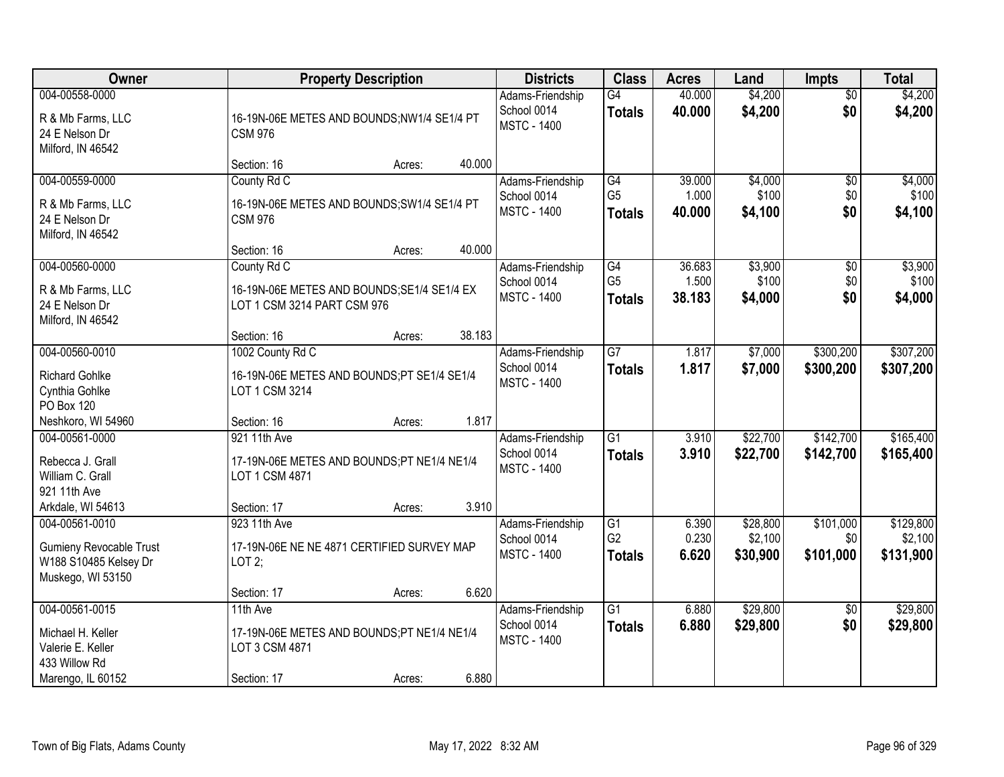| Owner                                                                                          | <b>Property Description</b>                                                               |        |        | <b>Districts</b>                                      | <b>Class</b>                                       | <b>Acres</b>              | Land                            | <b>Impts</b>                  | <b>Total</b>                      |
|------------------------------------------------------------------------------------------------|-------------------------------------------------------------------------------------------|--------|--------|-------------------------------------------------------|----------------------------------------------------|---------------------------|---------------------------------|-------------------------------|-----------------------------------|
| 004-00558-0000<br>R & Mb Farms, LLC<br>24 E Nelson Dr<br>Milford, IN 46542                     | 16-19N-06E METES AND BOUNDS;NW1/4 SE1/4 PT<br><b>CSM 976</b>                              |        |        | Adams-Friendship<br>School 0014<br><b>MSTC - 1400</b> | G4<br><b>Totals</b>                                | 40.000<br>40.000          | \$4,200<br>\$4,200              | $\overline{50}$<br>\$0        | \$4,200<br>\$4,200                |
|                                                                                                | Section: 16                                                                               | Acres: | 40.000 |                                                       |                                                    |                           |                                 |                               |                                   |
| 004-00559-0000                                                                                 | County Rd C                                                                               |        |        | Adams-Friendship                                      | G4<br>G <sub>5</sub>                               | 39.000<br>1.000           | \$4,000<br>\$100                | \$0                           | \$4,000                           |
| R & Mb Farms, LLC<br>24 E Nelson Dr<br>Milford, IN 46542                                       | 16-19N-06E METES AND BOUNDS; SW1/4 SE1/4 PT<br><b>CSM 976</b>                             |        |        | School 0014<br><b>MSTC - 1400</b>                     | <b>Totals</b>                                      | 40.000                    | \$4,100                         | \$0<br>\$0                    | \$100<br>\$4,100                  |
|                                                                                                | Section: 16                                                                               | Acres: | 40.000 |                                                       |                                                    |                           |                                 |                               |                                   |
| 004-00560-0000<br>R & Mb Farms, LLC<br>24 E Nelson Dr<br>Milford, IN 46542                     | County Rd C<br>16-19N-06E METES AND BOUNDS; SE1/4 SE1/4 EX<br>LOT 1 CSM 3214 PART CSM 976 |        |        | Adams-Friendship<br>School 0014<br><b>MSTC - 1400</b> | G4<br>G <sub>5</sub><br>Totals                     | 36.683<br>1.500<br>38.183 | \$3,900<br>\$100<br>\$4,000     | \$0<br>\$0<br>\$0             | \$3,900<br>\$100<br>\$4,000       |
|                                                                                                | Section: 16                                                                               | Acres: | 38.183 |                                                       |                                                    |                           |                                 |                               |                                   |
| 004-00560-0010<br><b>Richard Gohlke</b>                                                        | 1002 County Rd C<br>16-19N-06E METES AND BOUNDS;PT SE1/4 SE1/4                            |        |        | Adams-Friendship<br>School 0014<br><b>MSTC - 1400</b> | $\overline{G}$<br><b>Totals</b>                    | 1.817<br>1.817            | \$7,000<br>\$7,000              | \$300,200<br>\$300,200        | \$307,200<br>\$307,200            |
| Cynthia Gohlke<br>PO Box 120                                                                   | LOT 1 CSM 3214                                                                            |        |        |                                                       |                                                    |                           |                                 |                               |                                   |
| Neshkoro, WI 54960                                                                             | Section: 16                                                                               | Acres: | 1.817  |                                                       |                                                    |                           |                                 |                               |                                   |
| 004-00561-0000<br>Rebecca J. Grall<br>William C. Grall<br>921 11th Ave                         | 921 11th Ave<br>17-19N-06E METES AND BOUNDS;PT NE1/4 NE1/4<br>LOT 1 CSM 4871              |        |        | Adams-Friendship<br>School 0014<br><b>MSTC - 1400</b> | $\overline{G1}$<br><b>Totals</b>                   | 3.910<br>3.910            | \$22,700<br>\$22,700            | \$142,700<br>\$142,700        | \$165,400<br>\$165,400            |
| Arkdale, WI 54613                                                                              | Section: 17                                                                               | Acres: | 3.910  |                                                       |                                                    |                           |                                 |                               |                                   |
| 004-00561-0010<br><b>Gumieny Revocable Trust</b><br>W188 S10485 Kelsey Dr<br>Muskego, WI 53150 | 923 11th Ave<br>17-19N-06E NE NE 4871 CERTIFIED SURVEY MAP<br>LOT $2$ ;                   |        |        | Adams-Friendship<br>School 0014<br><b>MSTC - 1400</b> | $\overline{G1}$<br>G <sub>2</sub><br><b>Totals</b> | 6.390<br>0.230<br>6.620   | \$28,800<br>\$2,100<br>\$30,900 | \$101,000<br>\$0<br>\$101,000 | \$129,800<br>\$2,100<br>\$131,900 |
|                                                                                                | Section: 17                                                                               | Acres: | 6.620  |                                                       |                                                    |                           |                                 |                               |                                   |
| 004-00561-0015<br>Michael H. Keller<br>Valerie E. Keller<br>433 Willow Rd<br>Marengo, IL 60152 | 11th Ave<br>17-19N-06E METES AND BOUNDS;PT NE1/4 NE1/4<br>LOT 3 CSM 4871<br>Section: 17   | Acres: | 6.880  | Adams-Friendship<br>School 0014<br><b>MSTC - 1400</b> | $\overline{G1}$<br><b>Totals</b>                   | 6.880<br>6.880            | \$29,800<br>\$29,800            | $\overline{30}$<br>\$0        | \$29,800<br>\$29,800              |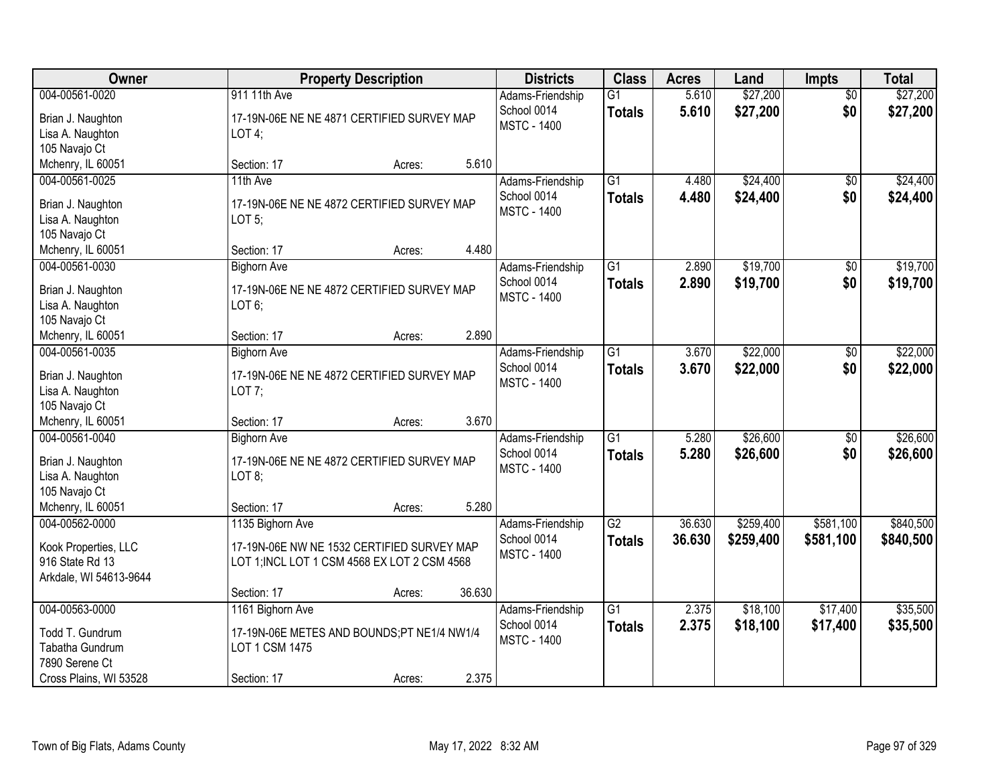| <b>Owner</b>                        | <b>Property Description</b>                  |        |        | <b>Districts</b>                  | <b>Class</b>    | <b>Acres</b> | Land      | <b>Impts</b>    | <b>Total</b> |
|-------------------------------------|----------------------------------------------|--------|--------|-----------------------------------|-----------------|--------------|-----------|-----------------|--------------|
| 004-00561-0020                      | 911 11th Ave                                 |        |        | Adams-Friendship                  | $\overline{G1}$ | 5.610        | \$27,200  | $\overline{30}$ | \$27,200     |
| Brian J. Naughton                   | 17-19N-06E NE NE 4871 CERTIFIED SURVEY MAP   |        |        | School 0014<br><b>MSTC - 1400</b> | <b>Totals</b>   | 5.610        | \$27,200  | \$0             | \$27,200     |
| Lisa A. Naughton                    | LOT4;                                        |        |        |                                   |                 |              |           |                 |              |
| 105 Navajo Ct                       |                                              |        |        |                                   |                 |              |           |                 |              |
| Mchenry, IL 60051                   | Section: 17                                  | Acres: | 5.610  |                                   |                 |              |           |                 |              |
| 004-00561-0025                      | 11th Ave                                     |        |        | Adams-Friendship                  | $\overline{G1}$ | 4.480        | \$24,400  | $\overline{50}$ | \$24,400     |
| Brian J. Naughton                   | 17-19N-06E NE NE 4872 CERTIFIED SURVEY MAP   |        |        | School 0014                       | <b>Totals</b>   | 4.480        | \$24,400  | \$0             | \$24,400     |
| Lisa A. Naughton                    | LOT <sub>5</sub>                             |        |        | <b>MSTC - 1400</b>                |                 |              |           |                 |              |
| 105 Navajo Ct                       |                                              |        |        |                                   |                 |              |           |                 |              |
| Mchenry, IL 60051                   | Section: 17                                  | Acres: | 4.480  |                                   |                 |              |           |                 |              |
| 004-00561-0030                      | <b>Bighorn Ave</b>                           |        |        | Adams-Friendship                  | G1              | 2.890        | \$19,700  | \$0             | \$19,700     |
| Brian J. Naughton                   | 17-19N-06E NE NE 4872 CERTIFIED SURVEY MAP   |        |        | School 0014                       | <b>Totals</b>   | 2.890        | \$19,700  | \$0             | \$19,700     |
| Lisa A. Naughton                    | $LOT 6$ ;                                    |        |        | <b>MSTC - 1400</b>                |                 |              |           |                 |              |
| 105 Navajo Ct                       |                                              |        |        |                                   |                 |              |           |                 |              |
| Mchenry, IL 60051                   | Section: 17                                  | Acres: | 2.890  |                                   |                 |              |           |                 |              |
| 004-00561-0035                      | <b>Bighorn Ave</b>                           |        |        | Adams-Friendship                  | $\overline{G1}$ | 3.670        | \$22,000  | \$0             | \$22,000     |
|                                     |                                              |        |        | School 0014                       | <b>Totals</b>   | 3.670        | \$22,000  | \$0             | \$22,000     |
| Brian J. Naughton                   | 17-19N-06E NE NE 4872 CERTIFIED SURVEY MAP   |        |        | <b>MSTC - 1400</b>                |                 |              |           |                 |              |
| Lisa A. Naughton                    | LOT $7$ ;                                    |        |        |                                   |                 |              |           |                 |              |
| 105 Navajo Ct                       |                                              |        | 3.670  |                                   |                 |              |           |                 |              |
| Mchenry, IL 60051<br>004-00561-0040 | Section: 17                                  | Acres: |        |                                   | $\overline{G1}$ | 5.280        | \$26,600  |                 | \$26,600     |
|                                     | <b>Bighorn Ave</b>                           |        |        | Adams-Friendship                  |                 |              |           | \$0             |              |
| Brian J. Naughton                   | 17-19N-06E NE NE 4872 CERTIFIED SURVEY MAP   |        |        | School 0014<br><b>MSTC - 1400</b> | <b>Totals</b>   | 5.280        | \$26,600  | \$0             | \$26,600     |
| Lisa A. Naughton                    | LOT 8;                                       |        |        |                                   |                 |              |           |                 |              |
| 105 Navajo Ct                       |                                              |        |        |                                   |                 |              |           |                 |              |
| Mchenry, IL 60051                   | Section: 17                                  | Acres: | 5.280  |                                   |                 |              |           |                 |              |
| 004-00562-0000                      | 1135 Bighorn Ave                             |        |        | Adams-Friendship                  | $\overline{G2}$ | 36.630       | \$259,400 | \$581,100       | \$840,500    |
| Kook Properties, LLC                | 17-19N-06E NW NE 1532 CERTIFIED SURVEY MAP   |        |        | School 0014                       | <b>Totals</b>   | 36.630       | \$259,400 | \$581,100       | \$840,500    |
| 916 State Rd 13                     | LOT 1; INCL LOT 1 CSM 4568 EX LOT 2 CSM 4568 |        |        | <b>MSTC - 1400</b>                |                 |              |           |                 |              |
| Arkdale, WI 54613-9644              |                                              |        |        |                                   |                 |              |           |                 |              |
|                                     | Section: 17                                  | Acres: | 36.630 |                                   |                 |              |           |                 |              |
| 004-00563-0000                      | 1161 Bighorn Ave                             |        |        | Adams-Friendship                  | $\overline{G1}$ | 2.375        | \$18,100  | \$17,400        | \$35,500     |
| Todd T. Gundrum                     | 17-19N-06E METES AND BOUNDS;PT NE1/4 NW1/4   |        |        | School 0014                       | <b>Totals</b>   | 2.375        | \$18,100  | \$17,400        | \$35,500     |
| Tabatha Gundrum                     | LOT 1 CSM 1475                               |        |        | <b>MSTC - 1400</b>                |                 |              |           |                 |              |
| 7890 Serene Ct                      |                                              |        |        |                                   |                 |              |           |                 |              |
| Cross Plains, WI 53528              | Section: 17                                  | Acres: | 2.375  |                                   |                 |              |           |                 |              |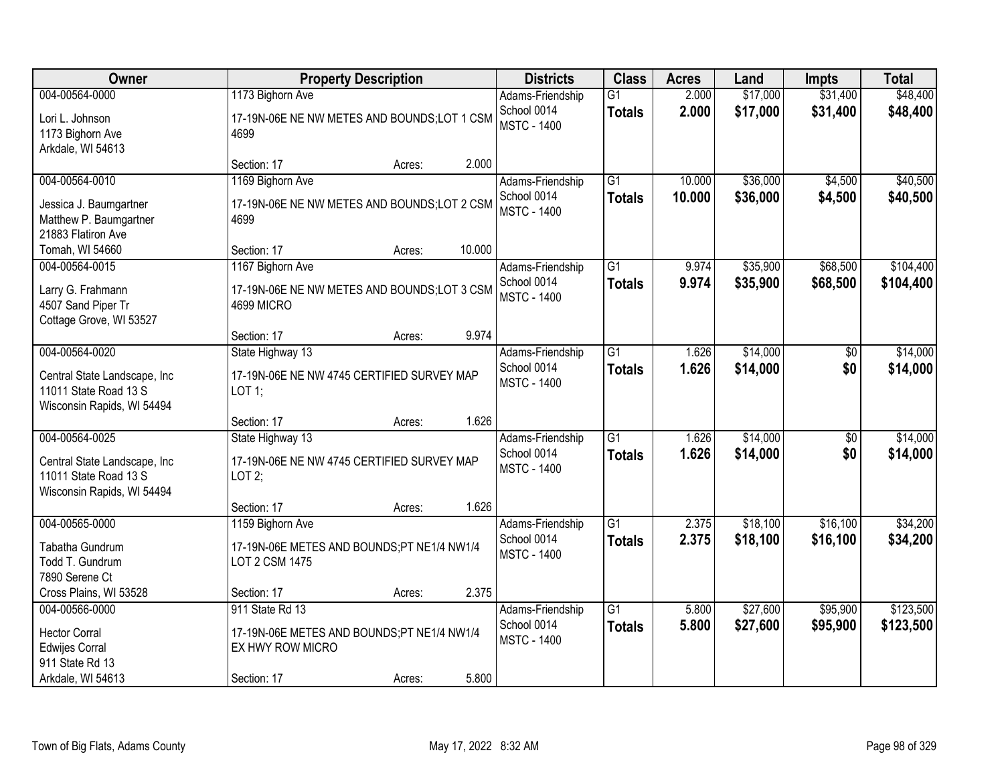| Owner                                                                                                       |                                                                                                  | <b>Property Description</b> |        | <b>Districts</b>                                      | <b>Class</b>                     | <b>Acres</b>     | Land                 | <b>Impts</b>           | <b>Total</b>           |
|-------------------------------------------------------------------------------------------------------------|--------------------------------------------------------------------------------------------------|-----------------------------|--------|-------------------------------------------------------|----------------------------------|------------------|----------------------|------------------------|------------------------|
| 004-00564-0000<br>Lori L. Johnson<br>1173 Bighorn Ave<br>Arkdale, WI 54613                                  | 1173 Bighorn Ave<br>17-19N-06E NE NW METES AND BOUNDS;LOT 1 CSM<br>4699                          |                             |        | Adams-Friendship<br>School 0014<br><b>MSTC - 1400</b> | $\overline{G1}$<br><b>Totals</b> | 2.000<br>2.000   | \$17,000<br>\$17,000 | \$31,400<br>\$31,400   | \$48,400<br>\$48,400   |
|                                                                                                             | Section: 17                                                                                      | Acres:                      | 2.000  |                                                       |                                  |                  |                      |                        |                        |
| 004-00564-0010<br>Jessica J. Baumgartner<br>Matthew P. Baumgartner<br>21883 Flatiron Ave<br>Tomah, WI 54660 | 1169 Bighorn Ave<br>17-19N-06E NE NW METES AND BOUNDS; LOT 2 CSM<br>4699<br>Section: 17          | Acres:                      | 10.000 | Adams-Friendship<br>School 0014<br><b>MSTC - 1400</b> | $\overline{G1}$<br><b>Totals</b> | 10.000<br>10.000 | \$36,000<br>\$36,000 | \$4,500<br>\$4,500     | \$40,500<br>\$40,500   |
| 004-00564-0015                                                                                              | 1167 Bighorn Ave                                                                                 |                             |        | Adams-Friendship                                      | $\overline{G1}$                  | 9.974            | \$35,900             | \$68,500               | \$104,400              |
| Larry G. Frahmann<br>4507 Sand Piper Tr<br>Cottage Grove, WI 53527                                          | 17-19N-06E NE NW METES AND BOUNDS;LOT 3 CSM<br>4699 MICRO                                        |                             |        | School 0014<br><b>MSTC - 1400</b>                     | <b>Totals</b>                    | 9.974            | \$35,900             | \$68,500               | \$104,400              |
|                                                                                                             | Section: 17                                                                                      | Acres:                      | 9.974  |                                                       |                                  |                  |                      |                        |                        |
| 004-00564-0020<br>Central State Landscape, Inc<br>11011 State Road 13 S<br>Wisconsin Rapids, WI 54494       | State Highway 13<br>17-19N-06E NE NW 4745 CERTIFIED SURVEY MAP<br>LOT 1;                         |                             |        | Adams-Friendship<br>School 0014<br><b>MSTC - 1400</b> | $\overline{G1}$<br><b>Totals</b> | 1.626<br>1.626   | \$14,000<br>\$14,000 | \$0<br>\$0             | \$14,000<br>\$14,000   |
|                                                                                                             | Section: 17                                                                                      | Acres:                      | 1.626  |                                                       |                                  |                  |                      |                        |                        |
| 004-00564-0025<br>Central State Landscape, Inc<br>11011 State Road 13 S<br>Wisconsin Rapids, WI 54494       | State Highway 13<br>17-19N-06E NE NW 4745 CERTIFIED SURVEY MAP<br>LOT2;                          |                             |        | Adams-Friendship<br>School 0014<br><b>MSTC - 1400</b> | $\overline{G1}$<br><b>Totals</b> | 1.626<br>1.626   | \$14,000<br>\$14,000 | $\overline{50}$<br>\$0 | \$14,000<br>\$14,000   |
|                                                                                                             | Section: 17                                                                                      | Acres:                      | 1.626  |                                                       |                                  |                  |                      |                        |                        |
| 004-00565-0000<br>Tabatha Gundrum<br>Todd T. Gundrum<br>7890 Serene Ct                                      | 1159 Bighorn Ave<br>17-19N-06E METES AND BOUNDS;PT NE1/4 NW1/4<br><b>LOT 2 CSM 1475</b>          |                             |        | Adams-Friendship<br>School 0014<br><b>MSTC - 1400</b> | $\overline{G1}$<br><b>Totals</b> | 2.375<br>2.375   | \$18,100<br>\$18,100 | \$16,100<br>\$16,100   | \$34,200<br>\$34,200   |
| Cross Plains, WI 53528                                                                                      | Section: 17                                                                                      | Acres:                      | 2.375  |                                                       |                                  |                  |                      |                        |                        |
| 004-00566-0000<br><b>Hector Corral</b><br><b>Edwijes Corral</b><br>911 State Rd 13<br>Arkdale, WI 54613     | 911 State Rd 13<br>17-19N-06E METES AND BOUNDS;PT NE1/4 NW1/4<br>EX HWY ROW MICRO<br>Section: 17 | Acres:                      | 5.800  | Adams-Friendship<br>School 0014<br><b>MSTC - 1400</b> | $\overline{G1}$<br><b>Totals</b> | 5.800<br>5.800   | \$27,600<br>\$27,600 | \$95,900<br>\$95,900   | \$123,500<br>\$123,500 |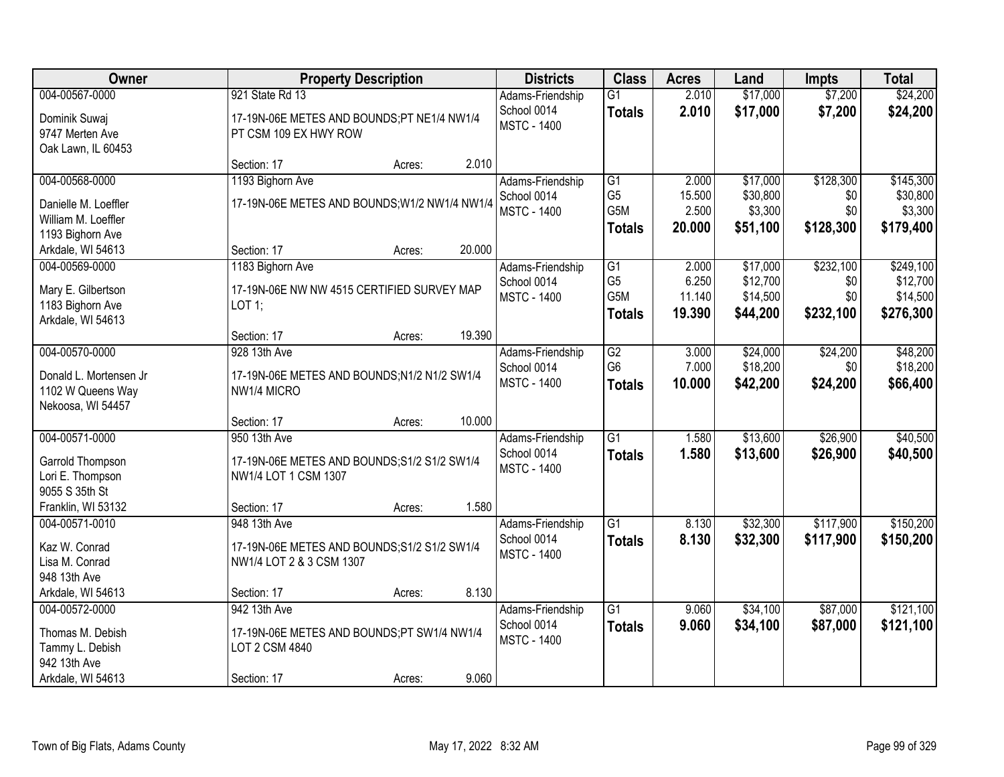| <b>Owner</b>           |                                               | <b>Property Description</b> |        | <b>Districts</b>   | <b>Class</b>     | <b>Acres</b> | Land     | <b>Impts</b> | <b>Total</b> |
|------------------------|-----------------------------------------------|-----------------------------|--------|--------------------|------------------|--------------|----------|--------------|--------------|
| 004-00567-0000         | 921 State Rd 13                               |                             |        | Adams-Friendship   | $\overline{G1}$  | 2.010        | \$17,000 | \$7,200      | \$24,200     |
| Dominik Suwaj          | 17-19N-06E METES AND BOUNDS;PT NE1/4 NW1/4    |                             |        | School 0014        | <b>Totals</b>    | 2.010        | \$17,000 | \$7,200      | \$24,200     |
| 9747 Merten Ave        | PT CSM 109 EX HWY ROW                         |                             |        | <b>MSTC - 1400</b> |                  |              |          |              |              |
| Oak Lawn, IL 60453     |                                               |                             |        |                    |                  |              |          |              |              |
|                        | Section: 17                                   | Acres:                      | 2.010  |                    |                  |              |          |              |              |
| 004-00568-0000         | 1193 Bighorn Ave                              |                             |        | Adams-Friendship   | G1               | 2.000        | \$17,000 | \$128,300    | \$145,300    |
| Danielle M. Loeffler   | 17-19N-06E METES AND BOUNDS; W1/2 NW1/4 NW1/4 |                             |        | School 0014        | G <sub>5</sub>   | 15.500       | \$30,800 | \$0          | \$30,800     |
| William M. Loeffler    |                                               |                             |        | <b>MSTC - 1400</b> | G <sub>5</sub> M | 2.500        | \$3,300  | \$0          | \$3,300      |
| 1193 Bighorn Ave       |                                               |                             |        |                    | <b>Totals</b>    | 20.000       | \$51,100 | \$128,300    | \$179,400    |
| Arkdale, WI 54613      | Section: 17                                   | Acres:                      | 20.000 |                    |                  |              |          |              |              |
| 004-00569-0000         | 1183 Bighorn Ave                              |                             |        | Adams-Friendship   | G1               | 2.000        | \$17,000 | \$232,100    | \$249,100    |
| Mary E. Gilbertson     | 17-19N-06E NW NW 4515 CERTIFIED SURVEY MAP    |                             |        | School 0014        | G <sub>5</sub>   | 6.250        | \$12,700 | \$0          | \$12,700     |
| 1183 Bighorn Ave       | LOT 1;                                        |                             |        | <b>MSTC - 1400</b> | G5M              | 11.140       | \$14,500 | \$0          | \$14,500     |
| Arkdale, WI 54613      |                                               |                             |        |                    | <b>Totals</b>    | 19.390       | \$44,200 | \$232,100    | \$276,300    |
|                        | Section: 17                                   | Acres:                      | 19.390 |                    |                  |              |          |              |              |
| 004-00570-0000         | 928 13th Ave                                  |                             |        | Adams-Friendship   | $\overline{G2}$  | 3.000        | \$24,000 | \$24,200     | \$48,200     |
| Donald L. Mortensen Jr | 17-19N-06E METES AND BOUNDS; N1/2 N1/2 SW1/4  |                             |        | School 0014        | G <sub>6</sub>   | 7.000        | \$18,200 | \$0          | \$18,200     |
| 1102 W Queens Way      | NW1/4 MICRO                                   |                             |        | <b>MSTC - 1400</b> | <b>Totals</b>    | 10.000       | \$42,200 | \$24,200     | \$66,400     |
| Nekoosa, WI 54457      |                                               |                             |        |                    |                  |              |          |              |              |
|                        | Section: 17                                   | Acres:                      | 10.000 |                    |                  |              |          |              |              |
| 004-00571-0000         | 950 13th Ave                                  |                             |        | Adams-Friendship   | $\overline{G1}$  | 1.580        | \$13,600 | \$26,900     | \$40,500     |
| Garrold Thompson       | 17-19N-06E METES AND BOUNDS; S1/2 S1/2 SW1/4  |                             |        | School 0014        | <b>Totals</b>    | 1.580        | \$13,600 | \$26,900     | \$40,500     |
| Lori E. Thompson       | NW1/4 LOT 1 CSM 1307                          |                             |        | <b>MSTC - 1400</b> |                  |              |          |              |              |
| 9055 S 35th St         |                                               |                             |        |                    |                  |              |          |              |              |
| Franklin, WI 53132     | Section: 17                                   | Acres:                      | 1.580  |                    |                  |              |          |              |              |
| 004-00571-0010         | 948 13th Ave                                  |                             |        | Adams-Friendship   | $\overline{G1}$  | 8.130        | \$32,300 | \$117,900    | \$150,200    |
| Kaz W. Conrad          | 17-19N-06E METES AND BOUNDS; S1/2 S1/2 SW1/4  |                             |        | School 0014        | <b>Totals</b>    | 8.130        | \$32,300 | \$117,900    | \$150,200    |
| Lisa M. Conrad         | NW1/4 LOT 2 & 3 CSM 1307                      |                             |        | <b>MSTC - 1400</b> |                  |              |          |              |              |
| 948 13th Ave           |                                               |                             |        |                    |                  |              |          |              |              |
| Arkdale, WI 54613      | Section: 17                                   | Acres:                      | 8.130  |                    |                  |              |          |              |              |
| 004-00572-0000         | 942 13th Ave                                  |                             |        | Adams-Friendship   | $\overline{G1}$  | 9.060        | \$34,100 | \$87,000     | \$121,100    |
| Thomas M. Debish       | 17-19N-06E METES AND BOUNDS;PT SW1/4 NW1/4    |                             |        | School 0014        | <b>Totals</b>    | 9.060        | \$34,100 | \$87,000     | \$121,100    |
| Tammy L. Debish        | LOT 2 CSM 4840                                |                             |        | <b>MSTC - 1400</b> |                  |              |          |              |              |
| 942 13th Ave           |                                               |                             |        |                    |                  |              |          |              |              |
| Arkdale, WI 54613      | Section: 17                                   | Acres:                      | 9.060  |                    |                  |              |          |              |              |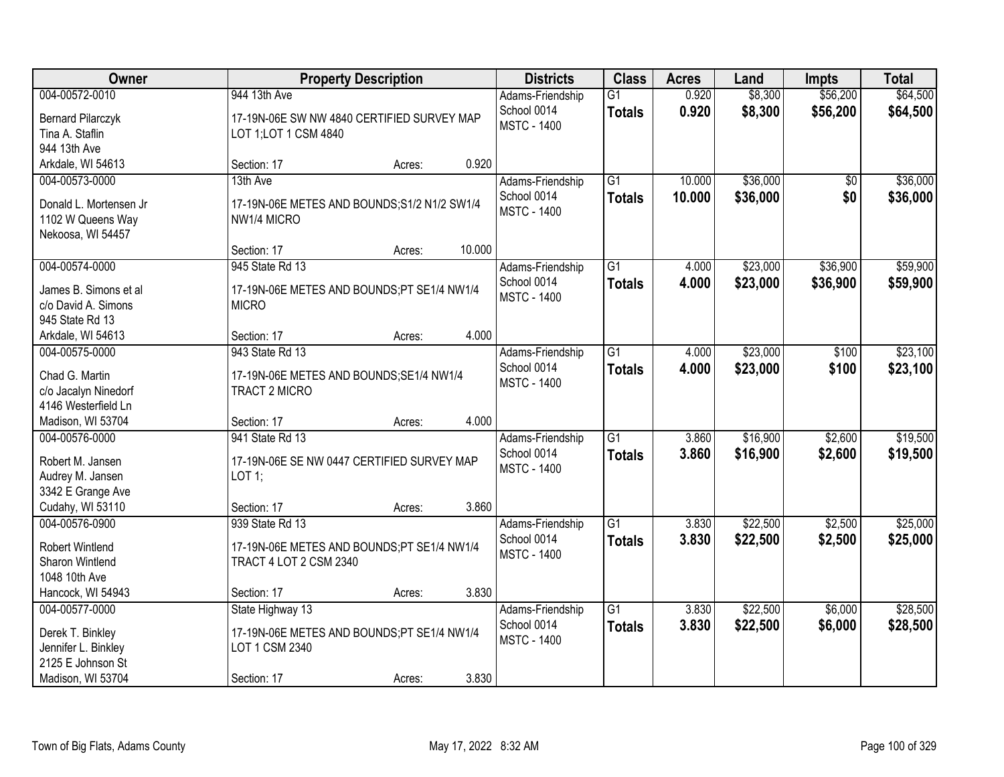| Owner                                                                                               |                                                                                                 | <b>Property Description</b> |        | <b>Districts</b>                                      | <b>Class</b>                     | <b>Acres</b>     | Land                 | <b>Impts</b>         | <b>Total</b>         |
|-----------------------------------------------------------------------------------------------------|-------------------------------------------------------------------------------------------------|-----------------------------|--------|-------------------------------------------------------|----------------------------------|------------------|----------------------|----------------------|----------------------|
| 004-00572-0010<br><b>Bernard Pilarczyk</b><br>Tina A. Staflin                                       | 944 13th Ave<br>17-19N-06E SW NW 4840 CERTIFIED SURVEY MAP<br>LOT 1; LOT 1 CSM 4840             |                             |        | Adams-Friendship<br>School 0014<br><b>MSTC - 1400</b> | $\overline{G1}$<br><b>Totals</b> | 0.920<br>0.920   | \$8,300<br>\$8,300   | \$56,200<br>\$56,200 | \$64,500<br>\$64,500 |
| 944 13th Ave<br>Arkdale, WI 54613                                                                   | Section: 17                                                                                     | Acres:                      | 0.920  |                                                       |                                  |                  |                      |                      |                      |
| 004-00573-0000<br>Donald L. Mortensen Jr<br>1102 W Queens Way<br>Nekoosa, WI 54457                  | 13th Ave<br>17-19N-06E METES AND BOUNDS; S1/2 N1/2 SW1/4<br>NW1/4 MICRO                         |                             |        | Adams-Friendship<br>School 0014<br><b>MSTC - 1400</b> | $\overline{G1}$<br><b>Totals</b> | 10.000<br>10.000 | \$36,000<br>\$36,000 | \$0<br>\$0           | \$36,000<br>\$36,000 |
| 004-00574-0000                                                                                      | Section: 17<br>945 State Rd 13                                                                  | Acres:                      | 10.000 | Adams-Friendship                                      | $\overline{G1}$                  | 4.000            | \$23,000             | \$36,900             | \$59,900             |
| James B. Simons et al.<br>c/o David A. Simons<br>945 State Rd 13                                    | 17-19N-06E METES AND BOUNDS;PT SE1/4 NW1/4<br><b>MICRO</b>                                      |                             |        | School 0014<br><b>MSTC - 1400</b>                     | <b>Totals</b>                    | 4.000            | \$23,000             | \$36,900             | \$59,900             |
| Arkdale, WI 54613                                                                                   | Section: 17                                                                                     | Acres:                      | 4.000  |                                                       |                                  |                  |                      |                      |                      |
| 004-00575-0000<br>Chad G. Martin<br>c/o Jacalyn Ninedorf<br>4146 Westerfield Ln                     | 943 State Rd 13<br>17-19N-06E METES AND BOUNDS;SE1/4 NW1/4<br>TRACT 2 MICRO                     |                             |        | Adams-Friendship<br>School 0014<br><b>MSTC - 1400</b> | $\overline{G1}$<br><b>Totals</b> | 4.000<br>4.000   | \$23,000<br>\$23,000 | \$100<br>\$100       | \$23,100<br>\$23,100 |
| Madison, WI 53704                                                                                   | Section: 17                                                                                     | Acres:                      | 4.000  |                                                       |                                  |                  |                      |                      |                      |
| 004-00576-0000<br>Robert M. Jansen<br>Audrey M. Jansen<br>3342 E Grange Ave                         | 941 State Rd 13<br>17-19N-06E SE NW 0447 CERTIFIED SURVEY MAP<br>LOT 1;                         |                             |        | Adams-Friendship<br>School 0014<br><b>MSTC - 1400</b> | $\overline{G1}$<br><b>Totals</b> | 3.860<br>3.860   | \$16,900<br>\$16,900 | \$2,600<br>\$2,600   | \$19,500<br>\$19,500 |
| Cudahy, WI 53110                                                                                    | Section: 17                                                                                     | Acres:                      | 3.860  |                                                       |                                  |                  |                      |                      |                      |
| 004-00576-0900<br><b>Robert Wintlend</b><br>Sharon Wintlend<br>1048 10th Ave                        | 939 State Rd 13<br>17-19N-06E METES AND BOUNDS;PT SE1/4 NW1/4<br><b>TRACT 4 LOT 2 CSM 2340</b>  |                             |        | Adams-Friendship<br>School 0014<br><b>MSTC - 1400</b> | $\overline{G1}$<br><b>Totals</b> | 3.830<br>3.830   | \$22,500<br>\$22,500 | \$2,500<br>\$2,500   | \$25,000<br>\$25,000 |
| Hancock, WI 54943                                                                                   | Section: 17                                                                                     | Acres:                      | 3.830  |                                                       |                                  |                  |                      |                      |                      |
| 004-00577-0000<br>Derek T. Binkley<br>Jennifer L. Binkley<br>2125 E Johnson St<br>Madison, WI 53704 | State Highway 13<br>17-19N-06E METES AND BOUNDS;PT SE1/4 NW1/4<br>LOT 1 CSM 2340<br>Section: 17 | Acres:                      | 3.830  | Adams-Friendship<br>School 0014<br><b>MSTC - 1400</b> | $\overline{G1}$<br><b>Totals</b> | 3.830<br>3.830   | \$22,500<br>\$22,500 | \$6,000<br>\$6,000   | \$28,500<br>\$28,500 |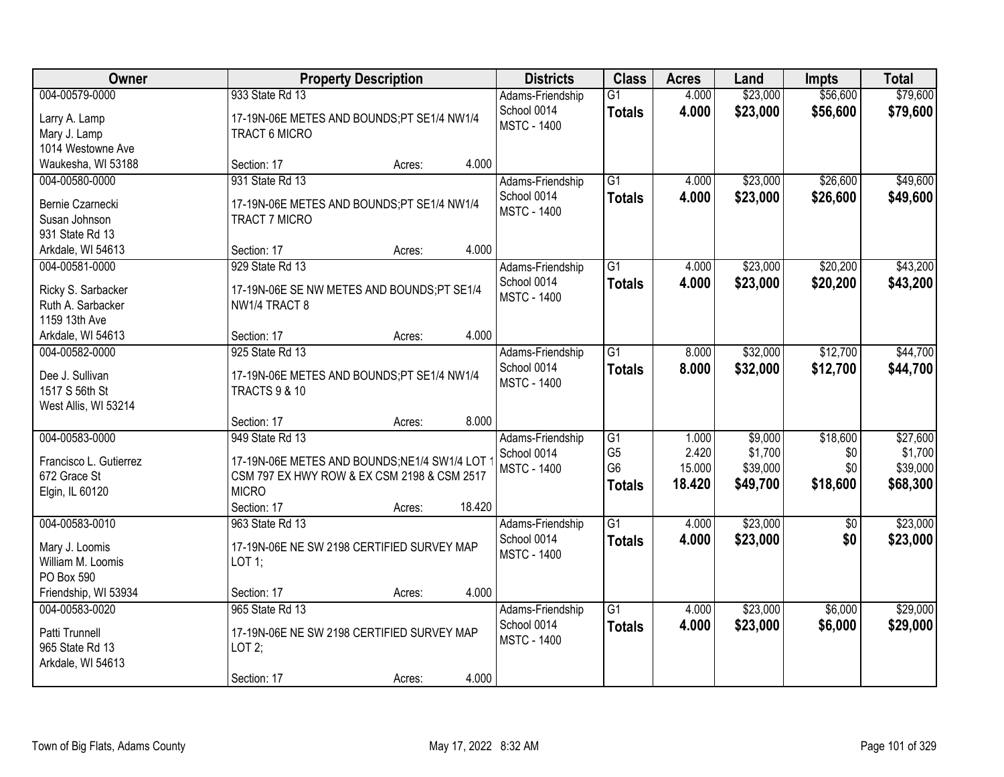| Owner                                                                                       | <b>Property Description</b>                                                                                                                                       | <b>Districts</b>                                      | <b>Class</b>                                            | <b>Acres</b>                       | Land                                       | <b>Impts</b>                       | <b>Total</b>                                |
|---------------------------------------------------------------------------------------------|-------------------------------------------------------------------------------------------------------------------------------------------------------------------|-------------------------------------------------------|---------------------------------------------------------|------------------------------------|--------------------------------------------|------------------------------------|---------------------------------------------|
| 004-00579-0000<br>Larry A. Lamp<br>Mary J. Lamp<br>1014 Westowne Ave                        | 933 State Rd 13<br>17-19N-06E METES AND BOUNDS;PT SE1/4 NW1/4<br>TRACT 6 MICRO                                                                                    | Adams-Friendship<br>School 0014<br><b>MSTC - 1400</b> | $\overline{G1}$<br><b>Totals</b>                        | 4.000<br>4.000                     | \$23,000<br>\$23,000                       | \$56,600<br>\$56,600               | \$79,600<br>\$79,600                        |
| Waukesha, WI 53188                                                                          | 4.000<br>Section: 17<br>Acres:                                                                                                                                    |                                                       |                                                         |                                    |                                            |                                    |                                             |
| 004-00580-0000<br>Bernie Czarnecki<br>Susan Johnson<br>931 State Rd 13                      | 931 State Rd 13<br>17-19N-06E METES AND BOUNDS;PT SE1/4 NW1/4<br><b>TRACT 7 MICRO</b>                                                                             | Adams-Friendship<br>School 0014<br><b>MSTC - 1400</b> | $\overline{G1}$<br><b>Totals</b>                        | 4.000<br>4.000                     | \$23,000<br>\$23,000                       | \$26,600<br>\$26,600               | \$49,600<br>\$49,600                        |
| Arkdale, WI 54613                                                                           | 4.000<br>Section: 17<br>Acres:                                                                                                                                    |                                                       |                                                         |                                    |                                            |                                    |                                             |
| 004-00581-0000<br>Ricky S. Sarbacker<br>Ruth A. Sarbacker<br>1159 13th Ave                  | 929 State Rd 13<br>17-19N-06E SE NW METES AND BOUNDS;PT SE1/4<br>NW1/4 TRACT 8                                                                                    | Adams-Friendship<br>School 0014<br><b>MSTC - 1400</b> | G1<br><b>Totals</b>                                     | 4.000<br>4.000                     | \$23,000<br>\$23,000                       | \$20,200<br>\$20,200               | \$43,200<br>\$43,200                        |
| Arkdale, WI 54613                                                                           | 4.000<br>Section: 17<br>Acres:                                                                                                                                    |                                                       |                                                         |                                    |                                            |                                    |                                             |
| 004-00582-0000<br>Dee J. Sullivan<br>1517 S 56th St<br>West Allis, WI 53214                 | 925 State Rd 13<br>17-19N-06E METES AND BOUNDS;PT SE1/4 NW1/4<br><b>TRACTS 9 &amp; 10</b>                                                                         | Adams-Friendship<br>School 0014<br><b>MSTC - 1400</b> | $\overline{G1}$<br><b>Totals</b>                        | 8.000<br>8.000                     | \$32,000<br>\$32,000                       | \$12,700<br>\$12,700               | \$44,700<br>\$44,700                        |
|                                                                                             | 8.000<br>Section: 17<br>Acres:                                                                                                                                    |                                                       |                                                         |                                    |                                            |                                    |                                             |
| 004-00583-0000<br>Francisco L. Gutierrez<br>672 Grace St<br>Elgin, IL 60120                 | 949 State Rd 13<br>17-19N-06E METES AND BOUNDS; NE1/4 SW1/4 LOT<br>CSM 797 EX HWY ROW & EX CSM 2198 & CSM 2517<br><b>MICRO</b><br>Section: 17<br>18.420<br>Acres: | Adams-Friendship<br>School 0014<br><b>MSTC - 1400</b> | G1<br>G <sub>5</sub><br>G <sub>6</sub><br><b>Totals</b> | 1.000<br>2.420<br>15.000<br>18.420 | \$9,000<br>\$1,700<br>\$39,000<br>\$49,700 | \$18,600<br>\$0<br>\$0<br>\$18,600 | \$27,600<br>\$1,700<br>\$39,000<br>\$68,300 |
| 004-00583-0010<br>Mary J. Loomis<br>William M. Loomis<br>PO Box 590<br>Friendship, WI 53934 | 963 State Rd 13<br>17-19N-06E NE SW 2198 CERTIFIED SURVEY MAP<br>LOT 1;<br>4.000<br>Section: 17<br>Acres:                                                         | Adams-Friendship<br>School 0014<br><b>MSTC - 1400</b> | $\overline{G1}$<br><b>Totals</b>                        | 4.000<br>4.000                     | \$23,000<br>\$23,000                       | \$0<br>\$0                         | \$23,000<br>\$23,000                        |
| 004-00583-0020<br>Patti Trunnell<br>965 State Rd 13<br>Arkdale, WI 54613                    | 965 State Rd 13<br>17-19N-06E NE SW 2198 CERTIFIED SURVEY MAP<br>LOT2;<br>4.000<br>Section: 17<br>Acres:                                                          | Adams-Friendship<br>School 0014<br><b>MSTC - 1400</b> | $\overline{G1}$<br><b>Totals</b>                        | 4.000<br>4.000                     | \$23,000<br>\$23,000                       | \$6,000<br>\$6,000                 | \$29,000<br>\$29,000                        |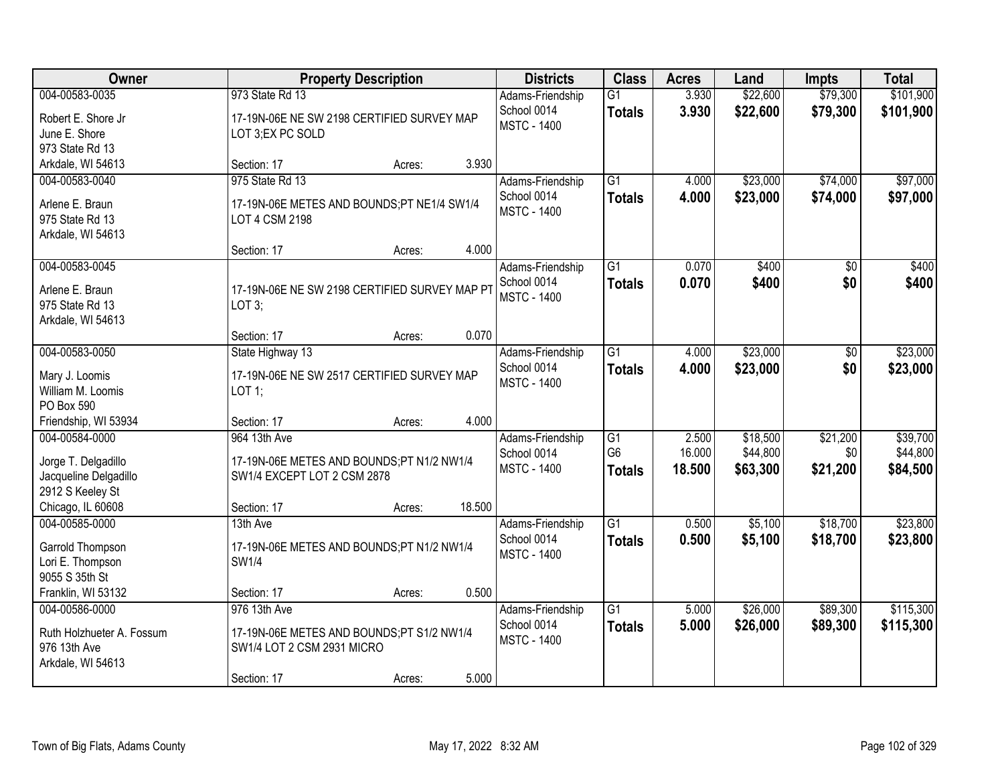| <b>Owner</b>                              |                                               | <b>Property Description</b> |        | <b>Districts</b>   | <b>Class</b>    | <b>Acres</b> | Land     | <b>Impts</b>    | <b>Total</b> |
|-------------------------------------------|-----------------------------------------------|-----------------------------|--------|--------------------|-----------------|--------------|----------|-----------------|--------------|
| 004-00583-0035                            | 973 State Rd 13                               |                             |        | Adams-Friendship   | $\overline{G1}$ | 3.930        | \$22,600 | \$79,300        | \$101,900    |
| Robert E. Shore Jr                        | 17-19N-06E NE SW 2198 CERTIFIED SURVEY MAP    |                             |        | School 0014        | <b>Totals</b>   | 3.930        | \$22,600 | \$79,300        | \$101,900    |
| June E. Shore                             | LOT 3;EX PC SOLD                              |                             |        | <b>MSTC - 1400</b> |                 |              |          |                 |              |
| 973 State Rd 13                           |                                               |                             |        |                    |                 |              |          |                 |              |
| Arkdale, WI 54613                         | Section: 17                                   | Acres:                      | 3.930  |                    |                 |              |          |                 |              |
| 004-00583-0040                            | 975 State Rd 13                               |                             |        | Adams-Friendship   | $\overline{G1}$ | 4.000        | \$23,000 | \$74,000        | \$97,000     |
| Arlene E. Braun                           | 17-19N-06E METES AND BOUNDS;PT NE1/4 SW1/4    |                             |        | School 0014        | <b>Totals</b>   | 4.000        | \$23,000 | \$74,000        | \$97,000     |
| 975 State Rd 13                           | LOT 4 CSM 2198                                |                             |        | <b>MSTC - 1400</b> |                 |              |          |                 |              |
| Arkdale, WI 54613                         |                                               |                             |        |                    |                 |              |          |                 |              |
|                                           | Section: 17                                   | Acres:                      | 4.000  |                    |                 |              |          |                 |              |
| 004-00583-0045                            |                                               |                             |        | Adams-Friendship   | $\overline{G1}$ | 0.070        | \$400    | $\overline{50}$ | \$400        |
| Arlene E. Braun                           | 17-19N-06E NE SW 2198 CERTIFIED SURVEY MAP PT |                             |        | School 0014        | <b>Totals</b>   | 0.070        | \$400    | \$0             | \$400        |
| 975 State Rd 13                           | LOT 3;                                        |                             |        | <b>MSTC - 1400</b> |                 |              |          |                 |              |
| Arkdale, WI 54613                         |                                               |                             |        |                    |                 |              |          |                 |              |
|                                           | Section: 17                                   | Acres:                      | 0.070  |                    |                 |              |          |                 |              |
| 004-00583-0050                            | State Highway 13                              |                             |        | Adams-Friendship   | $\overline{G1}$ | 4.000        | \$23,000 | $\sqrt[6]{3}$   | \$23,000     |
|                                           | 17-19N-06E NE SW 2517 CERTIFIED SURVEY MAP    |                             |        | School 0014        | <b>Totals</b>   | 4.000        | \$23,000 | \$0             | \$23,000     |
| Mary J. Loomis<br>William M. Loomis       | LOT 1;                                        |                             |        | <b>MSTC - 1400</b> |                 |              |          |                 |              |
| PO Box 590                                |                                               |                             |        |                    |                 |              |          |                 |              |
| Friendship, WI 53934                      | Section: 17                                   | Acres:                      | 4.000  |                    |                 |              |          |                 |              |
| 004-00584-0000                            | 964 13th Ave                                  |                             |        | Adams-Friendship   | $\overline{G1}$ | 2.500        | \$18,500 | \$21,200        | \$39,700     |
|                                           |                                               |                             |        | School 0014        | G <sub>6</sub>  | 16.000       | \$44,800 | \$0             | \$44,800     |
| Jorge T. Delgadillo                       | 17-19N-06E METES AND BOUNDS;PT N1/2 NW1/4     |                             |        | <b>MSTC - 1400</b> | <b>Totals</b>   | 18.500       | \$63,300 | \$21,200        | \$84,500     |
| Jacqueline Delgadillo<br>2912 S Keeley St | SW1/4 EXCEPT LOT 2 CSM 2878                   |                             |        |                    |                 |              |          |                 |              |
| Chicago, IL 60608                         | Section: 17                                   | Acres:                      | 18.500 |                    |                 |              |          |                 |              |
| 004-00585-0000                            | 13th Ave                                      |                             |        | Adams-Friendship   | $\overline{G1}$ | 0.500        | \$5,100  | \$18,700        | \$23,800     |
|                                           |                                               |                             |        | School 0014        | <b>Totals</b>   | 0.500        | \$5,100  | \$18,700        | \$23,800     |
| Garrold Thompson                          | 17-19N-06E METES AND BOUNDS;PT N1/2 NW1/4     |                             |        | <b>MSTC - 1400</b> |                 |              |          |                 |              |
| Lori E. Thompson                          | SW1/4                                         |                             |        |                    |                 |              |          |                 |              |
| 9055 S 35th St<br>Franklin, WI 53132      | Section: 17                                   |                             | 0.500  |                    |                 |              |          |                 |              |
| 004-00586-0000                            | 976 13th Ave                                  | Acres:                      |        | Adams-Friendship   | $\overline{G1}$ | 5.000        | \$26,000 | \$89,300        | \$115,300    |
|                                           |                                               |                             |        | School 0014        | <b>Totals</b>   | 5.000        | \$26,000 | \$89,300        | \$115,300    |
| Ruth Holzhueter A. Fossum                 | 17-19N-06E METES AND BOUNDS;PT S1/2 NW1/4     |                             |        | <b>MSTC - 1400</b> |                 |              |          |                 |              |
| 976 13th Ave                              | SW1/4 LOT 2 CSM 2931 MICRO                    |                             |        |                    |                 |              |          |                 |              |
| Arkdale, WI 54613                         |                                               |                             |        |                    |                 |              |          |                 |              |
|                                           | Section: 17                                   | Acres:                      | 5.000  |                    |                 |              |          |                 |              |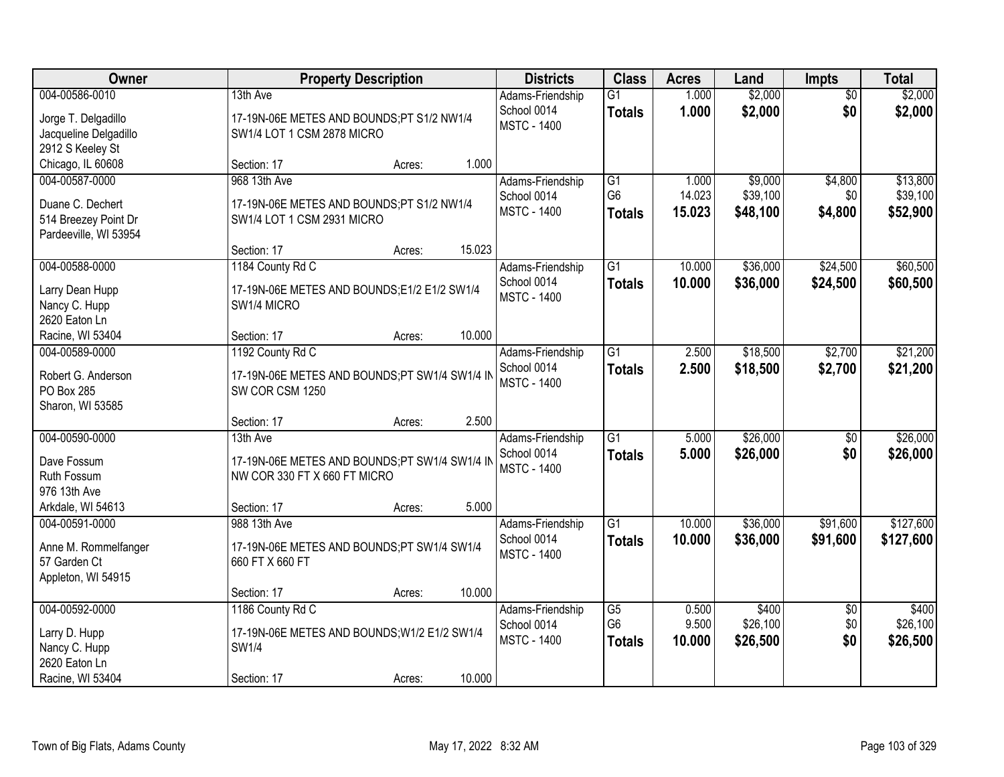| Owner                                                                                 | <b>Property Description</b>                                                                                  | <b>Districts</b>                                      | <b>Class</b>                          | <b>Acres</b>              | Land                            | <b>Impts</b>                  | <b>Total</b>                     |
|---------------------------------------------------------------------------------------|--------------------------------------------------------------------------------------------------------------|-------------------------------------------------------|---------------------------------------|---------------------------|---------------------------------|-------------------------------|----------------------------------|
| 004-00586-0010<br>Jorge T. Delgadillo<br>Jacqueline Delgadillo<br>2912 S Keeley St    | 13th Ave<br>17-19N-06E METES AND BOUNDS;PT S1/2 NW1/4<br>SW1/4 LOT 1 CSM 2878 MICRO                          | Adams-Friendship<br>School 0014<br><b>MSTC - 1400</b> | G1<br><b>Totals</b>                   | 1.000<br>1.000            | \$2,000<br>\$2,000              | $\overline{50}$<br>\$0        | \$2,000<br>\$2,000               |
| Chicago, IL 60608                                                                     | 1.000<br>Section: 17<br>Acres:                                                                               |                                                       |                                       |                           |                                 |                               |                                  |
| 004-00587-0000<br>Duane C. Dechert<br>514 Breezey Point Dr<br>Pardeeville, WI 53954   | 968 13th Ave<br>17-19N-06E METES AND BOUNDS;PT S1/2 NW1/4<br>SW1/4 LOT 1 CSM 2931 MICRO                      | Adams-Friendship<br>School 0014<br><b>MSTC - 1400</b> | G1<br>G <sub>6</sub><br><b>Totals</b> | 1.000<br>14.023<br>15.023 | \$9,000<br>\$39,100<br>\$48,100 | \$4,800<br>\$0<br>\$4,800     | \$13,800<br>\$39,100<br>\$52,900 |
|                                                                                       | 15.023<br>Section: 17<br>Acres:                                                                              |                                                       |                                       |                           |                                 |                               |                                  |
| 004-00588-0000<br>Larry Dean Hupp<br>Nancy C. Hupp<br>2620 Eaton Ln                   | 1184 County Rd C<br>17-19N-06E METES AND BOUNDS;E1/2 E1/2 SW1/4<br>SW1/4 MICRO                               | Adams-Friendship<br>School 0014<br><b>MSTC - 1400</b> | $\overline{G1}$<br><b>Totals</b>      | 10.000<br>10.000          | \$36,000<br>\$36,000            | \$24,500<br>\$24,500          | \$60,500<br>\$60,500             |
| Racine, WI 53404                                                                      | 10.000<br>Section: 17<br>Acres:                                                                              |                                                       |                                       |                           |                                 |                               |                                  |
| 004-00589-0000<br>Robert G. Anderson<br>PO Box 285<br>Sharon, WI 53585                | 1192 County Rd C<br>17-19N-06E METES AND BOUNDS;PT SW1/4 SW1/4 IN<br>SW COR CSM 1250                         | Adams-Friendship<br>School 0014<br><b>MSTC - 1400</b> | $\overline{G1}$<br><b>Totals</b>      | 2.500<br>2.500            | \$18,500<br>\$18,500            | \$2,700<br>\$2,700            | \$21,200<br>\$21,200             |
|                                                                                       | 2.500<br>Section: 17<br>Acres:                                                                               |                                                       |                                       |                           |                                 |                               |                                  |
| 004-00590-0000<br>Dave Fossum<br>Ruth Fossum<br>976 13th Ave                          | 13th Ave<br>17-19N-06E METES AND BOUNDS;PT SW1/4 SW1/4 IN<br>NW COR 330 FT X 660 FT MICRO                    | Adams-Friendship<br>School 0014<br><b>MSTC - 1400</b> | $\overline{G1}$<br><b>Totals</b>      | 5.000<br>5.000            | \$26,000<br>\$26,000            | \$0<br>\$0                    | \$26,000<br>\$26,000             |
| Arkdale, WI 54613                                                                     | 5.000<br>Section: 17<br>Acres:                                                                               |                                                       |                                       |                           |                                 |                               |                                  |
| 004-00591-0000<br>Anne M. Rommelfanger<br>57 Garden Ct<br>Appleton, WI 54915          | 988 13th Ave<br>17-19N-06E METES AND BOUNDS;PT SW1/4 SW1/4<br>660 FT X 660 FT                                | Adams-Friendship<br>School 0014<br><b>MSTC - 1400</b> | $\overline{G1}$<br><b>Totals</b>      | 10.000<br>10.000          | \$36,000<br>\$36,000            | \$91,600<br>\$91,600          | \$127,600<br>\$127,600           |
|                                                                                       | 10.000<br>Section: 17<br>Acres:                                                                              |                                                       |                                       |                           |                                 |                               |                                  |
| 004-00592-0000<br>Larry D. Hupp<br>Nancy C. Hupp<br>2620 Eaton Ln<br>Racine, WI 53404 | 1186 County Rd C<br>17-19N-06E METES AND BOUNDS; W1/2 E1/2 SW1/4<br>SW1/4<br>10.000<br>Section: 17<br>Acres: | Adams-Friendship<br>School 0014<br><b>MSTC - 1400</b> | G5<br>G <sub>6</sub><br><b>Totals</b> | 0.500<br>9.500<br>10.000  | \$400<br>\$26,100<br>\$26,500   | $\overline{60}$<br>\$0<br>\$0 | \$400<br>\$26,100<br>\$26,500    |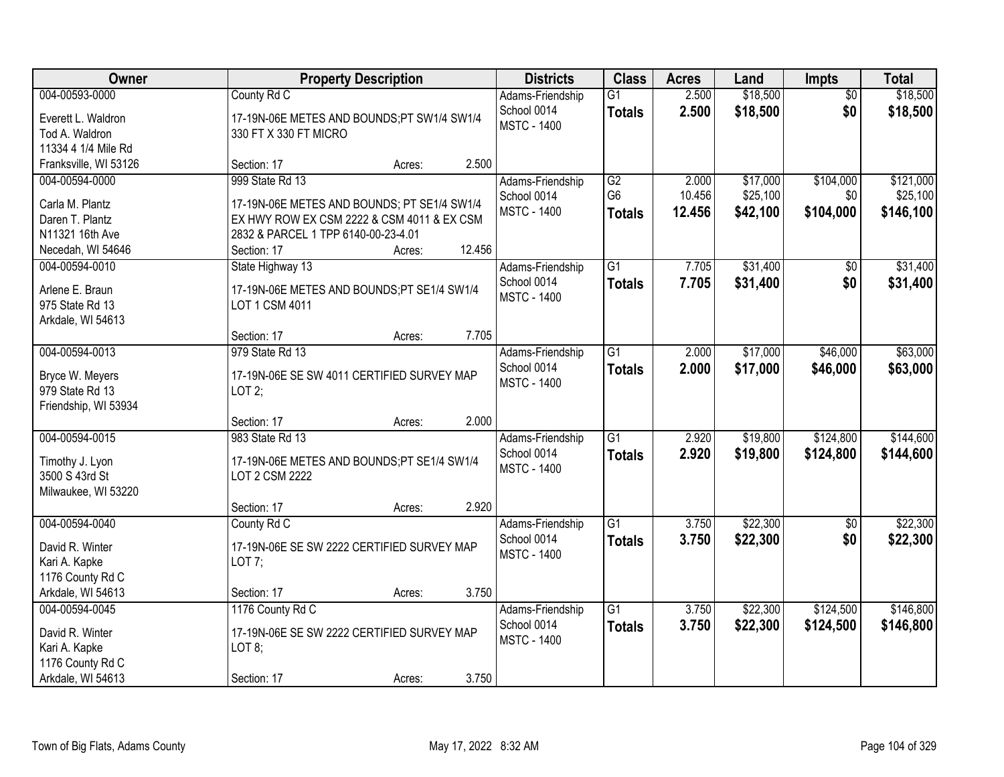| Owner                                   | <b>Property Description</b>                 |        |        | <b>Districts</b>                | <b>Class</b>    | <b>Acres</b> | Land     | <b>Impts</b>    | <b>Total</b> |
|-----------------------------------------|---------------------------------------------|--------|--------|---------------------------------|-----------------|--------------|----------|-----------------|--------------|
| 004-00593-0000                          | County Rd C                                 |        |        | Adams-Friendship                | $\overline{G1}$ | 2.500        | \$18,500 | $\overline{50}$ | \$18,500     |
| Everett L. Waldron                      | 17-19N-06E METES AND BOUNDS;PT SW1/4 SW1/4  |        |        | School 0014                     | <b>Totals</b>   | 2.500        | \$18,500 | \$0             | \$18,500     |
| Tod A. Waldron                          | 330 FT X 330 FT MICRO                       |        |        | <b>MSTC - 1400</b>              |                 |              |          |                 |              |
| 11334 4 1/4 Mile Rd                     |                                             |        |        |                                 |                 |              |          |                 |              |
| Franksville, WI 53126                   | Section: 17                                 | Acres: | 2.500  |                                 |                 |              |          |                 |              |
| 004-00594-0000                          | 999 State Rd 13                             |        |        | Adams-Friendship                | $\overline{G2}$ | 2.000        | \$17,000 | \$104,000       | \$121,000    |
| Carla M. Plantz                         | 17-19N-06E METES AND BOUNDS; PT SE1/4 SW1/4 |        |        | School 0014                     | G <sub>6</sub>  | 10.456       | \$25,100 | \$0             | \$25,100     |
| Daren T. Plantz                         | EX HWY ROW EX CSM 2222 & CSM 4011 & EX CSM  |        |        | <b>MSTC - 1400</b>              | <b>Totals</b>   | 12.456       | \$42,100 | \$104,000       | \$146,100    |
| N11321 16th Ave                         | 2832 & PARCEL 1 TPP 6140-00-23-4.01         |        |        |                                 |                 |              |          |                 |              |
| Necedah, WI 54646                       | Section: 17                                 | Acres: | 12.456 |                                 |                 |              |          |                 |              |
| 004-00594-0010                          | State Highway 13                            |        |        | Adams-Friendship                | $\overline{G1}$ | 7.705        | \$31,400 | \$0             | \$31,400     |
| Arlene E. Braun                         | 17-19N-06E METES AND BOUNDS;PT SE1/4 SW1/4  |        |        | School 0014                     | <b>Totals</b>   | 7.705        | \$31,400 | \$0             | \$31,400     |
| 975 State Rd 13                         | LOT 1 CSM 4011                              |        |        | <b>MSTC - 1400</b>              |                 |              |          |                 |              |
| Arkdale, WI 54613                       |                                             |        |        |                                 |                 |              |          |                 |              |
|                                         | Section: 17                                 | Acres: | 7.705  |                                 |                 |              |          |                 |              |
| 004-00594-0013                          | 979 State Rd 13                             |        |        | Adams-Friendship                | $\overline{G1}$ | 2.000        | \$17,000 | \$46,000        | \$63,000     |
|                                         |                                             |        |        | School 0014                     | <b>Totals</b>   | 2.000        | \$17,000 | \$46,000        | \$63,000     |
| Bryce W. Meyers                         | 17-19N-06E SE SW 4011 CERTIFIED SURVEY MAP  |        |        | <b>MSTC - 1400</b>              |                 |              |          |                 |              |
| 979 State Rd 13<br>Friendship, WI 53934 | LOT2;                                       |        |        |                                 |                 |              |          |                 |              |
|                                         | Section: 17                                 | Acres: | 2.000  |                                 |                 |              |          |                 |              |
| 004-00594-0015                          | 983 State Rd 13                             |        |        | Adams-Friendship                | $\overline{G1}$ | 2.920        | \$19,800 | \$124,800       | \$144,600    |
|                                         |                                             |        |        | School 0014                     | <b>Totals</b>   | 2.920        | \$19,800 | \$124,800       | \$144,600    |
| Timothy J. Lyon                         | 17-19N-06E METES AND BOUNDS;PT SE1/4 SW1/4  |        |        | <b>MSTC - 1400</b>              |                 |              |          |                 |              |
| 3500 S 43rd St                          | LOT 2 CSM 2222                              |        |        |                                 |                 |              |          |                 |              |
| Milwaukee, WI 53220                     |                                             |        |        |                                 |                 |              |          |                 |              |
|                                         | Section: 17                                 | Acres: | 2.920  |                                 |                 |              |          |                 |              |
| 004-00594-0040                          | County Rd C                                 |        |        | Adams-Friendship<br>School 0014 | $\overline{G1}$ | 3.750        | \$22,300 | $\sqrt{$0}$     | \$22,300     |
| David R. Winter                         | 17-19N-06E SE SW 2222 CERTIFIED SURVEY MAP  |        |        | <b>MSTC - 1400</b>              | <b>Totals</b>   | 3.750        | \$22,300 | \$0             | \$22,300     |
| Kari A. Kapke                           | LOT $7$ ;                                   |        |        |                                 |                 |              |          |                 |              |
| 1176 County Rd C                        |                                             |        |        |                                 |                 |              |          |                 |              |
| Arkdale, WI 54613                       | Section: 17                                 | Acres: | 3.750  |                                 |                 |              |          |                 |              |
| 004-00594-0045                          | 1176 County Rd C                            |        |        | Adams-Friendship                | $\overline{G1}$ | 3.750        | \$22,300 | \$124,500       | \$146,800    |
| David R. Winter                         | 17-19N-06E SE SW 2222 CERTIFIED SURVEY MAP  |        |        | School 0014                     | <b>Totals</b>   | 3.750        | \$22,300 | \$124,500       | \$146,800    |
| Kari A. Kapke                           | LOT 8;                                      |        |        | <b>MSTC - 1400</b>              |                 |              |          |                 |              |
| 1176 County Rd C                        |                                             |        |        |                                 |                 |              |          |                 |              |
| Arkdale, WI 54613                       | Section: 17                                 | Acres: | 3.750  |                                 |                 |              |          |                 |              |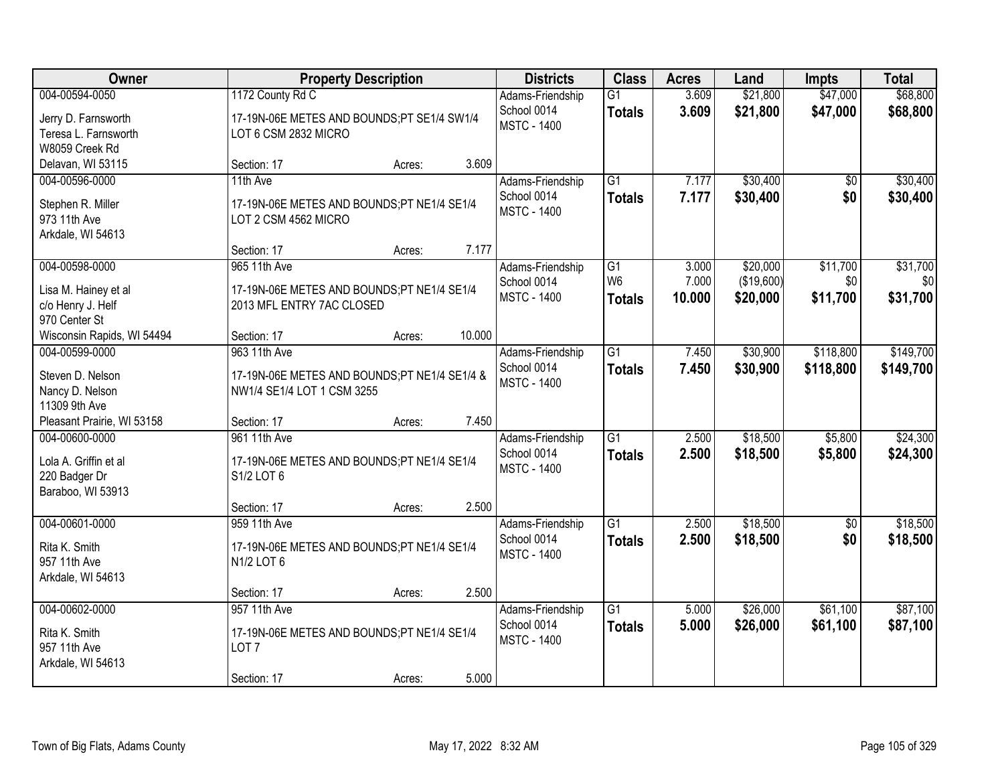| Owner                                                                           |                                                                                               | <b>Property Description</b> |        | <b>Districts</b>                                      | <b>Class</b>                     | <b>Acres</b>   | Land                   | <b>Impts</b>           | <b>Total</b>           |
|---------------------------------------------------------------------------------|-----------------------------------------------------------------------------------------------|-----------------------------|--------|-------------------------------------------------------|----------------------------------|----------------|------------------------|------------------------|------------------------|
| 004-00594-0050<br>Jerry D. Farnsworth<br>Teresa L. Farnsworth<br>W8059 Creek Rd | 1172 County Rd C<br>17-19N-06E METES AND BOUNDS;PT SE1/4 SW1/4<br>LOT 6 CSM 2832 MICRO        |                             |        | Adams-Friendship<br>School 0014<br><b>MSTC - 1400</b> | $\overline{G1}$<br><b>Totals</b> | 3.609<br>3.609 | \$21,800<br>\$21,800   | \$47,000<br>\$47,000   | \$68,800<br>\$68,800   |
| Delavan, WI 53115                                                               | Section: 17                                                                                   | Acres:                      | 3.609  |                                                       |                                  |                |                        |                        |                        |
| 004-00596-0000<br>Stephen R. Miller<br>973 11th Ave<br>Arkdale, WI 54613        | 11th Ave<br>17-19N-06E METES AND BOUNDS;PT NE1/4 SE1/4<br>LOT 2 CSM 4562 MICRO                |                             |        | Adams-Friendship<br>School 0014<br><b>MSTC - 1400</b> | $\overline{G1}$<br><b>Totals</b> | 7.177<br>7.177 | \$30,400<br>\$30,400   | \$0<br>\$0             | \$30,400<br>\$30,400   |
| 004-00598-0000                                                                  | Section: 17<br>965 11th Ave                                                                   | Acres:                      | 7.177  | Adams-Friendship<br>School 0014                       | G1<br>W <sub>6</sub>             | 3.000<br>7.000 | \$20,000<br>(\$19,600) | \$11,700<br>\$0        | \$31,700<br>\$0        |
| Lisa M. Hainey et al<br>c/o Henry J. Helf<br>970 Center St                      | 17-19N-06E METES AND BOUNDS;PT NE1/4 SE1/4<br>2013 MFL ENTRY 7AC CLOSED                       |                             |        | <b>MSTC - 1400</b>                                    | <b>Totals</b>                    | 10.000         | \$20,000               | \$11,700               | \$31,700               |
| Wisconsin Rapids, WI 54494                                                      | Section: 17                                                                                   | Acres:                      | 10.000 |                                                       |                                  |                |                        |                        |                        |
| 004-00599-0000<br>Steven D. Nelson<br>Nancy D. Nelson<br>11309 9th Ave          | 963 11th Ave<br>17-19N-06E METES AND BOUNDS;PT NE1/4 SE1/4 &<br>NW1/4 SE1/4 LOT 1 CSM 3255    |                             |        | Adams-Friendship<br>School 0014<br><b>MSTC - 1400</b> | $\overline{G1}$<br><b>Totals</b> | 7.450<br>7.450 | \$30,900<br>\$30,900   | \$118,800<br>\$118,800 | \$149,700<br>\$149,700 |
| Pleasant Prairie, WI 53158                                                      | Section: 17                                                                                   | Acres:                      | 7.450  |                                                       |                                  |                |                        |                        |                        |
| 004-00600-0000<br>Lola A. Griffin et al<br>220 Badger Dr<br>Baraboo, WI 53913   | 961 11th Ave<br>17-19N-06E METES AND BOUNDS;PT NE1/4 SE1/4<br>S1/2 LOT 6                      |                             |        | Adams-Friendship<br>School 0014<br><b>MSTC - 1400</b> | $\overline{G1}$<br><b>Totals</b> | 2.500<br>2.500 | \$18,500<br>\$18,500   | \$5,800<br>\$5,800     | \$24,300<br>\$24,300   |
|                                                                                 | Section: 17                                                                                   | Acres:                      | 2.500  |                                                       |                                  |                |                        |                        |                        |
| 004-00601-0000<br>Rita K. Smith<br>957 11th Ave<br>Arkdale, WI 54613            | 959 11th Ave<br>17-19N-06E METES AND BOUNDS;PT NE1/4 SE1/4<br>N1/2 LOT 6                      |                             |        | Adams-Friendship<br>School 0014<br><b>MSTC - 1400</b> | $\overline{G1}$<br><b>Totals</b> | 2.500<br>2.500 | \$18,500<br>\$18,500   | $\overline{50}$<br>\$0 | \$18,500<br>\$18,500   |
|                                                                                 | Section: 17                                                                                   | Acres:                      | 2.500  |                                                       |                                  |                |                        |                        |                        |
| 004-00602-0000<br>Rita K. Smith<br>957 11th Ave<br>Arkdale, WI 54613            | 957 11th Ave<br>17-19N-06E METES AND BOUNDS;PT NE1/4 SE1/4<br>LOT <sub>7</sub><br>Section: 17 | Acres:                      | 5.000  | Adams-Friendship<br>School 0014<br><b>MSTC - 1400</b> | $\overline{G1}$<br><b>Totals</b> | 5.000<br>5.000 | \$26,000<br>\$26,000   | \$61,100<br>\$61,100   | \$87,100<br>\$87,100   |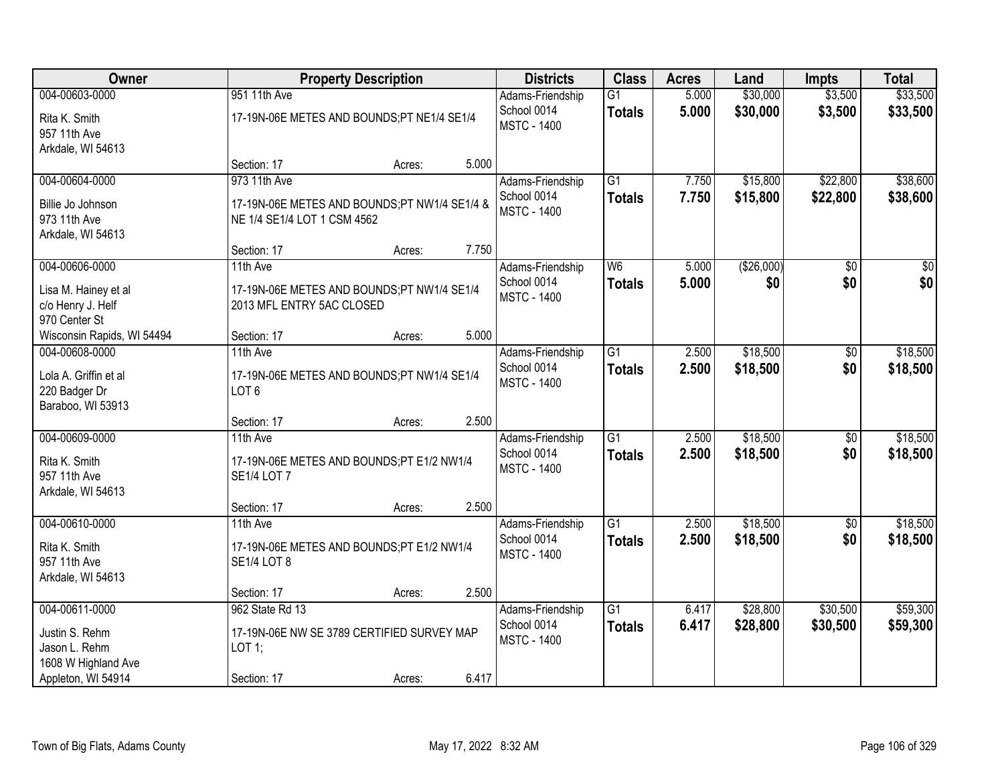| Owner                                                                                          | <b>Property Description</b>                                                                 |        |       | <b>Districts</b>                                      | <b>Class</b>                     | <b>Acres</b>   | Land                 | <b>Impts</b>           | <b>Total</b>            |
|------------------------------------------------------------------------------------------------|---------------------------------------------------------------------------------------------|--------|-------|-------------------------------------------------------|----------------------------------|----------------|----------------------|------------------------|-------------------------|
| 004-00603-0000<br>Rita K. Smith<br>957 11th Ave<br>Arkdale, WI 54613                           | 951 11th Ave<br>17-19N-06E METES AND BOUNDS;PT NE1/4 SE1/4                                  |        |       | Adams-Friendship<br>School 0014<br><b>MSTC - 1400</b> | G1<br><b>Totals</b>              | 5.000<br>5.000 | \$30,000<br>\$30,000 | \$3,500<br>\$3,500     | \$33,500<br>\$33,500    |
|                                                                                                | Section: 17                                                                                 | Acres: | 5.000 |                                                       |                                  |                |                      |                        |                         |
| 004-00604-0000<br>Billie Jo Johnson<br>973 11th Ave<br>Arkdale, WI 54613                       | 973 11th Ave<br>17-19N-06E METES AND BOUNDS;PT NW1/4 SE1/4 &<br>NE 1/4 SE1/4 LOT 1 CSM 4562 |        |       | Adams-Friendship<br>School 0014<br><b>MSTC - 1400</b> | $\overline{G1}$<br><b>Totals</b> | 7.750<br>7.750 | \$15,800<br>\$15,800 | \$22,800<br>\$22,800   | \$38,600<br>\$38,600    |
|                                                                                                | Section: 17                                                                                 | Acres: | 7.750 |                                                       |                                  |                |                      |                        |                         |
| 004-00606-0000<br>Lisa M. Hainey et al<br>c/o Henry J. Helf<br>970 Center St                   | 11th Ave<br>17-19N-06E METES AND BOUNDS;PT NW1/4 SE1/4<br>2013 MFL ENTRY 5AC CLOSED         |        |       | Adams-Friendship<br>School 0014<br><b>MSTC - 1400</b> | W <sub>6</sub><br><b>Totals</b>  | 5.000<br>5.000 | ( \$26,000)<br>\$0   | \$0<br>\$0             | $\overline{\$0}$<br>\$0 |
| Wisconsin Rapids, WI 54494                                                                     | Section: 17                                                                                 | Acres: | 5.000 |                                                       |                                  |                |                      |                        |                         |
| 004-00608-0000<br>Lola A. Griffin et al<br>220 Badger Dr<br>Baraboo, WI 53913                  | 11th Ave<br>17-19N-06E METES AND BOUNDS;PT NW1/4 SE1/4<br>LOT <sub>6</sub>                  |        |       | Adams-Friendship<br>School 0014<br><b>MSTC - 1400</b> | $\overline{G1}$<br><b>Totals</b> | 2.500<br>2.500 | \$18,500<br>\$18,500 | $\sqrt[6]{3}$<br>\$0   | \$18,500<br>\$18,500    |
|                                                                                                | Section: 17                                                                                 | Acres: | 2.500 |                                                       |                                  |                |                      |                        |                         |
| 004-00609-0000<br>Rita K. Smith<br>957 11th Ave<br>Arkdale, WI 54613                           | 11th Ave<br>17-19N-06E METES AND BOUNDS;PT E1/2 NW1/4<br><b>SE1/4 LOT 7</b>                 |        |       | Adams-Friendship<br>School 0014<br><b>MSTC - 1400</b> | $\overline{G1}$<br><b>Totals</b> | 2.500<br>2.500 | \$18,500<br>\$18,500 | $\overline{50}$<br>\$0 | \$18,500<br>\$18,500    |
|                                                                                                | Section: 17                                                                                 | Acres: | 2.500 |                                                       |                                  |                |                      |                        |                         |
| 004-00610-0000<br>Rita K. Smith<br>957 11th Ave<br>Arkdale, WI 54613                           | 11th Ave<br>17-19N-06E METES AND BOUNDS;PT E1/2 NW1/4<br><b>SE1/4 LOT 8</b>                 |        |       | Adams-Friendship<br>School 0014<br><b>MSTC - 1400</b> | $\overline{G1}$<br><b>Totals</b> | 2.500<br>2.500 | \$18,500<br>\$18,500 | \$0<br>\$0             | \$18,500<br>\$18,500    |
|                                                                                                | Section: 17                                                                                 | Acres: | 2.500 |                                                       |                                  |                |                      |                        |                         |
| 004-00611-0000<br>Justin S. Rehm<br>Jason L. Rehm<br>1608 W Highland Ave<br>Appleton, WI 54914 | 962 State Rd 13<br>17-19N-06E NW SE 3789 CERTIFIED SURVEY MAP<br>LOT 1;<br>Section: 17      | Acres: | 6.417 | Adams-Friendship<br>School 0014<br><b>MSTC - 1400</b> | $\overline{G1}$<br><b>Totals</b> | 6.417<br>6.417 | \$28,800<br>\$28,800 | \$30,500<br>\$30,500   | \$59,300<br>\$59,300    |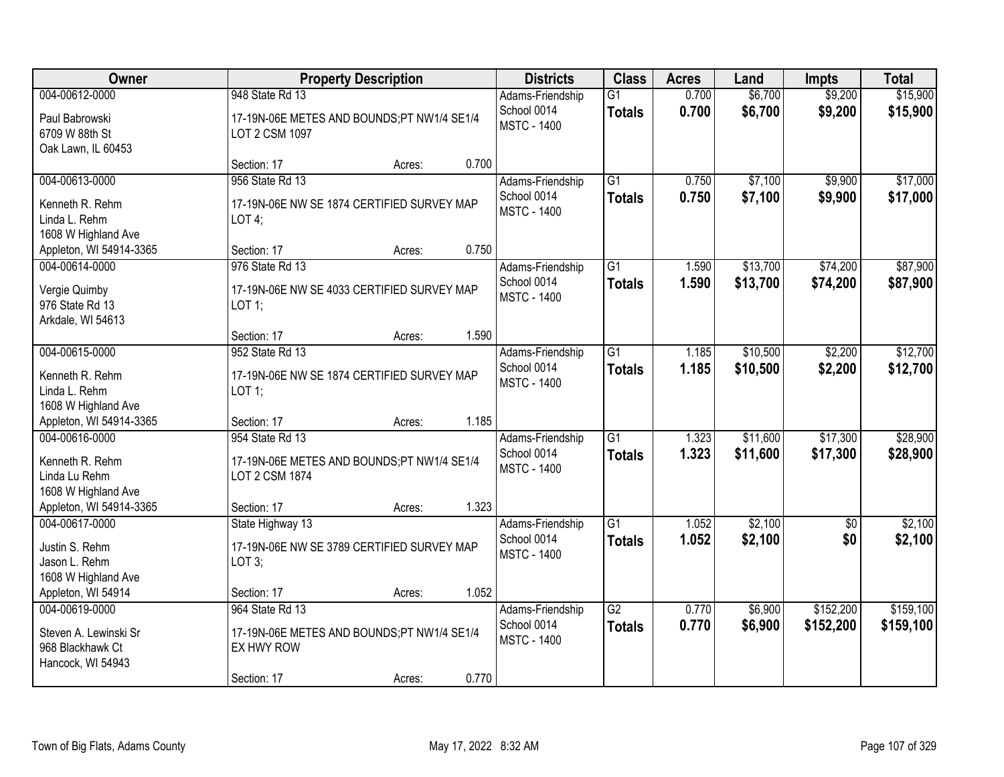| Owner                                                                                                |                                                                                                | <b>Property Description</b> |       | <b>Districts</b>                                      | <b>Class</b>                     | <b>Acres</b>   | Land                 | <b>Impts</b>           | <b>Total</b>           |
|------------------------------------------------------------------------------------------------------|------------------------------------------------------------------------------------------------|-----------------------------|-------|-------------------------------------------------------|----------------------------------|----------------|----------------------|------------------------|------------------------|
| 004-00612-0000<br>Paul Babrowski<br>6709 W 88th St<br>Oak Lawn, IL 60453                             | 948 State Rd 13<br>17-19N-06E METES AND BOUNDS;PT NW1/4 SE1/4<br>LOT 2 CSM 1097                |                             |       | Adams-Friendship<br>School 0014<br><b>MSTC - 1400</b> | $\overline{G1}$<br><b>Totals</b> | 0.700<br>0.700 | \$6,700<br>\$6,700   | \$9,200<br>\$9,200     | \$15,900<br>\$15,900   |
|                                                                                                      | Section: 17                                                                                    | Acres:                      | 0.700 |                                                       |                                  |                |                      |                        |                        |
| 004-00613-0000<br>Kenneth R. Rehm<br>Linda L. Rehm<br>1608 W Highland Ave                            | 956 State Rd 13<br>17-19N-06E NW SE 1874 CERTIFIED SURVEY MAP<br>LOT4;                         |                             |       | Adams-Friendship<br>School 0014<br><b>MSTC - 1400</b> | $\overline{G1}$<br><b>Totals</b> | 0.750<br>0.750 | \$7,100<br>\$7,100   | \$9,900<br>\$9,900     | \$17,000<br>\$17,000   |
| Appleton, WI 54914-3365                                                                              | Section: 17                                                                                    | Acres:                      | 0.750 |                                                       |                                  |                |                      |                        |                        |
| 004-00614-0000<br>Vergie Quimby<br>976 State Rd 13<br>Arkdale, WI 54613                              | 976 State Rd 13<br>17-19N-06E NW SE 4033 CERTIFIED SURVEY MAP<br>LOT 1;                        |                             |       | Adams-Friendship<br>School 0014<br><b>MSTC - 1400</b> | $\overline{G1}$<br><b>Totals</b> | 1.590<br>1.590 | \$13,700<br>\$13,700 | \$74,200<br>\$74,200   | \$87,900<br>\$87,900   |
|                                                                                                      | Section: 17                                                                                    | Acres:                      | 1.590 |                                                       |                                  |                |                      |                        |                        |
| 004-00615-0000<br>Kenneth R. Rehm<br>Linda L. Rehm<br>1608 W Highland Ave                            | 952 State Rd 13<br>17-19N-06E NW SE 1874 CERTIFIED SURVEY MAP<br>LOT 1;                        |                             |       | Adams-Friendship<br>School 0014<br><b>MSTC - 1400</b> | $\overline{G1}$<br><b>Totals</b> | 1.185<br>1.185 | \$10,500<br>\$10,500 | \$2,200<br>\$2,200     | \$12,700<br>\$12,700   |
| Appleton, WI 54914-3365                                                                              | Section: 17                                                                                    | Acres:                      | 1.185 |                                                       |                                  |                |                      |                        |                        |
| 004-00616-0000<br>Kenneth R. Rehm<br>Linda Lu Rehm<br>1608 W Highland Ave<br>Appleton, WI 54914-3365 | 954 State Rd 13<br>17-19N-06E METES AND BOUNDS;PT NW1/4 SE1/4<br>LOT 2 CSM 1874<br>Section: 17 | Acres:                      | 1.323 | Adams-Friendship<br>School 0014<br><b>MSTC - 1400</b> | $\overline{G1}$<br><b>Totals</b> | 1.323<br>1.323 | \$11,600<br>\$11,600 | \$17,300<br>\$17,300   | \$28,900<br>\$28,900   |
| 004-00617-0000                                                                                       | State Highway 13                                                                               |                             |       | Adams-Friendship                                      | G1                               | 1.052          | \$2,100              | $\sqrt{$0}$            | \$2,100                |
| Justin S. Rehm<br>Jason L. Rehm<br>1608 W Highland Ave                                               | 17-19N-06E NW SE 3789 CERTIFIED SURVEY MAP<br>LOT $3$ ;                                        |                             |       | School 0014<br><b>MSTC - 1400</b>                     | <b>Totals</b>                    | 1.052          | \$2,100              | \$0                    | \$2,100                |
| Appleton, WI 54914                                                                                   | Section: 17                                                                                    | Acres:                      | 1.052 |                                                       |                                  |                |                      |                        |                        |
| 004-00619-0000<br>Steven A. Lewinski Sr<br>968 Blackhawk Ct<br>Hancock, WI 54943                     | 964 State Rd 13<br>17-19N-06E METES AND BOUNDS;PT NW1/4 SE1/4<br>EX HWY ROW<br>Section: 17     | Acres:                      | 0.770 | Adams-Friendship<br>School 0014<br><b>MSTC - 1400</b> | $\overline{G2}$<br><b>Totals</b> | 0.770<br>0.770 | \$6,900<br>\$6,900   | \$152,200<br>\$152,200 | \$159,100<br>\$159,100 |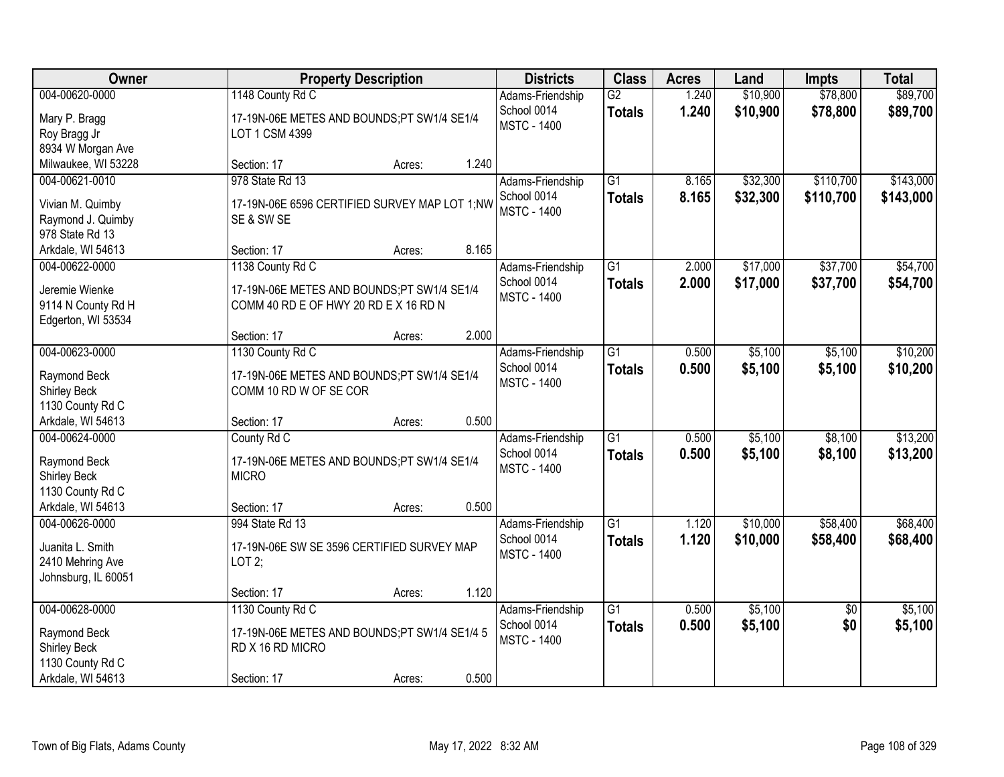| Owner                               | <b>Property Description</b>                   |        |       | <b>Districts</b>                | <b>Class</b>    | <b>Acres</b> | Land     | <b>Impts</b>    | <b>Total</b> |
|-------------------------------------|-----------------------------------------------|--------|-------|---------------------------------|-----------------|--------------|----------|-----------------|--------------|
| 004-00620-0000                      | 1148 County Rd C                              |        |       | Adams-Friendship                | $\overline{G2}$ | 1.240        | \$10,900 | \$78,800        | \$89,700     |
| Mary P. Bragg                       | 17-19N-06E METES AND BOUNDS;PT SW1/4 SE1/4    |        |       | School 0014                     | <b>Totals</b>   | 1.240        | \$10,900 | \$78,800        | \$89,700     |
| Roy Bragg Jr                        | LOT 1 CSM 4399                                |        |       | <b>MSTC - 1400</b>              |                 |              |          |                 |              |
| 8934 W Morgan Ave                   |                                               |        |       |                                 |                 |              |          |                 |              |
| Milwaukee, WI 53228                 | Section: 17                                   | Acres: | 1.240 |                                 |                 |              |          |                 |              |
| 004-00621-0010                      | 978 State Rd 13                               |        |       | Adams-Friendship                | $\overline{G1}$ | 8.165        | \$32,300 | \$110,700       | \$143,000    |
| Vivian M. Quimby                    | 17-19N-06E 6596 CERTIFIED SURVEY MAP LOT 1;NW |        |       | School 0014                     | <b>Totals</b>   | 8.165        | \$32,300 | \$110,700       | \$143,000    |
| Raymond J. Quimby                   | SE & SW SE                                    |        |       | <b>MSTC - 1400</b>              |                 |              |          |                 |              |
| 978 State Rd 13                     |                                               |        |       |                                 |                 |              |          |                 |              |
| Arkdale, WI 54613                   | Section: 17                                   | Acres: | 8.165 |                                 |                 |              |          |                 |              |
| 004-00622-0000                      | 1138 County Rd C                              |        |       | Adams-Friendship                | G1              | 2.000        | \$17,000 | \$37,700        | \$54,700     |
| Jeremie Wienke                      | 17-19N-06E METES AND BOUNDS;PT SW1/4 SE1/4    |        |       | School 0014                     | <b>Totals</b>   | 2.000        | \$17,000 | \$37,700        | \$54,700     |
| 9114 N County Rd H                  | COMM 40 RD E OF HWY 20 RD E X 16 RD N         |        |       | <b>MSTC - 1400</b>              |                 |              |          |                 |              |
| Edgerton, WI 53534                  |                                               |        |       |                                 |                 |              |          |                 |              |
|                                     | Section: 17                                   | Acres: | 2.000 |                                 |                 |              |          |                 |              |
| 004-00623-0000                      | 1130 County Rd C                              |        |       | Adams-Friendship                | $\overline{G1}$ | 0.500        | \$5,100  | \$5,100         | \$10,200     |
| Raymond Beck                        | 17-19N-06E METES AND BOUNDS;PT SW1/4 SE1/4    |        |       | School 0014                     | <b>Totals</b>   | 0.500        | \$5,100  | \$5,100         | \$10,200     |
| Shirley Beck                        | COMM 10 RD W OF SE COR                        |        |       | <b>MSTC - 1400</b>              |                 |              |          |                 |              |
| 1130 County Rd C                    |                                               |        |       |                                 |                 |              |          |                 |              |
| Arkdale, WI 54613                   | Section: 17                                   | Acres: | 0.500 |                                 |                 |              |          |                 |              |
| 004-00624-0000                      | County Rd C                                   |        |       | Adams-Friendship                | $\overline{G1}$ | 0.500        | \$5,100  | \$8,100         | \$13,200     |
|                                     |                                               |        |       | School 0014                     | <b>Totals</b>   | 0.500        | \$5,100  | \$8,100         | \$13,200     |
| Raymond Beck                        | 17-19N-06E METES AND BOUNDS;PT SW1/4 SE1/4    |        |       | <b>MSTC - 1400</b>              |                 |              |          |                 |              |
| <b>Shirley Beck</b>                 | <b>MICRO</b>                                  |        |       |                                 |                 |              |          |                 |              |
| 1130 County Rd C                    |                                               |        | 0.500 |                                 |                 |              |          |                 |              |
| Arkdale, WI 54613<br>004-00626-0000 | Section: 17<br>994 State Rd 13                | Acres: |       |                                 | $\overline{G1}$ | 1.120        | \$10,000 | \$58,400        | \$68,400     |
|                                     |                                               |        |       | Adams-Friendship<br>School 0014 |                 | 1.120        |          |                 |              |
| Juanita L. Smith                    | 17-19N-06E SW SE 3596 CERTIFIED SURVEY MAP    |        |       | <b>MSTC - 1400</b>              | <b>Totals</b>   |              | \$10,000 | \$58,400        | \$68,400     |
| 2410 Mehring Ave                    | LOT $2$ ;                                     |        |       |                                 |                 |              |          |                 |              |
| Johnsburg, IL 60051                 |                                               |        |       |                                 |                 |              |          |                 |              |
|                                     | Section: 17                                   | Acres: | 1.120 |                                 |                 |              |          |                 |              |
| 004-00628-0000                      | 1130 County Rd C                              |        |       | Adams-Friendship                | $\overline{G1}$ | 0.500        | \$5,100  | $\overline{50}$ | \$5,100      |
| Raymond Beck                        | 17-19N-06E METES AND BOUNDS;PT SW1/4 SE1/4 5  |        |       | School 0014                     | <b>Totals</b>   | 0.500        | \$5,100  | \$0             | \$5,100      |
| Shirley Beck                        | RD X 16 RD MICRO                              |        |       | <b>MSTC - 1400</b>              |                 |              |          |                 |              |
| 1130 County Rd C                    |                                               |        |       |                                 |                 |              |          |                 |              |
| Arkdale, WI 54613                   | Section: 17                                   | Acres: | 0.500 |                                 |                 |              |          |                 |              |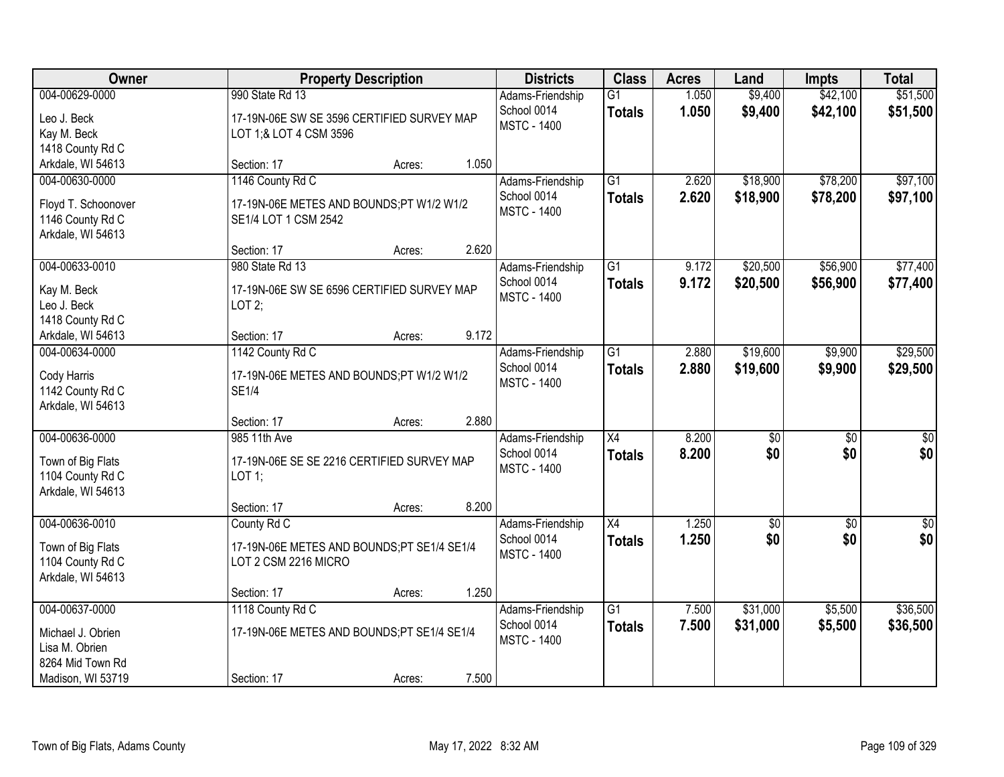| Owner                                                                          | <b>Property Description</b>                                                                      |        |       | <b>Districts</b>                                      | <b>Class</b>                     | <b>Acres</b>   | Land                   | <b>Impts</b>           | <b>Total</b>            |
|--------------------------------------------------------------------------------|--------------------------------------------------------------------------------------------------|--------|-------|-------------------------------------------------------|----------------------------------|----------------|------------------------|------------------------|-------------------------|
| 004-00629-0000<br>Leo J. Beck<br>Kay M. Beck<br>1418 County Rd C               | 990 State Rd 13<br>17-19N-06E SW SE 3596 CERTIFIED SURVEY MAP<br>LOT 1;& LOT 4 CSM 3596          |        |       | Adams-Friendship<br>School 0014<br><b>MSTC - 1400</b> | $\overline{G1}$<br><b>Totals</b> | 1.050<br>1.050 | \$9,400<br>\$9,400     | \$42,100<br>\$42,100   | \$51,500<br>\$51,500    |
| Arkdale, WI 54613                                                              | Section: 17                                                                                      | Acres: | 1.050 |                                                       |                                  |                |                        |                        |                         |
| 004-00630-0000<br>Floyd T. Schoonover<br>1146 County Rd C<br>Arkdale, WI 54613 | 1146 County Rd C<br>17-19N-06E METES AND BOUNDS;PT W1/2 W1/2<br>SE1/4 LOT 1 CSM 2542             |        |       | Adams-Friendship<br>School 0014<br><b>MSTC - 1400</b> | $\overline{G1}$<br><b>Totals</b> | 2.620<br>2.620 | \$18,900<br>\$18,900   | \$78,200<br>\$78,200   | \$97,100<br>\$97,100    |
|                                                                                | Section: 17                                                                                      | Acres: | 2.620 |                                                       |                                  |                |                        |                        |                         |
| 004-00633-0010<br>Kay M. Beck<br>Leo J. Beck<br>1418 County Rd C               | 980 State Rd 13<br>17-19N-06E SW SE 6596 CERTIFIED SURVEY MAP<br>LOT2;                           |        |       | Adams-Friendship<br>School 0014<br><b>MSTC - 1400</b> | G1<br><b>Totals</b>              | 9.172<br>9.172 | \$20,500<br>\$20,500   | \$56,900<br>\$56,900   | \$77,400<br>\$77,400    |
| Arkdale, WI 54613                                                              | Section: 17                                                                                      | Acres: | 9.172 |                                                       |                                  |                |                        |                        |                         |
| 004-00634-0000<br>Cody Harris<br>1142 County Rd C<br>Arkdale, WI 54613         | 1142 County Rd C<br>17-19N-06E METES AND BOUNDS;PT W1/2 W1/2<br><b>SE1/4</b>                     |        |       | Adams-Friendship<br>School 0014<br><b>MSTC - 1400</b> | G1<br><b>Totals</b>              | 2.880<br>2.880 | \$19,600<br>\$19,600   | \$9,900<br>\$9,900     | \$29,500<br>\$29,500    |
|                                                                                | Section: 17                                                                                      | Acres: | 2.880 |                                                       |                                  |                |                        |                        |                         |
| 004-00636-0000<br>Town of Big Flats<br>1104 County Rd C<br>Arkdale, WI 54613   | 985 11th Ave<br>17-19N-06E SE SE 2216 CERTIFIED SURVEY MAP<br>$LOT$ 1:                           |        |       | Adams-Friendship<br>School 0014<br><b>MSTC - 1400</b> | $\overline{X4}$<br><b>Totals</b> | 8.200<br>8.200 | $\overline{50}$<br>\$0 | $\overline{50}$<br>\$0 | $\overline{50}$<br>\$0  |
|                                                                                | Section: 17                                                                                      | Acres: | 8.200 |                                                       |                                  |                |                        |                        |                         |
| 004-00636-0010<br>Town of Big Flats<br>1104 County Rd C<br>Arkdale, WI 54613   | County Rd C<br>17-19N-06E METES AND BOUNDS;PT SE1/4 SE1/4<br>LOT 2 CSM 2216 MICRO<br>Section: 17 |        | 1.250 | Adams-Friendship<br>School 0014<br><b>MSTC - 1400</b> | $\overline{X4}$<br><b>Totals</b> | 1.250<br>1.250 | $\overline{50}$<br>\$0 | $\overline{50}$<br>\$0 | $\overline{\$0}$<br>\$0 |
| 004-00637-0000                                                                 | 1118 County Rd C                                                                                 | Acres: |       | Adams-Friendship                                      | $\overline{G1}$                  | 7.500          | \$31,000               | \$5,500                | \$36,500                |
| Michael J. Obrien<br>Lisa M. Obrien<br>8264 Mid Town Rd<br>Madison, WI 53719   | 17-19N-06E METES AND BOUNDS;PT SE1/4 SE1/4<br>Section: 17                                        | Acres: | 7.500 | School 0014<br><b>MSTC - 1400</b>                     | <b>Totals</b>                    | 7.500          | \$31,000               | \$5,500                | \$36,500                |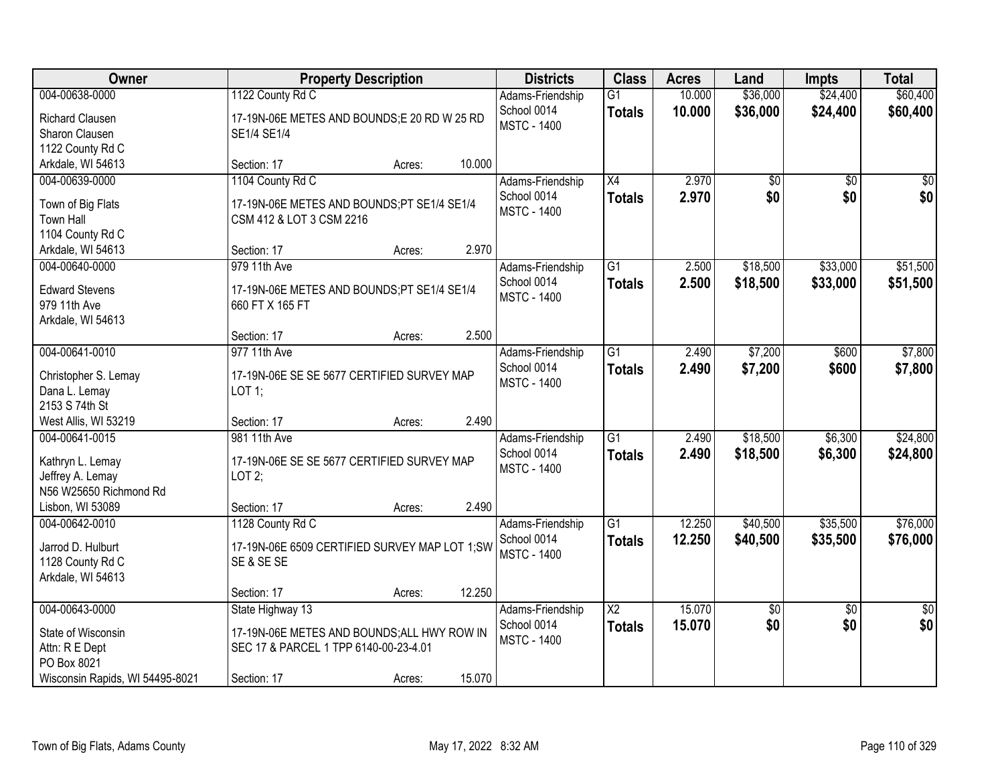| Owner                           |                                               | <b>Property Description</b> |        | <b>Districts</b>                  | <b>Class</b>           | <b>Acres</b> | Land     | <b>Impts</b>    | <b>Total</b>    |
|---------------------------------|-----------------------------------------------|-----------------------------|--------|-----------------------------------|------------------------|--------------|----------|-----------------|-----------------|
| 004-00638-0000                  | 1122 County Rd C                              |                             |        | Adams-Friendship                  | $\overline{G1}$        | 10.000       | \$36,000 | \$24,400        | \$60,400        |
| Richard Clausen                 | 17-19N-06E METES AND BOUNDS;E 20 RD W 25 RD   |                             |        | School 0014<br><b>MSTC - 1400</b> | <b>Totals</b>          | 10.000       | \$36,000 | \$24,400        | \$60,400        |
| Sharon Clausen                  | SE1/4 SE1/4                                   |                             |        |                                   |                        |              |          |                 |                 |
| 1122 County Rd C                |                                               |                             |        |                                   |                        |              |          |                 |                 |
| Arkdale, WI 54613               | Section: 17                                   | Acres:                      | 10.000 |                                   |                        |              |          |                 |                 |
| 004-00639-0000                  | 1104 County Rd C                              |                             |        | Adams-Friendship                  | $\overline{X4}$        | 2.970        | \$0      | $\overline{50}$ | \$0             |
| Town of Big Flats               | 17-19N-06E METES AND BOUNDS;PT SE1/4 SE1/4    |                             |        | School 0014                       | <b>Totals</b>          | 2.970        | \$0      | \$0             | \$0             |
| <b>Town Hall</b>                | CSM 412 & LOT 3 CSM 2216                      |                             |        | <b>MSTC - 1400</b>                |                        |              |          |                 |                 |
| 1104 County Rd C                |                                               |                             |        |                                   |                        |              |          |                 |                 |
| Arkdale, WI 54613               | Section: 17                                   | Acres:                      | 2.970  |                                   |                        |              |          |                 |                 |
| 004-00640-0000                  | 979 11th Ave                                  |                             |        | Adams-Friendship                  | $\overline{G1}$        | 2.500        | \$18,500 | \$33,000        | \$51,500        |
| <b>Edward Stevens</b>           | 17-19N-06E METES AND BOUNDS;PT SE1/4 SE1/4    |                             |        | School 0014                       | <b>Totals</b>          | 2.500        | \$18,500 | \$33,000        | \$51,500        |
| 979 11th Ave                    | 660 FT X 165 FT                               |                             |        | <b>MSTC - 1400</b>                |                        |              |          |                 |                 |
| Arkdale, WI 54613               |                                               |                             |        |                                   |                        |              |          |                 |                 |
|                                 | Section: 17                                   | Acres:                      | 2.500  |                                   |                        |              |          |                 |                 |
| 004-00641-0010                  | 977 11th Ave                                  |                             |        | Adams-Friendship                  | $\overline{G1}$        | 2.490        | \$7,200  | \$600           | \$7,800         |
|                                 |                                               |                             |        | School 0014                       | <b>Totals</b>          | 2.490        | \$7,200  | \$600           | \$7,800         |
| Christopher S. Lemay            | 17-19N-06E SE SE 5677 CERTIFIED SURVEY MAP    |                             |        | <b>MSTC - 1400</b>                |                        |              |          |                 |                 |
| Dana L. Lemay<br>2153 S 74th St | $LOT$ 1;                                      |                             |        |                                   |                        |              |          |                 |                 |
| West Allis, WI 53219            | Section: 17                                   | Acres:                      | 2.490  |                                   |                        |              |          |                 |                 |
| 004-00641-0015                  | 981 11th Ave                                  |                             |        | Adams-Friendship                  | $\overline{G1}$        | 2.490        | \$18,500 | \$6,300         | \$24,800        |
|                                 |                                               |                             |        | School 0014                       | <b>Totals</b>          | 2.490        | \$18,500 | \$6,300         | \$24,800        |
| Kathryn L. Lemay                | 17-19N-06E SE SE 5677 CERTIFIED SURVEY MAP    |                             |        | <b>MSTC - 1400</b>                |                        |              |          |                 |                 |
| Jeffrey A. Lemay                | LOT2;                                         |                             |        |                                   |                        |              |          |                 |                 |
| N56 W25650 Richmond Rd          |                                               |                             |        |                                   |                        |              |          |                 |                 |
| Lisbon, WI 53089                | Section: 17                                   | Acres:                      | 2.490  |                                   |                        |              |          |                 |                 |
| 004-00642-0010                  | 1128 County Rd C                              |                             |        | Adams-Friendship                  | G1                     | 12.250       | \$40,500 | \$35,500        | \$76,000        |
| Jarrod D. Hulburt               | 17-19N-06E 6509 CERTIFIED SURVEY MAP LOT 1;SW |                             |        | School 0014                       | <b>Totals</b>          | 12.250       | \$40,500 | \$35,500        | \$76,000        |
| 1128 County Rd C                | SE & SE SE                                    |                             |        | <b>MSTC - 1400</b>                |                        |              |          |                 |                 |
| Arkdale, WI 54613               |                                               |                             |        |                                   |                        |              |          |                 |                 |
|                                 | Section: 17                                   | Acres:                      | 12.250 |                                   |                        |              |          |                 |                 |
| 004-00643-0000                  | State Highway 13                              |                             |        | Adams-Friendship                  | $\overline{\text{X2}}$ | 15.070       | \$0      | $\overline{30}$ | $\overline{50}$ |
| State of Wisconsin              | 17-19N-06E METES AND BOUNDS; ALL HWY ROW IN   |                             |        | School 0014                       | <b>Totals</b>          | 15.070       | \$0      | \$0             | \$0             |
| Attn: R E Dept                  | SEC 17 & PARCEL 1 TPP 6140-00-23-4.01         |                             |        | <b>MSTC - 1400</b>                |                        |              |          |                 |                 |
| PO Box 8021                     |                                               |                             |        |                                   |                        |              |          |                 |                 |
| Wisconsin Rapids, WI 54495-8021 | Section: 17                                   | Acres:                      | 15.070 |                                   |                        |              |          |                 |                 |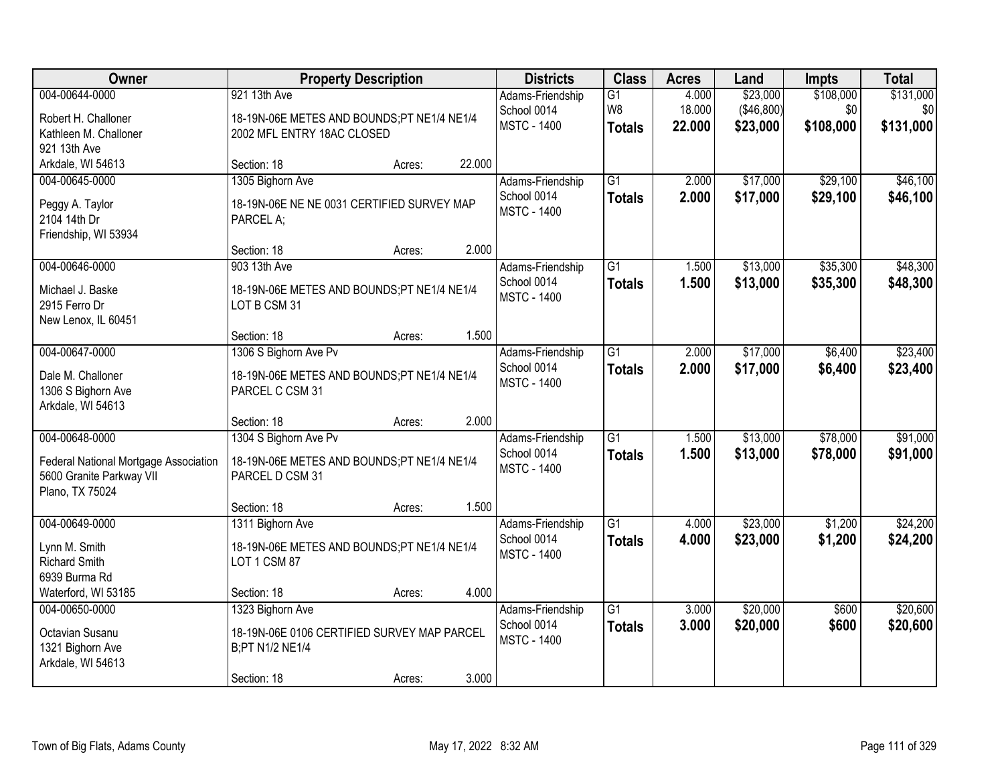| Owner                                       |                                                               | <b>Property Description</b> |        | <b>Districts</b>   | <b>Class</b>    | <b>Acres</b> | Land       | <b>Impts</b> | <b>Total</b> |
|---------------------------------------------|---------------------------------------------------------------|-----------------------------|--------|--------------------|-----------------|--------------|------------|--------------|--------------|
| 004-00644-0000                              | 921 13th Ave                                                  |                             |        | Adams-Friendship   | G1              | 4.000        | \$23,000   | \$108,000    | \$131,000    |
| Robert H. Challoner                         | 18-19N-06E METES AND BOUNDS;PT NE1/4 NE1/4                    |                             |        | School 0014        | W <sub>8</sub>  | 18.000       | (\$46,800) | \$0          | \$0          |
| Kathleen M. Challoner                       | 2002 MFL ENTRY 18AC CLOSED                                    |                             |        | <b>MSTC - 1400</b> | <b>Totals</b>   | 22.000       | \$23,000   | \$108,000    | \$131,000    |
| 921 13th Ave                                |                                                               |                             |        |                    |                 |              |            |              |              |
| Arkdale, WI 54613                           | Section: 18                                                   | Acres:                      | 22.000 |                    |                 |              |            |              |              |
| 004-00645-0000                              | 1305 Bighorn Ave                                              |                             |        | Adams-Friendship   | $\overline{G1}$ | 2.000        | \$17,000   | \$29,100     | \$46,100     |
| Peggy A. Taylor                             | 18-19N-06E NE NE 0031 CERTIFIED SURVEY MAP                    |                             |        | School 0014        | <b>Totals</b>   | 2.000        | \$17,000   | \$29,100     | \$46,100     |
| 2104 14th Dr                                | PARCEL A;                                                     |                             |        | <b>MSTC - 1400</b> |                 |              |            |              |              |
| Friendship, WI 53934                        |                                                               |                             |        |                    |                 |              |            |              |              |
|                                             | Section: 18                                                   | Acres:                      | 2.000  |                    |                 |              |            |              |              |
| 004-00646-0000                              | 903 13th Ave                                                  |                             |        | Adams-Friendship   | $\overline{G1}$ | 1.500        | \$13,000   | \$35,300     | \$48,300     |
| Michael J. Baske                            | 18-19N-06E METES AND BOUNDS;PT NE1/4 NE1/4                    |                             |        | School 0014        | <b>Totals</b>   | 1.500        | \$13,000   | \$35,300     | \$48,300     |
| 2915 Ferro Dr                               | LOT B CSM 31                                                  |                             |        | <b>MSTC - 1400</b> |                 |              |            |              |              |
| New Lenox, IL 60451                         |                                                               |                             |        |                    |                 |              |            |              |              |
|                                             | Section: 18                                                   | Acres:                      | 1.500  |                    |                 |              |            |              |              |
| 004-00647-0000                              | 1306 S Bighorn Ave Pv                                         |                             |        | Adams-Friendship   | $\overline{G1}$ | 2.000        | \$17,000   | \$6,400      | \$23,400     |
| Dale M. Challoner                           |                                                               |                             |        | School 0014        | <b>Totals</b>   | 2.000        | \$17,000   | \$6,400      | \$23,400     |
| 1306 S Bighorn Ave                          | 18-19N-06E METES AND BOUNDS;PT NE1/4 NE1/4<br>PARCEL C CSM 31 |                             |        | <b>MSTC - 1400</b> |                 |              |            |              |              |
| Arkdale, WI 54613                           |                                                               |                             |        |                    |                 |              |            |              |              |
|                                             | Section: 18                                                   | Acres:                      | 2.000  |                    |                 |              |            |              |              |
| 004-00648-0000                              | 1304 S Bighorn Ave Pv                                         |                             |        | Adams-Friendship   | $\overline{G1}$ | 1.500        | \$13,000   | \$78,000     | \$91,000     |
|                                             |                                                               |                             |        | School 0014        | <b>Totals</b>   | 1.500        | \$13,000   | \$78,000     | \$91,000     |
| Federal National Mortgage Association       | 18-19N-06E METES AND BOUNDS;PT NE1/4 NE1/4                    |                             |        | <b>MSTC - 1400</b> |                 |              |            |              |              |
| 5600 Granite Parkway VII<br>Plano, TX 75024 | PARCEL D CSM 31                                               |                             |        |                    |                 |              |            |              |              |
|                                             | Section: 18                                                   | Acres:                      | 1.500  |                    |                 |              |            |              |              |
| 004-00649-0000                              | 1311 Bighorn Ave                                              |                             |        | Adams-Friendship   | $\overline{G1}$ | 4.000        | \$23,000   | \$1,200      | \$24,200     |
|                                             |                                                               |                             |        | School 0014        | <b>Totals</b>   | 4.000        | \$23,000   | \$1,200      | \$24,200     |
| Lynn M. Smith                               | 18-19N-06E METES AND BOUNDS;PT NE1/4 NE1/4                    |                             |        | <b>MSTC - 1400</b> |                 |              |            |              |              |
| <b>Richard Smith</b><br>6939 Burma Rd       | LOT 1 CSM 87                                                  |                             |        |                    |                 |              |            |              |              |
| Waterford, WI 53185                         | Section: 18                                                   | Acres:                      | 4.000  |                    |                 |              |            |              |              |
| 004-00650-0000                              | 1323 Bighorn Ave                                              |                             |        | Adams-Friendship   | $\overline{G1}$ | 3.000        | \$20,000   | \$600        | \$20,600     |
|                                             |                                                               |                             |        | School 0014        | <b>Totals</b>   | 3.000        | \$20,000   | \$600        | \$20,600     |
| Octavian Susanu                             | 18-19N-06E 0106 CERTIFIED SURVEY MAP PARCEL                   |                             |        | <b>MSTC - 1400</b> |                 |              |            |              |              |
| 1321 Bighorn Ave                            | B;PT N1/2 NE1/4                                               |                             |        |                    |                 |              |            |              |              |
| Arkdale, WI 54613                           |                                                               |                             | 3.000  |                    |                 |              |            |              |              |
|                                             | Section: 18                                                   | Acres:                      |        |                    |                 |              |            |              |              |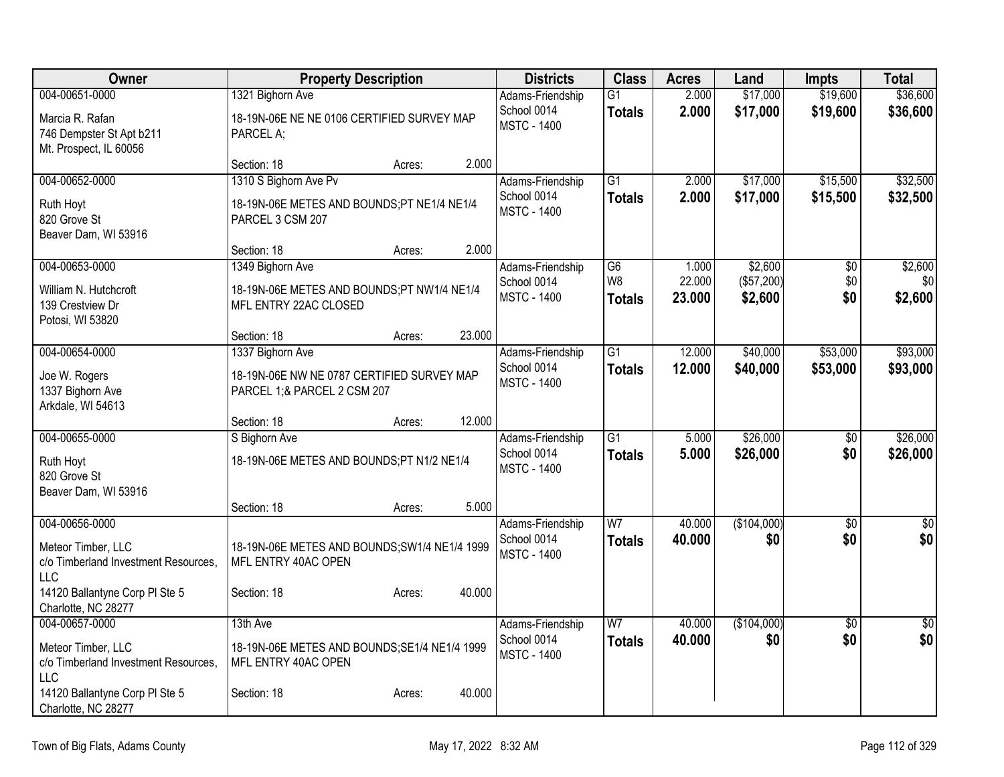| Owner                                                                                                                                        | <b>Property Description</b>                                                                                                      | <b>Districts</b>                                      | <b>Class</b>                     | <b>Acres</b>              | Land                             | <b>Impts</b>           | <b>Total</b>              |
|----------------------------------------------------------------------------------------------------------------------------------------------|----------------------------------------------------------------------------------------------------------------------------------|-------------------------------------------------------|----------------------------------|---------------------------|----------------------------------|------------------------|---------------------------|
| 004-00651-0000<br>Marcia R. Rafan<br>746 Dempster St Apt b211<br>Mt. Prospect, IL 60056                                                      | 1321 Bighorn Ave<br>18-19N-06E NE NE 0106 CERTIFIED SURVEY MAP<br>PARCEL A;                                                      | Adams-Friendship<br>School 0014<br><b>MSTC - 1400</b> | $\overline{G1}$<br><b>Totals</b> | 2.000<br>2.000            | \$17,000<br>\$17,000             | \$19,600<br>\$19,600   | \$36,600<br>\$36,600      |
|                                                                                                                                              | 2.000<br>Section: 18<br>Acres:                                                                                                   |                                                       |                                  |                           |                                  |                        |                           |
| 004-00652-0000<br>Ruth Hoyt<br>820 Grove St<br>Beaver Dam, WI 53916                                                                          | 1310 S Bighorn Ave Pv<br>18-19N-06E METES AND BOUNDS;PT NE1/4 NE1/4<br>PARCEL 3 CSM 207<br>2.000<br>Section: 18<br>Acres:        | Adams-Friendship<br>School 0014<br><b>MSTC - 1400</b> | $\overline{G1}$<br><b>Totals</b> | 2.000<br>2.000            | \$17,000<br>\$17,000             | \$15,500<br>\$15,500   | \$32,500<br>\$32,500      |
| 004-00653-0000<br>William N. Hutchcroft<br>139 Crestview Dr<br>Potosi, WI 53820                                                              | 1349 Bighorn Ave<br>18-19N-06E METES AND BOUNDS;PT NW1/4 NE1/4<br>MFL ENTRY 22AC CLOSED<br>23.000<br>Section: 18<br>Acres:       | Adams-Friendship<br>School 0014<br><b>MSTC - 1400</b> | G6<br>W8<br><b>Totals</b>        | 1.000<br>22.000<br>23.000 | \$2,600<br>(\$57,200)<br>\$2,600 | \$0<br>\$0<br>\$0      | \$2,600<br>\$0<br>\$2,600 |
| 004-00654-0000<br>Joe W. Rogers<br>1337 Bighorn Ave<br>Arkdale, WI 54613                                                                     | 1337 Bighorn Ave<br>18-19N-06E NW NE 0787 CERTIFIED SURVEY MAP<br>PARCEL 1;& PARCEL 2 CSM 207<br>12.000<br>Section: 18<br>Acres: | Adams-Friendship<br>School 0014<br><b>MSTC - 1400</b> | $\overline{G1}$<br><b>Totals</b> | 12.000<br>12.000          | \$40,000<br>\$40,000             | \$53,000<br>\$53,000   | \$93,000<br>\$93,000      |
| 004-00655-0000<br>Ruth Hoyt<br>820 Grove St<br>Beaver Dam, WI 53916                                                                          | S Bighorn Ave<br>18-19N-06E METES AND BOUNDS;PT N1/2 NE1/4<br>5.000<br>Section: 18<br>Acres:                                     | Adams-Friendship<br>School 0014<br><b>MSTC - 1400</b> | $\overline{G1}$<br><b>Totals</b> | 5.000<br>5.000            | \$26,000<br>\$26,000             | $\overline{50}$<br>\$0 | \$26,000<br>\$26,000      |
| 004-00656-0000<br>Meteor Timber, LLC<br>c/o Timberland Investment Resources,<br>LLC<br>14120 Ballantyne Corp PI Ste 5<br>Charlotte, NC 28277 | 18-19N-06E METES AND BOUNDS; SW1/4 NE1/4 1999<br>MFL ENTRY 40AC OPEN<br>40.000<br>Section: 18<br>Acres:                          | Adams-Friendship<br>School 0014<br><b>MSTC - 1400</b> | $\overline{W}$<br><b>Totals</b>  | 40.000<br>40.000          | (\$104,000)<br>\$0               | $\overline{30}$<br>\$0 | $\sqrt{50}$<br>\$0        |
| 004-00657-0000<br>Meteor Timber, LLC<br>c/o Timberland Investment Resources,<br>LLC<br>14120 Ballantyne Corp PI Ste 5<br>Charlotte, NC 28277 | 13th Ave<br>18-19N-06E METES AND BOUNDS; SE1/4 NE1/4 1999<br>MFL ENTRY 40AC OPEN<br>40.000<br>Section: 18<br>Acres:              | Adams-Friendship<br>School 0014<br><b>MSTC - 1400</b> | W <sub>7</sub><br><b>Totals</b>  | 40.000<br>40.000          | (\$104,000)<br>\$0               | $\overline{50}$<br>\$0 | $\sqrt{50}$<br>\$0        |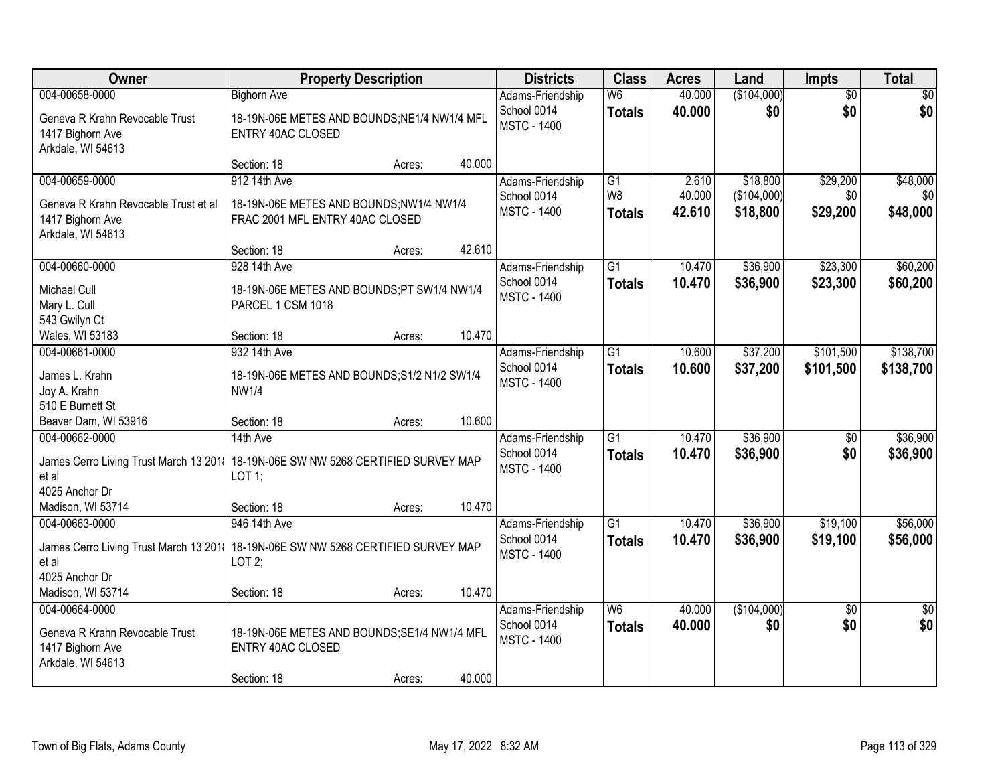| Owner                                                                                                          |                                                                                         | <b>Property Description</b> |        | <b>Districts</b>                                      | <b>Class</b>                    | <b>Acres</b>     | Land                    | Impts                  | <b>Total</b>           |
|----------------------------------------------------------------------------------------------------------------|-----------------------------------------------------------------------------------------|-----------------------------|--------|-------------------------------------------------------|---------------------------------|------------------|-------------------------|------------------------|------------------------|
| 004-00658-0000                                                                                                 | <b>Bighorn Ave</b>                                                                      |                             |        | Adams-Friendship                                      | W <sub>6</sub>                  | 40.000           | (\$104,000)             | $\overline{50}$        | \$0                    |
| Geneva R Krahn Revocable Trust<br>1417 Bighorn Ave<br>Arkdale, WI 54613                                        | 18-19N-06E METES AND BOUNDS; NE1/4 NW1/4 MFL<br><b>ENTRY 40AC CLOSED</b>                |                             |        | School 0014<br><b>MSTC - 1400</b>                     | <b>Totals</b>                   | 40.000           | \$0                     | \$0                    | \$0                    |
|                                                                                                                | Section: 18                                                                             | Acres:                      | 40.000 |                                                       |                                 |                  |                         |                        |                        |
| 004-00659-0000                                                                                                 | 912 14th Ave                                                                            |                             |        | Adams-Friendship                                      | $\overline{G1}$                 | 2.610            | \$18,800                | \$29,200               | \$48,000               |
| Geneva R Krahn Revocable Trust et al<br>1417 Bighorn Ave<br>Arkdale, WI 54613                                  | 18-19N-06E METES AND BOUNDS;NW1/4 NW1/4<br>FRAC 2001 MFL ENTRY 40AC CLOSED              |                             |        | School 0014<br><b>MSTC - 1400</b>                     | W <sub>8</sub><br><b>Totals</b> | 40.000<br>42.610 | (\$104,000)<br>\$18,800 | \$0<br>\$29,200        | \$0<br>\$48,000        |
|                                                                                                                | Section: 18                                                                             | Acres:                      | 42.610 |                                                       |                                 |                  |                         |                        |                        |
| 004-00660-0000                                                                                                 | 928 14th Ave                                                                            |                             |        | Adams-Friendship                                      | $\overline{G1}$                 | 10.470           | \$36,900                | \$23,300               | \$60,200               |
| Michael Cull<br>Mary L. Cull<br>543 Gwilyn Ct                                                                  | 18-19N-06E METES AND BOUNDS;PT SW1/4 NW1/4<br>PARCEL 1 CSM 1018                         |                             |        | School 0014<br><b>MSTC - 1400</b>                     | <b>Totals</b>                   | 10.470           | \$36,900                | \$23,300               | \$60,200               |
| Wales, WI 53183                                                                                                | Section: 18                                                                             | Acres:                      | 10.470 |                                                       |                                 |                  |                         |                        |                        |
| 004-00661-0000                                                                                                 | 932 14th Ave                                                                            |                             |        | Adams-Friendship                                      | G1                              | 10.600           | \$37,200                | \$101,500              | \$138,700              |
| James L. Krahn<br>Joy A. Krahn                                                                                 | 18-19N-06E METES AND BOUNDS; S1/2 N1/2 SW1/4<br><b>NW1/4</b>                            |                             |        | School 0014<br><b>MSTC - 1400</b>                     | <b>Totals</b>                   | 10.600           | \$37,200                | \$101,500              | \$138,700              |
| 510 E Burnett St<br>Beaver Dam, WI 53916                                                                       | Section: 18                                                                             | Acres:                      | 10.600 |                                                       |                                 |                  |                         |                        |                        |
| 004-00662-0000                                                                                                 | 14th Ave                                                                                |                             |        | Adams-Friendship                                      | $\overline{G1}$                 | 10.470           | \$36,900                | $\overline{50}$        | \$36,900               |
| James Cerro Living Trust March 13 2011   18-19N-06E SW NW 5268 CERTIFIED SURVEY MAP<br>et al<br>4025 Anchor Dr | LOT 1;                                                                                  |                             |        | School 0014<br><b>MSTC - 1400</b>                     | <b>Totals</b>                   | 10.470           | \$36,900                | \$0                    | \$36,900               |
| Madison, WI 53714                                                                                              | Section: 18                                                                             | Acres:                      | 10.470 |                                                       |                                 |                  |                         |                        |                        |
| 004-00663-0000                                                                                                 | 946 14th Ave                                                                            |                             |        | Adams-Friendship                                      | $\overline{G1}$                 | 10.470           | \$36,900                | \$19,100               | \$56,000               |
| James Cerro Living Trust March 13 2011   18-19N-06E SW NW 5268 CERTIFIED SURVEY MAP<br>et al<br>4025 Anchor Dr | LOT2;                                                                                   |                             |        | School 0014<br><b>MSTC - 1400</b>                     | <b>Totals</b>                   | 10.470           | \$36,900                | \$19,100               | \$56,000               |
| Madison, WI 53714                                                                                              | Section: 18                                                                             | Acres:                      | 10.470 |                                                       |                                 |                  |                         |                        |                        |
| 004-00664-0000<br>Geneva R Krahn Revocable Trust<br>1417 Bighorn Ave<br>Arkdale, WI 54613                      | 18-19N-06E METES AND BOUNDS; SE1/4 NW1/4 MFL<br><b>ENTRY 40AC CLOSED</b><br>Section: 18 | Acres:                      | 40.000 | Adams-Friendship<br>School 0014<br><b>MSTC - 1400</b> | W <sub>6</sub><br><b>Totals</b> | 40.000<br>40.000 | (\$104,000)<br>\$0      | $\overline{30}$<br>\$0 | $\overline{50}$<br>\$0 |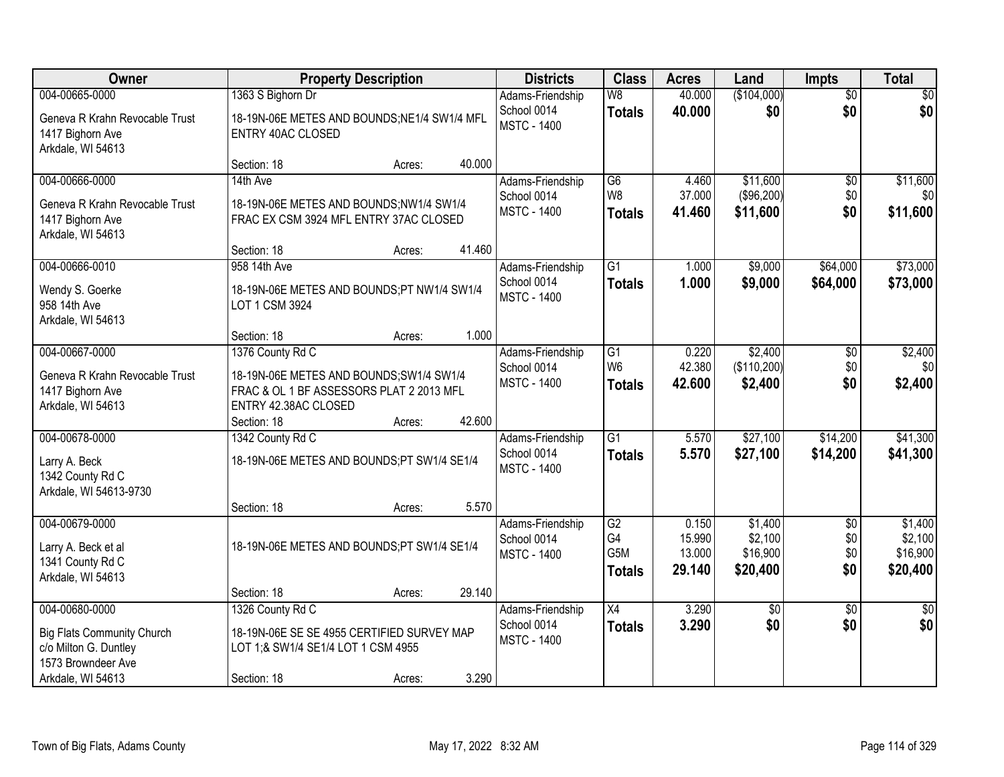| Owner                                                                   |                                                                                      | <b>Property Description</b> |        | <b>Districts</b>                  | <b>Class</b>    | <b>Acres</b>     | Land               | <b>Impts</b>           | <b>Total</b>       |
|-------------------------------------------------------------------------|--------------------------------------------------------------------------------------|-----------------------------|--------|-----------------------------------|-----------------|------------------|--------------------|------------------------|--------------------|
| 004-00665-0000                                                          | 1363 S Bighorn Dr                                                                    |                             |        | Adams-Friendship<br>School 0014   | W8              | 40.000<br>40.000 | (\$104,000)<br>\$0 | $\overline{50}$<br>\$0 | $\sqrt{50}$<br>\$0 |
| Geneva R Krahn Revocable Trust<br>1417 Bighorn Ave<br>Arkdale, WI 54613 | 18-19N-06E METES AND BOUNDS; NE1/4 SW1/4 MFL<br><b>ENTRY 40AC CLOSED</b>             |                             |        | <b>MSTC - 1400</b>                | <b>Totals</b>   |                  |                    |                        |                    |
|                                                                         | Section: 18                                                                          | Acres:                      | 40.000 |                                   |                 |                  |                    |                        |                    |
| 004-00666-0000                                                          | 14th Ave                                                                             |                             |        | Adams-Friendship                  | $\overline{G6}$ | 4.460            | \$11,600           | $\overline{50}$        | \$11,600           |
| Geneva R Krahn Revocable Trust                                          | 18-19N-06E METES AND BOUNDS;NW1/4 SW1/4                                              |                             |        | School 0014                       | W <sub>8</sub>  | 37.000           | (\$96,200)         | \$0                    | \$0                |
| 1417 Bighorn Ave<br>Arkdale, WI 54613                                   | FRAC EX CSM 3924 MFL ENTRY 37AC CLOSED                                               |                             |        | <b>MSTC - 1400</b>                | <b>Totals</b>   | 41.460           | \$11,600           | \$0                    | \$11,600           |
|                                                                         | Section: 18                                                                          | Acres:                      | 41.460 |                                   |                 |                  |                    |                        |                    |
| 004-00666-0010                                                          | 958 14th Ave                                                                         |                             |        | Adams-Friendship                  | $\overline{G1}$ | 1.000            | \$9,000            | \$64,000               | \$73,000           |
| Wendy S. Goerke<br>958 14th Ave<br>Arkdale, WI 54613                    | 18-19N-06E METES AND BOUNDS;PT NW1/4 SW1/4<br>LOT 1 CSM 3924                         |                             |        | School 0014<br><b>MSTC - 1400</b> | <b>Totals</b>   | 1.000            | \$9,000            | \$64,000               | \$73,000           |
|                                                                         | Section: 18                                                                          | Acres:                      | 1.000  |                                   |                 |                  |                    |                        |                    |
| 004-00667-0000                                                          | 1376 County Rd C                                                                     |                             |        | Adams-Friendship                  | G1              | 0.220            | \$2,400            | \$0                    | \$2,400            |
|                                                                         |                                                                                      |                             |        | School 0014                       | W <sub>6</sub>  | 42.380           | (\$110,200)        | \$0                    | \$0                |
| Geneva R Krahn Revocable Trust<br>1417 Bighorn Ave                      | 18-19N-06E METES AND BOUNDS; SW1/4 SW1/4<br>FRAC & OL 1 BF ASSESSORS PLAT 2 2013 MFL |                             |        | <b>MSTC - 1400</b>                | <b>Totals</b>   | 42.600           | \$2,400            | \$0                    | \$2,400            |
| Arkdale, WI 54613                                                       | ENTRY 42.38AC CLOSED                                                                 |                             |        |                                   |                 |                  |                    |                        |                    |
|                                                                         | Section: 18                                                                          | Acres:                      | 42.600 |                                   |                 |                  |                    |                        |                    |
| 004-00678-0000                                                          | 1342 County Rd C                                                                     |                             |        | Adams-Friendship                  | $\overline{G1}$ | 5.570            | \$27,100           | \$14,200               | \$41,300           |
| Larry A. Beck                                                           | 18-19N-06E METES AND BOUNDS;PT SW1/4 SE1/4                                           |                             |        | School 0014                       | <b>Totals</b>   | 5.570            | \$27,100           | \$14,200               | \$41,300           |
| 1342 County Rd C                                                        |                                                                                      |                             |        | <b>MSTC - 1400</b>                |                 |                  |                    |                        |                    |
| Arkdale, WI 54613-9730                                                  |                                                                                      |                             |        |                                   |                 |                  |                    |                        |                    |
|                                                                         | Section: 18                                                                          | Acres:                      | 5.570  |                                   |                 |                  |                    |                        |                    |
| 004-00679-0000                                                          |                                                                                      |                             |        | Adams-Friendship                  | G2              | 0.150            | \$1,400            | $\sqrt{6}$             | \$1,400            |
| Larry A. Beck et al                                                     | 18-19N-06E METES AND BOUNDS;PT SW1/4 SE1/4                                           |                             |        | School 0014                       | G4              | 15.990           | \$2,100            | \$0                    | \$2,100            |
| 1341 County Rd C                                                        |                                                                                      |                             |        | <b>MSTC - 1400</b>                | G5M             | 13.000           | \$16,900           | \$0                    | \$16,900           |
| Arkdale, WI 54613                                                       |                                                                                      |                             |        |                                   | Totals          | 29.140           | \$20,400           | \$0                    | \$20,400           |
|                                                                         | Section: 18                                                                          | Acres:                      | 29.140 |                                   |                 |                  |                    |                        |                    |
| 004-00680-0000                                                          | 1326 County Rd C                                                                     |                             |        | Adams-Friendship                  | $\overline{X4}$ | 3.290            | $\overline{50}$    | $\overline{50}$        | $\overline{50}$    |
| <b>Big Flats Community Church</b>                                       | 18-19N-06E SE SE 4955 CERTIFIED SURVEY MAP                                           |                             |        | School 0014                       | <b>Totals</b>   | 3.290            | \$0                | \$0                    | \$0                |
| c/o Milton G. Duntley                                                   | LOT 1;& SW1/4 SE1/4 LOT 1 CSM 4955                                                   |                             |        | <b>MSTC - 1400</b>                |                 |                  |                    |                        |                    |
| 1573 Browndeer Ave                                                      |                                                                                      |                             |        |                                   |                 |                  |                    |                        |                    |
| Arkdale, WI 54613                                                       | Section: 18                                                                          | Acres:                      | 3.290  |                                   |                 |                  |                    |                        |                    |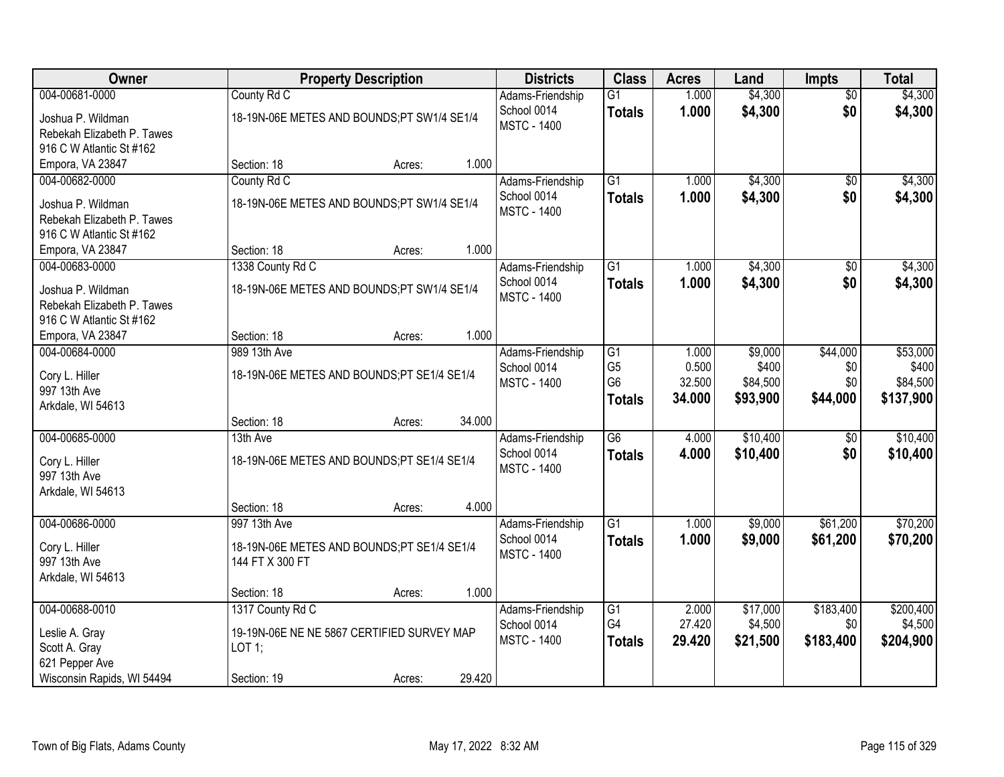| Owner                                        |                                            | <b>Property Description</b> |        | <b>Districts</b>   | <b>Class</b>    | <b>Acres</b> | Land     | <b>Impts</b>    | <b>Total</b> |
|----------------------------------------------|--------------------------------------------|-----------------------------|--------|--------------------|-----------------|--------------|----------|-----------------|--------------|
| 004-00681-0000                               | County Rd C                                |                             |        | Adams-Friendship   | $\overline{G1}$ | 1.000        | \$4,300  | $\overline{50}$ | \$4,300      |
| Joshua P. Wildman                            | 18-19N-06E METES AND BOUNDS;PT SW1/4 SE1/4 |                             |        | School 0014        | <b>Totals</b>   | 1.000        | \$4,300  | \$0             | \$4,300      |
| Rebekah Elizabeth P. Tawes                   |                                            |                             |        | <b>MSTC - 1400</b> |                 |              |          |                 |              |
| 916 C W Atlantic St #162                     |                                            |                             |        |                    |                 |              |          |                 |              |
| Empora, VA 23847                             | Section: 18                                | Acres:                      | 1.000  |                    |                 |              |          |                 |              |
| 004-00682-0000                               | County Rd C                                |                             |        | Adams-Friendship   | $\overline{G1}$ | 1.000        | \$4,300  | \$0             | \$4,300      |
| Joshua P. Wildman                            | 18-19N-06E METES AND BOUNDS;PT SW1/4 SE1/4 |                             |        | School 0014        | <b>Totals</b>   | 1.000        | \$4,300  | \$0             | \$4,300      |
| Rebekah Elizabeth P. Tawes                   |                                            |                             |        | <b>MSTC - 1400</b> |                 |              |          |                 |              |
| 916 C W Atlantic St #162                     |                                            |                             |        |                    |                 |              |          |                 |              |
| Empora, VA 23847                             | Section: 18                                | Acres:                      | 1.000  |                    |                 |              |          |                 |              |
| 004-00683-0000                               | 1338 County Rd C                           |                             |        | Adams-Friendship   | $\overline{G1}$ | 1.000        | \$4,300  | \$0             | \$4,300      |
| Joshua P. Wildman                            | 18-19N-06E METES AND BOUNDS;PT SW1/4 SE1/4 |                             |        | School 0014        | <b>Totals</b>   | 1.000        | \$4,300  | \$0             | \$4,300      |
| Rebekah Elizabeth P. Tawes                   |                                            |                             |        | <b>MSTC - 1400</b> |                 |              |          |                 |              |
| 916 C W Atlantic St #162                     |                                            |                             |        |                    |                 |              |          |                 |              |
| Empora, VA 23847                             | Section: 18                                | Acres:                      | 1.000  |                    |                 |              |          |                 |              |
| 004-00684-0000                               | 989 13th Ave                               |                             |        | Adams-Friendship   | $\overline{G1}$ | 1.000        | \$9,000  | \$44,000        | \$53,000     |
|                                              |                                            |                             |        | School 0014        | G <sub>5</sub>  | 0.500        | \$400    | \$0             | \$400        |
| Cory L. Hiller<br>997 13th Ave               | 18-19N-06E METES AND BOUNDS;PT SE1/4 SE1/4 |                             |        | <b>MSTC - 1400</b> | G <sub>6</sub>  | 32.500       | \$84,500 | \$0             | \$84,500     |
| Arkdale, WI 54613                            |                                            |                             |        |                    | <b>Totals</b>   | 34.000       | \$93,900 | \$44,000        | \$137,900    |
|                                              | Section: 18                                | Acres:                      | 34.000 |                    |                 |              |          |                 |              |
| 004-00685-0000                               | 13th Ave                                   |                             |        | Adams-Friendship   | $\overline{G6}$ | 4.000        | \$10,400 | \$0             | \$10,400     |
|                                              |                                            |                             |        | School 0014        | <b>Totals</b>   | 4.000        | \$10,400 | \$0             | \$10,400     |
| Cory L. Hiller                               | 18-19N-06E METES AND BOUNDS;PT SE1/4 SE1/4 |                             |        | <b>MSTC - 1400</b> |                 |              |          |                 |              |
| 997 13th Ave<br>Arkdale, WI 54613            |                                            |                             |        |                    |                 |              |          |                 |              |
|                                              | Section: 18                                | Acres:                      | 4.000  |                    |                 |              |          |                 |              |
| 004-00686-0000                               | 997 13th Ave                               |                             |        | Adams-Friendship   | $\overline{G1}$ | 1.000        | \$9,000  | \$61,200        | \$70,200     |
|                                              |                                            |                             |        | School 0014        | <b>Totals</b>   | 1.000        | \$9,000  | \$61,200        | \$70,200     |
| Cory L. Hiller                               | 18-19N-06E METES AND BOUNDS;PT SE1/4 SE1/4 |                             |        | <b>MSTC - 1400</b> |                 |              |          |                 |              |
| 997 13th Ave<br>Arkdale, WI 54613            | 144 FT X 300 FT                            |                             |        |                    |                 |              |          |                 |              |
|                                              | Section: 18                                | Acres:                      | 1.000  |                    |                 |              |          |                 |              |
| 004-00688-0010                               | 1317 County Rd C                           |                             |        | Adams-Friendship   | G1              | 2.000        | \$17,000 | \$183,400       | \$200,400    |
|                                              |                                            |                             |        | School 0014        | G4              | 27.420       | \$4,500  | \$0             | \$4,500      |
| Leslie A. Gray                               | 19-19N-06E NE NE 5867 CERTIFIED SURVEY MAP |                             |        | <b>MSTC - 1400</b> | <b>Totals</b>   | 29.420       | \$21,500 | \$183,400       | \$204,900    |
| Scott A. Gray                                | LOT 1;                                     |                             |        |                    |                 |              |          |                 |              |
| 621 Pepper Ave<br>Wisconsin Rapids, WI 54494 | Section: 19                                | Acres:                      | 29.420 |                    |                 |              |          |                 |              |
|                                              |                                            |                             |        |                    |                 |              |          |                 |              |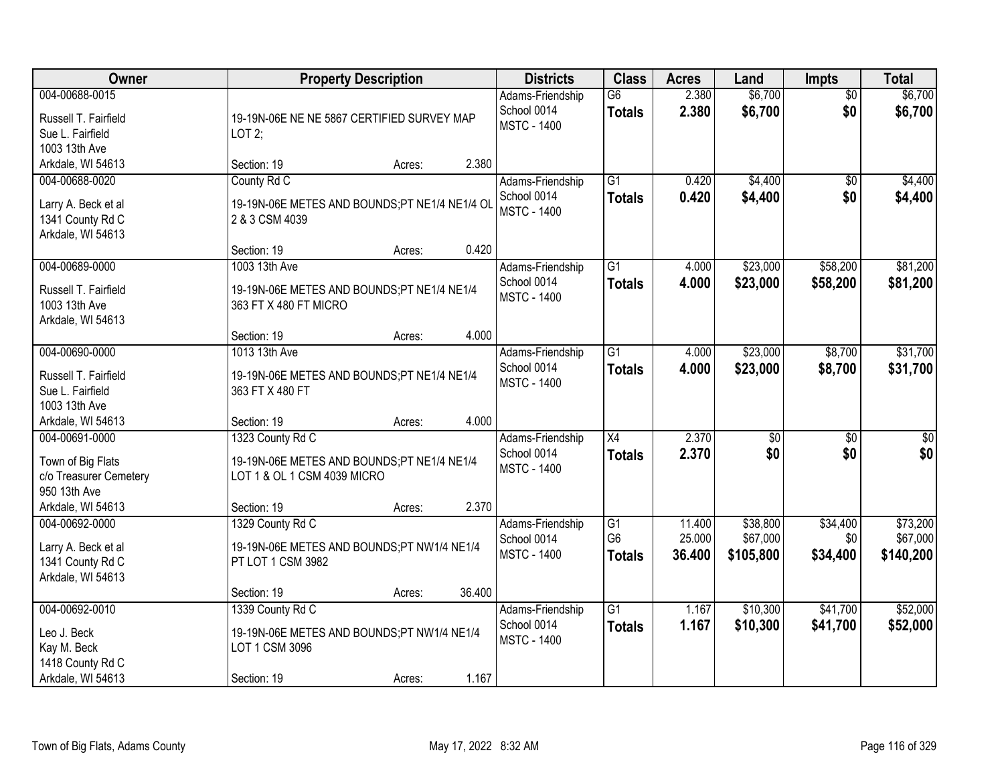| Owner                                                                                              |                                                                                                              | <b>Property Description</b> |        | <b>Districts</b>                                      | <b>Class</b>                     | <b>Acres</b>     | Land                   | <b>Impts</b>           | <b>Total</b>           |
|----------------------------------------------------------------------------------------------------|--------------------------------------------------------------------------------------------------------------|-----------------------------|--------|-------------------------------------------------------|----------------------------------|------------------|------------------------|------------------------|------------------------|
| 004-00688-0015<br>Russell T. Fairfield<br>Sue L. Fairfield<br>1003 13th Ave                        | 19-19N-06E NE NE 5867 CERTIFIED SURVEY MAP<br>LOT2;                                                          |                             |        | Adams-Friendship<br>School 0014<br><b>MSTC - 1400</b> | $\overline{G6}$<br><b>Totals</b> | 2.380<br>2.380   | \$6,700<br>\$6,700     | $\overline{50}$<br>\$0 | \$6,700<br>\$6,700     |
| Arkdale, WI 54613                                                                                  | Section: 19                                                                                                  | Acres:                      | 2.380  |                                                       |                                  |                  |                        |                        |                        |
| 004-00688-0020<br>Larry A. Beck et al<br>1341 County Rd C<br>Arkdale, WI 54613                     | County Rd C<br>19-19N-06E METES AND BOUNDS;PT NE1/4 NE1/4 OL<br>2 & 3 CSM 4039                               |                             |        | Adams-Friendship<br>School 0014<br><b>MSTC - 1400</b> | $\overline{G1}$<br><b>Totals</b> | 0.420<br>0.420   | \$4,400<br>\$4,400     | \$0<br>\$0             | \$4,400<br>\$4,400     |
|                                                                                                    | Section: 19                                                                                                  | Acres:                      | 0.420  |                                                       |                                  |                  |                        |                        |                        |
| 004-00689-0000<br>Russell T. Fairfield<br>1003 13th Ave<br>Arkdale, WI 54613                       | 1003 13th Ave<br>19-19N-06E METES AND BOUNDS;PT NE1/4 NE1/4<br>363 FT X 480 FT MICRO                         |                             |        | Adams-Friendship<br>School 0014<br><b>MSTC - 1400</b> | $\overline{G1}$<br><b>Totals</b> | 4.000<br>4.000   | \$23,000<br>\$23,000   | \$58,200<br>\$58,200   | \$81,200<br>\$81,200   |
|                                                                                                    | Section: 19                                                                                                  | Acres:                      | 4.000  |                                                       |                                  |                  |                        |                        |                        |
| 004-00690-0000<br>Russell T. Fairfield<br>Sue L. Fairfield<br>1003 13th Ave                        | 1013 13th Ave<br>19-19N-06E METES AND BOUNDS;PT NE1/4 NE1/4<br>363 FT X 480 FT                               |                             |        | Adams-Friendship<br>School 0014<br><b>MSTC - 1400</b> | $\overline{G1}$<br><b>Totals</b> | 4.000<br>4.000   | \$23,000<br>\$23,000   | \$8,700<br>\$8,700     | \$31,700<br>\$31,700   |
| Arkdale, WI 54613                                                                                  | Section: 19                                                                                                  | Acres:                      | 4.000  |                                                       |                                  |                  |                        |                        |                        |
| 004-00691-0000<br>Town of Big Flats<br>c/o Treasurer Cemetery<br>950 13th Ave<br>Arkdale, WI 54613 | 1323 County Rd C<br>19-19N-06E METES AND BOUNDS;PT NE1/4 NE1/4<br>LOT 1 & OL 1 CSM 4039 MICRO<br>Section: 19 |                             | 2.370  | Adams-Friendship<br>School 0014<br><b>MSTC - 1400</b> | $\overline{X4}$<br><b>Totals</b> | 2.370<br>2.370   | $\overline{50}$<br>\$0 | $\overline{30}$<br>\$0 | $\overline{30}$<br>\$0 |
| 004-00692-0000                                                                                     | 1329 County Rd C                                                                                             | Acres:                      |        | Adams-Friendship                                      | $\overline{G1}$                  | 11.400           | \$38,800               | \$34,400               | \$73,200               |
| Larry A. Beck et al<br>1341 County Rd C<br>Arkdale, WI 54613                                       | 19-19N-06E METES AND BOUNDS;PT NW1/4 NE1/4<br>PT LOT 1 CSM 3982                                              |                             |        | School 0014<br><b>MSTC - 1400</b>                     | G <sub>6</sub><br><b>Totals</b>  | 25.000<br>36.400 | \$67,000<br>\$105,800  | \$0<br>\$34,400        | \$67,000<br>\$140,200  |
|                                                                                                    | Section: 19                                                                                                  | Acres:                      | 36.400 |                                                       |                                  |                  |                        |                        |                        |
| 004-00692-0010<br>Leo J. Beck<br>Kay M. Beck<br>1418 County Rd C<br>Arkdale, WI 54613              | 1339 County Rd C<br>19-19N-06E METES AND BOUNDS;PT NW1/4 NE1/4<br>LOT 1 CSM 3096<br>Section: 19              | Acres:                      | 1.167  | Adams-Friendship<br>School 0014<br><b>MSTC - 1400</b> | $\overline{G1}$<br><b>Totals</b> | 1.167<br>1.167   | \$10,300<br>\$10,300   | \$41,700<br>\$41,700   | \$52,000<br>\$52,000   |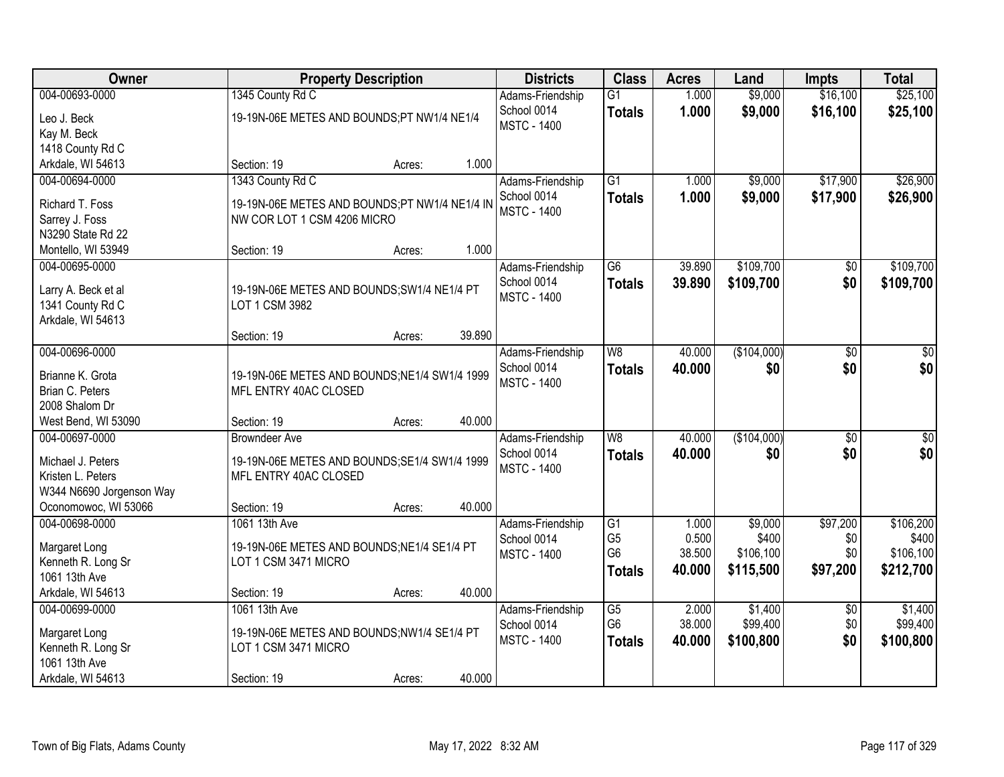| Owner                                   |                                                               | <b>Property Description</b> |        | <b>Districts</b>                  | <b>Class</b>    | <b>Acres</b> | Land        | <b>Impts</b>    | <b>Total</b>     |
|-----------------------------------------|---------------------------------------------------------------|-----------------------------|--------|-----------------------------------|-----------------|--------------|-------------|-----------------|------------------|
| 004-00693-0000                          | 1345 County Rd C                                              |                             |        | Adams-Friendship                  | $\overline{G1}$ | 1.000        | \$9,000     | \$16,100        | \$25,100         |
| Leo J. Beck                             | 19-19N-06E METES AND BOUNDS;PT NW1/4 NE1/4                    |                             |        | School 0014                       | <b>Totals</b>   | 1.000        | \$9,000     | \$16,100        | \$25,100         |
| Kay M. Beck                             |                                                               |                             |        | <b>MSTC - 1400</b>                |                 |              |             |                 |                  |
| 1418 County Rd C                        |                                                               |                             |        |                                   |                 |              |             |                 |                  |
| Arkdale, WI 54613                       | Section: 19                                                   | Acres:                      | 1.000  |                                   |                 |              |             |                 |                  |
| 004-00694-0000                          | 1343 County Rd C                                              |                             |        | Adams-Friendship                  | $\overline{G1}$ | 1.000        | \$9,000     | \$17,900        | \$26,900         |
| Richard T. Foss                         | 19-19N-06E METES AND BOUNDS;PT NW1/4 NE1/4 IN                 |                             |        | School 0014                       | <b>Totals</b>   | 1.000        | \$9,000     | \$17,900        | \$26,900         |
| Sarrey J. Foss                          | NW COR LOT 1 CSM 4206 MICRO                                   |                             |        | <b>MSTC - 1400</b>                |                 |              |             |                 |                  |
| N3290 State Rd 22                       |                                                               |                             |        |                                   |                 |              |             |                 |                  |
| Montello, WI 53949                      | Section: 19                                                   | Acres:                      | 1.000  |                                   |                 |              |             |                 |                  |
| 004-00695-0000                          |                                                               |                             |        | Adams-Friendship                  | $\overline{G6}$ | 39.890       | \$109,700   | \$0             | \$109,700        |
|                                         |                                                               |                             |        | School 0014                       | <b>Totals</b>   | 39.890       | \$109,700   | \$0             | \$109,700        |
| Larry A. Beck et al<br>1341 County Rd C | 19-19N-06E METES AND BOUNDS; SW1/4 NE1/4 PT<br>LOT 1 CSM 3982 |                             |        | <b>MSTC - 1400</b>                |                 |              |             |                 |                  |
| Arkdale, WI 54613                       |                                                               |                             |        |                                   |                 |              |             |                 |                  |
|                                         | Section: 19                                                   | Acres:                      | 39.890 |                                   |                 |              |             |                 |                  |
| 004-00696-0000                          |                                                               |                             |        | Adams-Friendship                  | W <sub>8</sub>  | 40.000       | (\$104,000) | \$0             | \$0              |
|                                         |                                                               |                             |        | School 0014                       | <b>Totals</b>   | 40.000       | \$0         | \$0             | \$0              |
| Brianne K. Grota                        | 19-19N-06E METES AND BOUNDS; NE1/4 SW1/4 1999                 |                             |        | <b>MSTC - 1400</b>                |                 |              |             |                 |                  |
| Brian C. Peters                         | MFL ENTRY 40AC CLOSED                                         |                             |        |                                   |                 |              |             |                 |                  |
| 2008 Shalom Dr                          |                                                               |                             |        |                                   |                 |              |             |                 |                  |
| West Bend, WI 53090                     | Section: 19                                                   | Acres:                      | 40.000 |                                   |                 |              |             |                 |                  |
| 004-00697-0000                          | <b>Browndeer Ave</b>                                          |                             |        | Adams-Friendship                  | $\overline{W8}$ | 40.000       | (\$104,000) | $\overline{30}$ | $\overline{\$0}$ |
| Michael J. Peters                       | 19-19N-06E METES AND BOUNDS; SE1/4 SW1/4 1999                 |                             |        | School 0014<br><b>MSTC - 1400</b> | <b>Totals</b>   | 40.000       | \$0         | \$0             | \$0              |
| Kristen L. Peters                       | MFL ENTRY 40AC CLOSED                                         |                             |        |                                   |                 |              |             |                 |                  |
| W344 N6690 Jorgenson Way                |                                                               |                             |        |                                   |                 |              |             |                 |                  |
| Oconomowoc, WI 53066                    | Section: 19                                                   | Acres:                      | 40.000 |                                   |                 |              |             |                 |                  |
| 004-00698-0000                          | 1061 13th Ave                                                 |                             |        | Adams-Friendship                  | $\overline{G1}$ | 1.000        | \$9,000     | \$97,200        | \$106,200        |
| Margaret Long                           | 19-19N-06E METES AND BOUNDS; NE1/4 SE1/4 PT                   |                             |        | School 0014                       | G <sub>5</sub>  | 0.500        | \$400       | \$0             | \$400            |
| Kenneth R. Long Sr                      | LOT 1 CSM 3471 MICRO                                          |                             |        | <b>MSTC - 1400</b>                | G <sub>6</sub>  | 38.500       | \$106,100   | \$0             | \$106,100        |
| 1061 13th Ave                           |                                                               |                             |        |                                   | <b>Totals</b>   | 40.000       | \$115,500   | \$97,200        | \$212,700        |
| Arkdale, WI 54613                       | Section: 19                                                   | Acres:                      | 40.000 |                                   |                 |              |             |                 |                  |
| 004-00699-0000                          | 1061 13th Ave                                                 |                             |        | Adams-Friendship                  | $\overline{G5}$ | 2.000        | \$1,400     | $\overline{30}$ | \$1,400          |
| Margaret Long                           | 19-19N-06E METES AND BOUNDS;NW1/4 SE1/4 PT                    |                             |        | School 0014                       | G <sub>6</sub>  | 38.000       | \$99,400    | \$0             | \$99,400         |
| Kenneth R. Long Sr                      | LOT 1 CSM 3471 MICRO                                          |                             |        | <b>MSTC - 1400</b>                | <b>Totals</b>   | 40.000       | \$100,800   | \$0             | \$100,800        |
| 1061 13th Ave                           |                                                               |                             |        |                                   |                 |              |             |                 |                  |
| Arkdale, WI 54613                       | Section: 19                                                   | Acres:                      | 40.000 |                                   |                 |              |             |                 |                  |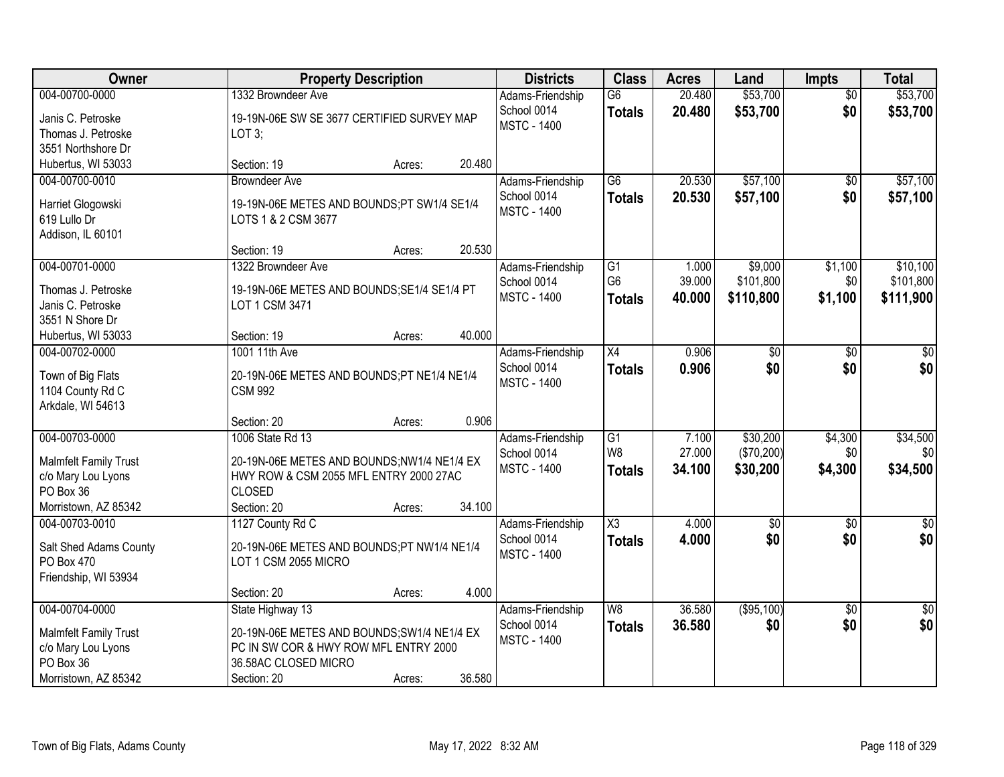| Owner                                                                                                     | <b>Property Description</b>                                                                                                                     |        |        | <b>Districts</b>                                      | <b>Class</b>                                       | <b>Acres</b>              | Land                               | Impts                     | <b>Total</b>                       |
|-----------------------------------------------------------------------------------------------------------|-------------------------------------------------------------------------------------------------------------------------------------------------|--------|--------|-------------------------------------------------------|----------------------------------------------------|---------------------------|------------------------------------|---------------------------|------------------------------------|
| 004-00700-0000<br>Janis C. Petroske<br>Thomas J. Petroske<br>3551 Northshore Dr                           | 1332 Browndeer Ave<br>19-19N-06E SW SE 3677 CERTIFIED SURVEY MAP<br>LOT 3;                                                                      |        |        | Adams-Friendship<br>School 0014<br><b>MSTC - 1400</b> | $\overline{G6}$<br><b>Totals</b>                   | 20.480<br>20.480          | \$53,700<br>\$53,700               | $\overline{50}$<br>\$0    | \$53,700<br>\$53,700               |
| Hubertus, WI 53033                                                                                        | Section: 19                                                                                                                                     | Acres: | 20.480 |                                                       |                                                    |                           |                                    |                           |                                    |
| 004-00700-0010<br>Harriet Glogowski<br>619 Lullo Dr<br>Addison, IL 60101                                  | <b>Browndeer Ave</b><br>19-19N-06E METES AND BOUNDS;PT SW1/4 SE1/4<br>LOTS 1 & 2 CSM 3677                                                       |        |        | Adams-Friendship<br>School 0014<br><b>MSTC - 1400</b> | $\overline{G6}$<br><b>Totals</b>                   | 20.530<br>20.530          | \$57,100<br>\$57,100               | $\overline{50}$<br>\$0    | \$57,100<br>\$57,100               |
|                                                                                                           | Section: 19                                                                                                                                     | Acres: | 20.530 |                                                       |                                                    |                           |                                    |                           |                                    |
| 004-00701-0000<br>Thomas J. Petroske<br>Janis C. Petroske<br>3551 N Shore Dr                              | 1322 Browndeer Ave<br>19-19N-06E METES AND BOUNDS; SE1/4 SE1/4 PT<br>LOT 1 CSM 3471                                                             |        |        | Adams-Friendship<br>School 0014<br><b>MSTC - 1400</b> | G1<br>G <sub>6</sub><br><b>Totals</b>              | 1.000<br>39.000<br>40.000 | \$9,000<br>\$101,800<br>\$110,800  | \$1,100<br>\$0<br>\$1,100 | \$10,100<br>\$101,800<br>\$111,900 |
| Hubertus, WI 53033                                                                                        | Section: 19                                                                                                                                     | Acres: | 40.000 |                                                       |                                                    |                           |                                    |                           |                                    |
| 004-00702-0000<br>Town of Big Flats<br>1104 County Rd C<br>Arkdale, WI 54613                              | 1001 11th Ave<br>20-19N-06E METES AND BOUNDS;PT NE1/4 NE1/4<br><b>CSM 992</b>                                                                   |        |        | Adams-Friendship<br>School 0014<br><b>MSTC - 1400</b> | X4<br><b>Totals</b>                                | 0.906<br>0.906            | \$0<br>\$0                         | \$0<br>\$0                | \$0<br>\$0                         |
|                                                                                                           | Section: 20                                                                                                                                     | Acres: | 0.906  |                                                       |                                                    |                           |                                    |                           |                                    |
| 004-00703-0000<br><b>Malmfelt Family Trust</b><br>c/o Mary Lou Lyons<br>PO Box 36<br>Morristown, AZ 85342 | 1006 State Rd 13<br>20-19N-06E METES AND BOUNDS;NW1/4 NE1/4 EX<br>HWY ROW & CSM 2055 MFL ENTRY 2000 27AC<br><b>CLOSED</b><br>Section: 20        | Acres: | 34.100 | Adams-Friendship<br>School 0014<br><b>MSTC - 1400</b> | $\overline{G1}$<br>W <sub>8</sub><br><b>Totals</b> | 7.100<br>27.000<br>34.100 | \$30,200<br>(\$70,200)<br>\$30,200 | \$4,300<br>\$0<br>\$4,300 | \$34,500<br>\$0<br>\$34,500        |
| 004-00703-0010<br>Salt Shed Adams County<br>PO Box 470<br>Friendship, WI 53934                            | 1127 County Rd C<br>20-19N-06E METES AND BOUNDS;PT NW1/4 NE1/4<br>LOT 1 CSM 2055 MICRO<br>Section: 20                                           | Acres: | 4.000  | Adams-Friendship<br>School 0014<br><b>MSTC - 1400</b> | $\overline{\text{X3}}$<br><b>Totals</b>            | 4.000<br>4.000            | $\sqrt{6}$<br>\$0                  | $\sqrt{6}$<br>\$0         | $\sqrt{30}$<br>\$0                 |
| 004-00704-0000<br><b>Malmfelt Family Trust</b><br>c/o Mary Lou Lyons<br>PO Box 36<br>Morristown, AZ 85342 | State Highway 13<br>20-19N-06E METES AND BOUNDS; SW1/4 NE1/4 EX<br>PC IN SW COR & HWY ROW MFL ENTRY 2000<br>36.58AC CLOSED MICRO<br>Section: 20 | Acres: | 36.580 | Adams-Friendship<br>School 0014<br><b>MSTC - 1400</b> | W8<br><b>Totals</b>                                | 36.580<br>36.580          | (\$95,100)<br>\$0                  | $\overline{30}$<br>\$0    | \$0<br>\$0                         |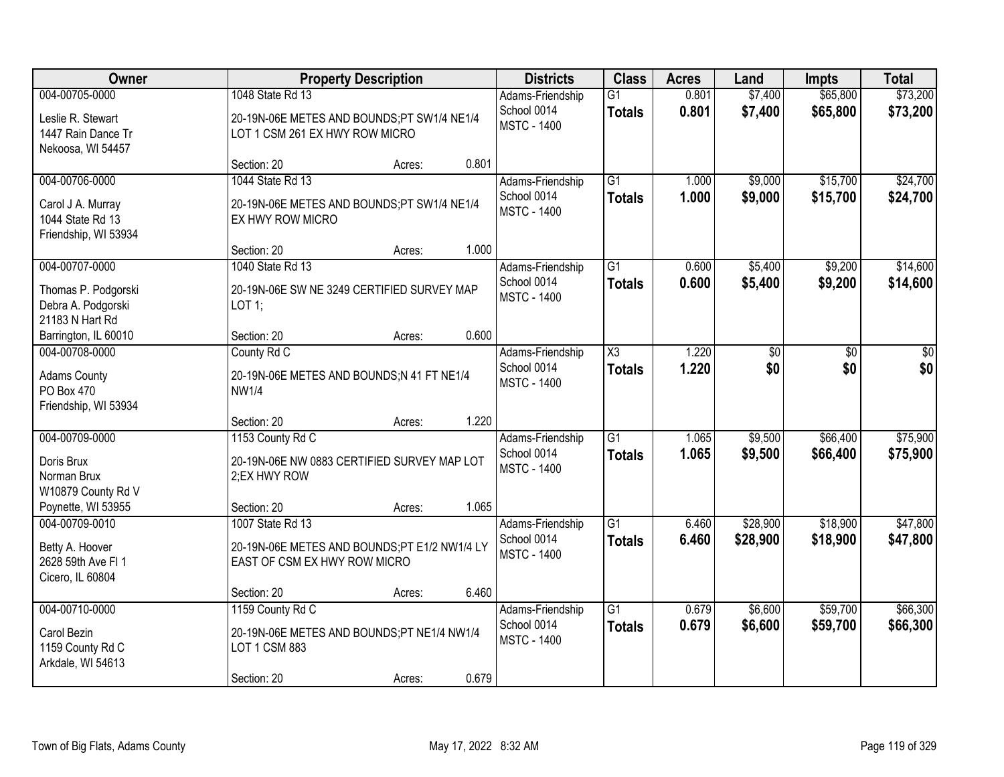| <b>Owner</b>                                                                    |                                                                                                  | <b>Property Description</b> |       | <b>Districts</b>                                      | <b>Class</b>                     | <b>Acres</b>   | Land                 | <b>Impts</b>         | <b>Total</b>         |
|---------------------------------------------------------------------------------|--------------------------------------------------------------------------------------------------|-----------------------------|-------|-------------------------------------------------------|----------------------------------|----------------|----------------------|----------------------|----------------------|
| 004-00705-0000<br>Leslie R. Stewart<br>1447 Rain Dance Tr<br>Nekoosa, WI 54457  | 1048 State Rd 13<br>20-19N-06E METES AND BOUNDS;PT SW1/4 NE1/4<br>LOT 1 CSM 261 EX HWY ROW MICRO |                             |       | Adams-Friendship<br>School 0014<br><b>MSTC - 1400</b> | $\overline{G1}$<br><b>Totals</b> | 0.801<br>0.801 | \$7,400<br>\$7,400   | \$65,800<br>\$65,800 | \$73,200<br>\$73,200 |
|                                                                                 | Section: 20                                                                                      | Acres:                      | 0.801 |                                                       |                                  |                |                      |                      |                      |
| 004-00706-0000<br>Carol J A. Murray<br>1044 State Rd 13<br>Friendship, WI 53934 | 1044 State Rd 13<br>20-19N-06E METES AND BOUNDS;PT SW1/4 NE1/4<br>EX HWY ROW MICRO               |                             |       | Adams-Friendship<br>School 0014<br><b>MSTC - 1400</b> | $\overline{G1}$<br><b>Totals</b> | 1.000<br>1.000 | \$9,000<br>\$9,000   | \$15,700<br>\$15,700 | \$24,700<br>\$24,700 |
| 004-00707-0000                                                                  | Section: 20<br>1040 State Rd 13                                                                  | Acres:                      | 1.000 |                                                       | G1                               | 0.600          | \$5,400              |                      |                      |
| Thomas P. Podgorski<br>Debra A. Podgorski<br>21183 N Hart Rd                    | 20-19N-06E SW NE 3249 CERTIFIED SURVEY MAP<br>$LOT$ 1;                                           |                             |       | Adams-Friendship<br>School 0014<br><b>MSTC - 1400</b> | <b>Totals</b>                    | 0.600          | \$5,400              | \$9,200<br>\$9,200   | \$14,600<br>\$14,600 |
| Barrington, IL 60010                                                            | Section: 20                                                                                      | Acres:                      | 0.600 |                                                       |                                  |                |                      |                      |                      |
| 004-00708-0000<br><b>Adams County</b><br>PO Box 470<br>Friendship, WI 53934     | County Rd C<br>20-19N-06E METES AND BOUNDS;N 41 FT NE1/4<br><b>NW1/4</b>                         |                             |       | Adams-Friendship<br>School 0014<br><b>MSTC - 1400</b> | X3<br><b>Totals</b>              | 1.220<br>1.220 | \$0<br>\$0           | \$0<br>\$0           | \$0<br>\$0           |
|                                                                                 | Section: 20                                                                                      | Acres:                      | 1.220 |                                                       |                                  |                |                      |                      |                      |
| 004-00709-0000<br>Doris Brux<br>Norman Brux<br>W10879 County Rd V               | 1153 County Rd C<br>20-19N-06E NW 0883 CERTIFIED SURVEY MAP LOT<br>2;EX HWY ROW                  |                             |       | Adams-Friendship<br>School 0014<br><b>MSTC - 1400</b> | $\overline{G1}$<br><b>Totals</b> | 1.065<br>1.065 | \$9,500<br>\$9,500   | \$66,400<br>\$66,400 | \$75,900<br>\$75,900 |
| Poynette, WI 53955                                                              | Section: 20                                                                                      | Acres:                      | 1.065 |                                                       |                                  |                |                      |                      |                      |
| 004-00709-0010<br>Betty A. Hoover<br>2628 59th Ave FI 1<br>Cicero, IL 60804     | 1007 State Rd 13<br>20-19N-06E METES AND BOUNDS;PT E1/2 NW1/4 LY<br>EAST OF CSM EX HWY ROW MICRO |                             |       | Adams-Friendship<br>School 0014<br><b>MSTC - 1400</b> | $\overline{G1}$<br><b>Totals</b> | 6.460<br>6.460 | \$28,900<br>\$28,900 | \$18,900<br>\$18,900 | \$47,800<br>\$47,800 |
|                                                                                 | Section: 20                                                                                      | Acres:                      | 6.460 |                                                       |                                  |                |                      |                      |                      |
| 004-00710-0000<br>Carol Bezin<br>1159 County Rd C<br>Arkdale, WI 54613          | 1159 County Rd C<br>20-19N-06E METES AND BOUNDS;PT NE1/4 NW1/4<br>LOT 1 CSM 883<br>Section: 20   | Acres:                      | 0.679 | Adams-Friendship<br>School 0014<br><b>MSTC - 1400</b> | $\overline{G1}$<br><b>Totals</b> | 0.679<br>0.679 | \$6,600<br>\$6,600   | \$59,700<br>\$59,700 | \$66,300<br>\$66,300 |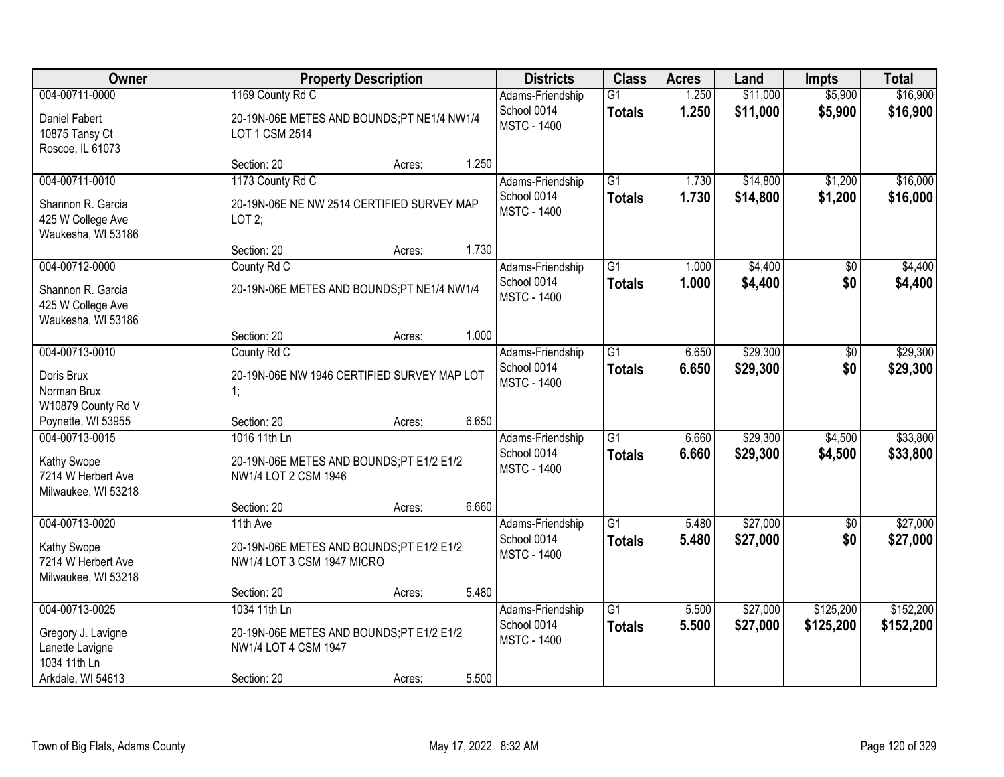| 004-00711-0000<br>\$11,000<br>1169 County Rd C<br>$\overline{G1}$<br>1.250<br>\$5,900<br>Adams-Friendship<br>1.250<br>\$11,000<br>School 0014<br>\$5,900<br><b>Totals</b><br>Daniel Fabert<br>20-19N-06E METES AND BOUNDS;PT NE1/4 NW1/4<br><b>MSTC - 1400</b><br>10875 Tansy Ct<br>LOT 1 CSM 2514<br>Roscoe, IL 61073<br>1.250<br>Section: 20<br>Acres:<br>\$16,000<br>004-00711-0010<br>1173 County Rd C<br>$\overline{G1}$<br>\$14,800<br>\$1,200<br>Adams-Friendship<br>1.730<br>1.730<br>\$14,800<br>\$1,200<br>\$16,000<br>School 0014<br><b>Totals</b><br>Shannon R. Garcia<br>20-19N-06E NE NW 2514 CERTIFIED SURVEY MAP<br><b>MSTC - 1400</b><br>425 W College Ave<br>LOT2;<br>Waukesha, WI 53186<br>1.730<br>Section: 20<br>Acres:<br>\$4,400<br>004-00712-0000<br>$\overline{G1}$<br>County Rd C<br>Adams-Friendship<br>1.000<br>\$0<br>\$0<br>School 0014<br>1.000<br>\$4,400<br><b>Totals</b><br>20-19N-06E METES AND BOUNDS;PT NE1/4 NW1/4<br>Shannon R. Garcia<br><b>MSTC - 1400</b><br>425 W College Ave<br>Waukesha, WI 53186<br>1.000<br>Section: 20<br>Acres:<br>\$29,300<br>004-00713-0010<br>County Rd C<br>Adams-Friendship<br>G1<br>6.650<br>$\sqrt[6]{}$<br>School 0014<br>6.650<br>\$29,300<br>\$0<br><b>Totals</b><br>Doris Brux<br>20-19N-06E NW 1946 CERTIFIED SURVEY MAP LOT<br><b>MSTC - 1400</b><br>Norman Brux<br>1:<br>W10879 County Rd V<br>6.650<br>Poynette, WI 53955<br>Section: 20<br>Acres:<br>\$29,300<br>\$4,500<br>\$33,800<br>004-00713-0015<br>1016 11th Ln<br>$\overline{G1}$<br>6.660<br>Adams-Friendship<br>\$29,300<br>School 0014<br>6.660<br>\$4,500<br>\$33,800<br><b>Totals</b><br>Kathy Swope<br>20-19N-06E METES AND BOUNDS;PT E1/2 E1/2<br><b>MSTC - 1400</b><br>7214 W Herbert Ave<br>NW1/4 LOT 2 CSM 1946<br>Milwaukee, WI 53218<br>6.660<br>Section: 20<br>Acres:<br>$\overline{G1}$<br>\$27,000<br>\$27,000<br>004-00713-0020<br>5.480<br>11th Ave<br>$\sqrt{$0}$<br>Adams-Friendship<br>\$27,000<br>\$0<br>School 0014<br>5.480<br>\$27,000<br><b>Totals</b><br>Kathy Swope<br>20-19N-06E METES AND BOUNDS;PT E1/2 E1/2<br><b>MSTC - 1400</b> | Owner              | <b>Property Description</b> | <b>Districts</b> | <b>Class</b> | <b>Acres</b> | Land | <b>Impts</b> | <b>Total</b>         |
|-----------------------------------------------------------------------------------------------------------------------------------------------------------------------------------------------------------------------------------------------------------------------------------------------------------------------------------------------------------------------------------------------------------------------------------------------------------------------------------------------------------------------------------------------------------------------------------------------------------------------------------------------------------------------------------------------------------------------------------------------------------------------------------------------------------------------------------------------------------------------------------------------------------------------------------------------------------------------------------------------------------------------------------------------------------------------------------------------------------------------------------------------------------------------------------------------------------------------------------------------------------------------------------------------------------------------------------------------------------------------------------------------------------------------------------------------------------------------------------------------------------------------------------------------------------------------------------------------------------------------------------------------------------------------------------------------------------------------------------------------------------------------------------------------------------------------------------------------------------------------------------------------------------------------------------------------------------------------------------------------------------------------------------------------------------------------------------------------------------|--------------------|-----------------------------|------------------|--------------|--------------|------|--------------|----------------------|
|                                                                                                                                                                                                                                                                                                                                                                                                                                                                                                                                                                                                                                                                                                                                                                                                                                                                                                                                                                                                                                                                                                                                                                                                                                                                                                                                                                                                                                                                                                                                                                                                                                                                                                                                                                                                                                                                                                                                                                                                                                                                                                           |                    |                             |                  |              |              |      |              | \$16,900<br>\$16,900 |
|                                                                                                                                                                                                                                                                                                                                                                                                                                                                                                                                                                                                                                                                                                                                                                                                                                                                                                                                                                                                                                                                                                                                                                                                                                                                                                                                                                                                                                                                                                                                                                                                                                                                                                                                                                                                                                                                                                                                                                                                                                                                                                           |                    |                             |                  |              |              |      |              |                      |
|                                                                                                                                                                                                                                                                                                                                                                                                                                                                                                                                                                                                                                                                                                                                                                                                                                                                                                                                                                                                                                                                                                                                                                                                                                                                                                                                                                                                                                                                                                                                                                                                                                                                                                                                                                                                                                                                                                                                                                                                                                                                                                           |                    |                             |                  |              |              |      |              |                      |
|                                                                                                                                                                                                                                                                                                                                                                                                                                                                                                                                                                                                                                                                                                                                                                                                                                                                                                                                                                                                                                                                                                                                                                                                                                                                                                                                                                                                                                                                                                                                                                                                                                                                                                                                                                                                                                                                                                                                                                                                                                                                                                           |                    |                             |                  |              |              |      |              |                      |
|                                                                                                                                                                                                                                                                                                                                                                                                                                                                                                                                                                                                                                                                                                                                                                                                                                                                                                                                                                                                                                                                                                                                                                                                                                                                                                                                                                                                                                                                                                                                                                                                                                                                                                                                                                                                                                                                                                                                                                                                                                                                                                           |                    |                             |                  |              |              |      |              |                      |
|                                                                                                                                                                                                                                                                                                                                                                                                                                                                                                                                                                                                                                                                                                                                                                                                                                                                                                                                                                                                                                                                                                                                                                                                                                                                                                                                                                                                                                                                                                                                                                                                                                                                                                                                                                                                                                                                                                                                                                                                                                                                                                           |                    |                             |                  |              |              |      |              |                      |
|                                                                                                                                                                                                                                                                                                                                                                                                                                                                                                                                                                                                                                                                                                                                                                                                                                                                                                                                                                                                                                                                                                                                                                                                                                                                                                                                                                                                                                                                                                                                                                                                                                                                                                                                                                                                                                                                                                                                                                                                                                                                                                           |                    |                             |                  |              |              |      |              | \$4,400              |
|                                                                                                                                                                                                                                                                                                                                                                                                                                                                                                                                                                                                                                                                                                                                                                                                                                                                                                                                                                                                                                                                                                                                                                                                                                                                                                                                                                                                                                                                                                                                                                                                                                                                                                                                                                                                                                                                                                                                                                                                                                                                                                           |                    |                             |                  |              |              |      |              | \$4,400              |
|                                                                                                                                                                                                                                                                                                                                                                                                                                                                                                                                                                                                                                                                                                                                                                                                                                                                                                                                                                                                                                                                                                                                                                                                                                                                                                                                                                                                                                                                                                                                                                                                                                                                                                                                                                                                                                                                                                                                                                                                                                                                                                           |                    |                             |                  |              |              |      |              |                      |
|                                                                                                                                                                                                                                                                                                                                                                                                                                                                                                                                                                                                                                                                                                                                                                                                                                                                                                                                                                                                                                                                                                                                                                                                                                                                                                                                                                                                                                                                                                                                                                                                                                                                                                                                                                                                                                                                                                                                                                                                                                                                                                           |                    |                             |                  |              |              |      |              | \$29,300             |
|                                                                                                                                                                                                                                                                                                                                                                                                                                                                                                                                                                                                                                                                                                                                                                                                                                                                                                                                                                                                                                                                                                                                                                                                                                                                                                                                                                                                                                                                                                                                                                                                                                                                                                                                                                                                                                                                                                                                                                                                                                                                                                           |                    |                             |                  |              |              |      |              | \$29,300             |
|                                                                                                                                                                                                                                                                                                                                                                                                                                                                                                                                                                                                                                                                                                                                                                                                                                                                                                                                                                                                                                                                                                                                                                                                                                                                                                                                                                                                                                                                                                                                                                                                                                                                                                                                                                                                                                                                                                                                                                                                                                                                                                           |                    |                             |                  |              |              |      |              |                      |
|                                                                                                                                                                                                                                                                                                                                                                                                                                                                                                                                                                                                                                                                                                                                                                                                                                                                                                                                                                                                                                                                                                                                                                                                                                                                                                                                                                                                                                                                                                                                                                                                                                                                                                                                                                                                                                                                                                                                                                                                                                                                                                           |                    |                             |                  |              |              |      |              |                      |
|                                                                                                                                                                                                                                                                                                                                                                                                                                                                                                                                                                                                                                                                                                                                                                                                                                                                                                                                                                                                                                                                                                                                                                                                                                                                                                                                                                                                                                                                                                                                                                                                                                                                                                                                                                                                                                                                                                                                                                                                                                                                                                           |                    |                             |                  |              |              |      |              |                      |
|                                                                                                                                                                                                                                                                                                                                                                                                                                                                                                                                                                                                                                                                                                                                                                                                                                                                                                                                                                                                                                                                                                                                                                                                                                                                                                                                                                                                                                                                                                                                                                                                                                                                                                                                                                                                                                                                                                                                                                                                                                                                                                           |                    |                             |                  |              |              |      |              |                      |
|                                                                                                                                                                                                                                                                                                                                                                                                                                                                                                                                                                                                                                                                                                                                                                                                                                                                                                                                                                                                                                                                                                                                                                                                                                                                                                                                                                                                                                                                                                                                                                                                                                                                                                                                                                                                                                                                                                                                                                                                                                                                                                           |                    |                             |                  |              |              |      |              |                      |
|                                                                                                                                                                                                                                                                                                                                                                                                                                                                                                                                                                                                                                                                                                                                                                                                                                                                                                                                                                                                                                                                                                                                                                                                                                                                                                                                                                                                                                                                                                                                                                                                                                                                                                                                                                                                                                                                                                                                                                                                                                                                                                           |                    |                             |                  |              |              |      |              |                      |
|                                                                                                                                                                                                                                                                                                                                                                                                                                                                                                                                                                                                                                                                                                                                                                                                                                                                                                                                                                                                                                                                                                                                                                                                                                                                                                                                                                                                                                                                                                                                                                                                                                                                                                                                                                                                                                                                                                                                                                                                                                                                                                           |                    |                             |                  |              |              |      |              |                      |
|                                                                                                                                                                                                                                                                                                                                                                                                                                                                                                                                                                                                                                                                                                                                                                                                                                                                                                                                                                                                                                                                                                                                                                                                                                                                                                                                                                                                                                                                                                                                                                                                                                                                                                                                                                                                                                                                                                                                                                                                                                                                                                           |                    |                             |                  |              |              |      |              |                      |
|                                                                                                                                                                                                                                                                                                                                                                                                                                                                                                                                                                                                                                                                                                                                                                                                                                                                                                                                                                                                                                                                                                                                                                                                                                                                                                                                                                                                                                                                                                                                                                                                                                                                                                                                                                                                                                                                                                                                                                                                                                                                                                           |                    |                             |                  |              |              |      |              |                      |
|                                                                                                                                                                                                                                                                                                                                                                                                                                                                                                                                                                                                                                                                                                                                                                                                                                                                                                                                                                                                                                                                                                                                                                                                                                                                                                                                                                                                                                                                                                                                                                                                                                                                                                                                                                                                                                                                                                                                                                                                                                                                                                           | 7214 W Herbert Ave | NW1/4 LOT 3 CSM 1947 MICRO  |                  |              |              |      |              |                      |
| Milwaukee, WI 53218                                                                                                                                                                                                                                                                                                                                                                                                                                                                                                                                                                                                                                                                                                                                                                                                                                                                                                                                                                                                                                                                                                                                                                                                                                                                                                                                                                                                                                                                                                                                                                                                                                                                                                                                                                                                                                                                                                                                                                                                                                                                                       |                    |                             |                  |              |              |      |              |                      |
| 5.480<br>Section: 20<br>Acres:<br>004-00713-0025<br>\$125,200<br>1034 11th Ln<br>$\overline{G1}$<br>5.500<br>\$27,000                                                                                                                                                                                                                                                                                                                                                                                                                                                                                                                                                                                                                                                                                                                                                                                                                                                                                                                                                                                                                                                                                                                                                                                                                                                                                                                                                                                                                                                                                                                                                                                                                                                                                                                                                                                                                                                                                                                                                                                     |                    |                             |                  |              |              |      |              | \$152,200            |
| Adams-Friendship<br>5.500<br>\$27,000<br>School 0014<br>\$125,200<br><b>Totals</b>                                                                                                                                                                                                                                                                                                                                                                                                                                                                                                                                                                                                                                                                                                                                                                                                                                                                                                                                                                                                                                                                                                                                                                                                                                                                                                                                                                                                                                                                                                                                                                                                                                                                                                                                                                                                                                                                                                                                                                                                                        |                    |                             |                  |              |              |      |              | \$152,200            |
| 20-19N-06E METES AND BOUNDS;PT E1/2 E1/2<br>Gregory J. Lavigne<br><b>MSTC - 1400</b>                                                                                                                                                                                                                                                                                                                                                                                                                                                                                                                                                                                                                                                                                                                                                                                                                                                                                                                                                                                                                                                                                                                                                                                                                                                                                                                                                                                                                                                                                                                                                                                                                                                                                                                                                                                                                                                                                                                                                                                                                      |                    |                             |                  |              |              |      |              |                      |
| Lanette Lavigne<br>NW1/4 LOT 4 CSM 1947                                                                                                                                                                                                                                                                                                                                                                                                                                                                                                                                                                                                                                                                                                                                                                                                                                                                                                                                                                                                                                                                                                                                                                                                                                                                                                                                                                                                                                                                                                                                                                                                                                                                                                                                                                                                                                                                                                                                                                                                                                                                   |                    |                             |                  |              |              |      |              |                      |
| 1034 11th Ln<br>5.500<br>Arkdale, WI 54613<br>Section: 20<br>Acres:                                                                                                                                                                                                                                                                                                                                                                                                                                                                                                                                                                                                                                                                                                                                                                                                                                                                                                                                                                                                                                                                                                                                                                                                                                                                                                                                                                                                                                                                                                                                                                                                                                                                                                                                                                                                                                                                                                                                                                                                                                       |                    |                             |                  |              |              |      |              |                      |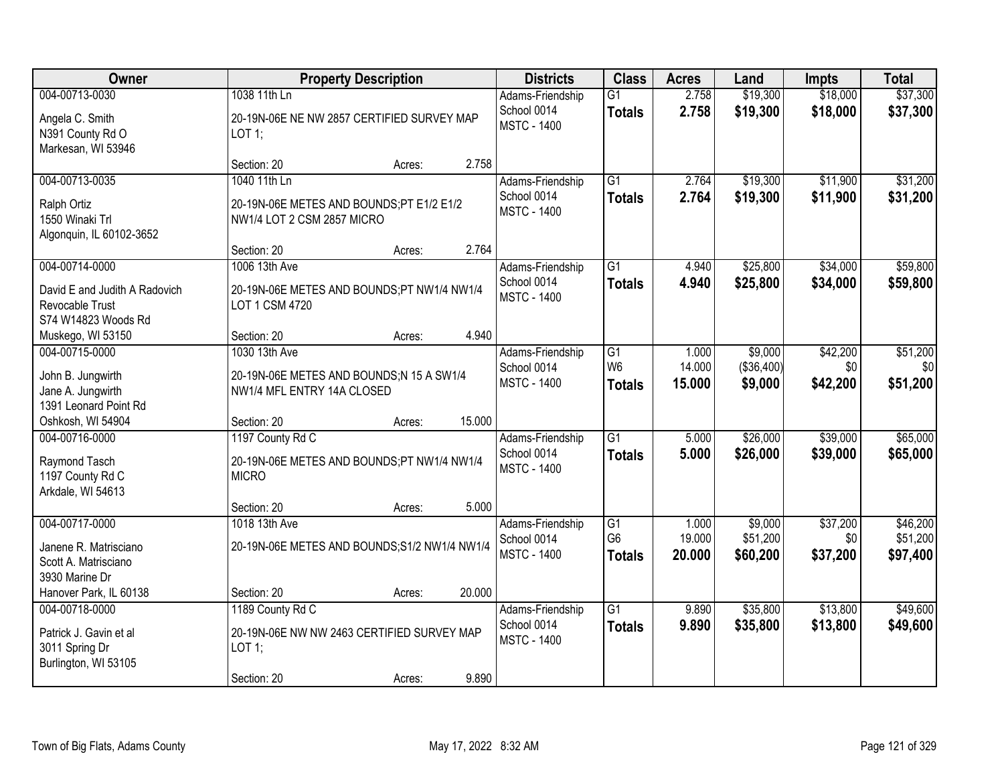| Owner                                                                              | <b>Property Description</b>                                                                                | <b>Districts</b>                                      | <b>Class</b>                                       | <b>Acres</b>              | Land                             | <b>Impts</b>                | <b>Total</b>                     |
|------------------------------------------------------------------------------------|------------------------------------------------------------------------------------------------------------|-------------------------------------------------------|----------------------------------------------------|---------------------------|----------------------------------|-----------------------------|----------------------------------|
| 004-00713-0030<br>Angela C. Smith<br>N391 County Rd O<br>Markesan, WI 53946        | 1038 11th Ln<br>20-19N-06E NE NW 2857 CERTIFIED SURVEY MAP<br>LOT 1;                                       | Adams-Friendship<br>School 0014<br><b>MSTC - 1400</b> | $\overline{G1}$<br><b>Totals</b>                   | 2.758<br>2.758            | \$19,300<br>\$19,300             | \$18,000<br>\$18,000        | \$37,300<br>\$37,300             |
|                                                                                    | 2.758<br>Section: 20<br>Acres:                                                                             |                                                       |                                                    |                           |                                  |                             |                                  |
| 004-00713-0035<br>Ralph Ortiz<br>1550 Winaki Trl<br>Algonquin, IL 60102-3652       | 1040 11th Ln<br>20-19N-06E METES AND BOUNDS;PT E1/2 E1/2<br>NW1/4 LOT 2 CSM 2857 MICRO                     | Adams-Friendship<br>School 0014<br><b>MSTC - 1400</b> | $\overline{G1}$<br><b>Totals</b>                   | 2.764<br>2.764            | \$19,300<br>\$19,300             | \$11,900<br>\$11,900        | \$31,200<br>\$31,200             |
| 004-00714-0000                                                                     | 2.764<br>Section: 20<br>Acres:<br>1006 13th Ave                                                            |                                                       | $\overline{G1}$                                    | 4.940                     | \$25,800                         | \$34,000                    | \$59,800                         |
| David E and Judith A Radovich<br>Revocable Trust<br>S74 W14823 Woods Rd            | 20-19N-06E METES AND BOUNDS;PT NW1/4 NW1/4<br>LOT 1 CSM 4720                                               | Adams-Friendship<br>School 0014<br><b>MSTC - 1400</b> | <b>Totals</b>                                      | 4.940                     | \$25,800                         | \$34,000                    | \$59,800                         |
| Muskego, WI 53150                                                                  | 4.940<br>Section: 20<br>Acres:                                                                             |                                                       |                                                    |                           |                                  |                             |                                  |
| 004-00715-0000<br>John B. Jungwirth<br>Jane A. Jungwirth<br>1391 Leonard Point Rd  | 1030 13th Ave<br>20-19N-06E METES AND BOUNDS;N 15 A SW1/4<br>NW1/4 MFL ENTRY 14A CLOSED                    | Adams-Friendship<br>School 0014<br><b>MSTC - 1400</b> | G1<br>W <sub>6</sub><br><b>Totals</b>              | 1.000<br>14.000<br>15.000 | \$9,000<br>(\$36,400)<br>\$9,000 | \$42,200<br>\$0<br>\$42,200 | \$51,200<br>\$0<br>\$51,200      |
| Oshkosh, WI 54904                                                                  | 15.000<br>Section: 20<br>Acres:                                                                            |                                                       |                                                    |                           |                                  |                             |                                  |
| 004-00716-0000<br>Raymond Tasch<br>1197 County Rd C<br>Arkdale, WI 54613           | 1197 County Rd C<br>20-19N-06E METES AND BOUNDS;PT NW1/4 NW1/4<br><b>MICRO</b>                             | Adams-Friendship<br>School 0014<br><b>MSTC - 1400</b> | $\overline{G1}$<br><b>Totals</b>                   | 5.000<br>5.000            | \$26,000<br>\$26,000             | \$39,000<br>\$39,000        | \$65,000<br>\$65,000             |
|                                                                                    | 5.000<br>Section: 20<br>Acres:                                                                             |                                                       |                                                    |                           |                                  |                             |                                  |
| 004-00717-0000<br>Janene R. Matrisciano<br>Scott A. Matrisciano<br>3930 Marine Dr  | 1018 13th Ave<br>20-19N-06E METES AND BOUNDS;S1/2 NW1/4 NW1/4                                              | Adams-Friendship<br>School 0014<br><b>MSTC - 1400</b> | $\overline{G1}$<br>G <sub>6</sub><br><b>Totals</b> | 1.000<br>19.000<br>20,000 | \$9,000<br>\$51,200<br>\$60,200  | \$37,200<br>\$0<br>\$37,200 | \$46,200<br>\$51,200<br>\$97,400 |
| Hanover Park, IL 60138                                                             | 20.000<br>Section: 20<br>Acres:                                                                            |                                                       |                                                    |                           |                                  |                             |                                  |
| 004-00718-0000<br>Patrick J. Gavin et al<br>3011 Spring Dr<br>Burlington, WI 53105 | 1189 County Rd C<br>20-19N-06E NW NW 2463 CERTIFIED SURVEY MAP<br>LOT 1;<br>9.890<br>Section: 20<br>Acres: | Adams-Friendship<br>School 0014<br><b>MSTC - 1400</b> | $\overline{G1}$<br><b>Totals</b>                   | 9.890<br>9.890            | \$35,800<br>\$35,800             | \$13,800<br>\$13,800        | \$49,600<br>\$49,600             |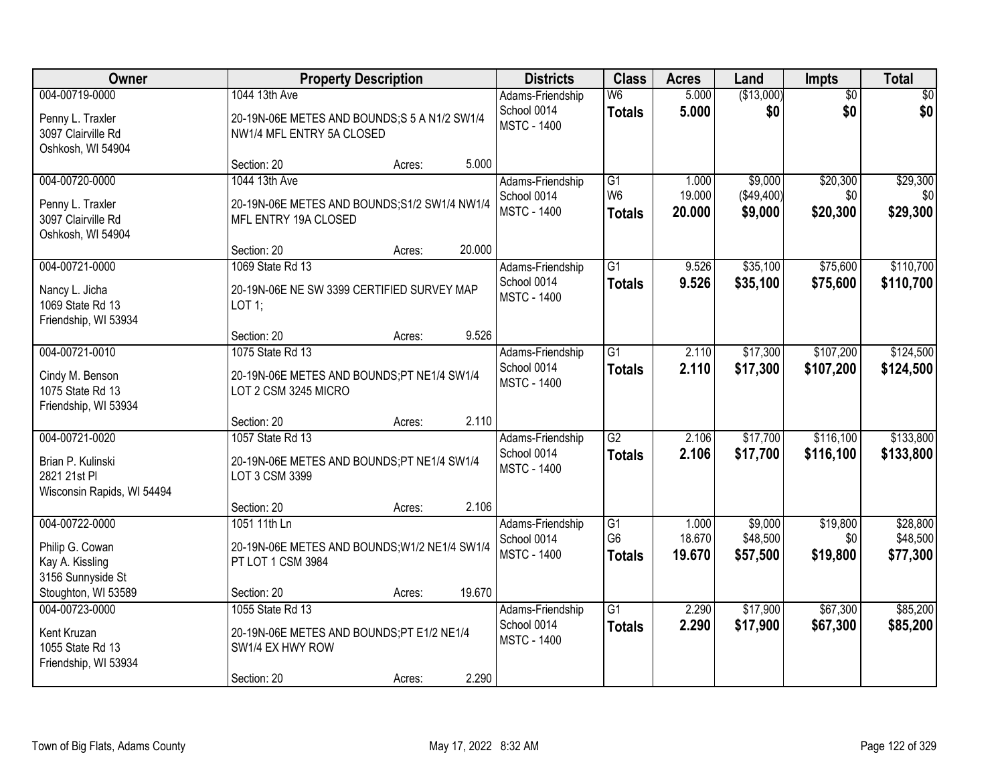| Owner                                  |                                                                            | <b>Property Description</b> |        | <b>Districts</b>                  | <b>Class</b>    | <b>Acres</b> | Land       | <b>Impts</b>    | <b>Total</b> |
|----------------------------------------|----------------------------------------------------------------------------|-----------------------------|--------|-----------------------------------|-----------------|--------------|------------|-----------------|--------------|
| 004-00719-0000                         | 1044 13th Ave                                                              |                             |        | Adams-Friendship                  | W6              | 5.000        | (\$13,000) | $\overline{50}$ | $\sqrt{30}$  |
| Penny L. Traxler<br>3097 Clairville Rd | 20-19N-06E METES AND BOUNDS; S 5 A N1/2 SW1/4<br>NW1/4 MFL ENTRY 5A CLOSED |                             |        | School 0014<br><b>MSTC - 1400</b> | <b>Totals</b>   | 5.000        | \$0        | \$0             | \$0          |
| Oshkosh, WI 54904                      |                                                                            |                             |        |                                   |                 |              |            |                 |              |
|                                        | Section: 20                                                                | Acres:                      | 5.000  |                                   |                 |              |            |                 |              |
| 004-00720-0000                         | 1044 13th Ave                                                              |                             |        | Adams-Friendship                  | $\overline{G1}$ | 1.000        | \$9,000    | \$20,300        | \$29,300     |
| Penny L. Traxler                       | 20-19N-06E METES AND BOUNDS; S1/2 SW1/4 NW1/4                              |                             |        | School 0014                       | W <sub>6</sub>  | 19.000       | (\$49,400) | \$0             | \$0          |
| 3097 Clairville Rd                     | MFL ENTRY 19A CLOSED                                                       |                             |        | <b>MSTC - 1400</b>                | <b>Totals</b>   | 20.000       | \$9,000    | \$20,300        | \$29,300     |
| Oshkosh, WI 54904                      |                                                                            |                             |        |                                   |                 |              |            |                 |              |
|                                        | Section: 20                                                                | Acres:                      | 20.000 |                                   |                 |              |            |                 |              |
| 004-00721-0000                         | 1069 State Rd 13                                                           |                             |        | Adams-Friendship                  | G1              | 9.526        | \$35,100   | \$75,600        | \$110,700    |
| Nancy L. Jicha                         | 20-19N-06E NE SW 3399 CERTIFIED SURVEY MAP                                 |                             |        | School 0014<br><b>MSTC - 1400</b> | <b>Totals</b>   | 9.526        | \$35,100   | \$75,600        | \$110,700    |
| 1069 State Rd 13                       | $LOT$ 1;                                                                   |                             |        |                                   |                 |              |            |                 |              |
| Friendship, WI 53934                   |                                                                            |                             |        |                                   |                 |              |            |                 |              |
|                                        | Section: 20                                                                | Acres:                      | 9.526  |                                   |                 |              |            |                 |              |
| 004-00721-0010                         | 1075 State Rd 13                                                           |                             |        | Adams-Friendship<br>School 0014   | G1              | 2.110        | \$17,300   | \$107,200       | \$124,500    |
| Cindy M. Benson                        | 20-19N-06E METES AND BOUNDS;PT NE1/4 SW1/4                                 |                             |        | <b>MSTC - 1400</b>                | <b>Totals</b>   | 2.110        | \$17,300   | \$107,200       | \$124,500    |
| 1075 State Rd 13                       | LOT 2 CSM 3245 MICRO                                                       |                             |        |                                   |                 |              |            |                 |              |
| Friendship, WI 53934                   |                                                                            |                             | 2.110  |                                   |                 |              |            |                 |              |
| 004-00721-0020                         | Section: 20<br>1057 State Rd 13                                            | Acres:                      |        | Adams-Friendship                  | $\overline{G2}$ | 2.106        | \$17,700   | \$116,100       | \$133,800    |
|                                        |                                                                            |                             |        | School 0014                       | <b>Totals</b>   | 2.106        | \$17,700   | \$116,100       | \$133,800    |
| Brian P. Kulinski                      | 20-19N-06E METES AND BOUNDS;PT NE1/4 SW1/4                                 |                             |        | <b>MSTC - 1400</b>                |                 |              |            |                 |              |
| 2821 21st PI                           | LOT 3 CSM 3399                                                             |                             |        |                                   |                 |              |            |                 |              |
| Wisconsin Rapids, WI 54494             | Section: 20                                                                | Acres:                      | 2.106  |                                   |                 |              |            |                 |              |
| 004-00722-0000                         | 1051 11th Ln                                                               |                             |        | Adams-Friendship                  | $\overline{G1}$ | 1.000        | \$9,000    | \$19,800        | \$28,800     |
|                                        |                                                                            |                             |        | School 0014                       | G <sub>6</sub>  | 18.670       | \$48,500   | \$0             | \$48,500     |
| Philip G. Cowan<br>Kay A. Kissling     | 20-19N-06E METES AND BOUNDS; W1/2 NE1/4 SW1/4<br>PT LOT 1 CSM 3984         |                             |        | <b>MSTC - 1400</b>                | <b>Totals</b>   | 19.670       | \$57,500   | \$19,800        | \$77,300     |
| 3156 Sunnyside St                      |                                                                            |                             |        |                                   |                 |              |            |                 |              |
| Stoughton, WI 53589                    | Section: 20                                                                | Acres:                      | 19.670 |                                   |                 |              |            |                 |              |
| 004-00723-0000                         | 1055 State Rd 13                                                           |                             |        | Adams-Friendship                  | $\overline{G1}$ | 2.290        | \$17,900   | \$67,300        | \$85,200     |
|                                        |                                                                            |                             |        | School 0014                       | <b>Totals</b>   | 2.290        | \$17,900   | \$67,300        | \$85,200     |
| Kent Kruzan<br>1055 State Rd 13        | 20-19N-06E METES AND BOUNDS;PT E1/2 NE1/4<br>SW1/4 EX HWY ROW              |                             |        | <b>MSTC - 1400</b>                |                 |              |            |                 |              |
| Friendship, WI 53934                   |                                                                            |                             |        |                                   |                 |              |            |                 |              |
|                                        | Section: 20                                                                | Acres:                      | 2.290  |                                   |                 |              |            |                 |              |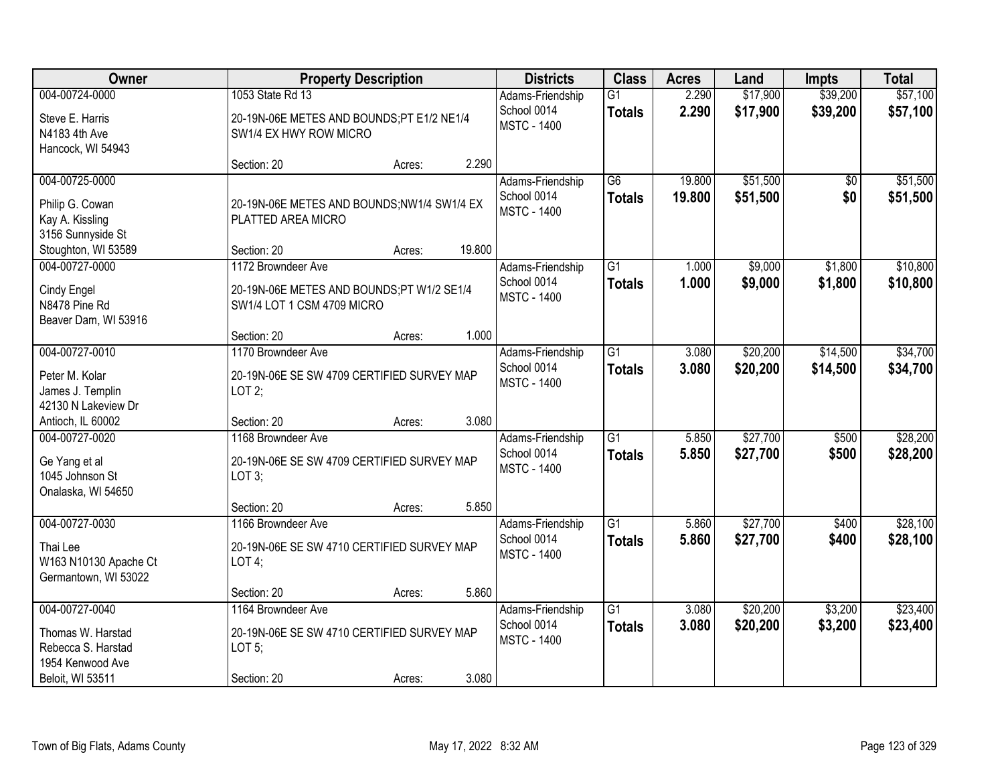| Owner                                                                                             |                                                                                              | <b>Property Description</b> |        | <b>Districts</b>                                      | <b>Class</b>                     | <b>Acres</b>     | Land                 | <b>Impts</b>         | <b>Total</b>         |
|---------------------------------------------------------------------------------------------------|----------------------------------------------------------------------------------------------|-----------------------------|--------|-------------------------------------------------------|----------------------------------|------------------|----------------------|----------------------|----------------------|
| 004-00724-0000<br>Steve E. Harris<br>N4183 4th Ave                                                | 1053 State Rd 13<br>20-19N-06E METES AND BOUNDS;PT E1/2 NE1/4<br>SW1/4 EX HWY ROW MICRO      |                             |        | Adams-Friendship<br>School 0014<br><b>MSTC - 1400</b> | $\overline{G1}$<br><b>Totals</b> | 2.290<br>2.290   | \$17,900<br>\$17,900 | \$39,200<br>\$39,200 | \$57,100<br>\$57,100 |
| Hancock, WI 54943                                                                                 | Section: 20                                                                                  | Acres:                      | 2.290  |                                                       |                                  |                  |                      |                      |                      |
| 004-00725-0000<br>Philip G. Cowan<br>Kay A. Kissling<br>3156 Sunnyside St                         | 20-19N-06E METES AND BOUNDS;NW1/4 SW1/4 EX<br>PLATTED AREA MICRO                             |                             |        | Adams-Friendship<br>School 0014<br><b>MSTC - 1400</b> | $\overline{G6}$<br><b>Totals</b> | 19.800<br>19.800 | \$51,500<br>\$51,500 | \$0<br>\$0           | \$51,500<br>\$51,500 |
| Stoughton, WI 53589<br>004-00727-0000                                                             | Section: 20<br>1172 Browndeer Ave                                                            | Acres:                      | 19.800 | Adams-Friendship                                      | G1                               | 1.000            | \$9,000              | \$1,800              | \$10,800             |
| Cindy Engel<br>N8478 Pine Rd<br>Beaver Dam, WI 53916                                              | 20-19N-06E METES AND BOUNDS;PT W1/2 SE1/4<br>SW1/4 LOT 1 CSM 4709 MICRO                      |                             |        | School 0014<br><b>MSTC - 1400</b>                     | <b>Totals</b>                    | 1.000            | \$9,000              | \$1,800              | \$10,800             |
|                                                                                                   | Section: 20                                                                                  | Acres:                      | 1.000  |                                                       |                                  |                  |                      |                      |                      |
| 004-00727-0010<br>Peter M. Kolar<br>James J. Templin<br>42130 N Lakeview Dr                       | 1170 Browndeer Ave<br>20-19N-06E SE SW 4709 CERTIFIED SURVEY MAP<br>LOT $2$ ;                |                             |        | Adams-Friendship<br>School 0014<br><b>MSTC - 1400</b> | $\overline{G1}$<br><b>Totals</b> | 3.080<br>3.080   | \$20,200<br>\$20,200 | \$14,500<br>\$14,500 | \$34,700<br>\$34,700 |
| Antioch, IL 60002                                                                                 | Section: 20                                                                                  | Acres:                      | 3.080  |                                                       |                                  |                  |                      |                      |                      |
| 004-00727-0020<br>Ge Yang et al<br>1045 Johnson St<br>Onalaska, WI 54650                          | 1168 Browndeer Ave<br>20-19N-06E SE SW 4709 CERTIFIED SURVEY MAP<br>LOT $3$ ;                |                             |        | Adams-Friendship<br>School 0014<br><b>MSTC - 1400</b> | $\overline{G1}$<br><b>Totals</b> | 5.850<br>5.850   | \$27,700<br>\$27,700 | \$500<br>\$500       | \$28,200<br>\$28,200 |
|                                                                                                   | Section: 20                                                                                  | Acres:                      | 5.850  |                                                       |                                  |                  |                      |                      |                      |
| 004-00727-0030<br>Thai Lee<br>W163 N10130 Apache Ct<br>Germantown, WI 53022                       | 1166 Browndeer Ave<br>20-19N-06E SE SW 4710 CERTIFIED SURVEY MAP<br>LOT4;                    |                             |        | Adams-Friendship<br>School 0014<br><b>MSTC - 1400</b> | $\overline{G1}$<br><b>Totals</b> | 5.860<br>5.860   | \$27,700<br>\$27,700 | \$400<br>\$400       | \$28,100<br>\$28,100 |
|                                                                                                   | Section: 20                                                                                  | Acres:                      | 5.860  |                                                       |                                  |                  |                      |                      |                      |
| 004-00727-0040<br>Thomas W. Harstad<br>Rebecca S. Harstad<br>1954 Kenwood Ave<br>Beloit, WI 53511 | 1164 Browndeer Ave<br>20-19N-06E SE SW 4710 CERTIFIED SURVEY MAP<br>LOT $5$ ;<br>Section: 20 | Acres:                      | 3.080  | Adams-Friendship<br>School 0014<br><b>MSTC - 1400</b> | $\overline{G1}$<br><b>Totals</b> | 3.080<br>3.080   | \$20,200<br>\$20,200 | \$3,200<br>\$3,200   | \$23,400<br>\$23,400 |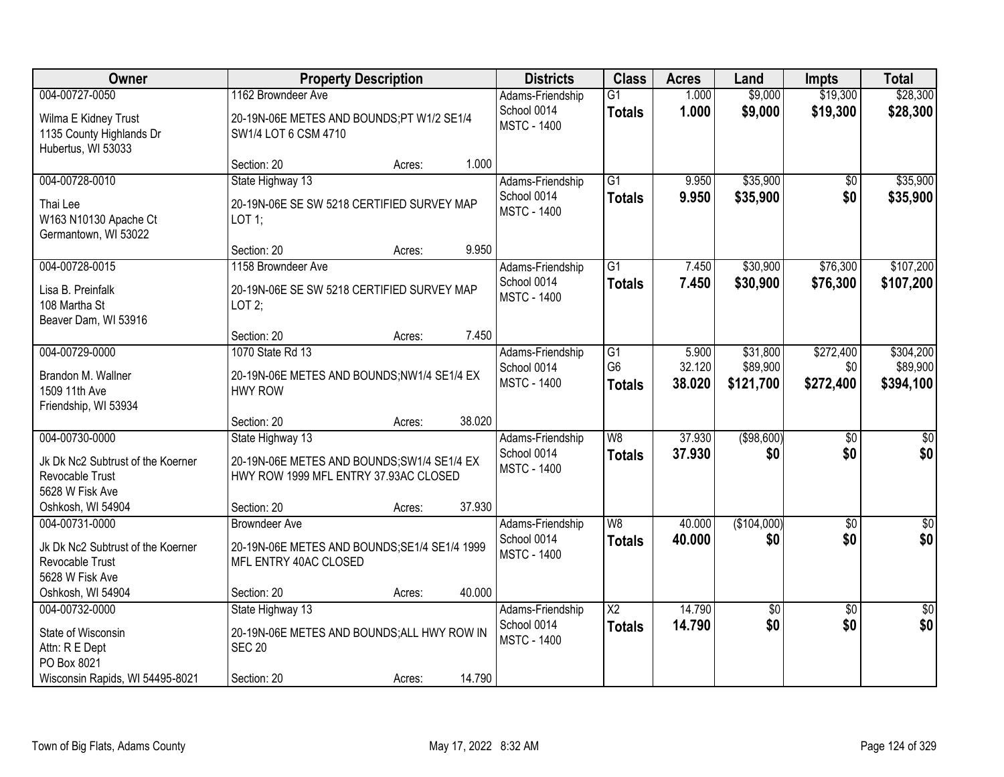| Owner                                                                                                          | <b>Property Description</b>                                                                                                       |        | <b>Districts</b>                                      | <b>Class</b>                          | <b>Acres</b>              | Land                              | <b>Impts</b>                  | <b>Total</b>                       |
|----------------------------------------------------------------------------------------------------------------|-----------------------------------------------------------------------------------------------------------------------------------|--------|-------------------------------------------------------|---------------------------------------|---------------------------|-----------------------------------|-------------------------------|------------------------------------|
| 004-00727-0050<br>Wilma E Kidney Trust<br>1135 County Highlands Dr<br>Hubertus, WI 53033                       | 1162 Browndeer Ave<br>20-19N-06E METES AND BOUNDS;PT W1/2 SE1/4<br>SW1/4 LOT 6 CSM 4710                                           |        | Adams-Friendship<br>School 0014<br><b>MSTC - 1400</b> | $\overline{G1}$<br><b>Totals</b>      | 1.000<br>1.000            | \$9,000<br>\$9,000                | \$19,300<br>\$19,300          | \$28,300<br>\$28,300               |
|                                                                                                                | Section: 20<br>Acres:                                                                                                             | 1.000  |                                                       |                                       |                           |                                   |                               |                                    |
| 004-00728-0010<br>Thai Lee<br>W163 N10130 Apache Ct<br>Germantown, WI 53022                                    | State Highway 13<br>20-19N-06E SE SW 5218 CERTIFIED SURVEY MAP<br>LOT 1;                                                          |        | Adams-Friendship<br>School 0014<br><b>MSTC - 1400</b> | $\overline{G1}$<br><b>Totals</b>      | 9.950<br>9.950            | \$35,900<br>\$35,900              | \$0<br>\$0                    | \$35,900<br>\$35,900               |
|                                                                                                                | Section: 20<br>Acres:<br>1158 Browndeer Ave                                                                                       | 9.950  |                                                       | $\overline{G1}$                       |                           | \$30,900                          | \$76,300                      | \$107,200                          |
| 004-00728-0015<br>Lisa B. Preinfalk<br>108 Martha St<br>Beaver Dam, WI 53916                                   | 20-19N-06E SE SW 5218 CERTIFIED SURVEY MAP<br>LOT $2$ ;                                                                           |        | Adams-Friendship<br>School 0014<br><b>MSTC - 1400</b> | <b>Totals</b>                         | 7.450<br>7.450            | \$30,900                          | \$76,300                      | \$107,200                          |
|                                                                                                                | Section: 20<br>Acres:                                                                                                             | 7.450  |                                                       |                                       |                           |                                   |                               |                                    |
| 004-00729-0000<br>Brandon M. Wallner<br>1509 11th Ave<br>Friendship, WI 53934                                  | 1070 State Rd 13<br>20-19N-06E METES AND BOUNDS;NW1/4 SE1/4 EX<br><b>HWY ROW</b>                                                  |        | Adams-Friendship<br>School 0014<br><b>MSTC - 1400</b> | G1<br>G <sub>6</sub><br><b>Totals</b> | 5.900<br>32.120<br>38.020 | \$31,800<br>\$89,900<br>\$121,700 | \$272,400<br>\$0<br>\$272,400 | \$304,200<br>\$89,900<br>\$394,100 |
|                                                                                                                | Section: 20<br>Acres:                                                                                                             | 38.020 |                                                       |                                       |                           |                                   |                               |                                    |
| 004-00730-0000<br>Jk Dk Nc2 Subtrust of the Koerner<br>Revocable Trust<br>5628 W Fisk Ave<br>Oshkosh, WI 54904 | State Highway 13<br>20-19N-06E METES AND BOUNDS; SW1/4 SE1/4 EX<br>HWY ROW 1999 MFL ENTRY 37.93AC CLOSED<br>Section: 20<br>Acres: | 37.930 | Adams-Friendship<br>School 0014<br><b>MSTC - 1400</b> | $\overline{W8}$<br><b>Totals</b>      | 37.930<br>37,930          | (\$98,600)<br>\$0                 | $\overline{50}$<br>\$0        | $\overline{\$0}$<br>\$0            |
| 004-00731-0000<br>Jk Dk Nc2 Subtrust of the Koerner<br>Revocable Trust<br>5628 W Fisk Ave<br>Oshkosh, WI 54904 | <b>Browndeer Ave</b><br>20-19N-06E METES AND BOUNDS; SE1/4 SE1/4 1999<br>MFL ENTRY 40AC CLOSED<br>Section: 20<br>Acres:           | 40.000 | Adams-Friendship<br>School 0014<br><b>MSTC - 1400</b> | W8<br><b>Totals</b>                   | 40.000<br>40.000          | (\$104,000)<br>\$0                | $\overline{60}$<br>\$0        | $\sqrt{30}$<br>\$0                 |
| 004-00732-0000<br>State of Wisconsin<br>Attn: R E Dept<br>PO Box 8021<br>Wisconsin Rapids, WI 54495-8021       | State Highway 13<br>20-19N-06E METES AND BOUNDS; ALL HWY ROW IN<br><b>SEC 20</b><br>Section: 20<br>Acres:                         | 14.790 | Adams-Friendship<br>School 0014<br><b>MSTC - 1400</b> | $\overline{X2}$<br><b>Totals</b>      | 14.790<br>14.790          | $\sqrt{$0}$<br>\$0                | $\overline{50}$<br>\$0        | \$0<br>\$0                         |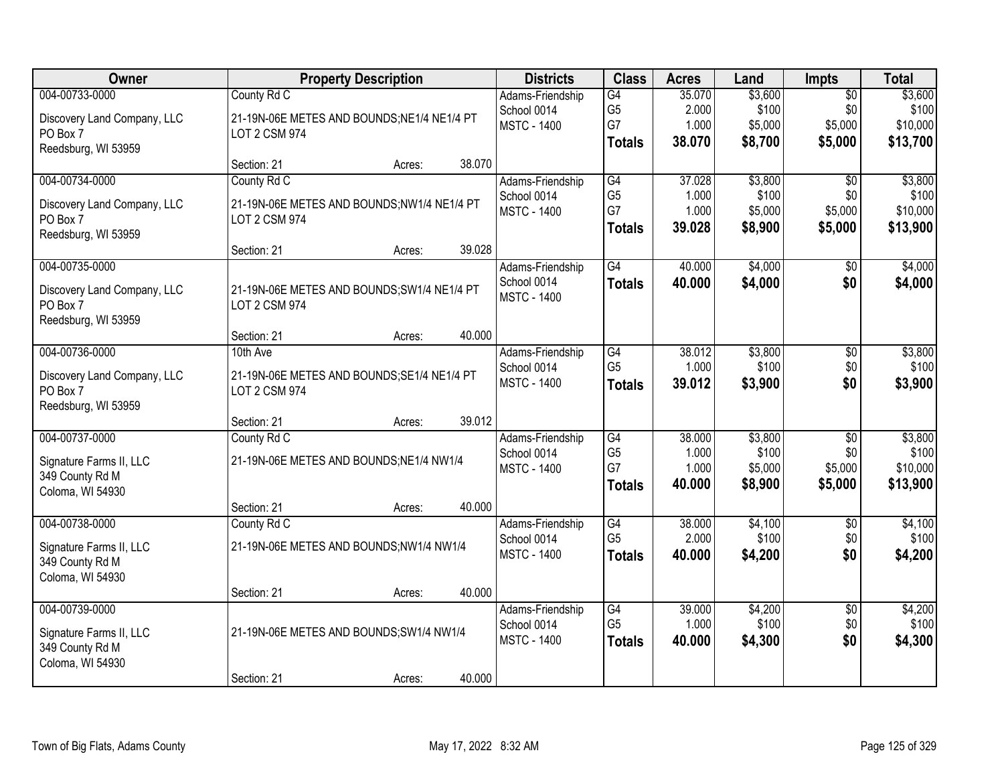| Owner                       |                                             | <b>Property Description</b> |        | <b>Districts</b>   | <b>Class</b>    | <b>Acres</b> | Land    | <b>Impts</b>    | <b>Total</b> |
|-----------------------------|---------------------------------------------|-----------------------------|--------|--------------------|-----------------|--------------|---------|-----------------|--------------|
| 004-00733-0000              | County Rd C                                 |                             |        | Adams-Friendship   | G4              | 35.070       | \$3,600 | $\overline{50}$ | \$3,600      |
| Discovery Land Company, LLC | 21-19N-06E METES AND BOUNDS; NE1/4 NE1/4 PT |                             |        | School 0014        | G <sub>5</sub>  | 2.000        | \$100   | \$0             | \$100        |
| PO Box 7                    | <b>LOT 2 CSM 974</b>                        |                             |        | <b>MSTC - 1400</b> | G7              | 1.000        | \$5,000 | \$5,000         | \$10,000     |
| Reedsburg, WI 53959         |                                             |                             |        |                    | <b>Totals</b>   | 38.070       | \$8,700 | \$5,000         | \$13,700     |
|                             | Section: 21                                 | Acres:                      | 38.070 |                    |                 |              |         |                 |              |
| 004-00734-0000              | County Rd C                                 |                             |        | Adams-Friendship   | G4              | 37.028       | \$3,800 | \$0             | \$3,800      |
| Discovery Land Company, LLC | 21-19N-06E METES AND BOUNDS;NW1/4 NE1/4 PT  |                             |        | School 0014        | G <sub>5</sub>  | 1.000        | \$100   | \$0             | \$100        |
| PO Box 7                    | <b>LOT 2 CSM 974</b>                        |                             |        | <b>MSTC - 1400</b> | G7              | 1.000        | \$5,000 | \$5,000         | \$10,000     |
| Reedsburg, WI 53959         |                                             |                             |        |                    | <b>Totals</b>   | 39.028       | \$8,900 | \$5,000         | \$13,900     |
|                             | Section: 21                                 | Acres:                      | 39.028 |                    |                 |              |         |                 |              |
| 004-00735-0000              |                                             |                             |        | Adams-Friendship   | G4              | 40.000       | \$4,000 | $\overline{50}$ | \$4,000      |
| Discovery Land Company, LLC | 21-19N-06E METES AND BOUNDS; SW1/4 NE1/4 PT |                             |        | School 0014        | <b>Totals</b>   | 40.000       | \$4,000 | \$0             | \$4,000      |
| PO Box 7                    | <b>LOT 2 CSM 974</b>                        |                             |        | <b>MSTC - 1400</b> |                 |              |         |                 |              |
| Reedsburg, WI 53959         |                                             |                             |        |                    |                 |              |         |                 |              |
|                             | Section: 21                                 | Acres:                      | 40.000 |                    |                 |              |         |                 |              |
| 004-00736-0000              | 10th Ave                                    |                             |        | Adams-Friendship   | G4              | 38.012       | \$3,800 | \$0             | \$3,800      |
| Discovery Land Company, LLC | 21-19N-06E METES AND BOUNDS; SE1/4 NE1/4 PT |                             |        | School 0014        | G <sub>5</sub>  | 1.000        | \$100   | \$0             | \$100        |
| PO Box 7                    | <b>LOT 2 CSM 974</b>                        |                             |        | <b>MSTC - 1400</b> | <b>Totals</b>   | 39.012       | \$3,900 | \$0             | \$3,900      |
| Reedsburg, WI 53959         |                                             |                             |        |                    |                 |              |         |                 |              |
|                             | Section: 21                                 | Acres:                      | 39.012 |                    |                 |              |         |                 |              |
| 004-00737-0000              | County Rd C                                 |                             |        | Adams-Friendship   | $\overline{G4}$ | 38.000       | \$3,800 | $\overline{50}$ | \$3,800      |
| Signature Farms II, LLC     | 21-19N-06E METES AND BOUNDS; NE1/4 NW1/4    |                             |        | School 0014        | G <sub>5</sub>  | 1.000        | \$100   | \$0             | \$100        |
| 349 County Rd M             |                                             |                             |        | <b>MSTC - 1400</b> | G7              | 1.000        | \$5,000 | \$5,000         | \$10,000     |
| Coloma, WI 54930            |                                             |                             |        |                    | <b>Totals</b>   | 40.000       | \$8,900 | \$5,000         | \$13,900     |
|                             | Section: 21                                 | Acres:                      | 40.000 |                    |                 |              |         |                 |              |
| 004-00738-0000              | County Rd C                                 |                             |        | Adams-Friendship   | G4              | 38.000       | \$4,100 | $\overline{50}$ | \$4,100      |
| Signature Farms II, LLC     | 21-19N-06E METES AND BOUNDS;NW1/4 NW1/4     |                             |        | School 0014        | G <sub>5</sub>  | 2.000        | \$100   | \$0             | \$100        |
| 349 County Rd M             |                                             |                             |        | <b>MSTC - 1400</b> | <b>Totals</b>   | 40.000       | \$4,200 | \$0             | \$4,200      |
| Coloma, WI 54930            |                                             |                             |        |                    |                 |              |         |                 |              |
|                             | Section: 21                                 | Acres:                      | 40.000 |                    |                 |              |         |                 |              |
| 004-00739-0000              |                                             |                             |        | Adams-Friendship   | G4              | 39.000       | \$4,200 | $\overline{50}$ | \$4,200      |
| Signature Farms II, LLC     | 21-19N-06E METES AND BOUNDS; SW1/4 NW1/4    |                             |        | School 0014        | G <sub>5</sub>  | 1.000        | \$100   | \$0             | \$100        |
| 349 County Rd M             |                                             |                             |        | <b>MSTC - 1400</b> | <b>Totals</b>   | 40.000       | \$4,300 | \$0             | \$4,300      |
| Coloma, WI 54930            |                                             |                             |        |                    |                 |              |         |                 |              |
|                             | Section: 21                                 | Acres:                      | 40.000 |                    |                 |              |         |                 |              |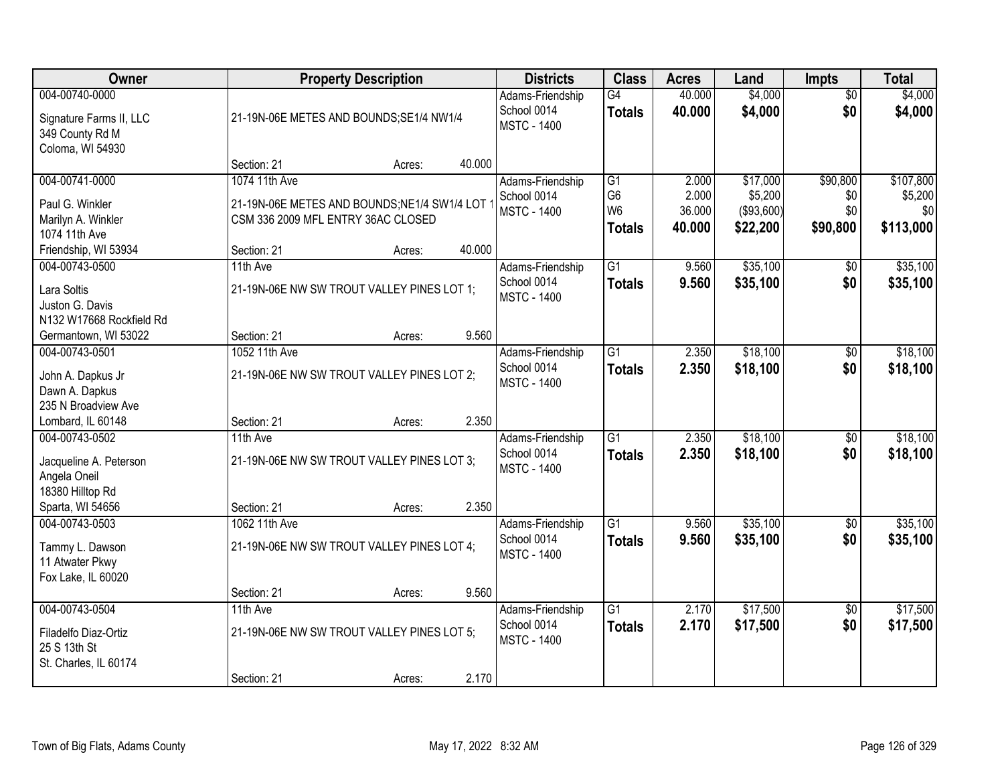| Owner                                                                                            |                                                                                                    | <b>Property Description</b> |        |                                                       | <b>Class</b>                                            | <b>Acres</b>                       | Land                                           | <b>Impts</b>                       | <b>Total</b>                             |
|--------------------------------------------------------------------------------------------------|----------------------------------------------------------------------------------------------------|-----------------------------|--------|-------------------------------------------------------|---------------------------------------------------------|------------------------------------|------------------------------------------------|------------------------------------|------------------------------------------|
| 004-00740-0000<br>Signature Farms II, LLC<br>349 County Rd M<br>Coloma, WI 54930                 | 21-19N-06E METES AND BOUNDS;SE1/4 NW1/4                                                            |                             |        | Adams-Friendship<br>School 0014<br><b>MSTC - 1400</b> | G4<br><b>Totals</b>                                     | 40.000<br>40.000                   | \$4,000<br>\$4,000                             | $\overline{50}$<br>\$0             | \$4,000<br>\$4,000                       |
|                                                                                                  | Section: 21                                                                                        | Acres:                      | 40.000 |                                                       |                                                         |                                    |                                                |                                    |                                          |
| 004-00741-0000<br>Paul G. Winkler<br>Marilyn A. Winkler<br>1074 11th Ave                         | 1074 11th Ave<br>21-19N-06E METES AND BOUNDS;NE1/4 SW1/4 LOT<br>CSM 336 2009 MFL ENTRY 36AC CLOSED |                             |        | Adams-Friendship<br>School 0014<br><b>MSTC - 1400</b> | G1<br>G <sub>6</sub><br>W <sub>6</sub><br><b>Totals</b> | 2.000<br>2.000<br>36.000<br>40.000 | \$17,000<br>\$5,200<br>( \$93,600)<br>\$22,200 | \$90,800<br>\$0<br>\$0<br>\$90,800 | \$107,800<br>\$5,200<br>\$0<br>\$113,000 |
| Friendship, WI 53934<br>004-00743-0500                                                           | Section: 21<br>11th Ave                                                                            | Acres:                      | 40.000 | Adams-Friendship                                      | $\overline{G1}$                                         | 9.560                              | \$35,100                                       | \$0                                | \$35,100                                 |
| Lara Soltis<br>Juston G. Davis<br>N132 W17668 Rockfield Rd                                       | 21-19N-06E NW SW TROUT VALLEY PINES LOT 1;                                                         |                             |        | School 0014<br><b>MSTC - 1400</b>                     | <b>Totals</b>                                           | 9.560                              | \$35,100                                       | \$0                                | \$35,100                                 |
| Germantown, WI 53022                                                                             | Section: 21                                                                                        | Acres:                      | 9.560  |                                                       |                                                         |                                    |                                                |                                    |                                          |
| 004-00743-0501<br>John A. Dapkus Jr<br>Dawn A. Dapkus<br>235 N Broadview Ave                     | 1052 11th Ave<br>21-19N-06E NW SW TROUT VALLEY PINES LOT 2;                                        |                             |        | Adams-Friendship<br>School 0014<br><b>MSTC - 1400</b> | $\overline{G1}$<br><b>Totals</b>                        | 2.350<br>2.350                     | \$18,100<br>\$18,100                           | \$0<br>\$0                         | \$18,100<br>\$18,100                     |
| Lombard, IL 60148                                                                                | Section: 21                                                                                        | Acres:                      | 2.350  |                                                       |                                                         |                                    |                                                |                                    |                                          |
| 004-00743-0502<br>Jacqueline A. Peterson<br>Angela Oneil<br>18380 Hilltop Rd<br>Sparta, WI 54656 | 11th Ave<br>21-19N-06E NW SW TROUT VALLEY PINES LOT 3;<br>Section: 21                              | Acres:                      | 2.350  | Adams-Friendship<br>School 0014<br><b>MSTC - 1400</b> | $\overline{G1}$<br><b>Totals</b>                        | 2.350<br>2.350                     | \$18,100<br>\$18,100                           | \$0<br>\$0                         | \$18,100<br>\$18,100                     |
| 004-00743-0503                                                                                   | 1062 11th Ave                                                                                      |                             |        | Adams-Friendship                                      | $\overline{G1}$                                         | 9.560                              | \$35,100                                       | \$0                                | \$35,100                                 |
| Tammy L. Dawson<br>11 Atwater Pkwy<br>Fox Lake, IL 60020                                         | 21-19N-06E NW SW TROUT VALLEY PINES LOT 4;                                                         |                             |        | School 0014<br><b>MSTC - 1400</b>                     | <b>Totals</b>                                           | 9.560                              | \$35,100                                       | \$0                                | \$35,100                                 |
|                                                                                                  | Section: 21                                                                                        | Acres:                      | 9.560  |                                                       |                                                         |                                    |                                                |                                    |                                          |
| 004-00743-0504<br>Filadelfo Diaz-Ortiz<br>25 S 13th St<br>St. Charles, IL 60174                  | 11th Ave<br>21-19N-06E NW SW TROUT VALLEY PINES LOT 5;<br>Section: 21                              |                             | 2.170  | Adams-Friendship<br>School 0014<br><b>MSTC - 1400</b> | $\overline{G1}$<br><b>Totals</b>                        | 2.170<br>2.170                     | \$17,500<br>\$17,500                           | $\overline{50}$<br>\$0             | \$17,500<br>\$17,500                     |
|                                                                                                  |                                                                                                    | Acres:                      |        |                                                       |                                                         |                                    |                                                |                                    |                                          |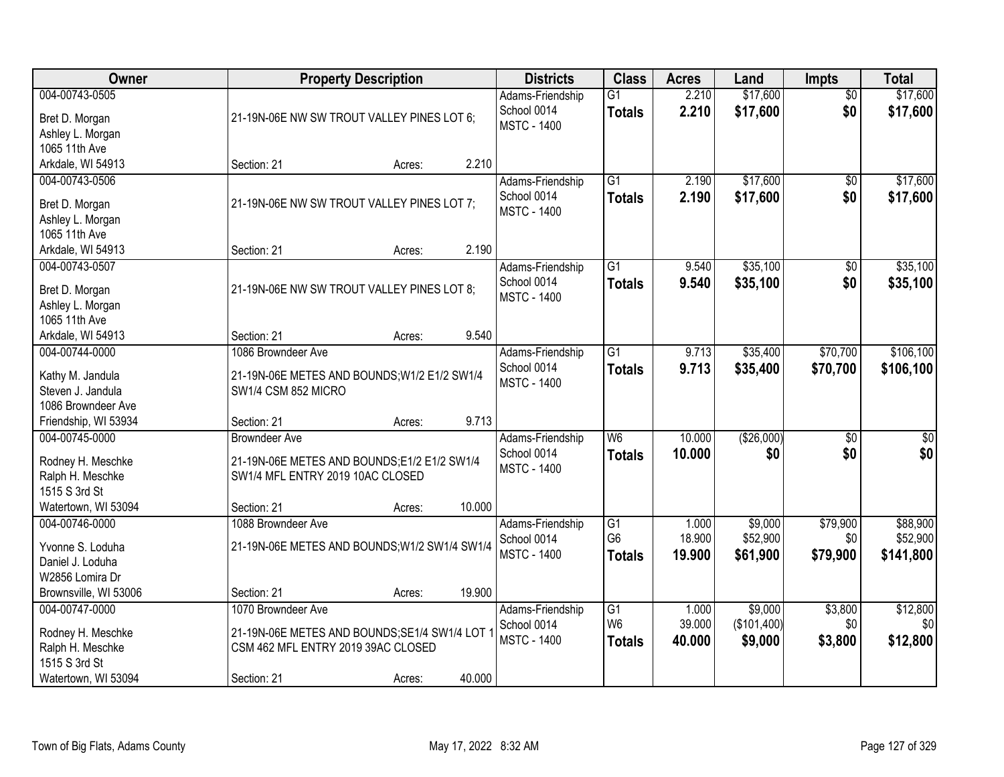| Owner                                                                                           |                                                                                                                           | <b>Property Description</b> |        | <b>Districts</b>                                      | <b>Class</b>                                       | <b>Acres</b>              | Land                              | <b>Impts</b>                | <b>Total</b>                      |
|-------------------------------------------------------------------------------------------------|---------------------------------------------------------------------------------------------------------------------------|-----------------------------|--------|-------------------------------------------------------|----------------------------------------------------|---------------------------|-----------------------------------|-----------------------------|-----------------------------------|
| 004-00743-0505<br>Bret D. Morgan<br>Ashley L. Morgan<br>1065 11th Ave                           | 21-19N-06E NW SW TROUT VALLEY PINES LOT 6;                                                                                |                             |        | Adams-Friendship<br>School 0014<br><b>MSTC - 1400</b> | $\overline{G1}$<br><b>Totals</b>                   | 2.210<br>2.210            | \$17,600<br>\$17,600              | $\overline{50}$<br>\$0      | \$17,600<br>\$17,600              |
| Arkdale, WI 54913                                                                               | Section: 21                                                                                                               | Acres:                      | 2.210  |                                                       |                                                    |                           |                                   |                             |                                   |
| 004-00743-0506<br>Bret D. Morgan<br>Ashley L. Morgan<br>1065 11th Ave                           | 21-19N-06E NW SW TROUT VALLEY PINES LOT 7;                                                                                |                             |        | Adams-Friendship<br>School 0014<br><b>MSTC - 1400</b> | $\overline{G1}$<br><b>Totals</b>                   | 2.190<br>2.190            | \$17,600<br>\$17,600              | \$0<br>\$0                  | \$17,600<br>\$17,600              |
| Arkdale, WI 54913                                                                               | Section: 21                                                                                                               | Acres:                      | 2.190  |                                                       |                                                    |                           |                                   |                             |                                   |
| 004-00743-0507<br>Bret D. Morgan<br>Ashley L. Morgan<br>1065 11th Ave                           | 21-19N-06E NW SW TROUT VALLEY PINES LOT 8;                                                                                |                             |        | Adams-Friendship<br>School 0014<br><b>MSTC - 1400</b> | $\overline{G1}$<br><b>Totals</b>                   | 9.540<br>9.540            | \$35,100<br>\$35,100              | \$0<br>\$0                  | \$35,100<br>\$35,100              |
| Arkdale, WI 54913                                                                               | Section: 21                                                                                                               | Acres:                      | 9.540  |                                                       |                                                    |                           |                                   |                             |                                   |
| 004-00744-0000<br>Kathy M. Jandula<br>Steven J. Jandula<br>1086 Browndeer Ave                   | 1086 Browndeer Ave<br>21-19N-06E METES AND BOUNDS; W1/2 E1/2 SW1/4<br>SW1/4 CSM 852 MICRO                                 |                             |        | Adams-Friendship<br>School 0014<br><b>MSTC - 1400</b> | $\overline{G1}$<br><b>Totals</b>                   | 9.713<br>9.713            | \$35,400<br>\$35,400              | \$70,700<br>\$70,700        | \$106,100<br>\$106,100            |
| Friendship, WI 53934                                                                            | Section: 21                                                                                                               | Acres:                      | 9.713  |                                                       |                                                    |                           |                                   |                             |                                   |
| 004-00745-0000<br>Rodney H. Meschke<br>Ralph H. Meschke<br>1515 S 3rd St                        | <b>Browndeer Ave</b><br>21-19N-06E METES AND BOUNDS;E1/2 E1/2 SW1/4<br>SW1/4 MFL ENTRY 2019 10AC CLOSED                   |                             |        | Adams-Friendship<br>School 0014<br><b>MSTC - 1400</b> | $\overline{W6}$<br><b>Totals</b>                   | 10.000<br>10.000          | (\$26,000)<br>\$0                 | $\overline{30}$<br>\$0      | $\overline{30}$<br>\$0            |
| Watertown, WI 53094                                                                             | Section: 21                                                                                                               | Acres:                      | 10.000 |                                                       |                                                    |                           |                                   |                             |                                   |
| 004-00746-0000<br>Yvonne S. Loduha<br>Daniel J. Loduha<br>W2856 Lomira Dr                       | 1088 Browndeer Ave<br>21-19N-06E METES AND BOUNDS; W1/2 SW1/4 SW1/4                                                       |                             |        | Adams-Friendship<br>School 0014<br><b>MSTC - 1400</b> | G1<br>G <sub>6</sub><br><b>Totals</b>              | 1.000<br>18.900<br>19.900 | \$9,000<br>\$52,900<br>\$61,900   | \$79,900<br>\$0<br>\$79,900 | \$88,900<br>\$52,900<br>\$141,800 |
| Brownsville, WI 53006                                                                           | Section: 21                                                                                                               | Acres:                      | 19.900 |                                                       |                                                    |                           |                                   |                             |                                   |
| 004-00747-0000<br>Rodney H. Meschke<br>Ralph H. Meschke<br>1515 S 3rd St<br>Watertown, WI 53094 | 1070 Browndeer Ave<br>21-19N-06E METES AND BOUNDS; SE1/4 SW1/4 LOT '<br>CSM 462 MFL ENTRY 2019 39AC CLOSED<br>Section: 21 | Acres:                      | 40.000 | Adams-Friendship<br>School 0014<br><b>MSTC - 1400</b> | $\overline{G1}$<br>W <sub>6</sub><br><b>Totals</b> | 1.000<br>39.000<br>40.000 | \$9,000<br>(\$101,400)<br>\$9,000 | \$3,800<br>\$0<br>\$3,800   | \$12,800<br>\$0<br>\$12,800       |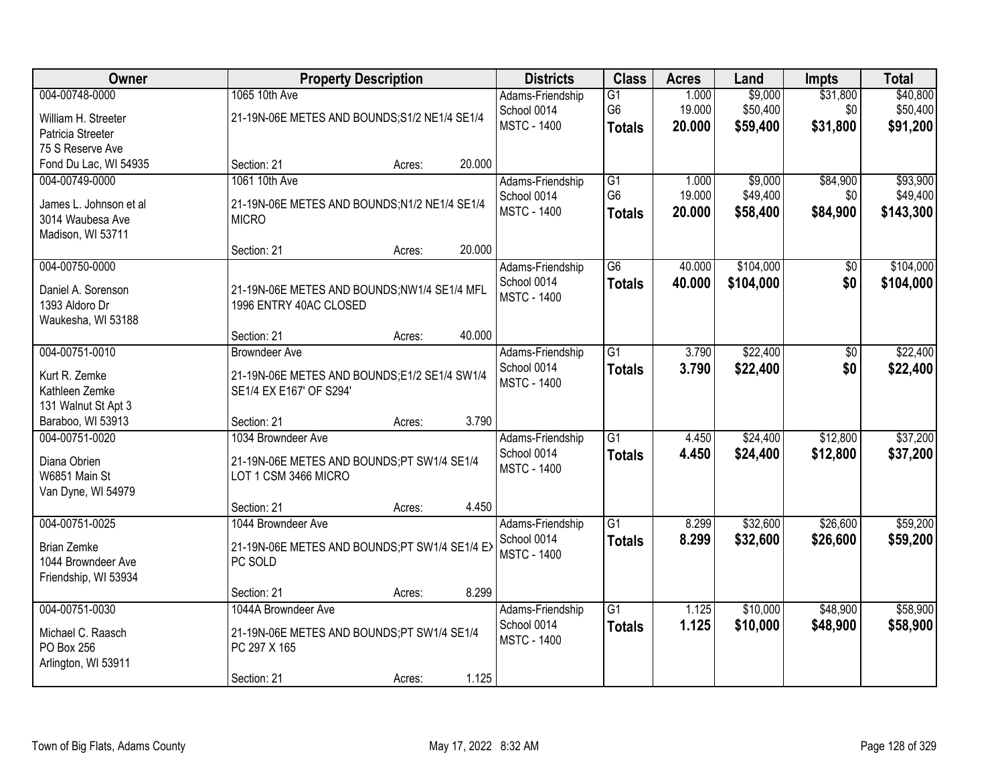| Owner                                      |                                               | <b>Property Description</b> |        | <b>Districts</b>   | <b>Class</b>    | <b>Acres</b> | Land      | <b>Impts</b> | <b>Total</b> |
|--------------------------------------------|-----------------------------------------------|-----------------------------|--------|--------------------|-----------------|--------------|-----------|--------------|--------------|
| 004-00748-0000                             | 1065 10th Ave                                 |                             |        | Adams-Friendship   | G1              | 1.000        | \$9,000   | \$31,800     | \$40,800     |
| William H. Streeter                        | 21-19N-06E METES AND BOUNDS;S1/2 NE1/4 SE1/4  |                             |        | School 0014        | G <sub>6</sub>  | 19.000       | \$50,400  | \$0          | \$50,400     |
| Patricia Streeter                          |                                               |                             |        | <b>MSTC - 1400</b> | <b>Totals</b>   | 20.000       | \$59,400  | \$31,800     | \$91,200     |
| 75 S Reserve Ave                           |                                               |                             |        |                    |                 |              |           |              |              |
| Fond Du Lac, WI 54935                      | Section: 21                                   | Acres:                      | 20.000 |                    |                 |              |           |              |              |
| 004-00749-0000                             | 1061 10th Ave                                 |                             |        | Adams-Friendship   | G1              | 1.000        | \$9,000   | \$84,900     | \$93,900     |
| James L. Johnson et al                     | 21-19N-06E METES AND BOUNDS;N1/2 NE1/4 SE1/4  |                             |        | School 0014        | G <sub>6</sub>  | 19.000       | \$49,400  | \$0          | \$49,400     |
| 3014 Waubesa Ave                           | <b>MICRO</b>                                  |                             |        | <b>MSTC - 1400</b> | <b>Totals</b>   | 20.000       | \$58,400  | \$84,900     | \$143,300    |
| Madison, WI 53711                          |                                               |                             |        |                    |                 |              |           |              |              |
|                                            | Section: 21                                   | Acres:                      | 20.000 |                    |                 |              |           |              |              |
| 004-00750-0000                             |                                               |                             |        | Adams-Friendship   | G6              | 40.000       | \$104,000 | \$0          | \$104,000    |
| Daniel A. Sorenson                         | 21-19N-06E METES AND BOUNDS;NW1/4 SE1/4 MFL   |                             |        | School 0014        | <b>Totals</b>   | 40.000       | \$104,000 | \$0          | \$104,000    |
| 1393 Aldoro Dr                             | 1996 ENTRY 40AC CLOSED                        |                             |        | <b>MSTC - 1400</b> |                 |              |           |              |              |
| Waukesha, WI 53188                         |                                               |                             |        |                    |                 |              |           |              |              |
|                                            | Section: 21                                   | Acres:                      | 40.000 |                    |                 |              |           |              |              |
| 004-00751-0010                             | <b>Browndeer Ave</b>                          |                             |        | Adams-Friendship   | G1              | 3.790        | \$22,400  | \$0          | \$22,400     |
| Kurt R. Zemke                              | 21-19N-06E METES AND BOUNDS;E1/2 SE1/4 SW1/4  |                             |        | School 0014        | <b>Totals</b>   | 3.790        | \$22,400  | \$0          | \$22,400     |
| Kathleen Zemke                             | SE1/4 EX E167' OF S294'                       |                             |        | <b>MSTC - 1400</b> |                 |              |           |              |              |
| 131 Walnut St Apt 3                        |                                               |                             |        |                    |                 |              |           |              |              |
| Baraboo, WI 53913                          | Section: 21                                   | Acres:                      | 3.790  |                    |                 |              |           |              |              |
| 004-00751-0020                             | 1034 Browndeer Ave                            |                             |        | Adams-Friendship   | $\overline{G1}$ | 4.450        | \$24,400  | \$12,800     | \$37,200     |
|                                            |                                               |                             |        | School 0014        | <b>Totals</b>   | 4.450        | \$24,400  | \$12,800     | \$37,200     |
| Diana Obrien                               | 21-19N-06E METES AND BOUNDS;PT SW1/4 SE1/4    |                             |        | <b>MSTC - 1400</b> |                 |              |           |              |              |
| W6851 Main St<br>Van Dyne, WI 54979        | LOT 1 CSM 3466 MICRO                          |                             |        |                    |                 |              |           |              |              |
|                                            | Section: 21                                   | Acres:                      | 4.450  |                    |                 |              |           |              |              |
| 004-00751-0025                             | 1044 Browndeer Ave                            |                             |        | Adams-Friendship   | $\overline{G1}$ | 8.299        | \$32,600  | \$26,600     | \$59,200     |
|                                            |                                               |                             |        | School 0014        | <b>Totals</b>   | 8.299        | \$32,600  | \$26,600     | \$59,200     |
| <b>Brian Zemke</b>                         | 21-19N-06E METES AND BOUNDS;PT SW1/4 SE1/4 EX |                             |        | <b>MSTC - 1400</b> |                 |              |           |              |              |
| 1044 Browndeer Ave<br>Friendship, WI 53934 | PC SOLD                                       |                             |        |                    |                 |              |           |              |              |
|                                            | Section: 21                                   | Acres:                      | 8.299  |                    |                 |              |           |              |              |
| 004-00751-0030                             | 1044A Browndeer Ave                           |                             |        | Adams-Friendship   | $\overline{G1}$ | 1.125        | \$10,000  | \$48,900     | \$58,900     |
|                                            |                                               |                             |        | School 0014        | <b>Totals</b>   | 1.125        | \$10,000  | \$48,900     | \$58,900     |
| Michael C. Raasch                          | 21-19N-06E METES AND BOUNDS;PT SW1/4 SE1/4    |                             |        | <b>MSTC - 1400</b> |                 |              |           |              |              |
| PO Box 256                                 | PC 297 X 165                                  |                             |        |                    |                 |              |           |              |              |
| Arlington, WI 53911                        | Section: 21                                   | Acres:                      | 1.125  |                    |                 |              |           |              |              |
|                                            |                                               |                             |        |                    |                 |              |           |              |              |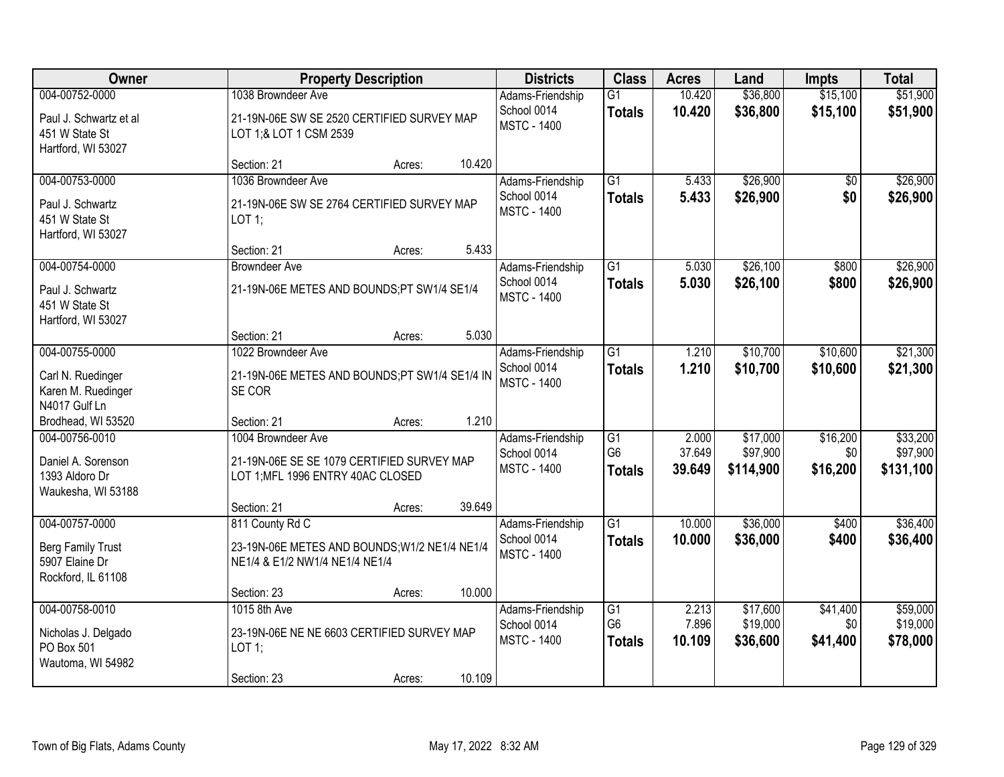| Owner                                                      | <b>Property Description</b>                                                     | <b>Districts</b>                                      | <b>Class</b>                     | <b>Acres</b>     | Land                 | <b>Impts</b>         | <b>Total</b>         |
|------------------------------------------------------------|---------------------------------------------------------------------------------|-------------------------------------------------------|----------------------------------|------------------|----------------------|----------------------|----------------------|
| 004-00752-0000<br>Paul J. Schwartz et al<br>451 W State St | 1038 Browndeer Ave<br>21-19N-06E SW SE 2520 CERTIFIED SURVEY MAP                | Adams-Friendship<br>School 0014<br><b>MSTC - 1400</b> | $\overline{G1}$<br><b>Totals</b> | 10.420<br>10.420 | \$36,800<br>\$36,800 | \$15,100<br>\$15,100 | \$51,900<br>\$51,900 |
| Hartford, WI 53027                                         | LOT 1;& LOT 1 CSM 2539<br>10.420<br>Section: 21<br>Acres:                       |                                                       |                                  |                  |                      |                      |                      |
| 004-00753-0000                                             | 1036 Browndeer Ave                                                              | Adams-Friendship                                      | $\overline{G1}$                  | 5.433            | \$26,900             | \$0                  | \$26,900             |
| Paul J. Schwartz<br>451 W State St<br>Hartford, WI 53027   | 21-19N-06E SW SE 2764 CERTIFIED SURVEY MAP<br>LOT 1;                            | School 0014<br><b>MSTC - 1400</b>                     | <b>Totals</b>                    | 5.433            | \$26,900             | \$0                  | \$26,900             |
|                                                            | 5.433<br>Section: 21<br>Acres:                                                  |                                                       |                                  |                  |                      |                      |                      |
| 004-00754-0000                                             | Browndeer Ave                                                                   | Adams-Friendship                                      | G1                               | 5.030            | \$26,100             | \$800                | \$26,900             |
| Paul J. Schwartz<br>451 W State St<br>Hartford, WI 53027   | 21-19N-06E METES AND BOUNDS;PT SW1/4 SE1/4                                      | School 0014<br><b>MSTC - 1400</b>                     | <b>Totals</b>                    | 5.030            | \$26,100             | \$800                | \$26,900             |
|                                                            | 5.030<br>Section: 21<br>Acres:                                                  |                                                       |                                  |                  |                      |                      |                      |
| 004-00755-0000                                             | 1022 Browndeer Ave                                                              | Adams-Friendship                                      | G1                               | 1.210            | \$10,700             | \$10,600             | \$21,300             |
| Carl N. Ruedinger<br>Karen M. Ruedinger<br>N4017 Gulf Ln   | 21-19N-06E METES AND BOUNDS;PT SW1/4 SE1/4 IN<br>SE COR                         | School 0014<br><b>MSTC - 1400</b>                     | <b>Totals</b>                    | 1.210            | \$10,700             | \$10,600             | \$21,300             |
| Brodhead, WI 53520                                         | 1.210<br>Section: 21<br>Acres:                                                  |                                                       |                                  |                  |                      |                      |                      |
| 004-00756-0010                                             | 1004 Browndeer Ave                                                              | Adams-Friendship                                      | $\overline{G1}$                  | 2.000            | \$17,000             | \$16,200             | \$33,200             |
| Daniel A. Sorenson                                         | 21-19N-06E SE SE 1079 CERTIFIED SURVEY MAP                                      | School 0014                                           | G <sub>6</sub>                   | 37.649           | \$97,900             | \$0                  | \$97,900             |
| 1393 Aldoro Dr                                             | LOT 1; MFL 1996 ENTRY 40AC CLOSED                                               | <b>MSTC - 1400</b>                                    | <b>Totals</b>                    | 39.649           | \$114,900            | \$16,200             | \$131,100            |
| Waukesha, WI 53188                                         |                                                                                 |                                                       |                                  |                  |                      |                      |                      |
|                                                            | 39.649<br>Section: 21<br>Acres:                                                 |                                                       |                                  |                  |                      |                      |                      |
| 004-00757-0000                                             | 811 County Rd C                                                                 | Adams-Friendship                                      | $\overline{G1}$                  | 10.000           | \$36,000             | \$400                | \$36,400             |
| Berg Family Trust<br>5907 Elaine Dr                        | 23-19N-06E METES AND BOUNDS; W1/2 NE1/4 NE1/4<br>NE1/4 & E1/2 NW1/4 NE1/4 NE1/4 | School 0014<br><b>MSTC - 1400</b>                     | <b>Totals</b>                    | 10.000           | \$36,000             | \$400                | \$36,400             |
| Rockford, IL 61108                                         | 10.000<br>Section: 23                                                           |                                                       |                                  |                  |                      |                      |                      |
| 004-00758-0010                                             | Acres:<br>1015 8th Ave                                                          | Adams-Friendship                                      | $\overline{G1}$                  | 2.213            | \$17,600             | \$41,400             | \$59,000             |
|                                                            |                                                                                 | School 0014                                           | G <sub>6</sub>                   | 7.896            | \$19,000             | \$0                  | \$19,000             |
| Nicholas J. Delgado<br>PO Box 501                          | 23-19N-06E NE NE 6603 CERTIFIED SURVEY MAP<br>LOT 1;                            | <b>MSTC - 1400</b>                                    | <b>Totals</b>                    | 10.109           | \$36,600             | \$41,400             | \$78,000             |
| Wautoma, WI 54982                                          |                                                                                 |                                                       |                                  |                  |                      |                      |                      |
|                                                            | 10.109<br>Section: 23<br>Acres:                                                 |                                                       |                                  |                  |                      |                      |                      |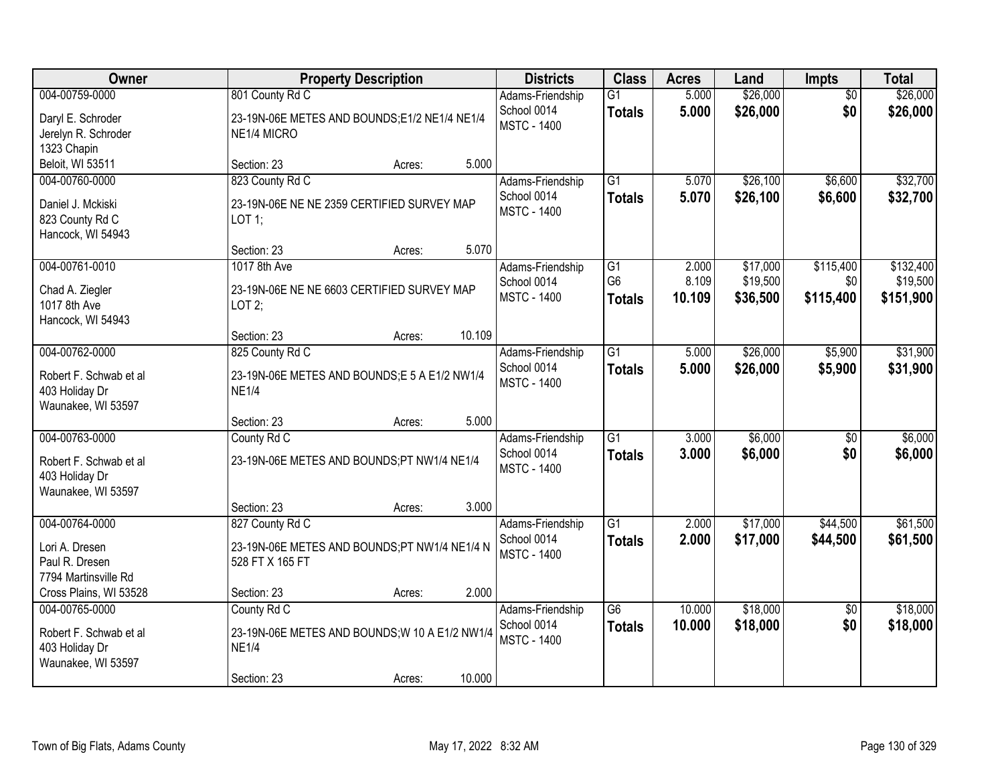| Owner                                                                            |                                                                                              | <b>Property Description</b> |        | <b>Districts</b>                                      | <b>Class</b>                     | <b>Acres</b>     | Land                 | Impts                  | <b>Total</b>          |
|----------------------------------------------------------------------------------|----------------------------------------------------------------------------------------------|-----------------------------|--------|-------------------------------------------------------|----------------------------------|------------------|----------------------|------------------------|-----------------------|
| 004-00759-0000<br>Daryl E. Schroder<br>Jerelyn R. Schroder<br>1323 Chapin        | 801 County Rd C<br>23-19N-06E METES AND BOUNDS;E1/2 NE1/4 NE1/4<br>NE1/4 MICRO               |                             |        | Adams-Friendship<br>School 0014<br><b>MSTC - 1400</b> | $\overline{G1}$<br><b>Totals</b> | 5.000<br>5.000   | \$26,000<br>\$26,000 | $\overline{50}$<br>\$0 | \$26,000<br>\$26,000  |
| Beloit, WI 53511                                                                 | Section: 23                                                                                  | Acres:                      | 5.000  |                                                       |                                  |                  |                      |                        |                       |
| 004-00760-0000<br>Daniel J. Mckiski<br>823 County Rd C<br>Hancock, WI 54943      | 823 County Rd C<br>23-19N-06E NE NE 2359 CERTIFIED SURVEY MAP<br>LOT 1;                      |                             |        | Adams-Friendship<br>School 0014<br><b>MSTC - 1400</b> | $\overline{G1}$<br><b>Totals</b> | 5.070<br>5.070   | \$26,100<br>\$26,100 | \$6,600<br>\$6,600     | \$32,700<br>\$32,700  |
| 004-00761-0010                                                                   | Section: 23<br>1017 8th Ave                                                                  | Acres:                      | 5.070  | Adams-Friendship                                      | G1                               | 2.000            | \$17,000             | \$115,400              | \$132,400             |
| Chad A. Ziegler<br>1017 8th Ave<br>Hancock, WI 54943                             | 23-19N-06E NE NE 6603 CERTIFIED SURVEY MAP<br>LOT $2$ ;                                      |                             |        | School 0014<br><b>MSTC - 1400</b>                     | G <sub>6</sub><br><b>Totals</b>  | 8.109<br>10.109  | \$19,500<br>\$36,500 | \$0<br>\$115,400       | \$19,500<br>\$151,900 |
|                                                                                  | Section: 23                                                                                  | Acres:                      | 10.109 |                                                       |                                  |                  |                      |                        |                       |
| 004-00762-0000<br>Robert F. Schwab et al<br>403 Holiday Dr<br>Waunakee, WI 53597 | 825 County Rd C<br>23-19N-06E METES AND BOUNDS;E 5 A E1/2 NW1/4<br><b>NE1/4</b>              |                             |        | Adams-Friendship<br>School 0014<br><b>MSTC - 1400</b> | $\overline{G1}$<br><b>Totals</b> | 5.000<br>5.000   | \$26,000<br>\$26,000 | \$5,900<br>\$5,900     | \$31,900<br>\$31,900  |
|                                                                                  | Section: 23                                                                                  | Acres:                      | 5.000  |                                                       |                                  |                  |                      |                        |                       |
| 004-00763-0000<br>Robert F. Schwab et al<br>403 Holiday Dr<br>Waunakee, WI 53597 | County Rd C<br>23-19N-06E METES AND BOUNDS;PT NW1/4 NE1/4                                    |                             |        | Adams-Friendship<br>School 0014<br><b>MSTC - 1400</b> | $\overline{G1}$<br><b>Totals</b> | 3.000<br>3.000   | \$6,000<br>\$6,000   | $\overline{50}$<br>\$0 | \$6,000<br>\$6,000    |
|                                                                                  | Section: 23                                                                                  | Acres:                      | 3.000  |                                                       |                                  |                  |                      |                        |                       |
| 004-00764-0000<br>Lori A. Dresen<br>Paul R. Dresen<br>7794 Martinsville Rd       | 827 County Rd C<br>23-19N-06E METES AND BOUNDS;PT NW1/4 NE1/4 N<br>528 FT X 165 FT           |                             |        | Adams-Friendship<br>School 0014<br><b>MSTC - 1400</b> | G1<br><b>Totals</b>              | 2.000<br>2.000   | \$17,000<br>\$17,000 | \$44,500<br>\$44,500   | \$61,500<br>\$61,500  |
| Cross Plains, WI 53528                                                           | Section: 23                                                                                  | Acres:                      | 2.000  |                                                       |                                  |                  |                      |                        |                       |
| 004-00765-0000<br>Robert F. Schwab et al<br>403 Holiday Dr<br>Waunakee, WI 53597 | County Rd C<br>23-19N-06E METES AND BOUNDS; W 10 A E1/2 NW1/4<br><b>NE1/4</b><br>Section: 23 | Acres:                      | 10.000 | Adams-Friendship<br>School 0014<br><b>MSTC - 1400</b> | $\overline{G6}$<br><b>Totals</b> | 10.000<br>10.000 | \$18,000<br>\$18,000 | $\overline{50}$<br>\$0 | \$18,000<br>\$18,000  |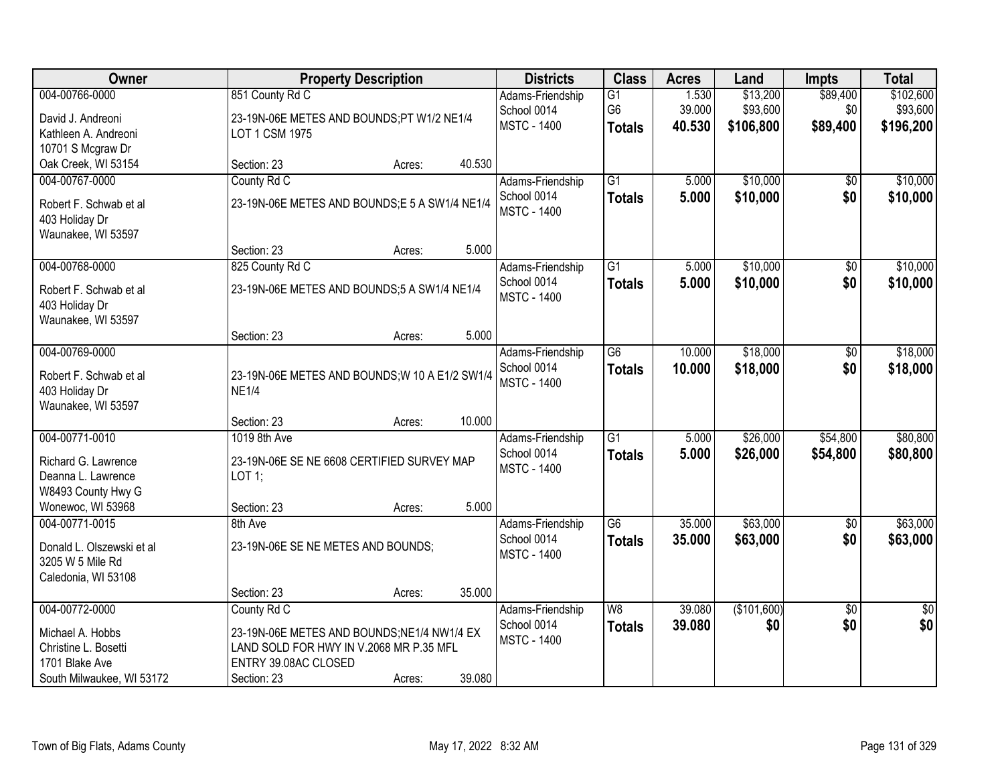| <b>Owner</b>              | <b>Property Description</b>                    |        |        | <b>Districts</b>   | <b>Class</b>             | <b>Acres</b> | Land        | <b>Impts</b>    | <b>Total</b> |
|---------------------------|------------------------------------------------|--------|--------|--------------------|--------------------------|--------------|-------------|-----------------|--------------|
| 004-00766-0000            | 851 County Rd C                                |        |        | Adams-Friendship   | $\overline{G1}$          | 1.530        | \$13,200    | \$89,400        | \$102,600    |
| David J. Andreoni         | 23-19N-06E METES AND BOUNDS;PT W1/2 NE1/4      |        |        | School 0014        | G <sub>6</sub>           | 39.000       | \$93,600    | \$0             | \$93,600     |
| Kathleen A. Andreoni      | LOT 1 CSM 1975                                 |        |        | <b>MSTC - 1400</b> | <b>Totals</b>            | 40.530       | \$106,800   | \$89,400        | \$196,200    |
| 10701 S Mcgraw Dr         |                                                |        |        |                    |                          |              |             |                 |              |
| Oak Creek, WI 53154       | Section: 23                                    | Acres: | 40.530 |                    |                          |              |             |                 |              |
| 004-00767-0000            | County Rd C                                    |        |        | Adams-Friendship   | $\overline{G1}$          | 5.000        | \$10,000    | \$0             | \$10,000     |
| Robert F. Schwab et al    | 23-19N-06E METES AND BOUNDS;E 5 A SW1/4 NE1/4  |        |        | School 0014        | <b>Totals</b>            | 5.000        | \$10,000    | \$0             | \$10,000     |
| 403 Holiday Dr            |                                                |        |        | <b>MSTC - 1400</b> |                          |              |             |                 |              |
| Waunakee, WI 53597        |                                                |        |        |                    |                          |              |             |                 |              |
|                           | Section: 23                                    | Acres: | 5.000  |                    |                          |              |             |                 |              |
| 004-00768-0000            | 825 County Rd C                                |        |        | Adams-Friendship   | G1                       | 5.000        | \$10,000    | \$0             | \$10,000     |
| Robert F. Schwab et al    | 23-19N-06E METES AND BOUNDS;5 A SW1/4 NE1/4    |        |        | School 0014        | <b>Totals</b>            | 5.000        | \$10,000    | \$0             | \$10,000     |
| 403 Holiday Dr            |                                                |        |        | <b>MSTC - 1400</b> |                          |              |             |                 |              |
| Waunakee, WI 53597        |                                                |        |        |                    |                          |              |             |                 |              |
|                           | Section: 23                                    | Acres: | 5.000  |                    |                          |              |             |                 |              |
| 004-00769-0000            |                                                |        |        | Adams-Friendship   | $\overline{G6}$          | 10.000       | \$18,000    | \$0             | \$18,000     |
| Robert F. Schwab et al    | 23-19N-06E METES AND BOUNDS; W 10 A E1/2 SW1/4 |        |        | School 0014        | <b>Totals</b>            | 10.000       | \$18,000    | \$0             | \$18,000     |
| 403 Holiday Dr            | <b>NE1/4</b>                                   |        |        | <b>MSTC - 1400</b> |                          |              |             |                 |              |
| Waunakee, WI 53597        |                                                |        |        |                    |                          |              |             |                 |              |
|                           | Section: 23                                    | Acres: | 10.000 |                    |                          |              |             |                 |              |
| 004-00771-0010            | 1019 8th Ave                                   |        |        | Adams-Friendship   | $\overline{G1}$          | 5.000        | \$26,000    | \$54,800        | \$80,800     |
| Richard G. Lawrence       | 23-19N-06E SE NE 6608 CERTIFIED SURVEY MAP     |        |        | School 0014        | <b>Totals</b>            | 5.000        | \$26,000    | \$54,800        | \$80,800     |
| Deanna L. Lawrence        | $LOT$ 1;                                       |        |        | <b>MSTC - 1400</b> |                          |              |             |                 |              |
| W8493 County Hwy G        |                                                |        |        |                    |                          |              |             |                 |              |
| Wonewoc, WI 53968         | Section: 23                                    | Acres: | 5.000  |                    |                          |              |             |                 |              |
| 004-00771-0015            | 8th Ave                                        |        |        | Adams-Friendship   | $\overline{G6}$          | 35.000       | \$63,000    | $\overline{60}$ | \$63,000     |
| Donald L. Olszewski et al | 23-19N-06E SE NE METES AND BOUNDS;             |        |        | School 0014        | <b>Totals</b>            | 35.000       | \$63,000    | \$0             | \$63,000     |
| 3205 W 5 Mile Rd          |                                                |        |        | <b>MSTC - 1400</b> |                          |              |             |                 |              |
| Caledonia, WI 53108       |                                                |        |        |                    |                          |              |             |                 |              |
|                           | Section: 23                                    | Acres: | 35.000 |                    |                          |              |             |                 |              |
| 004-00772-0000            | County Rd C                                    |        |        | Adams-Friendship   | $\overline{\mathsf{W}8}$ | 39.080       | (\$101,600) | $\overline{50}$ | \$0          |
| Michael A. Hobbs          | 23-19N-06E METES AND BOUNDS;NE1/4 NW1/4 EX     |        |        | School 0014        | <b>Totals</b>            | 39.080       | \$0         | \$0             | \$0          |
| Christine L. Bosetti      | LAND SOLD FOR HWY IN V.2068 MR P.35 MFL        |        |        | <b>MSTC - 1400</b> |                          |              |             |                 |              |
| 1701 Blake Ave            | ENTRY 39.08AC CLOSED                           |        |        |                    |                          |              |             |                 |              |
| South Milwaukee, WI 53172 | Section: 23                                    | Acres: | 39.080 |                    |                          |              |             |                 |              |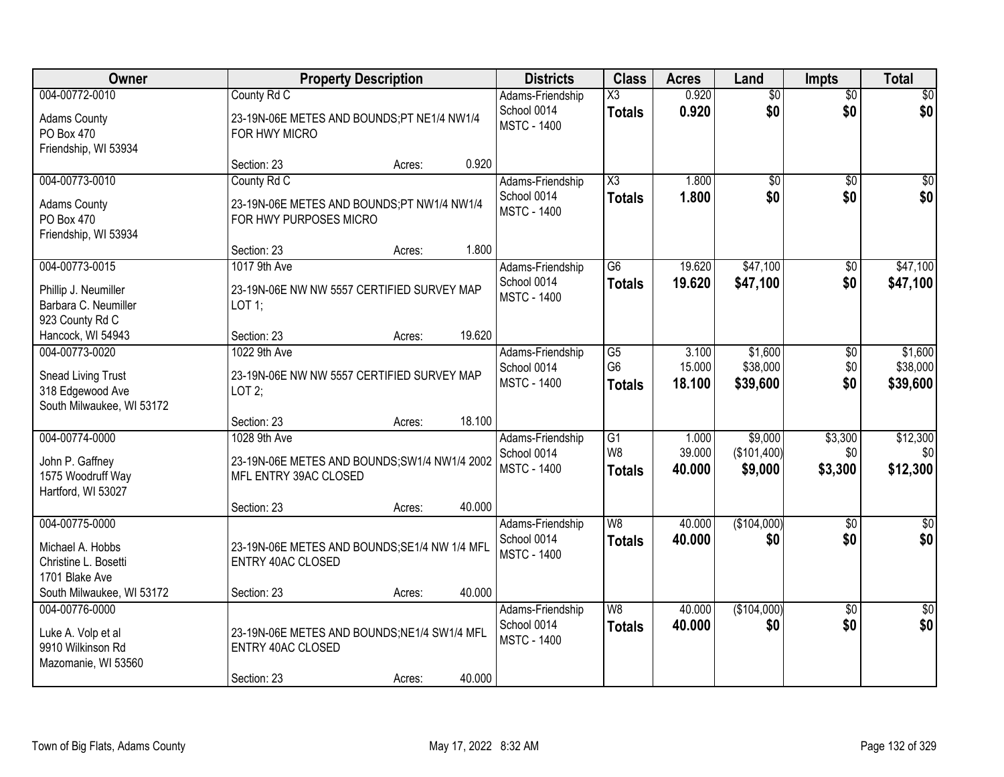|                                                                                       |                                                                                         |        |        | <b>Districts</b>                                      | <b>Class</b>                                       | <b>Acres</b>              | Land                            | <b>Impts</b>           | <b>Total</b>                    |
|---------------------------------------------------------------------------------------|-----------------------------------------------------------------------------------------|--------|--------|-------------------------------------------------------|----------------------------------------------------|---------------------------|---------------------------------|------------------------|---------------------------------|
| 004-00772-0010                                                                        | County Rd C                                                                             |        |        | Adams-Friendship                                      | $\overline{\text{X3}}$                             | 0.920                     | $\overline{50}$                 | $\overline{50}$        | $\overline{30}$                 |
| <b>Adams County</b><br>PO Box 470<br>Friendship, WI 53934                             | 23-19N-06E METES AND BOUNDS;PT NE1/4 NW1/4<br>FOR HWY MICRO                             |        |        | School 0014<br><b>MSTC - 1400</b>                     | <b>Totals</b>                                      | 0.920                     | \$0                             | \$0                    | \$0                             |
|                                                                                       | Section: 23                                                                             | Acres: | 0.920  |                                                       |                                                    |                           |                                 |                        |                                 |
| 004-00773-0010                                                                        | County Rd C                                                                             |        |        | Adams-Friendship                                      | $\overline{\text{X3}}$                             | 1.800                     | $\overline{50}$                 | $\overline{50}$        | $\sqrt{50}$                     |
| <b>Adams County</b><br>PO Box 470<br>Friendship, WI 53934                             | 23-19N-06E METES AND BOUNDS;PT NW1/4 NW1/4<br>FOR HWY PURPOSES MICRO                    |        |        | School 0014<br><b>MSTC - 1400</b>                     | <b>Totals</b>                                      | 1.800                     | \$0                             | \$0                    | \$0                             |
|                                                                                       | Section: 23                                                                             | Acres: | 1.800  |                                                       |                                                    |                           |                                 |                        |                                 |
| 004-00773-0015                                                                        | 1017 9th Ave                                                                            |        |        | Adams-Friendship                                      | G6                                                 | 19.620                    | \$47,100                        | \$0                    | \$47,100                        |
| Phillip J. Neumiller<br>Barbara C. Neumiller<br>923 County Rd C                       | 23-19N-06E NW NW 5557 CERTIFIED SURVEY MAP<br>LOT 1;                                    |        |        | School 0014<br><b>MSTC - 1400</b>                     | <b>Totals</b>                                      | 19.620                    | \$47,100                        | \$0                    | \$47,100                        |
| Hancock, WI 54943                                                                     | Section: 23                                                                             | Acres: | 19.620 |                                                       |                                                    |                           |                                 |                        |                                 |
| 004-00773-0020<br>Snead Living Trust<br>318 Edgewood Ave<br>South Milwaukee, WI 53172 | 1022 9th Ave<br>23-19N-06E NW NW 5557 CERTIFIED SURVEY MAP<br>LOT2;                     |        |        | Adams-Friendship<br>School 0014<br><b>MSTC - 1400</b> | $\overline{G5}$<br>G <sub>6</sub><br><b>Totals</b> | 3.100<br>15.000<br>18.100 | \$1,600<br>\$38,000<br>\$39,600 | \$0<br>\$0<br>\$0      | \$1,600<br>\$38,000<br>\$39,600 |
|                                                                                       | Section: 23                                                                             | Acres: | 18.100 |                                                       |                                                    |                           |                                 |                        |                                 |
| 004-00774-0000                                                                        | 1028 9th Ave                                                                            |        |        | Adams-Friendship                                      | $\overline{G1}$                                    | 1.000                     | \$9,000                         | \$3,300                | \$12,300                        |
| John P. Gaffney                                                                       | 23-19N-06E METES AND BOUNDS; SW1/4 NW1/4 2002                                           |        |        | School 0014                                           | W <sub>8</sub>                                     | 39.000                    | (\$101,400)                     | \$0                    | \$0                             |
| 1575 Woodruff Way<br>Hartford, WI 53027                                               | MFL ENTRY 39AC CLOSED                                                                   |        |        | <b>MSTC - 1400</b>                                    | <b>Totals</b>                                      | 40.000                    | \$9,000                         | \$3,300                | \$12,300                        |
|                                                                                       | Section: 23                                                                             | Acres: | 40.000 |                                                       |                                                    |                           |                                 |                        |                                 |
| 004-00775-0000                                                                        |                                                                                         |        |        | Adams-Friendship                                      | $\overline{\mathsf{W}8}$                           | 40.000                    | (\$104,000)                     | $\overline{50}$        | $\sqrt{50}$                     |
| Michael A. Hobbs<br>Christine L. Bosetti<br>1701 Blake Ave                            | 23-19N-06E METES AND BOUNDS; SE1/4 NW 1/4 MFL<br><b>ENTRY 40AC CLOSED</b>               |        |        | School 0014<br><b>MSTC - 1400</b>                     | <b>Totals</b>                                      | 40.000                    | \$0                             | \$0                    | \$0                             |
| South Milwaukee, WI 53172                                                             | Section: 23                                                                             | Acres: | 40.000 |                                                       |                                                    |                           |                                 |                        |                                 |
| 004-00776-0000<br>Luke A. Volp et al<br>9910 Wilkinson Rd<br>Mazomanie, WI 53560      | 23-19N-06E METES AND BOUNDS; NE1/4 SW1/4 MFL<br><b>ENTRY 40AC CLOSED</b><br>Section: 23 | Acres: | 40.000 | Adams-Friendship<br>School 0014<br><b>MSTC - 1400</b> | W8<br><b>Totals</b>                                | 40.000<br>40.000          | (\$104,000)<br>\$0              | $\overline{50}$<br>\$0 | $\frac{1}{6}$<br>\$0            |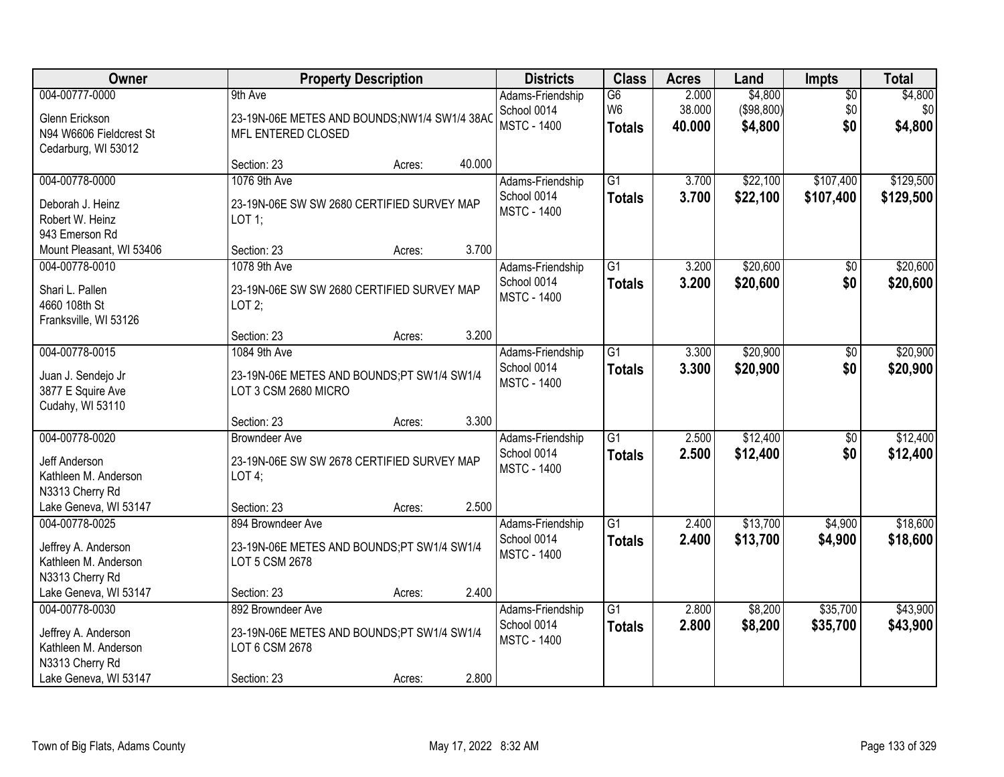| Owner                                                       | <b>Property Description</b>                                        |        |        | <b>Districts</b>                                      | <b>Class</b>                                       | <b>Acres</b>              | Land                             | <b>Impts</b>              | <b>Total</b>              |
|-------------------------------------------------------------|--------------------------------------------------------------------|--------|--------|-------------------------------------------------------|----------------------------------------------------|---------------------------|----------------------------------|---------------------------|---------------------------|
| 004-00777-0000<br>Glenn Erickson                            | 9th Ave<br>23-19N-06E METES AND BOUNDS;NW1/4 SW1/4 38AC            |        |        | Adams-Friendship<br>School 0014<br><b>MSTC - 1400</b> | $\overline{G6}$<br>W <sub>6</sub><br><b>Totals</b> | 2.000<br>38.000<br>40.000 | \$4,800<br>(\$98,800)<br>\$4,800 | $\sqrt{$0}$<br>\$0<br>\$0 | \$4,800<br>\$0<br>\$4,800 |
| N94 W6606 Fieldcrest St<br>Cedarburg, WI 53012              | MFL ENTERED CLOSED<br>Section: 23                                  | Acres: | 40.000 |                                                       |                                                    |                           |                                  |                           |                           |
| 004-00778-0000                                              | 1076 9th Ave                                                       |        |        | Adams-Friendship                                      | $\overline{G1}$                                    | 3.700                     | \$22,100                         | \$107,400                 | \$129,500                 |
| Deborah J. Heinz<br>Robert W. Heinz<br>943 Emerson Rd       | 23-19N-06E SW SW 2680 CERTIFIED SURVEY MAP<br>LOT 1;               |        |        | School 0014<br><b>MSTC - 1400</b>                     | <b>Totals</b>                                      | 3.700                     | \$22,100                         | \$107,400                 | \$129,500                 |
| Mount Pleasant, WI 53406                                    | Section: 23                                                        | Acres: | 3.700  |                                                       |                                                    |                           |                                  |                           |                           |
| 004-00778-0010                                              | 1078 9th Ave                                                       |        |        | Adams-Friendship                                      | $\overline{G1}$                                    | 3.200                     | \$20,600                         | \$0                       | \$20,600                  |
| Shari L. Pallen<br>4660 108th St<br>Franksville, WI 53126   | 23-19N-06E SW SW 2680 CERTIFIED SURVEY MAP<br>LOT2;                |        |        | School 0014<br><b>MSTC - 1400</b>                     | <b>Totals</b>                                      | 3.200                     | \$20,600                         | \$0                       | \$20,600                  |
|                                                             | Section: 23                                                        | Acres: | 3.200  |                                                       |                                                    |                           |                                  |                           |                           |
| 004-00778-0015                                              | 1084 9th Ave                                                       |        |        | Adams-Friendship                                      | $\overline{G1}$                                    | 3.300                     | \$20,900                         | $\sqrt[6]{3}$             | \$20,900                  |
| Juan J. Sendejo Jr<br>3877 E Squire Ave<br>Cudahy, WI 53110 | 23-19N-06E METES AND BOUNDS;PT SW1/4 SW1/4<br>LOT 3 CSM 2680 MICRO |        |        | School 0014<br><b>MSTC - 1400</b>                     | <b>Totals</b>                                      | 3.300                     | \$20,900                         | \$0                       | \$20,900                  |
|                                                             | Section: 23                                                        | Acres: | 3.300  |                                                       |                                                    |                           |                                  |                           |                           |
| 004-00778-0020                                              | <b>Browndeer Ave</b>                                               |        |        | Adams-Friendship                                      | $\overline{G1}$                                    | 2.500                     | \$12,400                         | $\overline{50}$           | \$12,400                  |
| Jeff Anderson                                               | 23-19N-06E SW SW 2678 CERTIFIED SURVEY MAP                         |        |        | School 0014                                           | <b>Totals</b>                                      | 2.500                     | \$12,400                         | \$0                       | \$12,400                  |
| Kathleen M. Anderson                                        | $LOT4$ ;                                                           |        |        | <b>MSTC - 1400</b>                                    |                                                    |                           |                                  |                           |                           |
| N3313 Cherry Rd                                             |                                                                    |        |        |                                                       |                                                    |                           |                                  |                           |                           |
| Lake Geneva, WI 53147                                       | Section: 23                                                        | Acres: | 2.500  |                                                       |                                                    |                           |                                  |                           |                           |
| 004-00778-0025                                              | 894 Browndeer Ave                                                  |        |        | Adams-Friendship                                      | $\overline{G1}$                                    | 2.400                     | \$13,700                         | \$4,900                   | \$18,600                  |
| Jeffrey A. Anderson                                         | 23-19N-06E METES AND BOUNDS;PT SW1/4 SW1/4                         |        |        | School 0014                                           | <b>Totals</b>                                      | 2.400                     | \$13,700                         | \$4,900                   | \$18,600                  |
| Kathleen M. Anderson                                        | LOT 5 CSM 2678                                                     |        |        | <b>MSTC - 1400</b>                                    |                                                    |                           |                                  |                           |                           |
| N3313 Cherry Rd                                             |                                                                    |        |        |                                                       |                                                    |                           |                                  |                           |                           |
| Lake Geneva, WI 53147                                       | Section: 23                                                        | Acres: | 2.400  |                                                       |                                                    |                           |                                  |                           |                           |
| 004-00778-0030                                              | 892 Browndeer Ave                                                  |        |        | Adams-Friendship                                      | $\overline{G1}$                                    | 2.800                     | \$8,200                          | \$35,700                  | \$43,900                  |
| Jeffrey A. Anderson                                         | 23-19N-06E METES AND BOUNDS;PT SW1/4 SW1/4                         |        |        | School 0014                                           | <b>Totals</b>                                      | 2.800                     | \$8,200                          | \$35,700                  | \$43,900                  |
| Kathleen M. Anderson                                        | LOT 6 CSM 2678                                                     |        |        | <b>MSTC - 1400</b>                                    |                                                    |                           |                                  |                           |                           |
| N3313 Cherry Rd                                             |                                                                    |        |        |                                                       |                                                    |                           |                                  |                           |                           |
| Lake Geneva, WI 53147                                       | Section: 23                                                        | Acres: | 2.800  |                                                       |                                                    |                           |                                  |                           |                           |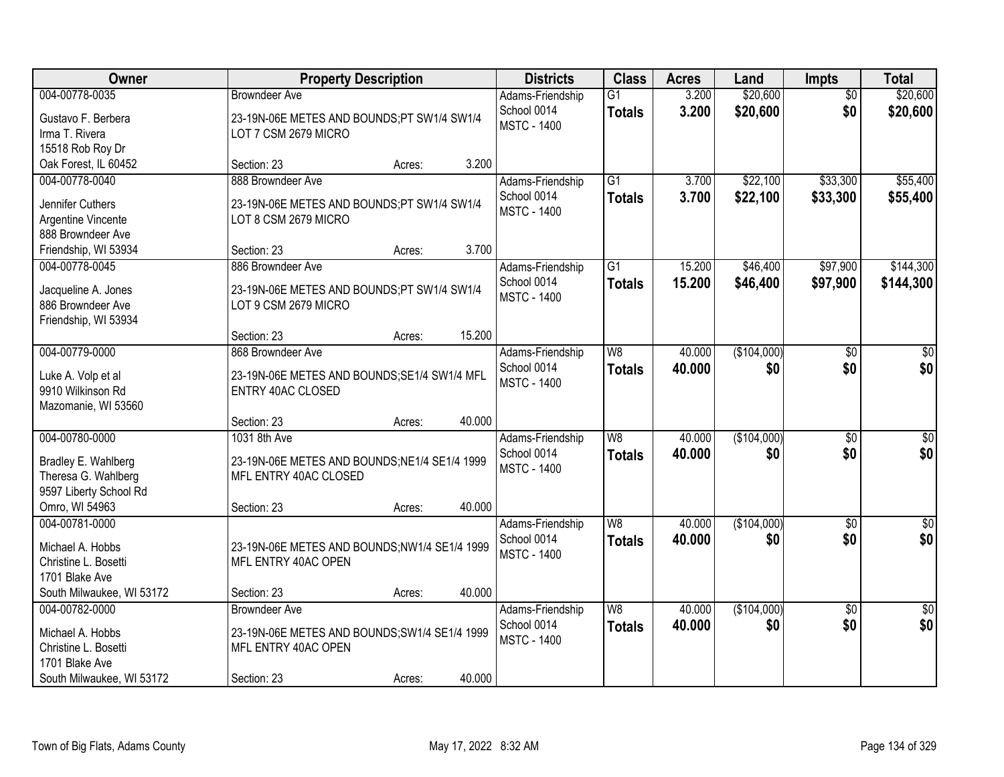| Owner                                         | <b>Property Description</b>                   |        |        | <b>Districts</b>                  | <b>Class</b>             | <b>Acres</b> | Land        | <b>Impts</b>    | <b>Total</b>     |
|-----------------------------------------------|-----------------------------------------------|--------|--------|-----------------------------------|--------------------------|--------------|-------------|-----------------|------------------|
| 004-00778-0035                                | <b>Browndeer Ave</b>                          |        |        | Adams-Friendship                  | $\overline{G1}$          | 3.200        | \$20,600    | $\overline{50}$ | \$20,600         |
| Gustavo F. Berbera                            | 23-19N-06E METES AND BOUNDS;PT SW1/4 SW1/4    |        |        | School 0014<br><b>MSTC - 1400</b> | <b>Totals</b>            | 3.200        | \$20,600    | \$0             | \$20,600         |
| Irma T. Rivera                                | LOT 7 CSM 2679 MICRO                          |        |        |                                   |                          |              |             |                 |                  |
| 15518 Rob Roy Dr                              |                                               |        |        |                                   |                          |              |             |                 |                  |
| Oak Forest, IL 60452                          | Section: 23                                   | Acres: | 3.200  |                                   |                          |              |             |                 |                  |
| 004-00778-0040                                | 888 Browndeer Ave                             |        |        | Adams-Friendship                  | $\overline{G1}$          | 3.700        | \$22,100    | \$33,300        | \$55,400         |
| Jennifer Cuthers                              | 23-19N-06E METES AND BOUNDS;PT SW1/4 SW1/4    |        |        | School 0014<br><b>MSTC - 1400</b> | <b>Totals</b>            | 3.700        | \$22,100    | \$33,300        | \$55,400         |
| Argentine Vincente                            | LOT 8 CSM 2679 MICRO                          |        |        |                                   |                          |              |             |                 |                  |
| 888 Browndeer Ave                             |                                               |        |        |                                   |                          |              |             |                 |                  |
| Friendship, WI 53934                          | Section: 23                                   | Acres: | 3.700  |                                   |                          |              |             |                 |                  |
| 004-00778-0045                                | 886 Browndeer Ave                             |        |        | Adams-Friendship                  | $\overline{G1}$          | 15.200       | \$46,400    | \$97,900        | \$144,300        |
| Jacqueline A. Jones                           | 23-19N-06E METES AND BOUNDS;PT SW1/4 SW1/4    |        |        | School 0014                       | <b>Totals</b>            | 15.200       | \$46,400    | \$97,900        | \$144,300        |
| 886 Browndeer Ave                             | LOT 9 CSM 2679 MICRO                          |        |        | <b>MSTC - 1400</b>                |                          |              |             |                 |                  |
| Friendship, WI 53934                          |                                               |        |        |                                   |                          |              |             |                 |                  |
|                                               | Section: 23                                   | Acres: | 15.200 |                                   |                          |              |             |                 |                  |
| 004-00779-0000                                | 868 Browndeer Ave                             |        |        | Adams-Friendship                  | $\overline{W8}$          | 40.000       | (\$104,000) | \$0             | \$0              |
| Luke A. Volp et al                            | 23-19N-06E METES AND BOUNDS;SE1/4 SW1/4 MFL   |        |        | School 0014                       | <b>Totals</b>            | 40.000       | \$0         | \$0             | \$0              |
| 9910 Wilkinson Rd                             | <b>ENTRY 40AC CLOSED</b>                      |        |        | <b>MSTC - 1400</b>                |                          |              |             |                 |                  |
| Mazomanie, WI 53560                           |                                               |        |        |                                   |                          |              |             |                 |                  |
|                                               | Section: 23                                   | Acres: | 40.000 |                                   |                          |              |             |                 |                  |
| 004-00780-0000                                | 1031 8th Ave                                  |        |        | Adams-Friendship                  | $\overline{\mathsf{W8}}$ | 40.000       | (\$104,000) | $\overline{30}$ | $\overline{\$0}$ |
|                                               |                                               |        |        | School 0014                       | <b>Totals</b>            | 40.000       | \$0         | \$0             | \$0              |
| Bradley E. Wahlberg                           | 23-19N-06E METES AND BOUNDS; NE1/4 SE1/4 1999 |        |        | <b>MSTC - 1400</b>                |                          |              |             |                 |                  |
| Theresa G. Wahlberg<br>9597 Liberty School Rd | MFL ENTRY 40AC CLOSED                         |        |        |                                   |                          |              |             |                 |                  |
| Omro, WI 54963                                | Section: 23                                   | Acres: | 40.000 |                                   |                          |              |             |                 |                  |
| 004-00781-0000                                |                                               |        |        | Adams-Friendship                  | $\overline{W8}$          | 40.000       | (\$104,000) | $\sqrt{6}$      | $\sqrt{50}$      |
|                                               |                                               |        |        | School 0014                       | <b>Totals</b>            | 40.000       | \$0         | \$0             | \$0              |
| Michael A. Hobbs                              | 23-19N-06E METES AND BOUNDS;NW1/4 SE1/4 1999  |        |        | <b>MSTC - 1400</b>                |                          |              |             |                 |                  |
| Christine L. Bosetti                          | MFL ENTRY 40AC OPEN                           |        |        |                                   |                          |              |             |                 |                  |
| 1701 Blake Ave                                |                                               |        |        |                                   |                          |              |             |                 |                  |
| South Milwaukee, WI 53172                     | Section: 23                                   | Acres: | 40.000 |                                   |                          |              |             |                 |                  |
| 004-00782-0000                                | <b>Browndeer Ave</b>                          |        |        | Adams-Friendship                  | W8                       | 40.000       | (\$104,000) | $\overline{50}$ | $\sqrt{30}$      |
| Michael A. Hobbs                              | 23-19N-06E METES AND BOUNDS; SW1/4 SE1/4 1999 |        |        | School 0014<br><b>MSTC - 1400</b> | <b>Totals</b>            | 40.000       | \$0         | \$0             | \$0              |
| Christine L. Bosetti                          | MFL ENTRY 40AC OPEN                           |        |        |                                   |                          |              |             |                 |                  |
| 1701 Blake Ave                                |                                               |        |        |                                   |                          |              |             |                 |                  |
| South Milwaukee, WI 53172                     | Section: 23                                   | Acres: | 40.000 |                                   |                          |              |             |                 |                  |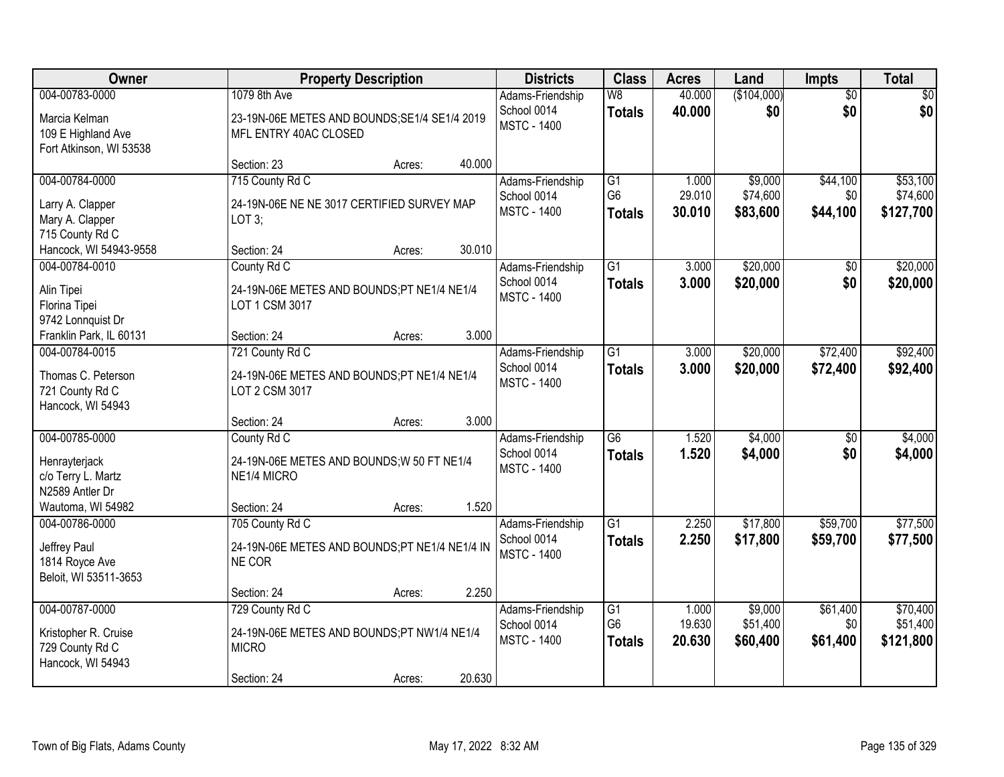| Owner                                                                                         |                                                                                              | <b>Property Description</b> |        | <b>Districts</b>                                      | <b>Class</b>                                       | <b>Acres</b>              | Land                            | Impts                       | <b>Total</b>                      |
|-----------------------------------------------------------------------------------------------|----------------------------------------------------------------------------------------------|-----------------------------|--------|-------------------------------------------------------|----------------------------------------------------|---------------------------|---------------------------------|-----------------------------|-----------------------------------|
| 004-00783-0000<br>Marcia Kelman<br>109 E Highland Ave                                         | 1079 8th Ave<br>23-19N-06E METES AND BOUNDS; SE1/4 SE1/4 2019<br>MFL ENTRY 40AC CLOSED       |                             |        | Adams-Friendship<br>School 0014<br><b>MSTC - 1400</b> | W8<br><b>Totals</b>                                | 40.000<br>40.000          | (\$104,000)<br>\$0              | $\overline{50}$<br>\$0      | \$0<br>\$0                        |
| Fort Atkinson, WI 53538                                                                       | Section: 23                                                                                  | Acres:                      | 40.000 |                                                       |                                                    |                           |                                 |                             |                                   |
| 004-00784-0000<br>Larry A. Clapper<br>Mary A. Clapper                                         | 715 County Rd C<br>24-19N-06E NE NE 3017 CERTIFIED SURVEY MAP<br>LOT 3;                      |                             |        | Adams-Friendship<br>School 0014<br><b>MSTC - 1400</b> | G1<br>G <sub>6</sub><br><b>Totals</b>              | 1.000<br>29.010<br>30.010 | \$9,000<br>\$74,600<br>\$83,600 | \$44,100<br>\$0<br>\$44,100 | \$53,100<br>\$74,600<br>\$127,700 |
| 715 County Rd C<br>Hancock, WI 54943-9558                                                     | Section: 24                                                                                  | Acres:                      | 30.010 |                                                       |                                                    |                           |                                 |                             |                                   |
| 004-00784-0010<br>Alin Tipei<br>Florina Tipei<br>9742 Lonnquist Dr                            | County Rd C<br>24-19N-06E METES AND BOUNDS;PT NE1/4 NE1/4<br>LOT 1 CSM 3017                  |                             |        | Adams-Friendship<br>School 0014<br><b>MSTC - 1400</b> | $\overline{G1}$<br><b>Totals</b>                   | 3.000<br>3.000            | \$20,000<br>\$20,000            | $\overline{50}$<br>\$0      | \$20,000<br>\$20,000              |
| Franklin Park, IL 60131                                                                       | Section: 24                                                                                  | Acres:                      | 3.000  |                                                       |                                                    |                           |                                 |                             |                                   |
| 004-00784-0015<br>Thomas C. Peterson<br>721 County Rd C<br>Hancock, WI 54943                  | 721 County Rd C<br>24-19N-06E METES AND BOUNDS;PT NE1/4 NE1/4<br>LOT 2 CSM 3017              |                             |        | Adams-Friendship<br>School 0014<br><b>MSTC - 1400</b> | $\overline{G1}$<br><b>Totals</b>                   | 3.000<br>3.000            | \$20,000<br>\$20,000            | \$72,400<br>\$72,400        | \$92,400<br>\$92,400              |
|                                                                                               | Section: 24                                                                                  | Acres:                      | 3.000  |                                                       |                                                    |                           |                                 |                             |                                   |
| 004-00785-0000<br>Henrayterjack<br>c/o Terry L. Martz<br>N2589 Antler Dr<br>Wautoma, WI 54982 | County Rd C<br>24-19N-06E METES AND BOUNDS; W 50 FT NE1/4<br>NE1/4 MICRO<br>Section: 24      | Acres:                      | 1.520  | Adams-Friendship<br>School 0014<br><b>MSTC - 1400</b> | $\overline{G6}$<br><b>Totals</b>                   | 1.520<br>1.520            | \$4,000<br>\$4,000              | $\overline{50}$<br>\$0      | \$4,000<br>\$4,000                |
| 004-00786-0000                                                                                | 705 County Rd C                                                                              |                             |        | Adams-Friendship                                      | G1                                                 | 2.250                     | \$17,800                        | \$59,700                    | \$77,500                          |
| Jeffrey Paul<br>1814 Royce Ave<br>Beloit, WI 53511-3653                                       | 24-19N-06E METES AND BOUNDS;PT NE1/4 NE1/4 IN<br>NE COR                                      |                             |        | School 0014<br><b>MSTC - 1400</b>                     | <b>Totals</b>                                      | 2.250                     | \$17,800                        | \$59,700                    | \$77,500                          |
|                                                                                               | Section: 24                                                                                  | Acres:                      | 2.250  |                                                       |                                                    |                           |                                 |                             |                                   |
| 004-00787-0000<br>Kristopher R. Cruise<br>729 County Rd C<br>Hancock, WI 54943                | 729 County Rd C<br>24-19N-06E METES AND BOUNDS;PT NW1/4 NE1/4<br><b>MICRO</b><br>Section: 24 | Acres:                      | 20.630 | Adams-Friendship<br>School 0014<br><b>MSTC - 1400</b> | $\overline{G1}$<br>G <sub>6</sub><br><b>Totals</b> | 1.000<br>19.630<br>20.630 | \$9,000<br>\$51,400<br>\$60,400 | \$61,400<br>\$0<br>\$61,400 | \$70,400<br>\$51,400<br>\$121,800 |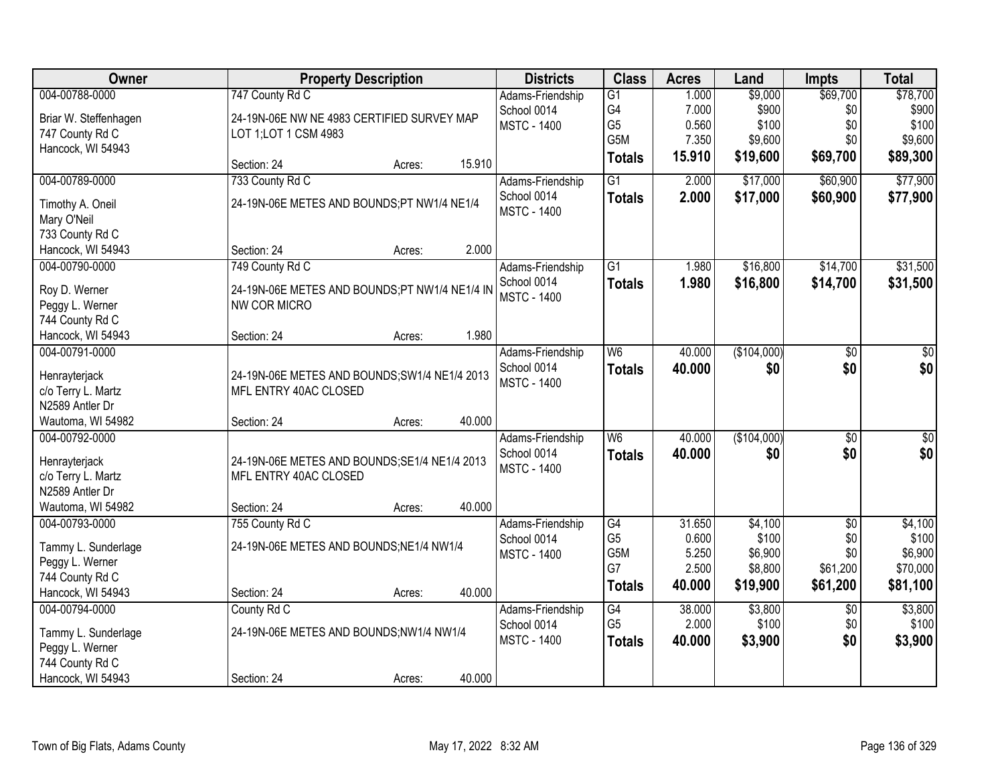| Owner                                                                    | <b>Property Description</b>                                            |        |        | <b>Districts</b>                                      | <b>Class</b>                    | <b>Acres</b>            | Land                        | <b>Impts</b>           | <b>Total</b>                 |
|--------------------------------------------------------------------------|------------------------------------------------------------------------|--------|--------|-------------------------------------------------------|---------------------------------|-------------------------|-----------------------------|------------------------|------------------------------|
| 004-00788-0000<br>Briar W. Steffenhagen                                  | 747 County Rd C<br>24-19N-06E NW NE 4983 CERTIFIED SURVEY MAP          |        |        | Adams-Friendship<br>School 0014<br><b>MSTC - 1400</b> | G1<br>G4<br>G <sub>5</sub>      | 1.000<br>7.000<br>0.560 | \$9,000<br>\$900<br>\$100   | \$69,700<br>\$0<br>\$0 | \$78,700<br>\$900<br>\$100   |
| 747 County Rd C<br>Hancock, WI 54943                                     | LOT 1; LOT 1 CSM 4983                                                  |        |        |                                                       | G5M<br><b>Totals</b>            | 7.350<br>15.910         | \$9,600<br>\$19,600         | \$0<br>\$69,700        | \$9,600<br>\$89,300          |
|                                                                          | Section: 24                                                            | Acres: | 15.910 |                                                       |                                 |                         |                             |                        |                              |
| 004-00789-0000                                                           | 733 County Rd C                                                        |        |        | Adams-Friendship                                      | $\overline{G1}$                 | 2.000                   | \$17,000                    | \$60,900               | \$77,900                     |
| Timothy A. Oneil<br>Mary O'Neil                                          | 24-19N-06E METES AND BOUNDS;PT NW1/4 NE1/4                             |        |        | School 0014<br><b>MSTC - 1400</b>                     | <b>Totals</b>                   | 2.000                   | \$17,000                    | \$60,900               | \$77,900                     |
| 733 County Rd C                                                          |                                                                        |        |        |                                                       |                                 |                         |                             |                        |                              |
| Hancock, WI 54943                                                        | Section: 24                                                            | Acres: | 2.000  |                                                       |                                 |                         |                             |                        |                              |
| 004-00790-0000                                                           | 749 County Rd C                                                        |        |        | Adams-Friendship                                      | $\overline{G1}$                 | 1.980                   | \$16,800                    | \$14,700               | \$31,500                     |
| Roy D. Werner<br>Peggy L. Werner                                         | 24-19N-06E METES AND BOUNDS;PT NW1/4 NE1/4 IN<br>NW COR MICRO          |        |        | School 0014<br><b>MSTC - 1400</b>                     | <b>Totals</b>                   | 1.980                   | \$16,800                    | \$14,700               | \$31,500                     |
| 744 County Rd C                                                          |                                                                        |        |        |                                                       |                                 |                         |                             |                        |                              |
| Hancock, WI 54943                                                        | Section: 24                                                            | Acres: | 1.980  |                                                       |                                 |                         |                             |                        |                              |
| 004-00791-0000<br>Henrayterjack<br>c/o Terry L. Martz<br>N2589 Antler Dr | 24-19N-06E METES AND BOUNDS; SW1/4 NE1/4 2013<br>MFL ENTRY 40AC CLOSED |        |        | Adams-Friendship<br>School 0014<br><b>MSTC - 1400</b> | W <sub>6</sub><br><b>Totals</b> | 40.000<br>40.000        | (\$104,000)<br>\$0          | \$0<br>\$0             | \$0<br>\$0                   |
| Wautoma, WI 54982                                                        | Section: 24                                                            | Acres: | 40.000 |                                                       |                                 |                         |                             |                        |                              |
| 004-00792-0000<br>Henrayterjack                                          | 24-19N-06E METES AND BOUNDS; SE1/4 NE1/4 2013                          |        |        | Adams-Friendship<br>School 0014                       | W <sub>6</sub><br><b>Totals</b> | 40.000<br>40.000        | (\$104,000)<br>\$0          | $\overline{50}$<br>\$0 | $\overline{\$0}$<br>\$0      |
| c/o Terry L. Martz                                                       | MFL ENTRY 40AC CLOSED                                                  |        |        | <b>MSTC - 1400</b>                                    |                                 |                         |                             |                        |                              |
| N2589 Antler Dr                                                          |                                                                        |        |        |                                                       |                                 |                         |                             |                        |                              |
| Wautoma, WI 54982                                                        | Section: 24                                                            | Acres: | 40.000 |                                                       |                                 |                         |                             |                        |                              |
| 004-00793-0000                                                           | 755 County Rd C                                                        |        |        | Adams-Friendship                                      | G4                              | 31.650                  | \$4,100                     | $\overline{50}$        | \$4,100                      |
| Tammy L. Sunderlage<br>Peggy L. Werner<br>744 County Rd C                | 24-19N-06E METES AND BOUNDS; NE1/4 NW1/4                               |        |        | School 0014<br><b>MSTC - 1400</b>                     | G <sub>5</sub><br>G5M<br>G7     | 0.600<br>5.250<br>2.500 | \$100<br>\$6,900<br>\$8,800 | \$0<br>\$0<br>\$61,200 | \$100<br>\$6,900<br>\$70,000 |
| Hancock, WI 54943                                                        | Section: 24                                                            | Acres: | 40.000 |                                                       | <b>Totals</b>                   | 40.000                  | \$19,900                    | \$61,200               | \$81,100                     |
| 004-00794-0000                                                           | County Rd C                                                            |        |        | Adams-Friendship                                      | G4                              | 38.000                  | \$3,800                     | $\overline{50}$        | \$3,800                      |
| Tammy L. Sunderlage<br>Peggy L. Werner<br>744 County Rd C                | 24-19N-06E METES AND BOUNDS;NW1/4 NW1/4                                |        |        | School 0014<br><b>MSTC - 1400</b>                     | G <sub>5</sub><br><b>Totals</b> | 2.000<br>40.000         | \$100<br>\$3,900            | \$0<br>\$0             | \$100<br>\$3,900             |
| Hancock, WI 54943                                                        | Section: 24                                                            | Acres: | 40.000 |                                                       |                                 |                         |                             |                        |                              |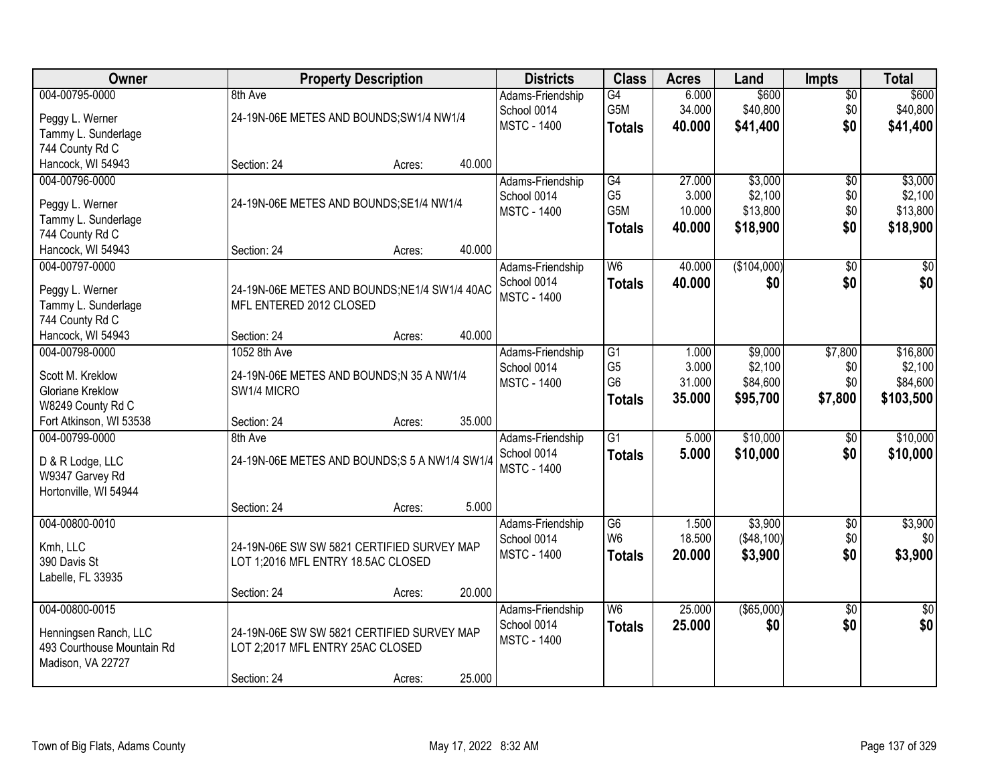| <b>Owner</b>                                 |                                                | <b>Property Description</b> |        | <b>Districts</b>                | <b>Class</b>    | <b>Acres</b> | Land        | <b>Impts</b>    | <b>Total</b>    |
|----------------------------------------------|------------------------------------------------|-----------------------------|--------|---------------------------------|-----------------|--------------|-------------|-----------------|-----------------|
| 004-00795-0000                               | 8th Ave                                        |                             |        | Adams-Friendship                | G4              | 6.000        | \$600       | $\overline{50}$ | \$600           |
| Peggy L. Werner                              | 24-19N-06E METES AND BOUNDS; SW1/4 NW1/4       |                             |        | School 0014                     | G5M             | 34.000       | \$40,800    | \$0             | \$40,800        |
| Tammy L. Sunderlage                          |                                                |                             |        | <b>MSTC - 1400</b>              | <b>Totals</b>   | 40.000       | \$41,400    | \$0             | \$41,400        |
| 744 County Rd C                              |                                                |                             |        |                                 |                 |              |             |                 |                 |
| Hancock, WI 54943                            | Section: 24                                    | Acres:                      | 40.000 |                                 |                 |              |             |                 |                 |
| 004-00796-0000                               |                                                |                             |        | Adams-Friendship                | G4              | 27.000       | \$3,000     | $\overline{50}$ | \$3,000         |
|                                              |                                                |                             |        | School 0014                     | G <sub>5</sub>  | 3.000        | \$2,100     | \$0             | \$2,100         |
| Peggy L. Werner                              | 24-19N-06E METES AND BOUNDS; SE1/4 NW1/4       |                             |        | <b>MSTC - 1400</b>              | G5M             | 10.000       | \$13,800    | \$0             | \$13,800        |
| Tammy L. Sunderlage                          |                                                |                             |        |                                 | <b>Totals</b>   | 40.000       | \$18,900    | \$0             | \$18,900        |
| 744 County Rd C                              |                                                |                             |        |                                 |                 |              |             |                 |                 |
| Hancock, WI 54943                            | Section: 24                                    | Acres:                      | 40.000 |                                 |                 |              |             |                 |                 |
| 004-00797-0000                               |                                                |                             |        | Adams-Friendship                | W6              | 40.000       | (\$104,000) | $\overline{50}$ | $\overline{50}$ |
| Peggy L. Werner                              | 24-19N-06E METES AND BOUNDS;NE1/4 SW1/4 40AC   |                             |        | School 0014                     | <b>Totals</b>   | 40.000       | \$0         | \$0             | \$0             |
| Tammy L. Sunderlage                          | MFL ENTERED 2012 CLOSED                        |                             |        | <b>MSTC - 1400</b>              |                 |              |             |                 |                 |
| 744 County Rd C                              |                                                |                             |        |                                 |                 |              |             |                 |                 |
| Hancock, WI 54943                            | Section: 24                                    | Acres:                      | 40.000 |                                 |                 |              |             |                 |                 |
| 004-00798-0000                               | 1052 8th Ave                                   |                             |        | Adams-Friendship                | G1              | 1.000        | \$9,000     | \$7,800         | \$16,800        |
|                                              |                                                |                             |        | School 0014                     | G <sub>5</sub>  | 3.000        | \$2,100     | \$0             | \$2,100         |
| Scott M. Kreklow                             | 24-19N-06E METES AND BOUNDS;N 35 A NW1/4       |                             |        | <b>MSTC - 1400</b>              | G <sub>6</sub>  | 31.000       | \$84,600    | \$0             | \$84,600        |
| <b>Gloriane Kreklow</b>                      | SW1/4 MICRO                                    |                             |        |                                 | <b>Totals</b>   | 35.000       | \$95,700    | \$7,800         | \$103,500       |
| W8249 County Rd C<br>Fort Atkinson, WI 53538 | Section: 24                                    |                             | 35.000 |                                 |                 |              |             |                 |                 |
| 004-00799-0000                               | 8th Ave                                        | Acres:                      |        |                                 | $\overline{G1}$ | 5.000        | \$10,000    | \$0             | \$10,000        |
|                                              |                                                |                             |        | Adams-Friendship<br>School 0014 |                 |              |             |                 |                 |
| D & R Lodge, LLC                             | 24-19N-06E METES AND BOUNDS; S 5 A NW1/4 SW1/4 |                             |        | <b>MSTC - 1400</b>              | <b>Totals</b>   | 5.000        | \$10,000    | \$0             | \$10,000        |
| W9347 Garvey Rd                              |                                                |                             |        |                                 |                 |              |             |                 |                 |
| Hortonville, WI 54944                        |                                                |                             |        |                                 |                 |              |             |                 |                 |
|                                              | Section: 24                                    | Acres:                      | 5.000  |                                 |                 |              |             |                 |                 |
| 004-00800-0010                               |                                                |                             |        | Adams-Friendship                | G6              | 1.500        | \$3,900     | $\sqrt{$0}$     | \$3,900         |
| Kmh, LLC                                     | 24-19N-06E SW SW 5821 CERTIFIED SURVEY MAP     |                             |        | School 0014                     | W <sub>6</sub>  | 18.500       | (\$48,100)  | \$0             | \$0             |
| 390 Davis St                                 | LOT 1;2016 MFL ENTRY 18.5AC CLOSED             |                             |        | <b>MSTC - 1400</b>              | <b>Totals</b>   | 20.000       | \$3,900     | \$0             | \$3,900         |
| Labelle, FL 33935                            |                                                |                             |        |                                 |                 |              |             |                 |                 |
|                                              | Section: 24                                    | Acres:                      | 20.000 |                                 |                 |              |             |                 |                 |
| 004-00800-0015                               |                                                |                             |        | Adams-Friendship                | W <sub>6</sub>  | 25.000       | ( \$65,000) | $\overline{50}$ | $\frac{1}{2}$   |
|                                              |                                                |                             |        | School 0014                     | <b>Totals</b>   | 25.000       | \$0         | \$0             | \$0             |
| Henningsen Ranch, LLC                        | 24-19N-06E SW SW 5821 CERTIFIED SURVEY MAP     |                             |        | <b>MSTC - 1400</b>              |                 |              |             |                 |                 |
| 493 Courthouse Mountain Rd                   | LOT 2;2017 MFL ENTRY 25AC CLOSED               |                             |        |                                 |                 |              |             |                 |                 |
| Madison, VA 22727                            |                                                |                             |        |                                 |                 |              |             |                 |                 |
|                                              | Section: 24                                    | Acres:                      | 25.000 |                                 |                 |              |             |                 |                 |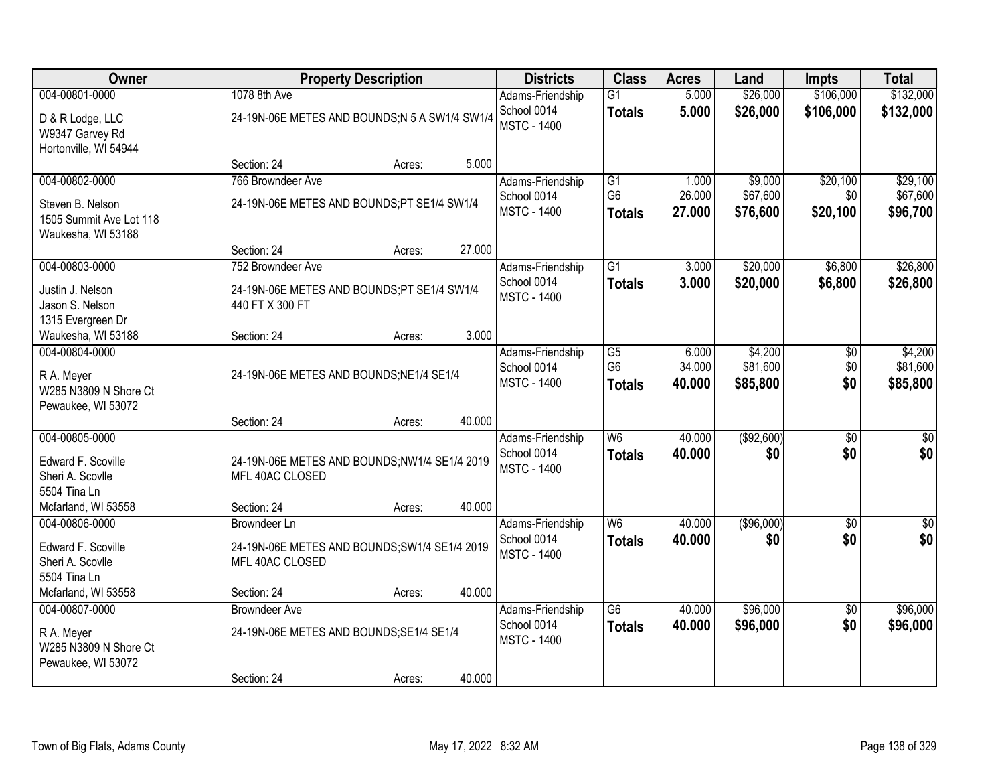| Owner                                 |                                               | <b>Property Description</b> |        | <b>Districts</b>                  | <b>Class</b>                      | <b>Acres</b>     | Land                 | <b>Impts</b>           | <b>Total</b>            |
|---------------------------------------|-----------------------------------------------|-----------------------------|--------|-----------------------------------|-----------------------------------|------------------|----------------------|------------------------|-------------------------|
| 004-00801-0000                        | 1078 8th Ave                                  |                             |        | Adams-Friendship                  | $\overline{G1}$                   | 5.000            | \$26,000             | \$106,000              | \$132,000               |
| D & R Lodge, LLC                      | 24-19N-06E METES AND BOUNDS;N 5 A SW1/4 SW1/4 |                             |        | School 0014                       | <b>Totals</b>                     | 5.000            | \$26,000             | \$106,000              | \$132,000               |
| W9347 Garvey Rd                       |                                               |                             |        | <b>MSTC - 1400</b>                |                                   |                  |                      |                        |                         |
| Hortonville, WI 54944                 |                                               |                             |        |                                   |                                   |                  |                      |                        |                         |
|                                       | Section: 24                                   | Acres:                      | 5.000  |                                   |                                   |                  |                      |                        |                         |
| 004-00802-0000                        | 766 Browndeer Ave                             |                             |        | Adams-Friendship                  | $\overline{G1}$<br>G <sub>6</sub> | 1.000            | \$9,000              | \$20,100               | \$29,100                |
| Steven B. Nelson                      | 24-19N-06E METES AND BOUNDS;PT SE1/4 SW1/4    |                             |        | School 0014<br><b>MSTC - 1400</b> |                                   | 26.000<br>27,000 | \$67,600<br>\$76,600 | \$0<br>\$20,100        | \$67,600<br>\$96,700    |
| 1505 Summit Ave Lot 118               |                                               |                             |        |                                   | <b>Totals</b>                     |                  |                      |                        |                         |
| Waukesha, WI 53188                    |                                               |                             |        |                                   |                                   |                  |                      |                        |                         |
|                                       | Section: 24                                   | Acres:                      | 27.000 |                                   |                                   |                  |                      |                        |                         |
| 004-00803-0000                        | 752 Browndeer Ave                             |                             |        | Adams-Friendship<br>School 0014   | G1                                | 3.000            | \$20,000             | \$6,800                | \$26,800                |
| Justin J. Nelson                      | 24-19N-06E METES AND BOUNDS;PT SE1/4 SW1/4    |                             |        | <b>MSTC - 1400</b>                | <b>Totals</b>                     | 3.000            | \$20,000             | \$6,800                | \$26,800                |
| Jason S. Nelson                       | 440 FT X 300 FT                               |                             |        |                                   |                                   |                  |                      |                        |                         |
| 1315 Evergreen Dr                     |                                               |                             |        |                                   |                                   |                  |                      |                        |                         |
| Waukesha, WI 53188                    | Section: 24                                   | Acres:                      | 3.000  |                                   |                                   |                  |                      |                        |                         |
| 004-00804-0000                        |                                               |                             |        | Adams-Friendship<br>School 0014   | G5<br>G <sub>6</sub>              | 6.000<br>34.000  | \$4,200<br>\$81,600  | \$0<br>\$0             | \$4,200<br>\$81,600     |
| R A. Meyer                            | 24-19N-06E METES AND BOUNDS; NE1/4 SE1/4      |                             |        | <b>MSTC - 1400</b>                | <b>Totals</b>                     | 40.000           | \$85,800             | \$0                    | \$85,800                |
| W285 N3809 N Shore Ct                 |                                               |                             |        |                                   |                                   |                  |                      |                        |                         |
| Pewaukee, WI 53072                    |                                               |                             |        |                                   |                                   |                  |                      |                        |                         |
|                                       | Section: 24                                   | Acres:                      | 40.000 |                                   |                                   |                  |                      |                        |                         |
| 004-00805-0000                        |                                               |                             |        | Adams-Friendship<br>School 0014   | W6                                | 40.000<br>40.000 | (\$92,600)<br>\$0    | $\overline{30}$        | $\overline{30}$         |
| Edward F. Scoville                    | 24-19N-06E METES AND BOUNDS;NW1/4 SE1/4 2019  |                             |        | <b>MSTC - 1400</b>                | <b>Totals</b>                     |                  |                      | \$0                    | \$0                     |
| Sheri A. Scovlle                      | MFL 40AC CLOSED                               |                             |        |                                   |                                   |                  |                      |                        |                         |
| 5504 Tina Ln                          |                                               |                             |        |                                   |                                   |                  |                      |                        |                         |
| Mcfarland, WI 53558                   | Section: 24                                   | Acres:                      | 40.000 |                                   | W <sub>6</sub>                    | 40.000           |                      |                        |                         |
| 004-00806-0000                        | <b>Browndeer Ln</b>                           |                             |        | Adams-Friendship<br>School 0014   |                                   | 40.000           | (\$96,000)<br>\$0    | $\overline{50}$<br>\$0 | $\overline{\$0}$<br>\$0 |
| Edward F. Scoville                    | 24-19N-06E METES AND BOUNDS; SW1/4 SE1/4 2019 |                             |        | <b>MSTC - 1400</b>                | <b>Totals</b>                     |                  |                      |                        |                         |
| Sheri A. Scovlle                      | MFL 40AC CLOSED                               |                             |        |                                   |                                   |                  |                      |                        |                         |
| 5504 Tina Ln                          |                                               |                             |        |                                   |                                   |                  |                      |                        |                         |
| Mcfarland, WI 53558<br>004-00807-0000 | Section: 24                                   | Acres:                      | 40.000 |                                   | $\overline{G6}$                   | 40.000           | \$96,000             |                        | \$96,000                |
|                                       | <b>Browndeer Ave</b>                          |                             |        | Adams-Friendship<br>School 0014   | <b>Totals</b>                     | 40.000           | \$96,000             | $\overline{50}$<br>\$0 | \$96,000                |
| R A. Meyer                            | 24-19N-06E METES AND BOUNDS; SE1/4 SE1/4      |                             |        | <b>MSTC - 1400</b>                |                                   |                  |                      |                        |                         |
| W285 N3809 N Shore Ct                 |                                               |                             |        |                                   |                                   |                  |                      |                        |                         |
| Pewaukee, WI 53072                    |                                               |                             |        |                                   |                                   |                  |                      |                        |                         |
|                                       | Section: 24                                   | Acres:                      | 40.000 |                                   |                                   |                  |                      |                        |                         |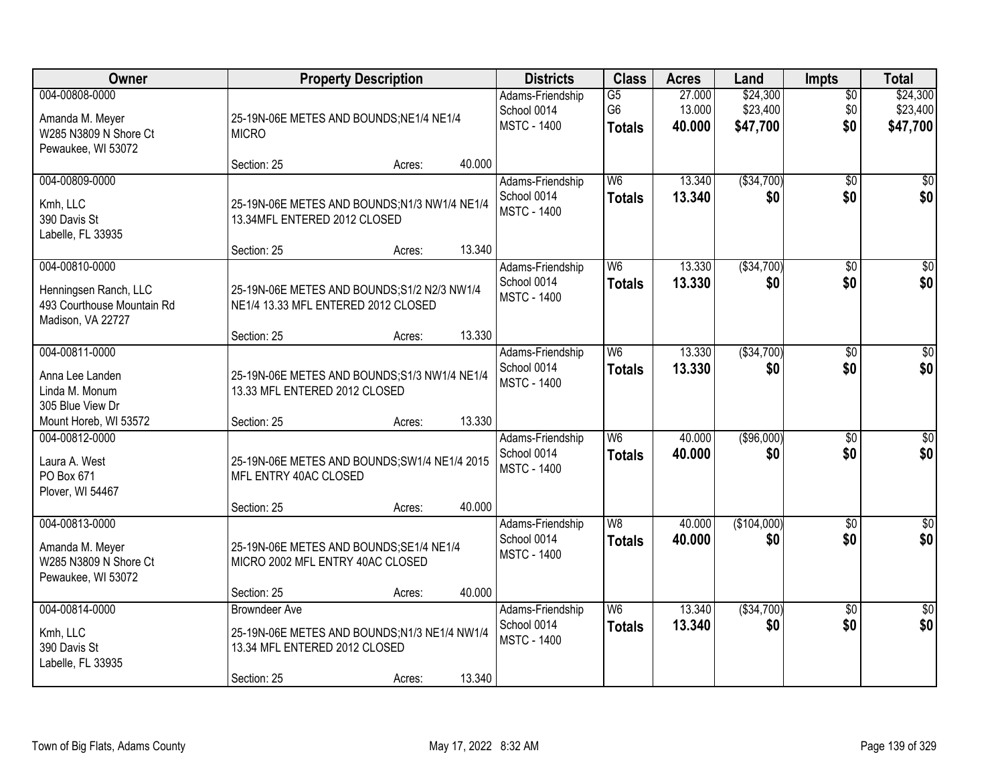| Owner                                                                            |                                                                                                                      | <b>Property Description</b> |        | <b>Districts</b>                                      | <b>Class</b>                                       | <b>Acres</b>               | Land                             | <b>Impts</b>           | <b>Total</b>                     |
|----------------------------------------------------------------------------------|----------------------------------------------------------------------------------------------------------------------|-----------------------------|--------|-------------------------------------------------------|----------------------------------------------------|----------------------------|----------------------------------|------------------------|----------------------------------|
| 004-00808-0000<br>Amanda M. Meyer<br>W285 N3809 N Shore Ct<br>Pewaukee, WI 53072 | 25-19N-06E METES AND BOUNDS; NE1/4 NE1/4<br><b>MICRO</b>                                                             |                             |        | Adams-Friendship<br>School 0014<br><b>MSTC - 1400</b> | $\overline{G5}$<br>G <sub>6</sub><br><b>Totals</b> | 27.000<br>13.000<br>40,000 | \$24,300<br>\$23,400<br>\$47,700 | \$0<br>\$0<br>\$0      | \$24,300<br>\$23,400<br>\$47,700 |
|                                                                                  | Section: 25                                                                                                          | Acres:                      | 40.000 |                                                       |                                                    |                            |                                  |                        |                                  |
| 004-00809-0000<br>Kmh, LLC<br>390 Davis St<br>Labelle, FL 33935                  | 25-19N-06E METES AND BOUNDS;N1/3 NW1/4 NE1/4<br>13.34MFL ENTERED 2012 CLOSED                                         |                             | 13.340 | Adams-Friendship<br>School 0014<br><b>MSTC - 1400</b> | W6<br><b>Totals</b>                                | 13.340<br>13,340           | ( \$34,700)<br>\$0               | $\overline{50}$<br>\$0 | $\overline{30}$<br>\$0           |
| 004-00810-0000                                                                   | Section: 25                                                                                                          | Acres:                      |        | Adams-Friendship                                      | W <sub>6</sub>                                     | 13.330                     | ( \$34,700)                      | \$0                    | $\overline{50}$                  |
| Henningsen Ranch, LLC<br>493 Courthouse Mountain Rd<br>Madison, VA 22727         | 25-19N-06E METES AND BOUNDS; S1/2 N2/3 NW1/4<br>NE1/4 13.33 MFL ENTERED 2012 CLOSED                                  |                             |        | School 0014<br><b>MSTC - 1400</b>                     | <b>Totals</b>                                      | 13.330                     | \$0                              | \$0                    | \$0                              |
|                                                                                  | Section: 25                                                                                                          | Acres:                      | 13.330 |                                                       |                                                    |                            |                                  |                        |                                  |
| 004-00811-0000<br>Anna Lee Landen<br>Linda M. Monum<br>305 Blue View Dr          | 25-19N-06E METES AND BOUNDS;S1/3 NW1/4 NE1/4<br>13.33 MFL ENTERED 2012 CLOSED                                        |                             |        | Adams-Friendship<br>School 0014<br><b>MSTC - 1400</b> | W6<br><b>Totals</b>                                | 13.330<br>13.330           | ( \$34,700)<br>\$0               | \$0<br>\$0             | $\sqrt{50}$<br>\$0               |
| Mount Horeb, WI 53572                                                            | Section: 25                                                                                                          | Acres:                      | 13.330 |                                                       |                                                    |                            |                                  |                        |                                  |
| 004-00812-0000<br>Laura A. West<br>PO Box 671<br>Plover, WI 54467                | 25-19N-06E METES AND BOUNDS; SW1/4 NE1/4 2015<br>MFL ENTRY 40AC CLOSED                                               |                             |        | Adams-Friendship<br>School 0014<br><b>MSTC - 1400</b> | W <sub>6</sub><br><b>Totals</b>                    | 40.000<br>40.000           | ( \$96,000)<br>\$0               | \$0<br>\$0             | $\sqrt{50}$<br>\$0               |
|                                                                                  | Section: 25                                                                                                          | Acres:                      | 40.000 |                                                       |                                                    |                            |                                  |                        |                                  |
| 004-00813-0000<br>Amanda M. Meyer<br>W285 N3809 N Shore Ct<br>Pewaukee, WI 53072 | 25-19N-06E METES AND BOUNDS; SE1/4 NE1/4<br>MICRO 2002 MFL ENTRY 40AC CLOSED                                         |                             |        | Adams-Friendship<br>School 0014<br><b>MSTC - 1400</b> | W <sub>8</sub><br><b>Totals</b>                    | 40.000<br>40.000           | (\$104,000)<br>\$0               | \$0<br>\$0             | $\overline{\$0}$<br>\$0          |
|                                                                                  | Section: 25                                                                                                          | Acres:                      | 40.000 |                                                       |                                                    |                            |                                  |                        |                                  |
| 004-00814-0000<br>Kmh, LLC<br>390 Davis St<br>Labelle, FL 33935                  | <b>Browndeer Ave</b><br>25-19N-06E METES AND BOUNDS;N1/3 NE1/4 NW1/4<br>13.34 MFL ENTERED 2012 CLOSED<br>Section: 25 | Acres:                      | 13.340 | Adams-Friendship<br>School 0014<br><b>MSTC - 1400</b> | W6<br><b>Totals</b>                                | 13.340<br>13.340           | ( \$34,700)<br>\$0               | $\overline{50}$<br>\$0 | $\overline{30}$<br>\$0           |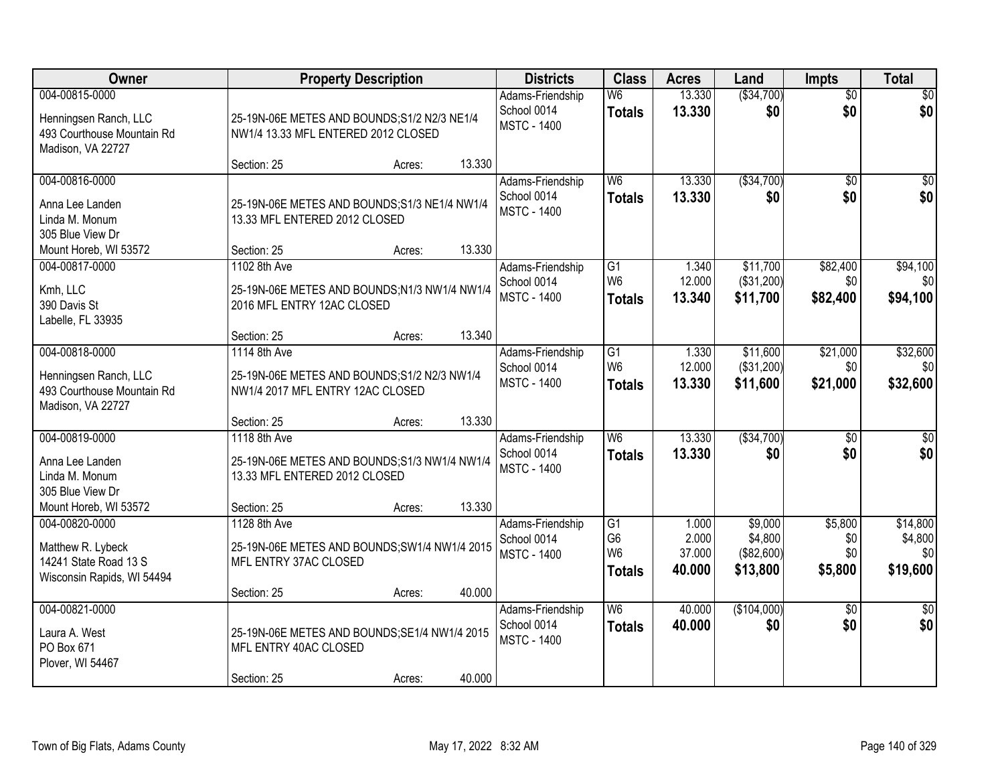| Owner                                                                                      |                                                                                                  | <b>Property Description</b> |        | <b>Districts</b>                                      | <b>Class</b>                                                         | <b>Acres</b>                       | Land                                         | <b>Impts</b>                     | <b>Total</b>                           |
|--------------------------------------------------------------------------------------------|--------------------------------------------------------------------------------------------------|-----------------------------|--------|-------------------------------------------------------|----------------------------------------------------------------------|------------------------------------|----------------------------------------------|----------------------------------|----------------------------------------|
| 004-00815-0000<br>Henningsen Ranch, LLC<br>493 Courthouse Mountain Rd<br>Madison, VA 22727 | 25-19N-06E METES AND BOUNDS; S1/2 N2/3 NE1/4<br>NW1/4 13.33 MFL ENTERED 2012 CLOSED              |                             |        | Adams-Friendship<br>School 0014<br><b>MSTC - 1400</b> | W <sub>6</sub><br><b>Totals</b>                                      | 13.330<br>13.330                   | ( \$34,700)<br>\$0                           | $\overline{50}$<br>\$0           | \$0<br>\$0                             |
|                                                                                            | Section: 25                                                                                      | Acres:                      | 13.330 |                                                       |                                                                      |                                    |                                              |                                  |                                        |
| 004-00816-0000<br>Anna Lee Landen<br>Linda M. Monum<br>305 Blue View Dr                    | 25-19N-06E METES AND BOUNDS;S1/3 NE1/4 NW1/4<br>13.33 MFL ENTERED 2012 CLOSED                    |                             |        | Adams-Friendship<br>School 0014<br><b>MSTC - 1400</b> | W <sub>6</sub><br><b>Totals</b>                                      | 13.330<br>13.330                   | ( \$34,700)<br>\$0                           | $\overline{50}$<br>\$0           | \$0<br>\$0                             |
| Mount Horeb, WI 53572                                                                      | Section: 25                                                                                      | Acres:                      | 13.330 |                                                       |                                                                      |                                    |                                              |                                  |                                        |
| 004-00817-0000<br>Kmh, LLC<br>390 Davis St<br>Labelle, FL 33935                            | 1102 8th Ave<br>25-19N-06E METES AND BOUNDS;N1/3 NW1/4 NW1/4<br>2016 MFL ENTRY 12AC CLOSED       |                             |        | Adams-Friendship<br>School 0014<br><b>MSTC - 1400</b> | $\overline{G1}$<br>W <sub>6</sub><br><b>Totals</b>                   | 1.340<br>12.000<br>13.340          | \$11,700<br>(\$31,200)<br>\$11,700           | \$82,400<br>\$0<br>\$82,400      | \$94,100<br>\$0<br>\$94,100            |
|                                                                                            | Section: 25                                                                                      | Acres:                      | 13.340 |                                                       |                                                                      |                                    |                                              |                                  |                                        |
| 004-00818-0000<br>Henningsen Ranch, LLC<br>493 Courthouse Mountain Rd<br>Madison, VA 22727 | 1114 8th Ave<br>25-19N-06E METES AND BOUNDS; S1/2 N2/3 NW1/4<br>NW1/4 2017 MFL ENTRY 12AC CLOSED |                             |        | Adams-Friendship<br>School 0014<br><b>MSTC - 1400</b> | $\overline{G1}$<br>W <sub>6</sub><br><b>Totals</b>                   | 1.330<br>12.000<br>13.330          | \$11,600<br>(\$31,200)<br>\$11,600           | \$21,000<br>\$0<br>\$21,000      | \$32,600<br>\$0<br>\$32,600            |
|                                                                                            | Section: 25                                                                                      | Acres:                      | 13.330 |                                                       |                                                                      |                                    |                                              |                                  |                                        |
| 004-00819-0000<br>Anna Lee Landen<br>Linda M. Monum<br>305 Blue View Dr                    | 1118 8th Ave<br>25-19N-06E METES AND BOUNDS;S1/3 NW1/4 NW1/4<br>13.33 MFL ENTERED 2012 CLOSED    |                             |        | Adams-Friendship<br>School 0014<br><b>MSTC - 1400</b> | $\overline{W6}$<br><b>Totals</b>                                     | 13.330<br>13.330                   | ( \$34,700)<br>\$0                           | $\overline{50}$<br>\$0           | $\overline{50}$<br>\$0                 |
| Mount Horeb, WI 53572                                                                      | Section: 25                                                                                      | Acres:                      | 13.330 |                                                       |                                                                      |                                    |                                              |                                  |                                        |
| 004-00820-0000<br>Matthew R. Lybeck<br>14241 State Road 13 S<br>Wisconsin Rapids, WI 54494 | 1128 8th Ave<br>25-19N-06E METES AND BOUNDS; SW1/4 NW1/4 2015<br>MFL ENTRY 37AC CLOSED           |                             |        | Adams-Friendship<br>School 0014<br><b>MSTC - 1400</b> | $\overline{G1}$<br>G <sub>6</sub><br>W <sub>6</sub><br><b>Totals</b> | 1.000<br>2.000<br>37.000<br>40.000 | \$9,000<br>\$4,800<br>(\$82,600)<br>\$13,800 | \$5,800<br>\$0<br>\$0<br>\$5,800 | \$14,800<br>\$4,800<br>\$0<br>\$19,600 |
|                                                                                            | Section: 25                                                                                      | Acres:                      | 40.000 |                                                       |                                                                      |                                    |                                              |                                  |                                        |
| 004-00821-0000<br>Laura A. West<br>PO Box 671<br>Plover, WI 54467                          | 25-19N-06E METES AND BOUNDS; SE1/4 NW1/4 2015<br>MFL ENTRY 40AC CLOSED<br>Section: 25            | Acres:                      | 40.000 | Adams-Friendship<br>School 0014<br><b>MSTC - 1400</b> | W <sub>6</sub><br><b>Totals</b>                                      | 40.000<br>40.000                   | (\$104,000)<br>\$0                           | $\overline{30}$<br>\$0           | \$0<br>\$0                             |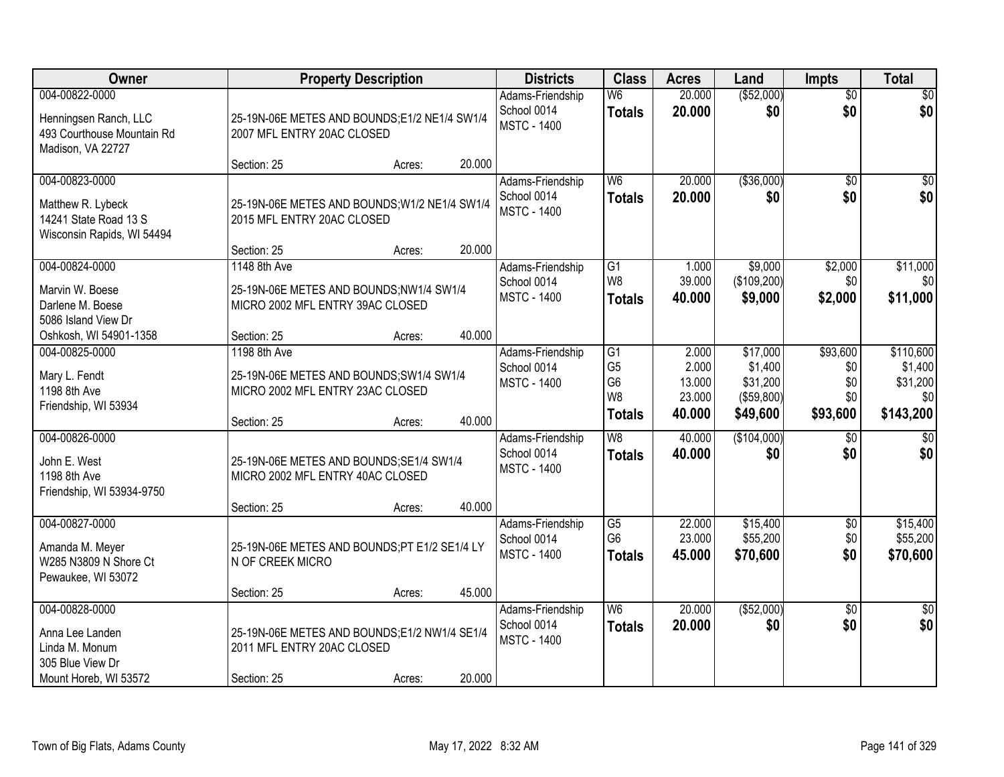| Owner                                                                                            |                                                                                             | <b>Property Description</b> |        | <b>Districts</b>                                      | <b>Class</b>                                                          | <b>Acres</b>                       | Land                                          | <b>Impts</b>                  | <b>Total</b>                            |
|--------------------------------------------------------------------------------------------------|---------------------------------------------------------------------------------------------|-----------------------------|--------|-------------------------------------------------------|-----------------------------------------------------------------------|------------------------------------|-----------------------------------------------|-------------------------------|-----------------------------------------|
| 004-00822-0000<br>Henningsen Ranch, LLC<br>493 Courthouse Mountain Rd<br>Madison, VA 22727       | 25-19N-06E METES AND BOUNDS;E1/2 NE1/4 SW1/4<br>2007 MFL ENTRY 20AC CLOSED                  |                             |        | Adams-Friendship<br>School 0014<br><b>MSTC - 1400</b> | W <sub>6</sub><br><b>Totals</b>                                       | 20.000<br>20.000                   | ( \$52,000)<br>\$0                            | $\overline{50}$<br>\$0        | \$0<br>\$0                              |
|                                                                                                  | Section: 25                                                                                 | Acres:                      | 20.000 |                                                       |                                                                       |                                    |                                               |                               |                                         |
| 004-00823-0000<br>Matthew R. Lybeck<br>14241 State Road 13 S<br>Wisconsin Rapids, WI 54494       | 25-19N-06E METES AND BOUNDS; W1/2 NE1/4 SW1/4<br>2015 MFL ENTRY 20AC CLOSED<br>Section: 25  | Acres:                      | 20.000 | Adams-Friendship<br>School 0014<br><b>MSTC - 1400</b> | W <sub>6</sub><br><b>Totals</b>                                       | 20.000<br>20.000                   | ( \$36,000)<br>\$0                            | $\overline{50}$<br>\$0        | \$0<br>\$0                              |
| 004-00824-0000                                                                                   | 1148 8th Ave                                                                                |                             |        | Adams-Friendship                                      | $\overline{G1}$                                                       | 1.000                              | \$9,000                                       | \$2,000                       | \$11,000                                |
| Marvin W. Boese<br>Darlene M. Boese<br>5086 Island View Dr                                       | 25-19N-06E METES AND BOUNDS;NW1/4 SW1/4<br>MICRO 2002 MFL ENTRY 39AC CLOSED                 |                             |        | School 0014<br><b>MSTC - 1400</b>                     | W8<br><b>Totals</b>                                                   | 39.000<br>40.000                   | (\$109,200)<br>\$9,000                        | \$0<br>\$2,000                | \$0<br>\$11,000                         |
| Oshkosh, WI 54901-1358                                                                           | Section: 25                                                                                 | Acres:                      | 40.000 |                                                       |                                                                       |                                    |                                               |                               |                                         |
| 004-00825-0000<br>Mary L. Fendt<br>1198 8th Ave<br>Friendship, WI 53934                          | 1198 8th Ave<br>25-19N-06E METES AND BOUNDS;SW1/4 SW1/4<br>MICRO 2002 MFL ENTRY 23AC CLOSED |                             |        | Adams-Friendship<br>School 0014<br><b>MSTC - 1400</b> | $\overline{G1}$<br>G <sub>5</sub><br>G <sub>6</sub><br>W <sub>8</sub> | 2.000<br>2.000<br>13.000<br>23.000 | \$17,000<br>\$1,400<br>\$31,200<br>(\$59,800) | \$93,600<br>\$0<br>\$0<br>\$0 | \$110,600<br>\$1,400<br>\$31,200<br>\$0 |
|                                                                                                  | Section: 25                                                                                 | Acres:                      | 40.000 |                                                       | <b>Totals</b>                                                         | 40.000                             | \$49,600                                      | \$93,600                      | \$143,200                               |
| 004-00826-0000<br>John E. West<br>1198 8th Ave<br>Friendship, WI 53934-9750                      | 25-19N-06E METES AND BOUNDS; SE1/4 SW1/4<br>MICRO 2002 MFL ENTRY 40AC CLOSED                |                             |        | Adams-Friendship<br>School 0014<br><b>MSTC - 1400</b> | $\overline{W8}$<br><b>Totals</b>                                      | 40.000<br>40.000                   | (\$104,000)<br>\$0                            | \$0<br>\$0                    | $\sqrt{50}$<br>\$0                      |
|                                                                                                  | Section: 25                                                                                 | Acres:                      | 40.000 |                                                       |                                                                       |                                    |                                               |                               |                                         |
| 004-00827-0000<br>Amanda M. Meyer<br>W285 N3809 N Shore Ct<br>Pewaukee, WI 53072                 | 25-19N-06E METES AND BOUNDS;PT E1/2 SE1/4 LY<br>N OF CREEK MICRO                            |                             |        | Adams-Friendship<br>School 0014<br><b>MSTC - 1400</b> | $\overline{G5}$<br>G <sub>6</sub><br><b>Totals</b>                    | 22.000<br>23.000<br>45.000         | \$15,400<br>\$55,200<br>\$70,600              | \$0<br>\$0<br>\$0             | \$15,400<br>\$55,200<br>\$70,600        |
|                                                                                                  | Section: 25                                                                                 | Acres:                      | 45.000 |                                                       |                                                                       |                                    |                                               |                               |                                         |
| 004-00828-0000<br>Anna Lee Landen<br>Linda M. Monum<br>305 Blue View Dr<br>Mount Horeb, WI 53572 | 25-19N-06E METES AND BOUNDS;E1/2 NW1/4 SE1/4<br>2011 MFL ENTRY 20AC CLOSED<br>Section: 25   | Acres:                      | 20.000 | Adams-Friendship<br>School 0014<br><b>MSTC - 1400</b> | W <sub>6</sub><br><b>Totals</b>                                       | 20.000<br>20.000                   | ( \$52,000)<br>\$0                            | $\overline{30}$<br>\$0        | $\overline{50}$<br>\$0                  |
|                                                                                                  |                                                                                             |                             |        |                                                       |                                                                       |                                    |                                               |                               |                                         |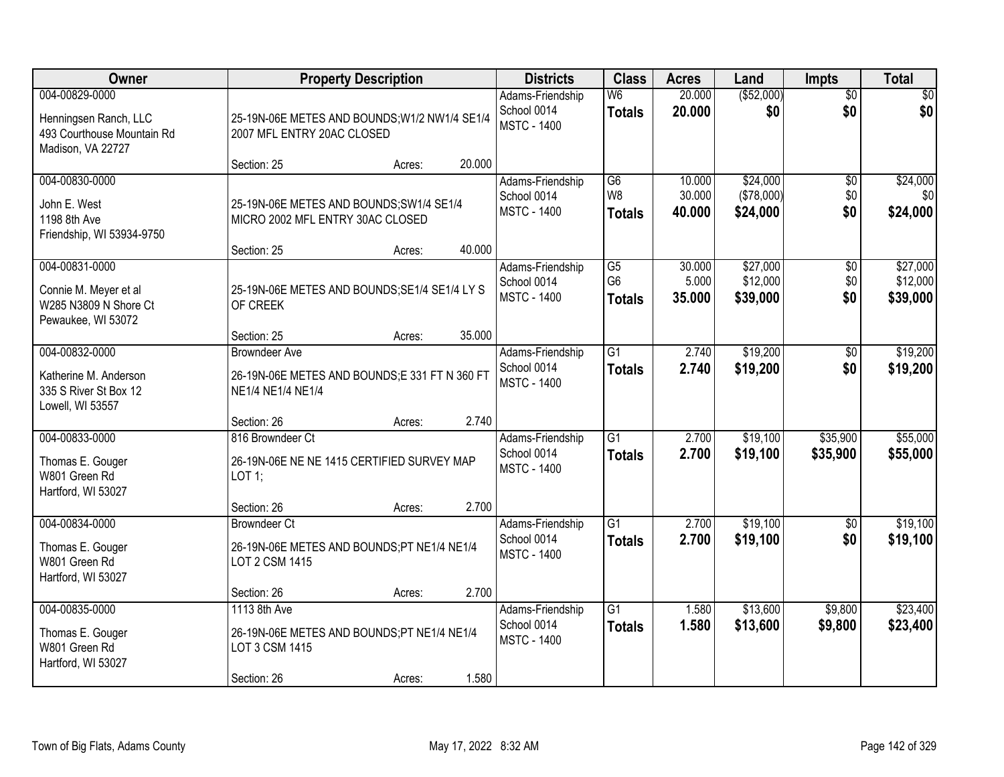| <b>Owner</b>                                                                               |                                                                                             | <b>Property Description</b> |        | <b>Districts</b>                                      | <b>Class</b>                                       | <b>Acres</b>               | Land                               | <b>Impts</b>                  | <b>Total</b>                     |
|--------------------------------------------------------------------------------------------|---------------------------------------------------------------------------------------------|-----------------------------|--------|-------------------------------------------------------|----------------------------------------------------|----------------------------|------------------------------------|-------------------------------|----------------------------------|
| 004-00829-0000<br>Henningsen Ranch, LLC<br>493 Courthouse Mountain Rd<br>Madison, VA 22727 | 25-19N-06E METES AND BOUNDS; W1/2 NW1/4 SE1/4<br>2007 MFL ENTRY 20AC CLOSED                 |                             |        | Adams-Friendship<br>School 0014<br><b>MSTC - 1400</b> | W6<br><b>Totals</b>                                | 20.000<br>20.000           | ( \$52,000)<br>\$0                 | $\overline{50}$<br>\$0        | $\overline{30}$<br>\$0           |
|                                                                                            | Section: 25                                                                                 | Acres:                      | 20.000 |                                                       |                                                    |                            |                                    |                               |                                  |
| 004-00830-0000<br>John E. West<br>1198 8th Ave<br>Friendship, WI 53934-9750                | 25-19N-06E METES AND BOUNDS; SW1/4 SE1/4<br>MICRO 2002 MFL ENTRY 30AC CLOSED                |                             |        | Adams-Friendship<br>School 0014<br><b>MSTC - 1400</b> | $\overline{G6}$<br>W <sub>8</sub><br><b>Totals</b> | 10.000<br>30.000<br>40.000 | \$24,000<br>(\$78,000)<br>\$24,000 | $\overline{50}$<br>\$0<br>\$0 | \$24,000<br>\$0<br>\$24,000      |
|                                                                                            | Section: 25                                                                                 | Acres:                      | 40.000 |                                                       |                                                    |                            |                                    |                               |                                  |
| 004-00831-0000<br>Connie M. Meyer et al<br>W285 N3809 N Shore Ct<br>Pewaukee, WI 53072     | 25-19N-06E METES AND BOUNDS; SE1/4 SE1/4 LY S<br>OF CREEK                                   |                             |        | Adams-Friendship<br>School 0014<br><b>MSTC - 1400</b> | G5<br>G <sub>6</sub><br><b>Totals</b>              | 30.000<br>5.000<br>35.000  | \$27,000<br>\$12,000<br>\$39,000   | \$0<br>\$0<br>\$0             | \$27,000<br>\$12,000<br>\$39,000 |
|                                                                                            | Section: 25                                                                                 | Acres:                      | 35.000 |                                                       |                                                    |                            |                                    |                               |                                  |
| 004-00832-0000<br>Katherine M. Anderson<br>335 S River St Box 12<br>Lowell, WI 53557       | <b>Browndeer Ave</b><br>26-19N-06E METES AND BOUNDS;E 331 FT N 360 FT<br>NE1/4 NE1/4 NE1/4  |                             |        | Adams-Friendship<br>School 0014<br><b>MSTC - 1400</b> | $\overline{G1}$<br><b>Totals</b>                   | 2.740<br>2.740             | \$19,200<br>\$19,200               | $\sqrt[6]{}$<br>\$0           | \$19,200<br>\$19,200             |
|                                                                                            | Section: 26                                                                                 | Acres:                      | 2.740  |                                                       |                                                    |                            |                                    |                               |                                  |
| 004-00833-0000<br>Thomas E. Gouger<br>W801 Green Rd<br>Hartford, WI 53027                  | 816 Browndeer Ct<br>26-19N-06E NE NE 1415 CERTIFIED SURVEY MAP<br>LOT 1;                    |                             |        | Adams-Friendship<br>School 0014<br><b>MSTC - 1400</b> | $\overline{G1}$<br><b>Totals</b>                   | 2.700<br>2.700             | \$19,100<br>\$19,100               | \$35,900<br>\$35,900          | \$55,000<br>\$55,000             |
|                                                                                            | Section: 26                                                                                 | Acres:                      | 2.700  |                                                       |                                                    |                            |                                    |                               |                                  |
| 004-00834-0000<br>Thomas E. Gouger<br>W801 Green Rd<br>Hartford, WI 53027                  | <b>Browndeer Ct</b><br>26-19N-06E METES AND BOUNDS;PT NE1/4 NE1/4<br>LOT 2 CSM 1415         |                             |        | Adams-Friendship<br>School 0014<br><b>MSTC - 1400</b> | $\overline{G1}$<br><b>Totals</b>                   | 2.700<br>2.700             | \$19,100<br>\$19,100               | $\sqrt{6}$<br>\$0             | \$19,100<br>\$19,100             |
|                                                                                            | Section: 26                                                                                 | Acres:                      | 2.700  |                                                       |                                                    |                            |                                    |                               |                                  |
| 004-00835-0000<br>Thomas E. Gouger<br>W801 Green Rd<br>Hartford, WI 53027                  | 1113 8th Ave<br>26-19N-06E METES AND BOUNDS;PT NE1/4 NE1/4<br>LOT 3 CSM 1415<br>Section: 26 | Acres:                      | 1.580  | Adams-Friendship<br>School 0014<br><b>MSTC - 1400</b> | $\overline{G1}$<br><b>Totals</b>                   | 1.580<br>1.580             | \$13,600<br>\$13,600               | \$9,800<br>\$9,800            | \$23,400<br>\$23,400             |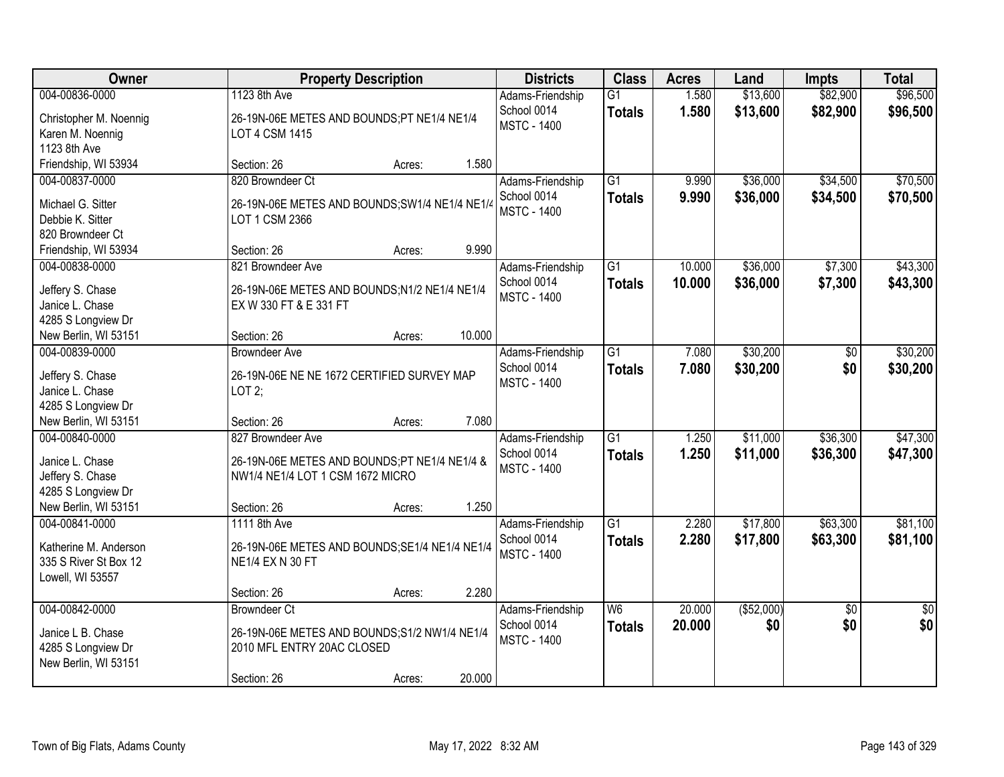| Owner                                      | <b>Property Description</b>                    | <b>Districts</b>                  | <b>Class</b>    | <b>Acres</b> | Land       | <b>Impts</b>    | <b>Total</b>    |
|--------------------------------------------|------------------------------------------------|-----------------------------------|-----------------|--------------|------------|-----------------|-----------------|
| 004-00836-0000                             | 1123 8th Ave                                   | Adams-Friendship                  | $\overline{G1}$ | 1.580        | \$13,600   | \$82,900        | \$96,500        |
| Christopher M. Noennig                     | 26-19N-06E METES AND BOUNDS;PT NE1/4 NE1/4     | School 0014                       | <b>Totals</b>   | 1.580        | \$13,600   | \$82,900        | \$96,500        |
| Karen M. Noennig                           | LOT 4 CSM 1415                                 | <b>MSTC - 1400</b>                |                 |              |            |                 |                 |
| 1123 8th Ave                               |                                                |                                   |                 |              |            |                 |                 |
| Friendship, WI 53934                       | 1.580<br>Section: 26<br>Acres:                 |                                   |                 |              |            |                 |                 |
| 004-00837-0000                             | 820 Browndeer Ct                               | Adams-Friendship                  | $\overline{G1}$ | 9.990        | \$36,000   | \$34,500        | \$70,500        |
| Michael G. Sitter                          | 26-19N-06E METES AND BOUNDS; SW1/4 NE1/4 NE1/4 | School 0014                       | <b>Totals</b>   | 9.990        | \$36,000   | \$34,500        | \$70,500        |
| Debbie K. Sitter                           | LOT 1 CSM 2366                                 | <b>MSTC - 1400</b>                |                 |              |            |                 |                 |
| 820 Browndeer Ct                           |                                                |                                   |                 |              |            |                 |                 |
| Friendship, WI 53934                       | 9.990<br>Section: 26<br>Acres:                 |                                   |                 |              |            |                 |                 |
| 004-00838-0000                             | 821 Browndeer Ave                              | Adams-Friendship                  | $\overline{G1}$ | 10.000       | \$36,000   | \$7,300         | \$43,300        |
| Jeffery S. Chase                           | 26-19N-06E METES AND BOUNDS; N1/2 NE1/4 NE1/4  | School 0014                       | <b>Totals</b>   | 10.000       | \$36,000   | \$7,300         | \$43,300        |
| Janice L. Chase                            | EX W 330 FT & E 331 FT                         | <b>MSTC - 1400</b>                |                 |              |            |                 |                 |
| 4285 S Longview Dr                         |                                                |                                   |                 |              |            |                 |                 |
| New Berlin, WI 53151                       | 10.000<br>Section: 26<br>Acres:                |                                   |                 |              |            |                 |                 |
| 004-00839-0000                             | <b>Browndeer Ave</b>                           | Adams-Friendship                  | $\overline{G1}$ | 7.080        | \$30,200   | \$0             | \$30,200        |
|                                            |                                                | School 0014                       | <b>Totals</b>   | 7.080        | \$30,200   | \$0             | \$30,200        |
| Jeffery S. Chase                           | 26-19N-06E NE NE 1672 CERTIFIED SURVEY MAP     | <b>MSTC - 1400</b>                |                 |              |            |                 |                 |
| Janice L. Chase                            | $LOT2$ ;                                       |                                   |                 |              |            |                 |                 |
| 4285 S Longview Dr<br>New Berlin, WI 53151 | 7.080<br>Section: 26<br>Acres:                 |                                   |                 |              |            |                 |                 |
| 004-00840-0000                             | 827 Browndeer Ave                              | Adams-Friendship                  | $\overline{G1}$ | 1.250        | \$11,000   | \$36,300        | \$47,300        |
|                                            |                                                | School 0014                       | <b>Totals</b>   | 1.250        | \$11,000   | \$36,300        | \$47,300        |
| Janice L. Chase                            | 26-19N-06E METES AND BOUNDS;PT NE1/4 NE1/4 &   | <b>MSTC - 1400</b>                |                 |              |            |                 |                 |
| Jeffery S. Chase                           | NW1/4 NE1/4 LOT 1 CSM 1672 MICRO               |                                   |                 |              |            |                 |                 |
| 4285 S Longview Dr                         |                                                |                                   |                 |              |            |                 |                 |
| New Berlin, WI 53151                       | 1.250<br>Section: 26<br>Acres:                 |                                   |                 |              |            |                 |                 |
| 004-00841-0000                             | 1111 8th Ave                                   | Adams-Friendship                  | $\overline{G1}$ | 2.280        | \$17,800   | \$63,300        | \$81,100        |
| Katherine M. Anderson                      | 26-19N-06E METES AND BOUNDS; SE1/4 NE1/4 NE1/4 | School 0014<br><b>MSTC - 1400</b> | <b>Totals</b>   | 2.280        | \$17,800   | \$63,300        | \$81,100        |
| 335 S River St Box 12                      | <b>NE1/4 EX N 30 FT</b>                        |                                   |                 |              |            |                 |                 |
| Lowell, WI 53557                           |                                                |                                   |                 |              |            |                 |                 |
|                                            | 2.280<br>Section: 26<br>Acres:                 |                                   |                 |              |            |                 |                 |
| 004-00842-0000                             | <b>Browndeer Ct</b>                            | Adams-Friendship                  | W6              | 20.000       | (\$52,000) | $\overline{30}$ | $\overline{50}$ |
| Janice L B. Chase                          | 26-19N-06E METES AND BOUNDS; S1/2 NW1/4 NE1/4  | School 0014                       | <b>Totals</b>   | 20.000       | \$0        | \$0             | \$0             |
| 4285 S Longview Dr                         | 2010 MFL ENTRY 20AC CLOSED                     | <b>MSTC - 1400</b>                |                 |              |            |                 |                 |
| New Berlin, WI 53151                       |                                                |                                   |                 |              |            |                 |                 |
|                                            | 20.000<br>Section: 26<br>Acres:                |                                   |                 |              |            |                 |                 |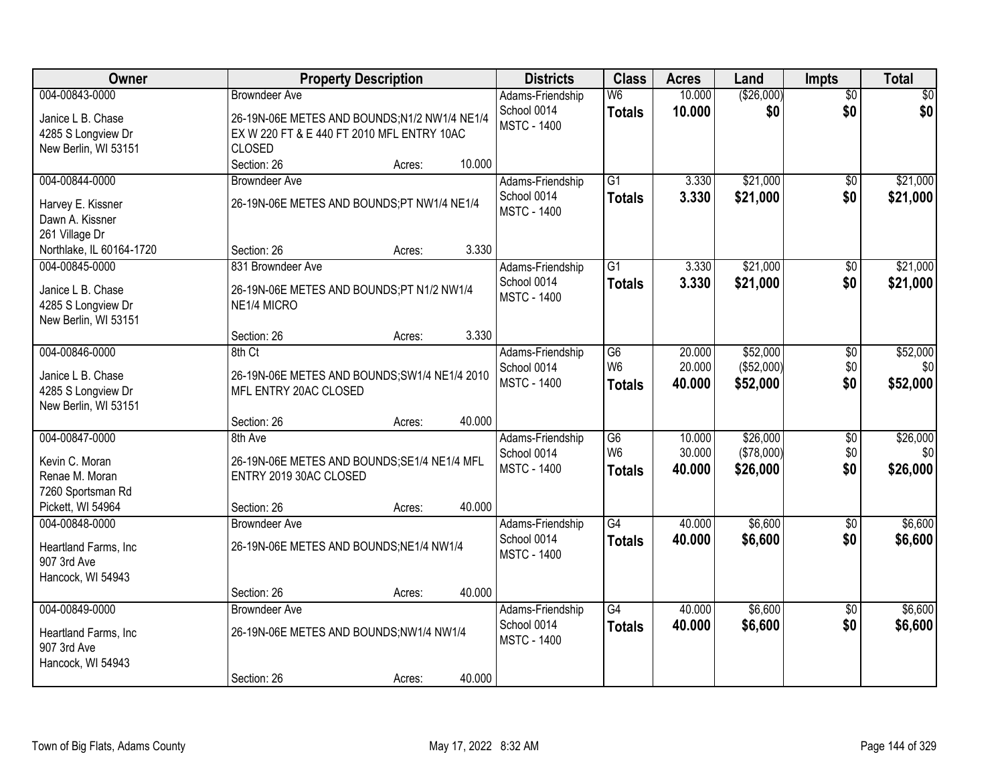| Owner                                                                                                         | <b>Property Description</b>                                                                                                                            | <b>Districts</b>                                      | <b>Class</b>                                       | <b>Acres</b>               | Land                               | Impts                         | <b>Total</b>                |
|---------------------------------------------------------------------------------------------------------------|--------------------------------------------------------------------------------------------------------------------------------------------------------|-------------------------------------------------------|----------------------------------------------------|----------------------------|------------------------------------|-------------------------------|-----------------------------|
| 004-00843-0000<br>Janice L B. Chase<br>4285 S Longview Dr<br>New Berlin, WI 53151                             | <b>Browndeer Ave</b><br>26-19N-06E METES AND BOUNDS;N1/2 NW1/4 NE1/4<br>EX W 220 FT & E 440 FT 2010 MFL ENTRY 10AC<br><b>CLOSED</b><br>10.000          | Adams-Friendship<br>School 0014<br><b>MSTC - 1400</b> | W <sub>6</sub><br><b>Totals</b>                    | 10.000<br>10.000           | (\$26,000)<br>\$0                  | $\overline{50}$<br>\$0        | \$0<br>\$0                  |
| 004-00844-0000<br>Harvey E. Kissner<br>Dawn A. Kissner<br>261 Village Dr                                      | Section: 26<br>Acres:<br><b>Browndeer Ave</b><br>26-19N-06E METES AND BOUNDS;PT NW1/4 NE1/4                                                            | Adams-Friendship<br>School 0014<br><b>MSTC - 1400</b> | $\overline{G1}$<br><b>Totals</b>                   | 3.330<br>3.330             | \$21,000<br>\$21,000               | $\overline{50}$<br>\$0        | \$21,000<br>\$21,000        |
| Northlake, IL 60164-1720<br>004-00845-0000<br>Janice L B. Chase<br>4285 S Longview Dr<br>New Berlin, WI 53151 | 3.330<br>Section: 26<br>Acres:<br>831 Browndeer Ave<br>26-19N-06E METES AND BOUNDS;PT N1/2 NW1/4<br>NE1/4 MICRO                                        | Adams-Friendship<br>School 0014<br><b>MSTC - 1400</b> | G1<br><b>Totals</b>                                | 3.330<br>3.330             | \$21,000<br>\$21,000               | \$0<br>\$0                    | \$21,000<br>\$21,000        |
| 004-00846-0000<br>Janice L B. Chase<br>4285 S Longview Dr<br>New Berlin, WI 53151                             | 3.330<br>Section: 26<br>Acres:<br>8th Ct<br>26-19N-06E METES AND BOUNDS; SW1/4 NE1/4 2010<br>MFL ENTRY 20AC CLOSED                                     | Adams-Friendship<br>School 0014<br><b>MSTC - 1400</b> | G <sub>6</sub><br>W <sub>6</sub><br><b>Totals</b>  | 20.000<br>20.000<br>40.000 | \$52,000<br>(\$52,000)<br>\$52,000 | \$0<br>\$0<br>\$0             | \$52,000<br>\$0<br>\$52,000 |
| 004-00847-0000<br>Kevin C. Moran<br>Renae M. Moran<br>7260 Sportsman Rd<br>Pickett, WI 54964                  | 40.000<br>Section: 26<br>Acres:<br>8th Ave<br>26-19N-06E METES AND BOUNDS;SE1/4 NE1/4 MFL<br>ENTRY 2019 30AC CLOSED<br>40.000<br>Section: 26<br>Acres: | Adams-Friendship<br>School 0014<br><b>MSTC - 1400</b> | $\overline{G6}$<br>W <sub>6</sub><br><b>Totals</b> | 10.000<br>30.000<br>40.000 | \$26,000<br>(\$78,000)<br>\$26,000 | $\overline{50}$<br>\$0<br>\$0 | \$26,000<br>\$0<br>\$26,000 |
| 004-00848-0000<br>Heartland Farms, Inc<br>907 3rd Ave<br>Hancock, WI 54943                                    | <b>Browndeer Ave</b><br>26-19N-06E METES AND BOUNDS;NE1/4 NW1/4<br>40.000<br>Section: 26<br>Acres:                                                     | Adams-Friendship<br>School 0014<br><b>MSTC - 1400</b> | $\overline{G4}$<br><b>Totals</b>                   | 40.000<br>40.000           | \$6,600<br>\$6,600                 | $\overline{50}$<br>\$0        | \$6,600<br>\$6,600          |
| 004-00849-0000<br>Heartland Farms, Inc<br>907 3rd Ave<br>Hancock, WI 54943                                    | <b>Browndeer Ave</b><br>26-19N-06E METES AND BOUNDS;NW1/4 NW1/4<br>40.000<br>Section: 26<br>Acres:                                                     | Adams-Friendship<br>School 0014<br><b>MSTC - 1400</b> | G4<br><b>Totals</b>                                | 40.000<br>40.000           | \$6,600<br>\$6,600                 | $\overline{50}$<br>\$0        | \$6,600<br>\$6,600          |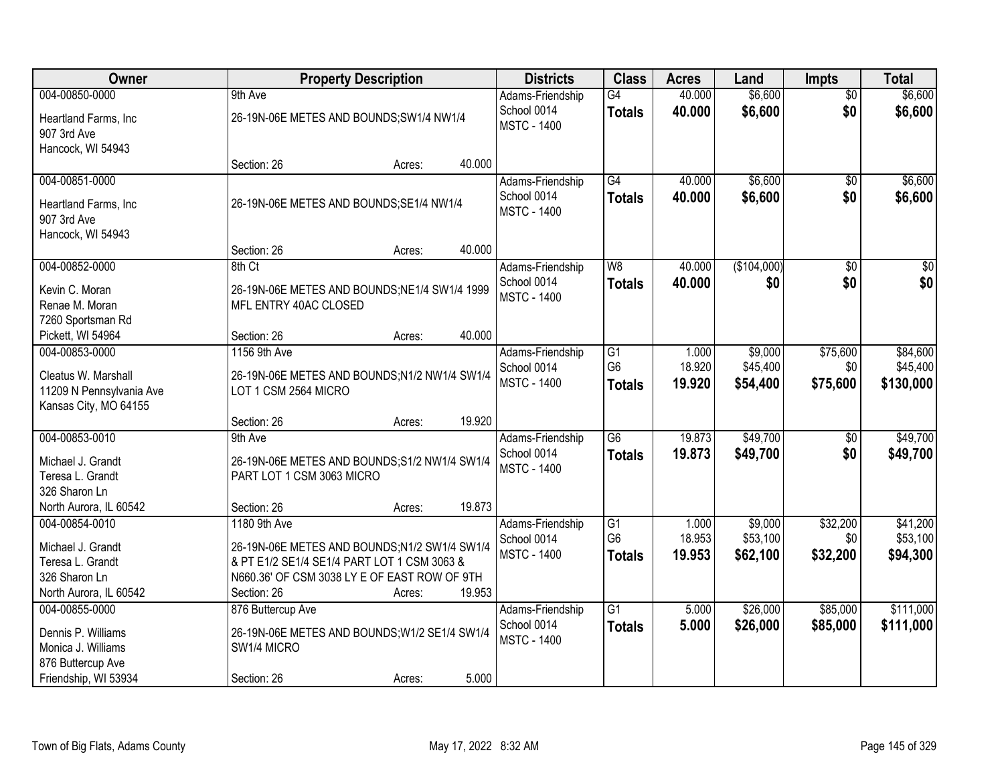| Owner                    |                                                                        | <b>Property Description</b> |        | <b>Districts</b>                | <b>Class</b>    | <b>Acres</b> | Land        | <b>Impts</b>    | <b>Total</b>     |
|--------------------------|------------------------------------------------------------------------|-----------------------------|--------|---------------------------------|-----------------|--------------|-------------|-----------------|------------------|
| 004-00850-0000           | 9th Ave                                                                |                             |        | Adams-Friendship                | $\overline{G4}$ | 40.000       | \$6,600     | $\overline{50}$ | \$6,600          |
| Heartland Farms, Inc     | 26-19N-06E METES AND BOUNDS; SW1/4 NW1/4                               |                             |        | School 0014                     | <b>Totals</b>   | 40.000       | \$6,600     | \$0             | \$6,600          |
| 907 3rd Ave              |                                                                        |                             |        | <b>MSTC - 1400</b>              |                 |              |             |                 |                  |
| Hancock, WI 54943        |                                                                        |                             |        |                                 |                 |              |             |                 |                  |
|                          | Section: 26                                                            | Acres:                      | 40.000 |                                 |                 |              |             |                 |                  |
| 004-00851-0000           |                                                                        |                             |        | Adams-Friendship                | G4              | 40.000       | \$6,600     | \$0             | \$6,600          |
| Heartland Farms, Inc     | 26-19N-06E METES AND BOUNDS; SE1/4 NW1/4                               |                             |        | School 0014                     | <b>Totals</b>   | 40.000       | \$6,600     | \$0             | \$6,600          |
| 907 3rd Ave              |                                                                        |                             |        | <b>MSTC - 1400</b>              |                 |              |             |                 |                  |
| Hancock, WI 54943        |                                                                        |                             |        |                                 |                 |              |             |                 |                  |
|                          | Section: 26                                                            | Acres:                      | 40.000 |                                 |                 |              |             |                 |                  |
| 004-00852-0000           | 8th Ct                                                                 |                             |        | Adams-Friendship                | W8              | 40.000       | (\$104,000) | \$0             | $\overline{\$0}$ |
| Kevin C. Moran           |                                                                        |                             |        | School 0014                     | <b>Totals</b>   | 40.000       | \$0         | \$0             | \$0              |
| Renae M. Moran           | 26-19N-06E METES AND BOUNDS; NE1/4 SW1/4 1999<br>MFL ENTRY 40AC CLOSED |                             |        | <b>MSTC - 1400</b>              |                 |              |             |                 |                  |
| 7260 Sportsman Rd        |                                                                        |                             |        |                                 |                 |              |             |                 |                  |
| Pickett, WI 54964        | Section: 26                                                            | Acres:                      | 40.000 |                                 |                 |              |             |                 |                  |
| 004-00853-0000           | 1156 9th Ave                                                           |                             |        | Adams-Friendship                | $\overline{G1}$ | 1.000        | \$9,000     | \$75,600        | \$84,600         |
|                          |                                                                        |                             |        | School 0014                     | G <sub>6</sub>  | 18.920       | \$45,400    | \$0             | \$45,400         |
| Cleatus W. Marshall      | 26-19N-06E METES AND BOUNDS;N1/2 NW1/4 SW1/4                           |                             |        | <b>MSTC - 1400</b>              | <b>Totals</b>   | 19.920       | \$54,400    | \$75,600        | \$130,000        |
| 11209 N Pennsylvania Ave | LOT 1 CSM 2564 MICRO                                                   |                             |        |                                 |                 |              |             |                 |                  |
| Kansas City, MO 64155    |                                                                        |                             | 19.920 |                                 |                 |              |             |                 |                  |
| 004-00853-0010           | Section: 26<br>9th Ave                                                 | Acres:                      |        |                                 | $\overline{G6}$ | 19.873       | \$49,700    | $\overline{60}$ | \$49,700         |
|                          |                                                                        |                             |        | Adams-Friendship<br>School 0014 |                 | 19.873       |             |                 |                  |
| Michael J. Grandt        | 26-19N-06E METES AND BOUNDS; S1/2 NW1/4 SW1/4                          |                             |        | <b>MSTC - 1400</b>              | <b>Totals</b>   |              | \$49,700    | \$0             | \$49,700         |
| Teresa L. Grandt         | PART LOT 1 CSM 3063 MICRO                                              |                             |        |                                 |                 |              |             |                 |                  |
| 326 Sharon Ln            |                                                                        |                             |        |                                 |                 |              |             |                 |                  |
| North Aurora, IL 60542   | Section: 26                                                            | Acres:                      | 19.873 |                                 |                 |              |             |                 |                  |
| 004-00854-0010           | 1180 9th Ave                                                           |                             |        | Adams-Friendship                | $\overline{G1}$ | 1.000        | \$9,000     | \$32,200        | \$41,200         |
| Michael J. Grandt        | 26-19N-06E METES AND BOUNDS;N1/2 SW1/4 SW1/4                           |                             |        | School 0014                     | G <sub>6</sub>  | 18.953       | \$53,100    | \$0             | \$53,100         |
| Teresa L. Grandt         | & PT E1/2 SE1/4 SE1/4 PART LOT 1 CSM 3063 &                            |                             |        | <b>MSTC - 1400</b>              | <b>Totals</b>   | 19.953       | \$62,100    | \$32,200        | \$94,300         |
| 326 Sharon Ln            | N660.36' OF CSM 3038 LY E OF EAST ROW OF 9TH                           |                             |        |                                 |                 |              |             |                 |                  |
| North Aurora, IL 60542   | Section: 26                                                            | Acres:                      | 19.953 |                                 |                 |              |             |                 |                  |
| 004-00855-0000           | 876 Buttercup Ave                                                      |                             |        | Adams-Friendship                | $\overline{G1}$ | 5.000        | \$26,000    | \$85,000        | \$111,000        |
| Dennis P. Williams       | 26-19N-06E METES AND BOUNDS; W1/2 SE1/4 SW1/4                          |                             |        | School 0014                     | <b>Totals</b>   | 5.000        | \$26,000    | \$85,000        | \$111,000        |
| Monica J. Williams       | SW1/4 MICRO                                                            |                             |        | <b>MSTC - 1400</b>              |                 |              |             |                 |                  |
| 876 Buttercup Ave        |                                                                        |                             |        |                                 |                 |              |             |                 |                  |
| Friendship, WI 53934     | Section: 26                                                            | Acres:                      | 5.000  |                                 |                 |              |             |                 |                  |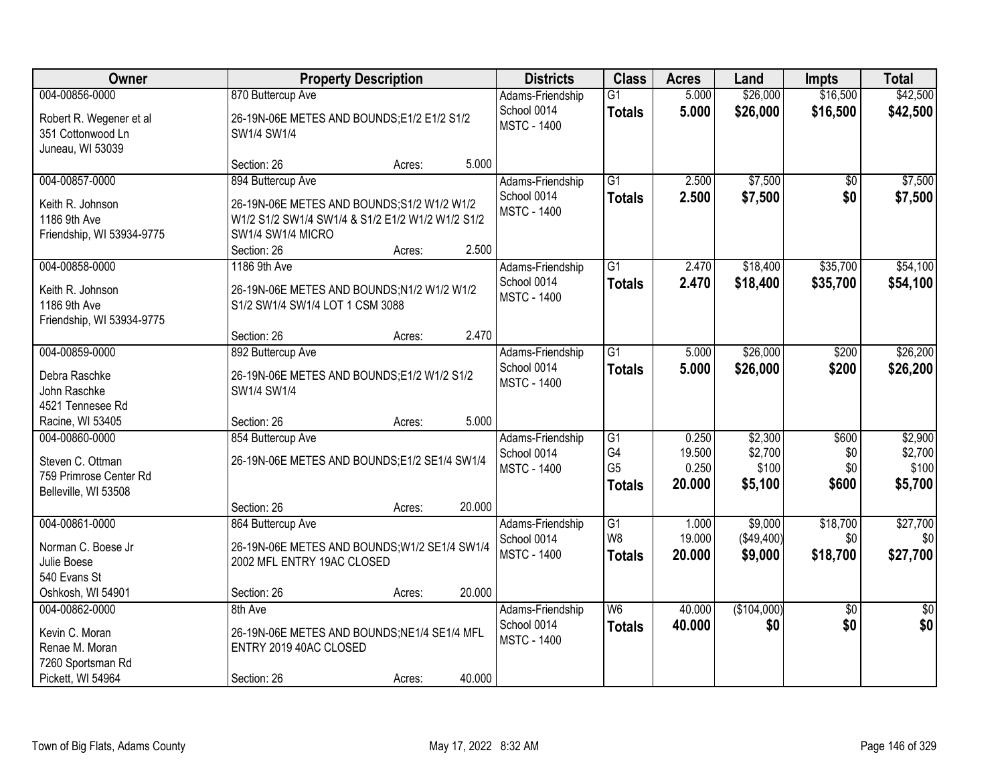| <b>Owner</b>                                                                                      | <b>Property Description</b>                                                                                                                                                                                                   | <b>Districts</b>                                                          | <b>Class</b>                                                         | <b>Acres</b>                       | Land                                    | <b>Impts</b>                 | <b>Total</b>                           |
|---------------------------------------------------------------------------------------------------|-------------------------------------------------------------------------------------------------------------------------------------------------------------------------------------------------------------------------------|---------------------------------------------------------------------------|----------------------------------------------------------------------|------------------------------------|-----------------------------------------|------------------------------|----------------------------------------|
| 004-00856-0000<br>Robert R. Wegener et al<br>351 Cottonwood Ln<br>Juneau, WI 53039                | 870 Buttercup Ave<br>26-19N-06E METES AND BOUNDS;E1/2 E1/2 S1/2<br>SW1/4 SW1/4                                                                                                                                                | Adams-Friendship<br>School 0014<br><b>MSTC - 1400</b>                     | $\overline{G1}$<br><b>Totals</b>                                     | 5.000<br>5.000                     | \$26,000<br>\$26,000                    | \$16,500<br>\$16,500         | \$42,500<br>\$42,500                   |
| 004-00857-0000<br>Keith R. Johnson<br>1186 9th Ave<br>Friendship, WI 53934-9775<br>004-00858-0000 | 5.000<br>Section: 26<br>Acres:<br>894 Buttercup Ave<br>26-19N-06E METES AND BOUNDS; S1/2 W1/2 W1/2<br>W1/2 S1/2 SW1/4 SW1/4 & S1/2 E1/2 W1/2 W1/2 S1/2<br>SW1/4 SW1/4 MICRO<br>2.500<br>Section: 26<br>Acres:<br>1186 9th Ave | Adams-Friendship<br>School 0014<br><b>MSTC - 1400</b><br>Adams-Friendship | $\overline{G1}$<br><b>Totals</b><br>G1                               | 2.500<br>2.500<br>2.470            | \$7,500<br>\$7,500<br>\$18,400          | \$0<br>\$0<br>\$35,700       | \$7,500<br>\$7,500<br>\$54,100         |
| Keith R. Johnson<br>1186 9th Ave<br>Friendship, WI 53934-9775                                     | 26-19N-06E METES AND BOUNDS;N1/2 W1/2 W1/2<br>S1/2 SW1/4 SW1/4 LOT 1 CSM 3088<br>2.470<br>Section: 26<br>Acres:                                                                                                               | School 0014<br><b>MSTC - 1400</b>                                         | <b>Totals</b>                                                        | 2.470                              | \$18,400                                | \$35,700                     | \$54,100                               |
| 004-00859-0000<br>Debra Raschke<br>John Raschke<br>4521 Tennesee Rd<br>Racine, WI 53405           | 892 Buttercup Ave<br>26-19N-06E METES AND BOUNDS;E1/2 W1/2 S1/2<br>SW1/4 SW1/4<br>5.000<br>Section: 26<br>Acres:                                                                                                              | Adams-Friendship<br>School 0014<br><b>MSTC - 1400</b>                     | $\overline{G1}$<br><b>Totals</b>                                     | 5.000<br>5.000                     | \$26,000<br>\$26,000                    | \$200<br>\$200               | \$26,200<br>\$26,200                   |
| 004-00860-0000<br>Steven C. Ottman<br>759 Primrose Center Rd<br>Belleville, WI 53508              | 854 Buttercup Ave<br>26-19N-06E METES AND BOUNDS;E1/2 SE1/4 SW1/4<br>20.000<br>Section: 26<br>Acres:                                                                                                                          | Adams-Friendship<br>School 0014<br><b>MSTC - 1400</b>                     | $\overline{G1}$<br>G <sub>4</sub><br>G <sub>5</sub><br><b>Totals</b> | 0.250<br>19.500<br>0.250<br>20.000 | \$2,300<br>\$2,700<br>\$100<br>\$5,100  | \$600<br>\$0<br>\$0<br>\$600 | \$2,900<br>\$2,700<br>\$100<br>\$5,700 |
| 004-00861-0000<br>Norman C. Boese Jr<br>Julie Boese<br>540 Evans St<br>Oshkosh, WI 54901          | 864 Buttercup Ave<br>26-19N-06E METES AND BOUNDS; W1/2 SE1/4 SW1/4<br>2002 MFL ENTRY 19AC CLOSED<br>20.000<br>Section: 26<br>Acres:                                                                                           | Adams-Friendship<br>School 0014<br><b>MSTC - 1400</b>                     | G1<br>W8<br><b>Totals</b>                                            | 1.000<br>19.000<br>20.000          | \$9,000<br>$($ \$49,400) $ $<br>\$9,000 | \$18,700<br>\$0<br>\$18,700  | \$27,700<br>\$0<br>\$27,700            |
| 004-00862-0000<br>Kevin C. Moran<br>Renae M. Moran<br>7260 Sportsman Rd<br>Pickett, WI 54964      | 8th Ave<br>26-19N-06E METES AND BOUNDS;NE1/4 SE1/4 MFL<br>ENTRY 2019 40AC CLOSED<br>40.000<br>Section: 26<br>Acres:                                                                                                           | Adams-Friendship<br>School 0014<br><b>MSTC - 1400</b>                     | W6<br><b>Totals</b>                                                  | 40.000<br>40.000                   | (\$104,000)<br>\$0                      | $\overline{50}$<br>\$0       | $\overline{50}$<br>\$0                 |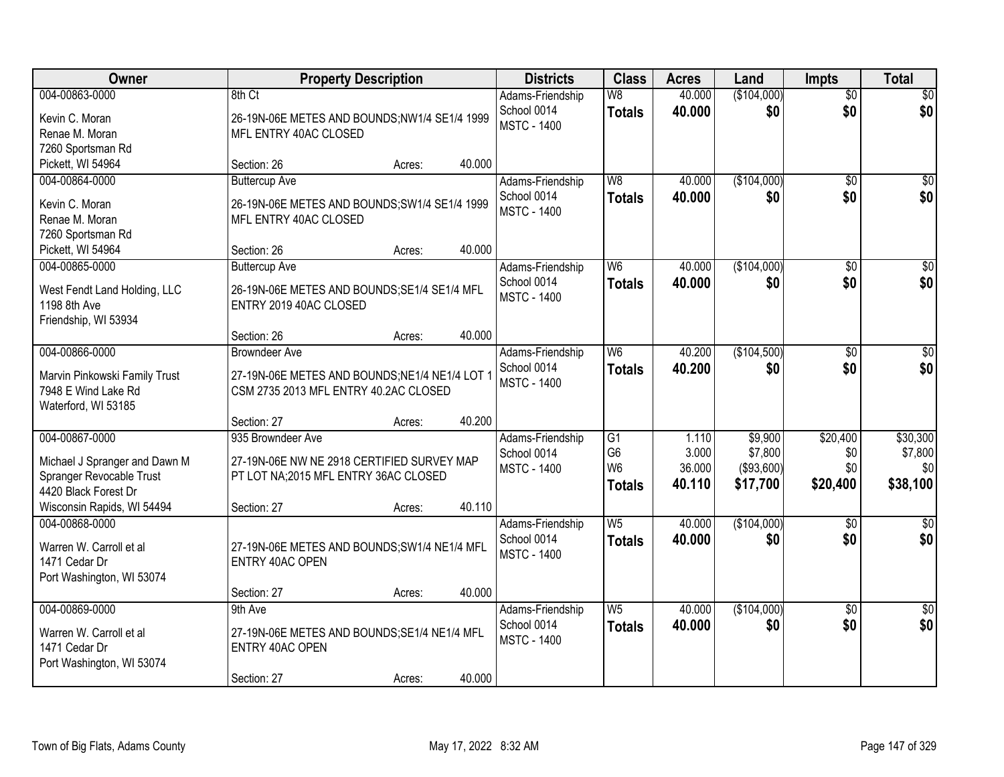| Owner                         |                                               | <b>Property Description</b> |        | <b>Districts</b>                  | <b>Class</b>    | <b>Acres</b> | Land              | <b>Impts</b>    | <b>Total</b>    |
|-------------------------------|-----------------------------------------------|-----------------------------|--------|-----------------------------------|-----------------|--------------|-------------------|-----------------|-----------------|
| 004-00863-0000                | 8th Ct                                        |                             |        | Adams-Friendship                  | W8              | 40.000       | (\$104,000)       | $\overline{50}$ | \$0             |
| Kevin C. Moran                | 26-19N-06E METES AND BOUNDS;NW1/4 SE1/4 1999  |                             |        | School 0014<br><b>MSTC - 1400</b> | <b>Totals</b>   | 40.000       | \$0               | \$0             | \$0             |
| Renae M. Moran                | MFL ENTRY 40AC CLOSED                         |                             |        |                                   |                 |              |                   |                 |                 |
| 7260 Sportsman Rd             |                                               |                             |        |                                   |                 |              |                   |                 |                 |
| Pickett, WI 54964             | Section: 26                                   | Acres:                      | 40.000 |                                   |                 |              |                   |                 |                 |
| 004-00864-0000                | <b>Buttercup Ave</b>                          |                             |        | Adams-Friendship                  | W8              | 40.000       | (\$104,000)       | $\overline{50}$ | \$0             |
| Kevin C. Moran                | 26-19N-06E METES AND BOUNDS; SW1/4 SE1/4 1999 |                             |        | School 0014<br><b>MSTC - 1400</b> | <b>Totals</b>   | 40.000       | \$0               | \$0             | \$0             |
| Renae M. Moran                | MFL ENTRY 40AC CLOSED                         |                             |        |                                   |                 |              |                   |                 |                 |
| 7260 Sportsman Rd             |                                               |                             |        |                                   |                 |              |                   |                 |                 |
| Pickett, WI 54964             | Section: 26                                   | Acres:                      | 40.000 |                                   |                 |              |                   |                 |                 |
| 004-00865-0000                | <b>Buttercup Ave</b>                          |                             |        | Adams-Friendship                  | W <sub>6</sub>  | 40.000       | (\$104,000)       | \$0             | $\overline{50}$ |
| West Fendt Land Holding, LLC  | 26-19N-06E METES AND BOUNDS; SE1/4 SE1/4 MFL  |                             |        | School 0014                       | <b>Totals</b>   | 40.000       | \$0               | \$0             | \$0             |
| 1198 8th Ave                  | ENTRY 2019 40AC CLOSED                        |                             |        | <b>MSTC - 1400</b>                |                 |              |                   |                 |                 |
| Friendship, WI 53934          |                                               |                             |        |                                   |                 |              |                   |                 |                 |
|                               | Section: 26                                   | Acres:                      | 40.000 |                                   |                 |              |                   |                 |                 |
| 004-00866-0000                | <b>Browndeer Ave</b>                          |                             |        | Adams-Friendship                  | W <sub>6</sub>  | 40.200       | (\$104,500)       | $\sqrt[6]{3}$   | $\sqrt{50}$     |
| Marvin Pinkowski Family Trust | 27-19N-06E METES AND BOUNDS;NE1/4 NE1/4 LOT 1 |                             |        | School 0014                       | <b>Totals</b>   | 40.200       | \$0               | \$0             | \$0             |
| 7948 E Wind Lake Rd           | CSM 2735 2013 MFL ENTRY 40.2AC CLOSED         |                             |        | <b>MSTC - 1400</b>                |                 |              |                   |                 |                 |
| Waterford, WI 53185           |                                               |                             |        |                                   |                 |              |                   |                 |                 |
|                               | Section: 27                                   | Acres:                      | 40.200 |                                   |                 |              |                   |                 |                 |
| 004-00867-0000                | 935 Browndeer Ave                             |                             |        | Adams-Friendship                  | $\overline{G1}$ | 1.110        | \$9,900           | \$20,400        | \$30,300        |
| Michael J Spranger and Dawn M | 27-19N-06E NW NE 2918 CERTIFIED SURVEY MAP    |                             |        | School 0014                       | G <sub>6</sub>  | 3.000        | \$7,800           | \$0             | \$7,800         |
| Spranger Revocable Trust      | PT LOT NA;2015 MFL ENTRY 36AC CLOSED          |                             |        | <b>MSTC - 1400</b>                | W <sub>6</sub>  | 36.000       | $($ \$93,600) $ $ | \$0             | \$0             |
| 4420 Black Forest Dr          |                                               |                             |        |                                   | <b>Totals</b>   | 40.110       | \$17,700          | \$20,400        | \$38,100        |
| Wisconsin Rapids, WI 54494    | Section: 27                                   | Acres:                      | 40.110 |                                   |                 |              |                   |                 |                 |
| 004-00868-0000                |                                               |                             |        | Adams-Friendship                  | W <sub>5</sub>  | 40.000       | (\$104,000)       | $\overline{50}$ | \$0             |
| Warren W. Carroll et al       | 27-19N-06E METES AND BOUNDS; SW1/4 NE1/4 MFL  |                             |        | School 0014                       | <b>Totals</b>   | 40.000       | \$0               | \$0             | \$0             |
| 1471 Cedar Dr                 | ENTRY 40AC OPEN                               |                             |        | <b>MSTC - 1400</b>                |                 |              |                   |                 |                 |
| Port Washington, WI 53074     |                                               |                             |        |                                   |                 |              |                   |                 |                 |
|                               | Section: 27                                   | Acres:                      | 40.000 |                                   |                 |              |                   |                 |                 |
| 004-00869-0000                | 9th Ave                                       |                             |        | Adams-Friendship                  | W <sub>5</sub>  | 40.000       | (\$104,000)       | $\overline{50}$ | $\overline{30}$ |
| Warren W. Carroll et al       | 27-19N-06E METES AND BOUNDS; SE1/4 NE1/4 MFL  |                             |        | School 0014                       | <b>Totals</b>   | 40.000       | \$0               | \$0             | \$0             |
| 1471 Cedar Dr                 | ENTRY 40AC OPEN                               |                             |        | <b>MSTC - 1400</b>                |                 |              |                   |                 |                 |
| Port Washington, WI 53074     |                                               |                             |        |                                   |                 |              |                   |                 |                 |
|                               | Section: 27                                   | Acres:                      | 40.000 |                                   |                 |              |                   |                 |                 |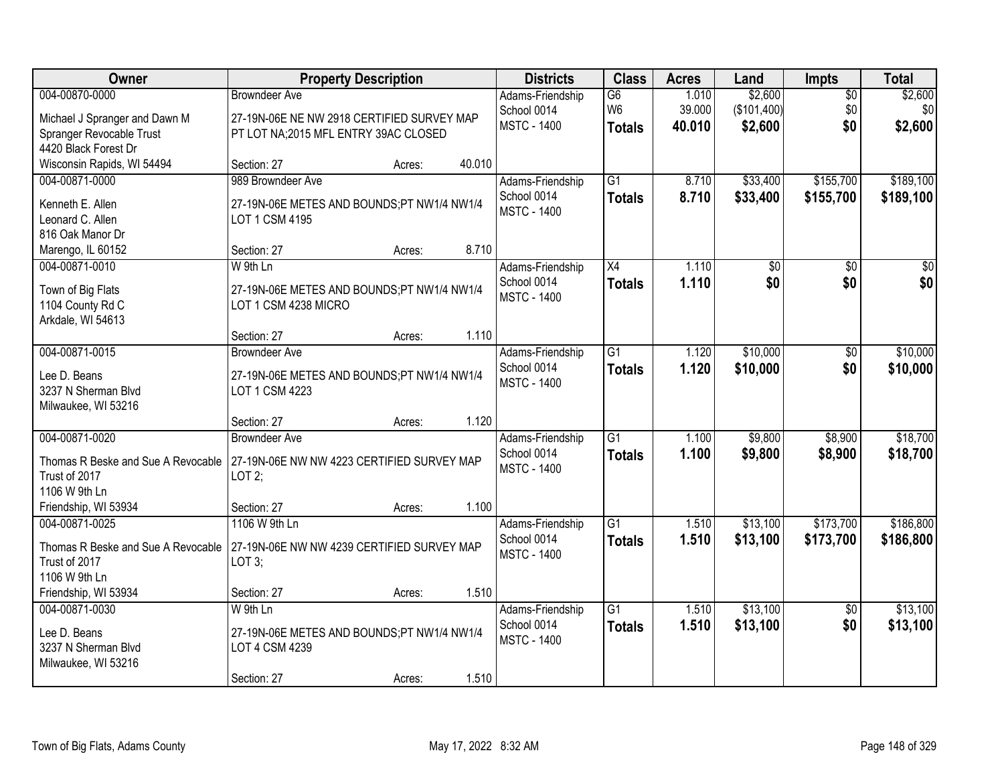| Owner                                                                                  | <b>Property Description</b>                                                                                | <b>Districts</b>                                      | <b>Class</b>                          | <b>Acres</b>              | Land                              | <b>Impts</b>                  | <b>Total</b>              |
|----------------------------------------------------------------------------------------|------------------------------------------------------------------------------------------------------------|-------------------------------------------------------|---------------------------------------|---------------------------|-----------------------------------|-------------------------------|---------------------------|
| 004-00870-0000<br>Michael J Spranger and Dawn M<br>Spranger Revocable Trust            | <b>Browndeer Ave</b><br>27-19N-06E NE NW 2918 CERTIFIED SURVEY MAP<br>PT LOT NA;2015 MFL ENTRY 39AC CLOSED | Adams-Friendship<br>School 0014<br><b>MSTC - 1400</b> | G6<br>W <sub>6</sub><br><b>Totals</b> | 1.010<br>39.000<br>40.010 | \$2,600<br>(\$101,400)<br>\$2,600 | $\overline{50}$<br>\$0<br>\$0 | \$2,600<br>\$0<br>\$2,600 |
| 4420 Black Forest Dr<br>Wisconsin Rapids, WI 54494                                     | 40.010<br>Section: 27<br>Acres:                                                                            |                                                       |                                       |                           |                                   |                               |                           |
| 004-00871-0000<br>Kenneth E. Allen<br>Leonard C. Allen<br>816 Oak Manor Dr             | 989 Browndeer Ave<br>27-19N-06E METES AND BOUNDS;PT NW1/4 NW1/4<br>LOT 1 CSM 4195                          | Adams-Friendship<br>School 0014<br><b>MSTC - 1400</b> | $\overline{G1}$<br><b>Totals</b>      | 8.710<br>8.710            | \$33,400<br>\$33,400              | \$155,700<br>\$155,700        | \$189,100<br>\$189,100    |
| Marengo, IL 60152                                                                      | 8.710<br>Section: 27<br>Acres:                                                                             |                                                       |                                       |                           |                                   |                               |                           |
| 004-00871-0010<br>Town of Big Flats<br>1104 County Rd C<br>Arkdale, WI 54613           | W 9th Ln<br>27-19N-06E METES AND BOUNDS;PT NW1/4 NW1/4<br>LOT 1 CSM 4238 MICRO                             | Adams-Friendship<br>School 0014<br><b>MSTC - 1400</b> | X4<br><b>Totals</b>                   | 1.110<br>1.110            | \$0<br>\$0                        | \$0<br>\$0                    | $\overline{30}$<br>\$0    |
|                                                                                        | 1.110<br>Section: 27<br>Acres:                                                                             |                                                       |                                       |                           |                                   |                               |                           |
| 004-00871-0015<br>Lee D. Beans<br>3237 N Sherman Blvd<br>Milwaukee, WI 53216           | <b>Browndeer Ave</b><br>27-19N-06E METES AND BOUNDS;PT NW1/4 NW1/4<br>LOT 1 CSM 4223                       | Adams-Friendship<br>School 0014<br><b>MSTC - 1400</b> | $\overline{G1}$<br><b>Totals</b>      | 1.120<br>1.120            | \$10,000<br>\$10,000              | \$0<br>\$0                    | \$10,000<br>\$10,000      |
|                                                                                        | 1.120<br>Section: 27<br>Acres:                                                                             |                                                       |                                       |                           |                                   |                               |                           |
| 004-00871-0020<br>Thomas R Beske and Sue A Revocable<br>Trust of 2017<br>1106 W 9th Ln | <b>Browndeer Ave</b><br>27-19N-06E NW NW 4223 CERTIFIED SURVEY MAP<br>LOT2;                                | Adams-Friendship<br>School 0014<br><b>MSTC - 1400</b> | $\overline{G1}$<br><b>Totals</b>      | 1.100<br>1.100            | \$9,800<br>\$9,800                | \$8,900<br>\$8,900            | \$18,700<br>\$18,700      |
| Friendship, WI 53934                                                                   | 1.100<br>Section: 27<br>Acres:                                                                             |                                                       |                                       |                           |                                   |                               |                           |
| 004-00871-0025<br>Thomas R Beske and Sue A Revocable<br>Trust of 2017<br>1106 W 9th Ln | 1106 W 9th Ln<br>27-19N-06E NW NW 4239 CERTIFIED SURVEY MAP<br>LOT 3;                                      | Adams-Friendship<br>School 0014<br><b>MSTC - 1400</b> | $\overline{G1}$<br><b>Totals</b>      | 1.510<br>1.510            | \$13,100<br>\$13,100              | \$173,700<br>\$173,700        | \$186,800<br>\$186,800    |
| Friendship, WI 53934                                                                   | 1.510<br>Section: 27<br>Acres:                                                                             |                                                       |                                       |                           |                                   |                               |                           |
| 004-00871-0030<br>Lee D. Beans<br>3237 N Sherman Blvd<br>Milwaukee, WI 53216           | W 9th Ln<br>27-19N-06E METES AND BOUNDS;PT NW1/4 NW1/4<br>LOT 4 CSM 4239<br>1.510<br>Section: 27<br>Acres: | Adams-Friendship<br>School 0014<br><b>MSTC - 1400</b> | $\overline{G1}$<br><b>Totals</b>      | 1.510<br>1.510            | \$13,100<br>\$13,100              | $\overline{50}$<br>\$0        | \$13,100<br>\$13,100      |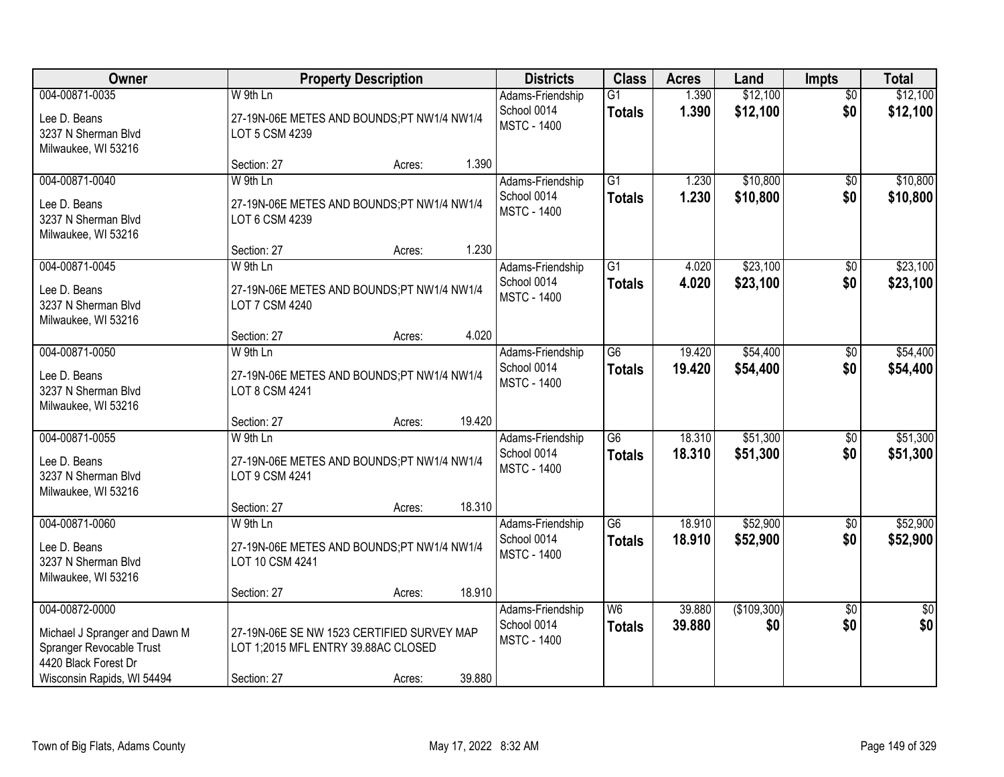| Owner                                                                                                                             | <b>Property Description</b>                                                                                |        | <b>Districts</b>                                      | <b>Class</b>                     | <b>Acres</b>     | Land                 | <b>Impts</b>           | <b>Total</b>         |
|-----------------------------------------------------------------------------------------------------------------------------------|------------------------------------------------------------------------------------------------------------|--------|-------------------------------------------------------|----------------------------------|------------------|----------------------|------------------------|----------------------|
| 004-00871-0035<br>Lee D. Beans<br>3237 N Sherman Blvd<br>Milwaukee, WI 53216                                                      | W 9th Ln<br>27-19N-06E METES AND BOUNDS;PT NW1/4 NW1/4<br>LOT 5 CSM 4239                                   |        | Adams-Friendship<br>School 0014<br><b>MSTC - 1400</b> | $\overline{G1}$<br><b>Totals</b> | 1.390<br>1.390   | \$12,100<br>\$12,100 | $\overline{50}$<br>\$0 | \$12,100<br>\$12,100 |
|                                                                                                                                   | Section: 27<br>Acres:                                                                                      | 1.390  |                                                       |                                  |                  |                      |                        |                      |
| 004-00871-0040<br>Lee D. Beans<br>3237 N Sherman Blvd<br>Milwaukee, WI 53216                                                      | W 9th Ln<br>27-19N-06E METES AND BOUNDS;PT NW1/4 NW1/4<br>LOT 6 CSM 4239                                   |        | Adams-Friendship<br>School 0014<br><b>MSTC - 1400</b> | $\overline{G1}$<br><b>Totals</b> | 1.230<br>1.230   | \$10,800<br>\$10,800 | \$0<br>\$0             | \$10,800<br>\$10,800 |
|                                                                                                                                   | Section: 27<br>Acres:                                                                                      | 1.230  |                                                       |                                  |                  | \$23,100             |                        | \$23,100             |
| 004-00871-0045<br>Lee D. Beans<br>3237 N Sherman Blvd<br>Milwaukee, WI 53216                                                      | W 9th Ln<br>27-19N-06E METES AND BOUNDS;PT NW1/4 NW1/4<br>LOT 7 CSM 4240                                   |        | Adams-Friendship<br>School 0014<br><b>MSTC - 1400</b> | G1<br><b>Totals</b>              | 4.020<br>4.020   | \$23,100             | \$0<br>\$0             | \$23,100             |
|                                                                                                                                   | Section: 27<br>Acres:                                                                                      | 4.020  |                                                       |                                  |                  |                      |                        |                      |
| 004-00871-0050<br>Lee D. Beans<br>3237 N Sherman Blvd<br>Milwaukee, WI 53216                                                      | W 9th Ln<br>27-19N-06E METES AND BOUNDS;PT NW1/4 NW1/4<br>LOT 8 CSM 4241                                   |        | Adams-Friendship<br>School 0014<br><b>MSTC - 1400</b> | $\overline{G6}$<br><b>Totals</b> | 19.420<br>19.420 | \$54,400<br>\$54,400 | \$0<br>\$0             | \$54,400<br>\$54,400 |
|                                                                                                                                   | Section: 27<br>Acres:                                                                                      | 19.420 |                                                       |                                  |                  |                      |                        |                      |
| 004-00871-0055<br>Lee D. Beans<br>3237 N Sherman Blvd<br>Milwaukee, WI 53216                                                      | W 9th Ln<br>27-19N-06E METES AND BOUNDS;PT NW1/4 NW1/4<br>LOT 9 CSM 4241                                   |        | Adams-Friendship<br>School 0014<br><b>MSTC - 1400</b> | $\overline{G6}$<br><b>Totals</b> | 18.310<br>18.310 | \$51,300<br>\$51,300 | $\overline{50}$<br>\$0 | \$51,300<br>\$51,300 |
|                                                                                                                                   | Section: 27<br>Acres:                                                                                      | 18.310 |                                                       |                                  |                  |                      |                        |                      |
| 004-00871-0060<br>Lee D. Beans<br>3237 N Sherman Blvd<br>Milwaukee, WI 53216                                                      | W 9th Ln<br>27-19N-06E METES AND BOUNDS;PT NW1/4 NW1/4<br>LOT 10 CSM 4241                                  |        | Adams-Friendship<br>School 0014<br><b>MSTC - 1400</b> | $\overline{G6}$<br><b>Totals</b> | 18.910<br>18.910 | \$52,900<br>\$52,900 | $\overline{60}$<br>\$0 | \$52,900<br>\$52,900 |
|                                                                                                                                   | Section: 27<br>Acres:                                                                                      | 18.910 |                                                       |                                  |                  |                      |                        |                      |
| 004-00872-0000<br>Michael J Spranger and Dawn M<br>Spranger Revocable Trust<br>4420 Black Forest Dr<br>Wisconsin Rapids, WI 54494 | 27-19N-06E SE NW 1523 CERTIFIED SURVEY MAP<br>LOT 1;2015 MFL ENTRY 39.88AC CLOSED<br>Section: 27<br>Acres: | 39.880 | Adams-Friendship<br>School 0014<br><b>MSTC - 1400</b> | W <sub>6</sub><br><b>Totals</b>  | 39.880<br>39.880 | (\$109,300)<br>\$0   | $\overline{50}$<br>\$0 | $\sqrt{50}$<br>\$0   |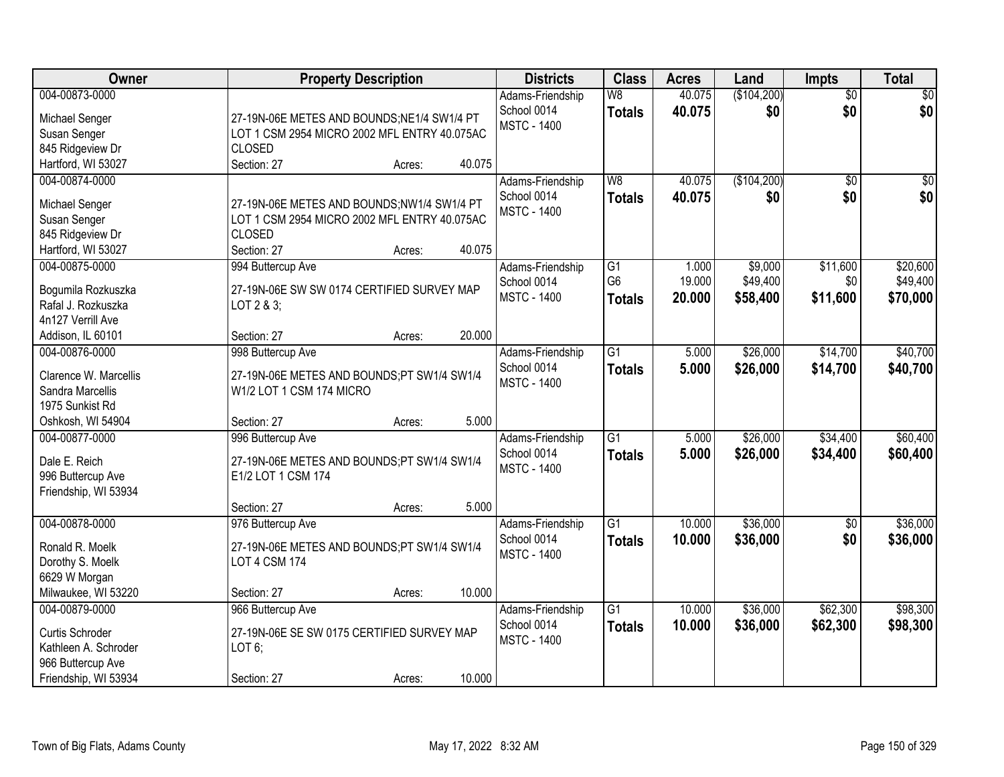| <b>Owner</b>          | <b>Property Description</b>                                      | <b>Districts</b>                  | <b>Class</b>    | <b>Acres</b> | Land        | <b>Impts</b>    | <b>Total</b> |
|-----------------------|------------------------------------------------------------------|-----------------------------------|-----------------|--------------|-------------|-----------------|--------------|
| 004-00873-0000        |                                                                  | Adams-Friendship                  | W8              | 40.075       | (\$104,200) | $\overline{50}$ | $\sqrt{50}$  |
| Michael Senger        | 27-19N-06E METES AND BOUNDS;NE1/4 SW1/4 PT                       | School 0014<br><b>MSTC - 1400</b> | <b>Totals</b>   | 40.075       | \$0         | \$0             | \$0          |
| Susan Senger          | LOT 1 CSM 2954 MICRO 2002 MFL ENTRY 40.075AC                     |                                   |                 |              |             |                 |              |
| 845 Ridgeview Dr      | <b>CLOSED</b>                                                    |                                   |                 |              |             |                 |              |
| Hartford, WI 53027    | 40.075<br>Section: 27<br>Acres:                                  |                                   |                 |              |             |                 |              |
| 004-00874-0000        |                                                                  | Adams-Friendship                  | W8              | 40.075       | (\$104,200) | $\overline{50}$ | \$0          |
| Michael Senger        | 27-19N-06E METES AND BOUNDS;NW1/4 SW1/4 PT                       | School 0014                       | <b>Totals</b>   | 40.075       | \$0         | \$0             | \$0          |
| Susan Senger          | LOT 1 CSM 2954 MICRO 2002 MFL ENTRY 40.075AC                     | <b>MSTC - 1400</b>                |                 |              |             |                 |              |
| 845 Ridgeview Dr      | <b>CLOSED</b>                                                    |                                   |                 |              |             |                 |              |
| Hartford, WI 53027    | 40.075<br>Section: 27<br>Acres:                                  |                                   |                 |              |             |                 |              |
| 004-00875-0000        | 994 Buttercup Ave                                                | Adams-Friendship                  | $\overline{G1}$ | 1.000        | \$9,000     | \$11,600        | \$20,600     |
|                       |                                                                  | School 0014                       | G <sub>6</sub>  | 19.000       | \$49,400    | \$0             | \$49,400     |
| Bogumila Rozkuszka    | 27-19N-06E SW SW 0174 CERTIFIED SURVEY MAP                       | <b>MSTC - 1400</b>                | <b>Totals</b>   | 20,000       | \$58,400    | \$11,600        | \$70,000     |
| Rafal J. Rozkuszka    | LOT 2 & 3;                                                       |                                   |                 |              |             |                 |              |
| 4n127 Verrill Ave     |                                                                  |                                   |                 |              |             |                 |              |
| Addison, IL 60101     | 20.000<br>Section: 27<br>Acres:                                  |                                   |                 |              |             |                 |              |
| 004-00876-0000        | 998 Buttercup Ave                                                | Adams-Friendship                  | $\overline{G1}$ | 5.000        | \$26,000    | \$14,700        | \$40,700     |
| Clarence W. Marcellis | 27-19N-06E METES AND BOUNDS;PT SW1/4 SW1/4                       | School 0014                       | <b>Totals</b>   | 5.000        | \$26,000    | \$14,700        | \$40,700     |
| Sandra Marcellis      | W1/2 LOT 1 CSM 174 MICRO                                         | <b>MSTC - 1400</b>                |                 |              |             |                 |              |
| 1975 Sunkist Rd       |                                                                  |                                   |                 |              |             |                 |              |
| Oshkosh, WI 54904     | 5.000<br>Section: 27<br>Acres:                                   |                                   |                 |              |             |                 |              |
| 004-00877-0000        | 996 Buttercup Ave                                                | Adams-Friendship                  | $\overline{G1}$ | 5.000        | \$26,000    | \$34,400        | \$60,400     |
| Dale E. Reich         |                                                                  | School 0014                       | <b>Totals</b>   | 5.000        | \$26,000    | \$34,400        | \$60,400     |
| 996 Buttercup Ave     | 27-19N-06E METES AND BOUNDS;PT SW1/4 SW1/4<br>E1/2 LOT 1 CSM 174 | <b>MSTC - 1400</b>                |                 |              |             |                 |              |
| Friendship, WI 53934  |                                                                  |                                   |                 |              |             |                 |              |
|                       | 5.000<br>Section: 27<br>Acres:                                   |                                   |                 |              |             |                 |              |
| 004-00878-0000        | 976 Buttercup Ave                                                | Adams-Friendship                  | $\overline{G1}$ | 10.000       | \$36,000    | $\sqrt{$0}$     | \$36,000     |
|                       |                                                                  | School 0014                       | <b>Totals</b>   | 10.000       | \$36,000    | \$0             | \$36,000     |
| Ronald R. Moelk       | 27-19N-06E METES AND BOUNDS;PT SW1/4 SW1/4                       | <b>MSTC - 1400</b>                |                 |              |             |                 |              |
| Dorothy S. Moelk      | <b>LOT 4 CSM 174</b>                                             |                                   |                 |              |             |                 |              |
| 6629 W Morgan         |                                                                  |                                   |                 |              |             |                 |              |
| Milwaukee, WI 53220   | 10.000<br>Section: 27<br>Acres:                                  |                                   |                 |              |             |                 |              |
| 004-00879-0000        | 966 Buttercup Ave                                                | Adams-Friendship                  | $\overline{G1}$ | 10.000       | \$36,000    | \$62,300        | \$98,300     |
| Curtis Schroder       | 27-19N-06E SE SW 0175 CERTIFIED SURVEY MAP                       | School 0014                       | <b>Totals</b>   | 10.000       | \$36,000    | \$62,300        | \$98,300     |
| Kathleen A. Schroder  | LOT6;                                                            | <b>MSTC - 1400</b>                |                 |              |             |                 |              |
| 966 Buttercup Ave     |                                                                  |                                   |                 |              |             |                 |              |
| Friendship, WI 53934  | 10.000<br>Section: 27<br>Acres:                                  |                                   |                 |              |             |                 |              |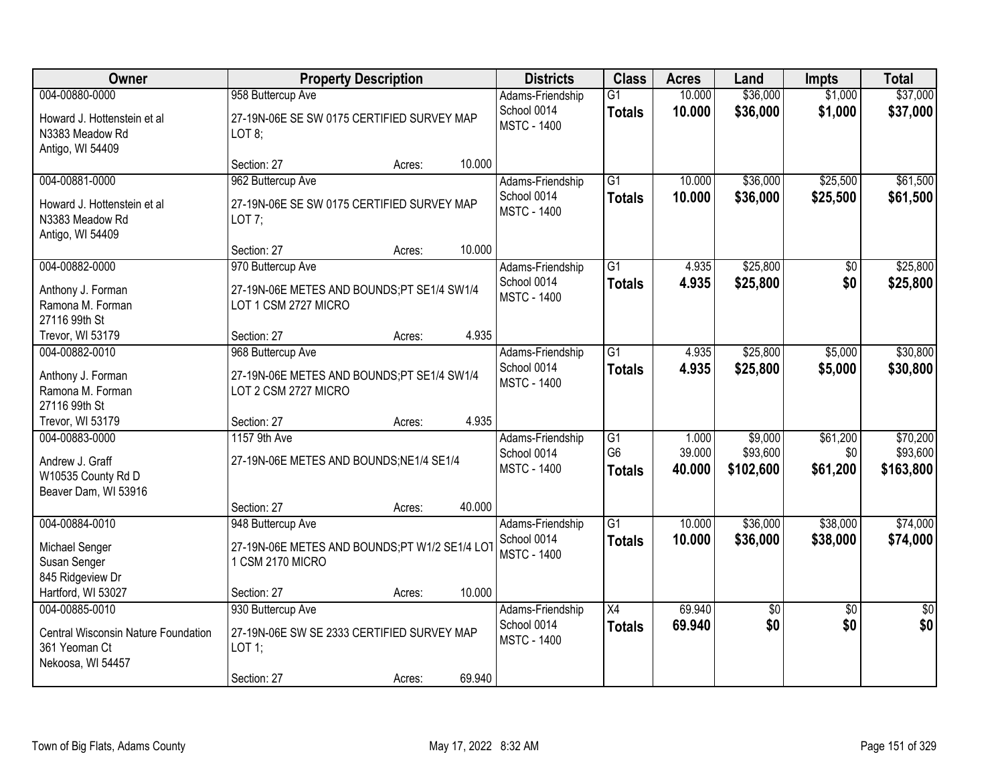| Owner                                                                                       |                                                                                            | <b>Property Description</b> |        | <b>Districts</b>                                      | <b>Class</b>                                       | <b>Acres</b>              | Land                             | <b>Impts</b>                | <b>Total</b>                      |
|---------------------------------------------------------------------------------------------|--------------------------------------------------------------------------------------------|-----------------------------|--------|-------------------------------------------------------|----------------------------------------------------|---------------------------|----------------------------------|-----------------------------|-----------------------------------|
| 004-00880-0000                                                                              | 958 Buttercup Ave                                                                          |                             |        | Adams-Friendship                                      | $\overline{G1}$                                    | 10.000                    | \$36,000                         | \$1,000                     | \$37,000                          |
| Howard J. Hottenstein et al<br>N3383 Meadow Rd<br>Antigo, WI 54409                          | 27-19N-06E SE SW 0175 CERTIFIED SURVEY MAP<br>LOT 8;                                       |                             |        | School 0014<br><b>MSTC - 1400</b>                     | <b>Totals</b>                                      | 10.000                    | \$36,000                         | \$1,000                     | \$37,000                          |
|                                                                                             | Section: 27                                                                                | Acres:                      | 10.000 |                                                       |                                                    |                           |                                  |                             |                                   |
| 004-00881-0000                                                                              | 962 Buttercup Ave                                                                          |                             |        | Adams-Friendship                                      | $\overline{G1}$                                    | 10.000                    | \$36,000                         | \$25,500                    | \$61,500                          |
| Howard J. Hottenstein et al<br>N3383 Meadow Rd<br>Antigo, WI 54409                          | 27-19N-06E SE SW 0175 CERTIFIED SURVEY MAP<br>$LOT7$ ;                                     |                             |        | School 0014<br><b>MSTC - 1400</b>                     | <b>Totals</b>                                      | 10.000                    | \$36,000                         | \$25,500                    | \$61,500                          |
|                                                                                             | Section: 27                                                                                | Acres:                      | 10.000 |                                                       |                                                    |                           |                                  |                             |                                   |
| 004-00882-0000                                                                              | 970 Buttercup Ave                                                                          |                             |        | Adams-Friendship                                      | $\overline{G1}$                                    | 4.935                     | \$25,800                         | \$0                         | \$25,800                          |
| Anthony J. Forman<br>Ramona M. Forman<br>27116 99th St                                      | 27-19N-06E METES AND BOUNDS;PT SE1/4 SW1/4<br>LOT 1 CSM 2727 MICRO                         |                             |        | School 0014<br><b>MSTC - 1400</b>                     | <b>Totals</b>                                      | 4.935                     | \$25,800                         | \$0                         | \$25,800                          |
| Trevor, WI 53179                                                                            | Section: 27                                                                                | Acres:                      | 4.935  |                                                       |                                                    |                           |                                  |                             |                                   |
| 004-00882-0010                                                                              | 968 Buttercup Ave                                                                          |                             |        | Adams-Friendship                                      | $\overline{G1}$                                    | 4.935                     | \$25,800                         | \$5,000                     | \$30,800                          |
| Anthony J. Forman<br>Ramona M. Forman<br>27116 99th St                                      | 27-19N-06E METES AND BOUNDS;PT SE1/4 SW1/4<br>LOT 2 CSM 2727 MICRO                         |                             |        | School 0014<br><b>MSTC - 1400</b>                     | <b>Totals</b>                                      | 4.935                     | \$25,800                         | \$5,000                     | \$30,800                          |
| Trevor, WI 53179                                                                            | Section: 27                                                                                | Acres:                      | 4.935  |                                                       |                                                    |                           |                                  |                             |                                   |
| 004-00883-0000<br>Andrew J. Graff<br>W10535 County Rd D<br>Beaver Dam, WI 53916             | 1157 9th Ave<br>27-19N-06E METES AND BOUNDS; NE1/4 SE1/4                                   |                             |        | Adams-Friendship<br>School 0014<br><b>MSTC - 1400</b> | $\overline{G1}$<br>G <sub>6</sub><br><b>Totals</b> | 1.000<br>39.000<br>40.000 | \$9,000<br>\$93,600<br>\$102,600 | \$61,200<br>\$0<br>\$61,200 | \$70,200<br>\$93,600<br>\$163,800 |
|                                                                                             | Section: 27                                                                                | Acres:                      | 40.000 |                                                       |                                                    |                           |                                  |                             |                                   |
| 004-00884-0010                                                                              | 948 Buttercup Ave                                                                          |                             |        | Adams-Friendship                                      | $\overline{G1}$                                    | 10.000                    | \$36,000                         | \$38,000                    | \$74,000                          |
| Michael Senger<br>Susan Senger<br>845 Ridgeview Dr                                          | 27-19N-06E METES AND BOUNDS;PT W1/2 SE1/4 LO<br>1 CSM 2170 MICRO                           |                             |        | School 0014<br><b>MSTC - 1400</b>                     | <b>Totals</b>                                      | 10.000                    | \$36,000                         | \$38,000                    | \$74,000                          |
| Hartford, WI 53027                                                                          | Section: 27                                                                                | Acres:                      | 10.000 |                                                       |                                                    |                           |                                  |                             |                                   |
| 004-00885-0010<br>Central Wisconsin Nature Foundation<br>361 Yeoman Ct<br>Nekoosa, WI 54457 | 930 Buttercup Ave<br>27-19N-06E SW SE 2333 CERTIFIED SURVEY MAP<br>$LOT$ 1;<br>Section: 27 | Acres:                      | 69.940 | Adams-Friendship<br>School 0014<br><b>MSTC - 1400</b> | X4<br><b>Totals</b>                                | 69.940<br>69.940          | $\overline{50}$<br>\$0           | $\overline{30}$<br>\$0      | $\overline{50}$<br>\$0            |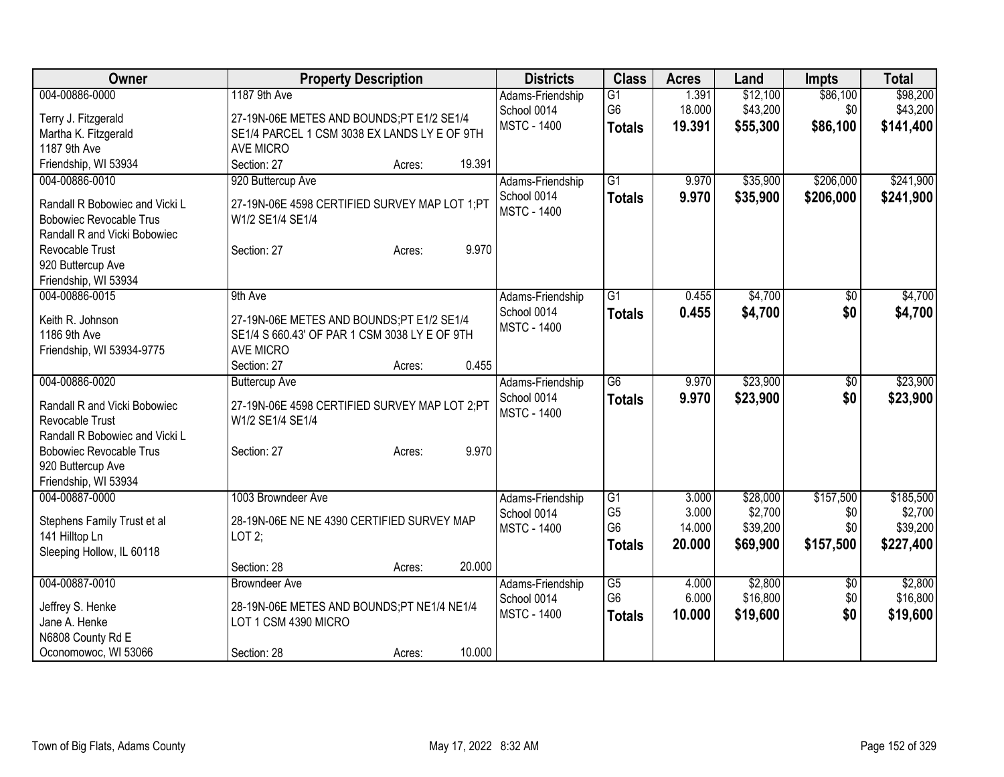| Owner                                  | <b>Property Description</b>                   | <b>Districts</b>                  | <b>Class</b>                      | <b>Acres</b>   | Land                | <b>Impts</b>    | <b>Total</b>        |
|----------------------------------------|-----------------------------------------------|-----------------------------------|-----------------------------------|----------------|---------------------|-----------------|---------------------|
| 004-00886-0000                         | 1187 9th Ave                                  | Adams-Friendship                  | $\overline{G1}$                   | 1.391          | \$12,100            | \$86,100        | \$98,200            |
| Terry J. Fitzgerald                    | 27-19N-06E METES AND BOUNDS;PT E1/2 SE1/4     | School 0014                       | G <sub>6</sub>                    | 18.000         | \$43,200            | \$0             | \$43,200            |
| Martha K. Fitzgerald                   | SE1/4 PARCEL 1 CSM 3038 EX LANDS LY E OF 9TH  | <b>MSTC - 1400</b>                | <b>Totals</b>                     | 19.391         | \$55,300            | \$86,100        | \$141,400           |
| 1187 9th Ave                           | AVE MICRO                                     |                                   |                                   |                |                     |                 |                     |
| Friendship, WI 53934                   | Section: 27<br>19.391<br>Acres:               |                                   |                                   |                |                     |                 |                     |
| 004-00886-0010                         | 920 Buttercup Ave                             | Adams-Friendship                  | $\overline{G1}$                   | 9.970          | \$35,900            | \$206,000       | \$241,900           |
| Randall R Bobowiec and Vicki L         | 27-19N-06E 4598 CERTIFIED SURVEY MAP LOT 1;PT | School 0014                       | <b>Totals</b>                     | 9.970          | \$35,900            | \$206,000       | \$241,900           |
| <b>Bobowiec Revocable Trus</b>         | W1/2 SE1/4 SE1/4                              | <b>MSTC - 1400</b>                |                                   |                |                     |                 |                     |
| Randall R and Vicki Bobowiec           |                                               |                                   |                                   |                |                     |                 |                     |
| Revocable Trust                        | 9.970<br>Section: 27<br>Acres:                |                                   |                                   |                |                     |                 |                     |
| 920 Buttercup Ave                      |                                               |                                   |                                   |                |                     |                 |                     |
| Friendship, WI 53934                   |                                               |                                   |                                   |                |                     |                 |                     |
| 004-00886-0015                         | 9th Ave                                       | Adams-Friendship                  | $\overline{G1}$                   | 0.455          | \$4,700             | \$0             | \$4,700             |
| Keith R. Johnson                       | 27-19N-06E METES AND BOUNDS;PT E1/2 SE1/4     | School 0014<br><b>MSTC - 1400</b> | <b>Totals</b>                     | 0.455          | \$4,700             | \$0             | \$4,700             |
| 1186 9th Ave                           | SE1/4 S 660.43' OF PAR 1 CSM 3038 LY E OF 9TH |                                   |                                   |                |                     |                 |                     |
| Friendship, WI 53934-9775              | <b>AVE MICRO</b>                              |                                   |                                   |                |                     |                 |                     |
|                                        | 0.455<br>Section: 27<br>Acres:                |                                   |                                   |                |                     |                 |                     |
| 004-00886-0020                         | <b>Buttercup Ave</b>                          | Adams-Friendship                  | $\overline{G6}$                   | 9.970          | \$23,900            | $\overline{50}$ | \$23,900            |
| Randall R and Vicki Bobowiec           | 27-19N-06E 4598 CERTIFIED SURVEY MAP LOT 2;PT | School 0014<br><b>MSTC - 1400</b> | <b>Totals</b>                     | 9.970          | \$23,900            | \$0             | \$23,900            |
| Revocable Trust                        | W1/2 SE1/4 SE1/4                              |                                   |                                   |                |                     |                 |                     |
| Randall R Bobowiec and Vicki L         |                                               |                                   |                                   |                |                     |                 |                     |
| <b>Bobowiec Revocable Trus</b>         | 9.970<br>Section: 27<br>Acres:                |                                   |                                   |                |                     |                 |                     |
| 920 Buttercup Ave                      |                                               |                                   |                                   |                |                     |                 |                     |
| Friendship, WI 53934<br>004-00887-0000 | 1003 Browndeer Ave                            |                                   | $\overline{G1}$                   | 3.000          | \$28,000            | \$157,500       | \$185,500           |
|                                        |                                               | Adams-Friendship<br>School 0014   | G <sub>5</sub>                    | 3.000          | \$2,700             | \$0             | \$2,700             |
| Stephens Family Trust et al            | 28-19N-06E NE NE 4390 CERTIFIED SURVEY MAP    | <b>MSTC - 1400</b>                | G <sub>6</sub>                    | 14.000         | \$39,200            | \$0             | \$39,200            |
| 141 Hilltop Ln                         | LOT2;                                         |                                   | <b>Totals</b>                     | 20.000         | \$69,900            | \$157,500       | \$227,400           |
| Sleeping Hollow, IL 60118              |                                               |                                   |                                   |                |                     |                 |                     |
|                                        | 20.000<br>Section: 28<br>Acres:               |                                   |                                   |                |                     |                 |                     |
| 004-00887-0010                         | <b>Browndeer Ave</b>                          | Adams-Friendship<br>School 0014   | $\overline{G5}$<br>G <sub>6</sub> | 4.000<br>6.000 | \$2,800<br>\$16,800 | \$0<br>\$0      | \$2,800<br>\$16,800 |
| Jeffrey S. Henke                       | 28-19N-06E METES AND BOUNDS;PT NE1/4 NE1/4    | <b>MSTC - 1400</b>                |                                   | 10.000         | \$19,600            | \$0             | \$19,600            |
| Jane A. Henke                          | LOT 1 CSM 4390 MICRO                          |                                   | <b>Totals</b>                     |                |                     |                 |                     |
| N6808 County Rd E                      |                                               |                                   |                                   |                |                     |                 |                     |
| Oconomowoc, WI 53066                   | 10.000<br>Section: 28<br>Acres:               |                                   |                                   |                |                     |                 |                     |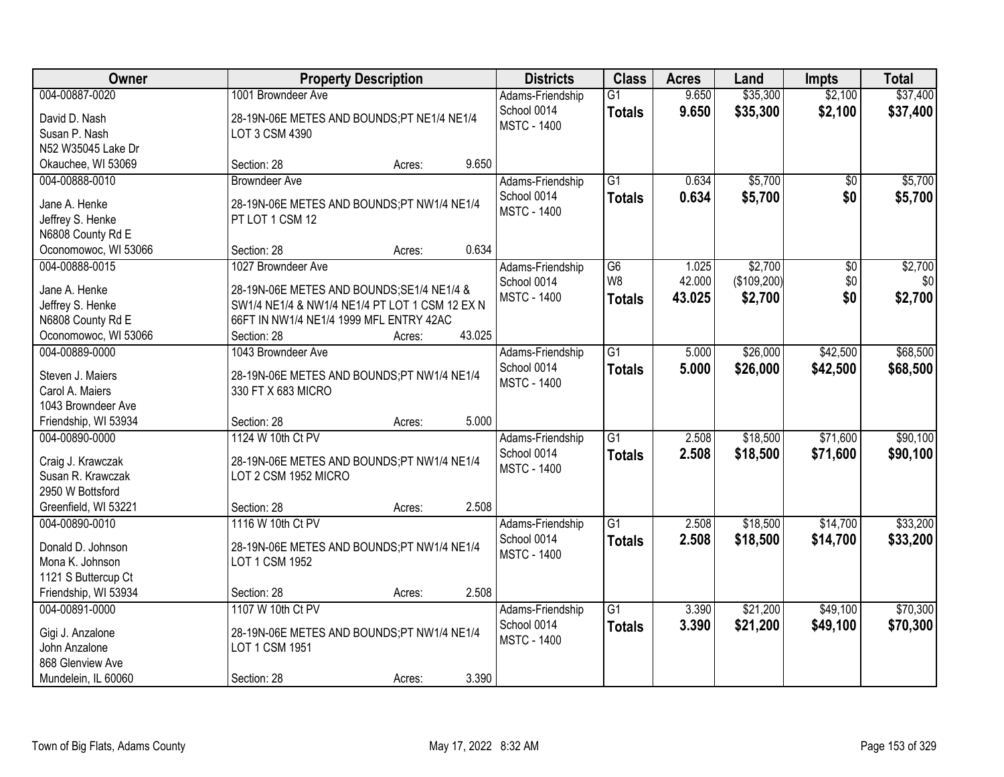| 004-00887-0020<br>1001 Browndeer Ave<br>9.650<br>\$35,300<br>\$2,100<br>$\overline{G1}$<br>Adams-Friendship<br>School 0014<br>9.650<br>\$35,300<br>\$2,100<br><b>Totals</b><br>David D. Nash<br>28-19N-06E METES AND BOUNDS;PT NE1/4 NE1/4 | \$37,400<br>\$37,400 |
|--------------------------------------------------------------------------------------------------------------------------------------------------------------------------------------------------------------------------------------------|----------------------|
| <b>MSTC - 1400</b>                                                                                                                                                                                                                         |                      |
| Susan P. Nash<br>LOT 3 CSM 4390                                                                                                                                                                                                            |                      |
| N52 W35045 Lake Dr                                                                                                                                                                                                                         |                      |
| 9.650<br>Okauchee, WI 53069<br>Section: 28<br>Acres:                                                                                                                                                                                       |                      |
| \$5,700<br>$\overline{G1}$<br>0.634<br>004-00888-0010<br><b>Browndeer Ave</b><br>$\overline{50}$<br>Adams-Friendship                                                                                                                       | \$5,700              |
| 0.634<br>\$5,700<br>\$0<br>School 0014<br><b>Totals</b><br>Jane A. Henke<br>28-19N-06E METES AND BOUNDS;PT NW1/4 NE1/4                                                                                                                     | \$5,700              |
| <b>MSTC - 1400</b><br>Jeffrey S. Henke<br>PT LOT 1 CSM 12                                                                                                                                                                                  |                      |
| N6808 County Rd E                                                                                                                                                                                                                          |                      |
| 0.634<br>Oconomowoc, WI 53066<br>Section: 28<br>Acres:                                                                                                                                                                                     |                      |
| \$2,700<br>004-00888-0015<br>$\overline{G6}$<br>$\overline{50}$<br>1027 Browndeer Ave<br>Adams-Friendship<br>1.025                                                                                                                         | \$2,700              |
| W8<br>(\$109,200)<br>\$0<br>42.000<br>School 0014<br>Jane A. Henke<br>28-19N-06E METES AND BOUNDS; SE1/4 NE1/4 &                                                                                                                           | \$0                  |
| <b>MSTC - 1400</b><br>\$2,700<br>\$0<br>43.025<br><b>Totals</b><br>Jeffrey S. Henke<br>SW1/4 NE1/4 & NW1/4 NE1/4 PT LOT 1 CSM 12 EX N                                                                                                      | \$2,700              |
| N6808 County Rd E<br>66FT IN NW1/4 NE1/4 1999 MFL ENTRY 42AC                                                                                                                                                                               |                      |
| 43.025<br>Oconomowoc, WI 53066<br>Section: 28<br>Acres:                                                                                                                                                                                    |                      |
| $\overline{G1}$<br>\$26,000<br>\$42,500<br>004-00889-0000<br>1043 Browndeer Ave<br>Adams-Friendship<br>5.000                                                                                                                               | \$68,500             |
| School 0014<br>5.000<br>\$26,000<br>\$42,500<br><b>Totals</b>                                                                                                                                                                              | \$68,500             |
| Steven J. Maiers<br>28-19N-06E METES AND BOUNDS;PT NW1/4 NE1/4<br><b>MSTC - 1400</b>                                                                                                                                                       |                      |
| Carol A. Maiers<br>330 FT X 683 MICRO                                                                                                                                                                                                      |                      |
| 1043 Browndeer Ave                                                                                                                                                                                                                         |                      |
| 5.000<br>Friendship, WI 53934<br>Section: 28<br>Acres:                                                                                                                                                                                     |                      |
| $\overline{G1}$<br>\$18,500<br>\$71,600<br>004-00890-0000<br>1124 W 10th Ct PV<br>2.508<br>Adams-Friendship                                                                                                                                | \$90,100             |
| 2.508<br>\$18,500<br>\$71,600<br>School 0014<br><b>Totals</b><br>Craig J. Krawczak<br>28-19N-06E METES AND BOUNDS;PT NW1/4 NE1/4<br><b>MSTC - 1400</b>                                                                                     | \$90,100             |
| Susan R. Krawczak<br>LOT 2 CSM 1952 MICRO                                                                                                                                                                                                  |                      |
| 2950 W Bottsford                                                                                                                                                                                                                           |                      |
| 2.508<br>Greenfield, WI 53221<br>Section: 28<br>Acres:                                                                                                                                                                                     |                      |
| 1116 W 10th Ct PV<br>$\overline{G1}$<br>\$18,500<br>\$14,700<br>004-00890-0010<br>2.508<br>Adams-Friendship                                                                                                                                | \$33,200             |
| \$18,500<br>School 0014<br>2.508<br>\$14,700<br><b>Totals</b><br>Donald D. Johnson<br>28-19N-06E METES AND BOUNDS;PT NW1/4 NE1/4                                                                                                           | \$33,200             |
| <b>MSTC - 1400</b><br>LOT 1 CSM 1952<br>Mona K. Johnson                                                                                                                                                                                    |                      |
| 1121 S Buttercup Ct                                                                                                                                                                                                                        |                      |
| Friendship, WI 53934<br>2.508<br>Section: 28<br>Acres:                                                                                                                                                                                     |                      |
| \$49,100<br>004-00891-0000<br>1107 W 10th Ct PV<br>$\overline{G1}$<br>\$21,200<br>Adams-Friendship<br>3.390                                                                                                                                | \$70,300             |
| 3.390<br>\$21,200<br>\$49,100<br>School 0014<br><b>Totals</b>                                                                                                                                                                              | \$70,300             |
| Gigi J. Anzalone<br>28-19N-06E METES AND BOUNDS;PT NW1/4 NE1/4<br><b>MSTC - 1400</b><br>John Anzalone<br>LOT 1 CSM 1951                                                                                                                    |                      |
| 868 Glenview Ave                                                                                                                                                                                                                           |                      |
| 3.390<br>Mundelein, IL 60060<br>Section: 28<br>Acres:                                                                                                                                                                                      |                      |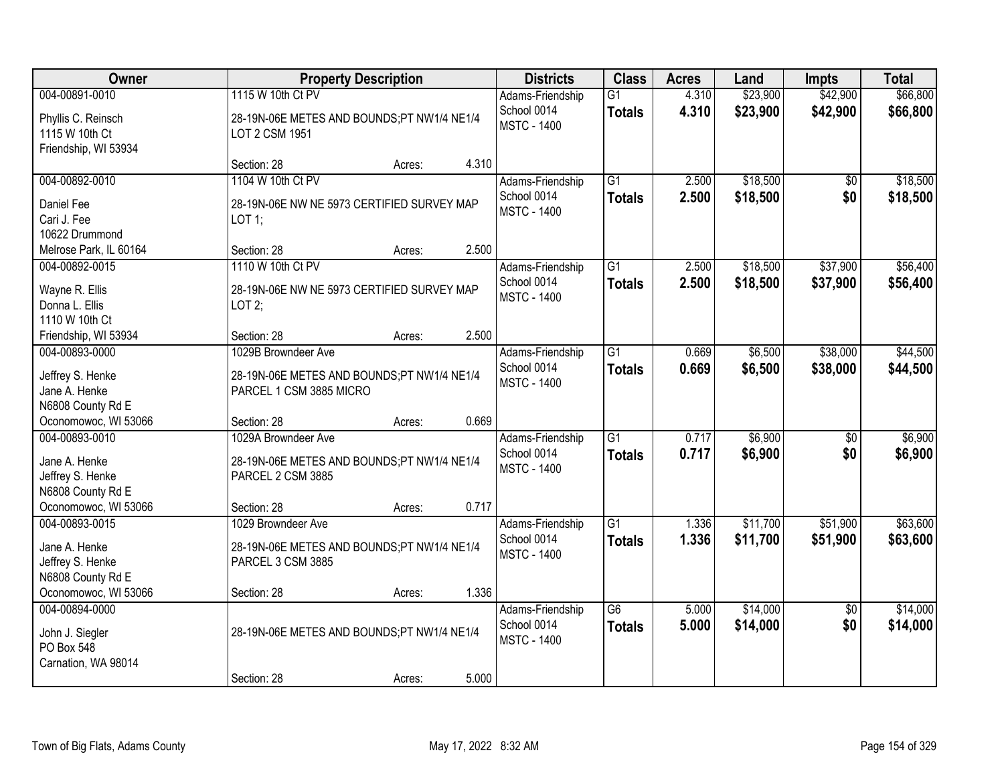| <b>Owner</b>                                                                   | <b>Property Description</b>                                                                  | <b>Districts</b>                                      | <b>Class</b>                     | <b>Acres</b>   | Land                 | <b>Impts</b>           | <b>Total</b>         |
|--------------------------------------------------------------------------------|----------------------------------------------------------------------------------------------|-------------------------------------------------------|----------------------------------|----------------|----------------------|------------------------|----------------------|
| 004-00891-0010<br>Phyllis C. Reinsch<br>1115 W 10th Ct<br>Friendship, WI 53934 | 1115 W 10th Ct PV<br>28-19N-06E METES AND BOUNDS;PT NW1/4 NE1/4<br>LOT 2 CSM 1951            | Adams-Friendship<br>School 0014<br><b>MSTC - 1400</b> | $\overline{G1}$<br><b>Totals</b> | 4.310<br>4.310 | \$23,900<br>\$23,900 | \$42,900<br>\$42,900   | \$66,800<br>\$66,800 |
|                                                                                | 4.310<br>Section: 28<br>Acres:                                                               |                                                       |                                  |                |                      |                        |                      |
| 004-00892-0010<br>Daniel Fee<br>Cari J. Fee<br>10622 Drummond                  | 1104 W 10th Ct PV<br>28-19N-06E NW NE 5973 CERTIFIED SURVEY MAP<br>LOT 1;                    | Adams-Friendship<br>School 0014<br><b>MSTC - 1400</b> | $\overline{G1}$<br><b>Totals</b> | 2.500<br>2.500 | \$18,500<br>\$18,500 | \$0<br>\$0             | \$18,500<br>\$18,500 |
| Melrose Park, IL 60164                                                         | 2.500<br>Section: 28<br>Acres:                                                               |                                                       |                                  |                |                      |                        |                      |
| 004-00892-0015<br>Wayne R. Ellis<br>Donna L. Ellis<br>1110 W 10th Ct           | 1110 W 10th Ct PV<br>28-19N-06E NW NE 5973 CERTIFIED SURVEY MAP<br>LOT $2$ ;                 | Adams-Friendship<br>School 0014<br><b>MSTC - 1400</b> | G1<br><b>Totals</b>              | 2.500<br>2.500 | \$18,500<br>\$18,500 | \$37,900<br>\$37,900   | \$56,400<br>\$56,400 |
| Friendship, WI 53934                                                           | 2.500<br>Section: 28<br>Acres:                                                               |                                                       |                                  |                |                      |                        |                      |
| 004-00893-0000<br>Jeffrey S. Henke<br>Jane A. Henke<br>N6808 County Rd E       | 1029B Browndeer Ave<br>28-19N-06E METES AND BOUNDS;PT NW1/4 NE1/4<br>PARCEL 1 CSM 3885 MICRO | Adams-Friendship<br>School 0014<br><b>MSTC - 1400</b> | $\overline{G1}$<br><b>Totals</b> | 0.669<br>0.669 | \$6,500<br>\$6,500   | \$38,000<br>\$38,000   | \$44,500<br>\$44,500 |
| Oconomowoc, WI 53066                                                           | 0.669<br>Section: 28<br>Acres:                                                               |                                                       |                                  |                |                      |                        |                      |
| 004-00893-0010<br>Jane A. Henke<br>Jeffrey S. Henke<br>N6808 County Rd E       | 1029A Browndeer Ave<br>28-19N-06E METES AND BOUNDS;PT NW1/4 NE1/4<br>PARCEL 2 CSM 3885       | Adams-Friendship<br>School 0014<br><b>MSTC - 1400</b> | $\overline{G1}$<br><b>Totals</b> | 0.717<br>0.717 | \$6,900<br>\$6,900   | $\overline{50}$<br>\$0 | \$6,900<br>\$6,900   |
| Oconomowoc, WI 53066                                                           | 0.717<br>Section: 28<br>Acres:                                                               |                                                       |                                  |                |                      |                        |                      |
| 004-00893-0015<br>Jane A. Henke<br>Jeffrey S. Henke<br>N6808 County Rd E       | 1029 Browndeer Ave<br>28-19N-06E METES AND BOUNDS;PT NW1/4 NE1/4<br>PARCEL 3 CSM 3885        | Adams-Friendship<br>School 0014<br><b>MSTC - 1400</b> | $\overline{G1}$<br><b>Totals</b> | 1.336<br>1.336 | \$11,700<br>\$11,700 | \$51,900<br>\$51,900   | \$63,600<br>\$63,600 |
| Oconomowoc, WI 53066                                                           | 1.336<br>Section: 28<br>Acres:                                                               |                                                       |                                  |                |                      |                        |                      |
| 004-00894-0000<br>John J. Siegler<br>PO Box 548<br>Carnation, WA 98014         | 28-19N-06E METES AND BOUNDS;PT NW1/4 NE1/4<br>5.000<br>Section: 28                           | Adams-Friendship<br>School 0014<br><b>MSTC - 1400</b> | $\overline{G6}$<br><b>Totals</b> | 5.000<br>5.000 | \$14,000<br>\$14,000 | $\overline{50}$<br>\$0 | \$14,000<br>\$14,000 |
|                                                                                | Acres:                                                                                       |                                                       |                                  |                |                      |                        |                      |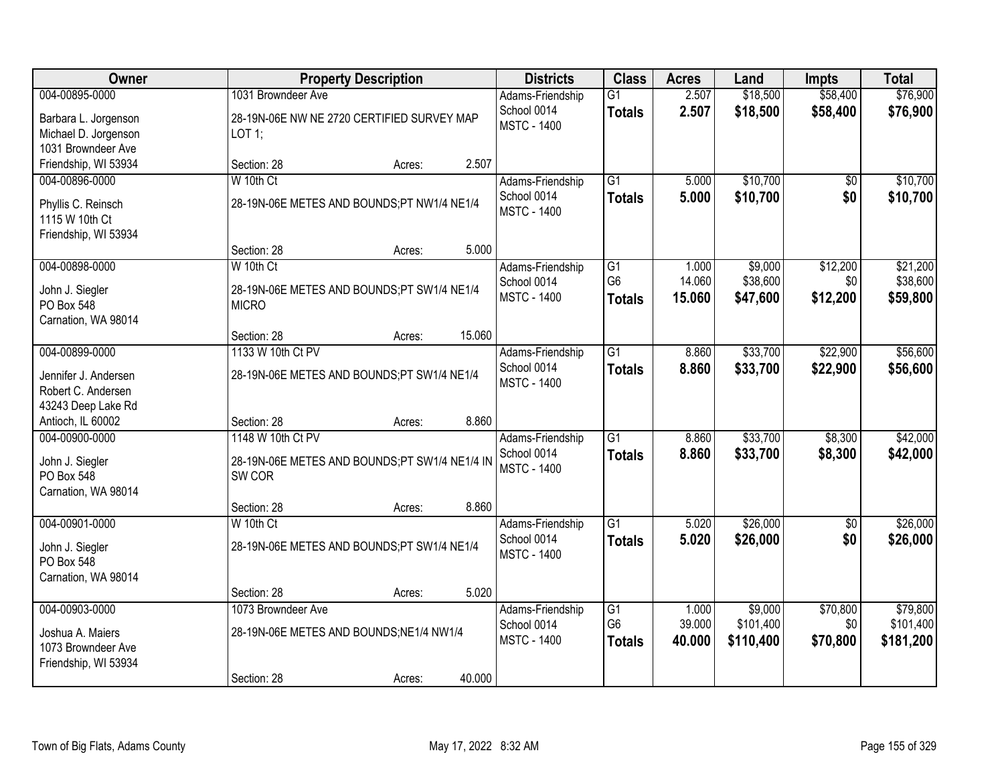| <b>Owner</b>                                                                  | <b>Property Description</b>                                                  | <b>Districts</b>                                      | <b>Class</b>                                       | <b>Acres</b>              | Land                              | <b>Impts</b>                | <b>Total</b>                       |
|-------------------------------------------------------------------------------|------------------------------------------------------------------------------|-------------------------------------------------------|----------------------------------------------------|---------------------------|-----------------------------------|-----------------------------|------------------------------------|
| 004-00895-0000                                                                | 1031 Browndeer Ave                                                           | Adams-Friendship                                      | $\overline{G1}$                                    | 2.507                     | \$18,500                          | \$58,400                    | \$76,900                           |
| Barbara L. Jorgenson<br>Michael D. Jorgenson<br>1031 Browndeer Ave            | 28-19N-06E NW NE 2720 CERTIFIED SURVEY MAP<br>LOT 1;                         | School 0014<br><b>MSTC - 1400</b>                     | <b>Totals</b>                                      | 2.507                     | \$18,500                          | \$58,400                    | \$76,900                           |
| Friendship, WI 53934                                                          | 2.507<br>Section: 28<br>Acres:                                               |                                                       |                                                    |                           |                                   |                             |                                    |
| 004-00896-0000                                                                | W 10th Ct                                                                    | Adams-Friendship                                      | G1                                                 | 5.000                     | \$10,700                          | \$0                         | \$10,700                           |
| Phyllis C. Reinsch<br>1115 W 10th Ct<br>Friendship, WI 53934                  | 28-19N-06E METES AND BOUNDS;PT NW1/4 NE1/4                                   | School 0014<br><b>MSTC - 1400</b>                     | <b>Totals</b>                                      | 5.000                     | \$10,700                          | \$0                         | \$10,700                           |
|                                                                               | Section: 28<br>5.000<br>Acres:                                               |                                                       |                                                    |                           |                                   |                             |                                    |
| 004-00898-0000<br>John J. Siegler<br>PO Box 548<br>Carnation, WA 98014        | W 10th Ct<br>28-19N-06E METES AND BOUNDS;PT SW1/4 NE1/4<br><b>MICRO</b>      | Adams-Friendship<br>School 0014<br><b>MSTC - 1400</b> | $\overline{G1}$<br>G <sub>6</sub><br><b>Totals</b> | 1.000<br>14.060<br>15.060 | \$9,000<br>\$38,600<br>\$47,600   | \$12,200<br>\$0<br>\$12,200 | \$21,200<br>\$38,600<br>\$59,800   |
|                                                                               | 15.060<br>Section: 28<br>Acres:                                              |                                                       |                                                    |                           |                                   |                             |                                    |
| 004-00899-0000                                                                | 1133 W 10th Ct PV                                                            | Adams-Friendship                                      | $\overline{G1}$                                    | 8.860                     | \$33,700                          | \$22,900                    | \$56,600                           |
| Jennifer J. Andersen<br>Robert C. Andersen<br>43243 Deep Lake Rd              | 28-19N-06E METES AND BOUNDS;PT SW1/4 NE1/4                                   | School 0014<br><b>MSTC - 1400</b>                     | <b>Totals</b>                                      | 8.860                     | \$33,700                          | \$22,900                    | \$56,600                           |
| Antioch, IL 60002                                                             | 8.860<br>Section: 28<br>Acres:                                               |                                                       |                                                    |                           |                                   |                             |                                    |
| 004-00900-0000<br>John J. Siegler<br>PO Box 548<br>Carnation, WA 98014        | 1148 W 10th Ct PV<br>28-19N-06E METES AND BOUNDS;PT SW1/4 NE1/4 IN<br>SW COR | Adams-Friendship<br>School 0014<br><b>MSTC - 1400</b> | $\overline{G1}$<br><b>Totals</b>                   | 8.860<br>8.860            | \$33,700<br>\$33,700              | \$8,300<br>\$8,300          | \$42,000<br>\$42,000               |
|                                                                               | 8.860<br>Section: 28<br>Acres:                                               |                                                       |                                                    |                           |                                   |                             |                                    |
| 004-00901-0000<br>John J. Siegler<br><b>PO Box 548</b><br>Carnation, WA 98014 | W 10th Ct<br>28-19N-06E METES AND BOUNDS;PT SW1/4 NE1/4                      | Adams-Friendship<br>School 0014<br><b>MSTC - 1400</b> | $\overline{G1}$<br><b>Totals</b>                   | 5.020<br>5.020            | \$26,000<br>\$26,000              | $\sqrt{6}$<br>\$0           | \$26,000<br>\$26,000               |
|                                                                               | 5.020<br>Section: 28<br>Acres:                                               |                                                       |                                                    |                           |                                   |                             |                                    |
| 004-00903-0000<br>Joshua A. Maiers<br>1073 Browndeer Ave                      | 1073 Browndeer Ave<br>28-19N-06E METES AND BOUNDS;NE1/4 NW1/4                | Adams-Friendship<br>School 0014<br><b>MSTC - 1400</b> | G1<br>G <sub>6</sub><br><b>Totals</b>              | 1.000<br>39.000<br>40.000 | \$9,000<br>\$101,400<br>\$110,400 | \$70,800<br>\$0<br>\$70,800 | \$79,800<br>\$101,400<br>\$181,200 |
| Friendship, WI 53934                                                          | 40.000<br>Section: 28<br>Acres:                                              |                                                       |                                                    |                           |                                   |                             |                                    |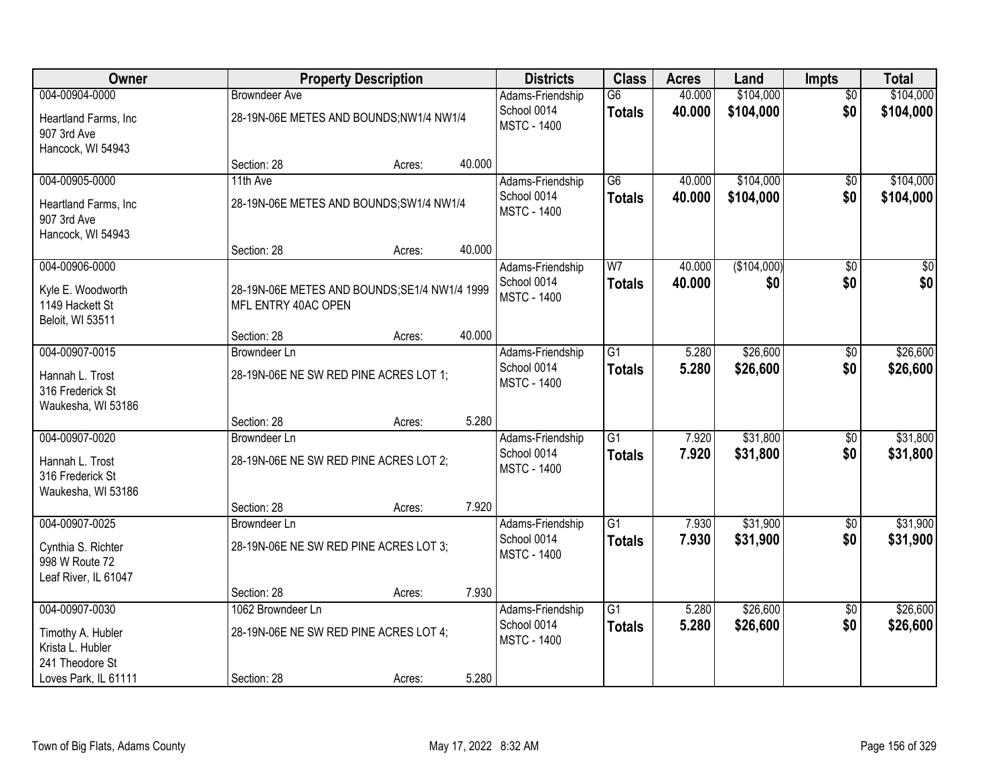| Owner                                                        |                                                                      | <b>Property Description</b> |        | <b>Districts</b>                                      | <b>Class</b>        | <b>Acres</b>     | Land                   | <b>Impts</b>           | <b>Total</b>           |
|--------------------------------------------------------------|----------------------------------------------------------------------|-----------------------------|--------|-------------------------------------------------------|---------------------|------------------|------------------------|------------------------|------------------------|
| 004-00904-0000<br>Heartland Farms, Inc<br>907 3rd Ave        | <b>Browndeer Ave</b><br>28-19N-06E METES AND BOUNDS;NW1/4 NW1/4      |                             |        | Adams-Friendship<br>School 0014<br><b>MSTC - 1400</b> | G6<br><b>Totals</b> | 40.000<br>40.000 | \$104,000<br>\$104,000 | $\overline{50}$<br>\$0 | \$104,000<br>\$104,000 |
| Hancock, WI 54943                                            | Section: 28                                                          | Acres:                      | 40.000 |                                                       |                     |                  |                        |                        |                        |
| 004-00905-0000                                               | 11th Ave                                                             |                             |        | Adams-Friendship                                      | $\overline{G6}$     | 40.000           | \$104,000              | \$0                    | \$104,000              |
| Heartland Farms, Inc<br>907 3rd Ave<br>Hancock, WI 54943     | 28-19N-06E METES AND BOUNDS; SW1/4 NW1/4                             |                             |        | School 0014<br><b>MSTC - 1400</b>                     | <b>Totals</b>       | 40.000           | \$104,000              | \$0                    | \$104,000              |
|                                                              | Section: 28                                                          | Acres:                      | 40.000 |                                                       |                     |                  |                        |                        |                        |
| 004-00906-0000                                               |                                                                      |                             |        | Adams-Friendship                                      | W <sub>7</sub>      | 40.000           | (\$104,000)            | $\overline{50}$        | $\frac{1}{20}$         |
| Kyle E. Woodworth<br>1149 Hackett St<br>Beloit, WI 53511     | 28-19N-06E METES AND BOUNDS; SE1/4 NW1/4 1999<br>MFL ENTRY 40AC OPEN |                             |        | School 0014<br><b>MSTC - 1400</b>                     | <b>Totals</b>       | 40.000           | \$0                    | \$0                    | \$0                    |
|                                                              | Section: 28                                                          | Acres:                      | 40.000 |                                                       |                     |                  |                        |                        |                        |
| 004-00907-0015                                               | <b>Browndeer Ln</b>                                                  |                             |        | Adams-Friendship                                      | $\overline{G1}$     | 5.280            | \$26,600               | \$0                    | \$26,600               |
| Hannah L. Trost<br>316 Frederick St<br>Waukesha, WI 53186    | 28-19N-06E NE SW RED PINE ACRES LOT 1;                               |                             |        | School 0014<br><b>MSTC - 1400</b>                     | <b>Totals</b>       | 5.280            | \$26,600               | \$0                    | \$26,600               |
|                                                              | Section: 28                                                          | Acres:                      | 5.280  |                                                       |                     |                  |                        |                        |                        |
| 004-00907-0020                                               | Browndeer Ln                                                         |                             |        | Adams-Friendship                                      | $\overline{G1}$     | 7.920            | \$31,800               | \$0                    | \$31,800               |
| Hannah L. Trost<br>316 Frederick St<br>Waukesha, WI 53186    | 28-19N-06E NE SW RED PINE ACRES LOT 2;                               |                             |        | School 0014<br><b>MSTC - 1400</b>                     | <b>Totals</b>       | 7.920            | \$31,800               | \$0                    | \$31,800               |
|                                                              | Section: 28                                                          | Acres:                      | 7.920  |                                                       |                     |                  |                        |                        |                        |
| 004-00907-0025                                               | Browndeer Ln                                                         |                             |        | Adams-Friendship                                      | $\overline{G1}$     | 7.930            | \$31,900               | $\sqrt{6}$             | \$31,900               |
| Cynthia S. Richter<br>998 W Route 72<br>Leaf River, IL 61047 | 28-19N-06E NE SW RED PINE ACRES LOT 3;                               |                             |        | School 0014<br><b>MSTC - 1400</b>                     | <b>Totals</b>       | 7.930            | \$31,900               | \$0                    | \$31,900               |
|                                                              | Section: 28                                                          | Acres:                      | 7.930  |                                                       |                     |                  |                        |                        |                        |
| 004-00907-0030                                               | 1062 Browndeer Ln                                                    |                             |        | Adams-Friendship                                      | $\overline{G1}$     | 5.280            | \$26,600               | $\overline{50}$        | \$26,600               |
| Timothy A. Hubler<br>Krista L. Hubler<br>241 Theodore St     | 28-19N-06E NE SW RED PINE ACRES LOT 4;                               |                             |        | School 0014<br><b>MSTC - 1400</b>                     | <b>Totals</b>       | 5.280            | \$26,600               | \$0                    | \$26,600               |
| Loves Park, IL 61111                                         | Section: 28                                                          | Acres:                      | 5.280  |                                                       |                     |                  |                        |                        |                        |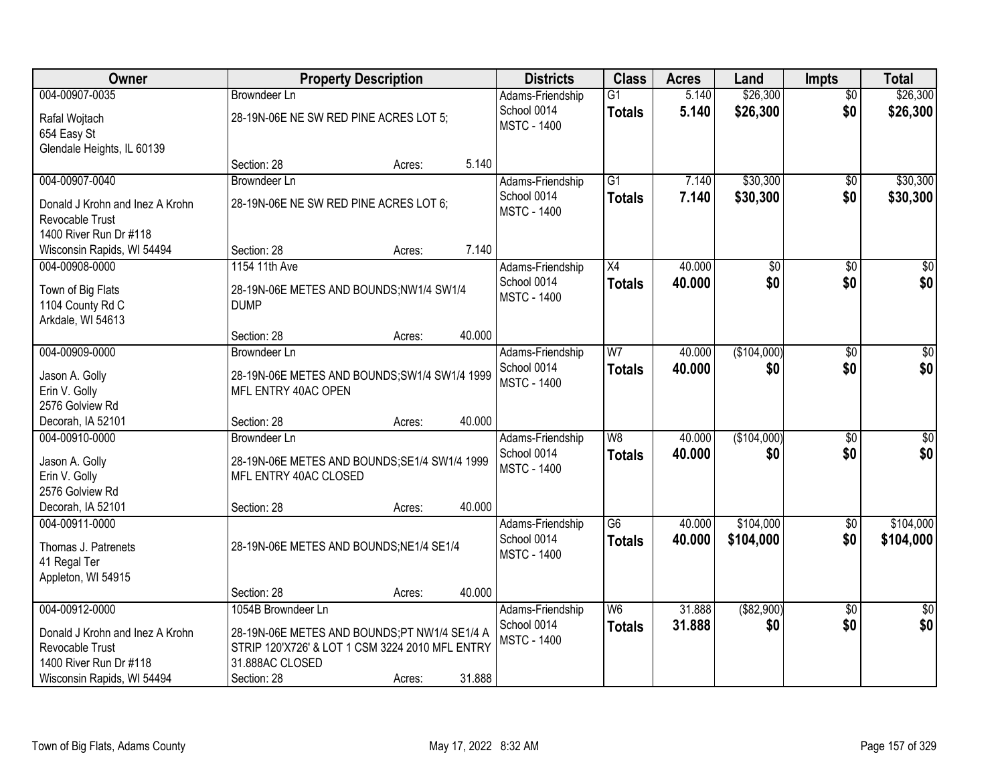| Owner                           | <b>Property Description</b>                     |        |        | <b>Districts</b>   | <b>Class</b>                        | <b>Acres</b> | Land            | <b>Impts</b>    | <b>Total</b>     |
|---------------------------------|-------------------------------------------------|--------|--------|--------------------|-------------------------------------|--------------|-----------------|-----------------|------------------|
| 004-00907-0035                  | <b>Browndeer Ln</b>                             |        |        | Adams-Friendship   | $\overline{G1}$                     | 5.140        | \$26,300        | $\overline{50}$ | \$26,300         |
| Rafal Wojtach                   | 28-19N-06E NE SW RED PINE ACRES LOT 5;          |        |        | School 0014        | <b>Totals</b>                       | 5.140        | \$26,300        | \$0             | \$26,300         |
| 654 Easy St                     |                                                 |        |        | <b>MSTC - 1400</b> |                                     |              |                 |                 |                  |
| Glendale Heights, IL 60139      |                                                 |        |        |                    |                                     |              |                 |                 |                  |
|                                 | Section: 28                                     | Acres: | 5.140  |                    |                                     |              |                 |                 |                  |
| 004-00907-0040                  | <b>Browndeer Ln</b>                             |        |        | Adams-Friendship   | $\overline{G1}$                     | 7.140        | \$30,300        | \$0             | \$30,300         |
| Donald J Krohn and Inez A Krohn | 28-19N-06E NE SW RED PINE ACRES LOT 6;          |        |        | School 0014        | <b>Totals</b>                       | 7.140        | \$30,300        | \$0             | \$30,300         |
| Revocable Trust                 |                                                 |        |        | <b>MSTC - 1400</b> |                                     |              |                 |                 |                  |
| 1400 River Run Dr #118          |                                                 |        |        |                    |                                     |              |                 |                 |                  |
| Wisconsin Rapids, WI 54494      | Section: 28                                     | Acres: | 7.140  |                    |                                     |              |                 |                 |                  |
| 004-00908-0000                  | 1154 11th Ave                                   |        |        | Adams-Friendship   | $\overline{X4}$                     | 40.000       | $\overline{50}$ | \$0             | $\overline{\$0}$ |
| Town of Big Flats               | 28-19N-06E METES AND BOUNDS;NW1/4 SW1/4         |        |        | School 0014        | <b>Totals</b>                       | 40.000       | \$0             | \$0             | \$0              |
| 1104 County Rd C                | <b>DUMP</b>                                     |        |        | <b>MSTC - 1400</b> |                                     |              |                 |                 |                  |
| Arkdale, WI 54613               |                                                 |        |        |                    |                                     |              |                 |                 |                  |
|                                 | Section: 28                                     | Acres: | 40.000 |                    |                                     |              |                 |                 |                  |
| 004-00909-0000                  | <b>Browndeer Ln</b>                             |        |        | Adams-Friendship   | W <sub>7</sub>                      | 40.000       | (\$104,000)     | $\sqrt[6]{}$    | $\sqrt{50}$      |
| Jason A. Golly                  | 28-19N-06E METES AND BOUNDS; SW1/4 SW1/4 1999   |        |        | School 0014        | <b>Totals</b>                       | 40.000       | \$0             | \$0             | \$0              |
| Erin V. Golly                   | MFL ENTRY 40AC OPEN                             |        |        | <b>MSTC - 1400</b> |                                     |              |                 |                 |                  |
| 2576 Golview Rd                 |                                                 |        |        |                    |                                     |              |                 |                 |                  |
| Decorah, IA 52101               | Section: 28                                     | Acres: | 40.000 |                    |                                     |              |                 |                 |                  |
| 004-00910-0000                  | <b>Browndeer Ln</b>                             |        |        | Adams-Friendship   | $\overline{W8}$                     | 40.000       | (\$104,000)     | $\overline{50}$ | $\overline{50}$  |
| Jason A. Golly                  | 28-19N-06E METES AND BOUNDS; SE1/4 SW1/4 1999   |        |        | School 0014        | <b>Totals</b>                       | 40.000       | \$0             | \$0             | \$0              |
| Erin V. Golly                   | MFL ENTRY 40AC CLOSED                           |        |        | <b>MSTC - 1400</b> |                                     |              |                 |                 |                  |
| 2576 Golview Rd                 |                                                 |        |        |                    |                                     |              |                 |                 |                  |
| Decorah, IA 52101               | Section: 28                                     | Acres: | 40.000 |                    |                                     |              |                 |                 |                  |
| 004-00911-0000                  |                                                 |        |        | Adams-Friendship   | $\overline{\overline{\mathsf{G6}}}$ | 40.000       | \$104,000       | $\sqrt{6}$      | \$104,000        |
| Thomas J. Patrenets             | 28-19N-06E METES AND BOUNDS;NE1/4 SE1/4         |        |        | School 0014        | <b>Totals</b>                       | 40.000       | \$104,000       | \$0             | \$104,000        |
| 41 Regal Ter                    |                                                 |        |        | <b>MSTC - 1400</b> |                                     |              |                 |                 |                  |
| Appleton, WI 54915              |                                                 |        |        |                    |                                     |              |                 |                 |                  |
|                                 | Section: 28                                     | Acres: | 40.000 |                    |                                     |              |                 |                 |                  |
| 004-00912-0000                  | 1054B Browndeer Ln                              |        |        | Adams-Friendship   | W <sub>6</sub>                      | 31.888       | ( \$82,900)     | \$0             | $\sqrt{50}$      |
| Donald J Krohn and Inez A Krohn | 28-19N-06E METES AND BOUNDS;PT NW1/4 SE1/4 A    |        |        | School 0014        | <b>Totals</b>                       | 31.888       | \$0             | \$0             | \$0              |
| Revocable Trust                 | STRIP 120'X726' & LOT 1 CSM 3224 2010 MFL ENTRY |        |        | <b>MSTC - 1400</b> |                                     |              |                 |                 |                  |
| 1400 River Run Dr #118          | 31.888AC CLOSED                                 |        |        |                    |                                     |              |                 |                 |                  |
| Wisconsin Rapids, WI 54494      | Section: 28                                     | Acres: | 31.888 |                    |                                     |              |                 |                 |                  |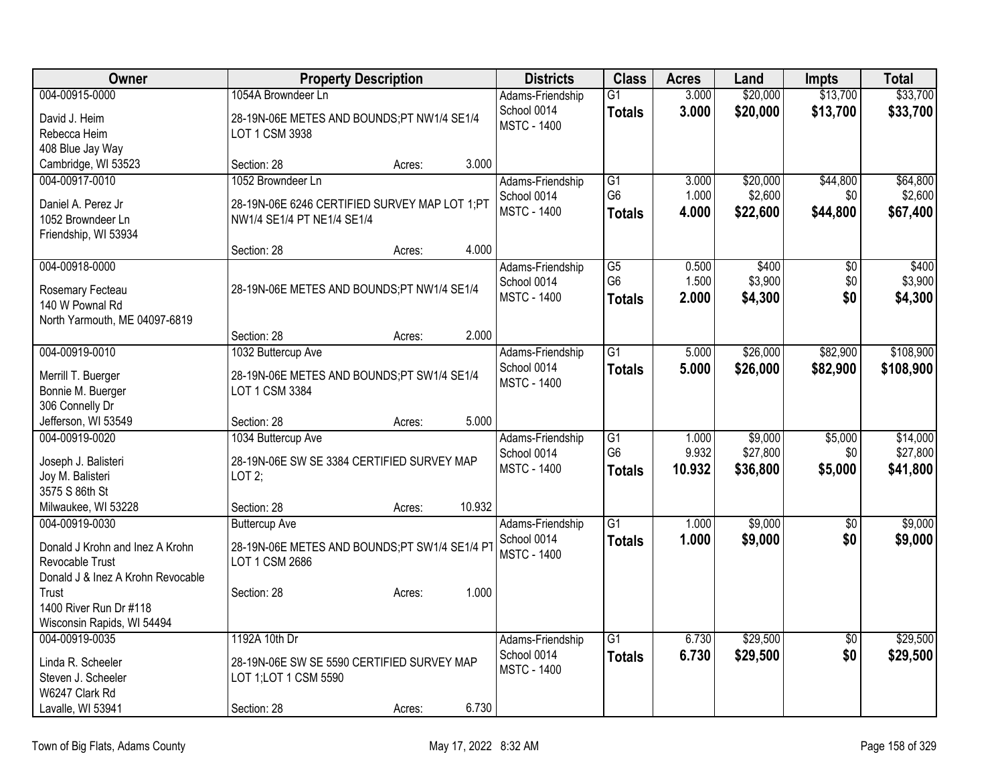| Owner                                      | <b>Property Description</b>                                  | <b>Districts</b>   | <b>Class</b>    | <b>Acres</b> | Land     | <b>Impts</b>    | <b>Total</b> |
|--------------------------------------------|--------------------------------------------------------------|--------------------|-----------------|--------------|----------|-----------------|--------------|
| 004-00915-0000                             | 1054A Browndeer Ln                                           | Adams-Friendship   | $\overline{G1}$ | 3.000        | \$20,000 | \$13,700        | \$33,700     |
| David J. Heim                              | 28-19N-06E METES AND BOUNDS;PT NW1/4 SE1/4                   | School 0014        | <b>Totals</b>   | 3.000        | \$20,000 | \$13,700        | \$33,700     |
| Rebecca Heim                               | LOT 1 CSM 3938                                               | <b>MSTC - 1400</b> |                 |              |          |                 |              |
| 408 Blue Jay Way                           |                                                              |                    |                 |              |          |                 |              |
| Cambridge, WI 53523                        | 3.000<br>Section: 28<br>Acres:                               |                    |                 |              |          |                 |              |
| 004-00917-0010                             | 1052 Browndeer Ln                                            | Adams-Friendship   | G1              | 3.000        | \$20,000 | \$44,800        | \$64,800     |
| Daniel A. Perez Jr                         | 28-19N-06E 6246 CERTIFIED SURVEY MAP LOT 1;PT                | School 0014        | G <sub>6</sub>  | 1.000        | \$2,600  | \$0             | \$2,600      |
| 1052 Browndeer Ln                          | NW1/4 SE1/4 PT NE1/4 SE1/4                                   | <b>MSTC - 1400</b> | <b>Totals</b>   | 4.000        | \$22,600 | \$44,800        | \$67,400     |
| Friendship, WI 53934                       |                                                              |                    |                 |              |          |                 |              |
|                                            | 4.000<br>Section: 28<br>Acres:                               |                    |                 |              |          |                 |              |
| 004-00918-0000                             |                                                              | Adams-Friendship   | $\overline{G5}$ | 0.500        | \$400    | $\overline{50}$ | \$400        |
| Rosemary Fecteau                           | 28-19N-06E METES AND BOUNDS;PT NW1/4 SE1/4                   | School 0014        | G <sub>6</sub>  | 1.500        | \$3,900  | \$0             | \$3,900      |
| 140 W Pownal Rd                            |                                                              | <b>MSTC - 1400</b> | <b>Totals</b>   | 2.000        | \$4,300  | \$0             | \$4,300      |
| North Yarmouth, ME 04097-6819              |                                                              |                    |                 |              |          |                 |              |
|                                            | 2.000<br>Section: 28<br>Acres:                               |                    |                 |              |          |                 |              |
| 004-00919-0010                             | 1032 Buttercup Ave                                           | Adams-Friendship   | $\overline{G1}$ | 5.000        | \$26,000 | \$82,900        | \$108,900    |
|                                            |                                                              | School 0014        | <b>Totals</b>   | 5.000        | \$26,000 | \$82,900        | \$108,900    |
| Merrill T. Buerger<br>Bonnie M. Buerger    | 28-19N-06E METES AND BOUNDS;PT SW1/4 SE1/4<br>LOT 1 CSM 3384 | <b>MSTC - 1400</b> |                 |              |          |                 |              |
| 306 Connelly Dr                            |                                                              |                    |                 |              |          |                 |              |
| Jefferson, WI 53549                        | 5.000<br>Section: 28<br>Acres:                               |                    |                 |              |          |                 |              |
| 004-00919-0020                             | 1034 Buttercup Ave                                           | Adams-Friendship   | $\overline{G1}$ | 1.000        | \$9,000  | \$5,000         | \$14,000     |
|                                            |                                                              | School 0014        | G <sub>6</sub>  | 9.932        | \$27,800 | \$0             | \$27,800     |
| Joseph J. Balisteri                        | 28-19N-06E SW SE 3384 CERTIFIED SURVEY MAP                   | <b>MSTC - 1400</b> | <b>Totals</b>   | 10.932       | \$36,800 | \$5,000         | \$41,800     |
| Joy M. Balisteri<br>3575 S 86th St         | LOT $2$ ;                                                    |                    |                 |              |          |                 |              |
| Milwaukee, WI 53228                        | 10.932<br>Section: 28<br>Acres:                              |                    |                 |              |          |                 |              |
| 004-00919-0030                             | <b>Buttercup Ave</b>                                         | Adams-Friendship   | $\overline{G1}$ | 1.000        | \$9,000  | $\overline{50}$ | \$9,000      |
|                                            |                                                              | School 0014        | <b>Totals</b>   | 1.000        | \$9,000  | \$0             | \$9,000      |
| Donald J Krohn and Inez A Krohn            | 28-19N-06E METES AND BOUNDS;PT SW1/4 SE1/4 PT                | <b>MSTC - 1400</b> |                 |              |          |                 |              |
| Revocable Trust                            | LOT 1 CSM 2686                                               |                    |                 |              |          |                 |              |
| Donald J & Inez A Krohn Revocable<br>Trust | 1.000<br>Section: 28                                         |                    |                 |              |          |                 |              |
| 1400 River Run Dr #118                     | Acres:                                                       |                    |                 |              |          |                 |              |
| Wisconsin Rapids, WI 54494                 |                                                              |                    |                 |              |          |                 |              |
| 004-00919-0035                             | 1192A 10th Dr                                                | Adams-Friendship   | $\overline{G1}$ | 6.730        | \$29,500 | $\overline{50}$ | \$29,500     |
|                                            |                                                              | School 0014        | <b>Totals</b>   | 6.730        | \$29,500 | \$0             | \$29,500     |
| Linda R. Scheeler                          | 28-19N-06E SW SE 5590 CERTIFIED SURVEY MAP                   | <b>MSTC - 1400</b> |                 |              |          |                 |              |
| Steven J. Scheeler<br>W6247 Clark Rd       | LOT 1; LOT 1 CSM 5590                                        |                    |                 |              |          |                 |              |
| Lavalle, WI 53941                          | 6.730<br>Section: 28<br>Acres:                               |                    |                 |              |          |                 |              |
|                                            |                                                              |                    |                 |              |          |                 |              |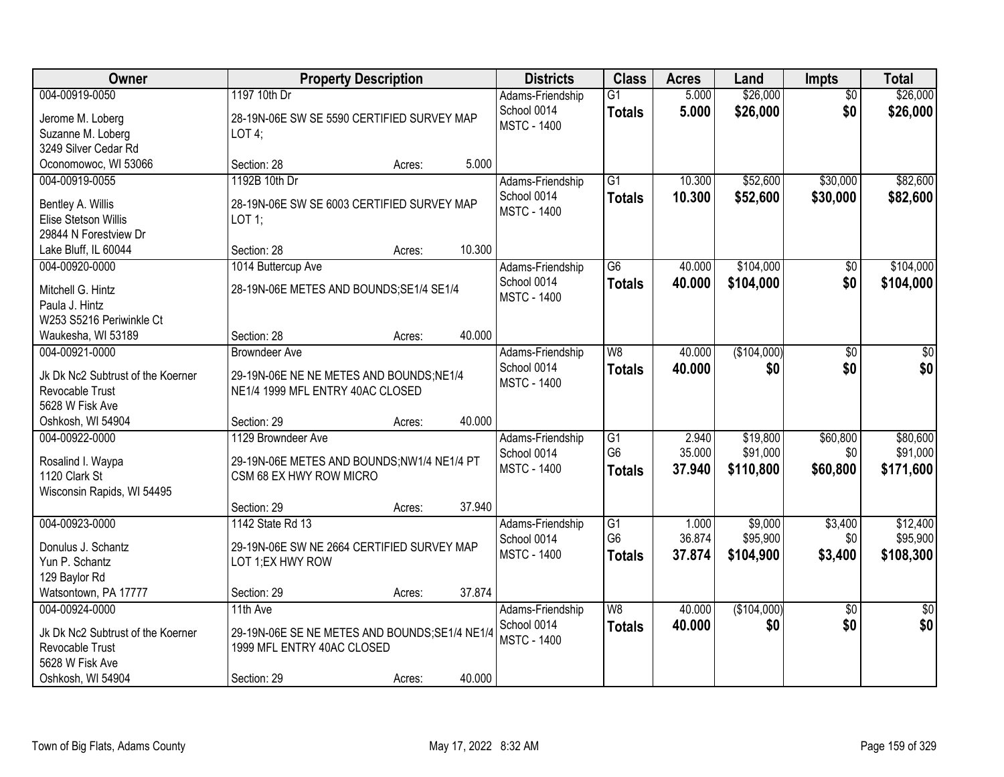| <b>Owner</b>                                                                                                   | <b>Property Description</b>                                                                                                             | <b>Districts</b>                                      | <b>Class</b>                                       | <b>Acres</b>              | Land                              | <b>Impts</b>                | <b>Total</b>                      |
|----------------------------------------------------------------------------------------------------------------|-----------------------------------------------------------------------------------------------------------------------------------------|-------------------------------------------------------|----------------------------------------------------|---------------------------|-----------------------------------|-----------------------------|-----------------------------------|
| 004-00919-0050<br>Jerome M. Loberg<br>Suzanne M. Loberg                                                        | 1197 10th Dr<br>28-19N-06E SW SE 5590 CERTIFIED SURVEY MAP<br>$LOT4$ ;                                                                  | Adams-Friendship<br>School 0014<br><b>MSTC - 1400</b> | $\overline{G1}$<br><b>Totals</b>                   | 5.000<br>5.000            | \$26,000<br>\$26,000              | $\overline{50}$<br>\$0      | \$26,000<br>\$26,000              |
| 3249 Silver Cedar Rd<br>Oconomowoc, WI 53066                                                                   | 5.000<br>Section: 28<br>Acres:                                                                                                          |                                                       |                                                    |                           |                                   |                             |                                   |
| 004-00919-0055<br>Bentley A. Willis<br>Elise Stetson Willis<br>29844 N Forestview Dr                           | 1192B 10th Dr<br>28-19N-06E SW SE 6003 CERTIFIED SURVEY MAP<br>$LOT$ 1;                                                                 | Adams-Friendship<br>School 0014<br><b>MSTC - 1400</b> | $\overline{G1}$<br><b>Totals</b>                   | 10.300<br>10.300          | \$52,600<br>\$52,600              | \$30,000<br>\$30,000        | \$82,600<br>\$82,600              |
| Lake Bluff, IL 60044                                                                                           | 10.300<br>Section: 28<br>Acres:                                                                                                         |                                                       |                                                    |                           |                                   |                             |                                   |
| 004-00920-0000<br>Mitchell G. Hintz<br>Paula J. Hintz<br>W253 S5216 Periwinkle Ct<br>Waukesha, WI 53189        | 1014 Buttercup Ave<br>28-19N-06E METES AND BOUNDS; SE1/4 SE1/4<br>40.000<br>Section: 28<br>Acres:                                       | Adams-Friendship<br>School 0014<br><b>MSTC - 1400</b> | G6<br><b>Totals</b>                                | 40.000<br>40.000          | \$104,000<br>\$104,000            | \$0<br>\$0                  | \$104,000<br>\$104,000            |
| 004-00921-0000<br>Jk Dk Nc2 Subtrust of the Koerner<br>Revocable Trust<br>5628 W Fisk Ave<br>Oshkosh, WI 54904 | <b>Browndeer Ave</b><br>29-19N-06E NE NE METES AND BOUNDS; NE1/4<br>NE1/4 1999 MFL ENTRY 40AC CLOSED<br>40.000<br>Section: 29<br>Acres: | Adams-Friendship<br>School 0014<br><b>MSTC - 1400</b> | W <sub>8</sub><br><b>Totals</b>                    | 40.000<br>40.000          | (\$104,000)<br>\$0                | \$0<br>\$0                  | \$0<br>\$0                        |
| 004-00922-0000<br>Rosalind I. Waypa<br>1120 Clark St<br>Wisconsin Rapids, WI 54495                             | 1129 Browndeer Ave<br>29-19N-06E METES AND BOUNDS;NW1/4 NE1/4 PT<br>CSM 68 EX HWY ROW MICRO<br>37.940<br>Section: 29<br>Acres:          | Adams-Friendship<br>School 0014<br><b>MSTC - 1400</b> | $\overline{G1}$<br>G <sub>6</sub><br><b>Totals</b> | 2.940<br>35.000<br>37.940 | \$19,800<br>\$91,000<br>\$110,800 | \$60,800<br>\$0<br>\$60,800 | \$80,600<br>\$91,000<br>\$171,600 |
| 004-00923-0000<br>Donulus J. Schantz<br>Yun P. Schantz<br>129 Baylor Rd<br>Watsontown, PA 17777                | 1142 State Rd 13<br>29-19N-06E SW NE 2664 CERTIFIED SURVEY MAP<br>LOT 1;EX HWY ROW<br>37.874<br>Section: 29<br>Acres:                   | Adams-Friendship<br>School 0014<br><b>MSTC - 1400</b> | $\overline{G1}$<br>G <sub>6</sub><br><b>Totals</b> | 1.000<br>36.874<br>37.874 | \$9,000<br>\$95,900<br>\$104,900  | \$3,400<br>\$0<br>\$3,400   | \$12,400<br>\$95,900<br>\$108,300 |
| 004-00924-0000<br>Jk Dk Nc2 Subtrust of the Koerner<br>Revocable Trust<br>5628 W Fisk Ave<br>Oshkosh, WI 54904 | 11th Ave<br>29-19N-06E SE NE METES AND BOUNDS; SE1/4 NE1/4<br>1999 MFL ENTRY 40AC CLOSED<br>40.000<br>Section: 29<br>Acres:             | Adams-Friendship<br>School 0014<br><b>MSTC - 1400</b> | W8<br><b>Totals</b>                                | 40.000<br>40.000          | (\$104,000)<br>\$0                | $\overline{50}$<br>\$0      | $\overline{50}$<br>\$0            |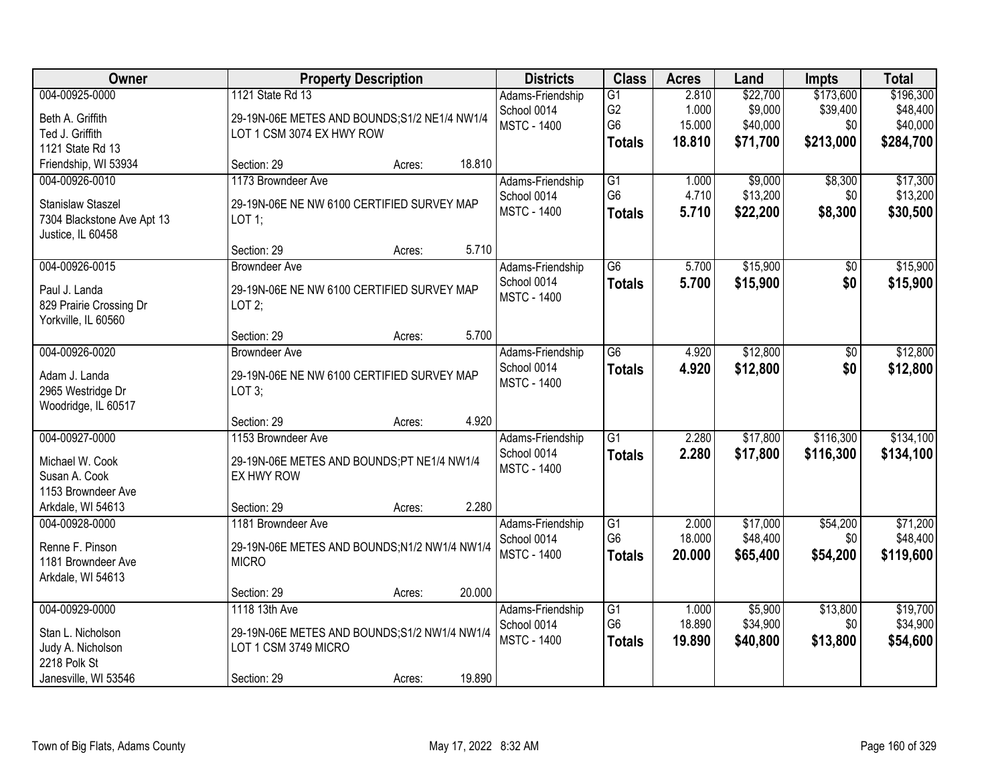| Owner                                                                                            | <b>Property Description</b>                                                                                                                        | <b>Districts</b>                                      | <b>Class</b>                                       | <b>Acres</b>                       | Land                                        | <b>Impts</b>                              | <b>Total</b>                                   |
|--------------------------------------------------------------------------------------------------|----------------------------------------------------------------------------------------------------------------------------------------------------|-------------------------------------------------------|----------------------------------------------------|------------------------------------|---------------------------------------------|-------------------------------------------|------------------------------------------------|
| 004-00925-0000<br>Beth A. Griffith<br>Ted J. Griffith                                            | 1121 State Rd 13<br>29-19N-06E METES AND BOUNDS; S1/2 NE1/4 NW1/4<br>LOT 1 CSM 3074 EX HWY ROW                                                     | Adams-Friendship<br>School 0014<br><b>MSTC - 1400</b> | G1<br>G <sub>2</sub><br>G <sub>6</sub>             | 2.810<br>1.000<br>15.000<br>18.810 | \$22,700<br>\$9,000<br>\$40,000<br>\$71,700 | \$173,600<br>\$39,400<br>\$0<br>\$213,000 | \$196,300<br>\$48,400<br>\$40,000<br>\$284,700 |
| 1121 State Rd 13<br>Friendship, WI 53934                                                         | 18.810<br>Section: 29<br>Acres:                                                                                                                    |                                                       | <b>Totals</b>                                      |                                    |                                             |                                           |                                                |
| 004-00926-0010<br><b>Stanislaw Staszel</b><br>7304 Blackstone Ave Apt 13<br>Justice, IL 60458    | 1173 Browndeer Ave<br>29-19N-06E NE NW 6100 CERTIFIED SURVEY MAP<br>$LOT$ 1;<br>5.710<br>Section: 29                                               | Adams-Friendship<br>School 0014<br><b>MSTC - 1400</b> | $\overline{G1}$<br>G <sub>6</sub><br><b>Totals</b> | 1.000<br>4.710<br>5.710            | \$9,000<br>\$13,200<br>\$22,200             | \$8,300<br>\$0<br>\$8,300                 | \$17,300<br>\$13,200<br>\$30,500               |
| 004-00926-0015<br>Paul J. Landa<br>829 Prairie Crossing Dr<br>Yorkville, IL 60560                | Acres:<br><b>Browndeer Ave</b><br>29-19N-06E NE NW 6100 CERTIFIED SURVEY MAP<br>LOT2;<br>5.700<br>Section: 29<br>Acres:                            | Adams-Friendship<br>School 0014<br><b>MSTC - 1400</b> | $\overline{G6}$<br><b>Totals</b>                   | 5.700<br>5.700                     | \$15,900<br>\$15,900                        | $\overline{50}$<br>\$0                    | \$15,900<br>\$15,900                           |
| 004-00926-0020<br>Adam J. Landa<br>2965 Westridge Dr<br>Woodridge, IL 60517                      | <b>Browndeer Ave</b><br>29-19N-06E NE NW 6100 CERTIFIED SURVEY MAP<br>LOT 3;                                                                       | Adams-Friendship<br>School 0014<br><b>MSTC - 1400</b> | G <sub>6</sub><br><b>Totals</b>                    | 4.920<br>4.920                     | \$12,800<br>\$12,800                        | \$0<br>\$0                                | \$12,800<br>\$12,800                           |
| 004-00927-0000<br>Michael W. Cook<br>Susan A. Cook<br>1153 Browndeer Ave<br>Arkdale, WI 54613    | 4.920<br>Section: 29<br>Acres:<br>1153 Browndeer Ave<br>29-19N-06E METES AND BOUNDS;PT NE1/4 NW1/4<br>EX HWY ROW<br>2.280<br>Section: 29<br>Acres: | Adams-Friendship<br>School 0014<br><b>MSTC - 1400</b> | $\overline{G1}$<br><b>Totals</b>                   | 2.280<br>2.280                     | \$17,800<br>\$17,800                        | \$116,300<br>\$116,300                    | \$134,100<br>\$134,100                         |
| 004-00928-0000<br>Renne F. Pinson<br>1181 Browndeer Ave<br>Arkdale, WI 54613                     | 1181 Browndeer Ave<br>29-19N-06E METES AND BOUNDS;N1/2 NW1/4 NW1/4<br><b>MICRO</b><br>20.000<br>Section: 29<br>Acres:                              | Adams-Friendship<br>School 0014<br><b>MSTC - 1400</b> | G1<br>G <sub>6</sub><br><b>Totals</b>              | 2.000<br>18.000<br>20.000          | \$17,000<br>\$48,400<br>\$65,400            | \$54,200<br>\$0<br>\$54,200               | \$71,200<br>\$48,400<br>\$119,600              |
| 004-00929-0000<br>Stan L. Nicholson<br>Judy A. Nicholson<br>2218 Polk St<br>Janesville, WI 53546 | 1118 13th Ave<br>29-19N-06E METES AND BOUNDS;S1/2 NW1/4 NW1/4<br>LOT 1 CSM 3749 MICRO<br>19.890<br>Section: 29<br>Acres:                           | Adams-Friendship<br>School 0014<br><b>MSTC - 1400</b> | G1<br>G <sub>6</sub><br><b>Totals</b>              | 1.000<br>18.890<br>19.890          | \$5,900<br>\$34,900<br>\$40,800             | \$13,800<br>\$0<br>\$13,800               | \$19,700<br>\$34,900<br>\$54,600               |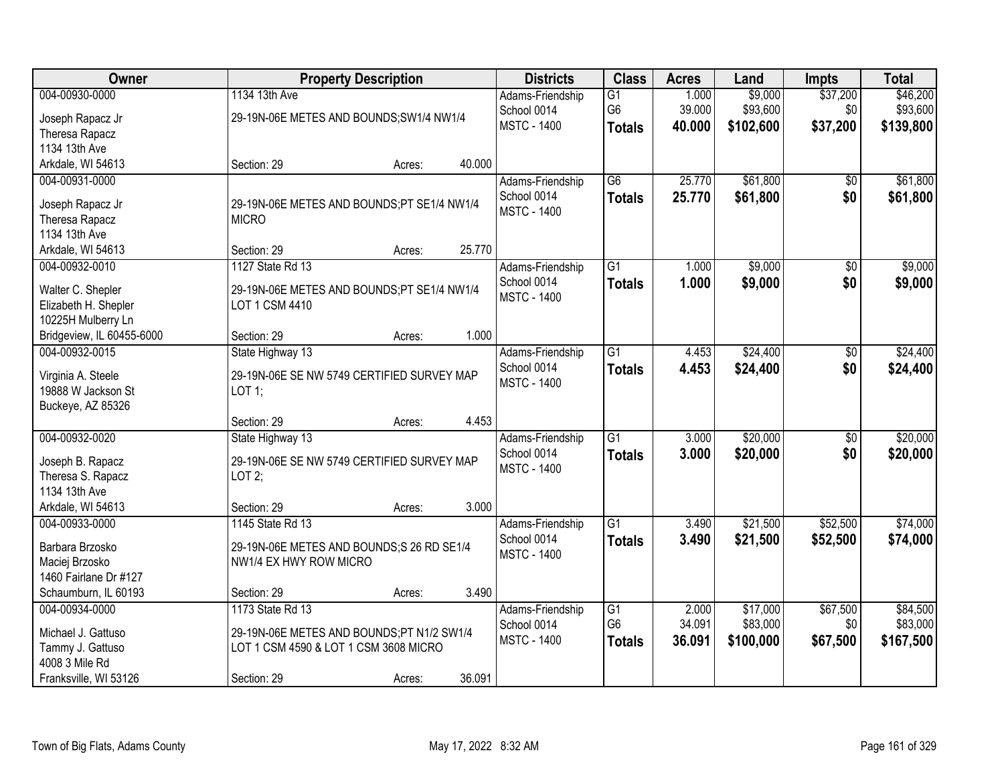| Owner                                                                                               |                                                                                                                       | <b>Property Description</b> |        |                                                       | <b>Class</b>                          | <b>Acres</b>              | Land                              | <b>Impts</b>                | <b>Total</b>                      |
|-----------------------------------------------------------------------------------------------------|-----------------------------------------------------------------------------------------------------------------------|-----------------------------|--------|-------------------------------------------------------|---------------------------------------|---------------------------|-----------------------------------|-----------------------------|-----------------------------------|
| 004-00930-0000<br>Joseph Rapacz Jr<br>Theresa Rapacz<br>1134 13th Ave                               | 1134 13th Ave<br>29-19N-06E METES AND BOUNDS; SW1/4 NW1/4                                                             |                             |        | Adams-Friendship<br>School 0014<br><b>MSTC - 1400</b> | G1<br>G <sub>6</sub><br><b>Totals</b> | 1.000<br>39.000<br>40.000 | \$9,000<br>\$93,600<br>\$102,600  | \$37,200<br>\$0<br>\$37,200 | \$46,200<br>\$93,600<br>\$139,800 |
| Arkdale, WI 54613                                                                                   | Section: 29                                                                                                           | Acres:                      | 40.000 |                                                       |                                       |                           |                                   |                             |                                   |
| 004-00931-0000<br>Joseph Rapacz Jr<br>Theresa Rapacz<br>1134 13th Ave<br>Arkdale, WI 54613          | 29-19N-06E METES AND BOUNDS;PT SE1/4 NW1/4<br><b>MICRO</b><br>Section: 29                                             | Acres:                      | 25.770 | Adams-Friendship<br>School 0014<br><b>MSTC - 1400</b> | $\overline{G6}$<br><b>Totals</b>      | 25.770<br>25.770          | \$61,800<br>\$61,800              | \$0<br>\$0                  | \$61,800<br>\$61,800              |
| 004-00932-0010                                                                                      | 1127 State Rd 13                                                                                                      |                             |        | Adams-Friendship                                      | $\overline{G1}$                       | 1.000                     | \$9,000                           | $\overline{50}$             | \$9,000                           |
| Walter C. Shepler<br>Elizabeth H. Shepler<br>10225H Mulberry Ln                                     | 29-19N-06E METES AND BOUNDS;PT SE1/4 NW1/4<br>LOT 1 CSM 4410                                                          |                             |        | School 0014<br><b>MSTC - 1400</b>                     | <b>Totals</b>                         | 1.000                     | \$9,000                           | \$0                         | \$9,000                           |
| Bridgeview, IL 60455-6000                                                                           | Section: 29                                                                                                           | Acres:                      | 1.000  |                                                       |                                       |                           |                                   |                             |                                   |
| 004-00932-0015<br>Virginia A. Steele<br>19888 W Jackson St<br>Buckeye, AZ 85326                     | State Highway 13<br>29-19N-06E SE NW 5749 CERTIFIED SURVEY MAP<br>$LOT$ 1;                                            |                             |        | Adams-Friendship<br>School 0014<br><b>MSTC - 1400</b> | $\overline{G1}$<br><b>Totals</b>      | 4.453<br>4.453            | \$24,400<br>\$24,400              | \$0<br>\$0                  | \$24,400<br>\$24,400              |
|                                                                                                     | Section: 29                                                                                                           | Acres:                      | 4.453  |                                                       |                                       |                           |                                   |                             |                                   |
| 004-00932-0020<br>Joseph B. Rapacz<br>Theresa S. Rapacz<br>1134 13th Ave                            | State Highway 13<br>29-19N-06E SE NW 5749 CERTIFIED SURVEY MAP<br>LOT2;                                               |                             |        | Adams-Friendship<br>School 0014<br><b>MSTC - 1400</b> | $\overline{G1}$<br><b>Totals</b>      | 3.000<br>3.000            | \$20,000<br>\$20,000              | $\overline{50}$<br>\$0      | \$20,000<br>\$20,000              |
| Arkdale, WI 54613<br>004-00933-0000                                                                 | Section: 29<br>1145 State Rd 13                                                                                       | Acres:                      | 3.000  | Adams-Friendship                                      | G1                                    | 3.490                     | \$21,500                          | \$52,500                    | \$74,000                          |
| Barbara Brzosko<br>Maciej Brzosko<br>1460 Fairlane Dr #127                                          | 29-19N-06E METES AND BOUNDS;S 26 RD SE1/4<br>NW1/4 EX HWY ROW MICRO                                                   |                             |        | School 0014<br><b>MSTC - 1400</b>                     | <b>Totals</b>                         | 3.490                     | \$21,500                          | \$52,500                    | \$74,000                          |
| Schaumburn, IL 60193                                                                                | Section: 29                                                                                                           | Acres:                      | 3.490  |                                                       |                                       |                           |                                   |                             |                                   |
| 004-00934-0000<br>Michael J. Gattuso<br>Tammy J. Gattuso<br>4008 3 Mile Rd<br>Franksville, WI 53126 | 1173 State Rd 13<br>29-19N-06E METES AND BOUNDS;PT N1/2 SW1/4<br>LOT 1 CSM 4590 & LOT 1 CSM 3608 MICRO<br>Section: 29 | Acres:                      | 36.091 | Adams-Friendship<br>School 0014<br><b>MSTC - 1400</b> | G1<br>G <sub>6</sub><br><b>Totals</b> | 2.000<br>34.091<br>36.091 | \$17,000<br>\$83,000<br>\$100,000 | \$67,500<br>\$0<br>\$67,500 | \$84,500<br>\$83,000<br>\$167,500 |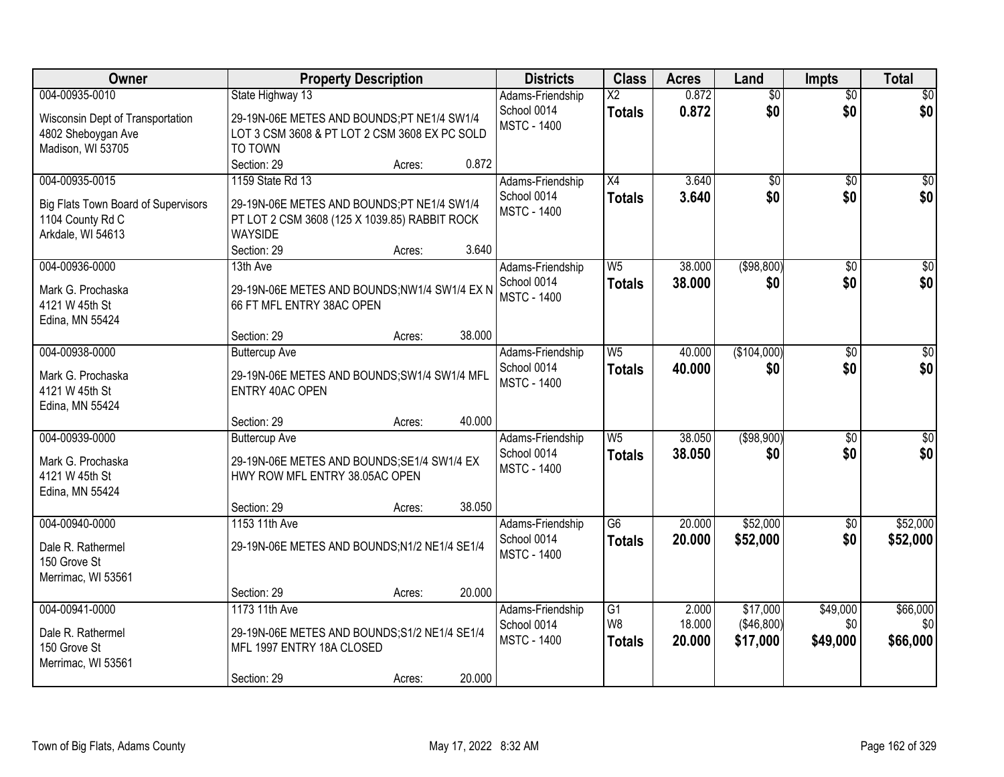| Owner                                      | <b>Property Description</b>                                               |                    | <b>Districts</b> | <b>Class</b>           | <b>Acres</b> | Land            | <b>Impts</b>    | <b>Total</b>    |
|--------------------------------------------|---------------------------------------------------------------------------|--------------------|------------------|------------------------|--------------|-----------------|-----------------|-----------------|
| 004-00935-0010                             | State Highway 13                                                          |                    | Adams-Friendship | $\overline{\text{X2}}$ | 0.872        | $\overline{50}$ | $\overline{50}$ | \$0             |
| Wisconsin Dept of Transportation           | 29-19N-06E METES AND BOUNDS;PT NE1/4 SW1/4                                | School 0014        |                  | <b>Totals</b>          | 0.872        | \$0             | \$0             | \$0             |
| 4802 Sheboygan Ave                         | LOT 3 CSM 3608 & PT LOT 2 CSM 3608 EX PC SOLD                             | <b>MSTC - 1400</b> |                  |                        |              |                 |                 |                 |
| Madison, WI 53705                          | TO TOWN                                                                   |                    |                  |                        |              |                 |                 |                 |
|                                            | Section: 29<br>Acres:                                                     | 0.872              |                  |                        |              |                 |                 |                 |
| 004-00935-0015                             | 1159 State Rd 13                                                          |                    | Adams-Friendship | X4                     | 3.640        | $\overline{50}$ | $\overline{50}$ | \$0             |
| <b>Big Flats Town Board of Supervisors</b> | 29-19N-06E METES AND BOUNDS;PT NE1/4 SW1/4                                | School 0014        |                  | <b>Totals</b>          | 3.640        | \$0             | \$0             | \$0             |
| 1104 County Rd C                           | PT LOT 2 CSM 3608 (125 X 1039.85) RABBIT ROCK                             | <b>MSTC - 1400</b> |                  |                        |              |                 |                 |                 |
| Arkdale, WI 54613                          | <b>WAYSIDE</b>                                                            |                    |                  |                        |              |                 |                 |                 |
|                                            | Section: 29<br>Acres:                                                     | 3.640              |                  |                        |              |                 |                 |                 |
| 004-00936-0000                             | 13th Ave                                                                  |                    | Adams-Friendship | W <sub>5</sub>         | 38.000       | ( \$98, 800)    | \$0             | $\overline{50}$ |
|                                            |                                                                           | School 0014        |                  | <b>Totals</b>          | 38.000       | \$0             | \$0             | \$0             |
| Mark G. Prochaska<br>4121 W 45th St        | 29-19N-06E METES AND BOUNDS;NW1/4 SW1/4 EX N<br>66 FT MFL ENTRY 38AC OPEN | <b>MSTC - 1400</b> |                  |                        |              |                 |                 |                 |
| Edina, MN 55424                            |                                                                           |                    |                  |                        |              |                 |                 |                 |
|                                            | Section: 29<br>Acres:                                                     | 38.000             |                  |                        |              |                 |                 |                 |
| 004-00938-0000                             | <b>Buttercup Ave</b>                                                      |                    | Adams-Friendship | W <sub>5</sub>         | 40.000       | (\$104,000)     | $\sqrt[6]{3}$   | $\sqrt{50}$     |
|                                            |                                                                           | School 0014        |                  | <b>Totals</b>          | 40,000       | \$0             | \$0             | \$0             |
| Mark G. Prochaska                          | 29-19N-06E METES AND BOUNDS; SW1/4 SW1/4 MFL                              | <b>MSTC - 1400</b> |                  |                        |              |                 |                 |                 |
| 4121 W 45th St                             | ENTRY 40AC OPEN                                                           |                    |                  |                        |              |                 |                 |                 |
| Edina, MN 55424                            | Section: 29<br>Acres:                                                     | 40.000             |                  |                        |              |                 |                 |                 |
| 004-00939-0000                             | <b>Buttercup Ave</b>                                                      |                    | Adams-Friendship | W <sub>5</sub>         | 38.050       | ( \$98, 900)    | $\overline{50}$ | $\overline{50}$ |
|                                            |                                                                           | School 0014        |                  | <b>Totals</b>          | 38.050       | \$0             | \$0             | \$0             |
| Mark G. Prochaska                          | 29-19N-06E METES AND BOUNDS; SE1/4 SW1/4 EX                               | <b>MSTC - 1400</b> |                  |                        |              |                 |                 |                 |
| 4121 W 45th St                             | HWY ROW MFL ENTRY 38.05AC OPEN                                            |                    |                  |                        |              |                 |                 |                 |
| Edina, MN 55424                            |                                                                           |                    |                  |                        |              |                 |                 |                 |
|                                            | Section: 29<br>Acres:                                                     | 38.050             |                  |                        |              |                 |                 |                 |
| 004-00940-0000                             | 1153 11th Ave                                                             |                    | Adams-Friendship | $\overline{G6}$        | 20.000       | \$52,000        | $\sqrt{6}$      | \$52,000        |
| Dale R. Rathermel                          | 29-19N-06E METES AND BOUNDS;N1/2 NE1/4 SE1/4                              | School 0014        |                  | <b>Totals</b>          | 20.000       | \$52,000        | \$0             | \$52,000        |
| 150 Grove St                               |                                                                           | <b>MSTC - 1400</b> |                  |                        |              |                 |                 |                 |
| Merrimac, WI 53561                         |                                                                           |                    |                  |                        |              |                 |                 |                 |
|                                            | Section: 29<br>Acres:                                                     | 20.000             |                  |                        |              |                 |                 |                 |
| 004-00941-0000                             | 1173 11th Ave                                                             |                    | Adams-Friendship | G1                     | 2.000        | \$17,000        | \$49,000        | \$66,000        |
| Dale R. Rathermel                          | 29-19N-06E METES AND BOUNDS; S1/2 NE1/4 SE1/4                             | School 0014        |                  | W <sub>8</sub>         | 18.000       | (\$46,800)      | \$0             | \$0             |
| 150 Grove St                               | MFL 1997 ENTRY 18A CLOSED                                                 | <b>MSTC - 1400</b> |                  | <b>Totals</b>          | 20.000       | \$17,000        | \$49,000        | \$66,000        |
| Merrimac, WI 53561                         |                                                                           |                    |                  |                        |              |                 |                 |                 |
|                                            | Section: 29<br>Acres:                                                     | 20.000             |                  |                        |              |                 |                 |                 |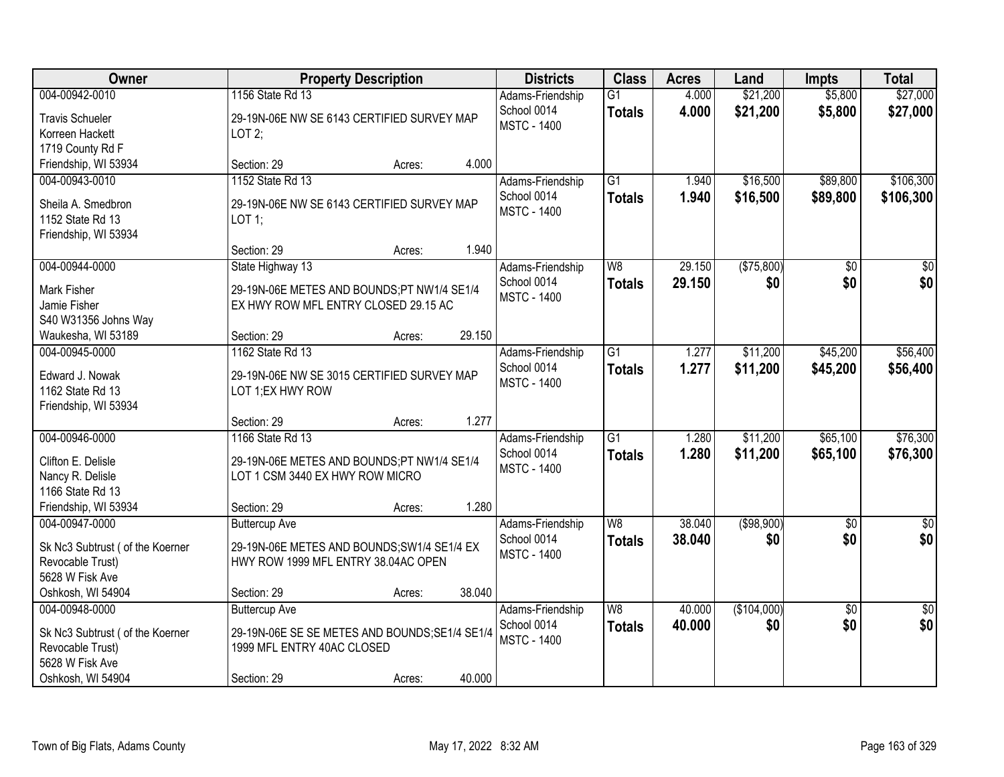| Owner                            | <b>Property Description</b>                    |        |        | <b>Districts</b>                  | <b>Class</b>    | <b>Acres</b> | Land        | <b>Impts</b>    | <b>Total</b>  |
|----------------------------------|------------------------------------------------|--------|--------|-----------------------------------|-----------------|--------------|-------------|-----------------|---------------|
| 004-00942-0010                   | 1156 State Rd 13                               |        |        | Adams-Friendship                  | $\overline{G1}$ | 4.000        | \$21,200    | \$5,800         | \$27,000      |
| <b>Travis Schueler</b>           | 29-19N-06E NW SE 6143 CERTIFIED SURVEY MAP     |        |        | School 0014<br><b>MSTC - 1400</b> | <b>Totals</b>   | 4.000        | \$21,200    | \$5,800         | \$27,000      |
| Korreen Hackett                  | LOT2;                                          |        |        |                                   |                 |              |             |                 |               |
| 1719 County Rd F                 |                                                |        |        |                                   |                 |              |             |                 |               |
| Friendship, WI 53934             | Section: 29                                    | Acres: | 4.000  |                                   |                 |              |             |                 |               |
| 004-00943-0010                   | 1152 State Rd 13                               |        |        | Adams-Friendship                  | $\overline{G1}$ | 1.940        | \$16,500    | \$89,800        | \$106,300     |
| Sheila A. Smedbron               | 29-19N-06E NW SE 6143 CERTIFIED SURVEY MAP     |        |        | School 0014                       | <b>Totals</b>   | 1.940        | \$16,500    | \$89,800        | \$106,300     |
| 1152 State Rd 13                 | LOT 1;                                         |        |        | <b>MSTC - 1400</b>                |                 |              |             |                 |               |
| Friendship, WI 53934             |                                                |        |        |                                   |                 |              |             |                 |               |
|                                  | Section: 29                                    | Acres: | 1.940  |                                   |                 |              |             |                 |               |
| 004-00944-0000                   | State Highway 13                               |        |        | Adams-Friendship                  | W <sub>8</sub>  | 29.150       | (\$75,800)  | \$0             | \$0           |
| <b>Mark Fisher</b>               | 29-19N-06E METES AND BOUNDS;PT NW1/4 SE1/4     |        |        | School 0014                       | <b>Totals</b>   | 29.150       | \$0         | \$0             | \$0           |
| Jamie Fisher                     | EX HWY ROW MFL ENTRY CLOSED 29.15 AC           |        |        | <b>MSTC - 1400</b>                |                 |              |             |                 |               |
| S40 W31356 Johns Way             |                                                |        |        |                                   |                 |              |             |                 |               |
| Waukesha, WI 53189               | Section: 29                                    | Acres: | 29.150 |                                   |                 |              |             |                 |               |
| 004-00945-0000                   | 1162 State Rd 13                               |        |        | Adams-Friendship                  | $\overline{G1}$ | 1.277        | \$11,200    | \$45,200        | \$56,400      |
|                                  |                                                |        |        | School 0014                       | <b>Totals</b>   | 1.277        | \$11,200    | \$45,200        | \$56,400      |
| Edward J. Nowak                  | 29-19N-06E NW SE 3015 CERTIFIED SURVEY MAP     |        |        | <b>MSTC - 1400</b>                |                 |              |             |                 |               |
| 1162 State Rd 13                 | LOT 1;EX HWY ROW                               |        |        |                                   |                 |              |             |                 |               |
| Friendship, WI 53934             | Section: 29                                    | Acres: | 1.277  |                                   |                 |              |             |                 |               |
| 004-00946-0000                   | 1166 State Rd 13                               |        |        |                                   | $\overline{G1}$ | 1.280        | \$11,200    | \$65,100        | \$76,300      |
|                                  |                                                |        |        | Adams-Friendship<br>School 0014   |                 |              |             |                 |               |
| Clifton E. Delisle               | 29-19N-06E METES AND BOUNDS;PT NW1/4 SE1/4     |        |        | <b>MSTC - 1400</b>                | <b>Totals</b>   | 1.280        | \$11,200    | \$65,100        | \$76,300      |
| Nancy R. Delisle                 | LOT 1 CSM 3440 EX HWY ROW MICRO                |        |        |                                   |                 |              |             |                 |               |
| 1166 State Rd 13                 |                                                |        |        |                                   |                 |              |             |                 |               |
| Friendship, WI 53934             | Section: 29                                    | Acres: | 1.280  |                                   |                 |              |             |                 |               |
| 004-00947-0000                   | <b>Buttercup Ave</b>                           |        |        | Adams-Friendship                  | $\overline{W8}$ | 38.040       | ( \$98,900) | $\overline{60}$ | $\sqrt{50}$   |
| Sk Nc3 Subtrust ( of the Koerner | 29-19N-06E METES AND BOUNDS; SW1/4 SE1/4 EX    |        |        | School 0014                       | <b>Totals</b>   | 38.040       | \$0         | \$0             | \$0           |
| Revocable Trust)                 | HWY ROW 1999 MFL ENTRY 38.04AC OPEN            |        |        | <b>MSTC - 1400</b>                |                 |              |             |                 |               |
| 5628 W Fisk Ave                  |                                                |        |        |                                   |                 |              |             |                 |               |
| Oshkosh, WI 54904                | Section: 29                                    | Acres: | 38.040 |                                   |                 |              |             |                 |               |
| 004-00948-0000                   | <b>Buttercup Ave</b>                           |        |        | Adams-Friendship                  | W8              | 40.000       | (\$104,000) | $\overline{50}$ | $\frac{1}{2}$ |
| Sk Nc3 Subtrust ( of the Koerner | 29-19N-06E SE SE METES AND BOUNDS; SE1/4 SE1/4 |        |        | School 0014                       | <b>Totals</b>   | 40.000       | \$0         | \$0             | \$0           |
| Revocable Trust)                 | 1999 MFL ENTRY 40AC CLOSED                     |        |        | <b>MSTC - 1400</b>                |                 |              |             |                 |               |
| 5628 W Fisk Ave                  |                                                |        |        |                                   |                 |              |             |                 |               |
| Oshkosh, WI 54904                | Section: 29                                    | Acres: | 40.000 |                                   |                 |              |             |                 |               |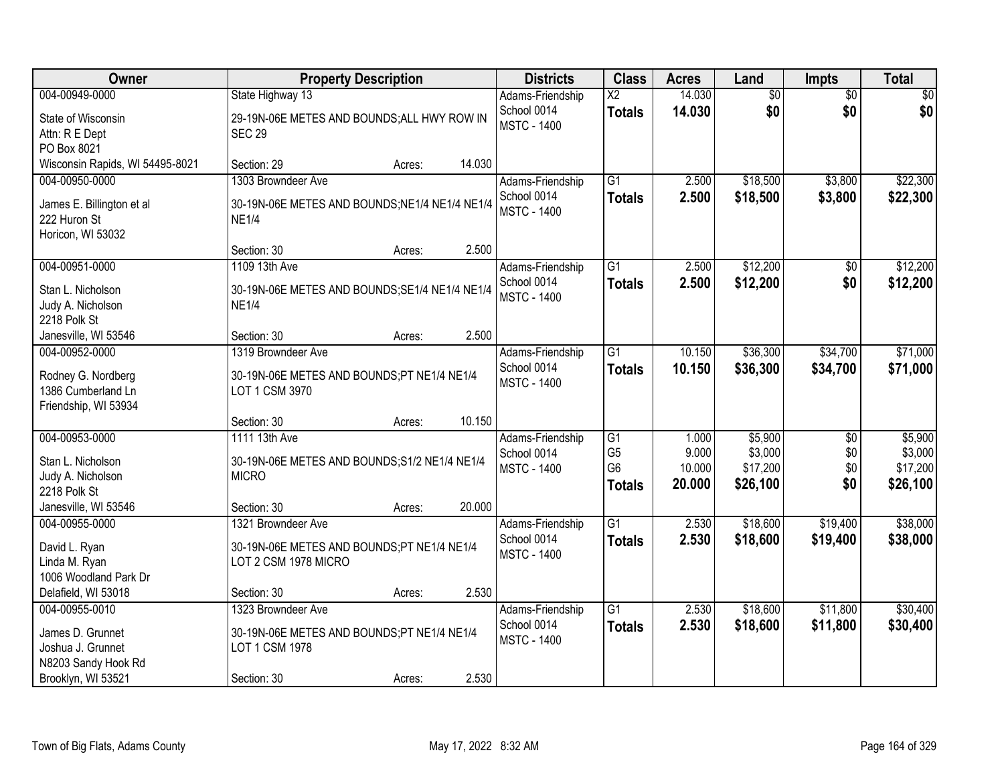| Owner                                      | <b>Property Description</b>                                  |        | <b>Districts</b> | <b>Class</b>       | <b>Acres</b>           | Land   | <b>Impts</b>    | <b>Total</b>    |             |
|--------------------------------------------|--------------------------------------------------------------|--------|------------------|--------------------|------------------------|--------|-----------------|-----------------|-------------|
| 004-00949-0000                             | State Highway 13                                             |        |                  | Adams-Friendship   | $\overline{\text{X2}}$ | 14.030 | $\overline{50}$ | $\overline{50}$ | $\sqrt{30}$ |
| State of Wisconsin                         | 29-19N-06E METES AND BOUNDS; ALL HWY ROW IN                  |        |                  | School 0014        | <b>Totals</b>          | 14.030 | \$0             | \$0             | \$0         |
| Attn: R E Dept                             | <b>SEC 29</b>                                                |        |                  | <b>MSTC - 1400</b> |                        |        |                 |                 |             |
| PO Box 8021                                |                                                              |        |                  |                    |                        |        |                 |                 |             |
| Wisconsin Rapids, WI 54495-8021            | Section: 29                                                  | Acres: | 14.030           |                    |                        |        |                 |                 |             |
| 004-00950-0000                             | 1303 Browndeer Ave                                           |        |                  | Adams-Friendship   | $\overline{G1}$        | 2.500  | \$18,500        | \$3,800         | \$22,300    |
| James E. Billington et al                  | 30-19N-06E METES AND BOUNDS; NE1/4 NE1/4 NE1/4               |        |                  | School 0014        | <b>Totals</b>          | 2.500  | \$18,500        | \$3,800         | \$22,300    |
| 222 Huron St                               | <b>NE1/4</b>                                                 |        |                  | <b>MSTC - 1400</b> |                        |        |                 |                 |             |
| Horicon, WI 53032                          |                                                              |        |                  |                    |                        |        |                 |                 |             |
|                                            | Section: 30                                                  | Acres: | 2.500            |                    |                        |        |                 |                 |             |
| 004-00951-0000                             | 1109 13th Ave                                                |        |                  | Adams-Friendship   | $\overline{G1}$        | 2.500  | \$12,200        | \$0             | \$12,200    |
| Stan L. Nicholson                          | 30-19N-06E METES AND BOUNDS; SE1/4 NE1/4 NE1/4               |        |                  | School 0014        | <b>Totals</b>          | 2.500  | \$12,200        | \$0             | \$12,200    |
| Judy A. Nicholson                          | <b>NE1/4</b>                                                 |        |                  | <b>MSTC - 1400</b> |                        |        |                 |                 |             |
| 2218 Polk St                               |                                                              |        |                  |                    |                        |        |                 |                 |             |
| Janesville, WI 53546                       | Section: 30                                                  | Acres: | 2.500            |                    |                        |        |                 |                 |             |
| 004-00952-0000                             | 1319 Browndeer Ave                                           |        |                  | Adams-Friendship   | $\overline{G1}$        | 10.150 | \$36,300        | \$34,700        | \$71,000    |
|                                            |                                                              |        |                  | School 0014        | <b>Totals</b>          | 10.150 | \$36,300        | \$34,700        | \$71,000    |
| Rodney G. Nordberg                         | 30-19N-06E METES AND BOUNDS;PT NE1/4 NE1/4<br>LOT 1 CSM 3970 |        |                  | <b>MSTC - 1400</b> |                        |        |                 |                 |             |
| 1386 Cumberland Ln<br>Friendship, WI 53934 |                                                              |        |                  |                    |                        |        |                 |                 |             |
|                                            | Section: 30                                                  | Acres: | 10.150           |                    |                        |        |                 |                 |             |
| 004-00953-0000                             | 1111 13th Ave                                                |        |                  | Adams-Friendship   | $\overline{G1}$        | 1.000  | \$5,900         | $\overline{50}$ | \$5,900     |
|                                            |                                                              |        |                  | School 0014        | G <sub>5</sub>         | 9.000  | \$3,000         | \$0             | \$3,000     |
| Stan L. Nicholson                          | 30-19N-06E METES AND BOUNDS; S1/2 NE1/4 NE1/4                |        |                  | <b>MSTC - 1400</b> | G <sub>6</sub>         | 10.000 | \$17,200        | \$0             | \$17,200    |
| Judy A. Nicholson                          | <b>MICRO</b>                                                 |        |                  |                    | <b>Totals</b>          | 20.000 | \$26,100        | \$0             | \$26,100    |
| 2218 Polk St                               |                                                              |        |                  |                    |                        |        |                 |                 |             |
| Janesville, WI 53546                       | Section: 30                                                  | Acres: | 20.000           |                    |                        |        |                 |                 |             |
| 004-00955-0000                             | 1321 Browndeer Ave                                           |        |                  | Adams-Friendship   | $\overline{G1}$        | 2.530  | \$18,600        | \$19,400        | \$38,000    |
| David L. Ryan                              | 30-19N-06E METES AND BOUNDS;PT NE1/4 NE1/4                   |        |                  | School 0014        | <b>Totals</b>          | 2.530  | \$18,600        | \$19,400        | \$38,000    |
| Linda M. Ryan                              | LOT 2 CSM 1978 MICRO                                         |        |                  | <b>MSTC - 1400</b> |                        |        |                 |                 |             |
| 1006 Woodland Park Dr                      |                                                              |        |                  |                    |                        |        |                 |                 |             |
| Delafield, WI 53018                        | Section: 30                                                  | Acres: | 2.530            |                    |                        |        |                 |                 |             |
| 004-00955-0010                             | 1323 Browndeer Ave                                           |        |                  | Adams-Friendship   | $\overline{G1}$        | 2.530  | \$18,600        | \$11,800        | \$30,400    |
| James D. Grunnet                           | 30-19N-06E METES AND BOUNDS;PT NE1/4 NE1/4                   |        |                  | School 0014        | <b>Totals</b>          | 2.530  | \$18,600        | \$11,800        | \$30,400    |
| Joshua J. Grunnet                          | LOT 1 CSM 1978                                               |        |                  | <b>MSTC - 1400</b> |                        |        |                 |                 |             |
| N8203 Sandy Hook Rd                        |                                                              |        |                  |                    |                        |        |                 |                 |             |
| Brooklyn, WI 53521                         | Section: 30                                                  | Acres: | 2.530            |                    |                        |        |                 |                 |             |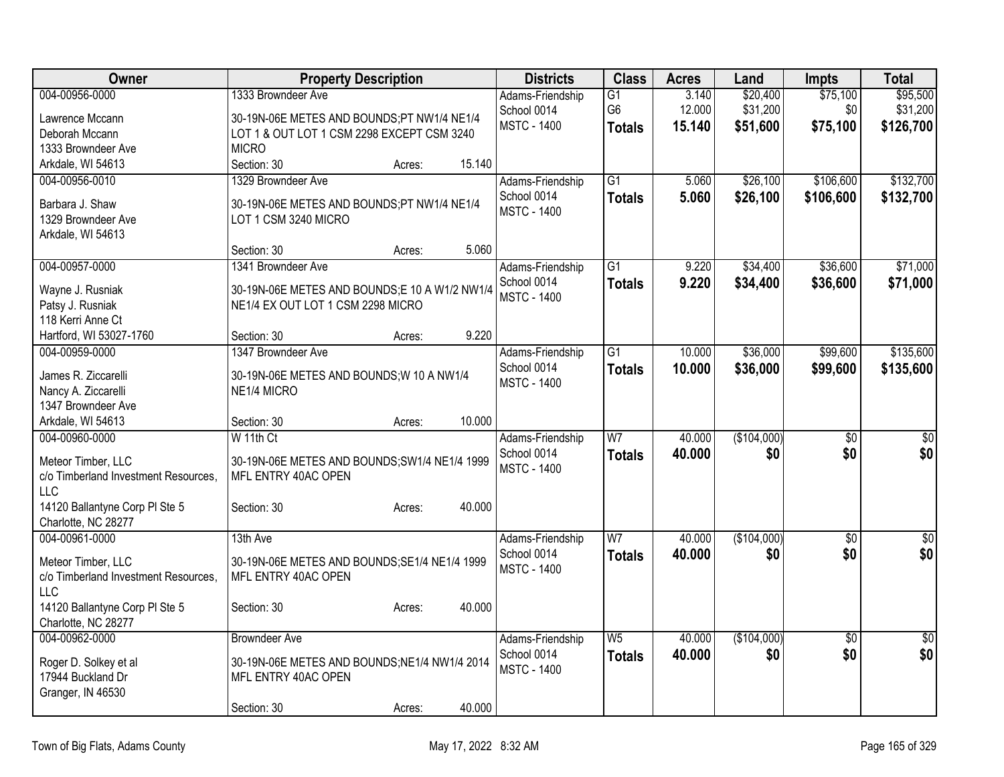| Owner                                | <b>Property Description</b>                   | <b>Districts</b>   | <b>Class</b>    | <b>Acres</b> | Land        | <b>Impts</b>    | <b>Total</b>    |
|--------------------------------------|-----------------------------------------------|--------------------|-----------------|--------------|-------------|-----------------|-----------------|
| 004-00956-0000                       | 1333 Browndeer Ave                            | Adams-Friendship   | $\overline{G1}$ | 3.140        | \$20,400    | \$75,100        | \$95,500        |
| Lawrence Mccann                      | 30-19N-06E METES AND BOUNDS;PT NW1/4 NE1/4    | School 0014        | G <sub>6</sub>  | 12.000       | \$31,200    | \$0             | \$31,200        |
| Deborah Mccann                       | LOT 1 & OUT LOT 1 CSM 2298 EXCEPT CSM 3240    | <b>MSTC - 1400</b> | <b>Totals</b>   | 15.140       | \$51,600    | \$75,100        | \$126,700       |
| 1333 Browndeer Ave                   | <b>MICRO</b>                                  |                    |                 |              |             |                 |                 |
| Arkdale, WI 54613                    | Section: 30<br>15.140<br>Acres:               |                    |                 |              |             |                 |                 |
| 004-00956-0010                       | 1329 Browndeer Ave                            | Adams-Friendship   | $\overline{G1}$ | 5.060        | \$26,100    | \$106,600       | \$132,700       |
| Barbara J. Shaw                      | 30-19N-06E METES AND BOUNDS;PT NW1/4 NE1/4    | School 0014        | <b>Totals</b>   | 5.060        | \$26,100    | \$106,600       | \$132,700       |
| 1329 Browndeer Ave                   | LOT 1 CSM 3240 MICRO                          | <b>MSTC - 1400</b> |                 |              |             |                 |                 |
| Arkdale, WI 54613                    |                                               |                    |                 |              |             |                 |                 |
|                                      | 5.060<br>Section: 30<br>Acres:                |                    |                 |              |             |                 |                 |
| 004-00957-0000                       | 1341 Browndeer Ave                            | Adams-Friendship   | $\overline{G1}$ | 9.220        | \$34,400    | \$36,600        | \$71,000        |
|                                      |                                               | School 0014        | <b>Totals</b>   | 9.220        | \$34,400    | \$36,600        | \$71,000        |
| Wayne J. Rusniak                     | 30-19N-06E METES AND BOUNDS;E 10 A W1/2 NW1/4 | <b>MSTC - 1400</b> |                 |              |             |                 |                 |
| Patsy J. Rusniak                     | NE1/4 EX OUT LOT 1 CSM 2298 MICRO             |                    |                 |              |             |                 |                 |
| 118 Kerri Anne Ct                    |                                               |                    |                 |              |             |                 |                 |
| Hartford, WI 53027-1760              | 9.220<br>Section: 30<br>Acres:                |                    |                 |              |             |                 |                 |
| 004-00959-0000                       | 1347 Browndeer Ave                            | Adams-Friendship   | $\overline{G1}$ | 10.000       | \$36,000    | \$99,600        | \$135,600       |
| James R. Ziccarelli                  | 30-19N-06E METES AND BOUNDS; W 10 A NW1/4     | School 0014        | <b>Totals</b>   | 10.000       | \$36,000    | \$99,600        | \$135,600       |
| Nancy A. Ziccarelli                  | NE1/4 MICRO                                   | <b>MSTC - 1400</b> |                 |              |             |                 |                 |
| 1347 Browndeer Ave                   |                                               |                    |                 |              |             |                 |                 |
| Arkdale, WI 54613                    | 10.000<br>Section: 30<br>Acres:               |                    |                 |              |             |                 |                 |
| 004-00960-0000                       | $W$ 11th Ct                                   | Adams-Friendship   | $\overline{W}$  | 40.000       | (\$104,000) | $\overline{30}$ | \$0             |
| Meteor Timber, LLC                   | 30-19N-06E METES AND BOUNDS; SW1/4 NE1/4 1999 | School 0014        | <b>Totals</b>   | 40.000       | \$0         | \$0             | \$0             |
| c/o Timberland Investment Resources, | MFL ENTRY 40AC OPEN                           | <b>MSTC - 1400</b> |                 |              |             |                 |                 |
| LLC                                  |                                               |                    |                 |              |             |                 |                 |
| 14120 Ballantyne Corp PI Ste 5       | 40.000<br>Section: 30<br>Acres:               |                    |                 |              |             |                 |                 |
| Charlotte, NC 28277                  |                                               |                    |                 |              |             |                 |                 |
| 004-00961-0000                       | 13th Ave                                      | Adams-Friendship   | W <sub>7</sub>  | 40.000       | (\$104,000) | $\sqrt{6}$      | $\sqrt{60}$     |
| Meteor Timber, LLC                   | 30-19N-06E METES AND BOUNDS; SE1/4 NE1/4 1999 | School 0014        | <b>Totals</b>   | 40.000       | \$0         | \$0             | s <sub>0</sub>  |
| c/o Timberland Investment Resources, | MFL ENTRY 40AC OPEN                           | <b>MSTC - 1400</b> |                 |              |             |                 |                 |
| <b>LLC</b>                           |                                               |                    |                 |              |             |                 |                 |
| 14120 Ballantyne Corp PI Ste 5       | 40.000<br>Section: 30<br>Acres:               |                    |                 |              |             |                 |                 |
| Charlotte, NC 28277                  |                                               |                    |                 |              |             |                 |                 |
| 004-00962-0000                       | <b>Browndeer Ave</b>                          | Adams-Friendship   | W <sub>5</sub>  | 40.000       | (\$104,000) | $\overline{30}$ | $\overline{50}$ |
|                                      |                                               | School 0014        | <b>Totals</b>   | 40.000       | \$0         | \$0             | \$0             |
| Roger D. Solkey et al                | 30-19N-06E METES AND BOUNDS; NE1/4 NW1/4 2014 | <b>MSTC - 1400</b> |                 |              |             |                 |                 |
| 17944 Buckland Dr                    | MFL ENTRY 40AC OPEN                           |                    |                 |              |             |                 |                 |
| Granger, IN 46530                    |                                               |                    |                 |              |             |                 |                 |
|                                      | 40.000<br>Section: 30<br>Acres:               |                    |                 |              |             |                 |                 |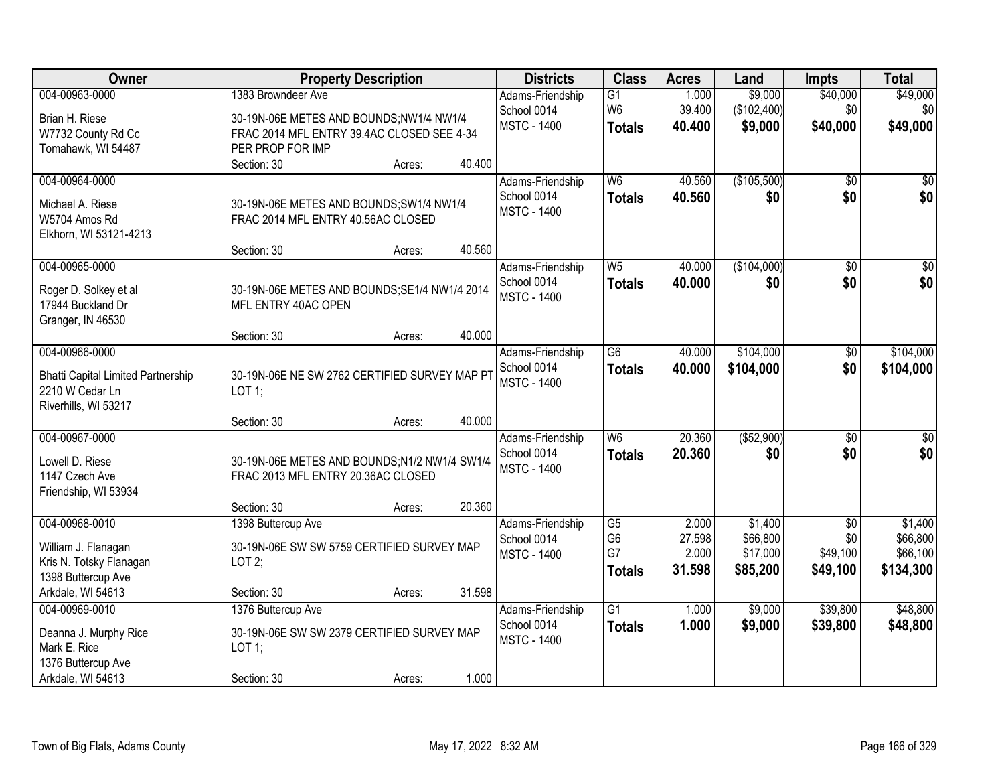| Owner                                     | <b>Property Description</b>                   | <b>Districts</b> | <b>Class</b>       | <b>Acres</b>    | Land   | <b>Impts</b> | <b>Total</b>    |                  |
|-------------------------------------------|-----------------------------------------------|------------------|--------------------|-----------------|--------|--------------|-----------------|------------------|
| 004-00963-0000                            | 1383 Browndeer Ave                            |                  | Adams-Friendship   | $\overline{G1}$ | 1.000  | \$9,000      | \$40,000        | \$49,000         |
| Brian H. Riese                            | 30-19N-06E METES AND BOUNDS;NW1/4 NW1/4       |                  | School 0014        | W <sub>6</sub>  | 39.400 | (\$102,400)  | \$0             | \$0              |
| W7732 County Rd Cc                        | FRAC 2014 MFL ENTRY 39.4AC CLOSED SEE 4-34    |                  | <b>MSTC - 1400</b> | <b>Totals</b>   | 40.400 | \$9,000      | \$40,000        | \$49,000         |
| Tomahawk, WI 54487                        | PER PROP FOR IMP                              |                  |                    |                 |        |              |                 |                  |
|                                           | Section: 30                                   | 40.400<br>Acres: |                    |                 |        |              |                 |                  |
| 004-00964-0000                            |                                               |                  | Adams-Friendship   | W <sub>6</sub>  | 40.560 | (\$105,500)  | \$0             | \$0              |
| Michael A. Riese                          | 30-19N-06E METES AND BOUNDS; SW1/4 NW1/4      |                  | School 0014        | <b>Totals</b>   | 40.560 | \$0          | \$0             | \$0              |
| W5704 Amos Rd                             | FRAC 2014 MFL ENTRY 40.56AC CLOSED            |                  | <b>MSTC - 1400</b> |                 |        |              |                 |                  |
| Elkhorn, WI 53121-4213                    |                                               |                  |                    |                 |        |              |                 |                  |
|                                           | Section: 30                                   | 40.560<br>Acres: |                    |                 |        |              |                 |                  |
| 004-00965-0000                            |                                               |                  | Adams-Friendship   | W <sub>5</sub>  | 40.000 | (\$104,000)  | \$0             | $\overline{\$0}$ |
| Roger D. Solkey et al                     | 30-19N-06E METES AND BOUNDS; SE1/4 NW1/4 2014 |                  | School 0014        | <b>Totals</b>   | 40.000 | \$0          | \$0             | \$0              |
| 17944 Buckland Dr                         | MFL ENTRY 40AC OPEN                           |                  | <b>MSTC - 1400</b> |                 |        |              |                 |                  |
| Granger, IN 46530                         |                                               |                  |                    |                 |        |              |                 |                  |
|                                           | Section: 30                                   | 40.000<br>Acres: |                    |                 |        |              |                 |                  |
| 004-00966-0000                            |                                               |                  | Adams-Friendship   | $\overline{G6}$ | 40.000 | \$104,000    | $\sqrt[6]{3}$   | \$104,000        |
| <b>Bhatti Capital Limited Partnership</b> | 30-19N-06E NE SW 2762 CERTIFIED SURVEY MAP PT |                  | School 0014        | <b>Totals</b>   | 40.000 | \$104,000    | \$0             | \$104,000        |
| 2210 W Cedar Ln                           | LOT 1;                                        |                  | <b>MSTC - 1400</b> |                 |        |              |                 |                  |
| Riverhills, WI 53217                      |                                               |                  |                    |                 |        |              |                 |                  |
|                                           | Section: 30                                   | 40.000<br>Acres: |                    |                 |        |              |                 |                  |
| 004-00967-0000                            |                                               |                  | Adams-Friendship   | W6              | 20.360 | ( \$52,900)  | $\overline{50}$ | $\overline{\$0}$ |
| Lowell D. Riese                           | 30-19N-06E METES AND BOUNDS;N1/2 NW1/4 SW1/4  |                  | School 0014        | <b>Totals</b>   | 20,360 | \$0          | \$0             | \$0              |
| 1147 Czech Ave                            | FRAC 2013 MFL ENTRY 20.36AC CLOSED            |                  | <b>MSTC - 1400</b> |                 |        |              |                 |                  |
| Friendship, WI 53934                      |                                               |                  |                    |                 |        |              |                 |                  |
|                                           | Section: 30                                   | 20.360<br>Acres: |                    |                 |        |              |                 |                  |
| 004-00968-0010                            | 1398 Buttercup Ave                            |                  | Adams-Friendship   | $\overline{G5}$ | 2.000  | \$1,400      | $\overline{50}$ | \$1,400          |
| William J. Flanagan                       | 30-19N-06E SW SW 5759 CERTIFIED SURVEY MAP    |                  | School 0014        | G <sub>6</sub>  | 27.598 | \$66,800     | \$0             | \$66,800         |
| Kris N. Totsky Flanagan                   | LOT2;                                         |                  | <b>MSTC - 1400</b> | G7              | 2.000  | \$17,000     | \$49,100        | \$66,100         |
| 1398 Buttercup Ave                        |                                               |                  |                    | <b>Totals</b>   | 31.598 | \$85,200     | \$49,100        | \$134,300        |
| Arkdale, WI 54613                         | Section: 30                                   | 31.598<br>Acres: |                    |                 |        |              |                 |                  |
| 004-00969-0010                            | 1376 Buttercup Ave                            |                  | Adams-Friendship   | $\overline{G1}$ | 1.000  | \$9,000      | \$39,800        | \$48,800         |
| Deanna J. Murphy Rice                     | 30-19N-06E SW SW 2379 CERTIFIED SURVEY MAP    |                  | School 0014        | <b>Totals</b>   | 1.000  | \$9,000      | \$39,800        | \$48,800         |
| Mark E. Rice                              | LOT 1;                                        |                  | <b>MSTC - 1400</b> |                 |        |              |                 |                  |
| 1376 Buttercup Ave                        |                                               |                  |                    |                 |        |              |                 |                  |
| Arkdale, WI 54613                         | Section: 30                                   | 1.000<br>Acres:  |                    |                 |        |              |                 |                  |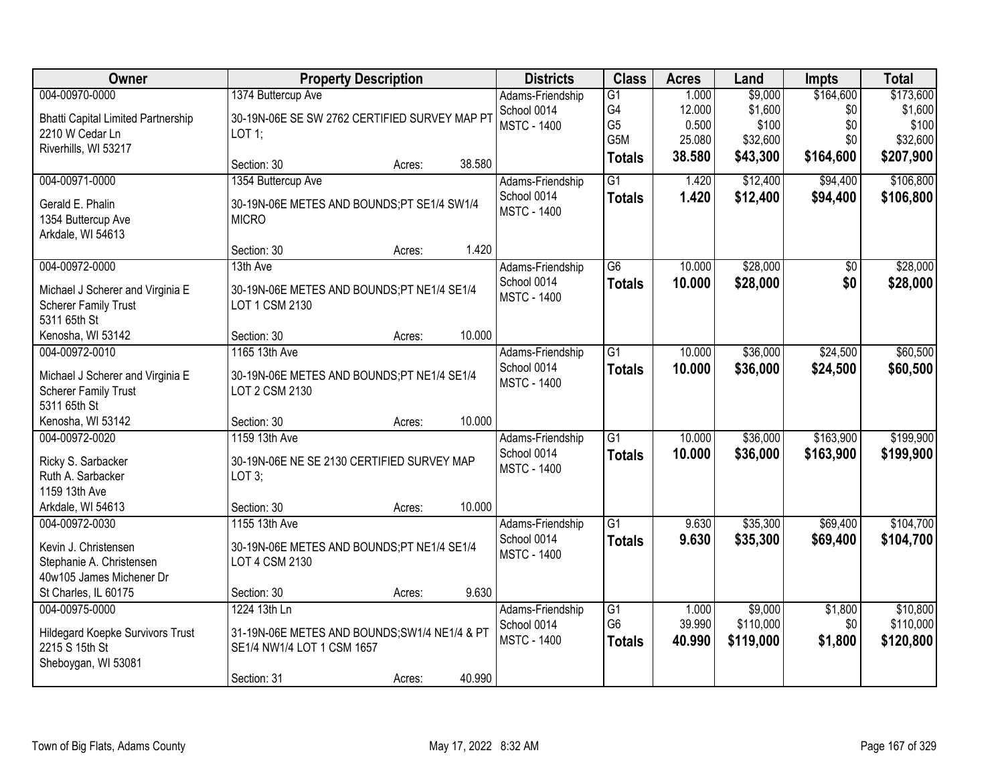| Owner                                     |                                                      | <b>Property Description</b> |        | <b>Districts</b>                  | <b>Class</b>         | <b>Acres</b>    | Land                 | <b>Impts</b>   | <b>Total</b>          |
|-------------------------------------------|------------------------------------------------------|-----------------------------|--------|-----------------------------------|----------------------|-----------------|----------------------|----------------|-----------------------|
| 004-00970-0000                            | 1374 Buttercup Ave                                   |                             |        | Adams-Friendship                  | $\overline{G1}$      | 1.000           | \$9,000              | \$164,600      | \$173,600             |
| <b>Bhatti Capital Limited Partnership</b> | 30-19N-06E SE SW 2762 CERTIFIED SURVEY MAP PT        |                             |        | School 0014                       | G4                   | 12.000          | \$1,600              | \$0            | \$1,600               |
| 2210 W Cedar Ln                           | LOT 1;                                               |                             |        | <b>MSTC - 1400</b>                | G <sub>5</sub>       | 0.500           | \$100                | \$0            | \$100                 |
| Riverhills, WI 53217                      |                                                      |                             |        |                                   | G5M                  | 25.080          | \$32,600             | \$0            | \$32,600              |
|                                           | Section: 30                                          | Acres:                      | 38.580 |                                   | <b>Totals</b>        | 38.580          | \$43,300             | \$164,600      | \$207,900             |
| 004-00971-0000                            | 1354 Buttercup Ave                                   |                             |        | Adams-Friendship                  | $\overline{G1}$      | 1.420           | \$12,400             | \$94,400       | \$106,800             |
| Gerald E. Phalin                          | 30-19N-06E METES AND BOUNDS;PT SE1/4 SW1/4           |                             |        | School 0014                       | <b>Totals</b>        | 1.420           | \$12,400             | \$94,400       | \$106,800             |
| 1354 Buttercup Ave                        | <b>MICRO</b>                                         |                             |        | <b>MSTC - 1400</b>                |                      |                 |                      |                |                       |
| Arkdale, WI 54613                         |                                                      |                             |        |                                   |                      |                 |                      |                |                       |
|                                           | Section: 30                                          | Acres:                      | 1.420  |                                   |                      |                 |                      |                |                       |
| 004-00972-0000                            | 13th Ave                                             |                             |        | Adams-Friendship                  | G6                   | 10.000          | \$28,000             | \$0            | \$28,000              |
| Michael J Scherer and Virginia E          | 30-19N-06E METES AND BOUNDS;PT NE1/4 SE1/4           |                             |        | School 0014                       | <b>Totals</b>        | 10.000          | \$28,000             | \$0            | \$28,000              |
| <b>Scherer Family Trust</b>               | LOT 1 CSM 2130                                       |                             |        | <b>MSTC - 1400</b>                |                      |                 |                      |                |                       |
| 5311 65th St                              |                                                      |                             |        |                                   |                      |                 |                      |                |                       |
| Kenosha, WI 53142                         | Section: 30                                          | Acres:                      | 10.000 |                                   |                      |                 |                      |                |                       |
| 004-00972-0010                            | 1165 13th Ave                                        |                             |        | Adams-Friendship                  | $\overline{G1}$      | 10.000          | \$36,000             | \$24,500       | \$60,500              |
| Michael J Scherer and Virginia E          | 30-19N-06E METES AND BOUNDS;PT NE1/4 SE1/4           |                             |        | School 0014                       | <b>Totals</b>        | 10.000          | \$36,000             | \$24,500       | \$60,500              |
| <b>Scherer Family Trust</b>               | LOT 2 CSM 2130                                       |                             |        | <b>MSTC - 1400</b>                |                      |                 |                      |                |                       |
| 5311 65th St                              |                                                      |                             |        |                                   |                      |                 |                      |                |                       |
| Kenosha, WI 53142                         | Section: 30                                          | Acres:                      | 10.000 |                                   |                      |                 |                      |                |                       |
| 004-00972-0020                            | 1159 13th Ave                                        |                             |        | Adams-Friendship                  | $\overline{G1}$      | 10.000          | \$36,000             | \$163,900      | \$199,900             |
|                                           |                                                      |                             |        | School 0014                       | <b>Totals</b>        | 10.000          | \$36,000             | \$163,900      | \$199,900             |
| Ricky S. Sarbacker<br>Ruth A. Sarbacker   | 30-19N-06E NE SE 2130 CERTIFIED SURVEY MAP<br>LOT 3; |                             |        | <b>MSTC - 1400</b>                |                      |                 |                      |                |                       |
| 1159 13th Ave                             |                                                      |                             |        |                                   |                      |                 |                      |                |                       |
| Arkdale, WI 54613                         | Section: 30                                          | Acres:                      | 10.000 |                                   |                      |                 |                      |                |                       |
| 004-00972-0030                            | 1155 13th Ave                                        |                             |        | Adams-Friendship                  | $\overline{G1}$      | 9.630           | \$35,300             | \$69,400       | \$104,700             |
|                                           |                                                      |                             |        | School 0014                       | <b>Totals</b>        | 9.630           | \$35,300             | \$69,400       | \$104,700             |
| Kevin J. Christensen                      | 30-19N-06E METES AND BOUNDS;PT NE1/4 SE1/4           |                             |        | <b>MSTC - 1400</b>                |                      |                 |                      |                |                       |
| Stephanie A. Christensen                  | LOT 4 CSM 2130                                       |                             |        |                                   |                      |                 |                      |                |                       |
| 40w105 James Michener Dr                  |                                                      |                             |        |                                   |                      |                 |                      |                |                       |
| St Charles, IL 60175                      | Section: 30                                          | Acres:                      | 9.630  |                                   |                      |                 |                      |                |                       |
| 004-00975-0000                            | 1224 13th Ln                                         |                             |        | Adams-Friendship                  | G1<br>G <sub>6</sub> | 1.000<br>39.990 | \$9,000<br>\$110,000 | \$1,800<br>\$0 | \$10,800<br>\$110,000 |
| <b>Hildegard Koepke Survivors Trust</b>   | 31-19N-06E METES AND BOUNDS; SW1/4 NE1/4 & PT        |                             |        | School 0014<br><b>MSTC - 1400</b> |                      |                 |                      |                |                       |
| 2215 S 15th St                            | SE1/4 NW1/4 LOT 1 CSM 1657                           |                             |        |                                   | <b>Totals</b>        | 40.990          | \$119,000            | \$1,800        | \$120,800             |
| Sheboygan, WI 53081                       |                                                      |                             |        |                                   |                      |                 |                      |                |                       |
|                                           | Section: 31                                          | Acres:                      | 40.990 |                                   |                      |                 |                      |                |                       |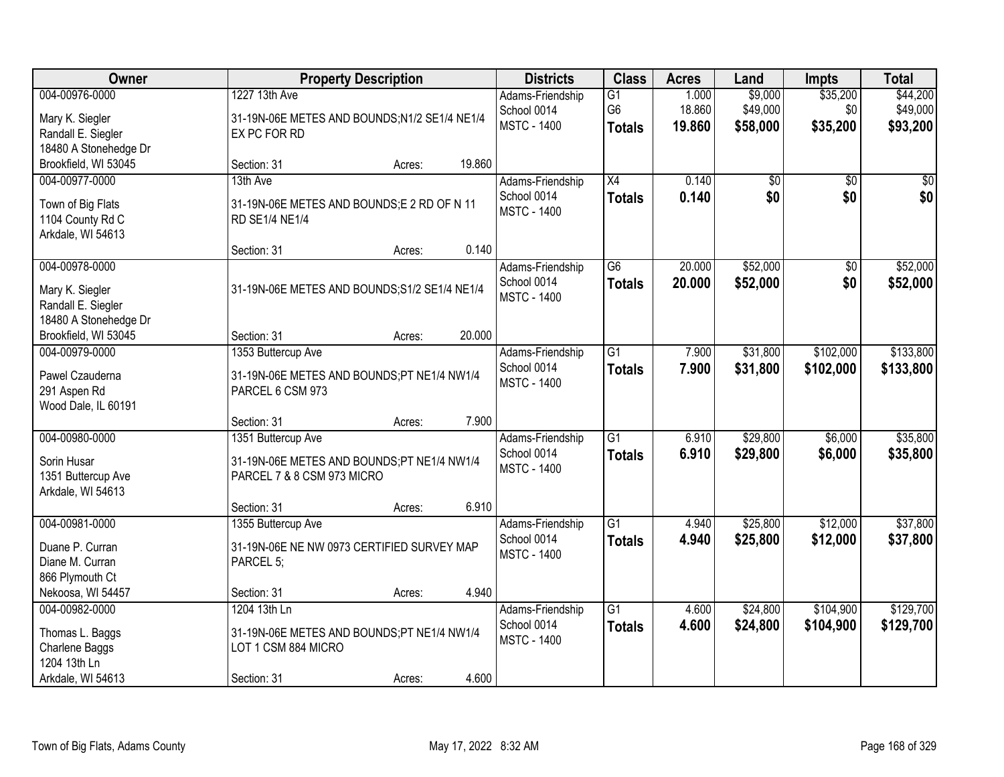| Owner                                                                                    |                                                                                                  | <b>Property Description</b> |        |                                                       | <b>Class</b>                                       | <b>Acres</b>              | Land                            | <b>Impts</b>                | <b>Total</b>                     |
|------------------------------------------------------------------------------------------|--------------------------------------------------------------------------------------------------|-----------------------------|--------|-------------------------------------------------------|----------------------------------------------------|---------------------------|---------------------------------|-----------------------------|----------------------------------|
| 004-00976-0000<br>Mary K. Siegler<br>Randall E. Siegler<br>18480 A Stonehedge Dr         | 1227 13th Ave<br>31-19N-06E METES AND BOUNDS;N1/2 SE1/4 NE1/4<br>EX PC FOR RD                    |                             |        | Adams-Friendship<br>School 0014<br><b>MSTC - 1400</b> | $\overline{G1}$<br>G <sub>6</sub><br><b>Totals</b> | 1.000<br>18.860<br>19.860 | \$9,000<br>\$49,000<br>\$58,000 | \$35,200<br>\$0<br>\$35,200 | \$44,200<br>\$49,000<br>\$93,200 |
| Brookfield, WI 53045                                                                     | Section: 31                                                                                      | Acres:                      | 19.860 |                                                       |                                                    |                           |                                 |                             |                                  |
| 004-00977-0000<br>Town of Big Flats<br>1104 County Rd C<br>Arkdale, WI 54613             | 13th Ave<br>31-19N-06E METES AND BOUNDS;E 2 RD OF N 11<br><b>RD SE1/4 NE1/4</b>                  |                             |        | Adams-Friendship<br>School 0014<br><b>MSTC - 1400</b> | $\overline{X4}$<br><b>Totals</b>                   | 0.140<br>0.140            | \$0<br>\$0                      | $\overline{50}$<br>\$0      | \$0<br>\$0                       |
| 004-00978-0000                                                                           | Section: 31                                                                                      | Acres:                      | 0.140  | Adams-Friendship                                      | $\overline{G6}$                                    | 20.000                    | \$52,000                        | $\overline{50}$             | \$52,000                         |
| Mary K. Siegler<br>Randall E. Siegler<br>18480 A Stonehedge Dr                           | 31-19N-06E METES AND BOUNDS; S1/2 SE1/4 NE1/4                                                    |                             |        | School 0014<br><b>MSTC - 1400</b>                     | <b>Totals</b>                                      | 20.000                    | \$52,000                        | \$0                         | \$52,000                         |
| Brookfield, WI 53045                                                                     | Section: 31                                                                                      | Acres:                      | 20.000 |                                                       |                                                    |                           |                                 |                             |                                  |
| 004-00979-0000<br>Pawel Czauderna<br>291 Aspen Rd<br>Wood Dale, IL 60191                 | 1353 Buttercup Ave<br>31-19N-06E METES AND BOUNDS;PT NE1/4 NW1/4<br>PARCEL 6 CSM 973             |                             |        | Adams-Friendship<br>School 0014<br><b>MSTC - 1400</b> | $\overline{G1}$<br><b>Totals</b>                   | 7.900<br>7.900            | \$31,800<br>\$31,800            | \$102,000<br>\$102,000      | \$133,800<br>\$133,800           |
|                                                                                          | Section: 31                                                                                      | Acres:                      | 7.900  |                                                       |                                                    |                           |                                 |                             |                                  |
| 004-00980-0000<br>Sorin Husar<br>1351 Buttercup Ave<br>Arkdale, WI 54613                 | 1351 Buttercup Ave<br>31-19N-06E METES AND BOUNDS;PT NE1/4 NW1/4<br>PARCEL 7 & 8 CSM 973 MICRO   |                             |        | Adams-Friendship<br>School 0014<br><b>MSTC - 1400</b> | $\overline{G1}$<br><b>Totals</b>                   | 6.910<br>6.910            | \$29,800<br>\$29,800            | \$6,000<br>\$6,000          | \$35,800<br>\$35,800             |
|                                                                                          | Section: 31                                                                                      | Acres:                      | 6.910  |                                                       |                                                    |                           |                                 |                             |                                  |
| 004-00981-0000<br>Duane P. Curran<br>Diane M. Curran<br>866 Plymouth Ct                  | 1355 Buttercup Ave<br>31-19N-06E NE NW 0973 CERTIFIED SURVEY MAP<br>PARCEL 5;                    |                             |        | Adams-Friendship<br>School 0014<br><b>MSTC - 1400</b> | G1<br><b>Totals</b>                                | 4.940<br>4.940            | \$25,800<br>\$25,800            | \$12,000<br>\$12,000        | \$37,800<br>\$37,800             |
| Nekoosa, WI 54457                                                                        | Section: 31                                                                                      | Acres:                      | 4.940  |                                                       |                                                    |                           |                                 |                             |                                  |
| 004-00982-0000<br>Thomas L. Baggs<br>Charlene Baggs<br>1204 13th Ln<br>Arkdale, WI 54613 | 1204 13th Ln<br>31-19N-06E METES AND BOUNDS;PT NE1/4 NW1/4<br>LOT 1 CSM 884 MICRO<br>Section: 31 | Acres:                      | 4.600  | Adams-Friendship<br>School 0014<br><b>MSTC - 1400</b> | $\overline{G1}$<br><b>Totals</b>                   | 4.600<br>4.600            | \$24,800<br>\$24,800            | \$104,900<br>\$104,900      | \$129,700<br>\$129,700           |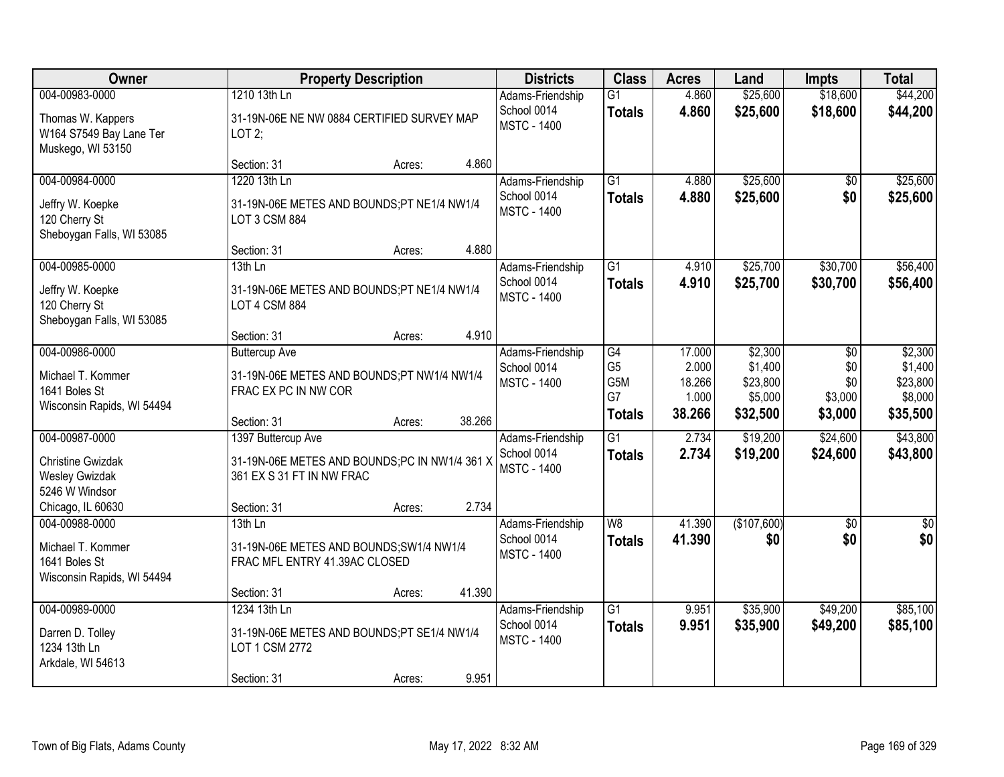| <b>Owner</b>                                                                                               |                                                                                                                 | <b>Property Description</b> |        | <b>Districts</b>                                      | <b>Class</b>                                       | <b>Acres</b>                                 | Land                                                  | <b>Impts</b>                                      | <b>Total</b>                                          |
|------------------------------------------------------------------------------------------------------------|-----------------------------------------------------------------------------------------------------------------|-----------------------------|--------|-------------------------------------------------------|----------------------------------------------------|----------------------------------------------|-------------------------------------------------------|---------------------------------------------------|-------------------------------------------------------|
| 004-00983-0000<br>Thomas W. Kappers<br>W164 S7549 Bay Lane Ter<br>Muskego, WI 53150                        | 1210 13th Ln<br>31-19N-06E NE NW 0884 CERTIFIED SURVEY MAP<br>LOT2;                                             |                             |        | Adams-Friendship<br>School 0014<br><b>MSTC - 1400</b> | $\overline{G1}$<br><b>Totals</b>                   | 4.860<br>4.860                               | \$25,600<br>\$25,600                                  | \$18,600<br>\$18,600                              | \$44,200<br>\$44,200                                  |
|                                                                                                            | Section: 31                                                                                                     | Acres:                      | 4.860  |                                                       |                                                    |                                              |                                                       |                                                   |                                                       |
| 004-00984-0000<br>Jeffry W. Koepke<br>120 Cherry St<br>Sheboygan Falls, WI 53085                           | 1220 13th Ln<br>31-19N-06E METES AND BOUNDS;PT NE1/4 NW1/4<br>LOT 3 CSM 884                                     |                             |        | Adams-Friendship<br>School 0014<br><b>MSTC - 1400</b> | $\overline{G1}$<br><b>Totals</b>                   | 4.880<br>4.880                               | \$25,600<br>\$25,600                                  | \$0<br>\$0                                        | \$25,600<br>\$25,600                                  |
| 004-00985-0000                                                                                             | Section: 31<br>13th Ln                                                                                          | Acres:                      | 4.880  | Adams-Friendship                                      | G1                                                 | 4.910                                        | \$25,700                                              | \$30,700                                          | \$56,400                                              |
| Jeffry W. Koepke<br>120 Cherry St<br>Sheboygan Falls, WI 53085                                             | 31-19N-06E METES AND BOUNDS;PT NE1/4 NW1/4<br>LOT 4 CSM 884                                                     |                             |        | School 0014<br><b>MSTC - 1400</b>                     | <b>Totals</b>                                      | 4.910                                        | \$25,700                                              | \$30,700                                          | \$56,400                                              |
|                                                                                                            | Section: 31                                                                                                     | Acres:                      | 4.910  |                                                       |                                                    |                                              |                                                       |                                                   |                                                       |
| 004-00986-0000<br>Michael T. Kommer<br>1641 Boles St<br>Wisconsin Rapids, WI 54494                         | <b>Buttercup Ave</b><br>31-19N-06E METES AND BOUNDS;PT NW1/4 NW1/4<br>FRAC EX PC IN NW COR                      |                             |        | Adams-Friendship<br>School 0014<br><b>MSTC - 1400</b> | G4<br>G <sub>5</sub><br>G5M<br>G7<br><b>Totals</b> | 17.000<br>2.000<br>18.266<br>1.000<br>38.266 | \$2,300<br>\$1,400<br>\$23,800<br>\$5,000<br>\$32,500 | $\sqrt[6]{3}$<br>\$0<br>\$0<br>\$3,000<br>\$3,000 | \$2,300<br>\$1,400<br>\$23,800<br>\$8,000<br>\$35,500 |
|                                                                                                            | Section: 31                                                                                                     | Acres:                      | 38.266 |                                                       |                                                    |                                              |                                                       |                                                   |                                                       |
| 004-00987-0000<br><b>Christine Gwizdak</b><br><b>Wesley Gwizdak</b><br>5246 W Windsor<br>Chicago, IL 60630 | 1397 Buttercup Ave<br>31-19N-06E METES AND BOUNDS;PC IN NW1/4 361 X<br>361 EX S 31 FT IN NW FRAC<br>Section: 31 | Acres:                      | 2.734  | Adams-Friendship<br>School 0014<br><b>MSTC - 1400</b> | $\overline{G1}$<br><b>Totals</b>                   | 2.734<br>2.734                               | \$19,200<br>\$19,200                                  | \$24,600<br>\$24,600                              | \$43,800<br>\$43,800                                  |
| 004-00988-0000                                                                                             | $13th$ Ln                                                                                                       |                             |        | Adams-Friendship                                      | $\overline{W8}$                                    | 41.390                                       | (\$107,600)                                           | $\overline{50}$                                   | $\overline{\$0}$                                      |
| Michael T. Kommer<br>1641 Boles St<br>Wisconsin Rapids, WI 54494                                           | 31-19N-06E METES AND BOUNDS; SW1/4 NW1/4<br>FRAC MFL ENTRY 41.39AC CLOSED                                       |                             |        | School 0014<br><b>MSTC - 1400</b>                     | <b>Totals</b>                                      | 41.390                                       | \$0                                                   | \$0                                               | \$0                                                   |
|                                                                                                            | Section: 31                                                                                                     | Acres:                      | 41.390 |                                                       |                                                    |                                              |                                                       |                                                   |                                                       |
| 004-00989-0000<br>Darren D. Tolley<br>1234 13th Ln<br>Arkdale, WI 54613                                    | 1234 13th Ln<br>31-19N-06E METES AND BOUNDS;PT SE1/4 NW1/4<br>LOT 1 CSM 2772<br>Section: 31                     | Acres:                      | 9.951  | Adams-Friendship<br>School 0014<br><b>MSTC - 1400</b> | $\overline{G1}$<br><b>Totals</b>                   | 9.951<br>9.951                               | \$35,900<br>\$35,900                                  | \$49,200<br>\$49,200                              | \$85,100<br>\$85,100                                  |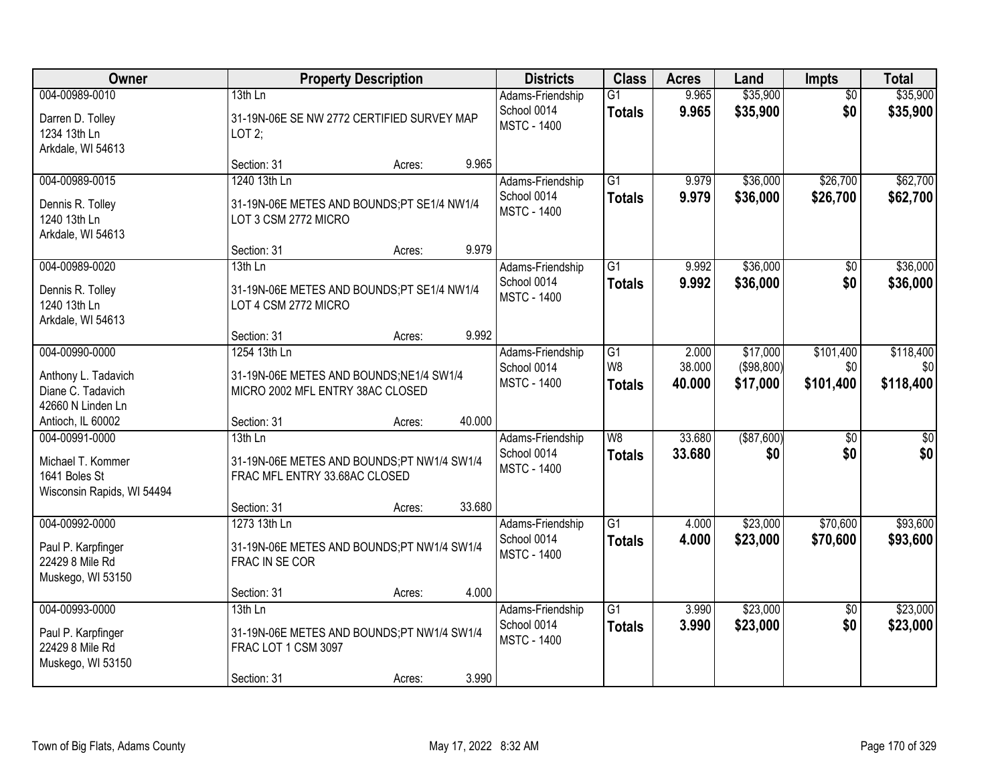| Owner                                                                              |                                                                                               | <b>Property Description</b> |        | <b>Districts</b>                                      | <b>Class</b>                                      | <b>Acres</b>              | Land                               | <b>Impts</b>                  | <b>Total</b>                  |
|------------------------------------------------------------------------------------|-----------------------------------------------------------------------------------------------|-----------------------------|--------|-------------------------------------------------------|---------------------------------------------------|---------------------------|------------------------------------|-------------------------------|-------------------------------|
| 004-00989-0010<br>Darren D. Tolley<br>1234 13th Ln<br>Arkdale, WI 54613            | $13th$ Ln<br>31-19N-06E SE NW 2772 CERTIFIED SURVEY MAP<br>LOT2;                              |                             |        | Adams-Friendship<br>School 0014<br><b>MSTC - 1400</b> | $\overline{G1}$<br><b>Totals</b>                  | 9.965<br>9.965            | \$35,900<br>\$35,900               | $\overline{50}$<br>\$0        | \$35,900<br>\$35,900          |
|                                                                                    | Section: 31                                                                                   | Acres:                      | 9.965  |                                                       |                                                   |                           |                                    |                               |                               |
| 004-00989-0015<br>Dennis R. Tolley<br>1240 13th Ln<br>Arkdale, WI 54613            | 1240 13th Ln<br>31-19N-06E METES AND BOUNDS;PT SE1/4 NW1/4<br>LOT 3 CSM 2772 MICRO            |                             |        | Adams-Friendship<br>School 0014<br><b>MSTC - 1400</b> | $\overline{G1}$<br><b>Totals</b>                  | 9.979<br>9.979            | \$36,000<br>\$36,000               | \$26,700<br>\$26,700          | \$62,700<br>\$62,700          |
|                                                                                    | Section: 31                                                                                   | Acres:                      | 9.979  |                                                       |                                                   |                           |                                    |                               |                               |
| 004-00989-0020<br>Dennis R. Tolley<br>1240 13th Ln<br>Arkdale, WI 54613            | 13th Ln<br>31-19N-06E METES AND BOUNDS;PT SE1/4 NW1/4<br>LOT 4 CSM 2772 MICRO                 |                             |        | Adams-Friendship<br>School 0014<br><b>MSTC - 1400</b> | G1<br><b>Totals</b>                               | 9.992<br>9.992            | \$36,000<br>\$36,000               | \$0<br>\$0                    | \$36,000<br>\$36,000          |
|                                                                                    | Section: 31                                                                                   | Acres:                      | 9.992  |                                                       |                                                   |                           |                                    |                               |                               |
| 004-00990-0000<br>Anthony L. Tadavich<br>Diane C. Tadavich<br>42660 N Linden Ln    | 1254 13th Ln<br>31-19N-06E METES AND BOUNDS; NE1/4 SW1/4<br>MICRO 2002 MFL ENTRY 38AC CLOSED  |                             |        | Adams-Friendship<br>School 0014<br><b>MSTC - 1400</b> | G <sub>1</sub><br>W <sub>8</sub><br><b>Totals</b> | 2.000<br>38.000<br>40.000 | \$17,000<br>(\$98,800)<br>\$17,000 | \$101,400<br>\$0<br>\$101,400 | \$118,400<br>\$0<br>\$118,400 |
| Antioch, IL 60002                                                                  | Section: 31                                                                                   | Acres:                      | 40.000 |                                                       |                                                   |                           |                                    |                               |                               |
| 004-00991-0000<br>Michael T. Kommer<br>1641 Boles St<br>Wisconsin Rapids, WI 54494 | $13th$ Ln<br>31-19N-06E METES AND BOUNDS;PT NW1/4 SW1/4<br>FRAC MFL ENTRY 33.68AC CLOSED      |                             |        | Adams-Friendship<br>School 0014<br><b>MSTC - 1400</b> | W8<br><b>Totals</b>                               | 33.680<br>33.680          | $($ \$87,600) $ $<br>\$0           | $\overline{30}$<br>\$0        | $\overline{50}$<br>\$0        |
|                                                                                    | Section: 31                                                                                   | Acres:                      | 33.680 |                                                       |                                                   |                           |                                    |                               |                               |
| 004-00992-0000<br>Paul P. Karpfinger<br>22429 8 Mile Rd<br>Muskego, WI 53150       | 1273 13th Ln<br>31-19N-06E METES AND BOUNDS;PT NW1/4 SW1/4<br>FRAC IN SE COR                  |                             |        | Adams-Friendship<br>School 0014<br><b>MSTC - 1400</b> | $\overline{G1}$<br><b>Totals</b>                  | 4.000<br>4.000            | \$23,000<br>\$23,000               | \$70,600<br>\$70,600          | \$93,600<br>\$93,600          |
|                                                                                    | Section: 31                                                                                   | Acres:                      | 4.000  |                                                       |                                                   |                           |                                    |                               |                               |
| 004-00993-0000<br>Paul P. Karpfinger<br>22429 8 Mile Rd<br>Muskego, WI 53150       | $13th$ Ln<br>31-19N-06E METES AND BOUNDS;PT NW1/4 SW1/4<br>FRAC LOT 1 CSM 3097<br>Section: 31 | Acres:                      | 3.990  | Adams-Friendship<br>School 0014<br><b>MSTC - 1400</b> | $\overline{G1}$<br><b>Totals</b>                  | 3.990<br>3.990            | \$23,000<br>\$23,000               | $\overline{60}$<br>\$0        | \$23,000<br>\$23,000          |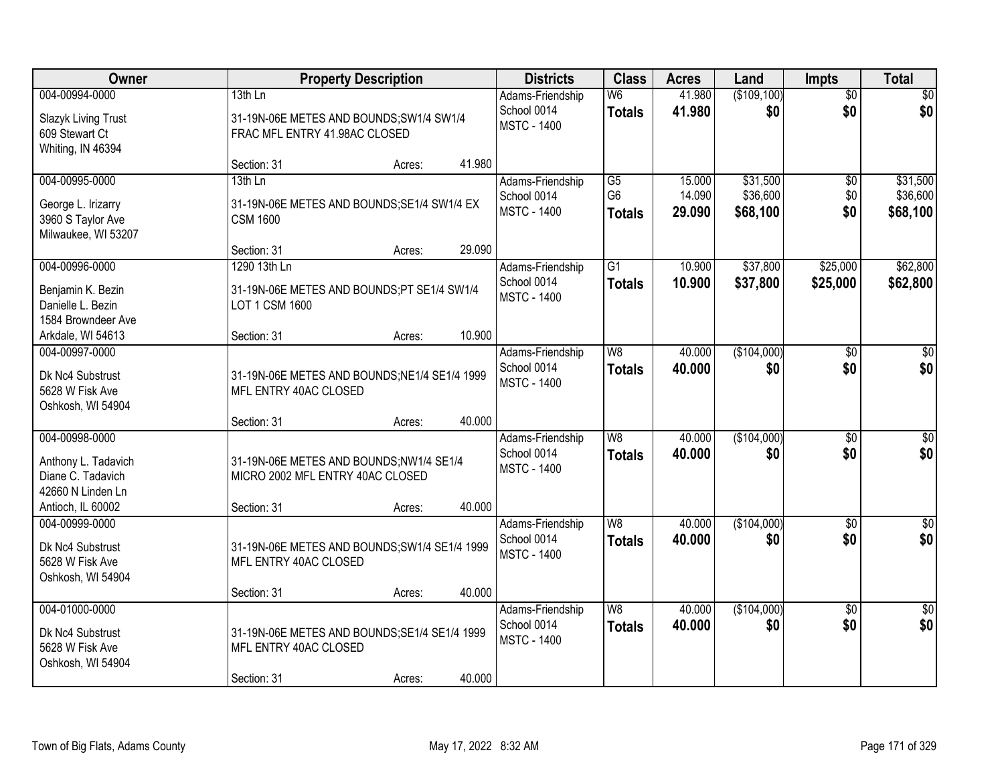| Owner               | <b>Property Description</b>                   | <b>Districts</b>                  | <b>Class</b>    | <b>Acres</b> | Land        | <b>Impts</b>    | <b>Total</b>     |
|---------------------|-----------------------------------------------|-----------------------------------|-----------------|--------------|-------------|-----------------|------------------|
| 004-00994-0000      | 13th Ln                                       | Adams-Friendship                  | W6              | 41.980       | (\$109,100) | $\overline{50}$ | \$0              |
| Slazyk Living Trust | 31-19N-06E METES AND BOUNDS;SW1/4 SW1/4       | School 0014                       | <b>Totals</b>   | 41.980       | \$0         | \$0             | \$0              |
| 609 Stewart Ct      | FRAC MFL ENTRY 41.98AC CLOSED                 | <b>MSTC - 1400</b>                |                 |              |             |                 |                  |
| Whiting, IN 46394   |                                               |                                   |                 |              |             |                 |                  |
|                     | 41.980<br>Section: 31<br>Acres:               |                                   |                 |              |             |                 |                  |
| 004-00995-0000      | 13th Ln                                       | Adams-Friendship                  | $\overline{G5}$ | 15.000       | \$31,500    | \$0             | \$31,500         |
| George L. Irizarry  | 31-19N-06E METES AND BOUNDS; SE1/4 SW1/4 EX   | School 0014                       | G <sub>6</sub>  | 14.090       | \$36,600    | \$0             | \$36,600         |
| 3960 S Taylor Ave   | <b>CSM 1600</b>                               | <b>MSTC - 1400</b>                | <b>Totals</b>   | 29.090       | \$68,100    | \$0             | \$68,100         |
| Milwaukee, WI 53207 |                                               |                                   |                 |              |             |                 |                  |
|                     | 29.090<br>Section: 31<br>Acres:               |                                   |                 |              |             |                 |                  |
| 004-00996-0000      | 1290 13th Ln                                  | Adams-Friendship                  | G1              | 10.900       | \$37,800    | \$25,000        | \$62,800         |
| Benjamin K. Bezin   | 31-19N-06E METES AND BOUNDS;PT SE1/4 SW1/4    | School 0014                       | <b>Totals</b>   | 10.900       | \$37,800    | \$25,000        | \$62,800         |
| Danielle L. Bezin   | LOT 1 CSM 1600                                | <b>MSTC - 1400</b>                |                 |              |             |                 |                  |
| 1584 Browndeer Ave  |                                               |                                   |                 |              |             |                 |                  |
| Arkdale, WI 54613   | 10.900<br>Section: 31<br>Acres:               |                                   |                 |              |             |                 |                  |
| 004-00997-0000      |                                               | Adams-Friendship                  | W <sub>8</sub>  | 40.000       | (\$104,000) | $\sqrt[6]{3}$   | $\sqrt{50}$      |
| Dk Nc4 Substrust    | 31-19N-06E METES AND BOUNDS; NE1/4 SE1/4 1999 | School 0014                       | <b>Totals</b>   | 40.000       | \$0         | \$0             | \$0              |
| 5628 W Fisk Ave     | MFL ENTRY 40AC CLOSED                         | <b>MSTC - 1400</b>                |                 |              |             |                 |                  |
| Oshkosh, WI 54904   |                                               |                                   |                 |              |             |                 |                  |
|                     | 40.000<br>Section: 31<br>Acres:               |                                   |                 |              |             |                 |                  |
| 004-00998-0000      |                                               | Adams-Friendship                  | $\overline{W8}$ | 40.000       | (\$104,000) | $\overline{50}$ | $\sqrt{50}$      |
| Anthony L. Tadavich | 31-19N-06E METES AND BOUNDS;NW1/4 SE1/4       | School 0014                       | <b>Totals</b>   | 40.000       | \$0         | \$0             | \$0              |
| Diane C. Tadavich   | MICRO 2002 MFL ENTRY 40AC CLOSED              | <b>MSTC - 1400</b>                |                 |              |             |                 |                  |
| 42660 N Linden Ln   |                                               |                                   |                 |              |             |                 |                  |
| Antioch, IL 60002   | 40.000<br>Section: 31<br>Acres:               |                                   |                 |              |             |                 |                  |
| 004-00999-0000      |                                               | Adams-Friendship                  | $\overline{W8}$ | 40.000       | (\$104,000) | \$0             | $\overline{\$0}$ |
| Dk Nc4 Substrust    | 31-19N-06E METES AND BOUNDS; SW1/4 SE1/4 1999 | School 0014<br><b>MSTC - 1400</b> | <b>Totals</b>   | 40.000       | \$0         | \$0             | \$0              |
| 5628 W Fisk Ave     | MFL ENTRY 40AC CLOSED                         |                                   |                 |              |             |                 |                  |
| Oshkosh, WI 54904   |                                               |                                   |                 |              |             |                 |                  |
|                     | 40.000<br>Section: 31<br>Acres:               |                                   |                 |              |             |                 |                  |
| 004-01000-0000      |                                               | Adams-Friendship                  | W8              | 40.000       | (\$104,000) | $\overline{30}$ | $\overline{50}$  |
| Dk Nc4 Substrust    | 31-19N-06E METES AND BOUNDS; SE1/4 SE1/4 1999 | School 0014<br><b>MSTC - 1400</b> | <b>Totals</b>   | 40.000       | \$0         | \$0             | \$0              |
| 5628 W Fisk Ave     | MFL ENTRY 40AC CLOSED                         |                                   |                 |              |             |                 |                  |
| Oshkosh, WI 54904   |                                               |                                   |                 |              |             |                 |                  |
|                     | 40.000<br>Section: 31<br>Acres:               |                                   |                 |              |             |                 |                  |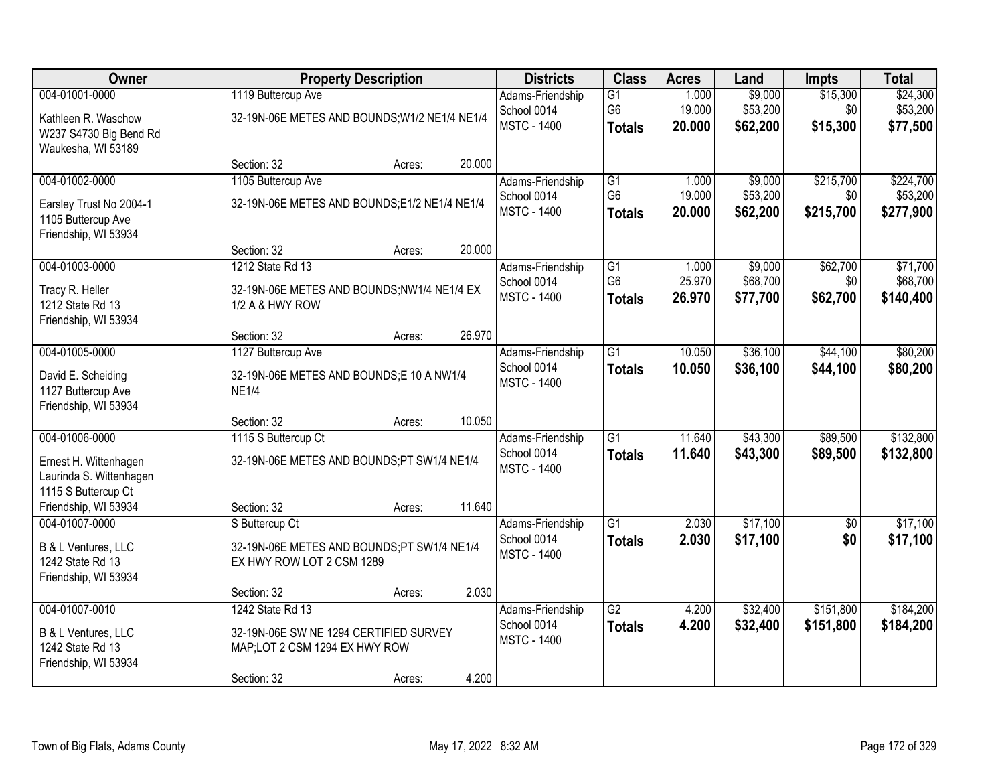| Owner                   |                                               | <b>Property Description</b> |        | <b>Districts</b>   | <b>Class</b>    | <b>Acres</b> | Land     | <b>Impts</b>    | <b>Total</b> |
|-------------------------|-----------------------------------------------|-----------------------------|--------|--------------------|-----------------|--------------|----------|-----------------|--------------|
| 004-01001-0000          | 1119 Buttercup Ave                            |                             |        | Adams-Friendship   | G1              | 1.000        | \$9,000  | \$15,300        | \$24,300     |
| Kathleen R. Waschow     | 32-19N-06E METES AND BOUNDS; W1/2 NE1/4 NE1/4 |                             |        | School 0014        | G <sub>6</sub>  | 19.000       | \$53,200 | \$0             | \$53,200     |
| W237 S4730 Big Bend Rd  |                                               |                             |        | <b>MSTC - 1400</b> | <b>Totals</b>   | 20.000       | \$62,200 | \$15,300        | \$77,500     |
| Waukesha, WI 53189      |                                               |                             |        |                    |                 |              |          |                 |              |
|                         | Section: 32                                   | Acres:                      | 20.000 |                    |                 |              |          |                 |              |
| 004-01002-0000          | 1105 Buttercup Ave                            |                             |        | Adams-Friendship   | G1              | 1.000        | \$9,000  | \$215,700       | \$224,700    |
| Earsley Trust No 2004-1 | 32-19N-06E METES AND BOUNDS;E1/2 NE1/4 NE1/4  |                             |        | School 0014        | G <sub>6</sub>  | 19.000       | \$53,200 | \$0             | \$53,200     |
| 1105 Buttercup Ave      |                                               |                             |        | <b>MSTC - 1400</b> | <b>Totals</b>   | 20.000       | \$62,200 | \$215,700       | \$277,900    |
| Friendship, WI 53934    |                                               |                             |        |                    |                 |              |          |                 |              |
|                         | Section: 32                                   | Acres:                      | 20.000 |                    |                 |              |          |                 |              |
| 004-01003-0000          | 1212 State Rd 13                              |                             |        | Adams-Friendship   | G <sub>1</sub>  | 1.000        | \$9,000  | \$62,700        | \$71,700     |
| Tracy R. Heller         | 32-19N-06E METES AND BOUNDS;NW1/4 NE1/4 EX    |                             |        | School 0014        | G <sub>6</sub>  | 25.970       | \$68,700 | \$0             | \$68,700     |
| 1212 State Rd 13        | 1/2 A & HWY ROW                               |                             |        | <b>MSTC - 1400</b> | <b>Totals</b>   | 26.970       | \$77,700 | \$62,700        | \$140,400    |
| Friendship, WI 53934    |                                               |                             |        |                    |                 |              |          |                 |              |
|                         | Section: 32                                   | Acres:                      | 26.970 |                    |                 |              |          |                 |              |
| 004-01005-0000          | 1127 Buttercup Ave                            |                             |        | Adams-Friendship   | $\overline{G1}$ | 10.050       | \$36,100 | \$44,100        | \$80,200     |
| David E. Scheiding      | 32-19N-06E METES AND BOUNDS;E 10 A NW1/4      |                             |        | School 0014        | <b>Totals</b>   | 10.050       | \$36,100 | \$44,100        | \$80,200     |
| 1127 Buttercup Ave      | <b>NE1/4</b>                                  |                             |        | <b>MSTC - 1400</b> |                 |              |          |                 |              |
| Friendship, WI 53934    |                                               |                             |        |                    |                 |              |          |                 |              |
|                         | Section: 32                                   | Acres:                      | 10.050 |                    |                 |              |          |                 |              |
| 004-01006-0000          | 1115 S Buttercup Ct                           |                             |        | Adams-Friendship   | $\overline{G1}$ | 11.640       | \$43,300 | \$89,500        | \$132,800    |
| Ernest H. Wittenhagen   | 32-19N-06E METES AND BOUNDS;PT SW1/4 NE1/4    |                             |        | School 0014        | <b>Totals</b>   | 11.640       | \$43,300 | \$89,500        | \$132,800    |
| Laurinda S. Wittenhagen |                                               |                             |        | <b>MSTC - 1400</b> |                 |              |          |                 |              |
| 1115 S Buttercup Ct     |                                               |                             |        |                    |                 |              |          |                 |              |
| Friendship, WI 53934    | Section: 32                                   | Acres:                      | 11.640 |                    |                 |              |          |                 |              |
| 004-01007-0000          | S Buttercup Ct                                |                             |        | Adams-Friendship   | $\overline{G1}$ | 2.030        | \$17,100 | $\overline{50}$ | \$17,100     |
| B & L Ventures, LLC     | 32-19N-06E METES AND BOUNDS;PT SW1/4 NE1/4    |                             |        | School 0014        | <b>Totals</b>   | 2.030        | \$17,100 | \$0             | \$17,100     |
| 1242 State Rd 13        | EX HWY ROW LOT 2 CSM 1289                     |                             |        | <b>MSTC - 1400</b> |                 |              |          |                 |              |
| Friendship, WI 53934    |                                               |                             |        |                    |                 |              |          |                 |              |
|                         | Section: 32                                   | Acres:                      | 2.030  |                    |                 |              |          |                 |              |
| 004-01007-0010          | 1242 State Rd 13                              |                             |        | Adams-Friendship   | $\overline{G2}$ | 4.200        | \$32,400 | \$151,800       | \$184,200    |
| B & L Ventures, LLC     | 32-19N-06E SW NE 1294 CERTIFIED SURVEY        |                             |        | School 0014        | <b>Totals</b>   | 4.200        | \$32,400 | \$151,800       | \$184,200    |
| 1242 State Rd 13        | MAP;LOT 2 CSM 1294 EX HWY ROW                 |                             |        | <b>MSTC - 1400</b> |                 |              |          |                 |              |
| Friendship, WI 53934    |                                               |                             |        |                    |                 |              |          |                 |              |
|                         | Section: 32                                   | Acres:                      | 4.200  |                    |                 |              |          |                 |              |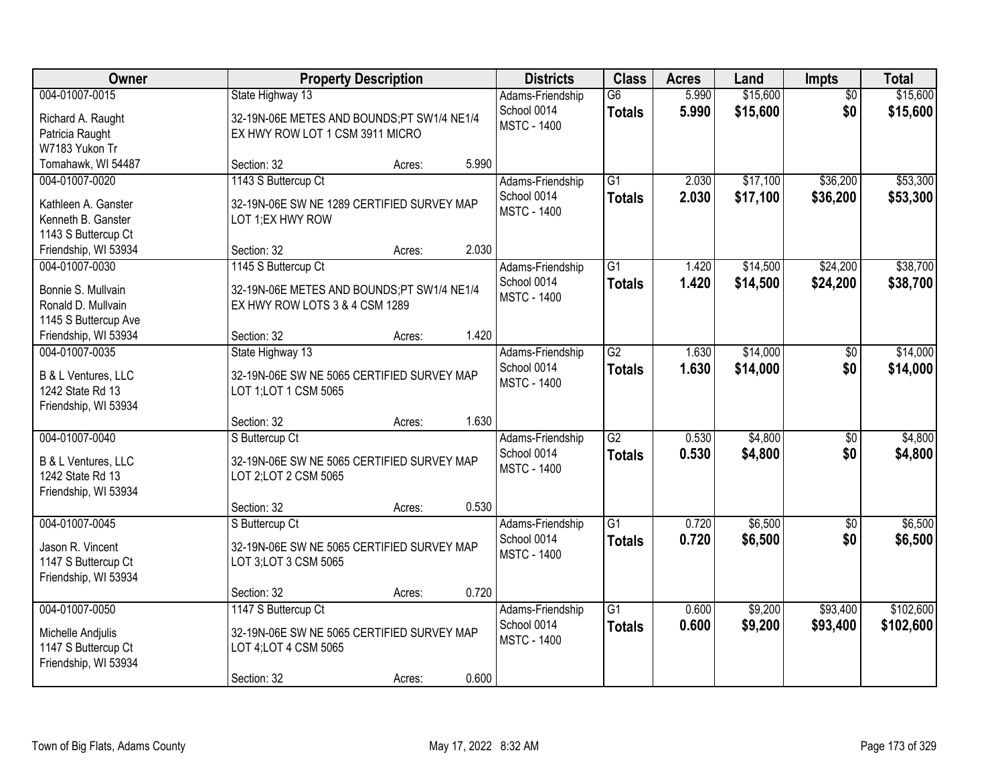| Owner                                                                              |                                                                                                           | <b>Property Description</b> |       | <b>Districts</b>                                      | <b>Class</b>                     | <b>Acres</b>   | Land                 | <b>Impts</b>           | <b>Total</b>           |
|------------------------------------------------------------------------------------|-----------------------------------------------------------------------------------------------------------|-----------------------------|-------|-------------------------------------------------------|----------------------------------|----------------|----------------------|------------------------|------------------------|
| 004-01007-0015<br>Richard A. Raught<br>Patricia Raught<br>W7183 Yukon Tr           | State Highway 13<br>32-19N-06E METES AND BOUNDS;PT SW1/4 NE1/4<br>EX HWY ROW LOT 1 CSM 3911 MICRO         |                             |       | Adams-Friendship<br>School 0014<br><b>MSTC - 1400</b> | $\overline{G6}$<br><b>Totals</b> | 5.990<br>5.990 | \$15,600<br>\$15,600 | $\overline{50}$<br>\$0 | \$15,600<br>\$15,600   |
| Tomahawk, WI 54487                                                                 | Section: 32                                                                                               | Acres:                      | 5.990 |                                                       |                                  |                |                      |                        |                        |
| 004-01007-0020<br>Kathleen A. Ganster<br>Kenneth B. Ganster<br>1143 S Buttercup Ct | 1143 S Buttercup Ct<br>32-19N-06E SW NE 1289 CERTIFIED SURVEY MAP<br>LOT 1;EX HWY ROW                     |                             | 2.030 | Adams-Friendship<br>School 0014<br><b>MSTC - 1400</b> | $\overline{G1}$<br><b>Totals</b> | 2.030<br>2.030 | \$17,100<br>\$17,100 | \$36,200<br>\$36,200   | \$53,300<br>\$53,300   |
| Friendship, WI 53934<br>004-01007-0030                                             | Section: 32<br>1145 S Buttercup Ct                                                                        | Acres:                      |       | Adams-Friendship                                      | G1                               | 1.420          | \$14,500             | \$24,200               | \$38,700               |
| Bonnie S. Mullvain<br>Ronald D. Mullvain<br>1145 S Buttercup Ave                   | 32-19N-06E METES AND BOUNDS:PT SW1/4 NE1/4<br>EX HWY ROW LOTS 3 & 4 CSM 1289                              |                             |       | School 0014<br><b>MSTC - 1400</b>                     | <b>Totals</b>                    | 1.420          | \$14,500             | \$24,200               | \$38,700               |
| Friendship, WI 53934                                                               | Section: 32                                                                                               | Acres:                      | 1.420 |                                                       |                                  |                |                      |                        |                        |
| 004-01007-0035<br>B & L Ventures, LLC<br>1242 State Rd 13<br>Friendship, WI 53934  | State Highway 13<br>32-19N-06E SW NE 5065 CERTIFIED SURVEY MAP<br>LOT 1; LOT 1 CSM 5065                   |                             |       | Adams-Friendship<br>School 0014<br><b>MSTC - 1400</b> | $\overline{G2}$<br><b>Totals</b> | 1.630<br>1.630 | \$14,000<br>\$14,000 | \$0<br>\$0             | \$14,000<br>\$14,000   |
|                                                                                    | Section: 32                                                                                               | Acres:                      | 1.630 |                                                       |                                  |                |                      |                        |                        |
| 004-01007-0040<br>B & L Ventures, LLC<br>1242 State Rd 13<br>Friendship, WI 53934  | S Buttercup Ct<br>32-19N-06E SW NE 5065 CERTIFIED SURVEY MAP<br>LOT 2; LOT 2 CSM 5065                     |                             |       | Adams-Friendship<br>School 0014<br><b>MSTC - 1400</b> | $\overline{G2}$<br><b>Totals</b> | 0.530<br>0.530 | \$4,800<br>\$4,800   | $\overline{50}$<br>\$0 | \$4,800<br>\$4,800     |
|                                                                                    | Section: 32                                                                                               | Acres:                      | 0.530 |                                                       |                                  |                |                      |                        |                        |
| 004-01007-0045<br>Jason R. Vincent<br>1147 S Buttercup Ct<br>Friendship, WI 53934  | S Buttercup Ct<br>32-19N-06E SW NE 5065 CERTIFIED SURVEY MAP<br>LOT 3; LOT 3 CSM 5065                     |                             |       | Adams-Friendship<br>School 0014<br><b>MSTC - 1400</b> | $\overline{G1}$<br><b>Totals</b> | 0.720<br>0.720 | \$6,500<br>\$6,500   | $\overline{50}$<br>\$0 | \$6,500<br>\$6,500     |
|                                                                                    | Section: 32                                                                                               | Acres:                      | 0.720 |                                                       |                                  |                |                      |                        |                        |
| 004-01007-0050<br>Michelle Andjulis<br>1147 S Buttercup Ct<br>Friendship, WI 53934 | 1147 S Buttercup Ct<br>32-19N-06E SW NE 5065 CERTIFIED SURVEY MAP<br>LOT 4; LOT 4 CSM 5065<br>Section: 32 | Acres:                      | 0.600 | Adams-Friendship<br>School 0014<br><b>MSTC - 1400</b> | $\overline{G1}$<br><b>Totals</b> | 0.600<br>0.600 | \$9,200<br>\$9,200   | \$93,400<br>\$93,400   | \$102,600<br>\$102,600 |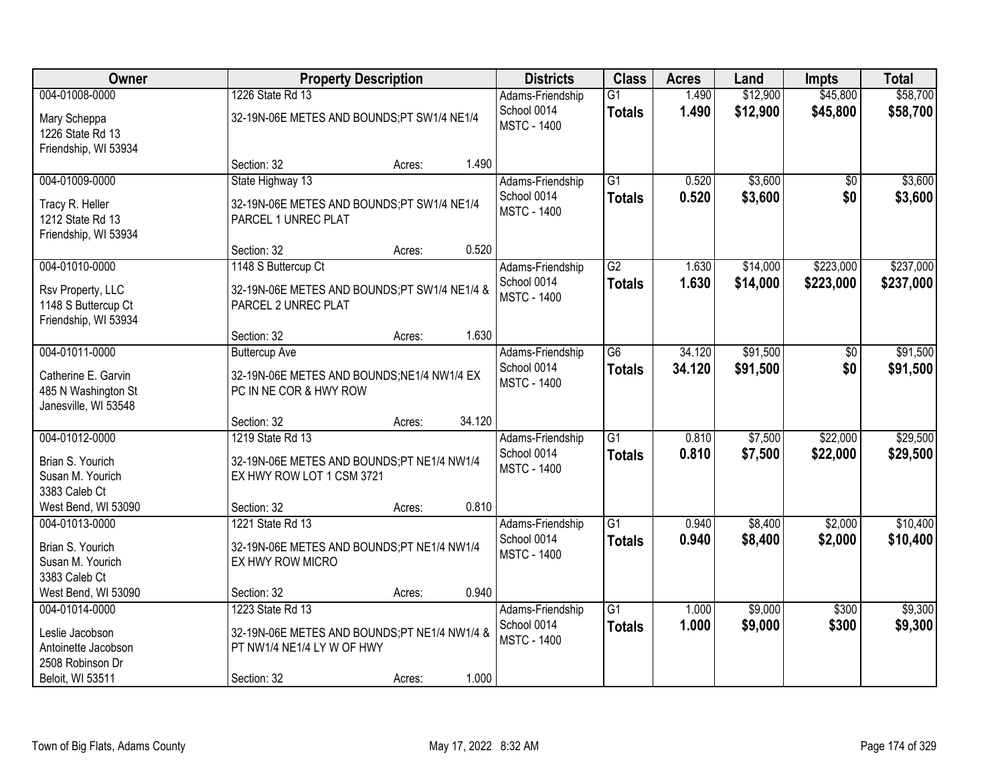| Owner                                                                                            | <b>Property Description</b>                                                                                   |                  | <b>Districts</b>                                      | <b>Class</b>                     | <b>Acres</b>     | Land                 | <b>Impts</b>         | <b>Total</b>         |
|--------------------------------------------------------------------------------------------------|---------------------------------------------------------------------------------------------------------------|------------------|-------------------------------------------------------|----------------------------------|------------------|----------------------|----------------------|----------------------|
| 004-01008-0000<br>Mary Scheppa<br>1226 State Rd 13<br>Friendship, WI 53934                       | 1226 State Rd 13<br>32-19N-06E METES AND BOUNDS;PT SW1/4 NE1/4                                                |                  | Adams-Friendship<br>School 0014<br><b>MSTC - 1400</b> | $\overline{G1}$<br><b>Totals</b> | 1.490<br>1.490   | \$12,900<br>\$12,900 | \$45,800<br>\$45,800 | \$58,700<br>\$58,700 |
|                                                                                                  | Section: 32                                                                                                   | 1.490<br>Acres:  |                                                       |                                  |                  |                      |                      |                      |
| 004-01009-0000<br>Tracy R. Heller<br>1212 State Rd 13<br>Friendship, WI 53934                    | State Highway 13<br>32-19N-06E METES AND BOUNDS;PT SW1/4 NE1/4<br>PARCEL 1 UNREC PLAT                         |                  | Adams-Friendship<br>School 0014<br><b>MSTC - 1400</b> | $\overline{G1}$<br><b>Totals</b> | 0.520<br>0.520   | \$3,600<br>\$3,600   | \$0<br>\$0           | \$3,600<br>\$3,600   |
| 004-01010-0000                                                                                   | Section: 32<br>1148 S Buttercup Ct                                                                            | 0.520<br>Acres:  | Adams-Friendship                                      | G2                               | 1.630            | \$14,000             | \$223,000            | \$237,000            |
| Rsv Property, LLC<br>1148 S Buttercup Ct<br>Friendship, WI 53934                                 | 32-19N-06E METES AND BOUNDS;PT SW1/4 NE1/4 &<br>PARCEL 2 UNREC PLAT                                           |                  | School 0014<br><b>MSTC - 1400</b>                     | <b>Totals</b>                    | 1.630            | \$14,000             | \$223,000            | \$237,000            |
|                                                                                                  | Section: 32                                                                                                   | 1.630<br>Acres:  |                                                       |                                  |                  |                      |                      |                      |
| 004-01011-0000<br>Catherine E. Garvin<br>485 N Washington St<br>Janesville, WI 53548             | <b>Buttercup Ave</b><br>32-19N-06E METES AND BOUNDS;NE1/4 NW1/4 EX<br>PC IN NE COR & HWY ROW                  |                  | Adams-Friendship<br>School 0014<br><b>MSTC - 1400</b> | G <sub>6</sub><br><b>Totals</b>  | 34.120<br>34.120 | \$91,500<br>\$91,500 | \$0<br>\$0           | \$91,500<br>\$91,500 |
|                                                                                                  | Section: 32                                                                                                   | 34.120<br>Acres: |                                                       |                                  |                  |                      |                      |                      |
| 004-01012-0000<br>Brian S. Yourich<br>Susan M. Yourich<br>3383 Caleb Ct                          | 1219 State Rd 13<br>32-19N-06E METES AND BOUNDS;PT NE1/4 NW1/4<br>EX HWY ROW LOT 1 CSM 3721                   |                  | Adams-Friendship<br>School 0014<br><b>MSTC - 1400</b> | $\overline{G1}$<br><b>Totals</b> | 0.810<br>0.810   | \$7,500<br>\$7,500   | \$22,000<br>\$22,000 | \$29,500<br>\$29,500 |
| West Bend, WI 53090<br>004-01013-0000                                                            | Section: 32<br>1221 State Rd 13                                                                               | 0.810<br>Acres:  | Adams-Friendship                                      | $\overline{G1}$                  | 0.940            | \$8,400              | \$2,000              | \$10,400             |
| Brian S. Yourich<br>Susan M. Yourich<br>3383 Caleb Ct                                            | 32-19N-06E METES AND BOUNDS;PT NE1/4 NW1/4<br>EX HWY ROW MICRO                                                |                  | School 0014<br><b>MSTC - 1400</b>                     | <b>Totals</b>                    | 0.940            | \$8,400              | \$2,000              | \$10,400             |
| West Bend, WI 53090                                                                              | Section: 32                                                                                                   | 0.940<br>Acres:  |                                                       |                                  |                  |                      |                      |                      |
| 004-01014-0000<br>Leslie Jacobson<br>Antoinette Jacobson<br>2508 Robinson Dr<br>Beloit, WI 53511 | 1223 State Rd 13<br>32-19N-06E METES AND BOUNDS;PT NE1/4 NW1/4 &<br>PT NW1/4 NE1/4 LY W OF HWY<br>Section: 32 | 1.000<br>Acres:  | Adams-Friendship<br>School 0014<br><b>MSTC - 1400</b> | $\overline{G1}$<br><b>Totals</b> | 1.000<br>1.000   | \$9,000<br>\$9,000   | \$300<br>\$300       | \$9,300<br>\$9,300   |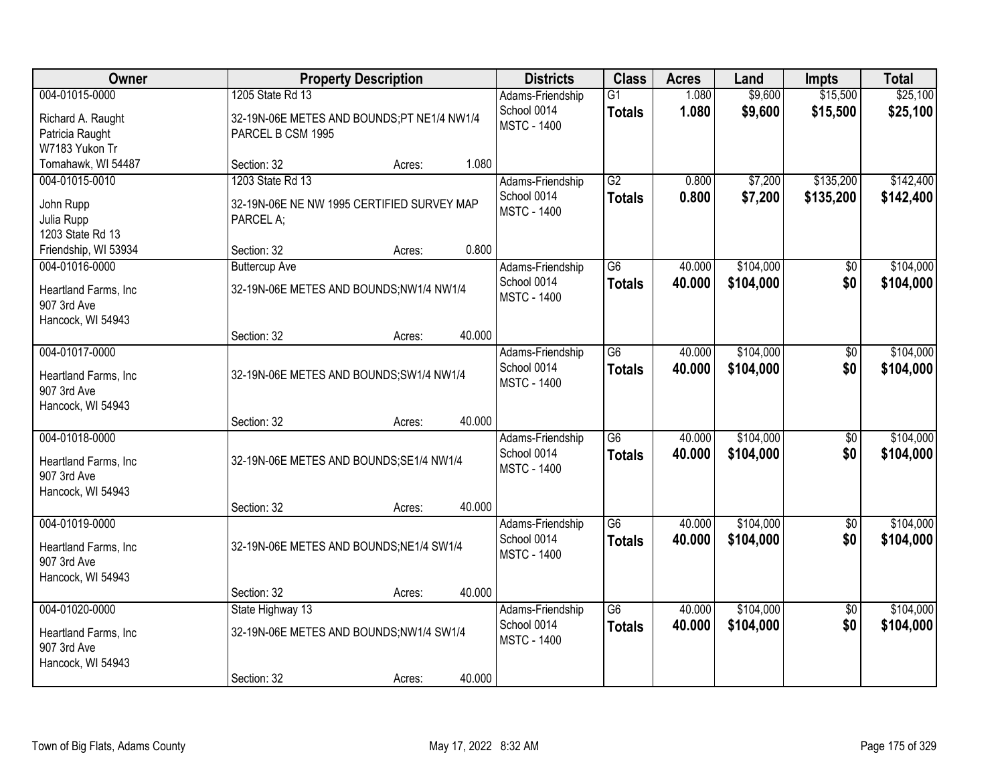| Owner                                                                      | <b>Property Description</b>                                                         |        |        | <b>Districts</b>                                      | <b>Class</b>                     | <b>Acres</b>     | Land                   | <b>Impts</b>           | <b>Total</b>           |
|----------------------------------------------------------------------------|-------------------------------------------------------------------------------------|--------|--------|-------------------------------------------------------|----------------------------------|------------------|------------------------|------------------------|------------------------|
| 004-01015-0000<br>Richard A. Raught<br>Patricia Raught                     | 1205 State Rd 13<br>32-19N-06E METES AND BOUNDS;PT NE1/4 NW1/4<br>PARCEL B CSM 1995 |        |        | Adams-Friendship<br>School 0014<br><b>MSTC - 1400</b> | $\overline{G1}$<br><b>Totals</b> | 1.080<br>1.080   | \$9,600<br>\$9,600     | \$15,500<br>\$15,500   | \$25,100<br>\$25,100   |
| W7183 Yukon Tr<br>Tomahawk, WI 54487                                       | Section: 32                                                                         | Acres: | 1.080  |                                                       |                                  |                  |                        |                        |                        |
| 004-01015-0010<br>John Rupp<br>Julia Rupp<br>1203 State Rd 13              | 1203 State Rd 13<br>32-19N-06E NE NW 1995 CERTIFIED SURVEY MAP<br>PARCEL A;         |        |        | Adams-Friendship<br>School 0014<br><b>MSTC - 1400</b> | G2<br><b>Totals</b>              | 0.800<br>0.800   | \$7,200<br>\$7,200     | \$135,200<br>\$135,200 | \$142,400<br>\$142,400 |
| Friendship, WI 53934                                                       | Section: 32                                                                         | Acres: | 0.800  |                                                       |                                  |                  |                        |                        |                        |
| 004-01016-0000<br>Heartland Farms, Inc<br>907 3rd Ave<br>Hancock, WI 54943 | <b>Buttercup Ave</b><br>32-19N-06E METES AND BOUNDS;NW1/4 NW1/4                     |        |        | Adams-Friendship<br>School 0014<br><b>MSTC - 1400</b> | G <sub>6</sub><br><b>Totals</b>  | 40.000<br>40.000 | \$104,000<br>\$104,000 | \$0<br>\$0             | \$104,000<br>\$104,000 |
|                                                                            | Section: 32                                                                         | Acres: | 40.000 |                                                       |                                  |                  |                        |                        |                        |
| 004-01017-0000<br>Heartland Farms, Inc<br>907 3rd Ave                      | 32-19N-06E METES AND BOUNDS; SW1/4 NW1/4                                            |        |        | Adams-Friendship<br>School 0014<br><b>MSTC - 1400</b> | $\overline{G6}$<br><b>Totals</b> | 40.000<br>40.000 | \$104,000<br>\$104,000 | $\overline{50}$<br>\$0 | \$104,000<br>\$104,000 |
| Hancock, WI 54943                                                          | Section: 32                                                                         | Acres: | 40.000 |                                                       |                                  |                  |                        |                        |                        |
| 004-01018-0000<br>Heartland Farms, Inc<br>907 3rd Ave<br>Hancock, WI 54943 | 32-19N-06E METES AND BOUNDS; SE1/4 NW1/4                                            |        |        | Adams-Friendship<br>School 0014<br><b>MSTC - 1400</b> | $\overline{G6}$<br><b>Totals</b> | 40.000<br>40,000 | \$104,000<br>\$104,000 | \$0<br>\$0             | \$104,000<br>\$104,000 |
|                                                                            | Section: 32                                                                         | Acres: | 40.000 |                                                       |                                  |                  |                        |                        |                        |
| 004-01019-0000<br>Heartland Farms, Inc<br>907 3rd Ave                      | 32-19N-06E METES AND BOUNDS; NE1/4 SW1/4                                            |        |        | Adams-Friendship<br>School 0014<br><b>MSTC - 1400</b> | G <sub>6</sub><br><b>Totals</b>  | 40.000<br>40.000 | \$104,000<br>\$104,000 | $\overline{50}$<br>\$0 | \$104,000<br>\$104,000 |
| Hancock, WI 54943                                                          | Section: 32                                                                         | Acres: | 40.000 |                                                       |                                  |                  |                        |                        |                        |
| 004-01020-0000<br>Heartland Farms, Inc<br>907 3rd Ave                      | State Highway 13<br>32-19N-06E METES AND BOUNDS;NW1/4 SW1/4                         |        |        | Adams-Friendship<br>School 0014<br><b>MSTC - 1400</b> | $\overline{G6}$<br><b>Totals</b> | 40.000<br>40.000 | \$104,000<br>\$104,000 | $\overline{50}$<br>\$0 | \$104,000<br>\$104,000 |
| Hancock, WI 54943                                                          | Section: 32                                                                         | Acres: | 40.000 |                                                       |                                  |                  |                        |                        |                        |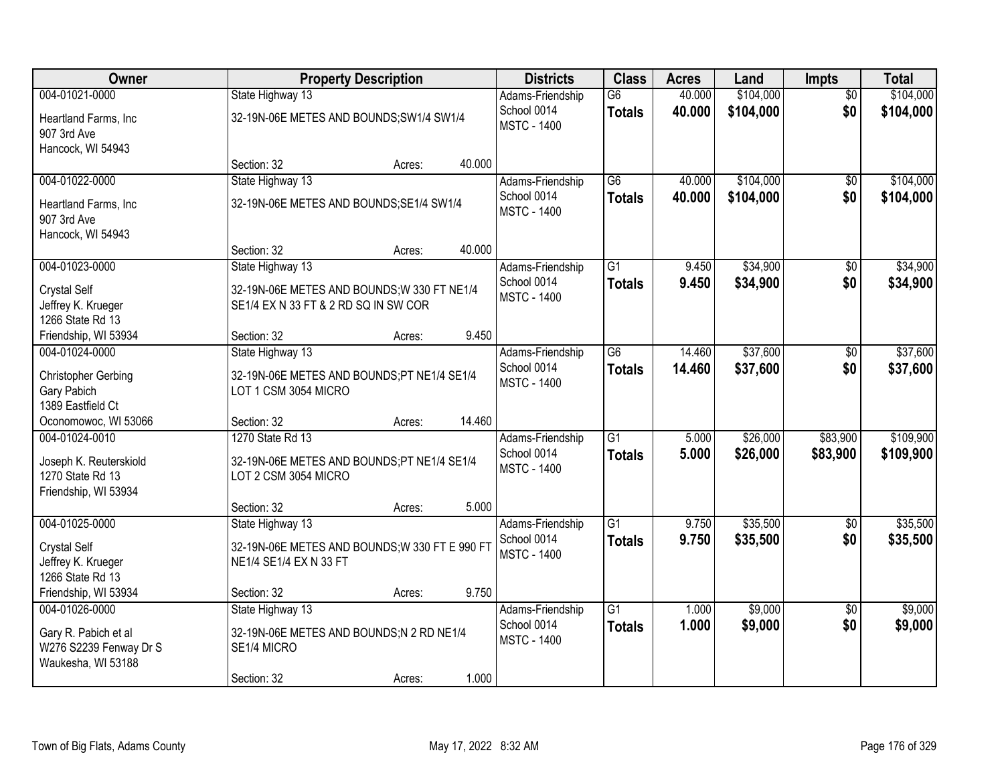| Owner                                      |                                                                    | <b>Property Description</b> |        | <b>Districts</b>                  | <b>Class</b>    | <b>Acres</b> | Land      | <b>Impts</b>    | <b>Total</b> |
|--------------------------------------------|--------------------------------------------------------------------|-----------------------------|--------|-----------------------------------|-----------------|--------------|-----------|-----------------|--------------|
| 004-01021-0000                             | State Highway 13                                                   |                             |        | Adams-Friendship                  | $\overline{G6}$ | 40.000       | \$104,000 | $\overline{50}$ | \$104,000    |
| Heartland Farms, Inc                       | 32-19N-06E METES AND BOUNDS; SW1/4 SW1/4                           |                             |        | School 0014                       | <b>Totals</b>   | 40.000       | \$104,000 | \$0             | \$104,000    |
| 907 3rd Ave                                |                                                                    |                             |        | <b>MSTC - 1400</b>                |                 |              |           |                 |              |
| Hancock, WI 54943                          |                                                                    |                             |        |                                   |                 |              |           |                 |              |
|                                            | Section: 32                                                        | Acres:                      | 40.000 |                                   |                 |              |           |                 |              |
| 004-01022-0000                             | State Highway 13                                                   |                             |        | Adams-Friendship                  | $\overline{G6}$ | 40.000       | \$104,000 | \$0             | \$104,000    |
| Heartland Farms, Inc                       | 32-19N-06E METES AND BOUNDS; SE1/4 SW1/4                           |                             |        | School 0014<br><b>MSTC - 1400</b> | <b>Totals</b>   | 40.000       | \$104,000 | \$0             | \$104,000    |
| 907 3rd Ave                                |                                                                    |                             |        |                                   |                 |              |           |                 |              |
| Hancock, WI 54943                          |                                                                    |                             |        |                                   |                 |              |           |                 |              |
| 004-01023-0000                             | Section: 32                                                        | Acres:                      | 40.000 |                                   | $\overline{G1}$ | 9.450        | \$34,900  |                 | \$34,900     |
|                                            | State Highway 13                                                   |                             |        | Adams-Friendship<br>School 0014   | <b>Totals</b>   | 9.450        | \$34,900  | \$0<br>\$0      | \$34,900     |
| <b>Crystal Self</b>                        | 32-19N-06E METES AND BOUNDS; W 330 FT NE1/4                        |                             |        | <b>MSTC - 1400</b>                |                 |              |           |                 |              |
| Jeffrey K. Krueger                         | SE1/4 EX N 33 FT & 2 RD SQ IN SW COR                               |                             |        |                                   |                 |              |           |                 |              |
| 1266 State Rd 13<br>Friendship, WI 53934   | Section: 32                                                        | Acres:                      | 9.450  |                                   |                 |              |           |                 |              |
| 004-01024-0000                             | State Highway 13                                                   |                             |        | Adams-Friendship                  | G <sub>6</sub>  | 14.460       | \$37,600  | \$0             | \$37,600     |
|                                            |                                                                    |                             |        | School 0014                       | <b>Totals</b>   | 14.460       | \$37,600  | \$0             | \$37,600     |
| <b>Christopher Gerbing</b>                 | 32-19N-06E METES AND BOUNDS;PT NE1/4 SE1/4                         |                             |        | <b>MSTC - 1400</b>                |                 |              |           |                 |              |
| Gary Pabich<br>1389 Eastfield Ct           | LOT 1 CSM 3054 MICRO                                               |                             |        |                                   |                 |              |           |                 |              |
| Oconomowoc, WI 53066                       | Section: 32                                                        | Acres:                      | 14.460 |                                   |                 |              |           |                 |              |
| 004-01024-0010                             | 1270 State Rd 13                                                   |                             |        | Adams-Friendship                  | $\overline{G1}$ | 5.000        | \$26,000  | \$83,900        | \$109,900    |
|                                            |                                                                    |                             |        | School 0014                       | <b>Totals</b>   | 5.000        | \$26,000  | \$83,900        | \$109,900    |
| Joseph K. Reuterskiold<br>1270 State Rd 13 | 32-19N-06E METES AND BOUNDS;PT NE1/4 SE1/4<br>LOT 2 CSM 3054 MICRO |                             |        | <b>MSTC - 1400</b>                |                 |              |           |                 |              |
| Friendship, WI 53934                       |                                                                    |                             |        |                                   |                 |              |           |                 |              |
|                                            | Section: 32                                                        | Acres:                      | 5.000  |                                   |                 |              |           |                 |              |
| 004-01025-0000                             | State Highway 13                                                   |                             |        | Adams-Friendship                  | $\overline{G1}$ | 9.750        | \$35,500  | $\overline{50}$ | \$35,500     |
| <b>Crystal Self</b>                        | 32-19N-06E METES AND BOUNDS; W 330 FT E 990 FT                     |                             |        | School 0014                       | <b>Totals</b>   | 9.750        | \$35,500  | \$0             | \$35,500     |
| Jeffrey K. Krueger                         | NE1/4 SE1/4 EX N 33 FT                                             |                             |        | <b>MSTC - 1400</b>                |                 |              |           |                 |              |
| 1266 State Rd 13                           |                                                                    |                             |        |                                   |                 |              |           |                 |              |
| Friendship, WI 53934                       | Section: 32                                                        | Acres:                      | 9.750  |                                   |                 |              |           |                 |              |
| 004-01026-0000                             | State Highway 13                                                   |                             |        | Adams-Friendship                  | $\overline{G1}$ | 1.000        | \$9,000   | $\overline{30}$ | \$9,000      |
| Gary R. Pabich et al                       | 32-19N-06E METES AND BOUNDS;N 2 RD NE1/4                           |                             |        | School 0014                       | <b>Totals</b>   | 1.000        | \$9,000   | \$0             | \$9,000      |
| W276 S2239 Fenway Dr S                     | SE1/4 MICRO                                                        |                             |        | <b>MSTC - 1400</b>                |                 |              |           |                 |              |
| Waukesha, WI 53188                         |                                                                    |                             |        |                                   |                 |              |           |                 |              |
|                                            | Section: 32                                                        | Acres:                      | 1.000  |                                   |                 |              |           |                 |              |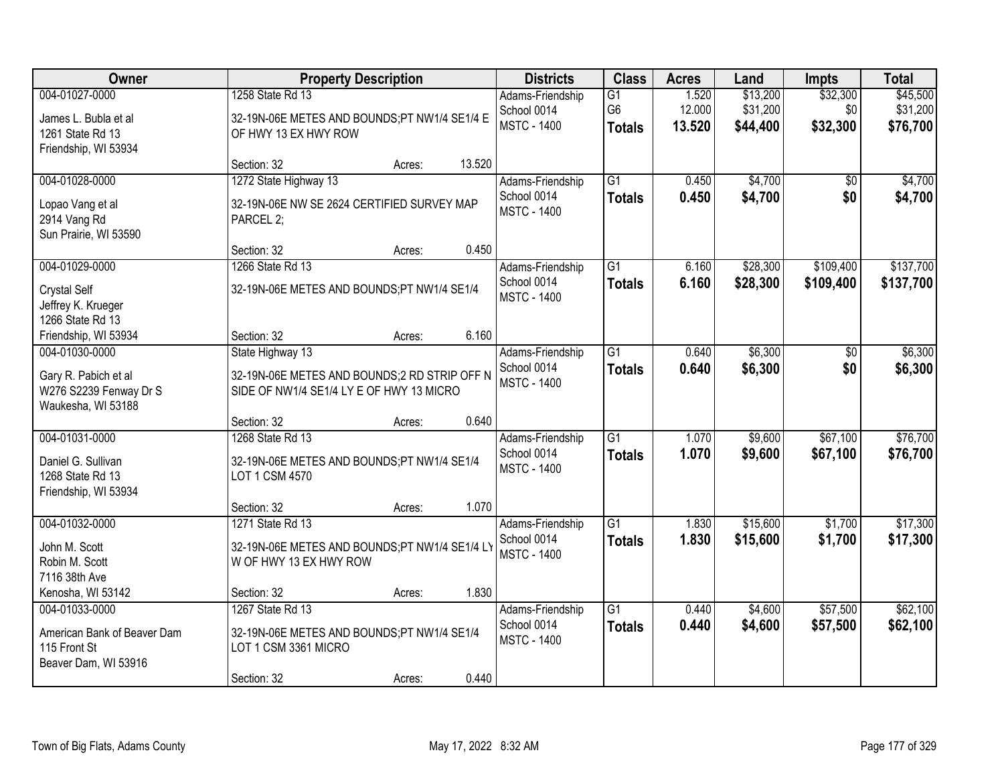| Owner                                                                                  |                                                                                                              | <b>Property Description</b>                                                                |        | <b>Districts</b>                                      | <b>Class</b>                          | <b>Acres</b>              | Land                             | <b>Impts</b>                | <b>Total</b>                     |
|----------------------------------------------------------------------------------------|--------------------------------------------------------------------------------------------------------------|--------------------------------------------------------------------------------------------|--------|-------------------------------------------------------|---------------------------------------|---------------------------|----------------------------------|-----------------------------|----------------------------------|
| 004-01027-0000<br>James L. Bubla et al<br>1261 State Rd 13<br>Friendship, WI 53934     | 1258 State Rd 13                                                                                             | 32-19N-06E METES AND BOUNDS;PT NW1/4 SE1/4 E<br><b>MSTC - 1400</b><br>OF HWY 13 EX HWY ROW |        |                                                       | G1<br>G <sub>6</sub><br><b>Totals</b> | 1.520<br>12.000<br>13.520 | \$13,200<br>\$31,200<br>\$44,400 | \$32,300<br>\$0<br>\$32,300 | \$45,500<br>\$31,200<br>\$76,700 |
|                                                                                        | Section: 32                                                                                                  | Acres:                                                                                     | 13.520 |                                                       |                                       |                           |                                  |                             |                                  |
| 004-01028-0000<br>Lopao Vang et al<br>2914 Vang Rd<br>Sun Prairie, WI 53590            | 1272 State Highway 13<br>32-19N-06E NW SE 2624 CERTIFIED SURVEY MAP<br>PARCEL 2;                             |                                                                                            |        | Adams-Friendship<br>School 0014<br><b>MSTC - 1400</b> | $\overline{G1}$<br><b>Totals</b>      | 0.450<br>0.450            | \$4,700<br>\$4,700               | \$0<br>\$0                  | \$4,700<br>\$4,700               |
|                                                                                        | Section: 32                                                                                                  | Acres:                                                                                     | 0.450  |                                                       |                                       |                           |                                  |                             |                                  |
| 004-01029-0000<br><b>Crystal Self</b><br>Jeffrey K. Krueger<br>1266 State Rd 13        | 1266 State Rd 13<br>32-19N-06E METES AND BOUNDS;PT NW1/4 SE1/4                                               |                                                                                            |        | Adams-Friendship<br>School 0014<br><b>MSTC - 1400</b> | G1<br><b>Totals</b>                   | 6.160<br>6.160            | \$28,300<br>\$28,300             | \$109,400<br>\$109,400      | \$137,700<br>\$137,700           |
| Friendship, WI 53934                                                                   | Section: 32                                                                                                  | Acres:                                                                                     | 6.160  |                                                       |                                       |                           |                                  |                             |                                  |
| 004-01030-0000<br>Gary R. Pabich et al<br>W276 S2239 Fenway Dr S<br>Waukesha, WI 53188 | State Highway 13<br>32-19N-06E METES AND BOUNDS;2 RD STRIP OFF N<br>SIDE OF NW1/4 SE1/4 LY E OF HWY 13 MICRO |                                                                                            |        | Adams-Friendship<br>School 0014<br><b>MSTC - 1400</b> | $\overline{G1}$<br><b>Totals</b>      | 0.640<br>0.640            | \$6,300<br>\$6,300               | \$0<br>\$0                  | \$6,300<br>\$6,300               |
|                                                                                        | Section: 32                                                                                                  | Acres:                                                                                     | 0.640  |                                                       |                                       |                           |                                  |                             |                                  |
| 004-01031-0000<br>Daniel G. Sullivan<br>1268 State Rd 13<br>Friendship, WI 53934       | 1268 State Rd 13<br>32-19N-06E METES AND BOUNDS;PT NW1/4 SE1/4<br>LOT 1 CSM 4570                             |                                                                                            |        | Adams-Friendship<br>School 0014<br><b>MSTC - 1400</b> | $\overline{G1}$<br><b>Totals</b>      | 1.070<br>1.070            | \$9,600<br>\$9,600               | \$67,100<br>\$67,100        | \$76,700<br>\$76,700             |
|                                                                                        | Section: 32                                                                                                  | Acres:                                                                                     | 1.070  |                                                       |                                       |                           |                                  |                             |                                  |
| 004-01032-0000<br>John M. Scott<br>Robin M. Scott<br>7116 38th Ave                     | 1271 State Rd 13<br>32-19N-06E METES AND BOUNDS;PT NW1/4 SE1/4 LY<br>W OF HWY 13 EX HWY ROW                  |                                                                                            |        | Adams-Friendship<br>School 0014<br><b>MSTC - 1400</b> | $\overline{G1}$<br><b>Totals</b>      | 1.830<br>1.830            | \$15,600<br>\$15,600             | \$1,700<br>\$1,700          | \$17,300<br>\$17,300             |
| Kenosha, WI 53142                                                                      | Section: 32                                                                                                  | Acres:                                                                                     | 1.830  |                                                       |                                       |                           |                                  |                             |                                  |
| 004-01033-0000<br>American Bank of Beaver Dam<br>115 Front St<br>Beaver Dam, WI 53916  | 1267 State Rd 13<br>32-19N-06E METES AND BOUNDS;PT NW1/4 SE1/4<br>LOT 1 CSM 3361 MICRO<br>Section: 32        | Acres:                                                                                     | 0.440  | Adams-Friendship<br>School 0014<br><b>MSTC - 1400</b> | $\overline{G1}$<br><b>Totals</b>      | 0.440<br>0.440            | \$4,600<br>\$4,600               | \$57,500<br>\$57,500        | \$62,100<br>\$62,100             |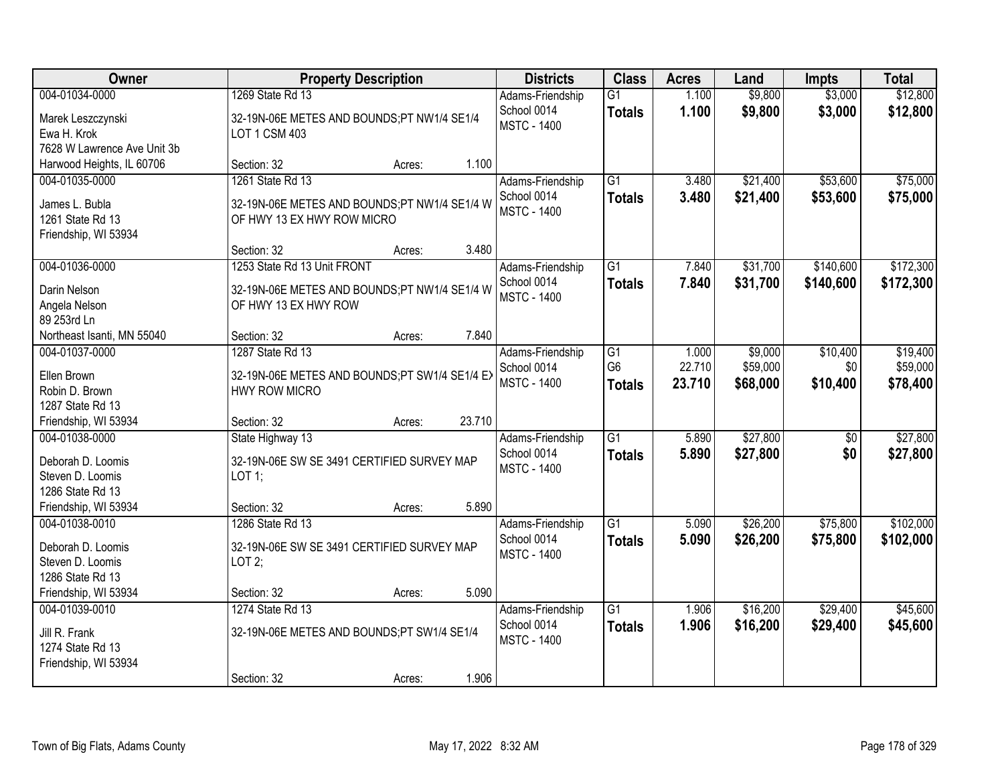| <b>Owner</b>                         | <b>Property Description</b>                   |                  | <b>Districts</b>                  | <b>Class</b>    | <b>Acres</b> | Land     | <b>Impts</b> | <b>Total</b> |
|--------------------------------------|-----------------------------------------------|------------------|-----------------------------------|-----------------|--------------|----------|--------------|--------------|
| 004-01034-0000                       | 1269 State Rd 13                              |                  | Adams-Friendship                  | $\overline{G1}$ | 1.100        | \$9,800  | \$3,000      | \$12,800     |
| Marek Leszczynski                    | 32-19N-06E METES AND BOUNDS;PT NW1/4 SE1/4    |                  | School 0014<br><b>MSTC - 1400</b> | <b>Totals</b>   | 1.100        | \$9,800  | \$3,000      | \$12,800     |
| Ewa H. Krok                          | LOT 1 CSM 403                                 |                  |                                   |                 |              |          |              |              |
| 7628 W Lawrence Ave Unit 3b          |                                               |                  |                                   |                 |              |          |              |              |
| Harwood Heights, IL 60706            | Section: 32                                   | 1.100<br>Acres:  |                                   |                 |              |          |              |              |
| 004-01035-0000                       | 1261 State Rd 13                              |                  | Adams-Friendship                  | $\overline{G1}$ | 3.480        | \$21,400 | \$53,600     | \$75,000     |
| James L. Bubla                       | 32-19N-06E METES AND BOUNDS;PT NW1/4 SE1/4 W  |                  | School 0014                       | <b>Totals</b>   | 3.480        | \$21,400 | \$53,600     | \$75,000     |
| 1261 State Rd 13                     | OF HWY 13 EX HWY ROW MICRO                    |                  | <b>MSTC - 1400</b>                |                 |              |          |              |              |
| Friendship, WI 53934                 |                                               |                  |                                   |                 |              |          |              |              |
|                                      | Section: 32                                   | 3.480<br>Acres:  |                                   |                 |              |          |              |              |
| 004-01036-0000                       | 1253 State Rd 13 Unit FRONT                   |                  | Adams-Friendship                  | G1              | 7.840        | \$31,700 | \$140,600    | \$172,300    |
| Darin Nelson                         | 32-19N-06E METES AND BOUNDS;PT NW1/4 SE1/4 W  |                  | School 0014                       | <b>Totals</b>   | 7.840        | \$31,700 | \$140,600    | \$172,300    |
| Angela Nelson                        | OF HWY 13 EX HWY ROW                          |                  | <b>MSTC - 1400</b>                |                 |              |          |              |              |
| 89 253rd Ln                          |                                               |                  |                                   |                 |              |          |              |              |
| Northeast Isanti, MN 55040           | Section: 32                                   | 7.840<br>Acres:  |                                   |                 |              |          |              |              |
| 004-01037-0000                       | 1287 State Rd 13                              |                  | Adams-Friendship                  | $\overline{G1}$ | 1.000        | \$9,000  | \$10,400     | \$19,400     |
| Ellen Brown                          | 32-19N-06E METES AND BOUNDS;PT SW1/4 SE1/4 EX |                  | School 0014                       | G <sub>6</sub>  | 22.710       | \$59,000 | \$0          | \$59,000     |
| Robin D. Brown                       | <b>HWY ROW MICRO</b>                          |                  | <b>MSTC - 1400</b>                | <b>Totals</b>   | 23.710       | \$68,000 | \$10,400     | \$78,400     |
| 1287 State Rd 13                     |                                               |                  |                                   |                 |              |          |              |              |
| Friendship, WI 53934                 | Section: 32                                   | 23.710<br>Acres: |                                   |                 |              |          |              |              |
| 004-01038-0000                       | State Highway 13                              |                  | Adams-Friendship                  | $\overline{G1}$ | 5.890        | \$27,800 | \$0          | \$27,800     |
|                                      |                                               |                  | School 0014                       | <b>Totals</b>   | 5.890        | \$27,800 | \$0          | \$27,800     |
| Deborah D. Loomis                    | 32-19N-06E SW SE 3491 CERTIFIED SURVEY MAP    |                  | <b>MSTC - 1400</b>                |                 |              |          |              |              |
| Steven D. Loomis<br>1286 State Rd 13 | $LOT$ 1;                                      |                  |                                   |                 |              |          |              |              |
| Friendship, WI 53934                 | Section: 32                                   | 5.890<br>Acres:  |                                   |                 |              |          |              |              |
| 004-01038-0010                       | 1286 State Rd 13                              |                  | Adams-Friendship                  | $\overline{G1}$ | 5.090        | \$26,200 | \$75,800     | \$102,000    |
|                                      |                                               |                  | School 0014                       | <b>Totals</b>   | 5.090        | \$26,200 | \$75,800     | \$102,000    |
| Deborah D. Loomis                    | 32-19N-06E SW SE 3491 CERTIFIED SURVEY MAP    |                  | <b>MSTC - 1400</b>                |                 |              |          |              |              |
| Steven D. Loomis                     | LOT2;                                         |                  |                                   |                 |              |          |              |              |
| 1286 State Rd 13                     |                                               |                  |                                   |                 |              |          |              |              |
| Friendship, WI 53934                 | Section: 32                                   | 5.090<br>Acres:  |                                   |                 |              |          |              |              |
| 004-01039-0010                       | 1274 State Rd 13                              |                  | Adams-Friendship                  | $\overline{G1}$ | 1.906        | \$16,200 | \$29,400     | \$45,600     |
| Jill R. Frank                        | 32-19N-06E METES AND BOUNDS;PT SW1/4 SE1/4    |                  | School 0014<br><b>MSTC - 1400</b> | <b>Totals</b>   | 1.906        | \$16,200 | \$29,400     | \$45,600     |
| 1274 State Rd 13                     |                                               |                  |                                   |                 |              |          |              |              |
| Friendship, WI 53934                 |                                               |                  |                                   |                 |              |          |              |              |
|                                      | Section: 32                                   | 1.906<br>Acres:  |                                   |                 |              |          |              |              |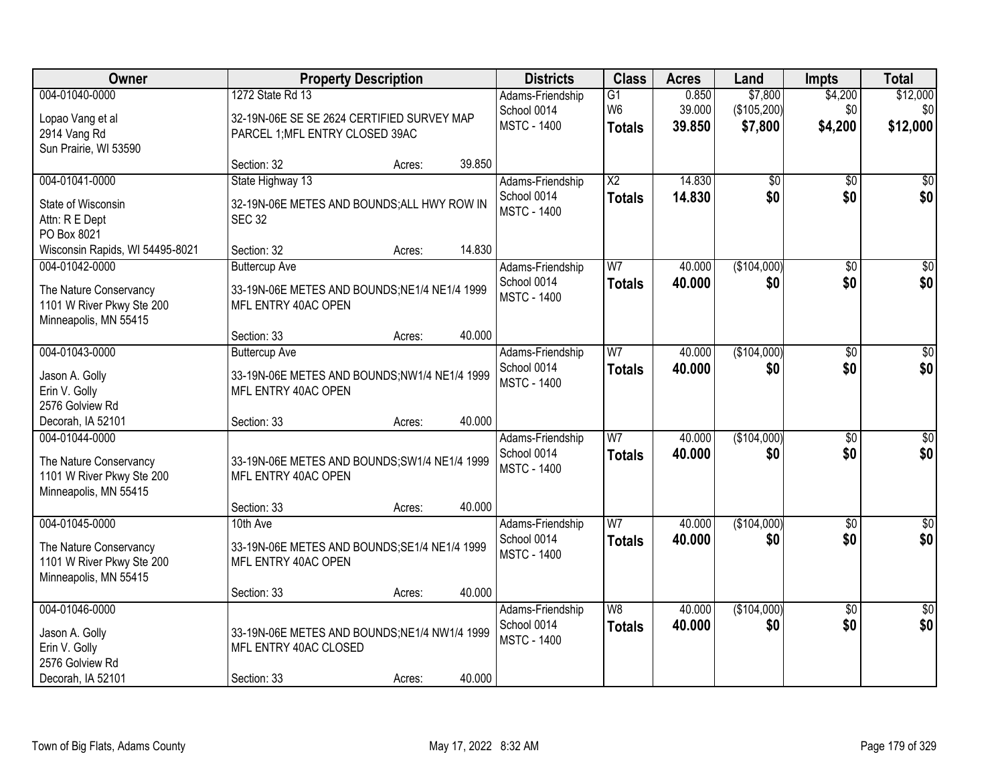| Owner                           |                                               | <b>Property Description</b> |        | <b>Districts</b>                  | <b>Class</b>    | <b>Acres</b> | Land            | <b>Impts</b>    | <b>Total</b>     |
|---------------------------------|-----------------------------------------------|-----------------------------|--------|-----------------------------------|-----------------|--------------|-----------------|-----------------|------------------|
| 004-01040-0000                  | 1272 State Rd 13                              |                             |        | Adams-Friendship                  | $\overline{G1}$ | 0.850        | \$7,800         | \$4,200         | \$12,000         |
| Lopao Vang et al                | 32-19N-06E SE SE 2624 CERTIFIED SURVEY MAP    |                             |        | School 0014                       | W <sub>6</sub>  | 39.000       | (\$105,200)     | \$0             | \$0              |
| 2914 Vang Rd                    | PARCEL 1; MFL ENTRY CLOSED 39AC               |                             |        | <b>MSTC - 1400</b>                | <b>Totals</b>   | 39.850       | \$7,800         | \$4,200         | \$12,000         |
| Sun Prairie, WI 53590           |                                               |                             |        |                                   |                 |              |                 |                 |                  |
|                                 | Section: 32                                   | Acres:                      | 39.850 |                                   |                 |              |                 |                 |                  |
| 004-01041-0000                  | State Highway 13                              |                             |        | Adams-Friendship                  | $\overline{X2}$ | 14.830       | $\overline{50}$ | $\overline{50}$ | \$0              |
| State of Wisconsin              | 32-19N-06E METES AND BOUNDS; ALL HWY ROW IN   |                             |        | School 0014<br><b>MSTC - 1400</b> | <b>Totals</b>   | 14.830       | \$0             | \$0             | \$0              |
| Attn: R E Dept                  | <b>SEC 32</b>                                 |                             |        |                                   |                 |              |                 |                 |                  |
| PO Box 8021                     |                                               |                             |        |                                   |                 |              |                 |                 |                  |
| Wisconsin Rapids, WI 54495-8021 | Section: 32                                   | Acres:                      | 14.830 |                                   |                 |              |                 |                 |                  |
| 004-01042-0000                  | <b>Buttercup Ave</b>                          |                             |        | Adams-Friendship                  | W <sub>7</sub>  | 40.000       | (\$104,000)     | \$0             | $\overline{\$0}$ |
| The Nature Conservancy          | 33-19N-06E METES AND BOUNDS; NE1/4 NE1/4 1999 |                             |        | School 0014<br><b>MSTC - 1400</b> | <b>Totals</b>   | 40.000       | \$0             | \$0             | \$0              |
| 1101 W River Pkwy Ste 200       | MFL ENTRY 40AC OPEN                           |                             |        |                                   |                 |              |                 |                 |                  |
| Minneapolis, MN 55415           |                                               |                             |        |                                   |                 |              |                 |                 |                  |
|                                 | Section: 33                                   | Acres:                      | 40.000 |                                   |                 |              |                 |                 |                  |
| 004-01043-0000                  | <b>Buttercup Ave</b>                          |                             |        | Adams-Friendship                  | W <sub>7</sub>  | 40.000       | (\$104,000)     | $\sqrt[6]{3}$   | $\sqrt{50}$      |
| Jason A. Golly                  | 33-19N-06E METES AND BOUNDS;NW1/4 NE1/4 1999  |                             |        | School 0014                       | <b>Totals</b>   | 40.000       | \$0             | \$0             | \$0              |
| Erin V. Golly                   | MFL ENTRY 40AC OPEN                           |                             |        | <b>MSTC - 1400</b>                |                 |              |                 |                 |                  |
| 2576 Golview Rd                 |                                               |                             |        |                                   |                 |              |                 |                 |                  |
| Decorah, IA 52101               | Section: 33                                   | Acres:                      | 40.000 |                                   |                 |              |                 |                 |                  |
| 004-01044-0000                  |                                               |                             |        | Adams-Friendship                  | $\overline{W}$  | 40.000       | (\$104,000)     | $\overline{50}$ | $\overline{50}$  |
| The Nature Conservancy          | 33-19N-06E METES AND BOUNDS; SW1/4 NE1/4 1999 |                             |        | School 0014                       | <b>Totals</b>   | 40.000       | \$0             | \$0             | \$0              |
| 1101 W River Pkwy Ste 200       | MFL ENTRY 40AC OPEN                           |                             |        | <b>MSTC - 1400</b>                |                 |              |                 |                 |                  |
| Minneapolis, MN 55415           |                                               |                             |        |                                   |                 |              |                 |                 |                  |
|                                 | Section: 33                                   | Acres:                      | 40.000 |                                   |                 |              |                 |                 |                  |
| 004-01045-0000                  | 10th Ave                                      |                             |        | Adams-Friendship                  | W <sub>7</sub>  | 40.000       | (\$104,000)     | \$0             | \$0              |
| The Nature Conservancy          | 33-19N-06E METES AND BOUNDS; SE1/4 NE1/4 1999 |                             |        | School 0014                       | <b>Totals</b>   | 40.000       | \$0             | \$0             | \$0              |
| 1101 W River Pkwy Ste 200       | MFL ENTRY 40AC OPEN                           |                             |        | <b>MSTC - 1400</b>                |                 |              |                 |                 |                  |
| Minneapolis, MN 55415           |                                               |                             |        |                                   |                 |              |                 |                 |                  |
|                                 | Section: 33                                   | Acres:                      | 40.000 |                                   |                 |              |                 |                 |                  |
| 004-01046-0000                  |                                               |                             |        | Adams-Friendship                  | W8              | 40.000       | (\$104,000)     | $\overline{30}$ | $\sqrt{30}$      |
| Jason A. Golly                  | 33-19N-06E METES AND BOUNDS; NE1/4 NW1/4 1999 |                             |        | School 0014                       | <b>Totals</b>   | 40.000       | \$0             | \$0             | \$0              |
| Erin V. Golly                   | MFL ENTRY 40AC CLOSED                         |                             |        | <b>MSTC - 1400</b>                |                 |              |                 |                 |                  |
| 2576 Golview Rd                 |                                               |                             |        |                                   |                 |              |                 |                 |                  |
| Decorah, IA 52101               | Section: 33                                   | Acres:                      | 40.000 |                                   |                 |              |                 |                 |                  |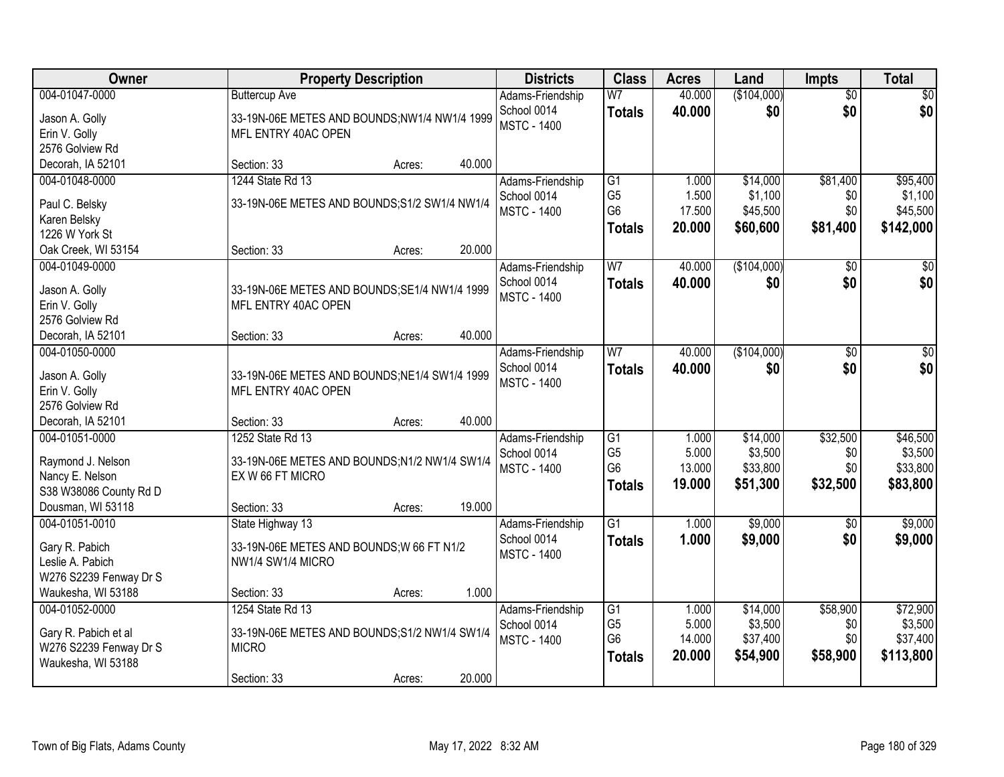| <b>Owner</b>                     | <b>Property Description</b>                   | <b>Districts</b>   | <b>Class</b>    | <b>Acres</b> | Land        | <b>Impts</b>    | <b>Total</b> |
|----------------------------------|-----------------------------------------------|--------------------|-----------------|--------------|-------------|-----------------|--------------|
| 004-01047-0000                   | <b>Buttercup Ave</b>                          | Adams-Friendship   | W <sub>7</sub>  | 40.000       | (\$104,000) | $\overline{50}$ | \$0          |
| Jason A. Golly                   | 33-19N-06E METES AND BOUNDS;NW1/4 NW1/4 1999  | School 0014        | <b>Totals</b>   | 40.000       | \$0         | \$0             | \$0          |
| Erin V. Golly                    | MFL ENTRY 40AC OPEN                           | <b>MSTC - 1400</b> |                 |              |             |                 |              |
| 2576 Golview Rd                  |                                               |                    |                 |              |             |                 |              |
| Decorah, IA 52101                | 40.000<br>Section: 33<br>Acres:               |                    |                 |              |             |                 |              |
| 004-01048-0000                   | 1244 State Rd 13                              | Adams-Friendship   | G1              | 1.000        | \$14,000    | \$81,400        | \$95,400     |
| Paul C. Belsky                   | 33-19N-06E METES AND BOUNDS; S1/2 SW1/4 NW1/4 | School 0014        | G <sub>5</sub>  | 1.500        | \$1,100     | \$0             | \$1,100      |
| Karen Belsky                     |                                               | <b>MSTC - 1400</b> | G <sub>6</sub>  | 17.500       | \$45,500    | \$0             | \$45,500     |
| 1226 W York St                   |                                               |                    | <b>Totals</b>   | 20.000       | \$60,600    | \$81,400        | \$142,000    |
| Oak Creek, WI 53154              | 20.000<br>Section: 33<br>Acres:               |                    |                 |              |             |                 |              |
| 004-01049-0000                   |                                               | Adams-Friendship   | W <sub>7</sub>  | 40.000       | (\$104,000) | \$0             | $\sqrt{50}$  |
|                                  |                                               | School 0014        | <b>Totals</b>   | 40.000       | \$0         | \$0             | \$0          |
| Jason A. Golly                   | 33-19N-06E METES AND BOUNDS; SE1/4 NW1/4 1999 | <b>MSTC - 1400</b> |                 |              |             |                 |              |
| Erin V. Golly<br>2576 Golview Rd | MFL ENTRY 40AC OPEN                           |                    |                 |              |             |                 |              |
| Decorah, IA 52101                | 40.000<br>Section: 33<br>Acres:               |                    |                 |              |             |                 |              |
| 004-01050-0000                   |                                               | Adams-Friendship   | W <sub>7</sub>  | 40.000       | (\$104,000) | $\sqrt[6]{3}$   | $\sqrt{50}$  |
|                                  |                                               | School 0014        |                 | 40.000       | \$0         | \$0             | \$0          |
| Jason A. Golly                   | 33-19N-06E METES AND BOUNDS; NE1/4 SW1/4 1999 | <b>MSTC - 1400</b> | <b>Totals</b>   |              |             |                 |              |
| Erin V. Golly                    | MFL ENTRY 40AC OPEN                           |                    |                 |              |             |                 |              |
| 2576 Golview Rd                  |                                               |                    |                 |              |             |                 |              |
| Decorah, IA 52101                | 40.000<br>Section: 33<br>Acres:               |                    |                 |              |             |                 |              |
| 004-01051-0000                   | 1252 State Rd 13                              | Adams-Friendship   | $\overline{G1}$ | 1.000        | \$14,000    | \$32,500        | \$46,500     |
| Raymond J. Nelson                | 33-19N-06E METES AND BOUNDS;N1/2 NW1/4 SW1/4  | School 0014        | G <sub>5</sub>  | 5.000        | \$3,500     | \$0             | \$3,500      |
| Nancy E. Nelson                  | EX W 66 FT MICRO                              | <b>MSTC - 1400</b> | G <sub>6</sub>  | 13.000       | \$33,800    | \$0             | \$33,800     |
| S38 W38086 County Rd D           |                                               |                    | <b>Totals</b>   | 19.000       | \$51,300    | \$32,500        | \$83,800     |
| Dousman, WI 53118                | 19.000<br>Section: 33<br>Acres:               |                    |                 |              |             |                 |              |
| 004-01051-0010                   | State Highway 13                              | Adams-Friendship   | $\overline{G1}$ | 1.000        | \$9,000     | \$0             | \$9,000      |
| Gary R. Pabich                   | 33-19N-06E METES AND BOUNDS; W 66 FT N1/2     | School 0014        | <b>Totals</b>   | 1.000        | \$9,000     | \$0             | \$9,000      |
| Leslie A. Pabich                 | NW1/4 SW1/4 MICRO                             | <b>MSTC - 1400</b> |                 |              |             |                 |              |
| W276 S2239 Fenway Dr S           |                                               |                    |                 |              |             |                 |              |
| Waukesha, WI 53188               | 1.000<br>Section: 33<br>Acres:                |                    |                 |              |             |                 |              |
| 004-01052-0000                   | 1254 State Rd 13                              | Adams-Friendship   | G1              | 1.000        | \$14,000    | \$58,900        | \$72,900     |
|                                  |                                               | School 0014        | G <sub>5</sub>  | 5.000        | \$3,500     | \$0             | \$3,500      |
| Gary R. Pabich et al             | 33-19N-06E METES AND BOUNDS; S1/2 NW1/4 SW1/4 | <b>MSTC - 1400</b> | G <sub>6</sub>  | 14.000       | \$37,400    | \$0             | \$37,400     |
| W276 S2239 Fenway Dr S           | <b>MICRO</b>                                  |                    | <b>Totals</b>   | 20.000       | \$54,900    | \$58,900        | \$113,800    |
| Waukesha, WI 53188               | 20.000                                        |                    |                 |              |             |                 |              |
|                                  | Section: 33<br>Acres:                         |                    |                 |              |             |                 |              |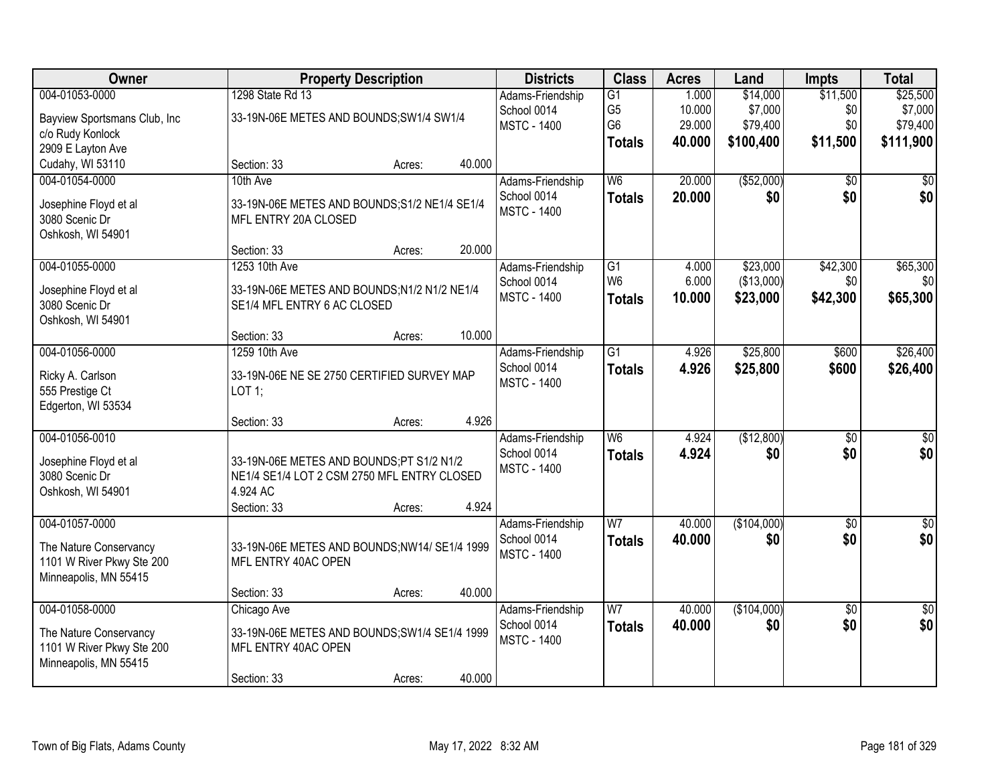| Owner                               | <b>Property Description</b>                             |        |        | <b>Districts</b>   | <b>Class</b>    | <b>Acres</b> | Land        | <b>Impts</b>    | <b>Total</b>    |
|-------------------------------------|---------------------------------------------------------|--------|--------|--------------------|-----------------|--------------|-------------|-----------------|-----------------|
| 004-01053-0000                      | 1298 State Rd 13                                        |        |        | Adams-Friendship   | $\overline{G1}$ | 1.000        | \$14,000    | \$11,500        | \$25,500        |
| Bayview Sportsmans Club, Inc        | 33-19N-06E METES AND BOUNDS; SW1/4 SW1/4                |        |        | School 0014        | G <sub>5</sub>  | 10.000       | \$7,000     | \$0             | \$7,000         |
| c/o Rudy Konlock                    |                                                         |        |        | <b>MSTC - 1400</b> | G <sub>6</sub>  | 29.000       | \$79,400    | \$0             | \$79,400        |
| 2909 E Layton Ave                   |                                                         |        |        |                    | <b>Totals</b>   | 40.000       | \$100,400   | \$11,500        | \$111,900       |
| Cudahy, WI 53110                    | Section: 33                                             | Acres: | 40.000 |                    |                 |              |             |                 |                 |
| 004-01054-0000                      | 10th Ave                                                |        |        | Adams-Friendship   | $\overline{W6}$ | 20.000       | ( \$52,000) | $\overline{50}$ | \$0             |
| Josephine Floyd et al               | 33-19N-06E METES AND BOUNDS; S1/2 NE1/4 SE1/4           |        |        | School 0014        | <b>Totals</b>   | 20.000       | \$0         | \$0             | \$0             |
| 3080 Scenic Dr                      | MFL ENTRY 20A CLOSED                                    |        |        | <b>MSTC - 1400</b> |                 |              |             |                 |                 |
| Oshkosh, WI 54901                   |                                                         |        |        |                    |                 |              |             |                 |                 |
|                                     | Section: 33                                             | Acres: | 20.000 |                    |                 |              |             |                 |                 |
| 004-01055-0000                      | 1253 10th Ave                                           |        |        | Adams-Friendship   | G1              | 4.000        | \$23,000    | \$42,300        | \$65,300        |
| Josephine Floyd et al               | 33-19N-06E METES AND BOUNDS; N1/2 N1/2 NE1/4            |        |        | School 0014        | W <sub>6</sub>  | 6.000        | (\$13,000)  | \$0             | \$0             |
| 3080 Scenic Dr                      | SE1/4 MFL ENTRY 6 AC CLOSED                             |        |        | <b>MSTC - 1400</b> | <b>Totals</b>   | 10.000       | \$23,000    | \$42,300        | \$65,300        |
| Oshkosh, WI 54901                   |                                                         |        |        |                    |                 |              |             |                 |                 |
|                                     | Section: 33                                             | Acres: | 10.000 |                    |                 |              |             |                 |                 |
| 004-01056-0000                      | 1259 10th Ave                                           |        |        | Adams-Friendship   | $\overline{G1}$ | 4.926        | \$25,800    | \$600           | \$26,400        |
|                                     |                                                         |        |        | School 0014        | <b>Totals</b>   | 4.926        | \$25,800    | \$600           | \$26,400        |
| Ricky A. Carlson<br>555 Prestige Ct | 33-19N-06E NE SE 2750 CERTIFIED SURVEY MAP<br>LOT 1;    |        |        | <b>MSTC - 1400</b> |                 |              |             |                 |                 |
| Edgerton, WI 53534                  |                                                         |        |        |                    |                 |              |             |                 |                 |
|                                     | Section: 33                                             | Acres: | 4.926  |                    |                 |              |             |                 |                 |
| 004-01056-0010                      |                                                         |        |        | Adams-Friendship   | $\overline{W6}$ | 4.924        | (\$12,800)  | $\overline{50}$ | $\overline{50}$ |
|                                     |                                                         |        |        | School 0014        | <b>Totals</b>   | 4.924        | \$0         | \$0             | \$0             |
| Josephine Floyd et al               | 33-19N-06E METES AND BOUNDS;PT S1/2 N1/2                |        |        | <b>MSTC - 1400</b> |                 |              |             |                 |                 |
| 3080 Scenic Dr<br>Oshkosh, WI 54901 | NE1/4 SE1/4 LOT 2 CSM 2750 MFL ENTRY CLOSED<br>4.924 AC |        |        |                    |                 |              |             |                 |                 |
|                                     | Section: 33                                             | Acres: | 4.924  |                    |                 |              |             |                 |                 |
| 004-01057-0000                      |                                                         |        |        | Adams-Friendship   | $\overline{W}$  | 40.000       | (\$104,000) | $\overline{60}$ | $\sqrt{60}$     |
|                                     |                                                         |        |        | School 0014        | <b>Totals</b>   | 40.000       | \$0         | \$0             | \$0             |
| The Nature Conservancy              | 33-19N-06E METES AND BOUNDS;NW14/ SE1/4 1999            |        |        | <b>MSTC - 1400</b> |                 |              |             |                 |                 |
| 1101 W River Pkwy Ste 200           | MFL ENTRY 40AC OPEN                                     |        |        |                    |                 |              |             |                 |                 |
| Minneapolis, MN 55415               | Section: 33                                             | Acres: | 40.000 |                    |                 |              |             |                 |                 |
| 004-01058-0000                      | Chicago Ave                                             |        |        | Adams-Friendship   | $\overline{W}$  | 40.000       | (\$104,000) | $\overline{50}$ | \$0             |
|                                     |                                                         |        |        | School 0014        | <b>Totals</b>   | 40.000       | \$0         | \$0             | \$0             |
| The Nature Conservancy              | 33-19N-06E METES AND BOUNDS; SW1/4 SE1/4 1999           |        |        | <b>MSTC - 1400</b> |                 |              |             |                 |                 |
| 1101 W River Pkwy Ste 200           | MFL ENTRY 40AC OPEN                                     |        |        |                    |                 |              |             |                 |                 |
| Minneapolis, MN 55415               |                                                         |        |        |                    |                 |              |             |                 |                 |
|                                     | Section: 33                                             | Acres: | 40.000 |                    |                 |              |             |                 |                 |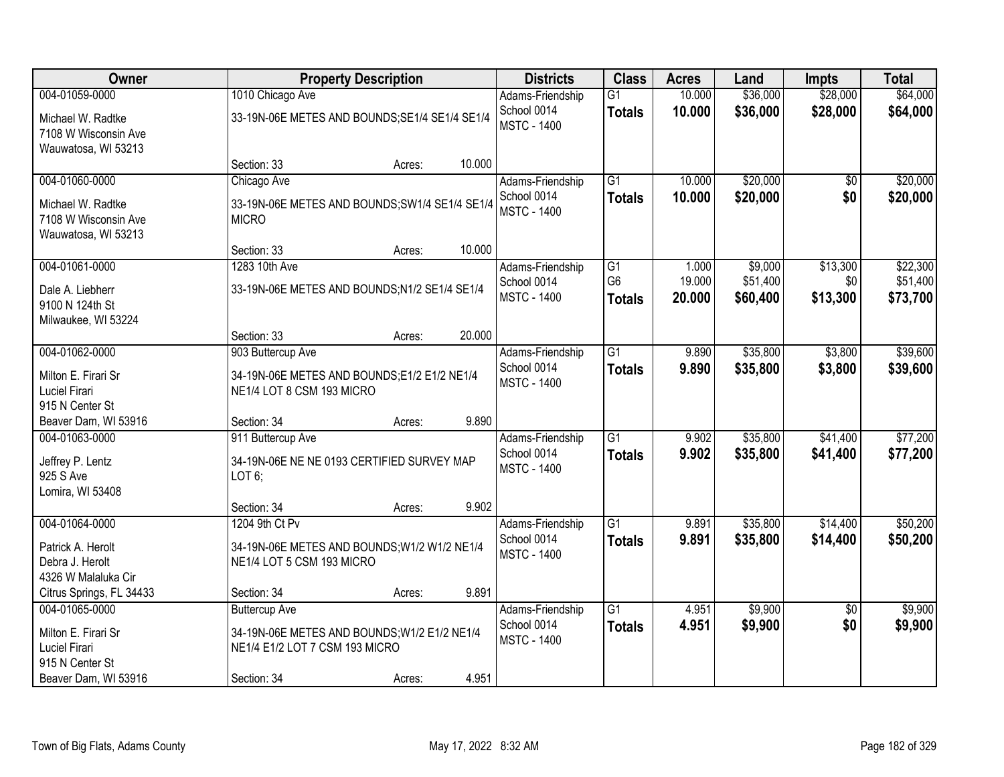| Owner                                                                                             |                                                                                                                       | <b>Property Description</b> |        | <b>Districts</b>                                      | <b>Class</b>                          | <b>Acres</b>              | Land                            | <b>Impts</b>                | <b>Total</b>                     |
|---------------------------------------------------------------------------------------------------|-----------------------------------------------------------------------------------------------------------------------|-----------------------------|--------|-------------------------------------------------------|---------------------------------------|---------------------------|---------------------------------|-----------------------------|----------------------------------|
| 004-01059-0000                                                                                    | 1010 Chicago Ave                                                                                                      |                             |        | Adams-Friendship                                      | $\overline{G1}$                       | 10.000                    | \$36,000                        | \$28,000                    | \$64,000                         |
| Michael W. Radtke<br>7108 W Wisconsin Ave<br>Wauwatosa, WI 53213                                  | 33-19N-06E METES AND BOUNDS; SE1/4 SE1/4 SE1/4                                                                        |                             |        | School 0014<br><b>MSTC - 1400</b>                     | <b>Totals</b>                         | 10.000                    | \$36,000                        | \$28,000                    | \$64,000                         |
|                                                                                                   | Section: 33                                                                                                           | Acres:                      | 10.000 |                                                       |                                       |                           |                                 |                             |                                  |
| 004-01060-0000<br>Michael W. Radtke<br>7108 W Wisconsin Ave<br>Wauwatosa, WI 53213                | Chicago Ave<br>33-19N-06E METES AND BOUNDS; SW1/4 SE1/4 SE1/4<br><b>MICRO</b>                                         |                             |        | Adams-Friendship<br>School 0014<br><b>MSTC - 1400</b> | $\overline{G1}$<br><b>Totals</b>      | 10.000<br>10.000          | \$20,000<br>\$20,000            | \$0<br>\$0                  | \$20,000<br>\$20,000             |
|                                                                                                   | Section: 33                                                                                                           | Acres:                      | 10.000 |                                                       |                                       |                           |                                 |                             |                                  |
| 004-01061-0000<br>Dale A. Liebherr<br>9100 N 124th St<br>Milwaukee, WI 53224                      | 1283 10th Ave<br>33-19N-06E METES AND BOUNDS;N1/2 SE1/4 SE1/4                                                         |                             |        | Adams-Friendship<br>School 0014<br><b>MSTC - 1400</b> | G1<br>G <sub>6</sub><br><b>Totals</b> | 1.000<br>19.000<br>20.000 | \$9,000<br>\$51,400<br>\$60,400 | \$13,300<br>\$0<br>\$13,300 | \$22,300<br>\$51,400<br>\$73,700 |
|                                                                                                   | Section: 33                                                                                                           | Acres:                      | 20.000 |                                                       |                                       |                           |                                 |                             |                                  |
| 004-01062-0000                                                                                    | 903 Buttercup Ave                                                                                                     |                             |        | Adams-Friendship                                      | $\overline{G1}$                       | 9.890                     | \$35,800                        | \$3,800                     | \$39,600                         |
| Milton E. Firari Sr<br>Luciel Firari<br>915 N Center St                                           | 34-19N-06E METES AND BOUNDS;E1/2 E1/2 NE1/4<br>NE1/4 LOT 8 CSM 193 MICRO                                              |                             |        | School 0014<br><b>MSTC - 1400</b>                     | <b>Totals</b>                         | 9.890                     | \$35,800                        | \$3,800                     | \$39,600                         |
| Beaver Dam, WI 53916                                                                              | Section: 34                                                                                                           | Acres:                      | 9.890  |                                                       |                                       |                           |                                 |                             |                                  |
| 004-01063-0000<br>Jeffrey P. Lentz<br>925 S Ave<br>Lomira, WI 53408                               | 911 Buttercup Ave<br>34-19N-06E NE NE 0193 CERTIFIED SURVEY MAP<br>LOT6;                                              |                             |        | Adams-Friendship<br>School 0014<br><b>MSTC - 1400</b> | $\overline{G1}$<br><b>Totals</b>      | 9.902<br>9.902            | \$35,800<br>\$35,800            | \$41,400<br>\$41,400        | \$77,200<br>\$77,200             |
|                                                                                                   | Section: 34                                                                                                           | Acres:                      | 9.902  |                                                       |                                       |                           |                                 |                             |                                  |
| 004-01064-0000<br>Patrick A. Herolt<br>Debra J. Herolt<br>4326 W Malaluka Cir                     | 1204 9th Ct Pv<br>34-19N-06E METES AND BOUNDS; W1/2 W1/2 NE1/4<br>NE1/4 LOT 5 CSM 193 MICRO                           |                             |        | Adams-Friendship<br>School 0014<br><b>MSTC - 1400</b> | $\overline{G1}$<br><b>Totals</b>      | 9.891<br>9.891            | \$35,800<br>\$35,800            | \$14,400<br>\$14,400        | \$50,200<br>\$50,200             |
| Citrus Springs, FL 34433                                                                          | Section: 34                                                                                                           | Acres:                      | 9.891  |                                                       |                                       |                           |                                 |                             |                                  |
| 004-01065-0000<br>Milton E. Firari Sr<br>Luciel Firari<br>915 N Center St<br>Beaver Dam, WI 53916 | <b>Buttercup Ave</b><br>34-19N-06E METES AND BOUNDS; W1/2 E1/2 NE1/4<br>NE1/4 E1/2 LOT 7 CSM 193 MICRO<br>Section: 34 | Acres:                      | 4.951  | Adams-Friendship<br>School 0014<br><b>MSTC - 1400</b> | $\overline{G1}$<br><b>Totals</b>      | 4.951<br>4.951            | \$9,900<br>\$9,900              | $\overline{50}$<br>\$0      | \$9,900<br>\$9,900               |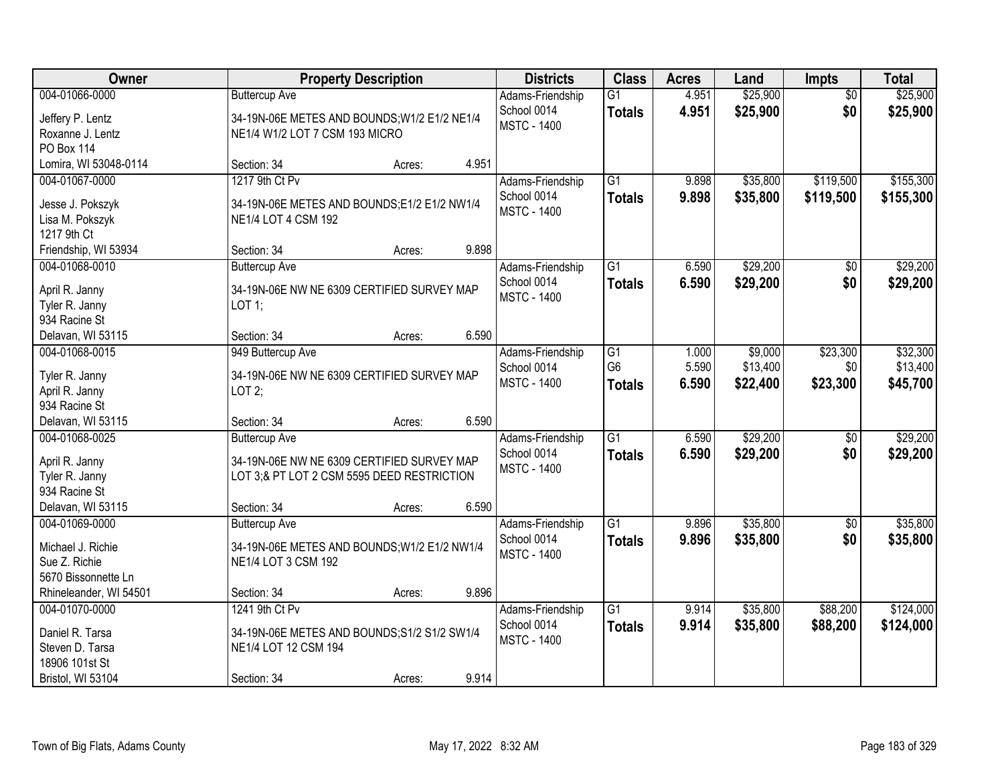| Owner                                                                                       | <b>Property Description</b>                                                                                                                        | <b>Districts</b>                                      | <b>Class</b>                                       | <b>Acres</b>            | Land                            | <b>Impts</b>                | <b>Total</b>                     |
|---------------------------------------------------------------------------------------------|----------------------------------------------------------------------------------------------------------------------------------------------------|-------------------------------------------------------|----------------------------------------------------|-------------------------|---------------------------------|-----------------------------|----------------------------------|
| 004-01066-0000<br>Jeffery P. Lentz<br>Roxanne J. Lentz<br><b>PO Box 114</b>                 | <b>Buttercup Ave</b><br>34-19N-06E METES AND BOUNDS; W1/2 E1/2 NE1/4<br>NE1/4 W1/2 LOT 7 CSM 193 MICRO                                             | Adams-Friendship<br>School 0014<br><b>MSTC - 1400</b> | $\overline{G1}$<br><b>Totals</b>                   | 4.951<br>4.951          | \$25,900<br>\$25,900            | $\overline{50}$<br>\$0      | \$25,900<br>\$25,900             |
| Lomira, WI 53048-0114                                                                       | 4.951<br>Section: 34<br>Acres:                                                                                                                     |                                                       |                                                    |                         |                                 |                             |                                  |
| 004-01067-0000<br>Jesse J. Pokszyk<br>Lisa M. Pokszyk<br>1217 9th Ct                        | 1217 9th Ct Pv<br>34-19N-06E METES AND BOUNDS;E1/2 E1/2 NW1/4<br>NE1/4 LOT 4 CSM 192                                                               | Adams-Friendship<br>School 0014<br><b>MSTC - 1400</b> | $\overline{G1}$<br><b>Totals</b>                   | 9.898<br>9.898          | \$35,800<br>\$35,800            | \$119,500<br>\$119,500      | \$155,300<br>\$155,300           |
| Friendship, WI 53934                                                                        | 9.898<br>Section: 34<br>Acres:                                                                                                                     |                                                       |                                                    |                         |                                 |                             |                                  |
| 004-01068-0010<br>April R. Janny<br>Tyler R. Janny<br>934 Racine St                         | <b>Buttercup Ave</b><br>34-19N-06E NW NE 6309 CERTIFIED SURVEY MAP<br>LOT 1;                                                                       | Adams-Friendship<br>School 0014<br><b>MSTC - 1400</b> | $\overline{G1}$<br><b>Totals</b>                   | 6.590<br>6.590          | \$29,200<br>\$29,200            | $\sqrt[6]{30}$<br>\$0       | \$29,200<br>\$29,200             |
| Delavan, WI 53115                                                                           | 6.590<br>Section: 34<br>Acres:                                                                                                                     |                                                       |                                                    |                         |                                 |                             |                                  |
| 004-01068-0015<br>Tyler R. Janny<br>April R. Janny<br>934 Racine St                         | 949 Buttercup Ave<br>34-19N-06E NW NE 6309 CERTIFIED SURVEY MAP<br>LOT2;                                                                           | Adams-Friendship<br>School 0014<br><b>MSTC - 1400</b> | $\overline{G1}$<br>G <sub>6</sub><br><b>Totals</b> | 1.000<br>5.590<br>6.590 | \$9,000<br>\$13,400<br>\$22,400 | \$23,300<br>\$0<br>\$23,300 | \$32,300<br>\$13,400<br>\$45,700 |
| Delavan, WI 53115                                                                           | 6.590<br>Section: 34<br>Acres:                                                                                                                     |                                                       |                                                    |                         |                                 |                             |                                  |
| 004-01068-0025<br>April R. Janny<br>Tyler R. Janny<br>934 Racine St<br>Delavan, WI 53115    | <b>Buttercup Ave</b><br>34-19N-06E NW NE 6309 CERTIFIED SURVEY MAP<br>LOT 3;& PT LOT 2 CSM 5595 DEED RESTRICTION<br>6.590<br>Section: 34<br>Acres: | Adams-Friendship<br>School 0014<br><b>MSTC - 1400</b> | $\overline{G1}$<br><b>Totals</b>                   | 6.590<br>6.590          | \$29,200<br>\$29,200            | \$0<br>\$0                  | \$29,200<br>\$29,200             |
| 004-01069-0000                                                                              | <b>Buttercup Ave</b>                                                                                                                               | Adams-Friendship                                      | $\overline{G1}$                                    | 9.896                   | \$35,800                        | $\overline{50}$             | \$35,800                         |
| Michael J. Richie<br>Sue Z. Richie<br>5670 Bissonnette Ln                                   | 34-19N-06E METES AND BOUNDS; W1/2 E1/2 NW1/4<br>NE1/4 LOT 3 CSM 192                                                                                | School 0014<br><b>MSTC - 1400</b>                     | <b>Totals</b>                                      | 9.896                   | \$35,800                        | \$0                         | \$35,800                         |
| Rhineleander, WI 54501                                                                      | 9.896<br>Section: 34<br>Acres:                                                                                                                     |                                                       |                                                    |                         |                                 |                             |                                  |
| 004-01070-0000<br>Daniel R. Tarsa<br>Steven D. Tarsa<br>18906 101st St<br>Bristol, WI 53104 | 1241 9th Ct Pv<br>34-19N-06E METES AND BOUNDS; S1/2 S1/2 SW1/4<br>NE1/4 LOT 12 CSM 194<br>9.914<br>Section: 34<br>Acres:                           | Adams-Friendship<br>School 0014<br><b>MSTC - 1400</b> | $\overline{G1}$<br><b>Totals</b>                   | 9.914<br>9.914          | \$35,800<br>\$35,800            | \$88,200<br>\$88,200        | \$124,000<br>\$124,000           |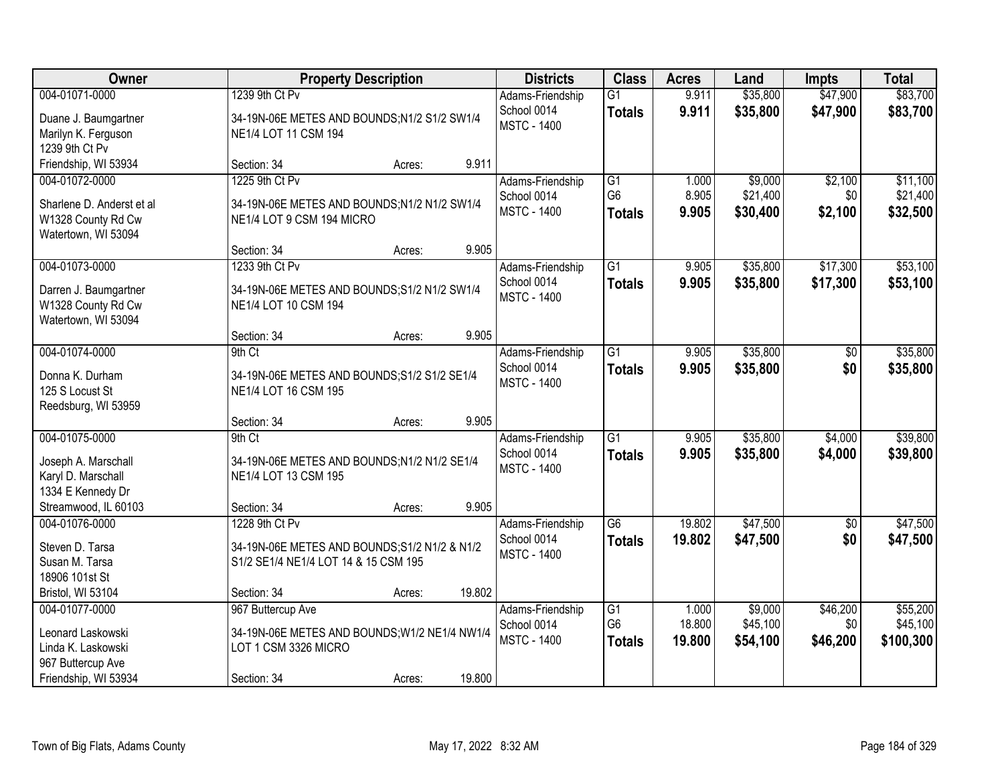| Owner                     |                                               | <b>Property Description</b> |        | <b>Districts</b>   | <b>Class</b>    | <b>Acres</b> | Land     | <b>Impts</b> | <b>Total</b> |
|---------------------------|-----------------------------------------------|-----------------------------|--------|--------------------|-----------------|--------------|----------|--------------|--------------|
| 004-01071-0000            | 1239 9th Ct Pv                                |                             |        | Adams-Friendship   | $\overline{G1}$ | 9.911        | \$35,800 | \$47,900     | \$83,700     |
| Duane J. Baumgartner      | 34-19N-06E METES AND BOUNDS;N1/2 S1/2 SW1/4   |                             |        | School 0014        | <b>Totals</b>   | 9.911        | \$35,800 | \$47,900     | \$83,700     |
| Marilyn K. Ferguson       | NE1/4 LOT 11 CSM 194                          |                             |        | <b>MSTC - 1400</b> |                 |              |          |              |              |
| 1239 9th Ct Pv            |                                               |                             |        |                    |                 |              |          |              |              |
| Friendship, WI 53934      | Section: 34                                   | Acres:                      | 9.911  |                    |                 |              |          |              |              |
| 004-01072-0000            | 1225 9th Ct Pv                                |                             |        | Adams-Friendship   | G1              | 1.000        | \$9,000  | \$2,100      | \$11,100     |
| Sharlene D. Anderst et al | 34-19N-06E METES AND BOUNDS;N1/2 N1/2 SW1/4   |                             |        | School 0014        | G <sub>6</sub>  | 8.905        | \$21,400 | \$0          | \$21,400     |
| W1328 County Rd Cw        | NE1/4 LOT 9 CSM 194 MICRO                     |                             |        | <b>MSTC - 1400</b> | <b>Totals</b>   | 9.905        | \$30,400 | \$2,100      | \$32,500     |
| Watertown, WI 53094       |                                               |                             |        |                    |                 |              |          |              |              |
|                           | Section: 34                                   | Acres:                      | 9.905  |                    |                 |              |          |              |              |
| 004-01073-0000            | 1233 9th Ct Pv                                |                             |        | Adams-Friendship   | $\overline{G1}$ | 9.905        | \$35,800 | \$17,300     | \$53,100     |
| Darren J. Baumgartner     | 34-19N-06E METES AND BOUNDS; S1/2 N1/2 SW1/4  |                             |        | School 0014        | <b>Totals</b>   | 9.905        | \$35,800 | \$17,300     | \$53,100     |
| W1328 County Rd Cw        | NE1/4 LOT 10 CSM 194                          |                             |        | <b>MSTC - 1400</b> |                 |              |          |              |              |
| Watertown, WI 53094       |                                               |                             |        |                    |                 |              |          |              |              |
|                           | Section: 34                                   | Acres:                      | 9.905  |                    |                 |              |          |              |              |
| 004-01074-0000            | 9th Ct                                        |                             |        | Adams-Friendship   | G1              | 9.905        | \$35,800 | $\sqrt[6]{}$ | \$35,800     |
| Donna K. Durham           | 34-19N-06E METES AND BOUNDS; S1/2 S1/2 SE1/4  |                             |        | School 0014        | <b>Totals</b>   | 9.905        | \$35,800 | \$0          | \$35,800     |
| 125 S Locust St           | NE1/4 LOT 16 CSM 195                          |                             |        | <b>MSTC - 1400</b> |                 |              |          |              |              |
| Reedsburg, WI 53959       |                                               |                             |        |                    |                 |              |          |              |              |
|                           | Section: 34                                   | Acres:                      | 9.905  |                    |                 |              |          |              |              |
| 004-01075-0000            | 9th Ct                                        |                             |        | Adams-Friendship   | $\overline{G1}$ | 9.905        | \$35,800 | \$4,000      | \$39,800     |
| Joseph A. Marschall       | 34-19N-06E METES AND BOUNDS; N1/2 N1/2 SE1/4  |                             |        | School 0014        | <b>Totals</b>   | 9.905        | \$35,800 | \$4,000      | \$39,800     |
| Karyl D. Marschall        | NE1/4 LOT 13 CSM 195                          |                             |        | <b>MSTC - 1400</b> |                 |              |          |              |              |
| 1334 E Kennedy Dr         |                                               |                             |        |                    |                 |              |          |              |              |
| Streamwood, IL 60103      | Section: 34                                   | Acres:                      | 9.905  |                    |                 |              |          |              |              |
| 004-01076-0000            | 1228 9th Ct Pv                                |                             |        | Adams-Friendship   | $\overline{G6}$ | 19.802       | \$47,500 | $\sqrt{$0}$  | \$47,500     |
| Steven D. Tarsa           | 34-19N-06E METES AND BOUNDS; S1/2 N1/2 & N1/2 |                             |        | School 0014        | <b>Totals</b>   | 19.802       | \$47,500 | \$0          | \$47,500     |
| Susan M. Tarsa            | S1/2 SE1/4 NE1/4 LOT 14 & 15 CSM 195          |                             |        | <b>MSTC - 1400</b> |                 |              |          |              |              |
| 18906 101st St            |                                               |                             |        |                    |                 |              |          |              |              |
| Bristol, WI 53104         | Section: 34                                   | Acres:                      | 19.802 |                    |                 |              |          |              |              |
| 004-01077-0000            | 967 Buttercup Ave                             |                             |        | Adams-Friendship   | $\overline{G1}$ | 1.000        | \$9,000  | \$46,200     | \$55,200     |
| Leonard Laskowski         | 34-19N-06E METES AND BOUNDS; W1/2 NE1/4 NW1/4 |                             |        | School 0014        | G <sub>6</sub>  | 18.800       | \$45,100 | \$0          | \$45,100     |
| Linda K. Laskowski        | LOT 1 CSM 3326 MICRO                          |                             |        | <b>MSTC - 1400</b> | <b>Totals</b>   | 19.800       | \$54,100 | \$46,200     | \$100,300    |
| 967 Buttercup Ave         |                                               |                             |        |                    |                 |              |          |              |              |
| Friendship, WI 53934      | Section: 34                                   | Acres:                      | 19.800 |                    |                 |              |          |              |              |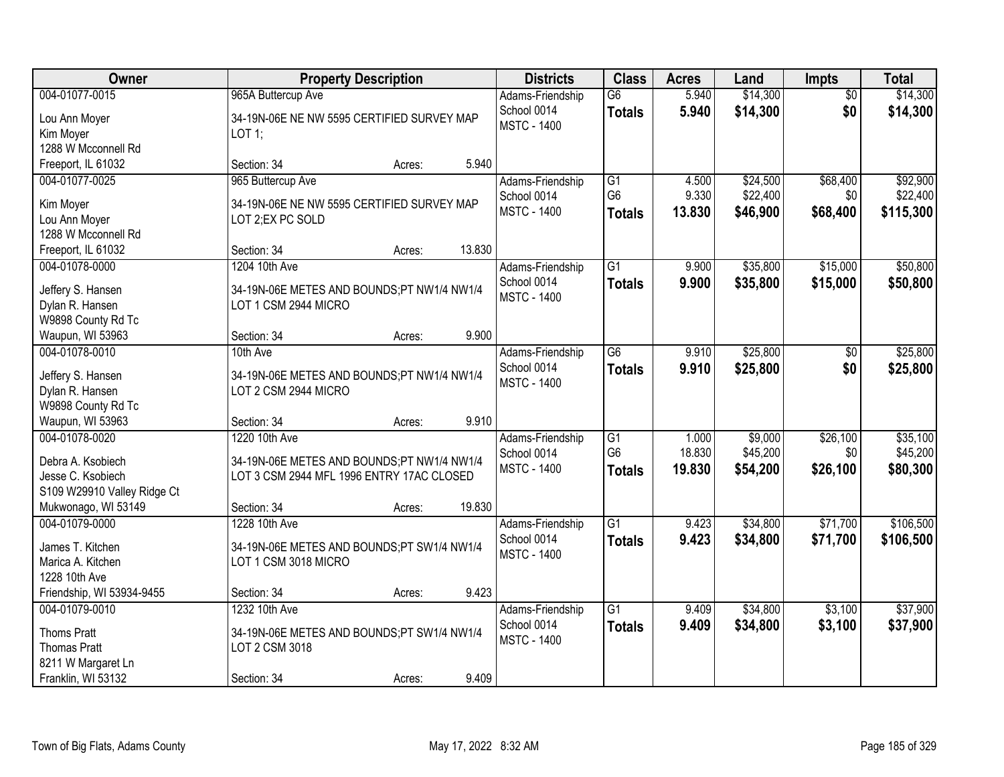| <b>Owner</b>                                                                                                   |                                                                                                                         | <b>Property Description</b> |        | <b>Districts</b>                                      | <b>Class</b>                                       | <b>Acres</b>              | Land                             | <b>Impts</b>                | <b>Total</b>                      |
|----------------------------------------------------------------------------------------------------------------|-------------------------------------------------------------------------------------------------------------------------|-----------------------------|--------|-------------------------------------------------------|----------------------------------------------------|---------------------------|----------------------------------|-----------------------------|-----------------------------------|
| 004-01077-0015<br>Lou Ann Moyer<br>Kim Moyer<br>1288 W Mcconnell Rd                                            | 965A Buttercup Ave<br>34-19N-06E NE NW 5595 CERTIFIED SURVEY MAP<br>LOT 1;                                              |                             |        | Adams-Friendship<br>School 0014<br><b>MSTC - 1400</b> | $\overline{G6}$<br><b>Totals</b>                   | 5.940<br>5.940            | \$14,300<br>\$14,300             | $\overline{50}$<br>\$0      | \$14,300<br>\$14,300              |
| Freeport, IL 61032                                                                                             | Section: 34                                                                                                             | Acres:                      | 5.940  |                                                       |                                                    |                           |                                  |                             |                                   |
| 004-01077-0025<br>Kim Moyer<br>Lou Ann Moyer<br>1288 W Mcconnell Rd                                            | 965 Buttercup Ave<br>34-19N-06E NE NW 5595 CERTIFIED SURVEY MAP<br>LOT 2;EX PC SOLD                                     |                             |        | Adams-Friendship<br>School 0014<br><b>MSTC - 1400</b> | $\overline{G1}$<br>G <sub>6</sub><br><b>Totals</b> | 4.500<br>9.330<br>13.830  | \$24,500<br>\$22,400<br>\$46,900 | \$68,400<br>\$0<br>\$68,400 | \$92,900<br>\$22,400<br>\$115,300 |
| Freeport, IL 61032                                                                                             | Section: 34                                                                                                             | Acres:                      | 13.830 |                                                       |                                                    |                           |                                  |                             |                                   |
| 004-01078-0000<br>Jeffery S. Hansen<br>Dylan R. Hansen<br>W9898 County Rd Tc                                   | 1204 10th Ave<br>34-19N-06E METES AND BOUNDS;PT NW1/4 NW1/4<br>LOT 1 CSM 2944 MICRO                                     |                             |        | Adams-Friendship<br>School 0014<br><b>MSTC - 1400</b> | $\overline{G1}$<br><b>Totals</b>                   | 9.900<br>9.900            | \$35,800<br>\$35,800             | \$15,000<br>\$15,000        | \$50,800<br>\$50,800              |
| Waupun, WI 53963<br>004-01078-0010                                                                             | Section: 34<br>10th Ave                                                                                                 | Acres:                      | 9.900  | Adams-Friendship                                      | $\overline{G6}$                                    | 9.910                     | \$25,800                         | $\sqrt[6]{}$                | \$25,800                          |
| Jeffery S. Hansen<br>Dylan R. Hansen<br>W9898 County Rd Tc                                                     | 34-19N-06E METES AND BOUNDS;PT NW1/4 NW1/4<br>LOT 2 CSM 2944 MICRO                                                      |                             |        | School 0014<br><b>MSTC - 1400</b>                     | <b>Totals</b>                                      | 9.910                     | \$25,800                         | \$0                         | \$25,800                          |
| Waupun, WI 53963                                                                                               | Section: 34                                                                                                             | Acres:                      | 9.910  |                                                       |                                                    |                           |                                  |                             |                                   |
| 004-01078-0020<br>Debra A. Ksobiech<br>Jesse C. Ksobiech<br>S109 W29910 Valley Ridge Ct<br>Mukwonago, WI 53149 | 1220 10th Ave<br>34-19N-06E METES AND BOUNDS;PT NW1/4 NW1/4<br>LOT 3 CSM 2944 MFL 1996 ENTRY 17AC CLOSED<br>Section: 34 | Acres:                      | 19.830 | Adams-Friendship<br>School 0014<br><b>MSTC - 1400</b> | $\overline{G1}$<br>G <sub>6</sub><br><b>Totals</b> | 1.000<br>18.830<br>19.830 | \$9,000<br>\$45,200<br>\$54,200  | \$26,100<br>\$0<br>\$26,100 | \$35,100<br>\$45,200<br>\$80,300  |
| 004-01079-0000                                                                                                 | 1228 10th Ave                                                                                                           |                             |        | Adams-Friendship                                      | $\overline{G1}$                                    | 9.423                     | \$34,800                         | \$71,700                    | \$106,500                         |
| James T. Kitchen<br>Marica A. Kitchen<br>1228 10th Ave                                                         | 34-19N-06E METES AND BOUNDS;PT SW1/4 NW1/4<br>LOT 1 CSM 3018 MICRO                                                      |                             |        | School 0014<br><b>MSTC - 1400</b>                     | <b>Totals</b>                                      | 9.423                     | \$34,800                         | \$71,700                    | \$106,500                         |
| Friendship, WI 53934-9455                                                                                      | Section: 34                                                                                                             | Acres:                      | 9.423  |                                                       |                                                    |                           |                                  |                             |                                   |
| 004-01079-0010<br><b>Thoms Pratt</b><br><b>Thomas Pratt</b><br>8211 W Margaret Ln<br>Franklin, WI 53132        | 1232 10th Ave<br>34-19N-06E METES AND BOUNDS;PT SW1/4 NW1/4<br>LOT 2 CSM 3018<br>Section: 34                            | Acres:                      | 9.409  | Adams-Friendship<br>School 0014<br><b>MSTC - 1400</b> | $\overline{G1}$<br><b>Totals</b>                   | 9.409<br>9.409            | \$34,800<br>\$34,800             | \$3,100<br>\$3,100          | \$37,900<br>\$37,900              |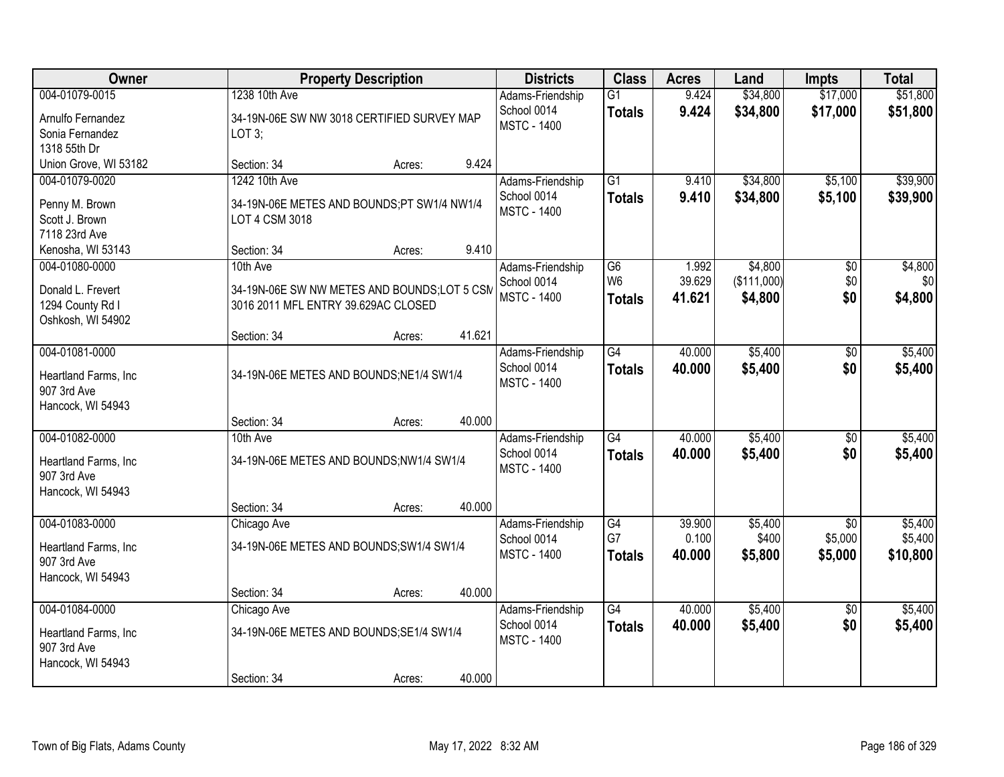| Owner                                                                        |                                                                                                | <b>Property Description</b> |        | <b>Districts</b>                                      | <b>Class</b>                          | <b>Acres</b>              | Land                              | <b>Impts</b>                          | <b>Total</b>                   |
|------------------------------------------------------------------------------|------------------------------------------------------------------------------------------------|-----------------------------|--------|-------------------------------------------------------|---------------------------------------|---------------------------|-----------------------------------|---------------------------------------|--------------------------------|
| 004-01079-0015<br>Arnulfo Fernandez<br>Sonia Fernandez<br>1318 55th Dr       | 1238 10th Ave<br>34-19N-06E SW NW 3018 CERTIFIED SURVEY MAP<br>LOT 3;                          |                             |        | Adams-Friendship<br>School 0014<br><b>MSTC - 1400</b> | $\overline{G1}$<br><b>Totals</b>      | 9.424<br>9.424            | \$34,800<br>\$34,800              | \$17,000<br>\$17,000                  | \$51,800<br>\$51,800           |
| Union Grove, WI 53182                                                        | Section: 34                                                                                    | Acres:                      | 9.424  |                                                       |                                       |                           |                                   |                                       |                                |
| 004-01079-0020<br>Penny M. Brown<br>Scott J. Brown<br>7118 23rd Ave          | 1242 10th Ave<br>34-19N-06E METES AND BOUNDS;PT SW1/4 NW1/4<br>LOT 4 CSM 3018                  |                             |        | Adams-Friendship<br>School 0014<br><b>MSTC - 1400</b> | $\overline{G1}$<br><b>Totals</b>      | 9.410<br>9.410            | \$34,800<br>\$34,800              | \$5,100<br>\$5,100                    | \$39,900<br>\$39,900           |
| Kenosha, WI 53143                                                            | Section: 34                                                                                    | Acres:                      | 9.410  |                                                       |                                       |                           |                                   |                                       |                                |
| 004-01080-0000<br>Donald L. Frevert<br>1294 County Rd I<br>Oshkosh, WI 54902 | 10th Ave<br>34-19N-06E SW NW METES AND BOUNDS;LOT 5 CSM<br>3016 2011 MFL ENTRY 39.629AC CLOSED |                             |        | Adams-Friendship<br>School 0014<br><b>MSTC - 1400</b> | G6<br>W <sub>6</sub><br><b>Totals</b> | 1.992<br>39.629<br>41.621 | \$4,800<br>(\$111,000)<br>\$4,800 | $\overline{50}$<br>\$0<br>\$0         | \$4,800<br>\$0<br>\$4,800      |
|                                                                              | Section: 34                                                                                    | Acres:                      | 41.621 |                                                       |                                       |                           |                                   |                                       |                                |
| 004-01081-0000<br>Heartland Farms, Inc<br>907 3rd Ave<br>Hancock, WI 54943   | 34-19N-06E METES AND BOUNDS; NE1/4 SW1/4                                                       |                             |        | Adams-Friendship<br>School 0014<br><b>MSTC - 1400</b> | $\overline{G4}$<br><b>Totals</b>      | 40.000<br>40.000          | \$5,400<br>\$5,400                | \$0<br>\$0                            | \$5,400<br>\$5,400             |
|                                                                              | Section: 34                                                                                    | Acres:                      | 40.000 |                                                       |                                       |                           |                                   |                                       |                                |
| 004-01082-0000<br>Heartland Farms, Inc<br>907 3rd Ave<br>Hancock, WI 54943   | 10th Ave<br>34-19N-06E METES AND BOUNDS;NW1/4 SW1/4                                            |                             |        | Adams-Friendship<br>School 0014<br><b>MSTC - 1400</b> | $\overline{G4}$<br><b>Totals</b>      | 40.000<br>40.000          | \$5,400<br>\$5,400                | \$0<br>\$0                            | \$5,400<br>\$5,400             |
|                                                                              | Section: 34                                                                                    | Acres:                      | 40.000 |                                                       |                                       |                           |                                   |                                       |                                |
| 004-01083-0000<br>Heartland Farms, Inc<br>907 3rd Ave<br>Hancock, WI 54943   | Chicago Ave<br>34-19N-06E METES AND BOUNDS; SW1/4 SW1/4                                        |                             |        | Adams-Friendship<br>School 0014<br><b>MSTC - 1400</b> | G4<br>G7<br><b>Totals</b>             | 39.900<br>0.100<br>40.000 | \$5,400<br>\$400<br>\$5,800       | $\overline{50}$<br>\$5,000<br>\$5,000 | \$5,400<br>\$5,400<br>\$10,800 |
|                                                                              | Section: 34                                                                                    | Acres:                      | 40.000 |                                                       |                                       |                           |                                   |                                       |                                |
| 004-01084-0000<br>Heartland Farms, Inc<br>907 3rd Ave<br>Hancock, WI 54943   | Chicago Ave<br>34-19N-06E METES AND BOUNDS; SE1/4 SW1/4<br>Section: 34                         | Acres:                      | 40.000 | Adams-Friendship<br>School 0014<br><b>MSTC - 1400</b> | $\overline{G4}$<br><b>Totals</b>      | 40.000<br>40.000          | \$5,400<br>\$5,400                | $\overline{50}$<br>\$0                | \$5,400<br>\$5,400             |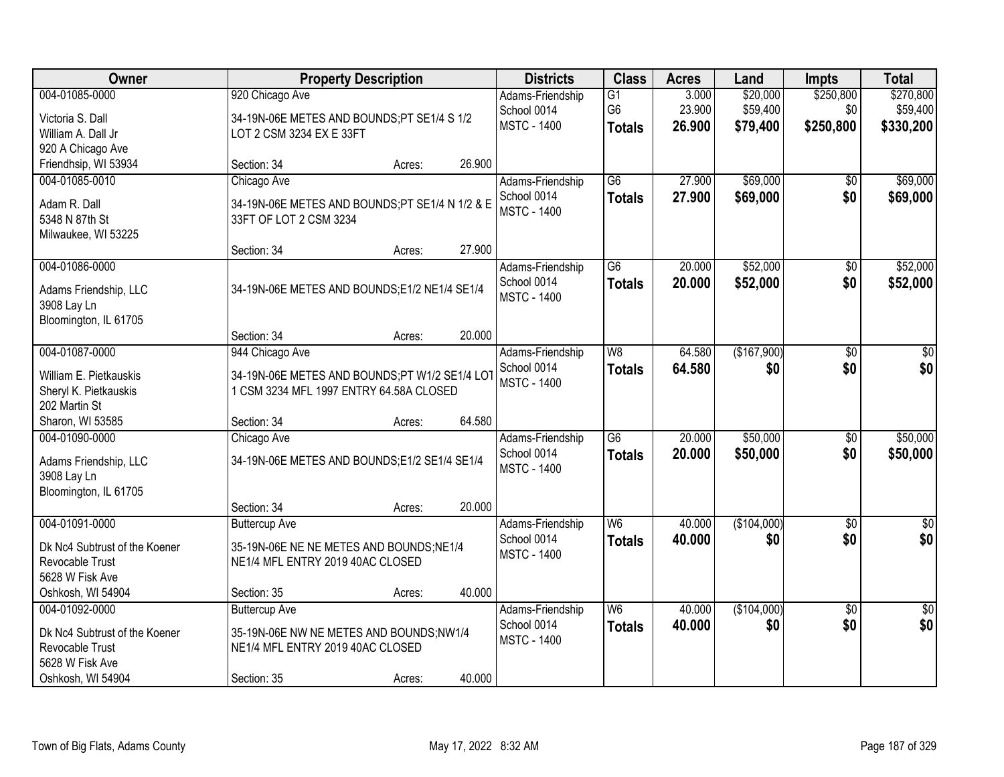| Owner                         |                                                 | <b>Property Description</b> |        | <b>Districts</b>   | <b>Class</b>    | <b>Acres</b> | Land        | <b>Impts</b>    | <b>Total</b> |
|-------------------------------|-------------------------------------------------|-----------------------------|--------|--------------------|-----------------|--------------|-------------|-----------------|--------------|
| 004-01085-0000                | 920 Chicago Ave                                 |                             |        | Adams-Friendship   | $\overline{G1}$ | 3.000        | \$20,000    | \$250,800       | \$270,800    |
| Victoria S. Dall              | 34-19N-06E METES AND BOUNDS;PT SE1/4 S 1/2      |                             |        | School 0014        | G <sub>6</sub>  | 23.900       | \$59,400    | \$0             | \$59,400     |
| William A. Dall Jr            | LOT 2 CSM 3234 EX E 33FT                        |                             |        | <b>MSTC - 1400</b> | <b>Totals</b>   | 26.900       | \$79,400    | \$250,800       | \$330,200    |
| 920 A Chicago Ave             |                                                 |                             |        |                    |                 |              |             |                 |              |
| Friendhsip, WI 53934          | Section: 34                                     | Acres:                      | 26.900 |                    |                 |              |             |                 |              |
| 004-01085-0010                | Chicago Ave                                     |                             |        | Adams-Friendship   | $\overline{G6}$ | 27.900       | \$69,000    | \$0             | \$69,000     |
| Adam R. Dall                  | 34-19N-06E METES AND BOUNDS; PT SE1/4 N 1/2 & E |                             |        | School 0014        | <b>Totals</b>   | 27.900       | \$69,000    | \$0             | \$69,000     |
| 5348 N 87th St                | 33FT OF LOT 2 CSM 3234                          |                             |        | <b>MSTC - 1400</b> |                 |              |             |                 |              |
| Milwaukee, WI 53225           |                                                 |                             |        |                    |                 |              |             |                 |              |
|                               | Section: 34                                     | Acres:                      | 27.900 |                    |                 |              |             |                 |              |
| 004-01086-0000                |                                                 |                             |        | Adams-Friendship   | G6              | 20.000       | \$52,000    | \$0             | \$52,000     |
| Adams Friendship, LLC         | 34-19N-06E METES AND BOUNDS; E1/2 NE1/4 SE1/4   |                             |        | School 0014        | <b>Totals</b>   | 20.000       | \$52,000    | \$0             | \$52,000     |
| 3908 Lay Ln                   |                                                 |                             |        | <b>MSTC - 1400</b> |                 |              |             |                 |              |
| Bloomington, IL 61705         |                                                 |                             |        |                    |                 |              |             |                 |              |
|                               | Section: 34                                     | Acres:                      | 20.000 |                    |                 |              |             |                 |              |
| 004-01087-0000                | 944 Chicago Ave                                 |                             |        | Adams-Friendship   | W8              | 64.580       | (\$167,900) | $\overline{50}$ | \$0          |
| William E. Pietkauskis        | 34-19N-06E METES AND BOUNDS;PT W1/2 SE1/4 LOT   |                             |        | School 0014        | <b>Totals</b>   | 64.580       | \$0         | \$0             | \$0          |
| Sheryl K. Pietkauskis         | 1 CSM 3234 MFL 1997 ENTRY 64.58A CLOSED         |                             |        | <b>MSTC - 1400</b> |                 |              |             |                 |              |
| 202 Martin St                 |                                                 |                             |        |                    |                 |              |             |                 |              |
| Sharon, WI 53585              | Section: 34                                     | Acres:                      | 64.580 |                    |                 |              |             |                 |              |
| 004-01090-0000                | Chicago Ave                                     |                             |        | Adams-Friendship   | $\overline{G6}$ | 20.000       | \$50,000    | $\overline{50}$ | \$50,000     |
| Adams Friendship, LLC         | 34-19N-06E METES AND BOUNDS;E1/2 SE1/4 SE1/4    |                             |        | School 0014        | <b>Totals</b>   | 20.000       | \$50,000    | \$0             | \$50,000     |
| 3908 Lay Ln                   |                                                 |                             |        | <b>MSTC - 1400</b> |                 |              |             |                 |              |
| Bloomington, IL 61705         |                                                 |                             |        |                    |                 |              |             |                 |              |
|                               | Section: 34                                     | Acres:                      | 20.000 |                    |                 |              |             |                 |              |
| 004-01091-0000                | <b>Buttercup Ave</b>                            |                             |        | Adams-Friendship   | W6              | 40.000       | (\$104,000) | $\overline{50}$ | $\sqrt{50}$  |
| Dk Nc4 Subtrust of the Koener | 35-19N-06E NE NE METES AND BOUNDS; NE1/4        |                             |        | School 0014        | <b>Totals</b>   | 40.000       | \$0         | \$0             | \$0          |
| Revocable Trust               | NE1/4 MFL ENTRY 2019 40AC CLOSED                |                             |        | <b>MSTC - 1400</b> |                 |              |             |                 |              |
| 5628 W Fisk Ave               |                                                 |                             |        |                    |                 |              |             |                 |              |
| Oshkosh, WI 54904             | Section: 35                                     | Acres:                      | 40.000 |                    |                 |              |             |                 |              |
| 004-01092-0000                | <b>Buttercup Ave</b>                            |                             |        | Adams-Friendship   | W6              | 40.000       | (\$104,000) | $\overline{50}$ | \$0          |
| Dk Nc4 Subtrust of the Koener | 35-19N-06E NW NE METES AND BOUNDS;NW1/4         |                             |        | School 0014        | <b>Totals</b>   | 40.000       | \$0         | \$0             | \$0          |
| Revocable Trust               | NE1/4 MFL ENTRY 2019 40AC CLOSED                |                             |        | <b>MSTC - 1400</b> |                 |              |             |                 |              |
| 5628 W Fisk Ave               |                                                 |                             |        |                    |                 |              |             |                 |              |
| Oshkosh, WI 54904             | Section: 35                                     | Acres:                      | 40.000 |                    |                 |              |             |                 |              |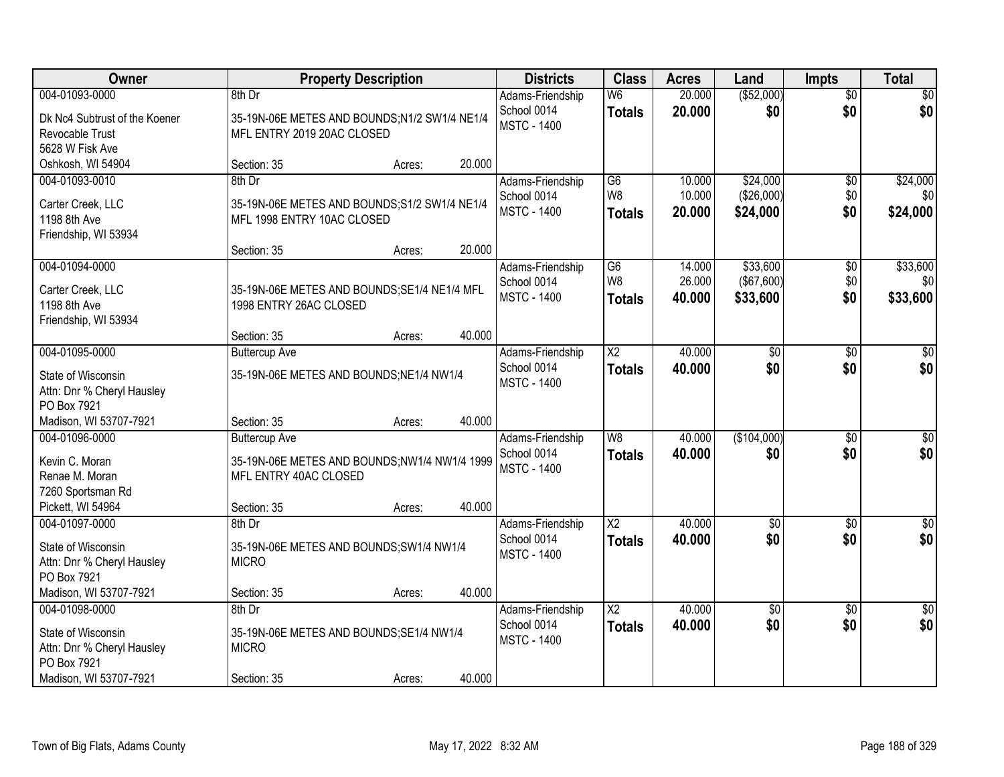| (\$52,000)<br>004-01093-0000<br>W <sub>6</sub><br>20.000<br>$\overline{30}$<br>\$0<br>8th Dr<br>Adams-Friendship<br>\$0<br>\$0<br>\$0<br>School 0014<br>20.000<br><b>Totals</b><br>35-19N-06E METES AND BOUNDS;N1/2 SW1/4 NE1/4<br>Dk Nc4 Subtrust of the Koener<br><b>MSTC - 1400</b><br>MFL ENTRY 2019 20AC CLOSED<br>Revocable Trust<br>5628 W Fisk Ave<br>20.000<br>Oshkosh, WI 54904<br>Section: 35<br>Acres:<br>\$24,000<br>\$24,000<br>004-01093-0010<br>8th Dr<br>$\overline{G6}$<br>10.000<br>$\overline{50}$<br>Adams-Friendship<br>W <sub>8</sub><br>10.000<br>(\$26,000)<br>\$0<br>School 0014<br>\$0<br>Carter Creek, LLC<br>35-19N-06E METES AND BOUNDS; S1/2 SW1/4 NE1/4<br>\$0<br>\$24,000<br><b>MSTC - 1400</b><br>20.000<br>\$24,000<br><b>Totals</b><br>1198 8th Ave<br>MFL 1998 ENTRY 10AC CLOSED<br>Friendship, WI 53934<br>20.000<br>Section: 35<br>Acres:<br>\$33,600<br>\$33,600<br>004-01094-0000<br>Adams-Friendship<br>G6<br>14.000<br>$\overline{60}$<br>W <sub>8</sub><br>(\$67,600)<br>\$0<br>26.000<br>\$0<br>School 0014<br>35-19N-06E METES AND BOUNDS; SE1/4 NE1/4 MFL<br>Carter Creek, LLC<br><b>MSTC - 1400</b><br>\$33,600<br>40.000<br>\$33,600<br>\$0<br><b>Totals</b><br>1198 8th Ave<br>1998 ENTRY 26AC CLOSED<br>Friendship, WI 53934<br>40.000<br>Section: 35<br>Acres:<br>40.000<br>004-01095-0000<br>$\overline{\text{X2}}$<br>$\overline{50}$<br>$\sqrt{50}$<br>Adams-Friendship<br><b>Buttercup Ave</b><br>$\sqrt[6]{3}$<br>\$0<br>\$0<br>\$0<br>School 0014<br>40.000<br><b>Totals</b><br>State of Wisconsin<br>35-19N-06E METES AND BOUNDS; NE1/4 NW1/4<br><b>MSTC - 1400</b><br>Attn: Dnr % Cheryl Hausley<br>PO Box 7921<br>Madison, WI 53707-7921<br>40.000<br>Section: 35<br>Acres:<br>$\overline{W8}$<br>40.000<br>(\$104,000)<br>$\sqrt{50}$<br>004-01096-0000<br>\$0<br><b>Buttercup Ave</b><br>Adams-Friendship<br>\$0<br>40.000<br>\$0<br>\$0<br>School 0014<br><b>Totals</b><br>Kevin C. Moran<br>35-19N-06E METES AND BOUNDS;NW1/4 NW1/4 1999<br><b>MSTC - 1400</b><br>Renae M. Moran<br>MFL ENTRY 40AC CLOSED<br>7260 Sportsman Rd<br>40.000<br>Pickett, WI 54964<br>Section: 35<br>Acres: | Owner | <b>Property Description</b> |  | <b>Districts</b> | <b>Class</b> | <b>Acres</b> | Land | <b>Impts</b> | <b>Total</b> |
|---------------------------------------------------------------------------------------------------------------------------------------------------------------------------------------------------------------------------------------------------------------------------------------------------------------------------------------------------------------------------------------------------------------------------------------------------------------------------------------------------------------------------------------------------------------------------------------------------------------------------------------------------------------------------------------------------------------------------------------------------------------------------------------------------------------------------------------------------------------------------------------------------------------------------------------------------------------------------------------------------------------------------------------------------------------------------------------------------------------------------------------------------------------------------------------------------------------------------------------------------------------------------------------------------------------------------------------------------------------------------------------------------------------------------------------------------------------------------------------------------------------------------------------------------------------------------------------------------------------------------------------------------------------------------------------------------------------------------------------------------------------------------------------------------------------------------------------------------------------------------------------------------------------------------------------------------------------------------------------------------------------------------------------------------------------------------------------------------------------------------------------------------------|-------|-----------------------------|--|------------------|--------------|--------------|------|--------------|--------------|
|                                                                                                                                                                                                                                                                                                                                                                                                                                                                                                                                                                                                                                                                                                                                                                                                                                                                                                                                                                                                                                                                                                                                                                                                                                                                                                                                                                                                                                                                                                                                                                                                                                                                                                                                                                                                                                                                                                                                                                                                                                                                                                                                                         |       |                             |  |                  |              |              |      |              |              |
|                                                                                                                                                                                                                                                                                                                                                                                                                                                                                                                                                                                                                                                                                                                                                                                                                                                                                                                                                                                                                                                                                                                                                                                                                                                                                                                                                                                                                                                                                                                                                                                                                                                                                                                                                                                                                                                                                                                                                                                                                                                                                                                                                         |       |                             |  |                  |              |              |      |              |              |
|                                                                                                                                                                                                                                                                                                                                                                                                                                                                                                                                                                                                                                                                                                                                                                                                                                                                                                                                                                                                                                                                                                                                                                                                                                                                                                                                                                                                                                                                                                                                                                                                                                                                                                                                                                                                                                                                                                                                                                                                                                                                                                                                                         |       |                             |  |                  |              |              |      |              |              |
|                                                                                                                                                                                                                                                                                                                                                                                                                                                                                                                                                                                                                                                                                                                                                                                                                                                                                                                                                                                                                                                                                                                                                                                                                                                                                                                                                                                                                                                                                                                                                                                                                                                                                                                                                                                                                                                                                                                                                                                                                                                                                                                                                         |       |                             |  |                  |              |              |      |              |              |
|                                                                                                                                                                                                                                                                                                                                                                                                                                                                                                                                                                                                                                                                                                                                                                                                                                                                                                                                                                                                                                                                                                                                                                                                                                                                                                                                                                                                                                                                                                                                                                                                                                                                                                                                                                                                                                                                                                                                                                                                                                                                                                                                                         |       |                             |  |                  |              |              |      |              |              |
|                                                                                                                                                                                                                                                                                                                                                                                                                                                                                                                                                                                                                                                                                                                                                                                                                                                                                                                                                                                                                                                                                                                                                                                                                                                                                                                                                                                                                                                                                                                                                                                                                                                                                                                                                                                                                                                                                                                                                                                                                                                                                                                                                         |       |                             |  |                  |              |              |      |              |              |
|                                                                                                                                                                                                                                                                                                                                                                                                                                                                                                                                                                                                                                                                                                                                                                                                                                                                                                                                                                                                                                                                                                                                                                                                                                                                                                                                                                                                                                                                                                                                                                                                                                                                                                                                                                                                                                                                                                                                                                                                                                                                                                                                                         |       |                             |  |                  |              |              |      |              |              |
|                                                                                                                                                                                                                                                                                                                                                                                                                                                                                                                                                                                                                                                                                                                                                                                                                                                                                                                                                                                                                                                                                                                                                                                                                                                                                                                                                                                                                                                                                                                                                                                                                                                                                                                                                                                                                                                                                                                                                                                                                                                                                                                                                         |       |                             |  |                  |              |              |      |              |              |
|                                                                                                                                                                                                                                                                                                                                                                                                                                                                                                                                                                                                                                                                                                                                                                                                                                                                                                                                                                                                                                                                                                                                                                                                                                                                                                                                                                                                                                                                                                                                                                                                                                                                                                                                                                                                                                                                                                                                                                                                                                                                                                                                                         |       |                             |  |                  |              |              |      |              |              |
|                                                                                                                                                                                                                                                                                                                                                                                                                                                                                                                                                                                                                                                                                                                                                                                                                                                                                                                                                                                                                                                                                                                                                                                                                                                                                                                                                                                                                                                                                                                                                                                                                                                                                                                                                                                                                                                                                                                                                                                                                                                                                                                                                         |       |                             |  |                  |              |              |      |              |              |
|                                                                                                                                                                                                                                                                                                                                                                                                                                                                                                                                                                                                                                                                                                                                                                                                                                                                                                                                                                                                                                                                                                                                                                                                                                                                                                                                                                                                                                                                                                                                                                                                                                                                                                                                                                                                                                                                                                                                                                                                                                                                                                                                                         |       |                             |  |                  |              |              |      |              |              |
|                                                                                                                                                                                                                                                                                                                                                                                                                                                                                                                                                                                                                                                                                                                                                                                                                                                                                                                                                                                                                                                                                                                                                                                                                                                                                                                                                                                                                                                                                                                                                                                                                                                                                                                                                                                                                                                                                                                                                                                                                                                                                                                                                         |       |                             |  |                  |              |              |      |              |              |
|                                                                                                                                                                                                                                                                                                                                                                                                                                                                                                                                                                                                                                                                                                                                                                                                                                                                                                                                                                                                                                                                                                                                                                                                                                                                                                                                                                                                                                                                                                                                                                                                                                                                                                                                                                                                                                                                                                                                                                                                                                                                                                                                                         |       |                             |  |                  |              |              |      |              |              |
|                                                                                                                                                                                                                                                                                                                                                                                                                                                                                                                                                                                                                                                                                                                                                                                                                                                                                                                                                                                                                                                                                                                                                                                                                                                                                                                                                                                                                                                                                                                                                                                                                                                                                                                                                                                                                                                                                                                                                                                                                                                                                                                                                         |       |                             |  |                  |              |              |      |              |              |
|                                                                                                                                                                                                                                                                                                                                                                                                                                                                                                                                                                                                                                                                                                                                                                                                                                                                                                                                                                                                                                                                                                                                                                                                                                                                                                                                                                                                                                                                                                                                                                                                                                                                                                                                                                                                                                                                                                                                                                                                                                                                                                                                                         |       |                             |  |                  |              |              |      |              |              |
|                                                                                                                                                                                                                                                                                                                                                                                                                                                                                                                                                                                                                                                                                                                                                                                                                                                                                                                                                                                                                                                                                                                                                                                                                                                                                                                                                                                                                                                                                                                                                                                                                                                                                                                                                                                                                                                                                                                                                                                                                                                                                                                                                         |       |                             |  |                  |              |              |      |              |              |
|                                                                                                                                                                                                                                                                                                                                                                                                                                                                                                                                                                                                                                                                                                                                                                                                                                                                                                                                                                                                                                                                                                                                                                                                                                                                                                                                                                                                                                                                                                                                                                                                                                                                                                                                                                                                                                                                                                                                                                                                                                                                                                                                                         |       |                             |  |                  |              |              |      |              |              |
|                                                                                                                                                                                                                                                                                                                                                                                                                                                                                                                                                                                                                                                                                                                                                                                                                                                                                                                                                                                                                                                                                                                                                                                                                                                                                                                                                                                                                                                                                                                                                                                                                                                                                                                                                                                                                                                                                                                                                                                                                                                                                                                                                         |       |                             |  |                  |              |              |      |              |              |
|                                                                                                                                                                                                                                                                                                                                                                                                                                                                                                                                                                                                                                                                                                                                                                                                                                                                                                                                                                                                                                                                                                                                                                                                                                                                                                                                                                                                                                                                                                                                                                                                                                                                                                                                                                                                                                                                                                                                                                                                                                                                                                                                                         |       |                             |  |                  |              |              |      |              |              |
|                                                                                                                                                                                                                                                                                                                                                                                                                                                                                                                                                                                                                                                                                                                                                                                                                                                                                                                                                                                                                                                                                                                                                                                                                                                                                                                                                                                                                                                                                                                                                                                                                                                                                                                                                                                                                                                                                                                                                                                                                                                                                                                                                         |       |                             |  |                  |              |              |      |              |              |
|                                                                                                                                                                                                                                                                                                                                                                                                                                                                                                                                                                                                                                                                                                                                                                                                                                                                                                                                                                                                                                                                                                                                                                                                                                                                                                                                                                                                                                                                                                                                                                                                                                                                                                                                                                                                                                                                                                                                                                                                                                                                                                                                                         |       |                             |  |                  |              |              |      |              |              |
|                                                                                                                                                                                                                                                                                                                                                                                                                                                                                                                                                                                                                                                                                                                                                                                                                                                                                                                                                                                                                                                                                                                                                                                                                                                                                                                                                                                                                                                                                                                                                                                                                                                                                                                                                                                                                                                                                                                                                                                                                                                                                                                                                         |       |                             |  |                  |              |              |      |              |              |
|                                                                                                                                                                                                                                                                                                                                                                                                                                                                                                                                                                                                                                                                                                                                                                                                                                                                                                                                                                                                                                                                                                                                                                                                                                                                                                                                                                                                                                                                                                                                                                                                                                                                                                                                                                                                                                                                                                                                                                                                                                                                                                                                                         |       |                             |  |                  |              |              |      |              |              |
|                                                                                                                                                                                                                                                                                                                                                                                                                                                                                                                                                                                                                                                                                                                                                                                                                                                                                                                                                                                                                                                                                                                                                                                                                                                                                                                                                                                                                                                                                                                                                                                                                                                                                                                                                                                                                                                                                                                                                                                                                                                                                                                                                         |       |                             |  |                  |              |              |      |              |              |
|                                                                                                                                                                                                                                                                                                                                                                                                                                                                                                                                                                                                                                                                                                                                                                                                                                                                                                                                                                                                                                                                                                                                                                                                                                                                                                                                                                                                                                                                                                                                                                                                                                                                                                                                                                                                                                                                                                                                                                                                                                                                                                                                                         |       |                             |  |                  |              |              |      |              |              |
| $\overline{\text{X2}}$<br>40.000<br>$\overline{\$0}$<br>004-01097-0000<br>$\overline{50}$<br>$\overline{50}$<br>8th Dr<br>Adams-Friendship                                                                                                                                                                                                                                                                                                                                                                                                                                                                                                                                                                                                                                                                                                                                                                                                                                                                                                                                                                                                                                                                                                                                                                                                                                                                                                                                                                                                                                                                                                                                                                                                                                                                                                                                                                                                                                                                                                                                                                                                              |       |                             |  |                  |              |              |      |              |              |
| \$0<br>\$0<br>\$0<br>School 0014<br>40.000<br><b>Totals</b><br>State of Wisconsin<br>35-19N-06E METES AND BOUNDS; SW1/4 NW1/4                                                                                                                                                                                                                                                                                                                                                                                                                                                                                                                                                                                                                                                                                                                                                                                                                                                                                                                                                                                                                                                                                                                                                                                                                                                                                                                                                                                                                                                                                                                                                                                                                                                                                                                                                                                                                                                                                                                                                                                                                           |       |                             |  |                  |              |              |      |              |              |
| <b>MSTC - 1400</b><br>Attn: Dnr % Cheryl Hausley<br><b>MICRO</b>                                                                                                                                                                                                                                                                                                                                                                                                                                                                                                                                                                                                                                                                                                                                                                                                                                                                                                                                                                                                                                                                                                                                                                                                                                                                                                                                                                                                                                                                                                                                                                                                                                                                                                                                                                                                                                                                                                                                                                                                                                                                                        |       |                             |  |                  |              |              |      |              |              |
| PO Box 7921                                                                                                                                                                                                                                                                                                                                                                                                                                                                                                                                                                                                                                                                                                                                                                                                                                                                                                                                                                                                                                                                                                                                                                                                                                                                                                                                                                                                                                                                                                                                                                                                                                                                                                                                                                                                                                                                                                                                                                                                                                                                                                                                             |       |                             |  |                  |              |              |      |              |              |
| Madison, WI 53707-7921<br>40.000<br>Section: 35<br>Acres:                                                                                                                                                                                                                                                                                                                                                                                                                                                                                                                                                                                                                                                                                                                                                                                                                                                                                                                                                                                                                                                                                                                                                                                                                                                                                                                                                                                                                                                                                                                                                                                                                                                                                                                                                                                                                                                                                                                                                                                                                                                                                               |       |                             |  |                  |              |              |      |              |              |
| 40.000<br>004-01098-0000<br>$\overline{X2}$<br>$\sqrt{30}$<br>$8th$ Dr<br>Adams-Friendship<br>$\overline{50}$<br>\$0                                                                                                                                                                                                                                                                                                                                                                                                                                                                                                                                                                                                                                                                                                                                                                                                                                                                                                                                                                                                                                                                                                                                                                                                                                                                                                                                                                                                                                                                                                                                                                                                                                                                                                                                                                                                                                                                                                                                                                                                                                    |       |                             |  |                  |              |              |      |              |              |
| \$0<br>\$0<br>\$0<br>School 0014<br>40.000<br><b>Totals</b>                                                                                                                                                                                                                                                                                                                                                                                                                                                                                                                                                                                                                                                                                                                                                                                                                                                                                                                                                                                                                                                                                                                                                                                                                                                                                                                                                                                                                                                                                                                                                                                                                                                                                                                                                                                                                                                                                                                                                                                                                                                                                             |       |                             |  |                  |              |              |      |              |              |
| State of Wisconsin<br>35-19N-06E METES AND BOUNDS; SE1/4 NW1/4<br><b>MSTC - 1400</b><br><b>MICRO</b>                                                                                                                                                                                                                                                                                                                                                                                                                                                                                                                                                                                                                                                                                                                                                                                                                                                                                                                                                                                                                                                                                                                                                                                                                                                                                                                                                                                                                                                                                                                                                                                                                                                                                                                                                                                                                                                                                                                                                                                                                                                    |       |                             |  |                  |              |              |      |              |              |
| Attn: Dnr % Cheryl Hausley<br>PO Box 7921                                                                                                                                                                                                                                                                                                                                                                                                                                                                                                                                                                                                                                                                                                                                                                                                                                                                                                                                                                                                                                                                                                                                                                                                                                                                                                                                                                                                                                                                                                                                                                                                                                                                                                                                                                                                                                                                                                                                                                                                                                                                                                               |       |                             |  |                  |              |              |      |              |              |
| 40.000<br>Madison, WI 53707-7921<br>Section: 35<br>Acres:                                                                                                                                                                                                                                                                                                                                                                                                                                                                                                                                                                                                                                                                                                                                                                                                                                                                                                                                                                                                                                                                                                                                                                                                                                                                                                                                                                                                                                                                                                                                                                                                                                                                                                                                                                                                                                                                                                                                                                                                                                                                                               |       |                             |  |                  |              |              |      |              |              |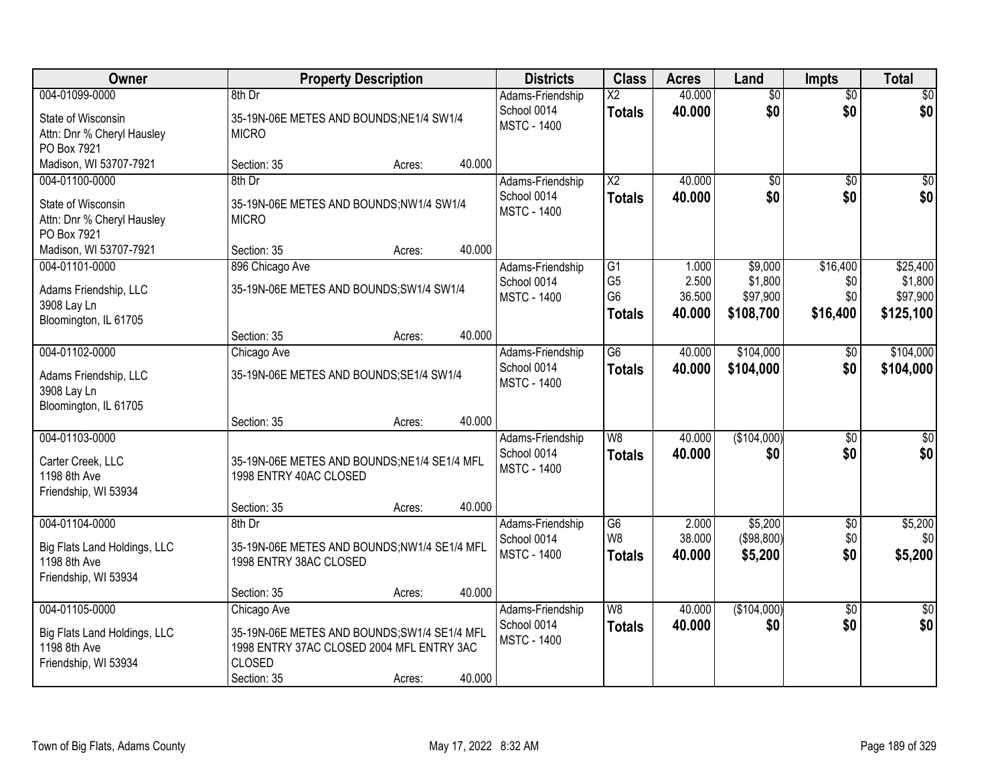| Owner                                    |                                              | <b>Property Description</b> |        | <b>Districts</b>                  | <b>Class</b>    | <b>Acres</b>     | Land               | <b>Impts</b>           | <b>Total</b>       |
|------------------------------------------|----------------------------------------------|-----------------------------|--------|-----------------------------------|-----------------|------------------|--------------------|------------------------|--------------------|
| 004-01099-0000                           | $8th$ Dr                                     |                             |        | Adams-Friendship                  | $\overline{X2}$ | 40.000           | $\overline{50}$    | $\overline{50}$        | \$0                |
| State of Wisconsin                       | 35-19N-06E METES AND BOUNDS; NE1/4 SW1/4     |                             |        | School 0014                       | <b>Totals</b>   | 40.000           | \$0                | \$0                    | \$0                |
| Attn: Dnr % Cheryl Hausley               | <b>MICRO</b>                                 |                             |        | <b>MSTC - 1400</b>                |                 |                  |                    |                        |                    |
| PO Box 7921                              |                                              |                             |        |                                   |                 |                  |                    |                        |                    |
| Madison, WI 53707-7921                   | Section: 35                                  | Acres:                      | 40.000 |                                   |                 |                  |                    |                        |                    |
| 004-01100-0000                           | 8th Dr                                       |                             |        | Adams-Friendship                  | $\overline{X2}$ | 40.000           | $\overline{50}$    | \$0                    | \$0                |
| State of Wisconsin                       | 35-19N-06E METES AND BOUNDS;NW1/4 SW1/4      |                             |        | School 0014<br><b>MSTC - 1400</b> | <b>Totals</b>   | 40.000           | \$0                | \$0                    | \$0                |
| Attn: Dnr % Cheryl Hausley               | <b>MICRO</b>                                 |                             |        |                                   |                 |                  |                    |                        |                    |
| PO Box 7921                              |                                              |                             | 40.000 |                                   |                 |                  |                    |                        |                    |
| Madison, WI 53707-7921<br>004-01101-0000 | Section: 35<br>896 Chicago Ave               | Acres:                      |        | Adams-Friendship                  | $\overline{G1}$ | 1.000            | \$9,000            | \$16,400               | \$25,400           |
|                                          |                                              |                             |        | School 0014                       | G <sub>5</sub>  | 2.500            | \$1,800            | \$0                    | \$1,800            |
| Adams Friendship, LLC                    | 35-19N-06E METES AND BOUNDS; SW1/4 SW1/4     |                             |        | <b>MSTC - 1400</b>                | G <sub>6</sub>  | 36.500           | \$97,900           | \$0                    | \$97,900           |
| 3908 Lay Ln                              |                                              |                             |        |                                   | <b>Totals</b>   | 40.000           | \$108,700          | \$16,400               | \$125,100          |
| Bloomington, IL 61705                    | Section: 35                                  | Acres:                      | 40.000 |                                   |                 |                  |                    |                        |                    |
| 004-01102-0000                           | Chicago Ave                                  |                             |        | Adams-Friendship                  | $\overline{G6}$ | 40.000           | \$104,000          | \$0                    | \$104,000          |
|                                          |                                              |                             |        | School 0014                       | <b>Totals</b>   | 40.000           | \$104,000          | \$0                    | \$104,000          |
| Adams Friendship, LLC<br>3908 Lay Ln     | 35-19N-06E METES AND BOUNDS; SE1/4 SW1/4     |                             |        | <b>MSTC - 1400</b>                |                 |                  |                    |                        |                    |
| Bloomington, IL 61705                    |                                              |                             |        |                                   |                 |                  |                    |                        |                    |
|                                          | Section: 35                                  | Acres:                      | 40.000 |                                   |                 |                  |                    |                        |                    |
| 004-01103-0000                           |                                              |                             |        | Adams-Friendship                  | $\overline{W8}$ | 40.000           | (\$104,000)        | $\overline{50}$        | $\sqrt{50}$        |
| Carter Creek, LLC                        | 35-19N-06E METES AND BOUNDS; NE1/4 SE1/4 MFL |                             |        | School 0014                       | <b>Totals</b>   | 40.000           | \$0                | \$0                    | \$0                |
| 1198 8th Ave                             | 1998 ENTRY 40AC CLOSED                       |                             |        | <b>MSTC - 1400</b>                |                 |                  |                    |                        |                    |
| Friendship, WI 53934                     |                                              |                             |        |                                   |                 |                  |                    |                        |                    |
|                                          | Section: 35                                  | Acres:                      | 40.000 |                                   |                 |                  |                    |                        |                    |
| 004-01104-0000                           | 8th Dr                                       |                             |        | Adams-Friendship                  | G6              | 2.000            | \$5,200            | $\sqrt{6}$             | \$5,200            |
| Big Flats Land Holdings, LLC             | 35-19N-06E METES AND BOUNDS;NW1/4 SE1/4 MFL  |                             |        | School 0014                       | W <sub>8</sub>  | 38.000           | (\$98,800)         | \$0                    | \$0                |
| 1198 8th Ave                             | 1998 ENTRY 38AC CLOSED                       |                             |        | <b>MSTC - 1400</b>                | <b>Totals</b>   | 40.000           | \$5,200            | \$0                    | \$5,200            |
| Friendship, WI 53934                     |                                              |                             |        |                                   |                 |                  |                    |                        |                    |
|                                          | Section: 35                                  | Acres:                      | 40.000 |                                   |                 |                  |                    |                        |                    |
| 004-01105-0000                           | Chicago Ave                                  |                             |        | Adams-Friendship<br>School 0014   | W8              | 40.000<br>40.000 | (\$104,000)<br>\$0 | $\overline{30}$<br>\$0 | $\sqrt{50}$<br>\$0 |
| Big Flats Land Holdings, LLC             | 35-19N-06E METES AND BOUNDS; SW1/4 SE1/4 MFL |                             |        | <b>MSTC - 1400</b>                | <b>Totals</b>   |                  |                    |                        |                    |
| 1198 8th Ave                             | 1998 ENTRY 37AC CLOSED 2004 MFL ENTRY 3AC    |                             |        |                                   |                 |                  |                    |                        |                    |
| Friendship, WI 53934                     | <b>CLOSED</b>                                |                             | 40.000 |                                   |                 |                  |                    |                        |                    |
|                                          | Section: 35                                  | Acres:                      |        |                                   |                 |                  |                    |                        |                    |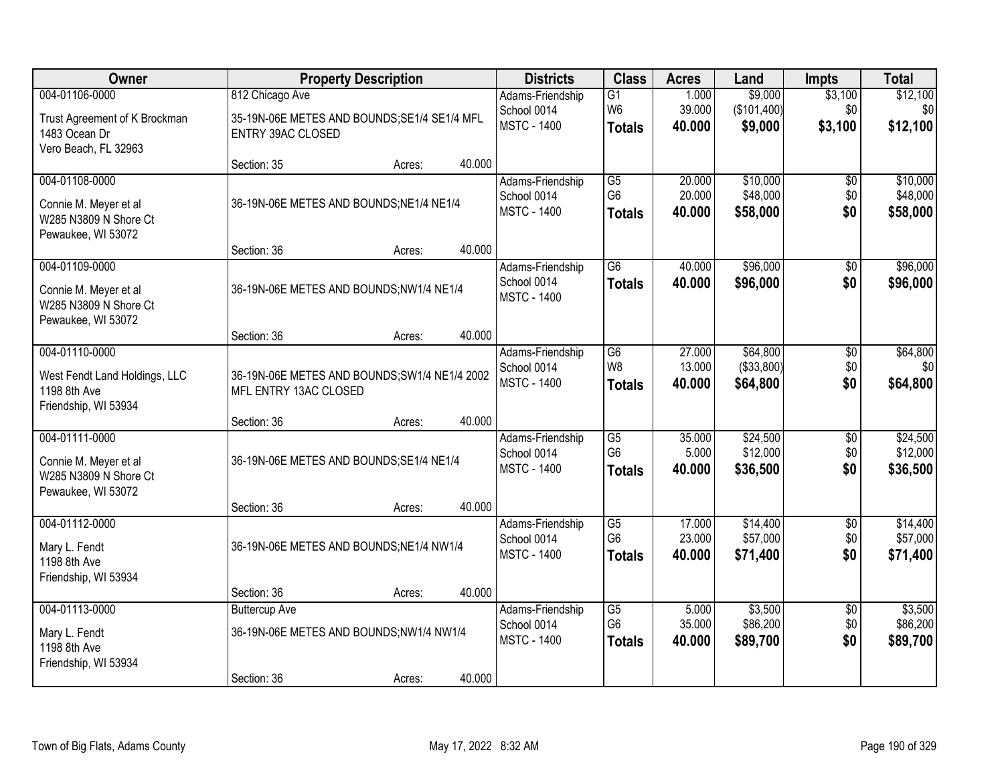| Owner                                                                                   |                                                                                             | <b>Property Description</b> |        | <b>Districts</b>                                      | <b>Class</b>                                       | <b>Acres</b>               | Land                                | <b>Impts</b>                  | <b>Total</b>                     |
|-----------------------------------------------------------------------------------------|---------------------------------------------------------------------------------------------|-----------------------------|--------|-------------------------------------------------------|----------------------------------------------------|----------------------------|-------------------------------------|-------------------------------|----------------------------------|
| 004-01106-0000<br>Trust Agreement of K Brockman<br>1483 Ocean Dr                        | 812 Chicago Ave<br>35-19N-06E METES AND BOUNDS; SE1/4 SE1/4 MFL<br><b>ENTRY 39AC CLOSED</b> |                             |        | Adams-Friendship<br>School 0014<br><b>MSTC - 1400</b> | G1<br>W <sub>6</sub><br><b>Totals</b>              | 1.000<br>39.000<br>40.000  | \$9,000<br>(\$101,400)<br>\$9,000   | \$3,100<br>\$0<br>\$3,100     | \$12,100<br>\$0<br>\$12,100      |
| Vero Beach, FL 32963                                                                    | Section: 35                                                                                 | Acres:                      | 40.000 |                                                       |                                                    |                            |                                     |                               |                                  |
| 004-01108-0000<br>Connie M. Meyer et al<br>W285 N3809 N Shore Ct<br>Pewaukee, WI 53072  | 36-19N-06E METES AND BOUNDS; NE1/4 NE1/4                                                    |                             |        | Adams-Friendship<br>School 0014<br><b>MSTC - 1400</b> | $\overline{G5}$<br>G <sub>6</sub><br><b>Totals</b> | 20.000<br>20.000<br>40.000 | \$10,000<br>\$48,000<br>\$58,000    | $\overline{50}$<br>\$0<br>\$0 | \$10,000<br>\$48,000<br>\$58,000 |
| 004-01109-0000                                                                          | Section: 36                                                                                 | Acres:                      | 40.000 | Adams-Friendship                                      | G6                                                 | 40.000                     | \$96,000                            | \$0                           | \$96,000                         |
| Connie M. Meyer et al<br>W285 N3809 N Shore Ct<br>Pewaukee, WI 53072                    | 36-19N-06E METES AND BOUNDS;NW1/4 NE1/4                                                     |                             |        | School 0014<br><b>MSTC - 1400</b>                     | <b>Totals</b>                                      | 40.000                     | \$96,000                            | \$0                           | \$96,000                         |
|                                                                                         | Section: 36                                                                                 | Acres:                      | 40.000 |                                                       |                                                    |                            |                                     |                               |                                  |
| 004-01110-0000<br>West Fendt Land Holdings, LLC<br>1198 8th Ave<br>Friendship, WI 53934 | 36-19N-06E METES AND BOUNDS; SW1/4 NE1/4 2002<br>MFL ENTRY 13AC CLOSED                      |                             |        | Adams-Friendship<br>School 0014<br><b>MSTC - 1400</b> | G <sub>6</sub><br>W <sub>8</sub><br><b>Totals</b>  | 27.000<br>13.000<br>40.000 | \$64,800<br>( \$33,800)<br>\$64,800 | \$0<br>\$0<br>\$0             | \$64,800<br>\$0<br>\$64,800      |
|                                                                                         | Section: 36                                                                                 | Acres:                      | 40.000 |                                                       |                                                    |                            |                                     |                               |                                  |
| 004-01111-0000<br>Connie M. Meyer et al<br>W285 N3809 N Shore Ct<br>Pewaukee, WI 53072  | 36-19N-06E METES AND BOUNDS; SE1/4 NE1/4                                                    |                             |        | Adams-Friendship<br>School 0014<br><b>MSTC - 1400</b> | $\overline{G5}$<br>G <sub>6</sub><br><b>Totals</b> | 35.000<br>5.000<br>40.000  | \$24,500<br>\$12,000<br>\$36,500    | $\overline{50}$<br>\$0<br>\$0 | \$24,500<br>\$12,000<br>\$36,500 |
|                                                                                         | Section: 36                                                                                 | Acres:                      | 40.000 |                                                       |                                                    |                            |                                     |                               |                                  |
| 004-01112-0000<br>Mary L. Fendt<br>1198 8th Ave<br>Friendship, WI 53934                 | 36-19N-06E METES AND BOUNDS; NE1/4 NW1/4                                                    |                             |        | Adams-Friendship<br>School 0014<br><b>MSTC - 1400</b> | G5<br>G <sub>6</sub><br><b>Totals</b>              | 17.000<br>23.000<br>40.000 | \$14,400<br>\$57,000<br>\$71,400    | $\overline{50}$<br>\$0<br>\$0 | \$14,400<br>\$57,000<br>\$71,400 |
|                                                                                         | Section: 36                                                                                 | Acres:                      | 40.000 |                                                       |                                                    |                            |                                     |                               |                                  |
| 004-01113-0000<br>Mary L. Fendt<br>1198 8th Ave<br>Friendship, WI 53934                 | <b>Buttercup Ave</b><br>36-19N-06E METES AND BOUNDS;NW1/4 NW1/4<br>Section: 36              | Acres:                      | 40.000 | Adams-Friendship<br>School 0014<br><b>MSTC - 1400</b> | $\overline{G5}$<br>G <sub>6</sub><br><b>Totals</b> | 5.000<br>35.000<br>40.000  | \$3,500<br>\$86,200<br>\$89,700     | $\overline{50}$<br>\$0<br>\$0 | \$3,500<br>\$86,200<br>\$89,700  |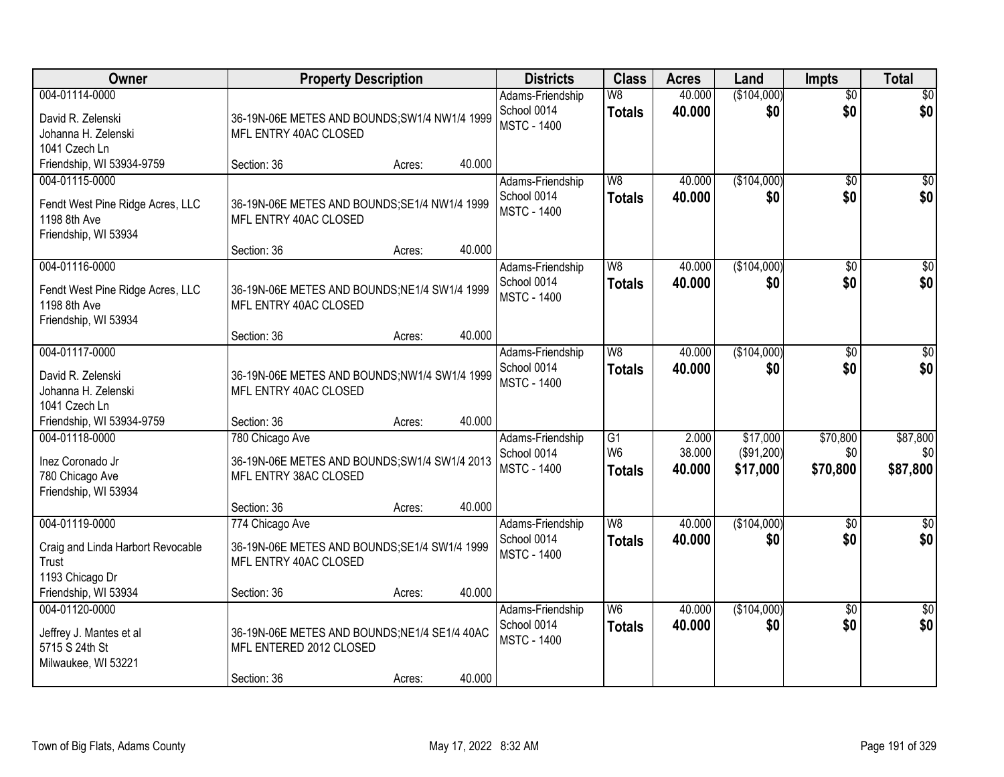| Owner                                                                                      |                                                                                           | <b>Property Description</b> |        | <b>Districts</b>                                      | <b>Class</b>                                       | <b>Acres</b>              | Land                               | <b>Impts</b>                | <b>Total</b>                |
|--------------------------------------------------------------------------------------------|-------------------------------------------------------------------------------------------|-----------------------------|--------|-------------------------------------------------------|----------------------------------------------------|---------------------------|------------------------------------|-----------------------------|-----------------------------|
| 004-01114-0000<br>David R. Zelenski<br>Johanna H. Zelenski<br>1041 Czech Ln                | 36-19N-06E METES AND BOUNDS; SW1/4 NW1/4 1999<br>MFL ENTRY 40AC CLOSED                    |                             |        | Adams-Friendship<br>School 0014<br><b>MSTC - 1400</b> | W8<br><b>Totals</b>                                | 40.000<br>40.000          | (\$104,000)<br>\$0                 | $\overline{50}$<br>\$0      | \$0<br>\$0                  |
| Friendship, WI 53934-9759                                                                  | Section: 36                                                                               | Acres:                      | 40.000 |                                                       |                                                    |                           |                                    |                             |                             |
| 004-01115-0000<br>Fendt West Pine Ridge Acres, LLC<br>1198 8th Ave<br>Friendship, WI 53934 | 36-19N-06E METES AND BOUNDS; SE1/4 NW1/4 1999<br>MFL ENTRY 40AC CLOSED                    |                             |        | Adams-Friendship<br>School 0014<br><b>MSTC - 1400</b> | W8<br><b>Totals</b>                                | 40.000<br>40.000          | (\$104,000)<br>\$0                 | \$0<br>\$0                  | \$0<br>\$0                  |
|                                                                                            | Section: 36                                                                               | Acres:                      | 40.000 |                                                       |                                                    |                           |                                    |                             |                             |
| 004-01116-0000<br>Fendt West Pine Ridge Acres, LLC<br>1198 8th Ave<br>Friendship, WI 53934 | 36-19N-06E METES AND BOUNDS; NE1/4 SW1/4 1999<br>MFL ENTRY 40AC CLOSED                    |                             |        | Adams-Friendship<br>School 0014<br><b>MSTC - 1400</b> | W <sub>8</sub><br><b>Totals</b>                    | 40.000<br>40.000          | (\$104,000)<br>\$0                 | \$0<br>\$0                  | $\overline{\$0}$<br>\$0     |
|                                                                                            | Section: 36                                                                               | Acres:                      | 40.000 |                                                       |                                                    |                           |                                    |                             |                             |
| 004-01117-0000<br>David R. Zelenski<br>Johanna H. Zelenski<br>1041 Czech Ln                | 36-19N-06E METES AND BOUNDS; NW1/4 SW1/4 1999<br>MFL ENTRY 40AC CLOSED                    |                             |        | Adams-Friendship<br>School 0014<br><b>MSTC - 1400</b> | W <sub>8</sub><br><b>Totals</b>                    | 40.000<br>40.000          | (\$104,000)<br>\$0                 | $\sqrt[6]{3}$<br>\$0        | $\sqrt{50}$<br>\$0          |
| Friendship, WI 53934-9759                                                                  | Section: 36                                                                               | Acres:                      | 40.000 |                                                       |                                                    |                           |                                    |                             |                             |
| 004-01118-0000<br>Inez Coronado Jr<br>780 Chicago Ave<br>Friendship, WI 53934              | 780 Chicago Ave<br>36-19N-06E METES AND BOUNDS; SW1/4 SW1/4 2013<br>MFL ENTRY 38AC CLOSED |                             |        | Adams-Friendship<br>School 0014<br><b>MSTC - 1400</b> | $\overline{G1}$<br>W <sub>6</sub><br><b>Totals</b> | 2.000<br>38.000<br>40.000 | \$17,000<br>(\$91,200)<br>\$17,000 | \$70,800<br>\$0<br>\$70,800 | \$87,800<br>\$0<br>\$87,800 |
|                                                                                            | Section: 36                                                                               | Acres:                      | 40.000 |                                                       |                                                    |                           |                                    |                             |                             |
| 004-01119-0000<br>Craig and Linda Harbort Revocable<br>Trust<br>1193 Chicago Dr            | 774 Chicago Ave<br>36-19N-06E METES AND BOUNDS; SE1/4 SW1/4 1999<br>MFL ENTRY 40AC CLOSED |                             |        | Adams-Friendship<br>School 0014<br><b>MSTC - 1400</b> | W8<br><b>Totals</b>                                | 40.000<br>40.000          | (\$104,000)<br>\$0                 | \$0<br>\$0                  | \$0<br>\$0                  |
| Friendship, WI 53934                                                                       | Section: 36                                                                               | Acres:                      | 40.000 |                                                       |                                                    |                           |                                    |                             |                             |
| 004-01120-0000<br>Jeffrey J. Mantes et al<br>5715 S 24th St<br>Milwaukee, WI 53221         | 36-19N-06E METES AND BOUNDS; NE1/4 SE1/4 40AC<br>MFL ENTERED 2012 CLOSED<br>Section: 36   | Acres:                      | 40.000 | Adams-Friendship<br>School 0014<br><b>MSTC - 1400</b> | W <sub>6</sub><br><b>Totals</b>                    | 40.000<br>40.000          | (\$104,000)<br>\$0                 | $\overline{30}$<br>\$0      | $\overline{50}$<br>\$0      |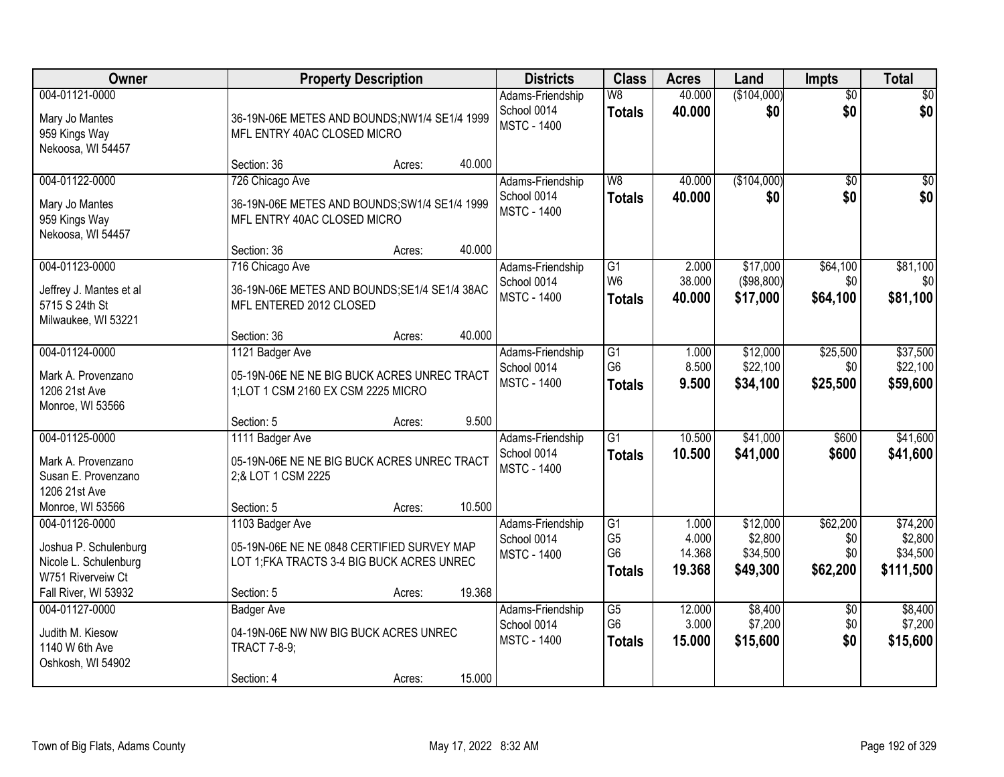| <b>Owner</b>                                                                          |                                                                                                             | <b>Property Description</b> |        | <b>Districts</b>                                      | <b>Class</b>                                            | <b>Acres</b>                       | Land                                        | <b>Impts</b>                       | <b>Total</b>                                 |
|---------------------------------------------------------------------------------------|-------------------------------------------------------------------------------------------------------------|-----------------------------|--------|-------------------------------------------------------|---------------------------------------------------------|------------------------------------|---------------------------------------------|------------------------------------|----------------------------------------------|
| 004-01121-0000<br>Mary Jo Mantes<br>959 Kings Way<br>Nekoosa, WI 54457                | 36-19N-06E METES AND BOUNDS;NW1/4 SE1/4 1999<br>MFL ENTRY 40AC CLOSED MICRO                                 |                             |        | Adams-Friendship<br>School 0014<br><b>MSTC - 1400</b> | W8<br><b>Totals</b>                                     | 40.000<br>40.000                   | (\$104,000)<br>\$0                          | $\overline{50}$<br>\$0             | \$0<br>\$0                                   |
|                                                                                       | Section: 36                                                                                                 | Acres:                      | 40.000 |                                                       |                                                         |                                    |                                             |                                    |                                              |
| 004-01122-0000<br>Mary Jo Mantes<br>959 Kings Way<br>Nekoosa, WI 54457                | 726 Chicago Ave<br>36-19N-06E METES AND BOUNDS; SW1/4 SE1/4 1999<br>MFL ENTRY 40AC CLOSED MICRO             |                             |        | Adams-Friendship<br>School 0014<br><b>MSTC - 1400</b> | W8<br><b>Totals</b>                                     | 40.000<br>40.000                   | (\$104,000)<br>\$0                          | \$0<br>\$0                         | \$0<br>\$0                                   |
|                                                                                       | Section: 36                                                                                                 | Acres:                      | 40.000 |                                                       |                                                         |                                    |                                             |                                    |                                              |
| 004-01123-0000<br>Jeffrey J. Mantes et al<br>5715 S 24th St<br>Milwaukee, WI 53221    | 716 Chicago Ave<br>36-19N-06E METES AND BOUNDS; SE1/4 SE1/4 38AC<br>MFL ENTERED 2012 CLOSED                 |                             |        | Adams-Friendship<br>School 0014<br><b>MSTC - 1400</b> | $\overline{G1}$<br>W <sub>6</sub><br><b>Totals</b>      | 2.000<br>38.000<br>40.000          | \$17,000<br>(\$98,800)<br>\$17,000          | \$64,100<br>\$0<br>\$64,100        | \$81,100<br>\$0<br>\$81,100                  |
|                                                                                       | Section: 36                                                                                                 | Acres:                      | 40.000 |                                                       |                                                         |                                    |                                             |                                    |                                              |
| 004-01124-0000<br>Mark A. Provenzano<br>1206 21st Ave<br>Monroe, WI 53566             | 1121 Badger Ave<br>05-19N-06E NE NE BIG BUCK ACRES UNREC TRACT<br>1;LOT 1 CSM 2160 EX CSM 2225 MICRO        |                             |        | Adams-Friendship<br>School 0014<br><b>MSTC - 1400</b> | $\overline{G1}$<br>G <sub>6</sub><br><b>Totals</b>      | 1.000<br>8.500<br>9.500            | \$12,000<br>\$22,100<br>\$34,100            | \$25,500<br>\$0<br>\$25,500        | \$37,500<br>\$22,100<br>\$59,600             |
|                                                                                       | Section: 5                                                                                                  | Acres:                      | 9.500  |                                                       |                                                         |                                    |                                             |                                    |                                              |
| 004-01125-0000<br>Mark A. Provenzano<br>Susan E. Provenzano<br>1206 21st Ave          | 1111 Badger Ave<br>05-19N-06E NE NE BIG BUCK ACRES UNREC TRACT<br>2;& LOT 1 CSM 2225                        |                             |        | Adams-Friendship<br>School 0014<br><b>MSTC - 1400</b> | $\overline{G1}$<br><b>Totals</b>                        | 10.500<br>10.500                   | \$41,000<br>\$41,000                        | \$600<br>\$600                     | \$41,600<br>\$41,600                         |
| Monroe, WI 53566                                                                      | Section: 5                                                                                                  | Acres:                      | 10.500 |                                                       |                                                         |                                    |                                             |                                    |                                              |
| 004-01126-0000<br>Joshua P. Schulenburg<br>Nicole L. Schulenburg<br>W751 Riverveiw Ct | 1103 Badger Ave<br>05-19N-06E NE NE 0848 CERTIFIED SURVEY MAP<br>LOT 1; FKA TRACTS 3-4 BIG BUCK ACRES UNREC |                             |        | Adams-Friendship<br>School 0014<br><b>MSTC - 1400</b> | G1<br>G <sub>5</sub><br>G <sub>6</sub><br><b>Totals</b> | 1.000<br>4.000<br>14.368<br>19.368 | \$12,000<br>\$2,800<br>\$34,500<br>\$49,300 | \$62,200<br>\$0<br>\$0<br>\$62,200 | \$74,200<br>\$2,800<br>\$34,500<br>\$111,500 |
| Fall River, WI 53932                                                                  | Section: 5                                                                                                  | Acres:                      | 19.368 |                                                       |                                                         |                                    |                                             |                                    |                                              |
| 004-01127-0000<br>Judith M. Kiesow<br>1140 W 6th Ave<br>Oshkosh, WI 54902             | <b>Badger Ave</b><br>04-19N-06E NW NW BIG BUCK ACRES UNREC<br><b>TRACT 7-8-9;</b>                           |                             |        | Adams-Friendship<br>School 0014<br><b>MSTC - 1400</b> | $\overline{G5}$<br>G <sub>6</sub><br><b>Totals</b>      | 12.000<br>3.000<br>15.000          | \$8,400<br>\$7,200<br>\$15,600              | $\overline{50}$<br>\$0<br>\$0      | \$8,400<br>\$7,200<br>\$15,600               |
|                                                                                       | Section: 4                                                                                                  | Acres:                      | 15.000 |                                                       |                                                         |                                    |                                             |                                    |                                              |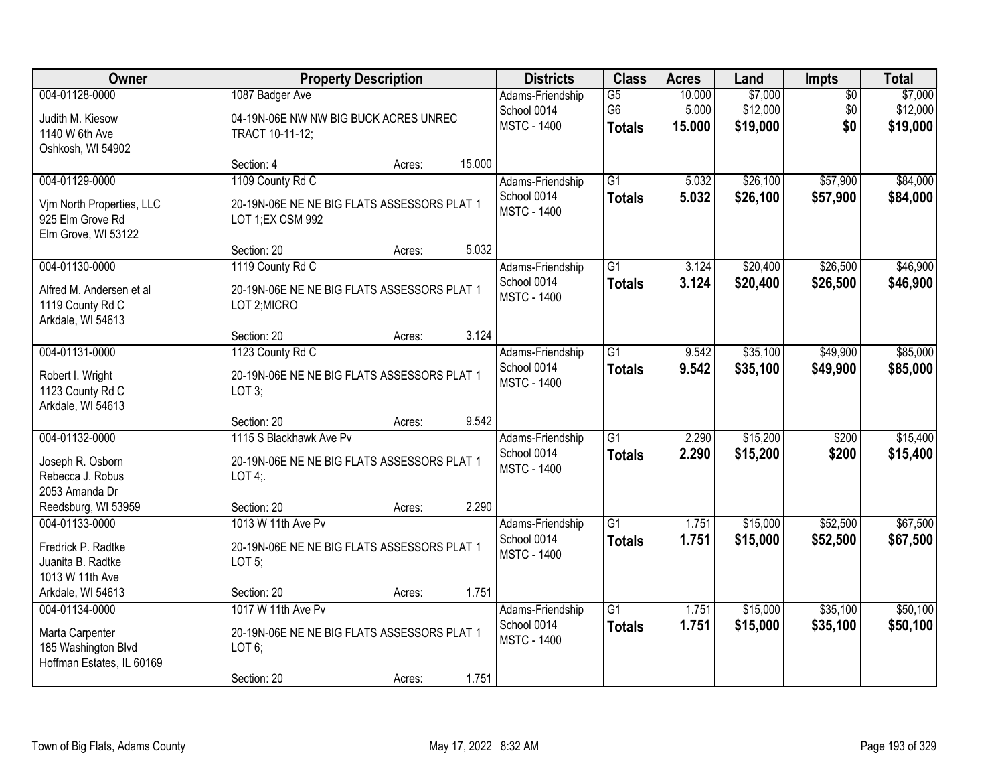| Owner                                                                                  |                                                                                           | <b>Property Description</b> |        | <b>Districts</b>                                      | <b>Class</b>                          | <b>Acres</b>              | Land                            | Impts                         | <b>Total</b>                    |
|----------------------------------------------------------------------------------------|-------------------------------------------------------------------------------------------|-----------------------------|--------|-------------------------------------------------------|---------------------------------------|---------------------------|---------------------------------|-------------------------------|---------------------------------|
| 004-01128-0000<br>Judith M. Kiesow<br>1140 W 6th Ave<br>Oshkosh, WI 54902              | 1087 Badger Ave<br>04-19N-06E NW NW BIG BUCK ACRES UNREC<br>TRACT 10-11-12;               |                             |        | Adams-Friendship<br>School 0014<br><b>MSTC - 1400</b> | G5<br>G <sub>6</sub><br><b>Totals</b> | 10.000<br>5.000<br>15.000 | \$7,000<br>\$12,000<br>\$19,000 | $\overline{50}$<br>\$0<br>\$0 | \$7,000<br>\$12,000<br>\$19,000 |
|                                                                                        | Section: 4                                                                                | Acres:                      | 15.000 |                                                       |                                       |                           |                                 |                               |                                 |
| 004-01129-0000<br>Vim North Properties, LLC<br>925 Elm Grove Rd<br>Elm Grove, WI 53122 | 1109 County Rd C<br>20-19N-06E NE NE BIG FLATS ASSESSORS PLAT 1<br>LOT 1;EX CSM 992       |                             |        | Adams-Friendship<br>School 0014<br><b>MSTC - 1400</b> | $\overline{G1}$<br><b>Totals</b>      | 5.032<br>5.032            | \$26,100<br>\$26,100            | \$57,900<br>\$57,900          | \$84,000<br>\$84,000            |
|                                                                                        | Section: 20                                                                               | Acres:                      | 5.032  |                                                       |                                       |                           |                                 |                               |                                 |
| 004-01130-0000<br>Alfred M. Andersen et al<br>1119 County Rd C<br>Arkdale, WI 54613    | 1119 County Rd C<br>20-19N-06E NE NE BIG FLATS ASSESSORS PLAT 1<br>LOT 2; MICRO           |                             |        | Adams-Friendship<br>School 0014<br><b>MSTC - 1400</b> | G <sub>1</sub><br><b>Totals</b>       | 3.124<br>3.124            | \$20,400<br>\$20,400            | \$26,500<br>\$26,500          | \$46,900<br>\$46,900            |
|                                                                                        | Section: 20                                                                               | Acres:                      | 3.124  |                                                       |                                       |                           |                                 |                               |                                 |
| 004-01131-0000<br>Robert I. Wright<br>1123 County Rd C<br>Arkdale, WI 54613            | 1123 County Rd C<br>20-19N-06E NE NE BIG FLATS ASSESSORS PLAT 1<br>LOT $3$ ;              |                             |        | Adams-Friendship<br>School 0014<br><b>MSTC - 1400</b> | $\overline{G1}$<br><b>Totals</b>      | 9.542<br>9.542            | \$35,100<br>\$35,100            | \$49,900<br>\$49,900          | \$85,000<br>\$85,000            |
|                                                                                        | Section: 20                                                                               | Acres:                      | 9.542  |                                                       |                                       |                           |                                 |                               |                                 |
| 004-01132-0000<br>Joseph R. Osborn<br>Rebecca J. Robus<br>2053 Amanda Dr               | 1115 S Blackhawk Ave Pv<br>20-19N-06E NE NE BIG FLATS ASSESSORS PLAT 1<br>$LOT$ 4;.       |                             |        | Adams-Friendship<br>School 0014<br><b>MSTC - 1400</b> | $\overline{G1}$<br><b>Totals</b>      | 2.290<br>2.290            | \$15,200<br>\$15,200            | \$200<br>\$200                | \$15,400<br>\$15,400            |
| Reedsburg, WI 53959                                                                    | Section: 20                                                                               | Acres:                      | 2.290  |                                                       |                                       |                           |                                 |                               |                                 |
| 004-01133-0000<br>Fredrick P. Radtke<br>Juanita B. Radtke<br>1013 W 11th Ave           | 1013 W 11th Ave Pv<br>20-19N-06E NE NE BIG FLATS ASSESSORS PLAT 1<br>LOT $5$ ;            |                             |        | Adams-Friendship<br>School 0014<br><b>MSTC - 1400</b> | $\overline{G1}$<br><b>Totals</b>      | 1.751<br>1.751            | \$15,000<br>\$15,000            | \$52,500<br>\$52,500          | \$67,500<br>\$67,500            |
| Arkdale, WI 54613                                                                      | Section: 20                                                                               | Acres:                      | 1.751  |                                                       |                                       |                           |                                 |                               |                                 |
| 004-01134-0000<br>Marta Carpenter<br>185 Washington Blvd<br>Hoffman Estates, IL 60169  | 1017 W 11th Ave Pv<br>20-19N-06E NE NE BIG FLATS ASSESSORS PLAT 1<br>LOT6;<br>Section: 20 | Acres:                      | 1.751  | Adams-Friendship<br>School 0014<br><b>MSTC - 1400</b> | $\overline{G1}$<br><b>Totals</b>      | 1.751<br>1.751            | \$15,000<br>\$15,000            | \$35,100<br>\$35,100          | \$50,100<br>\$50,100            |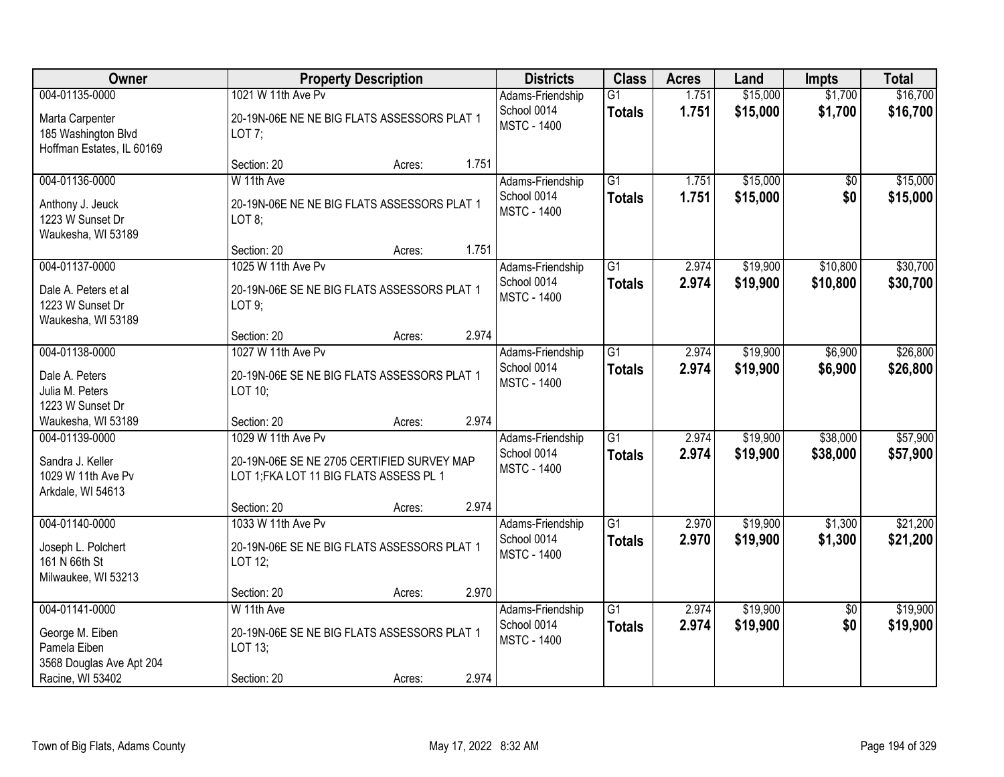| Owner                                                                                             | <b>Property Description</b>                                                                                 | <b>Districts</b>                                      | <b>Class</b>                     | <b>Acres</b>   | Land                 | <b>Impts</b>           | <b>Total</b>         |
|---------------------------------------------------------------------------------------------------|-------------------------------------------------------------------------------------------------------------|-------------------------------------------------------|----------------------------------|----------------|----------------------|------------------------|----------------------|
| 004-01135-0000<br>Marta Carpenter<br>185 Washington Blvd<br>Hoffman Estates, IL 60169             | 1021 W 11th Ave Pv<br>20-19N-06E NE NE BIG FLATS ASSESSORS PLAT 1<br>LOT 7;                                 | Adams-Friendship<br>School 0014<br><b>MSTC - 1400</b> | $\overline{G1}$<br><b>Totals</b> | 1.751<br>1.751 | \$15,000<br>\$15,000 | \$1,700<br>\$1,700     | \$16,700<br>\$16,700 |
|                                                                                                   | 1.751<br>Section: 20<br>Acres:                                                                              |                                                       |                                  |                |                      |                        |                      |
| 004-01136-0000<br>Anthony J. Jeuck<br>1223 W Sunset Dr<br>Waukesha, WI 53189                      | W 11th Ave<br>20-19N-06E NE NE BIG FLATS ASSESSORS PLAT 1<br>LOT 8;                                         | Adams-Friendship<br>School 0014<br><b>MSTC - 1400</b> | $\overline{G1}$<br><b>Totals</b> | 1.751<br>1.751 | \$15,000<br>\$15,000 | \$0<br>\$0             | \$15,000<br>\$15,000 |
|                                                                                                   | 1.751<br>Section: 20<br>Acres:                                                                              |                                                       |                                  |                |                      |                        |                      |
| 004-01137-0000<br>Dale A. Peters et al<br>1223 W Sunset Dr<br>Waukesha, WI 53189                  | 1025 W 11th Ave Pv<br>20-19N-06E SE NE BIG FLATS ASSESSORS PLAT 1<br>LOT 9;                                 | Adams-Friendship<br>School 0014<br><b>MSTC - 1400</b> | G1<br><b>Totals</b>              | 2.974<br>2.974 | \$19,900<br>\$19,900 | \$10,800<br>\$10,800   | \$30,700<br>\$30,700 |
|                                                                                                   | 2.974<br>Section: 20<br>Acres:                                                                              |                                                       |                                  |                |                      |                        |                      |
| 004-01138-0000<br>Dale A. Peters<br>Julia M. Peters<br>1223 W Sunset Dr                           | 1027 W 11th Ave Pv<br>20-19N-06E SE NE BIG FLATS ASSESSORS PLAT 1<br>LOT 10;                                | Adams-Friendship<br>School 0014<br><b>MSTC - 1400</b> | G1<br><b>Totals</b>              | 2.974<br>2.974 | \$19,900<br>\$19,900 | \$6,900<br>\$6,900     | \$26,800<br>\$26,800 |
| Waukesha, WI 53189                                                                                | 2.974<br>Section: 20<br>Acres:                                                                              |                                                       |                                  |                |                      |                        |                      |
| 004-01139-0000<br>Sandra J. Keller<br>1029 W 11th Ave Pv<br>Arkdale, WI 54613                     | 1029 W 11th Ave Pv<br>20-19N-06E SE NE 2705 CERTIFIED SURVEY MAP<br>LOT 1; FKA LOT 11 BIG FLATS ASSESS PL 1 | Adams-Friendship<br>School 0014<br><b>MSTC - 1400</b> | $\overline{G1}$<br><b>Totals</b> | 2.974<br>2.974 | \$19,900<br>\$19,900 | \$38,000<br>\$38,000   | \$57,900<br>\$57,900 |
|                                                                                                   | 2.974<br>Section: 20<br>Acres:                                                                              |                                                       |                                  |                |                      |                        |                      |
| 004-01140-0000<br>Joseph L. Polchert<br>161 N 66th St<br>Milwaukee, WI 53213                      | 1033 W 11th Ave Pv<br>20-19N-06E SE NE BIG FLATS ASSESSORS PLAT 1<br>LOT 12;                                | Adams-Friendship<br>School 0014<br><b>MSTC - 1400</b> | $\overline{G1}$<br><b>Totals</b> | 2.970<br>2.970 | \$19,900<br>\$19,900 | \$1,300<br>\$1,300     | \$21,200<br>\$21,200 |
|                                                                                                   | 2.970<br>Section: 20<br>Acres:                                                                              |                                                       |                                  |                |                      |                        |                      |
| 004-01141-0000<br>George M. Eiben<br>Pamela Eiben<br>3568 Douglas Ave Apt 204<br>Racine, WI 53402 | W 11th Ave<br>20-19N-06E SE NE BIG FLATS ASSESSORS PLAT 1<br>LOT 13;<br>2.974<br>Section: 20<br>Acres:      | Adams-Friendship<br>School 0014<br><b>MSTC - 1400</b> | $\overline{G1}$<br><b>Totals</b> | 2.974<br>2.974 | \$19,900<br>\$19,900 | $\overline{50}$<br>\$0 | \$19,900<br>\$19,900 |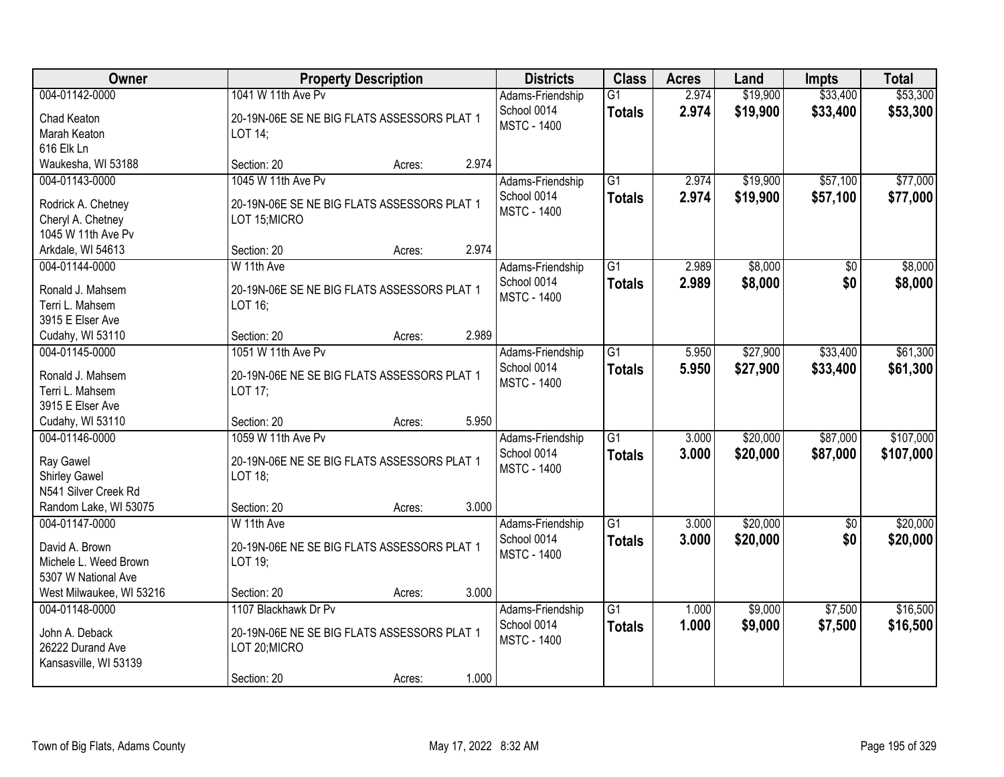| <b>Owner</b>                                                                                         | <b>Property Description</b>                                                                         |        |       | <b>Districts</b>                                      | <b>Class</b>                     | <b>Acres</b>   | Land                 | <b>Impts</b>         | <b>Total</b>           |
|------------------------------------------------------------------------------------------------------|-----------------------------------------------------------------------------------------------------|--------|-------|-------------------------------------------------------|----------------------------------|----------------|----------------------|----------------------|------------------------|
| 004-01142-0000<br>Chad Keaton<br>Marah Keaton<br>616 Elk Ln                                          | 1041 W 11th Ave Pv<br>20-19N-06E SE NE BIG FLATS ASSESSORS PLAT 1<br>LOT 14;                        |        |       | Adams-Friendship<br>School 0014<br><b>MSTC - 1400</b> | $\overline{G1}$<br><b>Totals</b> | 2.974<br>2.974 | \$19,900<br>\$19,900 | \$33,400<br>\$33,400 | \$53,300<br>\$53,300   |
| Waukesha, WI 53188                                                                                   | Section: 20                                                                                         | Acres: | 2.974 |                                                       |                                  |                |                      |                      |                        |
| 004-01143-0000<br>Rodrick A. Chetney<br>Cheryl A. Chetney<br>1045 W 11th Ave Pv                      | 1045 W 11th Ave Pv<br>20-19N-06E SE NE BIG FLATS ASSESSORS PLAT 1<br>LOT 15; MICRO                  |        |       | Adams-Friendship<br>School 0014<br><b>MSTC - 1400</b> | $\overline{G1}$<br><b>Totals</b> | 2.974<br>2.974 | \$19,900<br>\$19,900 | \$57,100<br>\$57,100 | \$77,000<br>\$77,000   |
| Arkdale, WI 54613<br>004-01144-0000                                                                  | Section: 20<br>W 11th Ave                                                                           | Acres: | 2.974 | Adams-Friendship                                      | G1                               | 2.989          | \$8,000              | \$0                  | \$8,000                |
| Ronald J. Mahsem<br>Terri L. Mahsem<br>3915 E Elser Ave                                              | 20-19N-06E SE NE BIG FLATS ASSESSORS PLAT 1<br>LOT 16;                                              |        |       | School 0014<br><b>MSTC - 1400</b>                     | <b>Totals</b>                    | 2.989          | \$8,000              | \$0                  | \$8,000                |
| Cudahy, WI 53110                                                                                     | Section: 20                                                                                         | Acres: | 2.989 |                                                       |                                  |                |                      |                      |                        |
| 004-01145-0000<br>Ronald J. Mahsem<br>Terri L. Mahsem<br>3915 E Elser Ave                            | 1051 W 11th Ave Pv<br>20-19N-06E NE SE BIG FLATS ASSESSORS PLAT 1<br>LOT 17;                        |        |       | Adams-Friendship<br>School 0014<br><b>MSTC - 1400</b> | G1<br><b>Totals</b>              | 5.950<br>5.950 | \$27,900<br>\$27,900 | \$33,400<br>\$33,400 | \$61,300<br>\$61,300   |
| Cudahy, WI 53110                                                                                     | Section: 20                                                                                         | Acres: | 5.950 |                                                       |                                  |                |                      |                      |                        |
| 004-01146-0000<br>Ray Gawel<br><b>Shirley Gawel</b><br>N541 Silver Creek Rd<br>Random Lake, WI 53075 | 1059 W 11th Ave Pv<br>20-19N-06E NE SE BIG FLATS ASSESSORS PLAT 1<br>LOT 18;<br>Section: 20         |        | 3.000 | Adams-Friendship<br>School 0014<br><b>MSTC - 1400</b> | $\overline{G1}$<br><b>Totals</b> | 3.000<br>3.000 | \$20,000<br>\$20,000 | \$87,000<br>\$87,000 | \$107,000<br>\$107,000 |
| 004-01147-0000                                                                                       | W 11th Ave                                                                                          | Acres: |       | Adams-Friendship                                      | $\overline{G1}$                  | 3.000          | \$20,000             | $\overline{50}$      | \$20,000               |
| David A. Brown<br>Michele L. Weed Brown<br>5307 W National Ave                                       | 20-19N-06E NE SE BIG FLATS ASSESSORS PLAT 1<br>LOT 19;                                              |        |       | School 0014<br><b>MSTC - 1400</b>                     | <b>Totals</b>                    | 3.000          | \$20,000             | \$0                  | \$20,000               |
| West Milwaukee, WI 53216                                                                             | Section: 20                                                                                         | Acres: | 3.000 |                                                       |                                  |                |                      |                      |                        |
| 004-01148-0000<br>John A. Deback<br>26222 Durand Ave<br>Kansasville, WI 53139                        | 1107 Blackhawk Dr Pv<br>20-19N-06E NE SE BIG FLATS ASSESSORS PLAT 1<br>LOT 20; MICRO<br>Section: 20 | Acres: | 1.000 | Adams-Friendship<br>School 0014<br><b>MSTC - 1400</b> | $\overline{G1}$<br><b>Totals</b> | 1.000<br>1.000 | \$9,000<br>\$9,000   | \$7,500<br>\$7,500   | \$16,500<br>\$16,500   |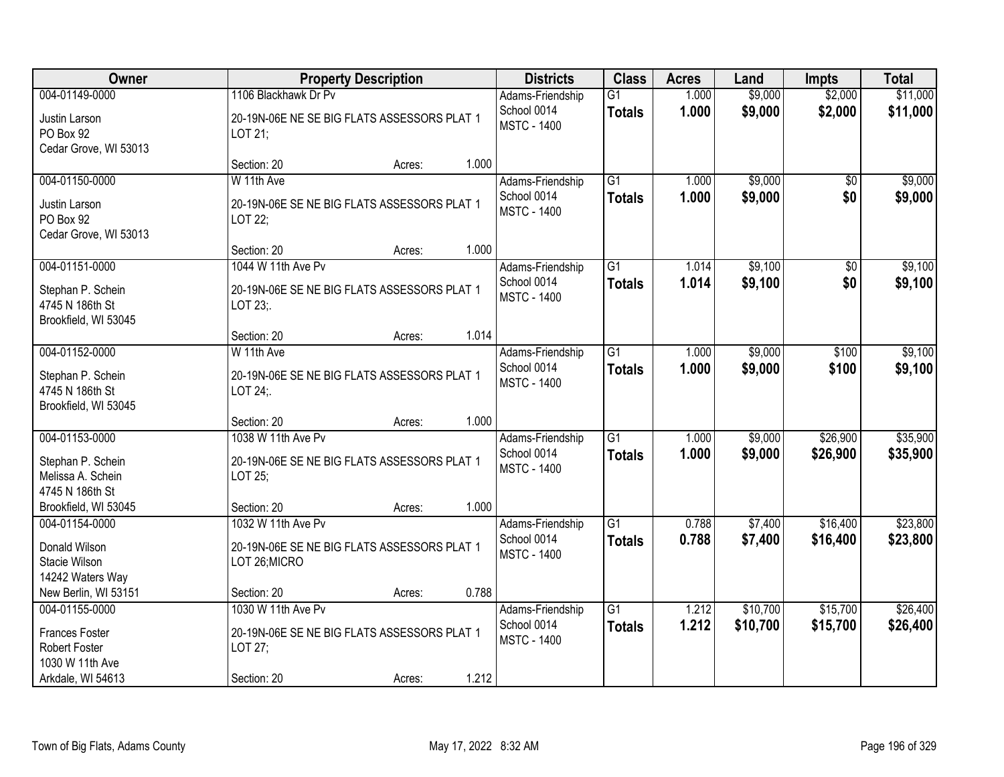| Owner                                                            |                                                              | <b>Property Description</b> |       | <b>Districts</b>                  | <b>Class</b>    | <b>Acres</b> | Land     | <b>Impts</b> | <b>Total</b> |
|------------------------------------------------------------------|--------------------------------------------------------------|-----------------------------|-------|-----------------------------------|-----------------|--------------|----------|--------------|--------------|
| 004-01149-0000                                                   | 1106 Blackhawk Dr Pv                                         |                             |       | Adams-Friendship                  | $\overline{G1}$ | 1.000        | \$9,000  | \$2,000      | \$11,000     |
| Justin Larson<br>PO Box 92<br>Cedar Grove, WI 53013              | 20-19N-06E NE SE BIG FLATS ASSESSORS PLAT 1<br>LOT 21;       |                             |       | School 0014<br><b>MSTC - 1400</b> | <b>Totals</b>   | 1.000        | \$9,000  | \$2,000      | \$11,000     |
|                                                                  | Section: 20                                                  | Acres:                      | 1.000 |                                   |                 |              |          |              |              |
| 004-01150-0000                                                   | W 11th Ave                                                   |                             |       | Adams-Friendship                  | $\overline{G1}$ | 1.000        | \$9,000  | \$0          | \$9,000      |
| Justin Larson<br>PO Box 92<br>Cedar Grove, WI 53013              | 20-19N-06E SE NE BIG FLATS ASSESSORS PLAT 1<br>LOT 22;       |                             |       | School 0014<br><b>MSTC - 1400</b> | <b>Totals</b>   | 1.000        | \$9,000  | \$0          | \$9,000      |
|                                                                  | Section: 20                                                  | Acres:                      | 1.000 |                                   |                 |              |          |              |              |
| 004-01151-0000                                                   | 1044 W 11th Ave Pv                                           |                             |       | Adams-Friendship                  | G1              | 1.014        | \$9,100  | $\sqrt{6}$   | \$9,100      |
| Stephan P. Schein<br>4745 N 186th St<br>Brookfield, WI 53045     | 20-19N-06E SE NE BIG FLATS ASSESSORS PLAT 1<br>LOT 23;.      |                             |       | School 0014<br><b>MSTC - 1400</b> | <b>Totals</b>   | 1.014        | \$9,100  | \$0          | \$9,100      |
|                                                                  | Section: 20                                                  | Acres:                      | 1.014 |                                   |                 |              |          |              |              |
| 004-01152-0000                                                   | W 11th Ave                                                   |                             |       | Adams-Friendship                  | $\overline{G1}$ | 1.000        | \$9,000  | \$100        | \$9,100      |
| Stephan P. Schein<br>4745 N 186th St<br>Brookfield, WI 53045     | 20-19N-06E SE NE BIG FLATS ASSESSORS PLAT 1<br>LOT 24;.      |                             |       | School 0014<br><b>MSTC - 1400</b> | <b>Totals</b>   | 1.000        | \$9,000  | \$100        | \$9,100      |
|                                                                  | Section: 20                                                  | Acres:                      | 1.000 |                                   |                 |              |          |              |              |
| 004-01153-0000                                                   | 1038 W 11th Ave Pv                                           |                             |       | Adams-Friendship                  | $\overline{G1}$ | 1.000        | \$9,000  | \$26,900     | \$35,900     |
| Stephan P. Schein<br>Melissa A. Schein<br>4745 N 186th St        | 20-19N-06E SE NE BIG FLATS ASSESSORS PLAT 1<br>LOT 25;       |                             |       | School 0014<br><b>MSTC - 1400</b> | <b>Totals</b>   | 1.000        | \$9,000  | \$26,900     | \$35,900     |
| Brookfield, WI 53045                                             | Section: 20                                                  | Acres:                      | 1.000 |                                   |                 |              |          |              |              |
| 004-01154-0000                                                   | 1032 W 11th Ave Pv                                           |                             |       | Adams-Friendship                  | $\overline{G1}$ | 0.788        | \$7,400  | \$16,400     | \$23,800     |
| Donald Wilson<br>Stacie Wilson<br>14242 Waters Way               | 20-19N-06E SE NE BIG FLATS ASSESSORS PLAT 1<br>LOT 26; MICRO |                             |       | School 0014<br><b>MSTC - 1400</b> | <b>Totals</b>   | 0.788        | \$7,400  | \$16,400     | \$23,800     |
| New Berlin, WI 53151                                             | Section: 20                                                  | Acres:                      | 0.788 |                                   |                 |              |          |              |              |
| 004-01155-0000                                                   | 1030 W 11th Ave Pv                                           |                             |       | Adams-Friendship                  | $\overline{G1}$ | 1.212        | \$10,700 | \$15,700     | \$26,400     |
| <b>Frances Foster</b><br><b>Robert Foster</b><br>1030 W 11th Ave | 20-19N-06E SE NE BIG FLATS ASSESSORS PLAT 1<br>LOT 27;       |                             |       | School 0014<br><b>MSTC - 1400</b> | <b>Totals</b>   | 1.212        | \$10,700 | \$15,700     | \$26,400     |
| Arkdale, WI 54613                                                | Section: 20                                                  | Acres:                      | 1.212 |                                   |                 |              |          |              |              |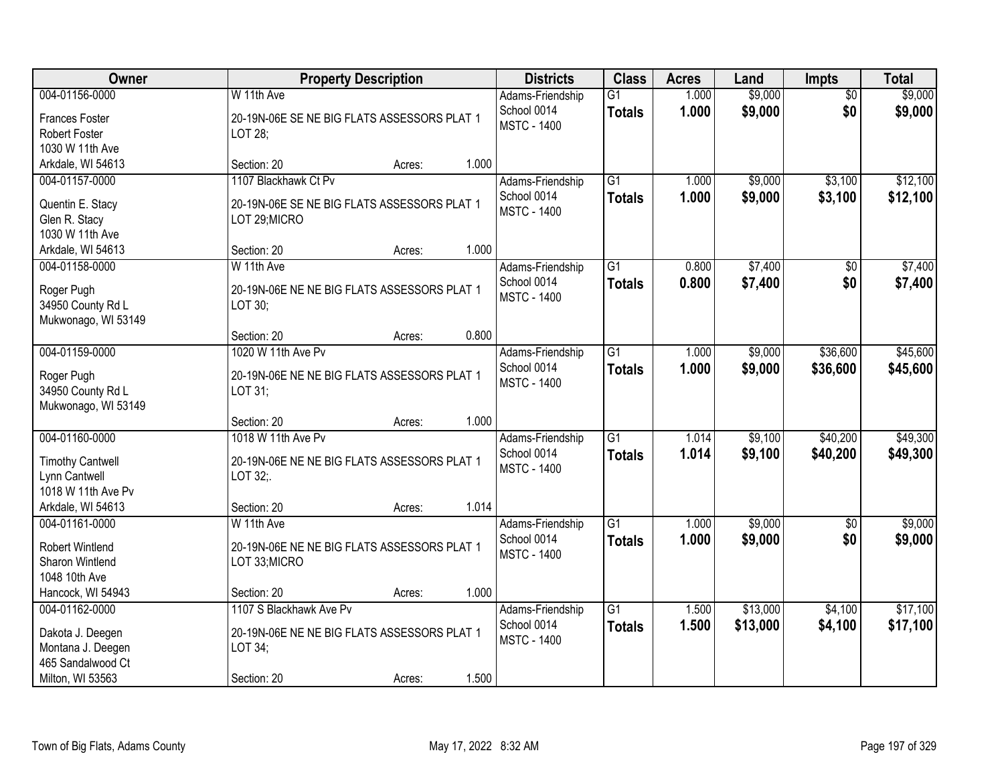| Owner                                                                                                 |                                                                                                  | <b>Property Description</b> |       | <b>Districts</b>                                      | <b>Class</b>                     | <b>Acres</b>   | Land                 | <b>Impts</b>           | <b>Total</b>         |
|-------------------------------------------------------------------------------------------------------|--------------------------------------------------------------------------------------------------|-----------------------------|-------|-------------------------------------------------------|----------------------------------|----------------|----------------------|------------------------|----------------------|
| 004-01156-0000<br><b>Frances Foster</b><br><b>Robert Foster</b><br>1030 W 11th Ave                    | W 11th Ave<br>20-19N-06E SE NE BIG FLATS ASSESSORS PLAT 1<br>LOT 28;                             |                             |       | Adams-Friendship<br>School 0014<br><b>MSTC - 1400</b> | $\overline{G1}$<br><b>Totals</b> | 1.000<br>1.000 | \$9,000<br>\$9,000   | $\overline{50}$<br>\$0 | \$9,000<br>\$9,000   |
| Arkdale, WI 54613                                                                                     | Section: 20                                                                                      | Acres:                      | 1.000 |                                                       |                                  |                |                      |                        |                      |
| 004-01157-0000<br>Quentin E. Stacy<br>Glen R. Stacy<br>1030 W 11th Ave                                | 1107 Blackhawk Ct Pv<br>20-19N-06E SE NE BIG FLATS ASSESSORS PLAT 1<br>LOT 29; MICRO             |                             |       | Adams-Friendship<br>School 0014<br><b>MSTC - 1400</b> | $\overline{G1}$<br><b>Totals</b> | 1.000<br>1.000 | \$9,000<br>\$9,000   | \$3,100<br>\$3,100     | \$12,100<br>\$12,100 |
| Arkdale, WI 54613                                                                                     | Section: 20                                                                                      | Acres:                      | 1.000 |                                                       |                                  |                |                      |                        |                      |
| 004-01158-0000<br>Roger Pugh<br>34950 County Rd L<br>Mukwonago, WI 53149                              | W 11th Ave<br>20-19N-06E NE NE BIG FLATS ASSESSORS PLAT 1<br>LOT 30;                             |                             |       | Adams-Friendship<br>School 0014<br><b>MSTC - 1400</b> | $\overline{G1}$<br><b>Totals</b> | 0.800<br>0.800 | \$7,400<br>\$7,400   | $\overline{50}$<br>\$0 | \$7,400<br>\$7,400   |
|                                                                                                       | Section: 20                                                                                      | Acres:                      | 0.800 |                                                       |                                  |                |                      |                        |                      |
| 004-01159-0000<br>Roger Pugh<br>34950 County Rd L<br>Mukwonago, WI 53149                              | 1020 W 11th Ave Pv<br>20-19N-06E NE NE BIG FLATS ASSESSORS PLAT 1<br>LOT 31;                     |                             |       | Adams-Friendship<br>School 0014<br><b>MSTC - 1400</b> | $\overline{G1}$<br><b>Totals</b> | 1.000<br>1.000 | \$9,000<br>\$9,000   | \$36,600<br>\$36,600   | \$45,600<br>\$45,600 |
|                                                                                                       | Section: 20                                                                                      | Acres:                      | 1.000 |                                                       |                                  |                |                      |                        |                      |
| 004-01160-0000<br><b>Timothy Cantwell</b><br>Lynn Cantwell<br>1018 W 11th Ave Pv<br>Arkdale, WI 54613 | 1018 W 11th Ave Pv<br>20-19N-06E NE NE BIG FLATS ASSESSORS PLAT 1<br>LOT 32;.<br>Section: 20     | Acres:                      | 1.014 | Adams-Friendship<br>School 0014<br><b>MSTC - 1400</b> | $\overline{G1}$<br><b>Totals</b> | 1.014<br>1.014 | \$9,100<br>\$9,100   | \$40,200<br>\$40,200   | \$49,300<br>\$49,300 |
| 004-01161-0000                                                                                        | W 11th Ave                                                                                       |                             |       | Adams-Friendship                                      | $\overline{G1}$                  | 1.000          | \$9,000              | $\sqrt{$0}$            | \$9,000              |
| <b>Robert Wintlend</b><br>Sharon Wintlend<br>1048 10th Ave                                            | 20-19N-06E NE NE BIG FLATS ASSESSORS PLAT 1<br>LOT 33;MICRO                                      |                             |       | School 0014<br><b>MSTC - 1400</b>                     | <b>Totals</b>                    | 1.000          | \$9,000              | \$0                    | \$9,000              |
| Hancock, WI 54943                                                                                     | Section: 20                                                                                      | Acres:                      | 1.000 |                                                       |                                  |                |                      |                        |                      |
| 004-01162-0000<br>Dakota J. Deegen<br>Montana J. Deegen<br>465 Sandalwood Ct<br>Milton, WI 53563      | 1107 S Blackhawk Ave Pv<br>20-19N-06E NE NE BIG FLATS ASSESSORS PLAT 1<br>LOT 34;<br>Section: 20 | Acres:                      | 1.500 | Adams-Friendship<br>School 0014<br><b>MSTC - 1400</b> | $\overline{G1}$<br><b>Totals</b> | 1.500<br>1.500 | \$13,000<br>\$13,000 | \$4,100<br>\$4,100     | \$17,100<br>\$17,100 |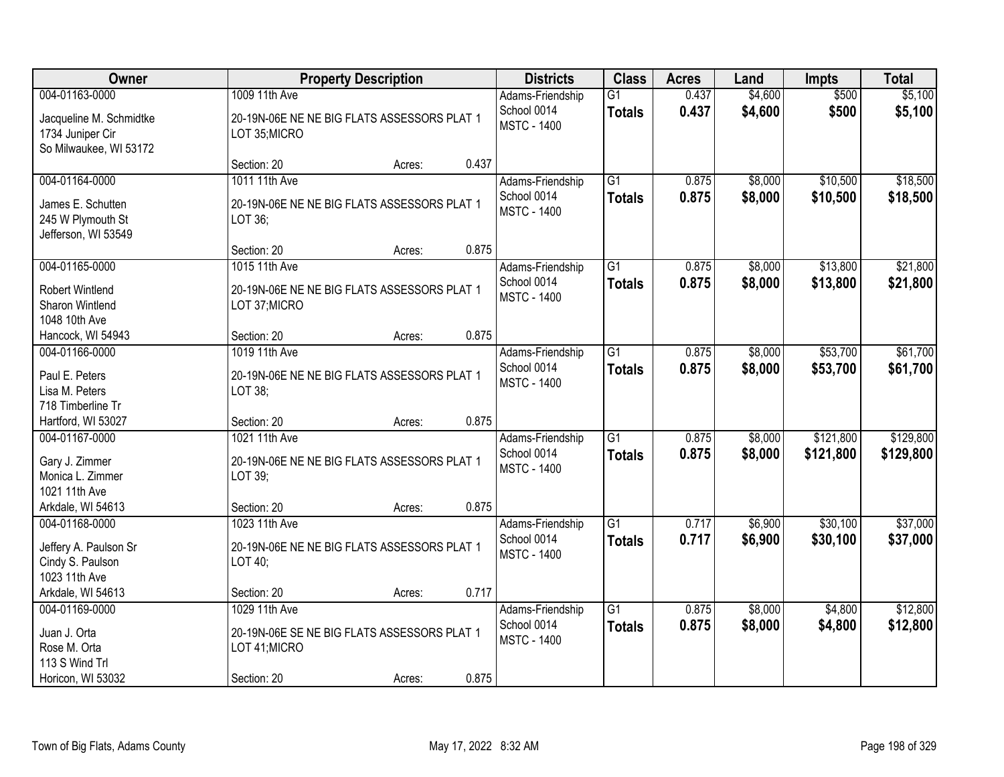| Owner                                                                                   |                                                                                              | <b>Property Description</b> |       | <b>Districts</b>                                      | <b>Class</b>                     | <b>Acres</b>   | Land               | <b>Impts</b>           | <b>Total</b>           |
|-----------------------------------------------------------------------------------------|----------------------------------------------------------------------------------------------|-----------------------------|-------|-------------------------------------------------------|----------------------------------|----------------|--------------------|------------------------|------------------------|
| 004-01163-0000<br>Jacqueline M. Schmidtke<br>1734 Juniper Cir<br>So Milwaukee, WI 53172 | 1009 11th Ave<br>20-19N-06E NE NE BIG FLATS ASSESSORS PLAT 1<br>LOT 35; MICRO                |                             |       | Adams-Friendship<br>School 0014<br><b>MSTC - 1400</b> | $\overline{G1}$<br><b>Totals</b> | 0.437<br>0.437 | \$4,600<br>\$4,600 | \$500<br>\$500         | \$5,100<br>\$5,100     |
|                                                                                         | Section: 20                                                                                  | Acres:                      | 0.437 |                                                       |                                  |                |                    |                        |                        |
| 004-01164-0000<br>James E. Schutten<br>245 W Plymouth St<br>Jefferson, WI 53549         | 1011 11th Ave<br>20-19N-06E NE NE BIG FLATS ASSESSORS PLAT 1<br>LOT 36;                      |                             |       | Adams-Friendship<br>School 0014<br><b>MSTC - 1400</b> | $\overline{G1}$<br><b>Totals</b> | 0.875<br>0.875 | \$8,000<br>\$8,000 | \$10,500<br>\$10,500   | \$18,500<br>\$18,500   |
|                                                                                         | Section: 20                                                                                  | Acres:                      | 0.875 |                                                       |                                  |                |                    |                        |                        |
| 004-01165-0000<br><b>Robert Wintlend</b><br>Sharon Wintlend<br>1048 10th Ave            | 1015 11th Ave<br>20-19N-06E NE NE BIG FLATS ASSESSORS PLAT 1<br>LOT 37; MICRO                |                             |       | Adams-Friendship<br>School 0014<br><b>MSTC - 1400</b> | $\overline{G1}$<br><b>Totals</b> | 0.875<br>0.875 | \$8,000<br>\$8,000 | \$13,800<br>\$13,800   | \$21,800<br>\$21,800   |
| Hancock, WI 54943                                                                       | Section: 20                                                                                  | Acres:                      | 0.875 |                                                       |                                  |                |                    |                        |                        |
| 004-01166-0000<br>Paul E. Peters<br>Lisa M. Peters<br>718 Timberline Tr                 | 1019 11th Ave<br>20-19N-06E NE NE BIG FLATS ASSESSORS PLAT 1<br>LOT 38;                      |                             |       | Adams-Friendship<br>School 0014<br><b>MSTC - 1400</b> | $\overline{G1}$<br><b>Totals</b> | 0.875<br>0.875 | \$8,000<br>\$8,000 | \$53,700<br>\$53,700   | \$61,700<br>\$61,700   |
| Hartford, WI 53027                                                                      | Section: 20                                                                                  | Acres:                      | 0.875 |                                                       |                                  |                |                    |                        |                        |
| 004-01167-0000<br>Gary J. Zimmer<br>Monica L. Zimmer<br>1021 11th Ave                   | 1021 11th Ave<br>20-19N-06E NE NE BIG FLATS ASSESSORS PLAT 1<br>LOT 39;                      |                             |       | Adams-Friendship<br>School 0014<br><b>MSTC - 1400</b> | $\overline{G1}$<br><b>Totals</b> | 0.875<br>0.875 | \$8,000<br>\$8,000 | \$121,800<br>\$121,800 | \$129,800<br>\$129,800 |
| Arkdale, WI 54613                                                                       | Section: 20                                                                                  | Acres:                      | 0.875 |                                                       |                                  |                |                    |                        |                        |
| 004-01168-0000<br>Jeffery A. Paulson Sr<br>Cindy S. Paulson<br>1023 11th Ave            | 1023 11th Ave<br>20-19N-06E NE NE BIG FLATS ASSESSORS PLAT 1<br>LOT 40;                      |                             |       | Adams-Friendship<br>School 0014<br><b>MSTC - 1400</b> | $\overline{G1}$<br><b>Totals</b> | 0.717<br>0.717 | \$6,900<br>\$6,900 | \$30,100<br>\$30,100   | \$37,000<br>\$37,000   |
| Arkdale, WI 54613                                                                       | Section: 20                                                                                  | Acres:                      | 0.717 |                                                       |                                  |                |                    |                        |                        |
| 004-01169-0000<br>Juan J. Orta<br>Rose M. Orta<br>113 S Wind Trl<br>Horicon, WI 53032   | 1029 11th Ave<br>20-19N-06E SE NE BIG FLATS ASSESSORS PLAT 1<br>LOT 41; MICRO<br>Section: 20 | Acres:                      | 0.875 | Adams-Friendship<br>School 0014<br><b>MSTC - 1400</b> | $\overline{G1}$<br><b>Totals</b> | 0.875<br>0.875 | \$8,000<br>\$8,000 | \$4,800<br>\$4,800     | \$12,800<br>\$12,800   |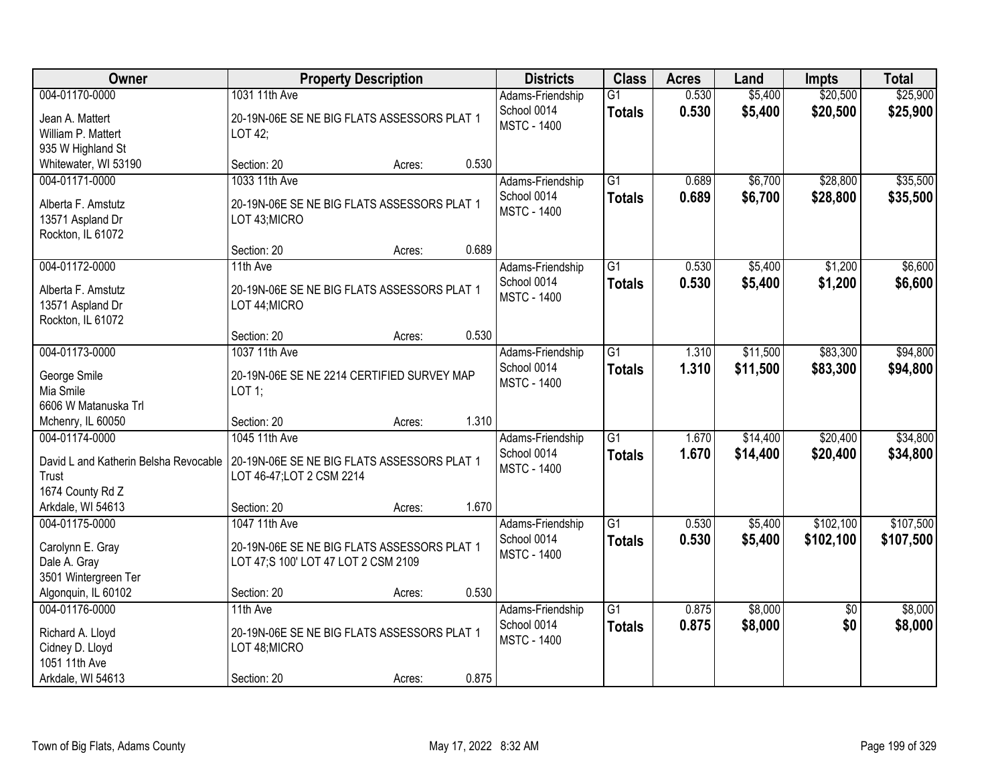| Owner                                                                                       | <b>Property Description</b>                                                                         |        |       | <b>Districts</b>                                      | <b>Class</b>                     | <b>Acres</b>   | Land                 | <b>Impts</b>           | <b>Total</b>           |
|---------------------------------------------------------------------------------------------|-----------------------------------------------------------------------------------------------------|--------|-------|-------------------------------------------------------|----------------------------------|----------------|----------------------|------------------------|------------------------|
| 004-01170-0000<br>Jean A. Mattert<br>William P. Mattert<br>935 W Highland St                | 1031 11th Ave<br>20-19N-06E SE NE BIG FLATS ASSESSORS PLAT 1<br>LOT 42;                             |        |       | Adams-Friendship<br>School 0014<br><b>MSTC - 1400</b> | $\overline{G1}$<br><b>Totals</b> | 0.530<br>0.530 | \$5,400<br>\$5,400   | \$20,500<br>\$20,500   | \$25,900<br>\$25,900   |
| Whitewater, WI 53190                                                                        | Section: 20                                                                                         | Acres: | 0.530 |                                                       |                                  |                |                      |                        |                        |
| 004-01171-0000<br>Alberta F. Amstutz<br>13571 Aspland Dr<br>Rockton, IL 61072               | 1033 11th Ave<br>20-19N-06E SE NE BIG FLATS ASSESSORS PLAT 1<br>LOT 43; MICRO                       |        |       | Adams-Friendship<br>School 0014<br><b>MSTC - 1400</b> | $\overline{G1}$<br><b>Totals</b> | 0.689<br>0.689 | \$6,700<br>\$6,700   | \$28,800<br>\$28,800   | \$35,500<br>\$35,500   |
|                                                                                             | Section: 20                                                                                         | Acres: | 0.689 |                                                       |                                  |                |                      |                        |                        |
| 004-01172-0000<br>Alberta F. Amstutz<br>13571 Aspland Dr<br>Rockton, IL 61072               | 11th Ave<br>20-19N-06E SE NE BIG FLATS ASSESSORS PLAT 1<br>LOT 44; MICRO                            |        |       | Adams-Friendship<br>School 0014<br><b>MSTC - 1400</b> | $\overline{G1}$<br><b>Totals</b> | 0.530<br>0.530 | \$5,400<br>\$5,400   | \$1,200<br>\$1,200     | \$6,600<br>\$6,600     |
|                                                                                             | Section: 20                                                                                         | Acres: | 0.530 |                                                       |                                  |                |                      |                        |                        |
| 004-01173-0000<br>George Smile<br>Mia Smile<br>6606 W Matanuska Trl                         | 1037 11th Ave<br>20-19N-06E SE NE 2214 CERTIFIED SURVEY MAP<br>$LOT$ 1;                             |        |       | Adams-Friendship<br>School 0014<br><b>MSTC - 1400</b> | G1<br><b>Totals</b>              | 1.310<br>1.310 | \$11,500<br>\$11,500 | \$83,300<br>\$83,300   | \$94,800<br>\$94,800   |
| Mchenry, IL 60050                                                                           | Section: 20                                                                                         | Acres: | 1.310 |                                                       |                                  |                |                      |                        |                        |
| 004-01174-0000<br>David L and Katherin Belsha Revocable<br>Trust<br>1674 County Rd Z        | 1045 11th Ave<br>20-19N-06E SE NE BIG FLATS ASSESSORS PLAT 1<br>LOT 46-47; LOT 2 CSM 2214           |        |       | Adams-Friendship<br>School 0014<br><b>MSTC - 1400</b> | $\overline{G1}$<br><b>Totals</b> | 1.670<br>1.670 | \$14,400<br>\$14,400 | \$20,400<br>\$20,400   | \$34,800<br>\$34,800   |
| Arkdale, WI 54613                                                                           | Section: 20                                                                                         | Acres: | 1.670 |                                                       |                                  |                |                      |                        |                        |
| 004-01175-0000<br>Carolynn E. Gray<br>Dale A. Gray<br>3501 Wintergreen Ter                  | 1047 11th Ave<br>20-19N-06E SE NE BIG FLATS ASSESSORS PLAT 1<br>LOT 47;S 100' LOT 47 LOT 2 CSM 2109 |        |       | Adams-Friendship<br>School 0014<br><b>MSTC - 1400</b> | G1<br><b>Totals</b>              | 0.530<br>0.530 | \$5,400<br>\$5,400   | \$102,100<br>\$102,100 | \$107,500<br>\$107,500 |
| Algonquin, IL 60102                                                                         | Section: 20                                                                                         | Acres: | 0.530 |                                                       |                                  |                |                      |                        |                        |
| 004-01176-0000<br>Richard A. Lloyd<br>Cidney D. Lloyd<br>1051 11th Ave<br>Arkdale, WI 54613 | 11th Ave<br>20-19N-06E SE NE BIG FLATS ASSESSORS PLAT 1<br>LOT 48; MICRO<br>Section: 20             | Acres: | 0.875 | Adams-Friendship<br>School 0014<br><b>MSTC - 1400</b> | $\overline{G1}$<br><b>Totals</b> | 0.875<br>0.875 | \$8,000<br>\$8,000   | $\overline{50}$<br>\$0 | \$8,000<br>\$8,000     |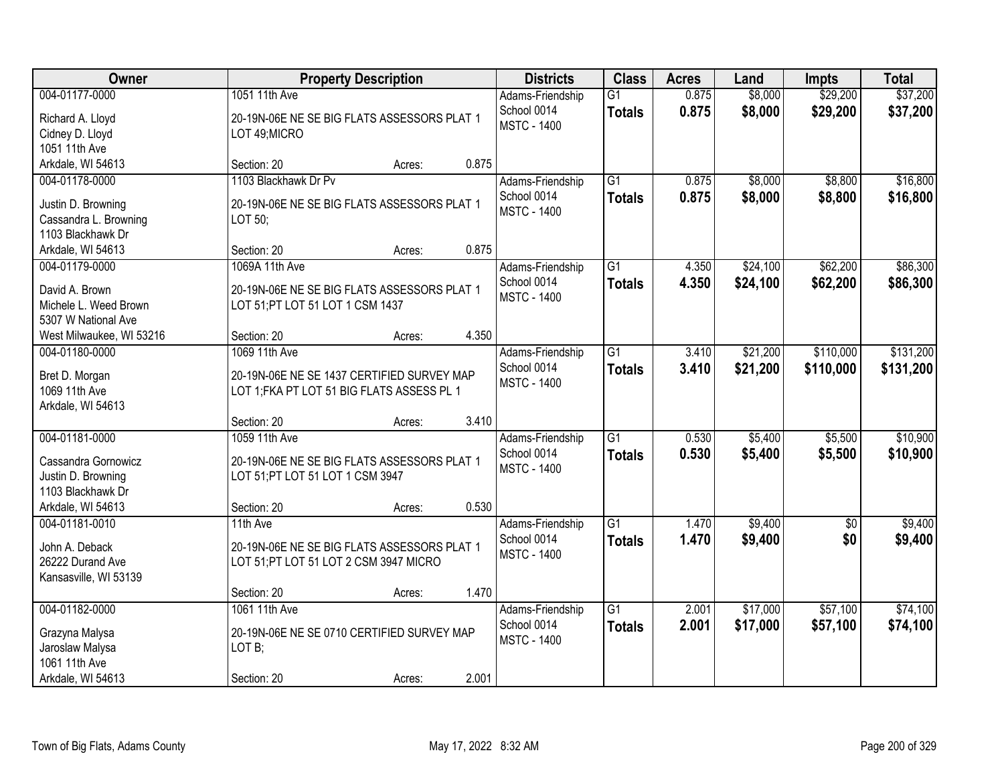| Owner                                                                                     |                                                                                                           | <b>Property Description</b> |       | <b>Districts</b>                                      | <b>Class</b>                     | <b>Acres</b>   | Land                 | <b>Impts</b>           | <b>Total</b>           |
|-------------------------------------------------------------------------------------------|-----------------------------------------------------------------------------------------------------------|-----------------------------|-------|-------------------------------------------------------|----------------------------------|----------------|----------------------|------------------------|------------------------|
| 004-01177-0000<br>Richard A. Lloyd<br>Cidney D. Lloyd<br>1051 11th Ave                    | 1051 11th Ave<br>20-19N-06E NE SE BIG FLATS ASSESSORS PLAT 1<br>LOT 49; MICRO                             |                             |       | Adams-Friendship<br>School 0014<br><b>MSTC - 1400</b> | $\overline{G1}$<br><b>Totals</b> | 0.875<br>0.875 | \$8,000<br>\$8,000   | \$29,200<br>\$29,200   | \$37,200<br>\$37,200   |
| Arkdale, WI 54613                                                                         | Section: 20                                                                                               | Acres:                      | 0.875 |                                                       |                                  |                |                      |                        |                        |
| 004-01178-0000<br>Justin D. Browning<br>Cassandra L. Browning<br>1103 Blackhawk Dr        | 1103 Blackhawk Dr Pv<br>20-19N-06E NE SE BIG FLATS ASSESSORS PLAT 1<br>LOT 50;                            |                             |       | Adams-Friendship<br>School 0014<br><b>MSTC - 1400</b> | $\overline{G1}$<br><b>Totals</b> | 0.875<br>0.875 | \$8,000<br>\$8,000   | \$8,800<br>\$8,800     | \$16,800<br>\$16,800   |
| Arkdale, WI 54613<br>004-01179-0000                                                       | Section: 20<br>1069A 11th Ave                                                                             | Acres:                      | 0.875 |                                                       | G1                               | 4.350          | \$24,100             | \$62,200               | \$86,300               |
| David A. Brown<br>Michele L. Weed Brown<br>5307 W National Ave                            | 20-19N-06E NE SE BIG FLATS ASSESSORS PLAT 1<br>LOT 51; PT LOT 51 LOT 1 CSM 1437                           |                             |       | Adams-Friendship<br>School 0014<br><b>MSTC - 1400</b> | <b>Totals</b>                    | 4.350          | \$24,100             | \$62,200               | \$86,300               |
| West Milwaukee, WI 53216                                                                  | Section: 20                                                                                               | Acres:                      | 4.350 |                                                       |                                  |                |                      |                        |                        |
| 004-01180-0000<br>Bret D. Morgan<br>1069 11th Ave<br>Arkdale, WI 54613                    | 1069 11th Ave<br>20-19N-06E NE SE 1437 CERTIFIED SURVEY MAP<br>LOT 1; FKA PT LOT 51 BIG FLATS ASSESS PL 1 |                             |       | Adams-Friendship<br>School 0014<br><b>MSTC - 1400</b> | G1<br><b>Totals</b>              | 3.410<br>3.410 | \$21,200<br>\$21,200 | \$110,000<br>\$110,000 | \$131,200<br>\$131,200 |
|                                                                                           | Section: 20                                                                                               | Acres:                      | 3.410 |                                                       |                                  |                |                      |                        |                        |
| 004-01181-0000<br>Cassandra Gornowicz<br>Justin D. Browning<br>1103 Blackhawk Dr          | 1059 11th Ave<br>20-19N-06E NE SE BIG FLATS ASSESSORS PLAT 1<br>LOT 51; PT LOT 51 LOT 1 CSM 3947          |                             |       | Adams-Friendship<br>School 0014<br><b>MSTC - 1400</b> | $\overline{G1}$<br><b>Totals</b> | 0.530<br>0.530 | \$5,400<br>\$5,400   | \$5,500<br>\$5,500     | \$10,900<br>\$10,900   |
| Arkdale, WI 54613                                                                         | Section: 20                                                                                               | Acres:                      | 0.530 |                                                       |                                  |                |                      |                        |                        |
| 004-01181-0010<br>John A. Deback<br>26222 Durand Ave<br>Kansasville, WI 53139             | 11th Ave<br>20-19N-06E NE SE BIG FLATS ASSESSORS PLAT 1<br>LOT 51;PT LOT 51 LOT 2 CSM 3947 MICRO          |                             |       | Adams-Friendship<br>School 0014<br><b>MSTC - 1400</b> | $\overline{G1}$<br><b>Totals</b> | 1.470<br>1.470 | \$9,400<br>\$9,400   | $\overline{50}$<br>\$0 | \$9,400<br>\$9,400     |
|                                                                                           | Section: 20                                                                                               | Acres:                      | 1.470 |                                                       |                                  |                |                      |                        |                        |
| 004-01182-0000<br>Grazyna Malysa<br>Jaroslaw Malysa<br>1061 11th Ave<br>Arkdale, WI 54613 | 1061 11th Ave<br>20-19N-06E NE SE 0710 CERTIFIED SURVEY MAP<br>LOT B;<br>Section: 20                      | Acres:                      | 2.001 | Adams-Friendship<br>School 0014<br><b>MSTC - 1400</b> | $\overline{G1}$<br><b>Totals</b> | 2.001<br>2.001 | \$17,000<br>\$17,000 | \$57,100<br>\$57,100   | \$74,100<br>\$74,100   |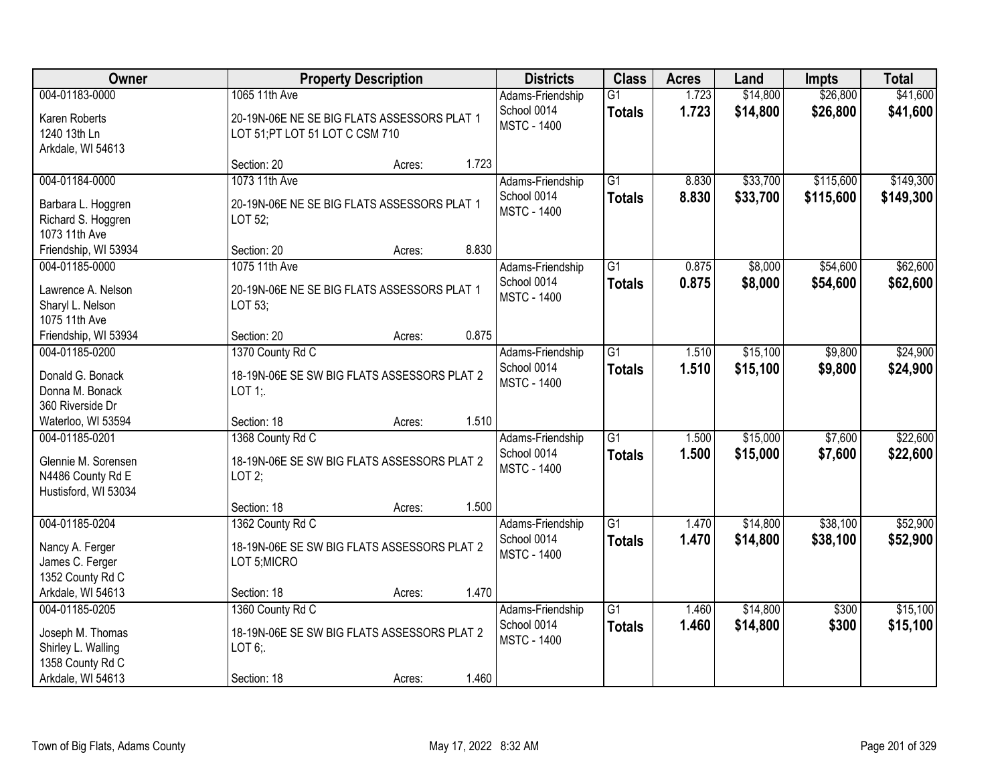| <b>Owner</b>                                                                                      |                                                                                                | <b>Property Description</b> |       | <b>Districts</b>                                      | <b>Class</b>                     | <b>Acres</b>   | Land                 | <b>Impts</b>           | <b>Total</b>           |
|---------------------------------------------------------------------------------------------------|------------------------------------------------------------------------------------------------|-----------------------------|-------|-------------------------------------------------------|----------------------------------|----------------|----------------------|------------------------|------------------------|
| 004-01183-0000<br>Karen Roberts<br>1240 13th Ln<br>Arkdale, WI 54613                              | 1065 11th Ave<br>20-19N-06E NE SE BIG FLATS ASSESSORS PLAT 1<br>LOT 51;PT LOT 51 LOT C CSM 710 |                             |       | Adams-Friendship<br>School 0014<br><b>MSTC - 1400</b> | $\overline{G1}$<br><b>Totals</b> | 1.723<br>1.723 | \$14,800<br>\$14,800 | \$26,800<br>\$26,800   | \$41,600<br>\$41,600   |
|                                                                                                   | Section: 20                                                                                    | Acres:                      | 1.723 |                                                       |                                  |                |                      |                        |                        |
| 004-01184-0000<br>Barbara L. Hoggren<br>Richard S. Hoggren<br>1073 11th Ave                       | 1073 11th Ave<br>20-19N-06E NE SE BIG FLATS ASSESSORS PLAT 1<br>LOT 52;                        |                             |       | Adams-Friendship<br>School 0014<br><b>MSTC - 1400</b> | $\overline{G1}$<br><b>Totals</b> | 8.830<br>8.830 | \$33,700<br>\$33,700 | \$115,600<br>\$115,600 | \$149,300<br>\$149,300 |
| Friendship, WI 53934                                                                              | Section: 20                                                                                    | Acres:                      | 8.830 |                                                       |                                  |                |                      |                        |                        |
| 004-01185-0000<br>Lawrence A. Nelson<br>Sharyl L. Nelson<br>1075 11th Ave                         | 1075 11th Ave<br>20-19N-06E NE SE BIG FLATS ASSESSORS PLAT 1<br>LOT 53;                        |                             |       | Adams-Friendship<br>School 0014<br><b>MSTC - 1400</b> | $\overline{G1}$<br><b>Totals</b> | 0.875<br>0.875 | \$8,000<br>\$8,000   | \$54,600<br>\$54,600   | \$62,600<br>\$62,600   |
| Friendship, WI 53934                                                                              | Section: 20                                                                                    | Acres:                      | 0.875 |                                                       |                                  |                |                      |                        |                        |
| 004-01185-0200<br>Donald G. Bonack<br>Donna M. Bonack<br>360 Riverside Dr                         | 1370 County Rd C<br>18-19N-06E SE SW BIG FLATS ASSESSORS PLAT 2<br>LOT $1$ :                   |                             |       | Adams-Friendship<br>School 0014<br><b>MSTC - 1400</b> | $\overline{G1}$<br><b>Totals</b> | 1.510<br>1.510 | \$15,100<br>\$15,100 | \$9,800<br>\$9,800     | \$24,900<br>\$24,900   |
| Waterloo, WI 53594                                                                                | Section: 18                                                                                    | Acres:                      | 1.510 |                                                       |                                  |                |                      |                        |                        |
| 004-01185-0201<br>Glennie M. Sorensen<br>N4486 County Rd E<br>Hustisford, WI 53034                | 1368 County Rd C<br>18-19N-06E SE SW BIG FLATS ASSESSORS PLAT 2<br>LOT2;                       |                             |       | Adams-Friendship<br>School 0014<br><b>MSTC - 1400</b> | $\overline{G1}$<br><b>Totals</b> | 1.500<br>1.500 | \$15,000<br>\$15,000 | \$7,600<br>\$7,600     | \$22,600<br>\$22,600   |
|                                                                                                   | Section: 18                                                                                    | Acres:                      | 1.500 |                                                       |                                  |                |                      |                        |                        |
| 004-01185-0204<br>Nancy A. Ferger<br>James C. Ferger<br>1352 County Rd C                          | 1362 County Rd C<br>18-19N-06E SE SW BIG FLATS ASSESSORS PLAT 2<br>LOT 5;MICRO                 |                             |       | Adams-Friendship<br>School 0014<br><b>MSTC - 1400</b> | G1<br><b>Totals</b>              | 1.470<br>1.470 | \$14,800<br>\$14,800 | \$38,100<br>\$38,100   | \$52,900<br>\$52,900   |
| Arkdale, WI 54613                                                                                 | Section: 18                                                                                    | Acres:                      | 1.470 |                                                       |                                  |                |                      |                        |                        |
| 004-01185-0205<br>Joseph M. Thomas<br>Shirley L. Walling<br>1358 County Rd C<br>Arkdale, WI 54613 | 1360 County Rd C<br>18-19N-06E SE SW BIG FLATS ASSESSORS PLAT 2<br>LOT 6;<br>Section: 18       | Acres:                      | 1.460 | Adams-Friendship<br>School 0014<br><b>MSTC - 1400</b> | $\overline{G1}$<br><b>Totals</b> | 1.460<br>1.460 | \$14,800<br>\$14,800 | \$300<br>\$300         | \$15,100<br>\$15,100   |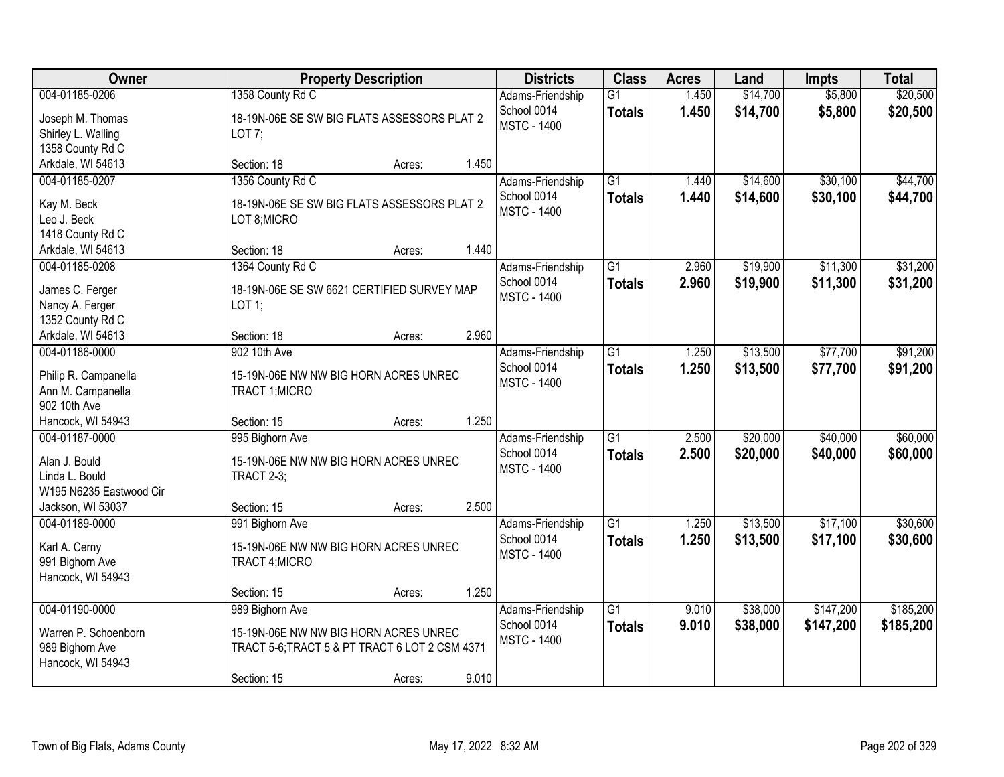| Owner                                                                          |                                                                                                                           | <b>Property Description</b> |       | <b>Districts</b>                                      | <b>Class</b>                     | <b>Acres</b>   | Land                 | <b>Impts</b>           | <b>Total</b>           |
|--------------------------------------------------------------------------------|---------------------------------------------------------------------------------------------------------------------------|-----------------------------|-------|-------------------------------------------------------|----------------------------------|----------------|----------------------|------------------------|------------------------|
| 004-01185-0206<br>Joseph M. Thomas<br>Shirley L. Walling<br>1358 County Rd C   | 1358 County Rd C<br>18-19N-06E SE SW BIG FLATS ASSESSORS PLAT 2<br>LOT 7;                                                 |                             |       | Adams-Friendship<br>School 0014<br><b>MSTC - 1400</b> | $\overline{G1}$<br><b>Totals</b> | 1.450<br>1.450 | \$14,700<br>\$14,700 | \$5,800<br>\$5,800     | \$20,500<br>\$20,500   |
| Arkdale, WI 54613                                                              | Section: 18                                                                                                               | Acres:                      | 1.450 |                                                       |                                  |                |                      |                        |                        |
| 004-01185-0207<br>Kay M. Beck<br>Leo J. Beck<br>1418 County Rd C               | 1356 County Rd C<br>18-19N-06E SE SW BIG FLATS ASSESSORS PLAT 2<br>LOT 8; MICRO                                           |                             |       | Adams-Friendship<br>School 0014<br><b>MSTC - 1400</b> | $\overline{G1}$<br><b>Totals</b> | 1.440<br>1.440 | \$14,600<br>\$14,600 | \$30,100<br>\$30,100   | \$44,700<br>\$44,700   |
| Arkdale, WI 54613                                                              | Section: 18                                                                                                               | Acres:                      | 1.440 |                                                       |                                  |                |                      |                        |                        |
| 004-01185-0208<br>James C. Ferger<br>Nancy A. Ferger<br>1352 County Rd C       | 1364 County Rd C<br>18-19N-06E SE SW 6621 CERTIFIED SURVEY MAP<br>$LOT$ 1;                                                |                             |       | Adams-Friendship<br>School 0014<br><b>MSTC - 1400</b> | $\overline{G1}$<br><b>Totals</b> | 2.960<br>2.960 | \$19,900<br>\$19,900 | \$11,300<br>\$11,300   | \$31,200<br>\$31,200   |
| Arkdale, WI 54613                                                              | Section: 18                                                                                                               | Acres:                      | 2.960 |                                                       |                                  |                |                      |                        |                        |
| 004-01186-0000<br>Philip R. Campanella<br>Ann M. Campanella<br>902 10th Ave    | 902 10th Ave<br>15-19N-06E NW NW BIG HORN ACRES UNREC<br>TRACT 1; MICRO                                                   |                             |       | Adams-Friendship<br>School 0014<br><b>MSTC - 1400</b> | $\overline{G1}$<br><b>Totals</b> | 1.250<br>1.250 | \$13,500<br>\$13,500 | \$77,700<br>\$77,700   | \$91,200<br>\$91,200   |
| Hancock, WI 54943                                                              | Section: 15                                                                                                               | Acres:                      | 1.250 |                                                       |                                  |                |                      |                        |                        |
| 004-01187-0000<br>Alan J. Bould<br>Linda L. Bould<br>W195 N6235 Eastwood Cir   | 995 Bighorn Ave<br>15-19N-06E NW NW BIG HORN ACRES UNREC<br><b>TRACT 2-3;</b>                                             |                             |       | Adams-Friendship<br>School 0014<br><b>MSTC - 1400</b> | $\overline{G1}$<br><b>Totals</b> | 2.500<br>2.500 | \$20,000<br>\$20,000 | \$40,000<br>\$40,000   | \$60,000<br>\$60,000   |
| Jackson, WI 53037<br>004-01189-0000                                            | Section: 15<br>991 Bighorn Ave                                                                                            | Acres:                      | 2.500 | Adams-Friendship                                      | $\overline{G1}$                  | 1.250          | \$13,500             | \$17,100               | \$30,600               |
| Karl A. Cerny<br>991 Bighorn Ave<br>Hancock, WI 54943                          | 15-19N-06E NW NW BIG HORN ACRES UNREC<br>TRACT 4; MICRO                                                                   |                             |       | School 0014<br><b>MSTC - 1400</b>                     | <b>Totals</b>                    | 1.250          | \$13,500             | \$17,100               | \$30,600               |
|                                                                                | Section: 15                                                                                                               | Acres:                      | 1.250 |                                                       |                                  |                |                      |                        |                        |
| 004-01190-0000<br>Warren P. Schoenborn<br>989 Bighorn Ave<br>Hancock, WI 54943 | 989 Bighorn Ave<br>15-19N-06E NW NW BIG HORN ACRES UNREC<br>TRACT 5-6; TRACT 5 & PT TRACT 6 LOT 2 CSM 4371<br>Section: 15 | Acres:                      | 9.010 | Adams-Friendship<br>School 0014<br><b>MSTC - 1400</b> | $\overline{G1}$<br><b>Totals</b> | 9.010<br>9.010 | \$38,000<br>\$38,000 | \$147,200<br>\$147,200 | \$185,200<br>\$185,200 |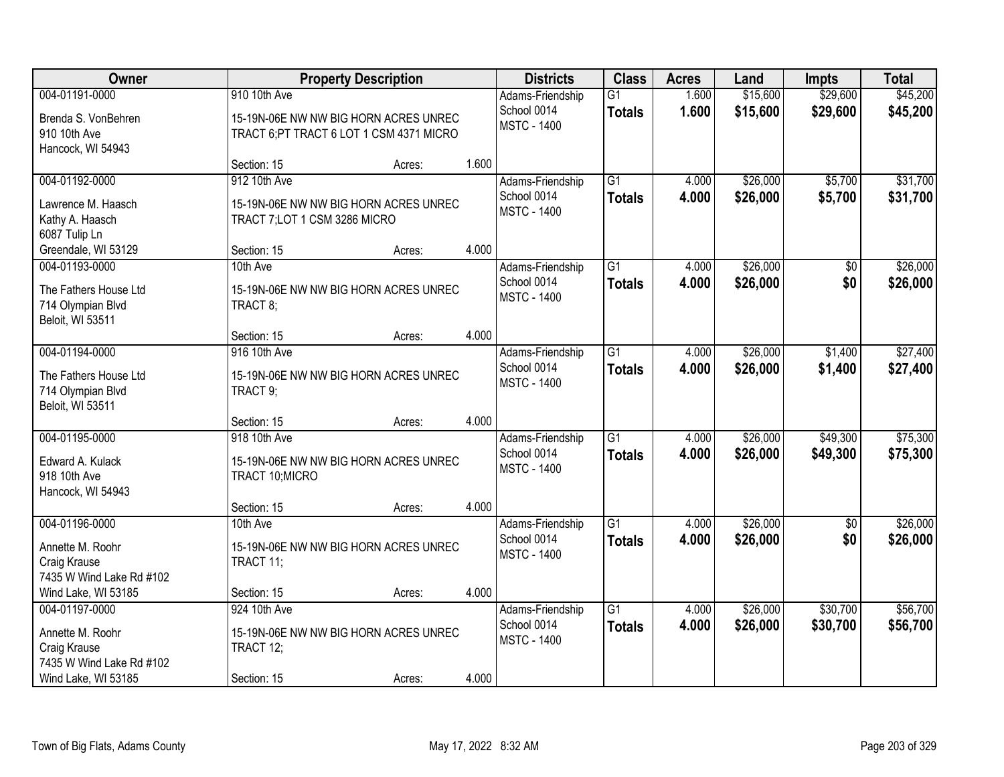| Owner                                                                                                 | <b>Property Description</b>                                                                       | <b>Districts</b> |       | <b>Class</b><br><b>Acres</b>                          |                                  | <b>Impts</b>   | <b>Total</b>         |                        |                      |
|-------------------------------------------------------------------------------------------------------|---------------------------------------------------------------------------------------------------|------------------|-------|-------------------------------------------------------|----------------------------------|----------------|----------------------|------------------------|----------------------|
| 004-01191-0000<br>Brenda S. VonBehren<br>910 10th Ave<br>Hancock, WI 54943                            | 910 10th Ave<br>15-19N-06E NW NW BIG HORN ACRES UNREC<br>TRACT 6; PT TRACT 6 LOT 1 CSM 4371 MICRO |                  |       | Adams-Friendship<br>School 0014<br><b>MSTC - 1400</b> | $\overline{G1}$<br><b>Totals</b> | 1.600<br>1.600 | \$15,600<br>\$15,600 | \$29,600<br>\$29,600   | \$45,200<br>\$45,200 |
|                                                                                                       | Section: 15                                                                                       | Acres:           | 1.600 |                                                       |                                  |                |                      |                        |                      |
| 004-01192-0000<br>Lawrence M. Haasch<br>Kathy A. Haasch<br>6087 Tulip Ln                              | 912 10th Ave<br>15-19N-06E NW NW BIG HORN ACRES UNREC<br>TRACT 7; LOT 1 CSM 3286 MICRO            |                  |       | Adams-Friendship<br>School 0014<br><b>MSTC - 1400</b> | G1<br><b>Totals</b>              | 4.000<br>4.000 | \$26,000<br>\$26,000 | \$5,700<br>\$5,700     | \$31,700<br>\$31,700 |
| Greendale, WI 53129                                                                                   | Section: 15                                                                                       | Acres:           | 4.000 |                                                       |                                  |                |                      |                        |                      |
| 004-01193-0000<br>The Fathers House Ltd<br>714 Olympian Blvd<br>Beloit, WI 53511                      | 10th Ave<br>15-19N-06E NW NW BIG HORN ACRES UNREC<br>TRACT 8;                                     |                  |       | Adams-Friendship<br>School 0014<br><b>MSTC - 1400</b> | $\overline{G1}$<br><b>Totals</b> | 4.000<br>4.000 | \$26,000<br>\$26,000 | $\overline{50}$<br>\$0 | \$26,000<br>\$26,000 |
|                                                                                                       | Section: 15                                                                                       | Acres:           | 4.000 |                                                       |                                  |                |                      |                        |                      |
| 004-01194-0000<br>The Fathers House Ltd<br>714 Olympian Blvd<br>Beloit, WI 53511                      | 916 10th Ave<br>15-19N-06E NW NW BIG HORN ACRES UNREC<br>TRACT 9;                                 |                  |       | Adams-Friendship<br>School 0014<br><b>MSTC - 1400</b> | $\overline{G1}$<br><b>Totals</b> | 4.000<br>4.000 | \$26,000<br>\$26,000 | \$1,400<br>\$1,400     | \$27,400<br>\$27,400 |
|                                                                                                       | Section: 15                                                                                       | Acres:           | 4.000 |                                                       |                                  |                |                      |                        |                      |
| 004-01195-0000<br>Edward A. Kulack<br>918 10th Ave<br>Hancock, WI 54943                               | 918 10th Ave<br>15-19N-06E NW NW BIG HORN ACRES UNREC<br>TRACT 10; MICRO                          |                  |       | Adams-Friendship<br>School 0014<br><b>MSTC - 1400</b> | $\overline{G1}$<br><b>Totals</b> | 4.000<br>4.000 | \$26,000<br>\$26,000 | \$49,300<br>\$49,300   | \$75,300<br>\$75,300 |
|                                                                                                       | Section: 15                                                                                       | Acres:           | 4.000 |                                                       |                                  |                |                      |                        |                      |
| 004-01196-0000<br>Annette M. Roohr<br>Craig Krause<br>7435 W Wind Lake Rd #102                        | 10th Ave<br>15-19N-06E NW NW BIG HORN ACRES UNREC<br>TRACT 11;                                    |                  |       | Adams-Friendship<br>School 0014<br><b>MSTC - 1400</b> | G1<br><b>Totals</b>              | 4.000<br>4.000 | \$26,000<br>\$26,000 | $\overline{50}$<br>\$0 | \$26,000<br>\$26,000 |
| Wind Lake, WI 53185                                                                                   | Section: 15                                                                                       | Acres:           | 4.000 |                                                       |                                  |                |                      |                        |                      |
| 004-01197-0000<br>Annette M. Roohr<br>Craig Krause<br>7435 W Wind Lake Rd #102<br>Wind Lake, WI 53185 | 924 10th Ave<br>15-19N-06E NW NW BIG HORN ACRES UNREC<br>TRACT 12;<br>Section: 15                 |                  | 4.000 | Adams-Friendship<br>School 0014<br><b>MSTC - 1400</b> | $\overline{G1}$<br><b>Totals</b> | 4.000<br>4.000 | \$26,000<br>\$26,000 | \$30,700<br>\$30,700   | \$56,700<br>\$56,700 |
|                                                                                                       |                                                                                                   | Acres:           |       |                                                       |                                  |                |                      |                        |                      |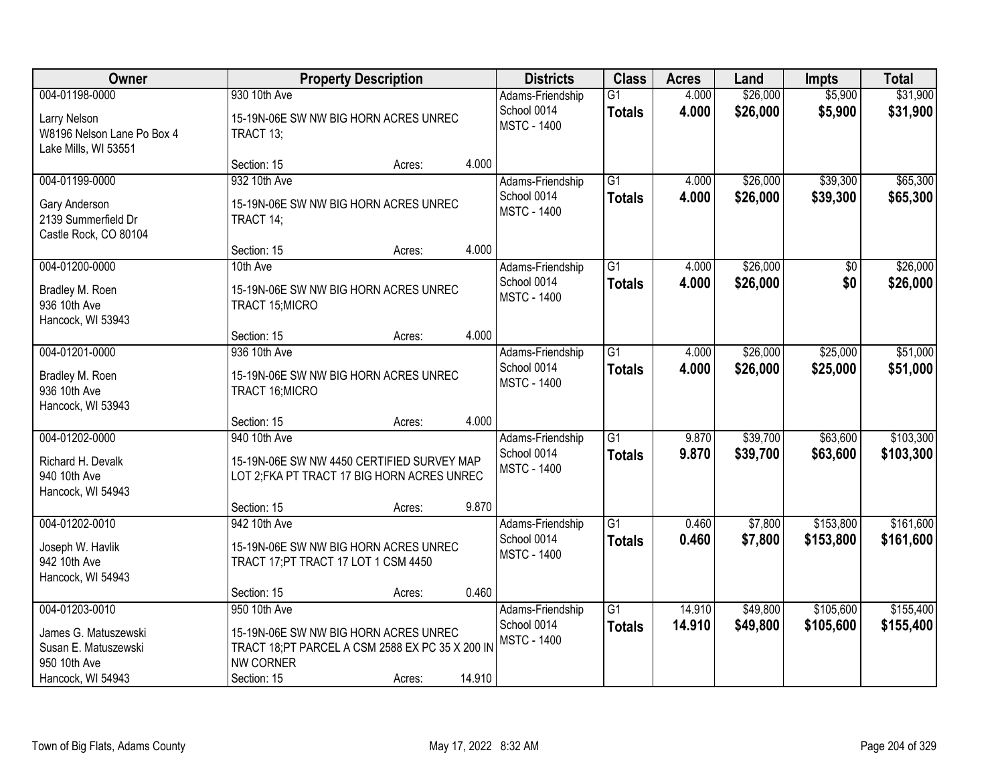| Owner                                                                                               |                                                                                                                                              | <b>Property Description</b> |        | <b>Districts</b>                                      | <b>Class</b>                     | <b>Acres</b>     | Land                 | <b>Impts</b>           | <b>Total</b>           |
|-----------------------------------------------------------------------------------------------------|----------------------------------------------------------------------------------------------------------------------------------------------|-----------------------------|--------|-------------------------------------------------------|----------------------------------|------------------|----------------------|------------------------|------------------------|
| 004-01198-0000<br>Larry Nelson<br>W8196 Nelson Lane Po Box 4<br>Lake Mills, WI 53551                | 930 10th Ave<br>15-19N-06E SW NW BIG HORN ACRES UNREC<br>TRACT 13;                                                                           |                             |        | Adams-Friendship<br>School 0014<br><b>MSTC - 1400</b> | $\overline{G1}$<br><b>Totals</b> | 4.000<br>4.000   | \$26,000<br>\$26,000 | \$5,900<br>\$5,900     | \$31,900<br>\$31,900   |
|                                                                                                     | Section: 15                                                                                                                                  | Acres:                      | 4.000  |                                                       |                                  |                  |                      |                        |                        |
| 004-01199-0000<br>Gary Anderson<br>2139 Summerfield Dr<br>Castle Rock, CO 80104                     | 932 10th Ave<br>15-19N-06E SW NW BIG HORN ACRES UNREC<br>TRACT 14;                                                                           |                             |        | Adams-Friendship<br>School 0014<br><b>MSTC - 1400</b> | $\overline{G1}$<br><b>Totals</b> | 4.000<br>4.000   | \$26,000<br>\$26,000 | \$39,300<br>\$39,300   | \$65,300<br>\$65,300   |
|                                                                                                     | Section: 15                                                                                                                                  | Acres:                      | 4.000  |                                                       |                                  |                  |                      |                        |                        |
| 004-01200-0000<br>Bradley M. Roen<br>936 10th Ave<br>Hancock, WI 53943                              | 10th Ave<br>15-19N-06E SW NW BIG HORN ACRES UNREC<br>TRACT 15; MICRO                                                                         |                             |        | Adams-Friendship<br>School 0014<br><b>MSTC - 1400</b> | G1<br><b>Totals</b>              | 4.000<br>4.000   | \$26,000<br>\$26,000 | \$0<br>\$0             | \$26,000<br>\$26,000   |
|                                                                                                     | Section: 15                                                                                                                                  | Acres:                      | 4.000  |                                                       |                                  |                  |                      |                        |                        |
| 004-01201-0000<br>Bradley M. Roen<br>936 10th Ave<br>Hancock, WI 53943                              | 936 10th Ave<br>15-19N-06E SW NW BIG HORN ACRES UNREC<br>TRACT 16; MICRO                                                                     |                             |        | Adams-Friendship<br>School 0014<br><b>MSTC - 1400</b> | $\overline{G1}$<br><b>Totals</b> | 4.000<br>4.000   | \$26,000<br>\$26,000 | \$25,000<br>\$25,000   | \$51,000<br>\$51,000   |
|                                                                                                     | Section: 15                                                                                                                                  | Acres:                      | 4.000  |                                                       |                                  |                  |                      |                        |                        |
| 004-01202-0000<br>Richard H. Devalk<br>940 10th Ave<br>Hancock, WI 54943                            | 940 10th Ave<br>15-19N-06E SW NW 4450 CERTIFIED SURVEY MAP<br>LOT 2; FKA PT TRACT 17 BIG HORN ACRES UNREC                                    |                             |        | Adams-Friendship<br>School 0014<br><b>MSTC - 1400</b> | $\overline{G1}$<br><b>Totals</b> | 9.870<br>9.870   | \$39,700<br>\$39,700 | \$63,600<br>\$63,600   | \$103,300<br>\$103,300 |
|                                                                                                     | Section: 15                                                                                                                                  | Acres:                      | 9.870  |                                                       |                                  |                  |                      |                        |                        |
| 004-01202-0010<br>Joseph W. Havlik<br>942 10th Ave<br>Hancock, WI 54943                             | 942 10th Ave<br>15-19N-06E SW NW BIG HORN ACRES UNREC<br>TRACT 17; PT TRACT 17 LOT 1 CSM 4450                                                |                             |        | Adams-Friendship<br>School 0014<br><b>MSTC - 1400</b> | $\overline{G1}$<br><b>Totals</b> | 0.460<br>0.460   | \$7,800<br>\$7,800   | \$153,800<br>\$153,800 | \$161,600<br>\$161,600 |
|                                                                                                     | Section: 15                                                                                                                                  | Acres:                      | 0.460  |                                                       |                                  |                  |                      |                        |                        |
| 004-01203-0010<br>James G. Matuszewski<br>Susan E. Matuszewski<br>950 10th Ave<br>Hancock, WI 54943 | 950 10th Ave<br>15-19N-06E SW NW BIG HORN ACRES UNREC<br>TRACT 18; PT PARCEL A CSM 2588 EX PC 35 X 200 IN<br><b>NW CORNER</b><br>Section: 15 | Acres:                      | 14.910 | Adams-Friendship<br>School 0014<br><b>MSTC - 1400</b> | $\overline{G1}$<br><b>Totals</b> | 14.910<br>14.910 | \$49,800<br>\$49,800 | \$105,600<br>\$105,600 | \$155,400<br>\$155,400 |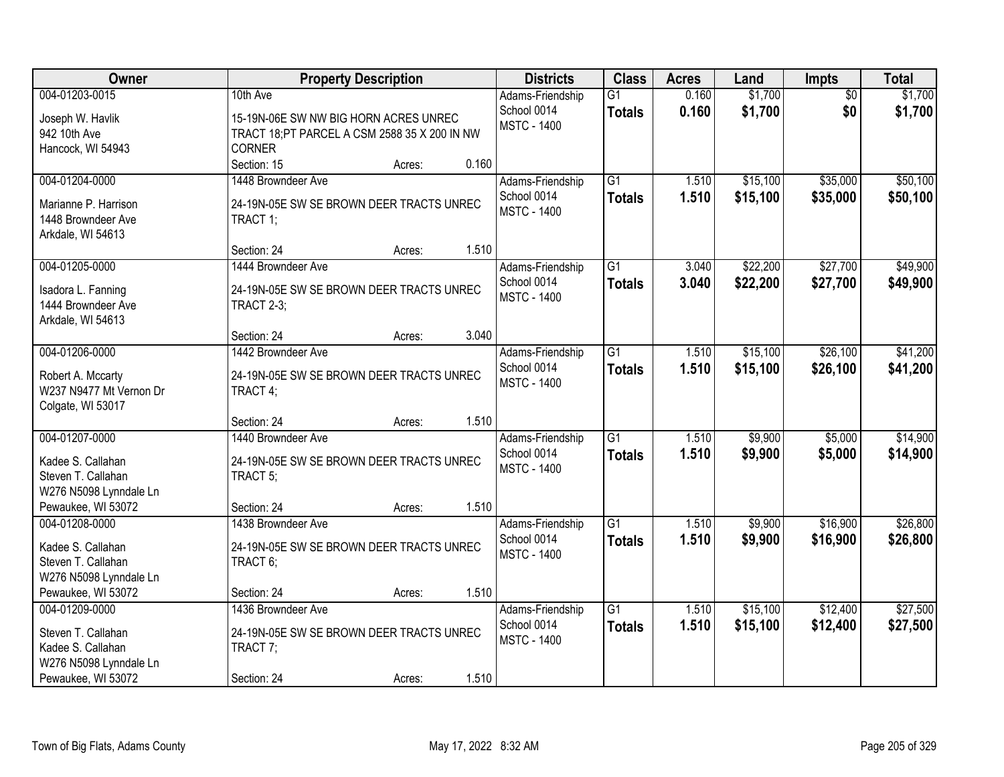| Owner                                                                                                     | <b>Property Description</b>                                                                                        | <b>Districts</b>                                               | <b>Class</b>                     | <b>Acres</b>   | Land                 | Impts                  | <b>Total</b>         |
|-----------------------------------------------------------------------------------------------------------|--------------------------------------------------------------------------------------------------------------------|----------------------------------------------------------------|----------------------------------|----------------|----------------------|------------------------|----------------------|
| 004-01203-0015<br>Joseph W. Havlik<br>942 10th Ave<br>Hancock, WI 54943                                   | 10th Ave<br>15-19N-06E SW NW BIG HORN ACRES UNREC<br>TRACT 18;PT PARCEL A CSM 2588 35 X 200 IN NW<br><b>CORNER</b> | Adams-Friendship<br>School 0014<br><b>MSTC - 1400</b>          | $\overline{G1}$<br><b>Totals</b> | 0.160<br>0.160 | \$1,700<br>\$1,700   | $\overline{50}$<br>\$0 | \$1,700<br>\$1,700   |
|                                                                                                           | Section: 15<br>Acres:                                                                                              | 0.160                                                          |                                  |                |                      |                        |                      |
| 004-01204-0000<br>Marianne P. Harrison<br>1448 Browndeer Ave<br>Arkdale, WI 54613                         | 1448 Browndeer Ave<br>24-19N-05E SW SE BROWN DEER TRACTS UNREC<br>TRACT 1;                                         | Adams-Friendship<br>School 0014<br><b>MSTC - 1400</b>          | $\overline{G1}$<br><b>Totals</b> | 1.510<br>1.510 | \$15,100<br>\$15,100 | \$35,000<br>\$35,000   | \$50,100<br>\$50,100 |
|                                                                                                           | Section: 24<br>Acres:                                                                                              | 1.510                                                          |                                  |                |                      |                        |                      |
| 004-01205-0000<br>Isadora L. Fanning<br>1444 Browndeer Ave<br>Arkdale, WI 54613                           | 1444 Browndeer Ave<br>24-19N-05E SW SE BROWN DEER TRACTS UNREC<br><b>TRACT 2-3;</b>                                | Adams-Friendship<br>School 0014<br><b>MSTC - 1400</b>          | $\overline{G1}$<br><b>Totals</b> | 3.040<br>3.040 | \$22,200<br>\$22,200 | \$27,700<br>\$27,700   | \$49,900<br>\$49,900 |
|                                                                                                           | Section: 24<br>Acres:                                                                                              | 3.040                                                          |                                  |                |                      |                        |                      |
| 004-01206-0000<br>Robert A. Mccarty<br>W237 N9477 Mt Vernon Dr<br>Colgate, WI 53017                       | 1442 Browndeer Ave<br>24-19N-05E SW SE BROWN DEER TRACTS UNREC<br>TRACT 4;                                         | Adams-Friendship<br>School 0014<br><b>MSTC - 1400</b>          | $\overline{G1}$<br><b>Totals</b> | 1.510<br>1.510 | \$15,100<br>\$15,100 | \$26,100<br>\$26,100   | \$41,200<br>\$41,200 |
|                                                                                                           | Section: 24<br>Acres:                                                                                              | 1.510                                                          |                                  |                |                      |                        |                      |
| 004-01207-0000<br>Kadee S. Callahan<br>Steven T. Callahan<br>W276 N5098 Lynndale Ln                       | 1440 Browndeer Ave<br>24-19N-05E SW SE BROWN DEER TRACTS UNREC<br>TRACT 5;                                         | Adams-Friendship<br>School 0014<br><b>MSTC - 1400</b>          | $\overline{G1}$<br><b>Totals</b> | 1.510<br>1.510 | \$9,900<br>\$9,900   | \$5,000<br>\$5,000     | \$14,900<br>\$14,900 |
| Pewaukee, WI 53072<br>004-01208-0000                                                                      | Section: 24<br>Acres:<br>1438 Browndeer Ave                                                                        | 1.510<br>Adams-Friendship                                      | G1                               | 1.510          | \$9,900              | \$16,900               | \$26,800             |
| Kadee S. Callahan<br>Steven T. Callahan<br>W276 N5098 Lynndale Ln                                         | 24-19N-05E SW SE BROWN DEER TRACTS UNREC<br>TRACT 6;                                                               | School 0014<br><b>MSTC - 1400</b>                              | <b>Totals</b>                    | 1.510          | \$9,900              | \$16,900               | \$26,800             |
| Pewaukee, WI 53072                                                                                        | Section: 24<br>Acres:                                                                                              | 1.510                                                          |                                  |                |                      |                        |                      |
| 004-01209-0000<br>Steven T. Callahan<br>Kadee S. Callahan<br>W276 N5098 Lynndale Ln<br>Pewaukee, WI 53072 | 1436 Browndeer Ave<br>24-19N-05E SW SE BROWN DEER TRACTS UNREC<br>TRACT 7;<br>Section: 24<br>Acres:                | Adams-Friendship<br>School 0014<br><b>MSTC - 1400</b><br>1.510 | $\overline{G1}$<br><b>Totals</b> | 1.510<br>1.510 | \$15,100<br>\$15,100 | \$12,400<br>\$12,400   | \$27,500<br>\$27,500 |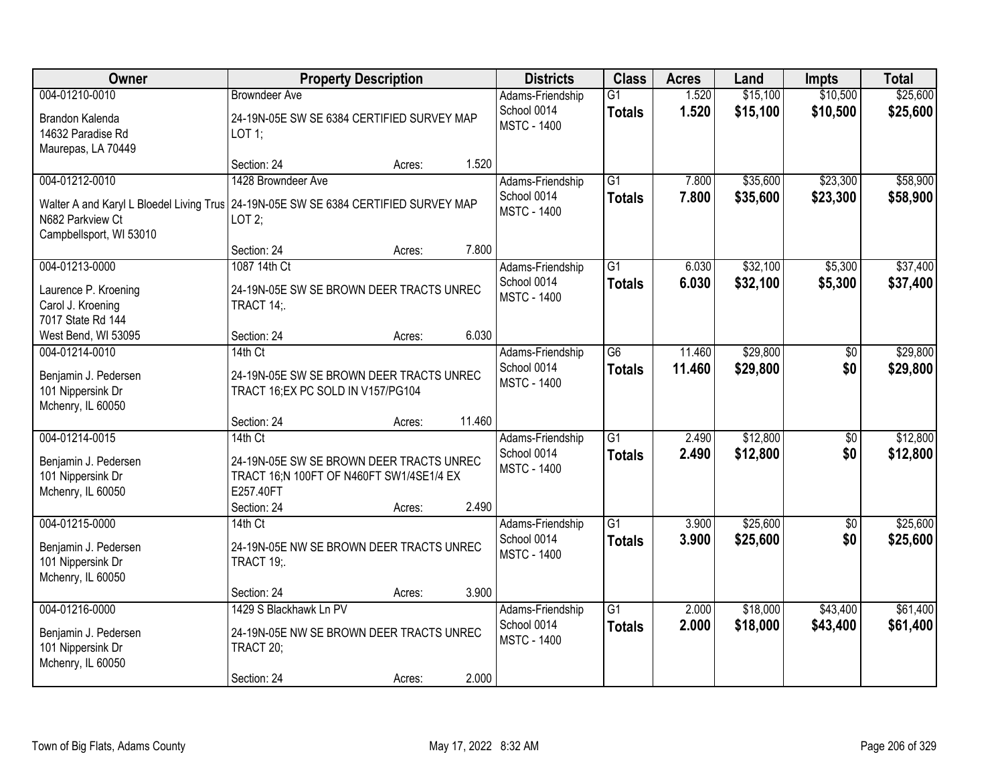| Owner                                                                                 | <b>Property Description</b>                |        |        | <b>Districts</b>   | <b>Class</b>    | <b>Acres</b> | Land     | <b>Impts</b>    | <b>Total</b> |
|---------------------------------------------------------------------------------------|--------------------------------------------|--------|--------|--------------------|-----------------|--------------|----------|-----------------|--------------|
| 004-01210-0010                                                                        | <b>Browndeer Ave</b>                       |        |        | Adams-Friendship   | $\overline{G1}$ | 1.520        | \$15,100 | \$10,500        | \$25,600     |
| Brandon Kalenda                                                                       | 24-19N-05E SW SE 6384 CERTIFIED SURVEY MAP |        |        | School 0014        | <b>Totals</b>   | 1.520        | \$15,100 | \$10,500        | \$25,600     |
| 14632 Paradise Rd                                                                     | LOT 1;                                     |        |        | <b>MSTC - 1400</b> |                 |              |          |                 |              |
| Maurepas, LA 70449                                                                    |                                            |        |        |                    |                 |              |          |                 |              |
|                                                                                       | Section: 24                                | Acres: | 1.520  |                    |                 |              |          |                 |              |
| 004-01212-0010                                                                        | 1428 Browndeer Ave                         |        |        | Adams-Friendship   | $\overline{G1}$ | 7.800        | \$35,600 | \$23,300        | \$58,900     |
| Walter A and Karyl L Bloedel Living Trus   24-19N-05E SW SE 6384 CERTIFIED SURVEY MAP |                                            |        |        | School 0014        | <b>Totals</b>   | 7.800        | \$35,600 | \$23,300        | \$58,900     |
| N682 Parkview Ct                                                                      | LOT2;                                      |        |        | <b>MSTC - 1400</b> |                 |              |          |                 |              |
| Campbellsport, WI 53010                                                               |                                            |        |        |                    |                 |              |          |                 |              |
|                                                                                       | Section: 24                                | Acres: | 7.800  |                    |                 |              |          |                 |              |
| 004-01213-0000                                                                        | 1087 14th Ct                               |        |        | Adams-Friendship   | $\overline{G1}$ | 6.030        | \$32,100 | \$5,300         | \$37,400     |
| Laurence P. Kroening                                                                  | 24-19N-05E SW SE BROWN DEER TRACTS UNREC   |        |        | School 0014        | <b>Totals</b>   | 6.030        | \$32,100 | \$5,300         | \$37,400     |
| Carol J. Kroening                                                                     | TRACT 14;                                  |        |        | <b>MSTC - 1400</b> |                 |              |          |                 |              |
| 7017 State Rd 144                                                                     |                                            |        |        |                    |                 |              |          |                 |              |
| West Bend, WI 53095                                                                   | Section: 24                                | Acres: | 6.030  |                    |                 |              |          |                 |              |
| 004-01214-0010                                                                        | $14th$ Ct                                  |        |        | Adams-Friendship   | G <sub>6</sub>  | 11.460       | \$29,800 | $\sqrt[6]{}$    | \$29,800     |
| Benjamin J. Pedersen                                                                  | 24-19N-05E SW SE BROWN DEER TRACTS UNREC   |        |        | School 0014        | <b>Totals</b>   | 11.460       | \$29,800 | \$0             | \$29,800     |
| 101 Nippersink Dr                                                                     | TRACT 16; EX PC SOLD IN V157/PG104         |        |        | <b>MSTC - 1400</b> |                 |              |          |                 |              |
| Mchenry, IL 60050                                                                     |                                            |        |        |                    |                 |              |          |                 |              |
|                                                                                       | Section: 24                                | Acres: | 11.460 |                    |                 |              |          |                 |              |
| 004-01214-0015                                                                        | 14th Ct                                    |        |        | Adams-Friendship   | $\overline{G1}$ | 2.490        | \$12,800 | $\overline{50}$ | \$12,800     |
| Benjamin J. Pedersen                                                                  | 24-19N-05E SW SE BROWN DEER TRACTS UNREC   |        |        | School 0014        | <b>Totals</b>   | 2.490        | \$12,800 | \$0             | \$12,800     |
| 101 Nippersink Dr                                                                     | TRACT 16;N 100FT OF N460FT SW1/4SE1/4 EX   |        |        | <b>MSTC - 1400</b> |                 |              |          |                 |              |
| Mchenry, IL 60050                                                                     | E257.40FT                                  |        |        |                    |                 |              |          |                 |              |
|                                                                                       | Section: 24                                | Acres: | 2.490  |                    |                 |              |          |                 |              |
| 004-01215-0000                                                                        | 14th Ct                                    |        |        | Adams-Friendship   | $\overline{G1}$ | 3.900        | \$25,600 | $\overline{50}$ | \$25,600     |
| Benjamin J. Pedersen                                                                  | 24-19N-05E NW SE BROWN DEER TRACTS UNREC   |        |        | School 0014        | <b>Totals</b>   | 3.900        | \$25,600 | \$0             | \$25,600     |
| 101 Nippersink Dr                                                                     | <b>TRACT 19;.</b>                          |        |        | <b>MSTC - 1400</b> |                 |              |          |                 |              |
| Mchenry, IL 60050                                                                     |                                            |        |        |                    |                 |              |          |                 |              |
|                                                                                       | Section: 24                                | Acres: | 3.900  |                    |                 |              |          |                 |              |
| 004-01216-0000                                                                        | 1429 S Blackhawk Ln PV                     |        |        | Adams-Friendship   | $\overline{G1}$ | 2.000        | \$18,000 | \$43,400        | \$61,400     |
| Benjamin J. Pedersen                                                                  | 24-19N-05E NW SE BROWN DEER TRACTS UNREC   |        |        | School 0014        | <b>Totals</b>   | 2.000        | \$18,000 | \$43,400        | \$61,400     |
| 101 Nippersink Dr                                                                     | TRACT 20;                                  |        |        | <b>MSTC - 1400</b> |                 |              |          |                 |              |
| Mchenry, IL 60050                                                                     |                                            |        |        |                    |                 |              |          |                 |              |
|                                                                                       | Section: 24                                | Acres: | 2.000  |                    |                 |              |          |                 |              |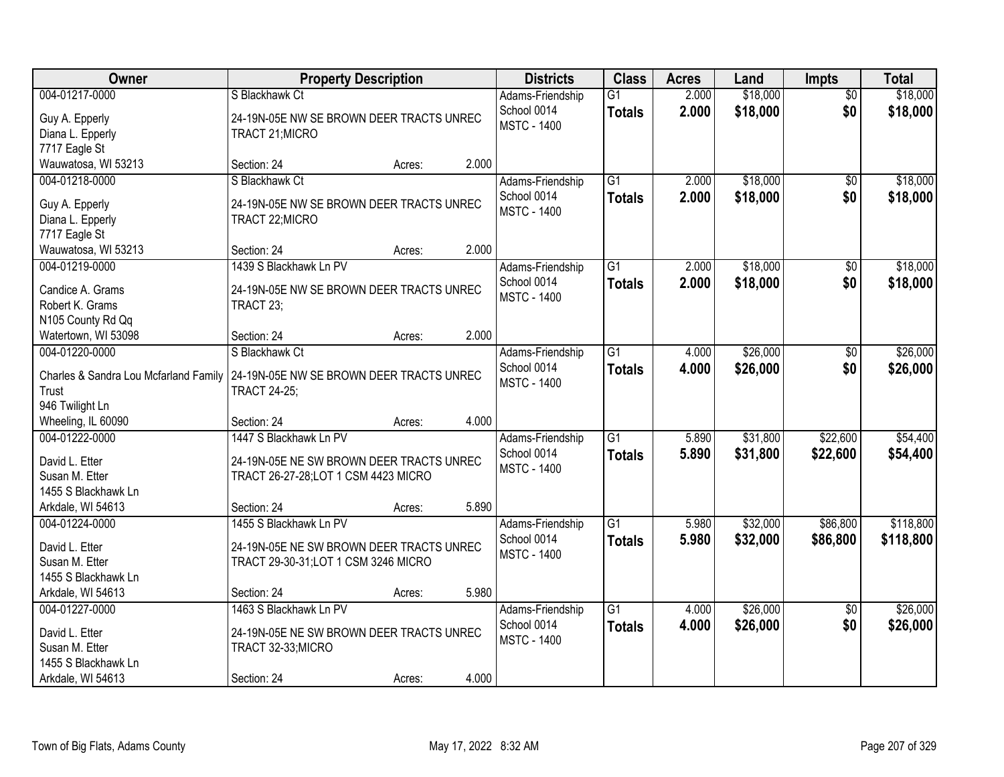| Owner                                                                                          | <b>Property Description</b>                                                                                |                 | <b>Districts</b>                                      | <b>Class</b>                     | <b>Acres</b>   | Land                 | Impts                  | <b>Total</b>           |
|------------------------------------------------------------------------------------------------|------------------------------------------------------------------------------------------------------------|-----------------|-------------------------------------------------------|----------------------------------|----------------|----------------------|------------------------|------------------------|
| 004-01217-0000<br>Guy A. Epperly<br>Diana L. Epperly<br>7717 Eagle St                          | S Blackhawk Ct<br>24-19N-05E NW SE BROWN DEER TRACTS UNREC<br>TRACT 21; MICRO                              |                 | Adams-Friendship<br>School 0014<br><b>MSTC - 1400</b> | $\overline{G1}$<br><b>Totals</b> | 2.000<br>2.000 | \$18,000<br>\$18,000 | $\overline{50}$<br>\$0 | \$18,000<br>\$18,000   |
| Wauwatosa, WI 53213                                                                            | Section: 24                                                                                                | 2.000<br>Acres: |                                                       |                                  |                |                      |                        |                        |
| 004-01218-0000<br>Guy A. Epperly<br>Diana L. Epperly<br>7717 Eagle St                          | S Blackhawk Ct<br>24-19N-05E NW SE BROWN DEER TRACTS UNREC<br>TRACT 22; MICRO                              |                 | Adams-Friendship<br>School 0014<br><b>MSTC - 1400</b> | $\overline{G1}$<br><b>Totals</b> | 2.000<br>2.000 | \$18,000<br>\$18,000 | \$0<br>\$0             | \$18,000<br>\$18,000   |
| Wauwatosa, WI 53213                                                                            | Section: 24                                                                                                | 2.000<br>Acres: |                                                       |                                  |                |                      |                        |                        |
| 004-01219-0000<br>Candice A. Grams<br>Robert K. Grams<br>N105 County Rd Qq                     | 1439 S Blackhawk Ln PV<br>24-19N-05E NW SE BROWN DEER TRACTS UNREC<br>TRACT 23;                            |                 | Adams-Friendship<br>School 0014<br><b>MSTC - 1400</b> | $\overline{G1}$<br><b>Totals</b> | 2.000<br>2.000 | \$18,000<br>\$18,000 | $\overline{50}$<br>\$0 | \$18,000<br>\$18,000   |
| Watertown, WI 53098                                                                            | Section: 24                                                                                                | 2.000<br>Acres: |                                                       |                                  |                |                      |                        |                        |
| 004-01220-0000<br>Charles & Sandra Lou Mcfarland Family<br>Trust<br>946 Twilight Ln            | S Blackhawk Ct<br>24-19N-05E NW SE BROWN DEER TRACTS UNREC<br><b>TRACT 24-25;</b>                          |                 | Adams-Friendship<br>School 0014<br><b>MSTC - 1400</b> | $\overline{G1}$<br><b>Totals</b> | 4.000<br>4.000 | \$26,000<br>\$26,000 | \$0<br>\$0             | \$26,000<br>\$26,000   |
| Wheeling, IL 60090                                                                             | Section: 24                                                                                                | 4.000<br>Acres: |                                                       |                                  |                |                      |                        |                        |
| 004-01222-0000<br>David L. Etter<br>Susan M. Etter<br>1455 S Blackhawk Ln                      | 1447 S Blackhawk Ln PV<br>24-19N-05E NE SW BROWN DEER TRACTS UNREC<br>TRACT 26-27-28; LOT 1 CSM 4423 MICRO |                 | Adams-Friendship<br>School 0014<br><b>MSTC - 1400</b> | $\overline{G1}$<br><b>Totals</b> | 5.890<br>5.890 | \$31,800<br>\$31,800 | \$22,600<br>\$22,600   | \$54,400<br>\$54,400   |
| Arkdale, WI 54613                                                                              | Section: 24                                                                                                | 5.890<br>Acres: |                                                       |                                  |                |                      |                        |                        |
| 004-01224-0000<br>David L. Etter<br>Susan M. Etter<br>1455 S Blackhawk Ln                      | 1455 S Blackhawk Ln PV<br>24-19N-05E NE SW BROWN DEER TRACTS UNREC<br>TRACT 29-30-31; LOT 1 CSM 3246 MICRO |                 | Adams-Friendship<br>School 0014<br><b>MSTC - 1400</b> | $\overline{G1}$<br><b>Totals</b> | 5.980<br>5.980 | \$32,000<br>\$32,000 | \$86,800<br>\$86,800   | \$118,800<br>\$118,800 |
| Arkdale, WI 54613                                                                              | Section: 24                                                                                                | 5.980<br>Acres: |                                                       |                                  |                |                      |                        |                        |
| 004-01227-0000<br>David L. Etter<br>Susan M. Etter<br>1455 S Blackhawk Ln<br>Arkdale, WI 54613 | 1463 S Blackhawk Ln PV<br>24-19N-05E NE SW BROWN DEER TRACTS UNREC<br>TRACT 32-33;MICRO<br>Section: 24     | 4.000<br>Acres: | Adams-Friendship<br>School 0014<br><b>MSTC - 1400</b> | $\overline{G1}$<br><b>Totals</b> | 4.000<br>4.000 | \$26,000<br>\$26,000 | $\overline{50}$<br>\$0 | \$26,000<br>\$26,000   |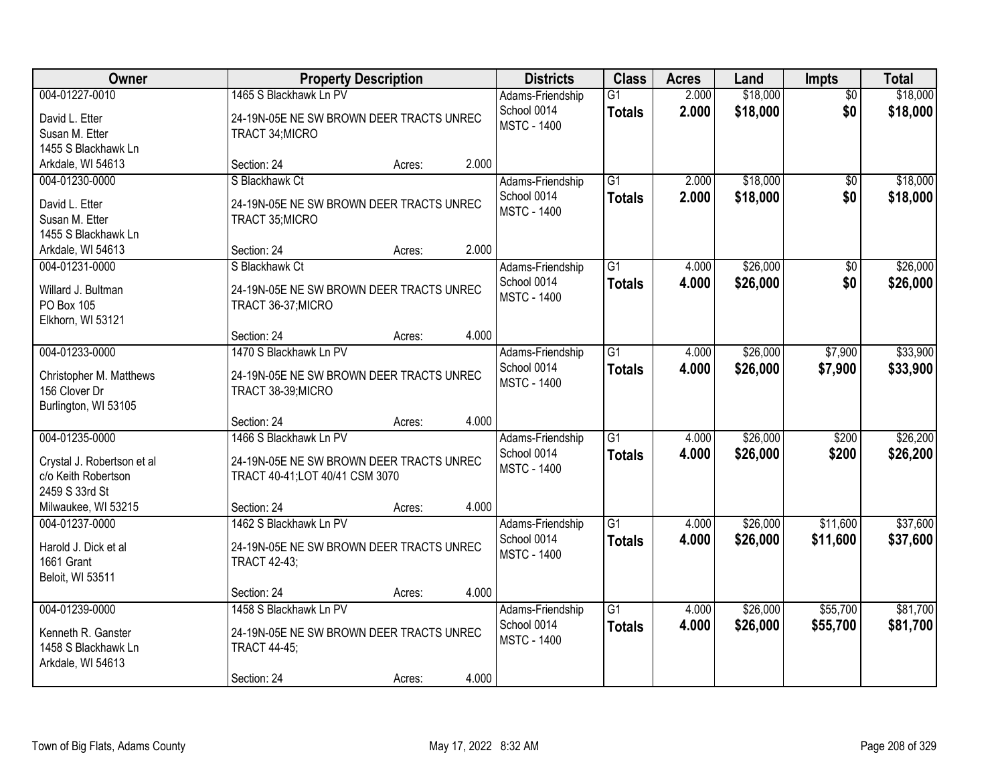| Owner                                                                                 |                                                                                                          | <b>Property Description</b> |       |                                                       | <b>Class</b>                     | <b>Acres</b>   | Land                 | Impts                  | <b>Total</b>         |
|---------------------------------------------------------------------------------------|----------------------------------------------------------------------------------------------------------|-----------------------------|-------|-------------------------------------------------------|----------------------------------|----------------|----------------------|------------------------|----------------------|
| 004-01227-0010<br>David L. Etter<br>Susan M. Etter<br>1455 S Blackhawk Ln             | 1465 S Blackhawk Ln PV<br>24-19N-05E NE SW BROWN DEER TRACTS UNREC<br>TRACT 34; MICRO                    |                             |       | Adams-Friendship<br>School 0014<br><b>MSTC - 1400</b> | G1<br><b>Totals</b>              | 2.000<br>2.000 | \$18,000<br>\$18,000 | $\overline{50}$<br>\$0 | \$18,000<br>\$18,000 |
| Arkdale, WI 54613                                                                     | Section: 24                                                                                              | Acres:                      | 2.000 |                                                       |                                  |                |                      |                        |                      |
| 004-01230-0000<br>David L. Etter<br>Susan M. Etter<br>1455 S Blackhawk Ln             | S Blackhawk Ct<br>24-19N-05E NE SW BROWN DEER TRACTS UNREC<br>TRACT 35; MICRO<br>Section: 24             |                             | 2.000 | Adams-Friendship<br>School 0014<br><b>MSTC - 1400</b> | $\overline{G1}$<br><b>Totals</b> | 2.000<br>2.000 | \$18,000<br>\$18,000 | \$0<br>\$0             | \$18,000<br>\$18,000 |
| Arkdale, WI 54613<br>004-01231-0000                                                   | S Blackhawk Ct                                                                                           | Acres:                      |       | Adams-Friendship                                      | $\overline{G1}$                  | 4.000          | \$26,000             | $\overline{50}$        | \$26,000             |
| Willard J. Bultman<br>PO Box 105<br>Elkhorn, WI 53121                                 | 24-19N-05E NE SW BROWN DEER TRACTS UNREC<br>TRACT 36-37; MICRO                                           |                             |       | School 0014<br><b>MSTC - 1400</b>                     | <b>Totals</b>                    | 4.000          | \$26,000             | \$0                    | \$26,000             |
|                                                                                       | Section: 24                                                                                              | Acres:                      | 4.000 |                                                       |                                  |                |                      |                        |                      |
| 004-01233-0000<br>Christopher M. Matthews<br>156 Clover Dr<br>Burlington, WI 53105    | 1470 S Blackhawk Ln PV<br>24-19N-05E NE SW BROWN DEER TRACTS UNREC<br>TRACT 38-39;MICRO                  |                             |       | Adams-Friendship<br>School 0014<br><b>MSTC - 1400</b> | $\overline{G1}$<br><b>Totals</b> | 4.000<br>4.000 | \$26,000<br>\$26,000 | \$7,900<br>\$7,900     | \$33,900<br>\$33,900 |
|                                                                                       | Section: 24                                                                                              | Acres:                      | 4.000 |                                                       |                                  |                |                      |                        |                      |
| 004-01235-0000<br>Crystal J. Robertson et al<br>c/o Keith Robertson<br>2459 S 33rd St | 1466 S Blackhawk Ln PV<br>24-19N-05E NE SW BROWN DEER TRACTS UNREC<br>TRACT 40-41; LOT 40/41 CSM 3070    |                             |       | Adams-Friendship<br>School 0014<br><b>MSTC - 1400</b> | $\overline{G1}$<br><b>Totals</b> | 4.000<br>4.000 | \$26,000<br>\$26,000 | \$200<br>\$200         | \$26,200<br>\$26,200 |
| Milwaukee, WI 53215                                                                   | Section: 24                                                                                              | Acres:                      | 4.000 |                                                       |                                  |                |                      |                        |                      |
| 004-01237-0000<br>Harold J. Dick et al<br>1661 Grant<br>Beloit, WI 53511              | 1462 S Blackhawk Ln PV<br>24-19N-05E NE SW BROWN DEER TRACTS UNREC<br><b>TRACT 42-43;</b>                |                             |       | Adams-Friendship<br>School 0014<br><b>MSTC - 1400</b> | $\overline{G1}$<br><b>Totals</b> | 4.000<br>4.000 | \$26,000<br>\$26,000 | \$11,600<br>\$11,600   | \$37,600<br>\$37,600 |
|                                                                                       | Section: 24                                                                                              | Acres:                      | 4.000 |                                                       |                                  |                |                      |                        |                      |
| 004-01239-0000<br>Kenneth R. Ganster<br>1458 S Blackhawk Ln<br>Arkdale, WI 54613      | 1458 S Blackhawk Ln PV<br>24-19N-05E NE SW BROWN DEER TRACTS UNREC<br><b>TRACT 44-45;</b><br>Section: 24 | Acres:                      | 4.000 | Adams-Friendship<br>School 0014<br><b>MSTC - 1400</b> | $\overline{G1}$<br><b>Totals</b> | 4.000<br>4.000 | \$26,000<br>\$26,000 | \$55,700<br>\$55,700   | \$81,700<br>\$81,700 |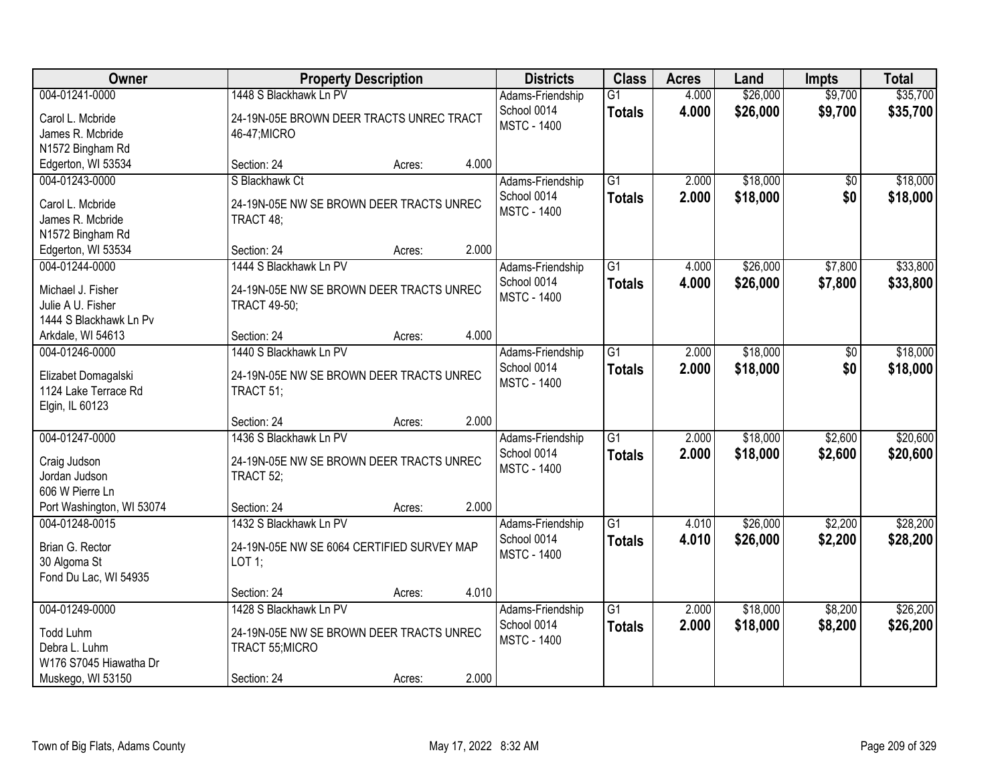| Owner                                                                                              |                                                                                                      | <b>Property Description</b> |       |                                                       | <b>Class</b>                     | <b>Acres</b>   | Land                 | <b>Impts</b>       | <b>Total</b>         |
|----------------------------------------------------------------------------------------------------|------------------------------------------------------------------------------------------------------|-----------------------------|-------|-------------------------------------------------------|----------------------------------|----------------|----------------------|--------------------|----------------------|
| 004-01241-0000<br>Carol L. Mcbride<br>James R. Mcbride                                             | 1448 S Blackhawk Ln PV<br>24-19N-05E BROWN DEER TRACTS UNREC TRACT<br>46-47; MICRO                   |                             |       | Adams-Friendship<br>School 0014<br><b>MSTC - 1400</b> | $\overline{G1}$<br><b>Totals</b> | 4.000<br>4.000 | \$26,000<br>\$26,000 | \$9,700<br>\$9,700 | \$35,700<br>\$35,700 |
| N1572 Bingham Rd<br>Edgerton, WI 53534                                                             | Section: 24                                                                                          | Acres:                      | 4.000 |                                                       |                                  |                |                      |                    |                      |
| 004-01243-0000<br>Carol L. Mcbride<br>James R. Mcbride<br>N1572 Bingham Rd                         | S Blackhawk Ct<br>24-19N-05E NW SE BROWN DEER TRACTS UNREC<br>TRACT 48;                              |                             |       | Adams-Friendship<br>School 0014<br><b>MSTC - 1400</b> | $\overline{G1}$<br><b>Totals</b> | 2.000<br>2.000 | \$18,000<br>\$18,000 | \$0<br>\$0         | \$18,000<br>\$18,000 |
| Edgerton, WI 53534                                                                                 | Section: 24                                                                                          | Acres:                      | 2.000 |                                                       |                                  |                |                      |                    |                      |
| 004-01244-0000<br>Michael J. Fisher<br>Julie A U. Fisher<br>1444 S Blackhawk Ln Pv                 | 1444 S Blackhawk Ln PV<br>24-19N-05E NW SE BROWN DEER TRACTS UNREC<br><b>TRACT 49-50;</b>            |                             |       | Adams-Friendship<br>School 0014<br><b>MSTC - 1400</b> | G1<br><b>Totals</b>              | 4.000<br>4.000 | \$26,000<br>\$26,000 | \$7,800<br>\$7,800 | \$33,800<br>\$33,800 |
| Arkdale, WI 54613                                                                                  | Section: 24                                                                                          | Acres:                      | 4.000 |                                                       |                                  |                |                      |                    |                      |
| 004-01246-0000<br>Elizabet Domagalski<br>1124 Lake Terrace Rd<br>Elgin, IL 60123                   | 1440 S Blackhawk Ln PV<br>24-19N-05E NW SE BROWN DEER TRACTS UNREC<br>TRACT 51;                      |                             |       | Adams-Friendship<br>School 0014<br><b>MSTC - 1400</b> | $\overline{G1}$<br><b>Totals</b> | 2.000<br>2.000 | \$18,000<br>\$18,000 | \$0<br>\$0         | \$18,000<br>\$18,000 |
|                                                                                                    | Section: 24                                                                                          | Acres:                      | 2.000 |                                                       |                                  |                |                      |                    |                      |
| 004-01247-0000<br>Craig Judson<br>Jordan Judson<br>606 W Pierre Ln                                 | 1436 S Blackhawk Ln PV<br>24-19N-05E NW SE BROWN DEER TRACTS UNREC<br>TRACT 52;                      |                             |       | Adams-Friendship<br>School 0014<br><b>MSTC - 1400</b> | $\overline{G1}$<br><b>Totals</b> | 2.000<br>2.000 | \$18,000<br>\$18,000 | \$2,600<br>\$2,600 | \$20,600<br>\$20,600 |
| Port Washington, WI 53074                                                                          | Section: 24                                                                                          | Acres:                      | 2.000 |                                                       |                                  |                |                      |                    |                      |
| 004-01248-0015<br>Brian G. Rector<br>30 Algoma St<br>Fond Du Lac, WI 54935                         | 1432 S Blackhawk Ln PV<br>24-19N-05E NW SE 6064 CERTIFIED SURVEY MAP<br>LOT 1;                       |                             |       | Adams-Friendship<br>School 0014<br><b>MSTC - 1400</b> | $\overline{G1}$<br><b>Totals</b> | 4.010<br>4.010 | \$26,000<br>\$26,000 | \$2,200<br>\$2,200 | \$28,200<br>\$28,200 |
|                                                                                                    | Section: 24                                                                                          | Acres:                      | 4.010 |                                                       |                                  |                |                      |                    |                      |
| 004-01249-0000<br><b>Todd Luhm</b><br>Debra L. Luhm<br>W176 S7045 Hiawatha Dr<br>Muskego, WI 53150 | 1428 S Blackhawk Ln PV<br>24-19N-05E NW SE BROWN DEER TRACTS UNREC<br>TRACT 55; MICRO<br>Section: 24 | Acres:                      | 2.000 | Adams-Friendship<br>School 0014<br><b>MSTC - 1400</b> | $\overline{G1}$<br><b>Totals</b> | 2.000<br>2.000 | \$18,000<br>\$18,000 | \$8,200<br>\$8,200 | \$26,200<br>\$26,200 |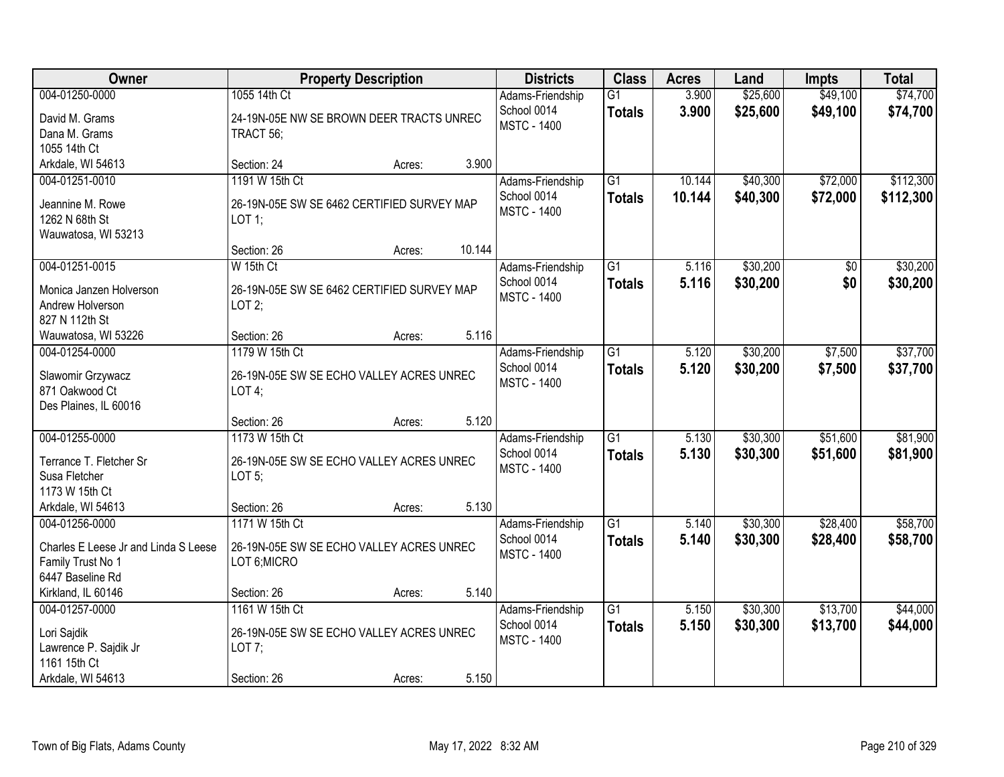| Owner                                                                                           |                                                                                        | <b>Property Description</b> |        | <b>Districts</b>                                      | <b>Class</b>                     | <b>Acres</b>     | Land                 | <b>Impts</b>           | <b>Total</b>           |
|-------------------------------------------------------------------------------------------------|----------------------------------------------------------------------------------------|-----------------------------|--------|-------------------------------------------------------|----------------------------------|------------------|----------------------|------------------------|------------------------|
| 004-01250-0000<br>David M. Grams<br>Dana M. Grams                                               | 1055 14th Ct<br>24-19N-05E NW SE BROWN DEER TRACTS UNREC<br>TRACT 56;                  |                             |        | Adams-Friendship<br>School 0014<br><b>MSTC - 1400</b> | $\overline{G1}$<br><b>Totals</b> | 3.900<br>3.900   | \$25,600<br>\$25,600 | \$49,100<br>\$49,100   | \$74,700<br>\$74,700   |
| 1055 14th Ct<br>Arkdale, WI 54613                                                               | Section: 24                                                                            | Acres:                      | 3.900  |                                                       |                                  |                  |                      |                        |                        |
| 004-01251-0010<br>Jeannine M. Rowe<br>1262 N 68th St<br>Wauwatosa, WI 53213                     | 1191 W 15th Ct<br>26-19N-05E SW SE 6462 CERTIFIED SURVEY MAP<br>$LOT$ 1;               |                             |        | Adams-Friendship<br>School 0014<br><b>MSTC - 1400</b> | $\overline{G1}$<br><b>Totals</b> | 10.144<br>10.144 | \$40,300<br>\$40,300 | \$72,000<br>\$72,000   | \$112,300<br>\$112,300 |
|                                                                                                 | Section: 26                                                                            | Acres:                      | 10.144 |                                                       |                                  |                  |                      |                        |                        |
| 004-01251-0015<br>Monica Janzen Holverson<br>Andrew Holverson<br>827 N 112th St                 | W 15th Ct<br>26-19N-05E SW SE 6462 CERTIFIED SURVEY MAP<br>LOT $2$ ;                   |                             |        | Adams-Friendship<br>School 0014<br><b>MSTC - 1400</b> | $\overline{G1}$<br><b>Totals</b> | 5.116<br>5.116   | \$30,200<br>\$30,200 | $\overline{50}$<br>\$0 | \$30,200<br>\$30,200   |
| Wauwatosa, WI 53226                                                                             | Section: 26                                                                            | Acres:                      | 5.116  |                                                       |                                  |                  |                      |                        |                        |
| 004-01254-0000<br>Slawomir Grzywacz<br>871 Oakwood Ct<br>Des Plaines, IL 60016                  | 1179 W 15th Ct<br>26-19N-05E SW SE ECHO VALLEY ACRES UNREC<br>LOT4;                    |                             |        | Adams-Friendship<br>School 0014<br><b>MSTC - 1400</b> | $\overline{G1}$<br><b>Totals</b> | 5.120<br>5.120   | \$30,200<br>\$30,200 | \$7,500<br>\$7,500     | \$37,700<br>\$37,700   |
|                                                                                                 | Section: 26                                                                            | Acres:                      | 5.120  |                                                       |                                  |                  |                      |                        |                        |
| 004-01255-0000<br>Terrance T. Fletcher Sr<br>Susa Fletcher<br>1173 W 15th Ct                    | 1173 W 15th Ct<br>26-19N-05E SW SE ECHO VALLEY ACRES UNREC<br>LOT $5$ ;                |                             |        | Adams-Friendship<br>School 0014<br><b>MSTC - 1400</b> | $\overline{G1}$<br><b>Totals</b> | 5.130<br>5.130   | \$30,300<br>\$30,300 | \$51,600<br>\$51,600   | \$81,900<br>\$81,900   |
| Arkdale, WI 54613                                                                               | Section: 26                                                                            | Acres:                      | 5.130  |                                                       |                                  |                  |                      |                        |                        |
| 004-01256-0000<br>Charles E Leese Jr and Linda S Leese<br>Family Trust No 1<br>6447 Baseline Rd | 1171 W 15th Ct<br>26-19N-05E SW SE ECHO VALLEY ACRES UNREC<br>LOT 6; MICRO             |                             |        | Adams-Friendship<br>School 0014<br><b>MSTC - 1400</b> | G1<br><b>Totals</b>              | 5.140<br>5.140   | \$30,300<br>\$30,300 | \$28,400<br>\$28,400   | \$58,700<br>\$58,700   |
| Kirkland, IL 60146                                                                              | Section: 26                                                                            | Acres:                      | 5.140  |                                                       |                                  |                  |                      |                        |                        |
| 004-01257-0000<br>Lori Sajdik<br>Lawrence P. Sajdik Jr<br>1161 15th Ct<br>Arkdale, WI 54613     | 1161 W 15th Ct<br>26-19N-05E SW SE ECHO VALLEY ACRES UNREC<br>LOT $7$ ;<br>Section: 26 | Acres:                      | 5.150  | Adams-Friendship<br>School 0014<br><b>MSTC - 1400</b> | $\overline{G1}$<br><b>Totals</b> | 5.150<br>5.150   | \$30,300<br>\$30,300 | \$13,700<br>\$13,700   | \$44,000<br>\$44,000   |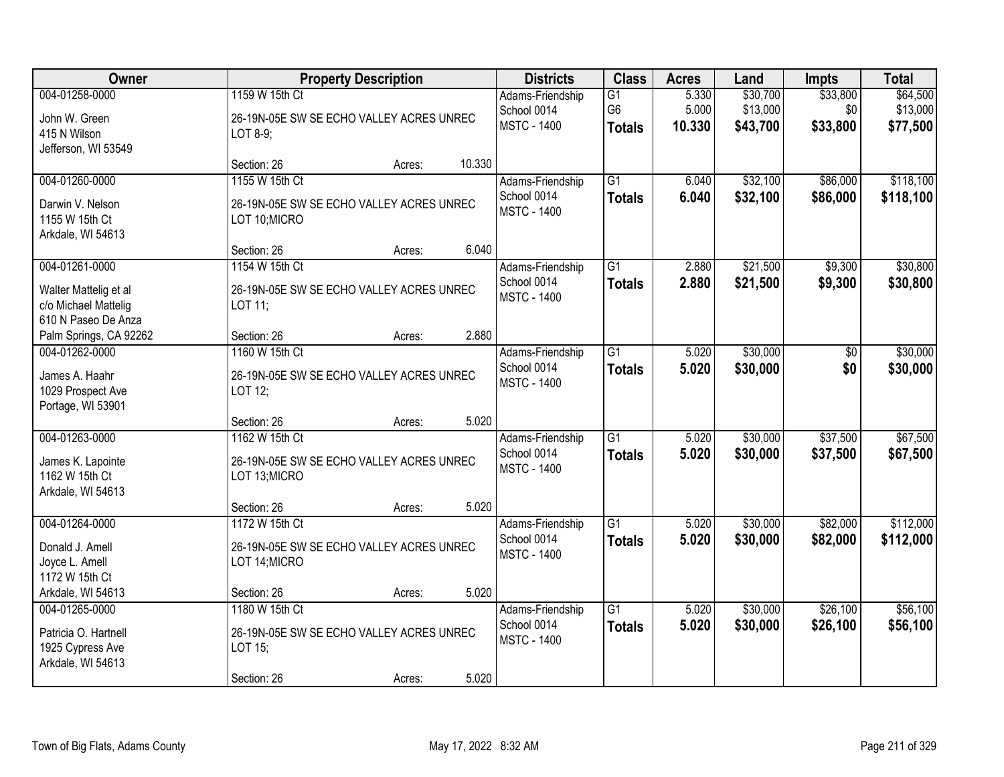| Owner                                                                                  |                                                                                      | <b>Property Description</b> |        | <b>Districts</b>                                      | <b>Class</b>                          | <b>Acres</b>             | Land                             | <b>Impts</b>                | <b>Total</b>                     |
|----------------------------------------------------------------------------------------|--------------------------------------------------------------------------------------|-----------------------------|--------|-------------------------------------------------------|---------------------------------------|--------------------------|----------------------------------|-----------------------------|----------------------------------|
| 004-01258-0000<br>John W. Green<br>415 N Wilson<br>Jefferson, WI 53549                 | 1159 W 15th Ct<br>26-19N-05E SW SE ECHO VALLEY ACRES UNREC<br>LOT 8-9;               |                             |        | Adams-Friendship<br>School 0014<br><b>MSTC - 1400</b> | G1<br>G <sub>6</sub><br><b>Totals</b> | 5.330<br>5.000<br>10.330 | \$30,700<br>\$13,000<br>\$43,700 | \$33,800<br>\$0<br>\$33,800 | \$64,500<br>\$13,000<br>\$77,500 |
|                                                                                        | Section: 26                                                                          | Acres:                      | 10.330 |                                                       |                                       |                          |                                  |                             |                                  |
| 004-01260-0000<br>Darwin V. Nelson<br>1155 W 15th Ct<br>Arkdale, WI 54613              | 1155 W 15th Ct<br>26-19N-05E SW SE ECHO VALLEY ACRES UNREC<br>LOT 10; MICRO          |                             |        | Adams-Friendship<br>School 0014<br><b>MSTC - 1400</b> | $\overline{G1}$<br><b>Totals</b>      | 6.040<br>6.040           | \$32,100<br>\$32,100             | \$86,000<br>\$86,000        | \$118,100<br>\$118,100           |
|                                                                                        | Section: 26                                                                          | Acres:                      | 6.040  |                                                       |                                       |                          |                                  |                             |                                  |
| 004-01261-0000<br>Walter Mattelig et al<br>c/o Michael Mattelig<br>610 N Paseo De Anza | 1154 W 15th Ct<br>26-19N-05E SW SE ECHO VALLEY ACRES UNREC<br>LOT 11;                |                             |        | Adams-Friendship<br>School 0014<br><b>MSTC - 1400</b> | $\overline{G1}$<br><b>Totals</b>      | 2.880<br>2.880           | \$21,500<br>\$21,500             | \$9,300<br>\$9,300          | \$30,800<br>\$30,800             |
| Palm Springs, CA 92262                                                                 | Section: 26                                                                          | Acres:                      | 2.880  |                                                       |                                       |                          |                                  |                             |                                  |
| 004-01262-0000<br>James A. Haahr<br>1029 Prospect Ave<br>Portage, WI 53901             | 1160 W 15th Ct<br>26-19N-05E SW SE ECHO VALLEY ACRES UNREC<br>LOT 12;                |                             |        | Adams-Friendship<br>School 0014<br><b>MSTC - 1400</b> | $\overline{G1}$<br><b>Totals</b>      | 5.020<br>5.020           | \$30,000<br>\$30,000             | \$0<br>\$0                  | \$30,000<br>\$30,000             |
|                                                                                        | Section: 26                                                                          | Acres:                      | 5.020  |                                                       |                                       |                          |                                  |                             |                                  |
| 004-01263-0000<br>James K. Lapointe<br>1162 W 15th Ct<br>Arkdale, WI 54613             | 1162 W 15th Ct<br>26-19N-05E SW SE ECHO VALLEY ACRES UNREC<br>LOT 13; MICRO          |                             |        | Adams-Friendship<br>School 0014<br><b>MSTC - 1400</b> | $\overline{G1}$<br><b>Totals</b>      | 5.020<br>5.020           | \$30,000<br>\$30,000             | \$37,500<br>\$37,500        | \$67,500<br>\$67,500             |
|                                                                                        | Section: 26                                                                          | Acres:                      | 5.020  |                                                       |                                       |                          |                                  |                             |                                  |
| 004-01264-0000<br>Donald J. Amell<br>Joyce L. Amell<br>1172 W 15th Ct                  | 1172 W 15th Ct<br>26-19N-05E SW SE ECHO VALLEY ACRES UNREC<br>LOT 14; MICRO          |                             |        | Adams-Friendship<br>School 0014<br><b>MSTC - 1400</b> | G1<br><b>Totals</b>                   | 5.020<br>5.020           | \$30,000<br>\$30,000             | \$82,000<br>\$82,000        | \$112,000<br>\$112,000           |
| Arkdale, WI 54613                                                                      | Section: 26                                                                          | Acres:                      | 5.020  |                                                       |                                       |                          |                                  |                             |                                  |
| 004-01265-0000<br>Patricia O. Hartnell<br>1925 Cypress Ave<br>Arkdale, WI 54613        | 1180 W 15th Ct<br>26-19N-05E SW SE ECHO VALLEY ACRES UNREC<br>LOT 15;<br>Section: 26 | Acres:                      | 5.020  | Adams-Friendship<br>School 0014<br><b>MSTC - 1400</b> | $\overline{G1}$<br><b>Totals</b>      | 5.020<br>5.020           | \$30,000<br>\$30,000             | \$26,100<br>\$26,100        | \$56,100<br>\$56,100             |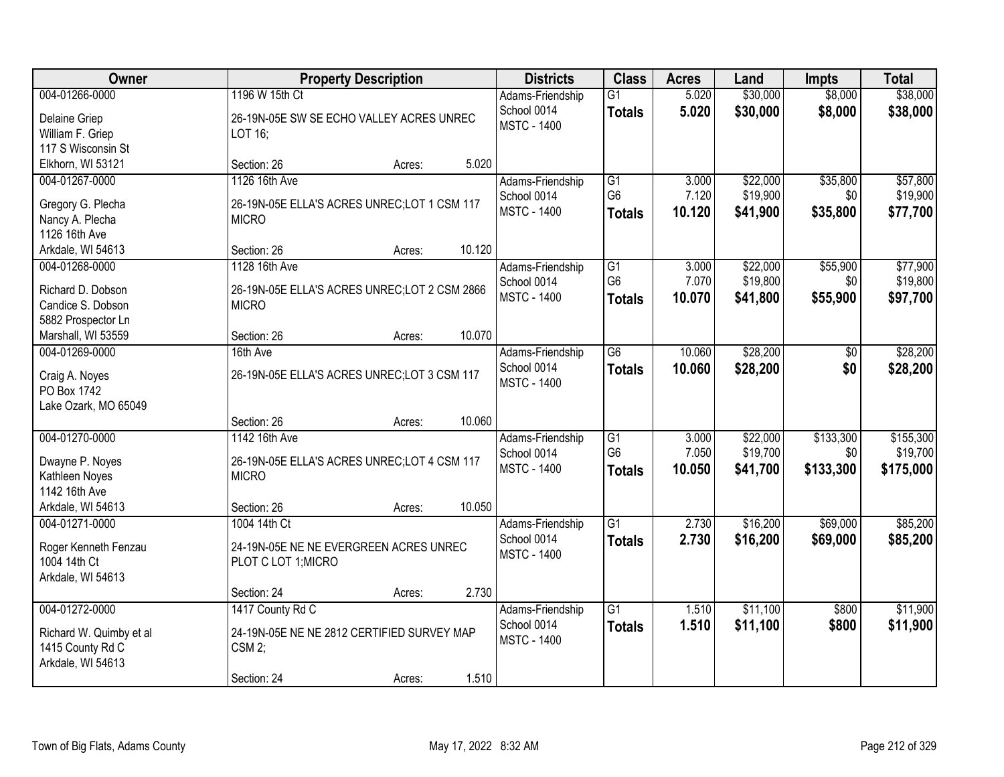| Owner                                                                                     |                                                                                                    | <b>Property Description</b> |        | <b>Districts</b>                                      | <b>Class</b>                                       | <b>Acres</b>             | Land                             | <b>Impts</b>                  | <b>Total</b>                       |
|-------------------------------------------------------------------------------------------|----------------------------------------------------------------------------------------------------|-----------------------------|--------|-------------------------------------------------------|----------------------------------------------------|--------------------------|----------------------------------|-------------------------------|------------------------------------|
| 004-01266-0000<br>Delaine Griep<br>William F. Griep<br>117 S Wisconsin St                 | 1196 W 15th Ct<br>26-19N-05E SW SE ECHO VALLEY ACRES UNREC<br>LOT 16;                              |                             |        | Adams-Friendship<br>School 0014<br><b>MSTC - 1400</b> | G1<br><b>Totals</b>                                | 5.020<br>5.020           | \$30,000<br>\$30,000             | \$8,000<br>\$8,000            | \$38,000<br>\$38,000               |
| Elkhorn, WI 53121                                                                         | Section: 26                                                                                        | Acres:                      | 5.020  |                                                       |                                                    |                          |                                  |                               |                                    |
| 004-01267-0000<br>Gregory G. Plecha<br>Nancy A. Plecha<br>1126 16th Ave                   | 1126 16th Ave<br>26-19N-05E ELLA'S ACRES UNREC; LOT 1 CSM 117<br><b>MICRO</b>                      |                             |        | Adams-Friendship<br>School 0014<br><b>MSTC - 1400</b> | G1<br>G <sub>6</sub><br><b>Totals</b>              | 3.000<br>7.120<br>10.120 | \$22,000<br>\$19,900<br>\$41,900 | \$35,800<br>\$0<br>\$35,800   | \$57,800<br>\$19,900<br>\$77,700   |
| Arkdale, WI 54613                                                                         | Section: 26                                                                                        | Acres:                      | 10.120 |                                                       |                                                    |                          |                                  |                               |                                    |
| 004-01268-0000<br>Richard D. Dobson<br>Candice S. Dobson<br>5882 Prospector Ln            | 1128 16th Ave<br>26-19N-05E ELLA'S ACRES UNREC;LOT 2 CSM 2866<br><b>MICRO</b>                      |                             |        | Adams-Friendship<br>School 0014<br><b>MSTC - 1400</b> | G1<br>G <sub>6</sub><br><b>Totals</b>              | 3.000<br>7.070<br>10.070 | \$22,000<br>\$19,800<br>\$41,800 | \$55,900<br>\$0<br>\$55,900   | \$77,900<br>\$19,800<br>\$97,700   |
| Marshall, WI 53559                                                                        | Section: 26                                                                                        | Acres:                      | 10.070 |                                                       |                                                    |                          |                                  |                               |                                    |
| 004-01269-0000<br>Craig A. Noyes<br>PO Box 1742<br>Lake Ozark, MO 65049                   | 16th Ave<br>26-19N-05E ELLA'S ACRES UNREC;LOT 3 CSM 117                                            |                             |        | Adams-Friendship<br>School 0014<br><b>MSTC - 1400</b> | G <sub>6</sub><br><b>Totals</b>                    | 10.060<br>10.060         | \$28,200<br>\$28,200             | \$0<br>\$0                    | \$28,200<br>\$28,200               |
|                                                                                           | Section: 26                                                                                        | Acres:                      | 10.060 |                                                       |                                                    |                          |                                  |                               |                                    |
| 004-01270-0000<br>Dwayne P. Noyes<br>Kathleen Noyes<br>1142 16th Ave<br>Arkdale, WI 54613 | 1142 16th Ave<br>26-19N-05E ELLA'S ACRES UNREC; LOT 4 CSM 117<br><b>MICRO</b><br>Section: 26       | Acres:                      | 10.050 | Adams-Friendship<br>School 0014<br><b>MSTC - 1400</b> | $\overline{G1}$<br>G <sub>6</sub><br><b>Totals</b> | 3.000<br>7.050<br>10.050 | \$22,000<br>\$19,700<br>\$41,700 | \$133,300<br>\$0<br>\$133,300 | \$155,300<br>\$19,700<br>\$175,000 |
| 004-01271-0000<br>Roger Kenneth Fenzau<br>1004 14th Ct<br>Arkdale, WI 54613               | 1004 14th Ct<br>24-19N-05E NE NE EVERGREEN ACRES UNREC<br>PLOT C LOT 1; MICRO<br>Section: 24       | Acres:                      | 2.730  | Adams-Friendship<br>School 0014<br><b>MSTC - 1400</b> | G1<br><b>Totals</b>                                | 2.730<br>2.730           | \$16,200<br>\$16,200             | \$69,000<br>\$69,000          | \$85,200<br>\$85,200               |
| 004-01272-0000<br>Richard W. Quimby et al<br>1415 County Rd C<br>Arkdale, WI 54613        | 1417 County Rd C<br>24-19N-05E NE NE 2812 CERTIFIED SURVEY MAP<br>CSM <sub>2;</sub><br>Section: 24 | Acres:                      | 1.510  | Adams-Friendship<br>School 0014<br><b>MSTC - 1400</b> | $\overline{G1}$<br><b>Totals</b>                   | 1.510<br>1.510           | \$11,100<br>\$11,100             | \$800<br>\$800                | \$11,900<br>\$11,900               |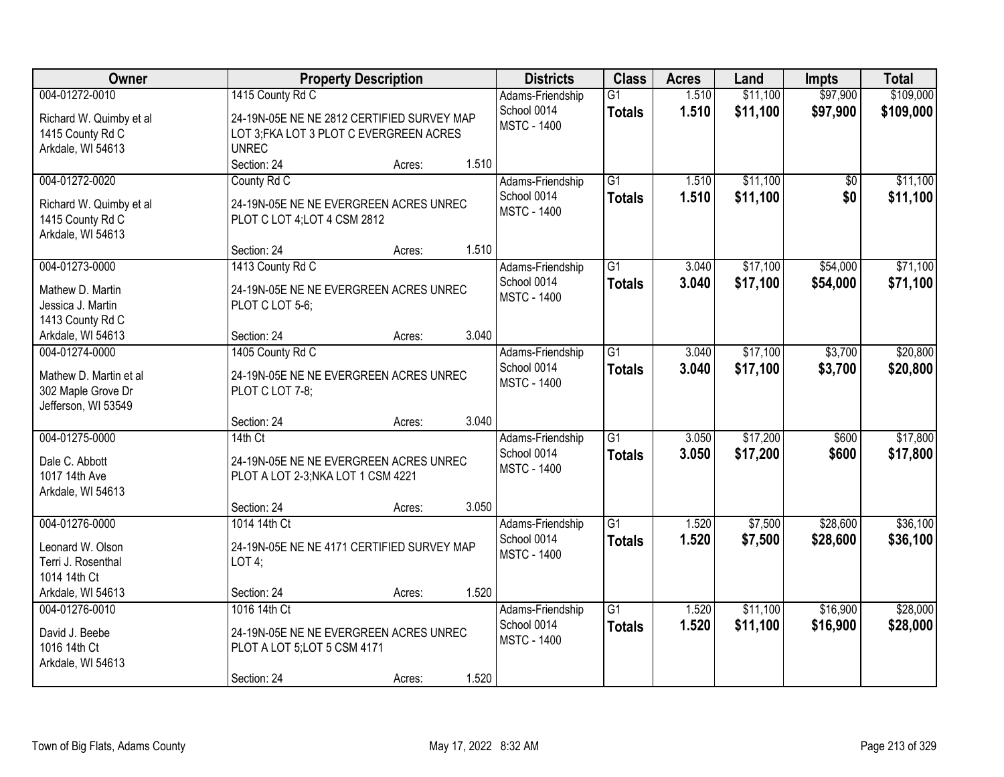| Owner                   |                                            | <b>Property Description</b> |       | <b>Districts</b>   | <b>Class</b>    | <b>Acres</b> | Land     | <b>Impts</b> | <b>Total</b> |
|-------------------------|--------------------------------------------|-----------------------------|-------|--------------------|-----------------|--------------|----------|--------------|--------------|
| 004-01272-0010          | 1415 County Rd C                           |                             |       | Adams-Friendship   | $\overline{G1}$ | 1.510        | \$11,100 | \$97,900     | \$109,000    |
| Richard W. Quimby et al | 24-19N-05E NE NE 2812 CERTIFIED SURVEY MAP |                             |       | School 0014        | <b>Totals</b>   | 1.510        | \$11,100 | \$97,900     | \$109,000    |
| 1415 County Rd C        | LOT 3; FKA LOT 3 PLOT C EVERGREEN ACRES    |                             |       | <b>MSTC - 1400</b> |                 |              |          |              |              |
| Arkdale, WI 54613       | <b>UNREC</b>                               |                             |       |                    |                 |              |          |              |              |
|                         | Section: 24                                | Acres:                      | 1.510 |                    |                 |              |          |              |              |
| 004-01272-0020          | County Rd C                                |                             |       | Adams-Friendship   | $\overline{G1}$ | 1.510        | \$11,100 | \$0          | \$11,100     |
| Richard W. Quimby et al | 24-19N-05E NE NE EVERGREEN ACRES UNREC     |                             |       | School 0014        | <b>Totals</b>   | 1.510        | \$11,100 | \$0          | \$11,100     |
| 1415 County Rd C        | PLOT C LOT 4; LOT 4 CSM 2812               |                             |       | <b>MSTC - 1400</b> |                 |              |          |              |              |
| Arkdale, WI 54613       |                                            |                             |       |                    |                 |              |          |              |              |
|                         | Section: 24                                | Acres:                      | 1.510 |                    |                 |              |          |              |              |
| 004-01273-0000          | 1413 County Rd C                           |                             |       | Adams-Friendship   | $\overline{G1}$ | 3.040        | \$17,100 | \$54,000     | \$71,100     |
| Mathew D. Martin        | 24-19N-05E NE NE EVERGREEN ACRES UNREC     |                             |       | School 0014        | <b>Totals</b>   | 3.040        | \$17,100 | \$54,000     | \$71,100     |
| Jessica J. Martin       | PLOT C LOT 5-6;                            |                             |       | <b>MSTC - 1400</b> |                 |              |          |              |              |
| 1413 County Rd C        |                                            |                             |       |                    |                 |              |          |              |              |
| Arkdale, WI 54613       | Section: 24                                | Acres:                      | 3.040 |                    |                 |              |          |              |              |
| 004-01274-0000          | 1405 County Rd C                           |                             |       | Adams-Friendship   | G1              | 3.040        | \$17,100 | \$3,700      | \$20,800     |
| Mathew D. Martin et al  | 24-19N-05E NE NE EVERGREEN ACRES UNREC     |                             |       | School 0014        | <b>Totals</b>   | 3.040        | \$17,100 | \$3,700      | \$20,800     |
| 302 Maple Grove Dr      | PLOT C LOT 7-8;                            |                             |       | <b>MSTC - 1400</b> |                 |              |          |              |              |
| Jefferson, WI 53549     |                                            |                             |       |                    |                 |              |          |              |              |
|                         | Section: 24                                | Acres:                      | 3.040 |                    |                 |              |          |              |              |
| 004-01275-0000          | 14th Ct                                    |                             |       | Adams-Friendship   | $\overline{G1}$ | 3.050        | \$17,200 | \$600        | \$17,800     |
| Dale C. Abbott          | 24-19N-05E NE NE EVERGREEN ACRES UNREC     |                             |       | School 0014        | <b>Totals</b>   | 3.050        | \$17,200 | \$600        | \$17,800     |
| 1017 14th Ave           | PLOT A LOT 2-3; NKA LOT 1 CSM 4221         |                             |       | <b>MSTC - 1400</b> |                 |              |          |              |              |
| Arkdale, WI 54613       |                                            |                             |       |                    |                 |              |          |              |              |
|                         | Section: 24                                | Acres:                      | 3.050 |                    |                 |              |          |              |              |
| 004-01276-0000          | 1014 14th Ct                               |                             |       | Adams-Friendship   | $\overline{G1}$ | 1.520        | \$7,500  | \$28,600     | \$36,100     |
| Leonard W. Olson        | 24-19N-05E NE NE 4171 CERTIFIED SURVEY MAP |                             |       | School 0014        | <b>Totals</b>   | 1.520        | \$7,500  | \$28,600     | \$36,100     |
| Terri J. Rosenthal      | LOT4;                                      |                             |       | <b>MSTC - 1400</b> |                 |              |          |              |              |
| 1014 14th Ct            |                                            |                             |       |                    |                 |              |          |              |              |
| Arkdale, WI 54613       | Section: 24                                | Acres:                      | 1.520 |                    |                 |              |          |              |              |
| 004-01276-0010          | 1016 14th Ct                               |                             |       | Adams-Friendship   | $\overline{G1}$ | 1.520        | \$11,100 | \$16,900     | \$28,000     |
| David J. Beebe          | 24-19N-05E NE NE EVERGREEN ACRES UNREC     |                             |       | School 0014        | <b>Totals</b>   | 1.520        | \$11,100 | \$16,900     | \$28,000     |
| 1016 14th Ct            | PLOT A LOT 5; LOT 5 CSM 4171               |                             |       | <b>MSTC - 1400</b> |                 |              |          |              |              |
| Arkdale, WI 54613       |                                            |                             |       |                    |                 |              |          |              |              |
|                         | Section: 24                                | Acres:                      | 1.520 |                    |                 |              |          |              |              |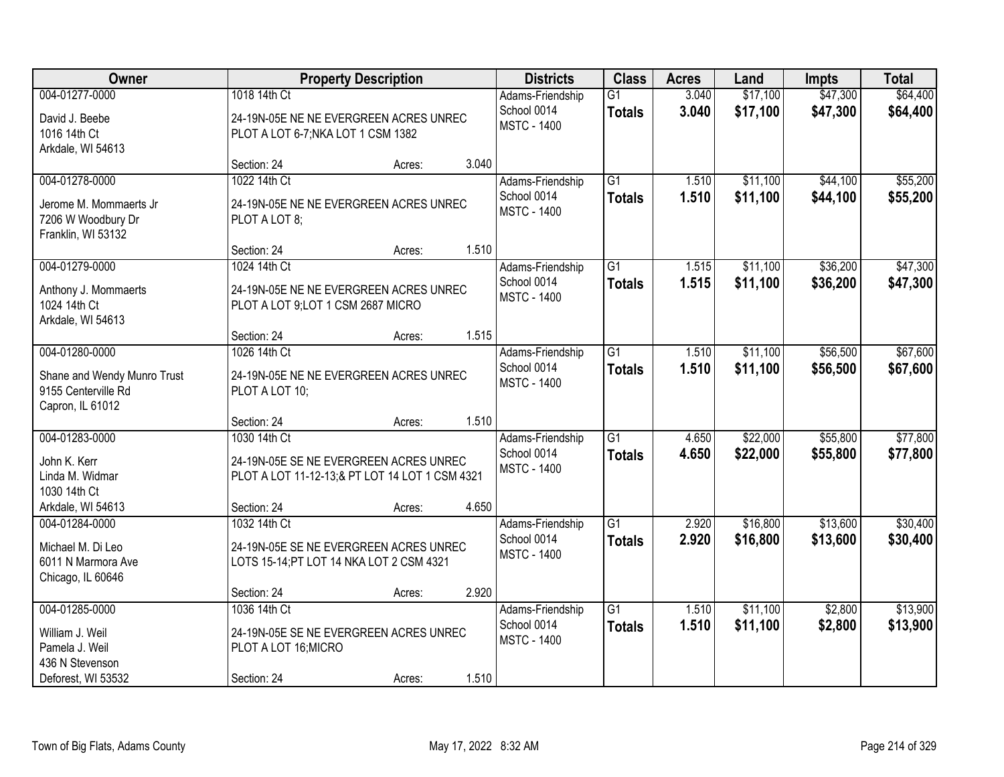| Owner                                                                                        |                                                                                                                         | <b>Property Description</b> |                                                       | <b>Districts</b>                                      | <b>Class</b>                     | <b>Acres</b>         | Land                 | <b>Impts</b>         | <b>Total</b>         |
|----------------------------------------------------------------------------------------------|-------------------------------------------------------------------------------------------------------------------------|-----------------------------|-------------------------------------------------------|-------------------------------------------------------|----------------------------------|----------------------|----------------------|----------------------|----------------------|
| 004-01277-0000<br>David J. Beebe<br>1016 14th Ct                                             | 1018 14th Ct<br>24-19N-05E NE NE EVERGREEN ACRES UNREC<br>PLOT A LOT 6-7; NKA LOT 1 CSM 1382<br>Arkdale, WI 54613       |                             | Adams-Friendship<br>School 0014<br><b>MSTC - 1400</b> | G1<br><b>Totals</b>                                   | 3.040<br>3.040                   | \$17,100<br>\$17,100 | \$47,300<br>\$47,300 | \$64,400<br>\$64,400 |                      |
|                                                                                              | Section: 24                                                                                                             | Acres:                      | 3.040                                                 |                                                       |                                  |                      |                      |                      |                      |
| 004-01278-0000<br>Jerome M. Mommaerts Jr.<br>7206 W Woodbury Dr<br>Franklin, WI 53132        | 1022 14th Ct<br>24-19N-05E NE NE EVERGREEN ACRES UNREC<br>PLOT A LOT 8;                                                 |                             |                                                       | Adams-Friendship<br>School 0014<br><b>MSTC - 1400</b> | $\overline{G1}$<br><b>Totals</b> | 1.510<br>1.510       | \$11,100<br>\$11,100 | \$44,100<br>\$44,100 | \$55,200<br>\$55,200 |
|                                                                                              | Section: 24                                                                                                             | Acres:                      | 1.510                                                 |                                                       |                                  |                      |                      |                      |                      |
| 004-01279-0000<br>Anthony J. Mommaerts<br>1024 14th Ct<br>Arkdale, WI 54613                  | 1024 14th Ct<br>24-19N-05E NE NE EVERGREEN ACRES UNREC<br>PLOT A LOT 9; LOT 1 CSM 2687 MICRO                            |                             |                                                       | Adams-Friendship<br>School 0014<br><b>MSTC - 1400</b> | $\overline{G1}$<br><b>Totals</b> | 1.515<br>1.515       | \$11,100<br>\$11,100 | \$36,200<br>\$36,200 | \$47,300<br>\$47,300 |
|                                                                                              | Section: 24                                                                                                             | Acres:                      | 1.515                                                 |                                                       |                                  |                      |                      |                      |                      |
| 004-01280-0000<br>Shane and Wendy Munro Trust<br>9155 Centerville Rd<br>Capron, IL 61012     | 1026 14th Ct<br>24-19N-05E NE NE EVERGREEN ACRES UNREC<br>PLOT A LOT 10;                                                |                             |                                                       | Adams-Friendship<br>School 0014<br><b>MSTC - 1400</b> | $\overline{G1}$<br><b>Totals</b> | 1.510<br>1.510       | \$11,100<br>\$11,100 | \$56,500<br>\$56,500 | \$67,600<br>\$67,600 |
|                                                                                              | Section: 24                                                                                                             | Acres:                      | 1.510                                                 |                                                       |                                  |                      |                      |                      |                      |
| 004-01283-0000<br>John K. Kerr<br>Linda M. Widmar<br>1030 14th Ct<br>Arkdale, WI 54613       | 1030 14th Ct<br>24-19N-05E SE NE EVERGREEN ACRES UNREC<br>PLOT A LOT 11-12-13;& PT LOT 14 LOT 1 CSM 4321<br>Section: 24 | Acres:                      | 4.650                                                 | Adams-Friendship<br>School 0014<br><b>MSTC - 1400</b> | $\overline{G1}$<br><b>Totals</b> | 4.650<br>4.650       | \$22,000<br>\$22,000 | \$55,800<br>\$55,800 | \$77,800<br>\$77,800 |
| 004-01284-0000                                                                               | 1032 14th Ct                                                                                                            |                             |                                                       | Adams-Friendship                                      | $\overline{G1}$                  | 2.920                | \$16,800             | \$13,600             | \$30,400             |
| Michael M. Di Leo<br>6011 N Marmora Ave<br>Chicago, IL 60646                                 | 24-19N-05E SE NE EVERGREEN ACRES UNREC<br>LOTS 15-14; PT LOT 14 NKA LOT 2 CSM 4321                                      |                             |                                                       | School 0014<br><b>MSTC - 1400</b>                     | <b>Totals</b>                    | 2.920                | \$16,800             | \$13,600             | \$30,400             |
|                                                                                              | Section: 24                                                                                                             | Acres:                      | 2.920                                                 |                                                       |                                  |                      |                      |                      |                      |
| 004-01285-0000<br>William J. Weil<br>Pamela J. Weil<br>436 N Stevenson<br>Deforest, WI 53532 | 1036 14th Ct<br>24-19N-05E SE NE EVERGREEN ACRES UNREC<br>PLOT A LOT 16; MICRO<br>Section: 24                           | Acres:                      | 1.510                                                 | Adams-Friendship<br>School 0014<br><b>MSTC - 1400</b> | $\overline{G1}$<br><b>Totals</b> | 1.510<br>1.510       | \$11,100<br>\$11,100 | \$2,800<br>\$2,800   | \$13,900<br>\$13,900 |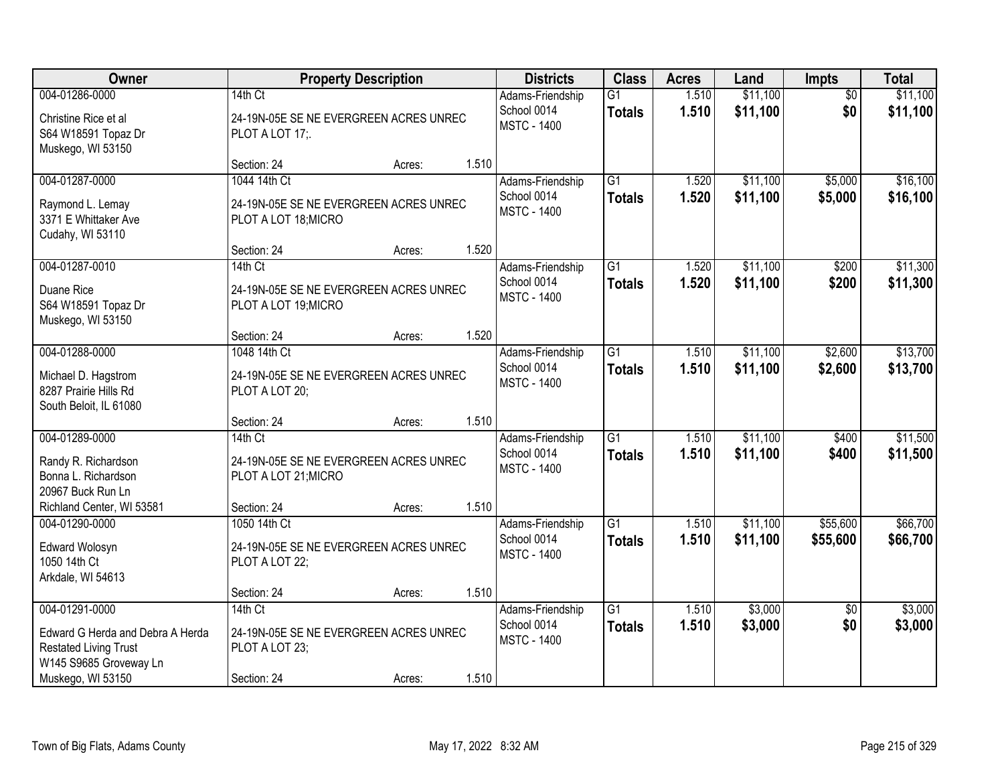| Owner                                                                                                                             | <b>Property Description</b>                                                        |        |       | <b>Districts</b>                                      | <b>Class</b>                     | <b>Acres</b>   | Land                 | Impts                  | <b>Total</b>         |
|-----------------------------------------------------------------------------------------------------------------------------------|------------------------------------------------------------------------------------|--------|-------|-------------------------------------------------------|----------------------------------|----------------|----------------------|------------------------|----------------------|
| 004-01286-0000<br>Christine Rice et al<br>S64 W18591 Topaz Dr<br>Muskego, WI 53150                                                | 14th Ct<br>24-19N-05E SE NE EVERGREEN ACRES UNREC<br>PLOT A LOT 17;                |        |       | Adams-Friendship<br>School 0014<br><b>MSTC - 1400</b> | $\overline{G1}$<br><b>Totals</b> | 1.510<br>1.510 | \$11,100<br>\$11,100 | $\overline{50}$<br>\$0 | \$11,100<br>\$11,100 |
|                                                                                                                                   | Section: 24                                                                        | Acres: | 1.510 |                                                       |                                  |                |                      |                        |                      |
| 004-01287-0000<br>Raymond L. Lemay<br>3371 E Whittaker Ave<br>Cudahy, WI 53110                                                    | 1044 14th Ct<br>24-19N-05E SE NE EVERGREEN ACRES UNREC<br>PLOT A LOT 18; MICRO     |        |       | Adams-Friendship<br>School 0014<br><b>MSTC - 1400</b> | $\overline{G1}$<br><b>Totals</b> | 1.520<br>1.520 | \$11,100<br>\$11,100 | \$5,000<br>\$5,000     | \$16,100<br>\$16,100 |
| 004-01287-0010                                                                                                                    | Section: 24<br>14th Ct                                                             | Acres: | 1.520 |                                                       | $\overline{G1}$                  | 1.520          | \$11,100             | \$200                  | \$11,300             |
| Duane Rice<br>S64 W18591 Topaz Dr<br>Muskego, WI 53150                                                                            | 24-19N-05E SE NE EVERGREEN ACRES UNREC<br>PLOT A LOT 19; MICRO                     |        |       | Adams-Friendship<br>School 0014<br><b>MSTC - 1400</b> | <b>Totals</b>                    | 1.520          | \$11,100             | \$200                  | \$11,300             |
|                                                                                                                                   | Section: 24                                                                        | Acres: | 1.520 |                                                       |                                  |                |                      |                        |                      |
| 004-01288-0000<br>Michael D. Hagstrom<br>8287 Prairie Hills Rd<br>South Beloit, IL 61080                                          | 1048 14th Ct<br>24-19N-05E SE NE EVERGREEN ACRES UNREC<br>PLOT A LOT 20;           |        |       | Adams-Friendship<br>School 0014<br><b>MSTC - 1400</b> | $\overline{G1}$<br><b>Totals</b> | 1.510<br>1.510 | \$11,100<br>\$11,100 | \$2,600<br>\$2,600     | \$13,700<br>\$13,700 |
|                                                                                                                                   | Section: 24                                                                        | Acres: | 1.510 |                                                       |                                  |                |                      |                        |                      |
| 004-01289-0000<br>Randy R. Richardson<br>Bonna L. Richardson<br>20967 Buck Run Ln                                                 | 14th Ct<br>24-19N-05E SE NE EVERGREEN ACRES UNREC<br>PLOT A LOT 21; MICRO          |        |       | Adams-Friendship<br>School 0014<br><b>MSTC - 1400</b> | $\overline{G1}$<br><b>Totals</b> | 1.510<br>1.510 | \$11,100<br>\$11,100 | \$400<br>\$400         | \$11,500<br>\$11,500 |
| Richland Center, WI 53581                                                                                                         | Section: 24                                                                        | Acres: | 1.510 |                                                       |                                  |                |                      |                        |                      |
| 004-01290-0000<br>Edward Wolosyn<br>1050 14th Ct<br>Arkdale, WI 54613                                                             | 1050 14th Ct<br>24-19N-05E SE NE EVERGREEN ACRES UNREC<br>PLOT A LOT 22;           |        |       | Adams-Friendship<br>School 0014<br><b>MSTC - 1400</b> | G1<br><b>Totals</b>              | 1.510<br>1.510 | \$11,100<br>\$11,100 | \$55,600<br>\$55,600   | \$66,700<br>\$66,700 |
|                                                                                                                                   | Section: 24                                                                        | Acres: | 1.510 |                                                       |                                  |                |                      |                        |                      |
| 004-01291-0000<br>Edward G Herda and Debra A Herda<br><b>Restated Living Trust</b><br>W145 S9685 Groveway Ln<br>Muskego, WI 53150 | 14th Ct<br>24-19N-05E SE NE EVERGREEN ACRES UNREC<br>PLOT A LOT 23;<br>Section: 24 | Acres: | 1.510 | Adams-Friendship<br>School 0014<br><b>MSTC - 1400</b> | $\overline{G1}$<br><b>Totals</b> | 1.510<br>1.510 | \$3,000<br>\$3,000   | $\overline{50}$<br>\$0 | \$3,000<br>\$3,000   |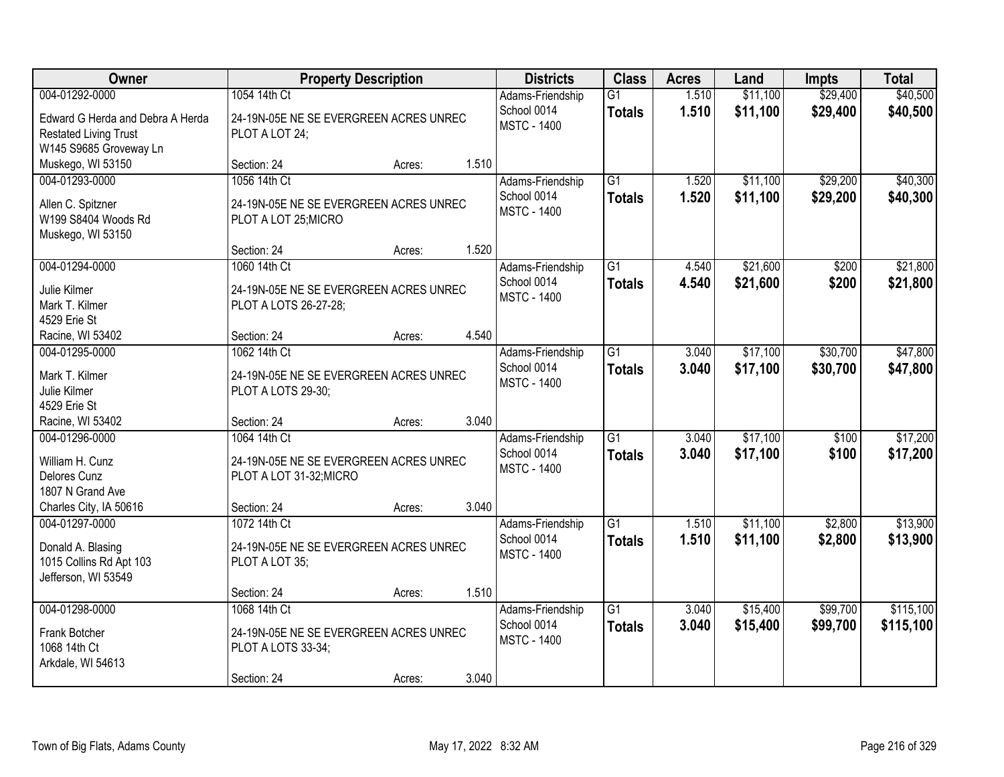| Owner                                                                                                        | <b>Property Description</b>                                                                      |                 | <b>Districts</b>                                               | <b>Class</b>                     | <b>Acres</b>   | Land                 | <b>Impts</b>         | <b>Total</b>           |
|--------------------------------------------------------------------------------------------------------------|--------------------------------------------------------------------------------------------------|-----------------|----------------------------------------------------------------|----------------------------------|----------------|----------------------|----------------------|------------------------|
| 004-01292-0000<br>Edward G Herda and Debra A Herda<br><b>Restated Living Trust</b><br>W145 S9685 Groveway Ln | 1054 14th Ct<br>24-19N-05E NE SE EVERGREEN ACRES UNREC<br>PLOT A LOT 24;                         |                 | Adams-Friendship<br>School 0014<br><b>MSTC - 1400</b>          | $\overline{G1}$<br><b>Totals</b> | 1.510<br>1.510 | \$11,100<br>\$11,100 | \$29,400<br>\$29,400 | \$40,500<br>\$40,500   |
| Muskego, WI 53150                                                                                            | Section: 24                                                                                      | 1.510<br>Acres: |                                                                |                                  |                |                      |                      |                        |
| 004-01293-0000<br>Allen C. Spitzner<br>W199 S8404 Woods Rd<br>Muskego, WI 53150                              | 1056 14th Ct<br>24-19N-05E NE SE EVERGREEN ACRES UNREC<br>PLOT A LOT 25; MICRO                   |                 | Adams-Friendship<br>School 0014<br><b>MSTC - 1400</b>          | $\overline{G1}$<br><b>Totals</b> | 1.520<br>1.520 | \$11,100<br>\$11,100 | \$29,200<br>\$29,200 | \$40,300<br>\$40,300   |
|                                                                                                              | Section: 24                                                                                      | 1.520<br>Acres: |                                                                |                                  |                |                      |                      |                        |
| 004-01294-0000<br>Julie Kilmer<br>Mark T. Kilmer<br>4529 Erie St                                             | 1060 14th Ct<br>24-19N-05E NE SE EVERGREEN ACRES UNREC<br>PLOT A LOTS 26-27-28;                  |                 | Adams-Friendship<br>School 0014<br><b>MSTC - 1400</b>          | G1<br><b>Totals</b>              | 4.540<br>4.540 | \$21,600<br>\$21,600 | \$200<br>\$200       | \$21,800<br>\$21,800   |
| Racine, WI 53402                                                                                             | Section: 24                                                                                      | 4.540<br>Acres: |                                                                |                                  |                |                      |                      |                        |
| 004-01295-0000<br>Mark T. Kilmer<br>Julie Kilmer<br>4529 Erie St                                             | 1062 14th Ct<br>24-19N-05E NE SE EVERGREEN ACRES UNREC<br>PLOT A LOTS 29-30;                     |                 | Adams-Friendship<br>School 0014<br><b>MSTC - 1400</b>          | $\overline{G1}$<br><b>Totals</b> | 3.040<br>3.040 | \$17,100<br>\$17,100 | \$30,700<br>\$30,700 | \$47,800<br>\$47,800   |
| Racine, WI 53402                                                                                             | Section: 24                                                                                      | 3.040<br>Acres: |                                                                |                                  |                |                      |                      |                        |
| 004-01296-0000<br>William H. Cunz<br>Delores Cunz<br>1807 N Grand Ave<br>Charles City, IA 50616              | 1064 14th Ct<br>24-19N-05E NE SE EVERGREEN ACRES UNREC<br>PLOT A LOT 31-32; MICRO<br>Section: 24 | 3.040<br>Acres: | Adams-Friendship<br>School 0014<br><b>MSTC - 1400</b>          | $\overline{G1}$<br><b>Totals</b> | 3.040<br>3.040 | \$17,100<br>\$17,100 | \$100<br>\$100       | \$17,200<br>\$17,200   |
| 004-01297-0000<br>Donald A. Blasing<br>1015 Collins Rd Apt 103<br>Jefferson, WI 53549                        | 1072 14th Ct<br>24-19N-05E NE SE EVERGREEN ACRES UNREC<br>PLOT A LOT 35;<br>Section: 24          | 1.510<br>Acres: | Adams-Friendship<br>School 0014<br><b>MSTC - 1400</b>          | G1<br><b>Totals</b>              | 1.510<br>1.510 | \$11,100<br>\$11,100 | \$2,800<br>\$2,800   | \$13,900<br>\$13,900   |
| 004-01298-0000<br>Frank Botcher<br>1068 14th Ct<br>Arkdale, WI 54613                                         | 1068 14th Ct<br>24-19N-05E NE SE EVERGREEN ACRES UNREC<br>PLOT A LOTS 33-34;<br>Section: 24      | Acres:          | Adams-Friendship<br>School 0014<br><b>MSTC - 1400</b><br>3.040 | $\overline{G1}$<br><b>Totals</b> | 3.040<br>3.040 | \$15,400<br>\$15,400 | \$99,700<br>\$99,700 | \$115,100<br>\$115,100 |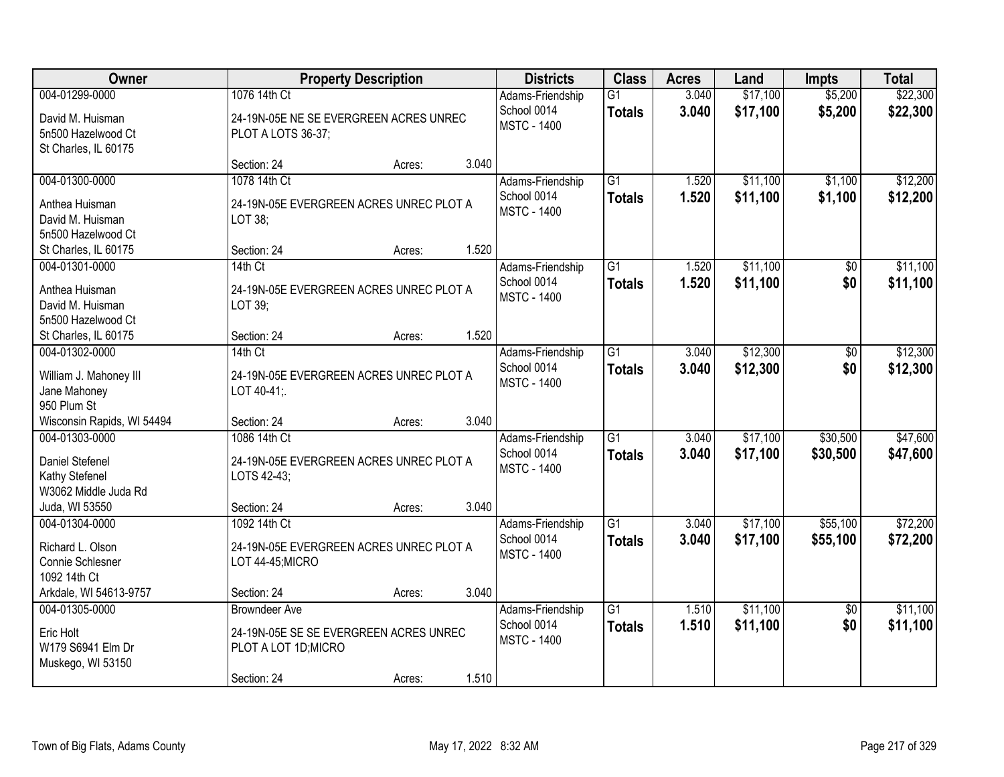| Owner                                                                              |                                                                               | <b>Property Description</b> |       | <b>Districts</b>                                      | <b>Class</b>                     | <b>Acres</b>   | Land                 | <b>Impts</b>           | <b>Total</b>         |
|------------------------------------------------------------------------------------|-------------------------------------------------------------------------------|-----------------------------|-------|-------------------------------------------------------|----------------------------------|----------------|----------------------|------------------------|----------------------|
| 004-01299-0000<br>David M. Huisman<br>5n500 Hazelwood Ct<br>St Charles, IL 60175   | 1076 14th Ct<br>24-19N-05E NE SE EVERGREEN ACRES UNREC<br>PLOT A LOTS 36-37;  |                             |       | Adams-Friendship<br>School 0014<br><b>MSTC - 1400</b> | $\overline{G1}$<br><b>Totals</b> | 3.040<br>3.040 | \$17,100<br>\$17,100 | \$5,200<br>\$5,200     | \$22,300<br>\$22,300 |
|                                                                                    | Section: 24                                                                   | Acres:                      | 3.040 |                                                       |                                  |                |                      |                        |                      |
| 004-01300-0000<br>Anthea Huisman<br>David M. Huisman<br>5n500 Hazelwood Ct         | 1078 14th Ct<br>24-19N-05E EVERGREEN ACRES UNREC PLOT A<br>LOT 38;            |                             |       | Adams-Friendship<br>School 0014<br><b>MSTC - 1400</b> | $\overline{G1}$<br><b>Totals</b> | 1.520<br>1.520 | \$11,100<br>\$11,100 | \$1,100<br>\$1,100     | \$12,200<br>\$12,200 |
| St Charles, IL 60175<br>004-01301-0000                                             | Section: 24<br>14th Ct                                                        | Acres:                      | 1.520 | Adams-Friendship                                      | $\overline{G1}$                  | 1.520          | \$11,100             | \$0                    | \$11,100             |
| Anthea Huisman<br>David M. Huisman<br>5n500 Hazelwood Ct                           | 24-19N-05E EVERGREEN ACRES UNREC PLOT A<br>LOT 39;                            |                             |       | School 0014<br><b>MSTC - 1400</b>                     | <b>Totals</b>                    | 1.520          | \$11,100             | \$0                    | \$11,100             |
| St Charles, IL 60175                                                               | Section: 24                                                                   | Acres:                      | 1.520 |                                                       |                                  |                |                      |                        |                      |
| 004-01302-0000<br>William J. Mahoney III<br>Jane Mahoney<br>950 Plum St            | $14th$ Ct<br>24-19N-05E EVERGREEN ACRES UNREC PLOT A<br>LOT 40-41;            |                             |       | Adams-Friendship<br>School 0014<br><b>MSTC - 1400</b> | $\overline{G1}$<br><b>Totals</b> | 3.040<br>3.040 | \$12,300<br>\$12,300 | \$0<br>\$0             | \$12,300<br>\$12,300 |
| Wisconsin Rapids, WI 54494                                                         | Section: 24                                                                   | Acres:                      | 3.040 |                                                       |                                  |                |                      |                        |                      |
| 004-01303-0000<br><b>Daniel Stefenel</b><br>Kathy Stefenel<br>W3062 Middle Juda Rd | 1086 14th Ct<br>24-19N-05E EVERGREEN ACRES UNREC PLOT A<br>LOTS 42-43;        |                             |       | Adams-Friendship<br>School 0014<br><b>MSTC - 1400</b> | $\overline{G1}$<br><b>Totals</b> | 3.040<br>3.040 | \$17,100<br>\$17,100 | \$30,500<br>\$30,500   | \$47,600<br>\$47,600 |
| Juda, WI 53550<br>004-01304-0000                                                   | Section: 24<br>1092 14th Ct                                                   | Acres:                      | 3.040 | Adams-Friendship                                      | $\overline{G1}$                  | 3.040          | \$17,100             | \$55,100               | \$72,200             |
| Richard L. Olson<br>Connie Schlesner<br>1092 14th Ct                               | 24-19N-05E EVERGREEN ACRES UNREC PLOT A<br>LOT 44-45;MICRO                    |                             |       | School 0014<br><b>MSTC - 1400</b>                     | <b>Totals</b>                    | 3.040          | \$17,100             | \$55,100               | \$72,200             |
| Arkdale, WI 54613-9757<br>004-01305-0000                                           | Section: 24<br><b>Browndeer Ave</b>                                           | Acres:                      | 3.040 |                                                       | $\overline{G1}$                  | 1.510          | \$11,100             |                        | \$11,100             |
| Eric Holt<br>W179 S6941 Elm Dr<br>Muskego, WI 53150                                | 24-19N-05E SE SE EVERGREEN ACRES UNREC<br>PLOT A LOT 1D; MICRO<br>Section: 24 | Acres:                      | 1.510 | Adams-Friendship<br>School 0014<br><b>MSTC - 1400</b> | <b>Totals</b>                    | 1.510          | \$11,100             | $\overline{50}$<br>\$0 | \$11,100             |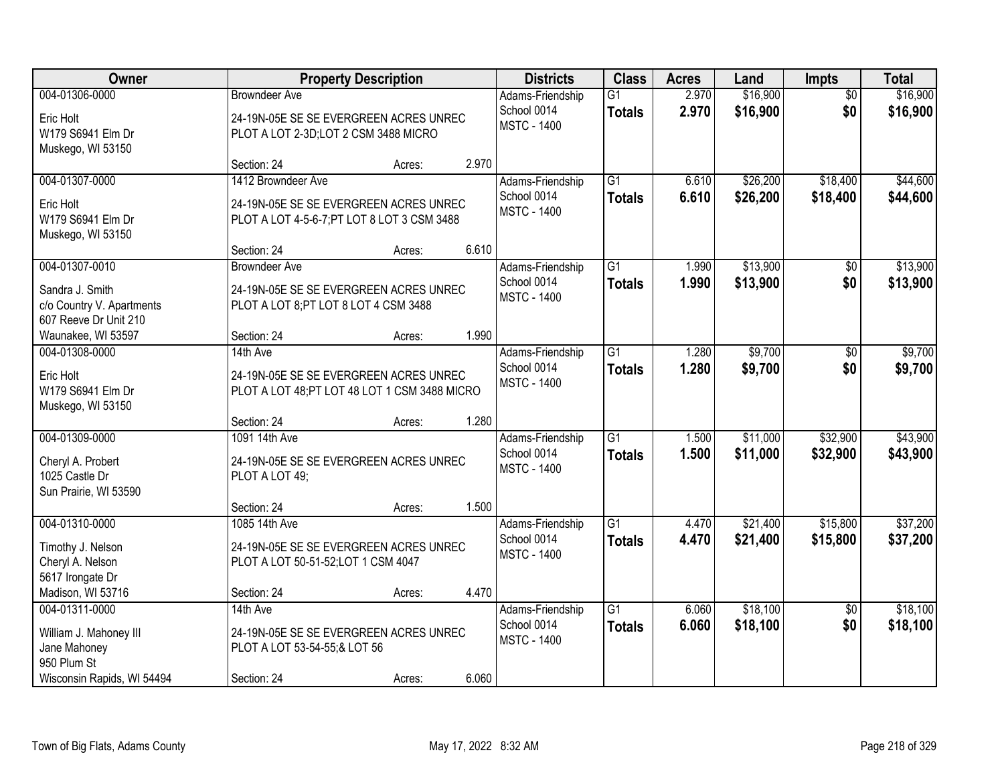| Owner                      |                                               | <b>Property Description</b> |       | <b>Districts</b>   | <b>Class</b>    | <b>Acres</b> | Land     | <b>Impts</b>    | <b>Total</b> |
|----------------------------|-----------------------------------------------|-----------------------------|-------|--------------------|-----------------|--------------|----------|-----------------|--------------|
| 004-01306-0000             | <b>Browndeer Ave</b>                          |                             |       | Adams-Friendship   | $\overline{G1}$ | 2.970        | \$16,900 | $\overline{50}$ | \$16,900     |
| Eric Holt                  | 24-19N-05E SE SE EVERGREEN ACRES UNREC        |                             |       | School 0014        | <b>Totals</b>   | 2.970        | \$16,900 | \$0             | \$16,900     |
| W179 S6941 Elm Dr          | PLOT A LOT 2-3D;LOT 2 CSM 3488 MICRO          |                             |       | <b>MSTC - 1400</b> |                 |              |          |                 |              |
| Muskego, WI 53150          |                                               |                             |       |                    |                 |              |          |                 |              |
|                            | Section: 24                                   | Acres:                      | 2.970 |                    |                 |              |          |                 |              |
| 004-01307-0000             | 1412 Browndeer Ave                            |                             |       | Adams-Friendship   | $\overline{G1}$ | 6.610        | \$26,200 | \$18,400        | \$44,600     |
| Eric Holt                  | 24-19N-05E SE SE EVERGREEN ACRES UNREC        |                             |       | School 0014        | <b>Totals</b>   | 6.610        | \$26,200 | \$18,400        | \$44,600     |
| W179 S6941 Elm Dr          | PLOT A LOT 4-5-6-7; PT LOT 8 LOT 3 CSM 3488   |                             |       | <b>MSTC - 1400</b> |                 |              |          |                 |              |
| Muskego, WI 53150          |                                               |                             |       |                    |                 |              |          |                 |              |
|                            | Section: 24                                   | Acres:                      | 6.610 |                    |                 |              |          |                 |              |
| 004-01307-0010             | <b>Browndeer Ave</b>                          |                             |       | Adams-Friendship   | $\overline{G1}$ | 1.990        | \$13,900 | \$0             | \$13,900     |
| Sandra J. Smith            | 24-19N-05E SE SE EVERGREEN ACRES UNREC        |                             |       | School 0014        | <b>Totals</b>   | 1.990        | \$13,900 | \$0             | \$13,900     |
| c/o Country V. Apartments  | PLOT A LOT 8; PT LOT 8 LOT 4 CSM 3488         |                             |       | <b>MSTC - 1400</b> |                 |              |          |                 |              |
| 607 Reeve Dr Unit 210      |                                               |                             |       |                    |                 |              |          |                 |              |
| Waunakee, WI 53597         | Section: 24                                   | Acres:                      | 1.990 |                    |                 |              |          |                 |              |
| 004-01308-0000             | 14th Ave                                      |                             |       | Adams-Friendship   | $\overline{G1}$ | 1.280        | \$9,700  | \$0             | \$9,700      |
| Eric Holt                  | 24-19N-05E SE SE EVERGREEN ACRES UNREC        |                             |       | School 0014        | <b>Totals</b>   | 1.280        | \$9,700  | \$0             | \$9,700      |
| W179 S6941 Elm Dr          | PLOT A LOT 48; PT LOT 48 LOT 1 CSM 3488 MICRO |                             |       | <b>MSTC - 1400</b> |                 |              |          |                 |              |
| Muskego, WI 53150          |                                               |                             |       |                    |                 |              |          |                 |              |
|                            | Section: 24                                   | Acres:                      | 1.280 |                    |                 |              |          |                 |              |
| 004-01309-0000             | 1091 14th Ave                                 |                             |       | Adams-Friendship   | $\overline{G1}$ | 1.500        | \$11,000 | \$32,900        | \$43,900     |
| Cheryl A. Probert          | 24-19N-05E SE SE EVERGREEN ACRES UNREC        |                             |       | School 0014        | <b>Totals</b>   | 1.500        | \$11,000 | \$32,900        | \$43,900     |
| 1025 Castle Dr             | PLOT A LOT 49;                                |                             |       | <b>MSTC - 1400</b> |                 |              |          |                 |              |
| Sun Prairie, WI 53590      |                                               |                             |       |                    |                 |              |          |                 |              |
|                            | Section: 24                                   | Acres:                      | 1.500 |                    |                 |              |          |                 |              |
| 004-01310-0000             | 1085 14th Ave                                 |                             |       | Adams-Friendship   | $\overline{G1}$ | 4.470        | \$21,400 | \$15,800        | \$37,200     |
| Timothy J. Nelson          | 24-19N-05E SE SE EVERGREEN ACRES UNREC        |                             |       | School 0014        | <b>Totals</b>   | 4.470        | \$21,400 | \$15,800        | \$37,200     |
| Cheryl A. Nelson           | PLOT A LOT 50-51-52; LOT 1 CSM 4047           |                             |       | <b>MSTC - 1400</b> |                 |              |          |                 |              |
| 5617 Irongate Dr           |                                               |                             |       |                    |                 |              |          |                 |              |
| Madison, WI 53716          | Section: 24                                   | Acres:                      | 4.470 |                    |                 |              |          |                 |              |
| 004-01311-0000             | 14th Ave                                      |                             |       | Adams-Friendship   | $\overline{G1}$ | 6.060        | \$18,100 | $\overline{50}$ | \$18,100     |
| William J. Mahoney III     | 24-19N-05E SE SE EVERGREEN ACRES UNREC        |                             |       | School 0014        | <b>Totals</b>   | 6.060        | \$18,100 | \$0             | \$18,100     |
| Jane Mahoney               | PLOT A LOT 53-54-55;& LOT 56                  |                             |       | <b>MSTC - 1400</b> |                 |              |          |                 |              |
| 950 Plum St                |                                               |                             |       |                    |                 |              |          |                 |              |
| Wisconsin Rapids, WI 54494 | Section: 24                                   | Acres:                      | 6.060 |                    |                 |              |          |                 |              |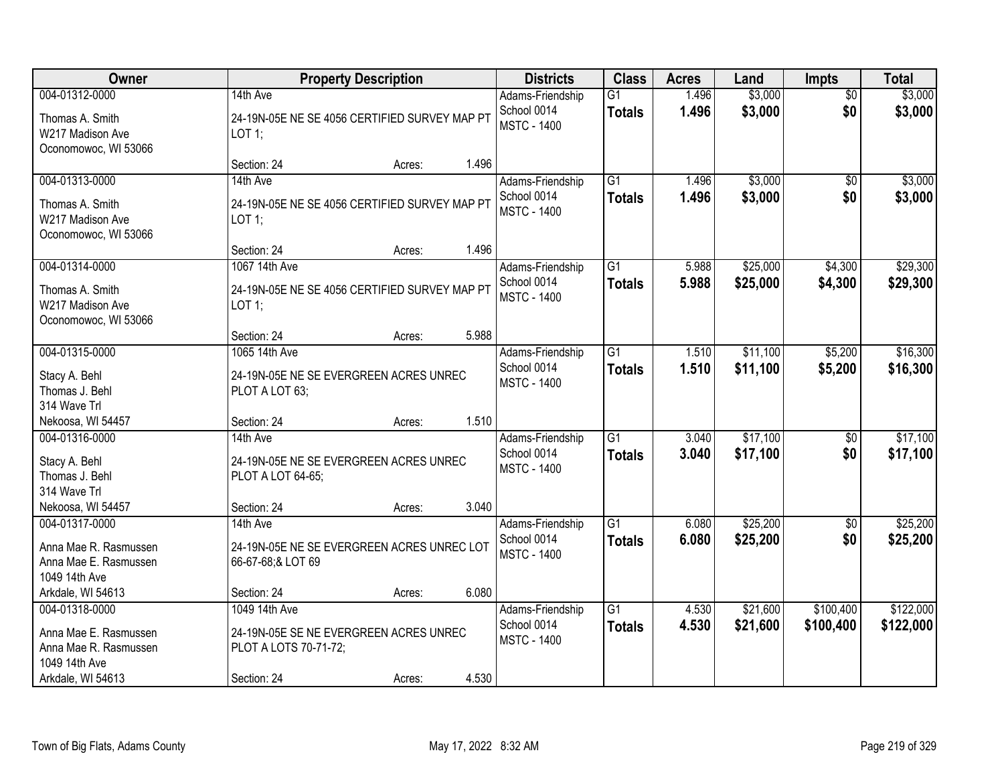| Owner                                                                                                  |                                                                                                 | <b>Property Description</b> |       | <b>Districts</b>                                      | <b>Class</b>                     | <b>Acres</b>   | Land                 | <b>Impts</b>           | <b>Total</b>           |
|--------------------------------------------------------------------------------------------------------|-------------------------------------------------------------------------------------------------|-----------------------------|-------|-------------------------------------------------------|----------------------------------|----------------|----------------------|------------------------|------------------------|
| 004-01312-0000<br>Thomas A. Smith<br>W217 Madison Ave<br>Oconomowoc, WI 53066                          | 14th Ave<br>24-19N-05E NE SE 4056 CERTIFIED SURVEY MAP PT<br>LOT 1;                             |                             |       | Adams-Friendship<br>School 0014<br><b>MSTC - 1400</b> | $\overline{G1}$<br><b>Totals</b> | 1.496<br>1.496 | \$3,000<br>\$3,000   | $\overline{50}$<br>\$0 | \$3,000<br>\$3,000     |
|                                                                                                        | Section: 24                                                                                     | Acres:                      | 1.496 |                                                       |                                  |                |                      |                        |                        |
| 004-01313-0000<br>Thomas A. Smith<br>W217 Madison Ave<br>Oconomowoc, WI 53066                          | 14th Ave<br>24-19N-05E NE SE 4056 CERTIFIED SURVEY MAP PT<br>$LOT$ 1;<br>Section: 24            |                             | 1.496 | Adams-Friendship<br>School 0014<br><b>MSTC - 1400</b> | $\overline{G1}$<br><b>Totals</b> | 1.496<br>1.496 | \$3,000<br>\$3,000   | \$0<br>\$0             | \$3,000<br>\$3,000     |
| 004-01314-0000                                                                                         | 1067 14th Ave                                                                                   | Acres:                      |       | Adams-Friendship                                      | $\overline{G1}$                  | 5.988          | \$25,000             | \$4,300                | \$29,300               |
| Thomas A. Smith<br>W217 Madison Ave<br>Oconomowoc, WI 53066                                            | 24-19N-05E NE SE 4056 CERTIFIED SURVEY MAP PT<br>LOT 1;                                         |                             |       | School 0014<br><b>MSTC - 1400</b>                     | <b>Totals</b>                    | 5.988          | \$25,000             | \$4,300                | \$29,300               |
|                                                                                                        | Section: 24                                                                                     | Acres:                      | 5.988 |                                                       |                                  |                |                      |                        |                        |
| 004-01315-0000<br>Stacy A. Behl<br>Thomas J. Behl<br>314 Wave Trl                                      | 1065 14th Ave<br>24-19N-05E NE SE EVERGREEN ACRES UNREC<br>PLOT A LOT 63;                       |                             |       | Adams-Friendship<br>School 0014<br><b>MSTC - 1400</b> | $\overline{G1}$<br><b>Totals</b> | 1.510<br>1.510 | \$11,100<br>\$11,100 | \$5,200<br>\$5,200     | \$16,300<br>\$16,300   |
| Nekoosa, WI 54457                                                                                      | Section: 24                                                                                     | Acres:                      | 1.510 |                                                       |                                  |                |                      |                        |                        |
| 004-01316-0000<br>Stacy A. Behl<br>Thomas J. Behl<br>314 Wave Trl                                      | 14th Ave<br>24-19N-05E NE SE EVERGREEN ACRES UNREC<br>PLOT A LOT 64-65;                         |                             |       | Adams-Friendship<br>School 0014<br><b>MSTC - 1400</b> | $\overline{G1}$<br><b>Totals</b> | 3.040<br>3.040 | \$17,100<br>\$17,100 | \$0<br>\$0             | \$17,100<br>\$17,100   |
| Nekoosa, WI 54457                                                                                      | Section: 24                                                                                     | Acres:                      | 3.040 |                                                       | $\overline{G1}$                  |                |                      |                        |                        |
| 004-01317-0000<br>Anna Mae R. Rasmussen<br>Anna Mae E. Rasmussen<br>1049 14th Ave                      | 14th Ave<br>24-19N-05E NE SE EVERGREEN ACRES UNREC LOT<br>66-67-68;& LOT 69                     |                             |       | Adams-Friendship<br>School 0014<br><b>MSTC - 1400</b> | <b>Totals</b>                    | 6.080<br>6.080 | \$25,200<br>\$25,200 | \$0<br>\$0             | \$25,200<br>\$25,200   |
| Arkdale, WI 54613                                                                                      | Section: 24                                                                                     | Acres:                      | 6.080 |                                                       |                                  |                |                      |                        |                        |
| 004-01318-0000<br>Anna Mae E. Rasmussen<br>Anna Mae R. Rasmussen<br>1049 14th Ave<br>Arkdale, WI 54613 | 1049 14th Ave<br>24-19N-05E SE NE EVERGREEN ACRES UNREC<br>PLOT A LOTS 70-71-72;<br>Section: 24 | Acres:                      | 4.530 | Adams-Friendship<br>School 0014<br><b>MSTC - 1400</b> | $\overline{G1}$<br><b>Totals</b> | 4.530<br>4.530 | \$21,600<br>\$21,600 | \$100,400<br>\$100,400 | \$122,000<br>\$122,000 |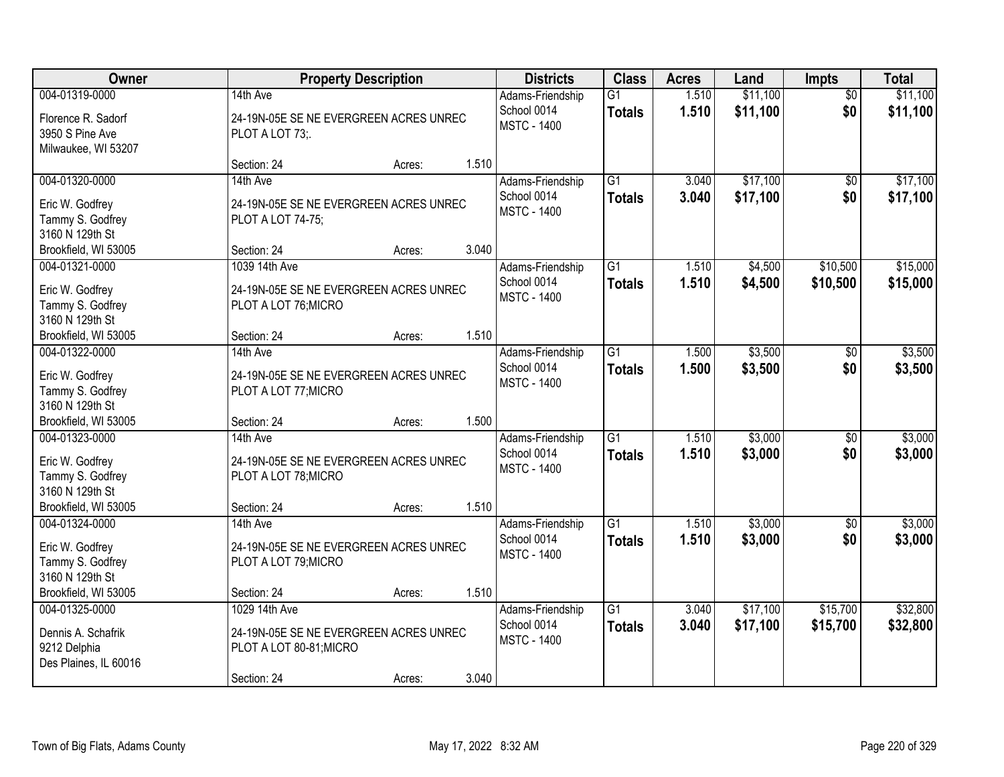| <b>Owner</b>                                                                                     |                                                                                                   | <b>Property Description</b> |       | <b>Districts</b>                                      | <b>Class</b>                     | <b>Acres</b>   | Land                 | Impts                  | <b>Total</b>         |
|--------------------------------------------------------------------------------------------------|---------------------------------------------------------------------------------------------------|-----------------------------|-------|-------------------------------------------------------|----------------------------------|----------------|----------------------|------------------------|----------------------|
| 004-01319-0000<br>Florence R. Sadorf<br>3950 S Pine Ave<br>Milwaukee, WI 53207                   | 14th Ave<br>24-19N-05E SE NE EVERGREEN ACRES UNREC<br>PLOT A LOT 73;                              |                             |       | Adams-Friendship<br>School 0014<br><b>MSTC - 1400</b> | $\overline{G1}$<br><b>Totals</b> | 1.510<br>1.510 | \$11,100<br>\$11,100 | $\overline{50}$<br>\$0 | \$11,100<br>\$11,100 |
|                                                                                                  | Section: 24                                                                                       | Acres:                      | 1.510 |                                                       |                                  |                |                      |                        |                      |
| 004-01320-0000<br>Eric W. Godfrey<br>Tammy S. Godfrey<br>3160 N 129th St                         | 14th Ave<br>24-19N-05E SE NE EVERGREEN ACRES UNREC<br>PLOT A LOT 74-75;                           |                             |       | Adams-Friendship<br>School 0014<br><b>MSTC - 1400</b> | $\overline{G1}$<br><b>Totals</b> | 3.040<br>3.040 | \$17,100<br>\$17,100 | $\overline{50}$<br>\$0 | \$17,100<br>\$17,100 |
| Brookfield, WI 53005<br>004-01321-0000                                                           | Section: 24<br>1039 14th Ave                                                                      | Acres:                      | 3.040 |                                                       | G <sub>1</sub>                   | 1.510          |                      | \$10,500               |                      |
| Eric W. Godfrey<br>Tammy S. Godfrey<br>3160 N 129th St                                           | 24-19N-05E SE NE EVERGREEN ACRES UNREC<br>PLOT A LOT 76; MICRO                                    |                             |       | Adams-Friendship<br>School 0014<br><b>MSTC - 1400</b> | <b>Totals</b>                    | 1.510          | \$4,500<br>\$4,500   | \$10,500               | \$15,000<br>\$15,000 |
| Brookfield, WI 53005                                                                             | Section: 24                                                                                       | Acres:                      | 1.510 |                                                       |                                  |                |                      |                        |                      |
| 004-01322-0000<br>Eric W. Godfrey<br>Tammy S. Godfrey<br>3160 N 129th St                         | 14th Ave<br>24-19N-05E SE NE EVERGREEN ACRES UNREC<br>PLOT A LOT 77; MICRO                        |                             |       | Adams-Friendship<br>School 0014<br><b>MSTC - 1400</b> | $\overline{G1}$<br><b>Totals</b> | 1.500<br>1.500 | \$3,500<br>\$3,500   | \$0<br>\$0             | \$3,500<br>\$3,500   |
| Brookfield, WI 53005                                                                             | Section: 24                                                                                       | Acres:                      | 1.500 |                                                       |                                  |                |                      |                        |                      |
| 004-01323-0000<br>Eric W. Godfrey<br>Tammy S. Godfrey<br>3160 N 129th St<br>Brookfield, WI 53005 | 14th Ave<br>24-19N-05E SE NE EVERGREEN ACRES UNREC<br>PLOT A LOT 78; MICRO<br>Section: 24         | Acres:                      | 1.510 | Adams-Friendship<br>School 0014<br><b>MSTC - 1400</b> | $\overline{G1}$<br><b>Totals</b> | 1.510<br>1.510 | \$3,000<br>\$3,000   | $\overline{50}$<br>\$0 | \$3,000<br>\$3,000   |
| 004-01324-0000                                                                                   | 14th Ave                                                                                          |                             |       | Adams-Friendship                                      | $\overline{G1}$                  | 1.510          | \$3,000              | $\overline{50}$        | \$3,000              |
| Eric W. Godfrey<br>Tammy S. Godfrey<br>3160 N 129th St                                           | 24-19N-05E SE NE EVERGREEN ACRES UNREC<br>PLOT A LOT 79; MICRO                                    |                             |       | School 0014<br><b>MSTC - 1400</b>                     | <b>Totals</b>                    | 1.510          | \$3,000              | \$0                    | \$3,000              |
| Brookfield, WI 53005                                                                             | Section: 24                                                                                       | Acres:                      | 1.510 |                                                       |                                  |                |                      |                        |                      |
| 004-01325-0000<br>Dennis A. Schafrik<br>9212 Delphia<br>Des Plaines, IL 60016                    | 1029 14th Ave<br>24-19N-05E SE NE EVERGREEN ACRES UNREC<br>PLOT A LOT 80-81; MICRO<br>Section: 24 | Acres:                      | 3.040 | Adams-Friendship<br>School 0014<br><b>MSTC - 1400</b> | $\overline{G1}$<br><b>Totals</b> | 3.040<br>3.040 | \$17,100<br>\$17,100 | \$15,700<br>\$15,700   | \$32,800<br>\$32,800 |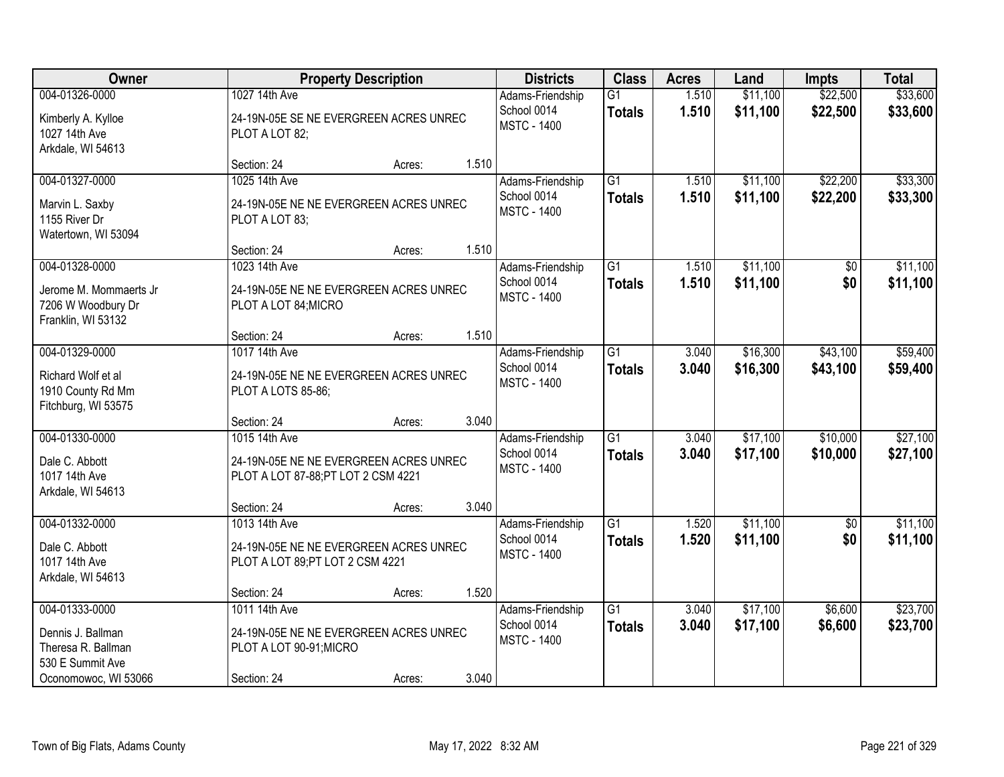| Owner                                                                                                 |                                                                                                   | <b>Property Description</b> |       | <b>Districts</b>                                      | <b>Class</b>                     | <b>Acres</b>   | Land                 | <b>Impts</b>           | <b>Total</b>         |
|-------------------------------------------------------------------------------------------------------|---------------------------------------------------------------------------------------------------|-----------------------------|-------|-------------------------------------------------------|----------------------------------|----------------|----------------------|------------------------|----------------------|
| 004-01326-0000<br>Kimberly A. Kylloe<br>1027 14th Ave<br>Arkdale, WI 54613                            | 1027 14th Ave<br>24-19N-05E SE NE EVERGREEN ACRES UNREC<br>PLOT A LOT 82;                         |                             |       | Adams-Friendship<br>School 0014<br><b>MSTC - 1400</b> | G1<br><b>Totals</b>              | 1.510<br>1.510 | \$11,100<br>\$11,100 | \$22,500<br>\$22,500   | \$33,600<br>\$33,600 |
|                                                                                                       | Section: 24                                                                                       | Acres:                      | 1.510 |                                                       |                                  |                |                      |                        |                      |
| 004-01327-0000<br>Marvin L. Saxby<br>1155 River Dr<br>Watertown, WI 53094                             | 1025 14th Ave<br>24-19N-05E NE NE EVERGREEN ACRES UNREC<br>PLOT A LOT 83;                         |                             |       | Adams-Friendship<br>School 0014<br><b>MSTC - 1400</b> | $\overline{G1}$<br><b>Totals</b> | 1.510<br>1.510 | \$11,100<br>\$11,100 | \$22,200<br>\$22,200   | \$33,300<br>\$33,300 |
| 004-01328-0000                                                                                        | Section: 24<br>1023 14th Ave                                                                      | Acres:                      | 1.510 | Adams-Friendship                                      | G <sub>1</sub>                   | 1.510          | \$11,100             | \$0                    | \$11,100             |
| Jerome M. Mommaerts Jr.<br>7206 W Woodbury Dr<br>Franklin, WI 53132                                   | 24-19N-05E NE NE EVERGREEN ACRES UNREC<br>PLOT A LOT 84; MICRO                                    |                             |       | School 0014<br><b>MSTC - 1400</b>                     | <b>Totals</b>                    | 1.510          | \$11,100             | \$0                    | \$11,100             |
|                                                                                                       | Section: 24                                                                                       | Acres:                      | 1.510 |                                                       |                                  |                |                      |                        |                      |
| 004-01329-0000<br>Richard Wolf et al<br>1910 County Rd Mm<br>Fitchburg, WI 53575                      | 1017 14th Ave<br>24-19N-05E NE NE EVERGREEN ACRES UNREC<br>PLOT A LOTS 85-86;                     |                             |       | Adams-Friendship<br>School 0014<br><b>MSTC - 1400</b> | $\overline{G1}$<br><b>Totals</b> | 3.040<br>3.040 | \$16,300<br>\$16,300 | \$43,100<br>\$43,100   | \$59,400<br>\$59,400 |
|                                                                                                       | Section: 24                                                                                       | Acres:                      | 3.040 |                                                       |                                  |                |                      |                        |                      |
| 004-01330-0000<br>Dale C. Abbott<br>1017 14th Ave<br>Arkdale, WI 54613                                | 1015 14th Ave<br>24-19N-05E NE NE EVERGREEN ACRES UNREC<br>PLOT A LOT 87-88; PT LOT 2 CSM 4221    |                             |       | Adams-Friendship<br>School 0014<br><b>MSTC - 1400</b> | $\overline{G1}$<br><b>Totals</b> | 3.040<br>3.040 | \$17,100<br>\$17,100 | \$10,000<br>\$10,000   | \$27,100<br>\$27,100 |
|                                                                                                       | Section: 24                                                                                       | Acres:                      | 3.040 |                                                       |                                  |                |                      |                        |                      |
| 004-01332-0000<br>Dale C. Abbott<br>1017 14th Ave<br>Arkdale, WI 54613                                | 1013 14th Ave<br>24-19N-05E NE NE EVERGREEN ACRES UNREC<br>PLOT A LOT 89; PT LOT 2 CSM 4221       |                             |       | Adams-Friendship<br>School 0014<br><b>MSTC - 1400</b> | $\overline{G1}$<br><b>Totals</b> | 1.520<br>1.520 | \$11,100<br>\$11,100 | $\overline{50}$<br>\$0 | \$11,100<br>\$11,100 |
|                                                                                                       | Section: 24                                                                                       | Acres:                      | 1.520 |                                                       |                                  |                |                      |                        |                      |
| 004-01333-0000<br>Dennis J. Ballman<br>Theresa R. Ballman<br>530 E Summit Ave<br>Oconomowoc, WI 53066 | 1011 14th Ave<br>24-19N-05E NE NE EVERGREEN ACRES UNREC<br>PLOT A LOT 90-91; MICRO<br>Section: 24 | Acres:                      | 3.040 | Adams-Friendship<br>School 0014<br><b>MSTC - 1400</b> | $\overline{G1}$<br><b>Totals</b> | 3.040<br>3.040 | \$17,100<br>\$17,100 | \$6,600<br>\$6,600     | \$23,700<br>\$23,700 |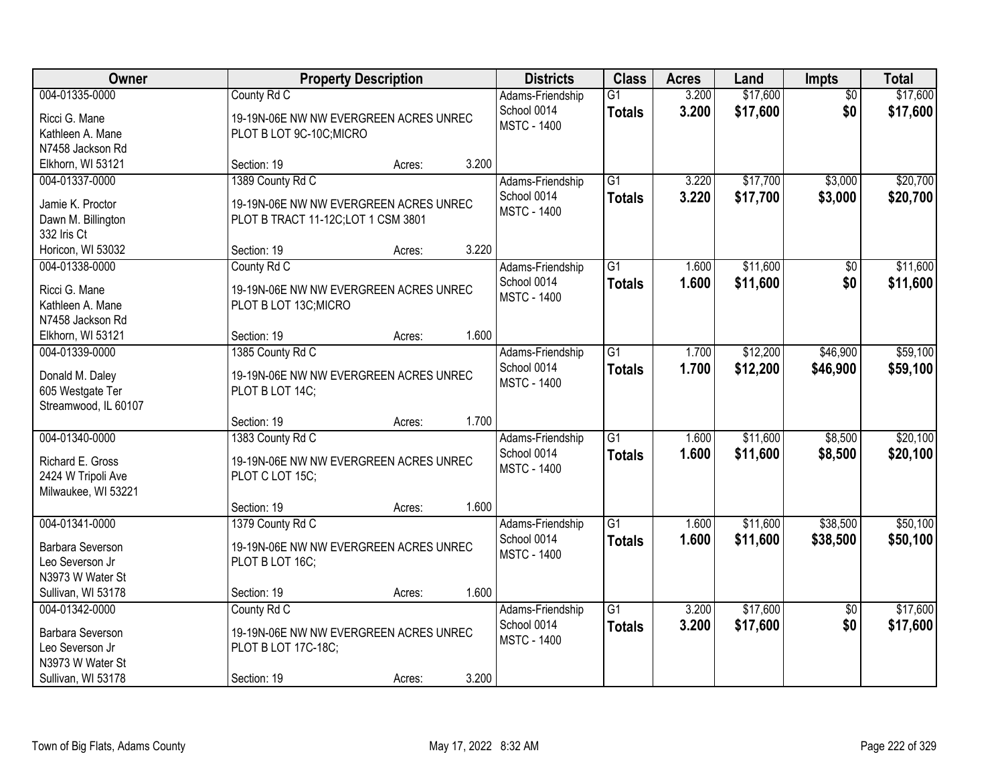| Owner                                                                                           | <b>Property Description</b>                                                                      |        |       | <b>Districts</b>                                      | <b>Class</b>                     | <b>Acres</b>   | Land                 | <b>Impts</b>           | <b>Total</b>         |
|-------------------------------------------------------------------------------------------------|--------------------------------------------------------------------------------------------------|--------|-------|-------------------------------------------------------|----------------------------------|----------------|----------------------|------------------------|----------------------|
| 004-01335-0000<br>Ricci G. Mane<br>Kathleen A. Mane<br>N7458 Jackson Rd                         | County Rd C<br>19-19N-06E NW NW EVERGREEN ACRES UNREC<br>PLOT B LOT 9C-10C; MICRO                |        |       | Adams-Friendship<br>School 0014<br><b>MSTC - 1400</b> | $\overline{G1}$<br><b>Totals</b> | 3.200<br>3.200 | \$17,600<br>\$17,600 | $\overline{50}$<br>\$0 | \$17,600<br>\$17,600 |
| Elkhorn, WI 53121                                                                               | Section: 19                                                                                      | Acres: | 3.200 |                                                       |                                  |                |                      |                        |                      |
| 004-01337-0000<br>Jamie K. Proctor<br>Dawn M. Billington<br>332 Iris Ct                         | 1389 County Rd C<br>19-19N-06E NW NW EVERGREEN ACRES UNREC<br>PLOT B TRACT 11-12C;LOT 1 CSM 3801 |        |       | Adams-Friendship<br>School 0014<br><b>MSTC - 1400</b> | $\overline{G1}$<br><b>Totals</b> | 3.220<br>3.220 | \$17,700<br>\$17,700 | \$3,000<br>\$3,000     | \$20,700<br>\$20,700 |
| Horicon, WI 53032                                                                               | Section: 19                                                                                      | Acres: | 3.220 |                                                       |                                  |                |                      |                        |                      |
| 004-01338-0000<br>Ricci G. Mane<br>Kathleen A. Mane<br>N7458 Jackson Rd                         | County Rd C<br>19-19N-06E NW NW EVERGREEN ACRES UNREC<br>PLOT B LOT 13C; MICRO                   |        |       | Adams-Friendship<br>School 0014<br><b>MSTC - 1400</b> | $\overline{G1}$<br><b>Totals</b> | 1.600<br>1.600 | \$11,600<br>\$11,600 | \$0<br>\$0             | \$11,600<br>\$11,600 |
| Elkhorn, WI 53121<br>004-01339-0000                                                             | Section: 19                                                                                      | Acres: | 1.600 |                                                       | $\overline{G1}$                  | 1.700          | \$12,200             | \$46,900               | \$59,100             |
| Donald M. Daley<br>605 Westgate Ter<br>Streamwood, IL 60107                                     | 1385 County Rd C<br>19-19N-06E NW NW EVERGREEN ACRES UNREC<br>PLOT B LOT 14C;                    |        |       | Adams-Friendship<br>School 0014<br><b>MSTC - 1400</b> | <b>Totals</b>                    | 1.700          | \$12,200             | \$46,900               | \$59,100             |
|                                                                                                 | Section: 19                                                                                      | Acres: | 1.700 |                                                       |                                  |                |                      |                        |                      |
| 004-01340-0000<br>Richard E. Gross<br>2424 W Tripoli Ave<br>Milwaukee, WI 53221                 | 1383 County Rd C<br>19-19N-06E NW NW EVERGREEN ACRES UNREC<br>PLOT C LOT 15C;                    |        |       | Adams-Friendship<br>School 0014<br><b>MSTC - 1400</b> | $\overline{G1}$<br><b>Totals</b> | 1.600<br>1.600 | \$11,600<br>\$11,600 | \$8,500<br>\$8,500     | \$20,100<br>\$20,100 |
|                                                                                                 | Section: 19                                                                                      | Acres: | 1.600 |                                                       |                                  |                |                      |                        |                      |
| 004-01341-0000<br>Barbara Severson<br>Leo Severson Jr<br>N3973 W Water St<br>Sullivan, WI 53178 | 1379 County Rd C<br>19-19N-06E NW NW EVERGREEN ACRES UNREC<br>PLOT B LOT 16C;<br>Section: 19     |        | 1.600 | Adams-Friendship<br>School 0014<br><b>MSTC - 1400</b> | $\overline{G1}$<br><b>Totals</b> | 1.600<br>1.600 | \$11,600<br>\$11,600 | \$38,500<br>\$38,500   | \$50,100<br>\$50,100 |
| 004-01342-0000                                                                                  | County Rd C                                                                                      | Acres: |       |                                                       | $\overline{G1}$                  | 3.200          | \$17,600             |                        | \$17,600             |
| Barbara Severson<br>Leo Severson Jr<br>N3973 W Water St<br>Sullivan, WI 53178                   | 19-19N-06E NW NW EVERGREEN ACRES UNREC<br>PLOT B LOT 17C-18C;<br>Section: 19                     | Acres: | 3.200 | Adams-Friendship<br>School 0014<br><b>MSTC - 1400</b> | <b>Totals</b>                    | 3.200          | \$17,600             | $\overline{50}$<br>\$0 | \$17,600             |
|                                                                                                 |                                                                                                  |        |       |                                                       |                                  |                |                      |                        |                      |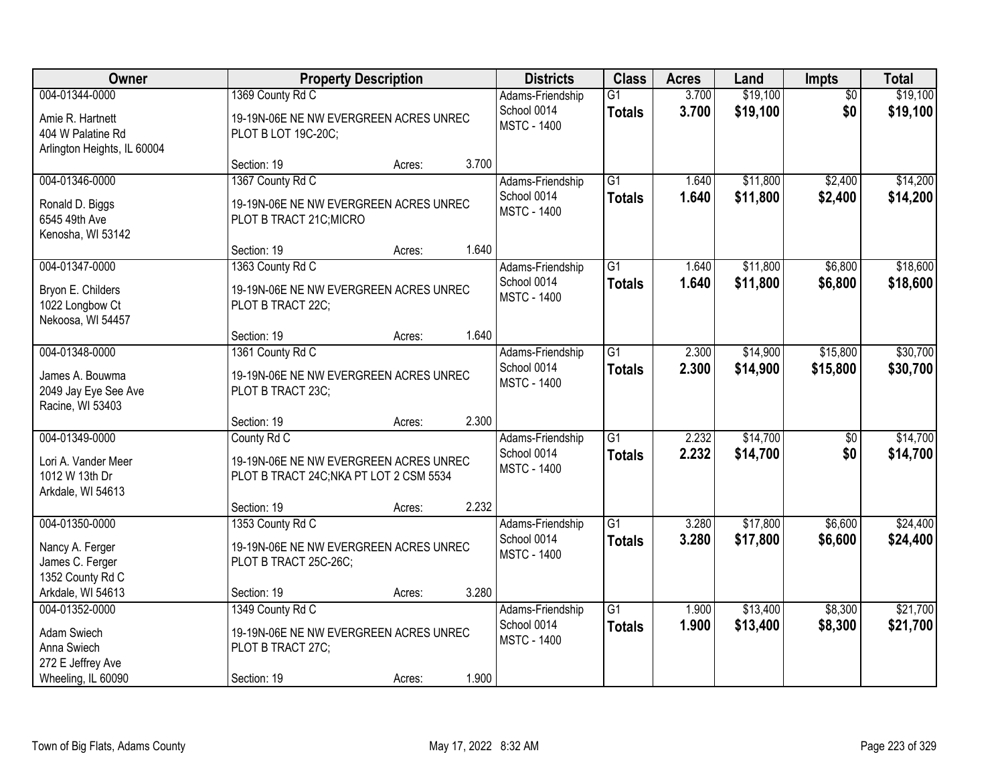| Owner                       |                                         | <b>Property Description</b> |       | <b>Districts</b>                  | <b>Class</b>    | <b>Acres</b> | Land     | <b>Impts</b>    | <b>Total</b> |
|-----------------------------|-----------------------------------------|-----------------------------|-------|-----------------------------------|-----------------|--------------|----------|-----------------|--------------|
| 004-01344-0000              | 1369 County Rd C                        |                             |       | Adams-Friendship                  | $\overline{G1}$ | 3.700        | \$19,100 | $\overline{50}$ | \$19,100     |
| Amie R. Hartnett            | 19-19N-06E NE NW EVERGREEN ACRES UNREC  |                             |       | School 0014<br><b>MSTC - 1400</b> | <b>Totals</b>   | 3.700        | \$19,100 | \$0             | \$19,100     |
| 404 W Palatine Rd           | PLOT B LOT 19C-20C;                     |                             |       |                                   |                 |              |          |                 |              |
| Arlington Heights, IL 60004 |                                         |                             |       |                                   |                 |              |          |                 |              |
|                             | Section: 19                             | Acres:                      | 3.700 |                                   |                 |              |          |                 |              |
| 004-01346-0000              | 1367 County Rd C                        |                             |       | Adams-Friendship                  | $\overline{G1}$ | 1.640        | \$11,800 | \$2,400         | \$14,200     |
| Ronald D. Biggs             | 19-19N-06E NE NW EVERGREEN ACRES UNREC  |                             |       | School 0014                       | <b>Totals</b>   | 1.640        | \$11,800 | \$2,400         | \$14,200     |
| 6545 49th Ave               | PLOT B TRACT 21C; MICRO                 |                             |       | <b>MSTC - 1400</b>                |                 |              |          |                 |              |
| Kenosha, WI 53142           |                                         |                             |       |                                   |                 |              |          |                 |              |
|                             | Section: 19                             | Acres:                      | 1.640 |                                   |                 |              |          |                 |              |
| 004-01347-0000              | 1363 County Rd C                        |                             |       | Adams-Friendship                  | G1              | 1.640        | \$11,800 | \$6,800         | \$18,600     |
| Bryon E. Childers           | 19-19N-06E NE NW EVERGREEN ACRES UNREC  |                             |       | School 0014                       | <b>Totals</b>   | 1.640        | \$11,800 | \$6,800         | \$18,600     |
| 1022 Longbow Ct             | PLOT B TRACT 22C;                       |                             |       | <b>MSTC - 1400</b>                |                 |              |          |                 |              |
| Nekoosa, WI 54457           |                                         |                             |       |                                   |                 |              |          |                 |              |
|                             | Section: 19                             | Acres:                      | 1.640 |                                   |                 |              |          |                 |              |
| 004-01348-0000              | 1361 County Rd C                        |                             |       | Adams-Friendship                  | $\overline{G1}$ | 2.300        | \$14,900 | \$15,800        | \$30,700     |
| James A. Bouwma             | 19-19N-06E NE NW EVERGREEN ACRES UNREC  |                             |       | School 0014                       | <b>Totals</b>   | 2.300        | \$14,900 | \$15,800        | \$30,700     |
| 2049 Jay Eye See Ave        | PLOT B TRACT 23C;                       |                             |       | <b>MSTC - 1400</b>                |                 |              |          |                 |              |
| Racine, WI 53403            |                                         |                             |       |                                   |                 |              |          |                 |              |
|                             | Section: 19                             | Acres:                      | 2.300 |                                   |                 |              |          |                 |              |
| 004-01349-0000              | County Rd C                             |                             |       | Adams-Friendship                  | $\overline{G1}$ | 2.232        | \$14,700 | $\overline{50}$ | \$14,700     |
| Lori A. Vander Meer         | 19-19N-06E NE NW EVERGREEN ACRES UNREC  |                             |       | School 0014                       | <b>Totals</b>   | 2.232        | \$14,700 | \$0             | \$14,700     |
| 1012 W 13th Dr              | PLOT B TRACT 24C; NKA PT LOT 2 CSM 5534 |                             |       | <b>MSTC - 1400</b>                |                 |              |          |                 |              |
| Arkdale, WI 54613           |                                         |                             |       |                                   |                 |              |          |                 |              |
|                             | Section: 19                             | Acres:                      | 2.232 |                                   |                 |              |          |                 |              |
| 004-01350-0000              | 1353 County Rd C                        |                             |       | Adams-Friendship                  | $\overline{G1}$ | 3.280        | \$17,800 | \$6,600         | \$24,400     |
| Nancy A. Ferger             | 19-19N-06E NE NW EVERGREEN ACRES UNREC  |                             |       | School 0014                       | <b>Totals</b>   | 3.280        | \$17,800 | \$6,600         | \$24,400     |
| James C. Ferger             | PLOT B TRACT 25C-26C;                   |                             |       | <b>MSTC - 1400</b>                |                 |              |          |                 |              |
| 1352 County Rd C            |                                         |                             |       |                                   |                 |              |          |                 |              |
| Arkdale, WI 54613           | Section: 19                             | Acres:                      | 3.280 |                                   |                 |              |          |                 |              |
| 004-01352-0000              | 1349 County Rd C                        |                             |       | Adams-Friendship                  | $\overline{G1}$ | 1.900        | \$13,400 | \$8,300         | \$21,700     |
| Adam Swiech                 | 19-19N-06E NE NW EVERGREEN ACRES UNREC  |                             |       | School 0014                       | <b>Totals</b>   | 1.900        | \$13,400 | \$8,300         | \$21,700     |
| Anna Swiech                 | PLOT B TRACT 27C;                       |                             |       | <b>MSTC - 1400</b>                |                 |              |          |                 |              |
| 272 E Jeffrey Ave           |                                         |                             |       |                                   |                 |              |          |                 |              |
| Wheeling, IL 60090          | Section: 19                             | Acres:                      | 1.900 |                                   |                 |              |          |                 |              |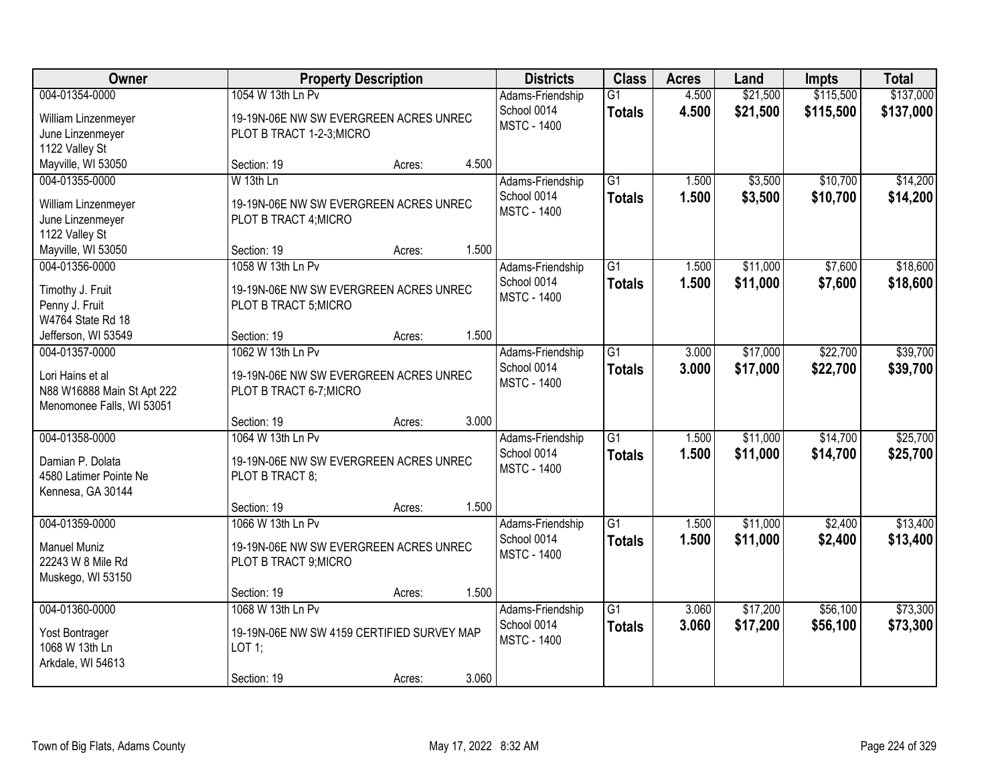| <b>Owner</b>                                                                                  | <b>Property Description</b>                                                              |        | <b>Districts</b> | <b>Class</b>                                          | <b>Acres</b>                     | Land           | <b>Impts</b>         | <b>Total</b>           |                        |
|-----------------------------------------------------------------------------------------------|------------------------------------------------------------------------------------------|--------|------------------|-------------------------------------------------------|----------------------------------|----------------|----------------------|------------------------|------------------------|
| 004-01354-0000<br>William Linzenmeyer<br>June Linzenmeyer<br>1122 Valley St                   | 1054 W 13th Ln Pv<br>19-19N-06E NW SW EVERGREEN ACRES UNREC<br>PLOT B TRACT 1-2-3; MICRO |        |                  | Adams-Friendship<br>School 0014<br><b>MSTC - 1400</b> | G1<br><b>Totals</b>              | 4.500<br>4.500 | \$21,500<br>\$21,500 | \$115,500<br>\$115,500 | \$137,000<br>\$137,000 |
| Mayville, WI 53050                                                                            | Section: 19                                                                              | Acres: | 4.500            |                                                       |                                  |                |                      |                        |                        |
| 004-01355-0000<br>William Linzenmeyer<br>June Linzenmeyer<br>1122 Valley St                   | W 13th Ln<br>19-19N-06E NW SW EVERGREEN ACRES UNREC<br>PLOT B TRACT 4; MICRO             |        |                  | Adams-Friendship<br>School 0014<br><b>MSTC - 1400</b> | $\overline{G1}$<br><b>Totals</b> | 1.500<br>1.500 | \$3,500<br>\$3,500   | \$10,700<br>\$10,700   | \$14,200<br>\$14,200   |
| Mayville, WI 53050<br>004-01356-0000                                                          | Section: 19<br>1058 W 13th Ln Pv                                                         | Acres: | 1.500            |                                                       | G1                               | 1.500          | \$11,000             | \$7,600                | \$18,600               |
| Timothy J. Fruit<br>Penny J. Fruit<br>W4764 State Rd 18                                       | 19-19N-06E NW SW EVERGREEN ACRES UNREC<br>PLOT B TRACT 5; MICRO                          |        |                  | Adams-Friendship<br>School 0014<br><b>MSTC - 1400</b> | <b>Totals</b>                    | 1.500          | \$11,000             | \$7,600                | \$18,600               |
| Jefferson, WI 53549                                                                           | Section: 19                                                                              | Acres: | 1.500            |                                                       |                                  |                |                      |                        |                        |
| 004-01357-0000<br>Lori Hains et al<br>N88 W16888 Main St Apt 222<br>Menomonee Falls, WI 53051 | 1062 W 13th Ln Pv<br>19-19N-06E NW SW EVERGREEN ACRES UNREC<br>PLOT B TRACT 6-7; MICRO   |        |                  | Adams-Friendship<br>School 0014<br><b>MSTC - 1400</b> | G1<br><b>Totals</b>              | 3.000<br>3.000 | \$17,000<br>\$17,000 | \$22,700<br>\$22,700   | \$39,700<br>\$39,700   |
|                                                                                               | Section: 19                                                                              | Acres: | 3.000            |                                                       |                                  |                |                      |                        |                        |
| 004-01358-0000<br>Damian P. Dolata<br>4580 Latimer Pointe Ne<br>Kennesa, GA 30144             | 1064 W 13th Ln Pv<br>19-19N-06E NW SW EVERGREEN ACRES UNREC<br>PLOT B TRACT 8;           |        |                  | Adams-Friendship<br>School 0014<br><b>MSTC - 1400</b> | $\overline{G1}$<br><b>Totals</b> | 1.500<br>1.500 | \$11,000<br>\$11,000 | \$14,700<br>\$14,700   | \$25,700<br>\$25,700   |
|                                                                                               | Section: 19                                                                              | Acres: | 1.500            |                                                       |                                  |                |                      |                        |                        |
| 004-01359-0000<br><b>Manuel Muniz</b><br>22243 W 8 Mile Rd<br>Muskego, WI 53150               | 1066 W 13th Ln Pv<br>19-19N-06E NW SW EVERGREEN ACRES UNREC<br>PLOT B TRACT 9; MICRO     |        |                  | Adams-Friendship<br>School 0014<br><b>MSTC - 1400</b> | $\overline{G1}$<br><b>Totals</b> | 1.500<br>1.500 | \$11,000<br>\$11,000 | \$2,400<br>\$2,400     | \$13,400<br>\$13,400   |
|                                                                                               | Section: 19                                                                              | Acres: | 1.500            |                                                       |                                  |                |                      |                        |                        |
| 004-01360-0000<br>Yost Bontrager<br>1068 W 13th Ln<br>Arkdale, WI 54613                       | 1068 W 13th Ln Pv<br>19-19N-06E NW SW 4159 CERTIFIED SURVEY MAP<br>LOT 1;<br>Section: 19 | Acres: | 3.060            | Adams-Friendship<br>School 0014<br><b>MSTC - 1400</b> | $\overline{G1}$<br><b>Totals</b> | 3.060<br>3.060 | \$17,200<br>\$17,200 | \$56,100<br>\$56,100   | \$73,300<br>\$73,300   |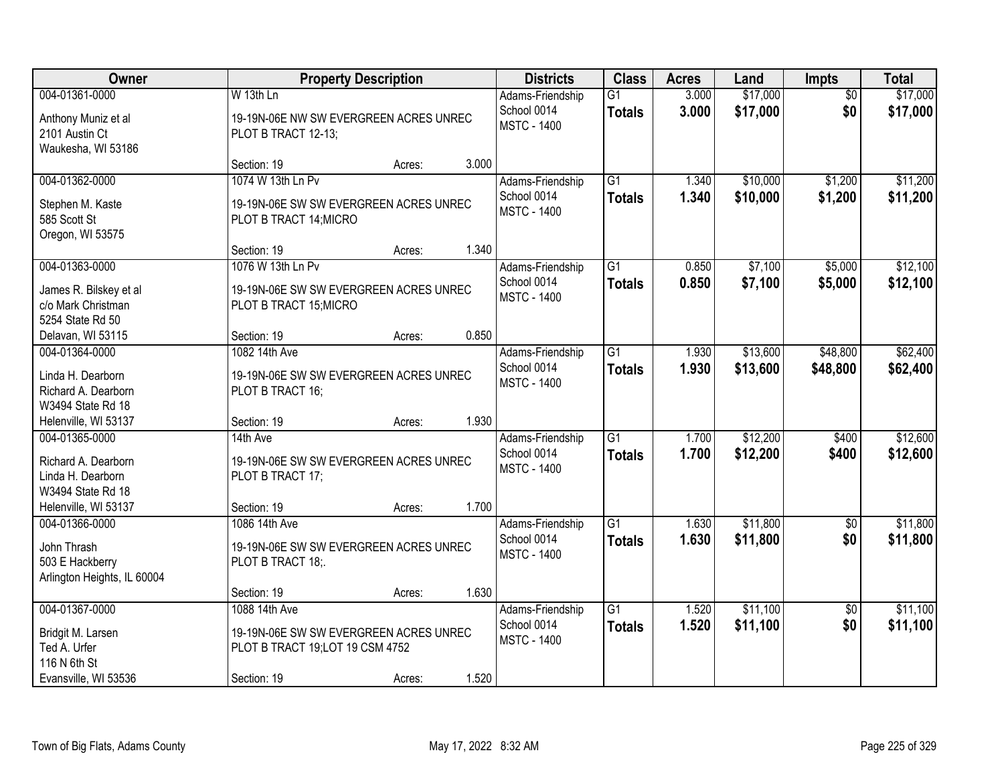| Owner                                                                           |                                                                             | <b>Property Description</b> |       | <b>Districts</b>                                      | <b>Class</b>                     | <b>Acres</b>   | Land                 | <b>Impts</b>           | <b>Total</b>         |
|---------------------------------------------------------------------------------|-----------------------------------------------------------------------------|-----------------------------|-------|-------------------------------------------------------|----------------------------------|----------------|----------------------|------------------------|----------------------|
| 004-01361-0000                                                                  | W 13th Ln                                                                   |                             |       | Adams-Friendship<br>School 0014                       | $\overline{G1}$                  | 3.000          | \$17,000<br>\$17,000 | $\overline{50}$<br>\$0 | \$17,000             |
| Anthony Muniz et al<br>2101 Austin Ct<br>Waukesha, WI 53186                     | 19-19N-06E NW SW EVERGREEN ACRES UNREC<br>PLOT B TRACT 12-13;               |                             |       | <b>MSTC - 1400</b>                                    | <b>Totals</b>                    | 3.000          |                      |                        | \$17,000             |
|                                                                                 | Section: 19                                                                 | Acres:                      | 3.000 |                                                       |                                  |                |                      |                        |                      |
| 004-01362-0000                                                                  | 1074 W 13th Ln Pv                                                           |                             |       | Adams-Friendship                                      | $\overline{G1}$                  | 1.340          | \$10,000             | \$1,200                | \$11,200             |
| Stephen M. Kaste<br>585 Scott St<br>Oregon, WI 53575                            | 19-19N-06E SW SW EVERGREEN ACRES UNREC<br>PLOT B TRACT 14; MICRO            |                             |       | School 0014<br><b>MSTC - 1400</b>                     | <b>Totals</b>                    | 1.340          | \$10,000             | \$1,200                | \$11,200             |
|                                                                                 | Section: 19                                                                 | Acres:                      | 1.340 |                                                       |                                  |                |                      |                        |                      |
| 004-01363-0000                                                                  | 1076 W 13th Ln Pv                                                           |                             |       | Adams-Friendship                                      | $\overline{G1}$                  | 0.850          | \$7,100              | \$5,000                | \$12,100             |
| James R. Bilskey et al<br>c/o Mark Christman<br>5254 State Rd 50                | 19-19N-06E SW SW EVERGREEN ACRES UNREC<br>PLOT B TRACT 15; MICRO            |                             |       | School 0014<br><b>MSTC - 1400</b>                     | <b>Totals</b>                    | 0.850          | \$7,100              | \$5,000                | \$12,100             |
| Delavan, WI 53115                                                               | Section: 19                                                                 | Acres:                      | 0.850 |                                                       |                                  |                |                      |                        |                      |
| 004-01364-0000                                                                  | 1082 14th Ave                                                               |                             |       | Adams-Friendship                                      | $\overline{G1}$                  | 1.930          | \$13,600             | \$48,800               | \$62,400             |
| Linda H. Dearborn<br>Richard A. Dearborn                                        | 19-19N-06E SW SW EVERGREEN ACRES UNREC<br>PLOT B TRACT 16;                  |                             |       | School 0014<br><b>MSTC - 1400</b>                     | <b>Totals</b>                    | 1.930          | \$13,600             | \$48,800               | \$62,400             |
| W3494 State Rd 18<br>Helenville, WI 53137                                       | Section: 19                                                                 | Acres:                      | 1.930 |                                                       |                                  |                |                      |                        |                      |
| 004-01365-0000                                                                  | 14th Ave                                                                    |                             |       | Adams-Friendship                                      | $\overline{G1}$                  | 1.700          | \$12,200             | \$400                  | \$12,600             |
| Richard A. Dearborn<br>Linda H. Dearborn<br>W3494 State Rd 18                   | 19-19N-06E SW SW EVERGREEN ACRES UNREC<br>PLOT B TRACT 17;                  |                             |       | School 0014<br><b>MSTC - 1400</b>                     | <b>Totals</b>                    | 1.700          | \$12,200             | \$400                  | \$12,600             |
| Helenville, WI 53137                                                            | Section: 19                                                                 | Acres:                      | 1.700 |                                                       |                                  |                |                      |                        |                      |
| 004-01366-0000<br>John Thrash<br>503 E Hackberry<br>Arlington Heights, IL 60004 | 1086 14th Ave<br>19-19N-06E SW SW EVERGREEN ACRES UNREC<br>PLOT B TRACT 18; |                             |       | Adams-Friendship<br>School 0014<br><b>MSTC - 1400</b> | $\overline{G1}$<br><b>Totals</b> | 1.630<br>1.630 | \$11,800<br>\$11,800 | $\sqrt{$0}$<br>\$0     | \$11,800<br>\$11,800 |
|                                                                                 | Section: 19                                                                 | Acres:                      | 1.630 |                                                       |                                  |                |                      |                        |                      |
| 004-01367-0000                                                                  | 1088 14th Ave                                                               |                             |       | Adams-Friendship                                      | $\overline{G1}$                  | 1.520          | \$11,100             | $\overline{50}$        | \$11,100             |
| Bridgit M. Larsen<br>Ted A. Urfer<br>116 N 6th St                               | 19-19N-06E SW SW EVERGREEN ACRES UNREC<br>PLOT B TRACT 19;LOT 19 CSM 4752   |                             |       | School 0014<br><b>MSTC - 1400</b>                     | <b>Totals</b>                    | 1.520          | \$11,100             | \$0                    | \$11,100             |
| Evansville, WI 53536                                                            | Section: 19                                                                 | Acres:                      | 1.520 |                                                       |                                  |                |                      |                        |                      |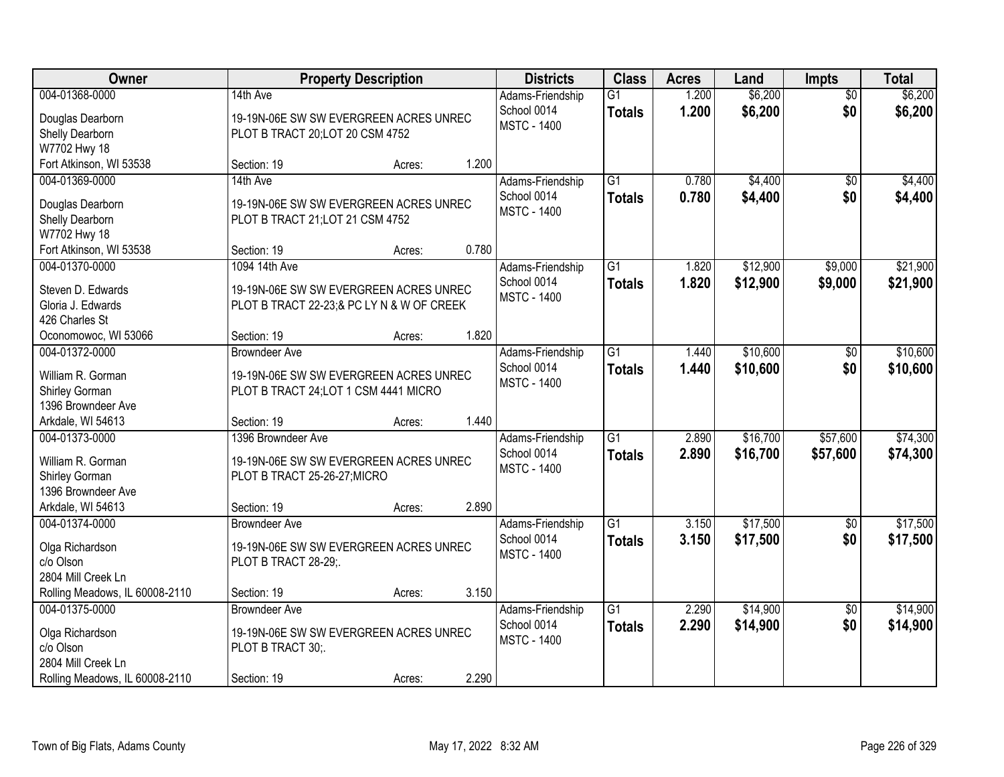| <b>Owner</b>                                     |                                           | <b>Property Description</b> |       | <b>Districts</b>                  | <b>Class</b>    | <b>Acres</b> | Land     | <b>Impts</b>           | <b>Total</b> |
|--------------------------------------------------|-------------------------------------------|-----------------------------|-------|-----------------------------------|-----------------|--------------|----------|------------------------|--------------|
| 004-01368-0000                                   | 14th Ave                                  |                             |       | Adams-Friendship                  | $\overline{G1}$ | 1.200        | \$6,200  | $\overline{50}$        | \$6,200      |
| Douglas Dearborn                                 | 19-19N-06E SW SW EVERGREEN ACRES UNREC    |                             |       | School 0014<br><b>MSTC - 1400</b> | <b>Totals</b>   | 1.200        | \$6,200  | \$0                    | \$6,200      |
| Shelly Dearborn                                  | PLOT B TRACT 20;LOT 20 CSM 4752           |                             |       |                                   |                 |              |          |                        |              |
| W7702 Hwy 18                                     |                                           |                             |       |                                   |                 |              |          |                        |              |
| Fort Atkinson, WI 53538                          | Section: 19                               | Acres:                      | 1.200 |                                   |                 |              |          |                        |              |
| 004-01369-0000                                   | 14th Ave                                  |                             |       | Adams-Friendship                  | $\overline{G1}$ | 0.780        | \$4,400  | \$0                    | \$4,400      |
| Douglas Dearborn                                 | 19-19N-06E SW SW EVERGREEN ACRES UNREC    |                             |       | School 0014                       | <b>Totals</b>   | 0.780        | \$4,400  | \$0                    | \$4,400      |
| Shelly Dearborn                                  | PLOT B TRACT 21;LOT 21 CSM 4752           |                             |       | <b>MSTC - 1400</b>                |                 |              |          |                        |              |
| W7702 Hwy 18                                     |                                           |                             |       |                                   |                 |              |          |                        |              |
| Fort Atkinson, WI 53538                          | Section: 19                               | Acres:                      | 0.780 |                                   |                 |              |          |                        |              |
| 004-01370-0000                                   | 1094 14th Ave                             |                             |       | Adams-Friendship                  | $\overline{G1}$ | 1.820        | \$12,900 | \$9,000                | \$21,900     |
| Steven D. Edwards                                | 19-19N-06E SW SW EVERGREEN ACRES UNREC    |                             |       | School 0014                       | <b>Totals</b>   | 1.820        | \$12,900 | \$9,000                | \$21,900     |
| Gloria J. Edwards                                | PLOT B TRACT 22-23;& PC LY N & W OF CREEK |                             |       | <b>MSTC - 1400</b>                |                 |              |          |                        |              |
| 426 Charles St                                   |                                           |                             |       |                                   |                 |              |          |                        |              |
| Oconomowoc, WI 53066                             | Section: 19                               | Acres:                      | 1.820 |                                   |                 |              |          |                        |              |
| 004-01372-0000                                   | <b>Browndeer Ave</b>                      |                             |       | Adams-Friendship                  | $\overline{G1}$ | 1.440        | \$10,600 | \$0                    | \$10,600     |
| William R. Gorman                                | 19-19N-06E SW SW EVERGREEN ACRES UNREC    |                             |       | School 0014                       | <b>Totals</b>   | 1.440        | \$10,600 | \$0                    | \$10,600     |
| Shirley Gorman                                   | PLOT B TRACT 24; LOT 1 CSM 4441 MICRO     |                             |       | <b>MSTC - 1400</b>                |                 |              |          |                        |              |
| 1396 Browndeer Ave                               |                                           |                             |       |                                   |                 |              |          |                        |              |
| Arkdale, WI 54613                                | Section: 19                               | Acres:                      | 1.440 |                                   |                 |              |          |                        |              |
| 004-01373-0000                                   | 1396 Browndeer Ave                        |                             |       | Adams-Friendship                  | $\overline{G1}$ | 2.890        | \$16,700 | \$57,600               | \$74,300     |
|                                                  |                                           |                             |       | School 0014                       | <b>Totals</b>   | 2.890        | \$16,700 | \$57,600               | \$74,300     |
| William R. Gorman                                | 19-19N-06E SW SW EVERGREEN ACRES UNREC    |                             |       | <b>MSTC - 1400</b>                |                 |              |          |                        |              |
| Shirley Gorman<br>1396 Browndeer Ave             | PLOT B TRACT 25-26-27; MICRO              |                             |       |                                   |                 |              |          |                        |              |
| Arkdale, WI 54613                                | Section: 19                               | Acres:                      | 2.890 |                                   |                 |              |          |                        |              |
| 004-01374-0000                                   | <b>Browndeer Ave</b>                      |                             |       | Adams-Friendship                  | $\overline{G1}$ | 3.150        | \$17,500 | \$0                    | \$17,500     |
|                                                  |                                           |                             |       | School 0014                       | <b>Totals</b>   | 3.150        | \$17,500 | \$0                    | \$17,500     |
| Olga Richardson                                  | 19-19N-06E SW SW EVERGREEN ACRES UNREC    |                             |       | <b>MSTC - 1400</b>                |                 |              |          |                        |              |
| c/o Olson                                        | PLOT B TRACT 28-29;.                      |                             |       |                                   |                 |              |          |                        |              |
| 2804 Mill Creek Ln                               |                                           |                             | 3.150 |                                   |                 |              |          |                        |              |
| Rolling Meadows, IL 60008-2110<br>004-01375-0000 | Section: 19<br><b>Browndeer Ave</b>       | Acres:                      |       |                                   | $\overline{G1}$ | 2.290        | \$14,900 |                        | \$14,900     |
|                                                  |                                           |                             |       | Adams-Friendship<br>School 0014   |                 | 2.290        |          | $\overline{30}$<br>\$0 |              |
| Olga Richardson                                  | 19-19N-06E SW SW EVERGREEN ACRES UNREC    |                             |       | <b>MSTC - 1400</b>                | <b>Totals</b>   |              | \$14,900 |                        | \$14,900     |
| c/o Olson                                        | PLOT B TRACT 30;                          |                             |       |                                   |                 |              |          |                        |              |
| 2804 Mill Creek Ln                               |                                           |                             |       |                                   |                 |              |          |                        |              |
| Rolling Meadows, IL 60008-2110                   | Section: 19                               | Acres:                      | 2.290 |                                   |                 |              |          |                        |              |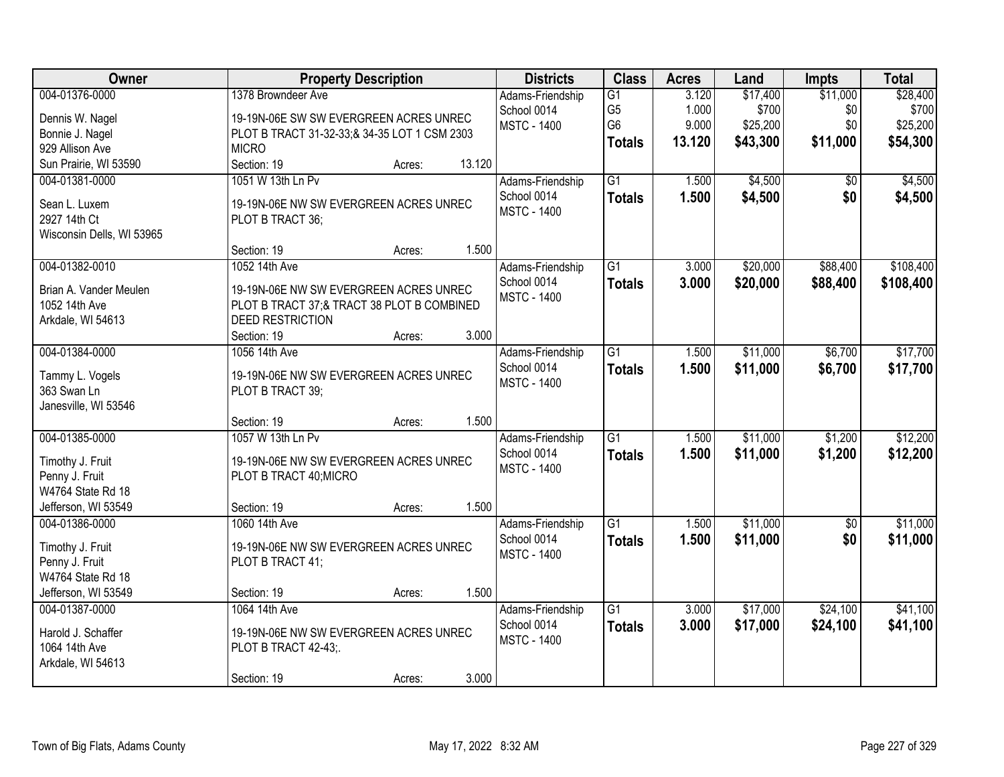| Owner                     |                                              | <b>Property Description</b> |        | <b>Districts</b>   | <b>Class</b>    | <b>Acres</b> | Land     | <b>Impts</b> | <b>Total</b> |
|---------------------------|----------------------------------------------|-----------------------------|--------|--------------------|-----------------|--------------|----------|--------------|--------------|
| 004-01376-0000            | 1378 Browndeer Ave                           |                             |        | Adams-Friendship   | G1              | 3.120        | \$17,400 | \$11,000     | \$28,400     |
| Dennis W. Nagel           | 19-19N-06E SW SW EVERGREEN ACRES UNREC       |                             |        | School 0014        | G <sub>5</sub>  | 1.000        | \$700    | \$0          | \$700        |
| Bonnie J. Nagel           | PLOT B TRACT 31-32-33;& 34-35 LOT 1 CSM 2303 |                             |        | <b>MSTC - 1400</b> | G <sub>6</sub>  | 9.000        | \$25,200 | \$0          | \$25,200     |
| 929 Allison Ave           | <b>MICRO</b>                                 |                             |        |                    | <b>Totals</b>   | 13.120       | \$43,300 | \$11,000     | \$54,300     |
| Sun Prairie, WI 53590     | Section: 19                                  | Acres:                      | 13.120 |                    |                 |              |          |              |              |
| 004-01381-0000            | 1051 W 13th Ln Pv                            |                             |        | Adams-Friendship   | $\overline{G1}$ | 1.500        | \$4,500  | \$0          | \$4,500      |
| Sean L. Luxem             | 19-19N-06E NW SW EVERGREEN ACRES UNREC       |                             |        | School 0014        | <b>Totals</b>   | 1.500        | \$4,500  | \$0          | \$4,500      |
| 2927 14th Ct              | PLOT B TRACT 36;                             |                             |        | <b>MSTC - 1400</b> |                 |              |          |              |              |
| Wisconsin Dells, WI 53965 |                                              |                             |        |                    |                 |              |          |              |              |
|                           | Section: 19                                  | Acres:                      | 1.500  |                    |                 |              |          |              |              |
| 004-01382-0010            | 1052 14th Ave                                |                             |        | Adams-Friendship   | $\overline{G1}$ | 3.000        | \$20,000 | \$88,400     | \$108,400    |
| Brian A. Vander Meulen    | 19-19N-06E NW SW EVERGREEN ACRES UNREC       |                             |        | School 0014        | <b>Totals</b>   | 3.000        | \$20,000 | \$88,400     | \$108,400    |
| 1052 14th Ave             | PLOT B TRACT 37;& TRACT 38 PLOT B COMBINED   |                             |        | <b>MSTC - 1400</b> |                 |              |          |              |              |
| Arkdale, WI 54613         | <b>DEED RESTRICTION</b>                      |                             |        |                    |                 |              |          |              |              |
|                           | Section: 19                                  | Acres:                      | 3.000  |                    |                 |              |          |              |              |
| 004-01384-0000            | 1056 14th Ave                                |                             |        | Adams-Friendship   | $\overline{G1}$ | 1.500        | \$11,000 | \$6,700      | \$17,700     |
|                           |                                              |                             |        | School 0014        | <b>Totals</b>   | 1.500        | \$11,000 | \$6,700      | \$17,700     |
| Tammy L. Vogels           | 19-19N-06E NW SW EVERGREEN ACRES UNREC       |                             |        | <b>MSTC - 1400</b> |                 |              |          |              |              |
| 363 Swan Ln               | PLOT B TRACT 39;                             |                             |        |                    |                 |              |          |              |              |
| Janesville, WI 53546      | Section: 19                                  |                             | 1.500  |                    |                 |              |          |              |              |
| 004-01385-0000            | 1057 W 13th Ln Pv                            | Acres:                      |        | Adams-Friendship   | $\overline{G1}$ | 1.500        | \$11,000 | \$1,200      | \$12,200     |
|                           |                                              |                             |        | School 0014        |                 | 1.500        | \$11,000 | \$1,200      | \$12,200     |
| Timothy J. Fruit          | 19-19N-06E NW SW EVERGREEN ACRES UNREC       |                             |        | <b>MSTC - 1400</b> | <b>Totals</b>   |              |          |              |              |
| Penny J. Fruit            | PLOT B TRACT 40; MICRO                       |                             |        |                    |                 |              |          |              |              |
| W4764 State Rd 18         |                                              |                             |        |                    |                 |              |          |              |              |
| Jefferson, WI 53549       | Section: 19                                  | Acres:                      | 1.500  |                    |                 |              |          |              |              |
| 004-01386-0000            | 1060 14th Ave                                |                             |        | Adams-Friendship   | G1              | 1.500        | \$11,000 | $\sqrt{6}$   | \$11,000     |
| Timothy J. Fruit          | 19-19N-06E NW SW EVERGREEN ACRES UNREC       |                             |        | School 0014        | <b>Totals</b>   | 1.500        | \$11,000 | \$0          | \$11,000     |
| Penny J. Fruit            | PLOT B TRACT 41;                             |                             |        | <b>MSTC - 1400</b> |                 |              |          |              |              |
| W4764 State Rd 18         |                                              |                             |        |                    |                 |              |          |              |              |
| Jefferson, WI 53549       | Section: 19                                  | Acres:                      | 1.500  |                    |                 |              |          |              |              |
| 004-01387-0000            | 1064 14th Ave                                |                             |        | Adams-Friendship   | $\overline{G1}$ | 3.000        | \$17,000 | \$24,100     | \$41,100     |
| Harold J. Schaffer        | 19-19N-06E NW SW EVERGREEN ACRES UNREC       |                             |        | School 0014        | <b>Totals</b>   | 3.000        | \$17,000 | \$24,100     | \$41,100     |
| 1064 14th Ave             | PLOT B TRACT 42-43;                          |                             |        | <b>MSTC - 1400</b> |                 |              |          |              |              |
| Arkdale, WI 54613         |                                              |                             |        |                    |                 |              |          |              |              |
|                           | Section: 19                                  | Acres:                      | 3.000  |                    |                 |              |          |              |              |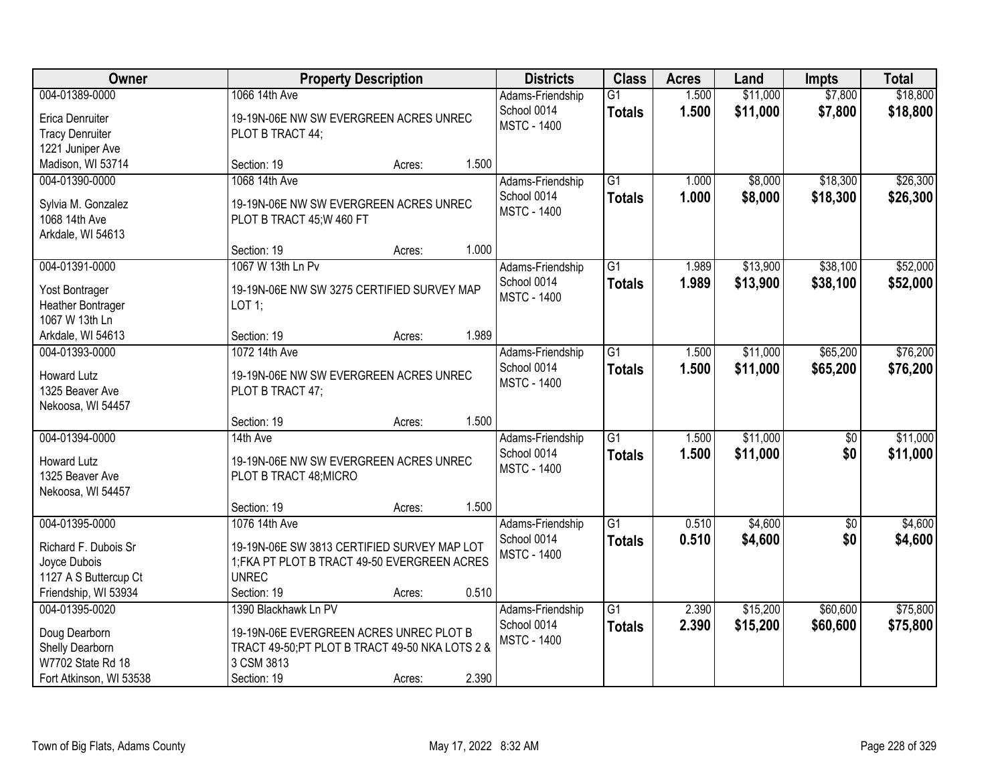| <b>Owner</b>                                                                                       |                                                                                                                                                 | <b>Property Description</b> |       | <b>Districts</b>                                      | <b>Class</b>                     | <b>Acres</b>   | Land                 | <b>Impts</b>         | <b>Total</b>         |
|----------------------------------------------------------------------------------------------------|-------------------------------------------------------------------------------------------------------------------------------------------------|-----------------------------|-------|-------------------------------------------------------|----------------------------------|----------------|----------------------|----------------------|----------------------|
| 004-01389-0000<br>Erica Denruiter<br><b>Tracy Denruiter</b>                                        | 1066 14th Ave<br>19-19N-06E NW SW EVERGREEN ACRES UNREC<br>PLOT B TRACT 44;                                                                     |                             |       | Adams-Friendship<br>School 0014<br><b>MSTC - 1400</b> | $\overline{G1}$<br><b>Totals</b> | 1.500<br>1.500 | \$11,000<br>\$11,000 | \$7,800<br>\$7,800   | \$18,800<br>\$18,800 |
| 1221 Juniper Ave<br>Madison, WI 53714                                                              | Section: 19                                                                                                                                     | Acres:                      | 1.500 |                                                       |                                  |                |                      |                      |                      |
| 004-01390-0000<br>Sylvia M. Gonzalez<br>1068 14th Ave<br>Arkdale, WI 54613                         | 1068 14th Ave<br>19-19N-06E NW SW EVERGREEN ACRES UNREC<br>PLOT B TRACT 45; W 460 FT                                                            |                             |       | Adams-Friendship<br>School 0014<br><b>MSTC - 1400</b> | $\overline{G1}$<br><b>Totals</b> | 1.000<br>1.000 | \$8,000<br>\$8,000   | \$18,300<br>\$18,300 | \$26,300<br>\$26,300 |
|                                                                                                    | Section: 19                                                                                                                                     | Acres:                      | 1.000 |                                                       |                                  |                |                      |                      |                      |
| 004-01391-0000<br>Yost Bontrager<br>Heather Bontrager<br>1067 W 13th Ln                            | 1067 W 13th Ln Pv<br>19-19N-06E NW SW 3275 CERTIFIED SURVEY MAP<br>$LOT$ 1;                                                                     |                             |       | Adams-Friendship<br>School 0014<br><b>MSTC - 1400</b> | $\overline{G1}$<br><b>Totals</b> | 1.989<br>1.989 | \$13,900<br>\$13,900 | \$38,100<br>\$38,100 | \$52,000<br>\$52,000 |
| Arkdale, WI 54613                                                                                  | Section: 19                                                                                                                                     | Acres:                      | 1.989 |                                                       |                                  |                |                      |                      |                      |
| 004-01393-0000<br><b>Howard Lutz</b><br>1325 Beaver Ave<br>Nekoosa, WI 54457                       | 1072 14th Ave<br>19-19N-06E NW SW EVERGREEN ACRES UNREC<br>PLOT B TRACT 47;                                                                     |                             |       | Adams-Friendship<br>School 0014<br><b>MSTC - 1400</b> | $\overline{G1}$<br><b>Totals</b> | 1.500<br>1.500 | \$11,000<br>\$11,000 | \$65,200<br>\$65,200 | \$76,200<br>\$76,200 |
|                                                                                                    | Section: 19                                                                                                                                     | Acres:                      | 1.500 |                                                       |                                  |                |                      |                      |                      |
| 004-01394-0000<br><b>Howard Lutz</b><br>1325 Beaver Ave<br>Nekoosa, WI 54457                       | 14th Ave<br>19-19N-06E NW SW EVERGREEN ACRES UNREC<br>PLOT B TRACT 48; MICRO                                                                    |                             |       | Adams-Friendship<br>School 0014<br><b>MSTC - 1400</b> | $\overline{G1}$<br><b>Totals</b> | 1.500<br>1.500 | \$11,000<br>\$11,000 | \$0<br>\$0           | \$11,000<br>\$11,000 |
|                                                                                                    | Section: 19                                                                                                                                     | Acres:                      | 1.500 |                                                       |                                  |                |                      |                      |                      |
| 004-01395-0000<br>Richard F. Dubois Sr<br>Joyce Dubois<br>1127 A S Buttercup Ct                    | 1076 14th Ave<br>19-19N-06E SW 3813 CERTIFIED SURVEY MAP LOT<br>1: FKA PT PLOT B TRACT 49-50 EVERGREEN ACRES<br><b>UNREC</b>                    |                             |       | Adams-Friendship<br>School 0014<br><b>MSTC - 1400</b> | $\overline{G1}$<br><b>Totals</b> | 0.510<br>0.510 | \$4,600<br>\$4,600   | $\sqrt{6}$<br>\$0    | \$4,600<br>\$4,600   |
| Friendship, WI 53934                                                                               | Section: 19                                                                                                                                     | Acres:                      | 0.510 |                                                       |                                  |                |                      |                      |                      |
| 004-01395-0020<br>Doug Dearborn<br>Shelly Dearborn<br>W7702 State Rd 18<br>Fort Atkinson, WI 53538 | 1390 Blackhawk Ln PV<br>19-19N-06E EVERGREEN ACRES UNREC PLOT B<br>TRACT 49-50; PT PLOT B TRACT 49-50 NKA LOTS 2 &<br>3 CSM 3813<br>Section: 19 | Acres:                      | 2.390 | Adams-Friendship<br>School 0014<br><b>MSTC - 1400</b> | $\overline{G1}$<br><b>Totals</b> | 2.390<br>2.390 | \$15,200<br>\$15,200 | \$60,600<br>\$60,600 | \$75,800<br>\$75,800 |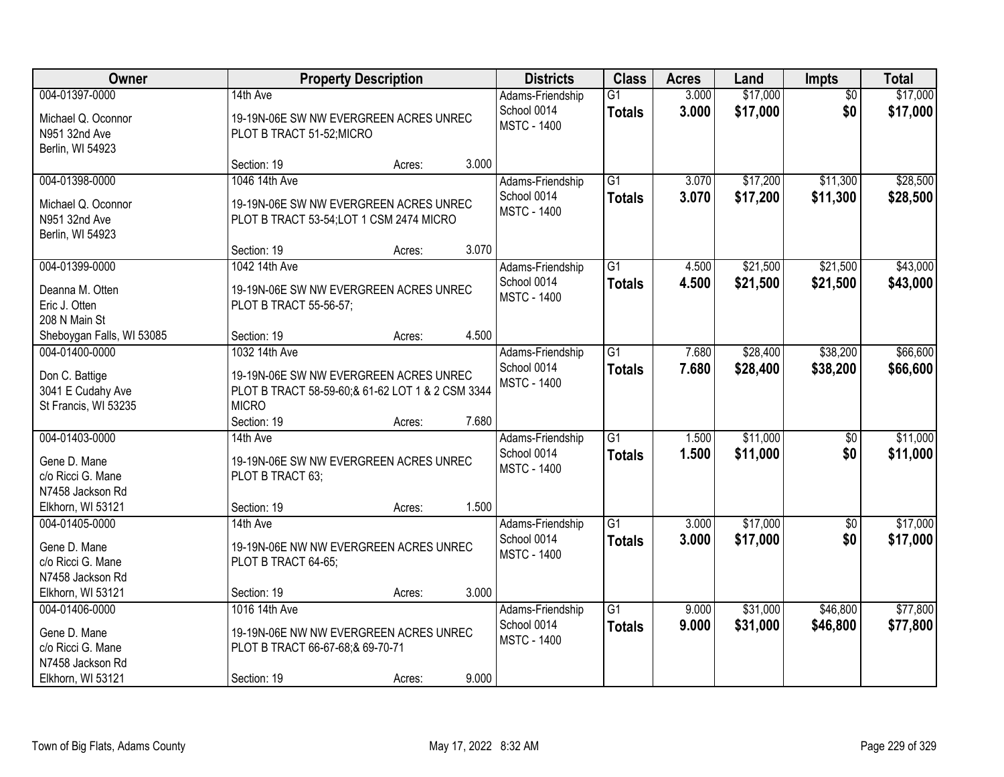| Owner                                                                                        |                                                                                                                             | <b>Property Description</b> |       | <b>Districts</b>                                      | <b>Class</b>                     | <b>Acres</b>   | Land                 | <b>Impts</b>           | <b>Total</b>         |
|----------------------------------------------------------------------------------------------|-----------------------------------------------------------------------------------------------------------------------------|-----------------------------|-------|-------------------------------------------------------|----------------------------------|----------------|----------------------|------------------------|----------------------|
| 004-01397-0000<br>Michael Q. Oconnor<br>N951 32nd Ave<br>Berlin, WI 54923                    | 14th Ave<br>19-19N-06E SW NW EVERGREEN ACRES UNREC<br>PLOT B TRACT 51-52; MICRO                                             |                             |       | Adams-Friendship<br>School 0014<br><b>MSTC - 1400</b> | $\overline{G1}$<br><b>Totals</b> | 3.000<br>3.000 | \$17,000<br>\$17,000 | $\overline{50}$<br>\$0 | \$17,000<br>\$17,000 |
|                                                                                              | Section: 19                                                                                                                 | Acres:                      | 3.000 |                                                       |                                  |                |                      |                        |                      |
| 004-01398-0000<br>Michael Q. Oconnor<br>N951 32nd Ave<br>Berlin, WI 54923                    | 1046 14th Ave<br>19-19N-06E SW NW EVERGREEN ACRES UNREC<br>PLOT B TRACT 53-54; LOT 1 CSM 2474 MICRO                         |                             |       | Adams-Friendship<br>School 0014<br><b>MSTC - 1400</b> | $\overline{G1}$<br><b>Totals</b> | 3.070<br>3.070 | \$17,200<br>\$17,200 | \$11,300<br>\$11,300   | \$28,500<br>\$28,500 |
|                                                                                              | Section: 19                                                                                                                 | Acres:                      | 3.070 |                                                       |                                  |                |                      |                        |                      |
| 004-01399-0000<br>Deanna M. Otten<br>Eric J. Otten<br>208 N Main St                          | 1042 14th Ave<br>19-19N-06E SW NW EVERGREEN ACRES UNREC<br>PLOT B TRACT 55-56-57;                                           |                             |       | Adams-Friendship<br>School 0014<br><b>MSTC - 1400</b> | $\overline{G1}$<br><b>Totals</b> | 4.500<br>4.500 | \$21,500<br>\$21,500 | \$21,500<br>\$21,500   | \$43,000<br>\$43,000 |
| Sheboygan Falls, WI 53085                                                                    | Section: 19                                                                                                                 | Acres:                      | 4.500 |                                                       |                                  |                |                      |                        |                      |
| 004-01400-0000<br>Don C. Battige<br>3041 E Cudahy Ave<br>St Francis, WI 53235                | 1032 14th Ave<br>19-19N-06E SW NW EVERGREEN ACRES UNREC<br>PLOT B TRACT 58-59-60;& 61-62 LOT 1 & 2 CSM 3344<br><b>MICRO</b> |                             |       | Adams-Friendship<br>School 0014<br><b>MSTC - 1400</b> | $\overline{G1}$<br><b>Totals</b> | 7.680<br>7.680 | \$28,400<br>\$28,400 | \$38,200<br>\$38,200   | \$66,600<br>\$66,600 |
|                                                                                              | Section: 19                                                                                                                 | Acres:                      | 7.680 |                                                       |                                  |                |                      |                        |                      |
| 004-01403-0000<br>Gene D. Mane<br>c/o Ricci G. Mane<br>N7458 Jackson Rd<br>Elkhorn, WI 53121 | 14th Ave<br>19-19N-06E SW NW EVERGREEN ACRES UNREC<br>PLOT B TRACT 63;<br>Section: 19                                       |                             | 1.500 | Adams-Friendship<br>School 0014<br><b>MSTC - 1400</b> | $\overline{G1}$<br><b>Totals</b> | 1.500<br>1.500 | \$11,000<br>\$11,000 | $\overline{60}$<br>\$0 | \$11,000<br>\$11,000 |
| 004-01405-0000                                                                               | 14th Ave                                                                                                                    | Acres:                      |       | Adams-Friendship                                      | $\overline{G1}$                  | 3.000          | \$17,000             | \$0                    | \$17,000             |
| Gene D. Mane<br>c/o Ricci G. Mane<br>N7458 Jackson Rd                                        | 19-19N-06E NW NW EVERGREEN ACRES UNREC<br>PLOT B TRACT 64-65;                                                               |                             |       | School 0014<br><b>MSTC - 1400</b>                     | <b>Totals</b>                    | 3.000          | \$17,000             | \$0                    | \$17,000             |
| Elkhorn, WI 53121                                                                            | Section: 19                                                                                                                 | Acres:                      | 3.000 |                                                       |                                  |                |                      |                        |                      |
| 004-01406-0000<br>Gene D. Mane<br>c/o Ricci G. Mane<br>N7458 Jackson Rd<br>Elkhorn, WI 53121 | 1016 14th Ave<br>19-19N-06E NW NW EVERGREEN ACRES UNREC<br>PLOT B TRACT 66-67-68;& 69-70-71<br>Section: 19                  | Acres:                      | 9.000 | Adams-Friendship<br>School 0014<br><b>MSTC - 1400</b> | $\overline{G1}$<br><b>Totals</b> | 9.000<br>9.000 | \$31,000<br>\$31,000 | \$46,800<br>\$46,800   | \$77,800<br>\$77,800 |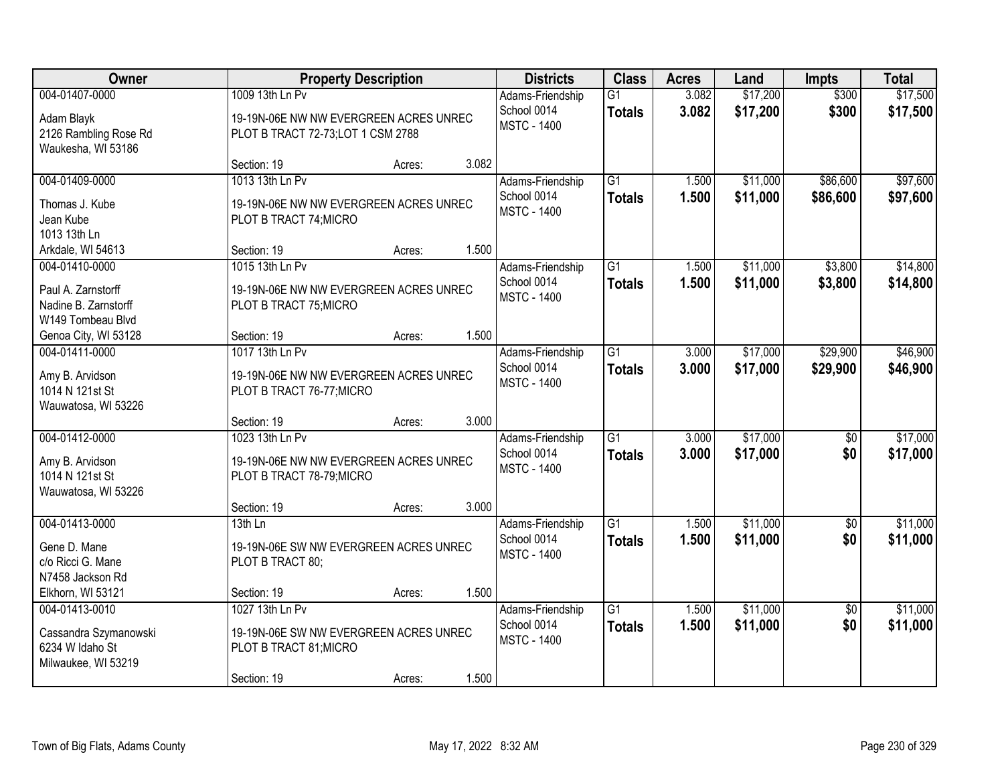| Owner                                                           |                                                                                     | <b>Property Description</b> |       | <b>Districts</b>                                      | <b>Class</b>                     | <b>Acres</b>   | Land                 | <b>Impts</b>           | <b>Total</b>         |
|-----------------------------------------------------------------|-------------------------------------------------------------------------------------|-----------------------------|-------|-------------------------------------------------------|----------------------------------|----------------|----------------------|------------------------|----------------------|
| 004-01407-0000                                                  | 1009 13th Ln Pv                                                                     |                             |       | Adams-Friendship                                      | $\overline{G1}$                  | 3.082          | \$17,200             | \$300                  | \$17,500             |
| Adam Blayk<br>2126 Rambling Rose Rd<br>Waukesha, WI 53186       | 19-19N-06E NW NW EVERGREEN ACRES UNREC<br>PLOT B TRACT 72-73; LOT 1 CSM 2788        |                             |       | School 0014<br><b>MSTC - 1400</b>                     | <b>Totals</b>                    | 3.082          | \$17,200             | \$300                  | \$17,500             |
|                                                                 | Section: 19                                                                         | Acres:                      | 3.082 |                                                       |                                  |                |                      |                        |                      |
| 004-01409-0000                                                  | 1013 13th Ln Pv                                                                     |                             |       | Adams-Friendship                                      | $\overline{G1}$                  | 1.500          | \$11,000             | \$86,600               | \$97,600             |
| Thomas J. Kube<br>Jean Kube<br>1013 13th Ln                     | 19-19N-06E NW NW EVERGREEN ACRES UNREC<br>PLOT B TRACT 74; MICRO                    |                             |       | School 0014<br><b>MSTC - 1400</b>                     | <b>Totals</b>                    | 1.500          | \$11,000             | \$86,600               | \$97,600             |
| Arkdale, WI 54613                                               | Section: 19                                                                         | Acres:                      | 1.500 |                                                       |                                  |                |                      |                        |                      |
| 004-01410-0000                                                  | 1015 13th Ln Pv                                                                     |                             |       | Adams-Friendship                                      | G1                               | 1.500          | \$11,000             | \$3,800                | \$14,800             |
| Paul A. Zarnstorff<br>Nadine B. Zarnstorff<br>W149 Tombeau Blvd | 19-19N-06E NW NW EVERGREEN ACRES UNREC<br>PLOT B TRACT 75; MICRO                    |                             |       | School 0014<br><b>MSTC - 1400</b>                     | <b>Totals</b>                    | 1.500          | \$11,000             | \$3,800                | \$14,800             |
| Genoa City, WI 53128                                            | Section: 19                                                                         | Acres:                      | 1.500 |                                                       |                                  |                |                      |                        |                      |
| 004-01411-0000                                                  | 1017 13th Ln Pv                                                                     |                             |       | Adams-Friendship                                      | $\overline{G1}$                  | 3.000          | \$17,000             | \$29,900               | \$46,900             |
| Amy B. Arvidson<br>1014 N 121st St<br>Wauwatosa, WI 53226       | 19-19N-06E NW NW EVERGREEN ACRES UNREC<br>PLOT B TRACT 76-77; MICRO                 |                             |       | School 0014<br><b>MSTC - 1400</b>                     | <b>Totals</b>                    | 3.000          | \$17,000             | \$29,900               | \$46,900             |
|                                                                 | Section: 19                                                                         | Acres:                      | 3.000 |                                                       |                                  |                |                      |                        |                      |
| 004-01412-0000                                                  | 1023 13th Ln Pv                                                                     |                             |       | Adams-Friendship<br>School 0014                       | $\overline{G1}$<br><b>Totals</b> | 3.000<br>3.000 | \$17,000<br>\$17,000 | \$0<br>\$0             | \$17,000<br>\$17,000 |
| Amy B. Arvidson<br>1014 N 121st St<br>Wauwatosa, WI 53226       | 19-19N-06E NW NW EVERGREEN ACRES UNREC<br>PLOT B TRACT 78-79; MICRO                 |                             |       | <b>MSTC - 1400</b>                                    |                                  |                |                      |                        |                      |
|                                                                 | Section: 19                                                                         | Acres:                      | 3.000 |                                                       |                                  |                |                      |                        |                      |
| 004-01413-0000                                                  | 13th Ln                                                                             |                             |       | Adams-Friendship                                      | $\overline{G1}$                  | 1.500          | \$11,000             | \$0                    | \$11,000             |
| Gene D. Mane<br>c/o Ricci G. Mane<br>N7458 Jackson Rd           | 19-19N-06E SW NW EVERGREEN ACRES UNREC<br>PLOT B TRACT 80;                          |                             |       | School 0014<br><b>MSTC - 1400</b>                     | <b>Totals</b>                    | 1.500          | \$11,000             | \$0                    | \$11,000             |
| Elkhorn, WI 53121                                               | Section: 19                                                                         | Acres:                      | 1.500 |                                                       |                                  |                |                      |                        |                      |
| 004-01413-0010<br>Cassandra Szymanowski<br>6234 W Idaho St      | 1027 13th Ln Pv<br>19-19N-06E SW NW EVERGREEN ACRES UNREC<br>PLOT B TRACT 81; MICRO |                             |       | Adams-Friendship<br>School 0014<br><b>MSTC - 1400</b> | $\overline{G1}$<br><b>Totals</b> | 1.500<br>1.500 | \$11,000<br>\$11,000 | $\overline{30}$<br>\$0 | \$11,000<br>\$11,000 |
| Milwaukee, WI 53219                                             | Section: 19                                                                         | Acres:                      | 1.500 |                                                       |                                  |                |                      |                        |                      |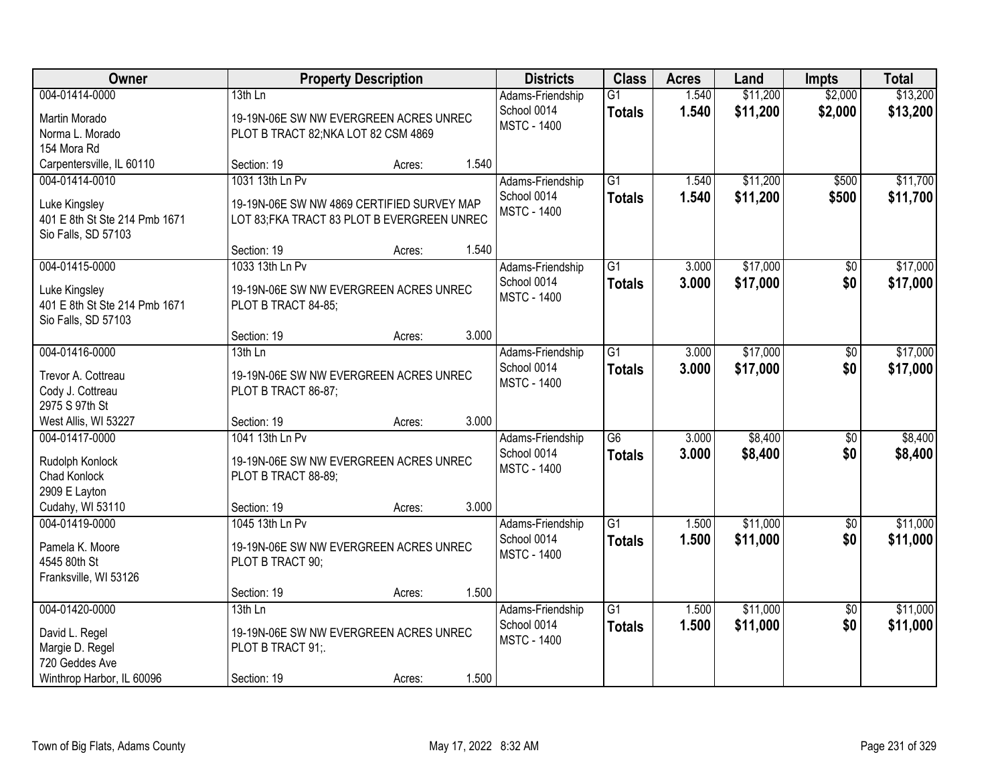| Owner                              |                                             | <b>Property Description</b> |       | <b>Districts</b>                | <b>Class</b>                     | <b>Acres</b>   | Land                 | <b>Impts</b>       | <b>Total</b>         |
|------------------------------------|---------------------------------------------|-----------------------------|-------|---------------------------------|----------------------------------|----------------|----------------------|--------------------|----------------------|
| 004-01414-0000                     | 13th Ln                                     |                             |       | Adams-Friendship<br>School 0014 | $\overline{G1}$<br><b>Totals</b> | 1.540<br>1.540 | \$11,200<br>\$11,200 | \$2,000<br>\$2,000 | \$13,200<br>\$13,200 |
| Martin Morado                      | 19-19N-06E SW NW EVERGREEN ACRES UNREC      |                             |       | <b>MSTC - 1400</b>              |                                  |                |                      |                    |                      |
| Norma L. Morado                    | PLOT B TRACT 82; NKA LOT 82 CSM 4869        |                             |       |                                 |                                  |                |                      |                    |                      |
| 154 Mora Rd                        |                                             |                             |       |                                 |                                  |                |                      |                    |                      |
| Carpentersville, IL 60110          | Section: 19                                 | Acres:                      | 1.540 |                                 |                                  |                |                      |                    |                      |
| 004-01414-0010                     | 1031 13th Ln Pv                             |                             |       | Adams-Friendship                | $\overline{G1}$                  | 1.540          | \$11,200             | \$500              | \$11,700             |
| Luke Kingsley                      | 19-19N-06E SW NW 4869 CERTIFIED SURVEY MAP  |                             |       | School 0014                     | <b>Totals</b>                    | 1.540          | \$11,200             | \$500              | \$11,700             |
| 401 E 8th St Ste 214 Pmb 1671      | LOT 83; FKA TRACT 83 PLOT B EVERGREEN UNREC |                             |       | <b>MSTC - 1400</b>              |                                  |                |                      |                    |                      |
| Sio Falls, SD 57103                |                                             |                             |       |                                 |                                  |                |                      |                    |                      |
|                                    | Section: 19                                 | Acres:                      | 1.540 |                                 |                                  |                |                      |                    |                      |
| 004-01415-0000                     | 1033 13th Ln Pv                             |                             |       | Adams-Friendship                | $\overline{G1}$                  | 3.000          | \$17,000             | $\overline{50}$    | \$17,000             |
| Luke Kingsley                      | 19-19N-06E SW NW EVERGREEN ACRES UNREC      |                             |       | School 0014                     | <b>Totals</b>                    | 3.000          | \$17,000             | \$0                | \$17,000             |
| 401 E 8th St Ste 214 Pmb 1671      | PLOT B TRACT 84-85;                         |                             |       | <b>MSTC - 1400</b>              |                                  |                |                      |                    |                      |
| Sio Falls, SD 57103                |                                             |                             |       |                                 |                                  |                |                      |                    |                      |
|                                    | Section: 19                                 | Acres:                      | 3.000 |                                 |                                  |                |                      |                    |                      |
| 004-01416-0000                     | $13th$ Ln                                   |                             |       | Adams-Friendship                | $\overline{G1}$                  | 3.000          | \$17,000             | \$0                | \$17,000             |
|                                    |                                             |                             |       | School 0014                     | <b>Totals</b>                    | 3.000          | \$17,000             | \$0                | \$17,000             |
| Trevor A. Cottreau                 | 19-19N-06E SW NW EVERGREEN ACRES UNREC      |                             |       | <b>MSTC - 1400</b>              |                                  |                |                      |                    |                      |
| Cody J. Cottreau<br>2975 S 97th St | PLOT B TRACT 86-87;                         |                             |       |                                 |                                  |                |                      |                    |                      |
| West Allis, WI 53227               | Section: 19                                 | Acres:                      | 3.000 |                                 |                                  |                |                      |                    |                      |
| 004-01417-0000                     | 1041 13th Ln Pv                             |                             |       | Adams-Friendship                | $\overline{G6}$                  | 3.000          | \$8,400              | $\overline{50}$    | \$8,400              |
|                                    |                                             |                             |       | School 0014                     | <b>Totals</b>                    | 3.000          | \$8,400              | \$0                | \$8,400              |
| Rudolph Konlock                    | 19-19N-06E SW NW EVERGREEN ACRES UNREC      |                             |       | <b>MSTC - 1400</b>              |                                  |                |                      |                    |                      |
| <b>Chad Konlock</b>                | PLOT B TRACT 88-89;                         |                             |       |                                 |                                  |                |                      |                    |                      |
| 2909 E Layton                      |                                             |                             |       |                                 |                                  |                |                      |                    |                      |
| Cudahy, WI 53110                   | Section: 19                                 | Acres:                      | 3.000 |                                 |                                  |                |                      |                    |                      |
| 004-01419-0000                     | 1045 13th Ln Pv                             |                             |       | Adams-Friendship                | G1                               | 1.500          | \$11,000             | $\sqrt{6}$         | \$11,000             |
| Pamela K. Moore                    | 19-19N-06E SW NW EVERGREEN ACRES UNREC      |                             |       | School 0014                     | <b>Totals</b>                    | 1.500          | \$11,000             | \$0                | \$11,000             |
| 4545 80th St                       | PLOT B TRACT 90;                            |                             |       | <b>MSTC - 1400</b>              |                                  |                |                      |                    |                      |
| Franksville, WI 53126              |                                             |                             |       |                                 |                                  |                |                      |                    |                      |
|                                    | Section: 19                                 | Acres:                      | 1.500 |                                 |                                  |                |                      |                    |                      |
| 004-01420-0000                     | $13th$ Ln                                   |                             |       | Adams-Friendship                | $\overline{G1}$                  | 1.500          | \$11,000             | $\overline{50}$    | \$11,000             |
| David L. Regel                     | 19-19N-06E SW NW EVERGREEN ACRES UNREC      |                             |       | School 0014                     | <b>Totals</b>                    | 1.500          | \$11,000             | \$0                | \$11,000             |
| Margie D. Regel                    | PLOT B TRACT 91;                            |                             |       | <b>MSTC - 1400</b>              |                                  |                |                      |                    |                      |
| 720 Geddes Ave                     |                                             |                             |       |                                 |                                  |                |                      |                    |                      |
| Winthrop Harbor, IL 60096          | Section: 19                                 | Acres:                      | 1.500 |                                 |                                  |                |                      |                    |                      |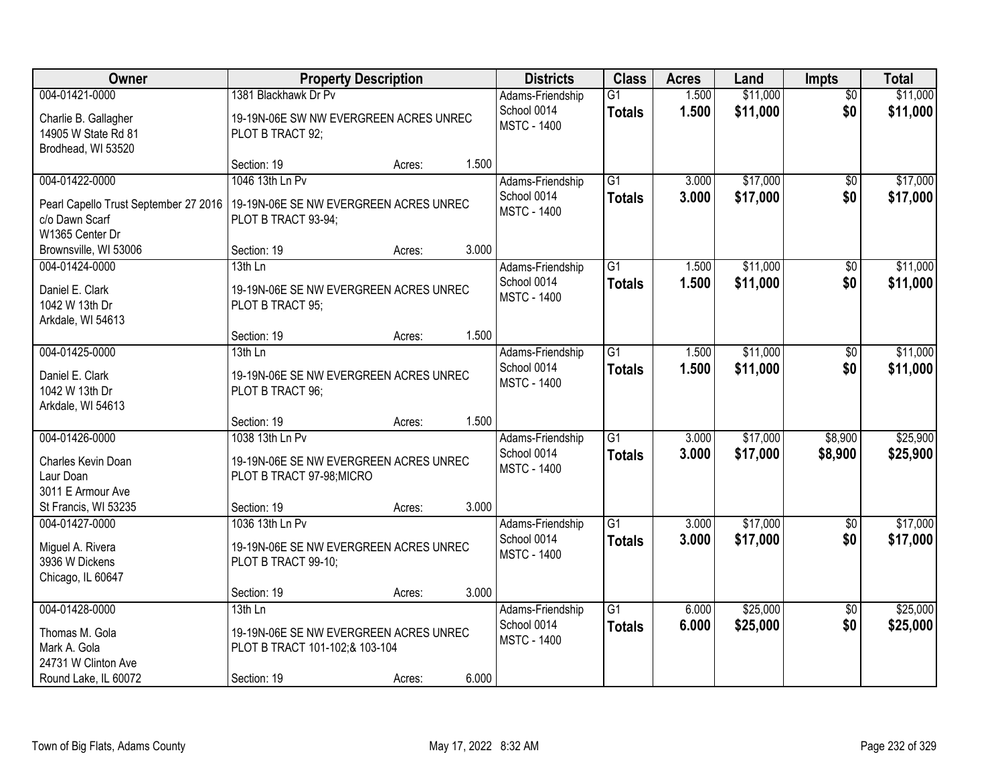| <b>Owner</b>                                                                                    |                                                                                                       | <b>Property Description</b> |       | <b>Districts</b>                                      | <b>Class</b>                     | <b>Acres</b>   | Land                 | <b>Impts</b>           | <b>Total</b>         |
|-------------------------------------------------------------------------------------------------|-------------------------------------------------------------------------------------------------------|-----------------------------|-------|-------------------------------------------------------|----------------------------------|----------------|----------------------|------------------------|----------------------|
| 004-01421-0000<br>Charlie B. Gallagher<br>14905 W State Rd 81<br>Brodhead, WI 53520             | 1381 Blackhawk Dr Pv<br>19-19N-06E SW NW EVERGREEN ACRES UNREC<br>PLOT B TRACT 92;                    |                             |       | Adams-Friendship<br>School 0014<br><b>MSTC - 1400</b> | $\overline{G1}$<br><b>Totals</b> | 1.500<br>1.500 | \$11,000<br>\$11,000 | $\overline{50}$<br>\$0 | \$11,000<br>\$11,000 |
|                                                                                                 | Section: 19                                                                                           | Acres:                      | 1.500 |                                                       |                                  |                |                      |                        |                      |
| 004-01422-0000<br>Pearl Capello Trust September 27 2016<br>c/o Dawn Scarf<br>W1365 Center Dr    | 1046 13th Ln Pv<br>19-19N-06E SE NW EVERGREEN ACRES UNREC<br>PLOT B TRACT 93-94;                      |                             |       | Adams-Friendship<br>School 0014<br><b>MSTC - 1400</b> | $\overline{G1}$<br><b>Totals</b> | 3.000<br>3.000 | \$17,000<br>\$17,000 | \$0<br>\$0             | \$17,000<br>\$17,000 |
| Brownsville, WI 53006                                                                           | Section: 19                                                                                           | Acres:                      | 3.000 |                                                       |                                  |                |                      |                        |                      |
| 004-01424-0000<br>Daniel E. Clark<br>1042 W 13th Dr<br>Arkdale, WI 54613                        | 13th Ln<br>19-19N-06E SE NW EVERGREEN ACRES UNREC<br>PLOT B TRACT 95;                                 |                             |       | Adams-Friendship<br>School 0014<br><b>MSTC - 1400</b> | $\overline{G1}$<br><b>Totals</b> | 1.500<br>1.500 | \$11,000<br>\$11,000 | \$0<br>\$0             | \$11,000<br>\$11,000 |
|                                                                                                 | Section: 19                                                                                           | Acres:                      | 1.500 |                                                       |                                  |                |                      |                        |                      |
| 004-01425-0000<br>Daniel E. Clark<br>1042 W 13th Dr<br>Arkdale, WI 54613                        | 13th Ln<br>19-19N-06E SE NW EVERGREEN ACRES UNREC<br>PLOT B TRACT 96;                                 |                             |       | Adams-Friendship<br>School 0014<br><b>MSTC - 1400</b> | $\overline{G1}$<br><b>Totals</b> | 1.500<br>1.500 | \$11,000<br>\$11,000 | $\sqrt[6]{}$<br>\$0    | \$11,000<br>\$11,000 |
|                                                                                                 | Section: 19                                                                                           | Acres:                      | 1.500 |                                                       |                                  |                |                      |                        |                      |
| 004-01426-0000<br>Charles Kevin Doan<br>Laur Doan<br>3011 E Armour Ave<br>St Francis, WI 53235  | 1038 13th Ln Pv<br>19-19N-06E SE NW EVERGREEN ACRES UNREC<br>PLOT B TRACT 97-98; MICRO<br>Section: 19 | Acres:                      | 3.000 | Adams-Friendship<br>School 0014<br><b>MSTC - 1400</b> | $\overline{G1}$<br><b>Totals</b> | 3.000<br>3.000 | \$17,000<br>\$17,000 | \$8,900<br>\$8,900     | \$25,900<br>\$25,900 |
| 004-01427-0000<br>Miguel A. Rivera<br>3936 W Dickens<br>Chicago, IL 60647                       | 1036 13th Ln Pv<br>19-19N-06E SE NW EVERGREEN ACRES UNREC<br>PLOT B TRACT 99-10;<br>Section: 19       | Acres:                      | 3.000 | Adams-Friendship<br>School 0014<br><b>MSTC - 1400</b> | $\overline{G1}$<br><b>Totals</b> | 3.000<br>3.000 | \$17,000<br>\$17,000 | \$0<br>\$0             | \$17,000<br>\$17,000 |
| 004-01428-0000<br>Thomas M. Gola<br>Mark A. Gola<br>24731 W Clinton Ave<br>Round Lake, IL 60072 | $13th$ Ln<br>19-19N-06E SE NW EVERGREEN ACRES UNREC<br>PLOT B TRACT 101-102;& 103-104<br>Section: 19  | Acres:                      | 6.000 | Adams-Friendship<br>School 0014<br><b>MSTC - 1400</b> | $\overline{G1}$<br><b>Totals</b> | 6.000<br>6.000 | \$25,000<br>\$25,000 | $\overline{30}$<br>\$0 | \$25,000<br>\$25,000 |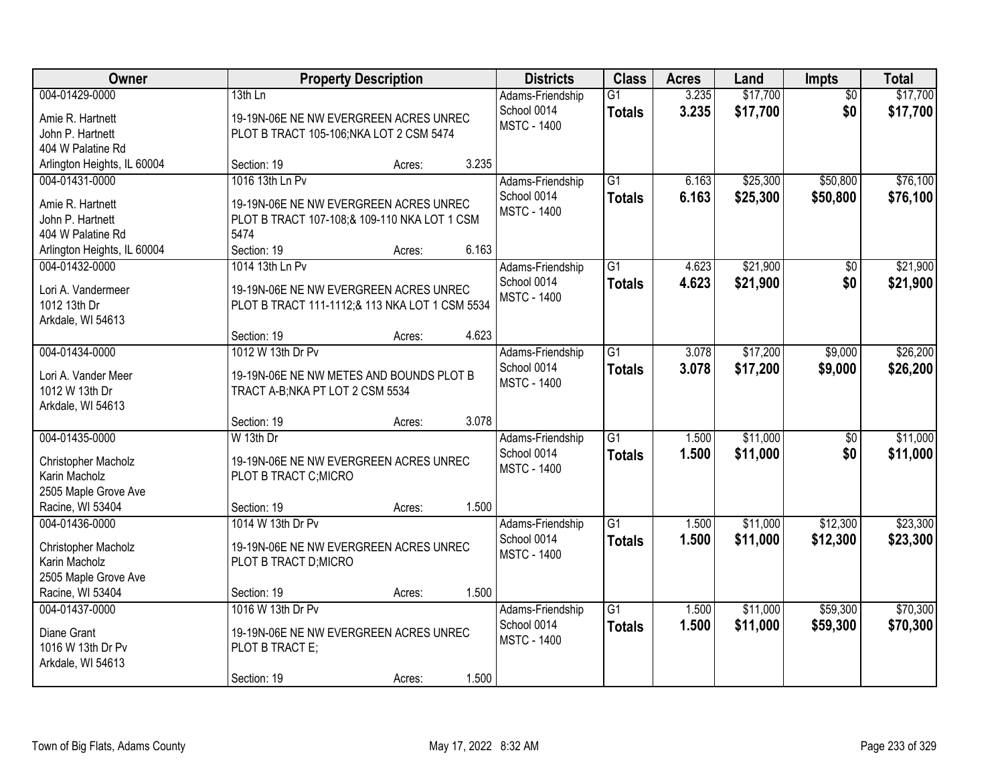| Owner                                                                                                      |                                                                                                                                  | <b>Property Description</b> |       | <b>Districts</b>                                      | <b>Class</b>                     | <b>Acres</b>   | Land                 | <b>Impts</b>           | <b>Total</b>         |
|------------------------------------------------------------------------------------------------------------|----------------------------------------------------------------------------------------------------------------------------------|-----------------------------|-------|-------------------------------------------------------|----------------------------------|----------------|----------------------|------------------------|----------------------|
| 004-01429-0000<br>Amie R. Hartnett<br>John P. Hartnett                                                     | 13th Ln<br>19-19N-06E NE NW EVERGREEN ACRES UNREC<br>PLOT B TRACT 105-106; NKA LOT 2 CSM 5474                                    |                             |       | Adams-Friendship<br>School 0014<br><b>MSTC - 1400</b> | $\overline{G1}$<br><b>Totals</b> | 3.235<br>3.235 | \$17,700<br>\$17,700 | $\overline{50}$<br>\$0 | \$17,700<br>\$17,700 |
| 404 W Palatine Rd                                                                                          |                                                                                                                                  |                             |       |                                                       |                                  |                |                      |                        |                      |
| Arlington Heights, IL 60004<br>004-01431-0000<br>Amie R. Hartnett<br>John P. Hartnett<br>404 W Palatine Rd | Section: 19<br>1016 13th Ln Pv<br>19-19N-06E NE NW EVERGREEN ACRES UNREC<br>PLOT B TRACT 107-108;& 109-110 NKA LOT 1 CSM<br>5474 | Acres:                      | 3.235 | Adams-Friendship<br>School 0014<br><b>MSTC - 1400</b> | $\overline{G1}$<br><b>Totals</b> | 6.163<br>6.163 | \$25,300<br>\$25,300 | \$50,800<br>\$50,800   | \$76,100<br>\$76,100 |
| Arlington Heights, IL 60004                                                                                | Section: 19                                                                                                                      | Acres:                      | 6.163 |                                                       |                                  |                |                      |                        |                      |
| 004-01432-0000<br>Lori A. Vandermeer<br>1012 13th Dr<br>Arkdale, WI 54613                                  | 1014 13th Ln Pv<br>19-19N-06E NE NW EVERGREEN ACRES UNREC<br>PLOT B TRACT 111-1112;& 113 NKA LOT 1 CSM 5534                      |                             |       | Adams-Friendship<br>School 0014<br><b>MSTC - 1400</b> | $\overline{G1}$<br><b>Totals</b> | 4.623<br>4.623 | \$21,900<br>\$21,900 | \$0<br>\$0             | \$21,900<br>\$21,900 |
|                                                                                                            | Section: 19                                                                                                                      | Acres:                      | 4.623 |                                                       |                                  |                |                      |                        |                      |
| 004-01434-0000<br>Lori A. Vander Meer<br>1012 W 13th Dr<br>Arkdale, WI 54613                               | 1012 W 13th Dr Pv<br>19-19N-06E NE NW METES AND BOUNDS PLOT B<br>TRACT A-B; NKA PT LOT 2 CSM 5534                                |                             |       | Adams-Friendship<br>School 0014<br><b>MSTC - 1400</b> | $\overline{G1}$<br><b>Totals</b> | 3.078<br>3.078 | \$17,200<br>\$17,200 | \$9,000<br>\$9,000     | \$26,200<br>\$26,200 |
|                                                                                                            | Section: 19                                                                                                                      | Acres:                      | 3.078 |                                                       |                                  |                |                      |                        |                      |
| 004-01435-0000<br>Christopher Macholz<br>Karin Macholz<br>2505 Maple Grove Ave<br>Racine, WI 53404         | W 13th Dr<br>19-19N-06E NE NW EVERGREEN ACRES UNREC<br>PLOT B TRACT C; MICRO<br>Section: 19                                      | Acres:                      | 1.500 | Adams-Friendship<br>School 0014<br><b>MSTC - 1400</b> | $\overline{G1}$<br>Totals        | 1.500<br>1.500 | \$11,000<br>\$11,000 | $\overline{50}$<br>\$0 | \$11,000<br>\$11,000 |
| 004-01436-0000<br>Christopher Macholz<br>Karin Macholz<br>2505 Maple Grove Ave<br>Racine, WI 53404         | 1014 W 13th Dr Pv<br>19-19N-06E NE NW EVERGREEN ACRES UNREC<br>PLOT B TRACT D; MICRO<br>Section: 19                              | Acres:                      | 1.500 | Adams-Friendship<br>School 0014<br><b>MSTC - 1400</b> | $\overline{G1}$<br><b>Totals</b> | 1.500<br>1.500 | \$11,000<br>\$11,000 | \$12,300<br>\$12,300   | \$23,300<br>\$23,300 |
| 004-01437-0000<br>Diane Grant<br>1016 W 13th Dr Pv<br>Arkdale, WI 54613                                    | 1016 W 13th Dr Pv<br>19-19N-06E NE NW EVERGREEN ACRES UNREC<br>PLOT B TRACT E;<br>Section: 19                                    | Acres:                      | 1.500 | Adams-Friendship<br>School 0014<br><b>MSTC - 1400</b> | $\overline{G1}$<br><b>Totals</b> | 1.500<br>1.500 | \$11,000<br>\$11,000 | \$59,300<br>\$59,300   | \$70,300<br>\$70,300 |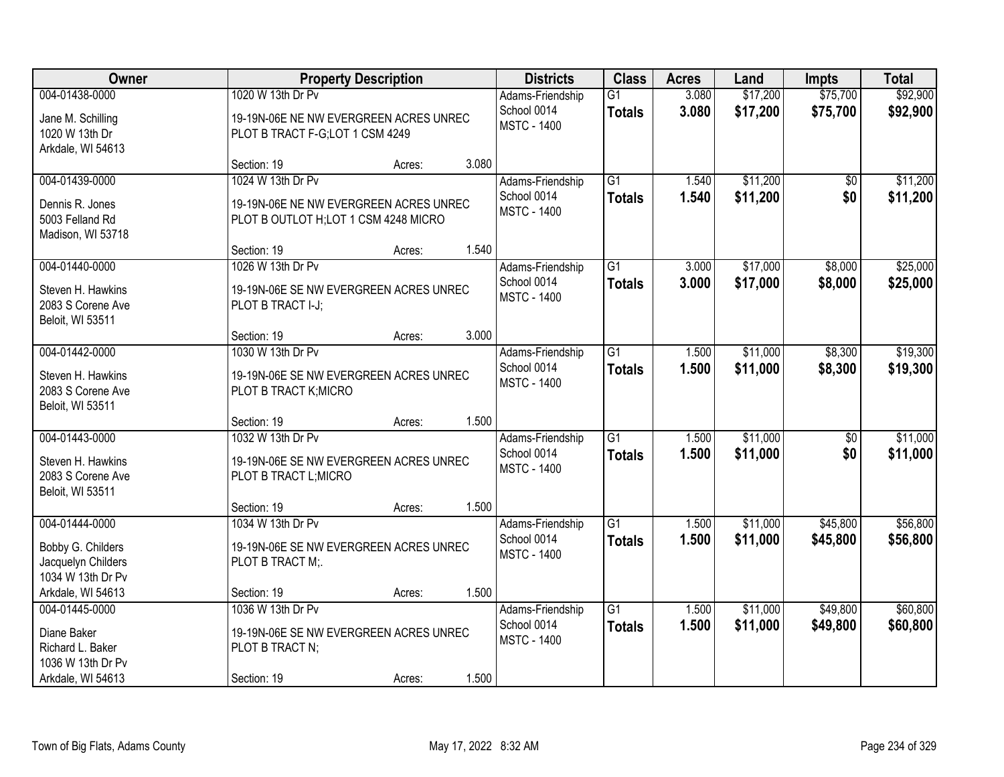| Owner                                                                                       |                                                                                                      | <b>Property Description</b> |       | <b>Districts</b>                                      | <b>Class</b>                     | <b>Acres</b>   | Land                 | <b>Impts</b>           | <b>Total</b>         |
|---------------------------------------------------------------------------------------------|------------------------------------------------------------------------------------------------------|-----------------------------|-------|-------------------------------------------------------|----------------------------------|----------------|----------------------|------------------------|----------------------|
| 004-01438-0000<br>Jane M. Schilling<br>1020 W 13th Dr<br>Arkdale, WI 54613                  | 1020 W 13th Dr Pv<br>19-19N-06E NE NW EVERGREEN ACRES UNREC<br>PLOT B TRACT F-G;LOT 1 CSM 4249       |                             |       | Adams-Friendship<br>School 0014<br><b>MSTC - 1400</b> | $\overline{G1}$<br><b>Totals</b> | 3.080<br>3.080 | \$17,200<br>\$17,200 | \$75,700<br>\$75,700   | \$92,900<br>\$92,900 |
|                                                                                             | Section: 19                                                                                          | Acres:                      | 3.080 |                                                       |                                  |                |                      |                        |                      |
| 004-01439-0000<br>Dennis R. Jones<br>5003 Felland Rd<br>Madison, WI 53718                   | 1024 W 13th Dr Pv<br>19-19N-06E NE NW EVERGREEN ACRES UNREC<br>PLOT B OUTLOT H; LOT 1 CSM 4248 MICRO |                             |       | Adams-Friendship<br>School 0014<br><b>MSTC - 1400</b> | $\overline{G1}$<br><b>Totals</b> | 1.540<br>1.540 | \$11,200<br>\$11,200 | $\overline{50}$<br>\$0 | \$11,200<br>\$11,200 |
| 004-01440-0000                                                                              | Section: 19<br>1026 W 13th Dr Pv                                                                     | Acres:                      | 1.540 | Adams-Friendship                                      | $\overline{G1}$                  | 3.000          | \$17,000             | \$8,000                | \$25,000             |
| Steven H. Hawkins<br>2083 S Corene Ave<br>Beloit, WI 53511                                  | 19-19N-06E SE NW EVERGREEN ACRES UNREC<br>PLOT B TRACT I-J;                                          |                             |       | School 0014<br><b>MSTC - 1400</b>                     | <b>Totals</b>                    | 3.000          | \$17,000             | \$8,000                | \$25,000             |
|                                                                                             | Section: 19                                                                                          | Acres:                      | 3.000 |                                                       |                                  |                |                      |                        |                      |
| 004-01442-0000<br>Steven H. Hawkins<br>2083 S Corene Ave<br>Beloit, WI 53511                | 1030 W 13th Dr Pv<br>19-19N-06E SE NW EVERGREEN ACRES UNREC<br>PLOT B TRACT K; MICRO                 |                             |       | Adams-Friendship<br>School 0014<br><b>MSTC - 1400</b> | $\overline{G1}$<br><b>Totals</b> | 1.500<br>1.500 | \$11,000<br>\$11,000 | \$8,300<br>\$8,300     | \$19,300<br>\$19,300 |
|                                                                                             | Section: 19                                                                                          | Acres:                      | 1.500 |                                                       |                                  |                |                      |                        |                      |
| 004-01443-0000<br>Steven H. Hawkins<br>2083 S Corene Ave<br>Beloit, WI 53511                | 1032 W 13th Dr Pv<br>19-19N-06E SE NW EVERGREEN ACRES UNREC<br>PLOT B TRACT L; MICRO                 |                             |       | Adams-Friendship<br>School 0014<br><b>MSTC - 1400</b> | $\overline{G1}$<br><b>Totals</b> | 1.500<br>1.500 | \$11,000<br>\$11,000 | \$0<br>\$0             | \$11,000<br>\$11,000 |
|                                                                                             | Section: 19                                                                                          | Acres:                      | 1.500 |                                                       |                                  |                |                      |                        |                      |
| 004-01444-0000<br>Bobby G. Childers<br>Jacquelyn Childers<br>1034 W 13th Dr Pv              | 1034 W 13th Dr Pv<br>19-19N-06E SE NW EVERGREEN ACRES UNREC<br>PLOT B TRACT M;                       |                             |       | Adams-Friendship<br>School 0014<br><b>MSTC - 1400</b> | $\overline{G1}$<br><b>Totals</b> | 1.500<br>1.500 | \$11,000<br>\$11,000 | \$45,800<br>\$45,800   | \$56,800<br>\$56,800 |
| Arkdale, WI 54613                                                                           | Section: 19                                                                                          | Acres:                      | 1.500 |                                                       |                                  |                |                      |                        |                      |
| 004-01445-0000<br>Diane Baker<br>Richard L. Baker<br>1036 W 13th Dr Pv<br>Arkdale, WI 54613 | 1036 W 13th Dr Pv<br>19-19N-06E SE NW EVERGREEN ACRES UNREC<br>PLOT B TRACT N;<br>Section: 19        | Acres:                      | 1.500 | Adams-Friendship<br>School 0014<br><b>MSTC - 1400</b> | $\overline{G1}$<br><b>Totals</b> | 1.500<br>1.500 | \$11,000<br>\$11,000 | \$49,800<br>\$49,800   | \$60,800<br>\$60,800 |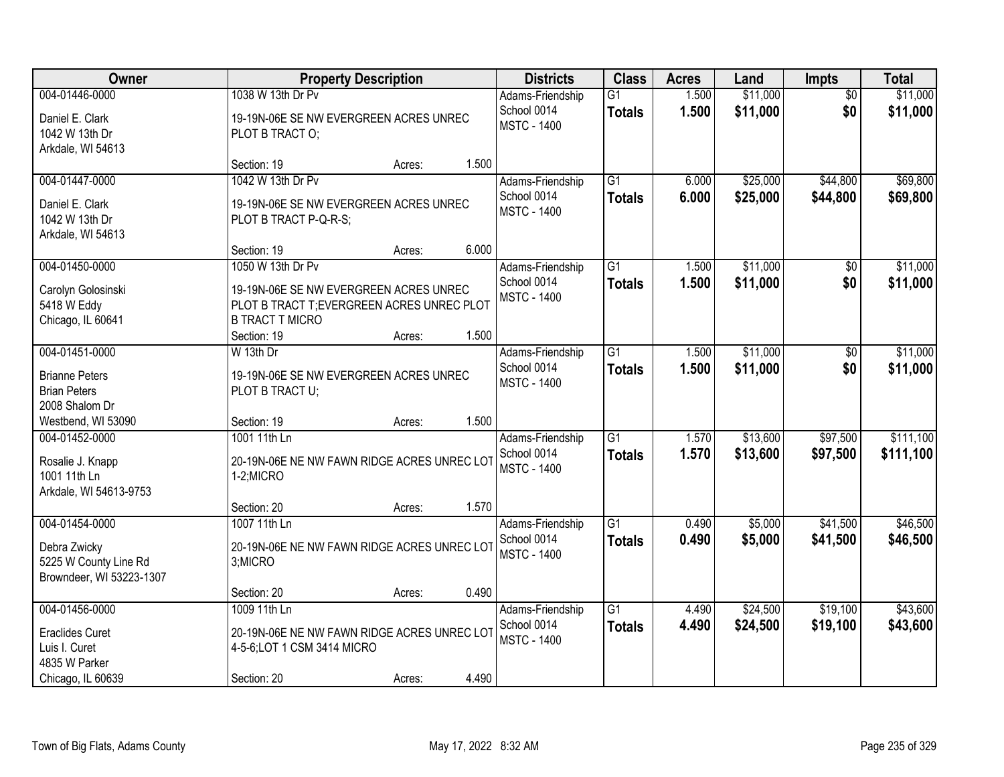| Owner                                                                                           |                                                                                                                                                    | <b>Property Description</b> |       | <b>Districts</b>                                      | <b>Class</b>                     | <b>Acres</b>   | Land                 | <b>Impts</b>           | <b>Total</b>           |
|-------------------------------------------------------------------------------------------------|----------------------------------------------------------------------------------------------------------------------------------------------------|-----------------------------|-------|-------------------------------------------------------|----------------------------------|----------------|----------------------|------------------------|------------------------|
| 004-01446-0000<br>Daniel E. Clark<br>1042 W 13th Dr<br>Arkdale, WI 54613                        | 1038 W 13th Dr Pv<br>19-19N-06E SE NW EVERGREEN ACRES UNREC<br>PLOT B TRACT O;                                                                     |                             |       | Adams-Friendship<br>School 0014<br><b>MSTC - 1400</b> | $\overline{G1}$<br><b>Totals</b> | 1.500<br>1.500 | \$11,000<br>\$11,000 | $\overline{30}$<br>\$0 | \$11,000<br>\$11,000   |
|                                                                                                 | Section: 19                                                                                                                                        | Acres:                      | 1.500 |                                                       |                                  |                |                      |                        |                        |
| 004-01447-0000<br>Daniel E. Clark<br>1042 W 13th Dr<br>Arkdale, WI 54613                        | 1042 W 13th Dr Pv<br>19-19N-06E SE NW EVERGREEN ACRES UNREC<br>PLOT B TRACT P-Q-R-S;                                                               |                             |       | Adams-Friendship<br>School 0014<br><b>MSTC - 1400</b> | $\overline{G1}$<br><b>Totals</b> | 6.000<br>6.000 | \$25,000<br>\$25,000 | \$44,800<br>\$44,800   | \$69,800<br>\$69,800   |
|                                                                                                 | Section: 19                                                                                                                                        | Acres:                      | 6.000 |                                                       |                                  |                |                      |                        |                        |
| 004-01450-0000<br>Carolyn Golosinski<br>5418 W Eddy<br>Chicago, IL 60641                        | 1050 W 13th Dr Pv<br>19-19N-06E SE NW EVERGREEN ACRES UNREC<br>PLOT B TRACT T; EVERGREEN ACRES UNREC PLOT<br><b>B TRACT T MICRO</b><br>Section: 19 | Acres:                      | 1.500 | Adams-Friendship<br>School 0014<br><b>MSTC - 1400</b> | $\overline{G1}$<br><b>Totals</b> | 1.500<br>1.500 | \$11,000<br>\$11,000 | \$0<br>\$0             | \$11,000<br>\$11,000   |
| 004-01451-0000                                                                                  | W 13th Dr                                                                                                                                          |                             |       | Adams-Friendship                                      | $\overline{G1}$                  | 1.500          | \$11,000             | $\sqrt[6]{}$           | \$11,000               |
| <b>Brianne Peters</b><br><b>Brian Peters</b><br>2008 Shalom Dr                                  | 19-19N-06E SE NW EVERGREEN ACRES UNREC<br>PLOT B TRACT U;                                                                                          |                             |       | School 0014<br><b>MSTC - 1400</b>                     | <b>Totals</b>                    | 1.500          | \$11,000             | \$0                    | \$11,000               |
| Westbend, WI 53090                                                                              | Section: 19                                                                                                                                        | Acres:                      | 1.500 |                                                       |                                  |                |                      |                        |                        |
| 004-01452-0000<br>Rosalie J. Knapp<br>1001 11th Ln<br>Arkdale, WI 54613-9753                    | 1001 11th Ln<br>20-19N-06E NE NW FAWN RIDGE ACRES UNREC LOT<br>1-2;MICRO                                                                           |                             |       | Adams-Friendship<br>School 0014<br><b>MSTC - 1400</b> | $\overline{G1}$<br><b>Totals</b> | 1.570<br>1.570 | \$13,600<br>\$13,600 | \$97,500<br>\$97,500   | \$111,100<br>\$111,100 |
|                                                                                                 | Section: 20                                                                                                                                        | Acres:                      | 1.570 |                                                       |                                  |                |                      |                        |                        |
| 004-01454-0000<br>Debra Zwicky<br>5225 W County Line Rd<br>Browndeer, WI 53223-1307             | 1007 11th Ln<br>20-19N-06E NE NW FAWN RIDGE ACRES UNREC LOT<br>3;MICRO                                                                             |                             |       | Adams-Friendship<br>School 0014<br><b>MSTC - 1400</b> | $\overline{G1}$<br><b>Totals</b> | 0.490<br>0.490 | \$5,000<br>\$5,000   | \$41,500<br>\$41,500   | \$46,500<br>\$46,500   |
|                                                                                                 | Section: 20                                                                                                                                        | Acres:                      | 0.490 |                                                       |                                  |                |                      |                        |                        |
| 004-01456-0000<br><b>Eraclides Curet</b><br>Luis I. Curet<br>4835 W Parker<br>Chicago, IL 60639 | 1009 11th Ln<br>20-19N-06E NE NW FAWN RIDGE ACRES UNREC LOT<br>4-5-6; LOT 1 CSM 3414 MICRO<br>Section: 20                                          | Acres:                      | 4.490 | Adams-Friendship<br>School 0014<br><b>MSTC - 1400</b> | $\overline{G1}$<br><b>Totals</b> | 4.490<br>4.490 | \$24,500<br>\$24,500 | \$19,100<br>\$19,100   | \$43,600<br>\$43,600   |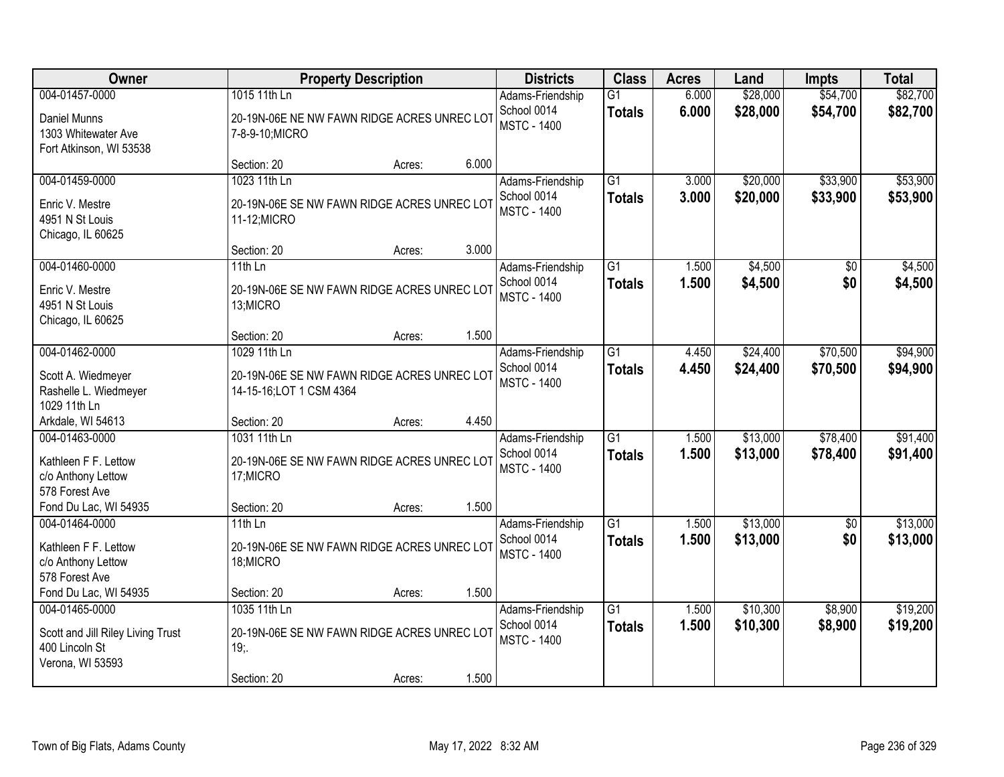| <b>Owner</b>                                                                              |                                                                                        | <b>Property Description</b> |       | <b>Districts</b>                                      | <b>Class</b>                     | <b>Acres</b>   | Land                 | <b>Impts</b>           | <b>Total</b>         |
|-------------------------------------------------------------------------------------------|----------------------------------------------------------------------------------------|-----------------------------|-------|-------------------------------------------------------|----------------------------------|----------------|----------------------|------------------------|----------------------|
| 004-01457-0000<br>Daniel Munns<br>1303 Whitewater Ave<br>Fort Atkinson, WI 53538          | 1015 11th Ln<br>20-19N-06E NE NW FAWN RIDGE ACRES UNREC LOT<br>7-8-9-10; MICRO         |                             |       | Adams-Friendship<br>School 0014<br><b>MSTC - 1400</b> | $\overline{G1}$<br><b>Totals</b> | 6.000<br>6.000 | \$28,000<br>\$28,000 | \$54,700<br>\$54,700   | \$82,700<br>\$82,700 |
|                                                                                           | Section: 20                                                                            | Acres:                      | 6.000 |                                                       |                                  |                |                      |                        |                      |
| 004-01459-0000<br>Enric V. Mestre<br>4951 N St Louis<br>Chicago, IL 60625                 | 1023 11th Ln<br>20-19N-06E SE NW FAWN RIDGE ACRES UNREC LOT<br>11-12; MICRO            |                             |       | Adams-Friendship<br>School 0014<br><b>MSTC - 1400</b> | $\overline{G1}$<br><b>Totals</b> | 3.000<br>3.000 | \$20,000<br>\$20,000 | \$33,900<br>\$33,900   | \$53,900<br>\$53,900 |
|                                                                                           | Section: 20                                                                            | Acres:                      | 3.000 |                                                       |                                  |                |                      |                        |                      |
| 004-01460-0000<br>Enric V. Mestre<br>4951 N St Louis<br>Chicago, IL 60625                 | 11th $Ln$<br>20-19N-06E SE NW FAWN RIDGE ACRES UNREC LOT<br>13;MICRO                   |                             |       | Adams-Friendship<br>School 0014<br><b>MSTC - 1400</b> | G1<br><b>Totals</b>              | 1.500<br>1.500 | \$4,500<br>\$4,500   | \$0<br>\$0             | \$4,500<br>\$4,500   |
|                                                                                           | Section: 20                                                                            | Acres:                      | 1.500 |                                                       |                                  |                |                      |                        |                      |
| 004-01462-0000<br>Scott A. Wiedmeyer<br>Rashelle L. Wiedmeyer<br>1029 11th Ln             | 1029 11th Ln<br>20-19N-06E SE NW FAWN RIDGE ACRES UNREC LOT<br>14-15-16;LOT 1 CSM 4364 |                             |       | Adams-Friendship<br>School 0014<br><b>MSTC - 1400</b> | $\overline{G1}$<br><b>Totals</b> | 4.450<br>4.450 | \$24,400<br>\$24,400 | \$70,500<br>\$70,500   | \$94,900<br>\$94,900 |
| Arkdale, WI 54613                                                                         | Section: 20                                                                            | Acres:                      | 4.450 |                                                       |                                  |                |                      |                        |                      |
| 004-01463-0000<br>Kathleen F F. Lettow<br>c/o Anthony Lettow<br>578 Forest Ave            | 1031 11th Ln<br>20-19N-06E SE NW FAWN RIDGE ACRES UNREC LOT<br>17; MICRO               |                             |       | Adams-Friendship<br>School 0014<br><b>MSTC - 1400</b> | $\overline{G1}$<br><b>Totals</b> | 1.500<br>1.500 | \$13,000<br>\$13,000 | \$78,400<br>\$78,400   | \$91,400<br>\$91,400 |
| Fond Du Lac, WI 54935                                                                     | Section: 20                                                                            | Acres:                      | 1.500 |                                                       |                                  |                |                      |                        |                      |
| 004-01464-0000<br>Kathleen F F. Lettow<br>c/o Anthony Lettow<br>578 Forest Ave            | 11th $Ln$<br>20-19N-06E SE NW FAWN RIDGE ACRES UNREC LOT<br>18; MICRO                  |                             |       | Adams-Friendship<br>School 0014<br><b>MSTC - 1400</b> | $\overline{G1}$<br><b>Totals</b> | 1.500<br>1.500 | \$13,000<br>\$13,000 | $\overline{50}$<br>\$0 | \$13,000<br>\$13,000 |
| Fond Du Lac, WI 54935                                                                     | Section: 20                                                                            | Acres:                      | 1.500 |                                                       |                                  |                |                      |                        |                      |
| 004-01465-0000<br>Scott and Jill Riley Living Trust<br>400 Lincoln St<br>Verona, WI 53593 | 1035 11th Ln<br>20-19N-06E SE NW FAWN RIDGE ACRES UNREC LOT<br>19:<br>Section: 20      | Acres:                      | 1.500 | Adams-Friendship<br>School 0014<br><b>MSTC - 1400</b> | $\overline{G1}$<br><b>Totals</b> | 1.500<br>1.500 | \$10,300<br>\$10,300 | \$8,900<br>\$8,900     | \$19,200<br>\$19,200 |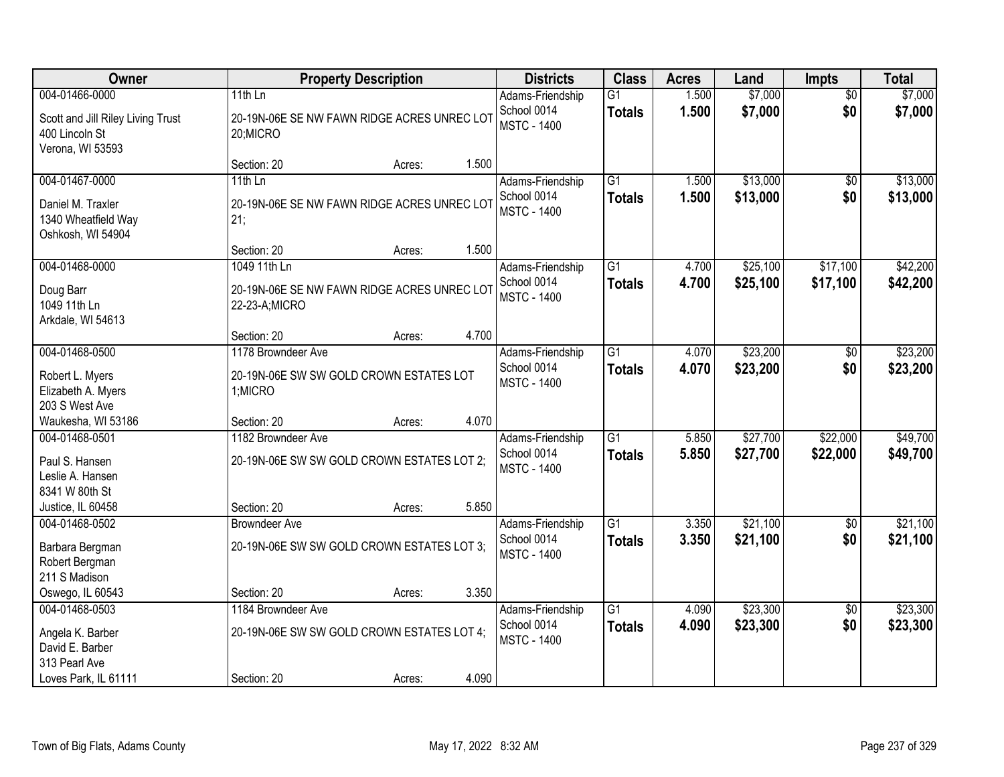| Owner                                                                                          |                                                                                 | <b>Property Description</b> |       | <b>Districts</b>                                      | <b>Class</b>                     | <b>Acres</b>   | Land                 | <b>Impts</b>           | <b>Total</b>         |
|------------------------------------------------------------------------------------------------|---------------------------------------------------------------------------------|-----------------------------|-------|-------------------------------------------------------|----------------------------------|----------------|----------------------|------------------------|----------------------|
| 004-01466-0000<br>Scott and Jill Riley Living Trust<br>400 Lincoln St<br>Verona, WI 53593      | 11th $Ln$<br>20-19N-06E SE NW FAWN RIDGE ACRES UNREC LOT<br>20;MICRO            |                             |       | Adams-Friendship<br>School 0014<br><b>MSTC - 1400</b> | $\overline{G1}$<br><b>Totals</b> | 1.500<br>1.500 | \$7,000<br>\$7,000   | $\overline{50}$<br>\$0 | \$7,000<br>\$7,000   |
|                                                                                                | Section: 20                                                                     | Acres:                      | 1.500 |                                                       |                                  |                |                      |                        |                      |
| 004-01467-0000<br>Daniel M. Traxler<br>1340 Wheatfield Way<br>Oshkosh, WI 54904                | $11th$ Ln<br>20-19N-06E SE NW FAWN RIDGE ACRES UNREC LOT<br>21;                 |                             |       | Adams-Friendship<br>School 0014<br><b>MSTC - 1400</b> | $\overline{G1}$<br><b>Totals</b> | 1.500<br>1.500 | \$13,000<br>\$13,000 | $\overline{50}$<br>\$0 | \$13,000<br>\$13,000 |
|                                                                                                | Section: 20                                                                     | Acres:                      | 1.500 |                                                       |                                  |                |                      |                        |                      |
| 004-01468-0000<br>Doug Barr<br>1049 11th Ln<br>Arkdale, WI 54613                               | 1049 11th Ln<br>20-19N-06E SE NW FAWN RIDGE ACRES UNREC LOT<br>22-23-A;MICRO    |                             |       | Adams-Friendship<br>School 0014<br><b>MSTC - 1400</b> | G1<br><b>Totals</b>              | 4.700<br>4.700 | \$25,100<br>\$25,100 | \$17,100<br>\$17,100   | \$42,200<br>\$42,200 |
|                                                                                                | Section: 20                                                                     | Acres:                      | 4.700 |                                                       |                                  |                |                      |                        |                      |
| 004-01468-0500<br>Robert L. Myers<br>Elizabeth A. Myers<br>203 S West Ave                      | 1178 Browndeer Ave<br>20-19N-06E SW SW GOLD CROWN ESTATES LOT<br>1;MICRO        |                             |       | Adams-Friendship<br>School 0014<br><b>MSTC - 1400</b> | G1<br><b>Totals</b>              | 4.070<br>4.070 | \$23,200<br>\$23,200 | \$0<br>\$0             | \$23,200<br>\$23,200 |
| Waukesha, WI 53186                                                                             | Section: 20                                                                     | Acres:                      | 4.070 |                                                       |                                  |                |                      |                        |                      |
| 004-01468-0501<br>Paul S. Hansen<br>Leslie A. Hansen<br>8341 W 80th St<br>Justice, IL 60458    | 1182 Browndeer Ave<br>20-19N-06E SW SW GOLD CROWN ESTATES LOT 2;<br>Section: 20 | Acres:                      | 5.850 | Adams-Friendship<br>School 0014<br><b>MSTC - 1400</b> | $\overline{G1}$<br><b>Totals</b> | 5.850<br>5.850 | \$27,700<br>\$27,700 | \$22,000<br>\$22,000   | \$49,700<br>\$49,700 |
| 004-01468-0502                                                                                 | <b>Browndeer Ave</b>                                                            |                             |       | Adams-Friendship                                      | $\overline{G1}$                  | 3.350          | \$21,100             | $\overline{60}$        | \$21,100             |
| Barbara Bergman<br>Robert Bergman<br>211 S Madison                                             | 20-19N-06E SW SW GOLD CROWN ESTATES LOT 3;                                      |                             |       | School 0014<br><b>MSTC - 1400</b>                     | <b>Totals</b>                    | 3.350          | \$21,100             | \$0                    | \$21,100             |
| Oswego, IL 60543                                                                               | Section: 20                                                                     | Acres:                      | 3.350 |                                                       |                                  |                |                      |                        |                      |
| 004-01468-0503<br>Angela K. Barber<br>David E. Barber<br>313 Pearl Ave<br>Loves Park, IL 61111 | 1184 Browndeer Ave<br>20-19N-06E SW SW GOLD CROWN ESTATES LOT 4;<br>Section: 20 | Acres:                      | 4.090 | Adams-Friendship<br>School 0014<br><b>MSTC - 1400</b> | $\overline{G1}$<br><b>Totals</b> | 4.090<br>4.090 | \$23,300<br>\$23,300 | $\overline{50}$<br>\$0 | \$23,300<br>\$23,300 |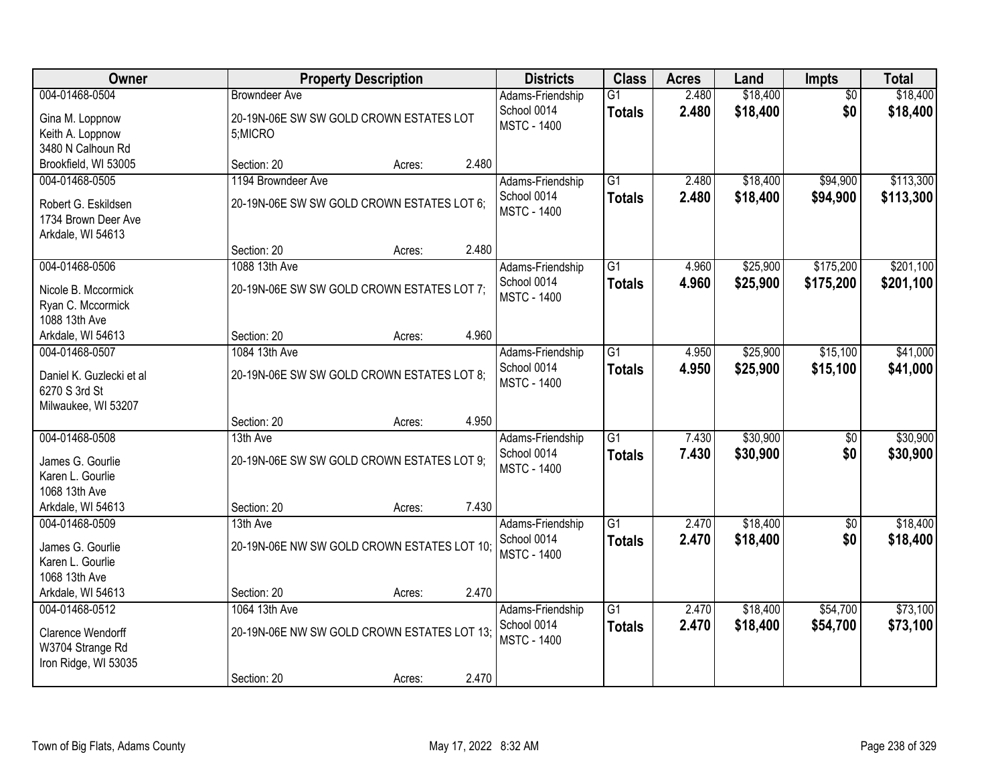| Owner                                                                                        |                                                                             | <b>Property Description</b> |       | <b>Districts</b>                                      | <b>Class</b>                     | <b>Acres</b>   | Land                 | <b>Impts</b>           | <b>Total</b>           |
|----------------------------------------------------------------------------------------------|-----------------------------------------------------------------------------|-----------------------------|-------|-------------------------------------------------------|----------------------------------|----------------|----------------------|------------------------|------------------------|
| 004-01468-0504<br>Gina M. Loppnow<br>Keith A. Loppnow                                        | <b>Browndeer Ave</b><br>20-19N-06E SW SW GOLD CROWN ESTATES LOT<br>5;MICRO  |                             |       | Adams-Friendship<br>School 0014<br><b>MSTC - 1400</b> | $\overline{G1}$<br><b>Totals</b> | 2.480<br>2.480 | \$18,400<br>\$18,400 | $\overline{50}$<br>\$0 | \$18,400<br>\$18,400   |
| 3480 N Calhoun Rd<br>Brookfield, WI 53005                                                    | Section: 20                                                                 | Acres:                      | 2.480 |                                                       |                                  |                |                      |                        |                        |
| 004-01468-0505<br>Robert G. Eskildsen<br>1734 Brown Deer Ave<br>Arkdale, WI 54613            | 1194 Browndeer Ave<br>20-19N-06E SW SW GOLD CROWN ESTATES LOT 6;            |                             |       | Adams-Friendship<br>School 0014<br><b>MSTC - 1400</b> | $\overline{G1}$<br><b>Totals</b> | 2.480<br>2.480 | \$18,400<br>\$18,400 | \$94,900<br>\$94,900   | \$113,300<br>\$113,300 |
|                                                                                              | Section: 20                                                                 | Acres:                      | 2.480 |                                                       |                                  |                |                      |                        |                        |
| 004-01468-0506<br>Nicole B. Mccormick<br>Ryan C. Mccormick<br>1088 13th Ave                  | 1088 13th Ave<br>20-19N-06E SW SW GOLD CROWN ESTATES LOT 7;                 |                             |       | Adams-Friendship<br>School 0014<br><b>MSTC - 1400</b> | $\overline{G1}$<br><b>Totals</b> | 4.960<br>4.960 | \$25,900<br>\$25,900 | \$175,200<br>\$175,200 | \$201,100<br>\$201,100 |
| Arkdale, WI 54613                                                                            | Section: 20                                                                 | Acres:                      | 4.960 |                                                       |                                  |                |                      |                        |                        |
| 004-01468-0507<br>Daniel K. Guzlecki et al<br>6270 S 3rd St<br>Milwaukee, WI 53207           | 1084 13th Ave<br>20-19N-06E SW SW GOLD CROWN ESTATES LOT 8;                 |                             |       | Adams-Friendship<br>School 0014<br><b>MSTC - 1400</b> | $\overline{G1}$<br><b>Totals</b> | 4.950<br>4.950 | \$25,900<br>\$25,900 | \$15,100<br>\$15,100   | \$41,000<br>\$41,000   |
|                                                                                              | Section: 20                                                                 | Acres:                      | 4.950 |                                                       |                                  |                |                      |                        |                        |
| 004-01468-0508<br>James G. Gourlie<br>Karen L. Gourlie<br>1068 13th Ave<br>Arkdale, WI 54613 | 13th Ave<br>20-19N-06E SW SW GOLD CROWN ESTATES LOT 9;<br>Section: 20       | Acres:                      | 7.430 | Adams-Friendship<br>School 0014<br><b>MSTC - 1400</b> | $\overline{G1}$<br><b>Totals</b> | 7.430<br>7.430 | \$30,900<br>\$30,900 | $\overline{50}$<br>\$0 | \$30,900<br>\$30,900   |
| 004-01468-0509                                                                               | 13th Ave                                                                    |                             |       | Adams-Friendship                                      | $\overline{G1}$                  | 2.470          | \$18,400             | $\sqrt{6}$             | \$18,400               |
| James G. Gourlie<br>Karen L. Gourlie<br>1068 13th Ave                                        | 20-19N-06E NW SW GOLD CROWN ESTATES LOT 10;                                 |                             |       | School 0014<br><b>MSTC - 1400</b>                     | <b>Totals</b>                    | 2.470          | \$18,400             | \$0                    | \$18,400               |
| Arkdale, WI 54613                                                                            | Section: 20                                                                 | Acres:                      | 2.470 |                                                       |                                  |                |                      |                        |                        |
| 004-01468-0512<br>Clarence Wendorff<br>W3704 Strange Rd<br>Iron Ridge, WI 53035              | 1064 13th Ave<br>20-19N-06E NW SW GOLD CROWN ESTATES LOT 13;<br>Section: 20 | Acres:                      | 2.470 | Adams-Friendship<br>School 0014<br><b>MSTC - 1400</b> | $\overline{G1}$<br><b>Totals</b> | 2.470<br>2.470 | \$18,400<br>\$18,400 | \$54,700<br>\$54,700   | \$73,100<br>\$73,100   |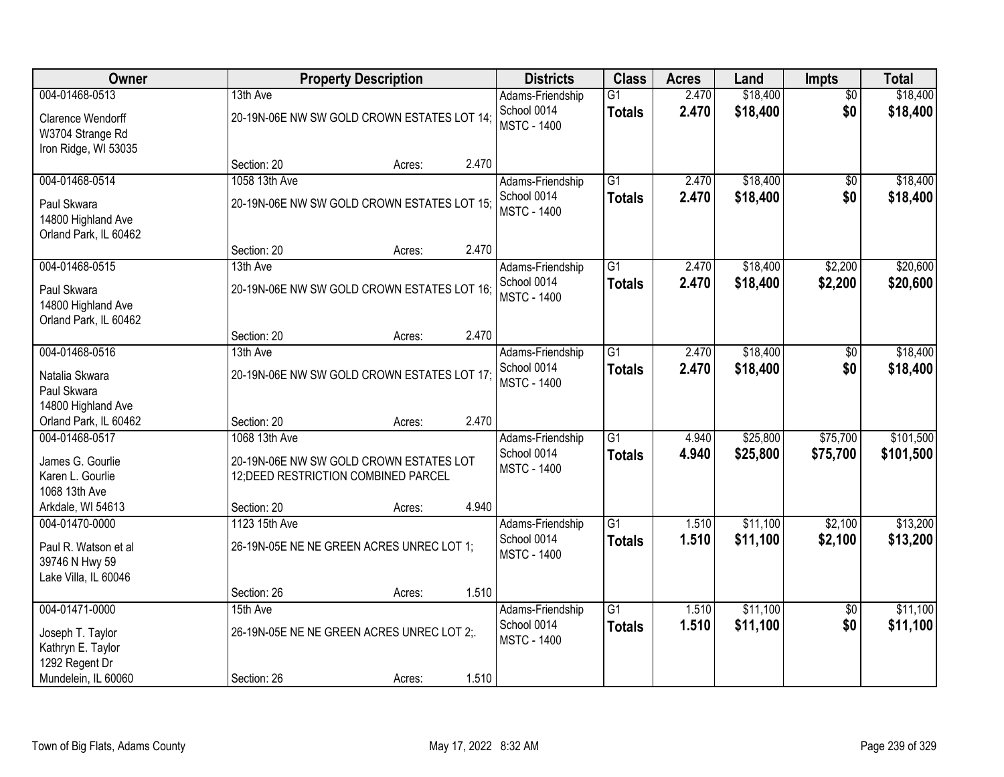| Owner                         |                         | <b>Property Description</b>                 |       | <b>Districts</b>                  | <b>Class</b>    | <b>Acres</b> | Land     | <b>Impts</b>    | <b>Total</b> |
|-------------------------------|-------------------------|---------------------------------------------|-------|-----------------------------------|-----------------|--------------|----------|-----------------|--------------|
| 004-01468-0513                | 13th Ave                |                                             |       | Adams-Friendship                  | $\overline{G1}$ | 2.470        | \$18,400 | $\overline{50}$ | \$18,400     |
| Clarence Wendorff             |                         | 20-19N-06E NW SW GOLD CROWN ESTATES LOT 14; |       | School 0014<br><b>MSTC - 1400</b> | <b>Totals</b>   | 2.470        | \$18,400 | \$0             | \$18,400     |
| W3704 Strange Rd              |                         |                                             |       |                                   |                 |              |          |                 |              |
| Iron Ridge, WI 53035          |                         |                                             |       |                                   |                 |              |          |                 |              |
|                               | Section: 20             | Acres:                                      | 2.470 |                                   |                 |              |          |                 |              |
| 004-01468-0514                | 1058 13th Ave           |                                             |       | Adams-Friendship                  | $\overline{G1}$ | 2.470        | \$18,400 | \$0             | \$18,400     |
| Paul Skwara                   |                         | 20-19N-06E NW SW GOLD CROWN ESTATES LOT 15; |       | School 0014<br><b>MSTC - 1400</b> | <b>Totals</b>   | 2.470        | \$18,400 | \$0             | \$18,400     |
| 14800 Highland Ave            |                         |                                             |       |                                   |                 |              |          |                 |              |
| Orland Park, IL 60462         |                         |                                             |       |                                   |                 |              |          |                 |              |
| 004-01468-0515                | Section: 20<br>13th Ave | Acres:                                      | 2.470 | Adams-Friendship                  | $\overline{G1}$ | 2.470        | \$18,400 | \$2,200         | \$20,600     |
|                               |                         |                                             |       | School 0014                       | <b>Totals</b>   | 2.470        | \$18,400 | \$2,200         | \$20,600     |
| Paul Skwara                   |                         | 20-19N-06E NW SW GOLD CROWN ESTATES LOT 16; |       | <b>MSTC - 1400</b>                |                 |              |          |                 |              |
| 14800 Highland Ave            |                         |                                             |       |                                   |                 |              |          |                 |              |
| Orland Park, IL 60462         | Section: 20             | Acres:                                      | 2.470 |                                   |                 |              |          |                 |              |
| 004-01468-0516                | 13th Ave                |                                             |       | Adams-Friendship                  | G1              | 2.470        | \$18,400 | \$0             | \$18,400     |
|                               |                         |                                             |       | School 0014                       | <b>Totals</b>   | 2.470        | \$18,400 | \$0             | \$18,400     |
| Natalia Skwara<br>Paul Skwara |                         | 20-19N-06E NW SW GOLD CROWN ESTATES LOT 17; |       | <b>MSTC - 1400</b>                |                 |              |          |                 |              |
| 14800 Highland Ave            |                         |                                             |       |                                   |                 |              |          |                 |              |
| Orland Park, IL 60462         | Section: 20             | Acres:                                      | 2.470 |                                   |                 |              |          |                 |              |
| 004-01468-0517                | 1068 13th Ave           |                                             |       | Adams-Friendship                  | $\overline{G1}$ | 4.940        | \$25,800 | \$75,700        | \$101,500    |
| James G. Gourlie              |                         | 20-19N-06E NW SW GOLD CROWN ESTATES LOT     |       | School 0014                       | <b>Totals</b>   | 4.940        | \$25,800 | \$75,700        | \$101,500    |
| Karen L. Gourlie              |                         | 12; DEED RESTRICTION COMBINED PARCEL        |       | <b>MSTC - 1400</b>                |                 |              |          |                 |              |
| 1068 13th Ave                 |                         |                                             |       |                                   |                 |              |          |                 |              |
| Arkdale, WI 54613             | Section: 20             | Acres:                                      | 4.940 |                                   |                 |              |          |                 |              |
| 004-01470-0000                | 1123 15th Ave           |                                             |       | Adams-Friendship                  | $\overline{G1}$ | 1.510        | \$11,100 | \$2,100         | \$13,200     |
| Paul R. Watson et al          |                         | 26-19N-05E NE NE GREEN ACRES UNREC LOT 1;   |       | School 0014                       | <b>Totals</b>   | 1.510        | \$11,100 | \$2,100         | \$13,200     |
| 39746 N Hwy 59                |                         |                                             |       | <b>MSTC - 1400</b>                |                 |              |          |                 |              |
| Lake Villa, IL 60046          |                         |                                             |       |                                   |                 |              |          |                 |              |
|                               | Section: 26             | Acres:                                      | 1.510 |                                   |                 |              |          |                 |              |
| 004-01471-0000                | 15th Ave                |                                             |       | Adams-Friendship                  | $\overline{G1}$ | 1.510        | \$11,100 | $\overline{50}$ | \$11,100     |
| Joseph T. Taylor              |                         | 26-19N-05E NE NE GREEN ACRES UNREC LOT 2;.  |       | School 0014                       | <b>Totals</b>   | 1.510        | \$11,100 | \$0             | \$11,100     |
| Kathryn E. Taylor             |                         |                                             |       | <b>MSTC - 1400</b>                |                 |              |          |                 |              |
| 1292 Regent Dr                |                         |                                             |       |                                   |                 |              |          |                 |              |
| Mundelein, IL 60060           | Section: 26             | Acres:                                      | 1.510 |                                   |                 |              |          |                 |              |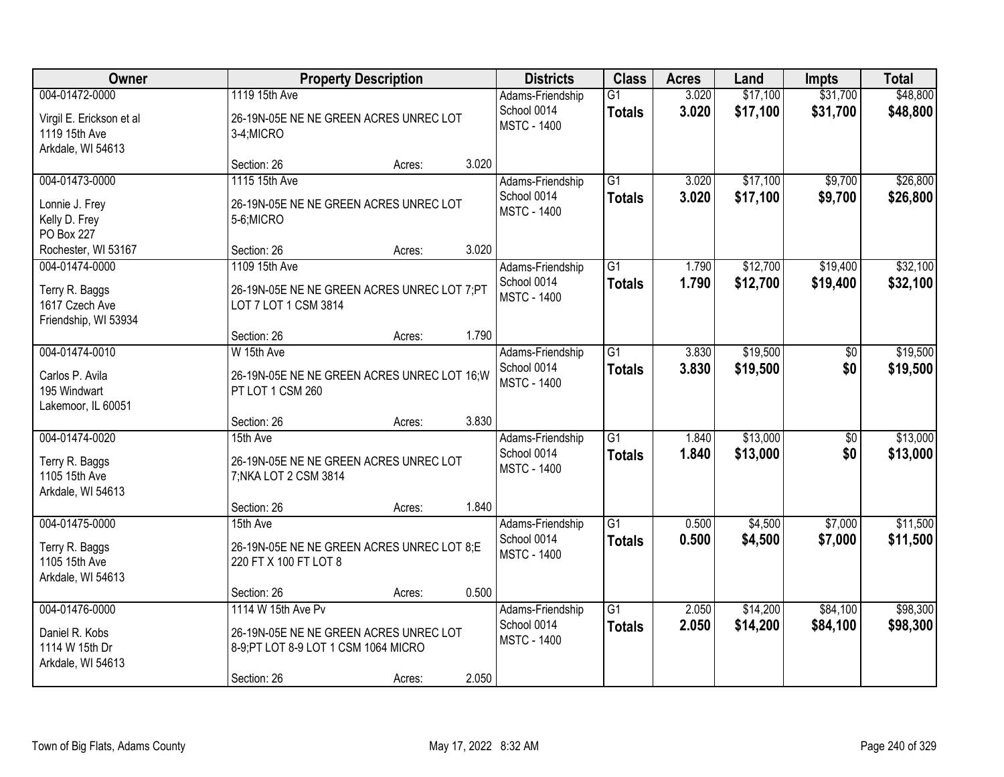| Owner                                                                            |                                                                                                                     | <b>Property Description</b> |       | <b>Districts</b>                                      | <b>Class</b>                     | <b>Acres</b>   | Land                 | <b>Impts</b>         | <b>Total</b>         |
|----------------------------------------------------------------------------------|---------------------------------------------------------------------------------------------------------------------|-----------------------------|-------|-------------------------------------------------------|----------------------------------|----------------|----------------------|----------------------|----------------------|
| 004-01472-0000<br>Virgil E. Erickson et al<br>1119 15th Ave<br>Arkdale, WI 54613 | 1119 15th Ave<br>26-19N-05E NE NE GREEN ACRES UNREC LOT<br>3-4;MICRO                                                |                             |       | Adams-Friendship<br>School 0014<br><b>MSTC - 1400</b> | $\overline{G1}$<br><b>Totals</b> | 3.020<br>3.020 | \$17,100<br>\$17,100 | \$31,700<br>\$31,700 | \$48,800<br>\$48,800 |
|                                                                                  | Section: 26                                                                                                         | Acres:                      | 3.020 |                                                       |                                  |                |                      |                      |                      |
| 004-01473-0000<br>Lonnie J. Frey<br>Kelly D. Frey<br>PO Box 227                  | 1115 15th Ave<br>26-19N-05E NE NE GREEN ACRES UNREC LOT<br>5-6;MICRO                                                |                             |       | Adams-Friendship<br>School 0014<br><b>MSTC - 1400</b> | $\overline{G1}$<br><b>Totals</b> | 3.020<br>3.020 | \$17,100<br>\$17,100 | \$9,700<br>\$9,700   | \$26,800<br>\$26,800 |
| Rochester, WI 53167                                                              | Section: 26                                                                                                         | Acres:                      | 3.020 |                                                       |                                  |                |                      |                      |                      |
| 004-01474-0000<br>Terry R. Baggs<br>1617 Czech Ave<br>Friendship, WI 53934       | 1109 15th Ave<br>26-19N-05E NE NE GREEN ACRES UNREC LOT 7;PT<br>LOT 7 LOT 1 CSM 3814                                |                             |       | Adams-Friendship<br>School 0014<br><b>MSTC - 1400</b> | $\overline{G1}$<br><b>Totals</b> | 1.790<br>1.790 | \$12,700<br>\$12,700 | \$19,400<br>\$19,400 | \$32,100<br>\$32,100 |
|                                                                                  | Section: 26                                                                                                         | Acres:                      | 1.790 |                                                       |                                  |                |                      |                      |                      |
| 004-01474-0010<br>Carlos P. Avila<br>195 Windwart<br>Lakemoor, IL 60051          | W 15th Ave<br>26-19N-05E NE NE GREEN ACRES UNREC LOT 16; W<br>PT LOT 1 CSM 260                                      |                             |       | Adams-Friendship<br>School 0014<br><b>MSTC - 1400</b> | $\overline{G1}$<br><b>Totals</b> | 3.830<br>3.830 | \$19,500<br>\$19,500 | \$0<br>\$0           | \$19,500<br>\$19,500 |
|                                                                                  | Section: 26                                                                                                         | Acres:                      | 3.830 |                                                       |                                  |                |                      |                      |                      |
| 004-01474-0020<br>Terry R. Baggs<br>1105 15th Ave<br>Arkdale, WI 54613           | 15th Ave<br>26-19N-05E NE NE GREEN ACRES UNREC LOT<br>7; NKA LOT 2 CSM 3814                                         |                             |       | Adams-Friendship<br>School 0014<br><b>MSTC - 1400</b> | $\overline{G1}$<br><b>Totals</b> | 1.840<br>1.840 | \$13,000<br>\$13,000 | \$0<br>\$0           | \$13,000<br>\$13,000 |
|                                                                                  | Section: 26                                                                                                         | Acres:                      | 1.840 |                                                       |                                  |                |                      |                      |                      |
| 004-01475-0000<br>Terry R. Baggs<br>1105 15th Ave<br>Arkdale, WI 54613           | 15th Ave<br>26-19N-05E NE NE GREEN ACRES UNREC LOT 8;E<br>220 FT X 100 FT LOT 8                                     |                             |       | Adams-Friendship<br>School 0014<br><b>MSTC - 1400</b> | $\overline{G1}$<br><b>Totals</b> | 0.500<br>0.500 | \$4,500<br>\$4,500   | \$7,000<br>\$7,000   | \$11,500<br>\$11,500 |
|                                                                                  | Section: 26                                                                                                         | Acres:                      | 0.500 |                                                       |                                  |                |                      |                      |                      |
| 004-01476-0000<br>Daniel R. Kobs<br>1114 W 15th Dr<br>Arkdale, WI 54613          | 1114 W 15th Ave Pv<br>26-19N-05E NE NE GREEN ACRES UNREC LOT<br>8-9; PT LOT 8-9 LOT 1 CSM 1064 MICRO<br>Section: 26 | Acres:                      | 2.050 | Adams-Friendship<br>School 0014<br><b>MSTC - 1400</b> | $\overline{G1}$<br><b>Totals</b> | 2.050<br>2.050 | \$14,200<br>\$14,200 | \$84,100<br>\$84,100 | \$98,300<br>\$98,300 |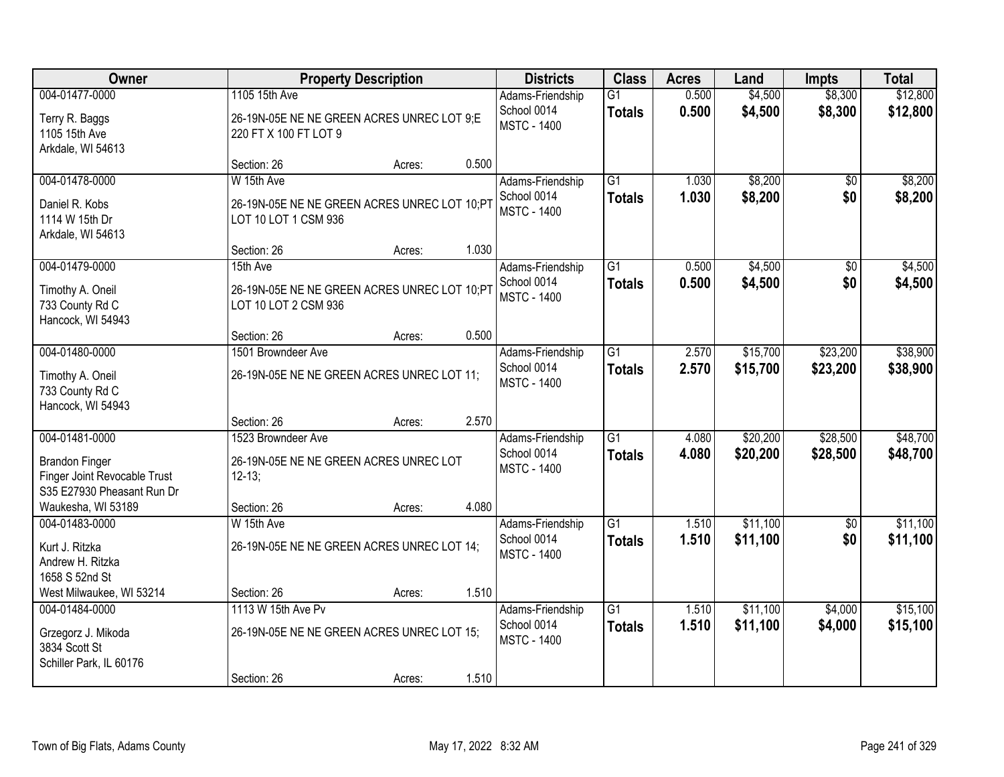| Owner                                                                                                                       |                                                                                            | <b>Property Description</b> |       | <b>Districts</b>                                      | <b>Class</b>                     | <b>Acres</b>   | Land                 | <b>Impts</b>         | <b>Total</b>         |
|-----------------------------------------------------------------------------------------------------------------------------|--------------------------------------------------------------------------------------------|-----------------------------|-------|-------------------------------------------------------|----------------------------------|----------------|----------------------|----------------------|----------------------|
| 004-01477-0000<br>Terry R. Baggs<br>1105 15th Ave<br>Arkdale, WI 54613                                                      | 1105 15th Ave<br>26-19N-05E NE NE GREEN ACRES UNREC LOT 9;E<br>220 FT X 100 FT LOT 9       |                             |       | Adams-Friendship<br>School 0014<br><b>MSTC - 1400</b> | G1<br><b>Totals</b>              | 0.500<br>0.500 | \$4,500<br>\$4,500   | \$8,300<br>\$8,300   | \$12,800<br>\$12,800 |
|                                                                                                                             | Section: 26                                                                                | Acres:                      | 0.500 |                                                       |                                  |                |                      |                      |                      |
| 004-01478-0000<br>Daniel R. Kobs<br>1114 W 15th Dr<br>Arkdale, WI 54613                                                     | W 15th Ave<br>26-19N-05E NE NE GREEN ACRES UNREC LOT 10;PT<br>LOT 10 LOT 1 CSM 936         |                             |       | Adams-Friendship<br>School 0014<br><b>MSTC - 1400</b> | $\overline{G1}$<br><b>Totals</b> | 1.030<br>1.030 | \$8,200<br>\$8,200   | \$0<br>\$0           | \$8,200<br>\$8,200   |
|                                                                                                                             | Section: 26                                                                                | Acres:                      | 1.030 |                                                       |                                  |                |                      |                      |                      |
| 004-01479-0000<br>Timothy A. Oneil<br>733 County Rd C<br>Hancock, WI 54943                                                  | 15th Ave<br>26-19N-05E NE NE GREEN ACRES UNREC LOT 10;P1<br>LOT 10 LOT 2 CSM 936           |                             |       | Adams-Friendship<br>School 0014<br><b>MSTC - 1400</b> | G1<br><b>Totals</b>              | 0.500<br>0.500 | \$4,500<br>\$4,500   | \$0<br>\$0           | \$4,500<br>\$4,500   |
|                                                                                                                             | Section: 26                                                                                | Acres:                      | 0.500 |                                                       |                                  |                |                      |                      |                      |
| 004-01480-0000<br>Timothy A. Oneil<br>733 County Rd C<br>Hancock, WI 54943                                                  | 1501 Browndeer Ave<br>26-19N-05E NE NE GREEN ACRES UNREC LOT 11;                           |                             |       | Adams-Friendship<br>School 0014<br><b>MSTC - 1400</b> | $\overline{G1}$<br><b>Totals</b> | 2.570<br>2.570 | \$15,700<br>\$15,700 | \$23,200<br>\$23,200 | \$38,900<br>\$38,900 |
|                                                                                                                             | Section: 26                                                                                | Acres:                      | 2.570 |                                                       |                                  |                |                      |                      |                      |
| 004-01481-0000<br><b>Brandon Finger</b><br>Finger Joint Revocable Trust<br>S35 E27930 Pheasant Run Dr<br>Waukesha, WI 53189 | 1523 Browndeer Ave<br>26-19N-05E NE NE GREEN ACRES UNREC LOT<br>$12 - 13$ ;<br>Section: 26 | Acres:                      | 4.080 | Adams-Friendship<br>School 0014<br><b>MSTC - 1400</b> | $\overline{G1}$<br><b>Totals</b> | 4.080<br>4.080 | \$20,200<br>\$20,200 | \$28,500<br>\$28,500 | \$48,700<br>\$48,700 |
| 004-01483-0000                                                                                                              | W 15th Ave                                                                                 |                             |       | Adams-Friendship                                      | $\overline{G1}$                  | 1.510          | \$11,100             | $\sqrt{6}$           | \$11,100             |
| Kurt J. Ritzka<br>Andrew H. Ritzka<br>1658 S 52nd St                                                                        | 26-19N-05E NE NE GREEN ACRES UNREC LOT 14;                                                 |                             |       | School 0014<br><b>MSTC - 1400</b>                     | <b>Totals</b>                    | 1.510          | \$11,100             | \$0                  | \$11,100             |
| West Milwaukee, WI 53214                                                                                                    | Section: 26                                                                                | Acres:                      | 1.510 |                                                       |                                  |                |                      |                      |                      |
| 004-01484-0000<br>Grzegorz J. Mikoda<br>3834 Scott St<br>Schiller Park, IL 60176                                            | 1113 W 15th Ave Pv<br>26-19N-05E NE NE GREEN ACRES UNREC LOT 15;<br>Section: 26            | Acres:                      | 1.510 | Adams-Friendship<br>School 0014<br><b>MSTC - 1400</b> | $\overline{G1}$<br><b>Totals</b> | 1.510<br>1.510 | \$11,100<br>\$11,100 | \$4,000<br>\$4,000   | \$15,100<br>\$15,100 |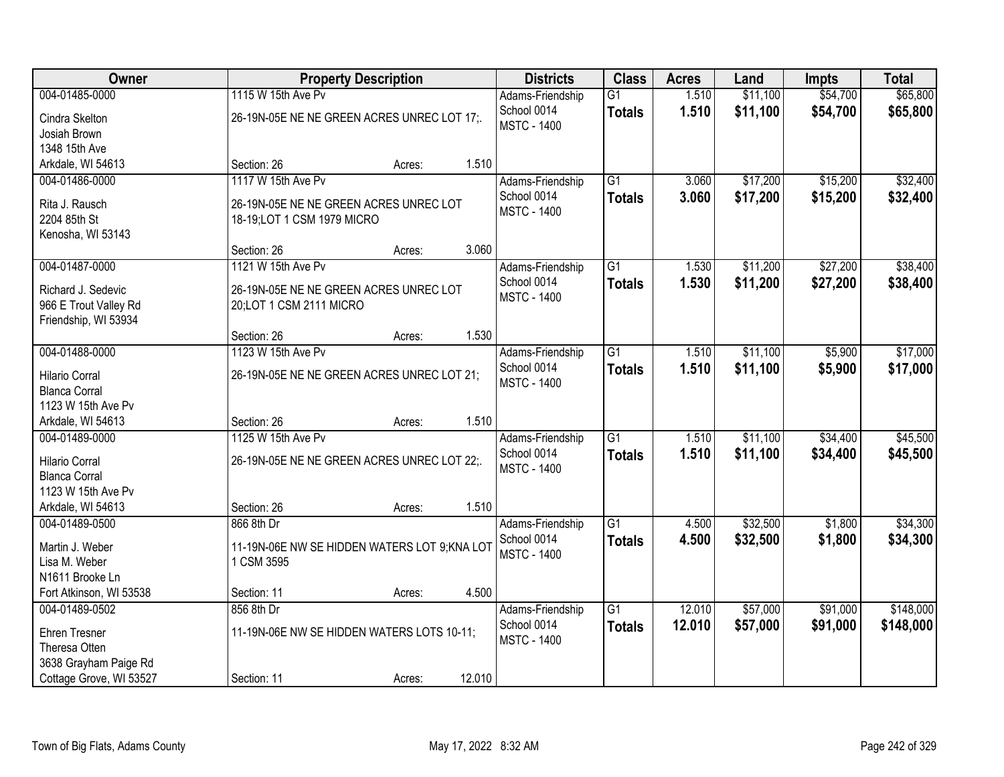| Owner                   |                                               | <b>Property Description</b> |        | <b>Districts</b>   | <b>Class</b>    | <b>Acres</b> | Land     | <b>Impts</b> | <b>Total</b> |
|-------------------------|-----------------------------------------------|-----------------------------|--------|--------------------|-----------------|--------------|----------|--------------|--------------|
| 004-01485-0000          | 1115 W 15th Ave Pv                            |                             |        | Adams-Friendship   | $\overline{G1}$ | 1.510        | \$11,100 | \$54,700     | \$65,800     |
| Cindra Skelton          | 26-19N-05E NE NE GREEN ACRES UNREC LOT 17;.   |                             |        | School 0014        | <b>Totals</b>   | 1.510        | \$11,100 | \$54,700     | \$65,800     |
| Josiah Brown            |                                               |                             |        | <b>MSTC - 1400</b> |                 |              |          |              |              |
| 1348 15th Ave           |                                               |                             |        |                    |                 |              |          |              |              |
| Arkdale, WI 54613       | Section: 26                                   | Acres:                      | 1.510  |                    |                 |              |          |              |              |
| 004-01486-0000          | 1117 W 15th Ave Pv                            |                             |        | Adams-Friendship   | $\overline{G1}$ | 3.060        | \$17,200 | \$15,200     | \$32,400     |
| Rita J. Rausch          | 26-19N-05E NE NE GREEN ACRES UNREC LOT        |                             |        | School 0014        | <b>Totals</b>   | 3.060        | \$17,200 | \$15,200     | \$32,400     |
| 2204 85th St            | 18-19;LOT 1 CSM 1979 MICRO                    |                             |        | <b>MSTC - 1400</b> |                 |              |          |              |              |
| Kenosha, WI 53143       |                                               |                             |        |                    |                 |              |          |              |              |
|                         | Section: 26                                   | Acres:                      | 3.060  |                    |                 |              |          |              |              |
| 004-01487-0000          | 1121 W 15th Ave Pv                            |                             |        | Adams-Friendship   | $\overline{G1}$ | 1.530        | \$11,200 | \$27,200     | \$38,400     |
| Richard J. Sedevic      | 26-19N-05E NE NE GREEN ACRES UNREC LOT        |                             |        | School 0014        | <b>Totals</b>   | 1.530        | \$11,200 | \$27,200     | \$38,400     |
| 966 E Trout Valley Rd   | 20;LOT 1 CSM 2111 MICRO                       |                             |        | <b>MSTC - 1400</b> |                 |              |          |              |              |
| Friendship, WI 53934    |                                               |                             |        |                    |                 |              |          |              |              |
|                         | Section: 26                                   | Acres:                      | 1.530  |                    |                 |              |          |              |              |
| 004-01488-0000          | 1123 W 15th Ave Pv                            |                             |        | Adams-Friendship   | $\overline{G1}$ | 1.510        | \$11,100 | \$5,900      | \$17,000     |
| <b>Hilario Corral</b>   | 26-19N-05E NE NE GREEN ACRES UNREC LOT 21;    |                             |        | School 0014        | <b>Totals</b>   | 1.510        | \$11,100 | \$5,900      | \$17,000     |
| <b>Blanca Corral</b>    |                                               |                             |        | <b>MSTC - 1400</b> |                 |              |          |              |              |
| 1123 W 15th Ave Pv      |                                               |                             |        |                    |                 |              |          |              |              |
| Arkdale, WI 54613       | Section: 26                                   | Acres:                      | 1.510  |                    |                 |              |          |              |              |
| 004-01489-0000          | 1125 W 15th Ave Pv                            |                             |        | Adams-Friendship   | $\overline{G1}$ | 1.510        | \$11,100 | \$34,400     | \$45,500     |
| <b>Hilario Corral</b>   | 26-19N-05E NE NE GREEN ACRES UNREC LOT 22;.   |                             |        | School 0014        | <b>Totals</b>   | 1.510        | \$11,100 | \$34,400     | \$45,500     |
| <b>Blanca Corral</b>    |                                               |                             |        | <b>MSTC - 1400</b> |                 |              |          |              |              |
| 1123 W 15th Ave Pv      |                                               |                             |        |                    |                 |              |          |              |              |
| Arkdale, WI 54613       | Section: 26                                   | Acres:                      | 1.510  |                    |                 |              |          |              |              |
| 004-01489-0500          | 866 8th Dr                                    |                             |        | Adams-Friendship   | $\overline{G1}$ | 4.500        | \$32,500 | \$1,800      | \$34,300     |
| Martin J. Weber         | 11-19N-06E NW SE HIDDEN WATERS LOT 9; KNA LOT |                             |        | School 0014        | <b>Totals</b>   | 4.500        | \$32,500 | \$1,800      | \$34,300     |
| Lisa M. Weber           | 1 CSM 3595                                    |                             |        | <b>MSTC - 1400</b> |                 |              |          |              |              |
| N1611 Brooke Ln         |                                               |                             |        |                    |                 |              |          |              |              |
| Fort Atkinson, WI 53538 | Section: 11                                   | Acres:                      | 4.500  |                    |                 |              |          |              |              |
| 004-01489-0502          | 856 8th Dr                                    |                             |        | Adams-Friendship   | $\overline{G1}$ | 12.010       | \$57,000 | \$91,000     | \$148,000    |
| <b>Ehren Tresner</b>    | 11-19N-06E NW SE HIDDEN WATERS LOTS 10-11;    |                             |        | School 0014        | <b>Totals</b>   | 12.010       | \$57,000 | \$91,000     | \$148,000    |
| Theresa Otten           |                                               |                             |        | <b>MSTC - 1400</b> |                 |              |          |              |              |
| 3638 Grayham Paige Rd   |                                               |                             |        |                    |                 |              |          |              |              |
| Cottage Grove, WI 53527 | Section: 11                                   | Acres:                      | 12.010 |                    |                 |              |          |              |              |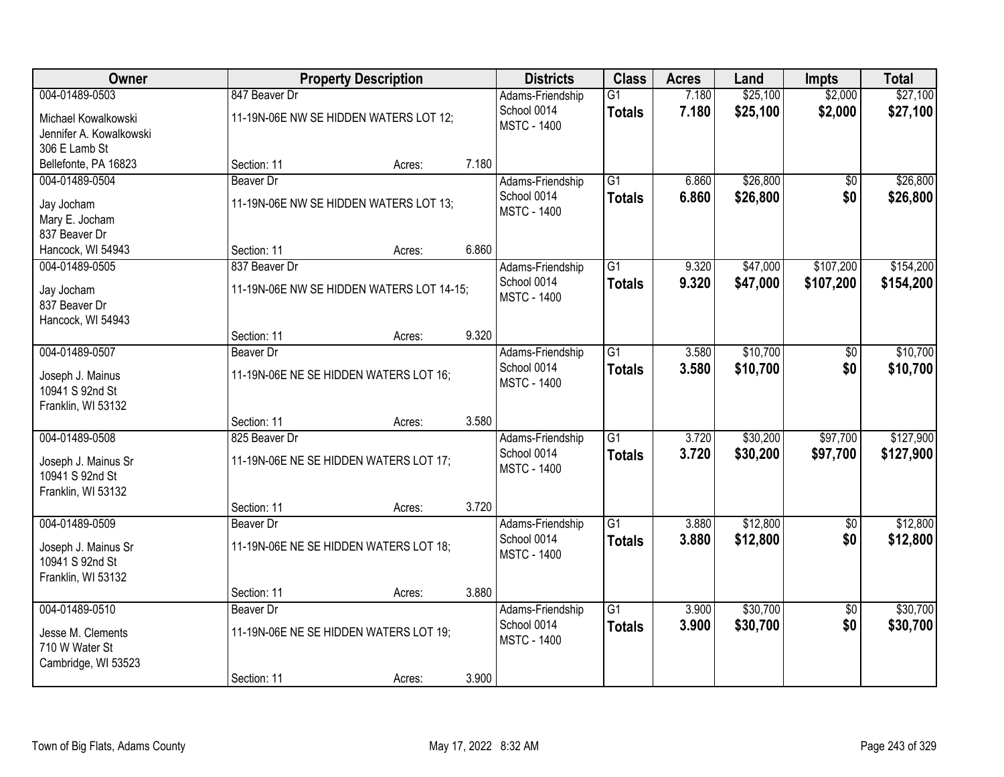| Owner                                 |                  | <b>Property Description</b>               |       | <b>Districts</b>                  | <b>Class</b>    | <b>Acres</b>   | Land     | <b>Impts</b>           | <b>Total</b> |
|---------------------------------------|------------------|-------------------------------------------|-------|-----------------------------------|-----------------|----------------|----------|------------------------|--------------|
| 004-01489-0503                        | 847 Beaver Dr    |                                           |       | Adams-Friendship                  | $\overline{G1}$ | 7.180          | \$25,100 | \$2,000                | \$27,100     |
| Michael Kowalkowski                   |                  | 11-19N-06E NW SE HIDDEN WATERS LOT 12;    |       | School 0014<br><b>MSTC - 1400</b> | <b>Totals</b>   | 7.180          | \$25,100 | \$2,000                | \$27,100     |
| Jennifer A. Kowalkowski               |                  |                                           |       |                                   |                 |                |          |                        |              |
| 306 E Lamb St                         |                  |                                           |       |                                   |                 |                |          |                        |              |
| Bellefonte, PA 16823                  | Section: 11      | Acres:                                    | 7.180 |                                   |                 |                |          |                        |              |
| 004-01489-0504                        | <b>Beaver Dr</b> |                                           |       | Adams-Friendship                  | $\overline{G1}$ | 6.860          | \$26,800 | $\overline{50}$        | \$26,800     |
| Jay Jocham                            |                  | 11-19N-06E NW SE HIDDEN WATERS LOT 13;    |       | School 0014                       | <b>Totals</b>   | 6.860          | \$26,800 | \$0                    | \$26,800     |
| Mary E. Jocham                        |                  |                                           |       | <b>MSTC - 1400</b>                |                 |                |          |                        |              |
| 837 Beaver Dr                         |                  |                                           |       |                                   |                 |                |          |                        |              |
| Hancock, WI 54943                     | Section: 11      | Acres:                                    | 6.860 |                                   |                 |                |          |                        |              |
| 004-01489-0505                        | 837 Beaver Dr    |                                           |       | Adams-Friendship                  | G1              | 9.320          | \$47,000 | \$107,200              | \$154,200    |
| Jay Jocham                            |                  | 11-19N-06E NW SE HIDDEN WATERS LOT 14-15; |       | School 0014                       | <b>Totals</b>   | 9.320          | \$47,000 | \$107,200              | \$154,200    |
| 837 Beaver Dr                         |                  |                                           |       | <b>MSTC - 1400</b>                |                 |                |          |                        |              |
| Hancock, WI 54943                     |                  |                                           |       |                                   |                 |                |          |                        |              |
|                                       | Section: 11      | Acres:                                    | 9.320 |                                   |                 |                |          |                        |              |
| 004-01489-0507                        | <b>Beaver Dr</b> |                                           |       | Adams-Friendship                  | G1              | 3.580          | \$10,700 | \$0                    | \$10,700     |
| Joseph J. Mainus                      |                  | 11-19N-06E NE SE HIDDEN WATERS LOT 16;    |       | School 0014                       | <b>Totals</b>   | 3.580          | \$10,700 | \$0                    | \$10,700     |
| 10941 S 92nd St                       |                  |                                           |       | <b>MSTC - 1400</b>                |                 |                |          |                        |              |
| Franklin, WI 53132                    |                  |                                           |       |                                   |                 |                |          |                        |              |
|                                       | Section: 11      | Acres:                                    | 3.580 |                                   |                 |                |          |                        |              |
| 004-01489-0508                        | 825 Beaver Dr    |                                           |       | Adams-Friendship                  | $\overline{G1}$ | 3.720          | \$30,200 | \$97,700               | \$127,900    |
|                                       |                  |                                           |       | School 0014                       | <b>Totals</b>   | 3.720          | \$30,200 | \$97,700               | \$127,900    |
| Joseph J. Mainus Sr                   |                  | 11-19N-06E NE SE HIDDEN WATERS LOT 17;    |       | <b>MSTC - 1400</b>                |                 |                |          |                        |              |
| 10941 S 92nd St<br>Franklin, WI 53132 |                  |                                           |       |                                   |                 |                |          |                        |              |
|                                       | Section: 11      | Acres:                                    | 3.720 |                                   |                 |                |          |                        |              |
| 004-01489-0509                        | <b>Beaver Dr</b> |                                           |       | Adams-Friendship                  | $\overline{G1}$ | 3.880          | \$12,800 | $\overline{50}$        | \$12,800     |
|                                       |                  |                                           |       | School 0014                       | <b>Totals</b>   | 3.880          | \$12,800 | \$0                    | \$12,800     |
| Joseph J. Mainus Sr                   |                  | 11-19N-06E NE SE HIDDEN WATERS LOT 18;    |       | <b>MSTC - 1400</b>                |                 |                |          |                        |              |
| 10941 S 92nd St                       |                  |                                           |       |                                   |                 |                |          |                        |              |
| Franklin, WI 53132                    |                  |                                           | 3.880 |                                   |                 |                |          |                        |              |
| 004-01489-0510                        | Section: 11      | Acres:                                    |       |                                   | $\overline{G1}$ |                | \$30,700 |                        | \$30,700     |
|                                       | Beaver Dr        |                                           |       | Adams-Friendship<br>School 0014   |                 | 3.900<br>3.900 |          | $\overline{50}$<br>\$0 |              |
| Jesse M. Clements                     |                  | 11-19N-06E NE SE HIDDEN WATERS LOT 19;    |       | <b>MSTC - 1400</b>                | <b>Totals</b>   |                | \$30,700 |                        | \$30,700     |
| 710 W Water St                        |                  |                                           |       |                                   |                 |                |          |                        |              |
| Cambridge, WI 53523                   |                  |                                           |       |                                   |                 |                |          |                        |              |
|                                       | Section: 11      | Acres:                                    | 3.900 |                                   |                 |                |          |                        |              |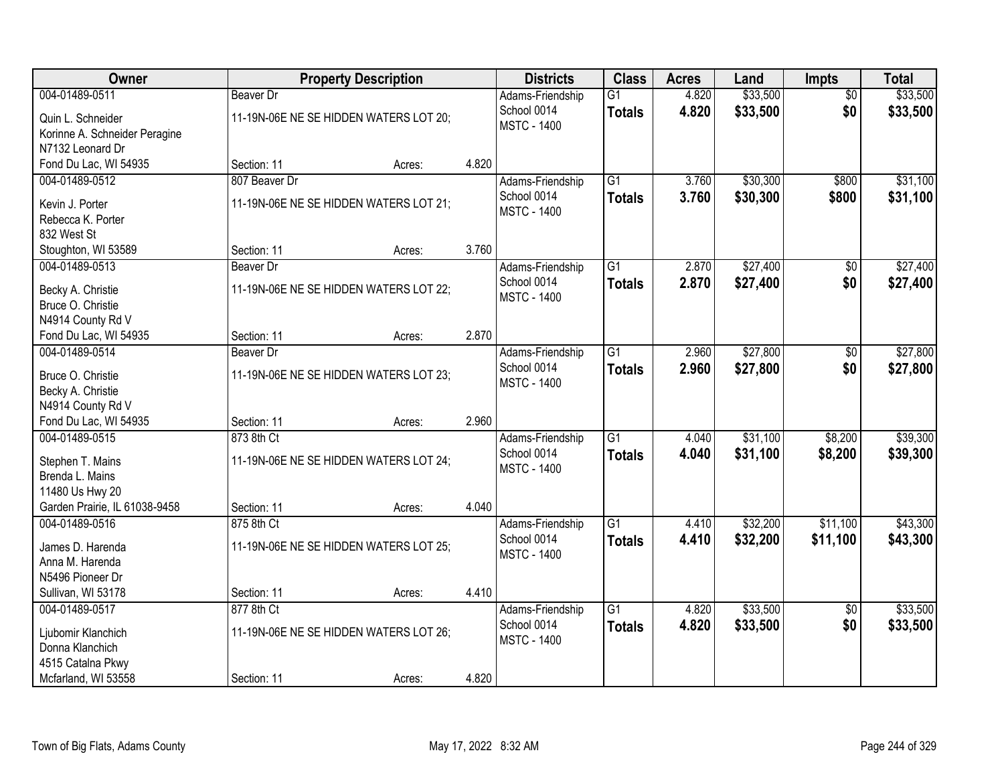| Owner                                             |                  | <b>Property Description</b>            |       | <b>Districts</b>                                      | <b>Class</b>                     | <b>Acres</b>   | Land                 | <b>Impts</b>           | <b>Total</b>         |
|---------------------------------------------------|------------------|----------------------------------------|-------|-------------------------------------------------------|----------------------------------|----------------|----------------------|------------------------|----------------------|
| 004-01489-0511<br>Quin L. Schneider               | <b>Beaver Dr</b> | 11-19N-06E NE SE HIDDEN WATERS LOT 20; |       | Adams-Friendship<br>School 0014<br><b>MSTC - 1400</b> | $\overline{G1}$<br><b>Totals</b> | 4.820<br>4.820 | \$33,500<br>\$33,500 | $\overline{50}$<br>\$0 | \$33,500<br>\$33,500 |
| Korinne A. Schneider Peragine<br>N7132 Leonard Dr |                  |                                        |       |                                                       |                                  |                |                      |                        |                      |
| Fond Du Lac, WI 54935                             | Section: 11      | Acres:                                 | 4.820 |                                                       |                                  |                |                      |                        |                      |
| 004-01489-0512                                    | 807 Beaver Dr    |                                        |       | Adams-Friendship                                      | $\overline{G1}$                  | 3.760          | \$30,300             | \$800                  | \$31,100             |
| Kevin J. Porter<br>Rebecca K. Porter              |                  | 11-19N-06E NE SE HIDDEN WATERS LOT 21; |       | School 0014<br><b>MSTC - 1400</b>                     | <b>Totals</b>                    | 3.760          | \$30,300             | \$800                  | \$31,100             |
| 832 West St                                       |                  |                                        |       |                                                       |                                  |                |                      |                        |                      |
| Stoughton, WI 53589                               | Section: 11      | Acres:                                 | 3.760 |                                                       |                                  |                |                      |                        |                      |
| 004-01489-0513                                    | <b>Beaver Dr</b> |                                        |       | Adams-Friendship                                      | $\overline{G1}$                  | 2.870          | \$27,400             | \$0                    | \$27,400             |
| Becky A. Christie                                 |                  | 11-19N-06E NE SE HIDDEN WATERS LOT 22; |       | School 0014                                           | <b>Totals</b>                    | 2.870          | \$27,400             | \$0                    | \$27,400             |
| Bruce O. Christie                                 |                  |                                        |       | <b>MSTC - 1400</b>                                    |                                  |                |                      |                        |                      |
| N4914 County Rd V                                 |                  |                                        |       |                                                       |                                  |                |                      |                        |                      |
| Fond Du Lac, WI 54935                             | Section: 11      | Acres:                                 | 2.870 |                                                       |                                  |                |                      |                        |                      |
| 004-01489-0514                                    | Beaver Dr        |                                        |       | Adams-Friendship                                      | $\overline{G1}$                  | 2.960          | \$27,800             | \$0                    | \$27,800             |
|                                                   |                  |                                        |       | School 0014                                           | <b>Totals</b>                    | 2.960          | \$27,800             | \$0                    | \$27,800             |
| Bruce O. Christie                                 |                  | 11-19N-06E NE SE HIDDEN WATERS LOT 23; |       | <b>MSTC - 1400</b>                                    |                                  |                |                      |                        |                      |
| Becky A. Christie                                 |                  |                                        |       |                                                       |                                  |                |                      |                        |                      |
| N4914 County Rd V                                 |                  |                                        |       |                                                       |                                  |                |                      |                        |                      |
| Fond Du Lac, WI 54935                             | Section: 11      | Acres:                                 | 2.960 |                                                       |                                  |                |                      |                        |                      |
| 004-01489-0515                                    | 873 8th Ct       |                                        |       | Adams-Friendship                                      | $\overline{G1}$                  | 4.040          | \$31,100             | \$8,200                | \$39,300             |
| Stephen T. Mains                                  |                  | 11-19N-06E NE SE HIDDEN WATERS LOT 24; |       | School 0014                                           | <b>Totals</b>                    | 4.040          | \$31,100             | \$8,200                | \$39,300             |
| Brenda L. Mains                                   |                  |                                        |       | <b>MSTC - 1400</b>                                    |                                  |                |                      |                        |                      |
| 11480 Us Hwy 20                                   |                  |                                        |       |                                                       |                                  |                |                      |                        |                      |
| Garden Prairie, IL 61038-9458                     | Section: 11      | Acres:                                 | 4.040 |                                                       |                                  |                |                      |                        |                      |
| 004-01489-0516                                    | 875 8th Ct       |                                        |       | Adams-Friendship                                      | $\overline{G1}$                  | 4.410          | \$32,200             | \$11,100               | \$43,300             |
| James D. Harenda                                  |                  | 11-19N-06E NE SE HIDDEN WATERS LOT 25; |       | School 0014                                           | <b>Totals</b>                    | 4.410          | \$32,200             | \$11,100               | \$43,300             |
| Anna M. Harenda                                   |                  |                                        |       | <b>MSTC - 1400</b>                                    |                                  |                |                      |                        |                      |
| N5496 Pioneer Dr                                  |                  |                                        |       |                                                       |                                  |                |                      |                        |                      |
| Sullivan, WI 53178                                | Section: 11      | Acres:                                 | 4.410 |                                                       |                                  |                |                      |                        |                      |
| 004-01489-0517                                    | 877 8th Ct       |                                        |       | Adams-Friendship                                      | $\overline{G1}$                  | 4.820          | \$33,500             | $\overline{50}$        | \$33,500             |
|                                                   |                  |                                        |       | School 0014                                           | <b>Totals</b>                    | 4.820          | \$33,500             | \$0                    | \$33,500             |
| Ljubomir Klanchich                                |                  | 11-19N-06E NE SE HIDDEN WATERS LOT 26; |       | <b>MSTC - 1400</b>                                    |                                  |                |                      |                        |                      |
| Donna Klanchich                                   |                  |                                        |       |                                                       |                                  |                |                      |                        |                      |
| 4515 Catalna Pkwy                                 |                  |                                        |       |                                                       |                                  |                |                      |                        |                      |
| Mcfarland, WI 53558                               | Section: 11      | Acres:                                 | 4.820 |                                                       |                                  |                |                      |                        |                      |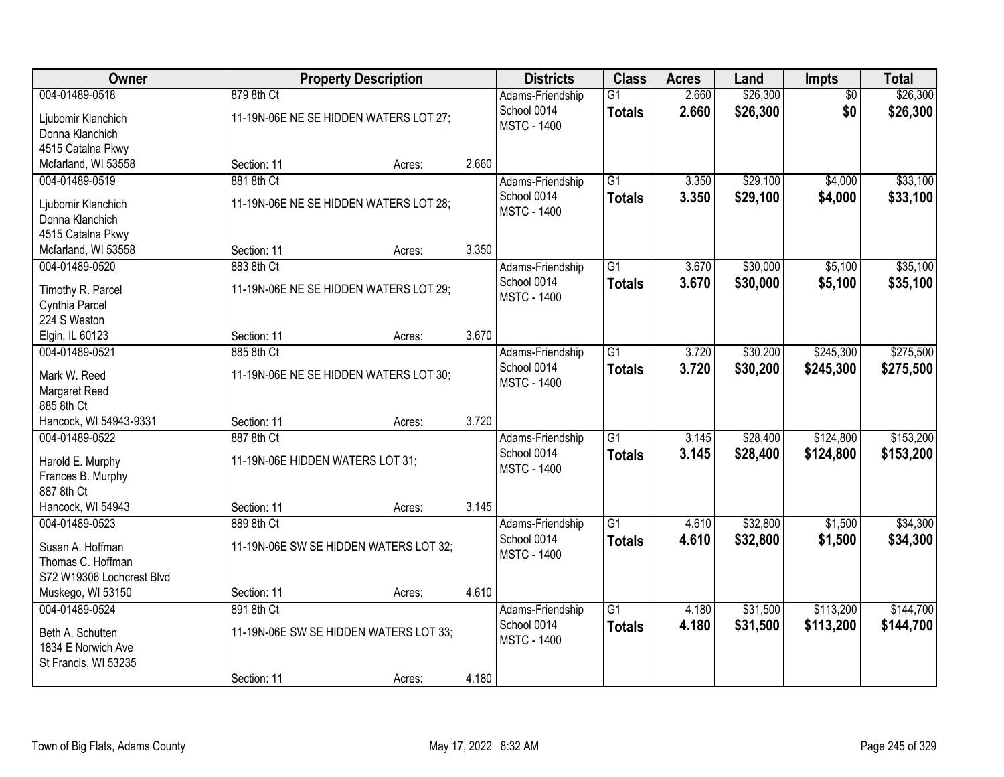| Owner                                                                                      |                                                               | <b>Property Description</b>            |       | <b>Districts</b>                                      | <b>Class</b>                     | <b>Acres</b>   | Land                 | Impts                  | <b>Total</b>           |
|--------------------------------------------------------------------------------------------|---------------------------------------------------------------|----------------------------------------|-------|-------------------------------------------------------|----------------------------------|----------------|----------------------|------------------------|------------------------|
| 004-01489-0518<br>Ljubomir Klanchich<br>Donna Klanchich<br>4515 Catalna Pkwy               | 879 8th Ct                                                    | 11-19N-06E NE SE HIDDEN WATERS LOT 27; |       | Adams-Friendship<br>School 0014<br><b>MSTC - 1400</b> | $\overline{G1}$<br><b>Totals</b> | 2.660<br>2.660 | \$26,300<br>\$26,300 | $\overline{50}$<br>\$0 | \$26,300<br>\$26,300   |
| Mcfarland, WI 53558                                                                        | Section: 11                                                   | Acres:                                 | 2.660 |                                                       |                                  |                |                      |                        |                        |
| 004-01489-0519<br>Ljubomir Klanchich<br>Donna Klanchich<br>4515 Catalna Pkwy               | 881 8th Ct                                                    | 11-19N-06E NE SE HIDDEN WATERS LOT 28; |       | Adams-Friendship<br>School 0014<br><b>MSTC - 1400</b> | $\overline{G1}$<br><b>Totals</b> | 3.350<br>3.350 | \$29,100<br>\$29,100 | \$4,000<br>\$4,000     | \$33,100<br>\$33,100   |
| Mcfarland, WI 53558                                                                        | Section: 11                                                   | Acres:                                 | 3.350 |                                                       |                                  |                |                      |                        |                        |
| 004-01489-0520<br>Timothy R. Parcel<br>Cynthia Parcel<br>224 S Weston                      | 883 8th Ct                                                    | 11-19N-06E NE SE HIDDEN WATERS LOT 29; |       | Adams-Friendship<br>School 0014<br><b>MSTC - 1400</b> | G1<br><b>Totals</b>              | 3.670<br>3.670 | \$30,000<br>\$30,000 | \$5,100<br>\$5,100     | \$35,100<br>\$35,100   |
| Elgin, IL 60123                                                                            | Section: 11                                                   | Acres:                                 | 3.670 |                                                       |                                  |                |                      |                        |                        |
| 004-01489-0521<br>Mark W. Reed<br>Margaret Reed<br>885 8th Ct                              | 885 8th Ct                                                    | 11-19N-06E NE SE HIDDEN WATERS LOT 30; |       | Adams-Friendship<br>School 0014<br><b>MSTC - 1400</b> | G1<br><b>Totals</b>              | 3.720<br>3.720 | \$30,200<br>\$30,200 | \$245,300<br>\$245,300 | \$275,500<br>\$275,500 |
| Hancock, WI 54943-9331                                                                     | Section: 11                                                   | Acres:                                 | 3.720 |                                                       |                                  |                |                      |                        |                        |
| 004-01489-0522<br>Harold E. Murphy<br>Frances B. Murphy<br>887 8th Ct<br>Hancock, WI 54943 | 887 8th Ct<br>11-19N-06E HIDDEN WATERS LOT 31;<br>Section: 11 | Acres:                                 | 3.145 | Adams-Friendship<br>School 0014<br><b>MSTC - 1400</b> | $\overline{G1}$<br><b>Totals</b> | 3.145<br>3.145 | \$28,400<br>\$28,400 | \$124,800<br>\$124,800 | \$153,200<br>\$153,200 |
| 004-01489-0523                                                                             | 889 8th Ct                                                    |                                        |       | Adams-Friendship                                      | $\overline{G1}$                  | 4.610          | \$32,800             | \$1,500                | \$34,300               |
| Susan A. Hoffman<br>Thomas C. Hoffman<br>S72 W19306 Lochcrest Blvd                         |                                                               | 11-19N-06E SW SE HIDDEN WATERS LOT 32; |       | School 0014<br><b>MSTC - 1400</b>                     | <b>Totals</b>                    | 4.610          | \$32,800             | \$1,500                | \$34,300               |
| Muskego, WI 53150                                                                          | Section: 11                                                   | Acres:                                 | 4.610 |                                                       |                                  |                |                      |                        |                        |
| 004-01489-0524<br>Beth A. Schutten<br>1834 E Norwich Ave<br>St Francis, WI 53235           | 891 8th Ct                                                    | 11-19N-06E SW SE HIDDEN WATERS LOT 33; |       | Adams-Friendship<br>School 0014<br><b>MSTC - 1400</b> | $\overline{G1}$<br><b>Totals</b> | 4.180<br>4.180 | \$31,500<br>\$31,500 | \$113,200<br>\$113,200 | \$144,700<br>\$144,700 |
|                                                                                            | Section: 11                                                   | Acres:                                 | 4.180 |                                                       |                                  |                |                      |                        |                        |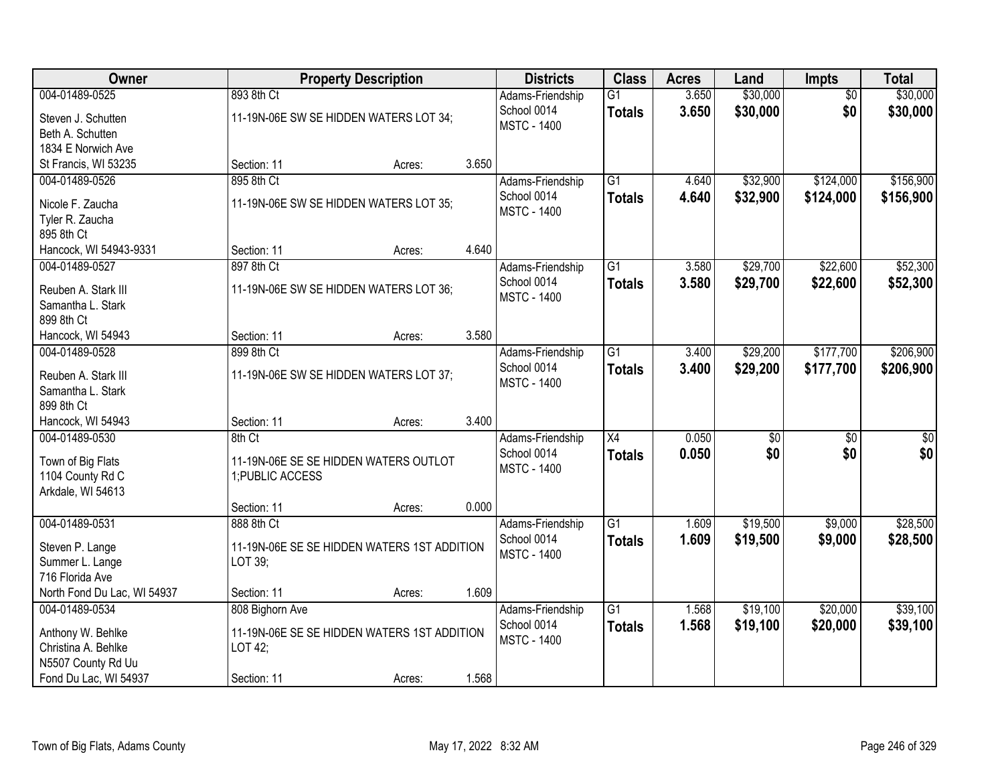| Owner                                    |                  | <b>Property Description</b>                 |       | <b>Districts</b>                  | <b>Class</b>    | <b>Acres</b> | Land            | <b>Impts</b>    | <b>Total</b>    |
|------------------------------------------|------------------|---------------------------------------------|-------|-----------------------------------|-----------------|--------------|-----------------|-----------------|-----------------|
| 004-01489-0525                           | 893 8th Ct       |                                             |       | Adams-Friendship                  | $\overline{G1}$ | 3.650        | \$30,000        | $\overline{50}$ | \$30,000        |
| Steven J. Schutten                       |                  | 11-19N-06E SW SE HIDDEN WATERS LOT 34;      |       | School 0014<br><b>MSTC - 1400</b> | <b>Totals</b>   | 3.650        | \$30,000        | \$0             | \$30,000        |
| Beth A. Schutten                         |                  |                                             |       |                                   |                 |              |                 |                 |                 |
| 1834 E Norwich Ave                       |                  |                                             |       |                                   |                 |              |                 |                 |                 |
| St Francis, WI 53235                     | Section: 11      | Acres:                                      | 3.650 |                                   |                 |              |                 |                 |                 |
| 004-01489-0526                           | 895 8th Ct       |                                             |       | Adams-Friendship                  | $\overline{G1}$ | 4.640        | \$32,900        | \$124,000       | \$156,900       |
| Nicole F. Zaucha                         |                  | 11-19N-06E SW SE HIDDEN WATERS LOT 35;      |       | School 0014                       | <b>Totals</b>   | 4.640        | \$32,900        | \$124,000       | \$156,900       |
| Tyler R. Zaucha                          |                  |                                             |       | <b>MSTC - 1400</b>                |                 |              |                 |                 |                 |
| 895 8th Ct                               |                  |                                             |       |                                   |                 |              |                 |                 |                 |
| Hancock, WI 54943-9331                   | Section: 11      | Acres:                                      | 4.640 |                                   |                 |              |                 |                 |                 |
| 004-01489-0527                           | 897 8th Ct       |                                             |       | Adams-Friendship                  | $\overline{G1}$ | 3.580        | \$29,700        | \$22,600        | \$52,300        |
| Reuben A. Stark III                      |                  | 11-19N-06E SW SE HIDDEN WATERS LOT 36;      |       | School 0014                       | <b>Totals</b>   | 3.580        | \$29,700        | \$22,600        | \$52,300        |
| Samantha L. Stark                        |                  |                                             |       | <b>MSTC - 1400</b>                |                 |              |                 |                 |                 |
| 899 8th Ct                               |                  |                                             |       |                                   |                 |              |                 |                 |                 |
| Hancock, WI 54943                        | Section: 11      | Acres:                                      | 3.580 |                                   |                 |              |                 |                 |                 |
| 004-01489-0528                           | 899 8th Ct       |                                             |       | Adams-Friendship                  | $\overline{G1}$ | 3.400        | \$29,200        | \$177,700       | \$206,900       |
|                                          |                  |                                             |       | School 0014                       | <b>Totals</b>   | 3.400        | \$29,200        | \$177,700       | \$206,900       |
| Reuben A. Stark III<br>Samantha L. Stark |                  | 11-19N-06E SW SE HIDDEN WATERS LOT 37;      |       | <b>MSTC - 1400</b>                |                 |              |                 |                 |                 |
| 899 8th Ct                               |                  |                                             |       |                                   |                 |              |                 |                 |                 |
| Hancock, WI 54943                        | Section: 11      | Acres:                                      | 3.400 |                                   |                 |              |                 |                 |                 |
| 004-01489-0530                           | 8th Ct           |                                             |       | Adams-Friendship                  | $\overline{X4}$ | 0.050        | $\overline{30}$ | $\overline{30}$ | $\overline{30}$ |
|                                          |                  |                                             |       | School 0014                       | <b>Totals</b>   | 0.050        | \$0             | \$0             | \$0             |
| Town of Big Flats                        |                  | 11-19N-06E SE SE HIDDEN WATERS OUTLOT       |       | <b>MSTC - 1400</b>                |                 |              |                 |                 |                 |
| 1104 County Rd C                         | 1; PUBLIC ACCESS |                                             |       |                                   |                 |              |                 |                 |                 |
| Arkdale, WI 54613                        | Section: 11      | Acres:                                      | 0.000 |                                   |                 |              |                 |                 |                 |
| 004-01489-0531                           | 888 8th Ct       |                                             |       | Adams-Friendship                  | $\overline{G1}$ | 1.609        | \$19,500        | \$9,000         | \$28,500        |
|                                          |                  |                                             |       | School 0014                       | <b>Totals</b>   | 1.609        | \$19,500        | \$9,000         | \$28,500        |
| Steven P. Lange                          |                  | 11-19N-06E SE SE HIDDEN WATERS 1ST ADDITION |       | <b>MSTC - 1400</b>                |                 |              |                 |                 |                 |
| Summer L. Lange                          | LOT 39;          |                                             |       |                                   |                 |              |                 |                 |                 |
| 716 Florida Ave                          |                  |                                             |       |                                   |                 |              |                 |                 |                 |
| North Fond Du Lac, WI 54937              | Section: 11      | Acres:                                      | 1.609 |                                   |                 |              |                 |                 |                 |
| 004-01489-0534                           | 808 Bighorn Ave  |                                             |       | Adams-Friendship                  | $\overline{G1}$ | 1.568        | \$19,100        | \$20,000        | \$39,100        |
| Anthony W. Behlke                        |                  | 11-19N-06E SE SE HIDDEN WATERS 1ST ADDITION |       | School 0014                       | <b>Totals</b>   | 1.568        | \$19,100        | \$20,000        | \$39,100        |
| Christina A. Behlke                      | LOT 42;          |                                             |       | <b>MSTC - 1400</b>                |                 |              |                 |                 |                 |
| N5507 County Rd Uu                       |                  |                                             |       |                                   |                 |              |                 |                 |                 |
| Fond Du Lac, WI 54937                    | Section: 11      | Acres:                                      | 1.568 |                                   |                 |              |                 |                 |                 |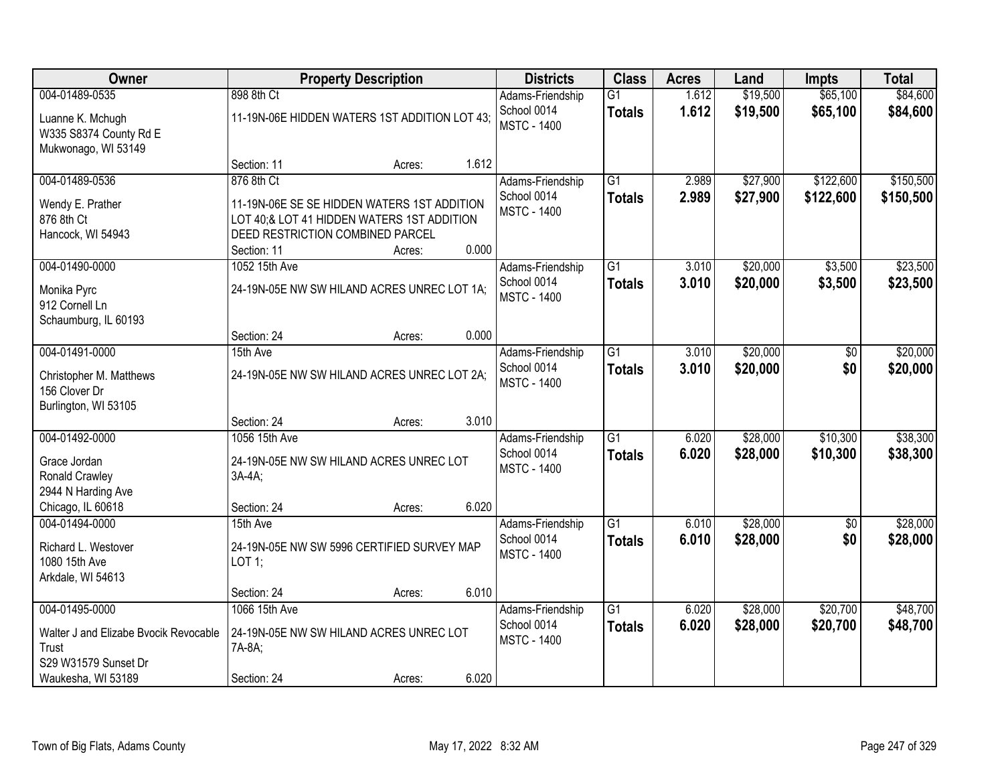| <b>Owner</b>                                                                                                   |                                                                                                                                                            | <b>Property Description</b> |       | <b>Districts</b>                                      | <b>Class</b>                     | <b>Acres</b>   | Land                 | <b>Impts</b>           | <b>Total</b>           |
|----------------------------------------------------------------------------------------------------------------|------------------------------------------------------------------------------------------------------------------------------------------------------------|-----------------------------|-------|-------------------------------------------------------|----------------------------------|----------------|----------------------|------------------------|------------------------|
| 004-01489-0535<br>Luanne K. Mchugh<br>W335 S8374 County Rd E<br>Mukwonago, WI 53149                            | 898 8th Ct<br>11-19N-06E HIDDEN WATERS 1ST ADDITION LOT 43;                                                                                                |                             |       | Adams-Friendship<br>School 0014<br><b>MSTC - 1400</b> | $\overline{G1}$<br><b>Totals</b> | 1.612<br>1.612 | \$19,500<br>\$19,500 | \$65,100<br>\$65,100   | \$84,600<br>\$84,600   |
|                                                                                                                | Section: 11                                                                                                                                                | Acres:                      | 1.612 |                                                       |                                  |                |                      |                        |                        |
| 004-01489-0536<br>Wendy E. Prather<br>876 8th Ct<br>Hancock, WI 54943                                          | 876 8th Ct<br>11-19N-06E SE SE HIDDEN WATERS 1ST ADDITION<br>LOT 40;& LOT 41 HIDDEN WATERS 1ST ADDITION<br>DEED RESTRICTION COMBINED PARCEL<br>Section: 11 | Acres:                      | 0.000 | Adams-Friendship<br>School 0014<br><b>MSTC - 1400</b> | $\overline{G1}$<br><b>Totals</b> | 2.989<br>2.989 | \$27,900<br>\$27,900 | \$122,600<br>\$122,600 | \$150,500<br>\$150,500 |
| 004-01490-0000                                                                                                 | 1052 15th Ave                                                                                                                                              |                             |       | Adams-Friendship                                      | $\overline{G1}$                  | 3.010          | \$20,000             | \$3,500                | \$23,500               |
| Monika Pyrc<br>912 Cornell Ln<br>Schaumburg, IL 60193                                                          | 24-19N-05E NW SW HILAND ACRES UNREC LOT 1A;                                                                                                                |                             |       | School 0014<br><b>MSTC - 1400</b>                     | <b>Totals</b>                    | 3.010          | \$20,000             | \$3,500                | \$23,500               |
|                                                                                                                | Section: 24                                                                                                                                                | Acres:                      | 0.000 |                                                       |                                  |                |                      |                        |                        |
| 004-01491-0000<br>Christopher M. Matthews<br>156 Clover Dr<br>Burlington, WI 53105                             | 15th Ave<br>24-19N-05E NW SW HILAND ACRES UNREC LOT 2A;                                                                                                    |                             |       | Adams-Friendship<br>School 0014<br><b>MSTC - 1400</b> | $\overline{G1}$<br><b>Totals</b> | 3.010<br>3.010 | \$20,000<br>\$20,000 | \$0<br>\$0             | \$20,000<br>\$20,000   |
|                                                                                                                | Section: 24                                                                                                                                                | Acres:                      | 3.010 |                                                       |                                  |                |                      |                        |                        |
| 004-01492-0000<br>Grace Jordan<br>Ronald Crawley<br>2944 N Harding Ave<br>Chicago, IL 60618                    | 1056 15th Ave<br>24-19N-05E NW SW HILAND ACRES UNREC LOT<br>3A-4A;<br>Section: 24                                                                          | Acres:                      | 6.020 | Adams-Friendship<br>School 0014<br><b>MSTC - 1400</b> | $\overline{G1}$<br><b>Totals</b> | 6.020<br>6.020 | \$28,000<br>\$28,000 | \$10,300<br>\$10,300   | \$38,300<br>\$38,300   |
| 004-01494-0000                                                                                                 | 15th Ave                                                                                                                                                   |                             |       | Adams-Friendship                                      | G1                               | 6.010          | \$28,000             | $\sqrt{6}$             | \$28,000               |
| Richard L. Westover<br>1080 15th Ave<br>Arkdale, WI 54613                                                      | 24-19N-05E NW SW 5996 CERTIFIED SURVEY MAP<br>LOT 1;                                                                                                       |                             |       | School 0014<br><b>MSTC - 1400</b>                     | <b>Totals</b>                    | 6.010          | \$28,000             | \$0                    | \$28,000               |
|                                                                                                                | Section: 24                                                                                                                                                | Acres:                      | 6.010 |                                                       |                                  |                |                      |                        |                        |
| 004-01495-0000<br>Walter J and Elizabe Bvocik Revocable<br>Trust<br>S29 W31579 Sunset Dr<br>Waukesha, WI 53189 | 1066 15th Ave<br>24-19N-05E NW SW HILAND ACRES UNREC LOT<br>7A-8A;<br>Section: 24                                                                          | Acres:                      | 6.020 | Adams-Friendship<br>School 0014<br><b>MSTC - 1400</b> | $\overline{G1}$<br><b>Totals</b> | 6.020<br>6.020 | \$28,000<br>\$28,000 | \$20,700<br>\$20,700   | \$48,700<br>\$48,700   |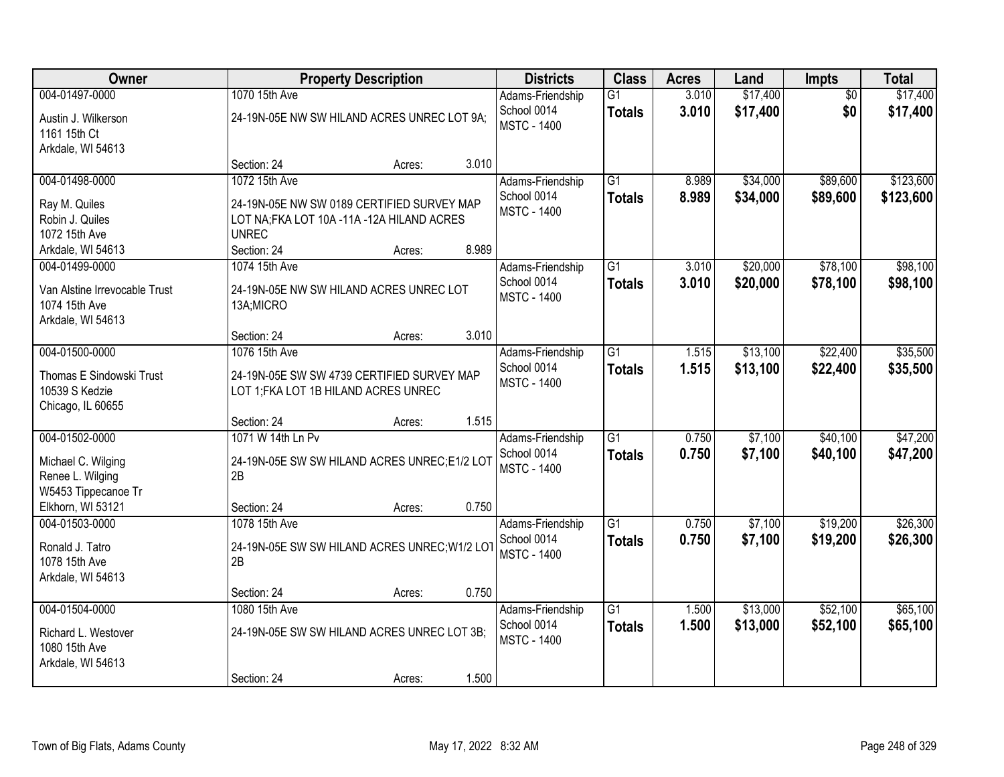| Owner                                          |                                                                                    | <b>Property Description</b> |       | <b>Districts</b>                  | <b>Class</b>                     | <b>Acres</b>   | Land                 | <b>Impts</b>           | <b>Total</b>         |
|------------------------------------------------|------------------------------------------------------------------------------------|-----------------------------|-------|-----------------------------------|----------------------------------|----------------|----------------------|------------------------|----------------------|
| 004-01497-0000                                 | 1070 15th Ave                                                                      |                             |       | Adams-Friendship<br>School 0014   | $\overline{G1}$<br><b>Totals</b> | 3.010<br>3.010 | \$17,400<br>\$17,400 | $\overline{50}$<br>\$0 | \$17,400<br>\$17,400 |
| Austin J. Wilkerson<br>1161 15th Ct            | 24-19N-05E NW SW HILAND ACRES UNREC LOT 9A;                                        |                             |       | <b>MSTC - 1400</b>                |                                  |                |                      |                        |                      |
| Arkdale, WI 54613                              | Section: 24                                                                        | Acres:                      | 3.010 |                                   |                                  |                |                      |                        |                      |
| 004-01498-0000                                 | 1072 15th Ave                                                                      |                             |       | Adams-Friendship                  | $\overline{G1}$                  | 8.989          | \$34,000             | \$89,600               | \$123,600            |
| Ray M. Quiles                                  | 24-19N-05E NW SW 0189 CERTIFIED SURVEY MAP                                         |                             |       | School 0014<br><b>MSTC - 1400</b> | <b>Totals</b>                    | 8.989          | \$34,000             | \$89,600               | \$123,600            |
| Robin J. Quiles<br>1072 15th Ave               | LOT NA;FKA LOT 10A -11A -12A HILAND ACRES<br><b>UNREC</b>                          |                             |       |                                   |                                  |                |                      |                        |                      |
| Arkdale, WI 54613                              | Section: 24                                                                        | Acres:                      | 8.989 |                                   |                                  |                |                      |                        |                      |
| 004-01499-0000                                 | 1074 15th Ave                                                                      |                             |       | Adams-Friendship                  | G1                               | 3.010          | \$20,000             | \$78,100               | \$98,100             |
| Van Alstine Irrevocable Trust<br>1074 15th Ave | 24-19N-05E NW SW HILAND ACRES UNREC LOT<br>13A;MICRO                               |                             |       | School 0014<br><b>MSTC - 1400</b> | <b>Totals</b>                    | 3.010          | \$20,000             | \$78,100               | \$98,100             |
| Arkdale, WI 54613                              |                                                                                    |                             |       |                                   |                                  |                |                      |                        |                      |
| 004-01500-0000                                 | Section: 24                                                                        | Acres:                      | 3.010 |                                   | $\overline{G1}$                  |                |                      | \$22,400               |                      |
|                                                | 1076 15th Ave                                                                      |                             |       | Adams-Friendship<br>School 0014   | <b>Totals</b>                    | 1.515<br>1.515 | \$13,100<br>\$13,100 | \$22,400               | \$35,500<br>\$35,500 |
| Thomas E Sindowski Trust<br>10539 S Kedzie     | 24-19N-05E SW SW 4739 CERTIFIED SURVEY MAP<br>LOT 1; FKA LOT 1B HILAND ACRES UNREC |                             |       | <b>MSTC - 1400</b>                |                                  |                |                      |                        |                      |
| Chicago, IL 60655                              | Section: 24                                                                        | Acres:                      | 1.515 |                                   |                                  |                |                      |                        |                      |
| 004-01502-0000                                 | 1071 W 14th Ln Pv                                                                  |                             |       | Adams-Friendship                  | $\overline{G1}$                  | 0.750          | \$7,100              | \$40,100               | \$47,200             |
| Michael C. Wilging                             | 24-19N-05E SW SW HILAND ACRES UNREC;E1/2 LOT                                       |                             |       | School 0014                       | <b>Totals</b>                    | 0.750          | \$7,100              | \$40,100               | \$47,200             |
| Renee L. Wilging                               | 2B                                                                                 |                             |       | <b>MSTC - 1400</b>                |                                  |                |                      |                        |                      |
| W5453 Tippecanoe Tr                            |                                                                                    |                             |       |                                   |                                  |                |                      |                        |                      |
| Elkhorn, WI 53121                              | Section: 24                                                                        | Acres:                      | 0.750 |                                   |                                  |                |                      |                        |                      |
| 004-01503-0000                                 | 1078 15th Ave                                                                      |                             |       | Adams-Friendship<br>School 0014   | $\overline{G1}$                  | 0.750<br>0.750 | \$7,100<br>\$7,100   | \$19,200<br>\$19,200   | \$26,300             |
| Ronald J. Tatro                                | 24-19N-05E SW SW HILAND ACRES UNREC; W1/2 LO                                       |                             |       | <b>MSTC - 1400</b>                | <b>Totals</b>                    |                |                      |                        | \$26,300             |
| 1078 15th Ave<br>Arkdale, WI 54613             | 2B                                                                                 |                             |       |                                   |                                  |                |                      |                        |                      |
|                                                | Section: 24                                                                        | Acres:                      | 0.750 |                                   |                                  |                |                      |                        |                      |
| 004-01504-0000                                 | 1080 15th Ave                                                                      |                             |       | Adams-Friendship                  | $\overline{G1}$                  | 1.500          | \$13,000             | \$52,100               | \$65,100             |
| Richard L. Westover<br>1080 15th Ave           | 24-19N-05E SW SW HILAND ACRES UNREC LOT 3B;                                        |                             |       | School 0014<br><b>MSTC - 1400</b> | <b>Totals</b>                    | 1.500          | \$13,000             | \$52,100               | \$65,100             |
| Arkdale, WI 54613                              |                                                                                    |                             |       |                                   |                                  |                |                      |                        |                      |
|                                                | Section: 24                                                                        | Acres:                      | 1.500 |                                   |                                  |                |                      |                        |                      |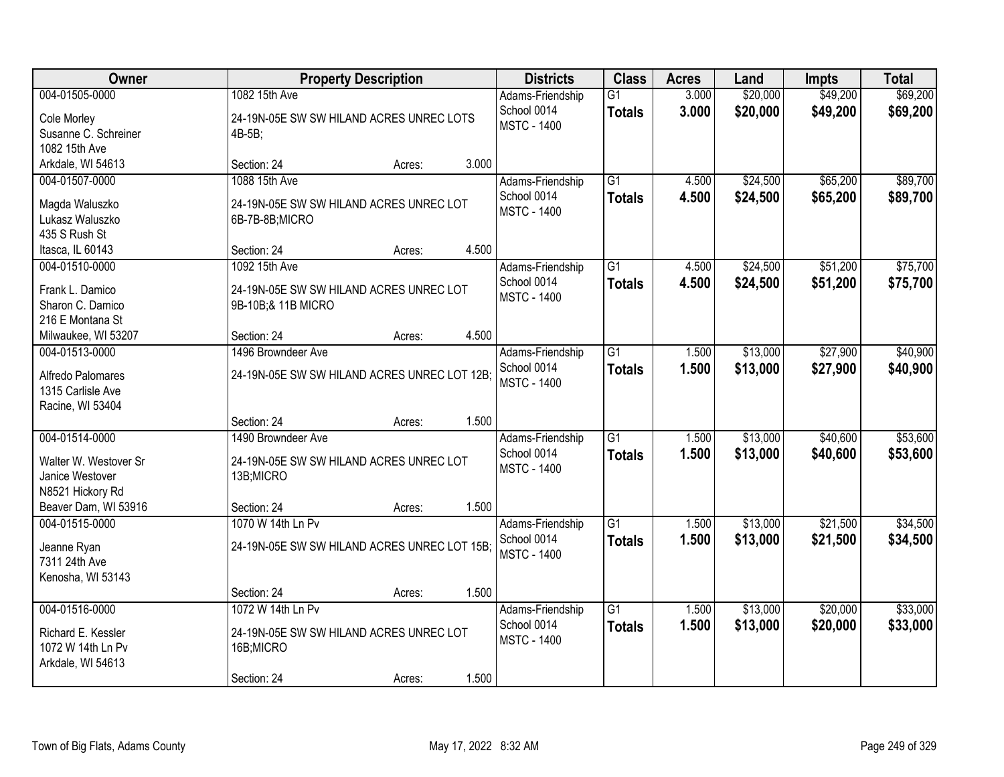| Owner                                                                                                  |                                                                                           | <b>Property Description</b> |       | <b>Districts</b>                                      | <b>Class</b>                     | <b>Acres</b>   | Land                 | <b>Impts</b>         | <b>Total</b>         |
|--------------------------------------------------------------------------------------------------------|-------------------------------------------------------------------------------------------|-----------------------------|-------|-------------------------------------------------------|----------------------------------|----------------|----------------------|----------------------|----------------------|
| 004-01505-0000<br>Cole Morley<br>Susanne C. Schreiner<br>1082 15th Ave                                 | 1082 15th Ave<br>24-19N-05E SW SW HILAND ACRES UNREC LOTS<br>4B-5B;                       |                             |       | Adams-Friendship<br>School 0014<br><b>MSTC - 1400</b> | $\overline{G1}$<br><b>Totals</b> | 3.000<br>3.000 | \$20,000<br>\$20,000 | \$49,200<br>\$49,200 | \$69,200<br>\$69,200 |
| Arkdale, WI 54613                                                                                      | Section: 24                                                                               | Acres:                      | 3.000 |                                                       |                                  |                |                      |                      |                      |
| 004-01507-0000<br>Magda Waluszko<br>Lukasz Waluszko<br>435 S Rush St                                   | 1088 15th Ave<br>24-19N-05E SW SW HILAND ACRES UNREC LOT<br>6B-7B-8B;MICRO                |                             |       | Adams-Friendship<br>School 0014<br><b>MSTC - 1400</b> | $\overline{G1}$<br><b>Totals</b> | 4.500<br>4.500 | \$24,500<br>\$24,500 | \$65,200<br>\$65,200 | \$89,700<br>\$89,700 |
| Itasca, IL 60143                                                                                       | Section: 24                                                                               | Acres:                      | 4.500 |                                                       |                                  |                |                      |                      |                      |
| 004-01510-0000<br>Frank L. Damico<br>Sharon C. Damico<br>216 E Montana St                              | 1092 15th Ave<br>24-19N-05E SW SW HILAND ACRES UNREC LOT<br>9B-10B;& 11B MICRO            |                             |       | Adams-Friendship<br>School 0014<br><b>MSTC - 1400</b> | G1<br><b>Totals</b>              | 4.500<br>4.500 | \$24,500<br>\$24,500 | \$51,200<br>\$51,200 | \$75,700<br>\$75,700 |
| Milwaukee, WI 53207                                                                                    | Section: 24                                                                               | Acres:                      | 4.500 |                                                       |                                  |                |                      |                      |                      |
| 004-01513-0000<br>Alfredo Palomares<br>1315 Carlisle Ave<br>Racine, WI 53404                           | 1496 Browndeer Ave<br>24-19N-05E SW SW HILAND ACRES UNREC LOT 12B;                        |                             |       | Adams-Friendship<br>School 0014<br><b>MSTC - 1400</b> | G1<br><b>Totals</b>              | 1.500<br>1.500 | \$13,000<br>\$13,000 | \$27,900<br>\$27,900 | \$40,900<br>\$40,900 |
|                                                                                                        | Section: 24                                                                               | Acres:                      | 1.500 |                                                       |                                  |                |                      |                      |                      |
| 004-01514-0000<br>Walter W. Westover Sr<br>Janice Westover<br>N8521 Hickory Rd<br>Beaver Dam, WI 53916 | 1490 Browndeer Ave<br>24-19N-05E SW SW HILAND ACRES UNREC LOT<br>13B;MICRO<br>Section: 24 | Acres:                      | 1.500 | Adams-Friendship<br>School 0014<br><b>MSTC - 1400</b> | $\overline{G1}$<br><b>Totals</b> | 1.500<br>1.500 | \$13,000<br>\$13,000 | \$40,600<br>\$40,600 | \$53,600<br>\$53,600 |
| 004-01515-0000                                                                                         | 1070 W 14th Ln Pv                                                                         |                             |       | Adams-Friendship                                      | $\overline{G1}$                  | 1.500          | \$13,000             | \$21,500             | \$34,500             |
| Jeanne Ryan<br>7311 24th Ave<br>Kenosha, WI 53143                                                      | 24-19N-05E SW SW HILAND ACRES UNREC LOT 15B;                                              |                             |       | School 0014<br><b>MSTC - 1400</b>                     | <b>Totals</b>                    | 1.500          | \$13,000             | \$21,500             | \$34,500             |
|                                                                                                        | Section: 24                                                                               | Acres:                      | 1.500 |                                                       |                                  |                |                      |                      |                      |
| 004-01516-0000<br>Richard E. Kessler<br>1072 W 14th Ln Pv<br>Arkdale, WI 54613                         | 1072 W 14th Ln Pv<br>24-19N-05E SW SW HILAND ACRES UNREC LOT<br>16B;MICRO<br>Section: 24  | Acres:                      | 1.500 | Adams-Friendship<br>School 0014<br><b>MSTC - 1400</b> | $\overline{G1}$<br><b>Totals</b> | 1.500<br>1.500 | \$13,000<br>\$13,000 | \$20,000<br>\$20,000 | \$33,000<br>\$33,000 |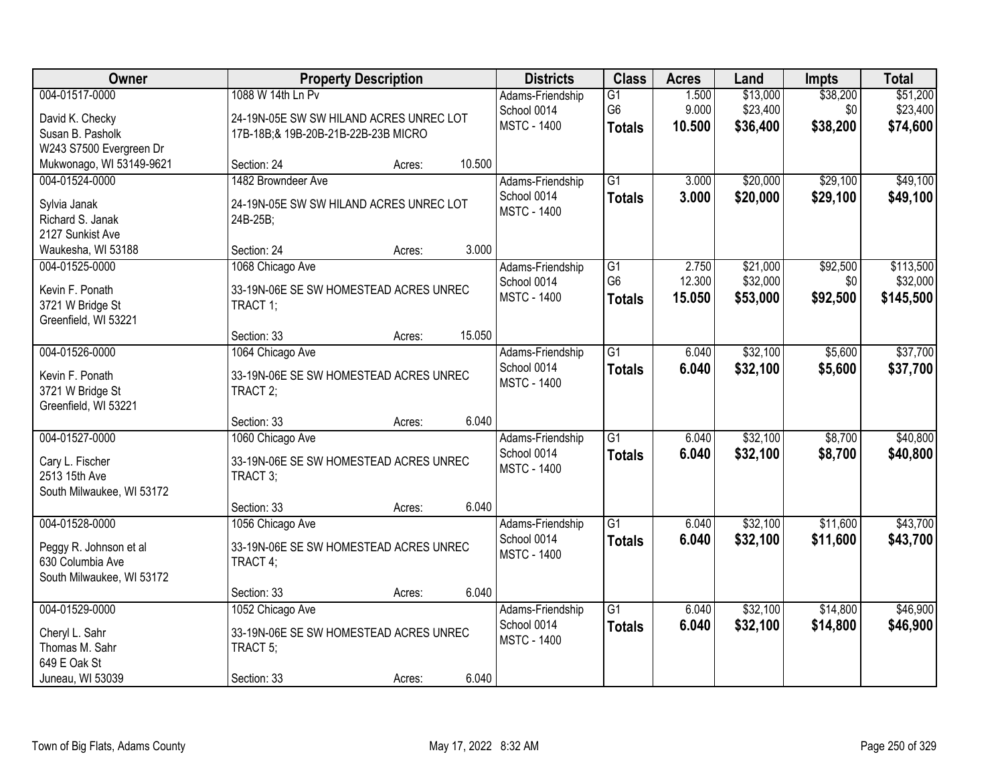| Owner                                                                                     |                                                                                                      | <b>Property Description</b> |        | <b>Districts</b>                                      | <b>Class</b>                                       | <b>Acres</b>              | Land                             | <b>Impts</b>                | <b>Total</b>                       |
|-------------------------------------------------------------------------------------------|------------------------------------------------------------------------------------------------------|-----------------------------|--------|-------------------------------------------------------|----------------------------------------------------|---------------------------|----------------------------------|-----------------------------|------------------------------------|
| 004-01517-0000<br>David K. Checky<br>Susan B. Pasholk<br>W243 S7500 Evergreen Dr          | 1088 W 14th Ln Pv<br>24-19N-05E SW SW HILAND ACRES UNREC LOT<br>17B-18B; & 19B-20B-21B-22B-23B MICRO |                             |        | Adams-Friendship<br>School 0014<br><b>MSTC - 1400</b> | G1<br>G <sub>6</sub><br><b>Totals</b>              | 1.500<br>9.000<br>10.500  | \$13,000<br>\$23,400<br>\$36,400 | \$38,200<br>\$0<br>\$38,200 | \$51,200<br>\$23,400<br>\$74,600   |
| Mukwonago, WI 53149-9621                                                                  | Section: 24                                                                                          | Acres:                      | 10.500 |                                                       |                                                    |                           |                                  |                             |                                    |
| 004-01524-0000<br>Sylvia Janak<br>Richard S. Janak<br>2127 Sunkist Ave                    | 1482 Browndeer Ave<br>24-19N-05E SW SW HILAND ACRES UNREC LOT<br>24B-25B;                            |                             |        | Adams-Friendship<br>School 0014<br><b>MSTC - 1400</b> | $\overline{G1}$<br><b>Totals</b>                   | 3.000<br>3.000            | \$20,000<br>\$20,000             | \$29,100<br>\$29,100        | \$49,100<br>\$49,100               |
| Waukesha, WI 53188                                                                        | Section: 24                                                                                          | Acres:                      | 3.000  |                                                       |                                                    |                           |                                  |                             |                                    |
| 004-01525-0000<br>Kevin F. Ponath<br>3721 W Bridge St<br>Greenfield, WI 53221             | 1068 Chicago Ave<br>33-19N-06E SE SW HOMESTEAD ACRES UNREC<br>TRACT 1;                               |                             |        | Adams-Friendship<br>School 0014<br><b>MSTC - 1400</b> | $\overline{G1}$<br>G <sub>6</sub><br><b>Totals</b> | 2.750<br>12.300<br>15.050 | \$21,000<br>\$32,000<br>\$53,000 | \$92,500<br>\$0<br>\$92,500 | \$113,500<br>\$32,000<br>\$145,500 |
|                                                                                           | Section: 33                                                                                          | Acres:                      | 15.050 |                                                       |                                                    |                           |                                  |                             |                                    |
| 004-01526-0000<br>Kevin F. Ponath<br>3721 W Bridge St<br>Greenfield, WI 53221             | 1064 Chicago Ave<br>33-19N-06E SE SW HOMESTEAD ACRES UNREC<br>TRACT 2;                               |                             |        | Adams-Friendship<br>School 0014<br><b>MSTC - 1400</b> | $\overline{G1}$<br><b>Totals</b>                   | 6.040<br>6.040            | \$32,100<br>\$32,100             | \$5,600<br>\$5,600          | \$37,700<br>\$37,700               |
|                                                                                           | Section: 33                                                                                          | Acres:                      | 6.040  |                                                       |                                                    |                           |                                  |                             |                                    |
| 004-01527-0000<br>Cary L. Fischer<br>2513 15th Ave<br>South Milwaukee, WI 53172           | 1060 Chicago Ave<br>33-19N-06E SE SW HOMESTEAD ACRES UNREC<br>TRACT 3;                               |                             |        | Adams-Friendship<br>School 0014<br><b>MSTC - 1400</b> | $\overline{G1}$<br><b>Totals</b>                   | 6.040<br>6.040            | \$32,100<br>\$32,100             | \$8,700<br>\$8,700          | \$40,800<br>\$40,800               |
|                                                                                           | Section: 33                                                                                          | Acres:                      | 6.040  |                                                       |                                                    |                           |                                  |                             |                                    |
| 004-01528-0000<br>Peggy R. Johnson et al<br>630 Columbia Ave<br>South Milwaukee, WI 53172 | 1056 Chicago Ave<br>33-19N-06E SE SW HOMESTEAD ACRES UNREC<br>TRACT 4;                               |                             |        | Adams-Friendship<br>School 0014<br><b>MSTC - 1400</b> | G1<br><b>Totals</b>                                | 6.040<br>6.040            | \$32,100<br>\$32,100             | \$11,600<br>\$11,600        | \$43,700<br>\$43,700               |
|                                                                                           | Section: 33                                                                                          | Acres:                      | 6.040  |                                                       |                                                    |                           |                                  |                             |                                    |
| 004-01529-0000<br>Cheryl L. Sahr<br>Thomas M. Sahr<br>649 E Oak St<br>Juneau, WI 53039    | 1052 Chicago Ave<br>33-19N-06E SE SW HOMESTEAD ACRES UNREC<br>TRACT 5;<br>Section: 33                | Acres:                      | 6.040  | Adams-Friendship<br>School 0014<br><b>MSTC - 1400</b> | $\overline{G1}$<br><b>Totals</b>                   | 6.040<br>6.040            | \$32,100<br>\$32,100             | \$14,800<br>\$14,800        | \$46,900<br>\$46,900               |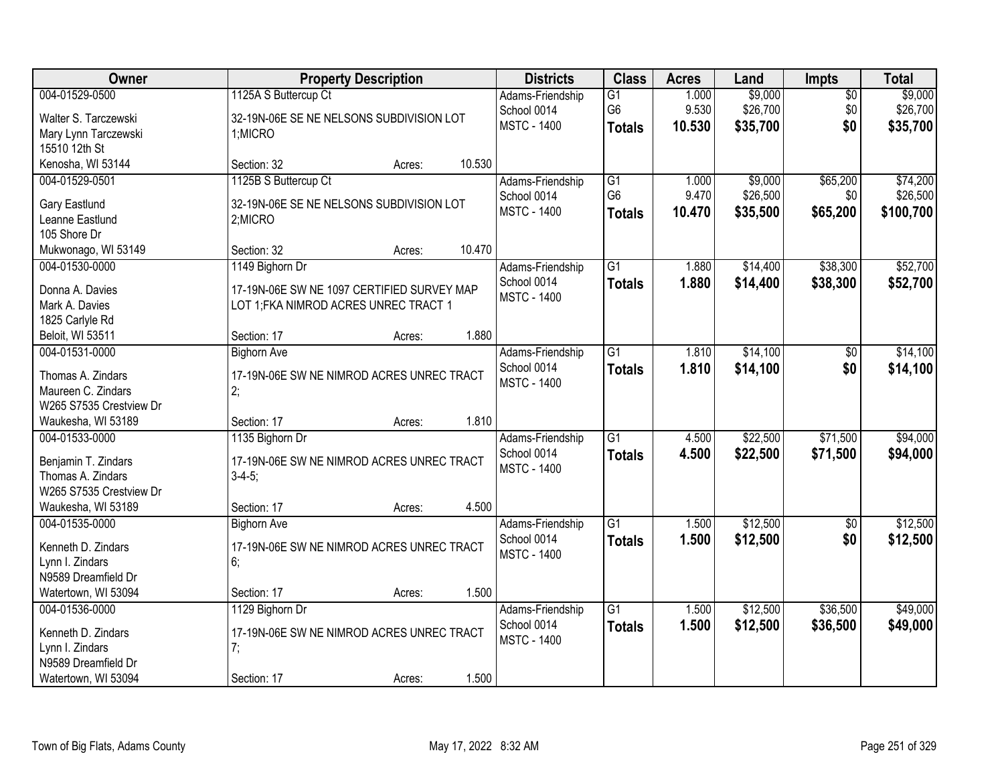| Owner                             |                                            | <b>Property Description</b> |        | <b>Districts</b>                  | <b>Class</b>    | <b>Acres</b> | Land     | <b>Impts</b>    | <b>Total</b> |
|-----------------------------------|--------------------------------------------|-----------------------------|--------|-----------------------------------|-----------------|--------------|----------|-----------------|--------------|
| 004-01529-0500                    | 1125A S Buttercup Ct                       |                             |        | Adams-Friendship                  | $\overline{G1}$ | 1.000        | \$9,000  | $\overline{50}$ | \$9,000      |
| Walter S. Tarczewski              | 32-19N-06E SE NE NELSONS SUBDIVISION LOT   |                             |        | School 0014                       | G <sub>6</sub>  | 9.530        | \$26,700 | \$0             | \$26,700     |
| Mary Lynn Tarczewski              | 1;MICRO                                    |                             |        | <b>MSTC - 1400</b>                | <b>Totals</b>   | 10.530       | \$35,700 | \$0             | \$35,700     |
| 15510 12th St                     |                                            |                             |        |                                   |                 |              |          |                 |              |
| Kenosha, WI 53144                 | Section: 32                                | Acres:                      | 10.530 |                                   |                 |              |          |                 |              |
| 004-01529-0501                    | 1125B S Buttercup Ct                       |                             |        | Adams-Friendship                  | $\overline{G1}$ | 1.000        | \$9,000  | \$65,200        | \$74,200     |
| Gary Eastlund                     | 32-19N-06E SE NE NELSONS SUBDIVISION LOT   |                             |        | School 0014                       | G <sub>6</sub>  | 9.470        | \$26,500 | \$0             | \$26,500     |
| Leanne Eastlund                   | 2;MICRO                                    |                             |        | <b>MSTC - 1400</b>                | <b>Totals</b>   | 10.470       | \$35,500 | \$65,200        | \$100,700    |
| 105 Shore Dr                      |                                            |                             |        |                                   |                 |              |          |                 |              |
| Mukwonago, WI 53149               | Section: 32                                | Acres:                      | 10.470 |                                   |                 |              |          |                 |              |
| 004-01530-0000                    | 1149 Bighorn Dr                            |                             |        | Adams-Friendship                  | $\overline{G1}$ | 1.880        | \$14,400 | \$38,300        | \$52,700     |
|                                   |                                            |                             |        | School 0014                       | <b>Totals</b>   | 1.880        | \$14,400 | \$38,300        | \$52,700     |
| Donna A. Davies                   | 17-19N-06E SW NE 1097 CERTIFIED SURVEY MAP |                             |        | <b>MSTC - 1400</b>                |                 |              |          |                 |              |
| Mark A. Davies<br>1825 Carlyle Rd | LOT 1; FKA NIMROD ACRES UNREC TRACT 1      |                             |        |                                   |                 |              |          |                 |              |
| Beloit, WI 53511                  | Section: 17                                | Acres:                      | 1.880  |                                   |                 |              |          |                 |              |
| 004-01531-0000                    | <b>Bighorn Ave</b>                         |                             |        | Adams-Friendship                  | $\overline{G1}$ | 1.810        | \$14,100 | $\sqrt[6]{3}$   | \$14,100     |
|                                   |                                            |                             |        | School 0014                       | <b>Totals</b>   | 1.810        | \$14,100 | \$0             | \$14,100     |
| Thomas A. Zindars                 | 17-19N-06E SW NE NIMROD ACRES UNREC TRACT  |                             |        | <b>MSTC - 1400</b>                |                 |              |          |                 |              |
| Maureen C. Zindars                | 2:                                         |                             |        |                                   |                 |              |          |                 |              |
| W265 S7535 Crestview Dr           |                                            |                             |        |                                   |                 |              |          |                 |              |
| Waukesha, WI 53189                | Section: 17                                | Acres:                      | 1.810  |                                   |                 |              |          |                 |              |
| 004-01533-0000                    | 1135 Bighorn Dr                            |                             |        | Adams-Friendship                  | $\overline{G1}$ | 4.500        | \$22,500 | \$71,500        | \$94,000     |
| Benjamin T. Zindars               | 17-19N-06E SW NE NIMROD ACRES UNREC TRACT  |                             |        | School 0014<br><b>MSTC - 1400</b> | <b>Totals</b>   | 4.500        | \$22,500 | \$71,500        | \$94,000     |
| Thomas A. Zindars                 | $3-4-5$ ;                                  |                             |        |                                   |                 |              |          |                 |              |
| W265 S7535 Crestview Dr           |                                            |                             |        |                                   |                 |              |          |                 |              |
| Waukesha, WI 53189                | Section: 17                                | Acres:                      | 4.500  |                                   |                 |              |          |                 |              |
| 004-01535-0000                    | <b>Bighorn Ave</b>                         |                             |        | Adams-Friendship                  | $\overline{G1}$ | 1.500        | \$12,500 | $\sqrt{$0}$     | \$12,500     |
| Kenneth D. Zindars                | 17-19N-06E SW NE NIMROD ACRES UNREC TRACT  |                             |        | School 0014                       | <b>Totals</b>   | 1.500        | \$12,500 | \$0             | \$12,500     |
| Lynn I. Zindars                   | 6;                                         |                             |        | <b>MSTC - 1400</b>                |                 |              |          |                 |              |
| N9589 Dreamfield Dr               |                                            |                             |        |                                   |                 |              |          |                 |              |
| Watertown, WI 53094               | Section: 17                                | Acres:                      | 1.500  |                                   |                 |              |          |                 |              |
| 004-01536-0000                    | 1129 Bighorn Dr                            |                             |        | Adams-Friendship                  | $\overline{G1}$ | 1.500        | \$12,500 | \$36,500        | \$49,000     |
| Kenneth D. Zindars                | 17-19N-06E SW NE NIMROD ACRES UNREC TRACT  |                             |        | School 0014                       | <b>Totals</b>   | 1.500        | \$12,500 | \$36,500        | \$49,000     |
| Lynn I. Zindars                   | 7;                                         |                             |        | <b>MSTC - 1400</b>                |                 |              |          |                 |              |
| N9589 Dreamfield Dr               |                                            |                             |        |                                   |                 |              |          |                 |              |
| Watertown, WI 53094               | Section: 17                                | Acres:                      | 1.500  |                                   |                 |              |          |                 |              |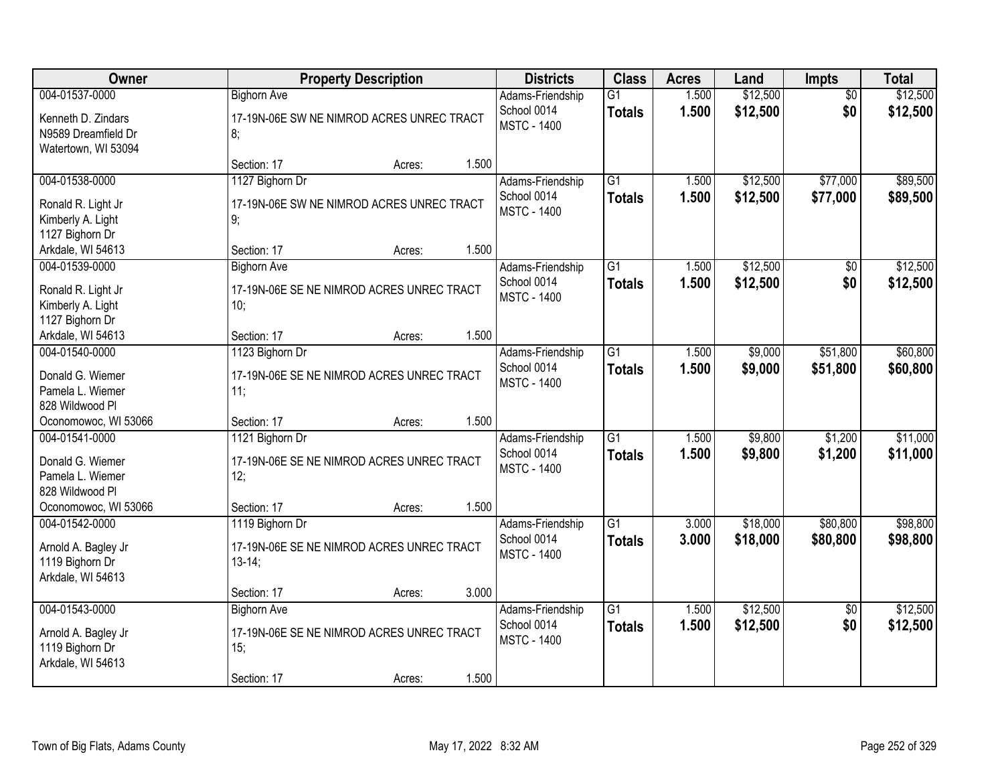| Owner                                                                              | <b>Property Description</b>                                                           |        |       | <b>Districts</b>                                      | <b>Class</b>                     | <b>Acres</b>   | Land                 | Impts                  | <b>Total</b>         |
|------------------------------------------------------------------------------------|---------------------------------------------------------------------------------------|--------|-------|-------------------------------------------------------|----------------------------------|----------------|----------------------|------------------------|----------------------|
| 004-01537-0000<br>Kenneth D. Zindars<br>N9589 Dreamfield Dr<br>Watertown, WI 53094 | <b>Bighorn Ave</b><br>17-19N-06E SW NE NIMROD ACRES UNREC TRACT<br>8;                 |        |       | Adams-Friendship<br>School 0014<br><b>MSTC - 1400</b> | $\overline{G1}$<br><b>Totals</b> | 1.500<br>1.500 | \$12,500<br>\$12,500 | $\overline{50}$<br>\$0 | \$12,500<br>\$12,500 |
|                                                                                    | Section: 17                                                                           | Acres: | 1.500 |                                                       |                                  |                |                      |                        |                      |
| 004-01538-0000<br>Ronald R. Light Jr<br>Kimberly A. Light<br>1127 Bighorn Dr       | 1127 Bighorn Dr<br>17-19N-06E SW NE NIMROD ACRES UNREC TRACT<br>9;                    |        | 1.500 | Adams-Friendship<br>School 0014<br><b>MSTC - 1400</b> | $\overline{G1}$<br><b>Totals</b> | 1.500<br>1.500 | \$12,500<br>\$12,500 | \$77,000<br>\$77,000   | \$89,500<br>\$89,500 |
| Arkdale, WI 54613<br>004-01539-0000                                                | Section: 17<br><b>Bighorn Ave</b>                                                     | Acres: |       | Adams-Friendship                                      | $\overline{G1}$                  | 1.500          | \$12,500             | $\overline{50}$        | \$12,500             |
| Ronald R. Light Jr<br>Kimberly A. Light<br>1127 Bighorn Dr                         | 17-19N-06E SE NE NIMROD ACRES UNREC TRACT<br>10;                                      |        |       | School 0014<br><b>MSTC - 1400</b>                     | <b>Totals</b>                    | 1.500          | \$12,500             | \$0                    | \$12,500             |
| Arkdale, WI 54613                                                                  | Section: 17                                                                           | Acres: | 1.500 |                                                       |                                  |                |                      |                        |                      |
| 004-01540-0000<br>Donald G. Wiemer<br>Pamela L. Wiemer<br>828 Wildwood Pl          | 1123 Bighorn Dr<br>17-19N-06E SE NE NIMROD ACRES UNREC TRACT<br>11:                   |        |       | Adams-Friendship<br>School 0014<br><b>MSTC - 1400</b> | $\overline{G1}$<br><b>Totals</b> | 1.500<br>1.500 | \$9,000<br>\$9,000   | \$51,800<br>\$51,800   | \$60,800<br>\$60,800 |
| Oconomowoc, WI 53066                                                               | Section: 17                                                                           | Acres: | 1.500 |                                                       |                                  |                |                      |                        |                      |
| 004-01541-0000<br>Donald G. Wiemer<br>Pamela L. Wiemer<br>828 Wildwood Pl          | 1121 Bighorn Dr<br>17-19N-06E SE NE NIMROD ACRES UNREC TRACT<br>12;                   |        |       | Adams-Friendship<br>School 0014<br><b>MSTC - 1400</b> | $\overline{G1}$<br><b>Totals</b> | 1.500<br>1.500 | \$9,800<br>\$9,800   | \$1,200<br>\$1,200     | \$11,000<br>\$11,000 |
| Oconomowoc, WI 53066<br>004-01542-0000                                             | Section: 17<br>1119 Bighorn Dr                                                        | Acres: | 1.500 | Adams-Friendship                                      | $\overline{G1}$                  | 3.000          | \$18,000             | \$80,800               | \$98,800             |
| Arnold A. Bagley Jr<br>1119 Bighorn Dr<br>Arkdale, WI 54613                        | 17-19N-06E SE NE NIMROD ACRES UNREC TRACT<br>$13-14;$                                 |        |       | School 0014<br><b>MSTC - 1400</b>                     | <b>Totals</b>                    | 3.000          | \$18,000             | \$80,800               | \$98,800             |
|                                                                                    | Section: 17                                                                           | Acres: | 3.000 |                                                       |                                  |                |                      |                        |                      |
| 004-01543-0000<br>Arnold A. Bagley Jr<br>1119 Bighorn Dr<br>Arkdale, WI 54613      | <b>Bighorn Ave</b><br>17-19N-06E SE NE NIMROD ACRES UNREC TRACT<br>15;<br>Section: 17 | Acres: | 1.500 | Adams-Friendship<br>School 0014<br><b>MSTC - 1400</b> | $\overline{G1}$<br><b>Totals</b> | 1.500<br>1.500 | \$12,500<br>\$12,500 | $\overline{50}$<br>\$0 | \$12,500<br>\$12,500 |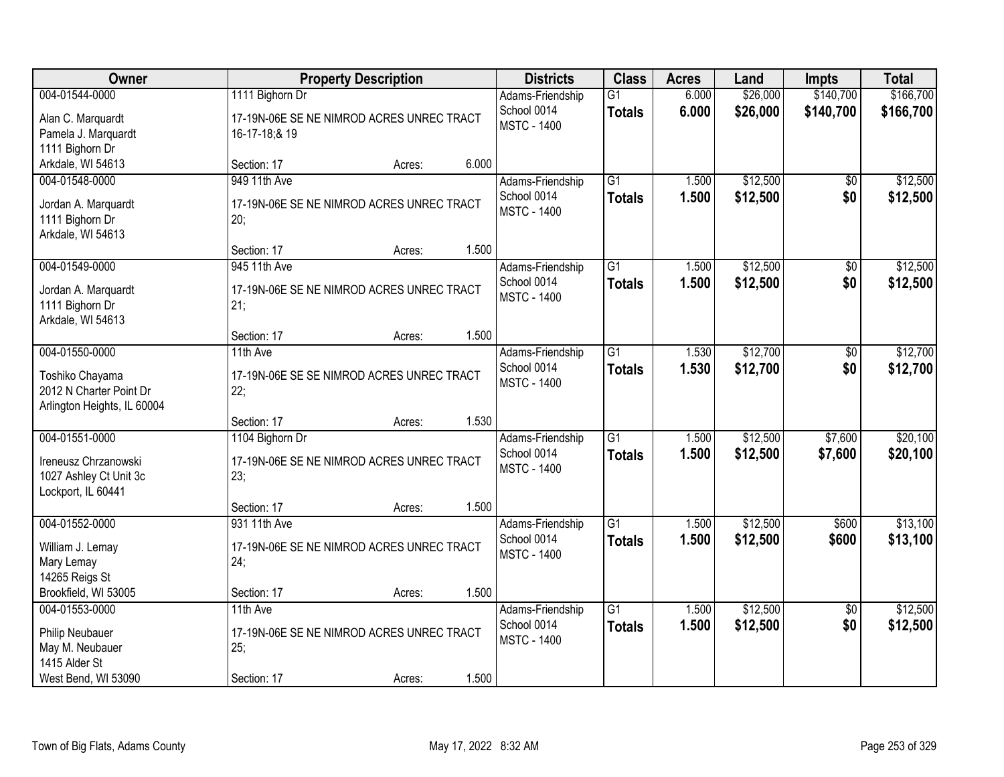| Owner                                                                                        |                                                                               | <b>Property Description</b> |       |                                                       | <b>Class</b>                     | <b>Acres</b>   | Land                 | <b>Impts</b>           | <b>Total</b>           |
|----------------------------------------------------------------------------------------------|-------------------------------------------------------------------------------|-----------------------------|-------|-------------------------------------------------------|----------------------------------|----------------|----------------------|------------------------|------------------------|
| 004-01544-0000<br>Alan C. Marquardt<br>Pamela J. Marquardt                                   | 1111 Bighorn Dr<br>17-19N-06E SE NE NIMROD ACRES UNREC TRACT<br>16-17-18;& 19 |                             |       | Adams-Friendship<br>School 0014<br><b>MSTC - 1400</b> | $\overline{G1}$<br><b>Totals</b> | 6.000<br>6.000 | \$26,000<br>\$26,000 | \$140,700<br>\$140,700 | \$166,700<br>\$166,700 |
| 1111 Bighorn Dr<br>Arkdale, WI 54613                                                         | Section: 17                                                                   | Acres:                      | 6.000 |                                                       |                                  |                |                      |                        |                        |
| 004-01548-0000<br>Jordan A. Marquardt<br>1111 Bighorn Dr<br>Arkdale, WI 54613                | 949 11th Ave<br>17-19N-06E SE NE NIMROD ACRES UNREC TRACT<br>20;              |                             |       | Adams-Friendship<br>School 0014<br><b>MSTC - 1400</b> | $\overline{G1}$<br><b>Totals</b> | 1.500<br>1.500 | \$12,500<br>\$12,500 | \$0<br>\$0             | \$12,500<br>\$12,500   |
| 004-01549-0000                                                                               | Section: 17<br>945 11th Ave                                                   | Acres:                      | 1.500 | Adams-Friendship<br>School 0014                       | G1                               | 1.500          | \$12,500             | \$0                    | \$12,500               |
| Jordan A. Marquardt<br>1111 Bighorn Dr<br>Arkdale, WI 54613                                  | 17-19N-06E SE NE NIMROD ACRES UNREC TRACT<br>21;                              |                             |       | <b>MSTC - 1400</b>                                    | <b>Totals</b>                    | 1.500          | \$12,500             | \$0                    | \$12,500               |
|                                                                                              | Section: 17                                                                   | Acres:                      | 1.500 |                                                       |                                  |                |                      |                        |                        |
| 004-01550-0000<br>Toshiko Chayama<br>2012 N Charter Point Dr<br>Arlington Heights, IL 60004  | 11th Ave<br>17-19N-06E SE SE NIMROD ACRES UNREC TRACT<br>22;                  |                             |       | Adams-Friendship<br>School 0014<br><b>MSTC - 1400</b> | $\overline{G1}$<br><b>Totals</b> | 1.530<br>1.530 | \$12,700<br>\$12,700 | \$0<br>\$0             | \$12,700<br>\$12,700   |
|                                                                                              | Section: 17                                                                   | Acres:                      | 1.530 |                                                       |                                  |                |                      |                        |                        |
| 004-01551-0000<br>Ireneusz Chrzanowski<br>1027 Ashley Ct Unit 3c<br>Lockport, IL 60441       | 1104 Bighorn Dr<br>17-19N-06E SE NE NIMROD ACRES UNREC TRACT<br>23:           |                             |       | Adams-Friendship<br>School 0014<br><b>MSTC - 1400</b> | $\overline{G1}$<br><b>Totals</b> | 1.500<br>1.500 | \$12,500<br>\$12,500 | \$7,600<br>\$7,600     | \$20,100<br>\$20,100   |
|                                                                                              | Section: 17                                                                   | Acres:                      | 1.500 |                                                       |                                  |                |                      |                        |                        |
| 004-01552-0000<br>William J. Lemay<br>Mary Lemay<br>14265 Reigs St                           | 931 11th Ave<br>17-19N-06E SE NE NIMROD ACRES UNREC TRACT<br>24;              |                             |       | Adams-Friendship<br>School 0014<br><b>MSTC - 1400</b> | $\overline{G1}$<br><b>Totals</b> | 1.500<br>1.500 | \$12,500<br>\$12,500 | \$600<br>\$600         | \$13,100<br>\$13,100   |
| Brookfield, WI 53005                                                                         | Section: 17                                                                   | Acres:                      | 1.500 |                                                       |                                  |                |                      |                        |                        |
| 004-01553-0000<br>Philip Neubauer<br>May M. Neubauer<br>1415 Alder St<br>West Bend, WI 53090 | 11th Ave<br>17-19N-06E SE NE NIMROD ACRES UNREC TRACT<br>25;<br>Section: 17   | Acres:                      | 1.500 | Adams-Friendship<br>School 0014<br><b>MSTC - 1400</b> | $\overline{G1}$<br><b>Totals</b> | 1.500<br>1.500 | \$12,500<br>\$12,500 | $\overline{50}$<br>\$0 | \$12,500<br>\$12,500   |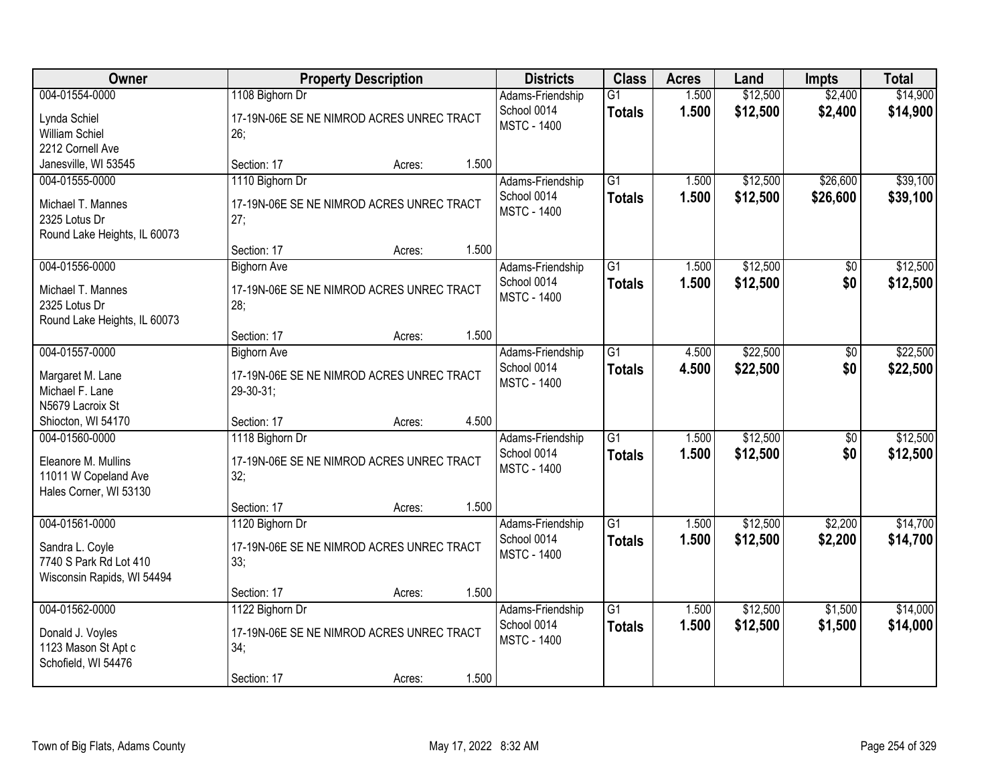| Owner                                                                                     | <b>Property Description</b>                                                                           | <b>Districts</b>                                      | <b>Class</b>                     | <b>Acres</b>   | Land                 | <b>Impts</b>           | <b>Total</b>         |
|-------------------------------------------------------------------------------------------|-------------------------------------------------------------------------------------------------------|-------------------------------------------------------|----------------------------------|----------------|----------------------|------------------------|----------------------|
| 004-01554-0000<br>Lynda Schiel<br><b>William Schiel</b><br>2212 Cornell Ave               | 1108 Bighorn Dr<br>17-19N-06E SE NE NIMROD ACRES UNREC TRACT<br>26;                                   | Adams-Friendship<br>School 0014<br><b>MSTC - 1400</b> | $\overline{G1}$<br><b>Totals</b> | 1.500<br>1.500 | \$12,500<br>\$12,500 | \$2,400<br>\$2,400     | \$14,900<br>\$14,900 |
| Janesville, WI 53545                                                                      | 1.500<br>Section: 17<br>Acres:                                                                        |                                                       |                                  |                |                      |                        |                      |
| 004-01555-0000<br>Michael T. Mannes<br>2325 Lotus Dr<br>Round Lake Heights, IL 60073      | 1110 Bighorn Dr<br>17-19N-06E SE NE NIMROD ACRES UNREC TRACT<br>27;<br>1.500<br>Section: 17<br>Acres: | Adams-Friendship<br>School 0014<br><b>MSTC - 1400</b> | $\overline{G1}$<br><b>Totals</b> | 1.500<br>1.500 | \$12,500<br>\$12,500 | \$26,600<br>\$26,600   | \$39,100<br>\$39,100 |
| 004-01556-0000                                                                            | <b>Bighorn Ave</b>                                                                                    | Adams-Friendship                                      | $\overline{G1}$                  | 1.500          | \$12,500             | \$0                    | \$12,500             |
| Michael T. Mannes<br>2325 Lotus Dr<br>Round Lake Heights, IL 60073                        | 17-19N-06E SE NE NIMROD ACRES UNREC TRACT<br>28;                                                      | School 0014<br><b>MSTC - 1400</b>                     | <b>Totals</b>                    | 1.500          | \$12,500             | \$0                    | \$12,500             |
|                                                                                           | 1.500<br>Section: 17<br>Acres:                                                                        |                                                       |                                  |                |                      |                        |                      |
| 004-01557-0000<br>Margaret M. Lane<br>Michael F. Lane<br>N5679 Lacroix St                 | <b>Bighorn Ave</b><br>17-19N-06E SE NE NIMROD ACRES UNREC TRACT<br>29-30-31;                          | Adams-Friendship<br>School 0014<br><b>MSTC - 1400</b> | G1<br><b>Totals</b>              | 4.500<br>4.500 | \$22,500<br>\$22,500 | $\sqrt[6]{}$<br>\$0    | \$22,500<br>\$22,500 |
| Shiocton, WI 54170                                                                        | 4.500<br>Section: 17<br>Acres:                                                                        |                                                       |                                  |                |                      |                        |                      |
| 004-01560-0000<br>Eleanore M. Mullins<br>11011 W Copeland Ave<br>Hales Corner, WI 53130   | 1118 Bighorn Dr<br>17-19N-06E SE NE NIMROD ACRES UNREC TRACT<br>32;                                   | Adams-Friendship<br>School 0014<br><b>MSTC - 1400</b> | $\overline{G1}$<br><b>Totals</b> | 1.500<br>1.500 | \$12,500<br>\$12,500 | $\overline{50}$<br>\$0 | \$12,500<br>\$12,500 |
|                                                                                           | 1.500<br>Section: 17<br>Acres:                                                                        |                                                       |                                  |                |                      |                        |                      |
| 004-01561-0000<br>Sandra L. Coyle<br>7740 S Park Rd Lot 410<br>Wisconsin Rapids, WI 54494 | 1120 Bighorn Dr<br>17-19N-06E SE NE NIMROD ACRES UNREC TRACT<br>33;                                   | Adams-Friendship<br>School 0014<br><b>MSTC - 1400</b> | $\overline{G1}$<br><b>Totals</b> | 1.500<br>1.500 | \$12,500<br>\$12,500 | \$2,200<br>\$2,200     | \$14,700<br>\$14,700 |
|                                                                                           | 1.500<br>Section: 17<br>Acres:                                                                        |                                                       |                                  |                |                      |                        |                      |
| 004-01562-0000<br>Donald J. Voyles<br>1123 Mason St Apt c<br>Schofield, WI 54476          | 1122 Bighorn Dr<br>17-19N-06E SE NE NIMROD ACRES UNREC TRACT<br>34;<br>1.500<br>Section: 17<br>Acres: | Adams-Friendship<br>School 0014<br><b>MSTC - 1400</b> | $\overline{G1}$<br><b>Totals</b> | 1.500<br>1.500 | \$12,500<br>\$12,500 | \$1,500<br>\$1,500     | \$14,000<br>\$14,000 |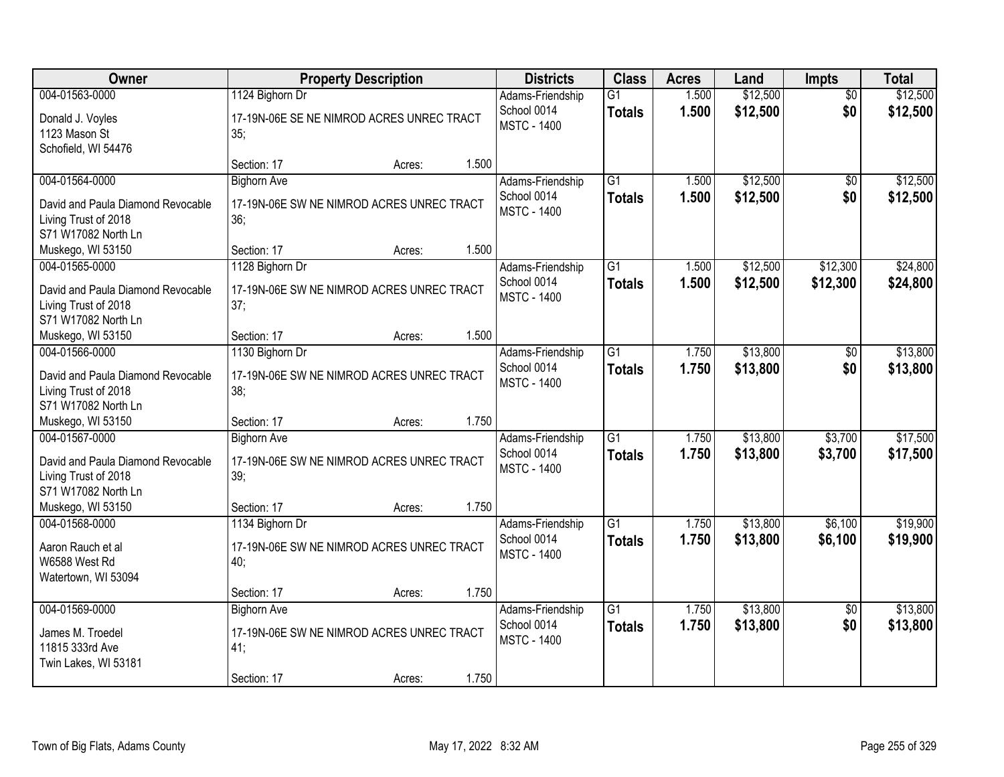| Owner                               | <b>Property Description</b>                      | <b>Districts</b>   | <b>Class</b>    | <b>Acres</b> | Land     | <b>Impts</b>    | <b>Total</b> |
|-------------------------------------|--------------------------------------------------|--------------------|-----------------|--------------|----------|-----------------|--------------|
| 004-01563-0000                      | 1124 Bighorn Dr                                  | Adams-Friendship   | $\overline{G1}$ | 1.500        | \$12,500 | $\overline{50}$ | \$12,500     |
| Donald J. Voyles                    | 17-19N-06E SE NE NIMROD ACRES UNREC TRACT        | School 0014        | <b>Totals</b>   | 1.500        | \$12,500 | \$0             | \$12,500     |
| 1123 Mason St                       | 35;                                              | <b>MSTC - 1400</b> |                 |              |          |                 |              |
| Schofield, WI 54476                 |                                                  |                    |                 |              |          |                 |              |
|                                     | 1.500<br>Section: 17<br>Acres:                   |                    |                 |              |          |                 |              |
| 004-01564-0000                      | <b>Bighorn Ave</b>                               | Adams-Friendship   | $\overline{G1}$ | 1.500        | \$12,500 | \$0             | \$12,500     |
| David and Paula Diamond Revocable   | 17-19N-06E SW NE NIMROD ACRES UNREC TRACT        | School 0014        | <b>Totals</b>   | 1.500        | \$12,500 | \$0             | \$12,500     |
| Living Trust of 2018                | 36:                                              | <b>MSTC - 1400</b> |                 |              |          |                 |              |
| S71 W17082 North Ln                 |                                                  |                    |                 |              |          |                 |              |
| Muskego, WI 53150                   | 1.500<br>Section: 17<br>Acres:                   |                    |                 |              |          |                 |              |
| 004-01565-0000                      | 1128 Bighorn Dr                                  | Adams-Friendship   | $\overline{G1}$ | 1.500        | \$12,500 | \$12,300        | \$24,800     |
| David and Paula Diamond Revocable   | 17-19N-06E SW NE NIMROD ACRES UNREC TRACT        | School 0014        | <b>Totals</b>   | 1.500        | \$12,500 | \$12,300        | \$24,800     |
| Living Trust of 2018                | 37;                                              | <b>MSTC - 1400</b> |                 |              |          |                 |              |
| S71 W17082 North Ln                 |                                                  |                    |                 |              |          |                 |              |
| Muskego, WI 53150                   | 1.500<br>Section: 17<br>Acres:                   |                    |                 |              |          |                 |              |
| 004-01566-0000                      | 1130 Bighorn Dr                                  | Adams-Friendship   | G1              | 1.750        | \$13,800 | \$0             | \$13,800     |
| David and Paula Diamond Revocable   | 17-19N-06E SW NE NIMROD ACRES UNREC TRACT        | School 0014        | <b>Totals</b>   | 1.750        | \$13,800 | \$0             | \$13,800     |
| Living Trust of 2018                | 38;                                              | <b>MSTC - 1400</b> |                 |              |          |                 |              |
| S71 W17082 North Ln                 |                                                  |                    |                 |              |          |                 |              |
| Muskego, WI 53150                   | 1.750<br>Section: 17<br>Acres:                   |                    |                 |              |          |                 |              |
| 004-01567-0000                      | <b>Bighorn Ave</b>                               | Adams-Friendship   | $\overline{G1}$ | 1.750        | \$13,800 | \$3,700         | \$17,500     |
| David and Paula Diamond Revocable   | 17-19N-06E SW NE NIMROD ACRES UNREC TRACT        | School 0014        | <b>Totals</b>   | 1.750        | \$13,800 | \$3,700         | \$17,500     |
| Living Trust of 2018                | 39;                                              | <b>MSTC - 1400</b> |                 |              |          |                 |              |
| S71 W17082 North Ln                 |                                                  |                    |                 |              |          |                 |              |
| Muskego, WI 53150                   | 1.750<br>Section: 17<br>Acres:                   |                    |                 |              |          |                 |              |
| 004-01568-0000                      | 1134 Bighorn Dr                                  | Adams-Friendship   | $\overline{G1}$ | 1.750        | \$13,800 | \$6,100         | \$19,900     |
|                                     | 17-19N-06E SW NE NIMROD ACRES UNREC TRACT        | School 0014        | <b>Totals</b>   | 1.750        | \$13,800 | \$6,100         | \$19,900     |
| Aaron Rauch et al<br>W6588 West Rd  | 40;                                              | <b>MSTC - 1400</b> |                 |              |          |                 |              |
| Watertown, WI 53094                 |                                                  |                    |                 |              |          |                 |              |
|                                     | 1.750<br>Section: 17<br>Acres:                   |                    |                 |              |          |                 |              |
| 004-01569-0000                      | <b>Bighorn Ave</b>                               | Adams-Friendship   | $\overline{G1}$ | 1.750        | \$13,800 | $\overline{50}$ | \$13,800     |
|                                     |                                                  | School 0014        | <b>Totals</b>   | 1.750        | \$13,800 | \$0             | \$13,800     |
| James M. Troedel<br>11815 333rd Ave | 17-19N-06E SW NE NIMROD ACRES UNREC TRACT<br>41; | <b>MSTC - 1400</b> |                 |              |          |                 |              |
| Twin Lakes, WI 53181                |                                                  |                    |                 |              |          |                 |              |
|                                     | 1.750<br>Section: 17<br>Acres:                   |                    |                 |              |          |                 |              |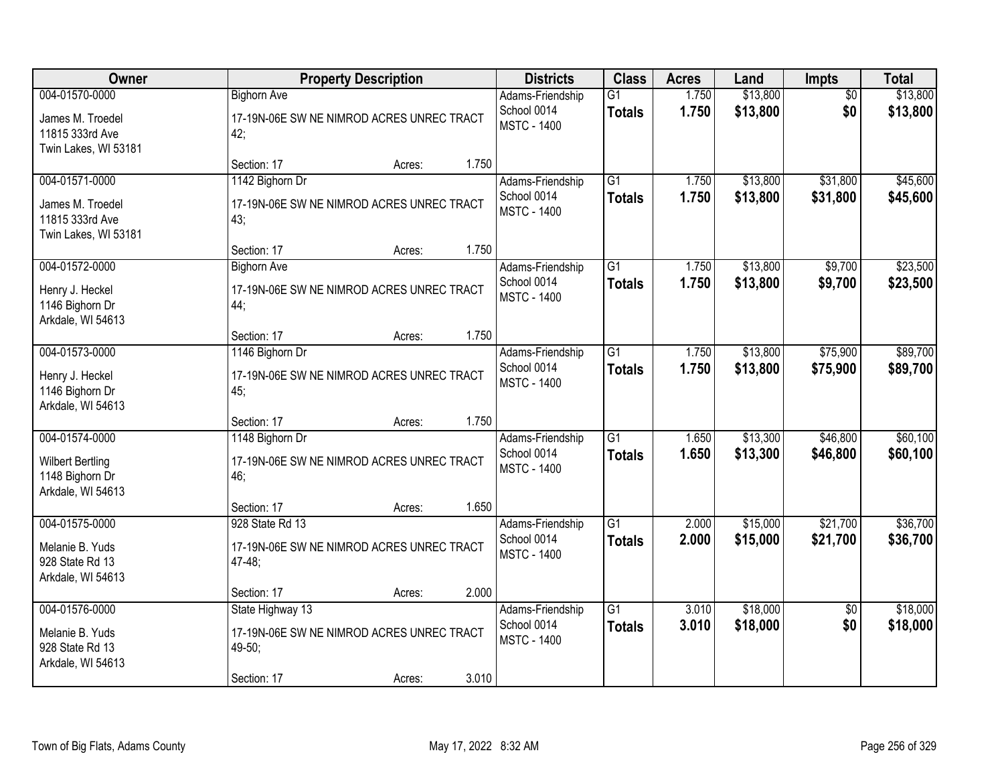| Owner                                                                             | <b>Property Description</b>                                                                               | <b>Districts</b>                                      | <b>Class</b>                     | <b>Acres</b>   | Land                 | Impts                  | <b>Total</b>         |
|-----------------------------------------------------------------------------------|-----------------------------------------------------------------------------------------------------------|-------------------------------------------------------|----------------------------------|----------------|----------------------|------------------------|----------------------|
| 004-01570-0000<br>James M. Troedel<br>11815 333rd Ave<br>Twin Lakes, WI 53181     | <b>Bighorn Ave</b><br>17-19N-06E SW NE NIMROD ACRES UNREC TRACT<br>42;                                    | Adams-Friendship<br>School 0014<br><b>MSTC - 1400</b> | G1<br><b>Totals</b>              | 1.750<br>1.750 | \$13,800<br>\$13,800 | $\overline{50}$<br>\$0 | \$13,800<br>\$13,800 |
|                                                                                   | 1.750<br>Section: 17<br>Acres:                                                                            |                                                       |                                  |                |                      |                        |                      |
| 004-01571-0000<br>James M. Troedel<br>11815 333rd Ave<br>Twin Lakes, WI 53181     | 1142 Bighorn Dr<br>17-19N-06E SW NE NIMROD ACRES UNREC TRACT<br>43;                                       | Adams-Friendship<br>School 0014<br><b>MSTC - 1400</b> | $\overline{G1}$<br><b>Totals</b> | 1.750<br>1.750 | \$13,800<br>\$13,800 | \$31,800<br>\$31,800   | \$45,600<br>\$45,600 |
| 004-01572-0000                                                                    | 1.750<br>Section: 17<br>Acres:<br><b>Bighorn Ave</b>                                                      | Adams-Friendship                                      | $\overline{G1}$                  | 1.750          | \$13,800             | \$9,700                | \$23,500             |
| Henry J. Heckel<br>1146 Bighorn Dr<br>Arkdale, WI 54613                           | 17-19N-06E SW NE NIMROD ACRES UNREC TRACT<br>44;                                                          | School 0014<br><b>MSTC - 1400</b>                     | <b>Totals</b>                    | 1.750          | \$13,800             | \$9,700                | \$23,500             |
|                                                                                   | 1.750<br>Section: 17<br>Acres:                                                                            |                                                       |                                  |                |                      |                        |                      |
| 004-01573-0000<br>Henry J. Heckel<br>1146 Bighorn Dr<br>Arkdale, WI 54613         | 1146 Bighorn Dr<br>17-19N-06E SW NE NIMROD ACRES UNREC TRACT<br>45;                                       | Adams-Friendship<br>School 0014<br><b>MSTC - 1400</b> | $\overline{G1}$<br><b>Totals</b> | 1.750<br>1.750 | \$13,800<br>\$13,800 | \$75,900<br>\$75,900   | \$89,700<br>\$89,700 |
|                                                                                   | 1.750<br>Section: 17<br>Acres:                                                                            |                                                       |                                  |                |                      |                        |                      |
| 004-01574-0000<br><b>Wilbert Bertling</b><br>1148 Bighorn Dr<br>Arkdale, WI 54613 | 1148 Bighorn Dr<br>17-19N-06E SW NE NIMROD ACRES UNREC TRACT<br>46;                                       | Adams-Friendship<br>School 0014<br><b>MSTC - 1400</b> | $\overline{G1}$<br><b>Totals</b> | 1.650<br>1.650 | \$13,300<br>\$13,300 | \$46,800<br>\$46,800   | \$60,100<br>\$60,100 |
|                                                                                   | 1.650<br>Section: 17<br>Acres:                                                                            |                                                       |                                  |                |                      |                        |                      |
| 004-01575-0000<br>Melanie B. Yuds<br>928 State Rd 13<br>Arkdale, WI 54613         | 928 State Rd 13<br>17-19N-06E SW NE NIMROD ACRES UNREC TRACT<br>$47 - 48$ ;                               | Adams-Friendship<br>School 0014<br><b>MSTC - 1400</b> | $\overline{G1}$<br><b>Totals</b> | 2.000<br>2.000 | \$15,000<br>\$15,000 | \$21,700<br>\$21,700   | \$36,700<br>\$36,700 |
|                                                                                   | 2.000<br>Section: 17<br>Acres:                                                                            |                                                       |                                  |                |                      |                        |                      |
| 004-01576-0000<br>Melanie B. Yuds<br>928 State Rd 13<br>Arkdale, WI 54613         | State Highway 13<br>17-19N-06E SW NE NIMROD ACRES UNREC TRACT<br>49-50;<br>3.010<br>Section: 17<br>Acres: | Adams-Friendship<br>School 0014<br><b>MSTC - 1400</b> | $\overline{G1}$<br><b>Totals</b> | 3.010<br>3.010 | \$18,000<br>\$18,000 | $\overline{50}$<br>\$0 | \$18,000<br>\$18,000 |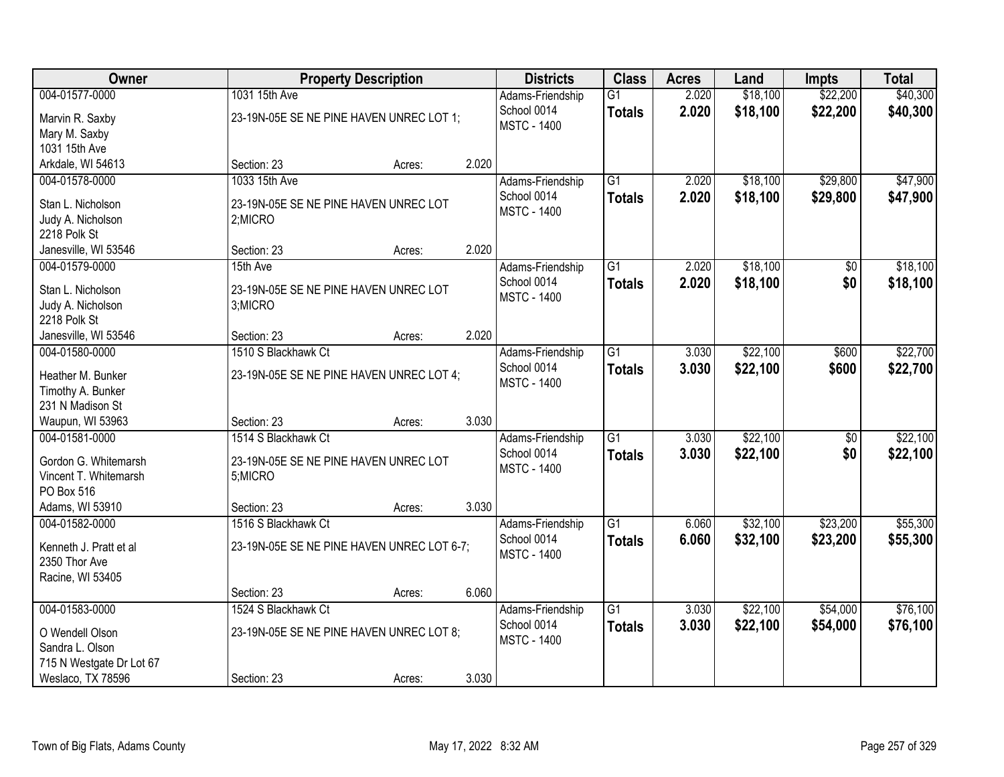| <b>Owner</b>                      |                                            | <b>Property Description</b> |       |                                   | <b>Class</b>    | <b>Acres</b> | Land     | <b>Impts</b>    | <b>Total</b> |
|-----------------------------------|--------------------------------------------|-----------------------------|-------|-----------------------------------|-----------------|--------------|----------|-----------------|--------------|
| 004-01577-0000                    | 1031 15th Ave                              |                             |       | Adams-Friendship                  | $\overline{G1}$ | 2.020        | \$18,100 | \$22,200        | \$40,300     |
| Marvin R. Saxby                   | 23-19N-05E SE NE PINE HAVEN UNREC LOT 1;   |                             |       | School 0014                       | <b>Totals</b>   | 2.020        | \$18,100 | \$22,200        | \$40,300     |
| Mary M. Saxby                     |                                            |                             |       | <b>MSTC - 1400</b>                |                 |              |          |                 |              |
| 1031 15th Ave                     |                                            |                             |       |                                   |                 |              |          |                 |              |
| Arkdale, WI 54613                 | Section: 23                                | Acres:                      | 2.020 |                                   |                 |              |          |                 |              |
| 004-01578-0000                    | 1033 15th Ave                              |                             |       | Adams-Friendship                  | $\overline{G1}$ | 2.020        | \$18,100 | \$29,800        | \$47,900     |
| Stan L. Nicholson                 | 23-19N-05E SE NE PINE HAVEN UNREC LOT      |                             |       | School 0014                       | <b>Totals</b>   | 2.020        | \$18,100 | \$29,800        | \$47,900     |
| Judy A. Nicholson                 | 2;MICRO                                    |                             |       | <b>MSTC - 1400</b>                |                 |              |          |                 |              |
| 2218 Polk St                      |                                            |                             |       |                                   |                 |              |          |                 |              |
| Janesville, WI 53546              | Section: 23                                | Acres:                      | 2.020 |                                   |                 |              |          |                 |              |
| 004-01579-0000                    | 15th Ave                                   |                             |       | Adams-Friendship                  | $\overline{G1}$ | 2.020        | \$18,100 | \$0             | \$18,100     |
|                                   |                                            |                             |       | School 0014                       | <b>Totals</b>   | 2.020        | \$18,100 | \$0             | \$18,100     |
| Stan L. Nicholson                 | 23-19N-05E SE NE PINE HAVEN UNREC LOT      |                             |       | <b>MSTC - 1400</b>                |                 |              |          |                 |              |
| Judy A. Nicholson<br>2218 Polk St | 3;MICRO                                    |                             |       |                                   |                 |              |          |                 |              |
| Janesville, WI 53546              | Section: 23                                | Acres:                      | 2.020 |                                   |                 |              |          |                 |              |
| 004-01580-0000                    | 1510 S Blackhawk Ct                        |                             |       | Adams-Friendship                  | $\overline{G1}$ | 3.030        | \$22,100 | \$600           | \$22,700     |
|                                   |                                            |                             |       | School 0014                       | <b>Totals</b>   | 3.030        | \$22,100 | \$600           | \$22,700     |
| Heather M. Bunker                 | 23-19N-05E SE NE PINE HAVEN UNREC LOT 4;   |                             |       | <b>MSTC - 1400</b>                |                 |              |          |                 |              |
| Timothy A. Bunker                 |                                            |                             |       |                                   |                 |              |          |                 |              |
| 231 N Madison St                  |                                            |                             |       |                                   |                 |              |          |                 |              |
| Waupun, WI 53963                  | Section: 23                                | Acres:                      | 3.030 |                                   |                 |              |          |                 |              |
| 004-01581-0000                    | 1514 S Blackhawk Ct                        |                             |       | Adams-Friendship                  | $\overline{G1}$ | 3.030        | \$22,100 | $\overline{50}$ | \$22,100     |
| Gordon G. Whitemarsh              | 23-19N-05E SE NE PINE HAVEN UNREC LOT      |                             |       | School 0014<br><b>MSTC - 1400</b> | <b>Totals</b>   | 3.030        | \$22,100 | \$0             | \$22,100     |
| Vincent T. Whitemarsh             | 5;MICRO                                    |                             |       |                                   |                 |              |          |                 |              |
| PO Box 516                        |                                            |                             |       |                                   |                 |              |          |                 |              |
| Adams, WI 53910                   | Section: 23                                | Acres:                      | 3.030 |                                   |                 |              |          |                 |              |
| 004-01582-0000                    | 1516 S Blackhawk Ct                        |                             |       | Adams-Friendship                  | $\overline{G1}$ | 6.060        | \$32,100 | \$23,200        | \$55,300     |
| Kenneth J. Pratt et al            | 23-19N-05E SE NE PINE HAVEN UNREC LOT 6-7; |                             |       | School 0014                       | <b>Totals</b>   | 6.060        | \$32,100 | \$23,200        | \$55,300     |
| 2350 Thor Ave                     |                                            |                             |       | <b>MSTC - 1400</b>                |                 |              |          |                 |              |
| Racine, WI 53405                  |                                            |                             |       |                                   |                 |              |          |                 |              |
|                                   | Section: 23                                | Acres:                      | 6.060 |                                   |                 |              |          |                 |              |
| 004-01583-0000                    | 1524 S Blackhawk Ct                        |                             |       | Adams-Friendship                  | $\overline{G1}$ | 3.030        | \$22,100 | \$54,000        | \$76,100     |
| O Wendell Olson                   | 23-19N-05E SE NE PINE HAVEN UNREC LOT 8;   |                             |       | School 0014                       | <b>Totals</b>   | 3.030        | \$22,100 | \$54,000        | \$76,100     |
| Sandra L. Olson                   |                                            |                             |       | <b>MSTC - 1400</b>                |                 |              |          |                 |              |
| 715 N Westgate Dr Lot 67          |                                            |                             |       |                                   |                 |              |          |                 |              |
| Weslaco, TX 78596                 | Section: 23                                | Acres:                      | 3.030 |                                   |                 |              |          |                 |              |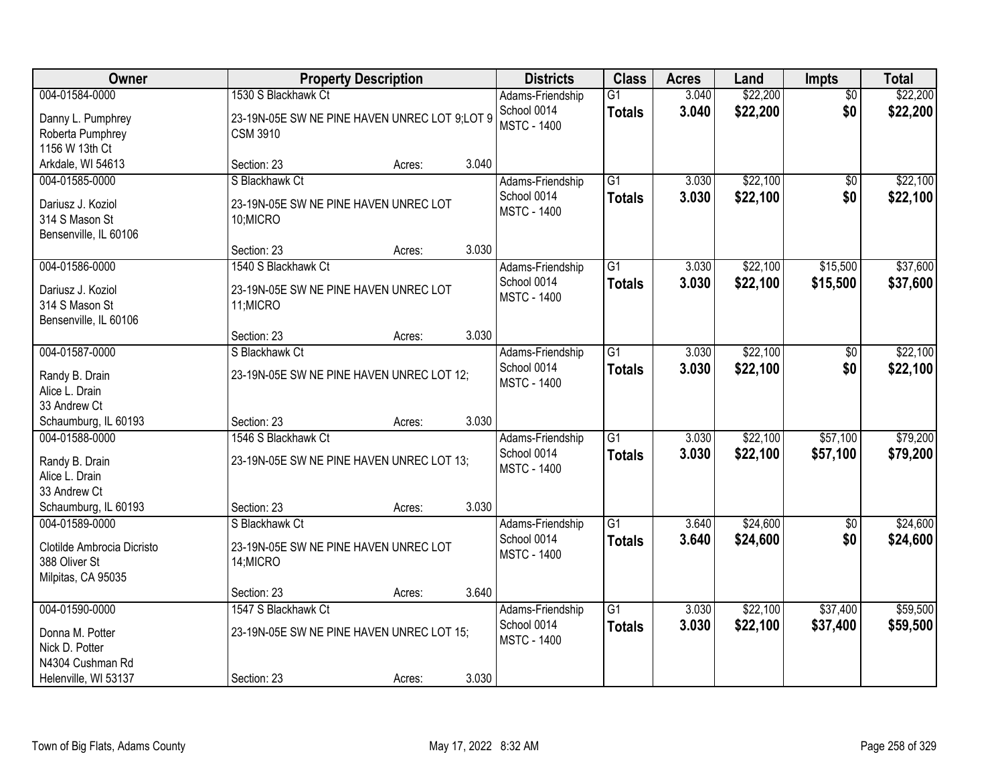| Owner                                                                               |                                                                                         | <b>Property Description</b> |       |                                                       | <b>Class</b>                     | <b>Acres</b>   | Land                 | <b>Impts</b>           | <b>Total</b>         |
|-------------------------------------------------------------------------------------|-----------------------------------------------------------------------------------------|-----------------------------|-------|-------------------------------------------------------|----------------------------------|----------------|----------------------|------------------------|----------------------|
| 004-01584-0000<br>Danny L. Pumphrey<br>Roberta Pumphrey                             | 1530 S Blackhawk Ct<br>23-19N-05E SW NE PINE HAVEN UNREC LOT 9;LOT 9<br><b>CSM 3910</b> |                             |       | Adams-Friendship<br>School 0014<br><b>MSTC - 1400</b> | $\overline{G1}$<br><b>Totals</b> | 3.040<br>3.040 | \$22,200<br>\$22,200 | $\overline{30}$<br>\$0 | \$22,200<br>\$22,200 |
| 1156 W 13th Ct<br>Arkdale, WI 54613                                                 | Section: 23                                                                             | Acres:                      | 3.040 |                                                       |                                  |                |                      |                        |                      |
| 004-01585-0000<br>Dariusz J. Koziol<br>314 S Mason St<br>Bensenville, IL 60106      | S Blackhawk Ct<br>23-19N-05E SW NE PINE HAVEN UNREC LOT<br>10;MICRO                     |                             |       | Adams-Friendship<br>School 0014<br><b>MSTC - 1400</b> | $\overline{G1}$<br><b>Totals</b> | 3.030<br>3.030 | \$22,100<br>\$22,100 | $\overline{50}$<br>\$0 | \$22,100<br>\$22,100 |
| 004-01586-0000                                                                      | Section: 23<br>1540 S Blackhawk Ct                                                      | Acres:                      | 3.030 | Adams-Friendship<br>School 0014                       | G1<br><b>Totals</b>              | 3.030<br>3.030 | \$22,100<br>\$22,100 | \$15,500<br>\$15,500   | \$37,600<br>\$37,600 |
| Dariusz J. Koziol<br>314 S Mason St<br>Bensenville, IL 60106                        | 23-19N-05E SW NE PINE HAVEN UNREC LOT<br>11;MICRO                                       |                             |       | <b>MSTC - 1400</b>                                    |                                  |                |                      |                        |                      |
| 004-01587-0000                                                                      | Section: 23<br>S Blackhawk Ct                                                           | Acres:                      | 3.030 | Adams-Friendship                                      | G1                               | 3.030          | \$22,100             | \$0                    | \$22,100             |
| Randy B. Drain<br>Alice L. Drain<br>33 Andrew Ct                                    | 23-19N-05E SW NE PINE HAVEN UNREC LOT 12;                                               |                             |       | School 0014<br><b>MSTC - 1400</b>                     | <b>Totals</b>                    | 3.030          | \$22,100             | \$0                    | \$22,100             |
| Schaumburg, IL 60193                                                                | Section: 23                                                                             | Acres:                      | 3.030 |                                                       |                                  |                |                      |                        |                      |
| 004-01588-0000<br>Randy B. Drain<br>Alice L. Drain<br>33 Andrew Ct                  | 1546 S Blackhawk Ct<br>23-19N-05E SW NE PINE HAVEN UNREC LOT 13;                        |                             |       | Adams-Friendship<br>School 0014<br><b>MSTC - 1400</b> | $\overline{G1}$<br><b>Totals</b> | 3.030<br>3.030 | \$22,100<br>\$22,100 | \$57,100<br>\$57,100   | \$79,200<br>\$79,200 |
| Schaumburg, IL 60193                                                                | Section: 23                                                                             | Acres:                      | 3.030 |                                                       |                                  |                |                      |                        |                      |
| 004-01589-0000<br>Clotilde Ambrocia Dicristo<br>388 Oliver St<br>Milpitas, CA 95035 | S Blackhawk Ct<br>23-19N-05E SW NE PINE HAVEN UNREC LOT<br>14; MICRO                    |                             |       | Adams-Friendship<br>School 0014<br><b>MSTC - 1400</b> | $\overline{G1}$<br><b>Totals</b> | 3.640<br>3.640 | \$24,600<br>\$24,600 | $\overline{60}$<br>\$0 | \$24,600<br>\$24,600 |
|                                                                                     | Section: 23                                                                             | Acres:                      | 3.640 |                                                       |                                  |                |                      |                        |                      |
| 004-01590-0000<br>Donna M. Potter<br>Nick D. Potter<br>N4304 Cushman Rd             | 1547 S Blackhawk Ct<br>23-19N-05E SW NE PINE HAVEN UNREC LOT 15;                        |                             |       | Adams-Friendship<br>School 0014<br><b>MSTC - 1400</b> | $\overline{G1}$<br><b>Totals</b> | 3.030<br>3.030 | \$22,100<br>\$22,100 | \$37,400<br>\$37,400   | \$59,500<br>\$59,500 |
| Helenville, WI 53137                                                                | Section: 23                                                                             | Acres:                      | 3.030 |                                                       |                                  |                |                      |                        |                      |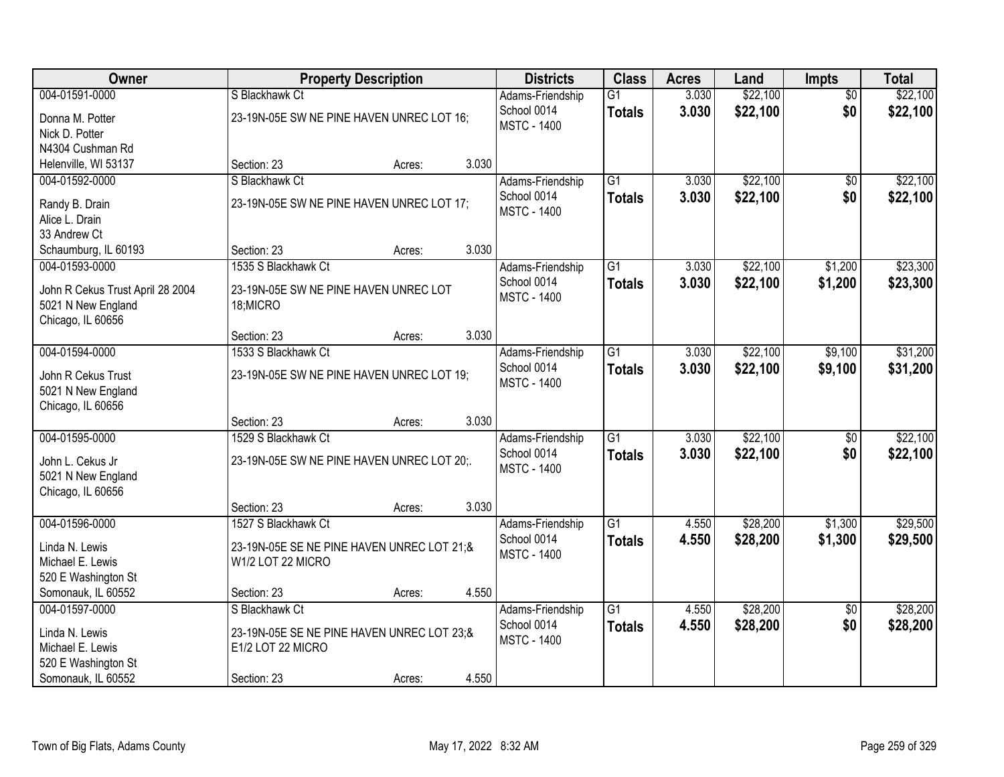| Owner                                   | <b>Property Description</b>                |        | <b>Districts</b> | <b>Class</b>                      | <b>Acres</b>    | Land  | Impts    | <b>Total</b>           |          |
|-----------------------------------------|--------------------------------------------|--------|------------------|-----------------------------------|-----------------|-------|----------|------------------------|----------|
| 004-01591-0000                          | S Blackhawk Ct                             |        |                  | Adams-Friendship                  | $\overline{G1}$ | 3.030 | \$22,100 | $\overline{50}$        | \$22,100 |
| Donna M. Potter                         | 23-19N-05E SW NE PINE HAVEN UNREC LOT 16;  |        |                  | School 0014<br><b>MSTC - 1400</b> | <b>Totals</b>   | 3.030 | \$22,100 | \$0                    | \$22,100 |
| Nick D. Potter                          |                                            |        |                  |                                   |                 |       |          |                        |          |
| N4304 Cushman Rd                        |                                            |        |                  |                                   |                 |       |          |                        |          |
| Helenville, WI 53137                    | Section: 23                                | Acres: | 3.030            |                                   |                 |       |          |                        |          |
| 004-01592-0000                          | S Blackhawk Ct                             |        |                  | Adams-Friendship                  | $\overline{G1}$ | 3.030 | \$22,100 | \$0                    | \$22,100 |
| Randy B. Drain                          | 23-19N-05E SW NE PINE HAVEN UNREC LOT 17;  |        |                  | School 0014                       | <b>Totals</b>   | 3.030 | \$22,100 | \$0                    | \$22,100 |
| Alice L. Drain                          |                                            |        |                  | <b>MSTC - 1400</b>                |                 |       |          |                        |          |
| 33 Andrew Ct                            |                                            |        |                  |                                   |                 |       |          |                        |          |
| Schaumburg, IL 60193                    | Section: 23                                | Acres: | 3.030            |                                   |                 |       |          |                        |          |
| 004-01593-0000                          | 1535 S Blackhawk Ct                        |        |                  | Adams-Friendship                  | $\overline{G1}$ | 3.030 | \$22,100 | \$1,200                | \$23,300 |
| John R Cekus Trust April 28 2004        | 23-19N-05E SW NE PINE HAVEN UNREC LOT      |        |                  | School 0014                       | <b>Totals</b>   | 3.030 | \$22,100 | \$1,200                | \$23,300 |
| 5021 N New England                      | 18; MICRO                                  |        |                  | <b>MSTC - 1400</b>                |                 |       |          |                        |          |
| Chicago, IL 60656                       |                                            |        |                  |                                   |                 |       |          |                        |          |
|                                         | Section: 23                                | Acres: | 3.030            |                                   |                 |       |          |                        |          |
| 004-01594-0000                          | 1533 S Blackhawk Ct                        |        |                  | Adams-Friendship                  | $\overline{G1}$ | 3.030 | \$22,100 | \$9,100                | \$31,200 |
| John R Cekus Trust                      | 23-19N-05E SW NE PINE HAVEN UNREC LOT 19;  |        |                  | School 0014                       | <b>Totals</b>   | 3.030 | \$22,100 | \$9,100                | \$31,200 |
| 5021 N New England                      |                                            |        |                  | <b>MSTC - 1400</b>                |                 |       |          |                        |          |
| Chicago, IL 60656                       |                                            |        |                  |                                   |                 |       |          |                        |          |
|                                         | Section: 23                                | Acres: | 3.030            |                                   |                 |       |          |                        |          |
| 004-01595-0000                          | 1529 S Blackhawk Ct                        |        |                  | Adams-Friendship                  | $\overline{G1}$ | 3.030 | \$22,100 | $\overline{50}$        | \$22,100 |
|                                         |                                            |        |                  | School 0014                       | <b>Totals</b>   | 3.030 | \$22,100 | \$0                    | \$22,100 |
| John L. Cekus Jr                        | 23-19N-05E SW NE PINE HAVEN UNREC LOT 20;. |        |                  | <b>MSTC - 1400</b>                |                 |       |          |                        |          |
| 5021 N New England<br>Chicago, IL 60656 |                                            |        |                  |                                   |                 |       |          |                        |          |
|                                         | Section: 23                                | Acres: | 3.030            |                                   |                 |       |          |                        |          |
| 004-01596-0000                          | 1527 S Blackhawk Ct                        |        |                  | Adams-Friendship                  | $\overline{G1}$ | 4.550 | \$28,200 | \$1,300                | \$29,500 |
|                                         |                                            |        |                  | School 0014                       | <b>Totals</b>   | 4.550 | \$28,200 | \$1,300                | \$29,500 |
| Linda N. Lewis                          | 23-19N-05E SE NE PINE HAVEN UNREC LOT 21:& |        |                  | <b>MSTC - 1400</b>                |                 |       |          |                        |          |
| Michael E. Lewis                        | W1/2 LOT 22 MICRO                          |        |                  |                                   |                 |       |          |                        |          |
| 520 E Washington St                     |                                            |        | 4.550            |                                   |                 |       |          |                        |          |
| Somonauk, IL 60552<br>004-01597-0000    | Section: 23<br>S Blackhawk Ct              | Acres: |                  |                                   | $\overline{G1}$ | 4.550 | \$28,200 |                        | \$28,200 |
|                                         |                                            |        |                  | Adams-Friendship<br>School 0014   | <b>Totals</b>   | 4.550 | \$28,200 | $\overline{50}$<br>\$0 | \$28,200 |
| Linda N. Lewis                          | 23-19N-05E SE NE PINE HAVEN UNREC LOT 23;& |        |                  | <b>MSTC - 1400</b>                |                 |       |          |                        |          |
| Michael E. Lewis                        | E1/2 LOT 22 MICRO                          |        |                  |                                   |                 |       |          |                        |          |
| 520 E Washington St                     |                                            |        |                  |                                   |                 |       |          |                        |          |
| Somonauk, IL 60552                      | Section: 23                                | Acres: | 4.550            |                                   |                 |       |          |                        |          |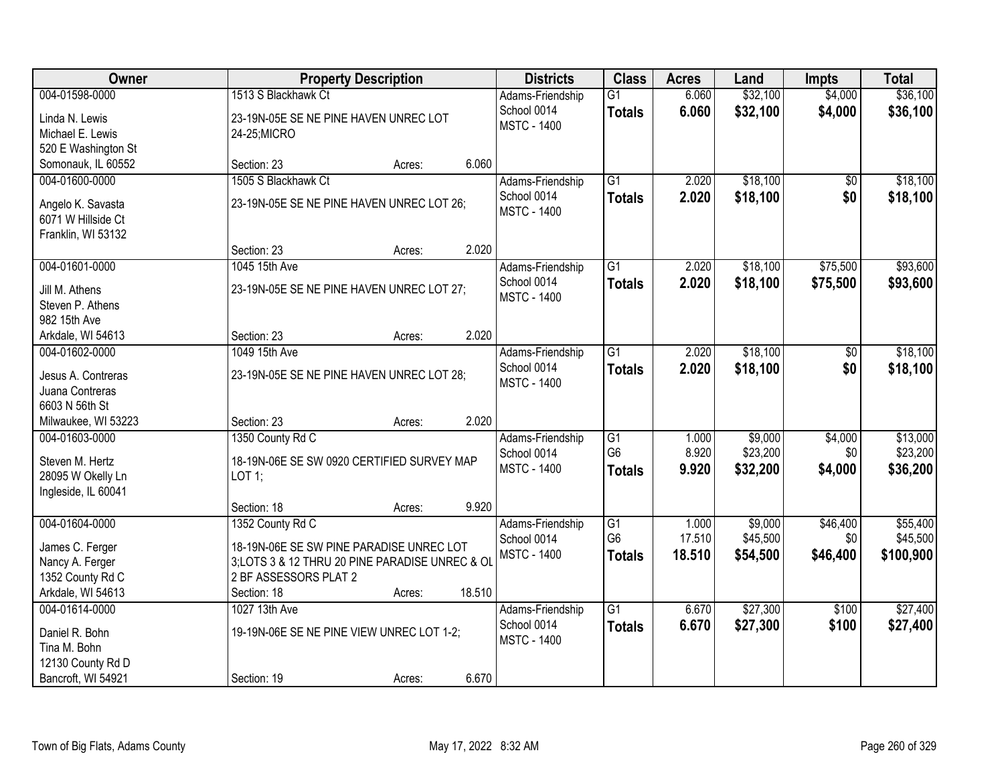| <b>Owner</b>                        | <b>Property Description</b>                                                                | <b>Districts</b>                | <b>Class</b>    | <b>Acres</b> | Land     | <b>Impts</b>    | <b>Total</b> |
|-------------------------------------|--------------------------------------------------------------------------------------------|---------------------------------|-----------------|--------------|----------|-----------------|--------------|
| 004-01598-0000                      | 1513 S Blackhawk Ct                                                                        | Adams-Friendship                | $\overline{G1}$ | 6.060        | \$32,100 | \$4,000         | \$36,100     |
| Linda N. Lewis                      | 23-19N-05E SE NE PINE HAVEN UNREC LOT                                                      | School 0014                     | <b>Totals</b>   | 6.060        | \$32,100 | \$4,000         | \$36,100     |
| Michael E. Lewis                    | 24-25; MICRO                                                                               | <b>MSTC - 1400</b>              |                 |              |          |                 |              |
| 520 E Washington St                 |                                                                                            |                                 |                 |              |          |                 |              |
| Somonauk, IL 60552                  | 6.060<br>Section: 23<br>Acres:                                                             |                                 |                 |              |          |                 |              |
| 004-01600-0000                      | 1505 S Blackhawk Ct                                                                        | Adams-Friendship                | $\overline{G1}$ | 2.020        | \$18,100 | $\overline{50}$ | \$18,100     |
|                                     |                                                                                            | School 0014                     | <b>Totals</b>   | 2.020        | \$18,100 | \$0             | \$18,100     |
| Angelo K. Savasta                   | 23-19N-05E SE NE PINE HAVEN UNREC LOT 26;                                                  | <b>MSTC - 1400</b>              |                 |              |          |                 |              |
| 6071 W Hillside Ct                  |                                                                                            |                                 |                 |              |          |                 |              |
| Franklin, WI 53132                  |                                                                                            |                                 |                 |              |          |                 |              |
|                                     | 2.020<br>Section: 23<br>Acres:                                                             |                                 |                 |              |          |                 |              |
| 004-01601-0000                      | 1045 15th Ave                                                                              | Adams-Friendship                | $\overline{G1}$ | 2.020        | \$18,100 | \$75,500        | \$93,600     |
| Jill M. Athens                      | 23-19N-05E SE NE PINE HAVEN UNREC LOT 27;                                                  | School 0014                     | <b>Totals</b>   | 2.020        | \$18,100 | \$75,500        | \$93,600     |
| Steven P. Athens                    |                                                                                            | <b>MSTC - 1400</b>              |                 |              |          |                 |              |
| 982 15th Ave                        |                                                                                            |                                 |                 |              |          |                 |              |
| Arkdale, WI 54613                   | 2.020<br>Section: 23<br>Acres:                                                             |                                 |                 |              |          |                 |              |
| 004-01602-0000                      | 1049 15th Ave                                                                              | Adams-Friendship                | $\overline{G1}$ | 2.020        | \$18,100 | \$0             | \$18,100     |
|                                     |                                                                                            | School 0014                     | <b>Totals</b>   | 2.020        | \$18,100 | \$0             | \$18,100     |
| Jesus A. Contreras                  | 23-19N-05E SE NE PINE HAVEN UNREC LOT 28;                                                  | <b>MSTC - 1400</b>              |                 |              |          |                 |              |
| Juana Contreras                     |                                                                                            |                                 |                 |              |          |                 |              |
| 6603 N 56th St                      |                                                                                            |                                 |                 |              |          |                 |              |
| Milwaukee, WI 53223                 | 2.020<br>Section: 23<br>Acres:                                                             |                                 |                 |              |          |                 |              |
| 004-01603-0000                      | 1350 County Rd C                                                                           | Adams-Friendship                | G1              | 1.000        | \$9,000  | \$4,000         | \$13,000     |
| Steven M. Hertz                     | 18-19N-06E SE SW 0920 CERTIFIED SURVEY MAP                                                 | School 0014                     | G <sub>6</sub>  | 8.920        | \$23,200 | \$0             | \$23,200     |
| 28095 W Okelly Ln                   | $LOT$ 1;                                                                                   | <b>MSTC - 1400</b>              | <b>Totals</b>   | 9.920        | \$32,200 | \$4,000         | \$36,200     |
| Ingleside, IL 60041                 |                                                                                            |                                 |                 |              |          |                 |              |
|                                     | 9.920<br>Section: 18<br>Acres:                                                             |                                 |                 |              |          |                 |              |
| 004-01604-0000                      | 1352 County Rd C                                                                           | Adams-Friendship                | $\overline{G1}$ | 1.000        | \$9,000  | \$46,400        | \$55,400     |
|                                     |                                                                                            | School 0014                     | G <sub>6</sub>  | 17.510       | \$45,500 | \$0             | \$45,500     |
| James C. Ferger                     | 18-19N-06E SE SW PINE PARADISE UNREC LOT<br>3;LOTS 3 & 12 THRU 20 PINE PARADISE UNREC & OL | <b>MSTC - 1400</b>              | <b>Totals</b>   | 18.510       | \$54,500 | \$46,400        | \$100,900    |
| Nancy A. Ferger<br>1352 County Rd C | 2 BF ASSESSORS PLAT 2                                                                      |                                 |                 |              |          |                 |              |
| Arkdale, WI 54613                   | 18.510<br>Section: 18<br>Acres:                                                            |                                 |                 |              |          |                 |              |
| 004-01614-0000                      | 1027 13th Ave                                                                              |                                 | $\overline{G1}$ | 6.670        | \$27,300 | \$100           | \$27,400     |
|                                     |                                                                                            | Adams-Friendship<br>School 0014 |                 |              |          |                 |              |
| Daniel R. Bohn                      | 19-19N-06E SE NE PINE VIEW UNREC LOT 1-2;                                                  | <b>MSTC - 1400</b>              | <b>Totals</b>   | 6.670        | \$27,300 | \$100           | \$27,400     |
| Tina M. Bohn                        |                                                                                            |                                 |                 |              |          |                 |              |
| 12130 County Rd D                   |                                                                                            |                                 |                 |              |          |                 |              |
| Bancroft, WI 54921                  | 6.670<br>Section: 19<br>Acres:                                                             |                                 |                 |              |          |                 |              |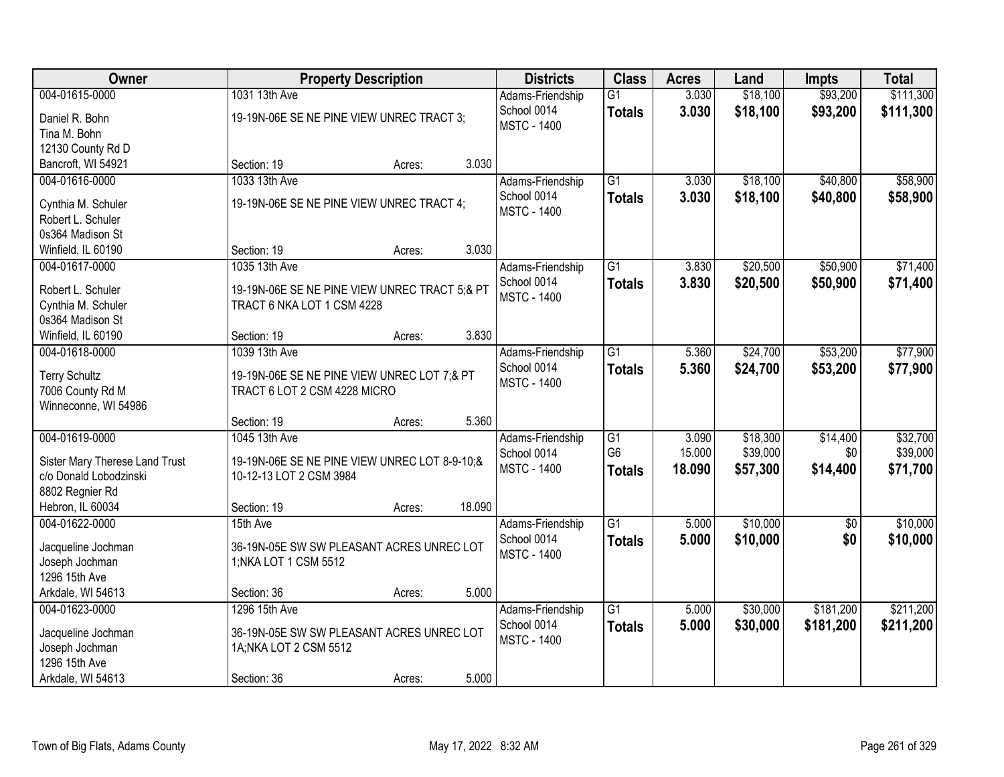| Owner                                                    | <b>Property Description</b>                                              |        |        | <b>Districts</b>   | <b>Class</b>    | <b>Acres</b> | Land     | <b>Impts</b> | <b>Total</b> |
|----------------------------------------------------------|--------------------------------------------------------------------------|--------|--------|--------------------|-----------------|--------------|----------|--------------|--------------|
| 004-01615-0000                                           | 1031 13th Ave                                                            |        |        | Adams-Friendship   | $\overline{G1}$ | 3.030        | \$18,100 | \$93,200     | \$111,300    |
| Daniel R. Bohn                                           | 19-19N-06E SE NE PINE VIEW UNREC TRACT 3;                                |        |        | School 0014        | <b>Totals</b>   | 3.030        | \$18,100 | \$93,200     | \$111,300    |
| Tina M. Bohn                                             |                                                                          |        |        | <b>MSTC - 1400</b> |                 |              |          |              |              |
| 12130 County Rd D                                        |                                                                          |        |        |                    |                 |              |          |              |              |
| Bancroft, WI 54921                                       | Section: 19                                                              | Acres: | 3.030  |                    |                 |              |          |              |              |
| 004-01616-0000                                           | 1033 13th Ave                                                            |        |        | Adams-Friendship   | $\overline{G1}$ | 3.030        | \$18,100 | \$40,800     | \$58,900     |
| Cynthia M. Schuler                                       | 19-19N-06E SE NE PINE VIEW UNREC TRACT 4;                                |        |        | School 0014        | <b>Totals</b>   | 3.030        | \$18,100 | \$40,800     | \$58,900     |
| Robert L. Schuler                                        |                                                                          |        |        | <b>MSTC - 1400</b> |                 |              |          |              |              |
| 0s364 Madison St                                         |                                                                          |        |        |                    |                 |              |          |              |              |
| Winfield, IL 60190                                       | Section: 19                                                              | Acres: | 3.030  |                    |                 |              |          |              |              |
| 004-01617-0000                                           | 1035 13th Ave                                                            |        |        | Adams-Friendship   | $\overline{G1}$ | 3.830        | \$20,500 | \$50,900     | \$71,400     |
|                                                          |                                                                          |        |        | School 0014        | <b>Totals</b>   | 3.830        | \$20,500 | \$50,900     | \$71,400     |
| Robert L. Schuler                                        | 19-19N-06E SE NE PINE VIEW UNREC TRACT 5;& PT                            |        |        | <b>MSTC - 1400</b> |                 |              |          |              |              |
| Cynthia M. Schuler                                       | TRACT 6 NKA LOT 1 CSM 4228                                               |        |        |                    |                 |              |          |              |              |
| 0s364 Madison St                                         |                                                                          |        |        |                    |                 |              |          |              |              |
| Winfield, IL 60190                                       | Section: 19                                                              | Acres: | 3.830  |                    |                 |              |          |              |              |
| 004-01618-0000                                           | 1039 13th Ave                                                            |        |        | Adams-Friendship   | $\overline{G1}$ | 5.360        | \$24,700 | \$53,200     | \$77,900     |
| <b>Terry Schultz</b>                                     | 19-19N-06E SE NE PINE VIEW UNREC LOT 7;& PT                              |        |        | School 0014        | <b>Totals</b>   | 5.360        | \$24,700 | \$53,200     | \$77,900     |
| 7006 County Rd M                                         | TRACT 6 LOT 2 CSM 4228 MICRO                                             |        |        | <b>MSTC - 1400</b> |                 |              |          |              |              |
| Winneconne, WI 54986                                     |                                                                          |        |        |                    |                 |              |          |              |              |
|                                                          | Section: 19                                                              | Acres: | 5.360  |                    |                 |              |          |              |              |
| 004-01619-0000                                           | 1045 13th Ave                                                            |        |        | Adams-Friendship   | $\overline{G1}$ | 3.090        | \$18,300 | \$14,400     | \$32,700     |
|                                                          |                                                                          |        |        | School 0014        | G <sub>6</sub>  | 15.000       | \$39,000 | \$0          | \$39,000     |
| Sister Mary Therese Land Trust<br>c/o Donald Lobodzinski | 19-19N-06E SE NE PINE VIEW UNREC LOT 8-9-10;&<br>10-12-13 LOT 2 CSM 3984 |        |        | <b>MSTC - 1400</b> | <b>Totals</b>   | 18.090       | \$57,300 | \$14,400     | \$71,700     |
| 8802 Regnier Rd                                          |                                                                          |        |        |                    |                 |              |          |              |              |
| Hebron, IL 60034                                         | Section: 19                                                              | Acres: | 18.090 |                    |                 |              |          |              |              |
| 004-01622-0000                                           | 15th Ave                                                                 |        |        | Adams-Friendship   | $\overline{G1}$ | 5.000        | \$10,000 | $\sqrt{$0}$  | \$10,000     |
|                                                          |                                                                          |        |        | School 0014        | <b>Totals</b>   | 5.000        | \$10,000 | \$0          | \$10,000     |
| Jacqueline Jochman                                       | 36-19N-05E SW SW PLEASANT ACRES UNREC LOT                                |        |        | <b>MSTC - 1400</b> |                 |              |          |              |              |
| Joseph Jochman                                           | 1; NKA LOT 1 CSM 5512                                                    |        |        |                    |                 |              |          |              |              |
| 1296 15th Ave                                            |                                                                          |        |        |                    |                 |              |          |              |              |
| Arkdale, WI 54613                                        | Section: 36                                                              | Acres: | 5.000  |                    |                 |              |          |              |              |
| 004-01623-0000                                           | 1296 15th Ave                                                            |        |        | Adams-Friendship   | $\overline{G1}$ | 5.000        | \$30,000 | \$181,200    | \$211,200    |
| Jacqueline Jochman                                       | 36-19N-05E SW SW PLEASANT ACRES UNREC LOT                                |        |        | School 0014        | <b>Totals</b>   | 5.000        | \$30,000 | \$181,200    | \$211,200    |
| Joseph Jochman                                           | 1A; NKA LOT 2 CSM 5512                                                   |        |        | <b>MSTC - 1400</b> |                 |              |          |              |              |
| 1296 15th Ave                                            |                                                                          |        |        |                    |                 |              |          |              |              |
| Arkdale, WI 54613                                        | Section: 36                                                              | Acres: | 5.000  |                    |                 |              |          |              |              |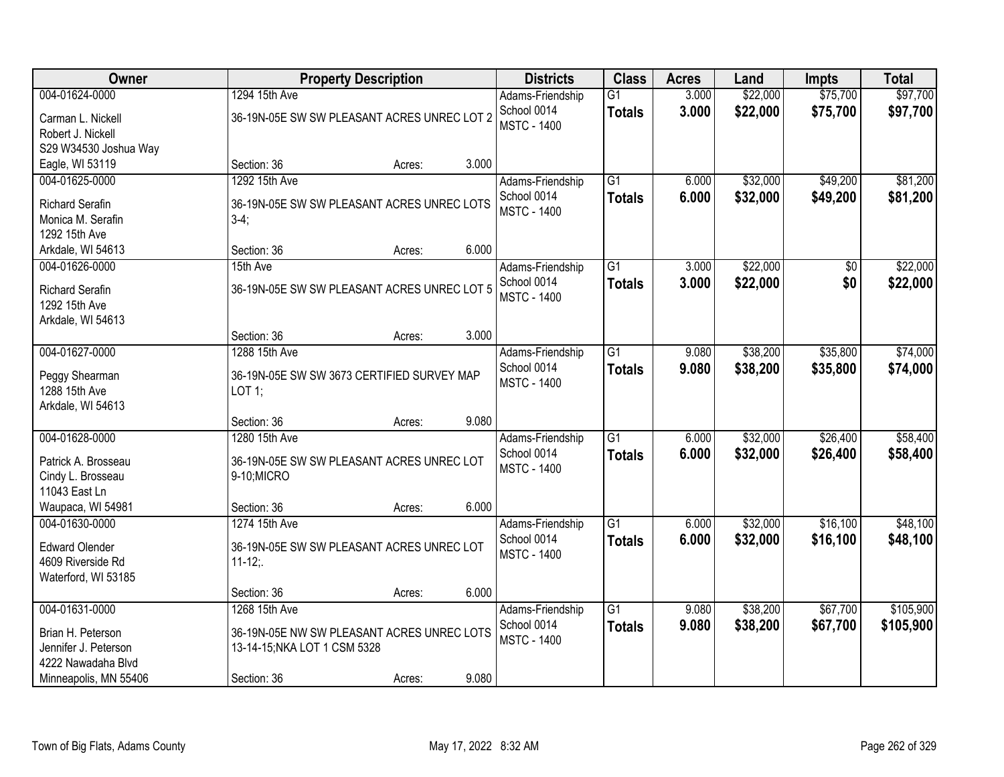| Owner                              | <b>Property Description</b>                 |        |       | <b>Districts</b>                  | <b>Class</b>    | <b>Acres</b> | Land     | <b>Impts</b> | <b>Total</b> |
|------------------------------------|---------------------------------------------|--------|-------|-----------------------------------|-----------------|--------------|----------|--------------|--------------|
| 004-01624-0000                     | 1294 15th Ave                               |        |       | Adams-Friendship                  | G1              | 3.000        | \$22,000 | \$75,700     | \$97,700     |
| Carman L. Nickell                  | 36-19N-05E SW SW PLEASANT ACRES UNREC LOT 2 |        |       | School 0014                       | <b>Totals</b>   | 3.000        | \$22,000 | \$75,700     | \$97,700     |
| Robert J. Nickell                  |                                             |        |       | <b>MSTC - 1400</b>                |                 |              |          |              |              |
| S29 W34530 Joshua Way              |                                             |        |       |                                   |                 |              |          |              |              |
| Eagle, WI 53119                    | Section: 36                                 | Acres: | 3.000 |                                   |                 |              |          |              |              |
| 004-01625-0000                     | 1292 15th Ave                               |        |       | Adams-Friendship                  | $\overline{G1}$ | 6.000        | \$32,000 | \$49,200     | \$81,200     |
| <b>Richard Serafin</b>             | 36-19N-05E SW SW PLEASANT ACRES UNREC LOTS  |        |       | School 0014                       | <b>Totals</b>   | 6.000        | \$32,000 | \$49,200     | \$81,200     |
| Monica M. Serafin                  | $3-4;$                                      |        |       | <b>MSTC - 1400</b>                |                 |              |          |              |              |
| 1292 15th Ave                      |                                             |        |       |                                   |                 |              |          |              |              |
| Arkdale, WI 54613                  | Section: 36                                 | Acres: | 6.000 |                                   |                 |              |          |              |              |
| 004-01626-0000                     | 15th Ave                                    |        |       | Adams-Friendship                  | $\overline{G1}$ | 3.000        | \$22,000 | \$0          | \$22,000     |
|                                    |                                             |        |       | School 0014                       | <b>Totals</b>   | 3.000        | \$22,000 | \$0          | \$22,000     |
| <b>Richard Serafin</b>             | 36-19N-05E SW SW PLEASANT ACRES UNREC LOT 5 |        |       | <b>MSTC - 1400</b>                |                 |              |          |              |              |
| 1292 15th Ave<br>Arkdale, WI 54613 |                                             |        |       |                                   |                 |              |          |              |              |
|                                    | Section: 36                                 | Acres: | 3.000 |                                   |                 |              |          |              |              |
| 004-01627-0000                     | 1288 15th Ave                               |        |       | Adams-Friendship                  | $\overline{G1}$ | 9.080        | \$38,200 | \$35,800     | \$74,000     |
|                                    |                                             |        |       | School 0014                       | <b>Totals</b>   | 9.080        | \$38,200 | \$35,800     | \$74,000     |
| Peggy Shearman                     | 36-19N-05E SW SW 3673 CERTIFIED SURVEY MAP  |        |       | <b>MSTC - 1400</b>                |                 |              |          |              |              |
| 1288 15th Ave                      | LOT 1;                                      |        |       |                                   |                 |              |          |              |              |
| Arkdale, WI 54613                  |                                             |        |       |                                   |                 |              |          |              |              |
|                                    | Section: 36                                 | Acres: | 9.080 |                                   |                 |              |          |              |              |
| 004-01628-0000                     | 1280 15th Ave                               |        |       | Adams-Friendship                  | $\overline{G1}$ | 6.000        | \$32,000 | \$26,400     | \$58,400     |
| Patrick A. Brosseau                | 36-19N-05E SW SW PLEASANT ACRES UNREC LOT   |        |       | School 0014<br><b>MSTC - 1400</b> | <b>Totals</b>   | 6.000        | \$32,000 | \$26,400     | \$58,400     |
| Cindy L. Brosseau                  | 9-10;MICRO                                  |        |       |                                   |                 |              |          |              |              |
| 11043 East Ln                      |                                             |        |       |                                   |                 |              |          |              |              |
| Waupaca, WI 54981                  | Section: 36                                 | Acres: | 6.000 |                                   |                 |              |          |              |              |
| 004-01630-0000                     | 1274 15th Ave                               |        |       | Adams-Friendship                  | $\overline{G1}$ | 6.000        | \$32,000 | \$16,100     | \$48,100     |
| <b>Edward Olender</b>              | 36-19N-05E SW SW PLEASANT ACRES UNREC LOT   |        |       | School 0014                       | <b>Totals</b>   | 6.000        | \$32,000 | \$16,100     | \$48,100     |
| 4609 Riverside Rd                  | $11-12$ ;                                   |        |       | <b>MSTC - 1400</b>                |                 |              |          |              |              |
| Waterford, WI 53185                |                                             |        |       |                                   |                 |              |          |              |              |
|                                    | Section: 36                                 | Acres: | 6.000 |                                   |                 |              |          |              |              |
| 004-01631-0000                     | 1268 15th Ave                               |        |       | Adams-Friendship                  | $\overline{G1}$ | 9.080        | \$38,200 | \$67,700     | \$105,900    |
| Brian H. Peterson                  | 36-19N-05E NW SW PLEASANT ACRES UNREC LOTS  |        |       | School 0014                       | <b>Totals</b>   | 9.080        | \$38,200 | \$67,700     | \$105,900    |
| Jennifer J. Peterson               | 13-14-15; NKA LOT 1 CSM 5328                |        |       | <b>MSTC - 1400</b>                |                 |              |          |              |              |
| 4222 Nawadaha Blvd                 |                                             |        |       |                                   |                 |              |          |              |              |
| Minneapolis, MN 55406              | Section: 36                                 | Acres: | 9.080 |                                   |                 |              |          |              |              |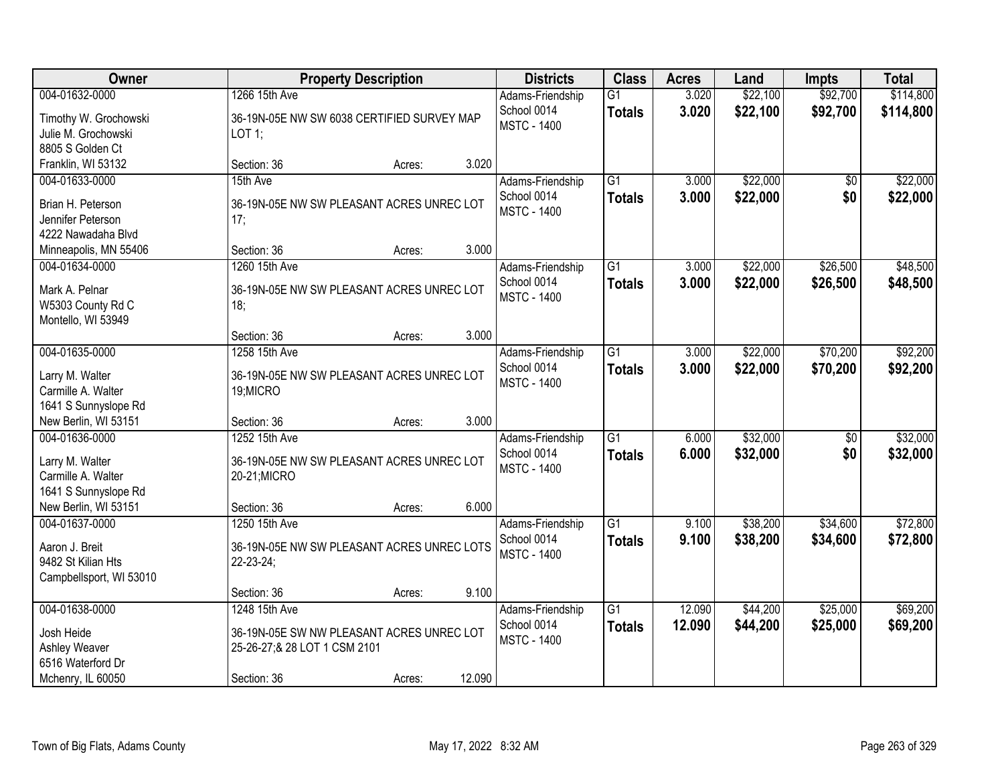| Owner                                                                                   |                                                                                                            | <b>Property Description</b> |        |                                                       | <b>Class</b>                     | <b>Acres</b>     | Land                 | <b>Impts</b>         | <b>Total</b>           |
|-----------------------------------------------------------------------------------------|------------------------------------------------------------------------------------------------------------|-----------------------------|--------|-------------------------------------------------------|----------------------------------|------------------|----------------------|----------------------|------------------------|
| 004-01632-0000<br>Timothy W. Grochowski<br>Julie M. Grochowski<br>8805 S Golden Ct      | 1266 15th Ave<br>36-19N-05E NW SW 6038 CERTIFIED SURVEY MAP<br>LOT 1;                                      |                             |        | Adams-Friendship<br>School 0014<br><b>MSTC - 1400</b> | $\overline{G1}$<br><b>Totals</b> | 3.020<br>3.020   | \$22,100<br>\$22,100 | \$92,700<br>\$92,700 | \$114,800<br>\$114,800 |
| Franklin, WI 53132                                                                      | Section: 36                                                                                                | Acres:                      | 3.020  |                                                       |                                  |                  |                      |                      |                        |
| 004-01633-0000<br>Brian H. Peterson<br>Jennifer Peterson<br>4222 Nawadaha Blvd          | 15th Ave<br>36-19N-05E NW SW PLEASANT ACRES UNREC LOT<br>17;                                               |                             |        | Adams-Friendship<br>School 0014<br><b>MSTC - 1400</b> | $\overline{G1}$<br><b>Totals</b> | 3.000<br>3.000   | \$22,000<br>\$22,000 | \$0<br>\$0           | \$22,000<br>\$22,000   |
| Minneapolis, MN 55406                                                                   | Section: 36<br>1260 15th Ave                                                                               | Acres:                      | 3.000  |                                                       |                                  |                  |                      |                      |                        |
| 004-01634-0000<br>Mark A. Pelnar<br>W5303 County Rd C<br>Montello, WI 53949             | 36-19N-05E NW SW PLEASANT ACRES UNREC LOT<br>18;                                                           |                             |        | Adams-Friendship<br>School 0014<br><b>MSTC - 1400</b> | G1<br><b>Totals</b>              | 3.000<br>3.000   | \$22,000<br>\$22,000 | \$26,500<br>\$26,500 | \$48,500<br>\$48,500   |
|                                                                                         | Section: 36                                                                                                | Acres:                      | 3.000  |                                                       |                                  |                  |                      |                      |                        |
| 004-01635-0000<br>Larry M. Walter<br>Carmille A. Walter<br>1641 S Sunnyslope Rd         | 1258 15th Ave<br>36-19N-05E NW SW PLEASANT ACRES UNREC LOT<br>19;MICRO                                     |                             |        | Adams-Friendship<br>School 0014<br><b>MSTC - 1400</b> | $\overline{G1}$<br><b>Totals</b> | 3.000<br>3.000   | \$22,000<br>\$22,000 | \$70,200<br>\$70,200 | \$92,200<br>\$92,200   |
| New Berlin, WI 53151                                                                    | Section: 36                                                                                                | Acres:                      | 3.000  |                                                       |                                  |                  |                      |                      |                        |
| 004-01636-0000<br>Larry M. Walter<br>Carmille A. Walter<br>1641 S Sunnyslope Rd         | 1252 15th Ave<br>36-19N-05E NW SW PLEASANT ACRES UNREC LOT<br>20-21; MICRO                                 |                             |        | Adams-Friendship<br>School 0014<br><b>MSTC - 1400</b> | $\overline{G1}$<br><b>Totals</b> | 6.000<br>6.000   | \$32,000<br>\$32,000 | \$0<br>\$0           | \$32,000<br>\$32,000   |
| New Berlin, WI 53151                                                                    | Section: 36                                                                                                | Acres:                      | 6.000  |                                                       |                                  |                  |                      |                      |                        |
| 004-01637-0000<br>Aaron J. Breit<br>9482 St Kilian Hts<br>Campbellsport, WI 53010       | 1250 15th Ave<br>36-19N-05E NW SW PLEASANT ACRES UNREC LOTS<br>$22 - 23 - 24$ ;                            |                             |        | Adams-Friendship<br>School 0014<br><b>MSTC - 1400</b> | $\overline{G1}$<br><b>Totals</b> | 9.100<br>9.100   | \$38,200<br>\$38,200 | \$34,600<br>\$34,600 | \$72,800<br>\$72,800   |
|                                                                                         | Section: 36                                                                                                | Acres:                      | 9.100  |                                                       |                                  |                  |                      |                      |                        |
| 004-01638-0000<br>Josh Heide<br>Ashley Weaver<br>6516 Waterford Dr<br>Mchenry, IL 60050 | 1248 15th Ave<br>36-19N-05E SW NW PLEASANT ACRES UNREC LOT<br>25-26-27; & 28 LOT 1 CSM 2101<br>Section: 36 | Acres:                      | 12.090 | Adams-Friendship<br>School 0014<br><b>MSTC - 1400</b> | $\overline{G1}$<br><b>Totals</b> | 12.090<br>12.090 | \$44,200<br>\$44,200 | \$25,000<br>\$25,000 | \$69,200<br>\$69,200   |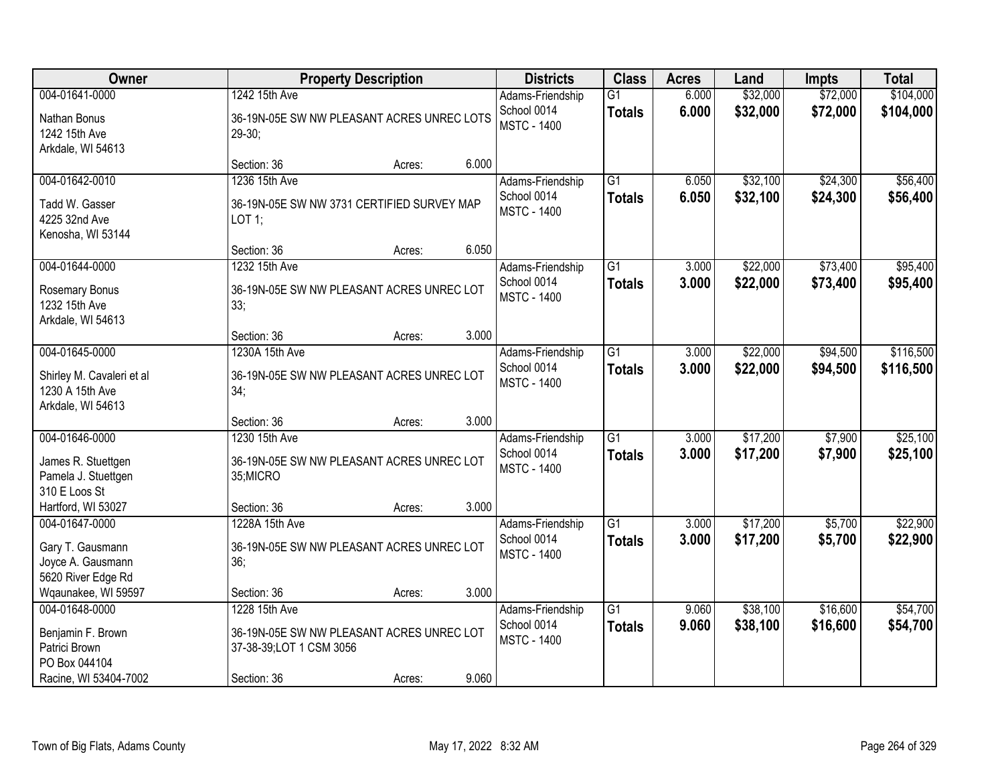| Owner                                                             | <b>Property Description</b>                                          |        |       | <b>Districts</b>                  | <b>Class</b>                     | <b>Acres</b>   | Land                 | <b>Impts</b>         | <b>Total</b>           |
|-------------------------------------------------------------------|----------------------------------------------------------------------|--------|-------|-----------------------------------|----------------------------------|----------------|----------------------|----------------------|------------------------|
| 004-01641-0000                                                    | 1242 15th Ave                                                        |        |       | Adams-Friendship<br>School 0014   | $\overline{G1}$<br><b>Totals</b> | 6.000<br>6.000 | \$32,000<br>\$32,000 | \$72,000<br>\$72,000 | \$104,000<br>\$104,000 |
| Nathan Bonus<br>1242 15th Ave                                     | 36-19N-05E SW NW PLEASANT ACRES UNREC LOTS<br>$29-30;$               |        |       | <b>MSTC - 1400</b>                |                                  |                |                      |                      |                        |
| Arkdale, WI 54613                                                 | Section: 36                                                          | Acres: | 6.000 |                                   |                                  |                |                      |                      |                        |
| 004-01642-0010                                                    | 1236 15th Ave                                                        |        |       | Adams-Friendship                  | $\overline{G1}$                  | 6.050          | \$32,100             | \$24,300             | \$56,400               |
| Tadd W. Gasser<br>4225 32nd Ave<br>Kenosha, WI 53144              | 36-19N-05E SW NW 3731 CERTIFIED SURVEY MAP<br>LOT 1;                 |        |       | School 0014<br><b>MSTC - 1400</b> | <b>Totals</b>                    | 6.050          | \$32,100             | \$24,300             | \$56,400               |
|                                                                   | Section: 36                                                          | Acres: | 6.050 |                                   |                                  |                |                      |                      |                        |
| 004-01644-0000                                                    | 1232 15th Ave                                                        |        |       | Adams-Friendship                  | G1                               | 3.000          | \$22,000             | \$73,400             | \$95,400               |
| Rosemary Bonus<br>1232 15th Ave<br>Arkdale, WI 54613              | 36-19N-05E SW NW PLEASANT ACRES UNREC LOT<br>33;                     |        |       | School 0014<br><b>MSTC - 1400</b> | <b>Totals</b>                    | 3.000          | \$22,000             | \$73,400             | \$95,400               |
|                                                                   | Section: 36                                                          | Acres: | 3.000 |                                   |                                  |                |                      |                      |                        |
| 004-01645-0000                                                    | 1230A 15th Ave                                                       |        |       | Adams-Friendship                  | $\overline{G1}$                  | 3.000          | \$22,000             | \$94,500             | \$116,500              |
| Shirley M. Cavaleri et al<br>1230 A 15th Ave<br>Arkdale, WI 54613 | 36-19N-05E SW NW PLEASANT ACRES UNREC LOT<br>34;                     |        |       | School 0014<br><b>MSTC - 1400</b> | <b>Totals</b>                    | 3.000          | \$22,000             | \$94,500             | \$116,500              |
|                                                                   | Section: 36                                                          | Acres: | 3.000 |                                   |                                  |                |                      |                      |                        |
| 004-01646-0000                                                    | 1230 15th Ave                                                        |        |       | Adams-Friendship<br>School 0014   | $\overline{G1}$<br><b>Totals</b> | 3.000<br>3.000 | \$17,200<br>\$17,200 | \$7,900<br>\$7,900   | \$25,100<br>\$25,100   |
| James R. Stuettgen<br>Pamela J. Stuettgen<br>310 E Loos St        | 36-19N-05E SW NW PLEASANT ACRES UNREC LOT<br>35;MICRO                |        |       | <b>MSTC - 1400</b>                |                                  |                |                      |                      |                        |
| Hartford, WI 53027                                                | Section: 36                                                          | Acres: | 3.000 |                                   |                                  |                |                      |                      |                        |
| 004-01647-0000                                                    | 1228A 15th Ave                                                       |        |       | Adams-Friendship                  | $\overline{G1}$                  | 3.000          | \$17,200             | \$5,700              | \$22,900               |
| Gary T. Gausmann<br>Joyce A. Gausmann<br>5620 River Edge Rd       | 36-19N-05E SW NW PLEASANT ACRES UNREC LOT<br>36;                     |        |       | School 0014<br><b>MSTC - 1400</b> | <b>Totals</b>                    | 3.000          | \$17,200             | \$5,700              | \$22,900               |
| Wqaunakee, WI 59597                                               | Section: 36                                                          | Acres: | 3.000 |                                   |                                  |                |                      |                      |                        |
| 004-01648-0000                                                    | 1228 15th Ave                                                        |        |       | Adams-Friendship                  | $\overline{G1}$                  | 9.060          | \$38,100             | \$16,600             | \$54,700               |
| Benjamin F. Brown<br>Patrici Brown<br>PO Box 044104               | 36-19N-05E SW NW PLEASANT ACRES UNREC LOT<br>37-38-39;LOT 1 CSM 3056 |        |       | School 0014<br><b>MSTC - 1400</b> | <b>Totals</b>                    | 9.060          | \$38,100             | \$16,600             | \$54,700               |
| Racine, WI 53404-7002                                             | Section: 36                                                          | Acres: | 9.060 |                                   |                                  |                |                      |                      |                        |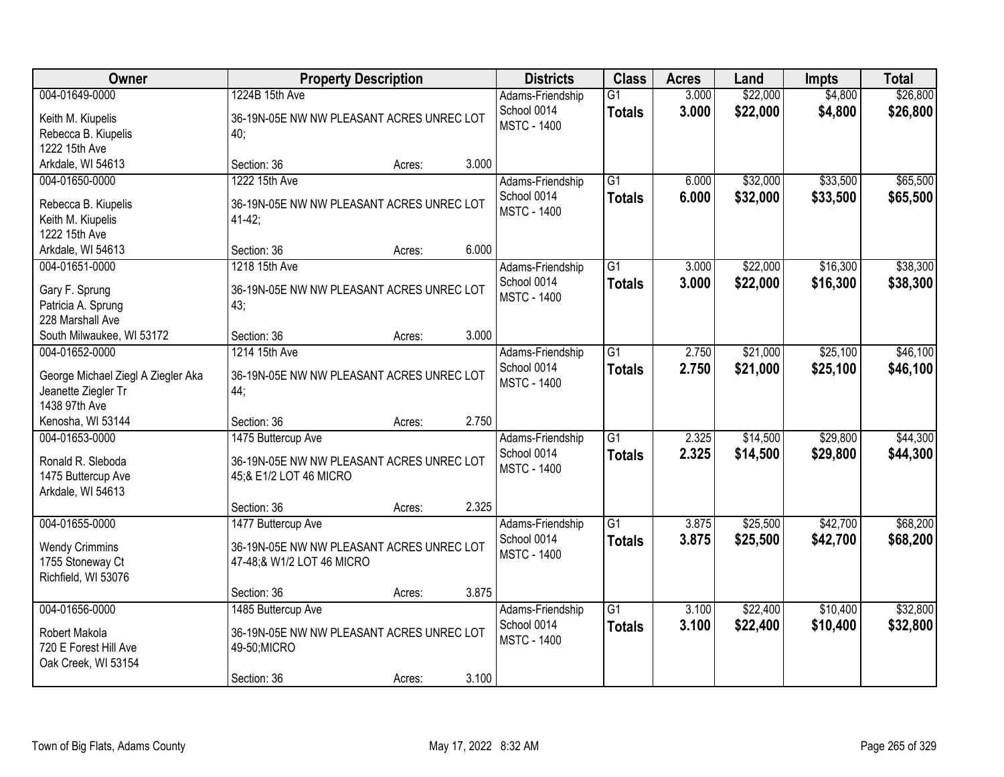| Owner                                                                                        | <b>Property Description</b>                                                                    |        |       | <b>Districts</b>                                      | <b>Class</b>                     | <b>Acres</b>   | Land                 | <b>Impts</b>         | <b>Total</b>         |
|----------------------------------------------------------------------------------------------|------------------------------------------------------------------------------------------------|--------|-------|-------------------------------------------------------|----------------------------------|----------------|----------------------|----------------------|----------------------|
| 004-01649-0000<br>Keith M. Kiupelis<br>Rebecca B. Kiupelis<br>1222 15th Ave                  | 1224B 15th Ave<br>36-19N-05E NW NW PLEASANT ACRES UNREC LOT<br>40;                             |        |       | Adams-Friendship<br>School 0014<br><b>MSTC - 1400</b> | $\overline{G1}$<br><b>Totals</b> | 3.000<br>3.000 | \$22,000<br>\$22,000 | \$4,800<br>\$4,800   | \$26,800<br>\$26,800 |
| Arkdale, WI 54613                                                                            | Section: 36                                                                                    | Acres: | 3.000 |                                                       |                                  |                |                      |                      |                      |
| 004-01650-0000<br>Rebecca B. Kiupelis<br>Keith M. Kiupelis<br>1222 15th Ave                  | 1222 15th Ave<br>36-19N-05E NW NW PLEASANT ACRES UNREC LOT<br>$41-42;$                         |        |       | Adams-Friendship<br>School 0014<br><b>MSTC - 1400</b> | $\overline{G1}$<br><b>Totals</b> | 6.000<br>6.000 | \$32,000<br>\$32,000 | \$33,500<br>\$33,500 | \$65,500<br>\$65,500 |
| Arkdale, WI 54613                                                                            | Section: 36                                                                                    | Acres: | 6.000 |                                                       |                                  |                |                      |                      |                      |
| 004-01651-0000<br>Gary F. Sprung<br>Patricia A. Sprung<br>228 Marshall Ave                   | 1218 15th Ave<br>36-19N-05E NW NW PLEASANT ACRES UNREC LOT<br>43;                              |        |       | Adams-Friendship<br>School 0014<br><b>MSTC - 1400</b> | $\overline{G1}$<br><b>Totals</b> | 3.000<br>3.000 | \$22,000<br>\$22,000 | \$16,300<br>\$16,300 | \$38,300<br>\$38,300 |
| South Milwaukee, WI 53172                                                                    | Section: 36                                                                                    | Acres: | 3.000 |                                                       |                                  |                |                      |                      |                      |
| 004-01652-0000<br>George Michael Ziegl A Ziegler Aka<br>Jeanette Ziegler Tr<br>1438 97th Ave | 1214 15th Ave<br>36-19N-05E NW NW PLEASANT ACRES UNREC LOT<br>44;                              |        |       | Adams-Friendship<br>School 0014<br><b>MSTC - 1400</b> | $\overline{G1}$<br><b>Totals</b> | 2.750<br>2.750 | \$21,000<br>\$21,000 | \$25,100<br>\$25,100 | \$46,100<br>\$46,100 |
| Kenosha, WI 53144                                                                            | Section: 36                                                                                    | Acres: | 2.750 |                                                       |                                  |                |                      |                      |                      |
| 004-01653-0000<br>Ronald R. Sleboda<br>1475 Buttercup Ave<br>Arkdale, WI 54613               | 1475 Buttercup Ave<br>36-19N-05E NW NW PLEASANT ACRES UNREC LOT<br>45;& E1/2 LOT 46 MICRO      |        |       | Adams-Friendship<br>School 0014<br><b>MSTC - 1400</b> | $\overline{G1}$<br><b>Totals</b> | 2.325<br>2.325 | \$14,500<br>\$14,500 | \$29,800<br>\$29,800 | \$44,300<br>\$44,300 |
|                                                                                              | Section: 36                                                                                    | Acres: | 2.325 |                                                       |                                  |                |                      |                      |                      |
| 004-01655-0000<br><b>Wendy Crimmins</b><br>1755 Stoneway Ct<br>Richfield, WI 53076           | 1477 Buttercup Ave<br>36-19N-05E NW NW PLEASANT ACRES UNREC LOT<br>47-48;& W1/2 LOT 46 MICRO   |        |       | Adams-Friendship<br>School 0014<br><b>MSTC - 1400</b> | $\overline{G1}$<br><b>Totals</b> | 3.875<br>3.875 | \$25,500<br>\$25,500 | \$42,700<br>\$42,700 | \$68,200<br>\$68,200 |
|                                                                                              | Section: 36                                                                                    | Acres: | 3.875 |                                                       |                                  |                |                      |                      |                      |
| 004-01656-0000<br>Robert Makola<br>720 E Forest Hill Ave<br>Oak Creek, WI 53154              | 1485 Buttercup Ave<br>36-19N-05E NW NW PLEASANT ACRES UNREC LOT<br>49-50; MICRO<br>Section: 36 | Acres: | 3.100 | Adams-Friendship<br>School 0014<br><b>MSTC - 1400</b> | $\overline{G1}$<br><b>Totals</b> | 3.100<br>3.100 | \$22,400<br>\$22,400 | \$10,400<br>\$10,400 | \$32,800<br>\$32,800 |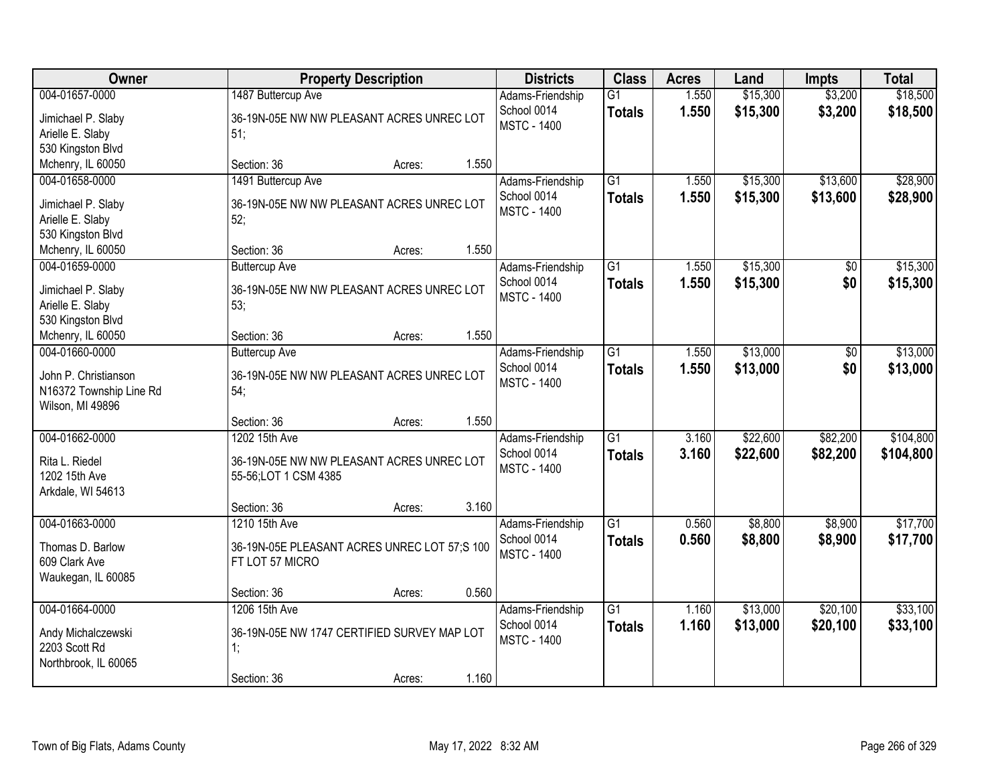| <b>Owner</b>                                                                          |                                                                                    | <b>Property Description</b> |       | <b>Districts</b>                                      | <b>Class</b>                     | <b>Acres</b>   | Land                 | <b>Impts</b>         | <b>Total</b>           |
|---------------------------------------------------------------------------------------|------------------------------------------------------------------------------------|-----------------------------|-------|-------------------------------------------------------|----------------------------------|----------------|----------------------|----------------------|------------------------|
| 004-01657-0000<br>Jimichael P. Slaby<br>Arielle E. Slaby<br>530 Kingston Blvd         | 1487 Buttercup Ave<br>36-19N-05E NW NW PLEASANT ACRES UNREC LOT<br>51;             |                             |       | Adams-Friendship<br>School 0014<br><b>MSTC - 1400</b> | $\overline{G1}$<br><b>Totals</b> | 1.550<br>1.550 | \$15,300<br>\$15,300 | \$3,200<br>\$3,200   | \$18,500<br>\$18,500   |
| Mchenry, IL 60050                                                                     | Section: 36                                                                        | Acres:                      | 1.550 |                                                       |                                  |                |                      |                      |                        |
| 004-01658-0000<br>Jimichael P. Slaby<br>Arielle E. Slaby<br>530 Kingston Blvd         | 1491 Buttercup Ave<br>36-19N-05E NW NW PLEASANT ACRES UNREC LOT<br>52;             |                             |       | Adams-Friendship<br>School 0014<br><b>MSTC - 1400</b> | $\overline{G1}$<br><b>Totals</b> | 1.550<br>1.550 | \$15,300<br>\$15,300 | \$13,600<br>\$13,600 | \$28,900<br>\$28,900   |
| Mchenry, IL 60050                                                                     | Section: 36                                                                        | Acres:                      | 1.550 |                                                       |                                  |                |                      |                      |                        |
| 004-01659-0000<br>Jimichael P. Slaby<br>Arielle E. Slaby<br>530 Kingston Blvd         | <b>Buttercup Ave</b><br>36-19N-05E NW NW PLEASANT ACRES UNREC LOT<br>53;           |                             |       | Adams-Friendship<br>School 0014<br><b>MSTC - 1400</b> | G1<br><b>Totals</b>              | 1.550<br>1.550 | \$15,300<br>\$15,300 | \$0<br>\$0           | \$15,300<br>\$15,300   |
| Mchenry, IL 60050                                                                     | Section: 36                                                                        | Acres:                      | 1.550 |                                                       |                                  |                |                      |                      |                        |
| 004-01660-0000<br>John P. Christianson<br>N16372 Township Line Rd<br>Wilson, MI 49896 | <b>Buttercup Ave</b><br>36-19N-05E NW NW PLEASANT ACRES UNREC LOT<br>54:           |                             |       | Adams-Friendship<br>School 0014<br><b>MSTC - 1400</b> | G1<br><b>Totals</b>              | 1.550<br>1.550 | \$13,000<br>\$13,000 | \$0<br>\$0           | \$13,000<br>\$13,000   |
|                                                                                       | Section: 36                                                                        | Acres:                      | 1.550 |                                                       |                                  |                |                      |                      |                        |
| 004-01662-0000<br>Rita L. Riedel<br>1202 15th Ave<br>Arkdale, WI 54613                | 1202 15th Ave<br>36-19N-05E NW NW PLEASANT ACRES UNREC LOT<br>55-56;LOT 1 CSM 4385 |                             |       | Adams-Friendship<br>School 0014<br><b>MSTC - 1400</b> | $\overline{G1}$<br><b>Totals</b> | 3.160<br>3.160 | \$22,600<br>\$22,600 | \$82,200<br>\$82,200 | \$104,800<br>\$104,800 |
|                                                                                       | Section: 36                                                                        | Acres:                      | 3.160 |                                                       |                                  |                |                      |                      |                        |
| 004-01663-0000<br>Thomas D. Barlow<br>609 Clark Ave<br>Waukegan, IL 60085             | 1210 15th Ave<br>36-19N-05E PLEASANT ACRES UNREC LOT 57;S 100<br>FT LOT 57 MICRO   |                             |       | Adams-Friendship<br>School 0014<br><b>MSTC - 1400</b> | $\overline{G1}$<br><b>Totals</b> | 0.560<br>0.560 | \$8,800<br>\$8,800   | \$8,900<br>\$8,900   | \$17,700<br>\$17,700   |
|                                                                                       | Section: 36                                                                        | Acres:                      | 0.560 |                                                       |                                  |                |                      |                      |                        |
| 004-01664-0000<br>Andy Michalczewski<br>2203 Scott Rd<br>Northbrook, IL 60065         | 1206 15th Ave<br>36-19N-05E NW 1747 CERTIFIED SURVEY MAP LOT<br>1:<br>Section: 36  | Acres:                      | 1.160 | Adams-Friendship<br>School 0014<br><b>MSTC - 1400</b> | $\overline{G1}$<br><b>Totals</b> | 1.160<br>1.160 | \$13,000<br>\$13,000 | \$20,100<br>\$20,100 | \$33,100<br>\$33,100   |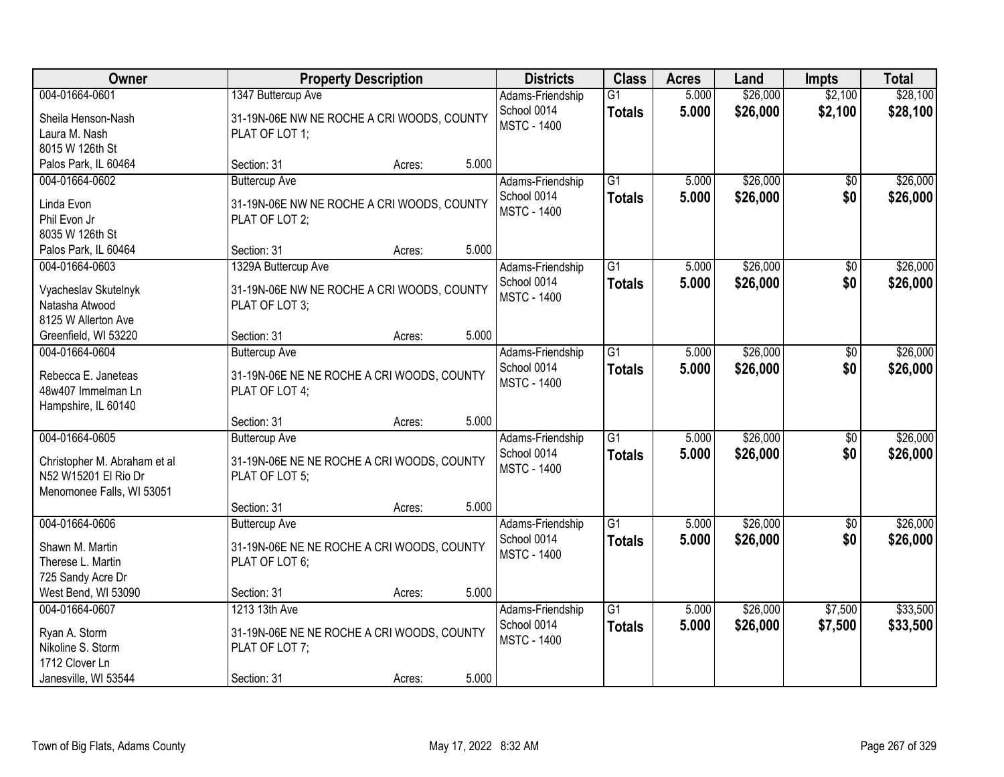| Owner                                             |                                                              | <b>Property Description</b> |       | <b>Districts</b>   | <b>Class</b>    | <b>Acres</b> | Land     | <b>Impts</b>    | <b>Total</b> |
|---------------------------------------------------|--------------------------------------------------------------|-----------------------------|-------|--------------------|-----------------|--------------|----------|-----------------|--------------|
| 004-01664-0601                                    | 1347 Buttercup Ave                                           |                             |       | Adams-Friendship   | $\overline{G1}$ | 5.000        | \$26,000 | \$2,100         | \$28,100     |
| Sheila Henson-Nash                                | 31-19N-06E NW NE ROCHE A CRI WOODS, COUNTY                   |                             |       | School 0014        | <b>Totals</b>   | 5.000        | \$26,000 | \$2,100         | \$28,100     |
| Laura M. Nash                                     | PLAT OF LOT 1;                                               |                             |       | <b>MSTC - 1400</b> |                 |              |          |                 |              |
| 8015 W 126th St                                   |                                                              |                             |       |                    |                 |              |          |                 |              |
| Palos Park, IL 60464                              | Section: 31                                                  | Acres:                      | 5.000 |                    |                 |              |          |                 |              |
| 004-01664-0602                                    | <b>Buttercup Ave</b>                                         |                             |       | Adams-Friendship   | $\overline{G1}$ | 5.000        | \$26,000 | $\overline{50}$ | \$26,000     |
| Linda Evon                                        | 31-19N-06E NW NE ROCHE A CRI WOODS, COUNTY                   |                             |       | School 0014        | <b>Totals</b>   | 5.000        | \$26,000 | \$0             | \$26,000     |
| Phil Evon Jr                                      | PLAT OF LOT 2;                                               |                             |       | <b>MSTC - 1400</b> |                 |              |          |                 |              |
| 8035 W 126th St                                   |                                                              |                             |       |                    |                 |              |          |                 |              |
| Palos Park, IL 60464                              | Section: 31                                                  | Acres:                      | 5.000 |                    |                 |              |          |                 |              |
| 004-01664-0603                                    | 1329A Buttercup Ave                                          |                             |       | Adams-Friendship   | G1              | 5.000        | \$26,000 | $\sqrt{6}$      | \$26,000     |
| Vyacheslav Skutelnyk                              | 31-19N-06E NW NE ROCHE A CRI WOODS, COUNTY                   |                             |       | School 0014        | <b>Totals</b>   | 5.000        | \$26,000 | \$0             | \$26,000     |
| Natasha Atwood                                    | PLAT OF LOT 3;                                               |                             |       | <b>MSTC - 1400</b> |                 |              |          |                 |              |
| 8125 W Allerton Ave                               |                                                              |                             |       |                    |                 |              |          |                 |              |
| Greenfield, WI 53220                              | Section: 31                                                  | Acres:                      | 5.000 |                    |                 |              |          |                 |              |
| 004-01664-0604                                    | <b>Buttercup Ave</b>                                         |                             |       | Adams-Friendship   | $\overline{G1}$ | 5.000        | \$26,000 | \$0             | \$26,000     |
| Rebecca E. Janeteas                               |                                                              |                             |       | School 0014        | <b>Totals</b>   | 5.000        | \$26,000 | \$0             | \$26,000     |
| 48w407 Immelman Ln                                | 31-19N-06E NE NE ROCHE A CRI WOODS, COUNTY<br>PLAT OF LOT 4; |                             |       | <b>MSTC - 1400</b> |                 |              |          |                 |              |
| Hampshire, IL 60140                               |                                                              |                             |       |                    |                 |              |          |                 |              |
|                                                   | Section: 31                                                  | Acres:                      | 5.000 |                    |                 |              |          |                 |              |
| 004-01664-0605                                    | <b>Buttercup Ave</b>                                         |                             |       | Adams-Friendship   | $\overline{G1}$ | 5.000        | \$26,000 | \$0             | \$26,000     |
|                                                   |                                                              |                             |       | School 0014        | <b>Totals</b>   | 5.000        | \$26,000 | \$0             | \$26,000     |
| Christopher M. Abraham et al                      | 31-19N-06E NE NE ROCHE A CRI WOODS, COUNTY                   |                             |       | <b>MSTC - 1400</b> |                 |              |          |                 |              |
| N52 W15201 El Rio Dr<br>Menomonee Falls, WI 53051 | PLAT OF LOT 5;                                               |                             |       |                    |                 |              |          |                 |              |
|                                                   | Section: 31                                                  | Acres:                      | 5.000 |                    |                 |              |          |                 |              |
| 004-01664-0606                                    | <b>Buttercup Ave</b>                                         |                             |       | Adams-Friendship   | $\overline{G1}$ | 5.000        | \$26,000 | \$0             | \$26,000     |
|                                                   |                                                              |                             |       | School 0014        | <b>Totals</b>   | 5.000        | \$26,000 | \$0             | \$26,000     |
| Shawn M. Martin                                   | 31-19N-06E NE NE ROCHE A CRI WOODS, COUNTY                   |                             |       | <b>MSTC - 1400</b> |                 |              |          |                 |              |
| Therese L. Martin                                 | PLAT OF LOT 6;                                               |                             |       |                    |                 |              |          |                 |              |
| 725 Sandy Acre Dr<br>West Bend, WI 53090          | Section: 31                                                  | Acres:                      | 5.000 |                    |                 |              |          |                 |              |
| 004-01664-0607                                    | 1213 13th Ave                                                |                             |       | Adams-Friendship   | $\overline{G1}$ | 5.000        | \$26,000 | \$7,500         | \$33,500     |
|                                                   |                                                              |                             |       | School 0014        | <b>Totals</b>   | 5.000        | \$26,000 | \$7,500         | \$33,500     |
| Ryan A. Storm                                     | 31-19N-06E NE NE ROCHE A CRI WOODS, COUNTY                   |                             |       | <b>MSTC - 1400</b> |                 |              |          |                 |              |
| Nikoline S. Storm                                 | PLAT OF LOT 7;                                               |                             |       |                    |                 |              |          |                 |              |
| 1712 Clover Ln                                    |                                                              |                             |       |                    |                 |              |          |                 |              |
| Janesville, WI 53544                              | Section: 31                                                  | Acres:                      | 5.000 |                    |                 |              |          |                 |              |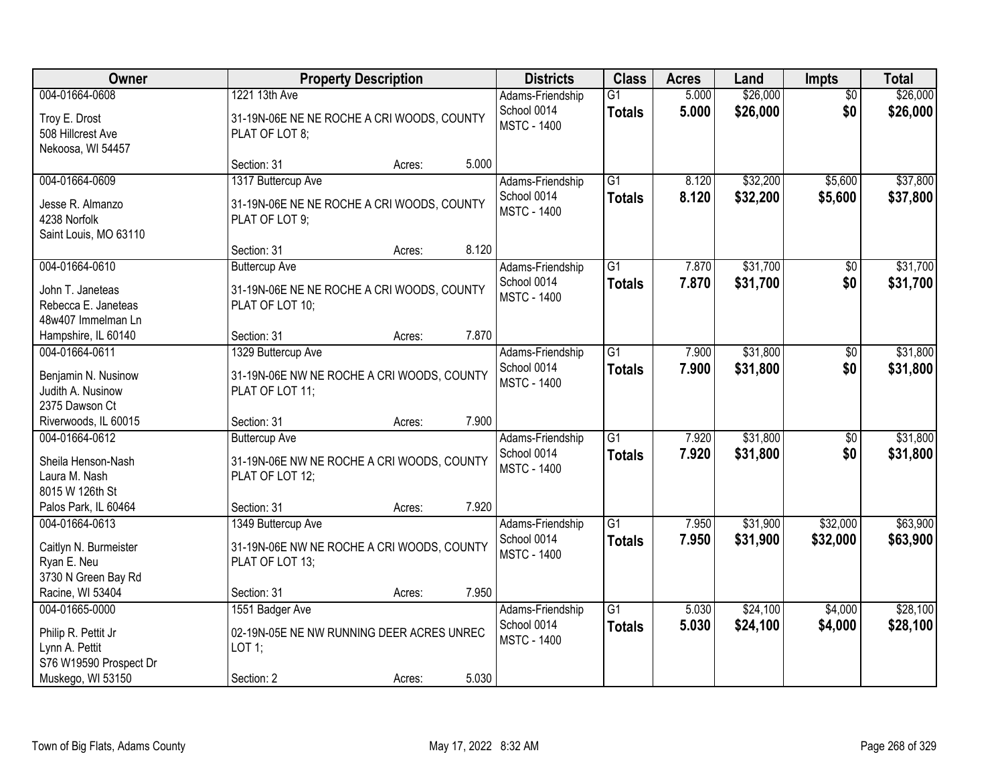| Owner                                                                                                  |                                                                                                      | <b>Property Description</b> |       | <b>Districts</b>                                      | <b>Class</b>                     | <b>Acres</b>   | Land                 | <b>Impts</b>           | <b>Total</b>         |
|--------------------------------------------------------------------------------------------------------|------------------------------------------------------------------------------------------------------|-----------------------------|-------|-------------------------------------------------------|----------------------------------|----------------|----------------------|------------------------|----------------------|
| 004-01664-0608<br>Troy E. Drost<br>508 Hillcrest Ave<br>Nekoosa, WI 54457                              | 1221 13th Ave<br>31-19N-06E NE NE ROCHE A CRI WOODS, COUNTY<br>PLAT OF LOT 8;                        |                             |       | Adams-Friendship<br>School 0014<br><b>MSTC - 1400</b> | $\overline{G1}$<br><b>Totals</b> | 5.000<br>5.000 | \$26,000<br>\$26,000 | $\overline{50}$<br>\$0 | \$26,000<br>\$26,000 |
|                                                                                                        | Section: 31                                                                                          | Acres:                      | 5.000 |                                                       |                                  |                |                      |                        |                      |
| 004-01664-0609<br>Jesse R. Almanzo<br>4238 Norfolk<br>Saint Louis, MO 63110                            | 1317 Buttercup Ave<br>31-19N-06E NE NE ROCHE A CRI WOODS, COUNTY<br>PLAT OF LOT 9;                   |                             |       | Adams-Friendship<br>School 0014<br><b>MSTC - 1400</b> | $\overline{G1}$<br><b>Totals</b> | 8.120<br>8.120 | \$32,200<br>\$32,200 | \$5,600<br>\$5,600     | \$37,800<br>\$37,800 |
|                                                                                                        | Section: 31                                                                                          | Acres:                      | 8.120 |                                                       |                                  |                |                      |                        |                      |
| 004-01664-0610<br>John T. Janeteas<br>Rebecca E. Janeteas<br>48w407 Immelman Ln                        | <b>Buttercup Ave</b><br>31-19N-06E NE NE ROCHE A CRI WOODS, COUNTY<br>PLAT OF LOT 10;                |                             |       | Adams-Friendship<br>School 0014<br><b>MSTC - 1400</b> | $\overline{G1}$<br><b>Totals</b> | 7.870<br>7.870 | \$31,700<br>\$31,700 | \$0<br>\$0             | \$31,700<br>\$31,700 |
| Hampshire, IL 60140                                                                                    | Section: 31                                                                                          | Acres:                      | 7.870 |                                                       |                                  |                |                      |                        |                      |
| 004-01664-0611<br>Benjamin N. Nusinow<br>Judith A. Nusinow<br>2375 Dawson Ct                           | 1329 Buttercup Ave<br>31-19N-06E NW NE ROCHE A CRI WOODS, COUNTY<br>PLAT OF LOT 11;                  |                             |       | Adams-Friendship<br>School 0014<br><b>MSTC - 1400</b> | $\overline{G1}$<br><b>Totals</b> | 7.900<br>7.900 | \$31,800<br>\$31,800 | $\sqrt[6]{3}$<br>\$0   | \$31,800<br>\$31,800 |
| Riverwoods, IL 60015                                                                                   | Section: 31                                                                                          | Acres:                      | 7.900 |                                                       |                                  |                |                      |                        |                      |
| 004-01664-0612<br>Sheila Henson-Nash<br>Laura M. Nash<br>8015 W 126th St<br>Palos Park, IL 60464       | <b>Buttercup Ave</b><br>31-19N-06E NW NE ROCHE A CRI WOODS, COUNTY<br>PLAT OF LOT 12;<br>Section: 31 | Acres:                      | 7.920 | Adams-Friendship<br>School 0014<br><b>MSTC - 1400</b> | $\overline{G1}$<br><b>Totals</b> | 7.920<br>7.920 | \$31,800<br>\$31,800 | $\overline{50}$<br>\$0 | \$31,800<br>\$31,800 |
| 004-01664-0613                                                                                         | 1349 Buttercup Ave                                                                                   |                             |       | Adams-Friendship                                      | $\overline{G1}$                  | 7.950          | \$31,900             | \$32,000               | \$63,900             |
| Caitlyn N. Burmeister<br>Ryan E. Neu<br>3730 N Green Bay Rd                                            | 31-19N-06E NW NE ROCHE A CRI WOODS, COUNTY<br>PLAT OF LOT 13;                                        |                             |       | School 0014<br><b>MSTC - 1400</b>                     | <b>Totals</b>                    | 7.950          | \$31,900             | \$32,000               | \$63,900             |
| Racine, WI 53404                                                                                       | Section: 31                                                                                          | Acres:                      | 7.950 |                                                       |                                  |                |                      |                        |                      |
| 004-01665-0000<br>Philip R. Pettit Jr<br>Lynn A. Pettit<br>S76 W19590 Prospect Dr<br>Muskego, WI 53150 | 1551 Badger Ave<br>02-19N-05E NE NW RUNNING DEER ACRES UNREC<br>LOT 1;<br>Section: 2                 | Acres:                      | 5.030 | Adams-Friendship<br>School 0014<br><b>MSTC - 1400</b> | $\overline{G1}$<br><b>Totals</b> | 5.030<br>5.030 | \$24,100<br>\$24,100 | \$4,000<br>\$4,000     | \$28,100<br>\$28,100 |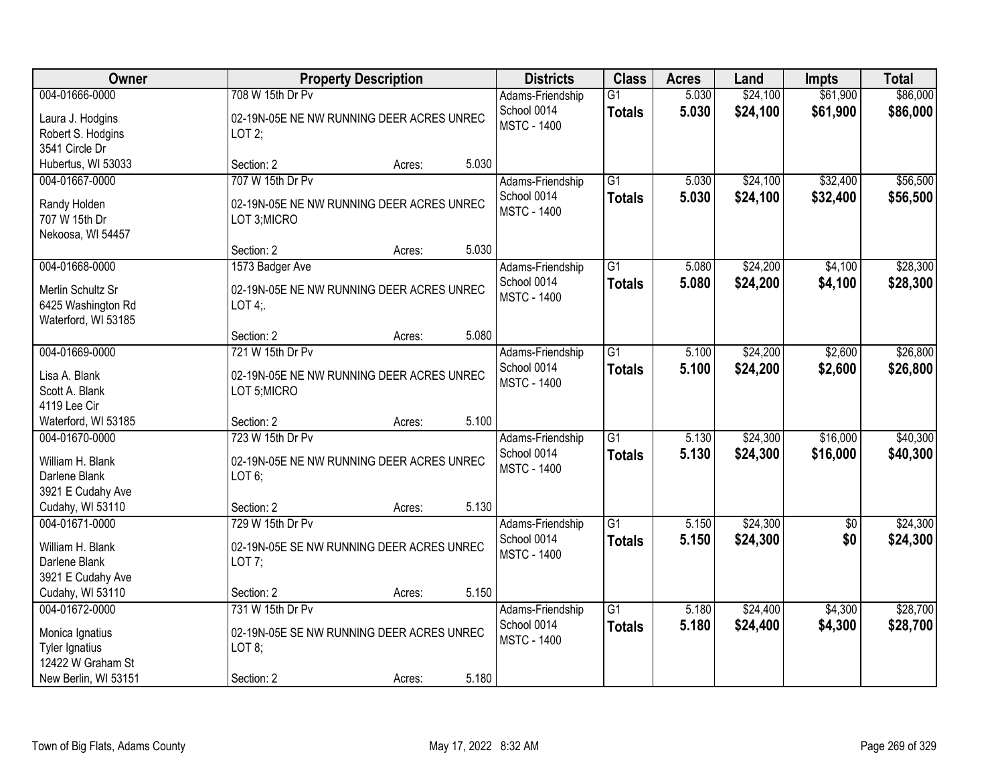| Owner                              | <b>Property Description</b>                              | <b>Districts</b>                | <b>Class</b>    | <b>Acres</b> | Land     | <b>Impts</b>    | <b>Total</b> |
|------------------------------------|----------------------------------------------------------|---------------------------------|-----------------|--------------|----------|-----------------|--------------|
| 004-01666-0000                     | 708 W 15th Dr Pv                                         | Adams-Friendship                | $\overline{G1}$ | 5.030        | \$24,100 | \$61,900        | \$86,000     |
| Laura J. Hodgins                   | 02-19N-05E NE NW RUNNING DEER ACRES UNREC                | School 0014                     | <b>Totals</b>   | 5.030        | \$24,100 | \$61,900        | \$86,000     |
| Robert S. Hodgins                  | LOT2;                                                    | <b>MSTC - 1400</b>              |                 |              |          |                 |              |
| 3541 Circle Dr                     |                                                          |                                 |                 |              |          |                 |              |
| Hubertus, WI 53033                 | 5.030<br>Section: 2<br>Acres:                            |                                 |                 |              |          |                 |              |
| 004-01667-0000                     | 707 W 15th Dr Pv                                         | Adams-Friendship                | $\overline{G1}$ | 5.030        | \$24,100 | \$32,400        | \$56,500     |
| Randy Holden                       | 02-19N-05E NE NW RUNNING DEER ACRES UNREC                | School 0014                     | <b>Totals</b>   | 5.030        | \$24,100 | \$32,400        | \$56,500     |
| 707 W 15th Dr                      | LOT 3:MICRO                                              | <b>MSTC - 1400</b>              |                 |              |          |                 |              |
| Nekoosa, WI 54457                  |                                                          |                                 |                 |              |          |                 |              |
|                                    | 5.030<br>Section: 2<br>Acres:                            |                                 |                 |              |          |                 |              |
| 004-01668-0000                     | 1573 Badger Ave                                          | Adams-Friendship                | G1              | 5.080        | \$24,200 | \$4,100         | \$28,300     |
| Merlin Schultz Sr                  | 02-19N-05E NE NW RUNNING DEER ACRES UNREC                | School 0014                     | <b>Totals</b>   | 5.080        | \$24,200 | \$4,100         | \$28,300     |
| 6425 Washington Rd                 | LOT $4$ :                                                | <b>MSTC - 1400</b>              |                 |              |          |                 |              |
| Waterford, WI 53185                |                                                          |                                 |                 |              |          |                 |              |
|                                    | 5.080<br>Section: 2<br>Acres:                            |                                 |                 |              |          |                 |              |
| 004-01669-0000                     | 721 W 15th Dr Pv                                         | Adams-Friendship                | $\overline{G1}$ | 5.100        | \$24,200 | \$2,600         | \$26,800     |
|                                    |                                                          | School 0014                     | <b>Totals</b>   | 5.100        | \$24,200 | \$2,600         | \$26,800     |
| Lisa A. Blank<br>Scott A. Blank    | 02-19N-05E NE NW RUNNING DEER ACRES UNREC<br>LOT 5;MICRO | <b>MSTC - 1400</b>              |                 |              |          |                 |              |
| 4119 Lee Cir                       |                                                          |                                 |                 |              |          |                 |              |
| Waterford, WI 53185                | 5.100<br>Section: 2<br>Acres:                            |                                 |                 |              |          |                 |              |
| 004-01670-0000                     | 723 W 15th Dr Pv                                         | Adams-Friendship                | $\overline{G1}$ | 5.130        | \$24,300 | \$16,000        | \$40,300     |
|                                    |                                                          | School 0014                     | <b>Totals</b>   | 5.130        | \$24,300 | \$16,000        | \$40,300     |
| William H. Blank                   | 02-19N-05E NE NW RUNNING DEER ACRES UNREC                | <b>MSTC - 1400</b>              |                 |              |          |                 |              |
| Darlene Blank                      | LOT6;                                                    |                                 |                 |              |          |                 |              |
| 3921 E Cudahy Ave                  |                                                          |                                 |                 |              |          |                 |              |
| Cudahy, WI 53110<br>004-01671-0000 | 5.130<br>Section: 2<br>Acres:                            |                                 | $\overline{G1}$ |              |          |                 |              |
|                                    | 729 W 15th Dr Pv                                         | Adams-Friendship<br>School 0014 |                 | 5.150        | \$24,300 | $\overline{60}$ | \$24,300     |
| William H. Blank                   | 02-19N-05E SE NW RUNNING DEER ACRES UNREC                | <b>MSTC - 1400</b>              | <b>Totals</b>   | 5.150        | \$24,300 | \$0             | \$24,300     |
| Darlene Blank                      | LOT $7$ ;                                                |                                 |                 |              |          |                 |              |
| 3921 E Cudahy Ave                  |                                                          |                                 |                 |              |          |                 |              |
| Cudahy, WI 53110                   | 5.150<br>Section: 2<br>Acres:                            |                                 |                 |              |          |                 |              |
| 004-01672-0000                     | 731 W 15th Dr Pv                                         | Adams-Friendship                | $\overline{G1}$ | 5.180        | \$24,400 | \$4,300         | \$28,700     |
| Monica Ignatius                    | 02-19N-05E SE NW RUNNING DEER ACRES UNREC                | School 0014                     | <b>Totals</b>   | 5.180        | \$24,400 | \$4,300         | \$28,700     |
| Tyler Ignatius                     | LOT 8;                                                   | <b>MSTC - 1400</b>              |                 |              |          |                 |              |
| 12422 W Graham St                  |                                                          |                                 |                 |              |          |                 |              |
| New Berlin, WI 53151               | 5.180<br>Section: 2<br>Acres:                            |                                 |                 |              |          |                 |              |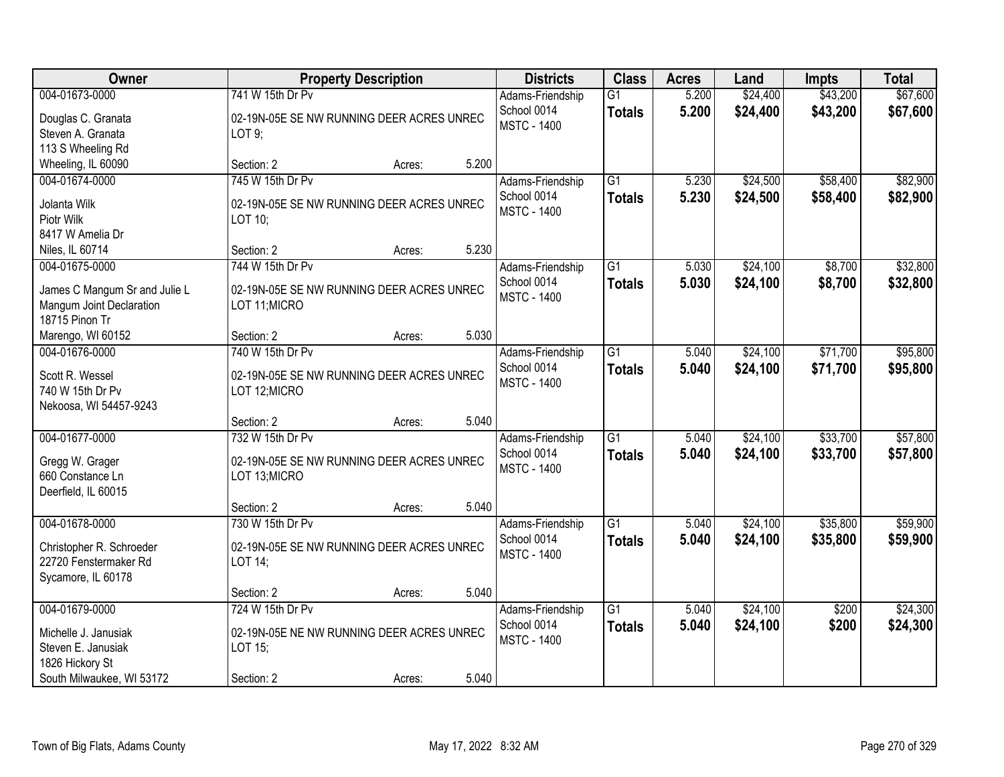| Owner                                                     |                                           | <b>Property Description</b> |       | <b>Districts</b>                | <b>Class</b>    | <b>Acres</b>   | Land     | <b>Impts</b>   | <b>Total</b> |
|-----------------------------------------------------------|-------------------------------------------|-----------------------------|-------|---------------------------------|-----------------|----------------|----------|----------------|--------------|
| 004-01673-0000                                            | 741 W 15th Dr Pv                          |                             |       | Adams-Friendship                | $\overline{G1}$ | 5.200          | \$24,400 | \$43,200       | \$67,600     |
| Douglas C. Granata                                        | 02-19N-05E SE NW RUNNING DEER ACRES UNREC |                             |       | School 0014                     | <b>Totals</b>   | 5.200          | \$24,400 | \$43,200       | \$67,600     |
| Steven A. Granata                                         | LOT 9;                                    |                             |       | <b>MSTC - 1400</b>              |                 |                |          |                |              |
| 113 S Wheeling Rd                                         |                                           |                             |       |                                 |                 |                |          |                |              |
| Wheeling, IL 60090                                        | Section: 2                                | Acres:                      | 5.200 |                                 |                 |                |          |                |              |
| 004-01674-0000                                            | 745 W 15th Dr Pv                          |                             |       | Adams-Friendship                | $\overline{G1}$ | 5.230          | \$24,500 | \$58,400       | \$82,900     |
| Jolanta Wilk                                              | 02-19N-05E SE NW RUNNING DEER ACRES UNREC |                             |       | School 0014                     | <b>Totals</b>   | 5.230          | \$24,500 | \$58,400       | \$82,900     |
| Piotr Wilk                                                | LOT 10:                                   |                             |       | <b>MSTC - 1400</b>              |                 |                |          |                |              |
| 8417 W Amelia Dr                                          |                                           |                             |       |                                 |                 |                |          |                |              |
| Niles, IL 60714                                           | Section: 2                                | Acres:                      | 5.230 |                                 |                 |                |          |                |              |
| 004-01675-0000                                            | 744 W 15th Dr Pv                          |                             |       | Adams-Friendship                | G1              | 5.030          | \$24,100 | \$8,700        | \$32,800     |
|                                                           | 02-19N-05E SE NW RUNNING DEER ACRES UNREC |                             |       | School 0014                     | <b>Totals</b>   | 5.030          | \$24,100 | \$8,700        | \$32,800     |
| James C Mangum Sr and Julie L<br>Mangum Joint Declaration | LOT 11; MICRO                             |                             |       | <b>MSTC - 1400</b>              |                 |                |          |                |              |
| 18715 Pinon Tr                                            |                                           |                             |       |                                 |                 |                |          |                |              |
| Marengo, WI 60152                                         | Section: 2                                | Acres:                      | 5.030 |                                 |                 |                |          |                |              |
| 004-01676-0000                                            | 740 W 15th Dr Pv                          |                             |       | Adams-Friendship                | $\overline{G1}$ | 5.040          | \$24,100 | \$71,700       | \$95,800     |
|                                                           |                                           |                             |       | School 0014                     | <b>Totals</b>   | 5.040          | \$24,100 | \$71,700       | \$95,800     |
| Scott R. Wessel                                           | 02-19N-05E SE NW RUNNING DEER ACRES UNREC |                             |       | <b>MSTC - 1400</b>              |                 |                |          |                |              |
| 740 W 15th Dr Pv<br>Nekoosa, WI 54457-9243                | LOT 12; MICRO                             |                             |       |                                 |                 |                |          |                |              |
|                                                           | Section: 2                                | Acres:                      | 5.040 |                                 |                 |                |          |                |              |
| 004-01677-0000                                            | 732 W 15th Dr Pv                          |                             |       | Adams-Friendship                | $\overline{G1}$ | 5.040          | \$24,100 | \$33,700       | \$57,800     |
|                                                           |                                           |                             |       | School 0014                     | <b>Totals</b>   | 5.040          | \$24,100 | \$33,700       | \$57,800     |
| Gregg W. Grager                                           | 02-19N-05E SE NW RUNNING DEER ACRES UNREC |                             |       | <b>MSTC - 1400</b>              |                 |                |          |                |              |
| 660 Constance Ln                                          | LOT 13;MICRO                              |                             |       |                                 |                 |                |          |                |              |
| Deerfield, IL 60015                                       | Section: 2                                | Acres:                      | 5.040 |                                 |                 |                |          |                |              |
| 004-01678-0000                                            | 730 W 15th Dr Pv                          |                             |       | Adams-Friendship                | $\overline{G1}$ | 5.040          | \$24,100 | \$35,800       | \$59,900     |
|                                                           |                                           |                             |       | School 0014                     | <b>Totals</b>   | 5.040          | \$24,100 | \$35,800       | \$59,900     |
| Christopher R. Schroeder                                  | 02-19N-05E SE NW RUNNING DEER ACRES UNREC |                             |       | <b>MSTC - 1400</b>              |                 |                |          |                |              |
| 22720 Fenstermaker Rd                                     | LOT 14;                                   |                             |       |                                 |                 |                |          |                |              |
| Sycamore, IL 60178                                        |                                           |                             |       |                                 |                 |                |          |                |              |
|                                                           | Section: 2                                | Acres:                      | 5.040 |                                 |                 |                |          |                |              |
| 004-01679-0000                                            | 724 W 15th Dr Pv                          |                             |       | Adams-Friendship<br>School 0014 | $\overline{G1}$ | 5.040<br>5.040 | \$24,100 | \$200<br>\$200 | \$24,300     |
| Michelle J. Janusiak                                      | 02-19N-05E NE NW RUNNING DEER ACRES UNREC |                             |       | <b>MSTC - 1400</b>              | <b>Totals</b>   |                | \$24,100 |                | \$24,300     |
| Steven E. Janusiak                                        | LOT 15;                                   |                             |       |                                 |                 |                |          |                |              |
| 1826 Hickory St                                           |                                           |                             |       |                                 |                 |                |          |                |              |
| South Milwaukee, WI 53172                                 | Section: 2                                | Acres:                      | 5.040 |                                 |                 |                |          |                |              |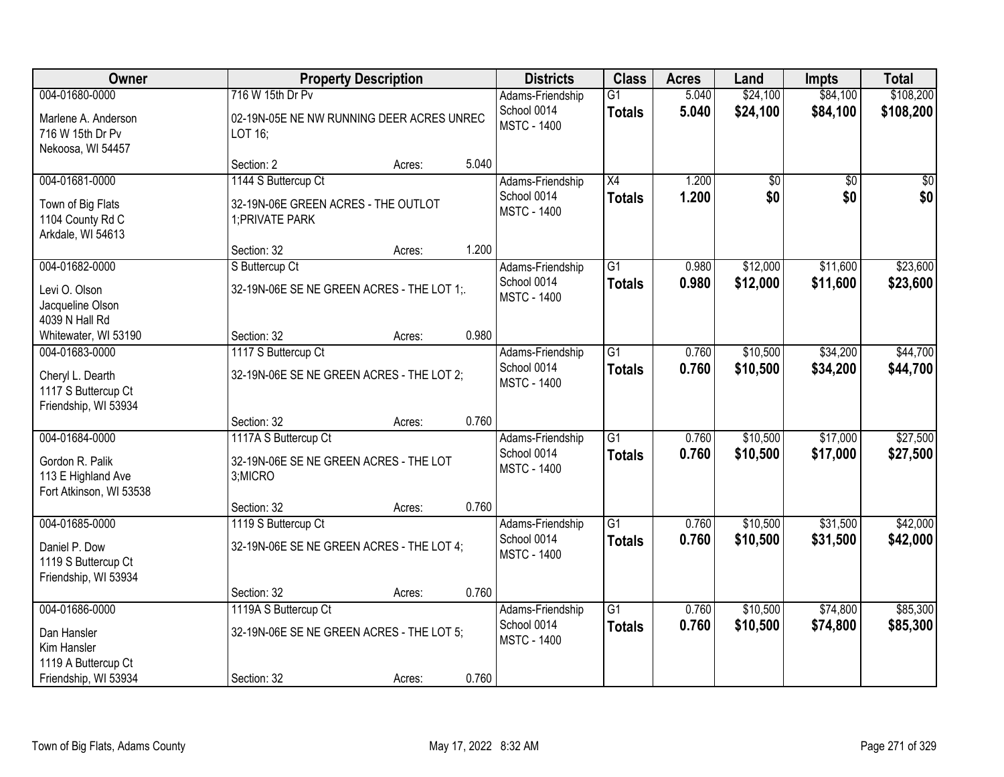| Owner                                                            |                                                        | <b>Property Description</b> |       | <b>Districts</b>                  | <b>Class</b>    | <b>Acres</b> | Land            | <b>Impts</b>    | <b>Total</b>    |
|------------------------------------------------------------------|--------------------------------------------------------|-----------------------------|-------|-----------------------------------|-----------------|--------------|-----------------|-----------------|-----------------|
| 004-01680-0000                                                   | 716 W 15th Dr Pv                                       |                             |       | Adams-Friendship                  | $\overline{G1}$ | 5.040        | \$24,100        | \$84,100        | \$108,200       |
| Marlene A. Anderson<br>716 W 15th Dr Pv<br>Nekoosa, WI 54457     | 02-19N-05E NE NW RUNNING DEER ACRES UNREC<br>LOT 16:   |                             |       | School 0014<br><b>MSTC - 1400</b> | <b>Totals</b>   | 5.040        | \$24,100        | \$84,100        | \$108,200       |
|                                                                  | Section: 2                                             | Acres:                      | 5.040 |                                   |                 |              |                 |                 |                 |
| 004-01681-0000                                                   | 1144 S Buttercup Ct                                    |                             |       | Adams-Friendship                  | $\overline{X4}$ | 1.200        | $\overline{50}$ | $\overline{30}$ | $\overline{50}$ |
| Town of Big Flats<br>1104 County Rd C<br>Arkdale, WI 54613       | 32-19N-06E GREEN ACRES - THE OUTLOT<br>1; PRIVATE PARK |                             |       | School 0014<br><b>MSTC - 1400</b> | <b>Totals</b>   | 1.200        | \$0             | \$0             | \$0             |
|                                                                  | Section: 32                                            | Acres:                      | 1.200 |                                   |                 |              |                 |                 |                 |
| 004-01682-0000                                                   | S Buttercup Ct                                         |                             |       | Adams-Friendship                  | $\overline{G1}$ | 0.980        | \$12,000        | \$11,600        | \$23,600        |
| Levi O. Olson<br>Jacqueline Olson<br>4039 N Hall Rd              | 32-19N-06E SE NE GREEN ACRES - THE LOT 1;              |                             |       | School 0014<br><b>MSTC - 1400</b> | <b>Totals</b>   | 0.980        | \$12,000        | \$11,600        | \$23,600        |
| Whitewater, WI 53190                                             | Section: 32                                            | Acres:                      | 0.980 |                                   |                 |              |                 |                 |                 |
| 004-01683-0000                                                   | 1117 S Buttercup Ct                                    |                             |       | Adams-Friendship                  | $\overline{G1}$ | 0.760        | \$10,500        | \$34,200        | \$44,700        |
| Cheryl L. Dearth<br>1117 S Buttercup Ct<br>Friendship, WI 53934  | 32-19N-06E SE NE GREEN ACRES - THE LOT 2;              |                             |       | School 0014<br><b>MSTC - 1400</b> | <b>Totals</b>   | 0.760        | \$10,500        | \$34,200        | \$44,700        |
|                                                                  | Section: 32                                            | Acres:                      | 0.760 |                                   |                 |              |                 |                 |                 |
| 004-01684-0000                                                   | 1117A S Buttercup Ct                                   |                             |       | Adams-Friendship                  | $\overline{G1}$ | 0.760        | \$10,500        | \$17,000        | \$27,500        |
| Gordon R. Palik<br>113 E Highland Ave<br>Fort Atkinson, WI 53538 | 32-19N-06E SE NE GREEN ACRES - THE LOT<br>3;MICRO      |                             |       | School 0014<br><b>MSTC - 1400</b> | <b>Totals</b>   | 0.760        | \$10,500        | \$17,000        | \$27,500        |
|                                                                  | Section: 32                                            | Acres:                      | 0.760 |                                   |                 |              |                 |                 |                 |
| 004-01685-0000                                                   | 1119 S Buttercup Ct                                    |                             |       | Adams-Friendship                  | $\overline{G1}$ | 0.760        | \$10,500        | \$31,500        | \$42,000        |
| Daniel P. Dow<br>1119 S Buttercup Ct<br>Friendship, WI 53934     | 32-19N-06E SE NE GREEN ACRES - THE LOT 4;              |                             |       | School 0014<br><b>MSTC - 1400</b> | <b>Totals</b>   | 0.760        | \$10,500        | \$31,500        | \$42,000        |
|                                                                  | Section: 32                                            | Acres:                      | 0.760 |                                   |                 |              |                 |                 |                 |
| 004-01686-0000                                                   | 1119A S Buttercup Ct                                   |                             |       | Adams-Friendship                  | $\overline{G1}$ | 0.760        | \$10,500        | \$74,800        | \$85,300        |
| Dan Hansler<br>Kim Hansler                                       | 32-19N-06E SE NE GREEN ACRES - THE LOT 5;              |                             |       | School 0014<br><b>MSTC - 1400</b> | <b>Totals</b>   | 0.760        | \$10,500        | \$74,800        | \$85,300        |
| 1119 A Buttercup Ct<br>Friendship, WI 53934                      | Section: 32                                            | Acres:                      | 0.760 |                                   |                 |              |                 |                 |                 |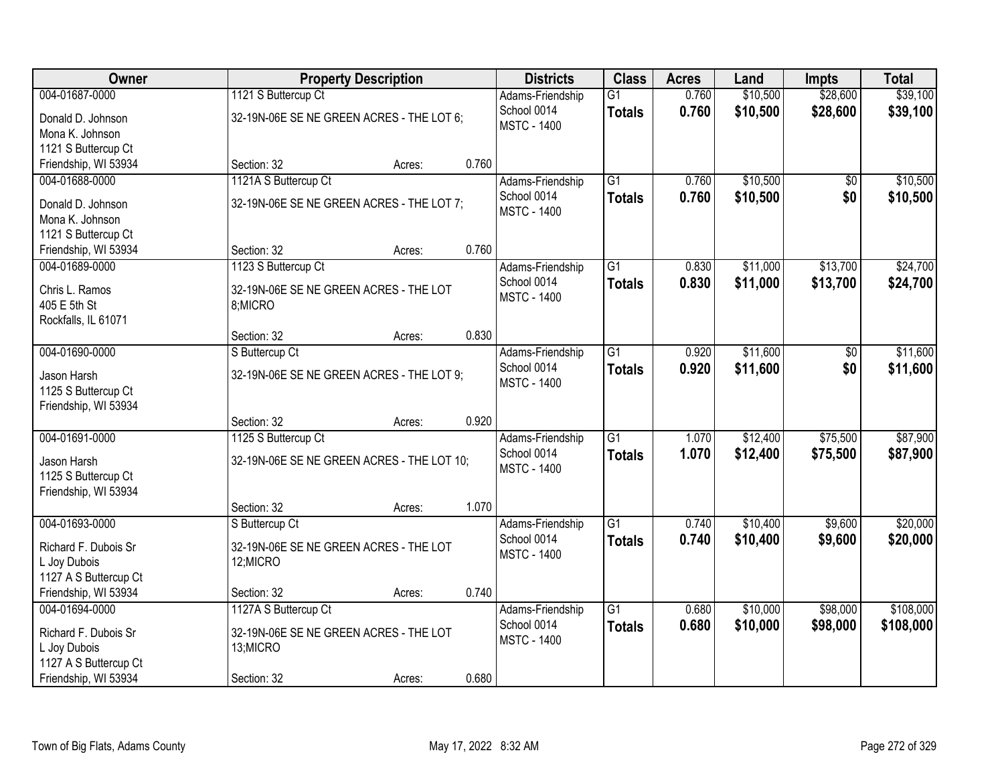| Owner                 |                                            | <b>Property Description</b> |       | <b>Districts</b>   | <b>Class</b>    | <b>Acres</b> | Land     | <b>Impts</b> | <b>Total</b> |
|-----------------------|--------------------------------------------|-----------------------------|-------|--------------------|-----------------|--------------|----------|--------------|--------------|
| 004-01687-0000        | 1121 S Buttercup Ct                        |                             |       | Adams-Friendship   | $\overline{G1}$ | 0.760        | \$10,500 | \$28,600     | \$39,100     |
| Donald D. Johnson     | 32-19N-06E SE NE GREEN ACRES - THE LOT 6;  |                             |       | School 0014        | <b>Totals</b>   | 0.760        | \$10,500 | \$28,600     | \$39,100     |
| Mona K. Johnson       |                                            |                             |       | <b>MSTC - 1400</b> |                 |              |          |              |              |
| 1121 S Buttercup Ct   |                                            |                             |       |                    |                 |              |          |              |              |
| Friendship, WI 53934  | Section: 32                                | Acres:                      | 0.760 |                    |                 |              |          |              |              |
| 004-01688-0000        | 1121A S Buttercup Ct                       |                             |       | Adams-Friendship   | $\overline{G1}$ | 0.760        | \$10,500 | \$0          | \$10,500     |
| Donald D. Johnson     | 32-19N-06E SE NE GREEN ACRES - THE LOT 7;  |                             |       | School 0014        | <b>Totals</b>   | 0.760        | \$10,500 | \$0          | \$10,500     |
| Mona K. Johnson       |                                            |                             |       | <b>MSTC - 1400</b> |                 |              |          |              |              |
| 1121 S Buttercup Ct   |                                            |                             |       |                    |                 |              |          |              |              |
| Friendship, WI 53934  | Section: 32                                | Acres:                      | 0.760 |                    |                 |              |          |              |              |
| 004-01689-0000        | 1123 S Buttercup Ct                        |                             |       | Adams-Friendship   | $\overline{G1}$ | 0.830        | \$11,000 | \$13,700     | \$24,700     |
| Chris L. Ramos        | 32-19N-06E SE NE GREEN ACRES - THE LOT     |                             |       | School 0014        | <b>Totals</b>   | 0.830        | \$11,000 | \$13,700     | \$24,700     |
| 405 E 5th St          | 8;MICRO                                    |                             |       | <b>MSTC - 1400</b> |                 |              |          |              |              |
| Rockfalls, IL 61071   |                                            |                             |       |                    |                 |              |          |              |              |
|                       | Section: 32                                | Acres:                      | 0.830 |                    |                 |              |          |              |              |
| 004-01690-0000        | S Buttercup Ct                             |                             |       | Adams-Friendship   | $\overline{G1}$ | 0.920        | \$11,600 | \$0          | \$11,600     |
| Jason Harsh           | 32-19N-06E SE NE GREEN ACRES - THE LOT 9;  |                             |       | School 0014        | <b>Totals</b>   | 0.920        | \$11,600 | \$0          | \$11,600     |
| 1125 S Buttercup Ct   |                                            |                             |       | <b>MSTC - 1400</b> |                 |              |          |              |              |
| Friendship, WI 53934  |                                            |                             |       |                    |                 |              |          |              |              |
|                       | Section: 32                                | Acres:                      | 0.920 |                    |                 |              |          |              |              |
| 004-01691-0000        | 1125 S Buttercup Ct                        |                             |       | Adams-Friendship   | $\overline{G1}$ | 1.070        | \$12,400 | \$75,500     | \$87,900     |
| Jason Harsh           | 32-19N-06E SE NE GREEN ACRES - THE LOT 10; |                             |       | School 0014        | <b>Totals</b>   | 1.070        | \$12,400 | \$75,500     | \$87,900     |
| 1125 S Buttercup Ct   |                                            |                             |       | <b>MSTC - 1400</b> |                 |              |          |              |              |
| Friendship, WI 53934  |                                            |                             |       |                    |                 |              |          |              |              |
|                       | Section: 32                                | Acres:                      | 1.070 |                    |                 |              |          |              |              |
| 004-01693-0000        | S Buttercup Ct                             |                             |       | Adams-Friendship   | G1              | 0.740        | \$10,400 | \$9,600      | \$20,000     |
| Richard F. Dubois Sr  | 32-19N-06E SE NE GREEN ACRES - THE LOT     |                             |       | School 0014        | <b>Totals</b>   | 0.740        | \$10,400 | \$9,600      | \$20,000     |
| L Joy Dubois          | 12;MICRO                                   |                             |       | <b>MSTC - 1400</b> |                 |              |          |              |              |
| 1127 A S Buttercup Ct |                                            |                             |       |                    |                 |              |          |              |              |
| Friendship, WI 53934  | Section: 32                                | Acres:                      | 0.740 |                    |                 |              |          |              |              |
| 004-01694-0000        | 1127A S Buttercup Ct                       |                             |       | Adams-Friendship   | $\overline{G1}$ | 0.680        | \$10,000 | \$98,000     | \$108,000    |
| Richard F. Dubois Sr  | 32-19N-06E SE NE GREEN ACRES - THE LOT     |                             |       | School 0014        | <b>Totals</b>   | 0.680        | \$10,000 | \$98,000     | \$108,000    |
| L Joy Dubois          | 13;MICRO                                   |                             |       | <b>MSTC - 1400</b> |                 |              |          |              |              |
| 1127 A S Buttercup Ct |                                            |                             |       |                    |                 |              |          |              |              |
| Friendship, WI 53934  | Section: 32                                | Acres:                      | 0.680 |                    |                 |              |          |              |              |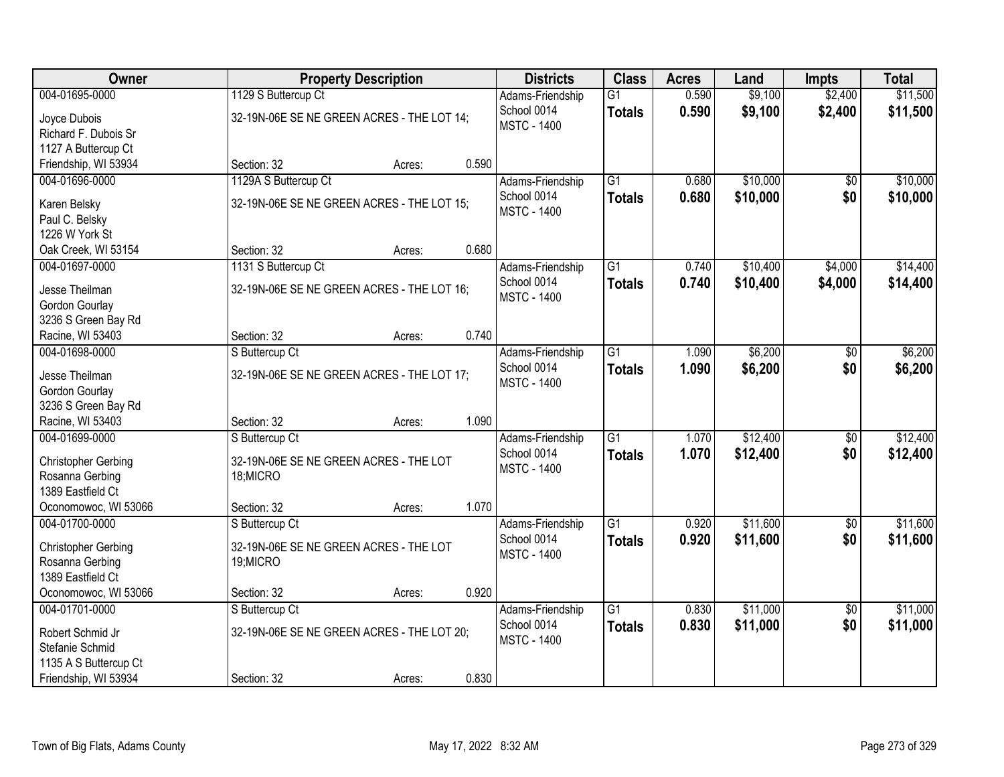| Owner                                   |                                            | <b>Property Description</b> |       | <b>Districts</b>                  | <b>Class</b>    | <b>Acres</b> | Land     | <b>Impts</b>    | <b>Total</b> |
|-----------------------------------------|--------------------------------------------|-----------------------------|-------|-----------------------------------|-----------------|--------------|----------|-----------------|--------------|
| 004-01695-0000                          | 1129 S Buttercup Ct                        |                             |       | Adams-Friendship                  | $\overline{G1}$ | 0.590        | \$9,100  | \$2,400         | \$11,500     |
| Joyce Dubois                            | 32-19N-06E SE NE GREEN ACRES - THE LOT 14; |                             |       | School 0014                       | <b>Totals</b>   | 0.590        | \$9,100  | \$2,400         | \$11,500     |
| Richard F. Dubois Sr                    |                                            |                             |       | <b>MSTC - 1400</b>                |                 |              |          |                 |              |
| 1127 A Buttercup Ct                     |                                            |                             |       |                                   |                 |              |          |                 |              |
| Friendship, WI 53934                    | Section: 32                                | Acres:                      | 0.590 |                                   |                 |              |          |                 |              |
| 004-01696-0000                          | 1129A S Buttercup Ct                       |                             |       | Adams-Friendship                  | $\overline{G1}$ | 0.680        | \$10,000 | \$0             | \$10,000     |
|                                         |                                            |                             |       | School 0014                       | <b>Totals</b>   | 0.680        | \$10,000 | \$0             | \$10,000     |
| Karen Belsky                            | 32-19N-06E SE NE GREEN ACRES - THE LOT 15; |                             |       | <b>MSTC - 1400</b>                |                 |              |          |                 |              |
| Paul C. Belsky                          |                                            |                             |       |                                   |                 |              |          |                 |              |
| 1226 W York St                          |                                            |                             |       |                                   |                 |              |          |                 |              |
| Oak Creek, WI 53154                     | Section: 32                                | Acres:                      | 0.680 |                                   |                 |              |          |                 |              |
| 004-01697-0000                          | 1131 S Buttercup Ct                        |                             |       | Adams-Friendship                  | G1              | 0.740        | \$10,400 | \$4,000         | \$14,400     |
| Jesse Theilman                          | 32-19N-06E SE NE GREEN ACRES - THE LOT 16; |                             |       | School 0014                       | <b>Totals</b>   | 0.740        | \$10,400 | \$4,000         | \$14,400     |
| Gordon Gourlay                          |                                            |                             |       | <b>MSTC - 1400</b>                |                 |              |          |                 |              |
| 3236 S Green Bay Rd                     |                                            |                             |       |                                   |                 |              |          |                 |              |
| Racine, WI 53403                        | Section: 32                                | Acres:                      | 0.740 |                                   |                 |              |          |                 |              |
| 004-01698-0000                          | S Buttercup Ct                             |                             |       | Adams-Friendship                  | $\overline{G1}$ | 1.090        | \$6,200  | \$0             | \$6,200      |
|                                         |                                            |                             |       | School 0014                       | <b>Totals</b>   | 1.090        | \$6,200  | \$0             | \$6,200      |
| Jesse Theilman                          | 32-19N-06E SE NE GREEN ACRES - THE LOT 17; |                             |       | <b>MSTC - 1400</b>                |                 |              |          |                 |              |
| Gordon Gourlay                          |                                            |                             |       |                                   |                 |              |          |                 |              |
| 3236 S Green Bay Rd<br>Racine, WI 53403 |                                            |                             | 1.090 |                                   |                 |              |          |                 |              |
| 004-01699-0000                          | Section: 32                                | Acres:                      |       |                                   | $\overline{G1}$ | 1.070        | \$12,400 | $\overline{50}$ | \$12,400     |
|                                         | S Buttercup Ct                             |                             |       | Adams-Friendship                  |                 |              |          |                 |              |
| <b>Christopher Gerbing</b>              | 32-19N-06E SE NE GREEN ACRES - THE LOT     |                             |       | School 0014<br><b>MSTC - 1400</b> | <b>Totals</b>   | 1.070        | \$12,400 | \$0             | \$12,400     |
| Rosanna Gerbing                         | 18;MICRO                                   |                             |       |                                   |                 |              |          |                 |              |
| 1389 Eastfield Ct                       |                                            |                             |       |                                   |                 |              |          |                 |              |
| Oconomowoc, WI 53066                    | Section: 32                                | Acres:                      | 1.070 |                                   |                 |              |          |                 |              |
| 004-01700-0000                          | S Buttercup Ct                             |                             |       | Adams-Friendship                  | $\overline{G1}$ | 0.920        | \$11,600 | $\overline{60}$ | \$11,600     |
| <b>Christopher Gerbing</b>              | 32-19N-06E SE NE GREEN ACRES - THE LOT     |                             |       | School 0014                       | <b>Totals</b>   | 0.920        | \$11,600 | \$0             | \$11,600     |
| Rosanna Gerbing                         | 19;MICRO                                   |                             |       | <b>MSTC - 1400</b>                |                 |              |          |                 |              |
| 1389 Eastfield Ct                       |                                            |                             |       |                                   |                 |              |          |                 |              |
| Oconomowoc, WI 53066                    | Section: 32                                | Acres:                      | 0.920 |                                   |                 |              |          |                 |              |
| 004-01701-0000                          | S Buttercup Ct                             |                             |       | Adams-Friendship                  | $\overline{G1}$ | 0.830        | \$11,000 | $\overline{50}$ | \$11,000     |
|                                         |                                            |                             |       | School 0014                       |                 | 0.830        | \$11,000 | \$0             |              |
| Robert Schmid Jr                        | 32-19N-06E SE NE GREEN ACRES - THE LOT 20; |                             |       | <b>MSTC - 1400</b>                | <b>Totals</b>   |              |          |                 | \$11,000     |
| Stefanie Schmid                         |                                            |                             |       |                                   |                 |              |          |                 |              |
| 1135 A S Buttercup Ct                   |                                            |                             |       |                                   |                 |              |          |                 |              |
| Friendship, WI 53934                    | Section: 32                                | Acres:                      | 0.830 |                                   |                 |              |          |                 |              |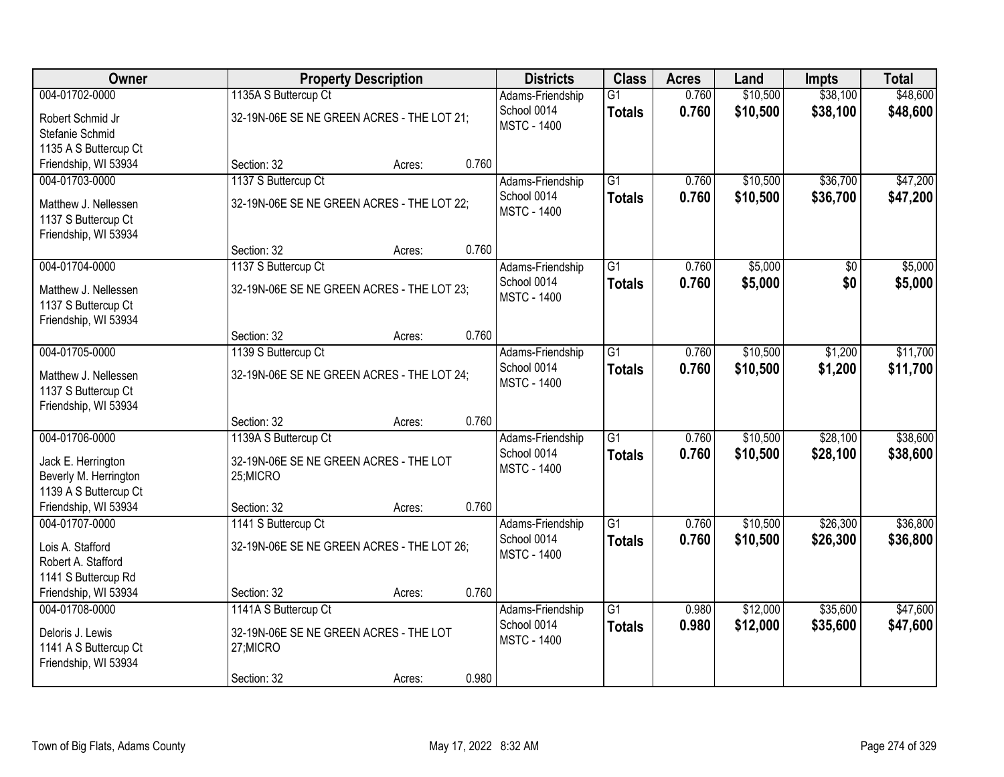| Owner                                       |                                                    | <b>Property Description</b> |       | <b>Districts</b>   | <b>Class</b>    | <b>Acres</b> | Land     | <b>Impts</b>    | <b>Total</b> |
|---------------------------------------------|----------------------------------------------------|-----------------------------|-------|--------------------|-----------------|--------------|----------|-----------------|--------------|
| 004-01702-0000                              | 1135A S Buttercup Ct                               |                             |       | Adams-Friendship   | $\overline{G1}$ | 0.760        | \$10,500 | \$38,100        | \$48,600     |
| Robert Schmid Jr                            | 32-19N-06E SE NE GREEN ACRES - THE LOT 21;         |                             |       | School 0014        | <b>Totals</b>   | 0.760        | \$10,500 | \$38,100        | \$48,600     |
| Stefanie Schmid                             |                                                    |                             |       | <b>MSTC - 1400</b> |                 |              |          |                 |              |
| 1135 A S Buttercup Ct                       |                                                    |                             |       |                    |                 |              |          |                 |              |
| Friendship, WI 53934                        | Section: 32                                        | Acres:                      | 0.760 |                    |                 |              |          |                 |              |
| 004-01703-0000                              | 1137 S Buttercup Ct                                |                             |       | Adams-Friendship   | $\overline{G1}$ | 0.760        | \$10,500 | \$36,700        | \$47,200     |
| Matthew J. Nellessen                        | 32-19N-06E SE NE GREEN ACRES - THE LOT 22;         |                             |       | School 0014        | <b>Totals</b>   | 0.760        | \$10,500 | \$36,700        | \$47,200     |
| 1137 S Buttercup Ct                         |                                                    |                             |       | <b>MSTC - 1400</b> |                 |              |          |                 |              |
| Friendship, WI 53934                        |                                                    |                             |       |                    |                 |              |          |                 |              |
|                                             | Section: 32                                        | Acres:                      | 0.760 |                    |                 |              |          |                 |              |
| 004-01704-0000                              | 1137 S Buttercup Ct                                |                             |       | Adams-Friendship   | $\overline{G1}$ | 0.760        | \$5,000  | $\overline{50}$ | \$5,000      |
| Matthew J. Nellessen                        | 32-19N-06E SE NE GREEN ACRES - THE LOT 23;         |                             |       | School 0014        | <b>Totals</b>   | 0.760        | \$5,000  | \$0             | \$5,000      |
| 1137 S Buttercup Ct                         |                                                    |                             |       | <b>MSTC - 1400</b> |                 |              |          |                 |              |
| Friendship, WI 53934                        |                                                    |                             |       |                    |                 |              |          |                 |              |
|                                             | Section: 32                                        | Acres:                      | 0.760 |                    |                 |              |          |                 |              |
| 004-01705-0000                              | 1139 S Buttercup Ct                                |                             |       | Adams-Friendship   | $\overline{G1}$ | 0.760        | \$10,500 | \$1,200         | \$11,700     |
| Matthew J. Nellessen                        | 32-19N-06E SE NE GREEN ACRES - THE LOT 24;         |                             |       | School 0014        | <b>Totals</b>   | 0.760        | \$10,500 | \$1,200         | \$11,700     |
| 1137 S Buttercup Ct                         |                                                    |                             |       | <b>MSTC - 1400</b> |                 |              |          |                 |              |
| Friendship, WI 53934                        |                                                    |                             |       |                    |                 |              |          |                 |              |
|                                             | Section: 32                                        | Acres:                      | 0.760 |                    |                 |              |          |                 |              |
| 004-01706-0000                              | 1139A S Buttercup Ct                               |                             |       | Adams-Friendship   | $\overline{G1}$ | 0.760        | \$10,500 | \$28,100        | \$38,600     |
|                                             |                                                    |                             |       | School 0014        | <b>Totals</b>   | 0.760        | \$10,500 | \$28,100        | \$38,600     |
| Jack E. Herrington<br>Beverly M. Herrington | 32-19N-06E SE NE GREEN ACRES - THE LOT<br>25;MICRO |                             |       | <b>MSTC - 1400</b> |                 |              |          |                 |              |
| 1139 A S Buttercup Ct                       |                                                    |                             |       |                    |                 |              |          |                 |              |
| Friendship, WI 53934                        | Section: 32                                        | Acres:                      | 0.760 |                    |                 |              |          |                 |              |
| 004-01707-0000                              | 1141 S Buttercup Ct                                |                             |       | Adams-Friendship   | $\overline{G1}$ | 0.760        | \$10,500 | \$26,300        | \$36,800     |
|                                             |                                                    |                             |       | School 0014        | <b>Totals</b>   | 0.760        | \$10,500 | \$26,300        | \$36,800     |
| Lois A. Stafford                            | 32-19N-06E SE NE GREEN ACRES - THE LOT 26;         |                             |       | <b>MSTC - 1400</b> |                 |              |          |                 |              |
| Robert A. Stafford<br>1141 S Buttercup Rd   |                                                    |                             |       |                    |                 |              |          |                 |              |
| Friendship, WI 53934                        | Section: 32                                        | Acres:                      | 0.760 |                    |                 |              |          |                 |              |
| 004-01708-0000                              | 1141A S Buttercup Ct                               |                             |       | Adams-Friendship   | $\overline{G1}$ | 0.980        | \$12,000 | \$35,600        | \$47,600     |
|                                             |                                                    |                             |       | School 0014        | <b>Totals</b>   | 0.980        | \$12,000 | \$35,600        | \$47,600     |
| Deloris J. Lewis                            | 32-19N-06E SE NE GREEN ACRES - THE LOT             |                             |       | <b>MSTC - 1400</b> |                 |              |          |                 |              |
| 1141 A S Buttercup Ct                       | 27;MICRO                                           |                             |       |                    |                 |              |          |                 |              |
| Friendship, WI 53934                        | Section: 32                                        |                             | 0.980 |                    |                 |              |          |                 |              |
|                                             |                                                    | Acres:                      |       |                    |                 |              |          |                 |              |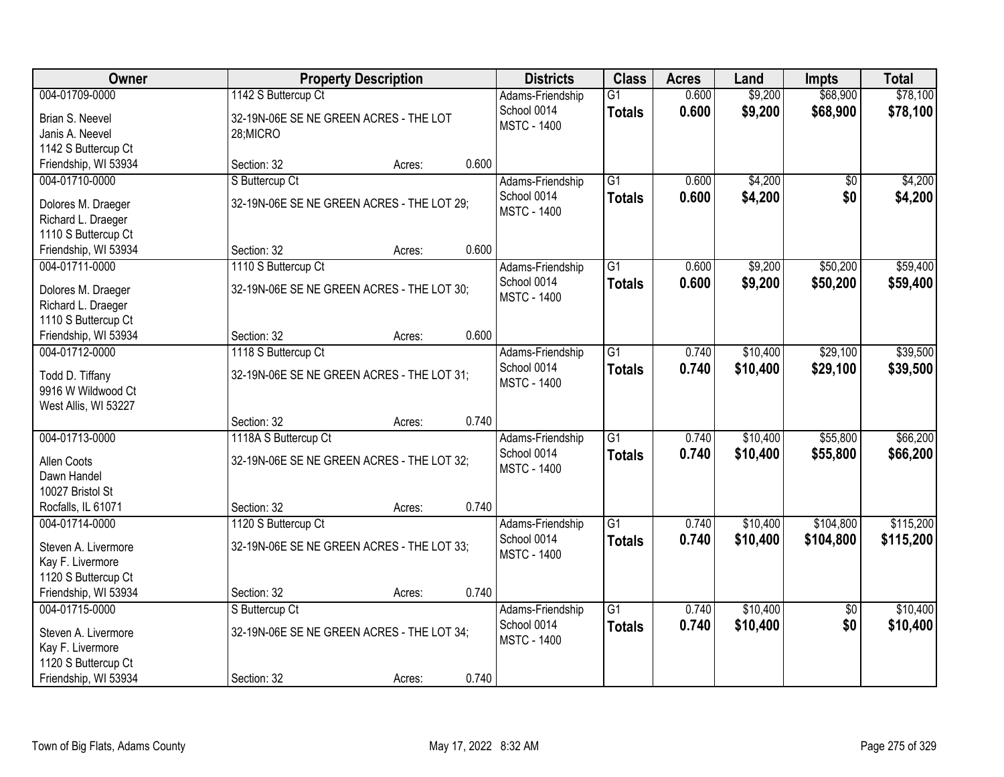| Owner                | <b>Property Description</b>                | <b>Districts</b>   | <b>Class</b>    | <b>Acres</b> | Land     | <b>Impts</b>    | <b>Total</b> |
|----------------------|--------------------------------------------|--------------------|-----------------|--------------|----------|-----------------|--------------|
| 004-01709-0000       | 1142 S Buttercup Ct                        | Adams-Friendship   | $\overline{G1}$ | 0.600        | \$9,200  | \$68,900        | \$78,100     |
| Brian S. Neevel      | 32-19N-06E SE NE GREEN ACRES - THE LOT     | School 0014        | <b>Totals</b>   | 0.600        | \$9,200  | \$68,900        | \$78,100     |
| Janis A. Neevel      | 28;MICRO                                   | <b>MSTC - 1400</b> |                 |              |          |                 |              |
| 1142 S Buttercup Ct  |                                            |                    |                 |              |          |                 |              |
| Friendship, WI 53934 | 0.600<br>Section: 32<br>Acres:             |                    |                 |              |          |                 |              |
| 004-01710-0000       | S Buttercup Ct                             | Adams-Friendship   | $\overline{G1}$ | 0.600        | \$4,200  | \$0             | \$4,200      |
| Dolores M. Draeger   | 32-19N-06E SE NE GREEN ACRES - THE LOT 29; | School 0014        | <b>Totals</b>   | 0.600        | \$4,200  | \$0             | \$4,200      |
| Richard L. Draeger   |                                            | <b>MSTC - 1400</b> |                 |              |          |                 |              |
| 1110 S Buttercup Ct  |                                            |                    |                 |              |          |                 |              |
| Friendship, WI 53934 | 0.600<br>Section: 32<br>Acres:             |                    |                 |              |          |                 |              |
| 004-01711-0000       | 1110 S Buttercup Ct                        | Adams-Friendship   | G1              | 0.600        | \$9,200  | \$50,200        | \$59,400     |
|                      |                                            | School 0014        | <b>Totals</b>   | 0.600        | \$9,200  | \$50,200        | \$59,400     |
| Dolores M. Draeger   | 32-19N-06E SE NE GREEN ACRES - THE LOT 30; | <b>MSTC - 1400</b> |                 |              |          |                 |              |
| Richard L. Draeger   |                                            |                    |                 |              |          |                 |              |
| 1110 S Buttercup Ct  |                                            |                    |                 |              |          |                 |              |
| Friendship, WI 53934 | 0.600<br>Section: 32<br>Acres:             |                    |                 |              |          |                 |              |
| 004-01712-0000       | 1118 S Buttercup Ct                        | Adams-Friendship   | G1              | 0.740        | \$10,400 | \$29,100        | \$39,500     |
| Todd D. Tiffany      | 32-19N-06E SE NE GREEN ACRES - THE LOT 31; | School 0014        | <b>Totals</b>   | 0.740        | \$10,400 | \$29,100        | \$39,500     |
| 9916 W Wildwood Ct   |                                            | <b>MSTC - 1400</b> |                 |              |          |                 |              |
| West Allis, WI 53227 |                                            |                    |                 |              |          |                 |              |
|                      | 0.740<br>Section: 32<br>Acres:             |                    |                 |              |          |                 |              |
| 004-01713-0000       | 1118A S Buttercup Ct                       | Adams-Friendship   | $\overline{G1}$ | 0.740        | \$10,400 | \$55,800        | \$66,200     |
| Allen Coots          | 32-19N-06E SE NE GREEN ACRES - THE LOT 32; | School 0014        | <b>Totals</b>   | 0.740        | \$10,400 | \$55,800        | \$66,200     |
| Dawn Handel          |                                            | <b>MSTC - 1400</b> |                 |              |          |                 |              |
| 10027 Bristol St     |                                            |                    |                 |              |          |                 |              |
| Rocfalls, IL 61071   | 0.740<br>Section: 32<br>Acres:             |                    |                 |              |          |                 |              |
| 004-01714-0000       | 1120 S Buttercup Ct                        | Adams-Friendship   | $\overline{G1}$ | 0.740        | \$10,400 | \$104,800       | \$115,200    |
|                      |                                            | School 0014        | <b>Totals</b>   | 0.740        | \$10,400 | \$104,800       | \$115,200    |
| Steven A. Livermore  | 32-19N-06E SE NE GREEN ACRES - THE LOT 33; | <b>MSTC - 1400</b> |                 |              |          |                 |              |
| Kay F. Livermore     |                                            |                    |                 |              |          |                 |              |
| 1120 S Buttercup Ct  |                                            |                    |                 |              |          |                 |              |
| Friendship, WI 53934 | 0.740<br>Section: 32<br>Acres:             |                    |                 |              |          |                 |              |
| 004-01715-0000       | S Buttercup Ct                             | Adams-Friendship   | $\overline{G1}$ | 0.740        | \$10,400 | $\overline{50}$ | \$10,400     |
| Steven A. Livermore  | 32-19N-06E SE NE GREEN ACRES - THE LOT 34; | School 0014        | <b>Totals</b>   | 0.740        | \$10,400 | \$0             | \$10,400     |
| Kay F. Livermore     |                                            | <b>MSTC - 1400</b> |                 |              |          |                 |              |
| 1120 S Buttercup Ct  |                                            |                    |                 |              |          |                 |              |
| Friendship, WI 53934 | 0.740<br>Section: 32<br>Acres:             |                    |                 |              |          |                 |              |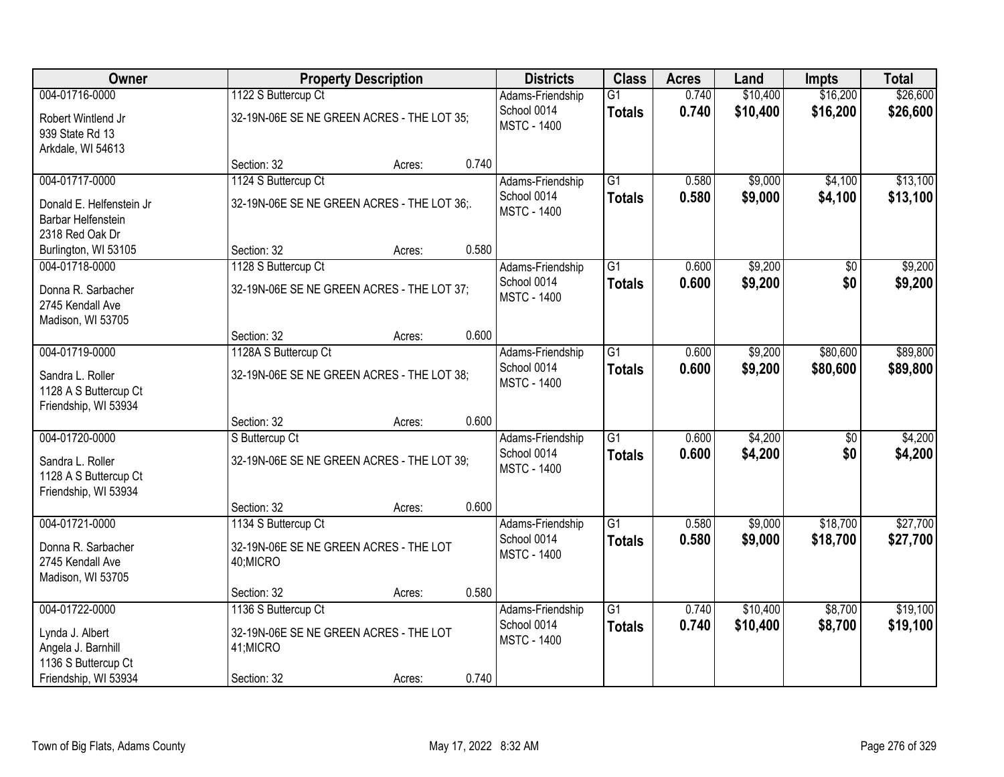| Owner                                                             |                                                     | <b>Property Description</b> |       | <b>Districts</b>                  | <b>Class</b>                     | <b>Acres</b>   | Land               | <b>Impts</b>           | <b>Total</b>       |
|-------------------------------------------------------------------|-----------------------------------------------------|-----------------------------|-------|-----------------------------------|----------------------------------|----------------|--------------------|------------------------|--------------------|
| 004-01716-0000                                                    | 1122 S Buttercup Ct                                 |                             |       | Adams-Friendship                  | $\overline{G1}$                  | 0.740          | \$10,400           | \$16,200               | \$26,600           |
| Robert Wintlend Jr<br>939 State Rd 13                             | 32-19N-06E SE NE GREEN ACRES - THE LOT 35;          |                             |       | School 0014<br><b>MSTC - 1400</b> | <b>Totals</b>                    | 0.740          | \$10,400           | \$16,200               | \$26,600           |
| Arkdale, WI 54613                                                 | Section: 32                                         | Acres:                      | 0.740 |                                   |                                  |                |                    |                        |                    |
| 004-01717-0000                                                    | 1124 S Buttercup Ct                                 |                             |       | Adams-Friendship                  | $\overline{G1}$                  | 0.580          | \$9,000            | \$4,100                | \$13,100           |
| Donald E. Helfenstein Jr<br>Barbar Helfenstein<br>2318 Red Oak Dr | 32-19N-06E SE NE GREEN ACRES - THE LOT 36;.         |                             |       | School 0014<br><b>MSTC - 1400</b> | <b>Totals</b>                    | 0.580          | \$9,000            | \$4,100                | \$13,100           |
| Burlington, WI 53105                                              | Section: 32                                         | Acres:                      | 0.580 |                                   |                                  |                |                    |                        |                    |
| 004-01718-0000                                                    | 1128 S Buttercup Ct                                 |                             |       | Adams-Friendship                  | G1                               | 0.600          | \$9,200            | \$0                    | \$9,200            |
| Donna R. Sarbacher<br>2745 Kendall Ave<br>Madison, WI 53705       | 32-19N-06E SE NE GREEN ACRES - THE LOT 37;          |                             |       | School 0014<br><b>MSTC - 1400</b> | <b>Totals</b>                    | 0.600          | \$9,200            | \$0                    | \$9,200            |
|                                                                   | Section: 32                                         | Acres:                      | 0.600 |                                   |                                  |                |                    |                        |                    |
| 004-01719-0000                                                    | 1128A S Buttercup Ct                                |                             |       | Adams-Friendship                  | $\overline{G1}$                  | 0.600          | \$9,200            | \$80,600               | \$89,800           |
| Sandra L. Roller<br>1128 A S Buttercup Ct<br>Friendship, WI 53934 | 32-19N-06E SE NE GREEN ACRES - THE LOT 38;          |                             |       | School 0014<br><b>MSTC - 1400</b> | <b>Totals</b>                    | 0.600          | \$9,200            | \$80,600               | \$89,800           |
|                                                                   | Section: 32                                         | Acres:                      | 0.600 |                                   |                                  |                |                    |                        |                    |
| 004-01720-0000                                                    | S Buttercup Ct                                      |                             |       | Adams-Friendship<br>School 0014   | $\overline{G1}$<br><b>Totals</b> | 0.600<br>0.600 | \$4,200<br>\$4,200 | $\overline{50}$<br>\$0 | \$4,200<br>\$4,200 |
| Sandra L. Roller<br>1128 A S Buttercup Ct<br>Friendship, WI 53934 | 32-19N-06E SE NE GREEN ACRES - THE LOT 39;          |                             |       | <b>MSTC - 1400</b>                |                                  |                |                    |                        |                    |
|                                                                   | Section: 32                                         | Acres:                      | 0.600 |                                   |                                  |                |                    |                        |                    |
| 004-01721-0000                                                    | 1134 S Buttercup Ct                                 |                             |       | Adams-Friendship                  | $\overline{G1}$                  | 0.580          | \$9,000            | \$18,700               | \$27,700           |
| Donna R. Sarbacher<br>2745 Kendall Ave<br>Madison, WI 53705       | 32-19N-06E SE NE GREEN ACRES - THE LOT<br>40;MICRO  |                             |       | School 0014<br><b>MSTC - 1400</b> | <b>Totals</b>                    | 0.580          | \$9,000            | \$18,700               | \$27,700           |
|                                                                   | Section: 32                                         | Acres:                      | 0.580 |                                   |                                  |                |                    |                        |                    |
| 004-01722-0000                                                    | 1136 S Buttercup Ct                                 |                             |       | Adams-Friendship                  | $\overline{G1}$                  | 0.740          | \$10,400           | \$8,700                | \$19,100           |
| Lynda J. Albert<br>Angela J. Barnhill<br>1136 S Buttercup Ct      | 32-19N-06E SE NE GREEN ACRES - THE LOT<br>41; MICRO |                             |       | School 0014<br><b>MSTC - 1400</b> | <b>Totals</b>                    | 0.740          | \$10,400           | \$8,700                | \$19,100           |
| Friendship, WI 53934                                              | Section: 32                                         | Acres:                      | 0.740 |                                   |                                  |                |                    |                        |                    |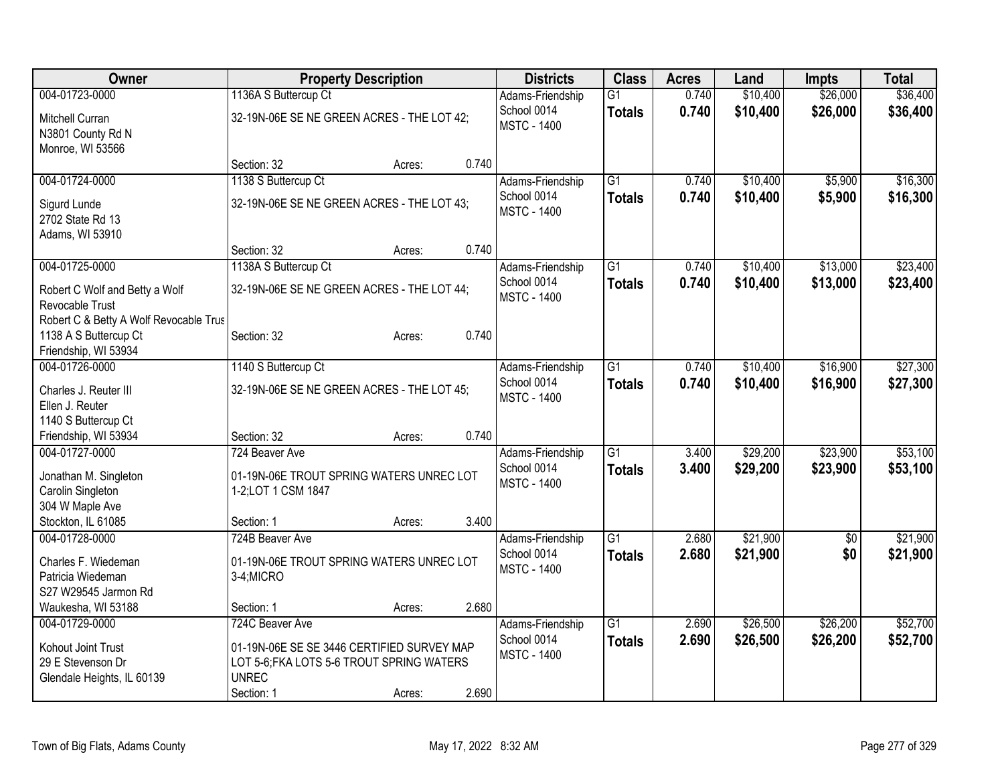| Owner                                  |                                            | <b>Property Description</b> |       | <b>Districts</b>   | <b>Class</b>    | <b>Acres</b> | Land     | <b>Impts</b>    | <b>Total</b> |
|----------------------------------------|--------------------------------------------|-----------------------------|-------|--------------------|-----------------|--------------|----------|-----------------|--------------|
| 004-01723-0000                         | 1136A S Buttercup Ct                       |                             |       | Adams-Friendship   | $\overline{G1}$ | 0.740        | \$10,400 | \$26,000        | \$36,400     |
| Mitchell Curran                        | 32-19N-06E SE NE GREEN ACRES - THE LOT 42; |                             |       | School 0014        | <b>Totals</b>   | 0.740        | \$10,400 | \$26,000        | \$36,400     |
| N3801 County Rd N                      |                                            |                             |       | <b>MSTC - 1400</b> |                 |              |          |                 |              |
| Monroe, WI 53566                       |                                            |                             |       |                    |                 |              |          |                 |              |
|                                        | Section: 32                                | Acres:                      | 0.740 |                    |                 |              |          |                 |              |
| 004-01724-0000                         | 1138 S Buttercup Ct                        |                             |       | Adams-Friendship   | $\overline{G1}$ | 0.740        | \$10,400 | \$5,900         | \$16,300     |
| Sigurd Lunde                           | 32-19N-06E SE NE GREEN ACRES - THE LOT 43; |                             |       | School 0014        | <b>Totals</b>   | 0.740        | \$10,400 | \$5,900         | \$16,300     |
| 2702 State Rd 13                       |                                            |                             |       | <b>MSTC - 1400</b> |                 |              |          |                 |              |
| Adams, WI 53910                        |                                            |                             |       |                    |                 |              |          |                 |              |
|                                        | Section: 32                                | Acres:                      | 0.740 |                    |                 |              |          |                 |              |
| 004-01725-0000                         | 1138A S Buttercup Ct                       |                             |       | Adams-Friendship   | $\overline{G1}$ | 0.740        | \$10,400 | \$13,000        | \$23,400     |
| Robert C Wolf and Betty a Wolf         | 32-19N-06E SE NE GREEN ACRES - THE LOT 44; |                             |       | School 0014        | <b>Totals</b>   | 0.740        | \$10,400 | \$13,000        | \$23,400     |
| Revocable Trust                        |                                            |                             |       | <b>MSTC - 1400</b> |                 |              |          |                 |              |
| Robert C & Betty A Wolf Revocable Trus |                                            |                             |       |                    |                 |              |          |                 |              |
| 1138 A S Buttercup Ct                  | Section: 32                                | Acres:                      | 0.740 |                    |                 |              |          |                 |              |
| Friendship, WI 53934                   |                                            |                             |       |                    |                 |              |          |                 |              |
| 004-01726-0000                         | 1140 S Buttercup Ct                        |                             |       | Adams-Friendship   | $\overline{G1}$ | 0.740        | \$10,400 | \$16,900        | \$27,300     |
| Charles J. Reuter III                  | 32-19N-06E SE NE GREEN ACRES - THE LOT 45: |                             |       | School 0014        | <b>Totals</b>   | 0.740        | \$10,400 | \$16,900        | \$27,300     |
| Ellen J. Reuter                        |                                            |                             |       | <b>MSTC - 1400</b> |                 |              |          |                 |              |
| 1140 S Buttercup Ct                    |                                            |                             |       |                    |                 |              |          |                 |              |
| Friendship, WI 53934                   | Section: 32                                | Acres:                      | 0.740 |                    |                 |              |          |                 |              |
| 004-01727-0000                         | 724 Beaver Ave                             |                             |       | Adams-Friendship   | $\overline{G1}$ | 3.400        | \$29,200 | \$23,900        | \$53,100     |
| Jonathan M. Singleton                  | 01-19N-06E TROUT SPRING WATERS UNREC LOT   |                             |       | School 0014        | <b>Totals</b>   | 3.400        | \$29,200 | \$23,900        | \$53,100     |
| Carolin Singleton                      | 1-2;LOT 1 CSM 1847                         |                             |       | <b>MSTC - 1400</b> |                 |              |          |                 |              |
| 304 W Maple Ave                        |                                            |                             |       |                    |                 |              |          |                 |              |
| Stockton, IL 61085                     | Section: 1                                 | Acres:                      | 3.400 |                    |                 |              |          |                 |              |
| 004-01728-0000                         | 724B Beaver Ave                            |                             |       | Adams-Friendship   | $\overline{G1}$ | 2.680        | \$21,900 | $\overline{50}$ | \$21,900     |
| Charles F. Wiedeman                    | 01-19N-06E TROUT SPRING WATERS UNREC LOT   |                             |       | School 0014        | <b>Totals</b>   | 2.680        | \$21,900 | \$0             | \$21,900     |
| Patricia Wiedeman                      | 3-4;MICRO                                  |                             |       | <b>MSTC - 1400</b> |                 |              |          |                 |              |
| S27 W29545 Jarmon Rd                   |                                            |                             |       |                    |                 |              |          |                 |              |
| Waukesha, WI 53188                     | Section: 1                                 | Acres:                      | 2.680 |                    |                 |              |          |                 |              |
| 004-01729-0000                         | 724C Beaver Ave                            |                             |       | Adams-Friendship   | $\overline{G1}$ | 2.690        | \$26,500 | \$26,200        | \$52,700     |
| Kohout Joint Trust                     | 01-19N-06E SE SE 3446 CERTIFIED SURVEY MAP |                             |       | School 0014        | <b>Totals</b>   | 2.690        | \$26,500 | \$26,200        | \$52,700     |
| 29 E Stevenson Dr                      | LOT 5-6; FKA LOTS 5-6 TROUT SPRING WATERS  |                             |       | <b>MSTC - 1400</b> |                 |              |          |                 |              |
| Glendale Heights, IL 60139             | <b>UNREC</b>                               |                             |       |                    |                 |              |          |                 |              |
|                                        | Section: 1                                 | Acres:                      | 2.690 |                    |                 |              |          |                 |              |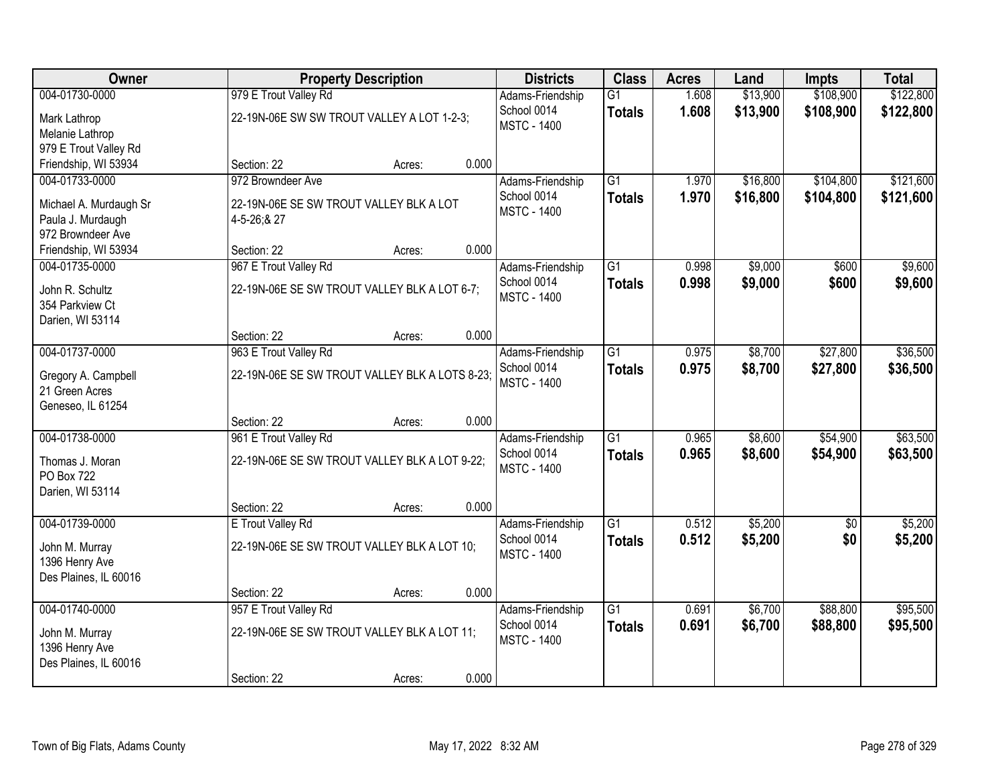| Owner                  |                                                | <b>Property Description</b> |       | <b>Districts</b>                  | <b>Class</b>    | <b>Acres</b> | Land     | <b>Impts</b> | <b>Total</b> |
|------------------------|------------------------------------------------|-----------------------------|-------|-----------------------------------|-----------------|--------------|----------|--------------|--------------|
| 004-01730-0000         | 979 E Trout Valley Rd                          |                             |       | Adams-Friendship                  | $\overline{G1}$ | 1.608        | \$13,900 | \$108,900    | \$122,800    |
| Mark Lathrop           | 22-19N-06E SW SW TROUT VALLEY A LOT 1-2-3;     |                             |       | School 0014<br><b>MSTC - 1400</b> | <b>Totals</b>   | 1.608        | \$13,900 | \$108,900    | \$122,800    |
| Melanie Lathrop        |                                                |                             |       |                                   |                 |              |          |              |              |
| 979 E Trout Valley Rd  |                                                |                             |       |                                   |                 |              |          |              |              |
| Friendship, WI 53934   | Section: 22                                    | Acres:                      | 0.000 |                                   |                 |              |          |              |              |
| 004-01733-0000         | 972 Browndeer Ave                              |                             |       | Adams-Friendship                  | $\overline{G1}$ | 1.970        | \$16,800 | \$104,800    | \$121,600    |
| Michael A. Murdaugh Sr | 22-19N-06E SE SW TROUT VALLEY BLK A LOT        |                             |       | School 0014<br><b>MSTC - 1400</b> | <b>Totals</b>   | 1.970        | \$16,800 | \$104,800    | \$121,600    |
| Paula J. Murdaugh      | 4-5-26;&27                                     |                             |       |                                   |                 |              |          |              |              |
| 972 Browndeer Ave      |                                                |                             |       |                                   |                 |              |          |              |              |
| Friendship, WI 53934   | Section: 22                                    | Acres:                      | 0.000 |                                   |                 |              |          |              |              |
| 004-01735-0000         | 967 E Trout Valley Rd                          |                             |       | Adams-Friendship                  | G1              | 0.998        | \$9,000  | \$600        | \$9,600      |
| John R. Schultz        | 22-19N-06E SE SW TROUT VALLEY BLK A LOT 6-7;   |                             |       | School 0014                       | <b>Totals</b>   | 0.998        | \$9,000  | \$600        | \$9,600      |
| 354 Parkview Ct        |                                                |                             |       | <b>MSTC - 1400</b>                |                 |              |          |              |              |
| Darien, WI 53114       |                                                |                             |       |                                   |                 |              |          |              |              |
|                        | Section: 22                                    | Acres:                      | 0.000 |                                   |                 |              |          |              |              |
| 004-01737-0000         | 963 E Trout Valley Rd                          |                             |       | Adams-Friendship                  | $\overline{G1}$ | 0.975        | \$8,700  | \$27,800     | \$36,500     |
| Gregory A. Campbell    | 22-19N-06E SE SW TROUT VALLEY BLK A LOTS 8-23; |                             |       | School 0014                       | <b>Totals</b>   | 0.975        | \$8,700  | \$27,800     | \$36,500     |
| 21 Green Acres         |                                                |                             |       | <b>MSTC - 1400</b>                |                 |              |          |              |              |
| Geneseo, IL 61254      |                                                |                             |       |                                   |                 |              |          |              |              |
|                        | Section: 22                                    | Acres:                      | 0.000 |                                   |                 |              |          |              |              |
| 004-01738-0000         | 961 E Trout Valley Rd                          |                             |       | Adams-Friendship                  | $\overline{G1}$ | 0.965        | \$8,600  | \$54,900     | \$63,500     |
| Thomas J. Moran        | 22-19N-06E SE SW TROUT VALLEY BLK A LOT 9-22;  |                             |       | School 0014                       | <b>Totals</b>   | 0.965        | \$8,600  | \$54,900     | \$63,500     |
| PO Box 722             |                                                |                             |       | <b>MSTC - 1400</b>                |                 |              |          |              |              |
| Darien, WI 53114       |                                                |                             |       |                                   |                 |              |          |              |              |
|                        | Section: 22                                    | Acres:                      | 0.000 |                                   |                 |              |          |              |              |
| 004-01739-0000         | E Trout Valley Rd                              |                             |       | Adams-Friendship                  | $\overline{G1}$ | 0.512        | \$5,200  | $\sqrt{6}$   | \$5,200      |
| John M. Murray         | 22-19N-06E SE SW TROUT VALLEY BLK A LOT 10;    |                             |       | School 0014                       | <b>Totals</b>   | 0.512        | \$5,200  | \$0          | \$5,200      |
| 1396 Henry Ave         |                                                |                             |       | <b>MSTC - 1400</b>                |                 |              |          |              |              |
| Des Plaines, IL 60016  |                                                |                             |       |                                   |                 |              |          |              |              |
|                        | Section: 22                                    | Acres:                      | 0.000 |                                   |                 |              |          |              |              |
| 004-01740-0000         | 957 E Trout Valley Rd                          |                             |       | Adams-Friendship                  | $\overline{G1}$ | 0.691        | \$6,700  | \$88,800     | \$95,500     |
| John M. Murray         | 22-19N-06E SE SW TROUT VALLEY BLK A LOT 11;    |                             |       | School 0014                       | <b>Totals</b>   | 0.691        | \$6,700  | \$88,800     | \$95,500     |
| 1396 Henry Ave         |                                                |                             |       | <b>MSTC - 1400</b>                |                 |              |          |              |              |
| Des Plaines, IL 60016  |                                                |                             |       |                                   |                 |              |          |              |              |
|                        | Section: 22                                    | Acres:                      | 0.000 |                                   |                 |              |          |              |              |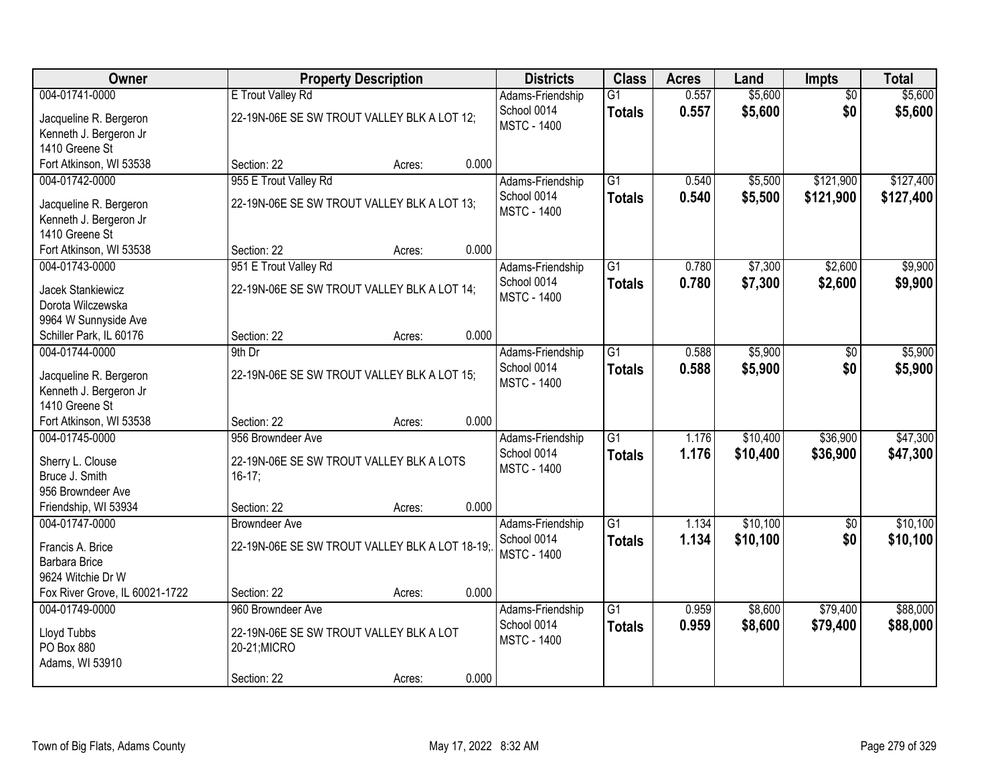| Owner                                     |                                                | <b>Property Description</b> |       | <b>Districts</b>                | <b>Class</b>    | <b>Acres</b> | Land     | <b>Impts</b>    | <b>Total</b> |
|-------------------------------------------|------------------------------------------------|-----------------------------|-------|---------------------------------|-----------------|--------------|----------|-----------------|--------------|
| 004-01741-0000                            | E Trout Valley Rd                              |                             |       | Adams-Friendship                | $\overline{G1}$ | 0.557        | \$5,600  | $\overline{50}$ | \$5,600      |
| Jacqueline R. Bergeron                    | 22-19N-06E SE SW TROUT VALLEY BLK A LOT 12;    |                             |       | School 0014                     | <b>Totals</b>   | 0.557        | \$5,600  | \$0             | \$5,600      |
| Kenneth J. Bergeron Jr                    |                                                |                             |       | <b>MSTC - 1400</b>              |                 |              |          |                 |              |
| 1410 Greene St                            |                                                |                             |       |                                 |                 |              |          |                 |              |
| Fort Atkinson, WI 53538                   | Section: 22                                    | Acres:                      | 0.000 |                                 |                 |              |          |                 |              |
| 004-01742-0000                            | 955 E Trout Valley Rd                          |                             |       | Adams-Friendship                | $\overline{G1}$ | 0.540        | \$5,500  | \$121,900       | \$127,400    |
| Jacqueline R. Bergeron                    | 22-19N-06E SE SW TROUT VALLEY BLK A LOT 13;    |                             |       | School 0014                     | <b>Totals</b>   | 0.540        | \$5,500  | \$121,900       | \$127,400    |
| Kenneth J. Bergeron Jr                    |                                                |                             |       | <b>MSTC - 1400</b>              |                 |              |          |                 |              |
| 1410 Greene St                            |                                                |                             |       |                                 |                 |              |          |                 |              |
| Fort Atkinson, WI 53538                   | Section: 22                                    | Acres:                      | 0.000 |                                 |                 |              |          |                 |              |
| 004-01743-0000                            | 951 E Trout Valley Rd                          |                             |       | Adams-Friendship                | $\overline{G1}$ | 0.780        | \$7,300  | \$2,600         | \$9,900      |
|                                           |                                                |                             |       | School 0014                     | <b>Totals</b>   | 0.780        | \$7,300  | \$2,600         | \$9,900      |
| Jacek Stankiewicz<br>Dorota Wilczewska    | 22-19N-06E SE SW TROUT VALLEY BLK A LOT 14;    |                             |       | <b>MSTC - 1400</b>              |                 |              |          |                 |              |
| 9964 W Sunnyside Ave                      |                                                |                             |       |                                 |                 |              |          |                 |              |
| Schiller Park, IL 60176                   | Section: 22                                    | Acres:                      | 0.000 |                                 |                 |              |          |                 |              |
| 004-01744-0000                            | 9th Dr                                         |                             |       | Adams-Friendship                | $\overline{G1}$ | 0.588        | \$5,900  | $\sqrt[6]{}$    | \$5,900      |
|                                           |                                                |                             |       | School 0014                     | <b>Totals</b>   | 0.588        | \$5,900  | \$0             | \$5,900      |
| Jacqueline R. Bergeron                    | 22-19N-06E SE SW TROUT VALLEY BLK A LOT 15;    |                             |       | <b>MSTC - 1400</b>              |                 |              |          |                 |              |
| Kenneth J. Bergeron Jr                    |                                                |                             |       |                                 |                 |              |          |                 |              |
| 1410 Greene St                            | Section: 22                                    |                             | 0.000 |                                 |                 |              |          |                 |              |
| Fort Atkinson, WI 53538<br>004-01745-0000 | 956 Browndeer Ave                              | Acres:                      |       |                                 | $\overline{G1}$ | 1.176        | \$10,400 | \$36,900        | \$47,300     |
|                                           |                                                |                             |       | Adams-Friendship<br>School 0014 |                 | 1.176        |          |                 |              |
| Sherry L. Clouse                          | 22-19N-06E SE SW TROUT VALLEY BLK A LOTS       |                             |       | <b>MSTC - 1400</b>              | <b>Totals</b>   |              | \$10,400 | \$36,900        | \$47,300     |
| Bruce J. Smith                            | $16-17;$                                       |                             |       |                                 |                 |              |          |                 |              |
| 956 Browndeer Ave                         |                                                |                             |       |                                 |                 |              |          |                 |              |
| Friendship, WI 53934                      | Section: 22                                    | Acres:                      | 0.000 |                                 |                 |              |          |                 |              |
| 004-01747-0000                            | <b>Browndeer Ave</b>                           |                             |       | Adams-Friendship                | $\overline{G1}$ | 1.134        | \$10,100 | $\sqrt{$0}$     | \$10,100     |
| Francis A. Brice                          | 22-19N-06E SE SW TROUT VALLEY BLK A LOT 18-19: |                             |       | School 0014                     | <b>Totals</b>   | 1.134        | \$10,100 | \$0             | \$10,100     |
| <b>Barbara Brice</b>                      |                                                |                             |       | <b>MSTC - 1400</b>              |                 |              |          |                 |              |
| 9624 Witchie Dr W                         |                                                |                             |       |                                 |                 |              |          |                 |              |
| Fox River Grove, IL 60021-1722            | Section: 22                                    | Acres:                      | 0.000 |                                 |                 |              |          |                 |              |
| 004-01749-0000                            | 960 Browndeer Ave                              |                             |       | Adams-Friendship                | $\overline{G1}$ | 0.959        | \$8,600  | \$79,400        | \$88,000     |
| Lloyd Tubbs                               | 22-19N-06E SE SW TROUT VALLEY BLK A LOT        |                             |       | School 0014                     | <b>Totals</b>   | 0.959        | \$8,600  | \$79,400        | \$88,000     |
| PO Box 880                                | 20-21; MICRO                                   |                             |       | <b>MSTC - 1400</b>              |                 |              |          |                 |              |
| Adams, WI 53910                           |                                                |                             |       |                                 |                 |              |          |                 |              |
|                                           | Section: 22                                    | Acres:                      | 0.000 |                                 |                 |              |          |                 |              |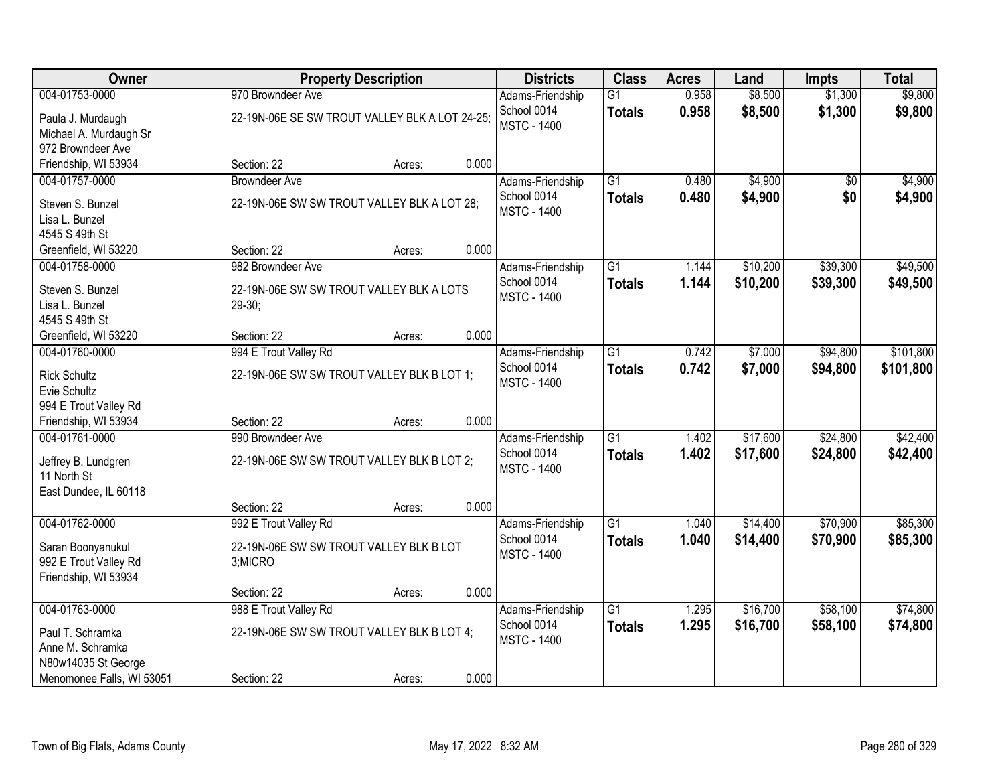| Owner                                  |                                                | <b>Property Description</b> |       | <b>Districts</b>                | <b>Class</b>    | <b>Acres</b> | Land     | <b>Impts</b> | <b>Total</b> |
|----------------------------------------|------------------------------------------------|-----------------------------|-------|---------------------------------|-----------------|--------------|----------|--------------|--------------|
| 004-01753-0000                         | 970 Browndeer Ave                              |                             |       | Adams-Friendship                | $\overline{G1}$ | 0.958        | \$8,500  | \$1,300      | \$9,800      |
| Paula J. Murdaugh                      | 22-19N-06E SE SW TROUT VALLEY BLK A LOT 24-25; |                             |       | School 0014                     | <b>Totals</b>   | 0.958        | \$8,500  | \$1,300      | \$9,800      |
| Michael A. Murdaugh Sr                 |                                                |                             |       | <b>MSTC - 1400</b>              |                 |              |          |              |              |
| 972 Browndeer Ave                      |                                                |                             |       |                                 |                 |              |          |              |              |
| Friendship, WI 53934                   | Section: 22                                    | Acres:                      | 0.000 |                                 |                 |              |          |              |              |
| 004-01757-0000                         | <b>Browndeer Ave</b>                           |                             |       | Adams-Friendship                | $\overline{G1}$ | 0.480        | \$4,900  | \$0          | \$4,900      |
| Steven S. Bunzel                       | 22-19N-06E SW SW TROUT VALLEY BLK A LOT 28;    |                             |       | School 0014                     | <b>Totals</b>   | 0.480        | \$4,900  | \$0          | \$4,900      |
| Lisa L. Bunzel                         |                                                |                             |       | <b>MSTC - 1400</b>              |                 |              |          |              |              |
| 4545 S 49th St                         |                                                |                             |       |                                 |                 |              |          |              |              |
| Greenfield, WI 53220                   | Section: 22                                    | Acres:                      | 0.000 |                                 |                 |              |          |              |              |
| 004-01758-0000                         | 982 Browndeer Ave                              |                             |       | Adams-Friendship                | $\overline{G1}$ | 1.144        | \$10,200 | \$39,300     | \$49,500     |
|                                        |                                                |                             |       | School 0014                     | <b>Totals</b>   | 1.144        | \$10,200 | \$39,300     | \$49,500     |
| Steven S. Bunzel<br>Lisa L. Bunzel     | 22-19N-06E SW SW TROUT VALLEY BLK A LOTS       |                             |       | <b>MSTC - 1400</b>              |                 |              |          |              |              |
| 4545 S 49th St                         | $29-30;$                                       |                             |       |                                 |                 |              |          |              |              |
| Greenfield, WI 53220                   | Section: 22                                    | Acres:                      | 0.000 |                                 |                 |              |          |              |              |
| 004-01760-0000                         | 994 E Trout Valley Rd                          |                             |       | Adams-Friendship                | $\overline{G1}$ | 0.742        | \$7,000  | \$94,800     | \$101,800    |
|                                        |                                                |                             |       | School 0014                     | <b>Totals</b>   | 0.742        | \$7,000  | \$94,800     | \$101,800    |
| <b>Rick Schultz</b>                    | 22-19N-06E SW SW TROUT VALLEY BLK B LOT 1;     |                             |       | <b>MSTC - 1400</b>              |                 |              |          |              |              |
| Evie Schultz                           |                                                |                             |       |                                 |                 |              |          |              |              |
| 994 E Trout Valley Rd                  |                                                |                             |       |                                 |                 |              |          |              |              |
| Friendship, WI 53934<br>004-01761-0000 | Section: 22<br>990 Browndeer Ave               | Acres:                      | 0.000 |                                 | $\overline{G1}$ | 1.402        |          | \$24,800     |              |
|                                        |                                                |                             |       | Adams-Friendship<br>School 0014 |                 |              | \$17,600 |              | \$42,400     |
| Jeffrey B. Lundgren                    | 22-19N-06E SW SW TROUT VALLEY BLK B LOT 2;     |                             |       | <b>MSTC - 1400</b>              | <b>Totals</b>   | 1.402        | \$17,600 | \$24,800     | \$42,400     |
| 11 North St                            |                                                |                             |       |                                 |                 |              |          |              |              |
| East Dundee, IL 60118                  |                                                |                             |       |                                 |                 |              |          |              |              |
|                                        | Section: 22                                    | Acres:                      | 0.000 |                                 |                 |              |          |              |              |
| 004-01762-0000                         | 992 E Trout Valley Rd                          |                             |       | Adams-Friendship                | $\overline{G1}$ | 1.040        | \$14,400 | \$70,900     | \$85,300     |
| Saran Boonyanukul                      | 22-19N-06E SW SW TROUT VALLEY BLK B LOT        |                             |       | School 0014                     | <b>Totals</b>   | 1.040        | \$14,400 | \$70,900     | \$85,300     |
| 992 E Trout Valley Rd                  | 3;MICRO                                        |                             |       | <b>MSTC - 1400</b>              |                 |              |          |              |              |
| Friendship, WI 53934                   |                                                |                             |       |                                 |                 |              |          |              |              |
|                                        | Section: 22                                    | Acres:                      | 0.000 |                                 |                 |              |          |              |              |
| 004-01763-0000                         | 988 E Trout Valley Rd                          |                             |       | Adams-Friendship                | $\overline{G1}$ | 1.295        | \$16,700 | \$58,100     | \$74,800     |
| Paul T. Schramka                       | 22-19N-06E SW SW TROUT VALLEY BLK B LOT 4;     |                             |       | School 0014                     | <b>Totals</b>   | 1.295        | \$16,700 | \$58,100     | \$74,800     |
| Anne M. Schramka                       |                                                |                             |       | <b>MSTC - 1400</b>              |                 |              |          |              |              |
| N80w14035 St George                    |                                                |                             |       |                                 |                 |              |          |              |              |
| Menomonee Falls, WI 53051              | Section: 22                                    | Acres:                      | 0.000 |                                 |                 |              |          |              |              |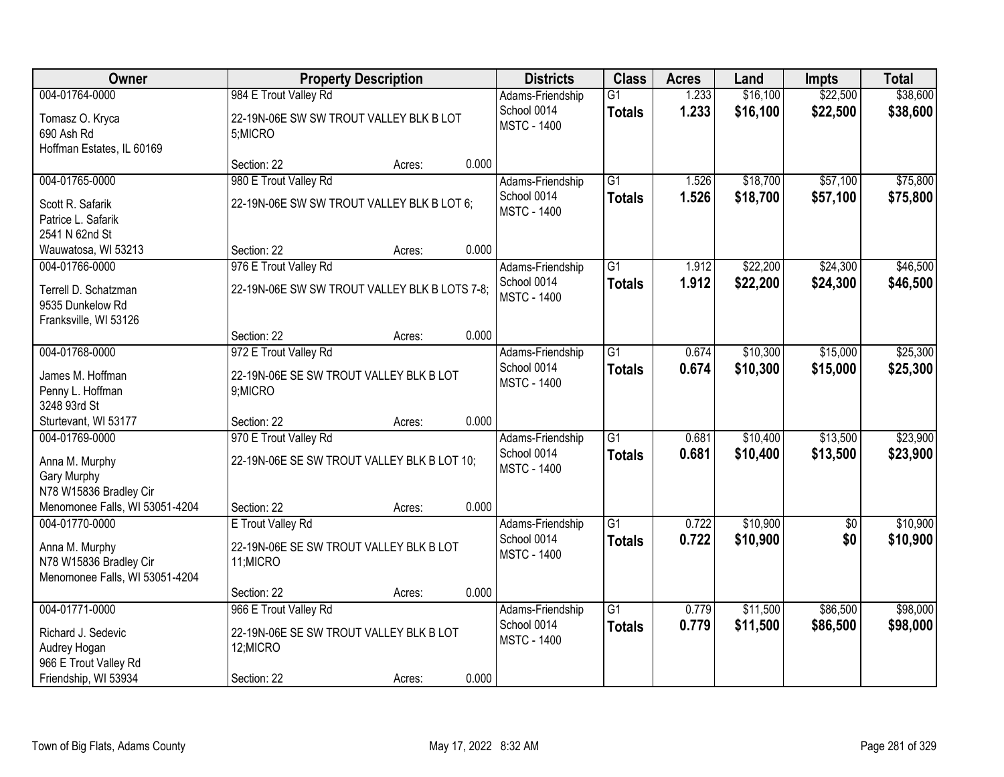| Owner                                                                                        | <b>Property Description</b>                                              |        |       | <b>Districts</b>                                      | <b>Class</b>                     | <b>Acres</b>   | Land                 | <b>Impts</b>           | <b>Total</b>         |
|----------------------------------------------------------------------------------------------|--------------------------------------------------------------------------|--------|-------|-------------------------------------------------------|----------------------------------|----------------|----------------------|------------------------|----------------------|
| 004-01764-0000                                                                               | 984 E Trout Valley Rd                                                    |        |       | Adams-Friendship                                      | $\overline{G1}$                  | 1.233          | \$16,100             | \$22,500               | \$38,600             |
| Tomasz O. Kryca<br>690 Ash Rd<br>Hoffman Estates, IL 60169                                   | 22-19N-06E SW SW TROUT VALLEY BLK B LOT<br>5;MICRO                       |        |       | School 0014<br><b>MSTC - 1400</b>                     | <b>Totals</b>                    | 1.233          | \$16,100             | \$22,500               | \$38,600             |
|                                                                                              | Section: 22                                                              | Acres: | 0.000 |                                                       |                                  |                |                      |                        |                      |
| 004-01765-0000                                                                               | 980 E Trout Valley Rd                                                    |        |       | Adams-Friendship                                      | $\overline{G1}$                  | 1.526          | \$18,700             | \$57,100               | \$75,800             |
| Scott R. Safarik<br>Patrice L. Safarik<br>2541 N 62nd St                                     | 22-19N-06E SW SW TROUT VALLEY BLK B LOT 6;                               |        |       | School 0014<br><b>MSTC - 1400</b>                     | <b>Totals</b>                    | 1.526          | \$18,700             | \$57,100               | \$75,800             |
| Wauwatosa, WI 53213                                                                          | Section: 22                                                              | Acres: | 0.000 |                                                       |                                  |                |                      |                        |                      |
| 004-01766-0000                                                                               | 976 E Trout Valley Rd                                                    |        |       | Adams-Friendship                                      | $\overline{G1}$                  | 1.912          | \$22,200             | \$24,300               | \$46,500             |
| Terrell D. Schatzman<br>9535 Dunkelow Rd<br>Franksville, WI 53126                            | 22-19N-06E SW SW TROUT VALLEY BLK B LOTS 7-8;                            |        |       | School 0014<br><b>MSTC - 1400</b>                     | <b>Totals</b>                    | 1.912          | \$22,200             | \$24,300               | \$46,500             |
|                                                                                              | Section: 22                                                              | Acres: | 0.000 |                                                       |                                  |                |                      |                        |                      |
| 004-01768-0000                                                                               | 972 E Trout Valley Rd                                                    |        |       | Adams-Friendship                                      | $\overline{G1}$                  | 0.674          | \$10,300             | \$15,000               | \$25,300             |
| James M. Hoffman<br>Penny L. Hoffman<br>3248 93rd St                                         | 22-19N-06E SE SW TROUT VALLEY BLK B LOT<br>9;MICRO                       |        |       | School 0014<br><b>MSTC - 1400</b>                     | <b>Totals</b>                    | 0.674          | \$10,300             | \$15,000               | \$25,300             |
| Sturtevant, WI 53177                                                                         | Section: 22                                                              | Acres: | 0.000 |                                                       |                                  |                |                      |                        |                      |
| 004-01769-0000                                                                               | 970 E Trout Valley Rd                                                    |        |       | Adams-Friendship                                      | $\overline{G1}$                  | 0.681          | \$10,400             | \$13,500               | \$23,900             |
| Anna M. Murphy<br>Gary Murphy                                                                | 22-19N-06E SE SW TROUT VALLEY BLK B LOT 10;                              |        |       | School 0014<br><b>MSTC - 1400</b>                     | <b>Totals</b>                    | 0.681          | \$10,400             | \$13,500               | \$23,900             |
| N78 W15836 Bradley Cir                                                                       |                                                                          |        |       |                                                       |                                  |                |                      |                        |                      |
| Menomonee Falls, WI 53051-4204                                                               | Section: 22                                                              | Acres: | 0.000 |                                                       |                                  |                |                      |                        |                      |
| 004-01770-0000<br>Anna M. Murphy<br>N78 W15836 Bradley Cir<br>Menomonee Falls, WI 53051-4204 | E Trout Valley Rd<br>22-19N-06E SE SW TROUT VALLEY BLK B LOT<br>11;MICRO |        |       | Adams-Friendship<br>School 0014<br><b>MSTC - 1400</b> | $\overline{G1}$<br><b>Totals</b> | 0.722<br>0.722 | \$10,900<br>\$10,900 | $\overline{60}$<br>\$0 | \$10,900<br>\$10,900 |
|                                                                                              | Section: 22                                                              | Acres: | 0.000 |                                                       |                                  |                |                      |                        |                      |
| 004-01771-0000                                                                               | 966 E Trout Valley Rd                                                    |        |       | Adams-Friendship                                      | $\overline{G1}$                  | 0.779          | \$11,500             | \$86,500               | \$98,000             |
| Richard J. Sedevic<br>Audrey Hogan<br>966 E Trout Valley Rd                                  | 22-19N-06E SE SW TROUT VALLEY BLK B LOT<br>12;MICRO                      |        |       | School 0014<br><b>MSTC - 1400</b>                     | <b>Totals</b>                    | 0.779          | \$11,500             | \$86,500               | \$98,000             |
| Friendship, WI 53934                                                                         | Section: 22                                                              | Acres: | 0.000 |                                                       |                                  |                |                      |                        |                      |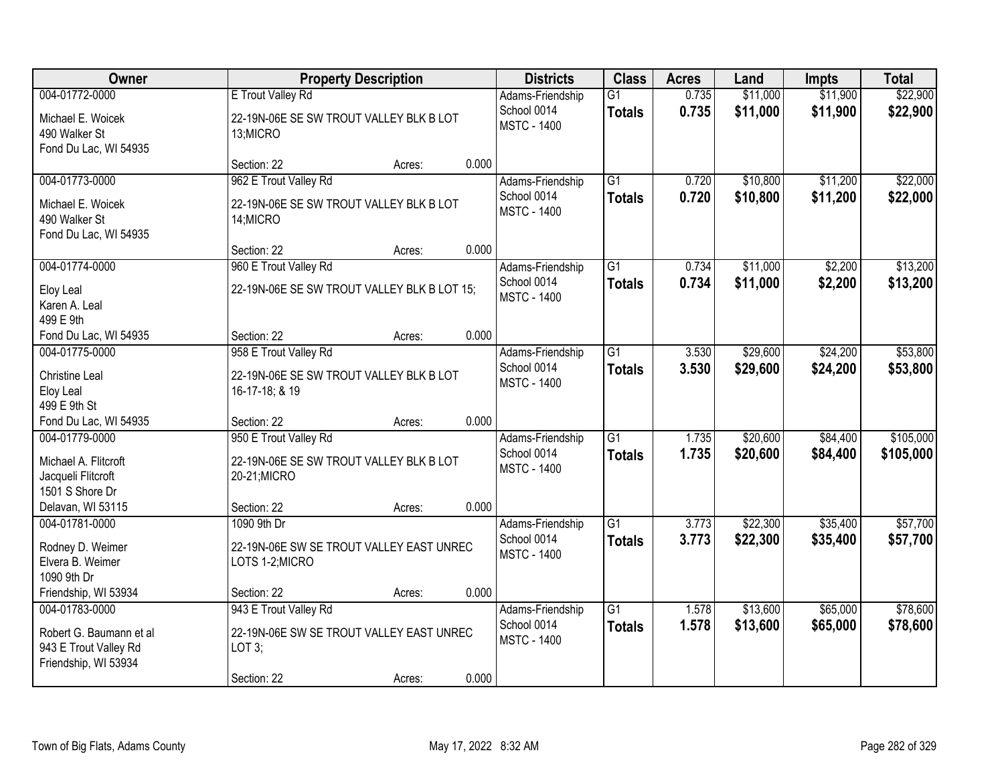| <b>Owner</b>                                                                               |                                                                                            | <b>Property Description</b> |       | <b>Districts</b>                                      | <b>Class</b>                     | <b>Acres</b>   | Land                 | <b>Impts</b>         | <b>Total</b>           |
|--------------------------------------------------------------------------------------------|--------------------------------------------------------------------------------------------|-----------------------------|-------|-------------------------------------------------------|----------------------------------|----------------|----------------------|----------------------|------------------------|
| 004-01772-0000                                                                             | E Trout Valley Rd                                                                          |                             |       | Adams-Friendship                                      | $\overline{G1}$                  | 0.735          | \$11,000             | \$11,900             | \$22,900               |
| Michael E. Woicek<br>490 Walker St<br>Fond Du Lac, WI 54935                                | 22-19N-06E SE SW TROUT VALLEY BLK B LOT<br>13;MICRO                                        |                             |       | School 0014<br><b>MSTC - 1400</b>                     | <b>Totals</b>                    | 0.735          | \$11,000             | \$11,900             | \$22,900               |
|                                                                                            | Section: 22                                                                                | Acres:                      | 0.000 |                                                       |                                  |                |                      |                      |                        |
| 004-01773-0000                                                                             | 962 E Trout Valley Rd                                                                      |                             |       | Adams-Friendship                                      | $\overline{G1}$                  | 0.720          | \$10,800             | \$11,200             | \$22,000               |
| Michael E. Woicek<br>490 Walker St<br>Fond Du Lac, WI 54935                                | 22-19N-06E SE SW TROUT VALLEY BLK B LOT<br>14; MICRO                                       |                             |       | School 0014<br><b>MSTC - 1400</b>                     | <b>Totals</b>                    | 0.720          | \$10,800             | \$11,200             | \$22,000               |
|                                                                                            | Section: 22                                                                                | Acres:                      | 0.000 |                                                       |                                  |                |                      |                      |                        |
| 004-01774-0000                                                                             | 960 E Trout Valley Rd                                                                      |                             |       | Adams-Friendship                                      | G1                               | 0.734          | \$11,000             | \$2,200              | \$13,200               |
| Eloy Leal<br>Karen A. Leal<br>499 E 9th                                                    | 22-19N-06E SE SW TROUT VALLEY BLK B LOT 15;                                                |                             |       | School 0014<br><b>MSTC - 1400</b>                     | <b>Totals</b>                    | 0.734          | \$11,000             | \$2,200              | \$13,200               |
| Fond Du Lac, WI 54935                                                                      | Section: 22                                                                                | Acres:                      | 0.000 |                                                       |                                  |                |                      |                      |                        |
| 004-01775-0000                                                                             | 958 E Trout Valley Rd                                                                      |                             |       | Adams-Friendship                                      | $\overline{G1}$                  | 3.530          | \$29,600             | \$24,200             | \$53,800               |
| <b>Christine Leal</b><br>Eloy Leal<br>499 E 9th St                                         | 22-19N-06E SE SW TROUT VALLEY BLK B LOT<br>16-17-18; & 19                                  |                             |       | School 0014<br><b>MSTC - 1400</b>                     | <b>Totals</b>                    | 3.530          | \$29,600             | \$24,200             | \$53,800               |
| Fond Du Lac, WI 54935                                                                      | Section: 22                                                                                | Acres:                      | 0.000 |                                                       |                                  |                |                      |                      |                        |
| 004-01779-0000<br>Michael A. Flitcroft<br>Jacqueli Flitcroft<br>1501 S Shore Dr            | 950 E Trout Valley Rd<br>22-19N-06E SE SW TROUT VALLEY BLK B LOT<br>20-21; MICRO           |                             |       | Adams-Friendship<br>School 0014<br><b>MSTC - 1400</b> | $\overline{G1}$<br><b>Totals</b> | 1.735<br>1.735 | \$20,600<br>\$20,600 | \$84,400<br>\$84,400 | \$105,000<br>\$105,000 |
| Delavan, WI 53115                                                                          | Section: 22                                                                                | Acres:                      | 0.000 |                                                       |                                  |                |                      |                      |                        |
| 004-01781-0000                                                                             | 1090 9th Dr                                                                                |                             |       | Adams-Friendship                                      | $\overline{G1}$                  | 3.773          | \$22,300             | \$35,400             | \$57,700               |
| Rodney D. Weimer<br>Elvera B. Weimer<br>1090 9th Dr                                        | 22-19N-06E SW SE TROUT VALLEY EAST UNREC<br>LOTS 1-2; MICRO                                |                             |       | School 0014<br><b>MSTC - 1400</b>                     | <b>Totals</b>                    | 3.773          | \$22,300             | \$35,400             | \$57,700               |
| Friendship, WI 53934                                                                       | Section: 22                                                                                | Acres:                      | 0.000 |                                                       |                                  |                |                      |                      |                        |
| 004-01783-0000<br>Robert G. Baumann et al<br>943 E Trout Valley Rd<br>Friendship, WI 53934 | 943 E Trout Valley Rd<br>22-19N-06E SW SE TROUT VALLEY EAST UNREC<br>LOT 3;<br>Section: 22 | Acres:                      | 0.000 | Adams-Friendship<br>School 0014<br><b>MSTC - 1400</b> | $\overline{G1}$<br><b>Totals</b> | 1.578<br>1.578 | \$13,600<br>\$13,600 | \$65,000<br>\$65,000 | \$78,600<br>\$78,600   |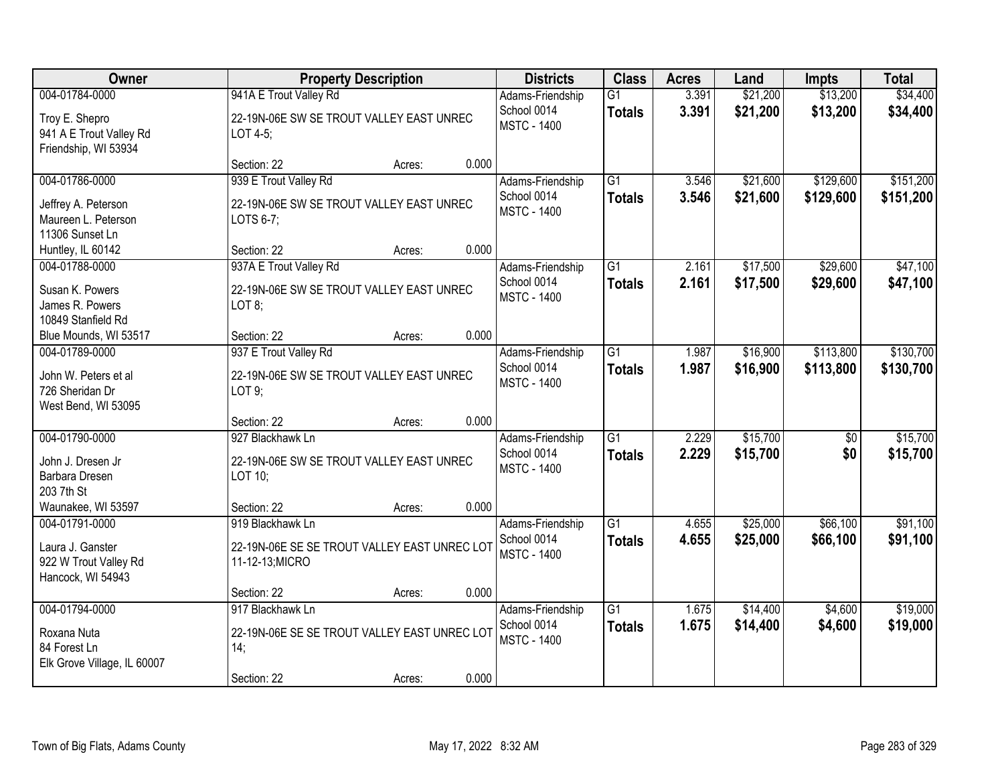| Owner                                                                               |                                                                                        | <b>Property Description</b> |       | <b>Districts</b>                                      | <b>Class</b>                     | <b>Acres</b>   | Land                 | <b>Impts</b>           | <b>Total</b>           |
|-------------------------------------------------------------------------------------|----------------------------------------------------------------------------------------|-----------------------------|-------|-------------------------------------------------------|----------------------------------|----------------|----------------------|------------------------|------------------------|
| 004-01784-0000<br>Troy E. Shepro<br>941 A E Trout Valley Rd<br>Friendship, WI 53934 | 941A E Trout Valley Rd<br>22-19N-06E SW SE TROUT VALLEY EAST UNREC<br>LOT 4-5;         |                             |       | Adams-Friendship<br>School 0014<br><b>MSTC - 1400</b> | G1<br><b>Totals</b>              | 3.391<br>3.391 | \$21,200<br>\$21,200 | \$13,200<br>\$13,200   | \$34,400<br>\$34,400   |
|                                                                                     | Section: 22                                                                            | Acres:                      | 0.000 |                                                       |                                  |                |                      |                        |                        |
| 004-01786-0000<br>Jeffrey A. Peterson<br>Maureen L. Peterson<br>11306 Sunset Ln     | 939 E Trout Valley Rd<br>22-19N-06E SW SE TROUT VALLEY EAST UNREC<br>LOTS 6-7;         |                             |       | Adams-Friendship<br>School 0014<br><b>MSTC - 1400</b> | $\overline{G1}$<br><b>Totals</b> | 3.546<br>3.546 | \$21,600<br>\$21,600 | \$129,600<br>\$129,600 | \$151,200<br>\$151,200 |
| Huntley, IL 60142                                                                   | Section: 22                                                                            | Acres:                      | 0.000 |                                                       |                                  |                |                      |                        |                        |
| 004-01788-0000<br>Susan K. Powers<br>James R. Powers<br>10849 Stanfield Rd          | 937A E Trout Valley Rd<br>22-19N-06E SW SE TROUT VALLEY EAST UNREC<br>LOT 8;           |                             |       | Adams-Friendship<br>School 0014<br><b>MSTC - 1400</b> | $\overline{G1}$<br><b>Totals</b> | 2.161<br>2.161 | \$17,500<br>\$17,500 | \$29,600<br>\$29,600   | \$47,100<br>\$47,100   |
| Blue Mounds, WI 53517                                                               | Section: 22                                                                            | Acres:                      | 0.000 |                                                       |                                  |                |                      |                        |                        |
| 004-01789-0000<br>John W. Peters et al<br>726 Sheridan Dr<br>West Bend, WI 53095    | 937 E Trout Valley Rd<br>22-19N-06E SW SE TROUT VALLEY EAST UNREC<br>LOT 9;            |                             |       | Adams-Friendship<br>School 0014<br><b>MSTC - 1400</b> | $\overline{G1}$<br><b>Totals</b> | 1.987<br>1.987 | \$16,900<br>\$16,900 | \$113,800<br>\$113,800 | \$130,700<br>\$130,700 |
|                                                                                     | Section: 22                                                                            | Acres:                      | 0.000 |                                                       |                                  |                |                      |                        |                        |
| 004-01790-0000<br>John J. Dresen Jr<br><b>Barbara Dresen</b><br>203 7th St          | 927 Blackhawk Ln<br>22-19N-06E SW SE TROUT VALLEY EAST UNREC<br>LOT 10;                |                             |       | Adams-Friendship<br>School 0014<br><b>MSTC - 1400</b> | $\overline{G1}$<br><b>Totals</b> | 2.229<br>2.229 | \$15,700<br>\$15,700 | $\overline{50}$<br>\$0 | \$15,700<br>\$15,700   |
| Waunakee, WI 53597                                                                  | Section: 22                                                                            | Acres:                      | 0.000 |                                                       |                                  |                |                      |                        |                        |
| 004-01791-0000<br>Laura J. Ganster<br>922 W Trout Valley Rd<br>Hancock, WI 54943    | 919 Blackhawk Ln<br>22-19N-06E SE SE TROUT VALLEY EAST UNREC LOT<br>11-12-13; MICRO    |                             |       | Adams-Friendship<br>School 0014<br><b>MSTC - 1400</b> | $\overline{G1}$<br><b>Totals</b> | 4.655<br>4.655 | \$25,000<br>\$25,000 | \$66,100<br>\$66,100   | \$91,100<br>\$91,100   |
|                                                                                     | Section: 22                                                                            | Acres:                      | 0.000 |                                                       |                                  |                |                      |                        |                        |
| 004-01794-0000<br>Roxana Nuta<br>84 Forest Ln<br>Elk Grove Village, IL 60007        | 917 Blackhawk Ln<br>22-19N-06E SE SE TROUT VALLEY EAST UNREC LOT<br>14;<br>Section: 22 | Acres:                      | 0.000 | Adams-Friendship<br>School 0014<br><b>MSTC - 1400</b> | $\overline{G1}$<br><b>Totals</b> | 1.675<br>1.675 | \$14,400<br>\$14,400 | \$4,600<br>\$4,600     | \$19,000<br>\$19,000   |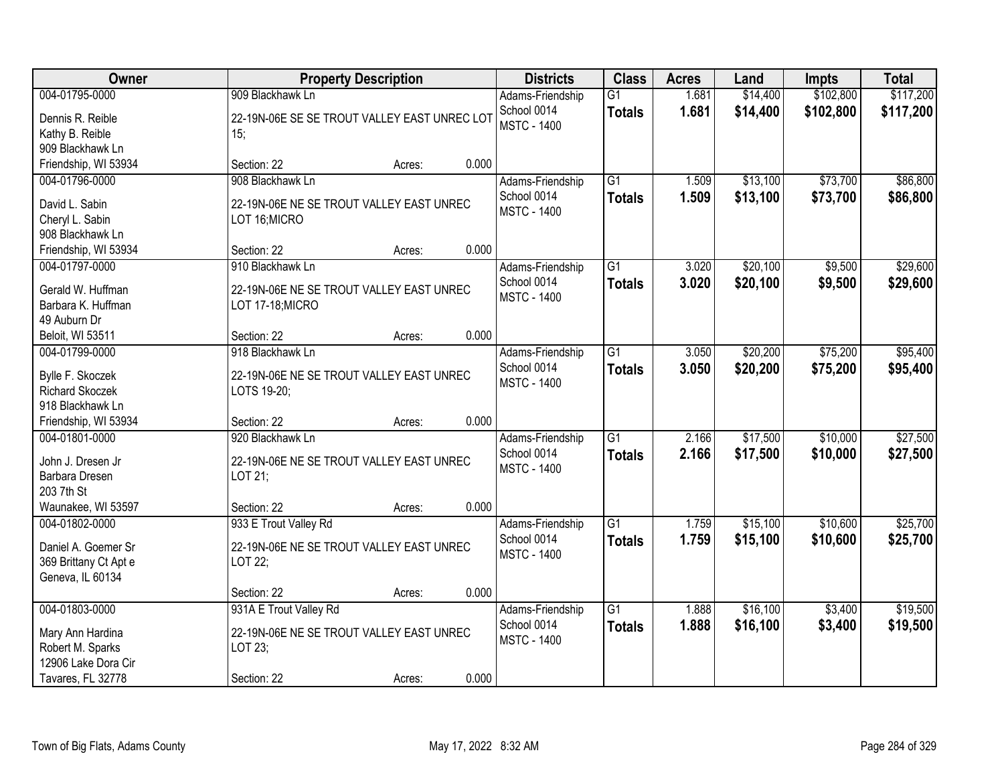| Owner                  | <b>Property Description</b>                  |        |       | <b>Districts</b>   | <b>Class</b>    | <b>Acres</b> | Land     | Impts     | <b>Total</b> |
|------------------------|----------------------------------------------|--------|-------|--------------------|-----------------|--------------|----------|-----------|--------------|
| 004-01795-0000         | 909 Blackhawk Ln                             |        |       | Adams-Friendship   | $\overline{G1}$ | 1.681        | \$14,400 | \$102,800 | \$117,200    |
| Dennis R. Reible       | 22-19N-06E SE SE TROUT VALLEY EAST UNREC LOT |        |       | School 0014        | <b>Totals</b>   | 1.681        | \$14,400 | \$102,800 | \$117,200    |
| Kathy B. Reible        | 15;                                          |        |       | <b>MSTC - 1400</b> |                 |              |          |           |              |
| 909 Blackhawk Ln       |                                              |        |       |                    |                 |              |          |           |              |
| Friendship, WI 53934   | Section: 22                                  | Acres: | 0.000 |                    |                 |              |          |           |              |
| 004-01796-0000         | 908 Blackhawk Ln                             |        |       | Adams-Friendship   | $\overline{G1}$ | 1.509        | \$13,100 | \$73,700  | \$86,800     |
| David L. Sabin         | 22-19N-06E NE SE TROUT VALLEY EAST UNREC     |        |       | School 0014        | <b>Totals</b>   | 1.509        | \$13,100 | \$73,700  | \$86,800     |
| Cheryl L. Sabin        | LOT 16; MICRO                                |        |       | <b>MSTC - 1400</b> |                 |              |          |           |              |
| 908 Blackhawk Ln       |                                              |        |       |                    |                 |              |          |           |              |
| Friendship, WI 53934   | Section: 22                                  | Acres: | 0.000 |                    |                 |              |          |           |              |
| 004-01797-0000         | 910 Blackhawk Ln                             |        |       | Adams-Friendship   | $\overline{G1}$ | 3.020        | \$20,100 | \$9,500   | \$29,600     |
|                        |                                              |        |       | School 0014        |                 | 3.020        | \$20,100 | \$9,500   | \$29,600     |
| Gerald W. Huffman      | 22-19N-06E NE SE TROUT VALLEY EAST UNREC     |        |       | <b>MSTC - 1400</b> | <b>Totals</b>   |              |          |           |              |
| Barbara K. Huffman     | LOT 17-18; MICRO                             |        |       |                    |                 |              |          |           |              |
| 49 Auburn Dr           |                                              |        |       |                    |                 |              |          |           |              |
| Beloit, WI 53511       | Section: 22                                  | Acres: | 0.000 |                    |                 |              |          |           |              |
| 004-01799-0000         | 918 Blackhawk Ln                             |        |       | Adams-Friendship   | $\overline{G1}$ | 3.050        | \$20,200 | \$75,200  | \$95,400     |
| Bylle F. Skoczek       | 22-19N-06E NE SE TROUT VALLEY EAST UNREC     |        |       | School 0014        | <b>Totals</b>   | 3.050        | \$20,200 | \$75,200  | \$95,400     |
| <b>Richard Skoczek</b> | LOTS 19-20;                                  |        |       | <b>MSTC - 1400</b> |                 |              |          |           |              |
| 918 Blackhawk Ln       |                                              |        |       |                    |                 |              |          |           |              |
| Friendship, WI 53934   | Section: 22                                  | Acres: | 0.000 |                    |                 |              |          |           |              |
| 004-01801-0000         | 920 Blackhawk Ln                             |        |       | Adams-Friendship   | $\overline{G1}$ | 2.166        | \$17,500 | \$10,000  | \$27,500     |
|                        |                                              |        |       | School 0014        | <b>Totals</b>   | 2.166        | \$17,500 | \$10,000  | \$27,500     |
| John J. Dresen Jr      | 22-19N-06E NE SE TROUT VALLEY EAST UNREC     |        |       | <b>MSTC - 1400</b> |                 |              |          |           |              |
| Barbara Dresen         | LOT 21;                                      |        |       |                    |                 |              |          |           |              |
| 203 7th St             |                                              |        |       |                    |                 |              |          |           |              |
| Waunakee, WI 53597     | Section: 22                                  | Acres: | 0.000 |                    |                 |              |          |           |              |
| 004-01802-0000         | 933 E Trout Valley Rd                        |        |       | Adams-Friendship   | $\overline{G1}$ | 1.759        | \$15,100 | \$10,600  | \$25,700     |
| Daniel A. Goemer Sr    | 22-19N-06E NE SE TROUT VALLEY EAST UNREC     |        |       | School 0014        | <b>Totals</b>   | 1.759        | \$15,100 | \$10,600  | \$25,700     |
| 369 Brittany Ct Apt e  | LOT 22;                                      |        |       | <b>MSTC - 1400</b> |                 |              |          |           |              |
| Geneva, IL 60134       |                                              |        |       |                    |                 |              |          |           |              |
|                        | Section: 22                                  | Acres: | 0.000 |                    |                 |              |          |           |              |
| 004-01803-0000         | 931A E Trout Valley Rd                       |        |       | Adams-Friendship   | $\overline{G1}$ | 1.888        | \$16,100 | \$3,400   | \$19,500     |
|                        |                                              |        |       | School 0014        | <b>Totals</b>   | 1.888        | \$16,100 | \$3,400   | \$19,500     |
| Mary Ann Hardina       | 22-19N-06E NE SE TROUT VALLEY EAST UNREC     |        |       | <b>MSTC - 1400</b> |                 |              |          |           |              |
| Robert M. Sparks       | LOT 23;                                      |        |       |                    |                 |              |          |           |              |
| 12906 Lake Dora Cir    |                                              |        |       |                    |                 |              |          |           |              |
| Tavares, FL 32778      | Section: 22                                  | Acres: | 0.000 |                    |                 |              |          |           |              |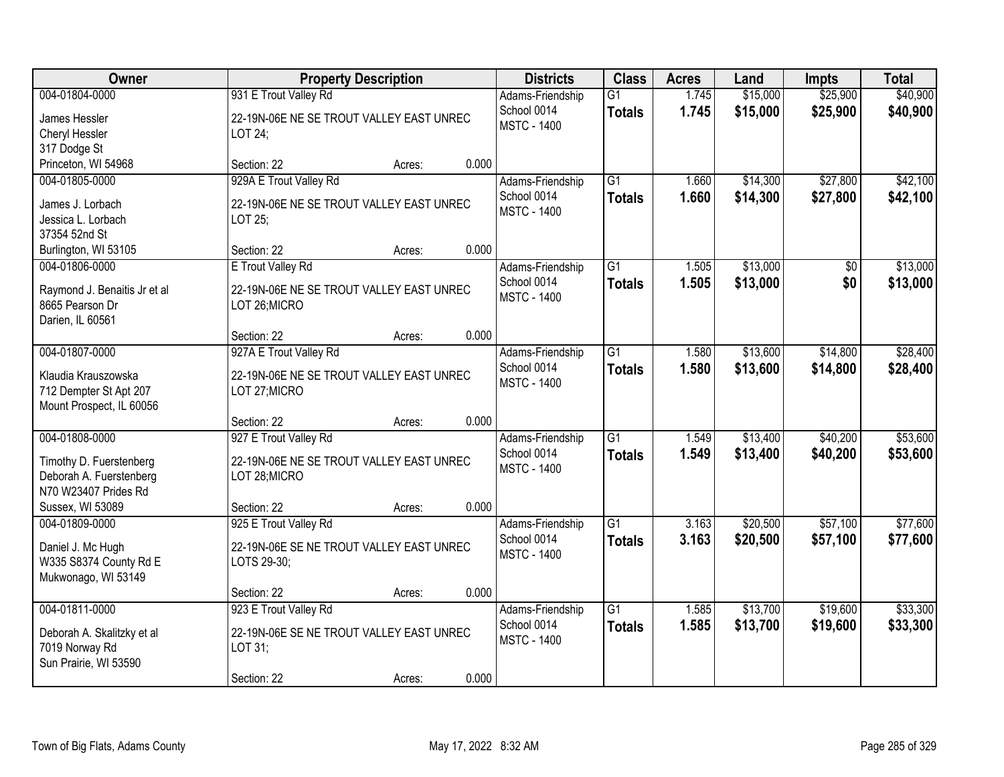| Owner                                                                                                            |                                                                                                   | <b>Property Description</b> |       | <b>Districts</b>                                      | <b>Class</b>                     | <b>Acres</b>   | Land                 | Impts                | <b>Total</b>         |
|------------------------------------------------------------------------------------------------------------------|---------------------------------------------------------------------------------------------------|-----------------------------|-------|-------------------------------------------------------|----------------------------------|----------------|----------------------|----------------------|----------------------|
| 004-01804-0000<br>James Hessler<br>Cheryl Hessler<br>317 Dodge St                                                | 931 E Trout Valley Rd<br>22-19N-06E NE SE TROUT VALLEY EAST UNREC<br>LOT 24;                      |                             |       | Adams-Friendship<br>School 0014<br><b>MSTC - 1400</b> | $\overline{G1}$<br><b>Totals</b> | 1.745<br>1.745 | \$15,000<br>\$15,000 | \$25,900<br>\$25,900 | \$40,900<br>\$40,900 |
| Princeton, WI 54968                                                                                              | Section: 22                                                                                       | Acres:                      | 0.000 |                                                       |                                  |                |                      |                      |                      |
| 004-01805-0000<br>James J. Lorbach<br>Jessica L. Lorbach<br>37354 52nd St                                        | 929A E Trout Valley Rd<br>22-19N-06E NE SE TROUT VALLEY EAST UNREC<br>LOT 25;                     |                             |       | Adams-Friendship<br>School 0014<br><b>MSTC - 1400</b> | $\overline{G1}$<br><b>Totals</b> | 1.660<br>1.660 | \$14,300<br>\$14,300 | \$27,800<br>\$27,800 | \$42,100<br>\$42,100 |
| Burlington, WI 53105<br>004-01806-0000                                                                           | Section: 22<br>E Trout Valley Rd                                                                  | Acres:                      | 0.000 | Adams-Friendship                                      | G1                               | 1.505          | \$13,000             | \$0                  | \$13,000             |
| Raymond J. Benaitis Jr et al<br>8665 Pearson Dr<br>Darien, IL 60561                                              | 22-19N-06E NE SE TROUT VALLEY EAST UNREC<br>LOT 26; MICRO                                         |                             |       | School 0014<br><b>MSTC - 1400</b>                     | <b>Totals</b>                    | 1.505          | \$13,000             | \$0                  | \$13,000             |
|                                                                                                                  | Section: 22                                                                                       | Acres:                      | 0.000 |                                                       |                                  |                |                      |                      |                      |
| 004-01807-0000<br>Klaudia Krauszowska<br>712 Dempter St Apt 207<br>Mount Prospect, IL 60056                      | 927A E Trout Valley Rd<br>22-19N-06E NE SE TROUT VALLEY EAST UNREC<br>LOT 27; MICRO               |                             |       | Adams-Friendship<br>School 0014<br><b>MSTC - 1400</b> | $\overline{G1}$<br><b>Totals</b> | 1.580<br>1.580 | \$13,600<br>\$13,600 | \$14,800<br>\$14,800 | \$28,400<br>\$28,400 |
|                                                                                                                  | Section: 22                                                                                       | Acres:                      | 0.000 |                                                       |                                  |                |                      |                      |                      |
| 004-01808-0000<br>Timothy D. Fuerstenberg<br>Deborah A. Fuerstenberg<br>N70 W23407 Prides Rd<br>Sussex, WI 53089 | 927 E Trout Valley Rd<br>22-19N-06E NE SE TROUT VALLEY EAST UNREC<br>LOT 28; MICRO<br>Section: 22 | Acres:                      | 0.000 | Adams-Friendship<br>School 0014<br><b>MSTC - 1400</b> | $\overline{G1}$<br><b>Totals</b> | 1.549<br>1.549 | \$13,400<br>\$13,400 | \$40,200<br>\$40,200 | \$53,600<br>\$53,600 |
| 004-01809-0000                                                                                                   | 925 E Trout Valley Rd                                                                             |                             |       | Adams-Friendship                                      | $\overline{G1}$                  | 3.163          | \$20,500             | \$57,100             | \$77,600             |
| Daniel J. Mc Hugh<br>W335 S8374 County Rd E<br>Mukwonago, WI 53149                                               | 22-19N-06E SE NE TROUT VALLEY EAST UNREC<br>LOTS 29-30;                                           |                             |       | School 0014<br><b>MSTC - 1400</b>                     | <b>Totals</b>                    | 3.163          | \$20,500             | \$57,100             | \$77,600             |
|                                                                                                                  | Section: 22                                                                                       | Acres:                      | 0.000 |                                                       |                                  |                |                      |                      |                      |
| 004-01811-0000<br>Deborah A. Skalitzky et al<br>7019 Norway Rd<br>Sun Prairie, WI 53590                          | 923 E Trout Valley Rd<br>22-19N-06E SE NE TROUT VALLEY EAST UNREC<br>LOT 31;<br>Section: 22       | Acres:                      | 0.000 | Adams-Friendship<br>School 0014<br><b>MSTC - 1400</b> | $\overline{G1}$<br><b>Totals</b> | 1.585<br>1.585 | \$13,700<br>\$13,700 | \$19,600<br>\$19,600 | \$33,300<br>\$33,300 |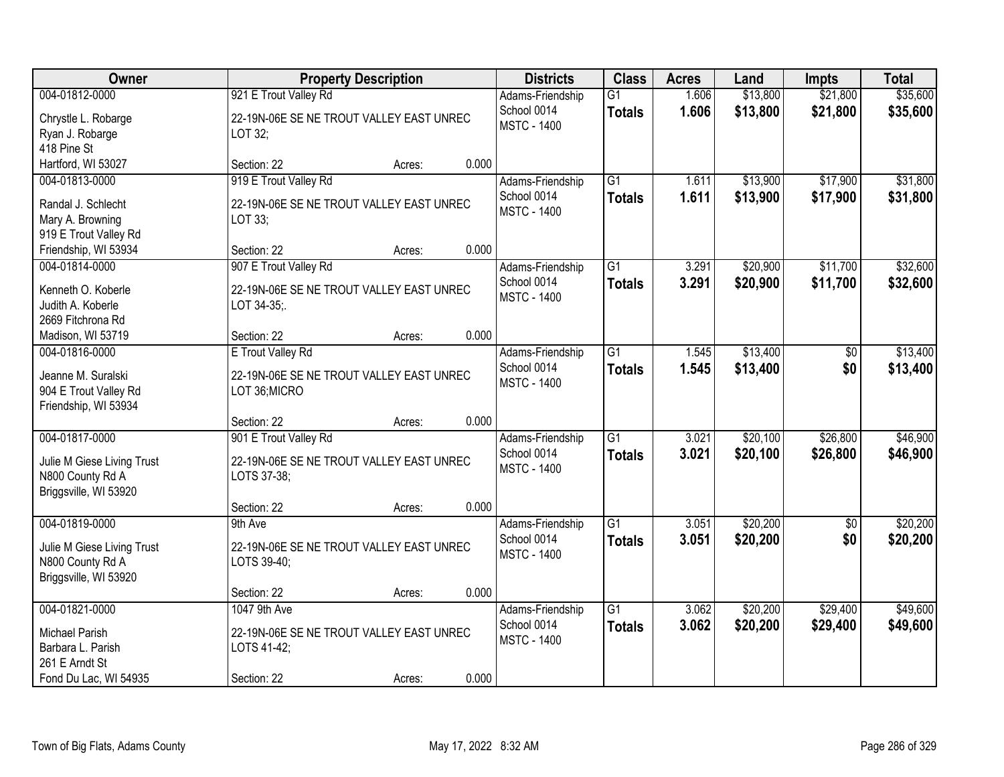| Owner                                         |                                          | <b>Property Description</b> |       | <b>Districts</b>                  | <b>Class</b>    | <b>Acres</b> | Land     | <b>Impts</b>    | <b>Total</b> |
|-----------------------------------------------|------------------------------------------|-----------------------------|-------|-----------------------------------|-----------------|--------------|----------|-----------------|--------------|
| 004-01812-0000                                | 921 E Trout Valley Rd                    |                             |       | Adams-Friendship                  | $\overline{G1}$ | 1.606        | \$13,800 | \$21,800        | \$35,600     |
| Chrystle L. Robarge                           | 22-19N-06E SE NE TROUT VALLEY EAST UNREC |                             |       | School 0014<br><b>MSTC - 1400</b> | <b>Totals</b>   | 1.606        | \$13,800 | \$21,800        | \$35,600     |
| Ryan J. Robarge                               | LOT 32;                                  |                             |       |                                   |                 |              |          |                 |              |
| 418 Pine St                                   |                                          |                             |       |                                   |                 |              |          |                 |              |
| Hartford, WI 53027                            | Section: 22                              | Acres:                      | 0.000 |                                   |                 |              |          |                 |              |
| 004-01813-0000                                | 919 E Trout Valley Rd                    |                             |       | Adams-Friendship                  | $\overline{G1}$ | 1.611        | \$13,900 | \$17,900        | \$31,800     |
| Randal J. Schlecht                            | 22-19N-06E SE NE TROUT VALLEY EAST UNREC |                             |       | School 0014<br><b>MSTC - 1400</b> | <b>Totals</b>   | 1.611        | \$13,900 | \$17,900        | \$31,800     |
| Mary A. Browning                              | LOT 33;                                  |                             |       |                                   |                 |              |          |                 |              |
| 919 E Trout Valley Rd                         |                                          |                             |       |                                   |                 |              |          |                 |              |
| Friendship, WI 53934                          | Section: 22                              | Acres:                      | 0.000 |                                   |                 |              |          |                 |              |
| 004-01814-0000                                | 907 E Trout Valley Rd                    |                             |       | Adams-Friendship                  | $\overline{G1}$ | 3.291        | \$20,900 | \$11,700        | \$32,600     |
| Kenneth O. Koberle                            | 22-19N-06E SE NE TROUT VALLEY EAST UNREC |                             |       | School 0014                       | <b>Totals</b>   | 3.291        | \$20,900 | \$11,700        | \$32,600     |
| Judith A. Koberle                             | LOT 34-35;                               |                             |       | <b>MSTC - 1400</b>                |                 |              |          |                 |              |
| 2669 Fitchrona Rd                             |                                          |                             |       |                                   |                 |              |          |                 |              |
| Madison, WI 53719                             | Section: 22                              | Acres:                      | 0.000 |                                   |                 |              |          |                 |              |
| 004-01816-0000                                | E Trout Valley Rd                        |                             |       | Adams-Friendship                  | G1              | 1.545        | \$13,400 | \$0             | \$13,400     |
|                                               |                                          |                             |       | School 0014                       | <b>Totals</b>   | 1.545        | \$13,400 | \$0             | \$13,400     |
| Jeanne M. Suralski                            | 22-19N-06E SE NE TROUT VALLEY EAST UNREC |                             |       | <b>MSTC - 1400</b>                |                 |              |          |                 |              |
| 904 E Trout Valley Rd<br>Friendship, WI 53934 | LOT 36; MICRO                            |                             |       |                                   |                 |              |          |                 |              |
|                                               | Section: 22                              | Acres:                      | 0.000 |                                   |                 |              |          |                 |              |
| 004-01817-0000                                | 901 E Trout Valley Rd                    |                             |       | Adams-Friendship                  | $\overline{G1}$ | 3.021        | \$20,100 | \$26,800        | \$46,900     |
|                                               |                                          |                             |       | School 0014                       | <b>Totals</b>   | 3.021        | \$20,100 | \$26,800        | \$46,900     |
| Julie M Giese Living Trust                    | 22-19N-06E SE NE TROUT VALLEY EAST UNREC |                             |       | <b>MSTC - 1400</b>                |                 |              |          |                 |              |
| N800 County Rd A                              | LOTS 37-38;                              |                             |       |                                   |                 |              |          |                 |              |
| Briggsville, WI 53920                         |                                          |                             |       |                                   |                 |              |          |                 |              |
|                                               | Section: 22                              | Acres:                      | 0.000 |                                   |                 |              |          |                 |              |
| 004-01819-0000                                | 9th Ave                                  |                             |       | Adams-Friendship                  | $\overline{G1}$ | 3.051        | \$20,200 | $\overline{50}$ | \$20,200     |
| Julie M Giese Living Trust                    | 22-19N-06E SE NE TROUT VALLEY EAST UNREC |                             |       | School 0014                       | <b>Totals</b>   | 3.051        | \$20,200 | \$0             | \$20,200     |
| N800 County Rd A                              | LOTS 39-40;                              |                             |       | <b>MSTC - 1400</b>                |                 |              |          |                 |              |
| Briggsville, WI 53920                         |                                          |                             |       |                                   |                 |              |          |                 |              |
|                                               | Section: 22                              | Acres:                      | 0.000 |                                   |                 |              |          |                 |              |
| 004-01821-0000                                | 1047 9th Ave                             |                             |       | Adams-Friendship                  | $\overline{G1}$ | 3.062        | \$20,200 | \$29,400        | \$49,600     |
| Michael Parish                                | 22-19N-06E SE NE TROUT VALLEY EAST UNREC |                             |       | School 0014                       | <b>Totals</b>   | 3.062        | \$20,200 | \$29,400        | \$49,600     |
| Barbara L. Parish                             | LOTS 41-42;                              |                             |       | <b>MSTC - 1400</b>                |                 |              |          |                 |              |
| 261 E Arndt St                                |                                          |                             |       |                                   |                 |              |          |                 |              |
| Fond Du Lac, WI 54935                         | Section: 22                              | Acres:                      | 0.000 |                                   |                 |              |          |                 |              |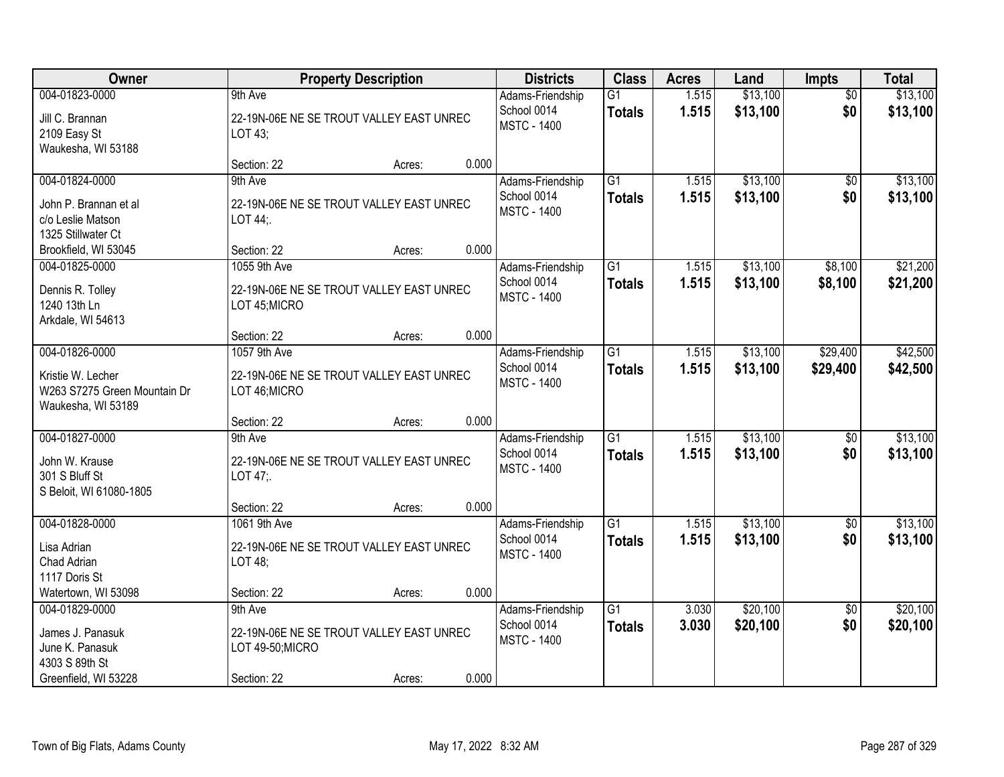| Owner                                                                                           |                                                                                       | <b>Property Description</b> |       | <b>Districts</b>                                      | <b>Class</b>                     | <b>Acres</b>   | Land                 | <b>Impts</b>           | <b>Total</b>         |
|-------------------------------------------------------------------------------------------------|---------------------------------------------------------------------------------------|-----------------------------|-------|-------------------------------------------------------|----------------------------------|----------------|----------------------|------------------------|----------------------|
| 004-01823-0000<br>Jill C. Brannan<br>2109 Easy St<br>Waukesha, WI 53188                         | 9th Ave<br>22-19N-06E NE SE TROUT VALLEY EAST UNREC<br>LOT 43;                        |                             |       | Adams-Friendship<br>School 0014<br><b>MSTC - 1400</b> | $\overline{G1}$<br><b>Totals</b> | 1.515<br>1.515 | \$13,100<br>\$13,100 | $\overline{50}$<br>\$0 | \$13,100<br>\$13,100 |
|                                                                                                 | Section: 22                                                                           | Acres:                      | 0.000 |                                                       |                                  |                |                      |                        |                      |
| 004-01824-0000<br>John P. Brannan et al<br>c/o Leslie Matson<br>1325 Stillwater Ct              | 9th Ave<br>22-19N-06E NE SE TROUT VALLEY EAST UNREC<br>LOT 44:                        |                             |       | Adams-Friendship<br>School 0014<br><b>MSTC - 1400</b> | $\overline{G1}$<br><b>Totals</b> | 1.515<br>1.515 | \$13,100<br>\$13,100 | \$0<br>\$0             | \$13,100<br>\$13,100 |
| Brookfield, WI 53045                                                                            | Section: 22                                                                           | Acres:                      | 0.000 |                                                       |                                  |                |                      |                        |                      |
| 004-01825-0000<br>Dennis R. Tolley<br>1240 13th Ln<br>Arkdale, WI 54613                         | 1055 9th Ave<br>22-19N-06E NE SE TROUT VALLEY EAST UNREC<br>LOT 45; MICRO             |                             |       | Adams-Friendship<br>School 0014<br><b>MSTC - 1400</b> | G1<br><b>Totals</b>              | 1.515<br>1.515 | \$13,100<br>\$13,100 | \$8,100<br>\$8,100     | \$21,200<br>\$21,200 |
|                                                                                                 | Section: 22                                                                           | Acres:                      | 0.000 |                                                       |                                  |                |                      |                        |                      |
| 004-01826-0000<br>Kristie W. Lecher<br>W263 S7275 Green Mountain Dr<br>Waukesha, WI 53189       | 1057 9th Ave<br>22-19N-06E NE SE TROUT VALLEY EAST UNREC<br>LOT 46; MICRO             |                             |       | Adams-Friendship<br>School 0014<br><b>MSTC - 1400</b> | $\overline{G1}$<br><b>Totals</b> | 1.515<br>1.515 | \$13,100<br>\$13,100 | \$29,400<br>\$29,400   | \$42,500<br>\$42,500 |
|                                                                                                 | Section: 22                                                                           | Acres:                      | 0.000 |                                                       |                                  |                |                      |                        |                      |
| 004-01827-0000<br>John W. Krause<br>301 S Bluff St<br>S Beloit, WI 61080-1805                   | 9th Ave<br>22-19N-06E NE SE TROUT VALLEY EAST UNREC<br>LOT 47;                        |                             |       | Adams-Friendship<br>School 0014<br><b>MSTC - 1400</b> | $\overline{G1}$<br><b>Totals</b> | 1.515<br>1.515 | \$13,100<br>\$13,100 | $\overline{50}$<br>\$0 | \$13,100<br>\$13,100 |
|                                                                                                 | Section: 22                                                                           | Acres:                      | 0.000 |                                                       |                                  |                |                      |                        |                      |
| 004-01828-0000<br>Lisa Adrian<br>Chad Adrian<br>1117 Doris St                                   | 1061 9th Ave<br>22-19N-06E NE SE TROUT VALLEY EAST UNREC<br>LOT 48;                   |                             |       | Adams-Friendship<br>School 0014<br><b>MSTC - 1400</b> | $\overline{G1}$<br><b>Totals</b> | 1.515<br>1.515 | \$13,100<br>\$13,100 | $\overline{60}$<br>\$0 | \$13,100<br>\$13,100 |
| Watertown, WI 53098                                                                             | Section: 22                                                                           | Acres:                      | 0.000 |                                                       |                                  |                |                      |                        |                      |
| 004-01829-0000<br>James J. Panasuk<br>June K. Panasuk<br>4303 S 89th St<br>Greenfield, WI 53228 | 9th Ave<br>22-19N-06E NE SE TROUT VALLEY EAST UNREC<br>LOT 49-50;MICRO<br>Section: 22 | Acres:                      | 0.000 | Adams-Friendship<br>School 0014<br><b>MSTC - 1400</b> | $\overline{G1}$<br><b>Totals</b> | 3.030<br>3.030 | \$20,100<br>\$20,100 | $\overline{50}$<br>\$0 | \$20,100<br>\$20,100 |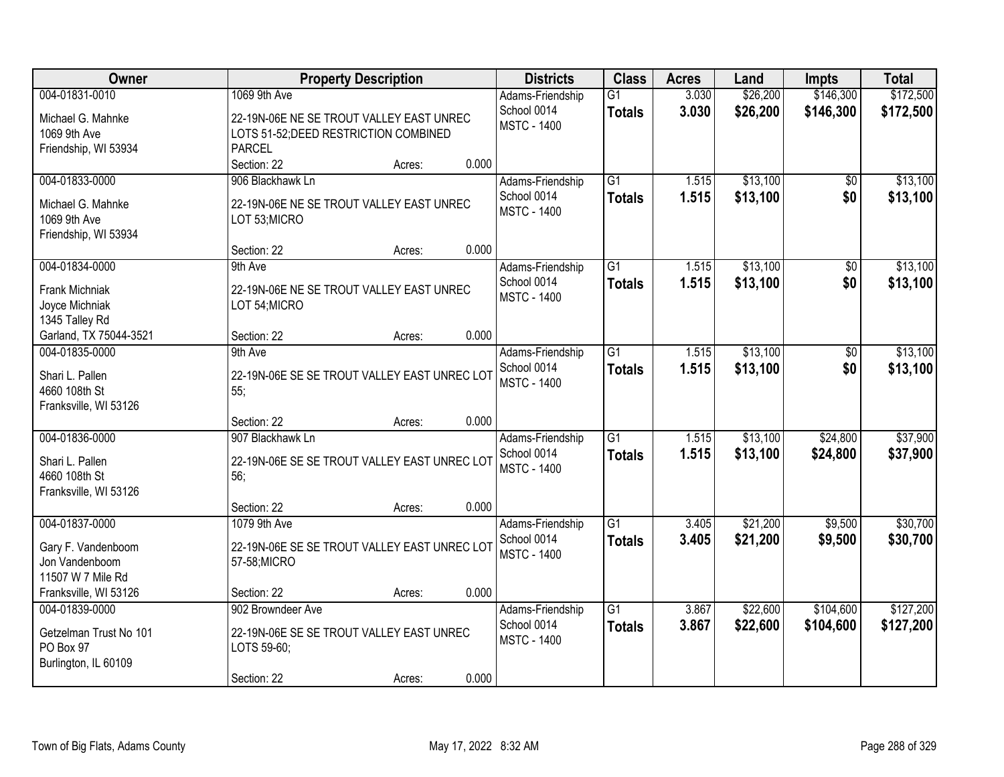| Owner                                                                                                |                                                                                                                    | <b>Property Description</b> |                | <b>Districts</b>                                      | <b>Class</b>                     | <b>Acres</b>   | Land                 | Impts                  | <b>Total</b>           |
|------------------------------------------------------------------------------------------------------|--------------------------------------------------------------------------------------------------------------------|-----------------------------|----------------|-------------------------------------------------------|----------------------------------|----------------|----------------------|------------------------|------------------------|
| 004-01831-0010<br>Michael G. Mahnke<br>1069 9th Ave<br>Friendship, WI 53934                          | 1069 9th Ave<br>22-19N-06E NE SE TROUT VALLEY EAST UNREC<br>LOTS 51-52; DEED RESTRICTION COMBINED<br><b>PARCEL</b> |                             |                | Adams-Friendship<br>School 0014<br><b>MSTC - 1400</b> | $\overline{G1}$<br><b>Totals</b> | 3.030<br>3.030 | \$26,200<br>\$26,200 | \$146,300<br>\$146,300 | \$172,500<br>\$172,500 |
| 004-01833-0000<br>Michael G. Mahnke<br>1069 9th Ave<br>Friendship, WI 53934                          | Section: 22<br>906 Blackhawk Ln<br>22-19N-06E NE SE TROUT VALLEY EAST UNREC<br>LOT 53;MICRO                        | Acres:                      | 0.000          | Adams-Friendship<br>School 0014<br><b>MSTC - 1400</b> | $\overline{G1}$<br><b>Totals</b> | 1.515<br>1.515 | \$13,100<br>\$13,100 | \$0<br>\$0             | \$13,100<br>\$13,100   |
| 004-01834-0000<br>Frank Michniak<br>Joyce Michniak<br>1345 Talley Rd<br>Garland, TX 75044-3521       | Section: 22<br>9th Ave<br>22-19N-06E NE SE TROUT VALLEY EAST UNREC<br>LOT 54; MICRO<br>Section: 22                 | Acres:<br>Acres:            | 0.000<br>0.000 | Adams-Friendship<br>School 0014<br><b>MSTC - 1400</b> | $\overline{G1}$<br><b>Totals</b> | 1.515<br>1.515 | \$13,100<br>\$13,100 | $\overline{50}$<br>\$0 | \$13,100<br>\$13,100   |
| 004-01835-0000<br>Shari L. Pallen<br>4660 108th St<br>Franksville, WI 53126                          | 9th Ave<br>22-19N-06E SE SE TROUT VALLEY EAST UNREC LOT<br>55;                                                     |                             |                | Adams-Friendship<br>School 0014<br><b>MSTC - 1400</b> | $\overline{G1}$<br><b>Totals</b> | 1.515<br>1.515 | \$13,100<br>\$13,100 | \$0<br>\$0             | \$13,100<br>\$13,100   |
| 004-01836-0000<br>Shari L. Pallen<br>4660 108th St<br>Franksville, WI 53126                          | Section: 22<br>907 Blackhawk Ln<br>22-19N-06E SE SE TROUT VALLEY EAST UNREC LOT<br>56;<br>Section: 22              | Acres:<br>Acres:            | 0.000<br>0.000 | Adams-Friendship<br>School 0014<br><b>MSTC - 1400</b> | $\overline{G1}$<br><b>Totals</b> | 1.515<br>1.515 | \$13,100<br>\$13,100 | \$24,800<br>\$24,800   | \$37,900<br>\$37,900   |
| 004-01837-0000<br>Gary F. Vandenboom<br>Jon Vandenboom<br>11507 W 7 Mile Rd<br>Franksville, WI 53126 | 1079 9th Ave<br>22-19N-06E SE SE TROUT VALLEY EAST UNREC LOT<br>57-58; MICRO<br>Section: 22                        | Acres:                      | 0.000          | Adams-Friendship<br>School 0014<br><b>MSTC - 1400</b> | G1<br><b>Totals</b>              | 3.405<br>3.405 | \$21,200<br>\$21,200 | \$9,500<br>\$9,500     | \$30,700<br>\$30,700   |
| 004-01839-0000<br>Getzelman Trust No 101<br>PO Box 97<br>Burlington, IL 60109                        | 902 Browndeer Ave<br>22-19N-06E SE SE TROUT VALLEY EAST UNREC<br>LOTS 59-60;<br>Section: 22                        | Acres:                      | 0.000          | Adams-Friendship<br>School 0014<br><b>MSTC - 1400</b> | $\overline{G1}$<br><b>Totals</b> | 3.867<br>3.867 | \$22,600<br>\$22,600 | \$104,600<br>\$104,600 | \$127,200<br>\$127,200 |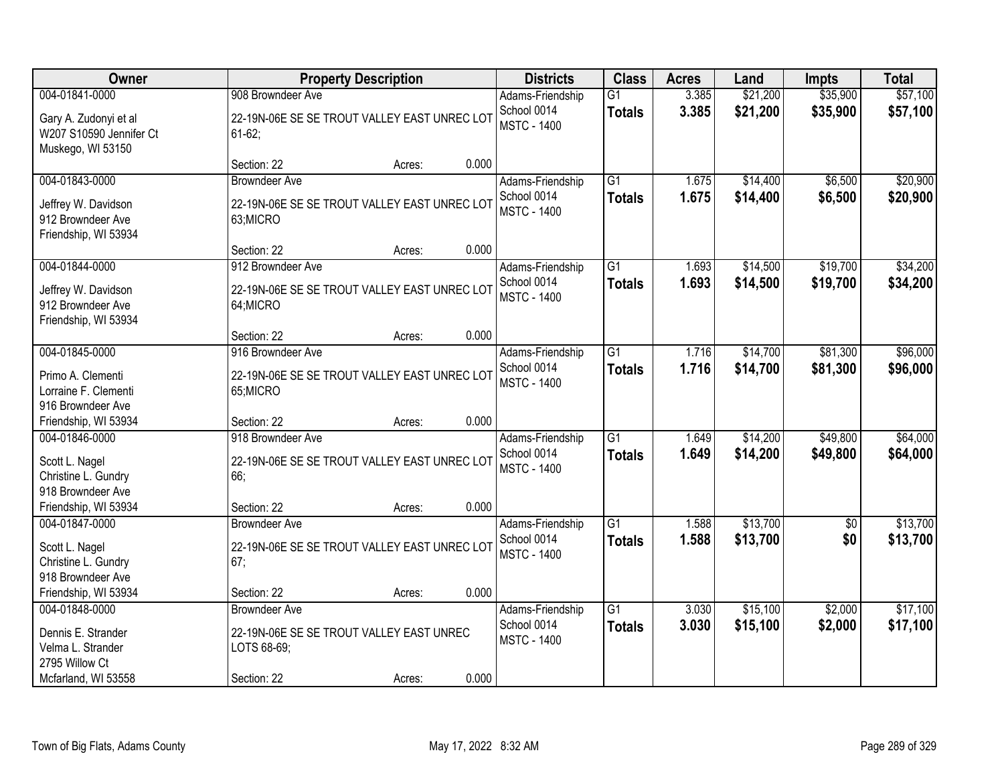| Owner                                                                                                |                                                                                                | <b>Property Description</b> |       | <b>Districts</b>                                      | <b>Class</b>                     | <b>Acres</b>   | Land                 | <b>Impts</b>         | <b>Total</b>         |
|------------------------------------------------------------------------------------------------------|------------------------------------------------------------------------------------------------|-----------------------------|-------|-------------------------------------------------------|----------------------------------|----------------|----------------------|----------------------|----------------------|
| 004-01841-0000                                                                                       | 908 Browndeer Ave                                                                              |                             |       | Adams-Friendship                                      | $\overline{G1}$                  | 3.385          | \$21,200             | \$35,900             | \$57,100             |
| Gary A. Zudonyi et al<br>W207 S10590 Jennifer Ct<br>Muskego, WI 53150                                | 22-19N-06E SE SE TROUT VALLEY EAST UNREC LOT<br>$61-62;$                                       |                             |       | School 0014<br><b>MSTC - 1400</b>                     | <b>Totals</b>                    | 3.385          | \$21,200             | \$35,900             | \$57,100             |
|                                                                                                      | Section: 22                                                                                    | Acres:                      | 0.000 |                                                       |                                  |                |                      |                      |                      |
| 004-01843-0000<br>Jeffrey W. Davidson<br>912 Browndeer Ave<br>Friendship, WI 53934                   | <b>Browndeer Ave</b><br>22-19N-06E SE SE TROUT VALLEY EAST UNREC LOT<br>63;MICRO               |                             |       | Adams-Friendship<br>School 0014<br><b>MSTC - 1400</b> | $\overline{G1}$<br><b>Totals</b> | 1.675<br>1.675 | \$14,400<br>\$14,400 | \$6,500<br>\$6,500   | \$20,900<br>\$20,900 |
|                                                                                                      | Section: 22                                                                                    | Acres:                      | 0.000 |                                                       |                                  |                |                      |                      |                      |
| 004-01844-0000<br>Jeffrey W. Davidson<br>912 Browndeer Ave<br>Friendship, WI 53934                   | 912 Browndeer Ave<br>22-19N-06E SE SE TROUT VALLEY EAST UNREC LOT<br>64;MICRO                  |                             |       | Adams-Friendship<br>School 0014<br><b>MSTC - 1400</b> | G1<br><b>Totals</b>              | 1.693<br>1.693 | \$14,500<br>\$14,500 | \$19,700<br>\$19,700 | \$34,200<br>\$34,200 |
|                                                                                                      | Section: 22                                                                                    | Acres:                      | 0.000 |                                                       |                                  |                |                      |                      |                      |
| 004-01845-0000<br>Primo A. Clementi<br>Lorraine F. Clementi<br>916 Browndeer Ave                     | 916 Browndeer Ave<br>22-19N-06E SE SE TROUT VALLEY EAST UNREC LOT<br>65;MICRO                  |                             |       | Adams-Friendship<br>School 0014<br><b>MSTC - 1400</b> | $\overline{G1}$<br><b>Totals</b> | 1.716<br>1.716 | \$14,700<br>\$14,700 | \$81,300<br>\$81,300 | \$96,000<br>\$96,000 |
| Friendship, WI 53934                                                                                 | Section: 22                                                                                    | Acres:                      | 0.000 |                                                       |                                  |                |                      |                      |                      |
| 004-01846-0000<br>Scott L. Nagel<br>Christine L. Gundry<br>918 Browndeer Ave<br>Friendship, WI 53934 | 918 Browndeer Ave<br>22-19N-06E SE SE TROUT VALLEY EAST UNREC LOT<br>66;<br>Section: 22        | Acres:                      | 0.000 | Adams-Friendship<br>School 0014<br><b>MSTC - 1400</b> | $\overline{G1}$<br><b>Totals</b> | 1.649<br>1.649 | \$14,200<br>\$14,200 | \$49,800<br>\$49,800 | \$64,000<br>\$64,000 |
| 004-01847-0000                                                                                       | <b>Browndeer Ave</b>                                                                           |                             |       | Adams-Friendship                                      | $\overline{G1}$                  | 1.588          | \$13,700             | $\overline{60}$      | \$13,700             |
| Scott L. Nagel<br>Christine L. Gundry<br>918 Browndeer Ave                                           | 22-19N-06E SE SE TROUT VALLEY EAST UNREC LOT<br>67;                                            |                             |       | School 0014<br><b>MSTC - 1400</b>                     | <b>Totals</b>                    | 1.588          | \$13,700             | \$0                  | \$13,700             |
| Friendship, WI 53934                                                                                 | Section: 22                                                                                    | Acres:                      | 0.000 |                                                       |                                  |                |                      |                      |                      |
| 004-01848-0000<br>Dennis E. Strander<br>Velma L. Strander<br>2795 Willow Ct<br>Mcfarland, WI 53558   | <b>Browndeer Ave</b><br>22-19N-06E SE SE TROUT VALLEY EAST UNREC<br>LOTS 68-69;<br>Section: 22 | Acres:                      | 0.000 | Adams-Friendship<br>School 0014<br><b>MSTC - 1400</b> | G1<br><b>Totals</b>              | 3.030<br>3.030 | \$15,100<br>\$15,100 | \$2,000<br>\$2,000   | \$17,100<br>\$17,100 |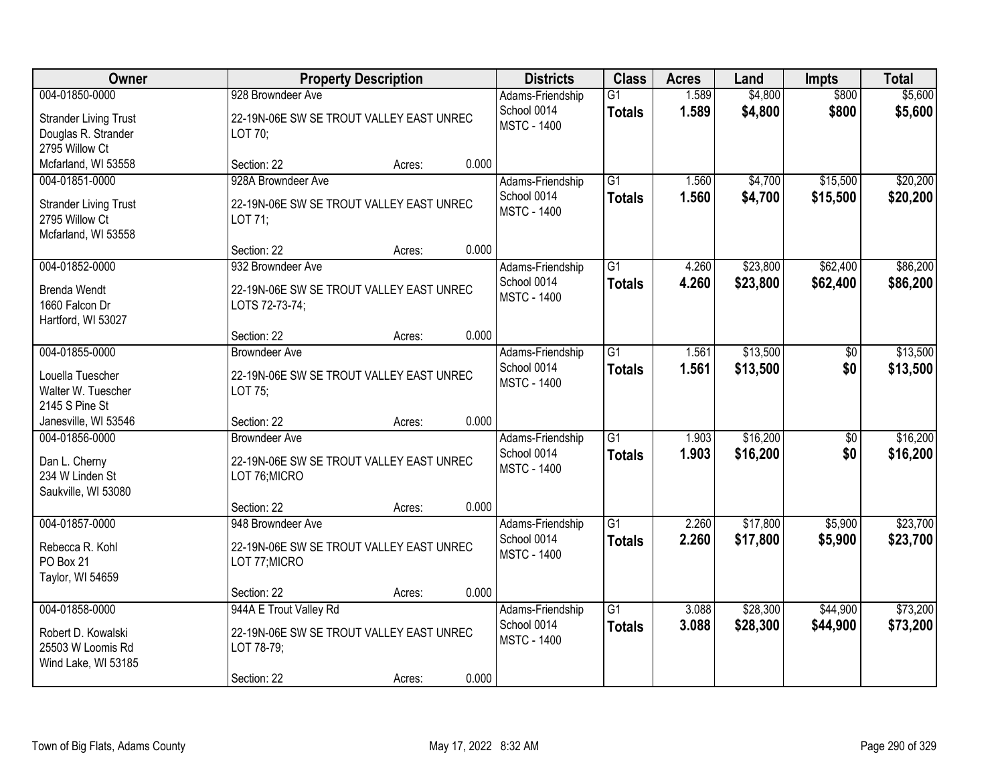| Owner                                                                                   | <b>Property Description</b>                                                                                        | <b>Districts</b>                                      | <b>Class</b>                     | <b>Acres</b>   | Land                 | <b>Impts</b>           | <b>Total</b>         |
|-----------------------------------------------------------------------------------------|--------------------------------------------------------------------------------------------------------------------|-------------------------------------------------------|----------------------------------|----------------|----------------------|------------------------|----------------------|
| 004-01850-0000                                                                          | 928 Browndeer Ave                                                                                                  | Adams-Friendship                                      | $\overline{G1}$                  | 1.589          | \$4,800              | \$800                  | \$5,600              |
| <b>Strander Living Trust</b><br>Douglas R. Strander<br>2795 Willow Ct                   | 22-19N-06E SW SE TROUT VALLEY EAST UNREC<br>LOT 70;                                                                | School 0014<br><b>MSTC - 1400</b>                     | <b>Totals</b>                    | 1.589          | \$4,800              | \$800                  | \$5,600              |
| Mcfarland, WI 53558                                                                     | 0.000<br>Section: 22<br>Acres:                                                                                     |                                                       |                                  |                |                      |                        |                      |
| 004-01851-0000<br><b>Strander Living Trust</b><br>2795 Willow Ct<br>Mcfarland, WI 53558 | 928A Browndeer Ave<br>22-19N-06E SW SE TROUT VALLEY EAST UNREC<br>LOT 71;                                          | Adams-Friendship<br>School 0014<br><b>MSTC - 1400</b> | $\overline{G1}$<br><b>Totals</b> | 1.560<br>1.560 | \$4,700<br>\$4,700   | \$15,500<br>\$15,500   | \$20,200<br>\$20,200 |
| 004-01852-0000                                                                          | 0.000<br>Section: 22<br>Acres:<br>932 Browndeer Ave                                                                | Adams-Friendship                                      | G1                               | 4.260          | \$23,800             | \$62,400               | \$86,200             |
| <b>Brenda Wendt</b><br>1660 Falcon Dr<br>Hartford, WI 53027                             | 22-19N-06E SW SE TROUT VALLEY EAST UNREC<br>LOTS 72-73-74;                                                         | School 0014<br><b>MSTC - 1400</b>                     | <b>Totals</b>                    | 4.260          | \$23,800             | \$62,400               | \$86,200             |
|                                                                                         | 0.000<br>Section: 22<br>Acres:                                                                                     |                                                       |                                  |                |                      |                        |                      |
| 004-01855-0000<br>Louella Tuescher<br>Walter W. Tuescher<br>2145 S Pine St              | <b>Browndeer Ave</b><br>22-19N-06E SW SE TROUT VALLEY EAST UNREC<br>LOT 75;                                        | Adams-Friendship<br>School 0014<br><b>MSTC - 1400</b> | G1<br><b>Totals</b>              | 1.561<br>1.561 | \$13,500<br>\$13,500 | \$0<br>\$0             | \$13,500<br>\$13,500 |
| Janesville, WI 53546                                                                    | 0.000<br>Section: 22<br>Acres:                                                                                     |                                                       |                                  |                |                      |                        |                      |
| 004-01856-0000<br>Dan L. Cherny<br>234 W Linden St<br>Saukville, WI 53080               | <b>Browndeer Ave</b><br>22-19N-06E SW SE TROUT VALLEY EAST UNREC<br>LOT 76; MICRO                                  | Adams-Friendship<br>School 0014<br><b>MSTC - 1400</b> | $\overline{G1}$<br><b>Totals</b> | 1.903<br>1.903 | \$16,200<br>\$16,200 | $\overline{50}$<br>\$0 | \$16,200<br>\$16,200 |
|                                                                                         | 0.000<br>Section: 22<br>Acres:                                                                                     |                                                       |                                  |                |                      |                        |                      |
| 004-01857-0000<br>Rebecca R. Kohl<br>PO Box 21<br>Taylor, WI 54659                      | 948 Browndeer Ave<br>22-19N-06E SW SE TROUT VALLEY EAST UNREC<br>LOT 77; MICRO                                     | Adams-Friendship<br>School 0014<br><b>MSTC - 1400</b> | $\overline{G1}$<br><b>Totals</b> | 2.260<br>2.260 | \$17,800<br>\$17,800 | \$5,900<br>\$5,900     | \$23,700<br>\$23,700 |
|                                                                                         | 0.000<br>Section: 22<br>Acres:                                                                                     |                                                       |                                  |                |                      |                        |                      |
| 004-01858-0000<br>Robert D. Kowalski<br>25503 W Loomis Rd<br>Wind Lake, WI 53185        | 944A E Trout Valley Rd<br>22-19N-06E SW SE TROUT VALLEY EAST UNREC<br>LOT 78-79;<br>0.000<br>Section: 22<br>Acres: | Adams-Friendship<br>School 0014<br><b>MSTC - 1400</b> | $\overline{G1}$<br><b>Totals</b> | 3.088<br>3.088 | \$28,300<br>\$28,300 | \$44,900<br>\$44,900   | \$73,200<br>\$73,200 |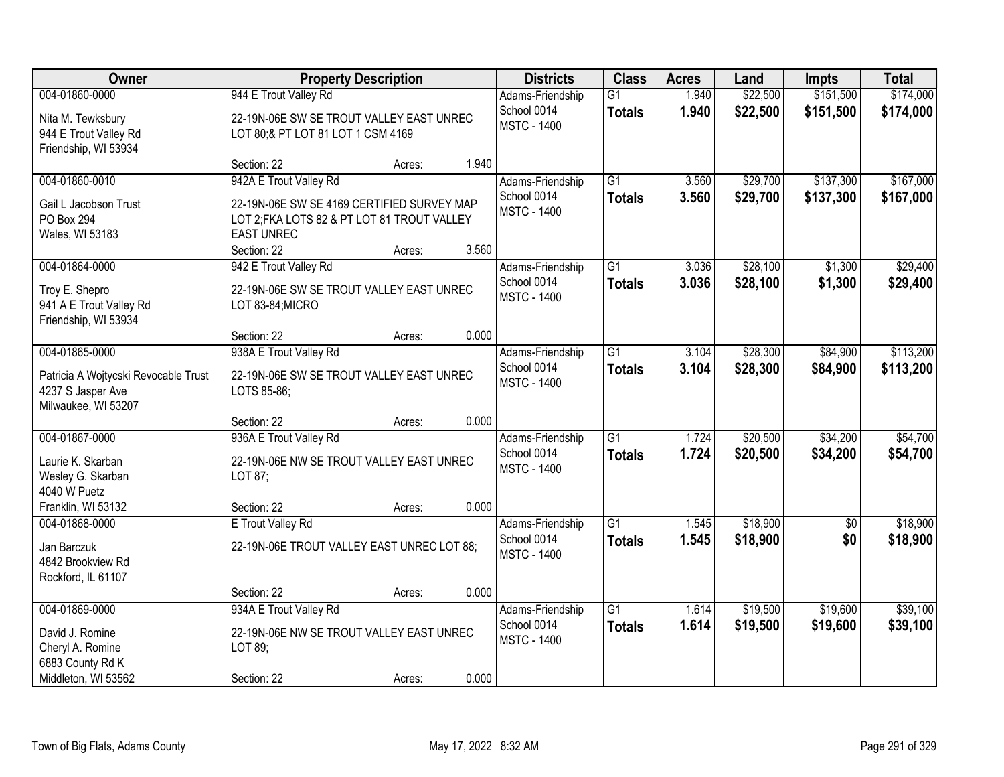| Owner                                                                                              |                                                                                                                                                         | <b>Property Description</b> |       | <b>Districts</b>                                      | <b>Class</b>                     | <b>Acres</b>   | Land                 | Impts                  | <b>Total</b>           |
|----------------------------------------------------------------------------------------------------|---------------------------------------------------------------------------------------------------------------------------------------------------------|-----------------------------|-------|-------------------------------------------------------|----------------------------------|----------------|----------------------|------------------------|------------------------|
| 004-01860-0000<br>Nita M. Tewksbury<br>944 E Trout Valley Rd<br>Friendship, WI 53934               | 944 E Trout Valley Rd<br>22-19N-06E SW SE TROUT VALLEY EAST UNREC<br>LOT 80;& PT LOT 81 LOT 1 CSM 4169                                                  |                             |       | Adams-Friendship<br>School 0014<br><b>MSTC - 1400</b> | $\overline{G1}$<br><b>Totals</b> | 1.940<br>1.940 | \$22,500<br>\$22,500 | \$151,500<br>\$151,500 | \$174,000<br>\$174,000 |
|                                                                                                    | Section: 22                                                                                                                                             | Acres:                      | 1.940 |                                                       |                                  |                |                      |                        |                        |
| 004-01860-0010<br>Gail L Jacobson Trust<br><b>PO Box 294</b><br>Wales, WI 53183                    | 942A E Trout Valley Rd<br>22-19N-06E SW SE 4169 CERTIFIED SURVEY MAP<br>LOT 2; FKA LOTS 82 & PT LOT 81 TROUT VALLEY<br><b>EAST UNREC</b><br>Section: 22 | Acres:                      | 3.560 | Adams-Friendship<br>School 0014<br><b>MSTC - 1400</b> | $\overline{G1}$<br><b>Totals</b> | 3.560<br>3.560 | \$29,700<br>\$29,700 | \$137,300<br>\$137,300 | \$167,000<br>\$167,000 |
| 004-01864-0000                                                                                     | 942 E Trout Valley Rd                                                                                                                                   |                             |       | Adams-Friendship                                      | G1                               | 3.036          | \$28,100             | \$1,300                | \$29,400               |
| Troy E. Shepro<br>941 A E Trout Valley Rd<br>Friendship, WI 53934                                  | 22-19N-06E SW SE TROUT VALLEY EAST UNREC<br>LOT 83-84;MICRO                                                                                             |                             |       | School 0014<br><b>MSTC - 1400</b>                     | <b>Totals</b>                    | 3.036          | \$28,100             | \$1,300                | \$29,400               |
|                                                                                                    | Section: 22                                                                                                                                             | Acres:                      | 0.000 |                                                       |                                  |                |                      |                        |                        |
| 004-01865-0000<br>Patricia A Wojtycski Revocable Trust<br>4237 S Jasper Ave<br>Milwaukee, WI 53207 | 938A E Trout Valley Rd<br>22-19N-06E SW SE TROUT VALLEY EAST UNREC<br>LOTS 85-86;                                                                       |                             |       | Adams-Friendship<br>School 0014<br><b>MSTC - 1400</b> | G1<br><b>Totals</b>              | 3.104<br>3.104 | \$28,300<br>\$28,300 | \$84,900<br>\$84,900   | \$113,200<br>\$113,200 |
|                                                                                                    | Section: 22                                                                                                                                             | Acres:                      | 0.000 |                                                       |                                  |                |                      |                        |                        |
| 004-01867-0000<br>Laurie K. Skarban<br>Wesley G. Skarban<br>4040 W Puetz                           | 936A E Trout Valley Rd<br>22-19N-06E NW SE TROUT VALLEY EAST UNREC<br>LOT 87:                                                                           |                             |       | Adams-Friendship<br>School 0014<br><b>MSTC - 1400</b> | $\overline{G1}$<br><b>Totals</b> | 1.724<br>1.724 | \$20,500<br>\$20,500 | \$34,200<br>\$34,200   | \$54,700<br>\$54,700   |
| Franklin, WI 53132<br>004-01868-0000                                                               | Section: 22<br>E Trout Valley Rd                                                                                                                        | Acres:                      | 0.000 | Adams-Friendship                                      | $\overline{G1}$                  | 1.545          | \$18,900             | $\overline{50}$        | \$18,900               |
| Jan Barczuk<br>4842 Brookview Rd<br>Rockford, IL 61107                                             | 22-19N-06E TROUT VALLEY EAST UNREC LOT 88;                                                                                                              |                             |       | School 0014<br><b>MSTC - 1400</b>                     | <b>Totals</b>                    | 1.545          | \$18,900             | \$0                    | \$18,900               |
|                                                                                                    | Section: 22                                                                                                                                             | Acres:                      | 0.000 |                                                       |                                  |                |                      |                        |                        |
| 004-01869-0000<br>David J. Romine<br>Cheryl A. Romine<br>6883 County Rd K<br>Middleton, WI 53562   | 934A E Trout Valley Rd<br>22-19N-06E NW SE TROUT VALLEY EAST UNREC<br>LOT 89;<br>Section: 22                                                            | Acres:                      | 0.000 | Adams-Friendship<br>School 0014<br><b>MSTC - 1400</b> | $\overline{G1}$<br><b>Totals</b> | 1.614<br>1.614 | \$19,500<br>\$19,500 | \$19,600<br>\$19,600   | \$39,100<br>\$39,100   |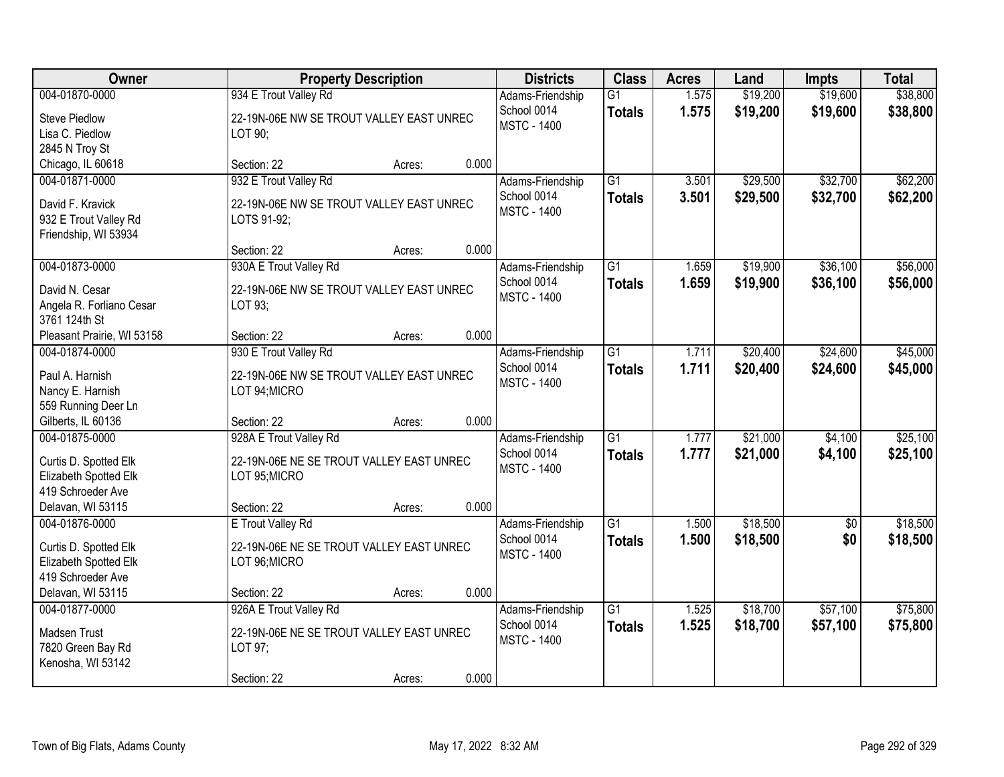| Owner                                                                                                      | <b>Property Description</b>                                                                        |        |       | <b>Districts</b>                                      | <b>Class</b>                     | <b>Acres</b>   | Land                 | <b>Impts</b>         | <b>Total</b>         |
|------------------------------------------------------------------------------------------------------------|----------------------------------------------------------------------------------------------------|--------|-------|-------------------------------------------------------|----------------------------------|----------------|----------------------|----------------------|----------------------|
| 004-01870-0000<br><b>Steve Piedlow</b><br>Lisa C. Piedlow                                                  | 934 E Trout Valley Rd<br>22-19N-06E NW SE TROUT VALLEY EAST UNREC<br>LOT 90;                       |        |       | Adams-Friendship<br>School 0014<br><b>MSTC - 1400</b> | $\overline{G1}$<br><b>Totals</b> | 1.575<br>1.575 | \$19,200<br>\$19,200 | \$19,600<br>\$19,600 | \$38,800<br>\$38,800 |
| 2845 N Troy St<br>Chicago, IL 60618                                                                        | Section: 22                                                                                        | Acres: | 0.000 |                                                       |                                  |                |                      |                      |                      |
| 004-01871-0000<br>David F. Kravick<br>932 E Trout Valley Rd<br>Friendship, WI 53934                        | 932 E Trout Valley Rd<br>22-19N-06E NW SE TROUT VALLEY EAST UNREC<br>LOTS 91-92;                   |        |       | Adams-Friendship<br>School 0014<br><b>MSTC - 1400</b> | $\overline{G1}$<br><b>Totals</b> | 3.501<br>3.501 | \$29,500<br>\$29,500 | \$32,700<br>\$32,700 | \$62,200<br>\$62,200 |
|                                                                                                            | Section: 22                                                                                        | Acres: | 0.000 |                                                       |                                  |                |                      |                      |                      |
| 004-01873-0000<br>David N. Cesar<br>Angela R. Forliano Cesar<br>3761 124th St                              | 930A E Trout Valley Rd<br>22-19N-06E NW SE TROUT VALLEY EAST UNREC<br>LOT 93;                      |        |       | Adams-Friendship<br>School 0014<br><b>MSTC - 1400</b> | G1<br><b>Totals</b>              | 1.659<br>1.659 | \$19,900<br>\$19,900 | \$36,100<br>\$36,100 | \$56,000<br>\$56,000 |
| Pleasant Prairie, WI 53158                                                                                 | Section: 22                                                                                        | Acres: | 0.000 |                                                       |                                  |                |                      |                      |                      |
| 004-01874-0000<br>Paul A. Harnish<br>Nancy E. Harnish<br>559 Running Deer Ln                               | 930 E Trout Valley Rd<br>22-19N-06E NW SE TROUT VALLEY EAST UNREC<br>LOT 94; MICRO                 |        |       | Adams-Friendship<br>School 0014<br><b>MSTC - 1400</b> | $\overline{G1}$<br><b>Totals</b> | 1.711<br>1.711 | \$20,400<br>\$20,400 | \$24,600<br>\$24,600 | \$45,000<br>\$45,000 |
| Gilberts, IL 60136                                                                                         | Section: 22                                                                                        | Acres: | 0.000 |                                                       |                                  |                |                      |                      |                      |
| 004-01875-0000<br>Curtis D. Spotted Elk<br>Elizabeth Spotted Elk<br>419 Schroeder Ave<br>Delavan, WI 53115 | 928A E Trout Valley Rd<br>22-19N-06E NE SE TROUT VALLEY EAST UNREC<br>LOT 95; MICRO<br>Section: 22 | Acres: | 0.000 | Adams-Friendship<br>School 0014<br><b>MSTC - 1400</b> | $\overline{G1}$<br><b>Totals</b> | 1.777<br>1.777 | \$21,000<br>\$21,000 | \$4,100<br>\$4,100   | \$25,100<br>\$25,100 |
| 004-01876-0000                                                                                             | E Trout Valley Rd                                                                                  |        |       | Adams-Friendship                                      | $\overline{G1}$                  | 1.500          | \$18,500             | $\overline{50}$      | \$18,500             |
| Curtis D. Spotted Elk<br>Elizabeth Spotted Elk<br>419 Schroeder Ave                                        | 22-19N-06E NE SE TROUT VALLEY EAST UNREC<br>LOT 96; MICRO                                          |        |       | School 0014<br><b>MSTC - 1400</b>                     | <b>Totals</b>                    | 1.500          | \$18,500             | \$0                  | \$18,500             |
| Delavan, WI 53115                                                                                          | Section: 22                                                                                        | Acres: | 0.000 |                                                       |                                  |                |                      |                      |                      |
| 004-01877-0000<br>Madsen Trust<br>7820 Green Bay Rd<br>Kenosha, WI 53142                                   | 926A E Trout Valley Rd<br>22-19N-06E NE SE TROUT VALLEY EAST UNREC<br>LOT 97;<br>Section: 22       | Acres: | 0.000 | Adams-Friendship<br>School 0014<br><b>MSTC - 1400</b> | $\overline{G1}$<br><b>Totals</b> | 1.525<br>1.525 | \$18,700<br>\$18,700 | \$57,100<br>\$57,100 | \$75,800<br>\$75,800 |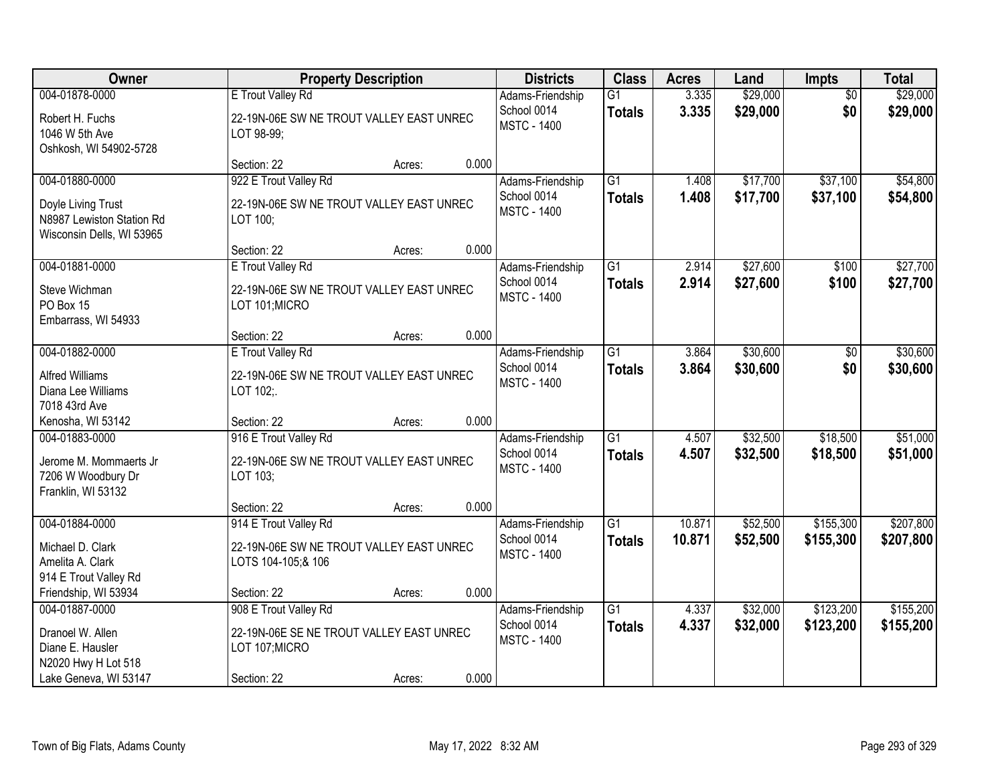| Owner                                                                                                  |                                                                                                    | <b>Property Description</b> |       | <b>Districts</b>                                      | <b>Class</b>                     | <b>Acres</b>     | Land                 | <b>Impts</b>           | <b>Total</b>           |
|--------------------------------------------------------------------------------------------------------|----------------------------------------------------------------------------------------------------|-----------------------------|-------|-------------------------------------------------------|----------------------------------|------------------|----------------------|------------------------|------------------------|
| 004-01878-0000<br>Robert H. Fuchs<br>1046 W 5th Ave<br>Oshkosh, WI 54902-5728                          | E Trout Valley Rd<br>22-19N-06E SW NE TROUT VALLEY EAST UNREC<br>LOT 98-99;                        |                             |       | Adams-Friendship<br>School 0014<br><b>MSTC - 1400</b> | $\overline{G1}$<br><b>Totals</b> | 3.335<br>3.335   | \$29,000<br>\$29,000 | $\overline{50}$<br>\$0 | \$29,000<br>\$29,000   |
|                                                                                                        | Section: 22                                                                                        | Acres:                      | 0.000 |                                                       |                                  |                  |                      |                        |                        |
| 004-01880-0000<br>Doyle Living Trust<br>N8987 Lewiston Station Rd<br>Wisconsin Dells, WI 53965         | 922 E Trout Valley Rd<br>22-19N-06E SW NE TROUT VALLEY EAST UNREC<br>LOT 100:                      |                             |       | Adams-Friendship<br>School 0014<br><b>MSTC - 1400</b> | $\overline{G1}$<br><b>Totals</b> | 1.408<br>1.408   | \$17,700<br>\$17,700 | \$37,100<br>\$37,100   | \$54,800<br>\$54,800   |
|                                                                                                        | Section: 22                                                                                        | Acres:                      | 0.000 |                                                       | $\overline{G1}$                  | 2.914            | \$27,600             |                        | \$27,700               |
| 004-01881-0000<br>Steve Wichman<br>PO Box 15<br>Embarrass, WI 54933                                    | E Trout Valley Rd<br>22-19N-06E SW NE TROUT VALLEY EAST UNREC<br>LOT 101; MICRO                    |                             |       | Adams-Friendship<br>School 0014<br><b>MSTC - 1400</b> | <b>Totals</b>                    | 2.914            | \$27,600             | \$100<br>\$100         | \$27,700               |
|                                                                                                        | Section: 22                                                                                        | Acres:                      | 0.000 |                                                       |                                  |                  |                      |                        |                        |
| 004-01882-0000<br><b>Alfred Williams</b><br>Diana Lee Williams<br>7018 43rd Ave                        | E Trout Valley Rd<br>22-19N-06E SW NE TROUT VALLEY EAST UNREC<br>LOT 102;.                         |                             |       | Adams-Friendship<br>School 0014<br><b>MSTC - 1400</b> | $\overline{G1}$<br><b>Totals</b> | 3.864<br>3.864   | \$30,600<br>\$30,600 | $\sqrt[6]{}$<br>\$0    | \$30,600<br>\$30,600   |
| Kenosha, WI 53142                                                                                      | Section: 22                                                                                        | Acres:                      | 0.000 |                                                       |                                  |                  |                      |                        |                        |
| 004-01883-0000<br>Jerome M. Mommaerts Jr<br>7206 W Woodbury Dr<br>Franklin, WI 53132                   | 916 E Trout Valley Rd<br>22-19N-06E SW NE TROUT VALLEY EAST UNREC<br>LOT 103;                      |                             |       | Adams-Friendship<br>School 0014<br><b>MSTC - 1400</b> | $\overline{G1}$<br><b>Totals</b> | 4.507<br>4.507   | \$32,500<br>\$32,500 | \$18,500<br>\$18,500   | \$51,000<br>\$51,000   |
|                                                                                                        | Section: 22                                                                                        | Acres:                      | 0.000 |                                                       |                                  |                  |                      |                        |                        |
| 004-01884-0000<br>Michael D. Clark<br>Amelita A. Clark<br>914 E Trout Valley Rd                        | 914 E Trout Valley Rd<br>22-19N-06E SW NE TROUT VALLEY EAST UNREC<br>LOTS 104-105;& 106            |                             |       | Adams-Friendship<br>School 0014<br><b>MSTC - 1400</b> | G1<br><b>Totals</b>              | 10.871<br>10.871 | \$52,500<br>\$52,500 | \$155,300<br>\$155,300 | \$207,800<br>\$207,800 |
| Friendship, WI 53934                                                                                   | Section: 22                                                                                        | Acres:                      | 0.000 |                                                       |                                  |                  |                      |                        |                        |
| 004-01887-0000<br>Dranoel W. Allen<br>Diane E. Hausler<br>N2020 Hwy H Lot 518<br>Lake Geneva, WI 53147 | 908 E Trout Valley Rd<br>22-19N-06E SE NE TROUT VALLEY EAST UNREC<br>LOT 107; MICRO<br>Section: 22 | Acres:                      | 0.000 | Adams-Friendship<br>School 0014<br><b>MSTC - 1400</b> | $\overline{G1}$<br><b>Totals</b> | 4.337<br>4.337   | \$32,000<br>\$32,000 | \$123,200<br>\$123,200 | \$155,200<br>\$155,200 |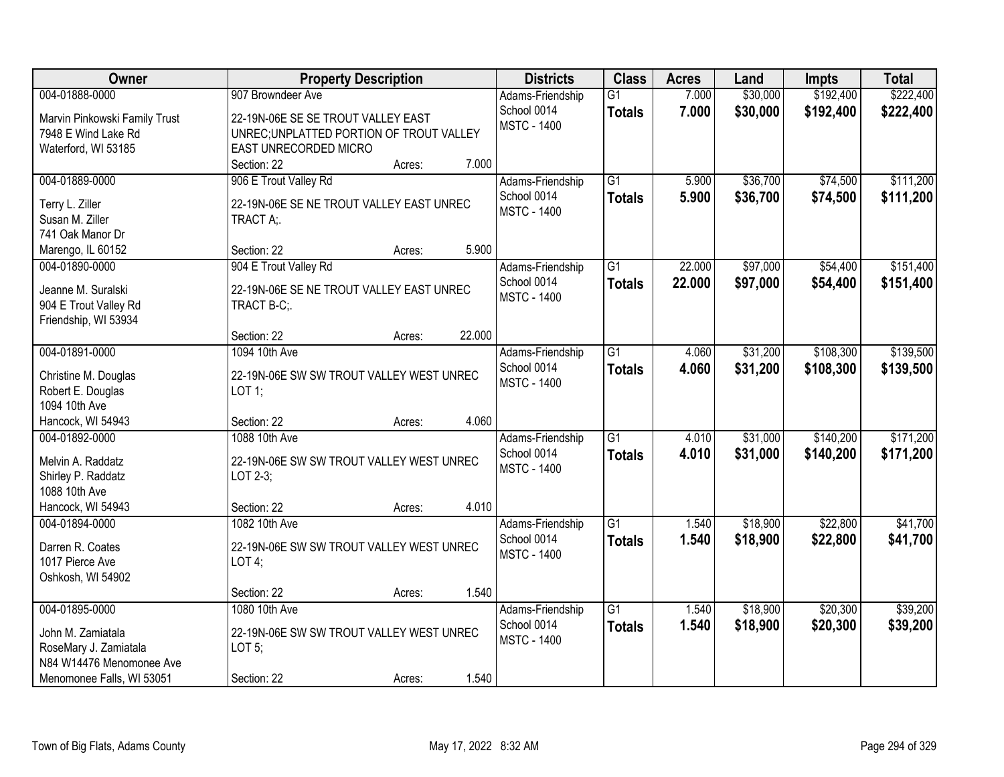| Owner                         | <b>Property Description</b>              | <b>Districts</b>   | <b>Class</b>    | <b>Acres</b> | Land     | <b>Impts</b> | <b>Total</b> |
|-------------------------------|------------------------------------------|--------------------|-----------------|--------------|----------|--------------|--------------|
| 004-01888-0000                | 907 Browndeer Ave                        | Adams-Friendship   | $\overline{G1}$ | 7.000        | \$30,000 | \$192,400    | \$222,400    |
| Marvin Pinkowski Family Trust | 22-19N-06E SE SE TROUT VALLEY EAST       | School 0014        | <b>Totals</b>   | 7.000        | \$30,000 | \$192,400    | \$222,400    |
| 7948 E Wind Lake Rd           | UNREC; UNPLATTED PORTION OF TROUT VALLEY | <b>MSTC - 1400</b> |                 |              |          |              |              |
| Waterford, WI 53185           | EAST UNRECORDED MICRO                    |                    |                 |              |          |              |              |
|                               | 7.000<br>Section: 22<br>Acres:           |                    |                 |              |          |              |              |
| 004-01889-0000                | 906 E Trout Valley Rd                    | Adams-Friendship   | $\overline{G1}$ | 5.900        | \$36,700 | \$74,500     | \$111,200    |
| Terry L. Ziller               | 22-19N-06E SE NE TROUT VALLEY EAST UNREC | School 0014        | <b>Totals</b>   | 5.900        | \$36,700 | \$74,500     | \$111,200    |
| Susan M. Ziller               | TRACT A;                                 | <b>MSTC - 1400</b> |                 |              |          |              |              |
| 741 Oak Manor Dr              |                                          |                    |                 |              |          |              |              |
| Marengo, IL 60152             | 5.900<br>Section: 22<br>Acres:           |                    |                 |              |          |              |              |
| 004-01890-0000                | 904 E Trout Valley Rd                    | Adams-Friendship   | $\overline{G1}$ | 22.000       | \$97,000 | \$54,400     | \$151,400    |
|                               |                                          | School 0014        | <b>Totals</b>   | 22.000       | \$97,000 | \$54,400     | \$151,400    |
| Jeanne M. Suralski            | 22-19N-06E SE NE TROUT VALLEY EAST UNREC | <b>MSTC - 1400</b> |                 |              |          |              |              |
| 904 E Trout Valley Rd         | TRACT B-C;.                              |                    |                 |              |          |              |              |
| Friendship, WI 53934          | 22.000<br>Section: 22<br>Acres:          |                    |                 |              |          |              |              |
| 004-01891-0000                | 1094 10th Ave                            | Adams-Friendship   | G1              | 4.060        | \$31,200 | \$108,300    | \$139,500    |
|                               |                                          | School 0014        | <b>Totals</b>   | 4.060        | \$31,200 | \$108,300    | \$139,500    |
| Christine M. Douglas          | 22-19N-06E SW SW TROUT VALLEY WEST UNREC | <b>MSTC - 1400</b> |                 |              |          |              |              |
| Robert E. Douglas             | LOT 1;                                   |                    |                 |              |          |              |              |
| 1094 10th Ave                 |                                          |                    |                 |              |          |              |              |
| Hancock, WI 54943             | 4.060<br>Section: 22<br>Acres:           |                    |                 |              |          |              |              |
| 004-01892-0000                | 1088 10th Ave                            | Adams-Friendship   | $\overline{G1}$ | 4.010        | \$31,000 | \$140,200    | \$171,200    |
| Melvin A. Raddatz             | 22-19N-06E SW SW TROUT VALLEY WEST UNREC | School 0014        | <b>Totals</b>   | 4.010        | \$31,000 | \$140,200    | \$171,200    |
| Shirley P. Raddatz            | LOT 2-3;                                 | <b>MSTC - 1400</b> |                 |              |          |              |              |
| 1088 10th Ave                 |                                          |                    |                 |              |          |              |              |
| Hancock, WI 54943             | 4.010<br>Section: 22<br>Acres:           |                    |                 |              |          |              |              |
| 004-01894-0000                | 1082 10th Ave                            | Adams-Friendship   | $\overline{G1}$ | 1.540        | \$18,900 | \$22,800     | \$41,700     |
| Darren R. Coates              | 22-19N-06E SW SW TROUT VALLEY WEST UNREC | School 0014        | <b>Totals</b>   | 1.540        | \$18,900 | \$22,800     | \$41,700     |
| 1017 Pierce Ave               | LOT $4$ ;                                | <b>MSTC - 1400</b> |                 |              |          |              |              |
| Oshkosh, WI 54902             |                                          |                    |                 |              |          |              |              |
|                               | 1.540<br>Section: 22<br>Acres:           |                    |                 |              |          |              |              |
| 004-01895-0000                | 1080 10th Ave                            | Adams-Friendship   | $\overline{G1}$ | 1.540        | \$18,900 | \$20,300     | \$39,200     |
| John M. Zamiatala             | 22-19N-06E SW SW TROUT VALLEY WEST UNREC | School 0014        | <b>Totals</b>   | 1.540        | \$18,900 | \$20,300     | \$39,200     |
| RoseMary J. Zamiatala         | LOT $5$ ;                                | <b>MSTC - 1400</b> |                 |              |          |              |              |
| N84 W14476 Menomonee Ave      |                                          |                    |                 |              |          |              |              |
| Menomonee Falls, WI 53051     | 1.540<br>Section: 22<br>Acres:           |                    |                 |              |          |              |              |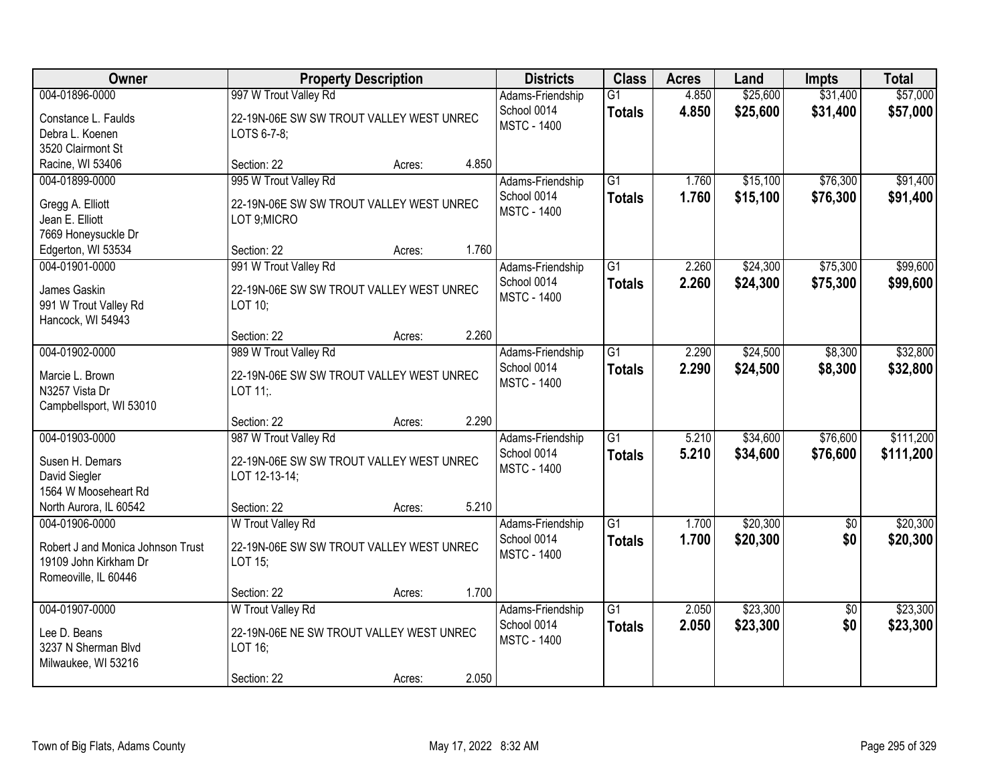| Owner                                                                                              | <b>Property Description</b>                                                                                |       | <b>Districts</b>                                      | <b>Class</b>                     | <b>Acres</b>   | Land                 | <b>Impts</b>           | <b>Total</b>           |
|----------------------------------------------------------------------------------------------------|------------------------------------------------------------------------------------------------------------|-------|-------------------------------------------------------|----------------------------------|----------------|----------------------|------------------------|------------------------|
| 004-01896-0000<br>Constance L. Faulds<br>Debra L. Koenen<br>3520 Clairmont St                      | 997 W Trout Valley Rd<br>22-19N-06E SW SW TROUT VALLEY WEST UNREC<br>LOTS 6-7-8:                           |       | Adams-Friendship<br>School 0014<br><b>MSTC - 1400</b> | $\overline{G1}$<br><b>Totals</b> | 4.850<br>4.850 | \$25,600<br>\$25,600 | \$31,400<br>\$31,400   | \$57,000<br>\$57,000   |
| Racine, WI 53406                                                                                   | Section: 22<br>Acres:                                                                                      | 4.850 |                                                       |                                  |                |                      |                        |                        |
| 004-01899-0000<br>Gregg A. Elliott<br>Jean E. Elliott<br>7669 Honeysuckle Dr<br>Edgerton, WI 53534 | 995 W Trout Valley Rd<br>22-19N-06E SW SW TROUT VALLEY WEST UNREC<br>LOT 9; MICRO<br>Section: 22<br>Acres: | 1.760 | Adams-Friendship<br>School 0014<br><b>MSTC - 1400</b> | $\overline{G1}$<br><b>Totals</b> | 1.760<br>1.760 | \$15,100<br>\$15,100 | \$76,300<br>\$76,300   | \$91,400<br>\$91,400   |
| 004-01901-0000                                                                                     | 991 W Trout Valley Rd                                                                                      |       | Adams-Friendship                                      | G1                               | 2.260          | \$24,300             | \$75,300               | \$99,600               |
| James Gaskin<br>991 W Trout Valley Rd<br>Hancock, WI 54943                                         | 22-19N-06E SW SW TROUT VALLEY WEST UNREC<br>LOT 10;                                                        |       | School 0014<br><b>MSTC - 1400</b>                     | <b>Totals</b>                    | 2.260          | \$24,300             | \$75,300               | \$99,600               |
|                                                                                                    | Section: 22<br>Acres:                                                                                      | 2.260 |                                                       |                                  |                |                      |                        |                        |
| 004-01902-0000<br>Marcie L. Brown<br>N3257 Vista Dr<br>Campbellsport, WI 53010                     | 989 W Trout Valley Rd<br>22-19N-06E SW SW TROUT VALLEY WEST UNREC<br>LOT 11;                               |       | Adams-Friendship<br>School 0014<br><b>MSTC - 1400</b> | G1<br><b>Totals</b>              | 2.290<br>2.290 | \$24,500<br>\$24,500 | \$8,300<br>\$8,300     | \$32,800<br>\$32,800   |
|                                                                                                    | Section: 22<br>Acres:                                                                                      | 2.290 |                                                       |                                  |                |                      |                        |                        |
| 004-01903-0000<br>Susen H. Demars<br>David Siegler<br>1564 W Mooseheart Rd                         | 987 W Trout Valley Rd<br>22-19N-06E SW SW TROUT VALLEY WEST UNREC<br>LOT 12-13-14;                         |       | Adams-Friendship<br>School 0014<br><b>MSTC - 1400</b> | $\overline{G1}$<br><b>Totals</b> | 5.210<br>5.210 | \$34,600<br>\$34,600 | \$76,600<br>\$76,600   | \$111,200<br>\$111,200 |
| North Aurora, IL 60542<br>004-01906-0000                                                           | Section: 22<br>Acres:<br>W Trout Valley Rd                                                                 | 5.210 | Adams-Friendship                                      | $\overline{G1}$                  | 1.700          | \$20,300             | $\overline{50}$        | \$20,300               |
| Robert J and Monica Johnson Trust<br>19109 John Kirkham Dr<br>Romeoville, IL 60446                 | 22-19N-06E SW SW TROUT VALLEY WEST UNREC<br>LOT 15;                                                        |       | School 0014<br><b>MSTC - 1400</b>                     | <b>Totals</b>                    | 1.700          | \$20,300             | \$0                    | \$20,300               |
|                                                                                                    | Section: 22<br>Acres:                                                                                      | 1.700 |                                                       |                                  |                |                      |                        |                        |
| 004-01907-0000<br>Lee D. Beans<br>3237 N Sherman Blvd<br>Milwaukee, WI 53216                       | W Trout Valley Rd<br>22-19N-06E NE SW TROUT VALLEY WEST UNREC<br>LOT 16;<br>Section: 22<br>Acres:          | 2.050 | Adams-Friendship<br>School 0014<br><b>MSTC - 1400</b> | $\overline{G1}$<br><b>Totals</b> | 2.050<br>2.050 | \$23,300<br>\$23,300 | $\overline{50}$<br>\$0 | \$23,300<br>\$23,300   |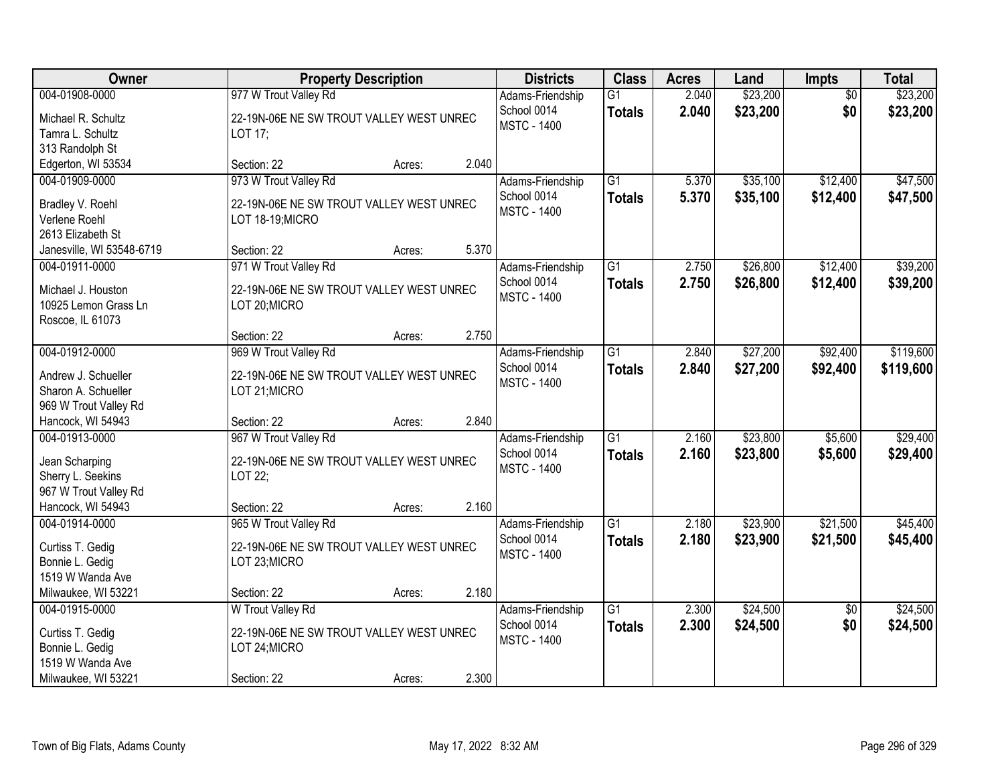| Owner                                  | <b>Property Description</b>                         |        |       | <b>Districts</b>                  | <b>Class</b>    | <b>Acres</b> | Land     | <b>Impts</b>    | <b>Total</b> |
|----------------------------------------|-----------------------------------------------------|--------|-------|-----------------------------------|-----------------|--------------|----------|-----------------|--------------|
| 004-01908-0000                         | 977 W Trout Valley Rd                               |        |       | Adams-Friendship                  | $\overline{G1}$ | 2.040        | \$23,200 | $\overline{50}$ | \$23,200     |
| Michael R. Schultz<br>Tamra L. Schultz | 22-19N-06E NE SW TROUT VALLEY WEST UNREC<br>LOT 17; |        |       | School 0014<br><b>MSTC - 1400</b> | <b>Totals</b>   | 2.040        | \$23,200 | \$0             | \$23,200     |
| 313 Randolph St                        |                                                     |        |       |                                   |                 |              |          |                 |              |
| Edgerton, WI 53534                     | Section: 22                                         | Acres: | 2.040 |                                   |                 |              |          |                 |              |
| 004-01909-0000                         | 973 W Trout Valley Rd                               |        |       | Adams-Friendship                  | $\overline{G1}$ | 5.370        | \$35,100 | \$12,400        | \$47,500     |
|                                        | 22-19N-06E NE SW TROUT VALLEY WEST UNREC            |        |       | School 0014                       | <b>Totals</b>   | 5.370        | \$35,100 | \$12,400        | \$47,500     |
| Bradley V. Roehl<br>Verlene Roehl      | LOT 18-19;MICRO                                     |        |       | <b>MSTC - 1400</b>                |                 |              |          |                 |              |
| 2613 Elizabeth St                      |                                                     |        |       |                                   |                 |              |          |                 |              |
| Janesville, WI 53548-6719              | Section: 22                                         | Acres: | 5.370 |                                   |                 |              |          |                 |              |
| 004-01911-0000                         | 971 W Trout Valley Rd                               |        |       | Adams-Friendship                  | G1              | 2.750        | \$26,800 | \$12,400        | \$39,200     |
| Michael J. Houston                     | 22-19N-06E NE SW TROUT VALLEY WEST UNREC            |        |       | School 0014                       | <b>Totals</b>   | 2.750        | \$26,800 | \$12,400        | \$39,200     |
| 10925 Lemon Grass Ln                   | LOT 20; MICRO                                       |        |       | <b>MSTC - 1400</b>                |                 |              |          |                 |              |
| Roscoe, IL 61073                       |                                                     |        |       |                                   |                 |              |          |                 |              |
|                                        | Section: 22                                         | Acres: | 2.750 |                                   |                 |              |          |                 |              |
| 004-01912-0000                         | 969 W Trout Valley Rd                               |        |       | Adams-Friendship                  | $\overline{G1}$ | 2.840        | \$27,200 | \$92,400        | \$119,600    |
| Andrew J. Schueller                    | 22-19N-06E NE SW TROUT VALLEY WEST UNREC            |        |       | School 0014                       | <b>Totals</b>   | 2.840        | \$27,200 | \$92,400        | \$119,600    |
| Sharon A. Schueller                    | LOT 21; MICRO                                       |        |       | <b>MSTC - 1400</b>                |                 |              |          |                 |              |
| 969 W Trout Valley Rd                  |                                                     |        |       |                                   |                 |              |          |                 |              |
| Hancock, WI 54943                      | Section: 22                                         | Acres: | 2.840 |                                   |                 |              |          |                 |              |
| 004-01913-0000                         | 967 W Trout Valley Rd                               |        |       | Adams-Friendship                  | $\overline{G1}$ | 2.160        | \$23,800 | \$5,600         | \$29,400     |
| Jean Scharping                         | 22-19N-06E NE SW TROUT VALLEY WEST UNREC            |        |       | School 0014                       | <b>Totals</b>   | 2.160        | \$23,800 | \$5,600         | \$29,400     |
| Sherry L. Seekins                      | LOT 22;                                             |        |       | <b>MSTC - 1400</b>                |                 |              |          |                 |              |
| 967 W Trout Valley Rd                  |                                                     |        |       |                                   |                 |              |          |                 |              |
| Hancock, WI 54943                      | Section: 22                                         | Acres: | 2.160 |                                   |                 |              |          |                 |              |
| 004-01914-0000                         | 965 W Trout Valley Rd                               |        |       | Adams-Friendship                  | $\overline{G1}$ | 2.180        | \$23,900 | \$21,500        | \$45,400     |
| Curtiss T. Gedig                       | 22-19N-06E NE SW TROUT VALLEY WEST UNREC            |        |       | School 0014                       | <b>Totals</b>   | 2.180        | \$23,900 | \$21,500        | \$45,400     |
| Bonnie L. Gedig                        | LOT 23; MICRO                                       |        |       | <b>MSTC - 1400</b>                |                 |              |          |                 |              |
| 1519 W Wanda Ave                       |                                                     |        |       |                                   |                 |              |          |                 |              |
| Milwaukee, WI 53221                    | Section: 22                                         | Acres: | 2.180 |                                   |                 |              |          |                 |              |
| 004-01915-0000                         | W Trout Valley Rd                                   |        |       | Adams-Friendship                  | $\overline{G1}$ | 2.300        | \$24,500 | $\overline{30}$ | \$24,500     |
| Curtiss T. Gedig                       | 22-19N-06E NE SW TROUT VALLEY WEST UNREC            |        |       | School 0014                       | <b>Totals</b>   | 2.300        | \$24,500 | \$0             | \$24,500     |
| Bonnie L. Gedig                        | LOT 24; MICRO                                       |        |       | <b>MSTC - 1400</b>                |                 |              |          |                 |              |
| 1519 W Wanda Ave                       |                                                     |        |       |                                   |                 |              |          |                 |              |
| Milwaukee, WI 53221                    | Section: 22                                         | Acres: | 2.300 |                                   |                 |              |          |                 |              |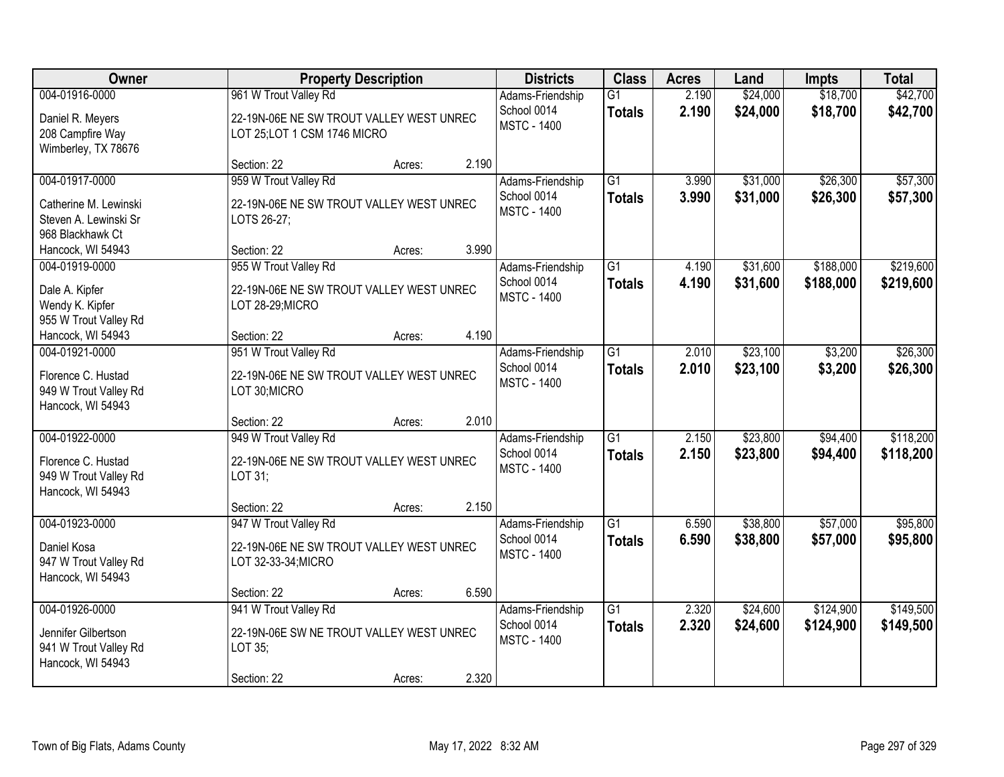| <b>Owner</b>                                                                         |                                                                                                   | <b>Property Description</b> |       | <b>Districts</b>                                      | <b>Class</b>                     | <b>Acres</b>   | Land                 | Impts                  | <b>Total</b>           |
|--------------------------------------------------------------------------------------|---------------------------------------------------------------------------------------------------|-----------------------------|-------|-------------------------------------------------------|----------------------------------|----------------|----------------------|------------------------|------------------------|
| 004-01916-0000<br>Daniel R. Meyers<br>208 Campfire Way<br>Wimberley, TX 78676        | 961 W Trout Valley Rd<br>22-19N-06E NE SW TROUT VALLEY WEST UNREC<br>LOT 25; LOT 1 CSM 1746 MICRO |                             |       | Adams-Friendship<br>School 0014<br><b>MSTC - 1400</b> | $\overline{G1}$<br><b>Totals</b> | 2.190<br>2.190 | \$24,000<br>\$24,000 | \$18,700<br>\$18,700   | \$42,700<br>\$42,700   |
|                                                                                      | Section: 22                                                                                       | Acres:                      | 2.190 |                                                       |                                  |                |                      |                        |                        |
| 004-01917-0000<br>Catherine M. Lewinski<br>Steven A. Lewinski Sr<br>968 Blackhawk Ct | 959 W Trout Valley Rd<br>22-19N-06E NE SW TROUT VALLEY WEST UNREC<br>LOTS 26-27;                  |                             |       | Adams-Friendship<br>School 0014<br><b>MSTC - 1400</b> | $\overline{G1}$<br><b>Totals</b> | 3.990<br>3.990 | \$31,000<br>\$31,000 | \$26,300<br>\$26,300   | \$57,300<br>\$57,300   |
| Hancock, WI 54943<br>004-01919-0000                                                  | Section: 22                                                                                       | Acres:                      | 3.990 |                                                       |                                  |                |                      | \$188,000              | \$219,600              |
| Dale A. Kipfer<br>Wendy K. Kipfer<br>955 W Trout Valley Rd                           | 955 W Trout Valley Rd<br>22-19N-06E NE SW TROUT VALLEY WEST UNREC<br>LOT 28-29;MICRO              |                             |       | Adams-Friendship<br>School 0014<br><b>MSTC - 1400</b> | G1<br><b>Totals</b>              | 4.190<br>4.190 | \$31,600<br>\$31,600 | \$188,000              | \$219,600              |
| Hancock, WI 54943                                                                    | Section: 22                                                                                       | Acres:                      | 4.190 |                                                       |                                  |                |                      |                        |                        |
| 004-01921-0000<br>Florence C. Hustad<br>949 W Trout Valley Rd<br>Hancock, WI 54943   | 951 W Trout Valley Rd<br>22-19N-06E NE SW TROUT VALLEY WEST UNREC<br>LOT 30; MICRO                |                             |       | Adams-Friendship<br>School 0014<br><b>MSTC - 1400</b> | $\overline{G1}$<br><b>Totals</b> | 2.010<br>2.010 | \$23,100<br>\$23,100 | \$3,200<br>\$3,200     | \$26,300<br>\$26,300   |
|                                                                                      | Section: 22                                                                                       | Acres:                      | 2.010 |                                                       |                                  |                |                      |                        |                        |
| 004-01922-0000<br>Florence C. Hustad<br>949 W Trout Valley Rd<br>Hancock, WI 54943   | 949 W Trout Valley Rd<br>22-19N-06E NE SW TROUT VALLEY WEST UNREC<br>LOT 31:                      |                             |       | Adams-Friendship<br>School 0014<br><b>MSTC - 1400</b> | $\overline{G1}$<br><b>Totals</b> | 2.150<br>2.150 | \$23,800<br>\$23,800 | \$94,400<br>\$94,400   | \$118,200<br>\$118,200 |
|                                                                                      | Section: 22                                                                                       | Acres:                      | 2.150 |                                                       |                                  |                |                      |                        |                        |
| 004-01923-0000<br>Daniel Kosa<br>947 W Trout Valley Rd<br>Hancock, WI 54943          | 947 W Trout Valley Rd<br>22-19N-06E NE SW TROUT VALLEY WEST UNREC<br>LOT 32-33-34; MICRO          |                             |       | Adams-Friendship<br>School 0014<br><b>MSTC - 1400</b> | $\overline{G1}$<br><b>Totals</b> | 6.590<br>6.590 | \$38,800<br>\$38,800 | \$57,000<br>\$57,000   | \$95,800<br>\$95,800   |
|                                                                                      | Section: 22                                                                                       | Acres:                      | 6.590 |                                                       |                                  |                |                      |                        |                        |
| 004-01926-0000<br>Jennifer Gilbertson<br>941 W Trout Valley Rd<br>Hancock, WI 54943  | 941 W Trout Valley Rd<br>22-19N-06E SW NE TROUT VALLEY WEST UNREC<br>LOT 35;<br>Section: 22       | Acres:                      | 2.320 | Adams-Friendship<br>School 0014<br><b>MSTC - 1400</b> | $\overline{G1}$<br><b>Totals</b> | 2.320<br>2.320 | \$24,600<br>\$24,600 | \$124,900<br>\$124,900 | \$149,500<br>\$149,500 |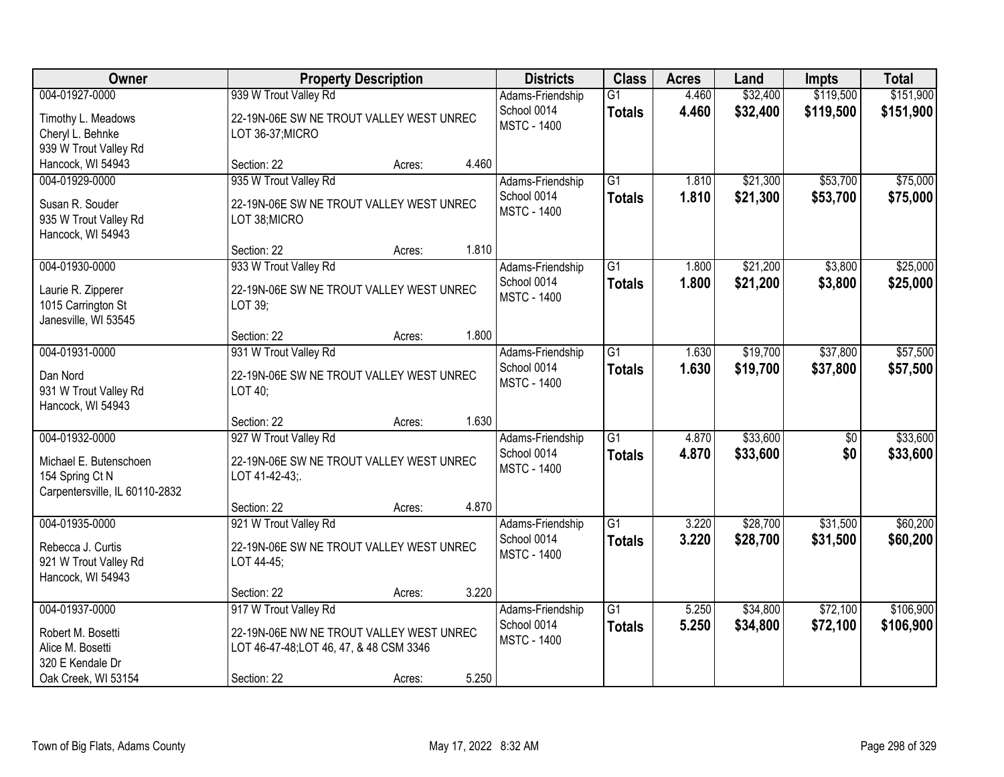| <b>Owner</b>                   |                                          | <b>Property Description</b> |       | <b>Districts</b>                  | <b>Class</b>    | <b>Acres</b> | Land     | Impts           | <b>Total</b> |
|--------------------------------|------------------------------------------|-----------------------------|-------|-----------------------------------|-----------------|--------------|----------|-----------------|--------------|
| 004-01927-0000                 | 939 W Trout Valley Rd                    |                             |       | Adams-Friendship                  | $\overline{G1}$ | 4.460        | \$32,400 | \$119,500       | \$151,900    |
| Timothy L. Meadows             | 22-19N-06E SW NE TROUT VALLEY WEST UNREC |                             |       | School 0014<br><b>MSTC - 1400</b> | <b>Totals</b>   | 4.460        | \$32,400 | \$119,500       | \$151,900    |
| Cheryl L. Behnke               | LOT 36-37;MICRO                          |                             |       |                                   |                 |              |          |                 |              |
| 939 W Trout Valley Rd          |                                          |                             |       |                                   |                 |              |          |                 |              |
| Hancock, WI 54943              | Section: 22                              | Acres:                      | 4.460 |                                   |                 |              |          |                 |              |
| 004-01929-0000                 | 935 W Trout Valley Rd                    |                             |       | Adams-Friendship                  | $\overline{G1}$ | 1.810        | \$21,300 | \$53,700        | \$75,000     |
| Susan R. Souder                | 22-19N-06E SW NE TROUT VALLEY WEST UNREC |                             |       | School 0014<br><b>MSTC - 1400</b> | <b>Totals</b>   | 1.810        | \$21,300 | \$53,700        | \$75,000     |
| 935 W Trout Valley Rd          | LOT 38; MICRO                            |                             |       |                                   |                 |              |          |                 |              |
| Hancock, WI 54943              |                                          |                             |       |                                   |                 |              |          |                 |              |
|                                | Section: 22                              | Acres:                      | 1.810 |                                   |                 |              |          |                 |              |
| 004-01930-0000                 | 933 W Trout Valley Rd                    |                             |       | Adams-Friendship                  | G1              | 1.800        | \$21,200 | \$3,800         | \$25,000     |
| Laurie R. Zipperer             | 22-19N-06E SW NE TROUT VALLEY WEST UNREC |                             |       | School 0014                       | <b>Totals</b>   | 1.800        | \$21,200 | \$3,800         | \$25,000     |
| 1015 Carrington St             | LOT 39;                                  |                             |       | <b>MSTC - 1400</b>                |                 |              |          |                 |              |
| Janesville, WI 53545           |                                          |                             |       |                                   |                 |              |          |                 |              |
|                                | Section: 22                              | Acres:                      | 1.800 |                                   |                 |              |          |                 |              |
| 004-01931-0000                 | 931 W Trout Valley Rd                    |                             |       | Adams-Friendship                  | $\overline{G1}$ | 1.630        | \$19,700 | \$37,800        | \$57,500     |
| Dan Nord                       | 22-19N-06E SW NE TROUT VALLEY WEST UNREC |                             |       | School 0014                       | <b>Totals</b>   | 1.630        | \$19,700 | \$37,800        | \$57,500     |
| 931 W Trout Valley Rd          | LOT 40;                                  |                             |       | <b>MSTC - 1400</b>                |                 |              |          |                 |              |
| Hancock, WI 54943              |                                          |                             |       |                                   |                 |              |          |                 |              |
|                                | Section: 22                              | Acres:                      | 1.630 |                                   |                 |              |          |                 |              |
| 004-01932-0000                 | 927 W Trout Valley Rd                    |                             |       | Adams-Friendship                  | $\overline{G1}$ | 4.870        | \$33,600 | $\overline{50}$ | \$33,600     |
| Michael E. Butenschoen         | 22-19N-06E SW NE TROUT VALLEY WEST UNREC |                             |       | School 0014                       | <b>Totals</b>   | 4.870        | \$33,600 | \$0             | \$33,600     |
| 154 Spring Ct N                | LOT 41-42-43;.                           |                             |       | <b>MSTC - 1400</b>                |                 |              |          |                 |              |
| Carpentersville, IL 60110-2832 |                                          |                             |       |                                   |                 |              |          |                 |              |
|                                | Section: 22                              | Acres:                      | 4.870 |                                   |                 |              |          |                 |              |
| 004-01935-0000                 | 921 W Trout Valley Rd                    |                             |       | Adams-Friendship                  | $\overline{G1}$ | 3.220        | \$28,700 | \$31,500        | \$60,200     |
| Rebecca J. Curtis              | 22-19N-06E SW NE TROUT VALLEY WEST UNREC |                             |       | School 0014                       | <b>Totals</b>   | 3.220        | \$28,700 | \$31,500        | \$60,200     |
| 921 W Trout Valley Rd          | LOT 44-45;                               |                             |       | <b>MSTC - 1400</b>                |                 |              |          |                 |              |
| Hancock, WI 54943              |                                          |                             |       |                                   |                 |              |          |                 |              |
|                                | Section: 22                              | Acres:                      | 3.220 |                                   |                 |              |          |                 |              |
| 004-01937-0000                 | 917 W Trout Valley Rd                    |                             |       | Adams-Friendship                  | $\overline{G1}$ | 5.250        | \$34,800 | \$72,100        | \$106,900    |
| Robert M. Bosetti              | 22-19N-06E NW NE TROUT VALLEY WEST UNREC |                             |       | School 0014                       | <b>Totals</b>   | 5.250        | \$34,800 | \$72,100        | \$106,900    |
| Alice M. Bosetti               | LOT 46-47-48; LOT 46, 47, & 48 CSM 3346  |                             |       | <b>MSTC - 1400</b>                |                 |              |          |                 |              |
| 320 E Kendale Dr               |                                          |                             |       |                                   |                 |              |          |                 |              |
| Oak Creek, WI 53154            | Section: 22                              | Acres:                      | 5.250 |                                   |                 |              |          |                 |              |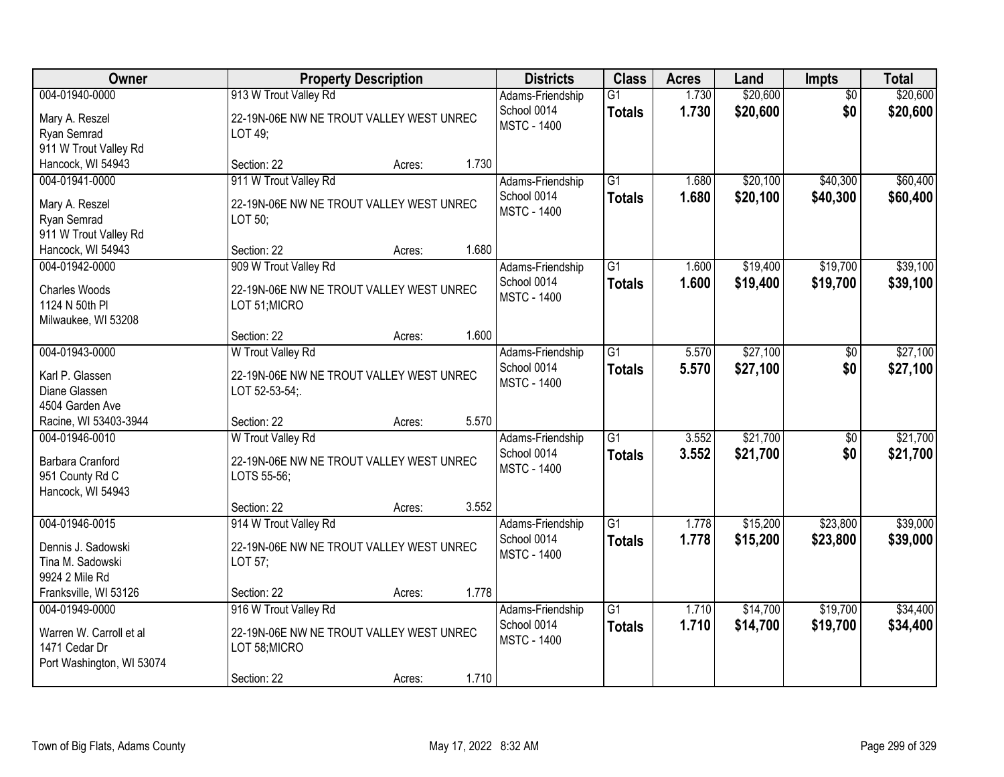| Owner                                                                                         |                                                                                                   | <b>Property Description</b> |       | <b>Districts</b>                                      | <b>Class</b>                     | <b>Acres</b>   | Land                 | <b>Impts</b>           | <b>Total</b>         |
|-----------------------------------------------------------------------------------------------|---------------------------------------------------------------------------------------------------|-----------------------------|-------|-------------------------------------------------------|----------------------------------|----------------|----------------------|------------------------|----------------------|
| 004-01940-0000<br>Mary A. Reszel<br>Ryan Semrad<br>911 W Trout Valley Rd                      | 913 W Trout Valley Rd<br>22-19N-06E NW NE TROUT VALLEY WEST UNREC<br>LOT 49;                      |                             |       | Adams-Friendship<br>School 0014<br><b>MSTC - 1400</b> | $\overline{G1}$<br><b>Totals</b> | 1.730<br>1.730 | \$20,600<br>\$20,600 | $\overline{50}$<br>\$0 | \$20,600<br>\$20,600 |
| Hancock, WI 54943                                                                             | Section: 22                                                                                       | Acres:                      | 1.730 |                                                       |                                  |                |                      |                        |                      |
| 004-01941-0000<br>Mary A. Reszel<br>Ryan Semrad<br>911 W Trout Valley Rd<br>Hancock, WI 54943 | 911 W Trout Valley Rd<br>22-19N-06E NW NE TROUT VALLEY WEST UNREC<br>LOT 50;<br>Section: 22       | Acres:                      | 1.680 | Adams-Friendship<br>School 0014<br><b>MSTC - 1400</b> | $\overline{G1}$<br><b>Totals</b> | 1.680<br>1.680 | \$20,100<br>\$20,100 | \$40,300<br>\$40,300   | \$60,400<br>\$60,400 |
| 004-01942-0000                                                                                | 909 W Trout Valley Rd                                                                             |                             |       | Adams-Friendship                                      | G1                               | 1.600          | \$19,400             | \$19,700               | \$39,100             |
| Charles Woods<br>1124 N 50th PI<br>Milwaukee, WI 53208                                        | 22-19N-06E NW NE TROUT VALLEY WEST UNREC<br>LOT 51; MICRO                                         |                             |       | School 0014<br><b>MSTC - 1400</b>                     | <b>Totals</b>                    | 1.600          | \$19,400             | \$19,700               | \$39,100             |
|                                                                                               | Section: 22                                                                                       | Acres:                      | 1.600 |                                                       |                                  |                |                      |                        |                      |
| 004-01943-0000<br>Karl P. Glassen<br>Diane Glassen<br>4504 Garden Ave                         | W Trout Valley Rd<br>22-19N-06E NW NE TROUT VALLEY WEST UNREC<br>LOT 52-53-54;                    |                             |       | Adams-Friendship<br>School 0014<br><b>MSTC - 1400</b> | $\overline{G1}$<br><b>Totals</b> | 5.570<br>5.570 | \$27,100<br>\$27,100 | \$0<br>\$0             | \$27,100<br>\$27,100 |
| Racine, WI 53403-3944                                                                         | Section: 22                                                                                       | Acres:                      | 5.570 |                                                       |                                  |                |                      |                        |                      |
| 004-01946-0010<br>Barbara Cranford<br>951 County Rd C<br>Hancock, WI 54943                    | W Trout Valley Rd<br>22-19N-06E NW NE TROUT VALLEY WEST UNREC<br>LOTS 55-56;                      |                             |       | Adams-Friendship<br>School 0014<br><b>MSTC - 1400</b> | $\overline{G1}$<br><b>Totals</b> | 3.552<br>3.552 | \$21,700<br>\$21,700 | \$0<br>\$0             | \$21,700<br>\$21,700 |
|                                                                                               | Section: 22                                                                                       | Acres:                      | 3.552 |                                                       |                                  |                |                      |                        |                      |
| 004-01946-0015<br>Dennis J. Sadowski<br>Tina M. Sadowski<br>9924 2 Mile Rd                    | 914 W Trout Valley Rd<br>22-19N-06E NW NE TROUT VALLEY WEST UNREC<br>LOT 57;                      |                             |       | Adams-Friendship<br>School 0014<br><b>MSTC - 1400</b> | $\overline{G1}$<br><b>Totals</b> | 1.778<br>1.778 | \$15,200<br>\$15,200 | \$23,800<br>\$23,800   | \$39,000<br>\$39,000 |
| Franksville, WI 53126                                                                         | Section: 22                                                                                       | Acres:                      | 1.778 |                                                       |                                  |                |                      |                        |                      |
| 004-01949-0000<br>Warren W. Carroll et al<br>1471 Cedar Dr<br>Port Washington, WI 53074       | 916 W Trout Valley Rd<br>22-19N-06E NW NE TROUT VALLEY WEST UNREC<br>LOT 58; MICRO<br>Section: 22 | Acres:                      | 1.710 | Adams-Friendship<br>School 0014<br><b>MSTC - 1400</b> | $\overline{G1}$<br><b>Totals</b> | 1.710<br>1.710 | \$14,700<br>\$14,700 | \$19,700<br>\$19,700   | \$34,400<br>\$34,400 |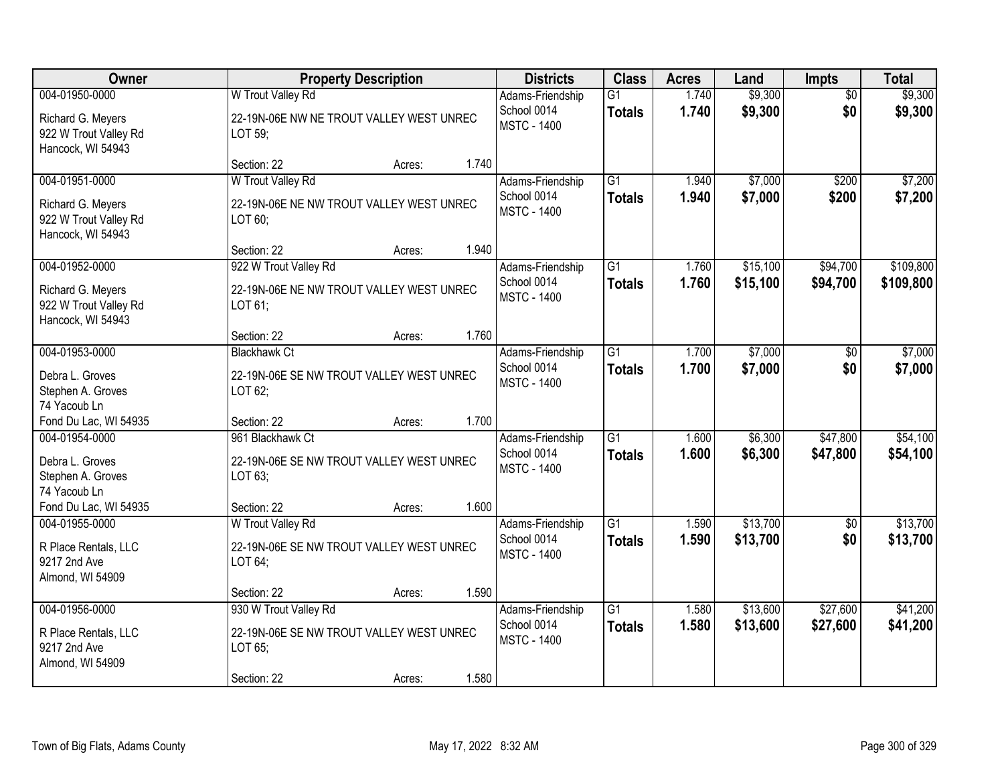| Owner                                                                             |                                                                                             | <b>Property Description</b> |       | <b>Districts</b>                                      | <b>Class</b>                     | <b>Acres</b>   | Land                 | <b>Impts</b>           | <b>Total</b>         |
|-----------------------------------------------------------------------------------|---------------------------------------------------------------------------------------------|-----------------------------|-------|-------------------------------------------------------|----------------------------------|----------------|----------------------|------------------------|----------------------|
| 004-01950-0000<br>Richard G. Meyers<br>922 W Trout Valley Rd<br>Hancock, WI 54943 | W Trout Valley Rd<br>22-19N-06E NW NE TROUT VALLEY WEST UNREC<br>LOT 59;                    |                             |       | Adams-Friendship<br>School 0014<br><b>MSTC - 1400</b> | $\overline{G1}$<br><b>Totals</b> | 1.740<br>1.740 | \$9,300<br>\$9,300   | $\overline{50}$<br>\$0 | \$9,300<br>\$9,300   |
|                                                                                   | Section: 22                                                                                 | Acres:                      | 1.740 |                                                       |                                  |                |                      |                        |                      |
| 004-01951-0000<br>Richard G. Meyers<br>922 W Trout Valley Rd<br>Hancock, WI 54943 | W Trout Valley Rd<br>22-19N-06E NE NW TROUT VALLEY WEST UNREC<br>LOT 60;<br>Section: 22     | Acres:                      | 1.940 | Adams-Friendship<br>School 0014<br><b>MSTC - 1400</b> | $\overline{G1}$<br><b>Totals</b> | 1.940<br>1.940 | \$7,000<br>\$7,000   | \$200<br>\$200         | \$7,200<br>\$7,200   |
| 004-01952-0000                                                                    | 922 W Trout Valley Rd                                                                       |                             |       | Adams-Friendship                                      | G1                               | 1.760          | \$15,100             | \$94,700               | \$109,800            |
| Richard G. Meyers<br>922 W Trout Valley Rd<br>Hancock, WI 54943                   | 22-19N-06E NE NW TROUT VALLEY WEST UNREC<br>LOT 61;                                         |                             |       | School 0014<br><b>MSTC - 1400</b>                     | <b>Totals</b>                    | 1.760          | \$15,100             | \$94,700               | \$109,800            |
|                                                                                   | Section: 22                                                                                 | Acres:                      | 1.760 |                                                       |                                  |                |                      |                        |                      |
| 004-01953-0000<br>Debra L. Groves<br>Stephen A. Groves<br>74 Yacoub Ln            | <b>Blackhawk Ct</b><br>22-19N-06E SE NW TROUT VALLEY WEST UNREC<br>LOT 62;                  |                             |       | Adams-Friendship<br>School 0014<br><b>MSTC - 1400</b> | $\overline{G1}$<br><b>Totals</b> | 1.700<br>1.700 | \$7,000<br>\$7,000   | \$0<br>\$0             | \$7,000<br>\$7,000   |
| Fond Du Lac, WI 54935                                                             | Section: 22                                                                                 | Acres:                      | 1.700 |                                                       |                                  |                |                      |                        |                      |
| 004-01954-0000<br>Debra L. Groves<br>Stephen A. Groves<br>74 Yacoub Ln            | 961 Blackhawk Ct<br>22-19N-06E SE NW TROUT VALLEY WEST UNREC<br>LOT 63;                     |                             |       | Adams-Friendship<br>School 0014<br><b>MSTC - 1400</b> | $\overline{G1}$<br><b>Totals</b> | 1.600<br>1.600 | \$6,300<br>\$6,300   | \$47,800<br>\$47,800   | \$54,100<br>\$54,100 |
| Fond Du Lac, WI 54935                                                             | Section: 22                                                                                 | Acres:                      | 1.600 |                                                       |                                  |                |                      |                        |                      |
| 004-01955-0000<br>R Place Rentals, LLC<br>9217 2nd Ave<br>Almond, WI 54909        | W Trout Valley Rd<br>22-19N-06E SE NW TROUT VALLEY WEST UNREC<br>LOT 64;                    |                             |       | Adams-Friendship<br>School 0014<br><b>MSTC - 1400</b> | $\overline{G1}$<br><b>Totals</b> | 1.590<br>1.590 | \$13,700<br>\$13,700 | $\overline{50}$<br>\$0 | \$13,700<br>\$13,700 |
|                                                                                   | Section: 22                                                                                 | Acres:                      | 1.590 |                                                       |                                  |                |                      |                        |                      |
| 004-01956-0000<br>R Place Rentals, LLC<br>9217 2nd Ave<br>Almond, WI 54909        | 930 W Trout Valley Rd<br>22-19N-06E SE NW TROUT VALLEY WEST UNREC<br>LOT 65;<br>Section: 22 | Acres:                      | 1.580 | Adams-Friendship<br>School 0014<br><b>MSTC - 1400</b> | $\overline{G1}$<br><b>Totals</b> | 1.580<br>1.580 | \$13,600<br>\$13,600 | \$27,600<br>\$27,600   | \$41,200<br>\$41,200 |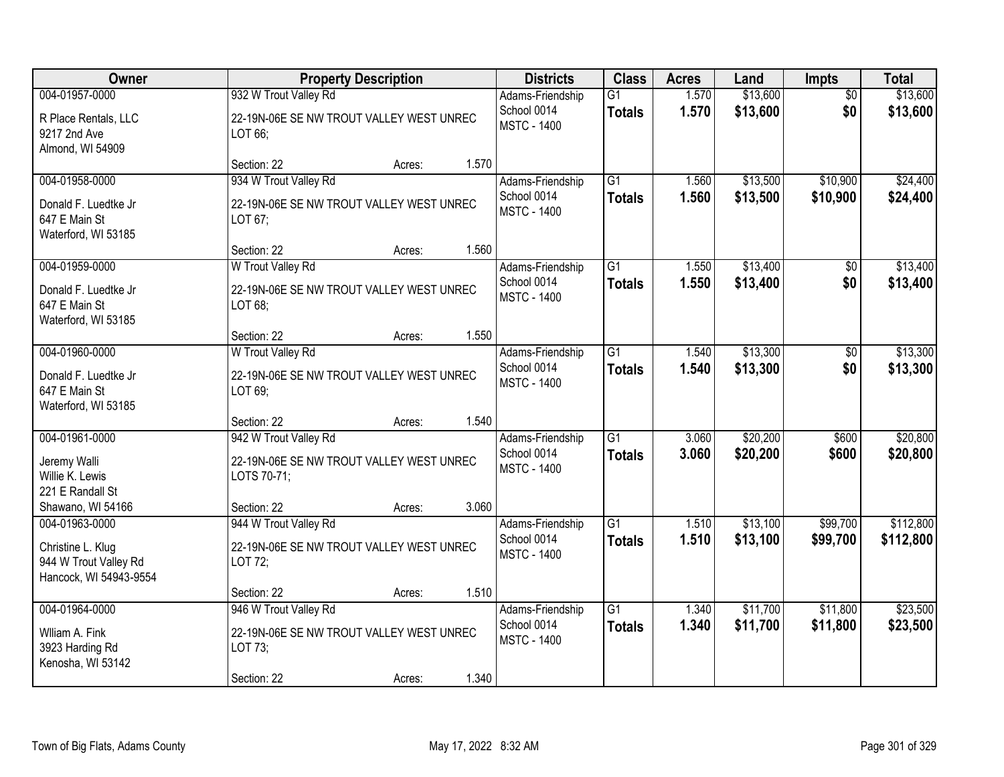| Owner                                                                                      |                                                                                                 | <b>Property Description</b> |       | <b>Districts</b>                                      | <b>Class</b>                     | <b>Acres</b>   | Land                 | <b>Impts</b>           | <b>Total</b>         |
|--------------------------------------------------------------------------------------------|-------------------------------------------------------------------------------------------------|-----------------------------|-------|-------------------------------------------------------|----------------------------------|----------------|----------------------|------------------------|----------------------|
| 004-01957-0000<br>R Place Rentals, LLC<br>9217 2nd Ave                                     | 932 W Trout Valley Rd<br>22-19N-06E SE NW TROUT VALLEY WEST UNREC<br>LOT 66;                    |                             |       | Adams-Friendship<br>School 0014<br><b>MSTC - 1400</b> | $\overline{G1}$<br><b>Totals</b> | 1.570<br>1.570 | \$13,600<br>\$13,600 | $\overline{50}$<br>\$0 | \$13,600<br>\$13,600 |
| Almond, WI 54909                                                                           | Section: 22                                                                                     | Acres:                      | 1.570 |                                                       |                                  |                |                      |                        |                      |
| 004-01958-0000<br>Donald F. Luedtke Jr<br>647 E Main St<br>Waterford, WI 53185             | 934 W Trout Valley Rd<br>22-19N-06E SE NW TROUT VALLEY WEST UNREC<br>LOT 67;<br>Section: 22     | Acres:                      | 1.560 | Adams-Friendship<br>School 0014<br><b>MSTC - 1400</b> | $\overline{G1}$<br><b>Totals</b> | 1.560<br>1.560 | \$13,500<br>\$13,500 | \$10,900<br>\$10,900   | \$24,400<br>\$24,400 |
| 004-01959-0000                                                                             | W Trout Valley Rd                                                                               |                             |       | Adams-Friendship                                      | G1                               | 1.550          | \$13,400             | \$0                    | \$13,400             |
| Donald F. Luedtke Jr<br>647 E Main St<br>Waterford, WI 53185                               | 22-19N-06E SE NW TROUT VALLEY WEST UNREC<br>LOT 68;                                             |                             |       | School 0014<br><b>MSTC - 1400</b>                     | <b>Totals</b>                    | 1.550          | \$13,400             | \$0                    | \$13,400             |
|                                                                                            | Section: 22                                                                                     | Acres:                      | 1.550 |                                                       |                                  |                |                      |                        |                      |
| 004-01960-0000<br>Donald F. Luedtke Jr<br>647 E Main St<br>Waterford, WI 53185             | W Trout Valley Rd<br>22-19N-06E SE NW TROUT VALLEY WEST UNREC<br>LOT 69;                        |                             |       | Adams-Friendship<br>School 0014<br><b>MSTC - 1400</b> | $\overline{G1}$<br><b>Totals</b> | 1.540<br>1.540 | \$13,300<br>\$13,300 | \$0<br>\$0             | \$13,300<br>\$13,300 |
|                                                                                            | Section: 22                                                                                     | Acres:                      | 1.540 |                                                       |                                  |                |                      |                        |                      |
| 004-01961-0000<br>Jeremy Walli<br>Willie K. Lewis<br>221 E Randall St<br>Shawano, WI 54166 | 942 W Trout Valley Rd<br>22-19N-06E SE NW TROUT VALLEY WEST UNREC<br>LOTS 70-71;<br>Section: 22 | Acres:                      | 3.060 | Adams-Friendship<br>School 0014<br><b>MSTC - 1400</b> | $\overline{G1}$<br><b>Totals</b> | 3.060<br>3.060 | \$20,200<br>\$20,200 | \$600<br>\$600         | \$20,800<br>\$20,800 |
| 004-01963-0000                                                                             | 944 W Trout Valley Rd                                                                           |                             |       | Adams-Friendship                                      | $\overline{G1}$                  | 1.510          | \$13,100             | \$99,700               | \$112,800            |
| Christine L. Klug<br>944 W Trout Valley Rd<br>Hancock, WI 54943-9554                       | 22-19N-06E SE NW TROUT VALLEY WEST UNREC<br>LOT 72;                                             |                             |       | School 0014<br><b>MSTC - 1400</b>                     | <b>Totals</b>                    | 1.510          | \$13,100             | \$99,700               | \$112,800            |
|                                                                                            | Section: 22                                                                                     | Acres:                      | 1.510 |                                                       |                                  |                |                      |                        |                      |
| 004-01964-0000<br>Wiliam A. Fink<br>3923 Harding Rd<br>Kenosha, WI 53142                   | 946 W Trout Valley Rd<br>22-19N-06E SE NW TROUT VALLEY WEST UNREC<br>LOT 73;<br>Section: 22     | Acres:                      | 1.340 | Adams-Friendship<br>School 0014<br><b>MSTC - 1400</b> | $\overline{G1}$<br><b>Totals</b> | 1.340<br>1.340 | \$11,700<br>\$11,700 | \$11,800<br>\$11,800   | \$23,500<br>\$23,500 |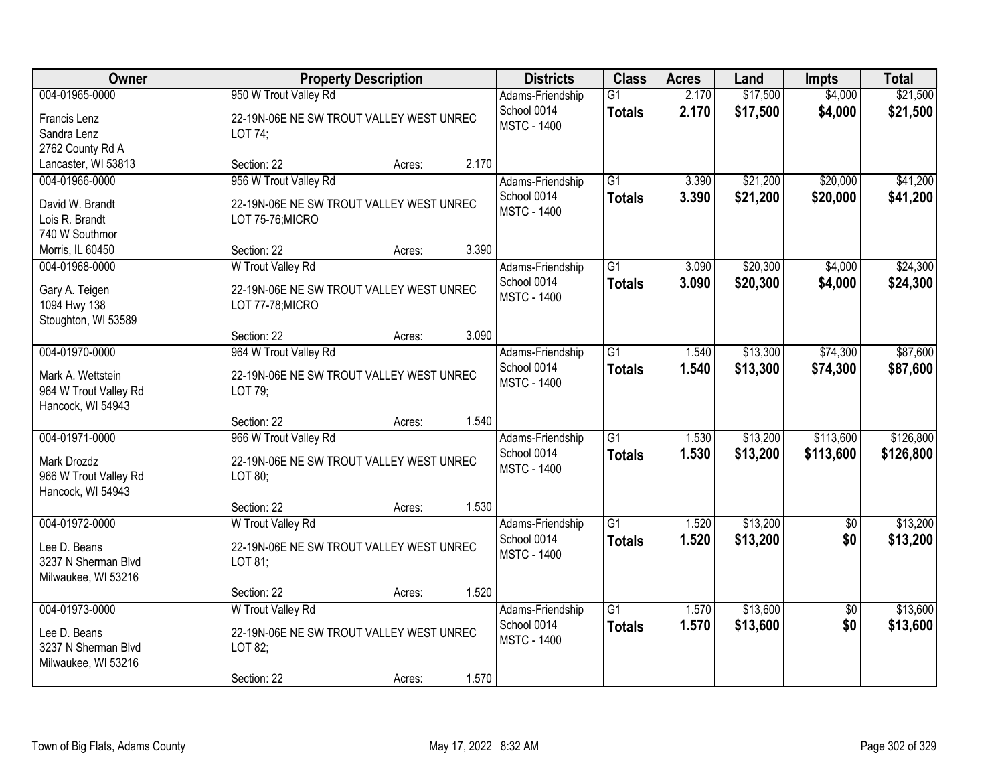| Owner                                                                                     | <b>Property Description</b>                                                                          |        |       | <b>Districts</b>                                      | <b>Class</b>                     | <b>Acres</b>   | Land                 | <b>Impts</b>           | <b>Total</b>           |
|-------------------------------------------------------------------------------------------|------------------------------------------------------------------------------------------------------|--------|-------|-------------------------------------------------------|----------------------------------|----------------|----------------------|------------------------|------------------------|
| 004-01965-0000<br>Francis Lenz<br>Sandra Lenz<br>2762 County Rd A                         | 950 W Trout Valley Rd<br>22-19N-06E NE SW TROUT VALLEY WEST UNREC<br>LOT 74;                         |        |       | Adams-Friendship<br>School 0014<br><b>MSTC - 1400</b> | $\overline{G1}$<br><b>Totals</b> | 2.170<br>2.170 | \$17,500<br>\$17,500 | \$4,000<br>\$4,000     | \$21,500<br>\$21,500   |
| Lancaster, WI 53813                                                                       | Section: 22                                                                                          | Acres: | 2.170 |                                                       |                                  |                |                      |                        |                        |
| 004-01966-0000<br>David W. Brandt<br>Lois R. Brandt<br>740 W Southmor<br>Morris, IL 60450 | 956 W Trout Valley Rd<br>22-19N-06E NE SW TROUT VALLEY WEST UNREC<br>LOT 75-76; MICRO<br>Section: 22 | Acres: | 3.390 | Adams-Friendship<br>School 0014<br><b>MSTC - 1400</b> | $\overline{G1}$<br><b>Totals</b> | 3.390<br>3.390 | \$21,200<br>\$21,200 | \$20,000<br>\$20,000   | \$41,200<br>\$41,200   |
| 004-01968-0000                                                                            | W Trout Valley Rd                                                                                    |        |       | Adams-Friendship                                      | $\overline{G1}$                  | 3.090          | \$20,300             | \$4,000                | \$24,300               |
| Gary A. Teigen<br>1094 Hwy 138<br>Stoughton, WI 53589                                     | 22-19N-06E NE SW TROUT VALLEY WEST UNREC<br>LOT 77-78; MICRO                                         |        |       | School 0014<br><b>MSTC - 1400</b>                     | <b>Totals</b>                    | 3.090          | \$20,300             | \$4,000                | \$24,300               |
|                                                                                           | Section: 22                                                                                          | Acres: | 3.090 |                                                       |                                  |                |                      |                        |                        |
| 004-01970-0000<br>Mark A. Wettstein<br>964 W Trout Valley Rd<br>Hancock, WI 54943         | 964 W Trout Valley Rd<br>22-19N-06E NE SW TROUT VALLEY WEST UNREC<br>LOT 79;                         |        |       | Adams-Friendship<br>School 0014<br><b>MSTC - 1400</b> | $\overline{G1}$<br><b>Totals</b> | 1.540<br>1.540 | \$13,300<br>\$13,300 | \$74,300<br>\$74,300   | \$87,600<br>\$87,600   |
|                                                                                           | Section: 22                                                                                          | Acres: | 1.540 |                                                       |                                  |                |                      |                        |                        |
| 004-01971-0000<br>Mark Drozdz<br>966 W Trout Valley Rd<br>Hancock, WI 54943               | 966 W Trout Valley Rd<br>22-19N-06E NE SW TROUT VALLEY WEST UNREC<br>LOT 80;                         |        |       | Adams-Friendship<br>School 0014<br><b>MSTC - 1400</b> | $\overline{G1}$<br><b>Totals</b> | 1.530<br>1.530 | \$13,200<br>\$13,200 | \$113,600<br>\$113,600 | \$126,800<br>\$126,800 |
|                                                                                           | Section: 22                                                                                          | Acres: | 1.530 |                                                       |                                  |                |                      |                        |                        |
| 004-01972-0000<br>Lee D. Beans<br>3237 N Sherman Blvd<br>Milwaukee, WI 53216              | W Trout Valley Rd<br>22-19N-06E NE SW TROUT VALLEY WEST UNREC<br>LOT 81;                             |        |       | Adams-Friendship<br>School 0014<br><b>MSTC - 1400</b> | $\overline{G1}$<br><b>Totals</b> | 1.520<br>1.520 | \$13,200<br>\$13,200 | $\sqrt{6}$<br>\$0      | \$13,200<br>\$13,200   |
|                                                                                           | Section: 22                                                                                          | Acres: | 1.520 |                                                       |                                  |                |                      |                        |                        |
| 004-01973-0000<br>Lee D. Beans<br>3237 N Sherman Blvd<br>Milwaukee, WI 53216              | W Trout Valley Rd<br>22-19N-06E NE SW TROUT VALLEY WEST UNREC<br>LOT 82;<br>Section: 22              | Acres: | 1.570 | Adams-Friendship<br>School 0014<br><b>MSTC - 1400</b> | $\overline{G1}$<br><b>Totals</b> | 1.570<br>1.570 | \$13,600<br>\$13,600 | $\overline{50}$<br>\$0 | \$13,600<br>\$13,600   |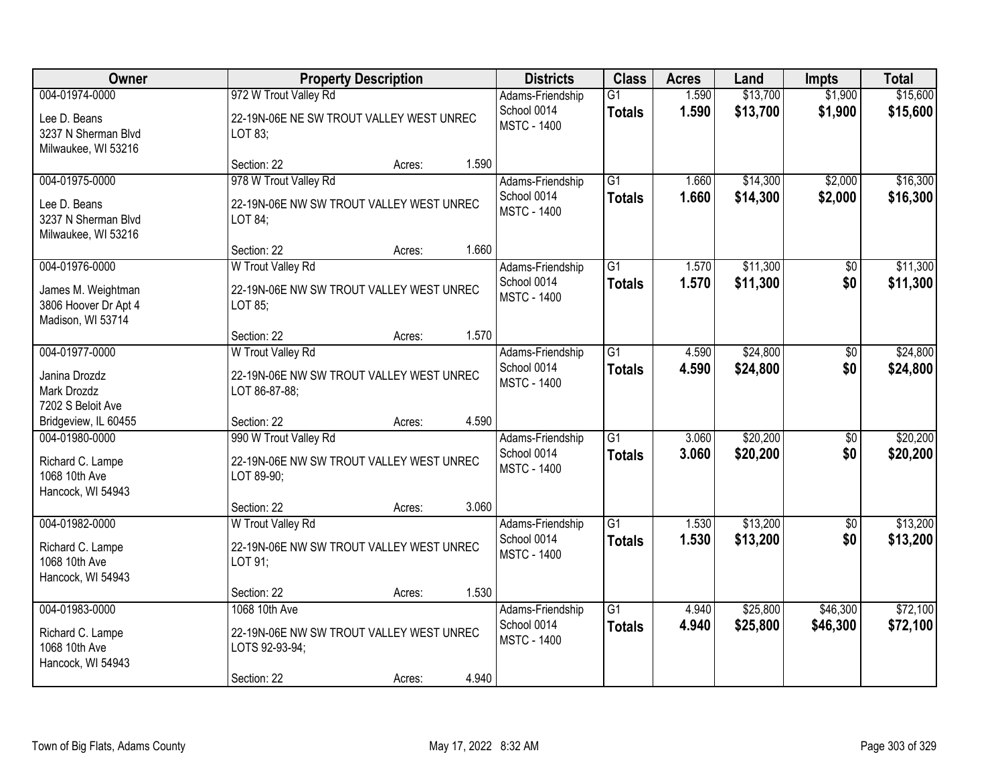| Owner                                                                        |                                                                                             | <b>Property Description</b> |       | <b>Districts</b>                                      | <b>Class</b>                     | <b>Acres</b>   | Land                 | <b>Impts</b>           | <b>Total</b>         |
|------------------------------------------------------------------------------|---------------------------------------------------------------------------------------------|-----------------------------|-------|-------------------------------------------------------|----------------------------------|----------------|----------------------|------------------------|----------------------|
| 004-01974-0000<br>Lee D. Beans<br>3237 N Sherman Blvd<br>Milwaukee, WI 53216 | 972 W Trout Valley Rd<br>22-19N-06E NE SW TROUT VALLEY WEST UNREC<br>LOT 83;                |                             |       | Adams-Friendship<br>School 0014<br><b>MSTC - 1400</b> | $\overline{G1}$<br><b>Totals</b> | 1.590<br>1.590 | \$13,700<br>\$13,700 | \$1,900<br>\$1,900     | \$15,600<br>\$15,600 |
|                                                                              | Section: 22                                                                                 | Acres:                      | 1.590 |                                                       |                                  |                |                      |                        |                      |
| 004-01975-0000<br>Lee D. Beans<br>3237 N Sherman Blvd<br>Milwaukee, WI 53216 | 978 W Trout Valley Rd<br>22-19N-06E NW SW TROUT VALLEY WEST UNREC<br>LOT 84;<br>Section: 22 | Acres:                      | 1.660 | Adams-Friendship<br>School 0014<br><b>MSTC - 1400</b> | $\overline{G1}$<br><b>Totals</b> | 1.660<br>1.660 | \$14,300<br>\$14,300 | \$2,000<br>\$2,000     | \$16,300<br>\$16,300 |
| 004-01976-0000                                                               | W Trout Valley Rd                                                                           |                             |       | Adams-Friendship                                      | G1                               | 1.570          | \$11,300             | \$0                    | \$11,300             |
| James M. Weightman<br>3806 Hoover Dr Apt 4<br>Madison, WI 53714              | 22-19N-06E NW SW TROUT VALLEY WEST UNREC<br>LOT 85;                                         |                             |       | School 0014<br><b>MSTC - 1400</b>                     | <b>Totals</b>                    | 1.570          | \$11,300             | \$0                    | \$11,300             |
|                                                                              | Section: 22                                                                                 | Acres:                      | 1.570 |                                                       |                                  |                |                      |                        |                      |
| 004-01977-0000<br>Janina Drozdz<br>Mark Drozdz<br>7202 S Beloit Ave          | W Trout Valley Rd<br>22-19N-06E NW SW TROUT VALLEY WEST UNREC<br>LOT 86-87-88;              |                             |       | Adams-Friendship<br>School 0014<br><b>MSTC - 1400</b> | $\overline{G1}$<br><b>Totals</b> | 4.590<br>4.590 | \$24,800<br>\$24,800 | \$0<br>\$0             | \$24,800<br>\$24,800 |
| Bridgeview, IL 60455                                                         | Section: 22                                                                                 | Acres:                      | 4.590 |                                                       |                                  |                |                      |                        |                      |
| 004-01980-0000<br>Richard C. Lampe<br>1068 10th Ave<br>Hancock, WI 54943     | 990 W Trout Valley Rd<br>22-19N-06E NW SW TROUT VALLEY WEST UNREC<br>LOT 89-90;             |                             |       | Adams-Friendship<br>School 0014<br><b>MSTC - 1400</b> | $\overline{G1}$<br><b>Totals</b> | 3.060<br>3.060 | \$20,200<br>\$20,200 | \$0<br>\$0             | \$20,200<br>\$20,200 |
|                                                                              | Section: 22                                                                                 | Acres:                      | 3.060 |                                                       |                                  |                |                      |                        |                      |
| 004-01982-0000<br>Richard C. Lampe<br>1068 10th Ave<br>Hancock, WI 54943     | W Trout Valley Rd<br>22-19N-06E NW SW TROUT VALLEY WEST UNREC<br>LOT 91;                    |                             |       | Adams-Friendship<br>School 0014<br><b>MSTC - 1400</b> | $\overline{G1}$<br><b>Totals</b> | 1.530<br>1.530 | \$13,200<br>\$13,200 | $\overline{50}$<br>\$0 | \$13,200<br>\$13,200 |
|                                                                              | Section: 22                                                                                 | Acres:                      | 1.530 |                                                       |                                  |                |                      |                        |                      |
| 004-01983-0000<br>Richard C. Lampe<br>1068 10th Ave<br>Hancock, WI 54943     | 1068 10th Ave<br>22-19N-06E NW SW TROUT VALLEY WEST UNREC<br>LOTS 92-93-94;<br>Section: 22  | Acres:                      | 4.940 | Adams-Friendship<br>School 0014<br><b>MSTC - 1400</b> | $\overline{G1}$<br><b>Totals</b> | 4.940<br>4.940 | \$25,800<br>\$25,800 | \$46,300<br>\$46,300   | \$72,100<br>\$72,100 |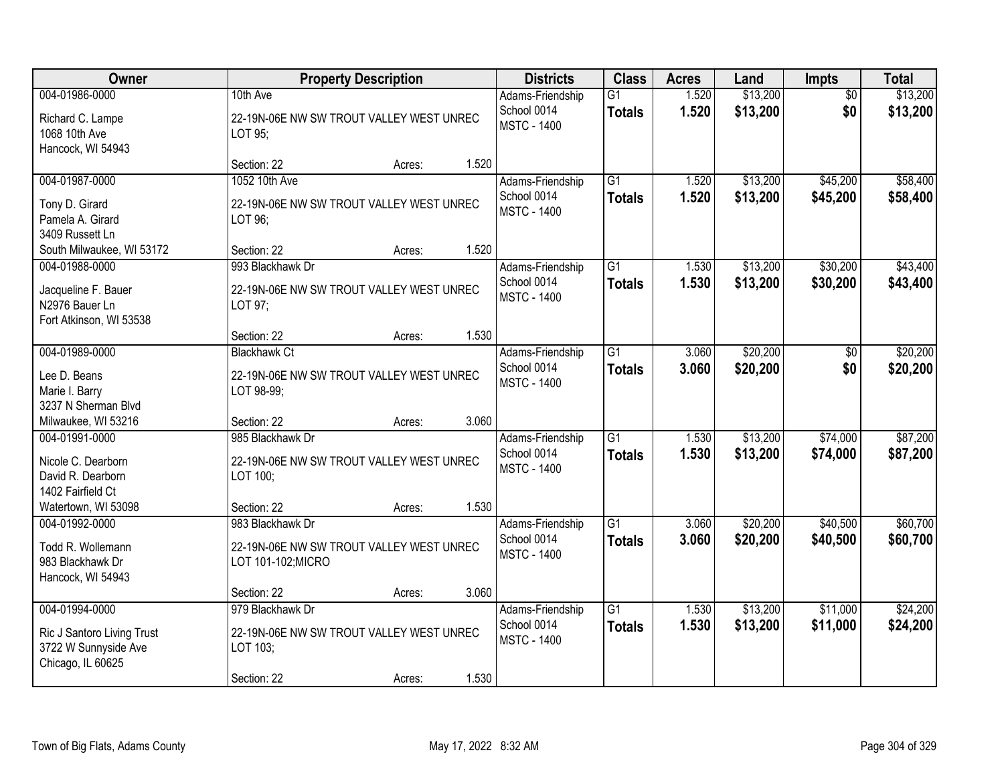| Owner                                                                                                 |                                                                                         | <b>Property Description</b> |       | <b>Districts</b>                                      | <b>Class</b>                     | <b>Acres</b>   | Land                 | Impts                  | <b>Total</b>         |
|-------------------------------------------------------------------------------------------------------|-----------------------------------------------------------------------------------------|-----------------------------|-------|-------------------------------------------------------|----------------------------------|----------------|----------------------|------------------------|----------------------|
| 004-01986-0000<br>Richard C. Lampe<br>1068 10th Ave<br>Hancock, WI 54943                              | 10th Ave<br>22-19N-06E NW SW TROUT VALLEY WEST UNREC<br>LOT 95;                         |                             |       | Adams-Friendship<br>School 0014<br><b>MSTC - 1400</b> | G1<br><b>Totals</b>              | 1.520<br>1.520 | \$13,200<br>\$13,200 | $\overline{50}$<br>\$0 | \$13,200<br>\$13,200 |
|                                                                                                       | Section: 22                                                                             | Acres:                      | 1.520 |                                                       |                                  |                |                      |                        |                      |
| 004-01987-0000<br>Tony D. Girard<br>Pamela A. Girard<br>3409 Russett Ln                               | 1052 10th Ave<br>22-19N-06E NW SW TROUT VALLEY WEST UNREC<br>LOT 96;                    |                             |       | Adams-Friendship<br>School 0014<br><b>MSTC - 1400</b> | G1<br><b>Totals</b>              | 1.520<br>1.520 | \$13,200<br>\$13,200 | \$45,200<br>\$45,200   | \$58,400<br>\$58,400 |
| South Milwaukee, WI 53172<br>004-01988-0000                                                           | Section: 22<br>993 Blackhawk Dr                                                         | Acres:                      | 1.520 |                                                       | G1                               | 1.530          | \$13,200             | \$30,200               | \$43,400             |
| Jacqueline F. Bauer<br>N2976 Bauer Ln<br>Fort Atkinson, WI 53538                                      | 22-19N-06E NW SW TROUT VALLEY WEST UNREC<br>LOT 97;                                     |                             |       | Adams-Friendship<br>School 0014<br><b>MSTC - 1400</b> | <b>Totals</b>                    | 1.530          | \$13,200             | \$30,200               | \$43,400             |
|                                                                                                       | Section: 22                                                                             | Acres:                      | 1.530 |                                                       |                                  |                |                      |                        |                      |
| 004-01989-0000<br>Lee D. Beans<br>Marie I. Barry<br>3237 N Sherman Blvd                               | <b>Blackhawk Ct</b><br>22-19N-06E NW SW TROUT VALLEY WEST UNREC<br>LOT 98-99;           |                             |       | Adams-Friendship<br>School 0014<br><b>MSTC - 1400</b> | G1<br><b>Totals</b>              | 3.060<br>3.060 | \$20,200<br>\$20,200 | \$0<br>\$0             | \$20,200<br>\$20,200 |
| Milwaukee, WI 53216                                                                                   | Section: 22                                                                             | Acres:                      | 3.060 |                                                       |                                  |                |                      |                        |                      |
| 004-01991-0000<br>Nicole C. Dearborn<br>David R. Dearborn<br>1402 Fairfield Ct<br>Watertown, WI 53098 | 985 Blackhawk Dr<br>22-19N-06E NW SW TROUT VALLEY WEST UNREC<br>LOT 100;<br>Section: 22 |                             | 1.530 | Adams-Friendship<br>School 0014<br><b>MSTC - 1400</b> | $\overline{G1}$<br><b>Totals</b> | 1.530<br>1.530 | \$13,200<br>\$13,200 | \$74,000<br>\$74,000   | \$87,200<br>\$87,200 |
| 004-01992-0000                                                                                        | 983 Blackhawk Dr                                                                        | Acres:                      |       | Adams-Friendship                                      | $\overline{G1}$                  | 3.060          | \$20,200             | \$40,500               | \$60,700             |
| Todd R. Wollemann<br>983 Blackhawk Dr<br>Hancock, WI 54943                                            | 22-19N-06E NW SW TROUT VALLEY WEST UNREC<br>LOT 101-102; MICRO                          |                             |       | School 0014<br><b>MSTC - 1400</b>                     | <b>Totals</b>                    | 3.060          | \$20,200             | \$40,500               | \$60,700             |
|                                                                                                       | Section: 22                                                                             | Acres:                      | 3.060 |                                                       |                                  |                |                      |                        |                      |
| 004-01994-0000<br>Ric J Santoro Living Trust<br>3722 W Sunnyside Ave<br>Chicago, IL 60625             | 979 Blackhawk Dr<br>22-19N-06E NW SW TROUT VALLEY WEST UNREC<br>LOT 103;<br>Section: 22 | Acres:                      | 1.530 | Adams-Friendship<br>School 0014<br><b>MSTC - 1400</b> | $\overline{G1}$<br><b>Totals</b> | 1.530<br>1.530 | \$13,200<br>\$13,200 | \$11,000<br>\$11,000   | \$24,200<br>\$24,200 |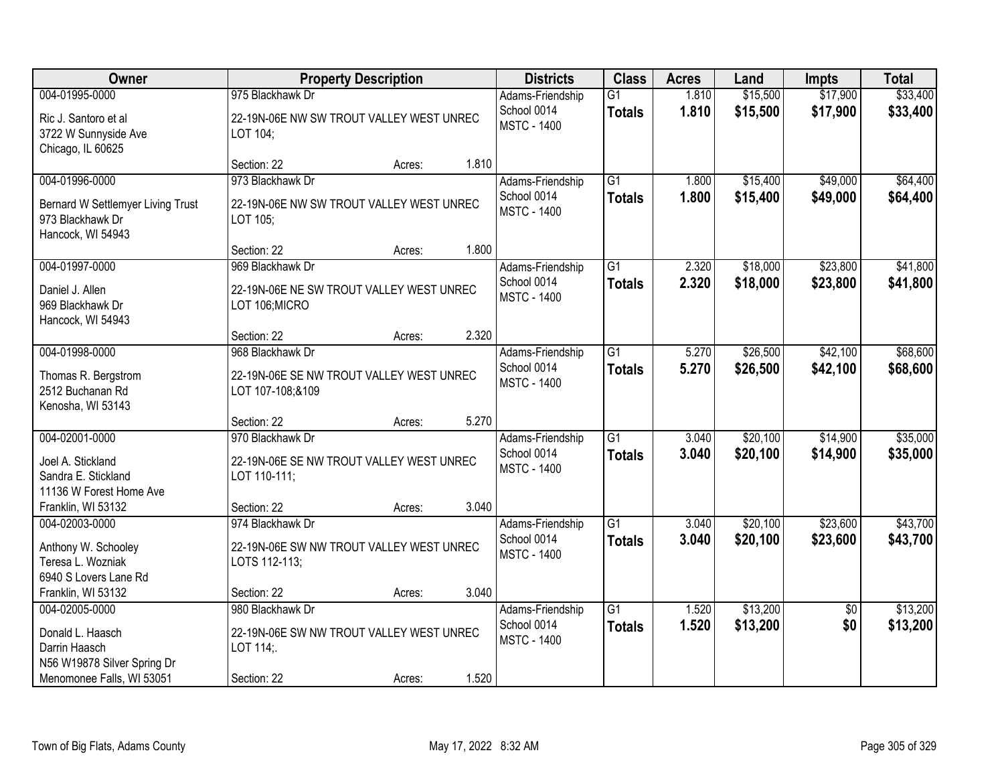| Owner                                                                                         |                                                                     | <b>Property Description</b> |       | <b>Districts</b>                  | <b>Class</b>    | <b>Acres</b> | Land     | <b>Impts</b>    | <b>Total</b> |
|-----------------------------------------------------------------------------------------------|---------------------------------------------------------------------|-----------------------------|-------|-----------------------------------|-----------------|--------------|----------|-----------------|--------------|
| 004-01995-0000                                                                                | 975 Blackhawk Dr                                                    |                             |       | Adams-Friendship                  | $\overline{G1}$ | 1.810        | \$15,500 | \$17,900        | \$33,400     |
| Ric J. Santoro et al<br>3722 W Sunnyside Ave<br>Chicago, IL 60625                             | 22-19N-06E NW SW TROUT VALLEY WEST UNREC<br>LOT 104;                |                             |       | School 0014<br><b>MSTC - 1400</b> | <b>Totals</b>   | 1.810        | \$15,500 | \$17,900        | \$33,400     |
|                                                                                               | Section: 22                                                         | Acres:                      | 1.810 |                                   |                 |              |          |                 |              |
| 004-01996-0000                                                                                | 973 Blackhawk Dr                                                    |                             |       | Adams-Friendship                  | $\overline{G1}$ | 1.800        | \$15,400 | \$49,000        | \$64,400     |
| Bernard W Settlemyer Living Trust<br>973 Blackhawk Dr<br>Hancock, WI 54943                    | 22-19N-06E NW SW TROUT VALLEY WEST UNREC<br>LOT 105:                |                             |       | School 0014<br><b>MSTC - 1400</b> | <b>Totals</b>   | 1.800        | \$15,400 | \$49,000        | \$64,400     |
|                                                                                               | Section: 22                                                         | Acres:                      | 1.800 |                                   |                 |              |          |                 |              |
| 004-01997-0000                                                                                | 969 Blackhawk Dr                                                    |                             |       | Adams-Friendship                  | G1              | 2.320        | \$18,000 | \$23,800        | \$41,800     |
| Daniel J. Allen<br>969 Blackhawk Dr<br>Hancock, WI 54943                                      | 22-19N-06E NE SW TROUT VALLEY WEST UNREC<br>LOT 106; MICRO          |                             |       | School 0014<br><b>MSTC - 1400</b> | <b>Totals</b>   | 2.320        | \$18,000 | \$23,800        | \$41,800     |
|                                                                                               | Section: 22                                                         | Acres:                      | 2.320 |                                   |                 |              |          |                 |              |
| 004-01998-0000                                                                                | 968 Blackhawk Dr                                                    |                             |       | Adams-Friendship                  | $\overline{G1}$ | 5.270        | \$26,500 | \$42,100        | \$68,600     |
| Thomas R. Bergstrom<br>2512 Buchanan Rd<br>Kenosha, WI 53143                                  | 22-19N-06E SE NW TROUT VALLEY WEST UNREC<br>LOT 107-108;&109        |                             |       | School 0014<br><b>MSTC - 1400</b> | <b>Totals</b>   | 5.270        | \$26,500 | \$42,100        | \$68,600     |
|                                                                                               | Section: 22                                                         | Acres:                      | 5.270 |                                   |                 |              |          |                 |              |
| 004-02001-0000                                                                                | 970 Blackhawk Dr                                                    |                             |       | Adams-Friendship                  | $\overline{G1}$ | 3.040        | \$20,100 | \$14,900        | \$35,000     |
| Joel A. Stickland<br>Sandra E. Stickland<br>11136 W Forest Home Ave                           | 22-19N-06E SE NW TROUT VALLEY WEST UNREC<br>LOT 110-111;            |                             |       | School 0014<br><b>MSTC - 1400</b> | <b>Totals</b>   | 3.040        | \$20,100 | \$14,900        | \$35,000     |
| Franklin, WI 53132                                                                            | Section: 22                                                         | Acres:                      | 3.040 |                                   |                 |              |          |                 |              |
| 004-02003-0000                                                                                | 974 Blackhawk Dr                                                    |                             |       | Adams-Friendship                  | $\overline{G1}$ | 3.040        | \$20,100 | \$23,600        | \$43,700     |
| Anthony W. Schooley<br>Teresa L. Wozniak<br>6940 S Lovers Lane Rd                             | 22-19N-06E SW NW TROUT VALLEY WEST UNREC<br>LOTS 112-113;           |                             |       | School 0014<br><b>MSTC - 1400</b> | <b>Totals</b>   | 3.040        | \$20,100 | \$23,600        | \$43,700     |
| Franklin, WI 53132                                                                            | Section: 22                                                         | Acres:                      | 3.040 |                                   |                 |              |          |                 |              |
| 004-02005-0000                                                                                | 980 Blackhawk Dr                                                    |                             |       | Adams-Friendship                  | $\overline{G1}$ | 1.520        | \$13,200 | $\overline{50}$ | \$13,200     |
| Donald L. Haasch<br>Darrin Haasch<br>N56 W19878 Silver Spring Dr<br>Menomonee Falls, WI 53051 | 22-19N-06E SW NW TROUT VALLEY WEST UNREC<br>LOT 114;<br>Section: 22 | Acres:                      | 1.520 | School 0014<br><b>MSTC - 1400</b> | <b>Totals</b>   | 1.520        | \$13,200 | \$0             | \$13,200     |
|                                                                                               |                                                                     |                             |       |                                   |                 |              |          |                 |              |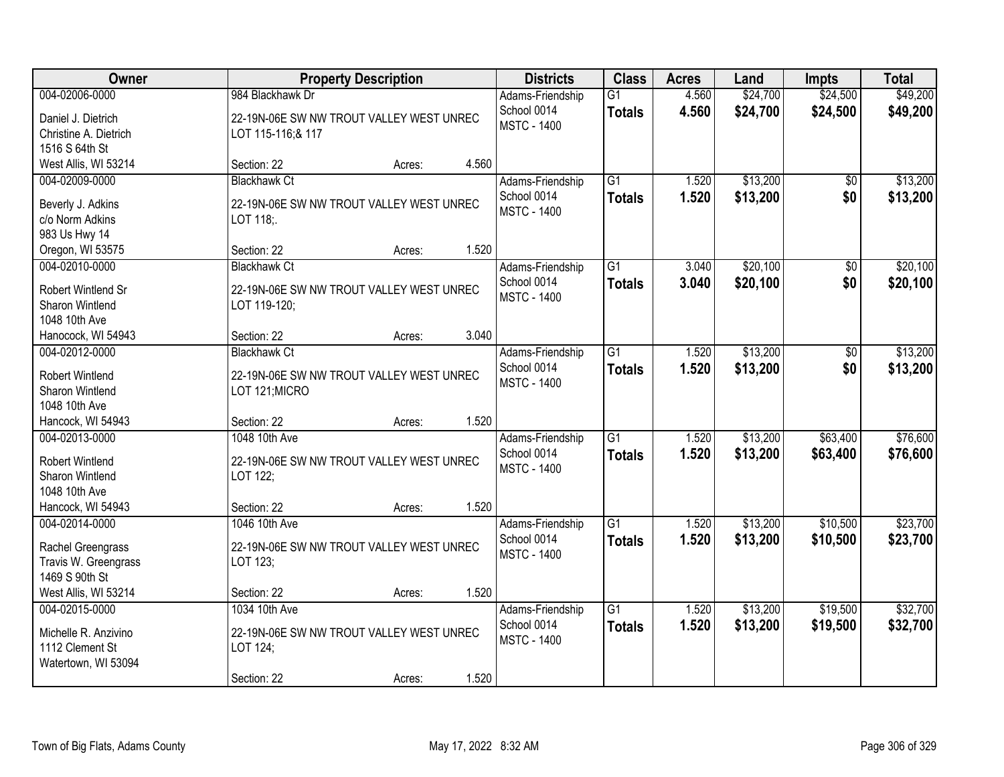| Owner                                                                            |                                                                                      | <b>Property Description</b> |       | <b>Districts</b>                                      | <b>Class</b>                     | <b>Acres</b>   | Land                 | <b>Impts</b>           | <b>Total</b>         |
|----------------------------------------------------------------------------------|--------------------------------------------------------------------------------------|-----------------------------|-------|-------------------------------------------------------|----------------------------------|----------------|----------------------|------------------------|----------------------|
| 004-02006-0000<br>Daniel J. Dietrich<br>Christine A. Dietrich                    | 984 Blackhawk Dr<br>22-19N-06E SW NW TROUT VALLEY WEST UNREC<br>LOT 115-116;& 117    |                             |       | Adams-Friendship<br>School 0014<br><b>MSTC - 1400</b> | $\overline{G1}$<br><b>Totals</b> | 4.560<br>4.560 | \$24,700<br>\$24,700 | \$24,500<br>\$24,500   | \$49,200<br>\$49,200 |
| 1516 S 64th St<br>West Allis, WI 53214                                           | Section: 22                                                                          | Acres:                      | 4.560 |                                                       |                                  |                |                      |                        |                      |
| 004-02009-0000<br>Beverly J. Adkins<br>c/o Norm Adkins<br>983 Us Hwy 14          | <b>Blackhawk Ct</b><br>22-19N-06E SW NW TROUT VALLEY WEST UNREC<br>LOT 118;          |                             |       | Adams-Friendship<br>School 0014<br><b>MSTC - 1400</b> | $\overline{G1}$<br><b>Totals</b> | 1.520<br>1.520 | \$13,200<br>\$13,200 | $\overline{50}$<br>\$0 | \$13,200<br>\$13,200 |
| Oregon, WI 53575                                                                 | Section: 22                                                                          | Acres:                      | 1.520 |                                                       |                                  |                |                      |                        |                      |
| 004-02010-0000<br>Robert Wintlend Sr<br>Sharon Wintlend<br>1048 10th Ave         | <b>Blackhawk Ct</b><br>22-19N-06E SW NW TROUT VALLEY WEST UNREC<br>LOT 119-120;      |                             |       | Adams-Friendship<br>School 0014<br><b>MSTC - 1400</b> | G1<br><b>Totals</b>              | 3.040<br>3.040 | \$20,100<br>\$20,100 | \$0<br>\$0             | \$20,100<br>\$20,100 |
| Hanocock, WI 54943                                                               | Section: 22                                                                          | Acres:                      | 3.040 |                                                       |                                  |                |                      |                        |                      |
| 004-02012-0000<br><b>Robert Wintlend</b><br>Sharon Wintlend<br>1048 10th Ave     | <b>Blackhawk Ct</b><br>22-19N-06E SW NW TROUT VALLEY WEST UNREC<br>LOT 121; MICRO    |                             |       | Adams-Friendship<br>School 0014<br><b>MSTC - 1400</b> | $\overline{G1}$<br><b>Totals</b> | 1.520<br>1.520 | \$13,200<br>\$13,200 | \$0<br>\$0             | \$13,200<br>\$13,200 |
| Hancock, WI 54943                                                                | Section: 22                                                                          | Acres:                      | 1.520 |                                                       |                                  |                |                      |                        |                      |
| 004-02013-0000<br><b>Robert Wintlend</b><br>Sharon Wintlend<br>1048 10th Ave     | 1048 10th Ave<br>22-19N-06E SW NW TROUT VALLEY WEST UNREC<br>LOT 122;                |                             |       | Adams-Friendship<br>School 0014<br><b>MSTC - 1400</b> | $\overline{G1}$<br><b>Totals</b> | 1.520<br>1.520 | \$13,200<br>\$13,200 | \$63,400<br>\$63,400   | \$76,600<br>\$76,600 |
| Hancock, WI 54943                                                                | Section: 22                                                                          | Acres:                      | 1.520 |                                                       |                                  |                |                      |                        |                      |
| 004-02014-0000<br>Rachel Greengrass<br>Travis W. Greengrass<br>1469 S 90th St    | 1046 10th Ave<br>22-19N-06E SW NW TROUT VALLEY WEST UNREC<br>LOT 123;                |                             |       | Adams-Friendship<br>School 0014<br><b>MSTC - 1400</b> | $\overline{G1}$<br><b>Totals</b> | 1.520<br>1.520 | \$13,200<br>\$13,200 | \$10,500<br>\$10,500   | \$23,700<br>\$23,700 |
| West Allis, WI 53214                                                             | Section: 22                                                                          | Acres:                      | 1.520 |                                                       |                                  |                |                      |                        |                      |
| 004-02015-0000<br>Michelle R. Anzivino<br>1112 Clement St<br>Watertown, WI 53094 | 1034 10th Ave<br>22-19N-06E SW NW TROUT VALLEY WEST UNREC<br>LOT 124;<br>Section: 22 | Acres:                      | 1.520 | Adams-Friendship<br>School 0014<br><b>MSTC - 1400</b> | $\overline{G1}$<br><b>Totals</b> | 1.520<br>1.520 | \$13,200<br>\$13,200 | \$19,500<br>\$19,500   | \$32,700<br>\$32,700 |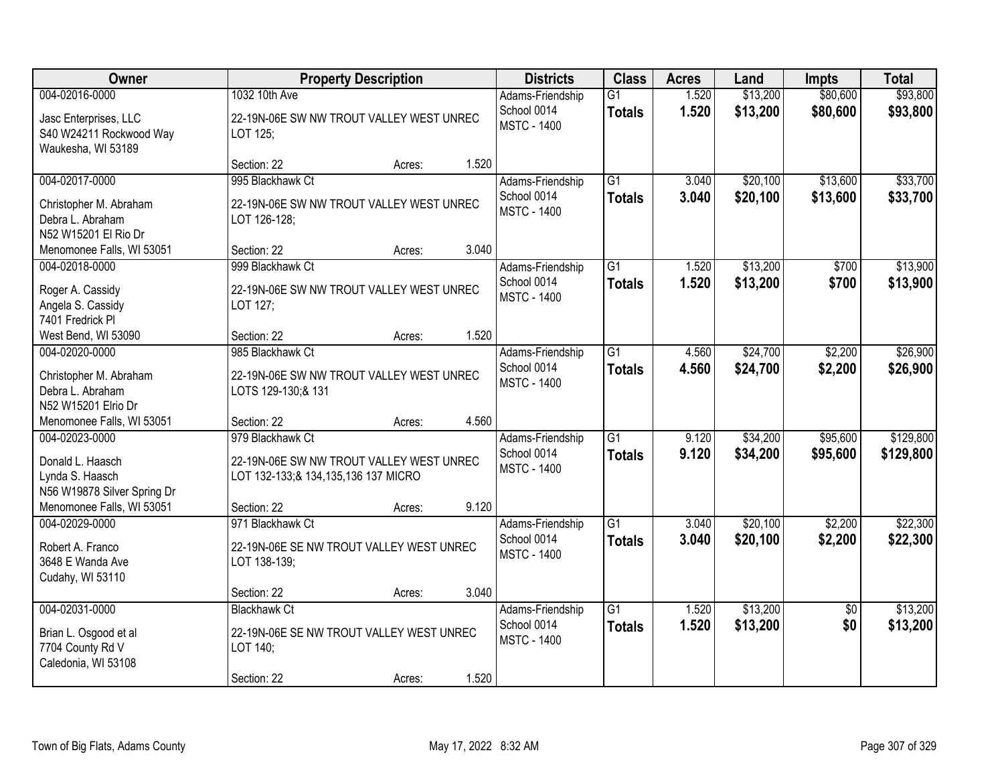| Owner                                                                                                             | <b>Property Description</b>                                                                                           |                 | <b>Districts</b>                                      | <b>Class</b>                     | <b>Acres</b>   | Land                 | <b>Impts</b>           | <b>Total</b>           |
|-------------------------------------------------------------------------------------------------------------------|-----------------------------------------------------------------------------------------------------------------------|-----------------|-------------------------------------------------------|----------------------------------|----------------|----------------------|------------------------|------------------------|
| 004-02016-0000<br>Jasc Enterprises, LLC<br>S40 W24211 Rockwood Way<br>Waukesha, WI 53189                          | 1032 10th Ave<br>22-19N-06E SW NW TROUT VALLEY WEST UNREC<br>LOT 125;                                                 |                 | Adams-Friendship<br>School 0014<br><b>MSTC - 1400</b> | $\overline{G1}$<br><b>Totals</b> | 1.520<br>1.520 | \$13,200<br>\$13,200 | \$80,600<br>\$80,600   | \$93,800<br>\$93,800   |
|                                                                                                                   | Section: 22                                                                                                           | 1.520<br>Acres: |                                                       |                                  |                |                      |                        |                        |
| 004-02017-0000<br>Christopher M. Abraham<br>Debra L. Abraham<br>N52 W15201 El Rio Dr                              | 995 Blackhawk Ct<br>22-19N-06E SW NW TROUT VALLEY WEST UNREC<br>LOT 126-128;                                          |                 | Adams-Friendship<br>School 0014<br><b>MSTC - 1400</b> | $\overline{G1}$<br><b>Totals</b> | 3.040<br>3.040 | \$20,100<br>\$20,100 | \$13,600<br>\$13,600   | \$33,700<br>\$33,700   |
| Menomonee Falls, WI 53051                                                                                         | Section: 22                                                                                                           | 3.040<br>Acres: |                                                       |                                  |                |                      |                        |                        |
| 004-02018-0000<br>Roger A. Cassidy<br>Angela S. Cassidy<br>7401 Fredrick PI                                       | 999 Blackhawk Ct<br>22-19N-06E SW NW TROUT VALLEY WEST UNREC<br>LOT 127;                                              |                 | Adams-Friendship<br>School 0014<br><b>MSTC - 1400</b> | $\overline{G1}$<br><b>Totals</b> | 1.520<br>1.520 | \$13,200<br>\$13,200 | \$700<br>\$700         | \$13,900<br>\$13,900   |
| West Bend, WI 53090                                                                                               | Section: 22                                                                                                           | 1.520<br>Acres: |                                                       |                                  |                |                      |                        |                        |
| 004-02020-0000<br>Christopher M. Abraham<br>Debra L. Abraham<br>N52 W15201 Elrio Dr                               | 985 Blackhawk Ct<br>22-19N-06E SW NW TROUT VALLEY WEST UNREC<br>LOTS 129-130;& 131                                    |                 | Adams-Friendship<br>School 0014<br><b>MSTC - 1400</b> | $\overline{G1}$<br><b>Totals</b> | 4.560<br>4.560 | \$24,700<br>\$24,700 | \$2,200<br>\$2,200     | \$26,900<br>\$26,900   |
| Menomonee Falls, WI 53051                                                                                         | Section: 22                                                                                                           | 4.560<br>Acres: |                                                       |                                  |                |                      |                        |                        |
| 004-02023-0000<br>Donald L. Haasch<br>Lynda S. Haasch<br>N56 W19878 Silver Spring Dr<br>Menomonee Falls, WI 53051 | 979 Blackhawk Ct<br>22-19N-06E SW NW TROUT VALLEY WEST UNREC<br>LOT 132-133; & 134, 135, 136 137 MICRO<br>Section: 22 | 9.120<br>Acres: | Adams-Friendship<br>School 0014<br><b>MSTC - 1400</b> | $\overline{G1}$<br><b>Totals</b> | 9.120<br>9.120 | \$34,200<br>\$34,200 | \$95,600<br>\$95,600   | \$129,800<br>\$129,800 |
| 004-02029-0000                                                                                                    | 971 Blackhawk Ct                                                                                                      |                 | Adams-Friendship                                      | G1                               | 3.040          | \$20,100             | \$2,200                | \$22,300               |
| Robert A. Franco<br>3648 E Wanda Ave<br>Cudahy, WI 53110                                                          | 22-19N-06E SE NW TROUT VALLEY WEST UNREC<br>LOT 138-139;                                                              |                 | School 0014<br><b>MSTC - 1400</b>                     | <b>Totals</b>                    | 3.040          | \$20,100             | \$2,200                | \$22,300               |
|                                                                                                                   | Section: 22                                                                                                           | 3.040<br>Acres: |                                                       |                                  |                |                      |                        |                        |
| 004-02031-0000<br>Brian L. Osgood et al<br>7704 County Rd V<br>Caledonia, WI 53108                                | <b>Blackhawk Ct</b><br>22-19N-06E SE NW TROUT VALLEY WEST UNREC<br>LOT 140;<br>Section: 22                            | 1.520<br>Acres: | Adams-Friendship<br>School 0014<br><b>MSTC - 1400</b> | $\overline{G1}$<br><b>Totals</b> | 1.520<br>1.520 | \$13,200<br>\$13,200 | $\overline{50}$<br>\$0 | \$13,200<br>\$13,200   |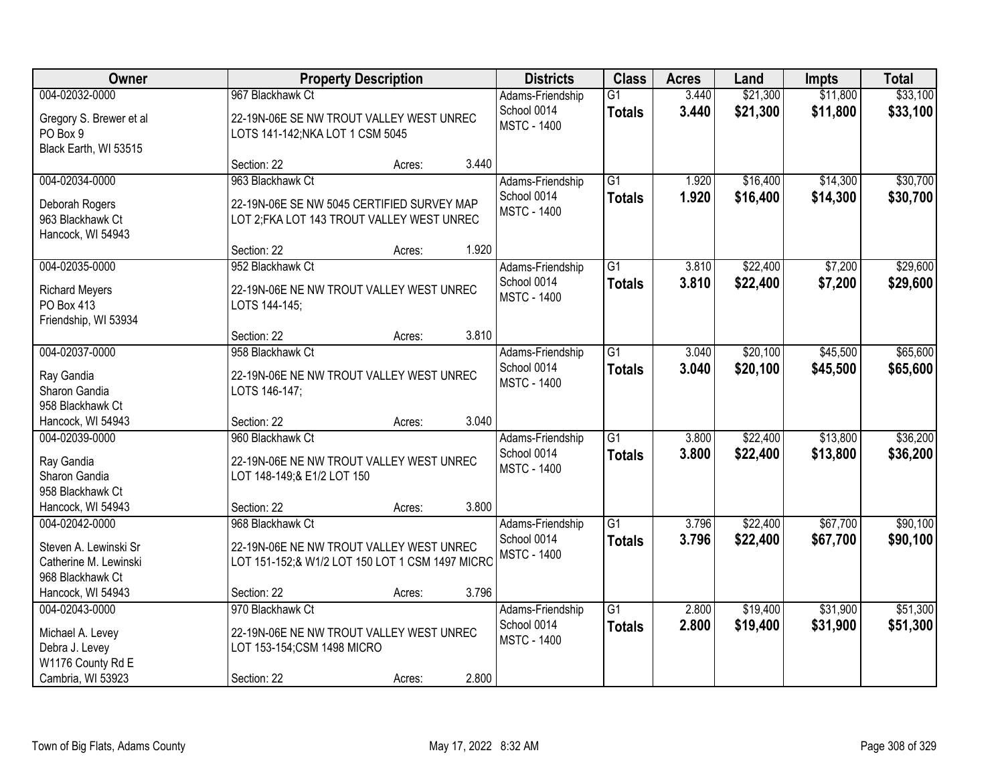| Owner                                                                                          |                                                                                                              | <b>Property Description</b> |       | <b>Districts</b>                                      | <b>Class</b>                     | <b>Acres</b>   | Land                 | <b>Impts</b>         | <b>Total</b>         |
|------------------------------------------------------------------------------------------------|--------------------------------------------------------------------------------------------------------------|-----------------------------|-------|-------------------------------------------------------|----------------------------------|----------------|----------------------|----------------------|----------------------|
| 004-02032-0000<br>Gregory S. Brewer et al<br>PO Box 9<br>Black Earth, WI 53515                 | 967 Blackhawk Ct<br>22-19N-06E SE NW TROUT VALLEY WEST UNREC<br>LOTS 141-142; NKA LOT 1 CSM 5045             |                             |       | Adams-Friendship<br>School 0014<br><b>MSTC - 1400</b> | $\overline{G1}$<br><b>Totals</b> | 3.440<br>3.440 | \$21,300<br>\$21,300 | \$11,800<br>\$11,800 | \$33,100<br>\$33,100 |
|                                                                                                | Section: 22                                                                                                  | Acres:                      | 3.440 |                                                       |                                  |                |                      |                      |                      |
| 004-02034-0000<br>Deborah Rogers<br>963 Blackhawk Ct<br>Hancock, WI 54943                      | 963 Blackhawk Ct<br>22-19N-06E SE NW 5045 CERTIFIED SURVEY MAP<br>LOT 2; FKA LOT 143 TROUT VALLEY WEST UNREC |                             | 1.920 | Adams-Friendship<br>School 0014<br><b>MSTC - 1400</b> | $\overline{G1}$<br><b>Totals</b> | 1.920<br>1.920 | \$16,400<br>\$16,400 | \$14,300<br>\$14,300 | \$30,700<br>\$30,700 |
| 004-02035-0000                                                                                 | Section: 22<br>952 Blackhawk Ct                                                                              | Acres:                      |       | Adams-Friendship                                      | $\overline{G1}$                  | 3.810          | \$22,400             | \$7,200              | \$29,600             |
| <b>Richard Meyers</b><br>PO Box 413<br>Friendship, WI 53934                                    | 22-19N-06E NE NW TROUT VALLEY WEST UNREC<br>LOTS 144-145;                                                    |                             |       | School 0014<br><b>MSTC - 1400</b>                     | <b>Totals</b>                    | 3.810          | \$22,400             | \$7,200              | \$29,600             |
|                                                                                                | Section: 22                                                                                                  | Acres:                      | 3.810 |                                                       |                                  |                |                      |                      |                      |
| 004-02037-0000<br>Ray Gandia<br>Sharon Gandia<br>958 Blackhawk Ct                              | 958 Blackhawk Ct<br>22-19N-06E NE NW TROUT VALLEY WEST UNREC<br>LOTS 146-147;                                |                             |       | Adams-Friendship<br>School 0014<br><b>MSTC - 1400</b> | $\overline{G1}$<br><b>Totals</b> | 3.040<br>3.040 | \$20,100<br>\$20,100 | \$45,500<br>\$45,500 | \$65,600<br>\$65,600 |
| Hancock, WI 54943                                                                              | Section: 22                                                                                                  | Acres:                      | 3.040 |                                                       |                                  |                |                      |                      |                      |
| 004-02039-0000<br>Ray Gandia<br>Sharon Gandia<br>958 Blackhawk Ct<br>Hancock, WI 54943         | 960 Blackhawk Ct<br>22-19N-06E NE NW TROUT VALLEY WEST UNREC<br>LOT 148-149; & E1/2 LOT 150<br>Section: 22   |                             | 3.800 | Adams-Friendship<br>School 0014<br><b>MSTC - 1400</b> | $\overline{G1}$<br><b>Totals</b> | 3.800<br>3.800 | \$22,400<br>\$22,400 | \$13,800<br>\$13,800 | \$36,200<br>\$36,200 |
| 004-02042-0000                                                                                 | 968 Blackhawk Ct                                                                                             | Acres:                      |       | Adams-Friendship                                      | $\overline{G1}$                  | 3.796          | \$22,400             | \$67,700             | \$90,100             |
| Steven A. Lewinski Sr<br>Catherine M. Lewinski<br>968 Blackhawk Ct                             | 22-19N-06E NE NW TROUT VALLEY WEST UNREC<br>LOT 151-152;& W1/2 LOT 150 LOT 1 CSM 1497 MICRC                  |                             |       | School 0014<br><b>MSTC - 1400</b>                     | <b>Totals</b>                    | 3.796          | \$22,400             | \$67,700             | \$90,100             |
| Hancock, WI 54943                                                                              | Section: 22                                                                                                  | Acres:                      | 3.796 |                                                       |                                  |                |                      |                      |                      |
| 004-02043-0000<br>Michael A. Levey<br>Debra J. Levey<br>W1176 County Rd E<br>Cambria, WI 53923 | 970 Blackhawk Ct<br>22-19N-06E NE NW TROUT VALLEY WEST UNREC<br>LOT 153-154;CSM 1498 MICRO<br>Section: 22    | Acres:                      | 2.800 | Adams-Friendship<br>School 0014<br><b>MSTC - 1400</b> | $\overline{G1}$<br><b>Totals</b> | 2.800<br>2.800 | \$19,400<br>\$19,400 | \$31,900<br>\$31,900 | \$51,300<br>\$51,300 |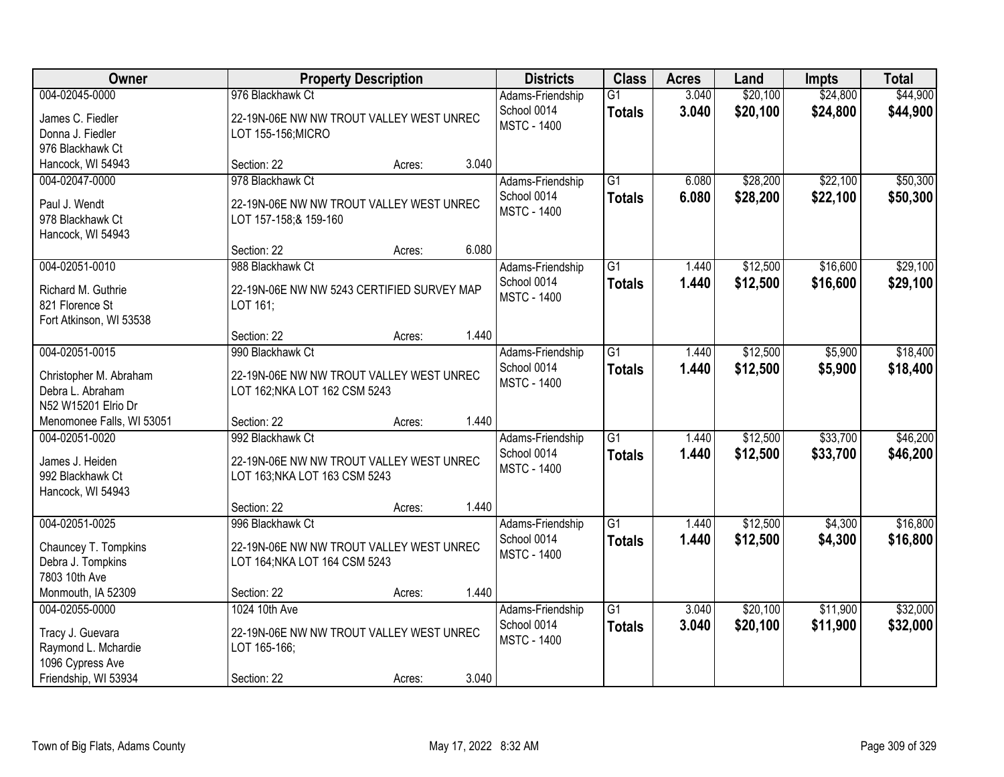| Owner                                     |                                            | <b>Property Description</b> |       | <b>Districts</b>   | <b>Class</b>    | <b>Acres</b> | Land     | <b>Impts</b> | <b>Total</b> |
|-------------------------------------------|--------------------------------------------|-----------------------------|-------|--------------------|-----------------|--------------|----------|--------------|--------------|
| 004-02045-0000                            | 976 Blackhawk Ct                           |                             |       | Adams-Friendship   | $\overline{G1}$ | 3.040        | \$20,100 | \$24,800     | \$44,900     |
| James C. Fiedler                          | 22-19N-06E NW NW TROUT VALLEY WEST UNREC   |                             |       | School 0014        | <b>Totals</b>   | 3.040        | \$20,100 | \$24,800     | \$44,900     |
| Donna J. Fiedler                          | LOT 155-156; MICRO                         |                             |       | <b>MSTC - 1400</b> |                 |              |          |              |              |
| 976 Blackhawk Ct                          |                                            |                             |       |                    |                 |              |          |              |              |
| Hancock, WI 54943                         | Section: 22                                | Acres:                      | 3.040 |                    |                 |              |          |              |              |
| 004-02047-0000                            | 978 Blackhawk Ct                           |                             |       | Adams-Friendship   | $\overline{G1}$ | 6.080        | \$28,200 | \$22,100     | \$50,300     |
| Paul J. Wendt                             | 22-19N-06E NW NW TROUT VALLEY WEST UNREC   |                             |       | School 0014        | <b>Totals</b>   | 6.080        | \$28,200 | \$22,100     | \$50,300     |
| 978 Blackhawk Ct                          | LOT 157-158; & 159-160                     |                             |       | <b>MSTC - 1400</b> |                 |              |          |              |              |
| Hancock, WI 54943                         |                                            |                             |       |                    |                 |              |          |              |              |
|                                           | Section: 22                                | Acres:                      | 6.080 |                    |                 |              |          |              |              |
| 004-02051-0010                            | 988 Blackhawk Ct                           |                             |       | Adams-Friendship   | $\overline{G1}$ | 1.440        | \$12,500 | \$16,600     | \$29,100     |
| Richard M. Guthrie                        | 22-19N-06E NW NW 5243 CERTIFIED SURVEY MAP |                             |       | School 0014        | <b>Totals</b>   | 1.440        | \$12,500 | \$16,600     | \$29,100     |
| 821 Florence St                           | LOT 161;                                   |                             |       | <b>MSTC - 1400</b> |                 |              |          |              |              |
| Fort Atkinson, WI 53538                   |                                            |                             |       |                    |                 |              |          |              |              |
|                                           | Section: 22                                | Acres:                      | 1.440 |                    |                 |              |          |              |              |
| 004-02051-0015                            | 990 Blackhawk Ct                           |                             |       | Adams-Friendship   | G1              | 1.440        | \$12,500 | \$5,900      | \$18,400     |
| Christopher M. Abraham                    | 22-19N-06E NW NW TROUT VALLEY WEST UNREC   |                             |       | School 0014        | <b>Totals</b>   | 1.440        | \$12,500 | \$5,900      | \$18,400     |
| Debra L. Abraham                          | LOT 162; NKA LOT 162 CSM 5243              |                             |       | <b>MSTC - 1400</b> |                 |              |          |              |              |
| N52 W15201 Elrio Dr                       |                                            |                             |       |                    |                 |              |          |              |              |
| Menomonee Falls, WI 53051                 | Section: 22                                | Acres:                      | 1.440 |                    |                 |              |          |              |              |
| 004-02051-0020                            | 992 Blackhawk Ct                           |                             |       | Adams-Friendship   | $\overline{G1}$ | 1.440        | \$12,500 | \$33,700     | \$46,200     |
| James J. Heiden                           | 22-19N-06E NW NW TROUT VALLEY WEST UNREC   |                             |       | School 0014        | <b>Totals</b>   | 1.440        | \$12,500 | \$33,700     | \$46,200     |
| 992 Blackhawk Ct                          | LOT 163; NKA LOT 163 CSM 5243              |                             |       | <b>MSTC - 1400</b> |                 |              |          |              |              |
| Hancock, WI 54943                         |                                            |                             |       |                    |                 |              |          |              |              |
|                                           | Section: 22                                | Acres:                      | 1.440 |                    |                 |              |          |              |              |
| 004-02051-0025                            | 996 Blackhawk Ct                           |                             |       | Adams-Friendship   | $\overline{G1}$ | 1.440        | \$12,500 | \$4,300      | \$16,800     |
|                                           | 22-19N-06E NW NW TROUT VALLEY WEST UNREC   |                             |       | School 0014        | <b>Totals</b>   | 1.440        | \$12,500 | \$4,300      | \$16,800     |
| Chauncey T. Tompkins<br>Debra J. Tompkins | LOT 164; NKA LOT 164 CSM 5243              |                             |       | <b>MSTC - 1400</b> |                 |              |          |              |              |
| 7803 10th Ave                             |                                            |                             |       |                    |                 |              |          |              |              |
| Monmouth, IA 52309                        | Section: 22                                | Acres:                      | 1.440 |                    |                 |              |          |              |              |
| 004-02055-0000                            | 1024 10th Ave                              |                             |       | Adams-Friendship   | $\overline{G1}$ | 3.040        | \$20,100 | \$11,900     | \$32,000     |
|                                           | 22-19N-06E NW NW TROUT VALLEY WEST UNREC   |                             |       | School 0014        | <b>Totals</b>   | 3.040        | \$20,100 | \$11,900     | \$32,000     |
| Tracy J. Guevara<br>Raymond L. Mchardie   | LOT 165-166;                               |                             |       | <b>MSTC - 1400</b> |                 |              |          |              |              |
| 1096 Cypress Ave                          |                                            |                             |       |                    |                 |              |          |              |              |
| Friendship, WI 53934                      | Section: 22                                | Acres:                      | 3.040 |                    |                 |              |          |              |              |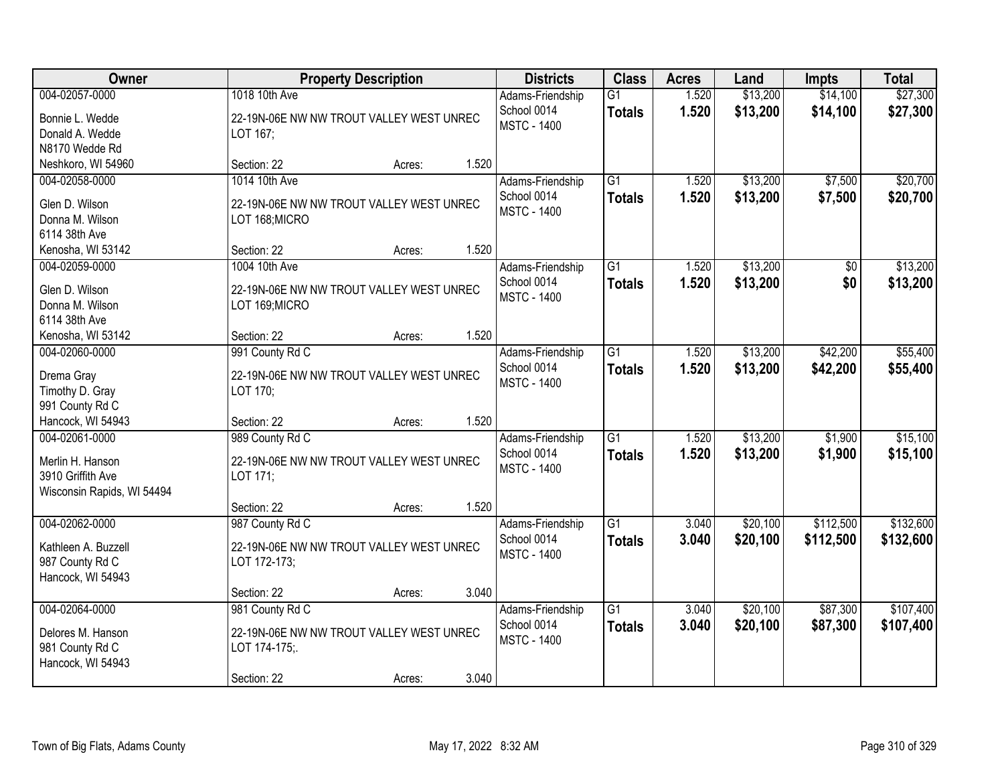| Owner                              | <b>Property Description</b>                          |        |       | <b>Districts</b>                  | <b>Class</b>                     | <b>Acres</b>   | Land                 | <b>Impts</b>         | <b>Total</b>         |
|------------------------------------|------------------------------------------------------|--------|-------|-----------------------------------|----------------------------------|----------------|----------------------|----------------------|----------------------|
| 004-02057-0000                     | 1018 10th Ave                                        |        |       | Adams-Friendship<br>School 0014   | $\overline{G1}$<br><b>Totals</b> | 1.520<br>1.520 | \$13,200<br>\$13,200 | \$14,100<br>\$14,100 | \$27,300<br>\$27,300 |
| Bonnie L. Wedde<br>Donald A. Wedde | 22-19N-06E NW NW TROUT VALLEY WEST UNREC<br>LOT 167; |        |       | <b>MSTC - 1400</b>                |                                  |                |                      |                      |                      |
| N8170 Wedde Rd                     |                                                      |        |       |                                   |                                  |                |                      |                      |                      |
| Neshkoro, WI 54960                 | Section: 22                                          | Acres: | 1.520 |                                   |                                  |                |                      |                      |                      |
| 004-02058-0000                     | 1014 10th Ave                                        |        |       | Adams-Friendship                  | $\overline{G1}$                  | 1.520          | \$13,200             | \$7,500              | \$20,700             |
| Glen D. Wilson                     | 22-19N-06E NW NW TROUT VALLEY WEST UNREC             |        |       | School 0014                       | <b>Totals</b>                    | 1.520          | \$13,200             | \$7,500              | \$20,700             |
| Donna M. Wilson                    | LOT 168; MICRO                                       |        |       | <b>MSTC - 1400</b>                |                                  |                |                      |                      |                      |
| 6114 38th Ave                      |                                                      |        |       |                                   |                                  |                |                      |                      |                      |
| Kenosha, WI 53142                  | Section: 22                                          | Acres: | 1.520 |                                   |                                  |                |                      |                      |                      |
| 004-02059-0000                     | 1004 10th Ave                                        |        |       | Adams-Friendship                  | $\overline{G1}$                  | 1.520          | \$13,200             | \$0                  | \$13,200             |
| Glen D. Wilson                     | 22-19N-06E NW NW TROUT VALLEY WEST UNREC             |        |       | School 0014                       | <b>Totals</b>                    | 1.520          | \$13,200             | \$0                  | \$13,200             |
| Donna M. Wilson                    | LOT 169;MICRO                                        |        |       | <b>MSTC - 1400</b>                |                                  |                |                      |                      |                      |
| 6114 38th Ave                      |                                                      |        |       |                                   |                                  |                |                      |                      |                      |
| Kenosha, WI 53142                  | Section: 22                                          | Acres: | 1.520 |                                   |                                  |                |                      |                      |                      |
| 004-02060-0000                     | 991 County Rd C                                      |        |       | Adams-Friendship                  | $\overline{G1}$                  | 1.520          | \$13,200             | \$42,200             | \$55,400             |
| Drema Gray                         | 22-19N-06E NW NW TROUT VALLEY WEST UNREC             |        |       | School 0014                       | <b>Totals</b>                    | 1.520          | \$13,200             | \$42,200             | \$55,400             |
| Timothy D. Gray                    | LOT 170;                                             |        |       | <b>MSTC - 1400</b>                |                                  |                |                      |                      |                      |
| 991 County Rd C                    |                                                      |        |       |                                   |                                  |                |                      |                      |                      |
| Hancock, WI 54943                  | Section: 22                                          | Acres: | 1.520 |                                   |                                  |                |                      |                      |                      |
| 004-02061-0000                     | 989 County Rd C                                      |        |       | Adams-Friendship                  | $\overline{G1}$                  | 1.520          | \$13,200             | \$1,900              | \$15,100             |
| Merlin H. Hanson                   | 22-19N-06E NW NW TROUT VALLEY WEST UNREC             |        |       | School 0014                       | <b>Totals</b>                    | 1.520          | \$13,200             | \$1,900              | \$15,100             |
| 3910 Griffith Ave                  | LOT 171;                                             |        |       | <b>MSTC - 1400</b>                |                                  |                |                      |                      |                      |
| Wisconsin Rapids, WI 54494         |                                                      |        |       |                                   |                                  |                |                      |                      |                      |
|                                    | Section: 22                                          | Acres: | 1.520 |                                   |                                  |                |                      |                      |                      |
| 004-02062-0000                     | 987 County Rd C                                      |        |       | Adams-Friendship                  | $\overline{G1}$                  | 3.040          | \$20,100             | \$112,500            | \$132,600            |
| Kathleen A. Buzzell                | 22-19N-06E NW NW TROUT VALLEY WEST UNREC             |        |       | School 0014<br><b>MSTC - 1400</b> | <b>Totals</b>                    | 3.040          | \$20,100             | \$112,500            | \$132,600            |
| 987 County Rd C                    | LOT 172-173;                                         |        |       |                                   |                                  |                |                      |                      |                      |
| Hancock, WI 54943                  |                                                      |        |       |                                   |                                  |                |                      |                      |                      |
|                                    | Section: 22                                          | Acres: | 3.040 |                                   |                                  |                |                      |                      |                      |
| 004-02064-0000                     | 981 County Rd C                                      |        |       | Adams-Friendship<br>School 0014   | $\overline{G1}$                  | 3.040<br>3.040 | \$20,100             | \$87,300             | \$107,400            |
| Delores M. Hanson                  | 22-19N-06E NW NW TROUT VALLEY WEST UNREC             |        |       | <b>MSTC - 1400</b>                | <b>Totals</b>                    |                | \$20,100             | \$87,300             | \$107,400            |
| 981 County Rd C                    | LOT 174-175;.                                        |        |       |                                   |                                  |                |                      |                      |                      |
| Hancock, WI 54943                  |                                                      |        |       |                                   |                                  |                |                      |                      |                      |
|                                    | Section: 22                                          | Acres: | 3.040 |                                   |                                  |                |                      |                      |                      |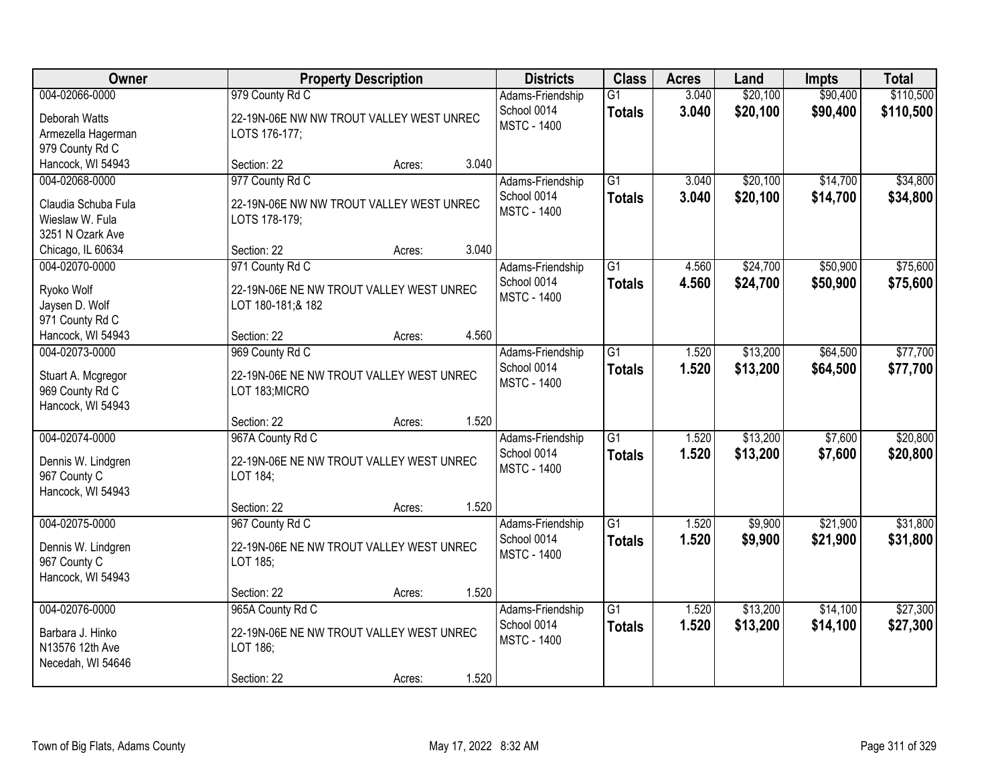| Owner                                                                                             | <b>Property Description</b>                                                                                    | <b>Districts</b>                                      | <b>Class</b>                     | <b>Acres</b>   | Land                 | <b>Impts</b>         | <b>Total</b>           |
|---------------------------------------------------------------------------------------------------|----------------------------------------------------------------------------------------------------------------|-------------------------------------------------------|----------------------------------|----------------|----------------------|----------------------|------------------------|
| 004-02066-0000<br>Deborah Watts<br>Armezella Hagerman<br>979 County Rd C                          | 979 County Rd C<br>22-19N-06E NW NW TROUT VALLEY WEST UNREC<br>LOTS 176-177;                                   | Adams-Friendship<br>School 0014<br><b>MSTC - 1400</b> | $\overline{G1}$<br><b>Totals</b> | 3.040<br>3.040 | \$20,100<br>\$20,100 | \$90,400<br>\$90,400 | \$110,500<br>\$110,500 |
| Hancock, WI 54943                                                                                 | 3.040<br>Section: 22<br>Acres:                                                                                 |                                                       |                                  |                |                      |                      |                        |
| 004-02068-0000<br>Claudia Schuba Fula<br>Wieslaw W. Fula<br>3251 N Ozark Ave<br>Chicago, IL 60634 | 977 County Rd C<br>22-19N-06E NW NW TROUT VALLEY WEST UNREC<br>LOTS 178-179;<br>3.040<br>Section: 22<br>Acres: | Adams-Friendship<br>School 0014<br><b>MSTC - 1400</b> | $\overline{G1}$<br><b>Totals</b> | 3.040<br>3.040 | \$20,100<br>\$20,100 | \$14,700<br>\$14,700 | \$34,800<br>\$34,800   |
| 004-02070-0000                                                                                    | 971 County Rd C                                                                                                | Adams-Friendship                                      | G1                               | 4.560          | \$24,700             | \$50,900             | \$75,600               |
| Ryoko Wolf<br>Jaysen D. Wolf<br>971 County Rd C                                                   | 22-19N-06E NE NW TROUT VALLEY WEST UNREC<br>LOT 180-181;& 182                                                  | School 0014<br><b>MSTC - 1400</b>                     | <b>Totals</b>                    | 4.560          | \$24,700             | \$50,900             | \$75,600               |
| Hancock, WI 54943                                                                                 | 4.560<br>Section: 22<br>Acres:                                                                                 |                                                       |                                  |                |                      |                      |                        |
| 004-02073-0000<br>Stuart A. Mcgregor<br>969 County Rd C<br>Hancock, WI 54943                      | 969 County Rd C<br>22-19N-06E NE NW TROUT VALLEY WEST UNREC<br>LOT 183;MICRO                                   | Adams-Friendship<br>School 0014<br><b>MSTC - 1400</b> | $\overline{G1}$<br><b>Totals</b> | 1.520<br>1.520 | \$13,200<br>\$13,200 | \$64,500<br>\$64,500 | \$77,700<br>\$77,700   |
|                                                                                                   | 1.520<br>Section: 22<br>Acres:                                                                                 |                                                       |                                  |                |                      |                      |                        |
| 004-02074-0000<br>Dennis W. Lindgren<br>967 County C<br>Hancock, WI 54943                         | 967A County Rd C<br>22-19N-06E NE NW TROUT VALLEY WEST UNREC<br>LOT 184;                                       | Adams-Friendship<br>School 0014<br><b>MSTC - 1400</b> | $\overline{G1}$<br><b>Totals</b> | 1.520<br>1.520 | \$13,200<br>\$13,200 | \$7,600<br>\$7,600   | \$20,800<br>\$20,800   |
|                                                                                                   | 1.520<br>Section: 22<br>Acres:                                                                                 |                                                       |                                  |                |                      |                      |                        |
| 004-02075-0000<br>Dennis W. Lindgren<br>967 County C<br>Hancock, WI 54943                         | 967 County Rd C<br>22-19N-06E NE NW TROUT VALLEY WEST UNREC<br>LOT 185;                                        | Adams-Friendship<br>School 0014<br><b>MSTC - 1400</b> | $\overline{G1}$<br><b>Totals</b> | 1.520<br>1.520 | \$9,900<br>\$9,900   | \$21,900<br>\$21,900 | \$31,800<br>\$31,800   |
|                                                                                                   | 1.520<br>Section: 22<br>Acres:                                                                                 |                                                       |                                  |                |                      |                      |                        |
| 004-02076-0000<br>Barbara J. Hinko<br>N13576 12th Ave<br>Necedah, WI 54646                        | 965A County Rd C<br>22-19N-06E NE NW TROUT VALLEY WEST UNREC<br>LOT 186;<br>1.520<br>Section: 22<br>Acres:     | Adams-Friendship<br>School 0014<br><b>MSTC - 1400</b> | $\overline{G1}$<br><b>Totals</b> | 1.520<br>1.520 | \$13,200<br>\$13,200 | \$14,100<br>\$14,100 | \$27,300<br>\$27,300   |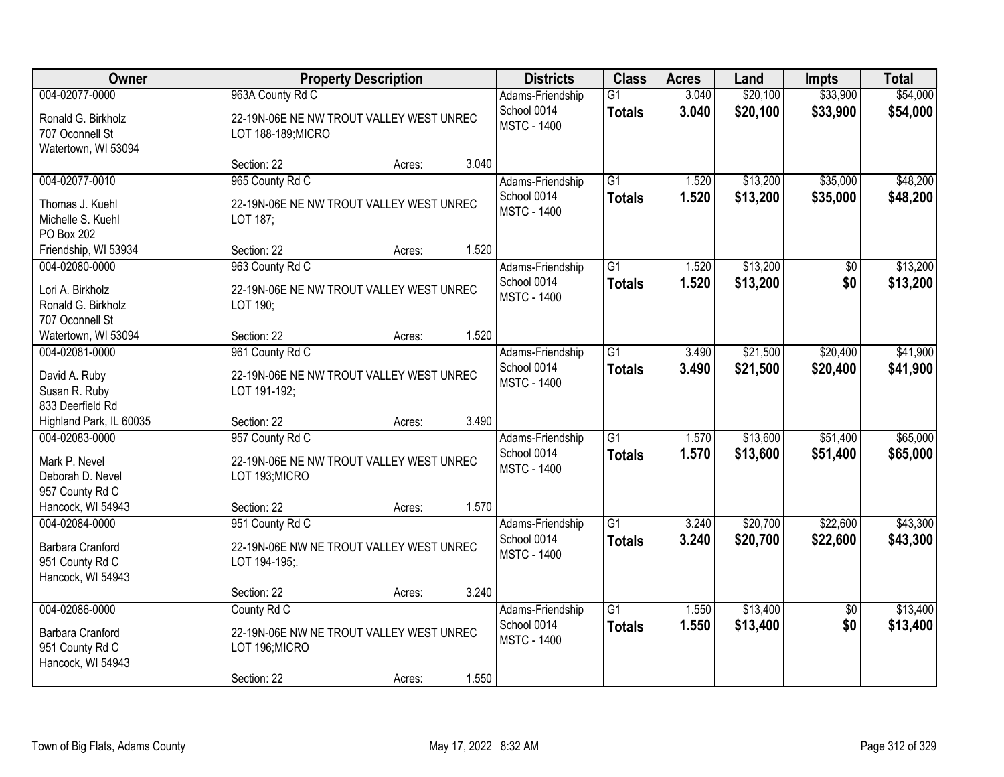| Owner                                                                                       |                                                                                             | <b>Property Description</b> |       | <b>Districts</b>                                      | <b>Class</b>                     | <b>Acres</b>   | Land                 | <b>Impts</b>           | <b>Total</b>         |
|---------------------------------------------------------------------------------------------|---------------------------------------------------------------------------------------------|-----------------------------|-------|-------------------------------------------------------|----------------------------------|----------------|----------------------|------------------------|----------------------|
| 004-02077-0000<br>Ronald G. Birkholz<br>707 Oconnell St<br>Watertown, WI 53094              | 963A County Rd C<br>22-19N-06E NE NW TROUT VALLEY WEST UNREC<br>LOT 188-189; MICRO          |                             |       | Adams-Friendship<br>School 0014<br><b>MSTC - 1400</b> | $\overline{G1}$<br><b>Totals</b> | 3.040<br>3.040 | \$20,100<br>\$20,100 | \$33,900<br>\$33,900   | \$54,000<br>\$54,000 |
|                                                                                             | Section: 22                                                                                 | Acres:                      | 3.040 |                                                       |                                  |                |                      |                        |                      |
| 004-02077-0010<br>Thomas J. Kuehl<br>Michelle S. Kuehl<br>PO Box 202                        | 965 County Rd C<br>22-19N-06E NE NW TROUT VALLEY WEST UNREC<br>LOT 187;                     |                             |       | Adams-Friendship<br>School 0014<br><b>MSTC - 1400</b> | $\overline{G1}$<br><b>Totals</b> | 1.520<br>1.520 | \$13,200<br>\$13,200 | \$35,000<br>\$35,000   | \$48,200<br>\$48,200 |
| Friendship, WI 53934                                                                        | Section: 22                                                                                 | Acres:                      | 1.520 |                                                       |                                  |                |                      |                        |                      |
| 004-02080-0000<br>Lori A. Birkholz<br>Ronald G. Birkholz<br>707 Oconnell St                 | 963 County Rd C<br>22-19N-06E NE NW TROUT VALLEY WEST UNREC<br>LOT 190;                     |                             |       | Adams-Friendship<br>School 0014<br><b>MSTC - 1400</b> | $\overline{G1}$<br><b>Totals</b> | 1.520<br>1.520 | \$13,200<br>\$13,200 | $\overline{50}$<br>\$0 | \$13,200<br>\$13,200 |
| Watertown, WI 53094                                                                         | Section: 22                                                                                 | Acres:                      | 1.520 |                                                       |                                  |                |                      |                        |                      |
| 004-02081-0000<br>David A. Ruby<br>Susan R. Ruby<br>833 Deerfield Rd                        | 961 County Rd C<br>22-19N-06E NE NW TROUT VALLEY WEST UNREC<br>LOT 191-192;                 |                             |       | Adams-Friendship<br>School 0014<br><b>MSTC - 1400</b> | $\overline{G1}$<br><b>Totals</b> | 3.490<br>3.490 | \$21,500<br>\$21,500 | \$20,400<br>\$20,400   | \$41,900<br>\$41,900 |
| Highland Park, IL 60035                                                                     | Section: 22                                                                                 | Acres:                      | 3.490 |                                                       |                                  |                |                      |                        |                      |
| 004-02083-0000<br>Mark P. Nevel<br>Deborah D. Nevel<br>957 County Rd C<br>Hancock, WI 54943 | 957 County Rd C<br>22-19N-06E NE NW TROUT VALLEY WEST UNREC<br>LOT 193;MICRO<br>Section: 22 |                             | 1.570 | Adams-Friendship<br>School 0014<br><b>MSTC - 1400</b> | $\overline{G1}$<br><b>Totals</b> | 1.570<br>1.570 | \$13,600<br>\$13,600 | \$51,400<br>\$51,400   | \$65,000<br>\$65,000 |
| 004-02084-0000                                                                              | 951 County Rd C                                                                             | Acres:                      |       | Adams-Friendship                                      | G1                               | 3.240          | \$20,700             | \$22,600               | \$43,300             |
| Barbara Cranford<br>951 County Rd C<br>Hancock, WI 54943                                    | 22-19N-06E NW NE TROUT VALLEY WEST UNREC<br>LOT 194-195;.                                   |                             |       | School 0014<br><b>MSTC - 1400</b>                     | <b>Totals</b>                    | 3.240          | \$20,700             | \$22,600               | \$43,300             |
|                                                                                             | Section: 22                                                                                 | Acres:                      | 3.240 |                                                       |                                  |                |                      |                        |                      |
| 004-02086-0000<br>Barbara Cranford<br>951 County Rd C<br>Hancock, WI 54943                  | County Rd C<br>22-19N-06E NW NE TROUT VALLEY WEST UNREC<br>LOT 196; MICRO<br>Section: 22    | Acres:                      | 1.550 | Adams-Friendship<br>School 0014<br><b>MSTC - 1400</b> | $\overline{G1}$<br><b>Totals</b> | 1.550<br>1.550 | \$13,400<br>\$13,400 | $\overline{50}$<br>\$0 | \$13,400<br>\$13,400 |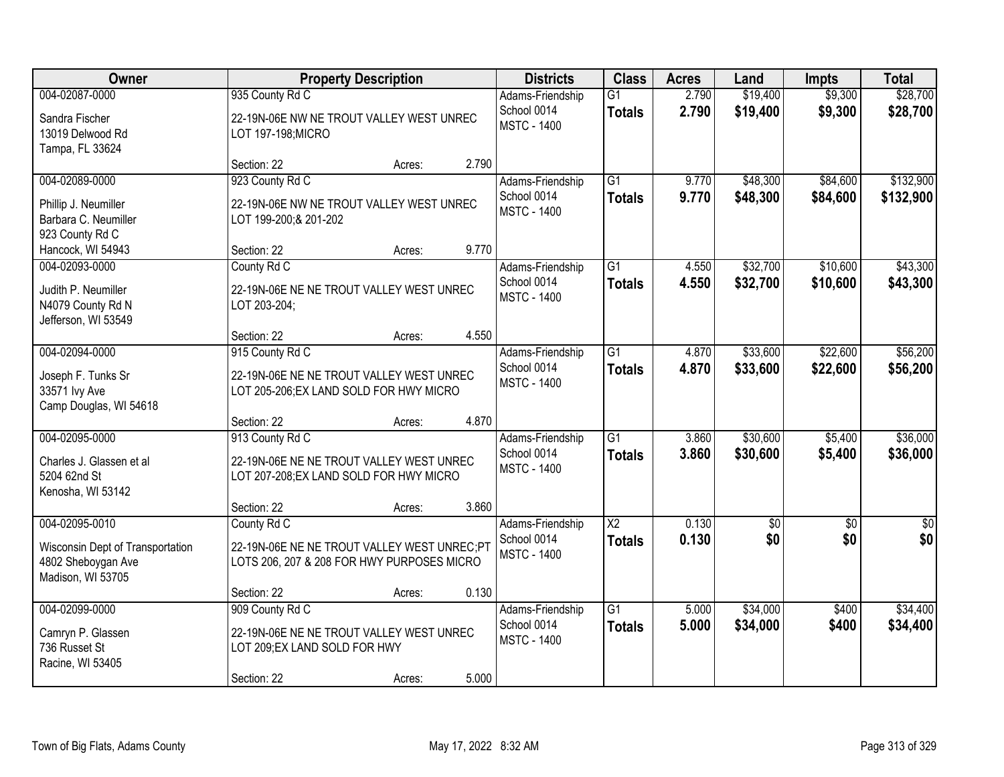| Owner                                                                                         |                                                                                                            | <b>Property Description</b> |       | <b>Districts</b>                                      | <b>Class</b>                     | <b>Acres</b>   | Land                 | <b>Impts</b>         | <b>Total</b>           |
|-----------------------------------------------------------------------------------------------|------------------------------------------------------------------------------------------------------------|-----------------------------|-------|-------------------------------------------------------|----------------------------------|----------------|----------------------|----------------------|------------------------|
| 004-02087-0000<br>Sandra Fischer<br>13019 Delwood Rd<br>Tampa, FL 33624                       | 935 County Rd C<br>22-19N-06E NW NE TROUT VALLEY WEST UNREC<br>LOT 197-198; MICRO                          |                             |       | Adams-Friendship<br>School 0014<br><b>MSTC - 1400</b> | $\overline{G1}$<br><b>Totals</b> | 2.790<br>2.790 | \$19,400<br>\$19,400 | \$9,300<br>\$9,300   | \$28,700<br>\$28,700   |
|                                                                                               | Section: 22                                                                                                | Acres:                      | 2.790 |                                                       |                                  |                |                      |                      |                        |
| 004-02089-0000<br>Phillip J. Neumiller<br>Barbara C. Neumiller<br>923 County Rd C             | 923 County Rd C<br>22-19N-06E NW NE TROUT VALLEY WEST UNREC<br>LOT 199-200;& 201-202                       |                             |       | Adams-Friendship<br>School 0014<br><b>MSTC - 1400</b> | $\overline{G1}$<br><b>Totals</b> | 9.770<br>9.770 | \$48,300<br>\$48,300 | \$84,600<br>\$84,600 | \$132,900<br>\$132,900 |
| Hancock, WI 54943                                                                             | Section: 22                                                                                                | Acres:                      | 9.770 |                                                       |                                  |                |                      |                      |                        |
| 004-02093-0000<br>Judith P. Neumiller<br>N4079 County Rd N<br>Jefferson, WI 53549             | County Rd C<br>22-19N-06E NE NE TROUT VALLEY WEST UNREC<br>LOT 203-204;                                    |                             |       | Adams-Friendship<br>School 0014<br><b>MSTC - 1400</b> | $\overline{G1}$<br><b>Totals</b> | 4.550<br>4.550 | \$32,700<br>\$32,700 | \$10,600<br>\$10,600 | \$43,300<br>\$43,300   |
|                                                                                               | Section: 22                                                                                                | Acres:                      | 4.550 |                                                       |                                  |                |                      |                      |                        |
| 004-02094-0000<br>Joseph F. Tunks Sr<br>33571 lvy Ave<br>Camp Douglas, WI 54618               | 915 County Rd C<br>22-19N-06E NE NE TROUT VALLEY WEST UNREC<br>LOT 205-206; EX LAND SOLD FOR HWY MICRO     |                             |       | Adams-Friendship<br>School 0014<br><b>MSTC - 1400</b> | $\overline{G1}$<br><b>Totals</b> | 4.870<br>4.870 | \$33,600<br>\$33,600 | \$22,600<br>\$22,600 | \$56,200<br>\$56,200   |
|                                                                                               | Section: 22                                                                                                | Acres:                      | 4.870 |                                                       |                                  |                |                      |                      |                        |
| 004-02095-0000<br>Charles J. Glassen et al<br>5204 62nd St<br>Kenosha, WI 53142               | 913 County Rd C<br>22-19N-06E NE NE TROUT VALLEY WEST UNREC<br>LOT 207-208; EX LAND SOLD FOR HWY MICRO     |                             |       | Adams-Friendship<br>School 0014<br><b>MSTC - 1400</b> | $\overline{G1}$<br><b>Totals</b> | 3.860<br>3.860 | \$30,600<br>\$30,600 | \$5,400<br>\$5,400   | \$36,000<br>\$36,000   |
|                                                                                               | Section: 22                                                                                                | Acres:                      | 3.860 |                                                       |                                  |                |                      |                      |                        |
| 004-02095-0010<br>Wisconsin Dept of Transportation<br>4802 Sheboygan Ave<br>Madison, WI 53705 | County Rd C<br>22-19N-06E NE NE TROUT VALLEY WEST UNREC:PT<br>LOTS 206, 207 & 208 FOR HWY PURPOSES MICRO   |                             |       | Adams-Friendship<br>School 0014<br><b>MSTC - 1400</b> | $\overline{X2}$<br><b>Totals</b> | 0.130<br>0.130 | \$0<br>\$0           | \$0<br>\$0           | $\overline{50}$<br>\$0 |
|                                                                                               | Section: 22                                                                                                | Acres:                      | 0.130 |                                                       |                                  |                |                      |                      |                        |
| 004-02099-0000<br>Camryn P. Glassen<br>736 Russet St<br>Racine, WI 53405                      | 909 County Rd C<br>22-19N-06E NE NE TROUT VALLEY WEST UNREC<br>LOT 209;EX LAND SOLD FOR HWY<br>Section: 22 | Acres:                      | 5.000 | Adams-Friendship<br>School 0014<br><b>MSTC - 1400</b> | G1<br><b>Totals</b>              | 5.000<br>5.000 | \$34,000<br>\$34,000 | \$400<br>\$400       | \$34,400<br>\$34,400   |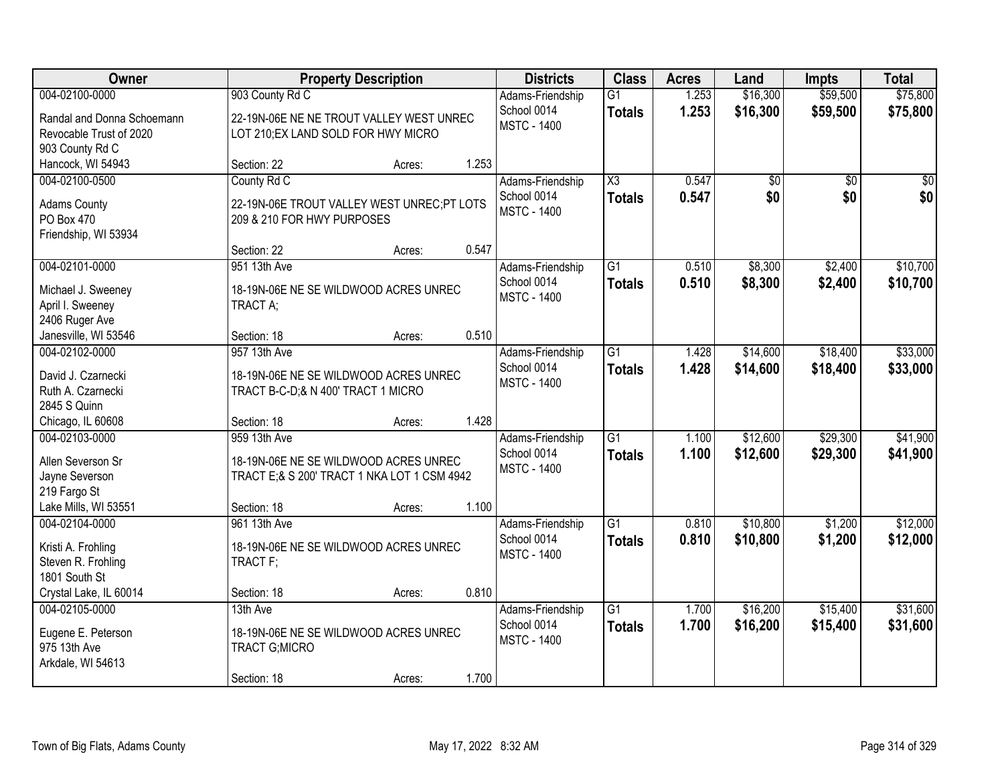| Owner                                                                       |                                                                                                      | <b>Property Description</b> |       | <b>Districts</b>                                      | <b>Class</b>                            | <b>Acres</b>   | Land                 | <b>Impts</b>           | <b>Total</b>         |
|-----------------------------------------------------------------------------|------------------------------------------------------------------------------------------------------|-----------------------------|-------|-------------------------------------------------------|-----------------------------------------|----------------|----------------------|------------------------|----------------------|
| 004-02100-0000                                                              | 903 County Rd C                                                                                      |                             |       | Adams-Friendship                                      | $\overline{G1}$                         | 1.253          | \$16,300             | \$59,500               | \$75,800             |
| Randal and Donna Schoemann<br>Revocable Trust of 2020<br>903 County Rd C    | 22-19N-06E NE NE TROUT VALLEY WEST UNREC<br>LOT 210; EX LAND SOLD FOR HWY MICRO                      |                             |       | School 0014<br><b>MSTC - 1400</b>                     | <b>Totals</b>                           | 1.253          | \$16,300             | \$59,500               | \$75,800             |
| Hancock, WI 54943                                                           | Section: 22                                                                                          | Acres:                      | 1.253 |                                                       |                                         |                |                      |                        |                      |
| 004-02100-0500<br><b>Adams County</b><br>PO Box 470                         | County Rd C<br>22-19N-06E TROUT VALLEY WEST UNREC;PT LOTS<br>209 & 210 FOR HWY PURPOSES              |                             |       | Adams-Friendship<br>School 0014<br><b>MSTC - 1400</b> | $\overline{\text{X3}}$<br><b>Totals</b> | 0.547<br>0.547 | \$0<br>\$0           | $\overline{50}$<br>\$0 | \$0<br>\$0           |
| Friendship, WI 53934                                                        | Section: 22                                                                                          | Acres:                      | 0.547 |                                                       |                                         |                |                      |                        |                      |
| 004-02101-0000                                                              | 951 13th Ave                                                                                         |                             |       | Adams-Friendship                                      | $\overline{G1}$                         | 0.510          | \$8,300              | \$2,400                | \$10,700             |
| Michael J. Sweeney<br>April I. Sweeney<br>2406 Ruger Ave                    | 18-19N-06E NE SE WILDWOOD ACRES UNREC<br>TRACT A;                                                    |                             |       | School 0014<br><b>MSTC - 1400</b>                     | <b>Totals</b>                           | 0.510          | \$8,300              | \$2,400                | \$10,700             |
| Janesville, WI 53546                                                        | Section: 18                                                                                          | Acres:                      | 0.510 |                                                       |                                         |                |                      |                        |                      |
| 004-02102-0000                                                              | 957 13th Ave                                                                                         |                             |       | Adams-Friendship<br>School 0014                       | $\overline{G1}$<br><b>Totals</b>        | 1.428<br>1.428 | \$14,600<br>\$14,600 | \$18,400<br>\$18,400   | \$33,000<br>\$33,000 |
| David J. Czarnecki<br>Ruth A. Czarnecki<br>2845 S Quinn                     | 18-19N-06E NE SE WILDWOOD ACRES UNREC<br>TRACT B-C-D;& N 400' TRACT 1 MICRO                          |                             |       | <b>MSTC - 1400</b>                                    |                                         |                |                      |                        |                      |
| Chicago, IL 60608                                                           | Section: 18                                                                                          | Acres:                      | 1.428 |                                                       |                                         |                |                      |                        |                      |
| 004-02103-0000<br>Allen Severson Sr<br>Jayne Severson<br>219 Fargo St       | 959 13th Ave<br>18-19N-06E NE SE WILDWOOD ACRES UNREC<br>TRACT E;& S 200' TRACT 1 NKA LOT 1 CSM 4942 |                             |       | Adams-Friendship<br>School 0014<br><b>MSTC - 1400</b> | $\overline{G1}$<br><b>Totals</b>        | 1.100<br>1.100 | \$12,600<br>\$12,600 | \$29,300<br>\$29,300   | \$41,900<br>\$41,900 |
| Lake Mills, WI 53551                                                        | Section: 18                                                                                          | Acres:                      | 1.100 |                                                       |                                         |                |                      |                        |                      |
| 004-02104-0000<br>Kristi A. Frohling<br>Steven R. Frohling<br>1801 South St | 961 13th Ave<br>18-19N-06E NE SE WILDWOOD ACRES UNREC<br>TRACT F;                                    |                             |       | Adams-Friendship<br>School 0014<br><b>MSTC - 1400</b> | $\overline{G1}$<br><b>Totals</b>        | 0.810<br>0.810 | \$10,800<br>\$10,800 | \$1,200<br>\$1,200     | \$12,000<br>\$12,000 |
| Crystal Lake, IL 60014                                                      | Section: 18                                                                                          | Acres:                      | 0.810 |                                                       |                                         |                |                      |                        |                      |
| 004-02105-0000<br>Eugene E. Peterson<br>975 13th Ave<br>Arkdale, WI 54613   | 13th Ave<br>18-19N-06E NE SE WILDWOOD ACRES UNREC<br><b>TRACT G;MICRO</b><br>Section: 18             | Acres:                      | 1.700 | Adams-Friendship<br>School 0014<br><b>MSTC - 1400</b> | $\overline{G1}$<br><b>Totals</b>        | 1.700<br>1.700 | \$16,200<br>\$16,200 | \$15,400<br>\$15,400   | \$31,600<br>\$31,600 |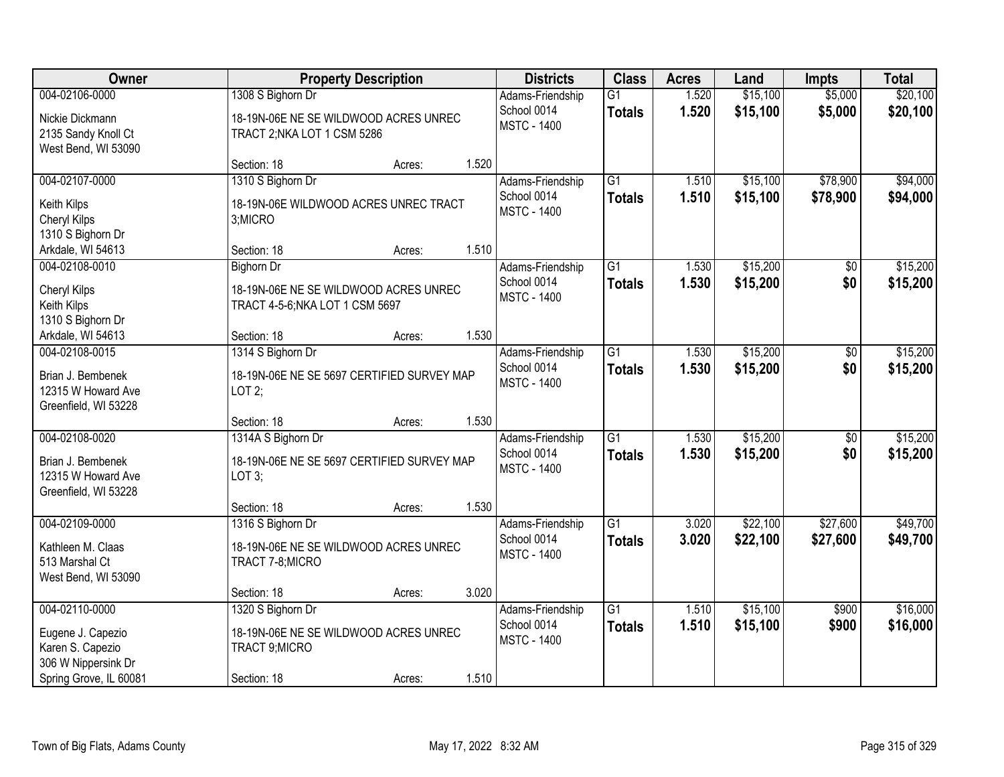| <b>Owner</b>                                                                                             |                                                                                               | <b>Property Description</b> |       | <b>Districts</b>                                      | <b>Class</b>                     | <b>Acres</b>   | Land                 | <b>Impts</b>           | <b>Total</b>         |
|----------------------------------------------------------------------------------------------------------|-----------------------------------------------------------------------------------------------|-----------------------------|-------|-------------------------------------------------------|----------------------------------|----------------|----------------------|------------------------|----------------------|
| 004-02106-0000<br>Nickie Dickmann<br>2135 Sandy Knoll Ct<br>West Bend, WI 53090                          | 1308 S Bighorn Dr<br>18-19N-06E NE SE WILDWOOD ACRES UNREC<br>TRACT 2; NKA LOT 1 CSM 5286     |                             |       | Adams-Friendship<br>School 0014<br><b>MSTC - 1400</b> | $\overline{G1}$<br><b>Totals</b> | 1.520<br>1.520 | \$15,100<br>\$15,100 | \$5,000<br>\$5,000     | \$20,100<br>\$20,100 |
|                                                                                                          | Section: 18                                                                                   | Acres:                      | 1.520 |                                                       |                                  |                |                      |                        |                      |
| 004-02107-0000<br>Keith Kilps<br><b>Cheryl Kilps</b><br>1310 S Bighorn Dr                                | 1310 S Bighorn Dr<br>18-19N-06E WILDWOOD ACRES UNREC TRACT<br>3;MICRO                         |                             |       | Adams-Friendship<br>School 0014<br><b>MSTC - 1400</b> | $\overline{G1}$<br><b>Totals</b> | 1.510<br>1.510 | \$15,100<br>\$15,100 | \$78,900<br>\$78,900   | \$94,000<br>\$94,000 |
| Arkdale, WI 54613                                                                                        | Section: 18                                                                                   | Acres:                      | 1.510 |                                                       |                                  |                |                      |                        |                      |
| 004-02108-0010<br>Cheryl Kilps<br>Keith Kilps<br>1310 S Bighorn Dr                                       | <b>Bighorn Dr</b><br>18-19N-06E NE SE WILDWOOD ACRES UNREC<br>TRACT 4-5-6; NKA LOT 1 CSM 5697 |                             |       | Adams-Friendship<br>School 0014<br><b>MSTC - 1400</b> | $\overline{G1}$<br><b>Totals</b> | 1.530<br>1.530 | \$15,200<br>\$15,200 | \$0<br>\$0             | \$15,200<br>\$15,200 |
| Arkdale, WI 54613                                                                                        | Section: 18                                                                                   | Acres:                      | 1.530 |                                                       |                                  |                |                      |                        |                      |
| 004-02108-0015<br>Brian J. Bembenek<br>12315 W Howard Ave<br>Greenfield, WI 53228                        | 1314 S Bighorn Dr<br>18-19N-06E NE SE 5697 CERTIFIED SURVEY MAP<br>LOT2;                      |                             |       | Adams-Friendship<br>School 0014<br><b>MSTC - 1400</b> | $\overline{G1}$<br><b>Totals</b> | 1.530<br>1.530 | \$15,200<br>\$15,200 | \$0<br>\$0             | \$15,200<br>\$15,200 |
|                                                                                                          | Section: 18                                                                                   | Acres:                      | 1.530 |                                                       |                                  |                |                      |                        |                      |
| 004-02108-0020<br>Brian J. Bembenek<br>12315 W Howard Ave<br>Greenfield, WI 53228                        | 1314A S Bighorn Dr<br>18-19N-06E NE SE 5697 CERTIFIED SURVEY MAP<br>LOT 3;                    |                             |       | Adams-Friendship<br>School 0014<br><b>MSTC - 1400</b> | $\overline{G1}$<br><b>Totals</b> | 1.530<br>1.530 | \$15,200<br>\$15,200 | $\overline{50}$<br>\$0 | \$15,200<br>\$15,200 |
|                                                                                                          | Section: 18                                                                                   | Acres:                      | 1.530 |                                                       |                                  |                |                      |                        |                      |
| 004-02109-0000<br>Kathleen M. Claas<br>513 Marshal Ct<br>West Bend, WI 53090                             | 1316 S Bighorn Dr<br>18-19N-06E NE SE WILDWOOD ACRES UNREC<br>TRACT 7-8; MICRO                |                             |       | Adams-Friendship<br>School 0014<br><b>MSTC - 1400</b> | $\overline{G1}$<br><b>Totals</b> | 3.020<br>3.020 | \$22,100<br>\$22,100 | \$27,600<br>\$27,600   | \$49,700<br>\$49,700 |
|                                                                                                          | Section: 18                                                                                   | Acres:                      | 3.020 |                                                       |                                  |                |                      |                        |                      |
| 004-02110-0000<br>Eugene J. Capezio<br>Karen S. Capezio<br>306 W Nippersink Dr<br>Spring Grove, IL 60081 | 1320 S Bighorn Dr<br>18-19N-06E NE SE WILDWOOD ACRES UNREC<br>TRACT 9; MICRO<br>Section: 18   | Acres:                      | 1.510 | Adams-Friendship<br>School 0014<br><b>MSTC - 1400</b> | $\overline{G1}$<br><b>Totals</b> | 1.510<br>1.510 | \$15,100<br>\$15,100 | \$900<br>\$900         | \$16,000<br>\$16,000 |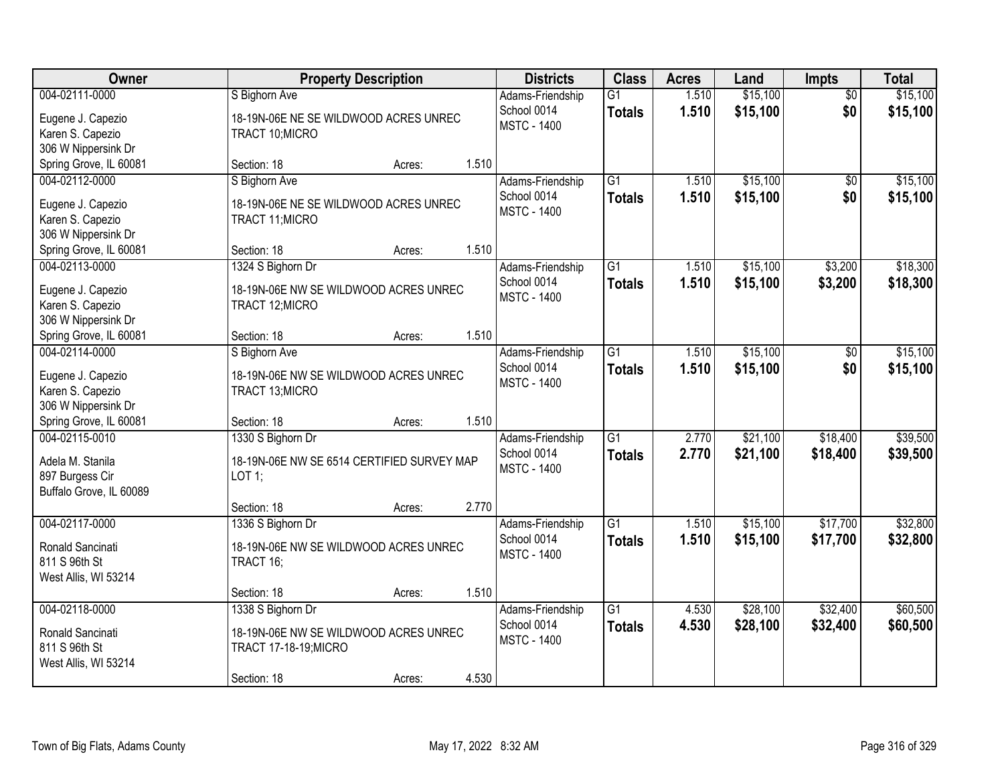| Owner                                                                            | <b>Property Description</b>                                                                                  |       | <b>Districts</b>                                      | <b>Class</b>                     | <b>Acres</b>   | Land                 | Impts                  | <b>Total</b>         |
|----------------------------------------------------------------------------------|--------------------------------------------------------------------------------------------------------------|-------|-------------------------------------------------------|----------------------------------|----------------|----------------------|------------------------|----------------------|
| 004-02111-0000<br>Eugene J. Capezio<br>Karen S. Capezio<br>306 W Nippersink Dr   | S Bighorn Ave<br>18-19N-06E NE SE WILDWOOD ACRES UNREC<br>TRACT 10; MICRO                                    |       | Adams-Friendship<br>School 0014<br><b>MSTC - 1400</b> | $\overline{G1}$<br><b>Totals</b> | 1.510<br>1.510 | \$15,100<br>\$15,100 | $\overline{50}$<br>\$0 | \$15,100<br>\$15,100 |
| Spring Grove, IL 60081                                                           | Section: 18<br>Acres:                                                                                        | 1.510 |                                                       |                                  |                |                      |                        |                      |
| 004-02112-0000<br>Eugene J. Capezio<br>Karen S. Capezio<br>306 W Nippersink Dr   | S Bighorn Ave<br>18-19N-06E NE SE WILDWOOD ACRES UNREC<br>TRACT 11; MICRO                                    |       | Adams-Friendship<br>School 0014<br><b>MSTC - 1400</b> | $\overline{G1}$<br><b>Totals</b> | 1.510<br>1.510 | \$15,100<br>\$15,100 | $\overline{50}$<br>\$0 | \$15,100<br>\$15,100 |
| Spring Grove, IL 60081<br>004-02113-0000                                         | Section: 18<br>Acres:                                                                                        | 1.510 |                                                       |                                  |                |                      |                        |                      |
| Eugene J. Capezio<br>Karen S. Capezio<br>306 W Nippersink Dr                     | 1324 S Bighorn Dr<br>18-19N-06E NW SE WILDWOOD ACRES UNREC<br>TRACT 12; MICRO                                |       | Adams-Friendship<br>School 0014<br><b>MSTC - 1400</b> | G1<br><b>Totals</b>              | 1.510<br>1.510 | \$15,100<br>\$15,100 | \$3,200<br>\$3,200     | \$18,300<br>\$18,300 |
| Spring Grove, IL 60081                                                           | Section: 18<br>Acres:                                                                                        | 1.510 |                                                       |                                  |                |                      |                        |                      |
| 004-02114-0000<br>Eugene J. Capezio<br>Karen S. Capezio<br>306 W Nippersink Dr   | S Bighorn Ave<br>18-19N-06E NW SE WILDWOOD ACRES UNREC<br>TRACT 13; MICRO                                    |       | Adams-Friendship<br>School 0014<br><b>MSTC - 1400</b> | G1<br><b>Totals</b>              | 1.510<br>1.510 | \$15,100<br>\$15,100 | \$0<br>\$0             | \$15,100<br>\$15,100 |
| Spring Grove, IL 60081                                                           | Section: 18<br>Acres:                                                                                        | 1.510 |                                                       |                                  |                |                      |                        |                      |
| 004-02115-0010<br>Adela M. Stanila<br>897 Burgess Cir<br>Buffalo Grove, IL 60089 | 1330 S Bighorn Dr<br>18-19N-06E NW SE 6514 CERTIFIED SURVEY MAP<br>$LOT$ 1;                                  |       | Adams-Friendship<br>School 0014<br><b>MSTC - 1400</b> | $\overline{G1}$<br><b>Totals</b> | 2.770<br>2.770 | \$21,100<br>\$21,100 | \$18,400<br>\$18,400   | \$39,500<br>\$39,500 |
|                                                                                  | Section: 18<br>Acres:                                                                                        | 2.770 |                                                       |                                  |                |                      |                        |                      |
| 004-02117-0000<br>Ronald Sancinati<br>811 S 96th St<br>West Allis, WI 53214      | 1336 S Bighorn Dr<br>18-19N-06E NW SE WILDWOOD ACRES UNREC<br>TRACT 16;                                      |       | Adams-Friendship<br>School 0014<br><b>MSTC - 1400</b> | $\overline{G1}$<br><b>Totals</b> | 1.510<br>1.510 | \$15,100<br>\$15,100 | \$17,700<br>\$17,700   | \$32,800<br>\$32,800 |
|                                                                                  | Section: 18<br>Acres:                                                                                        | 1.510 |                                                       |                                  |                |                      |                        |                      |
| 004-02118-0000<br>Ronald Sancinati<br>811 S 96th St<br>West Allis, WI 53214      | 1338 S Bighorn Dr<br>18-19N-06E NW SE WILDWOOD ACRES UNREC<br>TRACT 17-18-19; MICRO<br>Section: 18<br>Acres: | 4.530 | Adams-Friendship<br>School 0014<br><b>MSTC - 1400</b> | $\overline{G1}$<br><b>Totals</b> | 4.530<br>4.530 | \$28,100<br>\$28,100 | \$32,400<br>\$32,400   | \$60,500<br>\$60,500 |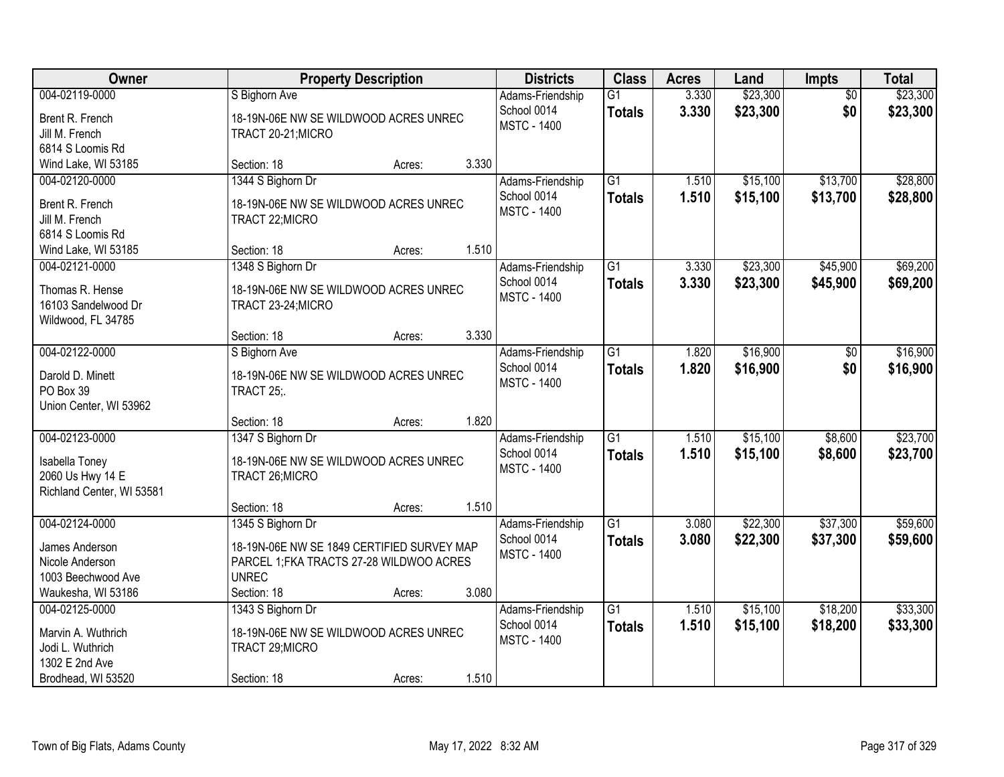| Owner                                                                             | <b>Property Description</b>                                                                                                 |       | <b>Districts</b>                                      | <b>Class</b>                     | <b>Acres</b>   | Land                 | Impts                  | <b>Total</b>         |
|-----------------------------------------------------------------------------------|-----------------------------------------------------------------------------------------------------------------------------|-------|-------------------------------------------------------|----------------------------------|----------------|----------------------|------------------------|----------------------|
| 004-02119-0000<br>Brent R. French<br>Jill M. French<br>6814 S Loomis Rd           | S Bighorn Ave<br>18-19N-06E NW SE WILDWOOD ACRES UNREC<br>TRACT 20-21; MICRO                                                |       | Adams-Friendship<br>School 0014<br><b>MSTC - 1400</b> | $\overline{G1}$<br><b>Totals</b> | 3.330<br>3.330 | \$23,300<br>\$23,300 | $\overline{50}$<br>\$0 | \$23,300<br>\$23,300 |
| Wind Lake, WI 53185                                                               | Section: 18<br>Acres:                                                                                                       | 3.330 |                                                       |                                  |                |                      |                        |                      |
| 004-02120-0000<br>Brent R. French<br>Jill M. French<br>6814 S Loomis Rd           | 1344 S Bighorn Dr<br>18-19N-06E NW SE WILDWOOD ACRES UNREC<br>TRACT 22; MICRO                                               |       | Adams-Friendship<br>School 0014<br><b>MSTC - 1400</b> | $\overline{G1}$<br><b>Totals</b> | 1.510<br>1.510 | \$15,100<br>\$15,100 | \$13,700<br>\$13,700   | \$28,800<br>\$28,800 |
| Wind Lake, WI 53185                                                               | Section: 18<br>Acres:                                                                                                       | 1.510 |                                                       |                                  |                |                      |                        |                      |
| 004-02121-0000<br>Thomas R. Hense<br>16103 Sandelwood Dr<br>Wildwood, FL 34785    | 1348 S Bighorn Dr<br>18-19N-06E NW SE WILDWOOD ACRES UNREC<br>TRACT 23-24; MICRO                                            |       | Adams-Friendship<br>School 0014<br><b>MSTC - 1400</b> | $\overline{G1}$<br><b>Totals</b> | 3.330<br>3.330 | \$23,300<br>\$23,300 | \$45,900<br>\$45,900   | \$69,200<br>\$69,200 |
|                                                                                   | Section: 18<br>Acres:                                                                                                       | 3.330 |                                                       |                                  |                |                      |                        |                      |
| 004-02122-0000<br>Darold D. Minett<br>PO Box 39<br>Union Center, WI 53962         | S Bighorn Ave<br>18-19N-06E NW SE WILDWOOD ACRES UNREC<br>TRACT 25;                                                         |       | Adams-Friendship<br>School 0014<br><b>MSTC - 1400</b> | $\overline{G1}$<br><b>Totals</b> | 1.820<br>1.820 | \$16,900<br>\$16,900 | \$0<br>\$0             | \$16,900<br>\$16,900 |
|                                                                                   | Section: 18<br>Acres:                                                                                                       | 1.820 |                                                       |                                  |                |                      |                        |                      |
| 004-02123-0000<br>Isabella Toney<br>2060 Us Hwy 14 E<br>Richland Center, WI 53581 | 1347 S Bighorn Dr<br>18-19N-06E NW SE WILDWOOD ACRES UNREC<br>TRACT 26; MICRO                                               |       | Adams-Friendship<br>School 0014<br><b>MSTC - 1400</b> | $\overline{G1}$<br><b>Totals</b> | 1.510<br>1.510 | \$15,100<br>\$15,100 | \$8,600<br>\$8,600     | \$23,700<br>\$23,700 |
|                                                                                   | Section: 18<br>Acres:                                                                                                       | 1.510 |                                                       |                                  |                |                      |                        |                      |
| 004-02124-0000<br>James Anderson<br>Nicole Anderson<br>1003 Beechwood Ave         | 1345 S Bighorn Dr<br>18-19N-06E NW SE 1849 CERTIFIED SURVEY MAP<br>PARCEL 1; FKA TRACTS 27-28 WILDWOO ACRES<br><b>UNREC</b> |       | Adams-Friendship<br>School 0014<br><b>MSTC - 1400</b> | $\overline{G1}$<br><b>Totals</b> | 3.080<br>3.080 | \$22,300<br>\$22,300 | \$37,300<br>\$37,300   | \$59,600<br>\$59,600 |
| Waukesha, WI 53186<br>004-02125-0000                                              | Section: 18<br>Acres:<br>1343 S Bighorn Dr                                                                                  | 3.080 |                                                       | $\overline{G1}$                  | 1.510          | \$15,100             | \$18,200               | \$33,300             |
| Marvin A. Wuthrich<br>Jodi L. Wuthrich<br>1302 E 2nd Ave<br>Brodhead, WI 53520    | 18-19N-06E NW SE WILDWOOD ACRES UNREC<br>TRACT 29; MICRO                                                                    | 1.510 | Adams-Friendship<br>School 0014<br><b>MSTC - 1400</b> | <b>Totals</b>                    | 1.510          | \$15,100             | \$18,200               | \$33,300             |
|                                                                                   | Section: 18<br>Acres:                                                                                                       |       |                                                       |                                  |                |                      |                        |                      |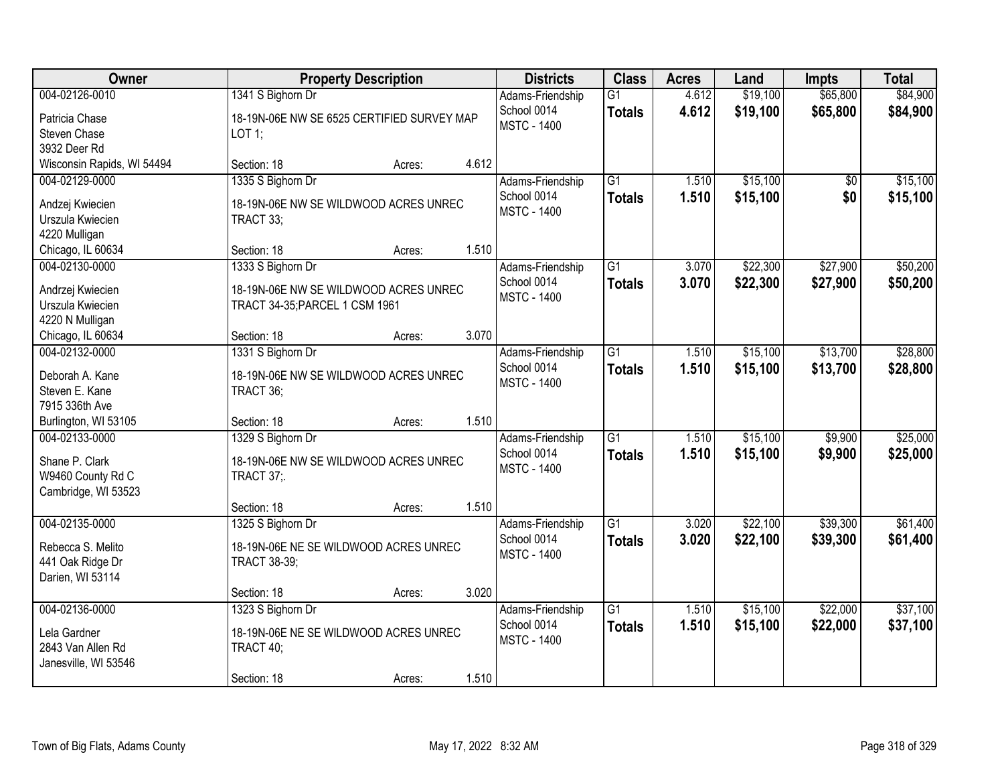| Owner                            | <b>Property Description</b>                |       | <b>Districts</b>                | <b>Class</b>    | <b>Acres</b> | Land     | <b>Impts</b> | <b>Total</b> |
|----------------------------------|--------------------------------------------|-------|---------------------------------|-----------------|--------------|----------|--------------|--------------|
| 004-02126-0010                   | 1341 S Bighorn Dr                          |       | Adams-Friendship                | $\overline{G1}$ | 4.612        | \$19,100 | \$65,800     | \$84,900     |
| Patricia Chase                   | 18-19N-06E NW SE 6525 CERTIFIED SURVEY MAP |       | School 0014                     | <b>Totals</b>   | 4.612        | \$19,100 | \$65,800     | \$84,900     |
| Steven Chase                     | LOT 1;                                     |       | <b>MSTC - 1400</b>              |                 |              |          |              |              |
| 3932 Deer Rd                     |                                            |       |                                 |                 |              |          |              |              |
| Wisconsin Rapids, WI 54494       | Section: 18<br>Acres:                      | 4.612 |                                 |                 |              |          |              |              |
| 004-02129-0000                   | 1335 S Bighorn Dr                          |       | Adams-Friendship                | $\overline{G1}$ | 1.510        | \$15,100 | \$0          | \$15,100     |
| Andzej Kwiecien                  | 18-19N-06E NW SE WILDWOOD ACRES UNREC      |       | School 0014                     | <b>Totals</b>   | 1.510        | \$15,100 | \$0          | \$15,100     |
| Urszula Kwiecien                 | TRACT 33;                                  |       | <b>MSTC - 1400</b>              |                 |              |          |              |              |
| 4220 Mulligan                    |                                            |       |                                 |                 |              |          |              |              |
| Chicago, IL 60634                | Section: 18<br>Acres:                      | 1.510 |                                 |                 |              |          |              |              |
| 004-02130-0000                   | 1333 S Bighorn Dr                          |       | Adams-Friendship                | G1              | 3.070        | \$22,300 | \$27,900     | \$50,200     |
| Andrzej Kwiecien                 | 18-19N-06E NW SE WILDWOOD ACRES UNREC      |       | School 0014                     | <b>Totals</b>   | 3.070        | \$22,300 | \$27,900     | \$50,200     |
| Urszula Kwiecien                 | TRACT 34-35; PARCEL 1 CSM 1961             |       | <b>MSTC - 1400</b>              |                 |              |          |              |              |
| 4220 N Mulligan                  |                                            |       |                                 |                 |              |          |              |              |
| Chicago, IL 60634                | Section: 18<br>Acres:                      | 3.070 |                                 |                 |              |          |              |              |
| 004-02132-0000                   | 1331 S Bighorn Dr                          |       | Adams-Friendship                | $\overline{G1}$ | 1.510        | \$15,100 | \$13,700     | \$28,800     |
|                                  |                                            |       | School 0014                     | <b>Totals</b>   | 1.510        | \$15,100 | \$13,700     | \$28,800     |
| Deborah A. Kane                  | 18-19N-06E NW SE WILDWOOD ACRES UNREC      |       | <b>MSTC - 1400</b>              |                 |              |          |              |              |
| Steven E. Kane<br>7915 336th Ave | TRACT 36;                                  |       |                                 |                 |              |          |              |              |
| Burlington, WI 53105             | Section: 18<br>Acres:                      | 1.510 |                                 |                 |              |          |              |              |
| 004-02133-0000                   | 1329 S Bighorn Dr                          |       | Adams-Friendship                | $\overline{G1}$ | 1.510        | \$15,100 | \$9,900      | \$25,000     |
|                                  |                                            |       | School 0014                     | <b>Totals</b>   | 1.510        | \$15,100 | \$9,900      | \$25,000     |
| Shane P. Clark                   | 18-19N-06E NW SE WILDWOOD ACRES UNREC      |       | <b>MSTC - 1400</b>              |                 |              |          |              |              |
| W9460 County Rd C                | <b>TRACT 37;.</b>                          |       |                                 |                 |              |          |              |              |
| Cambridge, WI 53523              |                                            | 1.510 |                                 |                 |              |          |              |              |
| 004-02135-0000                   | Section: 18<br>Acres:                      |       |                                 | $\overline{G1}$ |              | \$22,100 | \$39,300     | \$61,400     |
|                                  | 1325 S Bighorn Dr                          |       | Adams-Friendship<br>School 0014 |                 | 3.020        |          |              |              |
| Rebecca S. Melito                | 18-19N-06E NE SE WILDWOOD ACRES UNREC      |       | <b>MSTC - 1400</b>              | <b>Totals</b>   | 3.020        | \$22,100 | \$39,300     | \$61,400     |
| 441 Oak Ridge Dr                 | <b>TRACT 38-39;</b>                        |       |                                 |                 |              |          |              |              |
| Darien, WI 53114                 |                                            |       |                                 |                 |              |          |              |              |
|                                  | Section: 18<br>Acres:                      | 3.020 |                                 |                 |              |          |              |              |
| 004-02136-0000                   | 1323 S Bighorn Dr                          |       | Adams-Friendship                | $\overline{G1}$ | 1.510        | \$15,100 | \$22,000     | \$37,100     |
| Lela Gardner                     | 18-19N-06E NE SE WILDWOOD ACRES UNREC      |       | School 0014                     | <b>Totals</b>   | 1.510        | \$15,100 | \$22,000     | \$37,100     |
| 2843 Van Allen Rd                | TRACT 40;                                  |       | <b>MSTC - 1400</b>              |                 |              |          |              |              |
| Janesville, WI 53546             |                                            |       |                                 |                 |              |          |              |              |
|                                  | Section: 18<br>Acres:                      | 1.510 |                                 |                 |              |          |              |              |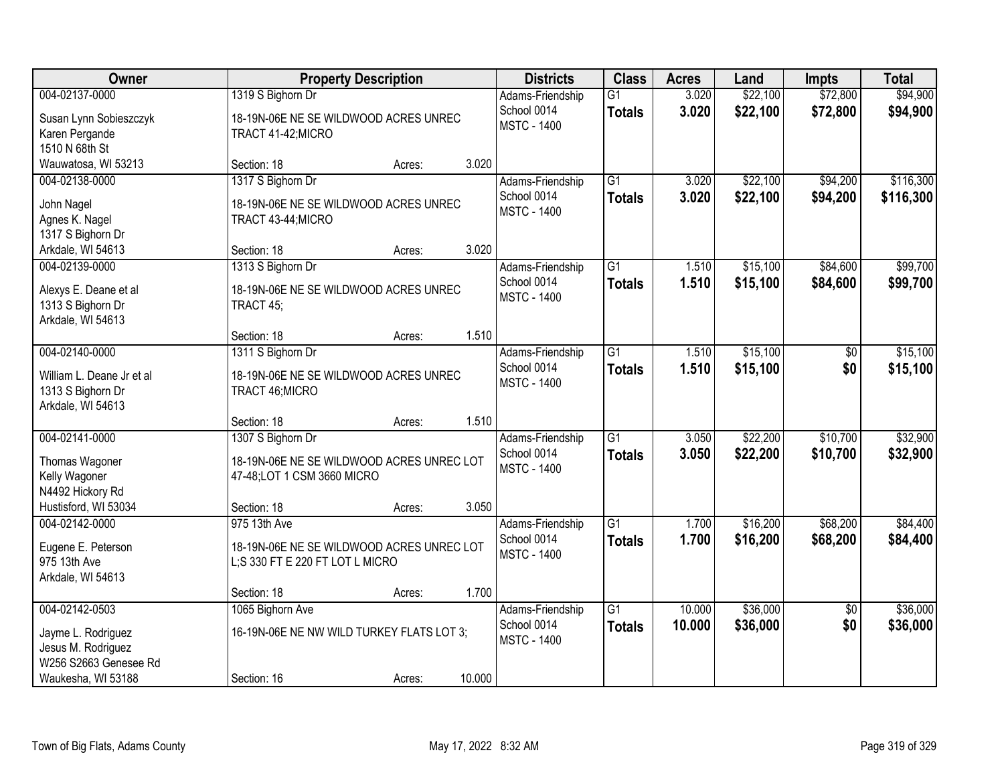| Owner                                                                                                     |                                                                                                 | <b>Property Description</b> |        | <b>Districts</b>                                      | <b>Class</b>                     | <b>Acres</b>     | Land                 | <b>Impts</b>           | <b>Total</b>           |
|-----------------------------------------------------------------------------------------------------------|-------------------------------------------------------------------------------------------------|-----------------------------|--------|-------------------------------------------------------|----------------------------------|------------------|----------------------|------------------------|------------------------|
| 004-02137-0000<br>Susan Lynn Sobieszczyk<br>Karen Pergande<br>1510 N 68th St                              | 1319 S Bighorn Dr<br>18-19N-06E NE SE WILDWOOD ACRES UNREC<br>TRACT 41-42; MICRO                |                             |        | Adams-Friendship<br>School 0014<br><b>MSTC - 1400</b> | $\overline{G1}$<br><b>Totals</b> | 3.020<br>3.020   | \$22,100<br>\$22,100 | \$72,800<br>\$72,800   | \$94,900<br>\$94,900   |
| Wauwatosa, WI 53213                                                                                       | Section: 18                                                                                     | Acres:                      | 3.020  |                                                       |                                  |                  |                      |                        |                        |
| 004-02138-0000<br>John Nagel<br>Agnes K. Nagel<br>1317 S Bighorn Dr                                       | 1317 S Bighorn Dr<br>18-19N-06E NE SE WILDWOOD ACRES UNREC<br>TRACT 43-44; MICRO<br>Section: 18 |                             | 3.020  | Adams-Friendship<br>School 0014<br><b>MSTC - 1400</b> | $\overline{G1}$<br><b>Totals</b> | 3.020<br>3.020   | \$22,100<br>\$22,100 | \$94,200<br>\$94,200   | \$116,300<br>\$116,300 |
| Arkdale, WI 54613<br>004-02139-0000                                                                       | 1313 S Bighorn Dr                                                                               | Acres:                      |        | Adams-Friendship                                      | G1                               | 1.510            | \$15,100             | \$84,600               | \$99,700               |
| Alexys E. Deane et al<br>1313 S Bighorn Dr<br>Arkdale, WI 54613                                           | 18-19N-06E NE SE WILDWOOD ACRES UNREC<br>TRACT 45;                                              |                             |        | School 0014<br><b>MSTC - 1400</b>                     | <b>Totals</b>                    | 1.510            | \$15,100             | \$84,600               | \$99,700               |
|                                                                                                           | Section: 18                                                                                     | Acres:                      | 1.510  |                                                       |                                  |                  |                      |                        |                        |
| 004-02140-0000<br>William L. Deane Jr et al<br>1313 S Bighorn Dr<br>Arkdale, WI 54613                     | 1311 S Bighorn Dr<br>18-19N-06E NE SE WILDWOOD ACRES UNREC<br>TRACT 46; MICRO                   |                             |        | Adams-Friendship<br>School 0014<br><b>MSTC - 1400</b> | $\overline{G1}$<br><b>Totals</b> | 1.510<br>1.510   | \$15,100<br>\$15,100 | \$0<br>\$0             | \$15,100<br>\$15,100   |
|                                                                                                           | Section: 18                                                                                     | Acres:                      | 1.510  |                                                       |                                  |                  |                      |                        |                        |
| 004-02141-0000<br>Thomas Wagoner<br>Kelly Wagoner<br>N4492 Hickory Rd                                     | 1307 S Bighorn Dr<br>18-19N-06E NE SE WILDWOOD ACRES UNREC LOT<br>47-48;LOT 1 CSM 3660 MICRO    |                             |        | Adams-Friendship<br>School 0014<br><b>MSTC - 1400</b> | $\overline{G1}$<br><b>Totals</b> | 3.050<br>3.050   | \$22,200<br>\$22,200 | \$10,700<br>\$10,700   | \$32,900<br>\$32,900   |
| Hustisford, WI 53034                                                                                      | Section: 18                                                                                     | Acres:                      | 3.050  |                                                       |                                  |                  |                      |                        |                        |
| 004-02142-0000<br>Eugene E. Peterson<br>975 13th Ave<br>Arkdale, WI 54613                                 | 975 13th Ave<br>18-19N-06E NE SE WILDWOOD ACRES UNREC LOT<br>L;S 330 FT E 220 FT LOT L MICRO    |                             |        | Adams-Friendship<br>School 0014<br><b>MSTC - 1400</b> | $\overline{G1}$<br><b>Totals</b> | 1.700<br>1.700   | \$16,200<br>\$16,200 | \$68,200<br>\$68,200   | \$84,400<br>\$84,400   |
|                                                                                                           | Section: 18                                                                                     | Acres:                      | 1.700  |                                                       |                                  |                  |                      |                        |                        |
| 004-02142-0503<br>Jayme L. Rodriguez<br>Jesus M. Rodriguez<br>W256 S2663 Genesee Rd<br>Waukesha, WI 53188 | 1065 Bighorn Ave<br>16-19N-06E NE NW WILD TURKEY FLATS LOT 3;<br>Section: 16                    | Acres:                      | 10.000 | Adams-Friendship<br>School 0014<br><b>MSTC - 1400</b> | $\overline{G1}$<br><b>Totals</b> | 10.000<br>10.000 | \$36,000<br>\$36,000 | $\overline{50}$<br>\$0 | \$36,000<br>\$36,000   |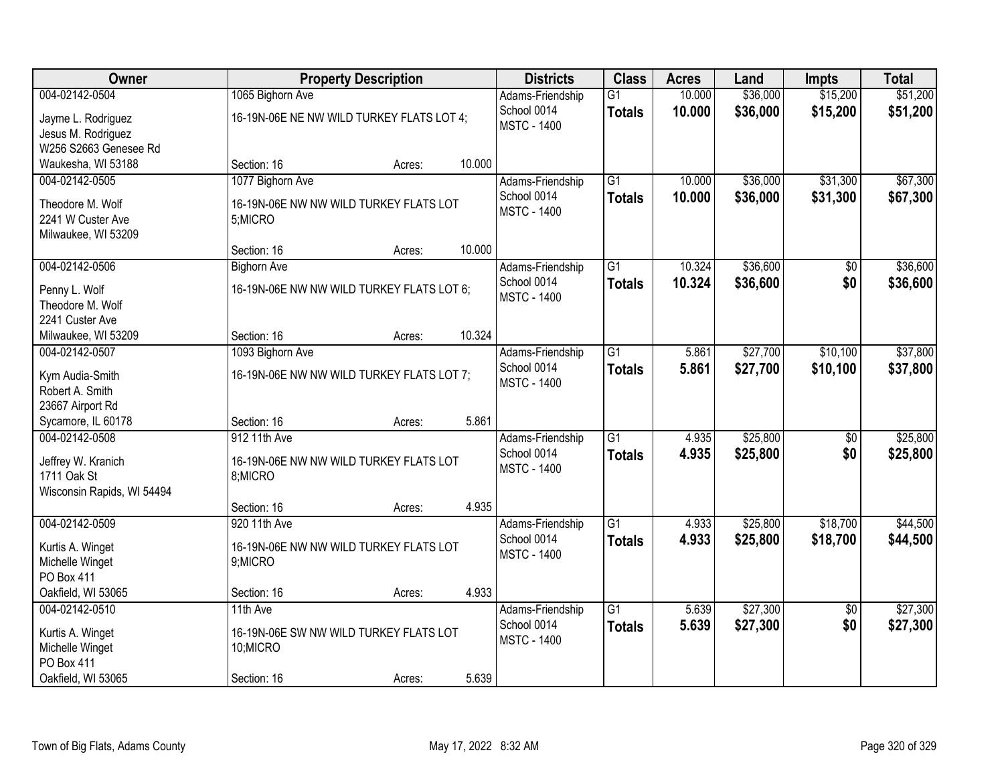| Owner                               |                                           | <b>Property Description</b> |        | <b>Districts</b>   | <b>Class</b>    | <b>Acres</b> | Land     | <b>Impts</b>    | <b>Total</b> |
|-------------------------------------|-------------------------------------------|-----------------------------|--------|--------------------|-----------------|--------------|----------|-----------------|--------------|
| 004-02142-0504                      | 1065 Bighorn Ave                          |                             |        | Adams-Friendship   | $\overline{G1}$ | 10.000       | \$36,000 | \$15,200        | \$51,200     |
| Jayme L. Rodriguez                  | 16-19N-06E NE NW WILD TURKEY FLATS LOT 4; |                             |        | School 0014        | <b>Totals</b>   | 10.000       | \$36,000 | \$15,200        | \$51,200     |
| Jesus M. Rodriguez                  |                                           |                             |        | <b>MSTC - 1400</b> |                 |              |          |                 |              |
| W256 S2663 Genesee Rd               |                                           |                             |        |                    |                 |              |          |                 |              |
| Waukesha, WI 53188                  | Section: 16                               | Acres:                      | 10.000 |                    |                 |              |          |                 |              |
| 004-02142-0505                      | 1077 Bighorn Ave                          |                             |        | Adams-Friendship   | $\overline{G1}$ | 10.000       | \$36,000 | \$31,300        | \$67,300     |
| Theodore M. Wolf                    | 16-19N-06E NW NW WILD TURKEY FLATS LOT    |                             |        | School 0014        | <b>Totals</b>   | 10.000       | \$36,000 | \$31,300        | \$67,300     |
| 2241 W Custer Ave                   | 5;MICRO                                   |                             |        | <b>MSTC - 1400</b> |                 |              |          |                 |              |
| Milwaukee, WI 53209                 |                                           |                             |        |                    |                 |              |          |                 |              |
|                                     | Section: 16                               | Acres:                      | 10.000 |                    |                 |              |          |                 |              |
| 004-02142-0506                      | <b>Bighorn Ave</b>                        |                             |        | Adams-Friendship   | G1              | 10.324       | \$36,600 | \$0             | \$36,600     |
| Penny L. Wolf                       | 16-19N-06E NW NW WILD TURKEY FLATS LOT 6; |                             |        | School 0014        | <b>Totals</b>   | 10.324       | \$36,600 | \$0             | \$36,600     |
| Theodore M. Wolf                    |                                           |                             |        | <b>MSTC - 1400</b> |                 |              |          |                 |              |
| 2241 Custer Ave                     |                                           |                             |        |                    |                 |              |          |                 |              |
| Milwaukee, WI 53209                 | Section: 16                               | Acres:                      | 10.324 |                    |                 |              |          |                 |              |
| 004-02142-0507                      | 1093 Bighorn Ave                          |                             |        | Adams-Friendship   | $\overline{G1}$ | 5.861        | \$27,700 | \$10,100        | \$37,800     |
| Kym Audia-Smith                     | 16-19N-06E NW NW WILD TURKEY FLATS LOT 7; |                             |        | School 0014        | <b>Totals</b>   | 5.861        | \$27,700 | \$10,100        | \$37,800     |
| Robert A. Smith                     |                                           |                             |        | <b>MSTC - 1400</b> |                 |              |          |                 |              |
| 23667 Airport Rd                    |                                           |                             |        |                    |                 |              |          |                 |              |
| Sycamore, IL 60178                  | Section: 16                               | Acres:                      | 5.861  |                    |                 |              |          |                 |              |
| 004-02142-0508                      | 912 11th Ave                              |                             |        | Adams-Friendship   | $\overline{G1}$ | 4.935        | \$25,800 | \$0             | \$25,800     |
| Jeffrey W. Kranich                  | 16-19N-06E NW NW WILD TURKEY FLATS LOT    |                             |        | School 0014        | <b>Totals</b>   | 4.935        | \$25,800 | \$0             | \$25,800     |
| 1711 Oak St                         | 8;MICRO                                   |                             |        | <b>MSTC - 1400</b> |                 |              |          |                 |              |
| Wisconsin Rapids, WI 54494          |                                           |                             |        |                    |                 |              |          |                 |              |
|                                     | Section: 16                               | Acres:                      | 4.935  |                    |                 |              |          |                 |              |
| 004-02142-0509                      | 920 11th Ave                              |                             |        | Adams-Friendship   | $\overline{G1}$ | 4.933        | \$25,800 | \$18,700        | \$44,500     |
| Kurtis A. Winget                    | 16-19N-06E NW NW WILD TURKEY FLATS LOT    |                             |        | School 0014        | <b>Totals</b>   | 4.933        | \$25,800 | \$18,700        | \$44,500     |
| Michelle Winget                     | 9;MICRO                                   |                             |        | <b>MSTC - 1400</b> |                 |              |          |                 |              |
| PO Box 411                          |                                           |                             |        |                    |                 |              |          |                 |              |
| Oakfield, WI 53065                  | Section: 16                               | Acres:                      | 4.933  |                    |                 |              |          |                 |              |
| 004-02142-0510                      | 11th Ave                                  |                             |        | Adams-Friendship   | $\overline{G1}$ | 5.639        | \$27,300 | $\overline{30}$ | \$27,300     |
|                                     | 16-19N-06E SW NW WILD TURKEY FLATS LOT    |                             |        | School 0014        | <b>Totals</b>   | 5.639        | \$27,300 | \$0             | \$27,300     |
| Kurtis A. Winget<br>Michelle Winget | 10;MICRO                                  |                             |        | <b>MSTC - 1400</b> |                 |              |          |                 |              |
| PO Box 411                          |                                           |                             |        |                    |                 |              |          |                 |              |
| Oakfield, WI 53065                  | Section: 16                               | Acres:                      | 5.639  |                    |                 |              |          |                 |              |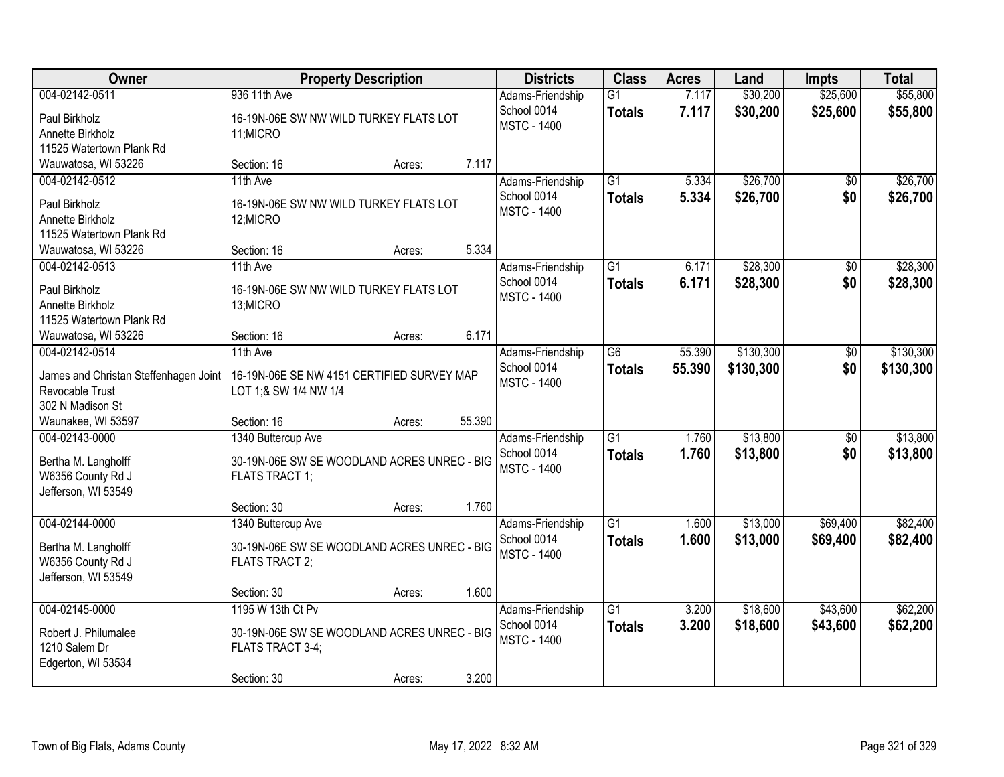| Owner                                        | <b>Property Description</b>                 | <b>Districts</b>   | <b>Class</b>    | <b>Acres</b> | Land      | <b>Impts</b>    | <b>Total</b> |
|----------------------------------------------|---------------------------------------------|--------------------|-----------------|--------------|-----------|-----------------|--------------|
| 004-02142-0511                               | 936 11th Ave                                | Adams-Friendship   | $\overline{G1}$ | 7.117        | \$30,200  | \$25,600        | \$55,800     |
| Paul Birkholz                                | 16-19N-06E SW NW WILD TURKEY FLATS LOT      | School 0014        | <b>Totals</b>   | 7.117        | \$30,200  | \$25,600        | \$55,800     |
| Annette Birkholz                             | 11;MICRO                                    | <b>MSTC - 1400</b> |                 |              |           |                 |              |
| 11525 Watertown Plank Rd                     |                                             |                    |                 |              |           |                 |              |
| Wauwatosa, WI 53226                          | 7.117<br>Section: 16<br>Acres:              |                    |                 |              |           |                 |              |
| 004-02142-0512                               | 11th Ave                                    | Adams-Friendship   | $\overline{G1}$ | 5.334        | \$26,700  | $\overline{50}$ | \$26,700     |
| Paul Birkholz                                | 16-19N-06E SW NW WILD TURKEY FLATS LOT      | School 0014        | <b>Totals</b>   | 5.334        | \$26,700  | \$0             | \$26,700     |
| Annette Birkholz                             | 12;MICRO                                    | <b>MSTC - 1400</b> |                 |              |           |                 |              |
| 11525 Watertown Plank Rd                     |                                             |                    |                 |              |           |                 |              |
| Wauwatosa, WI 53226                          | 5.334<br>Section: 16<br>Acres:              |                    |                 |              |           |                 |              |
| 004-02142-0513                               | 11th Ave                                    | Adams-Friendship   | G1              | 6.171        | \$28,300  | \$0             | \$28,300     |
|                                              |                                             | School 0014        | <b>Totals</b>   | 6.171        | \$28,300  | \$0             | \$28,300     |
| Paul Birkholz                                | 16-19N-06E SW NW WILD TURKEY FLATS LOT      | <b>MSTC - 1400</b> |                 |              |           |                 |              |
| Annette Birkholz<br>11525 Watertown Plank Rd | 13;MICRO                                    |                    |                 |              |           |                 |              |
| Wauwatosa, WI 53226                          | 6.171<br>Section: 16<br>Acres:              |                    |                 |              |           |                 |              |
| 004-02142-0514                               | 11th Ave                                    | Adams-Friendship   | $\overline{G6}$ | 55.390       | \$130,300 | $\sqrt[6]{}$    | \$130,300    |
|                                              |                                             | School 0014        |                 | 55.390       | \$130,300 | \$0             |              |
| James and Christan Steffenhagen Joint        | 16-19N-06E SE NW 4151 CERTIFIED SURVEY MAP  | <b>MSTC - 1400</b> | <b>Totals</b>   |              |           |                 | \$130,300    |
| Revocable Trust                              | LOT 1;& SW 1/4 NW 1/4                       |                    |                 |              |           |                 |              |
| 302 N Madison St                             |                                             |                    |                 |              |           |                 |              |
| Waunakee, WI 53597                           | 55.390<br>Section: 16<br>Acres:             |                    |                 |              |           |                 |              |
| 004-02143-0000                               | 1340 Buttercup Ave                          | Adams-Friendship   | $\overline{G1}$ | 1.760        | \$13,800  | $\overline{50}$ | \$13,800     |
| Bertha M. Langholff                          | 30-19N-06E SW SE WOODLAND ACRES UNREC - BIG | School 0014        | <b>Totals</b>   | 1.760        | \$13,800  | \$0             | \$13,800     |
| W6356 County Rd J                            | <b>FLATS TRACT 1;</b>                       | <b>MSTC - 1400</b> |                 |              |           |                 |              |
| Jefferson, WI 53549                          |                                             |                    |                 |              |           |                 |              |
|                                              | 1.760<br>Section: 30<br>Acres:              |                    |                 |              |           |                 |              |
| 004-02144-0000                               | 1340 Buttercup Ave                          | Adams-Friendship   | $\overline{G1}$ | 1.600        | \$13,000  | \$69,400        | \$82,400     |
| Bertha M. Langholff                          | 30-19N-06E SW SE WOODLAND ACRES UNREC - BIG | School 0014        | <b>Totals</b>   | 1.600        | \$13,000  | \$69,400        | \$82,400     |
| W6356 County Rd J                            | FLATS TRACT 2;                              | <b>MSTC - 1400</b> |                 |              |           |                 |              |
| Jefferson, WI 53549                          |                                             |                    |                 |              |           |                 |              |
|                                              | 1.600<br>Section: 30<br>Acres:              |                    |                 |              |           |                 |              |
| 004-02145-0000                               | 1195 W 13th Ct Pv                           | Adams-Friendship   | $\overline{G1}$ | 3.200        | \$18,600  | \$43,600        | \$62,200     |
|                                              |                                             | School 0014        | <b>Totals</b>   | 3.200        | \$18,600  | \$43,600        | \$62,200     |
| Robert J. Philumalee                         | 30-19N-06E SW SE WOODLAND ACRES UNREC - BIG | <b>MSTC - 1400</b> |                 |              |           |                 |              |
| 1210 Salem Dr                                | FLATS TRACT 3-4;                            |                    |                 |              |           |                 |              |
| Edgerton, WI 53534                           |                                             |                    |                 |              |           |                 |              |
|                                              | 3.200<br>Section: 30<br>Acres:              |                    |                 |              |           |                 |              |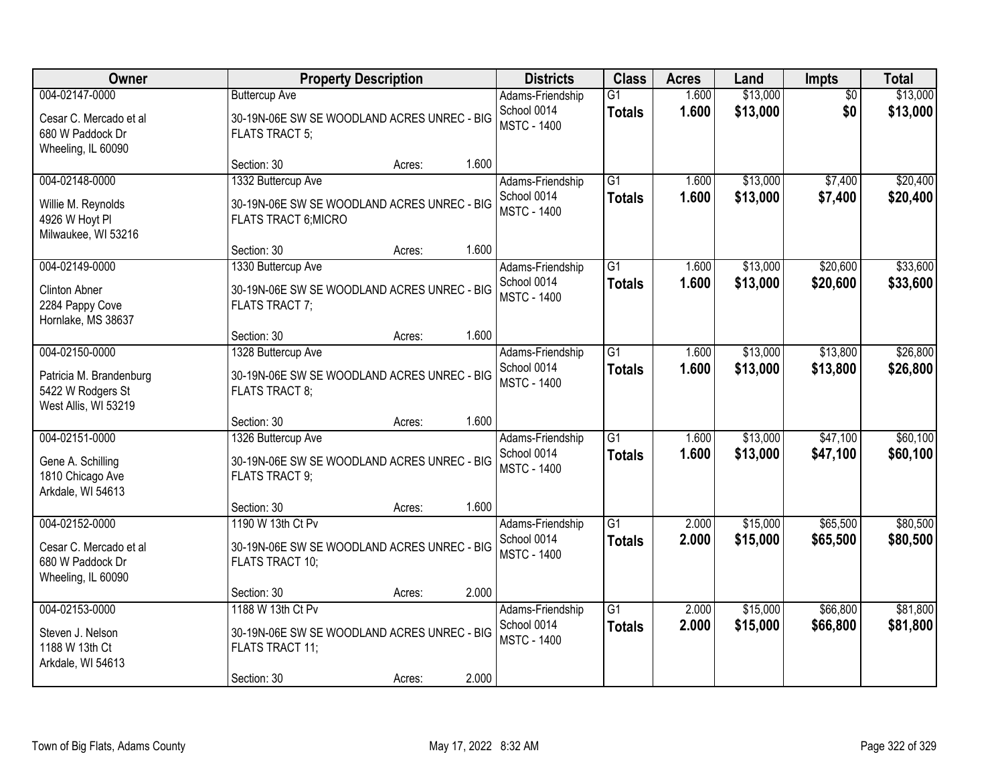| Owner                                                                                  |                                                                                                           | <b>Property Description</b> |       | <b>Districts</b>                                      | <b>Class</b>                     | <b>Acres</b>   | Land                 | Impts                  | <b>Total</b>         |
|----------------------------------------------------------------------------------------|-----------------------------------------------------------------------------------------------------------|-----------------------------|-------|-------------------------------------------------------|----------------------------------|----------------|----------------------|------------------------|----------------------|
| 004-02147-0000<br>Cesar C. Mercado et al<br>680 W Paddock Dr<br>Wheeling, IL 60090     | <b>Buttercup Ave</b><br>30-19N-06E SW SE WOODLAND ACRES UNREC - BIG<br><b>FLATS TRACT 5;</b>              |                             |       | Adams-Friendship<br>School 0014<br><b>MSTC - 1400</b> | $\overline{G1}$<br><b>Totals</b> | 1.600<br>1.600 | \$13,000<br>\$13,000 | $\overline{50}$<br>\$0 | \$13,000<br>\$13,000 |
|                                                                                        | Section: 30                                                                                               | Acres:                      | 1.600 |                                                       |                                  |                |                      |                        |                      |
| 004-02148-0000<br>Willie M. Reynolds<br>4926 W Hoyt Pl<br>Milwaukee, WI 53216          | 1332 Buttercup Ave<br>30-19N-06E SW SE WOODLAND ACRES UNREC - BIG<br>FLATS TRACT 6; MICRO                 |                             |       | Adams-Friendship<br>School 0014<br><b>MSTC - 1400</b> | $\overline{G1}$<br><b>Totals</b> | 1.600<br>1.600 | \$13,000<br>\$13,000 | \$7,400<br>\$7,400     | \$20,400<br>\$20,400 |
|                                                                                        | Section: 30                                                                                               | Acres:                      | 1.600 |                                                       |                                  |                |                      |                        |                      |
| 004-02149-0000<br><b>Clinton Abner</b><br>2284 Pappy Cove<br>Hornlake, MS 38637        | 1330 Buttercup Ave<br>30-19N-06E SW SE WOODLAND ACRES UNREC - BIG<br>FLATS TRACT 7;                       |                             |       | Adams-Friendship<br>School 0014<br><b>MSTC - 1400</b> | G1<br><b>Totals</b>              | 1.600<br>1.600 | \$13,000<br>\$13,000 | \$20,600<br>\$20,600   | \$33,600<br>\$33,600 |
|                                                                                        | Section: 30                                                                                               | Acres:                      | 1.600 |                                                       |                                  |                |                      |                        |                      |
| 004-02150-0000<br>Patricia M. Brandenburg<br>5422 W Rodgers St<br>West Allis, WI 53219 | 1328 Buttercup Ave<br>30-19N-06E SW SE WOODLAND ACRES UNREC - BIG<br>FLATS TRACT 8;                       |                             |       | Adams-Friendship<br>School 0014<br><b>MSTC - 1400</b> | G1<br><b>Totals</b>              | 1.600<br>1.600 | \$13,000<br>\$13,000 | \$13,800<br>\$13,800   | \$26,800<br>\$26,800 |
|                                                                                        | Section: 30                                                                                               | Acres:                      | 1.600 |                                                       |                                  |                |                      |                        |                      |
| 004-02151-0000<br>Gene A. Schilling<br>1810 Chicago Ave<br>Arkdale, WI 54613           | 1326 Buttercup Ave<br>30-19N-06E SW SE WOODLAND ACRES UNREC - BIG<br><b>FLATS TRACT 9:</b>                |                             |       | Adams-Friendship<br>School 0014<br><b>MSTC - 1400</b> | $\overline{G1}$<br><b>Totals</b> | 1.600<br>1.600 | \$13,000<br>\$13,000 | \$47,100<br>\$47,100   | \$60,100<br>\$60,100 |
|                                                                                        | Section: 30                                                                                               | Acres:                      | 1.600 |                                                       |                                  |                |                      |                        |                      |
| 004-02152-0000<br>Cesar C. Mercado et al<br>680 W Paddock Dr<br>Wheeling, IL 60090     | 1190 W 13th Ct Pv<br>30-19N-06E SW SE WOODLAND ACRES UNREC - BIG<br>FLATS TRACT 10;                       |                             |       | Adams-Friendship<br>School 0014<br><b>MSTC - 1400</b> | $\overline{G1}$<br><b>Totals</b> | 2.000<br>2.000 | \$15,000<br>\$15,000 | \$65,500<br>\$65,500   | \$80,500<br>\$80,500 |
|                                                                                        | Section: 30                                                                                               | Acres:                      | 2.000 |                                                       |                                  |                |                      |                        |                      |
| 004-02153-0000<br>Steven J. Nelson<br>1188 W 13th Ct<br>Arkdale, WI 54613              | 1188 W 13th Ct Pv<br>30-19N-06E SW SE WOODLAND ACRES UNREC - BIG<br><b>FLATS TRACT 11;</b><br>Section: 30 | Acres:                      | 2.000 | Adams-Friendship<br>School 0014<br><b>MSTC - 1400</b> | $\overline{G1}$<br><b>Totals</b> | 2.000<br>2.000 | \$15,000<br>\$15,000 | \$66,800<br>\$66,800   | \$81,800<br>\$81,800 |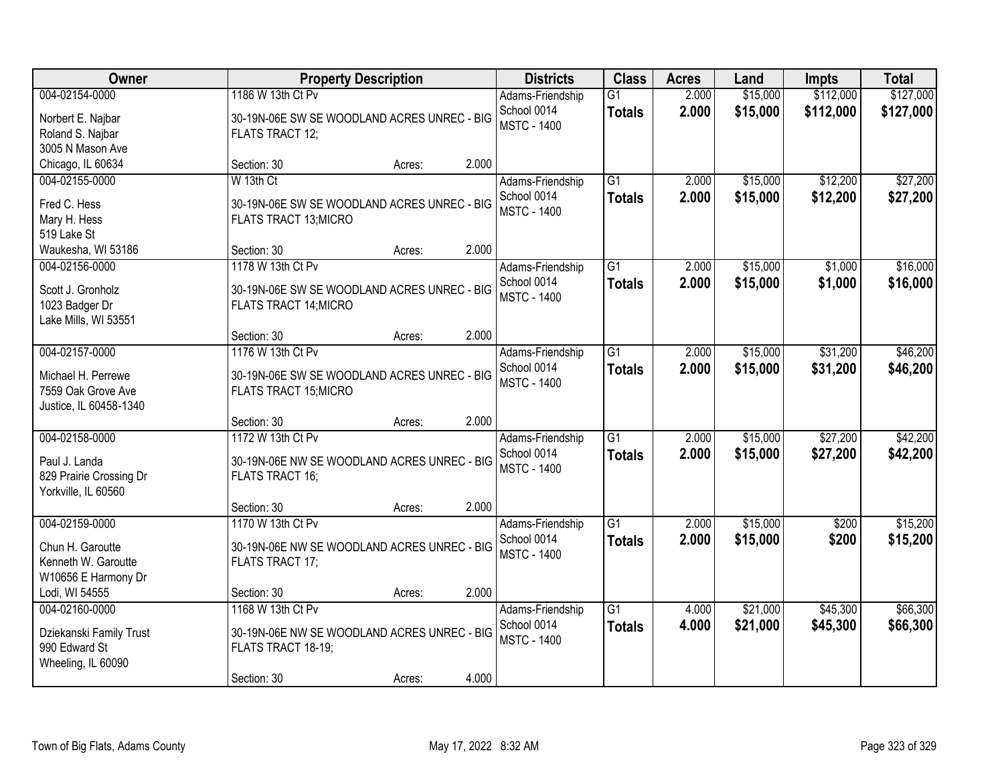| Owner                                                                                |                                                                                                       | <b>Property Description</b> |       | <b>Districts</b>                                      | <b>Class</b>                     | <b>Acres</b>   | Land                 | <b>Impts</b>           | <b>Total</b>           |
|--------------------------------------------------------------------------------------|-------------------------------------------------------------------------------------------------------|-----------------------------|-------|-------------------------------------------------------|----------------------------------|----------------|----------------------|------------------------|------------------------|
| 004-02154-0000<br>Norbert E. Najbar<br>Roland S. Najbar<br>3005 N Mason Ave          | 1186 W 13th Ct Pv<br>30-19N-06E SW SE WOODLAND ACRES UNREC - BIG<br>FLATS TRACT 12;                   |                             |       | Adams-Friendship<br>School 0014<br><b>MSTC - 1400</b> | G1<br><b>Totals</b>              | 2.000<br>2.000 | \$15,000<br>\$15,000 | \$112,000<br>\$112,000 | \$127,000<br>\$127,000 |
| Chicago, IL 60634                                                                    | Section: 30                                                                                           | Acres:                      | 2.000 |                                                       |                                  |                |                      |                        |                        |
| 004-02155-0000<br>Fred C. Hess<br>Mary H. Hess<br>519 Lake St                        | W 13th Ct<br>30-19N-06E SW SE WOODLAND ACRES UNREC - BIG<br>FLATS TRACT 13; MICRO                     |                             |       | Adams-Friendship<br>School 0014<br><b>MSTC - 1400</b> | $\overline{G1}$<br><b>Totals</b> | 2.000<br>2.000 | \$15,000<br>\$15,000 | \$12,200<br>\$12,200   | \$27,200<br>\$27,200   |
| Waukesha, WI 53186                                                                   | Section: 30                                                                                           | Acres:                      | 2.000 |                                                       |                                  |                |                      |                        |                        |
| 004-02156-0000<br>Scott J. Gronholz<br>1023 Badger Dr<br>Lake Mills, WI 53551        | 1178 W 13th Ct Pv<br>30-19N-06E SW SE WOODLAND ACRES UNREC - BIG<br><b>FLATS TRACT 14; MICRO</b>      |                             |       | Adams-Friendship<br>School 0014<br><b>MSTC - 1400</b> | G <sub>1</sub><br><b>Totals</b>  | 2.000<br>2.000 | \$15,000<br>\$15,000 | \$1,000<br>\$1,000     | \$16,000<br>\$16,000   |
|                                                                                      | Section: 30                                                                                           | Acres:                      | 2.000 |                                                       |                                  |                |                      |                        |                        |
| 004-02157-0000<br>Michael H. Perrewe<br>7559 Oak Grove Ave<br>Justice, IL 60458-1340 | 1176 W 13th Ct Pv<br>30-19N-06E SW SE WOODLAND ACRES UNREC - BIG<br><b>FLATS TRACT 15; MICRO</b>      |                             |       | Adams-Friendship<br>School 0014<br><b>MSTC - 1400</b> | $\overline{G1}$<br><b>Totals</b> | 2.000<br>2.000 | \$15,000<br>\$15,000 | \$31,200<br>\$31,200   | \$46,200<br>\$46,200   |
|                                                                                      | Section: 30                                                                                           | Acres:                      | 2.000 |                                                       |                                  |                |                      |                        |                        |
| 004-02158-0000<br>Paul J. Landa<br>829 Prairie Crossing Dr<br>Yorkville, IL 60560    | 1172 W 13th Ct Pv<br>30-19N-06E NW SE WOODLAND ACRES UNREC - BIG<br><b>FLATS TRACT 16:</b>            |                             |       | Adams-Friendship<br>School 0014<br><b>MSTC - 1400</b> | $\overline{G1}$<br><b>Totals</b> | 2.000<br>2.000 | \$15,000<br>\$15,000 | \$27,200<br>\$27,200   | \$42,200<br>\$42,200   |
|                                                                                      | Section: 30                                                                                           | Acres:                      | 2.000 |                                                       |                                  |                |                      |                        |                        |
| 004-02159-0000<br>Chun H. Garoutte<br>Kenneth W. Garoutte<br>W10656 E Harmony Dr     | 1170 W 13th Ct Pv<br>30-19N-06E NW SE WOODLAND ACRES UNREC - BIG<br>FLATS TRACT 17;                   |                             |       | Adams-Friendship<br>School 0014<br><b>MSTC - 1400</b> | $\overline{G1}$<br><b>Totals</b> | 2.000<br>2.000 | \$15,000<br>\$15,000 | \$200<br>\$200         | \$15,200<br>\$15,200   |
| Lodi, WI 54555                                                                       | Section: 30                                                                                           | Acres:                      | 2.000 |                                                       |                                  |                |                      |                        |                        |
| 004-02160-0000<br>Dziekanski Family Trust<br>990 Edward St<br>Wheeling, IL 60090     | 1168 W 13th Ct Pv<br>30-19N-06E NW SE WOODLAND ACRES UNREC - BIG<br>FLATS TRACT 18-19;<br>Section: 30 | Acres:                      | 4.000 | Adams-Friendship<br>School 0014<br><b>MSTC - 1400</b> | $\overline{G1}$<br><b>Totals</b> | 4.000<br>4.000 | \$21,000<br>\$21,000 | \$45,300<br>\$45,300   | \$66,300<br>\$66,300   |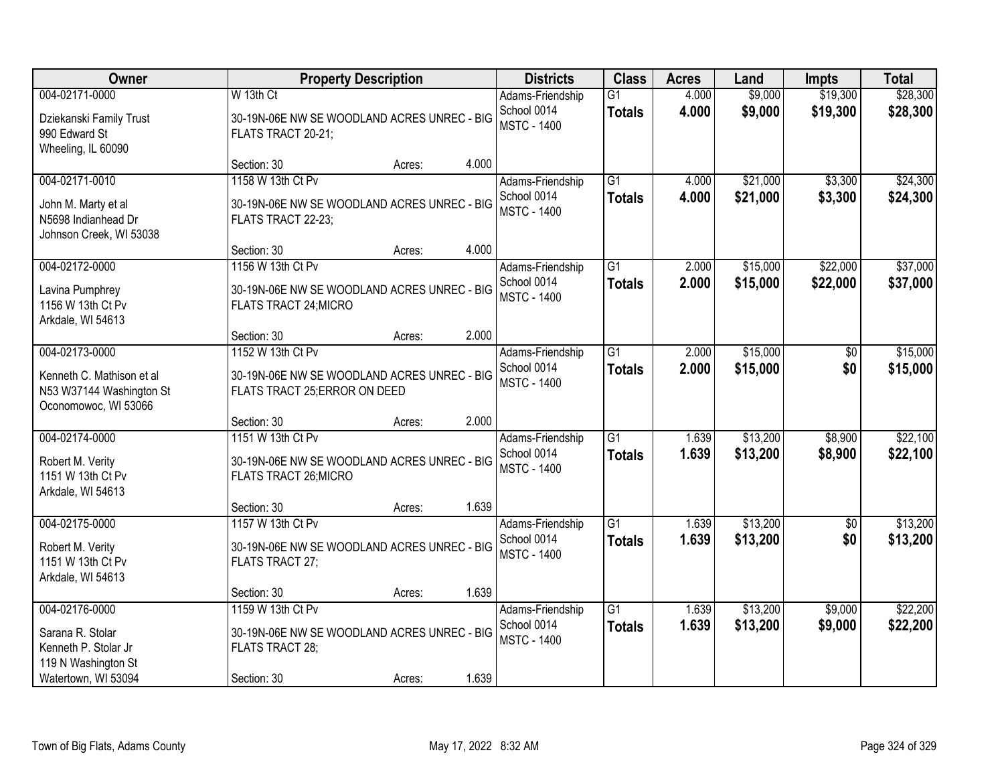| <b>Owner</b>                                                                                             |                                                                                                    | <b>Property Description</b> |       | <b>Districts</b>                                      | <b>Class</b>                     | <b>Acres</b>   | Land                 | <b>Impts</b>           | <b>Total</b>         |
|----------------------------------------------------------------------------------------------------------|----------------------------------------------------------------------------------------------------|-----------------------------|-------|-------------------------------------------------------|----------------------------------|----------------|----------------------|------------------------|----------------------|
| 004-02171-0000<br>Dziekanski Family Trust<br>990 Edward St<br>Wheeling, IL 60090                         | W 13th Ct<br>30-19N-06E NW SE WOODLAND ACRES UNREC - BIG<br>FLATS TRACT 20-21;                     |                             |       | Adams-Friendship<br>School 0014<br><b>MSTC - 1400</b> | G1<br><b>Totals</b>              | 4.000<br>4.000 | \$9,000<br>\$9,000   | \$19,300<br>\$19,300   | \$28,300<br>\$28,300 |
|                                                                                                          | Section: 30                                                                                        | Acres:                      | 4.000 |                                                       |                                  |                |                      |                        |                      |
| 004-02171-0010<br>John M. Marty et al<br>N5698 Indianhead Dr<br>Johnson Creek, WI 53038                  | 1158 W 13th Ct Pv<br>30-19N-06E NW SE WOODLAND ACRES UNREC - BIG<br>FLATS TRACT 22-23;             |                             |       | Adams-Friendship<br>School 0014<br><b>MSTC - 1400</b> | $\overline{G1}$<br><b>Totals</b> | 4.000<br>4.000 | \$21,000<br>\$21,000 | \$3,300<br>\$3,300     | \$24,300<br>\$24,300 |
|                                                                                                          | Section: 30                                                                                        | Acres:                      | 4.000 |                                                       |                                  |                |                      |                        |                      |
| 004-02172-0000<br>Lavina Pumphrey<br>1156 W 13th Ct Pv<br>Arkdale, WI 54613                              | 1156 W 13th Ct Pv<br>30-19N-06E NW SE WOODLAND ACRES UNREC - BIG<br>FLATS TRACT 24; MICRO          |                             |       | Adams-Friendship<br>School 0014<br><b>MSTC - 1400</b> | G1<br><b>Totals</b>              | 2.000<br>2.000 | \$15,000<br>\$15,000 | \$22,000<br>\$22,000   | \$37,000<br>\$37,000 |
|                                                                                                          | Section: 30                                                                                        | Acres:                      | 2.000 |                                                       |                                  |                |                      |                        |                      |
| 004-02173-0000<br>Kenneth C. Mathison et al<br>N53 W37144 Washington St<br>Oconomowoc, WI 53066          | 1152 W 13th Ct Pv<br>30-19N-06E NW SE WOODLAND ACRES UNREC - BIG<br>FLATS TRACT 25; ERROR ON DEED  |                             |       | Adams-Friendship<br>School 0014<br><b>MSTC - 1400</b> | $\overline{G1}$<br><b>Totals</b> | 2.000<br>2.000 | \$15,000<br>\$15,000 | \$0<br>\$0             | \$15,000<br>\$15,000 |
|                                                                                                          | Section: 30                                                                                        | Acres:                      | 2.000 |                                                       |                                  |                |                      |                        |                      |
| 004-02174-0000<br>Robert M. Verity<br>1151 W 13th Ct Pv<br>Arkdale, WI 54613                             | 1151 W 13th Ct Pv<br>30-19N-06E NW SE WOODLAND ACRES UNREC - BIG<br>FLATS TRACT 26; MICRO          |                             |       | Adams-Friendship<br>School 0014<br><b>MSTC - 1400</b> | $\overline{G1}$<br><b>Totals</b> | 1.639<br>1.639 | \$13,200<br>\$13,200 | \$8,900<br>\$8,900     | \$22,100<br>\$22,100 |
|                                                                                                          | Section: 30                                                                                        | Acres:                      | 1.639 |                                                       |                                  |                |                      |                        |                      |
| 004-02175-0000<br>Robert M. Verity<br>1151 W 13th Ct Pv<br>Arkdale, WI 54613                             | 1157 W 13th Ct Pv<br>30-19N-06E NW SE WOODLAND ACRES UNREC - BIG<br>FLATS TRACT 27;                |                             |       | Adams-Friendship<br>School 0014<br><b>MSTC - 1400</b> | $\overline{G1}$<br><b>Totals</b> | 1.639<br>1.639 | \$13,200<br>\$13,200 | $\overline{50}$<br>\$0 | \$13,200<br>\$13,200 |
|                                                                                                          | Section: 30                                                                                        | Acres:                      | 1.639 |                                                       |                                  |                |                      |                        |                      |
| 004-02176-0000<br>Sarana R. Stolar<br>Kenneth P. Stolar Jr<br>119 N Washington St<br>Watertown, WI 53094 | 1159 W 13th Ct Pv<br>30-19N-06E NW SE WOODLAND ACRES UNREC - BIG<br>FLATS TRACT 28;<br>Section: 30 | Acres:                      | 1.639 | Adams-Friendship<br>School 0014<br><b>MSTC - 1400</b> | $\overline{G1}$<br><b>Totals</b> | 1.639<br>1.639 | \$13,200<br>\$13,200 | \$9,000<br>\$9,000     | \$22,200<br>\$22,200 |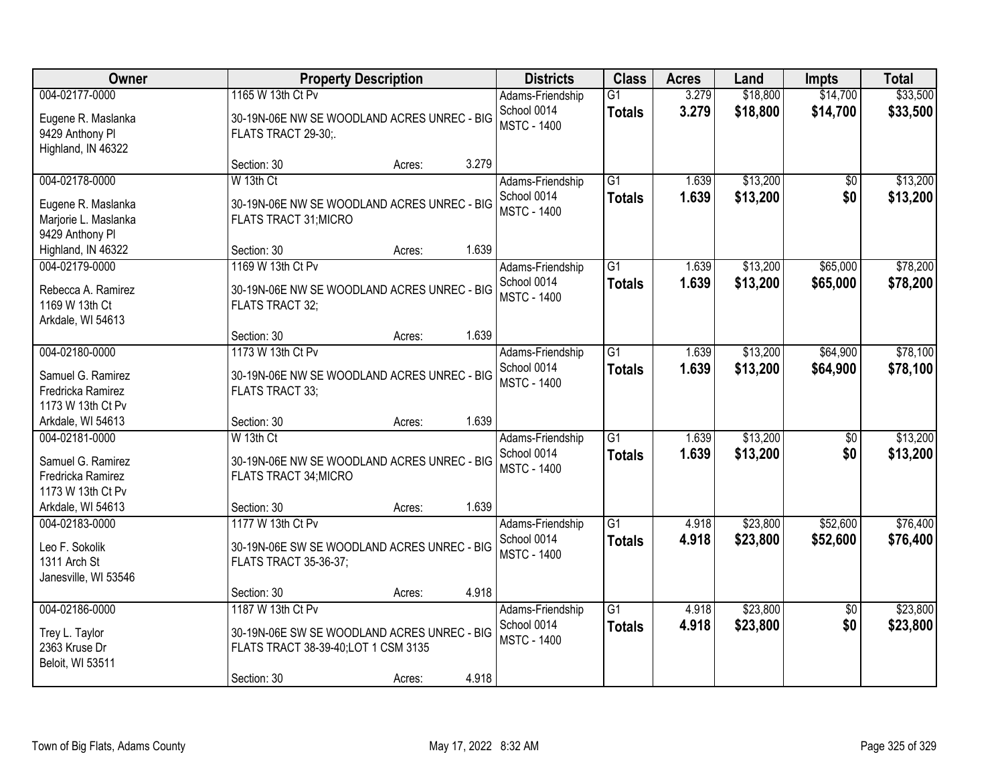| Owner                                                                                              | <b>Property Description</b>                                                                                             |        |       | <b>Districts</b>                                      | <b>Class</b>                     | <b>Acres</b>   | Land                 | <b>Impts</b>           | <b>Total</b>         |
|----------------------------------------------------------------------------------------------------|-------------------------------------------------------------------------------------------------------------------------|--------|-------|-------------------------------------------------------|----------------------------------|----------------|----------------------|------------------------|----------------------|
| 004-02177-0000<br>Eugene R. Maslanka<br>9429 Anthony Pl<br>Highland, IN 46322                      | 1165 W 13th Ct Pv<br>30-19N-06E NW SE WOODLAND ACRES UNREC - BIG<br>FLATS TRACT 29-30;.                                 |        |       | Adams-Friendship<br>School 0014<br><b>MSTC - 1400</b> | G1<br><b>Totals</b>              | 3.279<br>3.279 | \$18,800<br>\$18,800 | \$14,700<br>\$14,700   | \$33,500<br>\$33,500 |
|                                                                                                    | Section: 30                                                                                                             | Acres: | 3.279 |                                                       |                                  |                |                      |                        |                      |
| 004-02178-0000<br>Eugene R. Maslanka<br>Marjorie L. Maslanka<br>9429 Anthony Pl                    | W 13th Ct<br>30-19N-06E NW SE WOODLAND ACRES UNREC - BIG<br>FLATS TRACT 31; MICRO                                       |        |       | Adams-Friendship<br>School 0014<br><b>MSTC - 1400</b> | $\overline{G1}$<br><b>Totals</b> | 1.639<br>1.639 | \$13,200<br>\$13,200 | \$0<br>\$0             | \$13,200<br>\$13,200 |
| Highland, IN 46322                                                                                 | Section: 30                                                                                                             | Acres: | 1.639 |                                                       |                                  |                |                      |                        |                      |
| 004-02179-0000<br>Rebecca A. Ramirez<br>1169 W 13th Ct<br>Arkdale, WI 54613                        | 1169 W 13th Ct Pv<br>30-19N-06E NW SE WOODLAND ACRES UNREC - BIG<br>FLATS TRACT 32;                                     |        |       | Adams-Friendship<br>School 0014<br><b>MSTC - 1400</b> | G <sub>1</sub><br><b>Totals</b>  | 1.639<br>1.639 | \$13,200<br>\$13,200 | \$65,000<br>\$65,000   | \$78,200<br>\$78,200 |
|                                                                                                    | Section: 30                                                                                                             | Acres: | 1.639 |                                                       |                                  |                |                      |                        |                      |
| 004-02180-0000<br>Samuel G. Ramirez<br>Fredricka Ramirez<br>1173 W 13th Ct Pv                      | 1173 W 13th Ct Pv<br>30-19N-06E NW SE WOODLAND ACRES UNREC - BIG<br>FLATS TRACT 33;                                     |        |       | Adams-Friendship<br>School 0014<br><b>MSTC - 1400</b> | $\overline{G1}$<br><b>Totals</b> | 1.639<br>1.639 | \$13,200<br>\$13,200 | \$64,900<br>\$64,900   | \$78,100<br>\$78,100 |
| Arkdale, WI 54613                                                                                  | Section: 30                                                                                                             | Acres: | 1.639 |                                                       |                                  |                |                      |                        |                      |
| 004-02181-0000<br>Samuel G. Ramirez<br>Fredricka Ramirez<br>1173 W 13th Ct Pv<br>Arkdale, WI 54613 | W 13th Ct<br>30-19N-06E NW SE WOODLAND ACRES UNREC - BIG<br><b>FLATS TRACT 34; MICRO</b><br>Section: 30                 | Acres: | 1.639 | Adams-Friendship<br>School 0014<br><b>MSTC - 1400</b> | $\overline{G1}$<br><b>Totals</b> | 1.639<br>1.639 | \$13,200<br>\$13,200 | $\overline{50}$<br>\$0 | \$13,200<br>\$13,200 |
| 004-02183-0000<br>Leo F. Sokolik<br>1311 Arch St<br>Janesville, WI 53546                           | 1177 W 13th Ct Pv<br>30-19N-06E SW SE WOODLAND ACRES UNREC - BIG<br><b>FLATS TRACT 35-36-37;</b>                        |        |       | Adams-Friendship<br>School 0014<br><b>MSTC - 1400</b> | $\overline{G1}$<br><b>Totals</b> | 4.918<br>4.918 | \$23,800<br>\$23,800 | \$52,600<br>\$52,600   | \$76,400<br>\$76,400 |
|                                                                                                    | Section: 30                                                                                                             | Acres: | 4.918 |                                                       |                                  |                |                      |                        |                      |
| 004-02186-0000<br>Trey L. Taylor<br>2363 Kruse Dr<br>Beloit, WI 53511                              | 1187 W 13th Ct Pv<br>30-19N-06E SW SE WOODLAND ACRES UNREC - BIG<br>FLATS TRACT 38-39-40; LOT 1 CSM 3135<br>Section: 30 | Acres: | 4.918 | Adams-Friendship<br>School 0014<br><b>MSTC - 1400</b> | $\overline{G1}$<br><b>Totals</b> | 4.918<br>4.918 | \$23,800<br>\$23,800 | $\overline{50}$<br>\$0 | \$23,800<br>\$23,800 |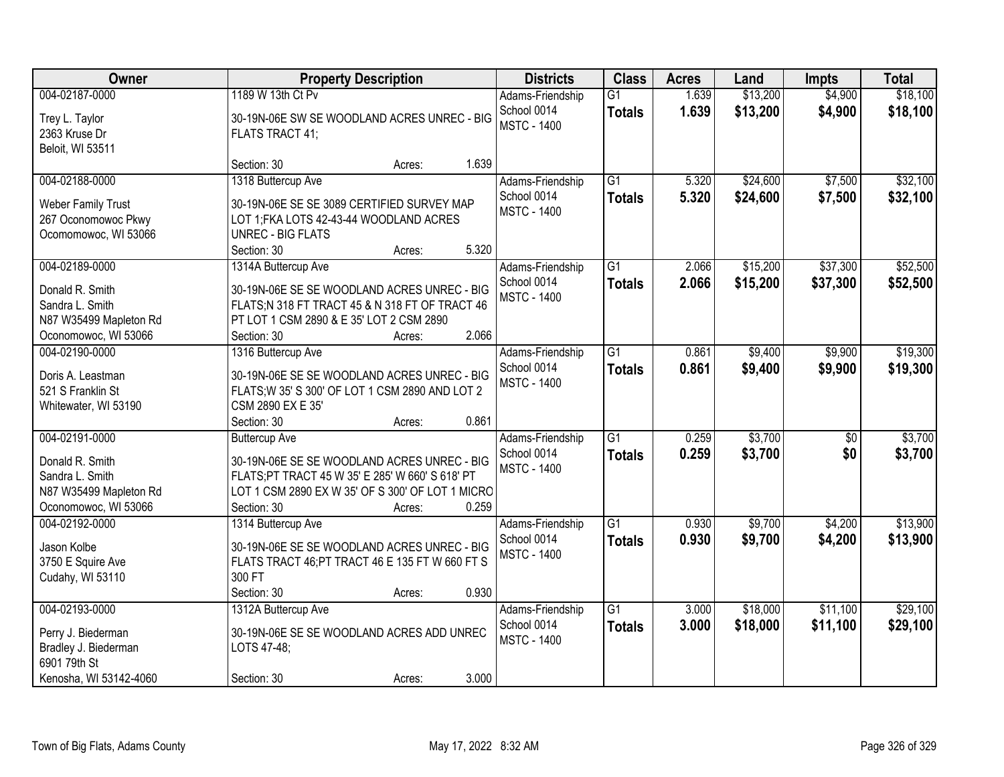| Owner                                                                                                  | <b>Property Description</b>                                                                                                                                                                                  | <b>Districts</b>                                      | <b>Class</b>                     | <b>Acres</b>   | Land                 | <b>Impts</b>       | <b>Total</b>         |
|--------------------------------------------------------------------------------------------------------|--------------------------------------------------------------------------------------------------------------------------------------------------------------------------------------------------------------|-------------------------------------------------------|----------------------------------|----------------|----------------------|--------------------|----------------------|
| 004-02187-0000<br>Trey L. Taylor<br>2363 Kruse Dr<br>Beloit, WI 53511                                  | 1189 W 13th Ct Pv<br>30-19N-06E SW SE WOODLAND ACRES UNREC - BIG<br>FLATS TRACT 41;                                                                                                                          | Adams-Friendship<br>School 0014<br><b>MSTC - 1400</b> | $\overline{G1}$<br><b>Totals</b> | 1.639<br>1.639 | \$13,200<br>\$13,200 | \$4,900<br>\$4,900 | \$18,100<br>\$18,100 |
|                                                                                                        | 1.639<br>Section: 30<br>Acres:                                                                                                                                                                               |                                                       |                                  |                |                      |                    |                      |
| 004-02188-0000<br><b>Weber Family Trust</b><br>267 Oconomowoc Pkwy<br>Ocomomowoc, WI 53066             | 1318 Buttercup Ave<br>30-19N-06E SE SE 3089 CERTIFIED SURVEY MAP<br>LOT 1; FKA LOTS 42-43-44 WOODLAND ACRES<br><b>UNREC - BIG FLATS</b><br>5.320<br>Section: 30<br>Acres:                                    | Adams-Friendship<br>School 0014<br><b>MSTC - 1400</b> | $\overline{G1}$<br><b>Totals</b> | 5.320<br>5.320 | \$24,600<br>\$24,600 | \$7,500<br>\$7,500 | \$32,100<br>\$32,100 |
| 004-02189-0000                                                                                         | 1314A Buttercup Ave                                                                                                                                                                                          | Adams-Friendship                                      | $\overline{G1}$                  | 2.066          | \$15,200             | \$37,300           | \$52,500             |
| Donald R. Smith<br>Sandra L. Smith<br>N87 W35499 Mapleton Rd<br>Oconomowoc, WI 53066                   | 30-19N-06E SE SE WOODLAND ACRES UNREC - BIG<br>FLATS;N 318 FT TRACT 45 & N 318 FT OF TRACT 46<br>PT LOT 1 CSM 2890 & E 35' LOT 2 CSM 2890<br>2.066<br>Section: 30<br>Acres:                                  | School 0014<br><b>MSTC - 1400</b>                     | <b>Totals</b>                    | 2.066          | \$15,200             | \$37,300           | \$52,500             |
| 004-02190-0000                                                                                         | 1316 Buttercup Ave                                                                                                                                                                                           | Adams-Friendship                                      | $\overline{G1}$                  | 0.861          | \$9,400              | \$9,900            | \$19,300             |
| Doris A. Leastman<br>521 S Franklin St<br>Whitewater, WI 53190                                         | 30-19N-06E SE SE WOODLAND ACRES UNREC - BIG<br>FLATS; W 35' S 300' OF LOT 1 CSM 2890 AND LOT 2<br>CSM 2890 EX E 35'                                                                                          | School 0014<br><b>MSTC - 1400</b>                     | <b>Totals</b>                    | 0.861          | \$9,400              | \$9,900            | \$19,300             |
|                                                                                                        | 0.861<br>Section: 30<br>Acres:                                                                                                                                                                               |                                                       |                                  |                |                      |                    |                      |
| 004-02191-0000<br>Donald R. Smith<br>Sandra L. Smith<br>N87 W35499 Mapleton Rd<br>Oconomowoc, WI 53066 | <b>Buttercup Ave</b><br>30-19N-06E SE SE WOODLAND ACRES UNREC - BIG<br>FLATS;PT TRACT 45 W 35' E 285' W 660' S 618' PT<br>LOT 1 CSM 2890 EX W 35' OF S 300' OF LOT 1 MICRO<br>0.259<br>Section: 30<br>Acres: | Adams-Friendship<br>School 0014<br><b>MSTC - 1400</b> | $\overline{G1}$<br><b>Totals</b> | 0.259<br>0.259 | \$3,700<br>\$3,700   | \$0<br>\$0         | \$3,700<br>\$3,700   |
| 004-02192-0000                                                                                         | 1314 Buttercup Ave                                                                                                                                                                                           | Adams-Friendship                                      | $\overline{G1}$                  | 0.930          | \$9,700              | \$4,200            | \$13,900             |
| Jason Kolbe<br>3750 E Squire Ave<br>Cudahy, WI 53110                                                   | 30-19N-06E SE SE WOODLAND ACRES UNREC - BIG<br>FLATS TRACT 46; PT TRACT 46 E 135 FT W 660 FT S<br>300 FT<br>0.930<br>Section: 30<br>Acres:                                                                   | School 0014<br><b>MSTC - 1400</b>                     | <b>Totals</b>                    | 0.930          | \$9,700              | \$4,200            | \$13,900             |
| 004-02193-0000                                                                                         | 1312A Buttercup Ave                                                                                                                                                                                          | Adams-Friendship                                      | $\overline{G1}$                  | 3.000          | \$18,000             | \$11,100           | \$29,100             |
| Perry J. Biederman<br>Bradley J. Biederman<br>6901 79th St                                             | 30-19N-06E SE SE WOODLAND ACRES ADD UNREC<br>LOTS 47-48;<br>3.000                                                                                                                                            | School 0014<br><b>MSTC - 1400</b>                     | <b>Totals</b>                    | 3.000          | \$18,000             | \$11,100           | \$29,100             |
| Kenosha, WI 53142-4060                                                                                 | Section: 30<br>Acres:                                                                                                                                                                                        |                                                       |                                  |                |                      |                    |                      |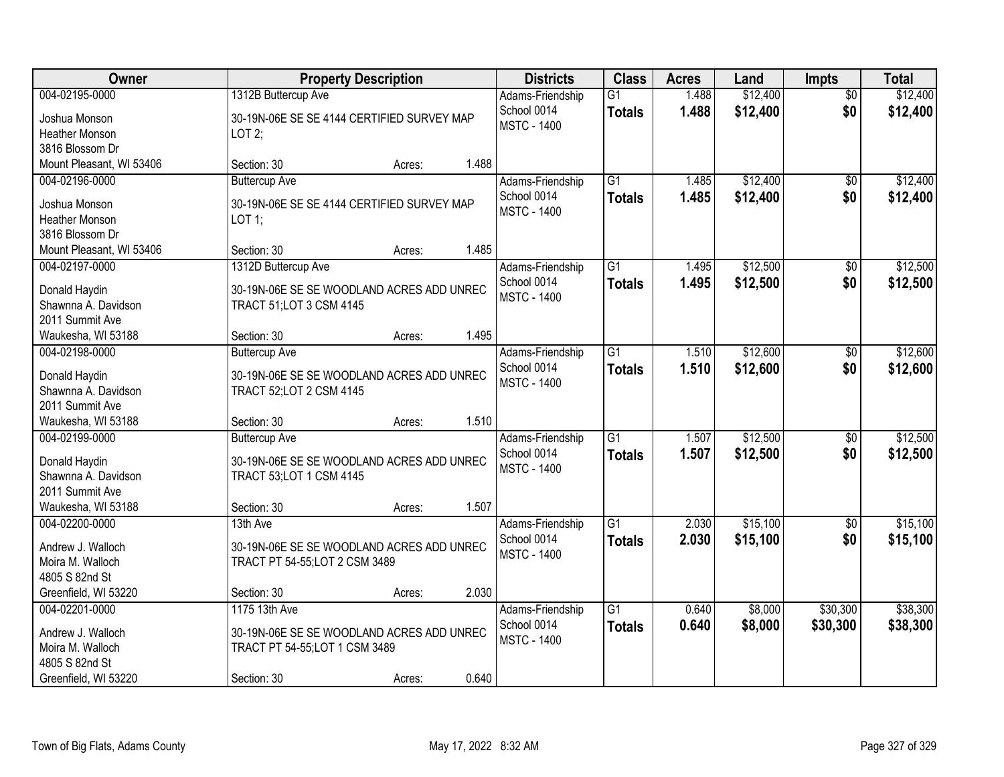| Owner                                                                                             | <b>Property Description</b>                                                                                        |        |       | <b>Districts</b>                                      | <b>Class</b>                     | <b>Acres</b>   | Land                 | <b>Impts</b>           | <b>Total</b>         |
|---------------------------------------------------------------------------------------------------|--------------------------------------------------------------------------------------------------------------------|--------|-------|-------------------------------------------------------|----------------------------------|----------------|----------------------|------------------------|----------------------|
| 004-02195-0000<br>Joshua Monson<br><b>Heather Monson</b>                                          | 1312B Buttercup Ave<br>30-19N-06E SE SE 4144 CERTIFIED SURVEY MAP<br>$LOT2$ ;                                      |        |       | Adams-Friendship<br>School 0014<br><b>MSTC - 1400</b> | $\overline{G1}$<br><b>Totals</b> | 1.488<br>1.488 | \$12,400<br>\$12,400 | $\overline{50}$<br>\$0 | \$12,400<br>\$12,400 |
| 3816 Blossom Dr<br>Mount Pleasant, WI 53406                                                       | Section: 30                                                                                                        | Acres: | 1.488 |                                                       |                                  |                |                      |                        |                      |
| 004-02196-0000<br>Joshua Monson<br><b>Heather Monson</b><br>3816 Blossom Dr                       | <b>Buttercup Ave</b><br>30-19N-06E SE SE 4144 CERTIFIED SURVEY MAP<br>$LOT$ 1;                                     |        |       | Adams-Friendship<br>School 0014<br><b>MSTC - 1400</b> | $\overline{G1}$<br><b>Totals</b> | 1.485<br>1.485 | \$12,400<br>\$12,400 | $\overline{50}$<br>\$0 | \$12,400<br>\$12,400 |
| Mount Pleasant, WI 53406                                                                          | Section: 30                                                                                                        | Acres: | 1.485 |                                                       |                                  |                |                      |                        |                      |
| 004-02197-0000<br>Donald Haydin<br>Shawnna A. Davidson<br>2011 Summit Ave                         | 1312D Buttercup Ave<br>30-19N-06E SE SE WOODLAND ACRES ADD UNREC<br>TRACT 51; LOT 3 CSM 4145                       |        |       | Adams-Friendship<br>School 0014<br><b>MSTC - 1400</b> | $\overline{G1}$<br><b>Totals</b> | 1.495<br>1.495 | \$12,500<br>\$12,500 | $\overline{50}$<br>\$0 | \$12,500<br>\$12,500 |
| Waukesha, WI 53188                                                                                | Section: 30                                                                                                        | Acres: | 1.495 |                                                       |                                  |                |                      |                        |                      |
| 004-02198-0000<br>Donald Haydin<br>Shawnna A. Davidson<br>2011 Summit Ave                         | <b>Buttercup Ave</b><br>30-19N-06E SE SE WOODLAND ACRES ADD UNREC<br>TRACT 52;LOT 2 CSM 4145                       |        |       | Adams-Friendship<br>School 0014<br><b>MSTC - 1400</b> | $\overline{G1}$<br><b>Totals</b> | 1.510<br>1.510 | \$12,600<br>\$12,600 | $\sqrt[6]{}$<br>\$0    | \$12,600<br>\$12,600 |
| Waukesha, WI 53188                                                                                | Section: 30                                                                                                        | Acres: | 1.510 |                                                       |                                  |                |                      |                        |                      |
| 004-02199-0000<br>Donald Haydin<br>Shawnna A. Davidson<br>2011 Summit Ave<br>Waukesha, WI 53188   | <b>Buttercup Ave</b><br>30-19N-06E SE SE WOODLAND ACRES ADD UNREC<br><b>TRACT 53;LOT 1 CSM 4145</b><br>Section: 30 | Acres: | 1.507 | Adams-Friendship<br>School 0014<br><b>MSTC - 1400</b> | $\overline{G1}$<br><b>Totals</b> | 1.507<br>1.507 | \$12,500<br>\$12,500 | $\overline{50}$<br>\$0 | \$12,500<br>\$12,500 |
| 004-02200-0000                                                                                    | 13th Ave                                                                                                           |        |       | Adams-Friendship                                      | $\overline{G1}$                  | 2.030          | \$15,100             | $\sqrt{$0}$            | \$15,100             |
| Andrew J. Walloch<br>Moira M. Walloch<br>4805 S 82nd St                                           | 30-19N-06E SE SE WOODLAND ACRES ADD UNREC<br>TRACT PT 54-55;LOT 2 CSM 3489                                         |        |       | School 0014<br><b>MSTC - 1400</b>                     | <b>Totals</b>                    | 2.030          | \$15,100             | \$0                    | \$15,100             |
| Greenfield, WI 53220                                                                              | Section: 30                                                                                                        | Acres: | 2.030 |                                                       |                                  |                |                      |                        |                      |
| 004-02201-0000<br>Andrew J. Walloch<br>Moira M. Walloch<br>4805 S 82nd St<br>Greenfield, WI 53220 | 1175 13th Ave<br>30-19N-06E SE SE WOODLAND ACRES ADD UNREC<br>TRACT PT 54-55;LOT 1 CSM 3489<br>Section: 30         | Acres: | 0.640 | Adams-Friendship<br>School 0014<br><b>MSTC - 1400</b> | $\overline{G1}$<br><b>Totals</b> | 0.640<br>0.640 | \$8,000<br>\$8,000   | \$30,300<br>\$30,300   | \$38,300<br>\$38,300 |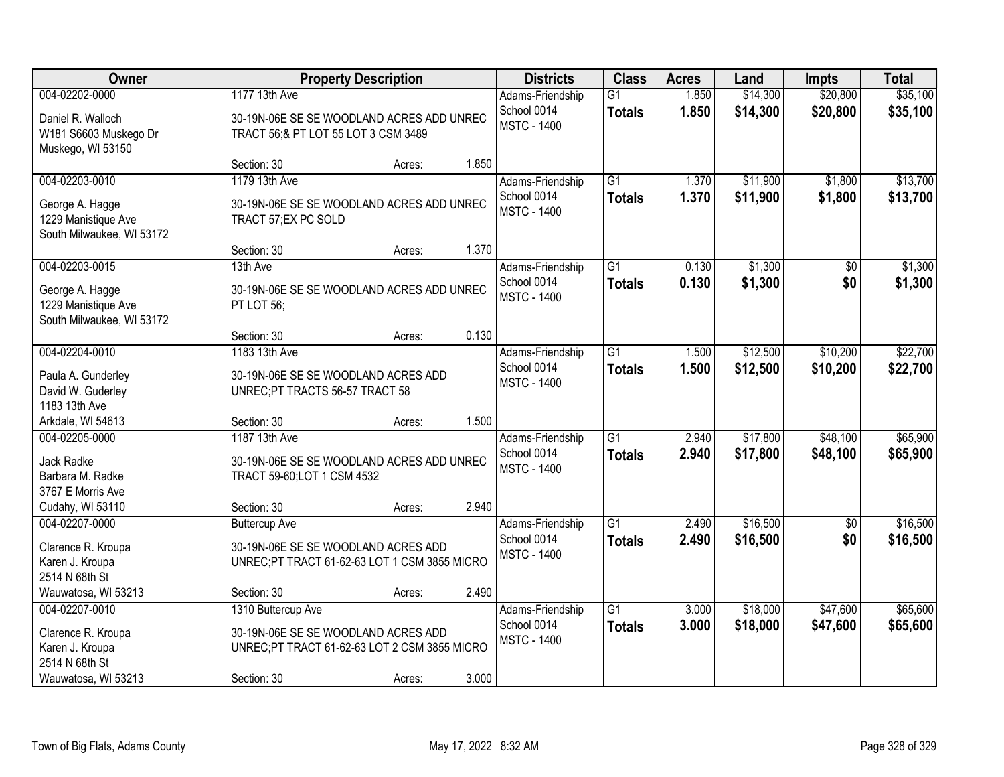| Owner                                                                                            |                                                                                                                          | <b>Property Description</b> |       |                                                       | <b>Class</b>                     | <b>Acres</b>   | Land                 | <b>Impts</b>         | <b>Total</b>         |
|--------------------------------------------------------------------------------------------------|--------------------------------------------------------------------------------------------------------------------------|-----------------------------|-------|-------------------------------------------------------|----------------------------------|----------------|----------------------|----------------------|----------------------|
| 004-02202-0000<br>Daniel R. Walloch<br>W181 S6603 Muskego Dr<br>Muskego, WI 53150                | 1177 13th Ave<br>30-19N-06E SE SE WOODLAND ACRES ADD UNREC<br>TRACT 56;& PT LOT 55 LOT 3 CSM 3489                        |                             |       | Adams-Friendship<br>School 0014<br><b>MSTC - 1400</b> | $\overline{G1}$<br><b>Totals</b> | 1.850<br>1.850 | \$14,300<br>\$14,300 | \$20,800<br>\$20,800 | \$35,100<br>\$35,100 |
|                                                                                                  | Section: 30                                                                                                              | Acres:                      | 1.850 |                                                       |                                  |                |                      |                      |                      |
| 004-02203-0010<br>George A. Hagge<br>1229 Manistique Ave<br>South Milwaukee, WI 53172            | 1179 13th Ave<br>30-19N-06E SE SE WOODLAND ACRES ADD UNREC<br>TRACT 57; EX PC SOLD                                       |                             |       | Adams-Friendship<br>School 0014<br><b>MSTC - 1400</b> | $\overline{G1}$<br><b>Totals</b> | 1.370<br>1.370 | \$11,900<br>\$11,900 | \$1,800<br>\$1,800   | \$13,700<br>\$13,700 |
| 004-02203-0015                                                                                   | Section: 30<br>13th Ave                                                                                                  | Acres:                      | 1.370 |                                                       | $\overline{G1}$                  | 0.130          | \$1,300              |                      | \$1,300              |
| George A. Hagge<br>1229 Manistique Ave<br>South Milwaukee, WI 53172                              | 30-19N-06E SE SE WOODLAND ACRES ADD UNREC<br>PT LOT 56;                                                                  |                             |       | Adams-Friendship<br>School 0014<br><b>MSTC - 1400</b> | <b>Totals</b>                    | 0.130          | \$1,300              | \$0<br>\$0           | \$1,300              |
|                                                                                                  | Section: 30                                                                                                              | Acres:                      | 0.130 |                                                       |                                  |                |                      |                      |                      |
| 004-02204-0010<br>Paula A. Gunderley<br>David W. Guderley<br>1183 13th Ave                       | 1183 13th Ave<br>30-19N-06E SE SE WOODLAND ACRES ADD<br>UNREC;PT TRACTS 56-57 TRACT 58                                   |                             |       | Adams-Friendship<br>School 0014<br><b>MSTC - 1400</b> | $\overline{G1}$<br><b>Totals</b> | 1.500<br>1.500 | \$12,500<br>\$12,500 | \$10,200<br>\$10,200 | \$22,700<br>\$22,700 |
| Arkdale, WI 54613                                                                                | Section: 30                                                                                                              | Acres:                      | 1.500 |                                                       |                                  |                |                      |                      |                      |
| 004-02205-0000<br>Jack Radke<br>Barbara M. Radke<br>3767 E Morris Ave<br>Cudahy, WI 53110        | 1187 13th Ave<br>30-19N-06E SE SE WOODLAND ACRES ADD UNREC<br>TRACT 59-60;LOT 1 CSM 4532<br>Section: 30                  | Acres:                      | 2.940 | Adams-Friendship<br>School 0014<br><b>MSTC - 1400</b> | $\overline{G1}$<br><b>Totals</b> | 2.940<br>2.940 | \$17,800<br>\$17,800 | \$48,100<br>\$48,100 | \$65,900<br>\$65,900 |
| 004-02207-0000                                                                                   | <b>Buttercup Ave</b>                                                                                                     |                             |       | Adams-Friendship                                      | $\overline{G1}$                  | 2.490          | \$16,500             | $\sqrt{$0}$          | \$16,500             |
| Clarence R. Kroupa<br>Karen J. Kroupa<br>2514 N 68th St                                          | 30-19N-06E SE SE WOODLAND ACRES ADD<br>UNREC;PT TRACT 61-62-63 LOT 1 CSM 3855 MICRO                                      |                             |       | School 0014<br><b>MSTC - 1400</b>                     | <b>Totals</b>                    | 2.490          | \$16,500             | \$0                  | \$16,500             |
| Wauwatosa, WI 53213                                                                              | Section: 30                                                                                                              | Acres:                      | 2.490 |                                                       |                                  |                |                      |                      |                      |
| 004-02207-0010<br>Clarence R. Kroupa<br>Karen J. Kroupa<br>2514 N 68th St<br>Wauwatosa, WI 53213 | 1310 Buttercup Ave<br>30-19N-06E SE SE WOODLAND ACRES ADD<br>UNREC;PT TRACT 61-62-63 LOT 2 CSM 3855 MICRO<br>Section: 30 | Acres:                      | 3.000 | Adams-Friendship<br>School 0014<br><b>MSTC - 1400</b> | $\overline{G1}$<br><b>Totals</b> | 3.000<br>3.000 | \$18,000<br>\$18,000 | \$47,600<br>\$47,600 | \$65,600<br>\$65,600 |